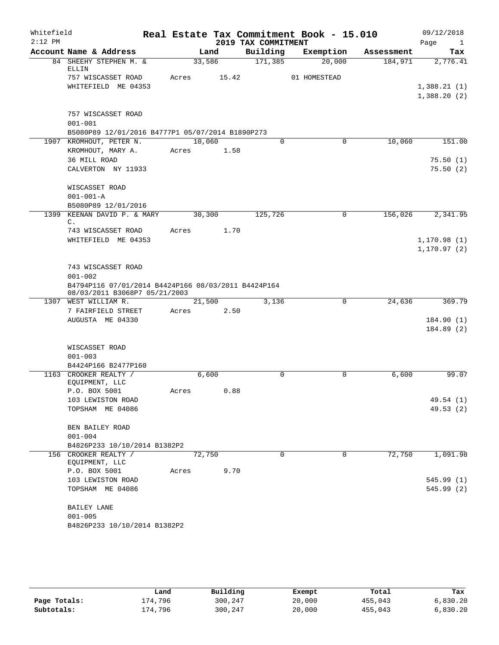| Whitefield |                                                       |        |       |                     | Real Estate Tax Commitment Book - 15.010 |            | 09/12/2018           |
|------------|-------------------------------------------------------|--------|-------|---------------------|------------------------------------------|------------|----------------------|
| $2:12$ PM  |                                                       |        |       | 2019 TAX COMMITMENT |                                          |            | Page<br>$\mathbf{1}$ |
|            | Account Name & Address                                |        | Land  | Building            | Exemption                                | Assessment | Tax                  |
|            | 84 SHEEHY STEPHEN M. &<br>ELLIN                       | 33,586 |       | 171,385             | 20,000                                   | 184,971    | 2,776.41             |
|            | 757 WISCASSET ROAD                                    | Acres  | 15.42 |                     | 01 HOMESTEAD                             |            |                      |
|            | WHITEFIELD ME 04353                                   |        |       |                     |                                          |            | 1,388.21(1)          |
|            |                                                       |        |       |                     |                                          |            | 1,388.20(2)          |
|            |                                                       |        |       |                     |                                          |            |                      |
|            | 757 WISCASSET ROAD                                    |        |       |                     |                                          |            |                      |
|            | $001 - 001$                                           |        |       |                     |                                          |            |                      |
|            | B5080P89 12/01/2016 B4777P1 05/07/2014 B1890P273      |        |       |                     |                                          |            |                      |
|            | 1907 KROMHOUT, PETER N.                               | 10,060 |       | $\Omega$            | 0                                        | 10,060     | 151.00               |
|            | KROMHOUT, MARY A.                                     | Acres  | 1.58  |                     |                                          |            |                      |
|            | 36 MILL ROAD                                          |        |       |                     |                                          |            | 75.50(1)             |
|            | CALVERTON NY 11933                                    |        |       |                     |                                          |            | 75.50(2)             |
|            |                                                       |        |       |                     |                                          |            |                      |
|            | WISCASSET ROAD                                        |        |       |                     |                                          |            |                      |
|            | $001 - 001 - A$                                       |        |       |                     |                                          |            |                      |
| 1399       | B5080P89 12/01/2016<br>KEENAN DAVID P. & MARY         | 30,300 |       | 125,726             | $\mathbf 0$                              | 156,026    | 2,341.95             |
|            | C.                                                    |        |       |                     |                                          |            |                      |
|            | 743 WISCASSET ROAD                                    | Acres  | 1.70  |                     |                                          |            |                      |
|            | WHITEFIELD ME 04353                                   |        |       |                     |                                          |            | 1, 170.98(1)         |
|            |                                                       |        |       |                     |                                          |            | 1, 170.97(2)         |
|            |                                                       |        |       |                     |                                          |            |                      |
|            | 743 WISCASSET ROAD                                    |        |       |                     |                                          |            |                      |
|            | $001 - 002$                                           |        |       |                     |                                          |            |                      |
|            | B4794P116 07/01/2014 B4424P166 08/03/2011 B4424P164   |        |       |                     |                                          |            |                      |
|            | 08/03/2011 B3068P7 05/21/2003<br>1307 WEST WILLIAM R. | 21,500 |       | 3,136               | $\mathbf 0$                              | 24,636     | 369.79               |
|            | 7 FAIRFIELD STREET                                    | Acres  | 2.50  |                     |                                          |            |                      |
|            | AUGUSTA ME 04330                                      |        |       |                     |                                          |            | 184.90(1)            |
|            |                                                       |        |       |                     |                                          |            | 184.89(2)            |
|            |                                                       |        |       |                     |                                          |            |                      |
|            | WISCASSET ROAD                                        |        |       |                     |                                          |            |                      |
|            | $001 - 003$                                           |        |       |                     |                                          |            |                      |
|            | B4424P166 B2477P160                                   |        |       |                     |                                          |            |                      |
|            | 1163 CROOKER REALTY /                                 | 6,600  |       | $\Omega$            | $\Omega$                                 | 6,600      | 99.07                |
|            | EQUIPMENT, LLC                                        |        |       |                     |                                          |            |                      |
|            | P.O. BOX 5001                                         | Acres  | 0.88  |                     |                                          |            |                      |
|            | 103 LEWISTON ROAD                                     |        |       |                     |                                          |            | 49.54 (1)            |
|            | TOPSHAM ME 04086                                      |        |       |                     |                                          |            | 49.53 (2)            |
|            | BEN BAILEY ROAD                                       |        |       |                     |                                          |            |                      |
|            | $001 - 004$                                           |        |       |                     |                                          |            |                      |
|            | B4826P233 10/10/2014 B1382P2                          |        |       |                     |                                          |            |                      |
|            | 156 CROOKER REALTY /                                  | 72,750 |       | 0                   | 0                                        | 72,750     | 1,091.98             |
|            | EQUIPMENT, LLC                                        |        |       |                     |                                          |            |                      |
|            | P.O. BOX 5001                                         | Acres  | 9.70  |                     |                                          |            |                      |
|            | 103 LEWISTON ROAD                                     |        |       |                     |                                          |            | 545.99 (1)           |
|            | TOPSHAM ME 04086                                      |        |       |                     |                                          |            | 545.99(2)            |
|            |                                                       |        |       |                     |                                          |            |                      |
|            | BAILEY LANE                                           |        |       |                     |                                          |            |                      |
|            | $001 - 005$                                           |        |       |                     |                                          |            |                      |
|            | B4826P233 10/10/2014 B1382P2                          |        |       |                     |                                          |            |                      |

|              | Land    | Building | Exempt | Total   | Tax      |
|--------------|---------|----------|--------|---------|----------|
| Page Totals: | 174,796 | 300,247  | 20,000 | 455,043 | 6,830.20 |
| Subtotals:   | 174,796 | 300,247  | 20,000 | 455,043 | 6.830.20 |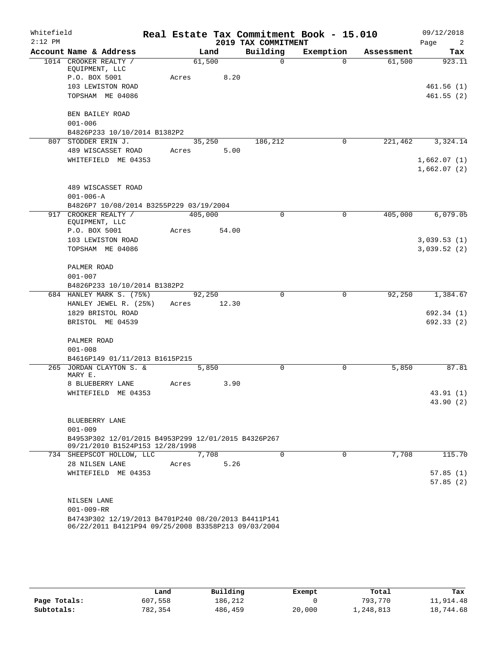| Whitefield<br>$2:12$ PM |                                                                                                            |             |                |                                 | Real Estate Tax Commitment Book - 15.010 |            | 09/12/2018                    |
|-------------------------|------------------------------------------------------------------------------------------------------------|-------------|----------------|---------------------------------|------------------------------------------|------------|-------------------------------|
|                         | Account Name & Address                                                                                     |             | Land           | 2019 TAX COMMITMENT<br>Building | Exemption                                | Assessment | Page<br>$\overline{2}$<br>Tax |
|                         | 1014 CROOKER REALTY /                                                                                      |             | 61,500         | $\Omega$                        | $\Omega$                                 | 61,500     | 923.11                        |
|                         | EQUIPMENT, LLC                                                                                             |             |                |                                 |                                          |            |                               |
|                         | P.O. BOX 5001                                                                                              | Acres       | 8.20           |                                 |                                          |            |                               |
|                         | 103 LEWISTON ROAD                                                                                          |             |                |                                 |                                          |            | 461.56(1)                     |
|                         | TOPSHAM ME 04086                                                                                           |             |                |                                 |                                          |            | 461.55(2)                     |
|                         |                                                                                                            |             |                |                                 |                                          |            |                               |
|                         | BEN BAILEY ROAD                                                                                            |             |                |                                 |                                          |            |                               |
|                         | $001 - 006$                                                                                                |             |                |                                 |                                          |            |                               |
|                         | B4826P233 10/10/2014 B1382P2<br>807 STODDER ERIN J.                                                        |             |                | 186,212                         | 0                                        | 221,462    | 3,324.14                      |
|                         | 489 WISCASSET ROAD                                                                                         | Acres       | 35,250<br>5.00 |                                 |                                          |            |                               |
|                         | WHITEFIELD ME 04353                                                                                        |             |                |                                 |                                          |            | 1,662.07(1)                   |
|                         |                                                                                                            |             |                |                                 |                                          |            | 1,662.07(2)                   |
|                         |                                                                                                            |             |                |                                 |                                          |            |                               |
|                         | 489 WISCASSET ROAD                                                                                         |             |                |                                 |                                          |            |                               |
|                         | $001 - 006 - A$                                                                                            |             |                |                                 |                                          |            |                               |
|                         | B4826P7 10/08/2014 B3255P229 03/19/2004                                                                    |             |                |                                 |                                          |            |                               |
|                         | 917 CROOKER REALTY /                                                                                       | 405,000     |                | $\mathbf 0$                     | $\mathbf 0$                              | 405,000    | 6,079.05                      |
|                         | EQUIPMENT, LLC                                                                                             |             |                |                                 |                                          |            |                               |
|                         | P.O. BOX 5001                                                                                              | Acres       | 54.00          |                                 |                                          |            |                               |
|                         | 103 LEWISTON ROAD<br>TOPSHAM ME 04086                                                                      |             |                |                                 |                                          |            | 3,039.53(1)<br>3,039.52 (2)   |
|                         |                                                                                                            |             |                |                                 |                                          |            |                               |
|                         | PALMER ROAD                                                                                                |             |                |                                 |                                          |            |                               |
|                         | $001 - 007$                                                                                                |             |                |                                 |                                          |            |                               |
|                         | B4826P233 10/10/2014 B1382P2                                                                               |             |                |                                 |                                          |            |                               |
|                         | 684 HANLEY MARK S. (75%)                                                                                   |             | 92,250         | $\Omega$                        | $\Omega$                                 | 92,250     | 1,384.67                      |
|                         | HANLEY JEWEL R. (25%)                                                                                      | Acres 12.30 |                |                                 |                                          |            |                               |
|                         | 1829 BRISTOL ROAD                                                                                          |             |                |                                 |                                          |            | 692.34 (1)                    |
|                         | BRISTOL ME 04539                                                                                           |             |                |                                 |                                          |            | 692.33(2)                     |
|                         |                                                                                                            |             |                |                                 |                                          |            |                               |
|                         | PALMER ROAD                                                                                                |             |                |                                 |                                          |            |                               |
|                         | $001 - 008$                                                                                                |             |                |                                 |                                          |            |                               |
|                         | B4616P149 01/11/2013 B1615P215                                                                             |             |                |                                 |                                          |            |                               |
|                         | 265 JORDAN CLAYTON S. &<br>MARY E.                                                                         |             | 5,850          | 0                               | 0                                        | 5,850      | 87.81                         |
|                         | 8 BLUEBERRY LANE                                                                                           | Acres       | 3.90           |                                 |                                          |            |                               |
|                         | WHITEFIELD ME 04353                                                                                        |             |                |                                 |                                          |            | 43.91 (1)                     |
|                         |                                                                                                            |             |                |                                 |                                          |            | 43.90 (2)                     |
|                         |                                                                                                            |             |                |                                 |                                          |            |                               |
|                         | BLUEBERRY LANE                                                                                             |             |                |                                 |                                          |            |                               |
|                         | $001 - 009$                                                                                                |             |                |                                 |                                          |            |                               |
|                         | B4953P302 12/01/2015 B4953P299 12/01/2015 B4326P267<br>09/21/2010 B1524P153 12/28/1998                     |             |                |                                 |                                          |            |                               |
|                         | 734 SHEEPSCOT HOLLOW, LLC                                                                                  |             | 7,708          | $\Omega$                        | 0                                        | 7,708      | 115.70                        |
|                         | 28 NILSEN LANE                                                                                             | Acres       | 5.26           |                                 |                                          |            |                               |
|                         | WHITEFIELD ME 04353                                                                                        |             |                |                                 |                                          |            | 57.85(1)                      |
|                         |                                                                                                            |             |                |                                 |                                          |            | 57.85(2)                      |
|                         |                                                                                                            |             |                |                                 |                                          |            |                               |
|                         | NILSEN LANE                                                                                                |             |                |                                 |                                          |            |                               |
|                         | $001 - 009 - RR$                                                                                           |             |                |                                 |                                          |            |                               |
|                         | B4743P302 12/19/2013 B4701P240 08/20/2013 B4411P141<br>06/22/2011 B4121P94 09/25/2008 B3358P213 09/03/2004 |             |                |                                 |                                          |            |                               |

|              | Land    | Building | Exempt | Total     | Tax       |
|--------------|---------|----------|--------|-----------|-----------|
| Page Totals: | 607,558 | 186.212  |        | 793,770   | 11,914.48 |
| Subtotals:   | 782,354 | 486,459  | 20,000 | L,248,813 | 18,744.68 |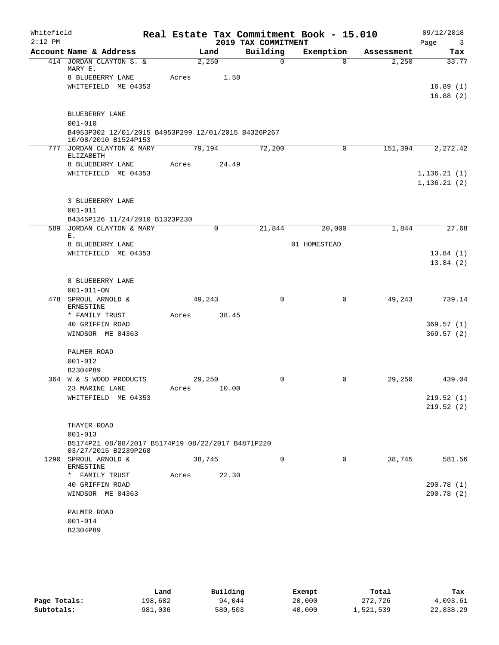| Whitefield<br>$2:12$ PM |                                                                             |       |                       | 2019 TAX COMMITMENT | Real Estate Tax Commitment Book - 15.010 |            | 09/12/2018<br>Page<br>$\overline{\mathbf{3}}$ |
|-------------------------|-----------------------------------------------------------------------------|-------|-----------------------|---------------------|------------------------------------------|------------|-----------------------------------------------|
|                         | Account Name & Address                                                      |       | Land                  | Building            | Exemption                                | Assessment | Tax                                           |
|                         | 414 JORDAN CLAYTON S. &<br>MARY E.                                          |       | 2,250                 | $\Omega$            | $\Omega$                                 | 2,250      | 33.77                                         |
|                         | 8 BLUEBERRY LANE                                                            | Acres | 1.50                  |                     |                                          |            |                                               |
|                         | WHITEFIELD ME 04353                                                         |       |                       |                     |                                          |            | 16.89(1)<br>16.88(2)                          |
|                         | BLUEBERRY LANE<br>$001 - 010$                                               |       |                       |                     |                                          |            |                                               |
|                         | B4953P302 12/01/2015 B4953P299 12/01/2015 B4326P267<br>10/08/2010 B1524P153 |       |                       |                     |                                          |            |                                               |
|                         | 777 JORDAN CLAYTON & MARY<br>ELIZABETH                                      |       | 79,194                | 72,200              | $\mathbf 0$                              | 151,394    | 2,272.42                                      |
|                         | 8 BLUEBERRY LANE                                                            | Acres | 24.49                 |                     |                                          |            |                                               |
|                         | WHITEFIELD ME 04353                                                         |       |                       |                     |                                          |            | 1, 136.21(1)<br>1, 136.21(2)                  |
|                         | 3 BLUEBERRY LANE<br>$001 - 011$                                             |       |                       |                     |                                          |            |                                               |
|                         | B4345P126 11/24/2010 B1323P230                                              |       |                       |                     |                                          |            |                                               |
|                         | 589 JORDAN CLAYTON & MARY                                                   |       | $\Omega$              | 21,844              | 20,000                                   | 1,844      | 27.68                                         |
|                         | Ε.<br>8 BLUEBERRY LANE                                                      |       |                       |                     | 01 HOMESTEAD                             |            |                                               |
|                         | WHITEFIELD ME 04353                                                         |       |                       |                     |                                          |            | 13.84(1)                                      |
|                         |                                                                             |       |                       |                     |                                          |            | 13.84(2)                                      |
|                         | 8 BLUEBERRY LANE                                                            |       |                       |                     |                                          |            |                                               |
|                         | $001 - 011 - ON$<br>478 SPROUL ARNOLD &                                     |       | 49,243                | $\Omega$            | $\mathbf 0$                              | 49,243     | 739.14                                        |
|                         | ERNESTINE<br>* FAMILY TRUST                                                 | Acres | 38.45                 |                     |                                          |            |                                               |
|                         | 40 GRIFFIN ROAD                                                             |       |                       |                     |                                          |            | 369.57(1)                                     |
|                         | WINDSOR ME 04363                                                            |       |                       |                     |                                          |            | 369.57(2)                                     |
|                         | PALMER ROAD                                                                 |       |                       |                     |                                          |            |                                               |
|                         | $001 - 012$                                                                 |       |                       |                     |                                          |            |                                               |
|                         | B2304P89                                                                    |       |                       |                     |                                          |            |                                               |
|                         | 364 W & S WOOD PRODUCTS<br>23 MARINE LANE                                   |       | 29,250<br>Acres 10.00 | 0                   | 0                                        | 29,250     | 439.04                                        |
|                         | WHITEFIELD ME 04353                                                         |       |                       |                     |                                          |            | 219.52(1)                                     |
|                         |                                                                             |       |                       |                     |                                          |            | 219.52(2)                                     |
|                         | THAYER ROAD                                                                 |       |                       |                     |                                          |            |                                               |
|                         | $001 - 013$                                                                 |       |                       |                     |                                          |            |                                               |
|                         | B5174P21 08/08/2017 B5174P19 08/22/2017 B4871P220<br>03/27/2015 B2239P268   |       |                       |                     |                                          |            |                                               |
|                         | 1290 SPROUL ARNOLD &<br>ERNESTINE                                           |       | 38,745                | $\Omega$            | $\Omega$                                 | 38,745     | 581.56                                        |
|                         | FAMILY TRUST<br>$\star$                                                     | Acres | 22.30                 |                     |                                          |            |                                               |
|                         | 40 GRIFFIN ROAD                                                             |       |                       |                     |                                          |            | 290.78 (1)                                    |
|                         | WINDSOR ME 04363                                                            |       |                       |                     |                                          |            | 290.78 (2)                                    |
|                         | PALMER ROAD                                                                 |       |                       |                     |                                          |            |                                               |
|                         | $001 - 014$                                                                 |       |                       |                     |                                          |            |                                               |
|                         | B2304P89                                                                    |       |                       |                     |                                          |            |                                               |
|                         |                                                                             |       |                       |                     |                                          |            |                                               |

|              | Land    | Building | Exempt | Total     | Tax       |
|--------------|---------|----------|--------|-----------|-----------|
| Page Totals: | 198,682 | 94,044   | 20,000 | 272,726   | 4,093.61  |
| Subtotals:   | 981,036 | 580,503  | 40,000 | L,521,539 | 22,838.29 |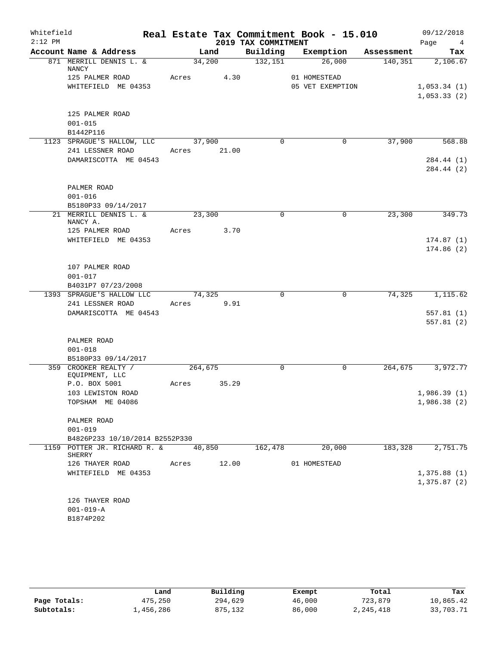| Whitefield<br>$2:12$ PM |                                        |                  |       | 2019 TAX COMMITMENT | Real Estate Tax Commitment Book - 15.010 |            | 09/12/2018<br>Page<br>$4\phantom{.000}$ |
|-------------------------|----------------------------------------|------------------|-------|---------------------|------------------------------------------|------------|-----------------------------------------|
|                         | Account Name & Address                 |                  | Land  | Building            | Exemption                                | Assessment | Tax                                     |
|                         | 871 MERRILL DENNIS L. &<br>NANCY       | 34,200           |       | 132,151             | 26,000                                   | 140, 351   | 2,106.67                                |
|                         | 125 PALMER ROAD                        | Acres            | 4.30  |                     | 01 HOMESTEAD                             |            |                                         |
|                         | WHITEFIELD ME 04353                    |                  |       |                     | 05 VET EXEMPTION                         |            | 1,053.34(1)<br>1,053.33(2)              |
|                         |                                        |                  |       |                     |                                          |            |                                         |
|                         | 125 PALMER ROAD                        |                  |       |                     |                                          |            |                                         |
|                         | $001 - 015$<br>B1442P116               |                  |       |                     |                                          |            |                                         |
|                         | 1123 SPRAGUE'S HALLOW, LLC             | $\frac{37}{900}$ |       | $\Omega$            | $\mathbf 0$                              | 37,900     | 568.88                                  |
|                         | 241 LESSNER ROAD                       | Acres            | 21.00 |                     |                                          |            |                                         |
|                         | DAMARISCOTTA ME 04543                  |                  |       |                     |                                          |            | 284.44 (1)                              |
|                         |                                        |                  |       |                     |                                          |            | 284.44 (2)                              |
|                         | PALMER ROAD                            |                  |       |                     |                                          |            |                                         |
|                         | $001 - 016$                            |                  |       |                     |                                          |            |                                         |
|                         | B5180P33 09/14/2017                    |                  |       |                     |                                          |            |                                         |
|                         | 21 MERRILL DENNIS L. &<br>NANCY A.     | 23,300           |       | $\mathbf 0$         | 0                                        | 23,300     | 349.73                                  |
|                         | 125 PALMER ROAD                        | Acres            | 3.70  |                     |                                          |            |                                         |
|                         | WHITEFIELD ME 04353                    |                  |       |                     |                                          |            | 174.87(1)                               |
|                         |                                        |                  |       |                     |                                          |            | 174.86(2)                               |
|                         | 107 PALMER ROAD                        |                  |       |                     |                                          |            |                                         |
|                         | $001 - 017$                            |                  |       |                     |                                          |            |                                         |
|                         | B4031P7 07/23/2008                     |                  |       |                     |                                          |            |                                         |
|                         | 1393 SPRAGUE'S HALLOW LLC              | 74,325           |       | $\mathbf 0$         | 0                                        | 74,325     | 1,115.62                                |
|                         | 241 LESSNER ROAD                       | Acres            | 9.91  |                     |                                          |            |                                         |
|                         | DAMARISCOTTA ME 04543                  |                  |       |                     |                                          |            | 557.81(1)<br>557.81(2)                  |
|                         |                                        |                  |       |                     |                                          |            |                                         |
|                         | PALMER ROAD                            |                  |       |                     |                                          |            |                                         |
|                         | $001 - 018$                            |                  |       |                     |                                          |            |                                         |
|                         | B5180P33 09/14/2017                    |                  |       |                     |                                          |            |                                         |
|                         | 359 CROOKER REALTY /<br>EQUIPMENT, LLC | 264,675          |       | $\mathbf 0$         | $\mathbf 0$                              | 264,675    | 3,972.77                                |
|                         | P.O. BOX 5001                          | Acres            | 35.29 |                     |                                          |            |                                         |
|                         | 103 LEWISTON ROAD                      |                  |       |                     |                                          |            | 1,986.39(1)                             |
|                         | TOPSHAM ME 04086                       |                  |       |                     |                                          |            | 1,986.38(2)                             |
|                         | PALMER ROAD                            |                  |       |                     |                                          |            |                                         |
|                         | $001 - 019$                            |                  |       |                     |                                          |            |                                         |
|                         | B4826P233 10/10/2014 B2552P330         |                  |       |                     |                                          |            |                                         |
|                         | 1159 POTTER JR. RICHARD R. &<br>SHERRY | 40,850           |       | 162,478             | 20,000                                   | 183,328    | 2,751.75                                |
|                         | 126 THAYER ROAD                        | Acres            | 12.00 |                     | 01 HOMESTEAD                             |            |                                         |
|                         | WHITEFIELD ME 04353                    |                  |       |                     |                                          |            | 1,375.88(1)                             |
|                         |                                        |                  |       |                     |                                          |            | 1,375.87(2)                             |
|                         | 126 THAYER ROAD                        |                  |       |                     |                                          |            |                                         |
|                         | $001 - 019 - A$                        |                  |       |                     |                                          |            |                                         |
|                         | B1874P202                              |                  |       |                     |                                          |            |                                         |

|              | Land      | Building | Exempt | Total     | Tax       |
|--------------|-----------|----------|--------|-----------|-----------|
| Page Totals: | 475,250   | 294,629  | 46,000 | 723,879   | 10,865.42 |
| Subtotals:   | 1,456,286 | 875,132  | 86,000 | 2,245,418 | 33,703.71 |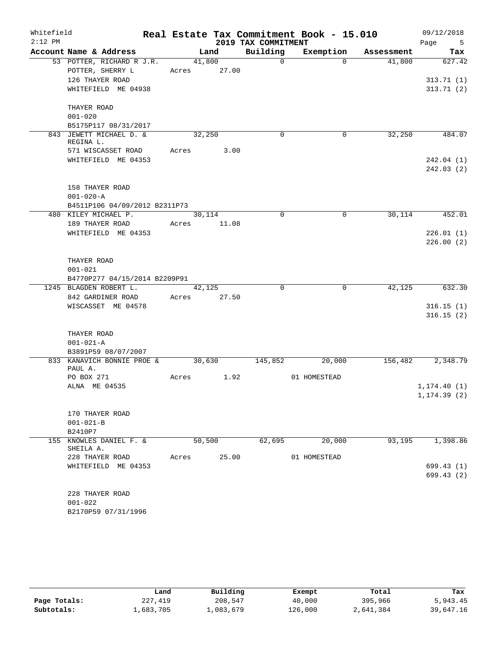| Whitefield |                                   |       |        |             |                     | Real Estate Tax Commitment Book - 15.010 |            | 09/12/2018              |
|------------|-----------------------------------|-------|--------|-------------|---------------------|------------------------------------------|------------|-------------------------|
| $2:12$ PM  |                                   |       |        |             | 2019 TAX COMMITMENT |                                          |            | Page<br>$5^{\circ}$     |
|            | Account Name & Address            |       | Land   |             | Building            | Exemption                                | Assessment | Tax                     |
|            | 53 POTTER, RICHARD R J.R.         |       | 41,800 |             | $\Omega$            | $\Omega$                                 | 41,800     | 627.42                  |
|            | POTTER, SHERRY L                  |       |        | Acres 27.00 |                     |                                          |            |                         |
|            | 126 THAYER ROAD                   |       |        |             |                     |                                          |            | 313.71(1)               |
|            | WHITEFIELD ME 04938               |       |        |             |                     |                                          |            | 313.71(2)               |
|            | THAYER ROAD                       |       |        |             |                     |                                          |            |                         |
|            | $001 - 020$                       |       |        |             |                     |                                          |            |                         |
|            | B5175P117 08/31/2017              |       |        |             |                     |                                          |            |                         |
|            | 843 JEWETT MICHAEL D. &           |       | 32,250 |             | $\Omega$            | $\mathbf 0$                              | 32,250     | 484.07                  |
|            | REGINA L.                         |       |        |             |                     |                                          |            |                         |
|            | 571 WISCASSET ROAD                | Acres |        | 3.00        |                     |                                          |            |                         |
|            | WHITEFIELD ME 04353               |       |        |             |                     |                                          |            | 242.04 (1)<br>242.03(2) |
|            | 158 THAYER ROAD                   |       |        |             |                     |                                          |            |                         |
|            | $001 - 020 - A$                   |       |        |             |                     |                                          |            |                         |
|            | B4511P106 04/09/2012 B2311P73     |       |        |             |                     |                                          |            |                         |
|            | 480 KILEY MICHAEL P.              |       | 30,114 |             | $\mathbf 0$         | 0                                        | 30,114     | 452.01                  |
|            | 189 THAYER ROAD                   | Acres |        | 11.08       |                     |                                          |            |                         |
|            | WHITEFIELD ME 04353               |       |        |             |                     |                                          |            | 226.01(1)               |
|            |                                   |       |        |             |                     |                                          |            | 226.00(2)               |
|            | THAYER ROAD                       |       |        |             |                     |                                          |            |                         |
|            | $001 - 021$                       |       |        |             |                     |                                          |            |                         |
|            | B4770P277 04/15/2014 B2209P91     |       |        |             |                     |                                          |            |                         |
|            | 1245 BLAGDEN ROBERT L.            |       | 42,125 |             | $\Omega$            | $\mathbf 0$                              | 42,125     | 632.30                  |
|            | 842 GARDINER ROAD                 | Acres |        | 27.50       |                     |                                          |            |                         |
|            | WISCASSET ME 04578                |       |        |             |                     |                                          |            | 316.15(1)               |
|            |                                   |       |        |             |                     |                                          |            | 316.15(2)               |
|            | THAYER ROAD                       |       |        |             |                     |                                          |            |                         |
|            | $001 - 021 - A$                   |       |        |             |                     |                                          |            |                         |
|            | B3891P59 08/07/2007               |       |        |             |                     |                                          |            |                         |
|            | 833 KANAVICH BONNIE PROE & 30,630 |       |        |             | 145,852             | 20,000                                   | 156,482    | 2,348.79                |
|            | PAUL A.                           |       |        |             |                     |                                          |            |                         |
|            | PO BOX 271                        | Acres |        | 1.92        |                     | 01 HOMESTEAD                             |            |                         |
|            | ALNA ME 04535                     |       |        |             |                     |                                          |            | 1, 174.40(1)            |
|            |                                   |       |        |             |                     |                                          |            | 1, 174.39(2)            |
|            | 170 THAYER ROAD                   |       |        |             |                     |                                          |            |                         |
|            | $001 - 021 - B$                   |       |        |             |                     |                                          |            |                         |
|            | B2410P7                           |       |        |             |                     |                                          |            |                         |
|            | 155 KNOWLES DANIEL F. &           |       | 50,500 |             | 62,695              | 20,000                                   | 93,195     | 1,398.86                |
|            | SHEILA A.                         |       |        |             |                     |                                          |            |                         |
|            | 228 THAYER ROAD                   | Acres |        | 25.00       |                     | 01 HOMESTEAD                             |            |                         |
|            | WHITEFIELD ME 04353               |       |        |             |                     |                                          |            | 699.43 (1)              |
|            |                                   |       |        |             |                     |                                          |            | 699.43(2)               |
|            |                                   |       |        |             |                     |                                          |            |                         |
|            | 228 THAYER ROAD                   |       |        |             |                     |                                          |            |                         |
|            | $001 - 022$                       |       |        |             |                     |                                          |            |                         |
|            | B2170P59 07/31/1996               |       |        |             |                     |                                          |            |                         |

|              | Land      | Building  | Exempt  | Total     | Tax       |
|--------------|-----------|-----------|---------|-----------|-----------|
| Page Totals: | 227,419   | 208,547   | 40,000  | 395,966   | 5,943.45  |
| Subtotals:   | ⊥,683,705 | .,083,679 | 126,000 | 2,641,384 | 39,647.16 |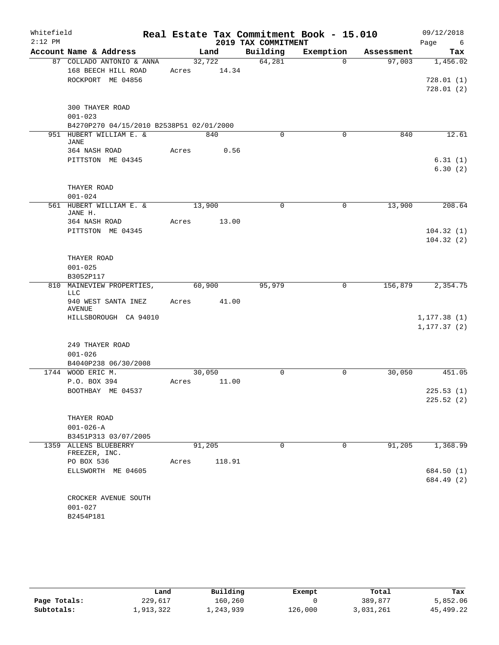| Whitefield<br>$2:12$ PM |                                          |       |             | 2019 TAX COMMITMENT | Real Estate Tax Commitment Book - 15.010 |                      | 09/12/2018         |
|-------------------------|------------------------------------------|-------|-------------|---------------------|------------------------------------------|----------------------|--------------------|
|                         | Account Name & Address                   |       | Land        | Building            | Exemption                                |                      | Page<br>6<br>Tax   |
|                         | 87 COLLADO ANTONIO & ANNA                |       | 32,722      | 64,281              | $\Omega$                                 | Assessment<br>97,003 | 1,456.02           |
|                         | 168 BEECH HILL ROAD                      | Acres | 14.34       |                     |                                          |                      |                    |
|                         | ROCKPORT ME 04856                        |       |             |                     |                                          |                      | 728.01(1)          |
|                         |                                          |       |             |                     |                                          |                      | 728.01(2)          |
|                         | <b>300 THAYER ROAD</b>                   |       |             |                     |                                          |                      |                    |
|                         | $001 - 023$                              |       |             |                     |                                          |                      |                    |
|                         | B4270P270 04/15/2010 B2538P51 02/01/2000 |       |             |                     |                                          |                      |                    |
|                         | 951 HUBERT WILLIAM E. &                  |       | 840         | $\mathbf 0$         | $\mathbf 0$                              | 840                  | 12.61              |
|                         | <b>JANE</b>                              |       |             |                     |                                          |                      |                    |
|                         | 364 NASH ROAD                            | Acres | 0.56        |                     |                                          |                      |                    |
|                         | PITTSTON ME 04345                        |       |             |                     |                                          |                      | 6.31(1)<br>6.30(2) |
|                         | THAYER ROAD                              |       |             |                     |                                          |                      |                    |
|                         | $001 - 024$                              |       |             |                     |                                          |                      |                    |
|                         | 561 HUBERT WILLIAM E. &<br>JANE H.       |       | 13,900      | $\mathbf 0$         | 0                                        | 13,900               | 208.64             |
|                         | 364 NASH ROAD                            | Acres | 13.00       |                     |                                          |                      |                    |
|                         | PITTSTON ME 04345                        |       |             |                     |                                          |                      | 104.32(1)          |
|                         |                                          |       |             |                     |                                          |                      | 104.32(2)          |
|                         | THAYER ROAD                              |       |             |                     |                                          |                      |                    |
|                         | $001 - 025$                              |       |             |                     |                                          |                      |                    |
|                         | B3052P117                                |       |             |                     |                                          |                      |                    |
| 810                     | MAINEVIEW PROPERTIES,<br><b>LLC</b>      |       | 60,900      | 95,979              | 0                                        | 156,879              | 2,354.75           |
|                         | 940 WEST SANTA INEZ<br>AVENUE            |       | Acres 41.00 |                     |                                          |                      |                    |
|                         | HILLSBOROUGH CA 94010                    |       |             |                     |                                          |                      | 1, 177.38(1)       |
|                         |                                          |       |             |                     |                                          |                      | 1, 177.37(2)       |
|                         | 249 THAYER ROAD                          |       |             |                     |                                          |                      |                    |
|                         | $001 - 026$                              |       |             |                     |                                          |                      |                    |
|                         | B4040P238 06/30/2008                     |       |             |                     |                                          |                      |                    |
|                         | 1744 WOOD ERIC M.                        |       | 30,050      | 0                   | 0                                        | 30,050               | 451.05             |
|                         | P.O. BOX 394                             | Acres | 11.00       |                     |                                          |                      |                    |
|                         | BOOTHBAY ME 04537                        |       |             |                     |                                          |                      | 225.53(1)          |
|                         |                                          |       |             |                     |                                          |                      | 225.52(2)          |
|                         | THAYER ROAD                              |       |             |                     |                                          |                      |                    |
|                         | $001 - 026 - A$                          |       |             |                     |                                          |                      |                    |
|                         | B3451P313 03/07/2005                     |       |             |                     |                                          |                      |                    |
|                         | 1359 ALLENS BLUEBERRY                    |       | 91,205      | $\mathbf 0$         | 0                                        | 91, 205              | 1,368.99           |
|                         | FREEZER, INC.                            |       |             |                     |                                          |                      |                    |
|                         | PO BOX 536                               | Acres | 118.91      |                     |                                          |                      |                    |
|                         | ELLSWORTH ME 04605                       |       |             |                     |                                          |                      | 684.50 (1)         |
|                         |                                          |       |             |                     |                                          |                      | 684.49 (2)         |
|                         |                                          |       |             |                     |                                          |                      |                    |
|                         | CROCKER AVENUE SOUTH<br>$001 - 027$      |       |             |                     |                                          |                      |                    |
|                         | B2454P181                                |       |             |                     |                                          |                      |                    |
|                         |                                          |       |             |                     |                                          |                      |                    |

|              | Land      | Building  | Exempt  | Total     | Tax         |
|--------------|-----------|-----------|---------|-----------|-------------|
| Page Totals: | 229,617   | 160,260   |         | 389,877   | 5,852.06    |
| Subtotals:   | 1,913,322 | 1,243,939 | 126,000 | 3,031,261 | 45, 499. 22 |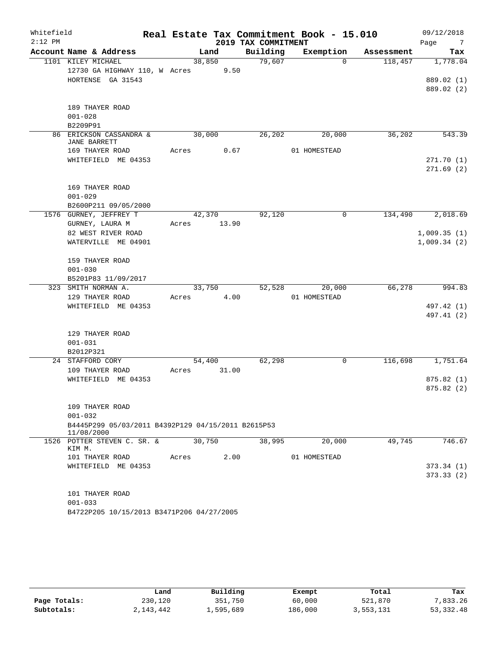| Whitefield<br>$2:12$ PM |                                                                  |       |        |       | 2019 TAX COMMITMENT | Real Estate Tax Commitment Book - 15.010 |            | 09/12/2018<br>Page<br>7 |
|-------------------------|------------------------------------------------------------------|-------|--------|-------|---------------------|------------------------------------------|------------|-------------------------|
|                         | Account Name & Address                                           |       | Land   |       | Building            | Exemption                                | Assessment | Tax                     |
|                         | 1101 KILEY MICHAEL                                               |       | 38,850 |       | 79,607              | $\Omega$                                 | 118,457    | 1,778.04                |
|                         | 12730 GA HIGHWAY 110, W Acres                                    |       |        | 9.50  |                     |                                          |            |                         |
|                         | HORTENSE GA 31543                                                |       |        |       |                     |                                          |            | 889.02 (1)              |
|                         |                                                                  |       |        |       |                     |                                          |            | 889.02 (2)              |
|                         |                                                                  |       |        |       |                     |                                          |            |                         |
|                         | 189 THAYER ROAD                                                  |       |        |       |                     |                                          |            |                         |
|                         | $001 - 028$                                                      |       |        |       |                     |                                          |            |                         |
|                         | B2209P91<br>86 ERICKSON CASSANDRA &                              |       | 30,000 |       | 26,202              | 20,000                                   | 36,202     | 543.39                  |
|                         | <b>JANE BARRETT</b>                                              |       |        |       |                     |                                          |            |                         |
|                         | 169 THAYER ROAD                                                  | Acres |        | 0.67  |                     | 01 HOMESTEAD                             |            |                         |
|                         | WHITEFIELD ME 04353                                              |       |        |       |                     |                                          |            | 271.70(1)               |
|                         |                                                                  |       |        |       |                     |                                          |            | 271.69(2)               |
|                         |                                                                  |       |        |       |                     |                                          |            |                         |
|                         | 169 THAYER ROAD                                                  |       |        |       |                     |                                          |            |                         |
|                         | $001 - 029$<br>B2600P211 09/05/2000                              |       |        |       |                     |                                          |            |                         |
|                         | 1576 GURNEY, JEFFREY T                                           |       | 42,370 |       | 92,120              | $\mathsf{O}$                             | 134,490    | 2,018.69                |
|                         | GURNEY, LAURA M                                                  | Acres |        | 13.90 |                     |                                          |            |                         |
|                         | 82 WEST RIVER ROAD                                               |       |        |       |                     |                                          |            | 1,009.35(1)             |
|                         | WATERVILLE ME 04901                                              |       |        |       |                     |                                          |            | 1,009.34(2)             |
|                         |                                                                  |       |        |       |                     |                                          |            |                         |
|                         | 159 THAYER ROAD                                                  |       |        |       |                     |                                          |            |                         |
|                         | $001 - 030$                                                      |       |        |       |                     |                                          |            |                         |
|                         | B5201P83 11/09/2017                                              |       |        |       |                     |                                          |            |                         |
|                         | 323 SMITH NORMAN A.                                              |       | 33,750 |       | 52,528              | 20,000                                   | 66,278     | 994.83                  |
|                         | 129 THAYER ROAD                                                  | Acres |        | 4.00  |                     | 01 HOMESTEAD                             |            |                         |
|                         | WHITEFIELD ME 04353                                              |       |        |       |                     |                                          |            | 497.42 (1)              |
|                         |                                                                  |       |        |       |                     |                                          |            | 497.41 (2)              |
|                         | 129 THAYER ROAD                                                  |       |        |       |                     |                                          |            |                         |
|                         | $001 - 031$                                                      |       |        |       |                     |                                          |            |                         |
|                         | B2012P321                                                        |       |        |       |                     |                                          |            |                         |
|                         | 24 STAFFORD CORY                                                 |       | 54,400 |       | 62,298              | 0                                        | 116,698    | 1,751.64                |
|                         | 109 THAYER ROAD                                                  | Acres |        | 31.00 |                     |                                          |            |                         |
|                         | WHITEFIELD ME 04353                                              |       |        |       |                     |                                          |            | 875.82(1)               |
|                         |                                                                  |       |        |       |                     |                                          |            | 875.82 (2)              |
|                         |                                                                  |       |        |       |                     |                                          |            |                         |
|                         | 109 THAYER ROAD                                                  |       |        |       |                     |                                          |            |                         |
|                         | $001 - 032$                                                      |       |        |       |                     |                                          |            |                         |
|                         | B4445P299 05/03/2011 B4392P129 04/15/2011 B2615P53<br>11/08/2000 |       |        |       |                     |                                          |            |                         |
|                         | 1526 POTTER STEVEN C. SR. &                                      |       | 30,750 |       | 38,995              | 20,000                                   | 49,745     | 746.67                  |
|                         | KIM M.<br>101 THAYER ROAD                                        | Acres |        | 2.00  |                     | 01 HOMESTEAD                             |            |                         |
|                         | WHITEFIELD ME 04353                                              |       |        |       |                     |                                          |            | 373.34(1)               |
|                         |                                                                  |       |        |       |                     |                                          |            | 373.33(2)               |
|                         |                                                                  |       |        |       |                     |                                          |            |                         |
|                         | 101 THAYER ROAD                                                  |       |        |       |                     |                                          |            |                         |
|                         | $001 - 033$                                                      |       |        |       |                     |                                          |            |                         |
|                         | B4722P205 10/15/2013 B3471P206 04/27/2005                        |       |        |       |                     |                                          |            |                         |

|              | Land      | Building  | Exempt  | Total     | Tax        |
|--------------|-----------|-----------|---------|-----------|------------|
| Page Totals: | 230,120   | 351,750   | 60,000  | 521,870   | 7,833.26   |
| Subtotals:   | 2,143,442 | 1,595,689 | 186,000 | 3,553,131 | 53, 332.48 |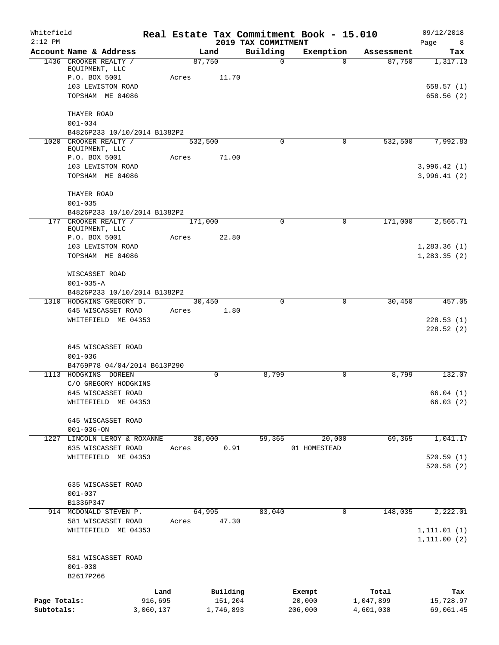| Whitefield<br>$2:12$ PM    |                                                          |                      |                      | 2019 TAX COMMITMENT | Real Estate Tax Commitment Book - 15.010 |                        | 09/12/2018<br>Page<br>- 8    |
|----------------------------|----------------------------------------------------------|----------------------|----------------------|---------------------|------------------------------------------|------------------------|------------------------------|
|                            | Account Name & Address                                   |                      | Land                 | Building            | Exemption                                | Assessment             | Tax                          |
|                            | 1436 CROOKER REALTY /<br>EQUIPMENT, LLC<br>P.O. BOX 5001 | Acres                | 87,750<br>11.70      | $\mathbf 0$         | $\Omega$                                 | 87,750                 | 1,317.13                     |
|                            | 103 LEWISTON ROAD<br>TOPSHAM ME 04086                    |                      |                      |                     |                                          |                        | 658.57(1)<br>658.56(2)       |
|                            | THAYER ROAD<br>$001 - 034$                               |                      |                      |                     |                                          |                        |                              |
|                            | B4826P233 10/10/2014 B1382P2                             |                      |                      |                     |                                          |                        |                              |
|                            | 1020 CROOKER REALTY /<br>EQUIPMENT, LLC                  |                      | 532,500              | $\Omega$            | $\mathbf 0$                              | 532,500                | 7,992.83                     |
|                            | P.O. BOX 5001                                            | Acres                | 71.00                |                     |                                          |                        |                              |
|                            | 103 LEWISTON ROAD<br>TOPSHAM ME 04086                    |                      |                      |                     |                                          |                        | 3,996.42(1)<br>3,996.41(2)   |
|                            | THAYER ROAD<br>$001 - 035$                               |                      |                      |                     |                                          |                        |                              |
|                            | B4826P233 10/10/2014 B1382P2                             |                      |                      |                     |                                          |                        |                              |
|                            | 177 CROOKER REALTY /<br>EQUIPMENT, LLC<br>P.O. BOX 5001  | Acres                | 171,000<br>22.80     | $\Omega$            | 0                                        | 171,000                | 2,566.71                     |
|                            | 103 LEWISTON ROAD<br>TOPSHAM ME 04086                    |                      |                      |                     |                                          |                        | 1,283.36(1)<br>1,283.35(2)   |
|                            | WISCASSET ROAD<br>$001 - 035 - A$                        |                      |                      |                     |                                          |                        |                              |
|                            | B4826P233 10/10/2014 B1382P2                             |                      |                      |                     |                                          |                        |                              |
|                            | 1310 HODGKINS GREGORY D.<br>645 WISCASSET ROAD           | Acres                | 30,450<br>1.80       | 0                   | $\mathbf 0$                              | 30,450                 | 457.05                       |
|                            | WHITEFIELD ME 04353                                      |                      |                      |                     |                                          |                        | 228.53(1)<br>228.52(2)       |
|                            | 645 WISCASSET ROAD<br>$001 - 036$                        |                      |                      |                     |                                          |                        |                              |
|                            | B4769P78 04/04/2014 B613P290                             |                      |                      |                     |                                          |                        |                              |
|                            | 1113 HODGKINS DOREEN                                     |                      | 0                    | 8,799               | 0                                        | 8,799                  | 132.07                       |
|                            | C/O GREGORY HODGKINS                                     |                      |                      |                     |                                          |                        |                              |
|                            | 645 WISCASSET ROAD<br>WHITEFIELD ME 04353                |                      |                      |                     |                                          |                        | 66.04(1)<br>66.03(2)         |
|                            | 645 WISCASSET ROAD<br>$001 - 036 - ON$                   |                      |                      |                     |                                          |                        |                              |
|                            | 1227 LINCOLN LEROY & ROXANNE                             |                      | 30,000               | 59,365              | 20,000                                   | 69,365                 | 1,041.17                     |
|                            | 635 WISCASSET ROAD                                       | Acres                | 0.91                 |                     | 01 HOMESTEAD                             |                        |                              |
|                            | WHITEFIELD ME 04353                                      |                      |                      |                     |                                          |                        | 520.59(1)<br>520.58(2)       |
|                            | 635 WISCASSET ROAD<br>$001 - 037$                        |                      |                      |                     |                                          |                        |                              |
|                            | B1336P347                                                |                      |                      |                     |                                          |                        |                              |
|                            | 914 MCDONALD STEVEN P.                                   |                      | 64,995               | 83,040              | 0                                        | 148,035                | 2,222.01                     |
|                            | 581 WISCASSET ROAD<br>WHITEFIELD ME 04353                | Acres                | 47.30                |                     |                                          |                        | 1, 111.01(1)<br>1, 111.00(2) |
|                            | 581 WISCASSET ROAD<br>$001 - 038$<br>B2617P266           |                      |                      |                     |                                          |                        |                              |
|                            |                                                          |                      |                      |                     |                                          |                        |                              |
|                            |                                                          | Land                 | Building             |                     | Exempt                                   | Total                  | Tax                          |
| Page Totals:<br>Subtotals: |                                                          | 916,695<br>3,060,137 | 151,204<br>1,746,893 |                     | 20,000<br>206,000                        | 1,047,899<br>4,601,030 | 15,728.97<br>69,061.45       |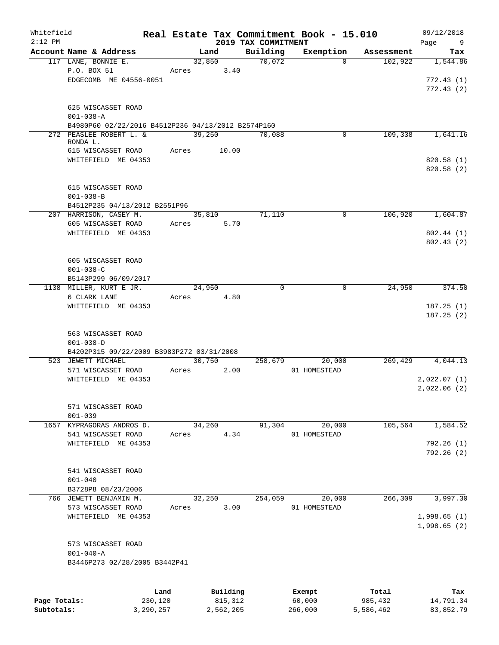| Whitefield   |                                                    |           |       |                |                     | Real Estate Tax Commitment Book - 15.010 |                     | 09/12/2018      |
|--------------|----------------------------------------------------|-----------|-------|----------------|---------------------|------------------------------------------|---------------------|-----------------|
| $2:12$ PM    | Account Name & Address                             |           |       |                | 2019 TAX COMMITMENT |                                          | Assessment          | Page<br>9       |
|              | 117 LANE, BONNIE E.                                |           |       | Land<br>32,850 | Building<br>70,072  | Exemption                                | 102,922<br>$\Omega$ | Tax<br>1,544.86 |
|              | P.O. BOX 51                                        |           | Acres | 3.40           |                     |                                          |                     |                 |
|              | EDGECOMB ME 04556-0051                             |           |       |                |                     |                                          |                     | 772.43(1)       |
|              |                                                    |           |       |                |                     |                                          |                     | 772.43(2)       |
|              |                                                    |           |       |                |                     |                                          |                     |                 |
|              | 625 WISCASSET ROAD                                 |           |       |                |                     |                                          |                     |                 |
|              | $001 - 038 - A$                                    |           |       |                |                     |                                          |                     |                 |
|              | B4980P60 02/22/2016 B4512P236 04/13/2012 B2574P160 |           |       |                |                     |                                          |                     |                 |
|              | 272 PEASLEE ROBERT L. &                            |           |       | 39,250         | 70,088              | $\Omega$                                 | 109,338             | 1,641.16        |
|              | RONDA L.                                           |           |       |                |                     |                                          |                     |                 |
|              | 615 WISCASSET ROAD                                 |           |       | Acres 10.00    |                     |                                          |                     |                 |
|              | WHITEFIELD ME 04353                                |           |       |                |                     |                                          |                     | 820.58(1)       |
|              |                                                    |           |       |                |                     |                                          |                     | 820.58 (2)      |
|              | 615 WISCASSET ROAD                                 |           |       |                |                     |                                          |                     |                 |
|              | $001 - 038 - B$                                    |           |       |                |                     |                                          |                     |                 |
|              | B4512P235 04/13/2012 B2551P96                      |           |       |                |                     |                                          |                     |                 |
|              | 207 HARRISON, CASEY M.                             |           |       | 35,810         | 71,110              | 0                                        | 106,920             | 1,604.87        |
|              | 605 WISCASSET ROAD                                 |           | Acres | 5.70           |                     |                                          |                     |                 |
|              | WHITEFIELD ME 04353                                |           |       |                |                     |                                          |                     | 802.44(1)       |
|              |                                                    |           |       |                |                     |                                          |                     | 802.43(2)       |
|              |                                                    |           |       |                |                     |                                          |                     |                 |
|              | 605 WISCASSET ROAD                                 |           |       |                |                     |                                          |                     |                 |
|              | $001 - 038 - C$                                    |           |       |                |                     |                                          |                     |                 |
|              | B5143P299 06/09/2017                               |           |       |                |                     |                                          |                     |                 |
|              | 1138 MILLER, KURT E JR.                            |           |       | 24,950         |                     | $\Omega$<br>$\Omega$                     | 24,950              | 374.50          |
|              | 6 CLARK LANE                                       |           | Acres | 4.80           |                     |                                          |                     |                 |
|              | WHITEFIELD ME 04353                                |           |       |                |                     |                                          |                     | 187.25(1)       |
|              |                                                    |           |       |                |                     |                                          |                     | 187.25(2)       |
|              |                                                    |           |       |                |                     |                                          |                     |                 |
|              | 563 WISCASSET ROAD                                 |           |       |                |                     |                                          |                     |                 |
|              | $001 - 038 - D$                                    |           |       |                |                     |                                          |                     |                 |
|              | B4202P315 09/22/2009 B3983P272 03/31/2008          |           |       |                |                     |                                          |                     |                 |
|              | 523 JEWETT MICHAEL<br>571 WISCASSET ROAD           |           | Acres | 30,750<br>2.00 | 258,679             | 20,000<br>01 HOMESTEAD                   | 269,429             | 4,044.13        |
|              | WHITEFIELD ME 04353                                |           |       |                |                     |                                          |                     | 2,022.07(1)     |
|              |                                                    |           |       |                |                     |                                          |                     | 2,022.06(2)     |
|              |                                                    |           |       |                |                     |                                          |                     |                 |
|              | 571 WISCASSET ROAD                                 |           |       |                |                     |                                          |                     |                 |
|              | $001 - 039$                                        |           |       |                |                     |                                          |                     |                 |
|              | 1657 KYPRAGORAS ANDROS D.                          |           |       | 34,260         | 91,304              | 20,000                                   | 105,564             | 1,584.52        |
|              | 541 WISCASSET ROAD                                 |           | Acres | 4.34           |                     | 01 HOMESTEAD                             |                     |                 |
|              | WHITEFIELD ME 04353                                |           |       |                |                     |                                          |                     | 792.26(1)       |
|              |                                                    |           |       |                |                     |                                          |                     | 792.26 (2)      |
|              |                                                    |           |       |                |                     |                                          |                     |                 |
|              | 541 WISCASSET ROAD                                 |           |       |                |                     |                                          |                     |                 |
|              | $001 - 040$                                        |           |       |                |                     |                                          |                     |                 |
|              | B3728P8 08/23/2006                                 |           |       |                |                     |                                          |                     |                 |
|              | 766 JEWETT BENJAMIN M.                             |           |       | 32,250         | 254,059             | 20,000                                   | 266, 309            | 3,997.30        |
|              | 573 WISCASSET ROAD                                 |           | Acres | 3.00           |                     | 01 HOMESTEAD                             |                     |                 |
|              | WHITEFIELD ME 04353                                |           |       |                |                     |                                          |                     | 1,998.65(1)     |
|              |                                                    |           |       |                |                     |                                          |                     | 1,998.65(2)     |
|              | 573 WISCASSET ROAD                                 |           |       |                |                     |                                          |                     |                 |
|              | $001 - 040 - A$                                    |           |       |                |                     |                                          |                     |                 |
|              | B3446P273 02/28/2005 B3442P41                      |           |       |                |                     |                                          |                     |                 |
|              |                                                    |           |       |                |                     |                                          |                     |                 |
|              |                                                    |           |       |                |                     |                                          |                     |                 |
|              |                                                    | Land      |       | Building       |                     | Exempt                                   | Total               | Tax             |
| Page Totals: |                                                    | 230,120   |       | 815,312        |                     | 60,000                                   | 985,432             | 14,791.34       |
| Subtotals:   |                                                    | 3,290,257 |       | 2,562,205      |                     | 266,000                                  | 5,586,462           | 83,852.79       |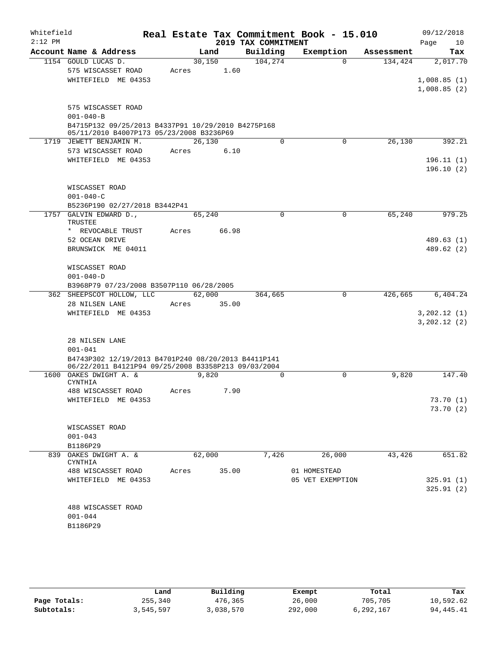| Whitefield<br>$2:12$ PM |                 |                                                     |       |        |             | Real Estate Tax Commitment Book - 15.010<br>2019 TAX COMMITMENT |              |                  |            | 09/12/2018<br>Page | 10  |
|-------------------------|-----------------|-----------------------------------------------------|-------|--------|-------------|-----------------------------------------------------------------|--------------|------------------|------------|--------------------|-----|
|                         |                 | Account Name & Address                              |       | Land   |             | Building                                                        |              | Exemption        | Assessment |                    | Tax |
|                         |                 | 1154 GOULD LUCAS D.                                 |       | 30,150 |             | 104, 274                                                        |              | $\Omega$         | 134,424    | 2,017.70           |     |
|                         |                 | 575 WISCASSET ROAD                                  | Acres |        | 1.60        |                                                                 |              |                  |            |                    |     |
|                         |                 | WHITEFIELD ME 04353                                 |       |        |             |                                                                 |              |                  |            | 1,008.85(1)        |     |
|                         |                 |                                                     |       |        |             |                                                                 |              |                  |            | 1,008.85(2)        |     |
|                         |                 | 575 WISCASSET ROAD                                  |       |        |             |                                                                 |              |                  |            |                    |     |
|                         | $001 - 040 - B$ |                                                     |       |        |             |                                                                 |              |                  |            |                    |     |
|                         |                 | B4715P132 09/25/2013 B4337P91 10/29/2010 B4275P168  |       |        |             |                                                                 |              |                  |            |                    |     |
|                         |                 | 05/11/2010 B4007P173 05/23/2008 B3236P69            |       |        |             |                                                                 |              |                  |            |                    |     |
|                         |                 | 1719 JEWETT BENJAMIN M.                             |       | 26,130 |             | $\Omega$                                                        |              | $\mathbf 0$      | 26,130     | 392.21             |     |
|                         |                 | 573 WISCASSET ROAD                                  | Acres |        | 6.10        |                                                                 |              |                  |            |                    |     |
|                         |                 | WHITEFIELD ME 04353                                 |       |        |             |                                                                 |              |                  |            | 196.11(1)          |     |
|                         |                 |                                                     |       |        |             |                                                                 |              |                  |            | 196.10(2)          |     |
|                         |                 | WISCASSET ROAD                                      |       |        |             |                                                                 |              |                  |            |                    |     |
|                         | $001 - 040 - C$ |                                                     |       |        |             |                                                                 |              |                  |            |                    |     |
|                         |                 | B5236P190 02/27/2018 B3442P41                       |       |        |             |                                                                 |              |                  |            |                    |     |
|                         |                 | 1757 GALVIN EDWARD D.,                              |       | 65,240 |             | 0                                                               |              | $\mathbf 0$      | 65,240     | 979.25             |     |
|                         | <b>TRUSTEE</b>  |                                                     |       |        |             |                                                                 |              |                  |            |                    |     |
|                         |                 | * REVOCABLE TRUST                                   | Acres |        | 66.98       |                                                                 |              |                  |            |                    |     |
|                         |                 | 52 OCEAN DRIVE                                      |       |        |             |                                                                 |              |                  |            | 489.63(1)          |     |
|                         |                 | BRUNSWICK ME 04011                                  |       |        |             |                                                                 |              |                  |            | 489.62 (2)         |     |
|                         |                 | WISCASSET ROAD                                      |       |        |             |                                                                 |              |                  |            |                    |     |
|                         | $001 - 040 - D$ |                                                     |       |        |             |                                                                 |              |                  |            |                    |     |
|                         |                 | B3968P79 07/23/2008 B3507P110 06/28/2005            |       |        |             |                                                                 |              |                  |            |                    |     |
|                         |                 | 362 SHEEPSCOT HOLLOW, LLC                           |       | 62,000 |             | 364,665                                                         |              | $\Omega$         | 426,665    | 6,404.24           |     |
|                         |                 | 28 NILSEN LANE                                      |       |        | Acres 35.00 |                                                                 |              |                  |            |                    |     |
|                         |                 | WHITEFIELD ME 04353                                 |       |        |             |                                                                 |              |                  |            | 3,202.12(1)        |     |
|                         |                 |                                                     |       |        |             |                                                                 |              |                  |            | 3,202.12(2)        |     |
|                         |                 | 28 NILSEN LANE                                      |       |        |             |                                                                 |              |                  |            |                    |     |
|                         | $001 - 041$     |                                                     |       |        |             |                                                                 |              |                  |            |                    |     |
|                         |                 | B4743P302 12/19/2013 B4701P240 08/20/2013 B4411P141 |       |        |             |                                                                 |              |                  |            |                    |     |
|                         |                 | 06/22/2011 B4121P94 09/25/2008 B3358P213 09/03/2004 |       |        |             |                                                                 |              |                  |            |                    |     |
|                         | <b>CYNTHIA</b>  | 1600 OAKES DWIGHT A. &                              |       | 9,820  |             | $\Omega$                                                        |              | $\Omega$         | 9,820      | 147.40             |     |
|                         |                 | 488 WISCASSET ROAD                                  | Acres |        | 7.90        |                                                                 |              |                  |            |                    |     |
|                         |                 | WHITEFIELD ME 04353                                 |       |        |             |                                                                 |              |                  |            | 73.70 (1)          |     |
|                         |                 |                                                     |       |        |             |                                                                 |              |                  |            | 73.70(2)           |     |
|                         |                 |                                                     |       |        |             |                                                                 |              |                  |            |                    |     |
|                         |                 | WISCASSET ROAD                                      |       |        |             |                                                                 |              |                  |            |                    |     |
|                         | $001 - 043$     |                                                     |       |        |             |                                                                 |              |                  |            |                    |     |
|                         | B1186P29        | 839 OAKES DWIGHT A. &                               |       | 62,000 |             | 7,426                                                           |              | 26,000           | 43,426     | 651.82             |     |
|                         | CYNTHIA         |                                                     |       |        |             |                                                                 |              |                  |            |                    |     |
|                         |                 | 488 WISCASSET ROAD                                  |       |        | Acres 35.00 |                                                                 | 01 HOMESTEAD |                  |            |                    |     |
|                         |                 | WHITEFIELD ME 04353                                 |       |        |             |                                                                 |              | 05 VET EXEMPTION |            | 325.91(1)          |     |
|                         |                 |                                                     |       |        |             |                                                                 |              |                  |            | 325.91(2)          |     |
|                         |                 |                                                     |       |        |             |                                                                 |              |                  |            |                    |     |
|                         | $001 - 044$     | 488 WISCASSET ROAD                                  |       |        |             |                                                                 |              |                  |            |                    |     |
|                         | B1186P29        |                                                     |       |        |             |                                                                 |              |                  |            |                    |     |
|                         |                 |                                                     |       |        |             |                                                                 |              |                  |            |                    |     |

|              | Land      | Building  | Exempt  | Total     | Tax       |
|--------------|-----------|-----------|---------|-----------|-----------|
| Page Totals: | 255,340   | 476,365   | 26,000  | 705,705   | 10,592.62 |
| Subtotals:   | 3,545,597 | 3,038,570 | 292,000 | 6,292,167 | 94,445.41 |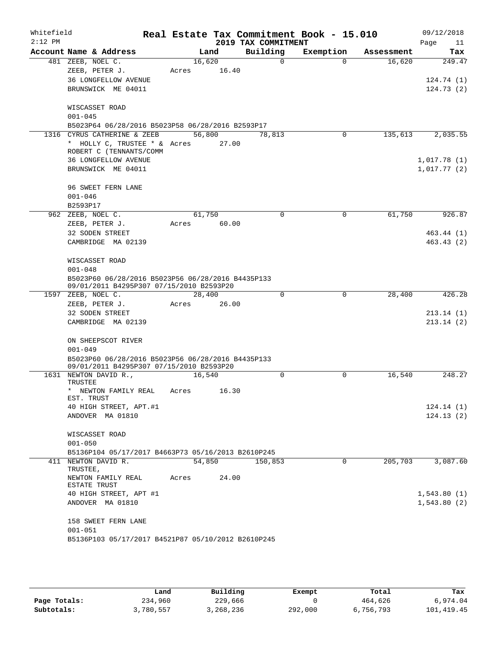| Whitefield<br>$2:12$ PM |                                                                                               |                 |       | 2019 TAX COMMITMENT | Real Estate Tax Commitment Book - 15.010 |            | 09/12/2018<br>Page<br>11         |
|-------------------------|-----------------------------------------------------------------------------------------------|-----------------|-------|---------------------|------------------------------------------|------------|----------------------------------|
|                         | Account Name & Address                                                                        |                 | Land  | Building            | Exemption                                | Assessment | Tax                              |
|                         | 481 ZEEB, NOEL C.<br>ZEEB, PETER J.<br><b>36 LONGFELLOW AVENUE</b><br>BRUNSWICK ME 04011      | 16,620<br>Acres | 16.40 | $\mathbf 0$         | $\Omega$                                 | 16,620     | 249.47<br>124.74(1)<br>124.73(2) |
|                         | WISCASSET ROAD<br>$001 - 045$<br>B5023P64 06/28/2016 B5023P58 06/28/2016 B2593P17             |                 |       |                     |                                          |            |                                  |
|                         | 1316 CYRUS CATHERINE & ZEEB                                                                   | 56,800          |       | 78,813              | 0                                        | 135,613    | 2,035.55                         |
|                         | * HOLLY C, TRUSTEE * & Acres<br>ROBERT C (TENNANTS/COMM<br>36 LONGFELLOW AVENUE               |                 | 27.00 |                     |                                          |            | 1,017.78(1)                      |
|                         | BRUNSWICK ME 04011                                                                            |                 |       |                     |                                          |            | 1,017.77(2)                      |
|                         | 96 SWEET FERN LANE                                                                            |                 |       |                     |                                          |            |                                  |
|                         | $001 - 046$                                                                                   |                 |       |                     |                                          |            |                                  |
|                         | B2593P17                                                                                      |                 |       |                     |                                          |            |                                  |
|                         | 962 ZEEB, NOEL C.                                                                             | 61,750          |       | 0                   | $\mathbf 0$                              | 61,750     | 926.87                           |
|                         | ZEEB, PETER J.                                                                                | Acres           | 60.00 |                     |                                          |            |                                  |
|                         | 32 SODEN STREET<br>CAMBRIDGE MA 02139                                                         |                 |       |                     |                                          |            | 463.44 (1)<br>463.43(2)          |
|                         | WISCASSET ROAD<br>$001 - 048$                                                                 |                 |       |                     |                                          |            |                                  |
|                         | B5023P60 06/28/2016 B5023P56 06/28/2016 B4435P133<br>09/01/2011 B4295P307 07/15/2010 B2593P20 |                 |       |                     |                                          |            |                                  |
|                         | 1597 ZEEB, NOEL C.                                                                            | 28,400          |       | 0                   | 0                                        | 28,400     | 426.28                           |
|                         | ZEEB, PETER J.                                                                                | Acres           | 26.00 |                     |                                          |            |                                  |
|                         | 32 SODEN STREET                                                                               |                 |       |                     |                                          |            | 213.14(1)                        |
|                         | CAMBRIDGE MA 02139                                                                            |                 |       |                     |                                          |            | 213.14(2)                        |
|                         | ON SHEEPSCOT RIVER                                                                            |                 |       |                     |                                          |            |                                  |
|                         | $001 - 049$                                                                                   |                 |       |                     |                                          |            |                                  |
|                         | B5023P60 06/28/2016 B5023P56 06/28/2016 B4435P133<br>09/01/2011 B4295P307 07/15/2010 B2593P20 |                 |       |                     |                                          |            |                                  |
|                         | 1631 NEWTON DAVID R.,<br>TRUSTEE                                                              | 16,540          |       | $\Omega$            | $\Omega$                                 | 16,540     | 248.27                           |
|                         | * NEWTON FAMILY REAL<br>EST. TRUST                                                            | Acres           | 16.30 |                     |                                          |            |                                  |
|                         | 40 HIGH STREET, APT.#1                                                                        |                 |       |                     |                                          |            | 124.14(1)                        |
|                         | ANDOVER MA 01810                                                                              |                 |       |                     |                                          |            | 124.13(2)                        |
|                         | WISCASSET ROAD<br>$001 - 050$                                                                 |                 |       |                     |                                          |            |                                  |
|                         | B5136P104 05/17/2017 B4663P73 05/16/2013 B2610P245                                            |                 |       |                     |                                          |            |                                  |
|                         | 411 NEWTON DAVID R.<br>TRUSTEE,                                                               | 54,850          |       | 150,853             | $\Omega$                                 | 205,703    | 3,087.60                         |
|                         | NEWTON FAMILY REAL<br>ESTATE TRUST                                                            | Acres           | 24.00 |                     |                                          |            |                                  |
|                         | 40 HIGH STREET, APT #1                                                                        |                 |       |                     |                                          |            | 1,543.80(1)                      |
|                         | ANDOVER MA 01810                                                                              |                 |       |                     |                                          |            | 1,543.80(2)                      |
|                         | 158 SWEET FERN LANE<br>$001 - 051$                                                            |                 |       |                     |                                          |            |                                  |
|                         | B5136P103 05/17/2017 B4521P87 05/10/2012 B2610P245                                            |                 |       |                     |                                          |            |                                  |
|                         |                                                                                               |                 |       |                     |                                          |            |                                  |

|              | Land      | Building  | Exempt  | Total     | Tax        |
|--------------|-----------|-----------|---------|-----------|------------|
| Page Totals: | 234,960   | 229,666   |         | 464,626   | 6,974.04   |
| Subtotals:   | 3,780,557 | 3,268,236 | 292,000 | 6,756,793 | 101,419.45 |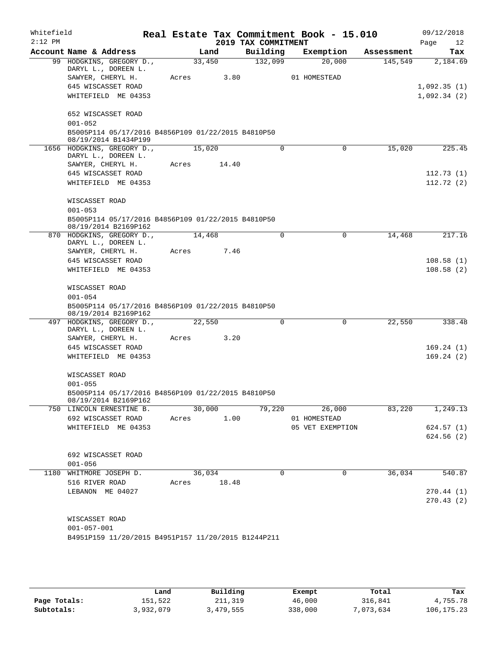| Whitefield<br>$2:12$ PM |                                                     |       |        |       | 2019 TAX COMMITMENT | Real Estate Tax Commitment Book - 15.010 |            | 09/12/2018<br>Page<br>12 |
|-------------------------|-----------------------------------------------------|-------|--------|-------|---------------------|------------------------------------------|------------|--------------------------|
|                         | Account Name & Address                              |       | Land   |       | Building            | Exemption                                | Assessment | Tax                      |
|                         | 99 HODGKINS, GREGORY D.,                            |       | 33,450 |       | 132,099             | 20,000                                   | 145,549    | 2,184.69                 |
|                         | DARYL L., DOREEN L.                                 |       |        |       |                     |                                          |            |                          |
|                         | SAWYER, CHERYL H.                                   | Acres |        | 3.80  |                     | 01 HOMESTEAD                             |            |                          |
|                         | 645 WISCASSET ROAD                                  |       |        |       |                     |                                          |            | 1,092.35(1)              |
|                         | WHITEFIELD ME 04353                                 |       |        |       |                     |                                          |            | 1,092.34(2)              |
|                         | 652 WISCASSET ROAD                                  |       |        |       |                     |                                          |            |                          |
|                         | $001 - 052$                                         |       |        |       |                     |                                          |            |                          |
|                         | B5005P114 05/17/2016 B4856P109 01/22/2015 B4810P50  |       |        |       |                     |                                          |            |                          |
|                         | 08/19/2014 B1434P199                                |       |        |       |                     |                                          |            |                          |
|                         | 1656 HODGKINS, GREGORY D.,                          |       | 15,020 |       | $\mathbf 0$         | $\mathbf 0$                              | 15,020     | 225.45                   |
|                         | DARYL L., DOREEN L.                                 |       |        |       |                     |                                          |            |                          |
|                         | SAWYER, CHERYL H.                                   | Acres |        | 14.40 |                     |                                          |            |                          |
|                         | 645 WISCASSET ROAD                                  |       |        |       |                     |                                          |            | 112.73(1)                |
|                         | WHITEFIELD ME 04353                                 |       |        |       |                     |                                          |            | 112.72(2)                |
|                         | WISCASSET ROAD                                      |       |        |       |                     |                                          |            |                          |
|                         | $001 - 053$                                         |       |        |       |                     |                                          |            |                          |
|                         | B5005P114 05/17/2016 B4856P109 01/22/2015 B4810P50  |       |        |       |                     |                                          |            |                          |
|                         | 08/19/2014 B2169P162                                |       |        |       |                     |                                          |            |                          |
|                         | 870 HODGKINS, GREGORY D.,                           |       | 14,468 |       | 0                   | $\mathbf 0$                              | 14,468     | 217.16                   |
|                         | DARYL L., DOREEN L.                                 |       |        | 7.46  |                     |                                          |            |                          |
|                         | SAWYER, CHERYL H.<br>645 WISCASSET ROAD             | Acres |        |       |                     |                                          |            |                          |
|                         |                                                     |       |        |       |                     |                                          |            | 108.58(1)                |
|                         | WHITEFIELD ME 04353                                 |       |        |       |                     |                                          |            | 108.58(2)                |
|                         | WISCASSET ROAD                                      |       |        |       |                     |                                          |            |                          |
|                         | $001 - 054$                                         |       |        |       |                     |                                          |            |                          |
|                         | B5005P114 05/17/2016 B4856P109 01/22/2015 B4810P50  |       |        |       |                     |                                          |            |                          |
|                         | 08/19/2014 B2169P162                                |       |        |       |                     |                                          |            |                          |
|                         | 497 HODGKINS, GREGORY D.,                           |       | 22,550 |       | $\mathbf 0$         | $\mathbf 0$                              | 22,550     | 338.48                   |
|                         | DARYL L., DOREEN L.                                 |       |        |       |                     |                                          |            |                          |
|                         | SAWYER, CHERYL H.                                   | Acres |        | 3.20  |                     |                                          |            |                          |
|                         | 645 WISCASSET ROAD                                  |       |        |       |                     |                                          |            | 169.24(1)                |
|                         | WHITEFIELD ME 04353                                 |       |        |       |                     |                                          |            | 169.24(2)                |
|                         | WISCASSET ROAD                                      |       |        |       |                     |                                          |            |                          |
|                         | $001 - 055$                                         |       |        |       |                     |                                          |            |                          |
|                         | B5005P114 05/17/2016 B4856P109 01/22/2015 B4810P50  |       |        |       |                     |                                          |            |                          |
|                         | 08/19/2014 B2169P162                                |       |        |       |                     |                                          |            |                          |
|                         | 750 LINCOLN ERNESTINE B.                            |       | 30,000 |       | 79,220              | 26,000                                   | 83,220     | 1,249.13                 |
|                         | 692 WISCASSET ROAD                                  | Acres |        | 1.00  |                     | 01 HOMESTEAD                             |            |                          |
|                         | WHITEFIELD ME 04353                                 |       |        |       |                     | 05 VET EXEMPTION                         |            | 624.57 (1)               |
|                         |                                                     |       |        |       |                     |                                          |            | 624.56 (2)               |
|                         |                                                     |       |        |       |                     |                                          |            |                          |
|                         | 692 WISCASSET ROAD                                  |       |        |       |                     |                                          |            |                          |
|                         | $001 - 056$                                         |       | 36,034 |       | 0                   | 0                                        | 36,034     | 540.87                   |
|                         | 1180 WHITMORE JOSEPH D.<br>516 RIVER ROAD           | Acres |        | 18.48 |                     |                                          |            |                          |
|                         | LEBANON ME 04027                                    |       |        |       |                     |                                          |            | 270.44(1)                |
|                         |                                                     |       |        |       |                     |                                          |            | 270.43(2)                |
|                         |                                                     |       |        |       |                     |                                          |            |                          |
|                         | WISCASSET ROAD                                      |       |        |       |                     |                                          |            |                          |
|                         | $001 - 057 - 001$                                   |       |        |       |                     |                                          |            |                          |
|                         | B4951P159 11/20/2015 B4951P157 11/20/2015 B1244P211 |       |        |       |                     |                                          |            |                          |
|                         |                                                     |       |        |       |                     |                                          |            |                          |
|                         |                                                     |       |        |       |                     |                                          |            |                          |

|              | Land      | Building  | Exempt  | Total     | Tax          |
|--------------|-----------|-----------|---------|-----------|--------------|
| Page Totals: | 151,522   | 211,319   | 46,000  | 316,841   | 4,755.78     |
| Subtotals:   | 3,932,079 | 3,479,555 | 338,000 | 7,073,634 | 106, 175. 23 |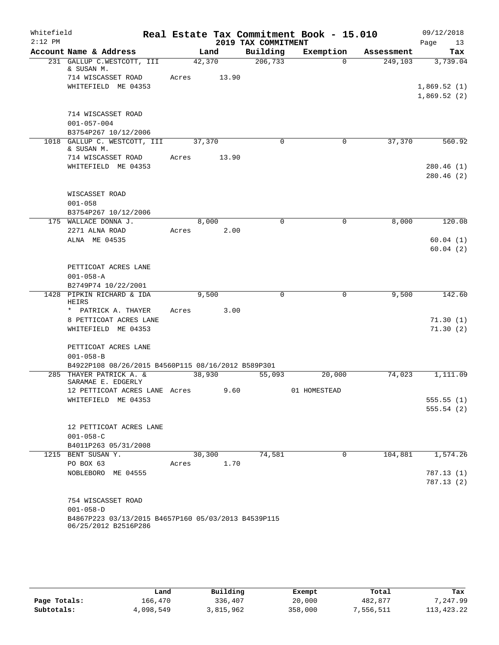| Whitefield |                                                                             |       |        |       |                     | Real Estate Tax Commitment Book - 15.010 |            | 09/12/2018  |
|------------|-----------------------------------------------------------------------------|-------|--------|-------|---------------------|------------------------------------------|------------|-------------|
| $2:12$ PM  |                                                                             |       |        |       | 2019 TAX COMMITMENT |                                          |            | Page<br>13  |
|            | Account Name & Address                                                      |       | Land   |       | Building            | Exemption                                | Assessment | Tax         |
|            | 231 GALLUP C.WESTCOTT, III<br>& SUSAN M.                                    |       | 42,370 |       | 206, 733            | $\Omega$                                 | 249,103    | 3,739.04    |
|            | 714 WISCASSET ROAD                                                          | Acres |        | 13.90 |                     |                                          |            |             |
|            | WHITEFIELD ME 04353                                                         |       |        |       |                     |                                          |            | 1,869.52(1) |
|            |                                                                             |       |        |       |                     |                                          |            | 1,869.52(2) |
|            | 714 WISCASSET ROAD                                                          |       |        |       |                     |                                          |            |             |
|            | $001 - 057 - 004$                                                           |       |        |       |                     |                                          |            |             |
|            | B3754P267 10/12/2006                                                        |       |        |       |                     |                                          |            |             |
|            | 1018 GALLUP C. WESTCOTT, III                                                |       | 37,370 |       | $\Omega$            | 0                                        | 37,370     | 560.92      |
|            | & SUSAN M.                                                                  |       |        |       |                     |                                          |            |             |
|            | 714 WISCASSET ROAD                                                          | Acres |        | 13.90 |                     |                                          |            |             |
|            | WHITEFIELD ME 04353                                                         |       |        |       |                     |                                          |            | 280.46(1)   |
|            |                                                                             |       |        |       |                     |                                          |            | 280.46(2)   |
|            | WISCASSET ROAD                                                              |       |        |       |                     |                                          |            |             |
|            | $001 - 058$                                                                 |       |        |       |                     |                                          |            |             |
|            | B3754P267 10/12/2006                                                        |       |        |       |                     |                                          |            |             |
|            | 175 WALLACE DONNA J.                                                        |       | 8,000  |       | $\mathbf 0$         | 0                                        | 8,000      | 120.08      |
|            | 2271 ALNA ROAD                                                              | Acres |        | 2.00  |                     |                                          |            |             |
|            | ALNA ME 04535                                                               |       |        |       |                     |                                          |            | 60.04(1)    |
|            |                                                                             |       |        |       |                     |                                          |            | 60.04(2)    |
|            |                                                                             |       |        |       |                     |                                          |            |             |
|            | PETTICOAT ACRES LANE                                                        |       |        |       |                     |                                          |            |             |
|            | $001 - 058 - A$<br>B2749P74 10/22/2001                                      |       |        |       |                     |                                          |            |             |
|            | 1428 PIPKIN RICHARD & IDA                                                   |       | 9,500  |       | 0                   | 0                                        | 9,500      | 142.60      |
|            | HEIRS                                                                       |       |        |       |                     |                                          |            |             |
|            | * PATRICK A. THAYER                                                         | Acres |        | 3.00  |                     |                                          |            |             |
|            | 8 PETTICOAT ACRES LANE                                                      |       |        |       |                     |                                          |            | 71.30(1)    |
|            | WHITEFIELD ME 04353                                                         |       |        |       |                     |                                          |            | 71.30(2)    |
|            |                                                                             |       |        |       |                     |                                          |            |             |
|            | PETTICOAT ACRES LANE                                                        |       |        |       |                     |                                          |            |             |
|            | $001 - 058 - B$<br>B4922P108 08/26/2015 B4560P115 08/16/2012 B589P301       |       |        |       |                     |                                          |            |             |
|            | 285 THAYER PATRICK A. &                                                     |       | 38,930 |       | $\overline{55,093}$ | 20,000                                   | 74,023     | 1,111.09    |
|            | SARAMAE E. EDGERLY                                                          |       |        |       |                     |                                          |            |             |
|            | 12 PETTICOAT ACRES LANE Acres                                               |       |        | 9.60  |                     | 01 HOMESTEAD                             |            |             |
|            | WHITEFIELD ME 04353                                                         |       |        |       |                     |                                          |            | 555.55(1)   |
|            |                                                                             |       |        |       |                     |                                          |            | 555.54(2)   |
|            | 12 PETTICOAT ACRES LANE                                                     |       |        |       |                     |                                          |            |             |
|            | $001 - 058 - C$                                                             |       |        |       |                     |                                          |            |             |
|            | B4011P263 05/31/2008                                                        |       |        |       |                     |                                          |            |             |
|            | 1215 BENT SUSAN Y.                                                          |       | 30,300 |       | 74,581              | 0                                        | 104,881    | 1,574.26    |
|            | PO BOX 63                                                                   | Acres |        | 1.70  |                     |                                          |            |             |
|            | NOBLEBORO ME 04555                                                          |       |        |       |                     |                                          |            | 787.13 (1)  |
|            |                                                                             |       |        |       |                     |                                          |            | 787.13(2)   |
|            |                                                                             |       |        |       |                     |                                          |            |             |
|            | 754 WISCASSET ROAD                                                          |       |        |       |                     |                                          |            |             |
|            | $001 - 058 - D$                                                             |       |        |       |                     |                                          |            |             |
|            | B4867P223 03/13/2015 B4657P160 05/03/2013 B4539P115<br>06/25/2012 B2516P286 |       |        |       |                     |                                          |            |             |
|            |                                                                             |       |        |       |                     |                                          |            |             |

|              | Land      | Building  | Exempt  | Total     | Tax        |
|--------------|-----------|-----------|---------|-----------|------------|
| Page Totals: | 166,470   | 336,407   | 20,000  | 482,877   | 7,247.99   |
| Subtotals:   | 4,098,549 | 3,815,962 | 358,000 | 1,556,511 | 113,423.22 |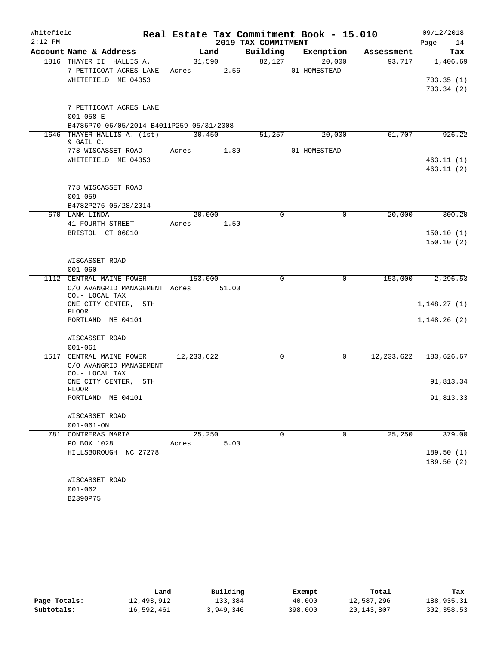| Whitefield |                                                                           |                      |       |                     | Real Estate Tax Commitment Book - 15.010 |              | 09/12/2018             |
|------------|---------------------------------------------------------------------------|----------------------|-------|---------------------|------------------------------------------|--------------|------------------------|
| $2:12$ PM  |                                                                           |                      |       | 2019 TAX COMMITMENT |                                          |              | Page<br>14             |
|            | Account Name & Address                                                    | Land                 |       | Building            | Exemption                                | Assessment   | Tax                    |
|            | 1816 THAYER II HALLIS A.<br>7 PETTICOAT ACRES LANE<br>WHITEFIELD ME 04353 | 31,590<br>Acres 2.56 |       | 82,127              | $\overline{20,000}$<br>01 HOMESTEAD      | 93,717       | 1,406.69<br>703.35(1)  |
|            | 7 PETTICOAT ACRES LANE<br>$001 - 058 - E$                                 |                      |       |                     |                                          |              | 703.34(2)              |
|            | B4786P70 06/05/2014 B4011P259 05/31/2008                                  |                      |       |                     |                                          |              |                        |
|            | 1646 THAYER HALLIS A. (1st)<br>& GAIL C.<br>778 WISCASSET ROAD            | 30,450<br>Acres 1.80 |       | 51,257              | 20,000<br>01 HOMESTEAD                   | 61,707       | 926.22                 |
|            | WHITEFIELD ME 04353                                                       |                      |       |                     |                                          |              | 463.11(1)<br>463.11(2) |
|            | 778 WISCASSET ROAD<br>$001 - 059$<br>B4782P276 05/28/2014                 |                      |       |                     |                                          |              |                        |
|            | 670 LANK LINDA                                                            | 20,000               |       | $\mathbf 0$         | $\mathbf 0$                              | 20,000       | 300.20                 |
|            | 41 FOURTH STREET                                                          | Acres 1.50           |       |                     |                                          |              |                        |
|            | BRISTOL CT 06010                                                          |                      |       |                     |                                          |              | 150.10(1)<br>150.10(2) |
|            | WISCASSET ROAD<br>$001 - 060$                                             |                      |       |                     |                                          |              |                        |
|            | 1112 CENTRAL MAINE POWER                                                  | 153,000              |       | $\Omega$            | $\mathbf 0$                              | 153,000      | 2,296.53               |
|            | C/O AVANGRID MANAGEMENT Acres<br>CO.- LOCAL TAX                           |                      | 51.00 |                     |                                          |              |                        |
|            | ONE CITY CENTER, 5TH<br><b>FLOOR</b>                                      |                      |       |                     |                                          |              | 1,148.27(1)            |
|            | PORTLAND ME 04101                                                         |                      |       |                     |                                          |              | 1,148.26(2)            |
|            | WISCASSET ROAD<br>$001 - 061$                                             |                      |       |                     |                                          |              |                        |
|            | 1517 CENTRAL MAINE POWER                                                  | 12, 233, 622         |       | $\Omega$            | 0                                        | 12, 233, 622 | 183,626.67             |
|            | C/O AVANGRID MANAGEMENT<br>CO.- LOCAL TAX                                 |                      |       |                     |                                          |              |                        |
|            | ONE CITY CENTER,<br>5TH<br><b>FLOOR</b>                                   |                      |       |                     |                                          |              | 91,813.34              |
|            | PORTLAND ME 04101                                                         |                      |       |                     |                                          |              | 91,813.33              |
|            | WISCASSET ROAD                                                            |                      |       |                     |                                          |              |                        |
|            | $001 - 061 - ON$                                                          |                      |       |                     |                                          |              |                        |
|            | 781 CONTRERAS MARIA                                                       | 25,250               |       | 0                   | 0                                        | 25, 250      | 379.00                 |
|            | PO BOX 1028<br>HILLSBOROUGH NC 27278                                      | Acres                | 5.00  |                     |                                          |              | 189.50(1)<br>189.50(2) |
|            | WISCASSET ROAD                                                            |                      |       |                     |                                          |              |                        |
|            | $001 - 062$                                                               |                      |       |                     |                                          |              |                        |
|            | B2390P75                                                                  |                      |       |                     |                                          |              |                        |

|              | Land       | Building  | Exempt  | Total        | Tax        |
|--------------|------------|-----------|---------|--------------|------------|
| Page Totals: | 12,493,912 | 133,384   | 40,000  | 12,587,296   | 188,935.31 |
| Subtotals:   | 16,592,461 | 3,949,346 | 398,000 | 20, 143, 807 | 302,358.53 |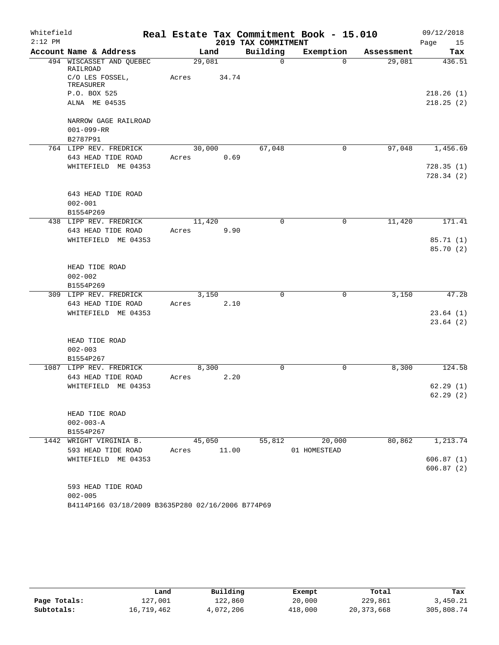| Whitefield |                                                   |       |        |       |                     | Real Estate Tax Commitment Book - 15.010 |            | 09/12/2018             |
|------------|---------------------------------------------------|-------|--------|-------|---------------------|------------------------------------------|------------|------------------------|
| $2:12$ PM  |                                                   |       |        |       | 2019 TAX COMMITMENT |                                          |            | 15<br>Page             |
|            | Account Name & Address                            |       | Land   |       | Building            | Exemption                                | Assessment | Tax                    |
|            | 494 WISCASSET AND QUEBEC<br>RAILROAD              |       | 29,081 |       | $\mathbf 0$         | $\Omega$                                 | 29,081     | 436.51                 |
|            | C/O LES FOSSEL,<br>TREASURER                      | Acres |        | 34.74 |                     |                                          |            |                        |
|            | P.O. BOX 525                                      |       |        |       |                     |                                          |            | 218.26(1)              |
|            | ALNA ME 04535                                     |       |        |       |                     |                                          |            | 218.25(2)              |
|            | NARROW GAGE RAILROAD                              |       |        |       |                     |                                          |            |                        |
|            | $001 - 099 - RR$                                  |       |        |       |                     |                                          |            |                        |
|            | B2787P91                                          |       |        |       |                     |                                          |            |                        |
|            | 764 LIPP REV. FREDRICK                            |       | 30,000 |       | 67,048              | $\mathbf 0$                              | 97,048     | 1,456.69               |
|            | 643 HEAD TIDE ROAD                                | Acres |        | 0.69  |                     |                                          |            |                        |
|            | WHITEFIELD ME 04353                               |       |        |       |                     |                                          |            | 728.35(1)<br>728.34(2) |
|            | 643 HEAD TIDE ROAD                                |       |        |       |                     |                                          |            |                        |
|            | $002 - 001$                                       |       |        |       |                     |                                          |            |                        |
|            | B1554P269                                         |       |        |       |                     |                                          |            |                        |
|            | 438 LIPP REV. FREDRICK                            |       | 11,420 |       | $\Omega$            | $\mathbf 0$                              | 11,420     | 171.41                 |
|            | 643 HEAD TIDE ROAD                                | Acres |        | 9.90  |                     |                                          |            |                        |
|            | WHITEFIELD ME 04353                               |       |        |       |                     |                                          |            | 85.71 (1)              |
|            |                                                   |       |        |       |                     |                                          |            | 85.70 (2)              |
|            | HEAD TIDE ROAD                                    |       |        |       |                     |                                          |            |                        |
|            | $002 - 002$                                       |       |        |       |                     |                                          |            |                        |
|            | B1554P269                                         |       |        |       |                     |                                          |            |                        |
|            | 309 LIPP REV. FREDRICK                            |       | 3,150  |       | 0                   | 0                                        | 3,150      | 47.28                  |
|            | 643 HEAD TIDE ROAD                                | Acres |        | 2.10  |                     |                                          |            |                        |
|            | WHITEFIELD ME 04353                               |       |        |       |                     |                                          |            | 23.64(1)               |
|            |                                                   |       |        |       |                     |                                          |            | 23.64(2)               |
|            | HEAD TIDE ROAD                                    |       |        |       |                     |                                          |            |                        |
|            | $002 - 003$                                       |       |        |       |                     |                                          |            |                        |
|            | B1554P267                                         |       |        |       |                     |                                          |            |                        |
|            | 1087 LIPP REV. FREDRICK                           | Acres | 8,300  | 2.20  | 0                   | 0                                        | 8,300      | 124.58                 |
|            | 643 HEAD TIDE ROAD<br>WHITEFIELD ME 04353         |       |        |       |                     |                                          |            | 62.29(1)               |
|            |                                                   |       |        |       |                     |                                          |            | 62.29(2)               |
|            |                                                   |       |        |       |                     |                                          |            |                        |
|            | HEAD TIDE ROAD                                    |       |        |       |                     |                                          |            |                        |
|            | $002 - 003 - A$                                   |       |        |       |                     |                                          |            |                        |
|            | B1554P267                                         |       |        |       |                     |                                          |            |                        |
|            | 1442 WRIGHT VIRGINIA B.                           |       | 45,050 |       | 55,812              | 20,000                                   | 80,862     | 1, 213.74              |
|            | 593 HEAD TIDE ROAD                                | Acres |        | 11.00 |                     | 01 HOMESTEAD                             |            |                        |
|            | WHITEFIELD ME 04353                               |       |        |       |                     |                                          |            | 606.87(1)<br>606.87(2) |
|            | 593 HEAD TIDE ROAD                                |       |        |       |                     |                                          |            |                        |
|            | $002 - 005$                                       |       |        |       |                     |                                          |            |                        |
|            | B4114P166 03/18/2009 B3635P280 02/16/2006 B774P69 |       |        |       |                     |                                          |            |                        |

|              | Land       | Building  | Exempt  | Total      | Tax        |
|--------------|------------|-----------|---------|------------|------------|
| Page Totals: | 127,001    | 122,860   | 20,000  | 229,861    | 3,450.21   |
| Subtotals:   | 16,719,462 | 4,072,206 | 418,000 | 20,373,668 | 305,808.74 |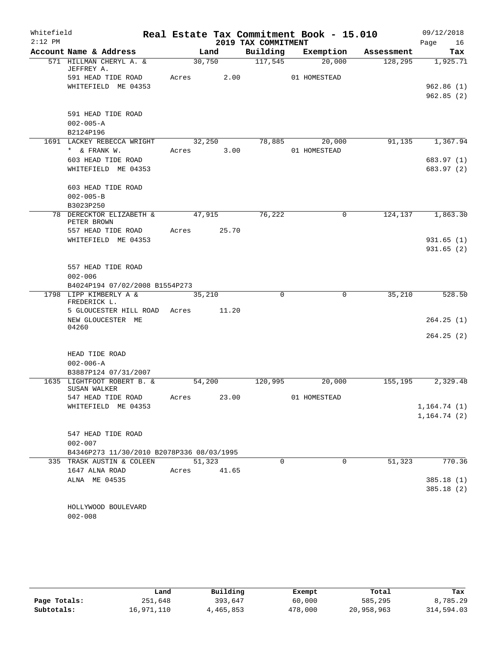| Whitefield |                                                          |       |        |                     | Real Estate Tax Commitment Book - 15.010 |            | 09/12/2018             |
|------------|----------------------------------------------------------|-------|--------|---------------------|------------------------------------------|------------|------------------------|
| $2:12$ PM  |                                                          |       |        | 2019 TAX COMMITMENT |                                          |            | 16<br>Page             |
|            | Account Name & Address                                   |       | Land   | Building            | Exemption                                | Assessment | Tax                    |
|            | 571 HILLMAN CHERYL A. &<br>JEFFREY A.                    |       | 30,750 | 117,545             | 20,000                                   | 128,295    | 1,925.71               |
|            | 591 HEAD TIDE ROAD                                       | Acres | 2.00   |                     | 01 HOMESTEAD                             |            |                        |
|            | WHITEFIELD ME 04353                                      |       |        |                     |                                          |            | 962.86(1)              |
|            |                                                          |       |        |                     |                                          |            | 962.85(2)              |
|            |                                                          |       |        |                     |                                          |            |                        |
|            | 591 HEAD TIDE ROAD                                       |       |        |                     |                                          |            |                        |
|            | $002 - 005 - A$                                          |       |        |                     |                                          |            |                        |
|            | B2124P196                                                |       |        |                     |                                          |            |                        |
|            | 1691 LACKEY REBECCA WRIGHT                               |       | 32,250 | 78,885              | 20,000                                   | 91,135     | 1,367.94               |
|            | * & FRANK W.                                             | Acres | 3.00   |                     | 01 HOMESTEAD                             |            |                        |
|            | 603 HEAD TIDE ROAD                                       |       |        |                     |                                          |            | 683.97 (1)             |
|            | WHITEFIELD ME 04353                                      |       |        |                     |                                          |            | 683.97 (2)             |
|            |                                                          |       |        |                     |                                          |            |                        |
|            | 603 HEAD TIDE ROAD                                       |       |        |                     |                                          |            |                        |
|            | $002 - 005 - B$<br>B3023P250                             |       |        |                     |                                          |            |                        |
|            | 78 DERECKTOR ELIZABETH &                                 |       | 47,915 | 76,222              | $\mathbf 0$                              | 124,137    | 1,863.30               |
|            | PETER BROWN                                              |       |        |                     |                                          |            |                        |
|            | 557 HEAD TIDE ROAD                                       | Acres | 25.70  |                     |                                          |            |                        |
|            | WHITEFIELD ME 04353                                      |       |        |                     |                                          |            | 931.65(1)              |
|            |                                                          |       |        |                     |                                          |            | 931.65(2)              |
|            |                                                          |       |        |                     |                                          |            |                        |
|            | 557 HEAD TIDE ROAD                                       |       |        |                     |                                          |            |                        |
|            | $002 - 006$                                              |       |        |                     |                                          |            |                        |
|            | B4024P194 07/02/2008 B1554P273<br>1798 LIPP KIMBERLY A & |       |        | $\Omega$            | $\mathbf 0$                              | 35,210     | 528.50                 |
|            | FREDERICK L.                                             |       | 35,210 |                     |                                          |            |                        |
|            | 5 GLOUCESTER HILL ROAD Acres                             |       | 11.20  |                     |                                          |            |                        |
|            | NEW GLOUCESTER ME                                        |       |        |                     |                                          |            | 264.25(1)              |
|            | 04260                                                    |       |        |                     |                                          |            |                        |
|            |                                                          |       |        |                     |                                          |            | 264.25(2)              |
|            |                                                          |       |        |                     |                                          |            |                        |
|            | HEAD TIDE ROAD                                           |       |        |                     |                                          |            |                        |
|            | $002 - 006 - A$<br>B3887P124 07/31/2007                  |       |        |                     |                                          |            |                        |
|            | 1635 LIGHTFOOT ROBERT B. &                               |       | 54,200 | 120,995             | 20,000                                   | 155,195    | 2,329.48               |
|            | SUSAN WALKER                                             |       |        |                     |                                          |            |                        |
|            | 547 HEAD TIDE ROAD                                       | Acres | 23.00  |                     | 01 HOMESTEAD                             |            |                        |
|            | WHITEFIELD ME 04353                                      |       |        |                     |                                          |            | 1,164.74(1)            |
|            |                                                          |       |        |                     |                                          |            | 1, 164.74(2)           |
|            |                                                          |       |        |                     |                                          |            |                        |
|            | 547 HEAD TIDE ROAD                                       |       |        |                     |                                          |            |                        |
|            | $002 - 007$                                              |       |        |                     |                                          |            |                        |
|            | B4346P273 11/30/2010 B2078P336 08/03/1995                |       |        |                     |                                          |            |                        |
|            | 335 TRASK AUSTIN & COLEEN                                |       | 51,323 | $\Omega$            | $\mathbf 0$                              | 51,323     | 770.36                 |
|            | 1647 ALNA ROAD                                           | Acres | 41.65  |                     |                                          |            |                        |
|            | ALNA ME 04535                                            |       |        |                     |                                          |            | 385.18(1)<br>385.18(2) |
|            |                                                          |       |        |                     |                                          |            |                        |
|            | HOLLYWOOD BOULEVARD                                      |       |        |                     |                                          |            |                        |
|            | $002 - 008$                                              |       |        |                     |                                          |            |                        |

|              | Land       | Building  | Exempt  | Total      | Tax        |
|--------------|------------|-----------|---------|------------|------------|
| Page Totals: | 251,648    | 393,647   | 60,000  | 585,295    | 8,785.29   |
| Subtotals:   | 16,971,110 | 4,465,853 | 478,000 | 20,958,963 | 314,594.03 |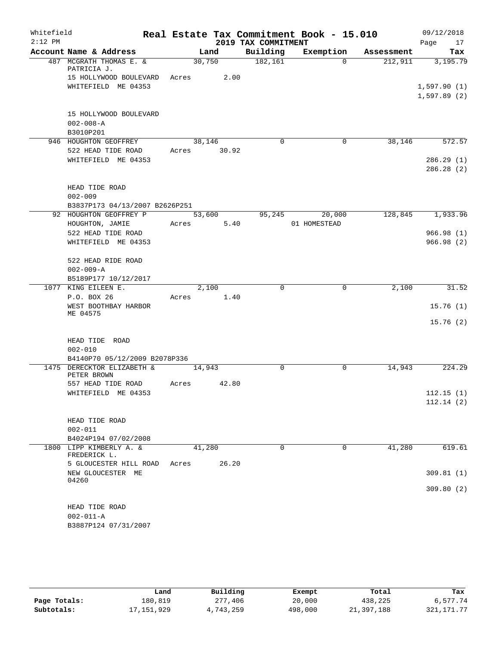| Whitefield |                                             |             |        |                     | Real Estate Tax Commitment Book - 15.010 |            | 09/12/2018             |
|------------|---------------------------------------------|-------------|--------|---------------------|------------------------------------------|------------|------------------------|
| $2:12$ PM  |                                             |             |        | 2019 TAX COMMITMENT |                                          |            | 17<br>Page             |
|            | Account Name & Address                      |             | Land   | Building            | Exemption                                | Assessment | Tax                    |
|            | 487 MCGRATH THOMAS E. &<br>PATRICIA J.      |             | 30,750 | 182,161             | $\Omega$                                 | 212,911    | 3,195.79               |
|            | 15 HOLLYWOOD BOULEVARD Acres 2.00           |             |        |                     |                                          |            |                        |
|            | WHITEFIELD ME 04353                         |             |        |                     |                                          |            | 1,597.90(1)            |
|            |                                             |             |        |                     |                                          |            | 1,597.89(2)            |
|            |                                             |             |        |                     |                                          |            |                        |
|            | 15 HOLLYWOOD BOULEVARD<br>$002 - 008 - A$   |             |        |                     |                                          |            |                        |
|            | B3010P201                                   |             |        |                     |                                          |            |                        |
|            | 946 HOUGHTON GEOFFREY                       |             | 38,146 | $\Omega$            | $\mathbf 0$                              | 38,146     | 572.57                 |
|            | 522 HEAD TIDE ROAD                          | Acres 30.92 |        |                     |                                          |            |                        |
|            | WHITEFIELD ME 04353                         |             |        |                     |                                          |            | 286.29(1)              |
|            |                                             |             |        |                     |                                          |            | 286.28(2)              |
|            |                                             |             |        |                     |                                          |            |                        |
|            | HEAD TIDE ROAD<br>$002 - 009$               |             |        |                     |                                          |            |                        |
|            | B3837P173 04/13/2007 B2626P251              |             |        |                     |                                          |            |                        |
|            | 92 HOUGHTON GEOFFREY P                      |             | 53,600 |                     | 95,245<br>20,000                         |            | 128,845 1,933.96       |
|            | HOUGHTON, JAMIE                             | Acres 5.40  |        |                     | 01 HOMESTEAD                             |            |                        |
|            | 522 HEAD TIDE ROAD                          |             |        |                     |                                          |            | 966.98(1)              |
|            | WHITEFIELD ME 04353                         |             |        |                     |                                          |            | 966.98(2)              |
|            |                                             |             |        |                     |                                          |            |                        |
|            | 522 HEAD RIDE ROAD                          |             |        |                     |                                          |            |                        |
|            | $002 - 009 - A$                             |             |        |                     |                                          |            |                        |
|            | B5189P177 10/12/2017<br>1077 KING EILEEN E. |             | 2,100  | $\Omega$            | $\mathbf 0$                              | 2,100      | 31.52                  |
|            | P.O. BOX 26                                 | Acres 1.40  |        |                     |                                          |            |                        |
|            | WEST BOOTHBAY HARBOR                        |             |        |                     |                                          |            | 15.76(1)               |
|            | ME 04575                                    |             |        |                     |                                          |            |                        |
|            |                                             |             |        |                     |                                          |            | 15.76(2)               |
|            | HEAD TIDE ROAD                              |             |        |                     |                                          |            |                        |
|            | $002 - 010$                                 |             |        |                     |                                          |            |                        |
|            | B4140P70 05/12/2009 B2078P336               |             |        |                     |                                          |            |                        |
|            | 1475 DERECKTOR ELIZABETH &                  |             | 14,943 | 0                   | $\mathbf 0$                              | 14,943     | 224.29                 |
|            | PETER BROWN                                 |             |        |                     |                                          |            |                        |
|            | 557 HEAD TIDE ROAD                          | Acres       | 42.80  |                     |                                          |            |                        |
|            | WHITEFIELD ME 04353                         |             |        |                     |                                          |            | 112.15(1)<br>112.14(2) |
|            |                                             |             |        |                     |                                          |            |                        |
|            | HEAD TIDE ROAD                              |             |        |                     |                                          |            |                        |
|            | $002 - 011$                                 |             |        |                     |                                          |            |                        |
|            | B4024P194 07/02/2008                        |             |        |                     |                                          |            |                        |
|            | 1800 LIPP KIMBERLY A. &<br>FREDERICK L.     |             | 41,280 | $\Omega$            | $\Omega$                                 | 41,280     | 619.61                 |
|            | 5 GLOUCESTER HILL ROAD Acres                |             | 26.20  |                     |                                          |            |                        |
|            | NEW GLOUCESTER ME<br>04260                  |             |        |                     |                                          |            | 309.81(1)              |
|            |                                             |             |        |                     |                                          |            | 309.80(2)              |
|            |                                             |             |        |                     |                                          |            |                        |
|            | HEAD TIDE ROAD                              |             |        |                     |                                          |            |                        |
|            | $002 - 011 - A$                             |             |        |                     |                                          |            |                        |
|            | B3887P124 07/31/2007                        |             |        |                     |                                          |            |                        |

|              | Land       | Building  | Exempt  | Total      | Tax          |
|--------------|------------|-----------|---------|------------|--------------|
| Page Totals: | 180,819    | 277,406   | 20,000  | 438,225    | 6,577.74     |
| Subtotals:   | 17,151,929 | 4,743,259 | 498,000 | 21,397,188 | 321, 171, 77 |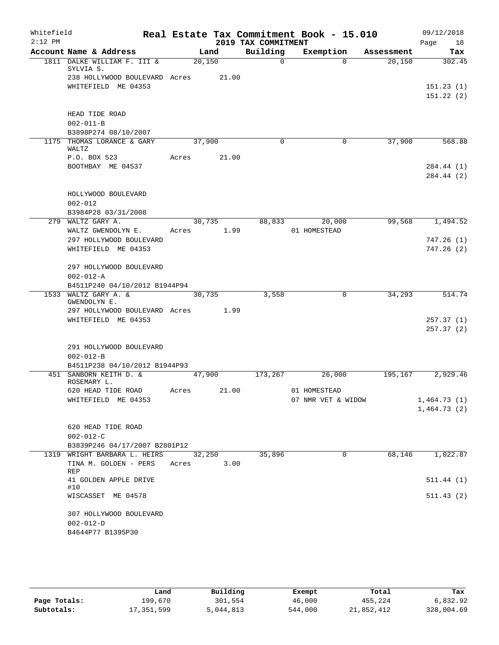| Whitefield<br>$2:12$ PM |                                           |       |        |       | 2019 TAX COMMITMENT | Real Estate Tax Commitment Book - 15.010 |            | 09/12/2018<br>18<br>Page |
|-------------------------|-------------------------------------------|-------|--------|-------|---------------------|------------------------------------------|------------|--------------------------|
|                         | Account Name & Address                    |       | Land   |       | Building            | Exemption                                | Assessment | Tax                      |
|                         | 1811 DALKE WILLIAM F. III &<br>SYLVIA S.  |       | 20,150 |       | $\mathbf 0$         | $\Omega$                                 | 20,150     | 302.45                   |
|                         | 238 HOLLYWOOD BOULEVARD Acres             |       |        | 21.00 |                     |                                          |            |                          |
|                         | WHITEFIELD ME 04353                       |       |        |       |                     |                                          |            | 151.23(1)                |
|                         |                                           |       |        |       |                     |                                          |            | 151.22(2)                |
|                         |                                           |       |        |       |                     |                                          |            |                          |
|                         | HEAD TIDE ROAD<br>$002 - 011 - B$         |       |        |       |                     |                                          |            |                          |
|                         | B3898P274 08/10/2007                      |       |        |       |                     |                                          |            |                          |
|                         | 1175 THOMAS LORANCE & GARY                |       | 37,900 |       | 0                   | $\mathbf 0$                              | 37,900     | 568.88                   |
|                         | WALTZ                                     |       |        |       |                     |                                          |            |                          |
|                         | P.O. BOX 523                              | Acres |        | 21.00 |                     |                                          |            |                          |
|                         | BOOTHBAY ME 04537                         |       |        |       |                     |                                          |            | 284.44 (1)               |
|                         |                                           |       |        |       |                     |                                          |            | 284.44 (2)               |
|                         | HOLLYWOOD BOULEVARD                       |       |        |       |                     |                                          |            |                          |
|                         | $002 - 012$                               |       |        |       |                     |                                          |            |                          |
|                         | B3984P28 03/31/2008                       |       |        |       |                     |                                          |            |                          |
|                         | 279 WALTZ GARY A.                         |       | 30,735 |       | 88,833              | 20,000                                   | 99,568     | 1,494.52                 |
|                         | WALTZ GWENDOLYN E.                        | Acres |        | 1.99  |                     | 01 HOMESTEAD                             |            |                          |
|                         | 297 HOLLYWOOD BOULEVARD                   |       |        |       |                     |                                          |            | 747.26(1)                |
|                         | WHITEFIELD ME 04353                       |       |        |       |                     |                                          |            | 747.26(2)                |
|                         | 297 HOLLYWOOD BOULEVARD                   |       |        |       |                     |                                          |            |                          |
|                         | $002 - 012 - A$                           |       |        |       |                     |                                          |            |                          |
|                         | B4511P240 04/10/2012 B1944P94             |       |        |       |                     |                                          |            |                          |
| 1533                    | WALTZ GARY A. &<br>GWENDOLYN E.           |       | 30,735 |       | 3,558               | 0                                        | 34,293     | 514.74                   |
|                         | 297 HOLLYWOOD BOULEVARD Acres 1.99        |       |        |       |                     |                                          |            |                          |
|                         | WHITEFIELD ME 04353                       |       |        |       |                     |                                          |            | 257.37(1)                |
|                         |                                           |       |        |       |                     |                                          |            | 257.37(2)                |
|                         | 291 HOLLYWOOD BOULEVARD                   |       |        |       |                     |                                          |            |                          |
|                         | $002 - 012 - B$                           |       |        |       |                     |                                          |            |                          |
|                         | B4511P238 04/10/2012 B1944P93             |       |        |       |                     |                                          |            |                          |
|                         | 451 SANBORN KEITH D. &                    |       | 47,900 |       | 173,267             | 26,000                                   | 195,167    | 2,929.46                 |
|                         | ROSEMARY L.                               |       |        |       |                     |                                          |            |                          |
|                         | 620 HEAD TIDE ROAD<br>WHITEFIELD ME 04353 | Acres |        | 21.00 |                     | 01 HOMESTEAD<br>07 NMR VET & WIDOW       |            | 1,464.73(1)              |
|                         |                                           |       |        |       |                     |                                          |            | 1,464.73(2)              |
|                         |                                           |       |        |       |                     |                                          |            |                          |
|                         | 620 HEAD TIDE ROAD                        |       |        |       |                     |                                          |            |                          |
|                         | $002 - 012 - C$                           |       |        |       |                     |                                          |            |                          |
|                         | B3839P246 04/17/2007 B2801P12             |       |        |       |                     |                                          |            |                          |
|                         | 1319 WRIGHT BARBARA L. HEIRS              |       | 32,250 |       | 35,896              | $\mathbf 0$                              | 68,146     | 1,022.87                 |
|                         | TINA M. GOLDEN - PERS<br>REP              | Acres |        | 3.00  |                     |                                          |            |                          |
|                         | 41 GOLDEN APPLE DRIVE                     |       |        |       |                     |                                          |            | 511.44(1)                |
|                         | #10                                       |       |        |       |                     |                                          |            |                          |
|                         | WISCASSET ME 04578                        |       |        |       |                     |                                          |            | 511.43(2)                |
|                         | 307 HOLLYWOOD BOULEVARD                   |       |        |       |                     |                                          |            |                          |
|                         | $002 - 012 - D$                           |       |        |       |                     |                                          |            |                          |
|                         | B4644P77 B1395P30                         |       |        |       |                     |                                          |            |                          |
|                         |                                           |       |        |       |                     |                                          |            |                          |

|              | Land       | Building  | Exempt  | Total      | Tax        |
|--------------|------------|-----------|---------|------------|------------|
| Page Totals: | 199,670    | 301,554   | 46,000  | 455,224    | 6,832.92   |
| Subtotals:   | 17,351,599 | 5,044,813 | 544,000 | 21,852,412 | 328,004.69 |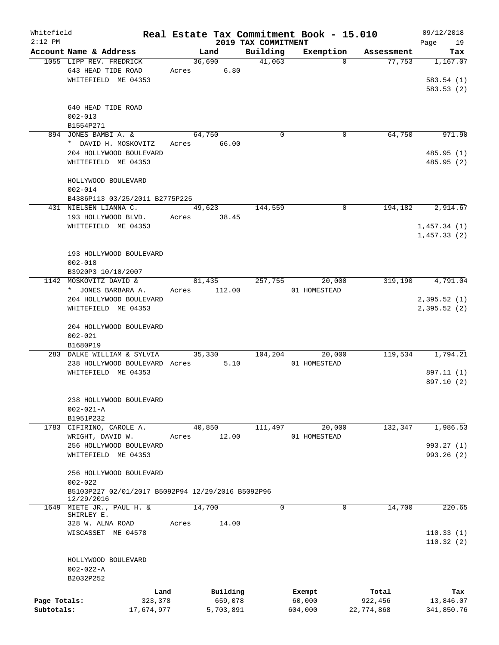| Whitefield   |                                                                 |            |       |        |           |                     |          | Real Estate Tax Commitment Book - 15.010 |            | 09/12/2018             |
|--------------|-----------------------------------------------------------------|------------|-------|--------|-----------|---------------------|----------|------------------------------------------|------------|------------------------|
| $2:12$ PM    |                                                                 |            |       |        |           | 2019 TAX COMMITMENT |          |                                          |            | Page<br>19             |
|              | Account Name & Address<br>1055 LIPP REV. FREDRICK               |            |       | Land   |           | Building            | 41,063   | Exemption<br>$\Omega$                    | Assessment | Tax<br>1,167.07        |
|              | 643 HEAD TIDE ROAD                                              |            | Acres | 36,690 | 6.80      |                     |          |                                          | 77,753     |                        |
|              | WHITEFIELD ME 04353                                             |            |       |        |           |                     |          |                                          |            | 583.54(1)<br>583.53(2) |
|              | 640 HEAD TIDE ROAD                                              |            |       |        |           |                     |          |                                          |            |                        |
|              | $002 - 013$                                                     |            |       |        |           |                     |          |                                          |            |                        |
|              | B1554P271                                                       |            |       |        |           |                     |          |                                          |            |                        |
|              | 894 JONES BAMBI A. &                                            |            |       | 64,750 |           |                     | $\Omega$ | 0                                        | 64,750     | 971.90                 |
|              | * DAVID H. MOSKOVITZ                                            |            | Acres |        | 66.00     |                     |          |                                          |            |                        |
|              | 204 HOLLYWOOD BOULEVARD                                         |            |       |        |           |                     |          |                                          |            | 485.95(1)              |
|              | WHITEFIELD ME 04353                                             |            |       |        |           |                     |          |                                          |            | 485.95 (2)             |
|              | HOLLYWOOD BOULEVARD                                             |            |       |        |           |                     |          |                                          |            |                        |
|              | $002 - 014$<br>B4386P113 03/25/2011 B2775P225                   |            |       |        |           |                     |          |                                          |            |                        |
|              | 431 NIELSEN LIANNA C.                                           |            |       | 49,623 |           | 144,559             |          | 0                                        | 194,182    | 2,914.67               |
|              | 193 HOLLYWOOD BLVD.                                             |            | Acres |        | 38.45     |                     |          |                                          |            |                        |
|              | WHITEFIELD ME 04353                                             |            |       |        |           |                     |          |                                          |            | 1,457.34(1)            |
|              |                                                                 |            |       |        |           |                     |          |                                          |            | 1,457.33(2)            |
|              |                                                                 |            |       |        |           |                     |          |                                          |            |                        |
|              | 193 HOLLYWOOD BOULEVARD<br>$002 - 018$                          |            |       |        |           |                     |          |                                          |            |                        |
|              | B3920P3 10/10/2007                                              |            |       |        |           |                     |          |                                          |            |                        |
|              | 1142 MOSKOVITZ DAVID &                                          |            |       | 81,435 |           | 257,755             |          | 20,000                                   | 319,190    | 4,791.04               |
|              | * JONES BARBARA A.                                              |            | Acres |        | 112.00    |                     |          | 01 HOMESTEAD                             |            |                        |
|              | 204 HOLLYWOOD BOULEVARD                                         |            |       |        |           |                     |          |                                          |            | 2,395.52(1)            |
|              | WHITEFIELD ME 04353                                             |            |       |        |           |                     |          |                                          |            | 2,395.52(2)            |
|              | 204 HOLLYWOOD BOULEVARD                                         |            |       |        |           |                     |          |                                          |            |                        |
|              | $002 - 021$                                                     |            |       |        |           |                     |          |                                          |            |                        |
|              | B1680P19                                                        |            |       |        |           |                     |          |                                          |            |                        |
|              | 283 DALKE WILLIAM & SYLVIA                                      |            |       | 35,330 |           | 104,204             |          | 20,000                                   | 119,534    | 1,794.21               |
|              | 238 HOLLYWOOD BOULEVARD Acres                                   |            |       |        | 5.10      |                     |          | 01 HOMESTEAD                             |            |                        |
|              | WHITEFIELD ME 04353                                             |            |       |        |           |                     |          |                                          |            | 897.11 (1)             |
|              |                                                                 |            |       |        |           |                     |          |                                          |            | 897.10 (2)             |
|              | 238 HOLLYWOOD BOULEVARD                                         |            |       |        |           |                     |          |                                          |            |                        |
|              | $002 - 021 - A$                                                 |            |       |        |           |                     |          |                                          |            |                        |
|              | B1951P232                                                       |            |       |        |           |                     |          |                                          |            |                        |
| 1783         | CIFIRINO, CAROLE A.                                             |            |       | 40,850 |           | 111,497             |          | 20,000                                   | 132,347    | 1,986.53               |
|              | WRIGHT, DAVID W.                                                |            | Acres |        | 12.00     |                     |          | 01 HOMESTEAD                             |            |                        |
|              | 256 HOLLYWOOD BOULEVARD                                         |            |       |        |           |                     |          |                                          |            | 993.27 (1)             |
|              | WHITEFIELD ME 04353                                             |            |       |        |           |                     |          |                                          |            | 993.26(2)              |
|              | 256 HOLLYWOOD BOULEVARD<br>$002 - 022$                          |            |       |        |           |                     |          |                                          |            |                        |
|              | B5103P227 02/01/2017 B5092P94 12/29/2016 B5092P96<br>12/29/2016 |            |       |        |           |                     |          |                                          |            |                        |
|              | 1649 MIETE JR., PAUL H. &<br>SHIRLEY E.                         |            |       | 14,700 |           |                     | $\Omega$ | 0                                        | 14,700     | 220.65                 |
|              | 328 W. ALNA ROAD                                                |            | Acres |        | 14.00     |                     |          |                                          |            |                        |
|              | WISCASSET ME 04578                                              |            |       |        |           |                     |          |                                          |            | 110.33(1)<br>110.32(2) |
|              | HOLLYWOOD BOULEVARD                                             |            |       |        |           |                     |          |                                          |            |                        |
|              | $002 - 022 - A$                                                 |            |       |        |           |                     |          |                                          |            |                        |
|              | B2032P252                                                       |            |       |        |           |                     |          |                                          |            |                        |
|              |                                                                 | Land       |       |        | Building  |                     |          | Exempt                                   | Total      | Tax                    |
| Page Totals: |                                                                 | 323,378    |       |        | 659,078   |                     |          | 60,000                                   | 922,456    | 13,846.07              |
| Subtotals:   |                                                                 | 17,674,977 |       |        | 5,703,891 |                     |          | 604,000                                  | 22,774,868 | 341,850.76             |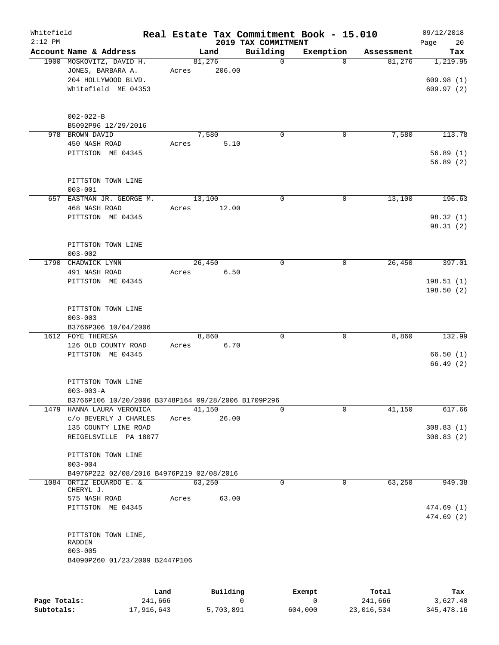| Whitefield<br>$2:12$ PM |                                                                                                     |                 |        | 2019 TAX COMMITMENT | Real Estate Tax Commitment Book - 15.010 |            | 09/12/2018<br>Page<br>20           |
|-------------------------|-----------------------------------------------------------------------------------------------------|-----------------|--------|---------------------|------------------------------------------|------------|------------------------------------|
|                         | Account Name & Address                                                                              |                 | Land   | Building            | Exemption                                | Assessment | Tax                                |
|                         | 1900 MOSKOVITZ, DAVID H.<br>JONES, BARBARA A.<br>204 HOLLYWOOD BLVD.<br>Whitefield ME 04353         | 81,276<br>Acres | 206.00 | $\Omega$            | $\Omega$                                 | 81,276     | 1,219.95<br>609.98(1)<br>609.97(2) |
|                         | $002 - 022 - B$<br>B5092P96 12/29/2016                                                              |                 |        |                     |                                          |            |                                    |
|                         | 978 BROWN DAVID<br>450 NASH ROAD<br>PITTSTON ME 04345                                               | 7,580<br>Acres  | 5.10   | 0                   | $\mathbf 0$                              | 7,580      | 113.78<br>56.89(1)<br>56.89(2)     |
|                         | PITTSTON TOWN LINE<br>$003 - 001$                                                                   |                 |        |                     |                                          |            |                                    |
|                         | 657 EASTMAN JR. GEORGE M.<br>468 NASH ROAD<br>PITTSTON ME 04345                                     | 13,100<br>Acres | 12.00  | $\Omega$            | $\mathbf 0$                              | 13,100     | 196.63<br>98.32(1)<br>98.31 (2)    |
|                         | PITTSTON TOWN LINE<br>$003 - 002$                                                                   |                 |        |                     |                                          |            |                                    |
|                         | 1790 CHADWICK LYNN<br>491 NASH ROAD<br>PITTSTON ME 04345                                            | 26,450<br>Acres | 6.50   | 0                   | 0                                        | 26,450     | 397.01<br>198.51(1)<br>198.50(2)   |
|                         | PITTSTON TOWN LINE<br>$003 - 003$<br>B3766P306 10/04/2006                                           |                 |        |                     |                                          |            |                                    |
|                         | 1612 FOYE THERESA<br>126 OLD COUNTY ROAD<br>PITTSTON ME 04345                                       | 8,860<br>Acres  | 6.70   | $\mathbf 0$         | $\mathbf 0$                              | 8,860      | 132.99<br>66.50(1)<br>66.49(2)     |
|                         | PITTSTON TOWN LINE<br>$003 - 003 - A$<br>B3766P106 10/20/2006 B3748P164 09/28/2006 B1709P296        |                 |        |                     |                                          |            |                                    |
|                         | 1479 HANNA LAURA VERONICA<br>C/O BEVERLY J CHARLES<br>135 COUNTY LINE ROAD<br>REIGELSVILLE PA 18077 | 41,150<br>Acres | 26.00  | $\Omega$            | $\Omega$                                 | 41,150     | 617.66<br>308.83(1)<br>308.83(2)   |
|                         | PITTSTON TOWN LINE<br>$003 - 004$<br>B4976P222 02/08/2016 B4976P219 02/08/2016                      |                 |        |                     |                                          |            |                                    |
|                         | 1084 ORTIZ EDUARDO E. &<br>CHERYL J.<br>575 NASH ROAD<br>PITTSTON ME 04345                          | 63,250<br>Acres | 63.00  | 0                   | $\mathbf 0$                              | 63,250     | 949.38<br>474.69(1)<br>474.69(2)   |
|                         | PITTSTON TOWN LINE,<br>RADDEN<br>$003 - 005$<br>B4090P260 01/23/2009 B2447P106                      |                 |        |                     |                                          |            |                                    |

|              | Land       | Building  | Exempt  | Total      | Tax        |
|--------------|------------|-----------|---------|------------|------------|
| Page Totals: | 241,666    |           |         | 241,666    | 3,627.40   |
| Subtotals:   | 17,916,643 | 5,703,891 | 604,000 | 23,016,534 | 345,478.16 |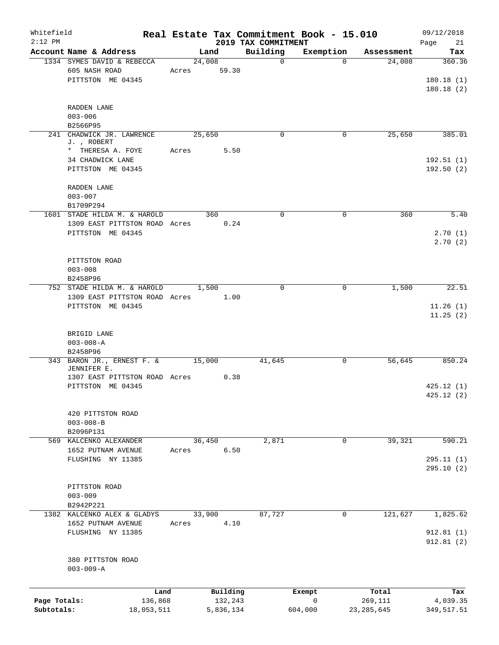| Whitefield<br>$2:12$ PM    |                                                                            |       |                      | 2019 TAX COMMITMENT | Real Estate Tax Commitment Book - 15.010 |                         | 09/12/2018<br>Page<br>21         |
|----------------------------|----------------------------------------------------------------------------|-------|----------------------|---------------------|------------------------------------------|-------------------------|----------------------------------|
|                            | Account Name & Address                                                     |       | Land                 | Building            | Exemption                                | Assessment              | Tax                              |
|                            | 1334 SYMES DAVID & REBECCA<br>605 NASH ROAD<br>PITTSTON ME 04345           | Acres | 24,008<br>59.30      | $\mathbf 0$         | $\Omega$                                 | 24,008                  | 360.36<br>180.18(1)<br>180.18(2) |
|                            | RADDEN LANE<br>$003 - 006$<br>B2566P95                                     |       |                      |                     |                                          |                         |                                  |
|                            | 241 CHADWICK JR. LAWRENCE<br>J., ROBERT<br>* THERESA A. FOYE               | Acres | 25,650<br>5.50       | $\Omega$            | 0                                        | 25,650                  | 385.01                           |
|                            | 34 CHADWICK LANE<br>PITTSTON ME 04345                                      |       |                      |                     |                                          |                         | 192.51(1)<br>192.50(2)           |
|                            | RADDEN LANE<br>$003 - 007$<br>B1709P294                                    |       |                      |                     |                                          |                         |                                  |
|                            | 1601 STADE HILDA M. & HAROLD                                               |       | 360                  | $\mathbf 0$         | $\mathbf 0$                              | 360                     | 5.40                             |
|                            | 1309 EAST PITTSTON ROAD Acres<br>PITTSTON ME 04345                         |       | 0.24                 |                     |                                          |                         | 2.70(1)<br>2.70(2)               |
|                            | PITTSTON ROAD<br>$003 - 008$<br>B2458P96                                   |       |                      |                     |                                          |                         |                                  |
|                            | 752 STADE HILDA M. & HAROLD                                                |       | 1,500                | $\Omega$            | $\mathbf 0$                              | 1,500                   | 22.51                            |
|                            | 1309 EAST PITTSTON ROAD Acres<br>PITTSTON ME 04345                         |       | 1.00                 |                     |                                          |                         | 11.26(1)<br>11.25(2)             |
|                            | BRIGID LANE<br>$003 - 008 - A$<br>B2458P96                                 |       |                      |                     |                                          |                         |                                  |
|                            | 343 BARON JR., ERNEST F. &<br>JENNIFER E.<br>1307 EAST PITTSTON ROAD Acres |       | 15,000<br>0.38       | 41,645              | 0                                        | 56,645                  | 850.24                           |
|                            | PITTSTON ME 04345                                                          |       |                      |                     |                                          |                         | 425.12(1)<br>425.12(2)           |
|                            | 420 PITTSTON ROAD<br>$003 - 008 - B$<br>B2096P131                          |       |                      |                     |                                          |                         |                                  |
|                            | 569 KALCENKO ALEXANDER                                                     |       | 36,450               | 2,871               | $\mathbf 0$                              | 39,321                  | 590.21                           |
|                            | 1652 PUTNAM AVENUE<br>FLUSHING NY 11385                                    | Acres | 6.50                 |                     |                                          |                         | 295.11(1)                        |
|                            |                                                                            |       |                      |                     |                                          |                         | 295.10 (2)                       |
|                            | PITTSTON ROAD<br>$003 - 009$<br>B2942P221                                  |       |                      |                     |                                          |                         |                                  |
|                            | 1382 KALCENKO ALEX & GLADYS                                                |       | 33,900               | 87,727              | 0                                        | 121,627                 | 1,825.62                         |
|                            | 1652 PUTNAM AVENUE<br>FLUSHING NY 11385                                    | Acres | 4.10                 |                     |                                          |                         | 912.81(1)<br>912.81(2)           |
|                            | 380 PITTSTON ROAD<br>$003 - 009 - A$                                       |       |                      |                     |                                          |                         |                                  |
|                            | Land                                                                       |       | Building             |                     | Exempt                                   | Total                   | Tax                              |
| Page Totals:<br>Subtotals: | 136,868<br>18,053,511                                                      |       | 132,243<br>5,836,134 |                     | $\mathsf 0$<br>604,000                   | 269,111<br>23, 285, 645 | 4,039.35<br>349,517.51           |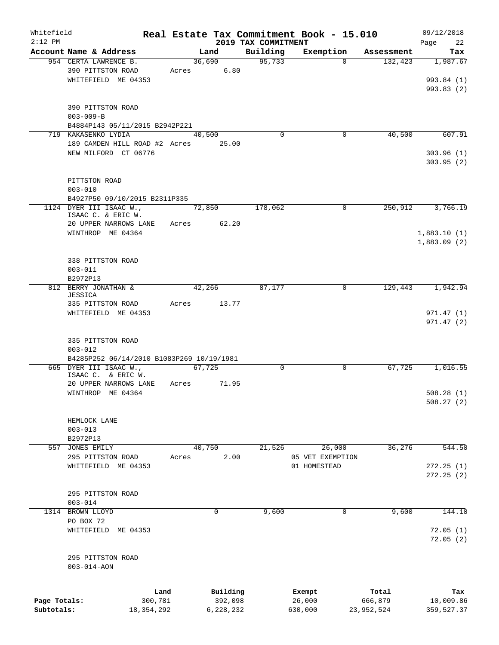| Whitefield   |                                               |                                           |       |             |                                 | Real Estate Tax Commitment Book - 15.010 |            | 09/12/2018        |
|--------------|-----------------------------------------------|-------------------------------------------|-------|-------------|---------------------------------|------------------------------------------|------------|-------------------|
| $2:12$ PM    | Account Name & Address                        |                                           |       | Land        | 2019 TAX COMMITMENT<br>Building | Exemption                                | Assessment | 22<br>Page<br>Tax |
|              | 954 CERTA LAWRENCE B.                         |                                           |       | 36,690      | 95,733                          | $\Omega$                                 | 132,423    | 1,987.67          |
|              | 390 PITTSTON ROAD                             |                                           |       | Acres 6.80  |                                 |                                          |            |                   |
|              | WHITEFIELD ME 04353                           |                                           |       |             |                                 |                                          |            | 993.84 (1)        |
|              |                                               |                                           |       |             |                                 |                                          |            | 993.83(2)         |
|              |                                               |                                           |       |             |                                 |                                          |            |                   |
|              | 390 PITTSTON ROAD                             |                                           |       |             |                                 |                                          |            |                   |
|              | $003 - 009 - B$                               |                                           |       |             |                                 |                                          |            |                   |
|              | 719 KAKASENKO LYDIA                           | B4884P143 05/11/2015 B2942P221            |       | 40,500      | $\Omega$                        | $\mathbf 0$                              | 40,500     | 607.91            |
|              |                                               | 189 CAMDEN HILL ROAD #2 Acres 25.00       |       |             |                                 |                                          |            |                   |
|              | NEW MILFORD CT 06776                          |                                           |       |             |                                 |                                          |            | 303.96(1)         |
|              |                                               |                                           |       |             |                                 |                                          |            | 303.95(2)         |
|              |                                               |                                           |       |             |                                 |                                          |            |                   |
|              | PITTSTON ROAD                                 |                                           |       |             |                                 |                                          |            |                   |
|              | $003 - 010$                                   |                                           |       |             |                                 |                                          |            |                   |
|              |                                               | B4927P50 09/10/2015 B2311P335             |       |             |                                 |                                          |            |                   |
|              | 1124 DYER III ISAAC W.,<br>ISAAC C. & ERIC W. |                                           |       | 72,850      | 178,062                         | $\mathbf 0$                              | 250,912    | 3,766.19          |
|              | 20 UPPER NARROWS LANE                         |                                           |       | Acres 62.20 |                                 |                                          |            |                   |
|              | WINTHROP ME 04364                             |                                           |       |             |                                 |                                          |            | 1,883.10(1)       |
|              |                                               |                                           |       |             |                                 |                                          |            | 1,883.09(2)       |
|              |                                               |                                           |       |             |                                 |                                          |            |                   |
|              | 338 PITTSTON ROAD                             |                                           |       |             |                                 |                                          |            |                   |
|              | $003 - 011$                                   |                                           |       |             |                                 |                                          |            |                   |
|              | B2972P13<br>812 BERRY JONATHAN &              |                                           |       | 42,266      | 87,177                          | $\mathbf 0$                              | 129,443    | 1,942.94          |
|              | JESSICA                                       |                                           |       |             |                                 |                                          |            |                   |
|              | 335 PITTSTON ROAD                             |                                           | Acres | 13.77       |                                 |                                          |            |                   |
|              | WHITEFIELD ME 04353                           |                                           |       |             |                                 |                                          |            | 971.47(1)         |
|              |                                               |                                           |       |             |                                 |                                          |            | 971.47(2)         |
|              |                                               |                                           |       |             |                                 |                                          |            |                   |
|              | 335 PITTSTON ROAD<br>$003 - 012$              |                                           |       |             |                                 |                                          |            |                   |
|              |                                               | B4285P252 06/14/2010 B1083P269 10/19/1981 |       |             |                                 |                                          |            |                   |
|              | 665 DYER III ISAAC W.,                        |                                           |       | 67.725      | 0                               | 0                                        | 67,725     | 1,016.55          |
|              | ISAAC C. & ERIC W.                            |                                           |       |             |                                 |                                          |            |                   |
|              | 20 UPPER NARROWS LANE                         |                                           | Acres | 71.95       |                                 |                                          |            |                   |
|              | WINTHROP ME 04364                             |                                           |       |             |                                 |                                          |            | 508.28(1)         |
|              |                                               |                                           |       |             |                                 |                                          |            | 508.27(2)         |
|              | HEMLOCK LANE                                  |                                           |       |             |                                 |                                          |            |                   |
|              | $003 - 013$                                   |                                           |       |             |                                 |                                          |            |                   |
|              | B2972P13                                      |                                           |       |             |                                 |                                          |            |                   |
|              | 557 JONES EMILY                               |                                           |       | 40,750      | 21,526                          | 26,000                                   | 36,276     | 544.50            |
|              | 295 PITTSTON ROAD                             |                                           | Acres | 2.00        |                                 | 05 VET EXEMPTION                         |            |                   |
|              | WHITEFIELD ME 04353                           |                                           |       |             |                                 | 01 HOMESTEAD                             |            | 272.25(1)         |
|              |                                               |                                           |       |             |                                 |                                          |            | 272.25(2)         |
|              |                                               |                                           |       |             |                                 |                                          |            |                   |
|              | 295 PITTSTON ROAD<br>$003 - 014$              |                                           |       |             |                                 |                                          |            |                   |
|              | 1314 BROWN LLOYD                              |                                           |       | 0           | 9,600                           | 0                                        | 9,600      | 144.10            |
|              | PO BOX 72                                     |                                           |       |             |                                 |                                          |            |                   |
|              | WHITEFIELD ME 04353                           |                                           |       |             |                                 |                                          |            | 72.05(1)          |
|              |                                               |                                           |       |             |                                 |                                          |            | 72.05(2)          |
|              |                                               |                                           |       |             |                                 |                                          |            |                   |
|              | 295 PITTSTON ROAD                             |                                           |       |             |                                 |                                          |            |                   |
|              | $003 - 014 - AON$                             |                                           |       |             |                                 |                                          |            |                   |
|              |                                               |                                           |       |             |                                 |                                          |            |                   |
|              |                                               | Land                                      |       | Building    |                                 | Exempt                                   | Total      | Tax               |
| Page Totals: |                                               | 300,781                                   |       | 392,098     |                                 | 26,000                                   | 666,879    | 10,009.86         |
| Subtotals:   |                                               | 18, 354, 292                              |       | 6,228,232   |                                 | 630,000                                  | 23,952,524 | 359,527.37        |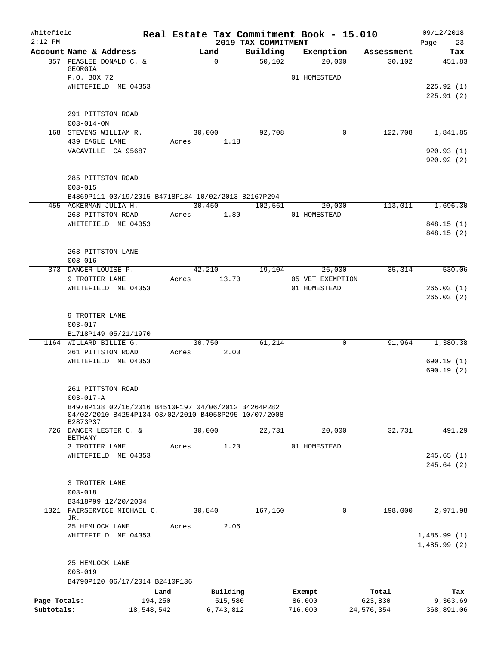| Whitefield   |                                                                                                             |            |           |                                 | Real Estate Tax Commitment Book - 15.010 |            | 09/12/2018              |
|--------------|-------------------------------------------------------------------------------------------------------------|------------|-----------|---------------------------------|------------------------------------------|------------|-------------------------|
| $2:12$ PM    | Account Name & Address                                                                                      |            | Land      | 2019 TAX COMMITMENT<br>Building | Exemption                                | Assessment | Page<br>23<br>Tax       |
|              | 357 PEASLEE DONALD C. &<br>GEORGIA                                                                          |            | $\Omega$  | 50,102                          | 20,000                                   | 30,102     | 451.83                  |
|              | P.O. BOX 72                                                                                                 |            |           |                                 | 01 HOMESTEAD                             |            |                         |
|              | WHITEFIELD ME 04353                                                                                         |            |           |                                 |                                          |            | 225.92(1)               |
|              |                                                                                                             |            |           |                                 |                                          |            | 225.91(2)               |
|              | 291 PITTSTON ROAD                                                                                           |            |           |                                 |                                          |            |                         |
|              | $003 - 014 - ON$                                                                                            |            |           |                                 |                                          |            |                         |
|              | 168 STEVENS WILLIAM R.                                                                                      |            | 30,000    | 92,708                          | $\mathbf 0$                              | 122,708    | 1,841.85                |
|              | 439 EAGLE LANE                                                                                              | Acres      | 1.18      |                                 |                                          |            |                         |
|              | VACAVILLE CA 95687                                                                                          |            |           |                                 |                                          |            | 920.93(1)<br>920.92 (2) |
|              |                                                                                                             |            |           |                                 |                                          |            |                         |
|              | 285 PITTSTON ROAD                                                                                           |            |           |                                 |                                          |            |                         |
|              | $003 - 015$                                                                                                 |            |           |                                 |                                          |            |                         |
|              | B4869P111 03/19/2015 B4718P134 10/02/2013 B2167P294                                                         |            |           |                                 |                                          |            |                         |
|              | 455 ACKERMAN JULIA H.                                                                                       |            | 30,450    | 102,561                         | 20,000                                   | 113,011    | 1,696.30                |
|              | 263 PITTSTON ROAD<br>WHITEFIELD ME 04353                                                                    | Acres      | 1.80      |                                 | 01 HOMESTEAD                             |            | 848.15 (1)              |
|              |                                                                                                             |            |           |                                 |                                          |            | 848.15 (2)              |
|              |                                                                                                             |            |           |                                 |                                          |            |                         |
|              | 263 PITTSTON LANE                                                                                           |            |           |                                 |                                          |            |                         |
|              | $003 - 016$                                                                                                 |            |           |                                 |                                          |            |                         |
|              | 373 DANCER LOUISE P.                                                                                        |            | 42,210    | 19,104                          | 26,000                                   | 35,314     | 530.06                  |
|              | 9 TROTTER LANE                                                                                              | Acres      | 13.70     |                                 | 05 VET EXEMPTION                         |            |                         |
|              | WHITEFIELD ME 04353                                                                                         |            |           |                                 | 01 HOMESTEAD                             |            | 265.03(1)<br>265.03(2)  |
|              |                                                                                                             |            |           |                                 |                                          |            |                         |
|              | 9 TROTTER LANE                                                                                              |            |           |                                 |                                          |            |                         |
|              | $003 - 017$                                                                                                 |            |           |                                 |                                          |            |                         |
|              | B1718P149 05/21/1970                                                                                        |            |           |                                 |                                          |            |                         |
|              | 1164 WILLARD BILLIE G.                                                                                      |            | 30,750    | 61,214                          | $\mathbf 0$                              | 91,964     | 1,380.38                |
|              | 261 PITTSTON ROAD<br>WHITEFIELD ME 04353                                                                    | Acres      | 2.00      |                                 |                                          |            | 690.19(1)               |
|              |                                                                                                             |            |           |                                 |                                          |            | 690.19(2)               |
|              |                                                                                                             |            |           |                                 |                                          |            |                         |
|              | 261 PITTSTON ROAD                                                                                           |            |           |                                 |                                          |            |                         |
|              | $003 - 017 - A$                                                                                             |            |           |                                 |                                          |            |                         |
|              | B4978P138 02/16/2016 B4510P197 04/06/2012 B4264P282<br>04/02/2010 B4254P134 03/02/2010 B4058P295 10/07/2008 |            |           |                                 |                                          |            |                         |
|              | B2873P37                                                                                                    |            |           |                                 |                                          |            |                         |
|              | 726 DANCER LESTER C. &                                                                                      |            | 30,000    | 22,731                          | 20,000                                   | 32,731     | 491.29                  |
|              | BETHANY<br>3 TROTTER LANE                                                                                   | Acres      | 1.20      |                                 | 01 HOMESTEAD                             |            |                         |
|              | WHITEFIELD ME 04353                                                                                         |            |           |                                 |                                          |            | 245.65(1)               |
|              |                                                                                                             |            |           |                                 |                                          |            | 245.64(2)               |
|              |                                                                                                             |            |           |                                 |                                          |            |                         |
|              | 3 TROTTER LANE                                                                                              |            |           |                                 |                                          |            |                         |
|              | $003 - 018$                                                                                                 |            |           |                                 |                                          |            |                         |
| 1321         | B3418P99 12/20/2004<br>FAIRSERVICE MICHAEL O.                                                               |            | 30,840    | 167,160                         | 0                                        | 198,000    | 2,971.98                |
|              | JR.                                                                                                         |            |           |                                 |                                          |            |                         |
|              | 25 HEMLOCK LANE                                                                                             | Acres      | 2.06      |                                 |                                          |            |                         |
|              | WHITEFIELD ME 04353                                                                                         |            |           |                                 |                                          |            | 1,485.99(1)             |
|              |                                                                                                             |            |           |                                 |                                          |            | 1,485.99(2)             |
|              | 25 HEMLOCK LANE                                                                                             |            |           |                                 |                                          |            |                         |
|              | $003 - 019$                                                                                                 |            |           |                                 |                                          |            |                         |
|              | B4790P120 06/17/2014 B2410P136                                                                              |            |           |                                 |                                          |            |                         |
|              |                                                                                                             | Land       | Building  |                                 | Exempt                                   | Total      | Tax                     |
| Page Totals: |                                                                                                             | 194,250    | 515,580   |                                 | 86,000                                   | 623,830    | 9,363.69                |
| Subtotals:   |                                                                                                             | 18,548,542 | 6,743,812 |                                 | 716,000                                  | 24,576,354 | 368,891.06              |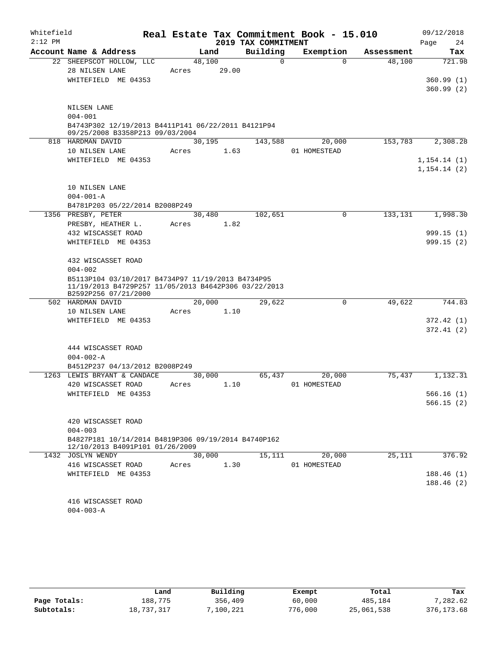| Whitefield |                                                                                                                                   |                 |       |                     | Real Estate Tax Commitment Book - 15.010 |            | 09/12/2018   |
|------------|-----------------------------------------------------------------------------------------------------------------------------------|-----------------|-------|---------------------|------------------------------------------|------------|--------------|
| $2:12$ PM  |                                                                                                                                   |                 |       | 2019 TAX COMMITMENT |                                          |            | Page<br>24   |
|            | Account Name & Address                                                                                                            | Land            |       | Building            | Exemption                                | Assessment | Tax          |
|            | 22 SHEEPSCOT HOLLOW, LLC                                                                                                          | 48,100          |       | $\Omega$            | $\Omega$                                 | 48,100     | 721.98       |
|            | 28 NILSEN LANE                                                                                                                    | Acres           | 29.00 |                     |                                          |            |              |
|            | WHITEFIELD ME 04353                                                                                                               |                 |       |                     |                                          |            | 360.99(1)    |
|            |                                                                                                                                   |                 |       |                     |                                          |            | 360.99(2)    |
|            | NILSEN LANE                                                                                                                       |                 |       |                     |                                          |            |              |
|            | $004 - 001$                                                                                                                       |                 |       |                     |                                          |            |              |
|            | B4743P302 12/19/2013 B4411P141 06/22/2011 B4121P94                                                                                |                 |       |                     |                                          |            |              |
|            | 09/25/2008 B3358P213 09/03/2004                                                                                                   |                 |       |                     |                                          |            |              |
|            | 818 HARDMAN DAVID                                                                                                                 | 30,195          |       | 143,588             | 20,000                                   | 153,783    | 2,308.28     |
|            | 10 NILSEN LANE                                                                                                                    | Acres           | 1.63  |                     | 01 HOMESTEAD                             |            |              |
|            | WHITEFIELD ME 04353                                                                                                               |                 |       |                     |                                          |            | 1, 154.14(1) |
|            |                                                                                                                                   |                 |       |                     |                                          |            | 1, 154.14(2) |
|            | 10 NILSEN LANE                                                                                                                    |                 |       |                     |                                          |            |              |
|            | $004 - 001 - A$                                                                                                                   |                 |       |                     |                                          |            |              |
|            | B4781P203 05/22/2014 B2008P249                                                                                                    |                 |       |                     |                                          |            |              |
|            | 1356 PRESBY, PETER                                                                                                                | 30,480          |       | 102,651             | $\mathbf 0$                              | 133,131    | 1,998.30     |
|            | PRESBY, HEATHER L.                                                                                                                | Acres           | 1.82  |                     |                                          |            |              |
|            | 432 WISCASSET ROAD                                                                                                                |                 |       |                     |                                          |            | 999.15 (1)   |
|            | WHITEFIELD ME 04353                                                                                                               |                 |       |                     |                                          |            | 999.15(2)    |
|            |                                                                                                                                   |                 |       |                     |                                          |            |              |
|            | 432 WISCASSET ROAD                                                                                                                |                 |       |                     |                                          |            |              |
|            | $004 - 002$                                                                                                                       |                 |       |                     |                                          |            |              |
|            | B5113P104 03/10/2017 B4734P97 11/19/2013 B4734P95<br>11/19/2013 B4729P257 11/05/2013 B4642P306 03/22/2013<br>B2592P256 07/21/2000 |                 |       |                     |                                          |            |              |
|            | 502 HARDMAN DAVID                                                                                                                 | 20,000          |       | 29,622              | $\mathsf{O}$                             | 49,622     | 744.83       |
|            | 10 NILSEN LANE                                                                                                                    | Acres           | 1.10  |                     |                                          |            |              |
|            | WHITEFIELD ME 04353                                                                                                               |                 |       |                     |                                          |            | 372.42(1)    |
|            |                                                                                                                                   |                 |       |                     |                                          |            | 372.41(2)    |
|            |                                                                                                                                   |                 |       |                     |                                          |            |              |
|            | 444 WISCASSET ROAD                                                                                                                |                 |       |                     |                                          |            |              |
|            | $004 - 002 - A$                                                                                                                   |                 |       |                     |                                          |            |              |
|            | B4512P237 04/13/2012 B2008P249                                                                                                    |                 |       |                     |                                          |            |              |
|            | 1263 LEWIS BRYANT & CANDACE<br>420 WISCASSET ROAD                                                                                 | 30,000<br>Acres | 1.10  | 65,437              | 20,000<br>01 HOMESTEAD                   | 75,437     | 1,132.31     |
|            | WHITEFIELD ME 04353                                                                                                               |                 |       |                     |                                          |            | 566.16(1)    |
|            |                                                                                                                                   |                 |       |                     |                                          |            | 566.15(2)    |
|            |                                                                                                                                   |                 |       |                     |                                          |            |              |
|            | 420 WISCASSET ROAD                                                                                                                |                 |       |                     |                                          |            |              |
|            | $004 - 003$                                                                                                                       |                 |       |                     |                                          |            |              |
|            | B4827P181 10/14/2014 B4819P306 09/19/2014 B4740P162                                                                               |                 |       |                     |                                          |            |              |
|            | 12/10/2013 B4091P101 01/26/2009<br>1432 JOSLYN WENDY                                                                              | 30,000          |       | 15,111              | 20,000                                   | 25,111     | 376.92       |
|            | 416 WISCASSET ROAD                                                                                                                | Acres           | 1.30  |                     | 01 HOMESTEAD                             |            |              |
|            | WHITEFIELD ME 04353                                                                                                               |                 |       |                     |                                          |            | 188.46(1)    |
|            |                                                                                                                                   |                 |       |                     |                                          |            | 188.46(2)    |
|            |                                                                                                                                   |                 |       |                     |                                          |            |              |
|            | 416 WISCASSET ROAD                                                                                                                |                 |       |                     |                                          |            |              |
|            | $004 - 003 - A$                                                                                                                   |                 |       |                     |                                          |            |              |
|            |                                                                                                                                   |                 |       |                     |                                          |            |              |

|              | Land       | Building | Exempt  | Total      | Tax         |
|--------------|------------|----------|---------|------------|-------------|
| Page Totals: | 188,775    | 356,409  | 60,000  | 485,184    | 7,282.62    |
| Subtotals:   | 18,737,317 | ,100,221 | 776,000 | 25,061,538 | 376, 173.68 |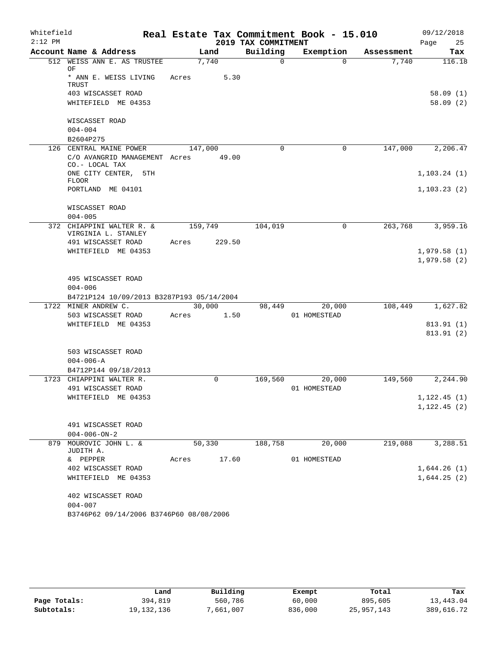| Whitefield<br>$2:12$ PM |                 |                                                  |         |        | 2019 TAX COMMITMENT | Real Estate Tax Commitment Book - 15.010 |            | 09/12/2018<br>Page<br>25   |
|-------------------------|-----------------|--------------------------------------------------|---------|--------|---------------------|------------------------------------------|------------|----------------------------|
|                         |                 | Account Name & Address                           |         | Land   | Building            | Exemption                                | Assessment | Tax                        |
|                         | OF              | 512 WEISS ANN E. AS TRUSTEE                      |         | 7,740  | $\overline{0}$      | $\Omega$                                 | 7,740      | 116.18                     |
|                         | TRUST           | * ANN E. WEISS LIVING                            | Acres   | 5.30   |                     |                                          |            |                            |
|                         |                 | 403 WISCASSET ROAD                               |         |        |                     |                                          |            | 58.09(1)                   |
|                         |                 | WHITEFIELD ME 04353                              |         |        |                     |                                          |            | 58.09(2)                   |
|                         | $004 - 004$     | WISCASSET ROAD                                   |         |        |                     |                                          |            |                            |
|                         | B2604P275       |                                                  |         |        |                     |                                          |            |                            |
|                         |                 | 126 CENTRAL MAINE POWER                          | 147,000 |        | $\Omega$            | $\mathbf 0$                              | 147,000    | 2,206.47                   |
|                         |                 | C/O AVANGRID MANAGEMENT Acres<br>CO.- LOCAL TAX  |         | 49.00  |                     |                                          |            |                            |
|                         | <b>FLOOR</b>    | ONE CITY CENTER, 5TH                             |         |        |                     |                                          |            | 1, 103.24(1)               |
|                         |                 | PORTLAND ME 04101                                |         |        |                     |                                          |            | 1, 103.23(2)               |
|                         | $004 - 005$     | WISCASSET ROAD                                   |         |        |                     |                                          |            |                            |
|                         |                 | 372 CHIAPPINI WALTER R. &<br>VIRGINIA L. STANLEY | 159,749 |        | 104,019             | 0                                        | 263,768    | 3,959.16                   |
|                         |                 | 491 WISCASSET ROAD                               | Acres   | 229.50 |                     |                                          |            |                            |
|                         |                 | WHITEFIELD ME 04353                              |         |        |                     |                                          |            | 1,979.58(1)                |
|                         |                 |                                                  |         |        |                     |                                          |            | 1,979.58(2)                |
|                         |                 | 495 WISCASSET ROAD                               |         |        |                     |                                          |            |                            |
|                         | $004 - 006$     |                                                  |         |        |                     |                                          |            |                            |
|                         |                 | B4721P124 10/09/2013 B3287P193 05/14/2004        |         |        |                     |                                          |            |                            |
|                         |                 | 1722 MINER ANDREW C.                             |         | 30,000 | 98,449              | 20,000                                   | 108,449    | 1,627.82                   |
|                         |                 | 503 WISCASSET ROAD                               | Acres   | 1.50   |                     | 01 HOMESTEAD                             |            |                            |
|                         |                 | WHITEFIELD ME 04353                              |         |        |                     |                                          |            | 813.91(1)<br>813.91(2)     |
|                         |                 | 503 WISCASSET ROAD                               |         |        |                     |                                          |            |                            |
|                         | $004 - 006 - A$ |                                                  |         |        |                     |                                          |            |                            |
|                         |                 | B4712P144 09/18/2013                             |         |        |                     |                                          |            |                            |
|                         |                 | 1723 CHIAPPINI WALTER R.<br>491 WISCASSET ROAD   |         | 0      | 169,560             | 20,000<br>01 HOMESTEAD                   | 149,560    | 2,244.90                   |
|                         |                 | WHITEFIELD ME 04353                              |         |        |                     |                                          |            | 1, 122.45(1)               |
|                         |                 |                                                  |         |        |                     |                                          |            | 1,122.45(2)                |
|                         |                 | 491 WISCASSET ROAD                               |         |        |                     |                                          |            |                            |
|                         |                 | $004 - 006 - ON - 2$                             |         |        |                     |                                          |            |                            |
| 879                     |                 | MOUROVIC JOHN L. &                               |         | 50,330 | 188,758             | 20,000                                   | 219,088    | 3,288.51                   |
|                         | JUDITH A.       |                                                  |         |        |                     |                                          |            |                            |
|                         | & PEPPER        |                                                  | Acres   | 17.60  |                     | 01 HOMESTEAD                             |            |                            |
|                         |                 | 402 WISCASSET ROAD<br>WHITEFIELD ME 04353        |         |        |                     |                                          |            | 1,644.26(1)<br>1,644.25(2) |
|                         |                 |                                                  |         |        |                     |                                          |            |                            |
|                         |                 | 402 WISCASSET ROAD                               |         |        |                     |                                          |            |                            |
|                         | $004 - 007$     |                                                  |         |        |                     |                                          |            |                            |
|                         |                 | B3746P62 09/14/2006 B3746P60 08/08/2006          |         |        |                     |                                          |            |                            |

|              | Land         | Building  | Exempt  | Total      | Tax        |
|--------------|--------------|-----------|---------|------------|------------|
| Page Totals: | 394,819      | 560,786   | 60,000  | 895,605    | 13,443.04  |
| Subtotals:   | 19, 132, 136 | 7,661,007 | 836,000 | 25,957,143 | 389,616.72 |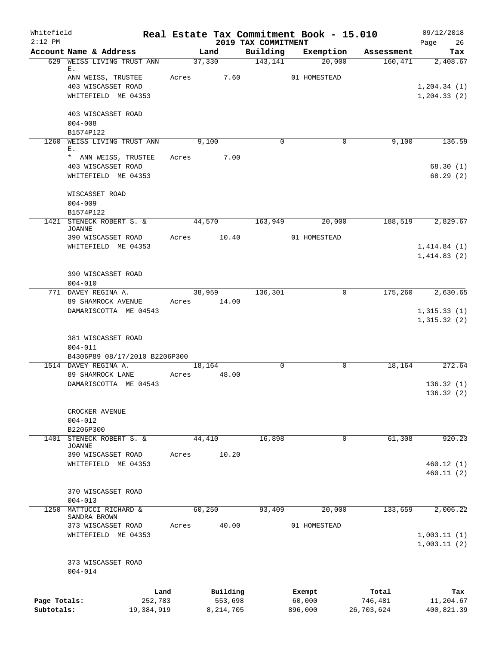| Whitefield<br>$2:12$ PM |                                           |       |                     | 2019 TAX COMMITMENT | Real Estate Tax Commitment Book - 15.010 |                  | 09/12/2018<br>Page<br>26   |
|-------------------------|-------------------------------------------|-------|---------------------|---------------------|------------------------------------------|------------------|----------------------------|
|                         | Account Name & Address                    |       | Land                | Building            | Exemption                                | Assessment       | Tax                        |
|                         | 629 WEISS LIVING TRUST ANN<br>Е.          |       | 37,330              | 143,141             | 20,000                                   | 160,471          | 2,408.67                   |
|                         | ANN WEISS, TRUSTEE                        | Acres | 7.60                |                     | 01 HOMESTEAD                             |                  |                            |
|                         | 403 WISCASSET ROAD                        |       |                     |                     |                                          |                  | 1, 204.34(1)               |
|                         | WHITEFIELD ME 04353                       |       |                     |                     |                                          |                  | 1, 204.33(2)               |
|                         | 403 WISCASSET ROAD                        |       |                     |                     |                                          |                  |                            |
|                         | $004 - 008$                               |       |                     |                     |                                          |                  |                            |
|                         | B1574P122                                 |       |                     |                     |                                          |                  |                            |
|                         | 1260 WEISS LIVING TRUST ANN<br>Ε.         |       | 9,100               | $\Omega$            | 0                                        | 9,100            | 136.59                     |
|                         | * ANN WEISS, TRUSTEE                      | Acres | 7.00                |                     |                                          |                  |                            |
|                         | 403 WISCASSET ROAD                        |       |                     |                     |                                          |                  | 68.30(1)                   |
|                         | WHITEFIELD ME 04353                       |       |                     |                     |                                          |                  | 68.29(2)                   |
|                         | WISCASSET ROAD                            |       |                     |                     |                                          |                  |                            |
|                         | $004 - 009$                               |       |                     |                     |                                          |                  |                            |
|                         | B1574P122                                 |       |                     |                     |                                          |                  |                            |
|                         | 1421 STENECK ROBERT S. &<br><b>JOANNE</b> |       | 44,570              | 163,949             | 20,000                                   | 188,519          | 2,829.67                   |
|                         | 390 WISCASSET ROAD                        | Acres | 10.40               |                     | 01 HOMESTEAD                             |                  |                            |
|                         | WHITEFIELD ME 04353                       |       |                     |                     |                                          |                  | 1,414.84(1)<br>1,414.83(2) |
|                         |                                           |       |                     |                     |                                          |                  |                            |
|                         | 390 WISCASSET ROAD                        |       |                     |                     |                                          |                  |                            |
|                         | $004 - 010$<br>771 DAVEY REGINA A.        |       | 38,959              | 136,301             | 0                                        | 175,260          | 2,630.65                   |
|                         | 89 SHAMROCK AVENUE                        |       | Acres 14.00         |                     |                                          |                  |                            |
|                         | DAMARISCOTTA ME 04543                     |       |                     |                     |                                          |                  | 1,315.33(1)                |
|                         |                                           |       |                     |                     |                                          |                  | 1,315.32(2)                |
|                         | 381 WISCASSET ROAD                        |       |                     |                     |                                          |                  |                            |
|                         | $004 - 011$                               |       |                     |                     |                                          |                  |                            |
|                         | B4306P89 08/17/2010 B2206P300             |       |                     |                     |                                          |                  |                            |
|                         | 1514 DAVEY REGINA A.                      |       | 18,164              | $\Omega$            | 0                                        | 18,164           | 272.64                     |
|                         | 89 SHAMROCK LANE                          | Acres | 48.00               |                     |                                          |                  |                            |
|                         | DAMARISCOTTA ME 04543                     |       |                     |                     |                                          |                  | 136.32(1)                  |
|                         |                                           |       |                     |                     |                                          |                  | 136.32(2)                  |
|                         | CROCKER AVENUE                            |       |                     |                     |                                          |                  |                            |
|                         | $004 - 012$                               |       |                     |                     |                                          |                  |                            |
|                         | B2206P300                                 |       |                     |                     |                                          |                  |                            |
| 1401                    | STENECK ROBERT S. &<br>JOANNE             |       | 44,410              | 16,898              | $\mathbf 0$                              | 61,308           | 920.23                     |
|                         | 390 WISCASSET ROAD                        | Acres | 10.20               |                     |                                          |                  |                            |
|                         | WHITEFIELD ME 04353                       |       |                     |                     |                                          |                  | 460.12(1)                  |
|                         |                                           |       |                     |                     |                                          |                  | 460.11 (2)                 |
|                         | 370 WISCASSET ROAD                        |       |                     |                     |                                          |                  |                            |
|                         | $004 - 013$                               |       |                     |                     |                                          |                  |                            |
| 1250                    | MATTUCCI RICHARD &                        |       | 60,250              | 93,409              | 20,000                                   | 133,659          | 2,006.22                   |
|                         | SANDRA BROWN                              |       |                     |                     |                                          |                  |                            |
|                         | 373 WISCASSET ROAD                        | Acres | 40.00               |                     | 01 HOMESTEAD                             |                  |                            |
|                         | WHITEFIELD ME 04353                       |       |                     |                     |                                          |                  | 1,003.11(1)<br>1,003.11(2) |
|                         | 373 WISCASSET ROAD                        |       |                     |                     |                                          |                  |                            |
|                         | $004 - 014$                               |       |                     |                     |                                          |                  |                            |
|                         |                                           |       |                     |                     |                                          |                  |                            |
| Page Totals:            | Land<br>252,783                           |       | Building<br>553,698 |                     | Exempt<br>60,000                         | Total<br>746,481 | Tax<br>11,204.67           |
| Subtotals:              | 19,384,919                                |       | 8,214,705           |                     | 896,000                                  | 26,703,624       | 400,821.39                 |
|                         |                                           |       |                     |                     |                                          |                  |                            |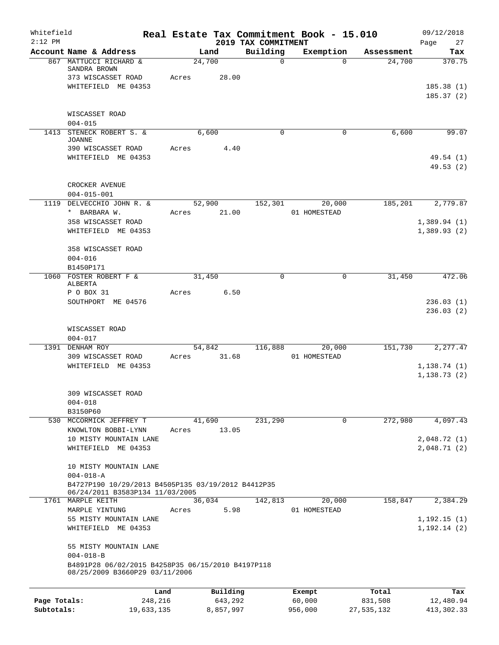| Whitefield<br>$2:12$ PM |                                                                                     |            |        |           | 2019 TAX COMMITMENT | Real Estate Tax Commitment Book - 15.010 |            | 09/12/2018<br>Page<br>27 |
|-------------------------|-------------------------------------------------------------------------------------|------------|--------|-----------|---------------------|------------------------------------------|------------|--------------------------|
|                         | Account Name & Address                                                              |            |        | Land      | Building            | Exemption                                | Assessment | Tax                      |
|                         | 867 MATTUCCI RICHARD &<br>SANDRA BROWN                                              |            | 24,700 |           | $\mathbf 0$         | $\Omega$                                 | 24,700     | 370.75                   |
|                         | 373 WISCASSET ROAD                                                                  |            | Acres  | 28.00     |                     |                                          |            |                          |
|                         | WHITEFIELD ME 04353                                                                 |            |        |           |                     |                                          |            | 185.38(1)<br>185.37(2)   |
|                         | WISCASSET ROAD<br>$004 - 015$                                                       |            |        |           |                     |                                          |            |                          |
|                         | 1413 STENECK ROBERT S. &                                                            |            |        | 6,600     | 0                   | 0                                        | 6,600      | 99.07                    |
|                         | JOANNE<br>390 WISCASSET ROAD                                                        |            | Acres  | 4.40      |                     |                                          |            |                          |
|                         | WHITEFIELD ME 04353                                                                 |            |        |           |                     |                                          |            | 49.54(1)<br>49.53(2)     |
|                         | CROCKER AVENUE<br>$004 - 015 - 001$                                                 |            |        |           |                     |                                          |            |                          |
| 1119                    | DELVECCHIO JOHN R. &                                                                |            | 52,900 |           | 152,301             | 20,000                                   | 185,201    | 2,779.87                 |
|                         | * BARBARA W.                                                                        |            | Acres  | 21.00     |                     | 01 HOMESTEAD                             |            |                          |
|                         | 358 WISCASSET ROAD                                                                  |            |        |           |                     |                                          |            | 1,389.94(1)              |
|                         | WHITEFIELD ME 04353                                                                 |            |        |           |                     |                                          |            | 1,389.93(2)              |
|                         | 358 WISCASSET ROAD                                                                  |            |        |           |                     |                                          |            |                          |
|                         | $004 - 016$                                                                         |            |        |           |                     |                                          |            |                          |
|                         | B1450P171                                                                           |            |        |           |                     |                                          |            |                          |
| 1060                    | FOSTER ROBERT F &                                                                   |            | 31,450 |           | 0                   | 0                                        | 31, 450    | 472.06                   |
|                         | ALBERTA                                                                             |            |        |           |                     |                                          |            |                          |
|                         | P O BOX 31                                                                          |            | Acres  | 6.50      |                     |                                          |            |                          |
|                         | SOUTHPORT ME 04576                                                                  |            |        |           |                     |                                          |            | 236.03(1)                |
|                         |                                                                                     |            |        |           |                     |                                          |            | 236.03(2)                |
|                         | WISCASSET ROAD                                                                      |            |        |           |                     |                                          |            |                          |
|                         | $004 - 017$                                                                         |            |        |           |                     |                                          |            |                          |
|                         | 1391 DENHAM ROY                                                                     |            | 54,842 |           | 116,888             | 20,000                                   | 151,730    | 2,277.47                 |
|                         | 309 WISCASSET ROAD                                                                  |            | Acres  | 31.68     |                     | 01 HOMESTEAD                             |            |                          |
|                         | WHITEFIELD ME 04353                                                                 |            |        |           |                     |                                          |            | 1, 138.74(1)             |
|                         |                                                                                     |            |        |           |                     |                                          |            | 1,138.73(2)              |
|                         | 309 WISCASSET ROAD                                                                  |            |        |           |                     |                                          |            |                          |
|                         | $004 - 018$                                                                         |            |        |           |                     |                                          |            |                          |
|                         | B3150P60                                                                            |            |        |           |                     |                                          |            |                          |
|                         | 530 MCCORMICK JEFFREY T                                                             |            | 41,690 |           | 231,290             | 0                                        | 272,980    | 4,097.43                 |
|                         | KNOWLTON BOBBI-LYNN                                                                 |            | Acres  | 13.05     |                     |                                          |            |                          |
|                         | 10 MISTY MOUNTAIN LANE                                                              |            |        |           |                     |                                          |            | 2,048.72(1)              |
|                         | WHITEFIELD ME 04353                                                                 |            |        |           |                     |                                          |            | 2,048.71(2)              |
|                         | 10 MISTY MOUNTAIN LANE                                                              |            |        |           |                     |                                          |            |                          |
|                         | $004 - 018 - A$<br>B4727P190 10/29/2013 B4505P135 03/19/2012 B4412P35               |            |        |           |                     |                                          |            |                          |
|                         | 06/24/2011 B3583P134 11/03/2005                                                     |            |        |           |                     |                                          |            |                          |
|                         | 1761 MARPLE KEITH                                                                   |            | 36,034 |           | 142,813             | 20,000                                   | 158,847    | 2,384.29                 |
|                         | MARPLE YINTUNG                                                                      |            | Acres  | 5.98      |                     | 01 HOMESTEAD                             |            |                          |
|                         | 55 MISTY MOUNTAIN LANE                                                              |            |        |           |                     |                                          |            | 1, 192.15(1)             |
|                         | WHITEFIELD ME 04353                                                                 |            |        |           |                     |                                          |            | 1, 192.14(2)             |
|                         | 55 MISTY MOUNTAIN LANE                                                              |            |        |           |                     |                                          |            |                          |
|                         | $004 - 018 - B$                                                                     |            |        |           |                     |                                          |            |                          |
|                         | B4891P28 06/02/2015 B4258P35 06/15/2010 B4197P118<br>08/25/2009 B3660P29 03/11/2006 |            |        |           |                     |                                          |            |                          |
|                         |                                                                                     | Land       |        | Building  |                     | Exempt                                   | Total      | Tax                      |
| Page Totals:            |                                                                                     | 248,216    |        | 643,292   |                     | 60,000                                   | 831,508    | 12,480.94                |
| Subtotals:              |                                                                                     | 19,633,135 |        | 8,857,997 |                     | 956,000                                  | 27,535,132 | 413, 302. 33             |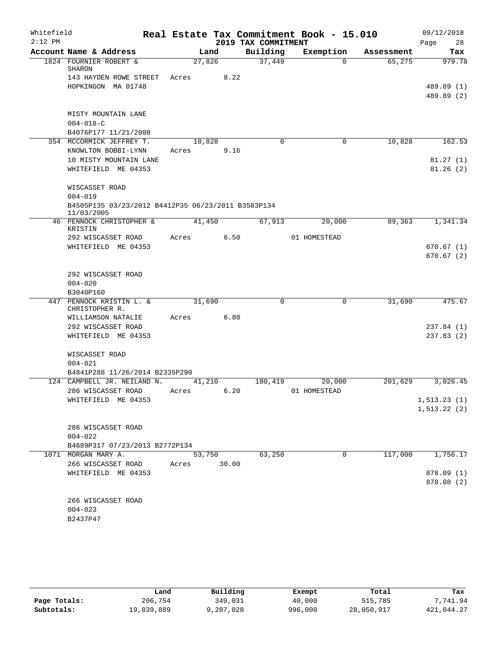| Whitefield |                                                                  |        |       |                     | Real Estate Tax Commitment Book - 15.010 |            | 09/12/2018                   |
|------------|------------------------------------------------------------------|--------|-------|---------------------|------------------------------------------|------------|------------------------------|
| $2:12$ PM  |                                                                  |        |       | 2019 TAX COMMITMENT |                                          |            | 28<br>Page                   |
|            | Account Name & Address                                           |        | Land  | Building            | Exemption                                | Assessment | Tax                          |
|            | 1824 FOURNIER ROBERT &<br>SHARON                                 | 27,826 |       | 37,449              | $\Omega$                                 | 65,275     | 979.78                       |
|            | 143 HAYDEN ROWE STREET                                           | Acres  | 8.22  |                     |                                          |            |                              |
|            | HOPKINGON MA 01748                                               |        |       |                     |                                          |            | 489.89 (1)                   |
|            |                                                                  |        |       |                     |                                          |            | 489.89 (2)                   |
|            | MISTY MOUNTAIN LANE                                              |        |       |                     |                                          |            |                              |
|            | $004 - 018 - C$                                                  |        |       |                     |                                          |            |                              |
|            | B4076P177 11/21/2008                                             |        |       |                     |                                          |            |                              |
|            | 354 MCCORMICK JEFFREY T.                                         | 10,828 |       | $\Omega$            | 0                                        | 10,828     | 162.53                       |
|            | KNOWLTON BOBBI-LYNN                                              | Acres  | 9.16  |                     |                                          |            |                              |
|            | 10 MISTY MOUNTAIN LANE                                           |        |       |                     |                                          |            | 81.27(1)                     |
|            | WHITEFIELD ME 04353                                              |        |       |                     |                                          |            | 81.26(2)                     |
|            | WISCASSET ROAD                                                   |        |       |                     |                                          |            |                              |
|            | $004 - 019$                                                      |        |       |                     |                                          |            |                              |
|            | B4505P135 03/23/2012 B4412P35 06/23/2011 B3583P134<br>11/03/2005 |        |       |                     |                                          |            |                              |
|            | 46 PENNOCK CHRISTOPHER &                                         | 41,450 |       | 67,913              | 20,000                                   | 89,363     | 1,341.34                     |
|            | KRISTIN                                                          | Acres  | 6.50  |                     | 01 HOMESTEAD                             |            |                              |
|            | 292 WISCASSET ROAD<br>WHITEFIELD ME 04353                        |        |       |                     |                                          |            | 670.67(1)                    |
|            |                                                                  |        |       |                     |                                          |            | 670.67(2)                    |
|            |                                                                  |        |       |                     |                                          |            |                              |
|            | 292 WISCASSET ROAD                                               |        |       |                     |                                          |            |                              |
|            | $004 - 020$                                                      |        |       |                     |                                          |            |                              |
|            | B3040P160                                                        |        |       |                     |                                          |            |                              |
|            | 447 PENNOCK KRISTIN L. &<br>CHRISTOPHER R.                       | 31,690 |       | 0                   | 0                                        | 31,690     | 475.67                       |
|            | WILLIAMSON NATALIE                                               | Acres  | 6.80  |                     |                                          |            |                              |
|            | 292 WISCASSET ROAD                                               |        |       |                     |                                          |            | 237.84(1)                    |
|            | WHITEFIELD ME 04353                                              |        |       |                     |                                          |            | 237.83 (2)                   |
|            | WISCASSET ROAD                                                   |        |       |                     |                                          |            |                              |
|            | $004 - 021$                                                      |        |       |                     |                                          |            |                              |
|            | B4841P288 11/26/2014 B2335P290                                   |        |       |                     |                                          |            |                              |
|            | 124 CAMPBELL JR. NEILAND N.                                      | 41,210 |       | 180,419             | 20,000                                   | 201,629    | 3,026.45                     |
|            | 286 WISCASSET ROAD                                               | Acres  | 6.20  |                     | 01 HOMESTEAD                             |            |                              |
|            | WHITEFIELD ME 04353                                              |        |       |                     |                                          |            | 1, 513.23(1)<br>1, 513.22(2) |
|            |                                                                  |        |       |                     |                                          |            |                              |
|            | 286 WISCASSET ROAD                                               |        |       |                     |                                          |            |                              |
|            | $004 - 022$                                                      |        |       |                     |                                          |            |                              |
|            | B4689P317 07/23/2013 B2772P134                                   |        |       |                     |                                          |            |                              |
|            | 1071 MORGAN MARY A.                                              | 53,750 |       | 63,250              | $\mathsf{O}$                             | 117,000    | 1,756.17                     |
|            | 266 WISCASSET ROAD                                               | Acres  | 30.00 |                     |                                          |            |                              |
|            | WHITEFIELD ME 04353                                              |        |       |                     |                                          |            | 878.09 (1)                   |
|            |                                                                  |        |       |                     |                                          |            | 878.08 (2)                   |
|            | 266 WISCASSET ROAD                                               |        |       |                     |                                          |            |                              |
|            | $004 - 023$                                                      |        |       |                     |                                          |            |                              |
|            | B2437P47                                                         |        |       |                     |                                          |            |                              |
|            |                                                                  |        |       |                     |                                          |            |                              |

|              | Land       | Building   | Exempt  | Total      | Tax        |
|--------------|------------|------------|---------|------------|------------|
| Page Totals: | 206,754    | 349,031    | 40,000  | 515,785    | .741.94    |
| Subtotals:   | 19,839,889 | , 207, 028 | 996,000 | 28,050,917 | 421,044.27 |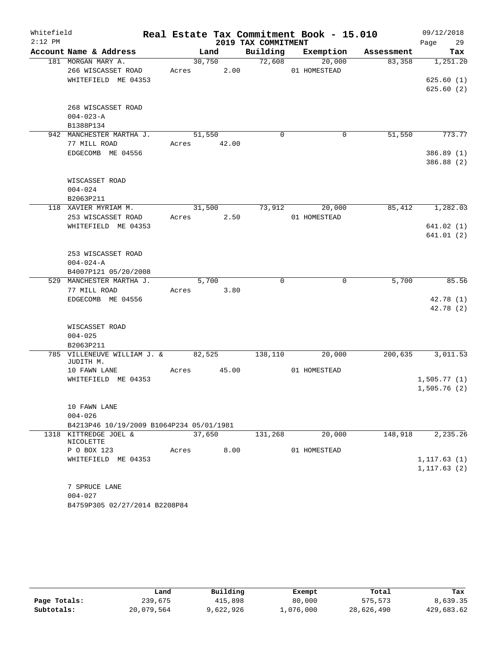| Whitefield |                                           |       |        |       |                     | Real Estate Tax Commitment Book - 15.010 |            | 09/12/2018   |
|------------|-------------------------------------------|-------|--------|-------|---------------------|------------------------------------------|------------|--------------|
| $2:12$ PM  |                                           |       |        |       | 2019 TAX COMMITMENT |                                          |            | Page<br>29   |
|            | Account Name & Address                    |       | Land   |       | Building            | Exemption                                | Assessment | Tax          |
|            | 181 MORGAN MARY A.<br>266 WISCASSET ROAD  |       | 30,750 | 2.00  | 72,608              | 20,000<br>01 HOMESTEAD                   | 83,358     | 1,251.20     |
|            | WHITEFIELD ME 04353                       | Acres |        |       |                     |                                          |            | 625.60(1)    |
|            |                                           |       |        |       |                     |                                          |            | 625.60(2)    |
|            |                                           |       |        |       |                     |                                          |            |              |
|            | 268 WISCASSET ROAD                        |       |        |       |                     |                                          |            |              |
|            | $004 - 023 - A$                           |       |        |       |                     |                                          |            |              |
|            | B1388P134                                 |       |        |       |                     |                                          |            |              |
|            | 942 MANCHESTER MARTHA J.                  |       | 51,550 |       | $\Omega$            | 0                                        | 51,550     | 773.77       |
|            | 77 MILL ROAD                              | Acres |        | 42.00 |                     |                                          |            |              |
|            | EDGECOMB ME 04556                         |       |        |       |                     |                                          |            | 386.89 (1)   |
|            |                                           |       |        |       |                     |                                          |            | 386.88 (2)   |
|            |                                           |       |        |       |                     |                                          |            |              |
|            | WISCASSET ROAD                            |       |        |       |                     |                                          |            |              |
|            | $004 - 024$                               |       |        |       |                     |                                          |            |              |
|            | B2063P211                                 |       |        |       |                     |                                          |            |              |
|            | 118 XAVIER MYRIAM M.                      |       | 31,500 |       | 73,912              | 20,000                                   | 85,412     | 1,282.03     |
|            | 253 WISCASSET ROAD<br>WHITEFIELD ME 04353 | Acres |        | 2.50  |                     | 01 HOMESTEAD                             |            | 641.02(1)    |
|            |                                           |       |        |       |                     |                                          |            | 641.01 (2)   |
|            |                                           |       |        |       |                     |                                          |            |              |
|            | 253 WISCASSET ROAD                        |       |        |       |                     |                                          |            |              |
|            | $004 - 024 - A$                           |       |        |       |                     |                                          |            |              |
|            | B4007P121 05/20/2008                      |       |        |       |                     |                                          |            |              |
|            | 529 MANCHESTER MARTHA J.                  |       | 5,700  |       | 0                   | 0                                        | 5,700      | 85.56        |
|            | 77 MILL ROAD                              | Acres |        | 3.80  |                     |                                          |            |              |
|            | EDGECOMB ME 04556                         |       |        |       |                     |                                          |            | 42.78 (1)    |
|            |                                           |       |        |       |                     |                                          |            | 42.78 (2)    |
|            |                                           |       |        |       |                     |                                          |            |              |
|            | WISCASSET ROAD                            |       |        |       |                     |                                          |            |              |
|            | $004 - 025$                               |       |        |       |                     |                                          |            |              |
| 785        | B2063P211<br>VILLENEUVE WILLIAM J. &      |       | 82,525 |       | 138,110             | 20,000                                   | 200,635    | 3,011.53     |
|            | JUDITH M.                                 |       |        |       |                     |                                          |            |              |
|            | 10 FAWN LANE                              | Acres |        | 45.00 |                     | 01 HOMESTEAD                             |            |              |
|            | WHITEFIELD ME 04353                       |       |        |       |                     |                                          |            | 1,505.77(1)  |
|            |                                           |       |        |       |                     |                                          |            | 1,505.76(2)  |
|            |                                           |       |        |       |                     |                                          |            |              |
|            | 10 FAWN LANE                              |       |        |       |                     |                                          |            |              |
|            | $004 - 026$                               |       |        |       |                     |                                          |            |              |
|            | B4213P46 10/19/2009 B1064P234 05/01/1981  |       |        |       |                     |                                          |            |              |
|            | 1318 KITTREDGE JOEL &<br>NICOLETTE        |       | 37,650 |       | 131,268             | 20,000                                   | 148,918    | 2,235.26     |
|            | P O BOX 123                               | Acres |        | 8.00  |                     | 01 HOMESTEAD                             |            |              |
|            | WHITEFIELD ME 04353                       |       |        |       |                     |                                          |            | 1, 117.63(1) |
|            |                                           |       |        |       |                     |                                          |            | 1, 117.63(2) |
|            |                                           |       |        |       |                     |                                          |            |              |
|            | 7 SPRUCE LANE                             |       |        |       |                     |                                          |            |              |
|            | $004 - 027$                               |       |        |       |                     |                                          |            |              |
|            | B4759P305 02/27/2014 B2208P84             |       |        |       |                     |                                          |            |              |

|              | Land       | Building  | Exempt    | Total      | Tax        |
|--------------|------------|-----------|-----------|------------|------------|
| Page Totals: | 239,675    | 415,898   | 80,000    | 575,573    | 8,639.35   |
| Subtotals:   | 20,079,564 | 9,622,926 | 1,076,000 | 28,626,490 | 429,683.62 |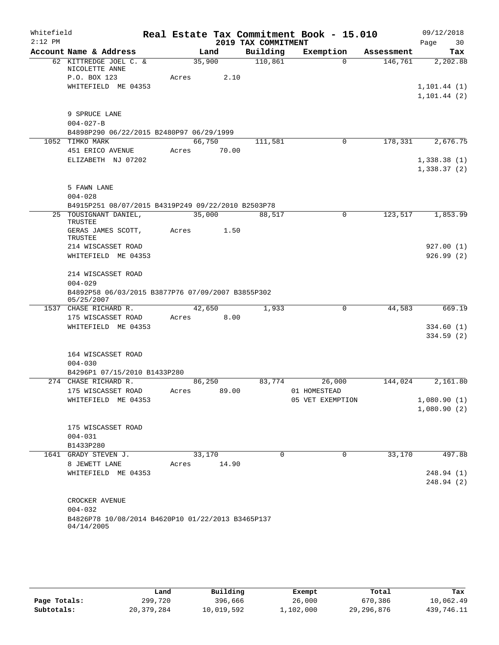| Whitefield |                                                    |       |        |                     | Real Estate Tax Commitment Book - 15.010 |            | 09/12/2018   |
|------------|----------------------------------------------------|-------|--------|---------------------|------------------------------------------|------------|--------------|
| $2:12$ PM  |                                                    |       |        | 2019 TAX COMMITMENT |                                          |            | Page<br>30   |
|            | Account Name & Address                             |       | Land   | Building            | Exemption                                | Assessment | Tax          |
|            | 62 KITTREDGE JOEL C. &<br>NICOLETTE ANNE           |       | 35,900 | 110,861             | $\Omega$                                 | 146,761    | 2,202.88     |
|            | P.O. BOX 123                                       | Acres | 2.10   |                     |                                          |            |              |
|            | WHITEFIELD ME 04353                                |       |        |                     |                                          |            | 1, 101.44(1) |
|            |                                                    |       |        |                     |                                          |            | 1, 101.44(2) |
|            |                                                    |       |        |                     |                                          |            |              |
|            | 9 SPRUCE LANE                                      |       |        |                     |                                          |            |              |
|            | $004 - 027 - B$                                    |       |        |                     |                                          |            |              |
|            | B4898P290 06/22/2015 B2480P97 06/29/1999           |       |        |                     |                                          |            |              |
|            | 1052 TIMKO MARK                                    |       | 66,750 | 111,581             | 0                                        | 178,331    | 2,676.75     |
|            | 451 ERICO AVENUE                                   | Acres | 70.00  |                     |                                          |            |              |
|            | ELIZABETH NJ 07202                                 |       |        |                     |                                          |            | 1,338.38(1)  |
|            |                                                    |       |        |                     |                                          |            | 1,338.37(2)  |
|            | 5 FAWN LANE                                        |       |        |                     |                                          |            |              |
|            | $004 - 028$                                        |       |        |                     |                                          |            |              |
|            | B4915P251 08/07/2015 B4319P249 09/22/2010 B2503P78 |       |        |                     |                                          |            |              |
|            | 25 TOUSIGNANT DANIEL,                              |       | 35,000 | 88,517              | $\mathbf 0$                              | 123,517    | 1,853.99     |
|            | TRUSTEE                                            |       |        |                     |                                          |            |              |
|            | GERAS JAMES SCOTT,<br><b>TRUSTEE</b>               | Acres | 1.50   |                     |                                          |            |              |
|            | 214 WISCASSET ROAD                                 |       |        |                     |                                          |            | 927.00(1)    |
|            | WHITEFIELD ME 04353                                |       |        |                     |                                          |            | 926.99 (2)   |
|            | 214 WISCASSET ROAD                                 |       |        |                     |                                          |            |              |
|            | $004 - 029$                                        |       |        |                     |                                          |            |              |
|            | B4892P58 06/03/2015 B3877P76 07/09/2007 B3855P302  |       |        |                     |                                          |            |              |
|            | 05/25/2007                                         |       |        |                     |                                          |            |              |
|            | 1537 CHASE RICHARD R.                              |       | 42,650 | 1,933               | $\mathbf 0$                              | 44,583     | 669.19       |
|            | 175 WISCASSET ROAD                                 | Acres | 8.00   |                     |                                          |            |              |
|            | WHITEFIELD ME 04353                                |       |        |                     |                                          |            | 334.60(1)    |
|            |                                                    |       |        |                     |                                          |            | 334.59(2)    |
|            |                                                    |       |        |                     |                                          |            |              |
|            | 164 WISCASSET ROAD                                 |       |        |                     |                                          |            |              |
|            | $004 - 030$<br>B4296P1 07/15/2010 B1433P280        |       |        |                     |                                          |            |              |
|            | 274 CHASE RICHARD R.                               |       | 86,250 | 83,774              | 26,000                                   | 144,024    | 2,161.80     |
|            | 175 WISCASSET ROAD                                 | Acres | 89.00  |                     | 01 HOMESTEAD                             |            |              |
|            | WHITEFIELD ME 04353                                |       |        |                     | 05 VET EXEMPTION                         |            | 1,080.90(1)  |
|            |                                                    |       |        |                     |                                          |            | 1,080.90(2)  |
|            |                                                    |       |        |                     |                                          |            |              |
|            | 175 WISCASSET ROAD                                 |       |        |                     |                                          |            |              |
|            | $004 - 031$                                        |       |        |                     |                                          |            |              |
|            | B1433P280                                          |       |        |                     |                                          |            |              |
|            | 1641 GRADY STEVEN J.                               |       | 33,170 | 0                   | $\mathbf 0$                              | 33,170     | 497.88       |
|            | 8 JEWETT LANE                                      | Acres | 14.90  |                     |                                          |            |              |
|            | WHITEFIELD ME 04353                                |       |        |                     |                                          |            | 248.94(1)    |
|            |                                                    |       |        |                     |                                          |            | 248.94 (2)   |
|            |                                                    |       |        |                     |                                          |            |              |
|            | CROCKER AVENUE                                     |       |        |                     |                                          |            |              |
|            | $004 - 032$                                        |       |        |                     |                                          |            |              |
|            | B4826P78 10/08/2014 B4620P10 01/22/2013 B3465P137  |       |        |                     |                                          |            |              |
|            | 04/14/2005                                         |       |        |                     |                                          |            |              |
|            |                                                    |       |        |                     |                                          |            |              |

|              | Land         | Building   | Exempt    | Total        | Tax        |
|--------------|--------------|------------|-----------|--------------|------------|
| Page Totals: | 299,720      | 396,666    | 26,000    | 670,386      | 10,062.49  |
| Subtotals:   | 20, 379, 284 | 10,019,592 | 1,102,000 | 29, 296, 876 | 439,746.11 |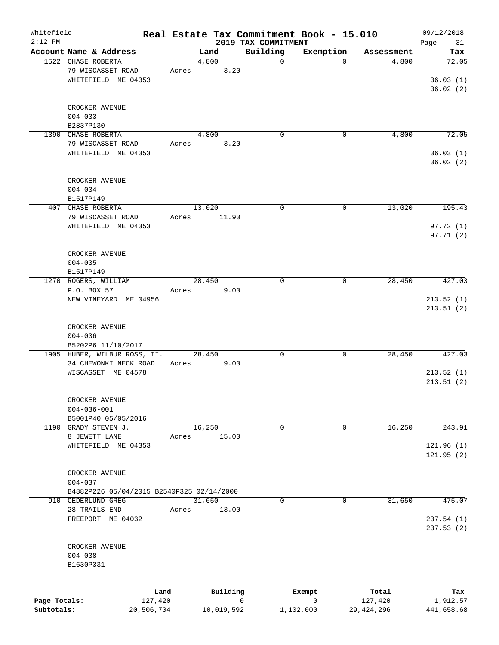| Whitefield   |                                           |            |       |        |            |                                 | Real Estate Tax Commitment Book - 15.010 |             |              | 09/12/2018   |
|--------------|-------------------------------------------|------------|-------|--------|------------|---------------------------------|------------------------------------------|-------------|--------------|--------------|
| $2:12$ PM    | Account Name & Address                    |            |       | Land   |            | 2019 TAX COMMITMENT<br>Building | Exemption                                |             | Assessment   | Page<br>31   |
|              | 1522 CHASE ROBERTA                        |            |       | 4,800  |            | $\mathbf 0$                     |                                          | $\mathbf 0$ | 4,800        | Tax<br>72.05 |
|              | 79 WISCASSET ROAD                         |            |       |        |            |                                 |                                          |             |              |              |
|              |                                           |            | Acres |        | 3.20       |                                 |                                          |             |              |              |
|              | WHITEFIELD ME 04353                       |            |       |        |            |                                 |                                          |             |              | 36.03(1)     |
|              |                                           |            |       |        |            |                                 |                                          |             |              | 36.02(2)     |
|              |                                           |            |       |        |            |                                 |                                          |             |              |              |
|              | CROCKER AVENUE                            |            |       |        |            |                                 |                                          |             |              |              |
|              | $004 - 033$                               |            |       |        |            |                                 |                                          |             |              |              |
|              | B2837P130                                 |            |       |        |            |                                 |                                          |             |              |              |
|              | 1390 CHASE ROBERTA                        |            |       | 4,800  |            | $\mathbf 0$                     |                                          | $\mathbf 0$ | 4,800        | 72.05        |
|              | 79 WISCASSET ROAD                         |            | Acres |        | 3.20       |                                 |                                          |             |              |              |
|              | WHITEFIELD ME 04353                       |            |       |        |            |                                 |                                          |             |              | 36.03(1)     |
|              |                                           |            |       |        |            |                                 |                                          |             |              | 36.02(2)     |
|              |                                           |            |       |        |            |                                 |                                          |             |              |              |
|              | CROCKER AVENUE                            |            |       |        |            |                                 |                                          |             |              |              |
|              | $004 - 034$                               |            |       |        |            |                                 |                                          |             |              |              |
|              | B1517P149                                 |            |       |        |            |                                 |                                          |             |              |              |
|              | 407 CHASE ROBERTA                         |            |       | 13,020 |            | $\mathbf 0$                     |                                          | 0           | 13,020       | 195.43       |
|              | 79 WISCASSET ROAD                         |            | Acres |        | 11.90      |                                 |                                          |             |              |              |
|              | WHITEFIELD ME 04353                       |            |       |        |            |                                 |                                          |             |              | 97.72(1)     |
|              |                                           |            |       |        |            |                                 |                                          |             |              | 97.71(2)     |
|              |                                           |            |       |        |            |                                 |                                          |             |              |              |
|              | CROCKER AVENUE                            |            |       |        |            |                                 |                                          |             |              |              |
|              | $004 - 035$                               |            |       |        |            |                                 |                                          |             |              |              |
|              | B1517P149                                 |            |       |        |            |                                 |                                          |             |              |              |
|              | 1270 ROGERS, WILLIAM                      |            |       | 28,450 |            | $\mathbf 0$                     |                                          | 0           | 28,450       | 427.03       |
|              | P.O. BOX 57                               |            | Acres |        | 9.00       |                                 |                                          |             |              |              |
|              | NEW VINEYARD ME 04956                     |            |       |        |            |                                 |                                          |             |              | 213.52(1)    |
|              |                                           |            |       |        |            |                                 |                                          |             |              | 213.51(2)    |
|              |                                           |            |       |        |            |                                 |                                          |             |              |              |
|              | CROCKER AVENUE                            |            |       |        |            |                                 |                                          |             |              |              |
|              | $004 - 036$                               |            |       |        |            |                                 |                                          |             |              |              |
|              | B5202P6 11/10/2017                        |            |       |        |            |                                 |                                          |             |              |              |
|              | 1905 HUBER, WILBUR ROSS, II.              |            |       | 28,450 |            | 0                               |                                          | 0           | 28,450       | 427.03       |
|              | 34 CHEWONKI NECK ROAD                     |            |       |        | 9.00       |                                 |                                          |             |              |              |
|              | WISCASSET ME 04578                        |            | Acres |        |            |                                 |                                          |             |              |              |
|              |                                           |            |       |        |            |                                 |                                          |             |              | 213.52(1)    |
|              |                                           |            |       |        |            |                                 |                                          |             |              | 213.51(2)    |
|              |                                           |            |       |        |            |                                 |                                          |             |              |              |
|              | CROCKER AVENUE                            |            |       |        |            |                                 |                                          |             |              |              |
|              | $004 - 036 - 001$                         |            |       |        |            |                                 |                                          |             |              |              |
|              | B5001P40 05/05/2016                       |            |       |        |            |                                 |                                          |             |              |              |
|              | 1190 GRADY STEVEN J.                      |            |       | 16,250 |            | 0                               |                                          | 0           | 16,250       | 243.91       |
|              | 8 JEWETT LANE                             |            | Acres |        | 15.00      |                                 |                                          |             |              |              |
|              | WHITEFIELD ME 04353                       |            |       |        |            |                                 |                                          |             |              | 121.96 (1)   |
|              |                                           |            |       |        |            |                                 |                                          |             |              | 121.95(2)    |
|              |                                           |            |       |        |            |                                 |                                          |             |              |              |
|              | CROCKER AVENUE                            |            |       |        |            |                                 |                                          |             |              |              |
|              | $004 - 037$                               |            |       |        |            |                                 |                                          |             |              |              |
|              | B4882P226 05/04/2015 B2540P325 02/14/2000 |            |       |        |            |                                 |                                          |             |              |              |
|              | 910 CEDERLUND GREG                        |            |       | 31,650 |            | 0                               |                                          | 0           | 31,650       | 475.07       |
|              | 28 TRAILS END                             |            | Acres |        | 13.00      |                                 |                                          |             |              |              |
|              | FREEPORT ME 04032                         |            |       |        |            |                                 |                                          |             |              | 237.54(1)    |
|              |                                           |            |       |        |            |                                 |                                          |             |              | 237.53 (2)   |
|              |                                           |            |       |        |            |                                 |                                          |             |              |              |
|              | CROCKER AVENUE                            |            |       |        |            |                                 |                                          |             |              |              |
|              | $004 - 038$                               |            |       |        |            |                                 |                                          |             |              |              |
|              | B1630P331                                 |            |       |        |            |                                 |                                          |             |              |              |
|              |                                           |            |       |        |            |                                 |                                          |             |              |              |
|              |                                           |            |       |        |            |                                 |                                          |             |              |              |
|              |                                           | Land       |       |        | Building   |                                 | Exempt                                   |             | Total        | Tax          |
| Page Totals: |                                           | 127,420    |       |        |            | $\mathbf 0$                     | 0                                        |             | 127,420      | 1,912.57     |
| Subtotals:   |                                           | 20,506,704 |       |        | 10,019,592 |                                 | 1,102,000                                |             | 29, 424, 296 | 441,658.68   |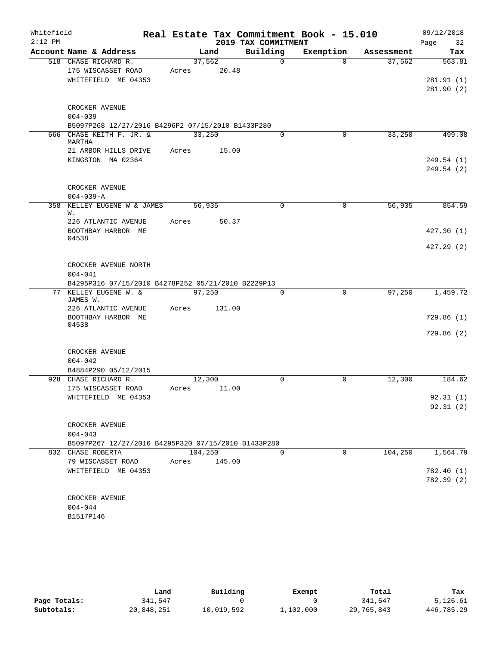| Whitefield |                                                     |                  |        |                      | Real Estate Tax Commitment Book - 15.010 |                      |      | 09/12/2018               |
|------------|-----------------------------------------------------|------------------|--------|----------------------|------------------------------------------|----------------------|------|--------------------------|
| $2:12$ PM  |                                                     |                  |        | 2019 TAX COMMITMENT  |                                          |                      | Page | 32                       |
|            | Account Name & Address<br>518 CHASE RICHARD R.      | 37,562           | Land   | Building<br>$\Omega$ | Exemption<br>$\Omega$                    | Assessment<br>37,562 |      | Tax<br>563.81            |
|            | 175 WISCASSET ROAD                                  | Acres            | 20.48  |                      |                                          |                      |      |                          |
|            | WHITEFIELD ME 04353                                 |                  |        |                      |                                          |                      |      | 281.91 (1)               |
|            |                                                     |                  |        |                      |                                          |                      |      | 281.90(2)                |
|            | CROCKER AVENUE                                      |                  |        |                      |                                          |                      |      |                          |
|            | $004 - 039$                                         |                  |        |                      |                                          |                      |      |                          |
|            | B5097P268 12/27/2016 B4296P2 07/15/2010 B1433P280   |                  |        |                      |                                          |                      |      |                          |
|            | 666 CHASE KEITH F. JR. &<br>MARTHA                  | 33,250           |        | $\Omega$             | $\mathbf 0$                              | 33,250               |      | 499.08                   |
|            | 21 ARBOR HILLS DRIVE                                | Acres            | 15.00  |                      |                                          |                      |      |                          |
|            | KINGSTON MA 02364                                   |                  |        |                      |                                          |                      |      | 249.54 (1)<br>249.54 (2) |
|            | CROCKER AVENUE                                      |                  |        |                      |                                          |                      |      |                          |
|            | $004 - 039 - A$                                     |                  |        |                      |                                          |                      |      | 854.59                   |
| 358        | KELLEY EUGENE W & JAMES<br>W.                       | 56,935<br>Acres  |        | $\mathbf 0$          | $\mathbf 0$                              | 56,935               |      |                          |
|            | 226 ATLANTIC AVENUE<br>BOOTHBAY HARBOR ME           |                  | 50.37  |                      |                                          |                      |      | 427.30(1)                |
|            | 04538                                               |                  |        |                      |                                          |                      |      | 427.29(2)                |
|            | CROCKER AVENUE NORTH                                |                  |        |                      |                                          |                      |      |                          |
|            | $004 - 041$                                         |                  |        |                      |                                          |                      |      |                          |
|            | B4295P316 07/15/2010 B4278P252 05/21/2010 B2229P13  |                  |        |                      |                                          |                      |      |                          |
|            | 77 KELLEY EUGENE W. &<br>JAMES W.                   | 97,250           |        | 0                    | $\mathbf 0$                              | 97,250               |      | 1,459.72                 |
|            | 226 ATLANTIC AVENUE                                 | Acres            | 131.00 |                      |                                          |                      |      |                          |
|            | BOOTHBAY HARBOR ME                                  |                  |        |                      |                                          |                      |      | 729.86(1)                |
|            | 04538                                               |                  |        |                      |                                          |                      |      | 729.86(2)                |
|            | CROCKER AVENUE                                      |                  |        |                      |                                          |                      |      |                          |
|            | $004 - 042$                                         |                  |        |                      |                                          |                      |      |                          |
|            | B4884P290 05/12/2015                                |                  |        |                      |                                          |                      |      |                          |
|            | 928 CHASE RICHARD R.                                | 12,300           |        | $\mathbf 0$          | 0                                        | 12,300               |      | 184.62                   |
|            | 175 WISCASSET ROAD                                  | Acres            | 11.00  |                      |                                          |                      |      |                          |
|            | WHITEFIELD ME 04353                                 |                  |        |                      |                                          |                      |      | 92.31(1)<br>92.31(2)     |
|            | CROCKER AVENUE                                      |                  |        |                      |                                          |                      |      |                          |
|            | $004 - 043$                                         |                  |        |                      |                                          |                      |      |                          |
|            | B5097P267 12/27/2016 B4295P320 07/15/2010 B1433P280 |                  |        |                      |                                          |                      |      |                          |
|            | 832 CHASE ROBERTA<br>79 WISCASSET ROAD              | 104,250<br>Acres | 145.00 | $\mathbf 0$          | $\mathbf 0$                              | 104,250              |      | 1,564.79                 |
|            | WHITEFIELD ME 04353                                 |                  |        |                      |                                          |                      |      | 782.40 (1)               |
|            |                                                     |                  |        |                      |                                          |                      |      | 782.39 (2)               |
|            | CROCKER AVENUE                                      |                  |        |                      |                                          |                      |      |                          |
|            | $004 - 044$                                         |                  |        |                      |                                          |                      |      |                          |
|            | B1517P146                                           |                  |        |                      |                                          |                      |      |                          |

|              | Land       | Building   | Exempt    | Total      | Tax        |
|--------------|------------|------------|-----------|------------|------------|
| Page Totals: | 341,547    |            |           | 341,547    | 5,126.61   |
| Subtotals:   | 20,848,251 | 10,019,592 | 1,102,000 | 29,765,843 | 446,785.29 |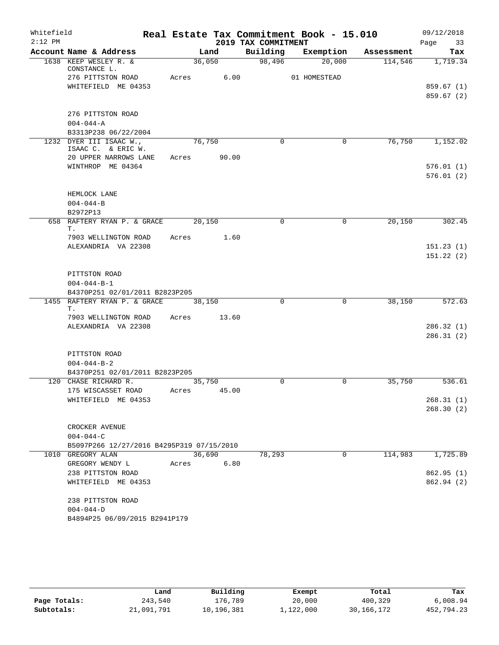| Whitefield |                                             |       |        |                     | Real Estate Tax Commitment Book - 15.010 |            | 09/12/2018             |
|------------|---------------------------------------------|-------|--------|---------------------|------------------------------------------|------------|------------------------|
| $2:12$ PM  |                                             |       |        | 2019 TAX COMMITMENT |                                          |            | 33<br>Page             |
|            | Account Name & Address                      |       | Land   | Building            | Exemption                                | Assessment | Tax                    |
|            | 1638 KEEP WESLEY R. &<br>CONSTANCE L.       |       | 36,050 | 98,496              | 20,000                                   | 114,546    | 1,719.34               |
|            | 276 PITTSTON ROAD                           | Acres | 6.00   |                     | 01 HOMESTEAD                             |            |                        |
|            | WHITEFIELD ME 04353                         |       |        |                     |                                          |            | 859.67(1)              |
|            |                                             |       |        |                     |                                          |            | 859.67(2)              |
|            |                                             |       |        |                     |                                          |            |                        |
|            | 276 PITTSTON ROAD<br>$004 - 044 - A$        |       |        |                     |                                          |            |                        |
|            | B3313P238 06/22/2004                        |       |        |                     |                                          |            |                        |
|            | 1232 DYER III ISAAC W.,                     |       | 76,750 | $\Omega$            | 0                                        | 76,750     | 1,152.02               |
|            | ISAAC C. & ERIC W.                          |       |        |                     |                                          |            |                        |
|            | 20 UPPER NARROWS LANE                       | Acres | 90.00  |                     |                                          |            |                        |
|            | WINTHROP ME 04364                           |       |        |                     |                                          |            | 576.01(1)              |
|            |                                             |       |        |                     |                                          |            | 576.01(2)              |
|            | HEMLOCK LANE                                |       |        |                     |                                          |            |                        |
|            | $004 - 044 - B$                             |       |        |                     |                                          |            |                        |
|            | B2972P13                                    |       |        |                     |                                          |            |                        |
|            | 658 RAFTERY RYAN P. & GRACE                 |       | 20,150 | $\Omega$            | $\mathbf 0$                              | 20,150     | 302.45                 |
|            | Τ.                                          |       |        |                     |                                          |            |                        |
|            | 7903 WELLINGTON ROAD                        | Acres | 1.60   |                     |                                          |            |                        |
|            | ALEXANDRIA VA 22308                         |       |        |                     |                                          |            | 151.23(1)<br>151.22(2) |
|            |                                             |       |        |                     |                                          |            |                        |
|            | PITTSTON ROAD                               |       |        |                     |                                          |            |                        |
|            | $004 - 044 - B - 1$                         |       |        |                     |                                          |            |                        |
|            | B4370P251 02/01/2011 B2823P205              |       |        |                     |                                          |            |                        |
|            | 1455 RAFTERY RYAN P. & GRACE                |       | 38,150 | $\mathbf 0$         | $\mathbf 0$                              | 38,150     | 572.63                 |
|            | Τ.                                          |       |        |                     |                                          |            |                        |
|            | 7903 WELLINGTON ROAD<br>ALEXANDRIA VA 22308 | Acres | 13.60  |                     |                                          |            |                        |
|            |                                             |       |        |                     |                                          |            | 286.32(1)<br>286.31(2) |
|            |                                             |       |        |                     |                                          |            |                        |
|            | PITTSTON ROAD                               |       |        |                     |                                          |            |                        |
|            | $004 - 044 - B - 2$                         |       |        |                     |                                          |            |                        |
|            | B4370P251 02/01/2011 B2823P205              |       |        |                     |                                          |            |                        |
|            | 120 CHASE RICHARD R.                        |       | 35,750 | 0                   | 0                                        | 35,750     | 536.61                 |
|            | 175 WISCASSET ROAD                          | Acres | 45.00  |                     |                                          |            |                        |
|            | WHITEFIELD ME 04353                         |       |        |                     |                                          |            | 268.31(1)              |
|            |                                             |       |        |                     |                                          |            | 268.30(2)              |
|            | CROCKER AVENUE                              |       |        |                     |                                          |            |                        |
|            | $004 - 044 - C$                             |       |        |                     |                                          |            |                        |
|            | B5097P266 12/27/2016 B4295P319 07/15/2010   |       |        |                     |                                          |            |                        |
|            | 1010 GREGORY ALAN                           |       | 36,690 | 78,293              | $\mathbf 0$                              | 114,983    | 1,725.89               |
|            | GREGORY WENDY L                             | Acres | 6.80   |                     |                                          |            |                        |
|            | 238 PITTSTON ROAD                           |       |        |                     |                                          |            | 862.95(1)              |
|            | WHITEFIELD ME 04353                         |       |        |                     |                                          |            | 862.94 (2)             |
|            |                                             |       |        |                     |                                          |            |                        |
|            | 238 PITTSTON ROAD                           |       |        |                     |                                          |            |                        |
|            | $004 - 044 - D$                             |       |        |                     |                                          |            |                        |
|            | B4894P25 06/09/2015 B2941P179               |       |        |                     |                                          |            |                        |

|              | Land       | Building   | Exempt    | Total      | Tax        |
|--------------|------------|------------|-----------|------------|------------|
| Page Totals: | 243,540    | 176,789    | 20,000    | 400,329    | 6,008.94   |
| Subtotals:   | 21,091,791 | 10,196,381 | 1,122,000 | 30,166,172 | 452,794.23 |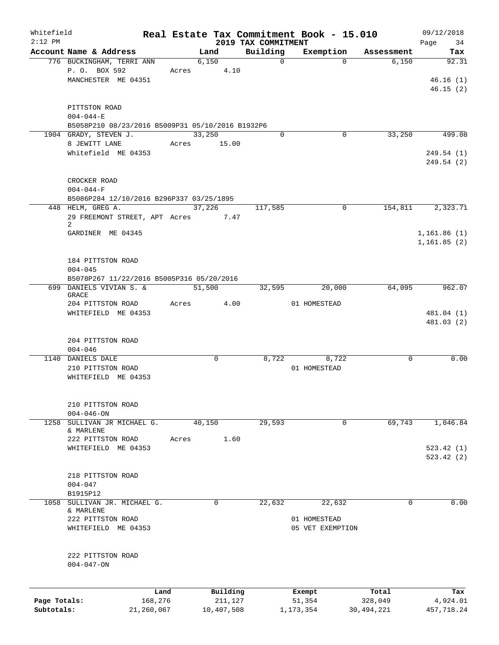| Whitefield<br>$2:12$ PM |                                                  |       |             | 2019 TAX COMMITMENT | Real Estate Tax Commitment Book - 15.010 |              | 09/12/2018<br>Page 34 |
|-------------------------|--------------------------------------------------|-------|-------------|---------------------|------------------------------------------|--------------|-----------------------|
|                         | Account Name & Address                           |       | Land        | Building            | Exemption                                | Assessment   | Tax                   |
|                         | 776 BUCKINGHAM, TERRI ANN                        |       | 6,150       | $\mathbf 0$         | $\Omega$                                 | 6,150        | 92.31                 |
|                         | P. O. BOX 592                                    |       | Acres 4.10  |                     |                                          |              |                       |
|                         | MANCHESTER ME 04351                              |       |             |                     |                                          |              | 46.16(1)              |
|                         |                                                  |       |             |                     |                                          |              | 46.15(2)              |
|                         |                                                  |       |             |                     |                                          |              |                       |
|                         |                                                  |       |             |                     |                                          |              |                       |
|                         | PITTSTON ROAD                                    |       |             |                     |                                          |              |                       |
|                         | $004 - 044 - E$                                  |       |             |                     |                                          |              |                       |
|                         | B5058P210 08/23/2016 B5009P31 05/10/2016 B1932P6 |       |             |                     |                                          |              |                       |
|                         | 1904 GRADY, STEVEN J.                            |       | 33,250      | 0                   | 0                                        | 33,250       | 499.08                |
|                         | 8 JEWITT LANE                                    |       | Acres 15.00 |                     |                                          |              |                       |
|                         | Whitefield ME 04353                              |       |             |                     |                                          |              | 249.54 (1)            |
|                         |                                                  |       |             |                     |                                          |              | 249.54(2)             |
|                         |                                                  |       |             |                     |                                          |              |                       |
|                         | CROCKER ROAD                                     |       |             |                     |                                          |              |                       |
|                         | $004 - 044 - F$                                  |       |             |                     |                                          |              |                       |
|                         | B5086P284 12/10/2016 B296P337 03/25/1895         |       |             |                     |                                          |              |                       |
|                         | 448 HELM, GREG A.                                |       | 37,226      | 117,585             | 0                                        | 154,811      | 2,323.71              |
|                         |                                                  |       |             |                     |                                          |              |                       |
|                         | 29 FREEMONT STREET, APT Acres 7.47<br>2          |       |             |                     |                                          |              |                       |
|                         | GARDINER ME 04345                                |       |             |                     |                                          |              | 1,161.86(1)           |
|                         |                                                  |       |             |                     |                                          |              |                       |
|                         |                                                  |       |             |                     |                                          |              | 1,161.85(2)           |
|                         |                                                  |       |             |                     |                                          |              |                       |
|                         | 184 PITTSTON ROAD                                |       |             |                     |                                          |              |                       |
|                         | $004 - 045$                                      |       |             |                     |                                          |              |                       |
|                         | B5078P267 11/22/2016 B5005P316 05/20/2016        |       |             |                     |                                          |              |                       |
|                         | 699 DANIELS VIVIAN S. &                          |       | 51,500      | 32,595              | 20,000                                   | 64,095       | 962.07                |
|                         | <b>GRACE</b>                                     |       |             |                     |                                          |              |                       |
|                         | 204 PITTSTON ROAD                                |       | Acres 4.00  |                     | 01 HOMESTEAD                             |              |                       |
|                         | WHITEFIELD ME 04353                              |       |             |                     |                                          |              | 481.04 (1)            |
|                         |                                                  |       |             |                     |                                          |              | 481.03 (2)            |
|                         |                                                  |       |             |                     |                                          |              |                       |
|                         | 204 PITTSTON ROAD                                |       |             |                     |                                          |              |                       |
|                         | $004 - 046$                                      |       |             |                     |                                          |              |                       |
|                         | 1140 DANIELS DALE                                |       | 0           | 8,722               | 8,722                                    | $\mathbf 0$  | 0.00                  |
|                         | 210 PITTSTON ROAD                                |       |             |                     | 01 HOMESTEAD                             |              |                       |
|                         | WHITEFIELD ME 04353                              |       |             |                     |                                          |              |                       |
|                         |                                                  |       |             |                     |                                          |              |                       |
|                         |                                                  |       |             |                     |                                          |              |                       |
|                         | 210 PITTSTON ROAD                                |       |             |                     |                                          |              |                       |
|                         | $004 - 046 - ON$                                 |       |             |                     |                                          |              |                       |
| 1258                    | SULLIVAN JR MICHAEL G.                           |       | 40,150      | 29,593              | 0                                        | 69,743       | 1,046.84              |
|                         | & MARLENE                                        |       |             |                     |                                          |              |                       |
|                         | 222 PITTSTON ROAD                                | Acres | 1.60        |                     |                                          |              |                       |
|                         | WHITEFIELD ME 04353                              |       |             |                     |                                          |              |                       |
|                         |                                                  |       |             |                     |                                          |              | 523.42(1)             |
|                         |                                                  |       |             |                     |                                          |              | 523.42(2)             |
|                         |                                                  |       |             |                     |                                          |              |                       |
|                         | 218 PITTSTON ROAD                                |       |             |                     |                                          |              |                       |
|                         | $004 - 047$                                      |       |             |                     |                                          |              |                       |
|                         | B1915P12                                         |       |             |                     |                                          |              |                       |
| 1058                    | SULLIVAN JR. MICHAEL G.                          |       | 0           | 22,632              | 22,632                                   | 0            | 0.00                  |
|                         | & MARLENE                                        |       |             |                     |                                          |              |                       |
|                         | 222 PITTSTON ROAD                                |       |             |                     | 01 HOMESTEAD                             |              |                       |
|                         | WHITEFIELD ME 04353                              |       |             |                     | 05 VET EXEMPTION                         |              |                       |
|                         |                                                  |       |             |                     |                                          |              |                       |
|                         |                                                  |       |             |                     |                                          |              |                       |
|                         | 222 PITTSTON ROAD                                |       |             |                     |                                          |              |                       |
|                         | $004 - 047 - ON$                                 |       |             |                     |                                          |              |                       |
|                         |                                                  |       |             |                     |                                          |              |                       |
|                         |                                                  |       |             |                     |                                          |              |                       |
|                         | Land                                             |       | Building    |                     | Exempt                                   | Total        | Tax                   |
| Page Totals:            | 168,276                                          |       | 211,127     |                     | 51,354                                   | 328,049      | 4,924.01              |
| Subtotals:              | 21,260,067                                       |       | 10,407,508  |                     | 1,173,354                                | 30, 494, 221 | 457,718.24            |
|                         |                                                  |       |             |                     |                                          |              |                       |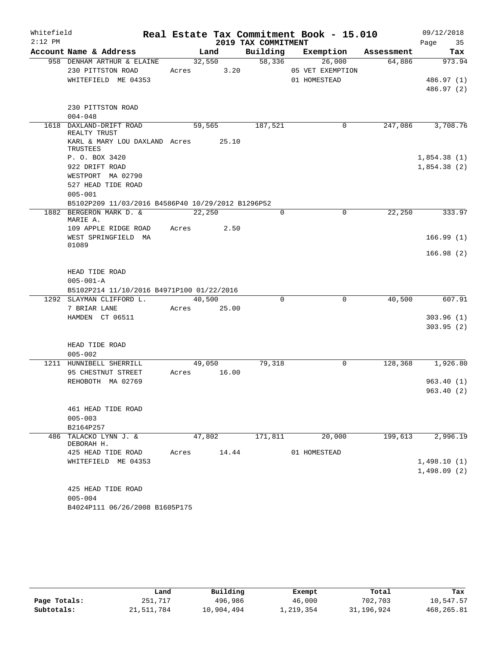| Whitefield |                                                                              |       |        |             |                     | Real Estate Tax Commitment Book - 15.010 |            | 09/12/2018               |
|------------|------------------------------------------------------------------------------|-------|--------|-------------|---------------------|------------------------------------------|------------|--------------------------|
| $2:12$ PM  |                                                                              |       |        |             | 2019 TAX COMMITMENT |                                          |            | 35<br>Page               |
|            | Account Name & Address                                                       |       | Land   |             | Building            | Exemption                                | Assessment | Tax                      |
|            | 958 DENHAM ARTHUR & ELAINE<br>230 PITTSTON ROAD                              | Acres | 32,550 | 3.20        | 58,336              | 26,000<br>05 VET EXEMPTION               | 64,886     | 973.94                   |
|            | WHITEFIELD ME 04353                                                          |       |        |             |                     | 01 HOMESTEAD                             |            | 486.97 (1)<br>486.97 (2) |
|            |                                                                              |       |        |             |                     |                                          |            |                          |
|            | 230 PITTSTON ROAD<br>$004 - 048$                                             |       |        |             |                     |                                          |            |                          |
|            | 1618 DAXLAND-DRIFT ROAD                                                      |       | 59,565 |             | 187,521             | 0                                        | 247,086    | 3,708.76                 |
|            | REALTY TRUST                                                                 |       |        |             |                     |                                          |            |                          |
|            | KARL & MARY LOU DAXLAND Acres 25.10<br>TRUSTEES                              |       |        |             |                     |                                          |            |                          |
|            | P. O. BOX 3420                                                               |       |        |             |                     |                                          |            | 1,854.38(1)              |
|            | 922 DRIFT ROAD                                                               |       |        |             |                     |                                          |            | 1,854.38(2)              |
|            | WESTPORT MA 02790                                                            |       |        |             |                     |                                          |            |                          |
|            | 527 HEAD TIDE ROAD                                                           |       |        |             |                     |                                          |            |                          |
|            | $005 - 001$                                                                  |       |        |             |                     |                                          |            |                          |
|            | B5102P209 11/03/2016 B4586P40 10/29/2012 B1296P52<br>1882 BERGERON MARK D. & |       | 22,250 |             | $\Omega$            | $\mathbf 0$                              | 22,250     | 333.97                   |
|            | MARIE A.<br>109 APPLE RIDGE ROAD                                             | Acres |        | 2.50        |                     |                                          |            |                          |
|            | WEST SPRINGFIELD MA                                                          |       |        |             |                     |                                          |            | 166.99(1)                |
|            | 01089                                                                        |       |        |             |                     |                                          |            |                          |
|            |                                                                              |       |        |             |                     |                                          |            | 166.98(2)                |
|            | HEAD TIDE ROAD                                                               |       |        |             |                     |                                          |            |                          |
|            | $005 - 001 - A$<br>B5102P214 11/10/2016 B4971P100 01/22/2016                 |       |        |             |                     |                                          |            |                          |
|            | 1292 SLAYMAN CLIFFORD L.                                                     |       | 40,500 |             | $\Omega$            | $\mathbf 0$                              | 40,500     | 607.91                   |
|            | 7 BRIAR LANE                                                                 |       |        | Acres 25.00 |                     |                                          |            |                          |
|            | HAMDEN CT 06511                                                              |       |        |             |                     |                                          |            | 303.96(1)                |
|            |                                                                              |       |        |             |                     |                                          |            | 303.95(2)                |
|            | HEAD TIDE ROAD                                                               |       |        |             |                     |                                          |            |                          |
|            | $005 - 002$                                                                  |       |        |             |                     |                                          |            |                          |
|            | 1211 HUNNIBELL SHERRILL                                                      |       | 49,050 |             | 79,318              | 0                                        | 128,368    | 1,926.80                 |
|            | 95 CHESTNUT STREET                                                           | Acres |        | 16.00       |                     |                                          |            |                          |
|            | REHOBOTH MA 02769                                                            |       |        |             |                     |                                          |            | 963.40(1)<br>963.40(2)   |
|            |                                                                              |       |        |             |                     |                                          |            |                          |
|            | 461 HEAD TIDE ROAD                                                           |       |        |             |                     |                                          |            |                          |
|            | $005 - 003$                                                                  |       |        |             |                     |                                          |            |                          |
|            | B2164P257                                                                    |       |        |             |                     |                                          |            |                          |
| 486        | TALACKO LYNN J. &                                                            |       | 47,802 |             | 171,811             | 20,000                                   | 199,613    | 2,996.19                 |
|            | DEBORAH H.                                                                   |       |        |             |                     |                                          |            |                          |
|            | 425 HEAD TIDE ROAD                                                           | Acres |        | 14.44       |                     | 01 HOMESTEAD                             |            |                          |
|            | WHITEFIELD ME 04353                                                          |       |        |             |                     |                                          |            | 1,498.10(1)              |
|            |                                                                              |       |        |             |                     |                                          |            | 1,498.09(2)              |
|            |                                                                              |       |        |             |                     |                                          |            |                          |
|            | 425 HEAD TIDE ROAD<br>$005 - 004$                                            |       |        |             |                     |                                          |            |                          |
|            | B4024P111 06/26/2008 B1605P175                                               |       |        |             |                     |                                          |            |                          |
|            |                                                                              |       |        |             |                     |                                          |            |                          |

|              | Land       | Building   | Exempt    | Total      | Tax        |
|--------------|------------|------------|-----------|------------|------------|
| Page Totals: | 251,717    | 496,986    | 46,000    | 702,703    | 10,547.57  |
| Subtotals:   | 21,511,784 | 10,904,494 | 1,219,354 | 31,196,924 | 468,265.81 |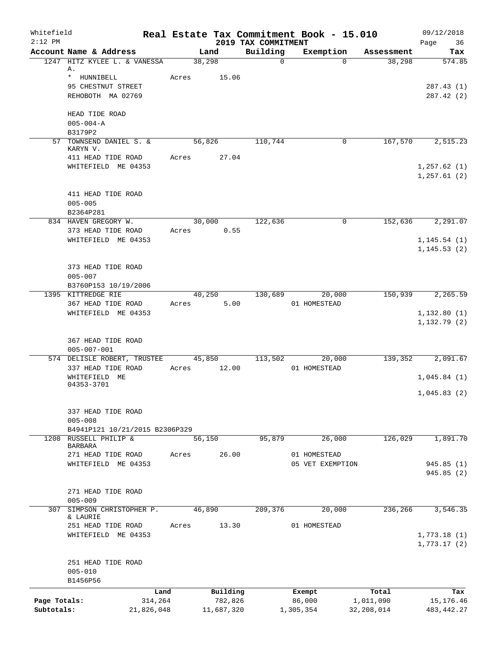| Whitefield<br>$2:12$ PM    |                                                        |       |                       | 2019 TAX COMMITMENT | Real Estate Tax Commitment Book - 15.010 |                         | 09/12/2018<br>Page<br>36     |
|----------------------------|--------------------------------------------------------|-------|-----------------------|---------------------|------------------------------------------|-------------------------|------------------------------|
|                            | Account Name & Address                                 |       | Land                  | Building            | Exemption                                | Assessment              | Tax                          |
|                            | 1247 HITZ KYLEE L. & VANESSA<br>Α.                     |       | 38,298                | $\mathbf 0$         | $\Omega$                                 | 38,298                  | 574.85                       |
|                            | * HUNNIBELL<br>95 CHESTNUT STREET<br>REHOBOTH MA 02769 | Acres | 15.06                 |                     |                                          |                         | 287.43 (1)<br>287.42 (2)     |
|                            | HEAD TIDE ROAD<br>$005 - 004 - A$<br>B3179P2           |       |                       |                     |                                          |                         |                              |
|                            | 57 TOWNSEND DANIEL S. &<br>KARYN V.                    |       | 56,826                | 110,744             | 0                                        | 167,570                 | 2,515.23                     |
|                            | 411 HEAD TIDE ROAD<br>WHITEFIELD ME 04353              | Acres | 27.04                 |                     |                                          |                         | 1, 257.62(1)<br>1,257.61(2)  |
|                            | 411 HEAD TIDE ROAD<br>$005 - 005$<br>B2364P281         |       |                       |                     |                                          |                         |                              |
|                            | 834 HAVEN GREGORY W.                                   |       | 30,000                | 122,636             | 0                                        | 152,636                 | 2,291.07                     |
|                            | 373 HEAD TIDE ROAD                                     | Acres | 0.55                  |                     |                                          |                         |                              |
|                            | WHITEFIELD ME 04353                                    |       |                       |                     |                                          |                         | 1, 145.54(1)<br>1, 145.53(2) |
|                            | 373 HEAD TIDE ROAD<br>$005 - 007$                      |       |                       |                     |                                          |                         |                              |
|                            | B3760P153 10/19/2006<br>1395 KITTREDGE RIE             |       |                       | 130,689             | 20,000                                   | 150,939                 | 2,265.59                     |
|                            | 367 HEAD TIDE ROAD                                     | Acres | 40,250<br>5.00        |                     | 01 HOMESTEAD                             |                         |                              |
|                            | WHITEFIELD ME 04353                                    |       |                       |                     |                                          |                         | 1,132.80(1)<br>1,132.79(2)   |
|                            | 367 HEAD TIDE ROAD<br>$005 - 007 - 001$                |       |                       |                     |                                          |                         |                              |
|                            | 574 DELISLE ROBERT, TRUSTEE<br>337 HEAD TIDE ROAD      | Acres | 45,850<br>12.00       | 113,502             | 20,000<br>01 HOMESTEAD                   | 139,352                 | 2,091.67                     |
|                            | WHITEFIELD ME<br>04353-3701                            |       |                       |                     |                                          |                         | 1,045.84(1)                  |
|                            |                                                        |       |                       |                     |                                          |                         | 1,045.83(2)                  |
|                            | 337 HEAD TIDE ROAD<br>$005 - 008$                      |       |                       |                     |                                          |                         |                              |
| 1208                       | B4941P121 10/21/2015 B2306P329<br>RUSSELL PHILIP &     |       | 56,150                | 95,879              | 26,000                                   | 126,029                 | 1,891.70                     |
|                            | <b>BARBARA</b>                                         |       |                       |                     |                                          |                         |                              |
|                            | 271 HEAD TIDE ROAD<br>WHITEFIELD ME 04353              | Acres | 26.00                 |                     | 01 HOMESTEAD<br>05 VET EXEMPTION         |                         | 945.85(1)                    |
|                            |                                                        |       |                       |                     |                                          |                         | 945.85(2)                    |
|                            | 271 HEAD TIDE ROAD<br>$005 - 009$                      |       |                       |                     |                                          |                         |                              |
| 307                        | SIMPSON CHRISTOPHER P.<br>& LAURIE                     |       | 46,890                | 209,376             | 20,000                                   | 236,266                 | 3,546.35                     |
|                            | 251 HEAD TIDE ROAD<br>WHITEFIELD ME 04353              | Acres | 13.30                 |                     | 01 HOMESTEAD                             |                         | 1,773.18(1)<br>1,773.17(2)   |
|                            | 251 HEAD TIDE ROAD<br>$005 - 010$<br>B1456P56          |       |                       |                     |                                          |                         |                              |
|                            | Land                                                   |       | Building              |                     | Exempt                                   | Total                   | Tax                          |
| Page Totals:<br>Subtotals: | 314,264<br>21,826,048                                  |       | 782,826<br>11,687,320 |                     | 86,000<br>1,305,354                      | 1,011,090<br>32,208,014 | 15, 176. 46<br>483, 442. 27  |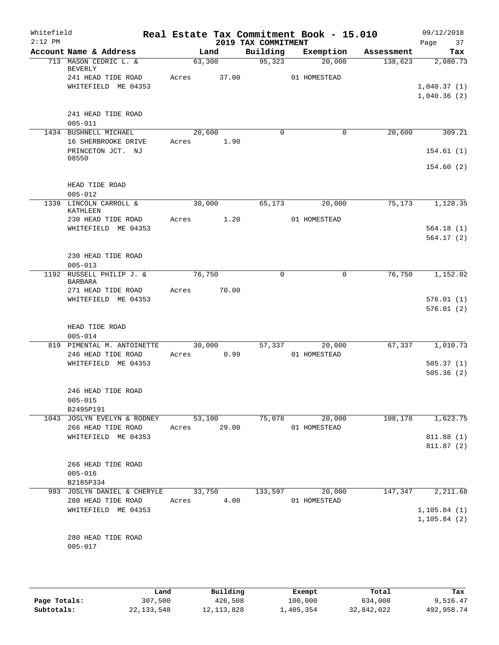| Whitefield<br>$2:12$ PM |                                                   | Real Estate Tax Commitment Book - 15.010 | 2019 TAX COMMITMENT |                        |            | 09/12/2018<br>Page<br>37     |
|-------------------------|---------------------------------------------------|------------------------------------------|---------------------|------------------------|------------|------------------------------|
|                         | Account Name & Address                            | Land                                     | Building            | Exemption              | Assessment | Tax                          |
|                         | 713 MASON CEDRIC L. &<br>BEVERLY                  | 63,300                                   | 95,323              | 20,000                 | 138,623    | 2,080.73                     |
|                         | 241 HEAD TIDE ROAD<br>WHITEFIELD ME 04353         | Acres<br>37.00                           |                     | 01 HOMESTEAD           |            | 1,040.37(1)<br>1,040.36(2)   |
|                         | 241 HEAD TIDE ROAD<br>$005 - 011$                 |                                          |                     |                        |            |                              |
|                         | 1434 BUSHNELL MICHAEL<br>16 SHERBROOKE DRIVE      | 20,600<br>1.90<br>Acres                  | 0                   | $\mathbf 0$            | 20,600     | 309.21                       |
|                         | PRINCETON JCT. NJ<br>08550                        |                                          |                     |                        |            | 154.61(1)                    |
|                         |                                                   |                                          |                     |                        |            | 154.60(2)                    |
|                         | HEAD TIDE ROAD<br>$005 - 012$                     |                                          |                     |                        |            |                              |
|                         | 1339 LINCOLN CARROLL &<br>KATHLEEN                | 30,000                                   | 65,173              | 20,000                 | 75,173     | 1,128.35                     |
|                         | 230 HEAD TIDE ROAD<br>WHITEFIELD ME 04353         | 1.20<br>Acres                            |                     | 01 HOMESTEAD           |            | 564.18(1)<br>564.17(2)       |
|                         | 230 HEAD TIDE ROAD<br>$005 - 013$                 |                                          |                     |                        |            |                              |
|                         | 1192 RUSSELL PHILIP J. &<br><b>BARBARA</b>        | 76,750<br>70.00                          | $\mathbf 0$         | 0                      | 76,750     | 1,152.02                     |
|                         | 271 HEAD TIDE ROAD<br>WHITEFIELD ME 04353         | Acres                                    |                     |                        |            | 576.01(1)<br>576.01(2)       |
|                         | HEAD TIDE ROAD<br>$005 - 014$                     |                                          |                     |                        |            |                              |
|                         | 819 PIMENTAL M. ANTOINETTE<br>246 HEAD TIDE ROAD  | 30,000<br>0.99<br>Acres                  | 57,337              | 20,000<br>01 HOMESTEAD | 67,337     | 1,010.73                     |
|                         | WHITEFIELD ME 04353                               |                                          |                     |                        |            | 505.37(1)<br>505.36(2)       |
|                         | 246 HEAD TIDE ROAD<br>$005 - 015$<br>B2495P191    |                                          |                     |                        |            |                              |
|                         | 1043 JOSLYN EVELYN & RODNEY<br>266 HEAD TIDE ROAD | 53,100<br>Acres 29.00                    | 75,078              | 20,000<br>01 HOMESTEAD | 108,178    | 1,623.75                     |
|                         | WHITEFIELD ME 04353                               |                                          |                     |                        |            | 811.88 (1)<br>811.87(2)      |
|                         | 266 HEAD TIDE ROAD<br>$005 - 016$<br>B2185P334    |                                          |                     |                        |            |                              |
|                         | 993 JOSLYN DANIEL & CHERYLE<br>280 HEAD TIDE ROAD | 33,750<br>4.00<br>Acres                  | 133,597             | 20,000<br>01 HOMESTEAD | 147,347    | 2,211.68                     |
|                         | WHITEFIELD ME 04353                               |                                          |                     |                        |            | 1, 105.84(1)<br>1, 105.84(2) |
|                         | 280 HEAD TIDE ROAD<br>$005 - 017$                 |                                          |                     |                        |            |                              |

|              | Land       | Building     | Exempt    | Total      | Tax        |
|--------------|------------|--------------|-----------|------------|------------|
| Page Totals: | 307,500    | 426,508      | 100,000   | 634,008    | 9,516.47   |
| Subtotals:   | 22,133,548 | 12, 113, 828 | 1,405,354 | 32,842,022 | 492,958.74 |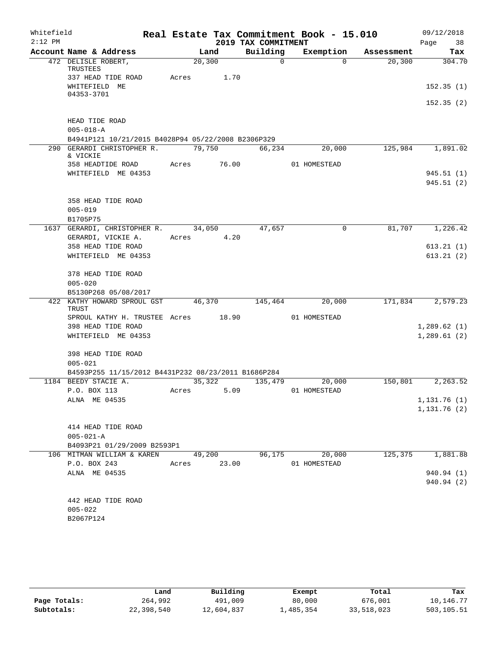| Whitefield<br>$2:12$ PM |                                                     |         |       | 2019 TAX COMMITMENT | Real Estate Tax Commitment Book - 15.010 |            | 09/12/2018        |  |
|-------------------------|-----------------------------------------------------|---------|-------|---------------------|------------------------------------------|------------|-------------------|--|
|                         | Account Name & Address                              |         | Land  | Building            | Exemption                                | Assessment | 38<br>Page<br>Tax |  |
|                         | 472 DELISLE ROBERT,                                 | 20, 300 |       | $\Omega$            | $\Omega$                                 | 20,300     | 304.70            |  |
|                         | TRUSTEES                                            |         |       |                     |                                          |            |                   |  |
|                         | 337 HEAD TIDE ROAD                                  | Acres   | 1.70  |                     |                                          |            |                   |  |
|                         | WHITEFIELD ME<br>04353-3701                         |         |       |                     |                                          |            | 152.35(1)         |  |
|                         |                                                     |         |       |                     |                                          |            | 152.35(2)         |  |
|                         | HEAD TIDE ROAD                                      |         |       |                     |                                          |            |                   |  |
|                         | $005 - 018 - A$                                     |         |       |                     |                                          |            |                   |  |
|                         | B4941P121 10/21/2015 B4028P94 05/22/2008 B2306P329  |         |       |                     |                                          |            |                   |  |
|                         | 290 GERARDI CHRISTOPHER R.<br>& VICKIE              | 79,750  |       | 66,234              | 20,000                                   | 125,984    | 1,891.02          |  |
|                         | 358 HEADTIDE ROAD                                   | Acres   | 76.00 |                     | 01 HOMESTEAD                             |            |                   |  |
|                         | WHITEFIELD ME 04353                                 |         |       |                     |                                          |            | 945.51(1)         |  |
|                         |                                                     |         |       |                     |                                          |            | 945.51(2)         |  |
|                         |                                                     |         |       |                     |                                          |            |                   |  |
|                         | 358 HEAD TIDE ROAD<br>$005 - 019$                   |         |       |                     |                                          |            |                   |  |
|                         | B1705P75                                            |         |       |                     |                                          |            |                   |  |
|                         | 1637 GERARDI, CHRISTOPHER R.                        | 34,050  |       | 47,657              | 0                                        | 81,707     | 1,226.42          |  |
|                         | GERARDI, VICKIE A.                                  | Acres   | 4.20  |                     |                                          |            |                   |  |
|                         | 358 HEAD TIDE ROAD                                  |         |       |                     |                                          |            | 613.21(1)         |  |
|                         | WHITEFIELD ME 04353                                 |         |       |                     |                                          |            | 613.21(2)         |  |
|                         | 378 HEAD TIDE ROAD                                  |         |       |                     |                                          |            |                   |  |
|                         | $005 - 020$                                         |         |       |                     |                                          |            |                   |  |
|                         | B5130P268 05/08/2017                                |         |       |                     |                                          |            |                   |  |
|                         | 422 KATHY HOWARD SPROUL GST<br>TRUST                | 46,370  |       | 145,464             | 20,000                                   | 171,834    | 2,579.23          |  |
|                         | SPROUL KATHY H. TRUSTEE Acres                       |         | 18.90 |                     | 01 HOMESTEAD                             |            |                   |  |
|                         | 398 HEAD TIDE ROAD                                  |         |       |                     |                                          |            | 1,289.62(1)       |  |
|                         | WHITEFIELD ME 04353                                 |         |       |                     |                                          |            | 1,289.61(2)       |  |
|                         | 398 HEAD TIDE ROAD                                  |         |       |                     |                                          |            |                   |  |
|                         | $005 - 021$                                         |         |       |                     |                                          |            |                   |  |
|                         | B4593P255 11/15/2012 B4431P232 08/23/2011 B1686P284 |         |       |                     |                                          |            |                   |  |
|                         | 1184 BEEDY STACIE A.                                | 35,322  |       | 135,479             | 20,000                                   | 150,801    | 2,263.52          |  |
|                         | P.O. BOX 113<br>ALNA ME 04535                       | Acres   | 5.09  |                     | 01 HOMESTEAD                             |            | 1,131.76(1)       |  |
|                         |                                                     |         |       |                     |                                          |            | 1,131.76(2)       |  |
|                         |                                                     |         |       |                     |                                          |            |                   |  |
|                         | 414 HEAD TIDE ROAD                                  |         |       |                     |                                          |            |                   |  |
|                         | $005 - 021 - A$                                     |         |       |                     |                                          |            |                   |  |
|                         | B4093P21 01/29/2009 B2593P1                         |         |       |                     |                                          |            |                   |  |
|                         | 106 MITMAN WILLIAM & KAREN                          | 49,200  |       | 96,175              | 20,000                                   | 125,375    | 1,881.88          |  |
|                         | P.O. BOX 243<br>ALNA ME 04535                       | Acres   | 23.00 |                     | 01 HOMESTEAD                             |            | 940.94 (1)        |  |
|                         |                                                     |         |       |                     |                                          |            | 940.94 (2)        |  |
|                         |                                                     |         |       |                     |                                          |            |                   |  |
|                         | 442 HEAD TIDE ROAD                                  |         |       |                     |                                          |            |                   |  |
|                         | $005 - 022$                                         |         |       |                     |                                          |            |                   |  |
|                         | B2067P124                                           |         |       |                     |                                          |            |                   |  |
|                         |                                                     |         |       |                     |                                          |            |                   |  |

|              | Land       | Building   | Exempt    | Total      | Tax        |
|--------------|------------|------------|-----------|------------|------------|
| Page Totals: | 264,992    | 491,009    | 80,000    | 676,001    | 10,146.77  |
| Subtotals:   | 22,398,540 | 12,604,837 | 1,485,354 | 33,518,023 | 503,105.51 |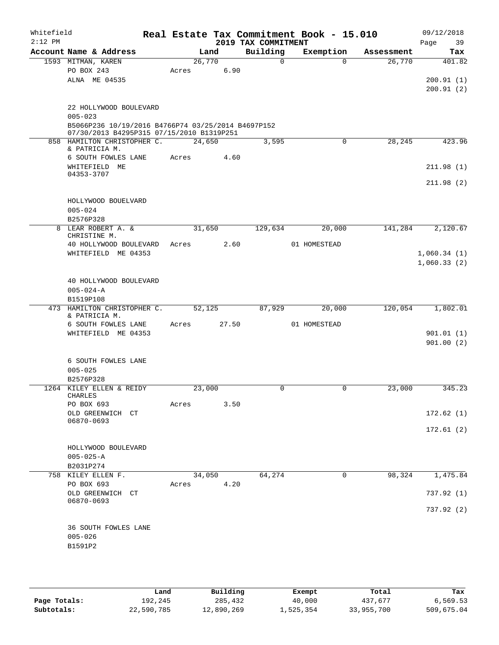| Whitefield<br>$2:12$ PM |                                                    |       |        |       | 2019 TAX COMMITMENT | Real Estate Tax Commitment Book - 15.010 |            | 09/12/2018<br>Page<br>39 |
|-------------------------|----------------------------------------------------|-------|--------|-------|---------------------|------------------------------------------|------------|--------------------------|
|                         | Account Name & Address                             |       | Land   |       | Building            | Exemption                                | Assessment | Tax                      |
|                         | 1593 MITMAN, KAREN                                 |       | 26,770 |       | 0                   | $\Omega$                                 | 26,770     | 401.82                   |
|                         | PO BOX 243                                         | Acres |        | 6.90  |                     |                                          |            |                          |
|                         | ALNA ME 04535                                      |       |        |       |                     |                                          |            | 200.91(1)                |
|                         |                                                    |       |        |       |                     |                                          |            | 200.91(2)                |
|                         | 22 HOLLYWOOD BOULEVARD                             |       |        |       |                     |                                          |            |                          |
|                         | $005 - 023$                                        |       |        |       |                     |                                          |            |                          |
|                         | B5066P236 10/19/2016 B4766P74 03/25/2014 B4697P152 |       |        |       |                     |                                          |            |                          |
|                         | 07/30/2013 B4295P315 07/15/2010 B1319P251          |       |        |       |                     |                                          |            |                          |
|                         | 858 HAMILTON CHRISTOPHER C.<br>& PATRICIA M.       |       | 24,650 |       | 3,595               | $\mathbf 0$                              | 28,245     | 423.96                   |
|                         | 6 SOUTH FOWLES LANE                                | Acres |        | 4.60  |                     |                                          |            |                          |
|                         | WHITEFIELD ME                                      |       |        |       |                     |                                          |            | 211.98(1)                |
|                         | 04353-3707                                         |       |        |       |                     |                                          |            |                          |
|                         |                                                    |       |        |       |                     |                                          |            | 211.98(2)                |
|                         |                                                    |       |        |       |                     |                                          |            |                          |
|                         | HOLLYWOOD BOUELVARD<br>$005 - 024$                 |       |        |       |                     |                                          |            |                          |
|                         | B2576P328                                          |       |        |       |                     |                                          |            |                          |
|                         | 8 LEAR ROBERT A. &                                 |       | 31,650 |       | 129,634             | 20,000                                   | 141,284    | 2,120.67                 |
|                         | CHRISTINE M.                                       |       |        |       |                     |                                          |            |                          |
|                         | 40 HOLLYWOOD BOULEVARD                             | Acres |        | 2.60  |                     | 01 HOMESTEAD                             |            |                          |
|                         | WHITEFIELD ME 04353                                |       |        |       |                     |                                          |            | 1,060.34(1)              |
|                         |                                                    |       |        |       |                     |                                          |            | 1,060.33(2)              |
|                         | 40 HOLLYWOOD BOULEVARD                             |       |        |       |                     |                                          |            |                          |
|                         | $005 - 024 - A$                                    |       |        |       |                     |                                          |            |                          |
|                         | B1519P108                                          |       |        |       |                     |                                          |            |                          |
|                         | 473 HAMILTON CHRISTOPHER C.                        |       | 52,125 |       | 87,929              | 20,000                                   | 120,054    | 1,802.01                 |
|                         | & PATRICIA M.<br>6 SOUTH FOWLES LANE               | Acres |        | 27.50 |                     | 01 HOMESTEAD                             |            |                          |
|                         | WHITEFIELD ME 04353                                |       |        |       |                     |                                          |            | 901.01(1)                |
|                         |                                                    |       |        |       |                     |                                          |            | 901.00(2)                |
|                         |                                                    |       |        |       |                     |                                          |            |                          |
|                         | 6 SOUTH FOWLES LANE                                |       |        |       |                     |                                          |            |                          |
|                         | $005 - 025$                                        |       |        |       |                     |                                          |            |                          |
|                         | B2576P328                                          |       |        |       |                     |                                          |            |                          |
|                         | 1264 KILEY ELLEN & REIDY<br>CHARLES                |       | 23,000 |       | 0                   | 0                                        | 23,000     | 345.23                   |
|                         | PO BOX 693                                         | Acres |        | 3.50  |                     |                                          |            |                          |
|                         | OLD GREENWICH CT                                   |       |        |       |                     |                                          |            | 172.62(1)                |
|                         | 06870-0693                                         |       |        |       |                     |                                          |            |                          |
|                         |                                                    |       |        |       |                     |                                          |            | 172.61(2)                |
|                         | HOLLYWOOD BOULEVARD                                |       |        |       |                     |                                          |            |                          |
|                         | $005 - 025 - A$                                    |       |        |       |                     |                                          |            |                          |
|                         | B2031P274                                          |       |        |       |                     |                                          |            |                          |
|                         | 758 KILEY ELLEN F.                                 |       | 34,050 |       | 64,274              | 0                                        | 98,324     | 1,475.84                 |
|                         | PO BOX 693                                         | Acres |        | 4.20  |                     |                                          |            |                          |
|                         | OLD GREENWICH CT                                   |       |        |       |                     |                                          |            | 737.92(1)                |
|                         | 06870-0693                                         |       |        |       |                     |                                          |            | 737.92(2)                |
|                         |                                                    |       |        |       |                     |                                          |            |                          |
|                         | 36 SOUTH FOWLES LANE                               |       |        |       |                     |                                          |            |                          |
|                         | $005 - 026$                                        |       |        |       |                     |                                          |            |                          |
|                         | B1591P2                                            |       |        |       |                     |                                          |            |                          |
|                         |                                                    |       |        |       |                     |                                          |            |                          |
|                         |                                                    |       |        |       |                     |                                          |            |                          |

|              | Land       | Building   | Exempt    | Total      | Tax        |
|--------------|------------|------------|-----------|------------|------------|
| Page Totals: | 192,245    | 285,432    | 40,000    | 437,677    | 6,569.53   |
| Subtotals:   | 22,590,785 | 12,890,269 | 1,525,354 | 33,955,700 | 509,675.04 |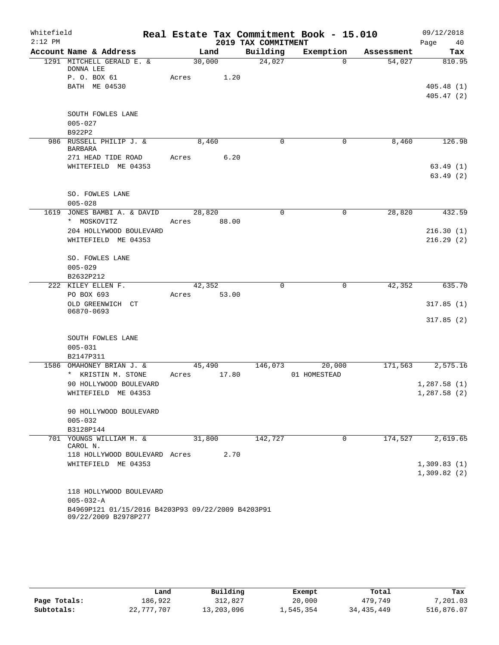| Whitefield |                                                                           | Real Estate Tax Commitment Book - 15.010 |                     |              |            | 09/12/2018  |
|------------|---------------------------------------------------------------------------|------------------------------------------|---------------------|--------------|------------|-------------|
| $2:12$ PM  |                                                                           |                                          | 2019 TAX COMMITMENT |              |            | Page<br>40  |
|            | Account Name & Address                                                    | Land                                     | Building            | Exemption    | Assessment | Tax         |
|            | 1291 MITCHELL GERALD E. &<br>DONNA LEE                                    | 30,000                                   | 24,027              | $\Omega$     | 54,027     | 810.95      |
|            | P. O. BOX 61                                                              | 1.20<br>Acres                            |                     |              |            |             |
|            | BATH ME 04530                                                             |                                          |                     |              |            | 405.48(1)   |
|            |                                                                           |                                          |                     |              |            | 405.47(2)   |
|            | SOUTH FOWLES LANE                                                         |                                          |                     |              |            |             |
|            | $005 - 027$                                                               |                                          |                     |              |            |             |
|            | B922P2                                                                    |                                          |                     |              |            |             |
|            | 986 RUSSELL PHILIP J. &<br><b>BARBARA</b>                                 | 8,460                                    | 0                   | $\mathbf 0$  | 8,460      | 126.98      |
|            | 271 HEAD TIDE ROAD                                                        | Acres<br>6.20                            |                     |              |            |             |
|            | WHITEFIELD ME 04353                                                       |                                          |                     |              |            | 63.49(1)    |
|            |                                                                           |                                          |                     |              |            | 63.49(2)    |
|            | SO. FOWLES LANE                                                           |                                          |                     |              |            |             |
|            | $005 - 028$                                                               |                                          |                     |              |            |             |
| 1619       | JONES BAMBI A. & DAVID                                                    | 28,820                                   | $\mathbf 0$         | 0            | 28,820     | 432.59      |
|            | * MOSKOVITZ<br>204 HOLLYWOOD BOULEVARD                                    | 88.00<br>Acres                           |                     |              |            | 216.30(1)   |
|            | WHITEFIELD ME 04353                                                       |                                          |                     |              |            | 216.29(2)   |
|            |                                                                           |                                          |                     |              |            |             |
|            | SO. FOWLES LANE                                                           |                                          |                     |              |            |             |
|            | $005 - 029$                                                               |                                          |                     |              |            |             |
|            | B2632P212                                                                 |                                          |                     |              |            |             |
|            | 222 KILEY ELLEN F.                                                        | 42,352                                   | 0                   | 0            | 42,352     | 635.70      |
|            | PO BOX 693                                                                | 53.00<br>Acres                           |                     |              |            |             |
|            | OLD GREENWICH CT                                                          |                                          |                     |              |            | 317.85(1)   |
|            | 06870-0693                                                                |                                          |                     |              |            | 317.85(2)   |
|            |                                                                           |                                          |                     |              |            |             |
|            | SOUTH FOWLES LANE                                                         |                                          |                     |              |            |             |
|            | $005 - 031$                                                               |                                          |                     |              |            |             |
|            | B2147P311                                                                 |                                          |                     |              |            |             |
|            | 1586 OMAHONEY BRIAN J. &                                                  | 45,490                                   | 146,073             | 20,000       | 171,563    | 2,575.16    |
|            | * KRISTIN M. STONE                                                        | 17.80<br>Acres                           |                     | 01 HOMESTEAD |            |             |
|            | 90 HOLLYWOOD BOULEVARD                                                    |                                          |                     |              |            | 1,287.58(1) |
|            | WHITEFIELD ME 04353                                                       |                                          |                     |              |            | 1,287.58(2) |
|            | 90 HOLLYWOOD BOULEVARD                                                    |                                          |                     |              |            |             |
|            | $005 - 032$                                                               |                                          |                     |              |            |             |
|            | B3128P144                                                                 |                                          |                     |              |            |             |
|            | 701 YOUNGS WILLIAM M. &<br>CAROL N.                                       | 31,800                                   | 142,727             | $\Omega$     | 174,527    | 2,619.65    |
|            | 118 HOLLYWOOD BOULEVARD Acres                                             | 2.70                                     |                     |              |            |             |
|            | WHITEFIELD ME 04353                                                       |                                          |                     |              |            | 1,309.83(1) |
|            |                                                                           |                                          |                     |              |            | 1,309.82(2) |
|            |                                                                           |                                          |                     |              |            |             |
|            | 118 HOLLYWOOD BOULEVARD                                                   |                                          |                     |              |            |             |
|            | $005 - 032 - A$                                                           |                                          |                     |              |            |             |
|            | B4969P121 01/15/2016 B4203P93 09/22/2009 B4203P91<br>09/22/2009 B2978P277 |                                          |                     |              |            |             |

|              | Land       | Building   | Exempt    | Total        | Tax        |
|--------------|------------|------------|-----------|--------------|------------|
| Page Totals: | 186.922    | 312,827    | 20,000    | 479,749      | 7,201.03   |
| Subtotals:   | 22,777,707 | 13,203,096 | 1,545,354 | 34, 435, 449 | 516,876.07 |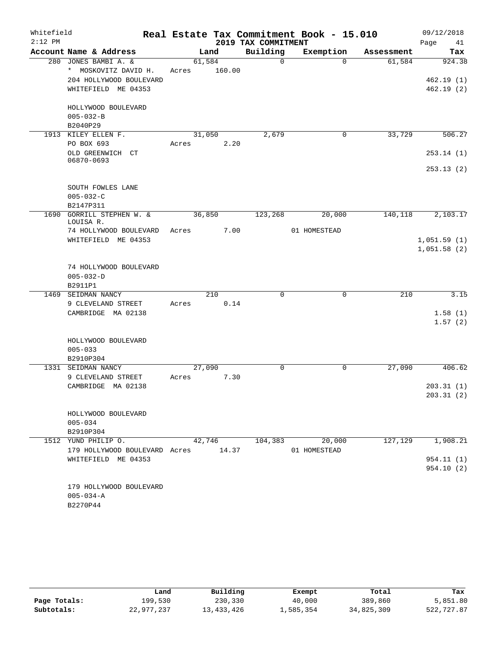| Whitefield |                                                |                 |        |                     | Real Estate Tax Commitment Book - 15.010 |            | 09/12/2018             |
|------------|------------------------------------------------|-----------------|--------|---------------------|------------------------------------------|------------|------------------------|
| $2:12$ PM  |                                                |                 |        | 2019 TAX COMMITMENT |                                          |            | Page<br>41             |
|            | Account Name & Address                         |                 | Land   | Building            | Exemption                                | Assessment | Tax                    |
|            | 280 JONES BAMBI A. &<br>* MOSKOVITZ DAVID H.   | 61,584<br>Acres | 160.00 | 0                   | $\Omega$                                 | 61,584     | 924.38                 |
|            | 204 HOLLYWOOD BOULEVARD<br>WHITEFIELD ME 04353 |                 |        |                     |                                          |            | 462.19(1)<br>462.19(2) |
|            | HOLLYWOOD BOULEVARD<br>$005 - 032 - B$         |                 |        |                     |                                          |            |                        |
|            | B2040P29                                       |                 |        |                     |                                          |            |                        |
|            | 1913 KILEY ELLEN F.                            | 31,050          |        | 2,679               | $\mathbf 0$                              | 33,729     | 506.27                 |
|            | PO BOX 693                                     | Acres           | 2.20   |                     |                                          |            |                        |
|            | OLD GREENWICH CT<br>06870-0693                 |                 |        |                     |                                          |            | 253.14(1)              |
|            |                                                |                 |        |                     |                                          |            | 253.13(2)              |
|            | SOUTH FOWLES LANE                              |                 |        |                     |                                          |            |                        |
|            | $005 - 032 - C$                                |                 |        |                     |                                          |            |                        |
|            | B2147P311                                      |                 |        |                     |                                          |            |                        |
| 1690       | GORRILL STEPHEN W. &<br>LOUISA R.              | 36,850          |        | 123,268             | 20,000                                   | 140,118    | 2,103.17               |
|            | 74 HOLLYWOOD BOULEVARD                         | Acres           | 7.00   |                     | 01 HOMESTEAD                             |            |                        |
|            | WHITEFIELD ME 04353                            |                 |        |                     |                                          |            | 1,051.59(1)            |
|            |                                                |                 |        |                     |                                          |            | 1,051.58(2)            |
|            |                                                |                 |        |                     |                                          |            |                        |
|            | 74 HOLLYWOOD BOULEVARD                         |                 |        |                     |                                          |            |                        |
|            | $005 - 032 - D$                                |                 |        |                     |                                          |            |                        |
|            | B2911P1                                        |                 |        |                     |                                          |            |                        |
| 1469       | SEIDMAN NANCY                                  |                 | 210    | 0                   | 0                                        | 210        | 3.15                   |
|            | 9 CLEVELAND STREET                             | Acres           | 0.14   |                     |                                          |            |                        |
|            | CAMBRIDGE MA 02138                             |                 |        |                     |                                          |            | 1.58(1)                |
|            |                                                |                 |        |                     |                                          |            | 1.57(2)                |
|            | HOLLYWOOD BOULEVARD                            |                 |        |                     |                                          |            |                        |
|            | $005 - 033$                                    |                 |        |                     |                                          |            |                        |
|            | B2910P304                                      |                 |        |                     |                                          |            |                        |
| 1331       | SEIDMAN NANCY                                  | 27,090          |        | $\mathbf 0$         | $\mathbf 0$                              | 27,090     | 406.62                 |
|            | 9 CLEVELAND STREET                             | Acres           | 7.30   |                     |                                          |            |                        |
|            | CAMBRIDGE MA 02138                             |                 |        |                     |                                          |            | 203.31(1)              |
|            |                                                |                 |        |                     |                                          |            | 203.31(2)              |
|            |                                                |                 |        |                     |                                          |            |                        |
|            | HOLLYWOOD BOULEVARD                            |                 |        |                     |                                          |            |                        |
|            | $005 - 034$                                    |                 |        |                     |                                          |            |                        |
|            | B2910P304                                      |                 |        |                     |                                          |            |                        |
|            | 1512 YUND PHILIP O.                            |                 | 42,746 | 104,383             | 20,000                                   | 127,129    | 1,908.21               |
|            | 179 HOLLYWOOD BOULEVARD Acres 14.37            |                 |        |                     | 01 HOMESTEAD                             |            |                        |
|            | WHITEFIELD ME 04353                            |                 |        |                     |                                          |            | 954.11 (1)             |
|            |                                                |                 |        |                     |                                          |            | 954.10 (2)             |
|            | 179 HOLLYWOOD BOULEVARD                        |                 |        |                     |                                          |            |                        |
|            | $005 - 034 - A$                                |                 |        |                     |                                          |            |                        |
|            | B2270P44                                       |                 |        |                     |                                          |            |                        |

|              | Land       | Building   | Exempt    | Total      | Tax        |
|--------------|------------|------------|-----------|------------|------------|
| Page Totals: | 199,530    | 230,330    | 40,000    | 389,860    | 5,851.80   |
| Subtotals:   | 22,977,237 | 13,433,426 | 1,585,354 | 34,825,309 | 522,727.87 |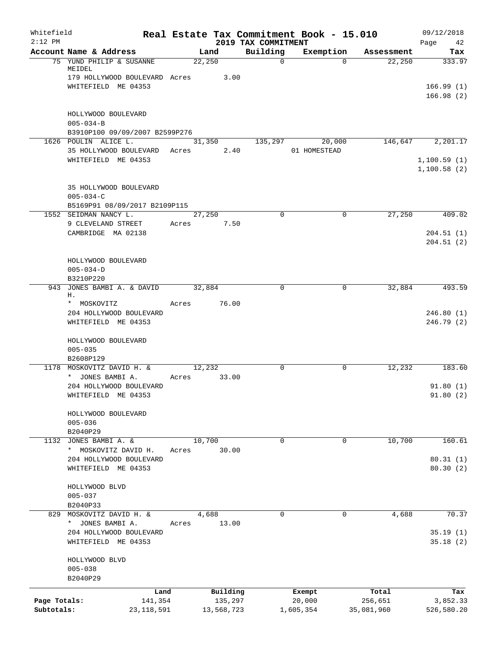| Whitefield<br>$2:12$ PM |                                                        |         |        |            | Real Estate Tax Commitment Book - 15.010<br>2019 TAX COMMITMENT |              |           |            | 09/12/2018<br>Page<br>42 |
|-------------------------|--------------------------------------------------------|---------|--------|------------|-----------------------------------------------------------------|--------------|-----------|------------|--------------------------|
|                         | Account Name & Address                                 |         | Land   |            | Building                                                        |              | Exemption | Assessment | Tax                      |
|                         | 75 YUND PHILIP & SUSANNE<br>MEIDEL                     |         | 22,250 |            | $\mathbf 0$                                                     |              | $\Omega$  | 22,250     | 333.97                   |
|                         | 179 HOLLYWOOD BOULEVARD Acres 3.00                     |         |        |            |                                                                 |              |           |            |                          |
|                         | WHITEFIELD ME 04353                                    |         |        |            |                                                                 |              |           |            | 166.99(1)<br>166.98(2)   |
|                         | HOLLYWOOD BOULEVARD                                    |         |        |            |                                                                 |              |           |            |                          |
|                         | $005 - 034 - B$                                        |         |        |            |                                                                 |              |           |            |                          |
|                         | B3910P100 09/09/2007 B2599P276<br>1626 POULIN ALICE L. |         |        |            | 135,297                                                         |              | 20,000    |            | 146,647 2,201.17         |
|                         | 35 HOLLYWOOD BOULEVARD Acres 2.40                      |         | 31,350 |            |                                                                 | 01 HOMESTEAD |           |            |                          |
|                         | WHITEFIELD ME 04353                                    |         |        |            |                                                                 |              |           |            | 1,100.59(1)              |
|                         |                                                        |         |        |            |                                                                 |              |           |            | 1,100.58(2)              |
|                         | 35 HOLLYWOOD BOULEVARD                                 |         |        |            |                                                                 |              |           |            |                          |
|                         | $005 - 034 - C$                                        |         |        |            |                                                                 |              |           |            |                          |
|                         | B5169P91 08/09/2017 B2109P115<br>1552 SEIDMAN NANCY L. |         | 27,250 |            | $\Omega$                                                        |              | 0         | 27,250     | 409.02                   |
|                         | 9 CLEVELAND STREET                                     | Acres   | 7.50   |            |                                                                 |              |           |            |                          |
|                         | CAMBRIDGE MA 02138                                     |         |        |            |                                                                 |              |           |            | 204.51(1)                |
|                         |                                                        |         |        |            |                                                                 |              |           |            | 204.51(2)                |
|                         | HOLLYWOOD BOULEVARD                                    |         |        |            |                                                                 |              |           |            |                          |
|                         | $005 - 034 - D$                                        |         |        |            |                                                                 |              |           |            |                          |
|                         | B3210P220                                              |         |        |            |                                                                 |              |           |            |                          |
|                         | 943 JONES BAMBI A. & DAVID<br>Η.                       |         | 32,884 |            | $\Omega$                                                        |              | $\Omega$  | 32,884     | 493.59                   |
|                         | * MOSKOVITZ                                            | Acres   |        | 76.00      |                                                                 |              |           |            |                          |
|                         | 204 HOLLYWOOD BOULEVARD                                |         |        |            |                                                                 |              |           |            | 246.80(1)                |
|                         | WHITEFIELD ME 04353                                    |         |        |            |                                                                 |              |           |            | 246.79(2)                |
|                         | HOLLYWOOD BOULEVARD                                    |         |        |            |                                                                 |              |           |            |                          |
|                         | $005 - 035$                                            |         |        |            |                                                                 |              |           |            |                          |
|                         | B2608P129                                              |         |        |            |                                                                 |              |           |            | 183.60                   |
|                         | 1178 MOSKOVITZ DAVID H. &<br>* JONES BAMBI A.          | Acres   | 12,232 | 33.00      | $\Omega$                                                        |              | 0         | 12,232     |                          |
|                         | 204 HOLLYWOOD BOULEVARD                                |         |        |            |                                                                 |              |           |            | 91.80(1)                 |
|                         | WHITEFIELD ME 04353                                    |         |        |            |                                                                 |              |           |            | 91.80(2)                 |
|                         | HOLLYWOOD BOULEVARD                                    |         |        |            |                                                                 |              |           |            |                          |
|                         | $005 - 036$                                            |         |        |            |                                                                 |              |           |            |                          |
|                         | B2040P29                                               |         |        |            |                                                                 |              |           |            |                          |
| 1132                    | JONES BAMBI A. &                                       |         | 10,700 |            | $\Omega$                                                        |              | 0         | 10,700     | 160.61                   |
|                         | * MOSKOVITZ DAVID H.                                   | Acres   |        | 30.00      |                                                                 |              |           |            |                          |
|                         | 204 HOLLYWOOD BOULEVARD<br>WHITEFIELD ME 04353         |         |        |            |                                                                 |              |           |            | 80.31(1)<br>80.30(2)     |
|                         | HOLLYWOOD BLVD                                         |         |        |            |                                                                 |              |           |            |                          |
|                         | $005 - 037$                                            |         |        |            |                                                                 |              |           |            |                          |
|                         | B2040P33                                               |         |        |            |                                                                 |              |           |            |                          |
|                         | 829 MOSKOVITZ DAVID H. &                               |         | 4,688  |            | 0                                                               |              | 0         | 4,688      | 70.37                    |
|                         | * JONES BAMBI A.                                       | Acres   |        | 13.00      |                                                                 |              |           |            |                          |
|                         | 204 HOLLYWOOD BOULEVARD<br>WHITEFIELD ME 04353         |         |        |            |                                                                 |              |           |            | 35.19(1)<br>35.18(2)     |
|                         | HOLLYWOOD BLVD                                         |         |        |            |                                                                 |              |           |            |                          |
|                         | $005 - 038$                                            |         |        |            |                                                                 |              |           |            |                          |
|                         | B2040P29                                               |         |        |            |                                                                 |              |           |            |                          |
|                         |                                                        | Land    |        | Building   |                                                                 | Exempt       |           | Total      | Tax                      |
| Page Totals:            |                                                        | 141,354 |        | 135,297    |                                                                 | 20,000       |           | 256,651    | 3,852.33                 |
| Subtotals:              | 23, 118, 591                                           |         |        | 13,568,723 |                                                                 | 1,605,354    |           | 35,081,960 | 526,580.20               |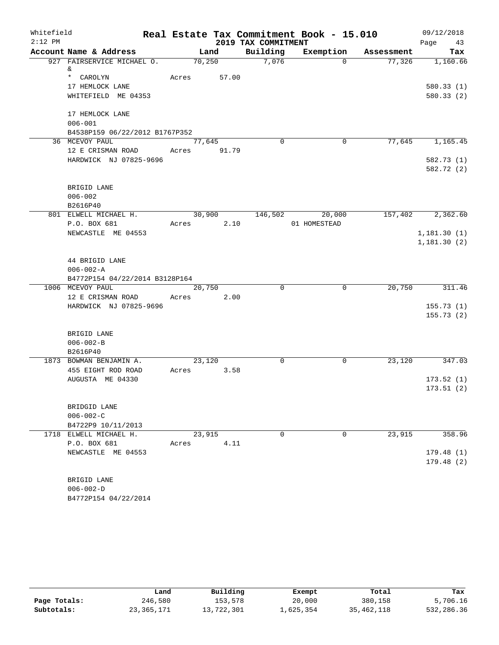| Whitefield |                                                    |             |            |                     | Real Estate Tax Commitment Book - 15.010 |            | 09/12/2018               |
|------------|----------------------------------------------------|-------------|------------|---------------------|------------------------------------------|------------|--------------------------|
| $2:12$ PM  |                                                    |             |            | 2019 TAX COMMITMENT |                                          |            | Page<br>43               |
|            | Account Name & Address                             |             | Land       | Building            | Exemption                                | Assessment | Tax                      |
|            | 927 FAIRSERVICE MICHAEL O.<br>&                    |             | 70,250     | 7,076               | $\Omega$                                 | 77,326     | 1,160.66                 |
|            | * CAROLYN                                          | Acres       | 57.00      |                     |                                          |            |                          |
|            | 17 HEMLOCK LANE                                    |             |            |                     |                                          |            | 580.33(1)                |
|            | WHITEFIELD ME 04353                                |             |            |                     |                                          |            | 580.33(2)                |
|            |                                                    |             |            |                     |                                          |            |                          |
|            | 17 HEMLOCK LANE                                    |             |            |                     |                                          |            |                          |
|            | $006 - 001$                                        |             |            |                     |                                          |            |                          |
|            | B4538P159 06/22/2012 B1767P352                     |             |            |                     |                                          |            |                          |
|            | 36 MCEVOY PAUL                                     |             | 77,645     | $\Omega$            | $\overline{0}$                           |            | 77,645 1,165.45          |
|            | 12 E CRISMAN ROAD<br>HARDWICK NJ 07825-9696        | Acres 91.79 |            |                     |                                          |            |                          |
|            |                                                    |             |            |                     |                                          |            | 582.73 (1)<br>582.72 (2) |
|            |                                                    |             |            |                     |                                          |            |                          |
|            | BRIGID LANE                                        |             |            |                     |                                          |            |                          |
|            | $006 - 002$                                        |             |            |                     |                                          |            |                          |
|            | B2616P40                                           |             |            |                     |                                          |            |                          |
|            | 801 ELWELL MICHAEL H.                              |             | 30,900     |                     | 146,502 20,000                           | 157,402    | 2,362.60                 |
|            | P.O. BOX 681                                       |             | Acres 2.10 |                     | 01 HOMESTEAD                             |            |                          |
|            | NEWCASTLE ME 04553                                 |             |            |                     |                                          |            | 1,181.30(1)              |
|            |                                                    |             |            |                     |                                          |            | 1,181.30(2)              |
|            |                                                    |             |            |                     |                                          |            |                          |
|            | 44 BRIGID LANE                                     |             |            |                     |                                          |            |                          |
|            | $006 - 002 - A$                                    |             |            |                     |                                          |            |                          |
|            | B4772P154 04/22/2014 B3128P164<br>1006 MCEVOY PAUL |             | 20,750     | $\Omega$            | $\Omega$                                 | 20,750     | 311.46                   |
|            | 12 E CRISMAN ROAD                                  | Acres       | 2.00       |                     |                                          |            |                          |
|            | HARDWICK NJ 07825-9696                             |             |            |                     |                                          |            | 155.73(1)                |
|            |                                                    |             |            |                     |                                          |            | 155.73(2)                |
|            |                                                    |             |            |                     |                                          |            |                          |
|            | BRIGID LANE                                        |             |            |                     |                                          |            |                          |
|            | $006 - 002 - B$                                    |             |            |                     |                                          |            |                          |
|            | B2616P40                                           |             |            |                     |                                          |            |                          |
|            | 1873 BOWMAN BENJAMIN A.                            |             | 23,120     | 0                   | 0                                        | 23,120     | 347.03                   |
|            | 455 EIGHT ROD ROAD                                 |             | Acres 3.58 |                     |                                          |            |                          |
|            | AUGUSTA ME 04330                                   |             |            |                     |                                          |            | 173.52(1)                |
|            |                                                    |             |            |                     |                                          |            | 173.51(2)                |
|            | BRIDGID LANE                                       |             |            |                     |                                          |            |                          |
|            | $006 - 002 - C$                                    |             |            |                     |                                          |            |                          |
|            | B4722P9 10/11/2013                                 |             |            |                     |                                          |            |                          |
|            | 1718 ELWELL MICHAEL H.                             |             | 23,915     | $\Omega$            | 0                                        | 23,915     | 358.96                   |
|            | P.O. BOX 681                                       | Acres       | 4.11       |                     |                                          |            |                          |
|            | NEWCASTLE ME 04553                                 |             |            |                     |                                          |            | 179.48(1)                |
|            |                                                    |             |            |                     |                                          |            | 179.48(2)                |
|            |                                                    |             |            |                     |                                          |            |                          |
|            | BRIGID LANE                                        |             |            |                     |                                          |            |                          |
|            | $006 - 002 - D$                                    |             |            |                     |                                          |            |                          |
|            | B4772P154 04/22/2014                               |             |            |                     |                                          |            |                          |

|              | Land       | Building   | Exempt    | Total      | Tax        |
|--------------|------------|------------|-----------|------------|------------|
| Page Totals: | 246,580    | 153,578    | 20,000    | 380,158    | 5,706.16   |
| Subtotals:   | 23,365,171 | 13,722,301 | 1,625,354 | 35,462,118 | 532,286.36 |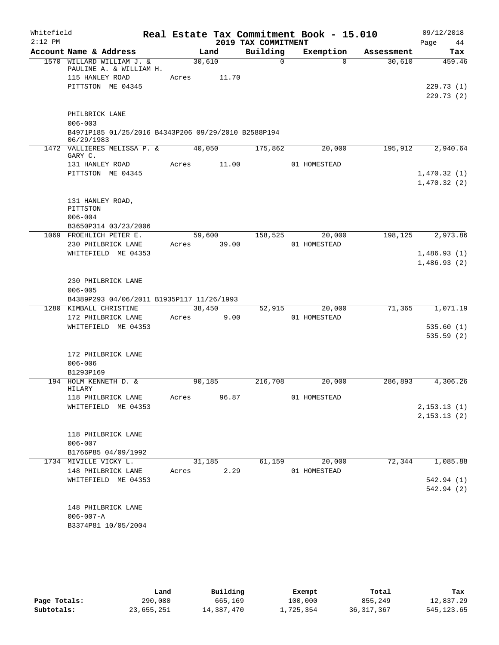| Whitefield |                                                                                              |       |                 |                     | Real Estate Tax Commitment Book - 15.010 |            | 09/12/2018                 |
|------------|----------------------------------------------------------------------------------------------|-------|-----------------|---------------------|------------------------------------------|------------|----------------------------|
| $2:12$ PM  |                                                                                              |       |                 | 2019 TAX COMMITMENT |                                          |            | Page<br>44                 |
|            | Account Name & Address                                                                       |       | Land            | Building            | Exemption                                | Assessment | Tax                        |
|            | 1570 WILLARD WILLIAM J. &<br>PAULINE A. & WILLIAM H.<br>115 HANLEY ROAD<br>PITTSTON ME 04345 | Acres | 30,610<br>11.70 | $\Omega$            | $\Omega$                                 | 30,610     | 459.46<br>229.73(1)        |
|            |                                                                                              |       |                 |                     |                                          |            | 229.73(2)                  |
|            | PHILBRICK LANE<br>$006 - 003$<br>B4971P185 01/25/2016 B4343P206 09/29/2010 B2588P194         |       |                 |                     |                                          |            |                            |
|            | 06/29/1983<br>1472 VALLIERES MELISSA P. &                                                    |       | 40,050          | 175,862             | 20,000                                   | 195,912    | 2,940.64                   |
|            | GARY C.                                                                                      |       |                 |                     |                                          |            |                            |
|            | 131 HANLEY ROAD<br>PITTSTON ME 04345                                                         | Acres | 11.00           |                     | 01 HOMESTEAD                             |            | 1,470.32(1)<br>1,470.32(2) |
|            | 131 HANLEY ROAD,<br>PITTSTON<br>$006 - 004$                                                  |       |                 |                     |                                          |            |                            |
|            | B3650P314 03/23/2006                                                                         |       |                 | 158,525             |                                          | 198,125    |                            |
|            | 1069 FROEHLICH PETER E.<br>230 PHILBRICK LANE                                                | Acres | 59,600<br>39.00 |                     | 20,000<br>01 HOMESTEAD                   |            | 2,973.86                   |
|            | WHITEFIELD ME 04353                                                                          |       |                 |                     |                                          |            | 1,486.93(1)                |
|            |                                                                                              |       |                 |                     |                                          |            | 1,486.93(2)                |
|            |                                                                                              |       |                 |                     |                                          |            |                            |
|            | 230 PHILBRICK LANE                                                                           |       |                 |                     |                                          |            |                            |
|            | $006 - 005$                                                                                  |       |                 |                     |                                          |            |                            |
|            | B4389P293 04/06/2011 B1935P117 11/26/1993                                                    |       |                 |                     |                                          |            |                            |
| 1280       | KIMBALL CHRISTINE                                                                            |       | 38,450          | 52,915              | 20,000                                   | 71,365     | 1,071.19                   |
|            | 172 PHILBRICK LANE                                                                           | Acres | 9.00            |                     | 01 HOMESTEAD                             |            |                            |
|            | WHITEFIELD ME 04353                                                                          |       |                 |                     |                                          |            | 535.60(1)                  |
|            |                                                                                              |       |                 |                     |                                          |            | 535.59(2)                  |
|            | 172 PHILBRICK LANE                                                                           |       |                 |                     |                                          |            |                            |
|            | $006 - 006$                                                                                  |       |                 |                     |                                          |            |                            |
|            | B1293P169                                                                                    |       |                 |                     |                                          |            |                            |
|            | 194 HOLM KENNETH D. &                                                                        |       | 90,185          | 216,708             | 20,000                                   | 286,893    | 4,306.26                   |
|            | HILARY                                                                                       |       |                 |                     |                                          |            |                            |
|            | 118 PHILBRICK LANE                                                                           | Acres | 96.87           |                     | 01 HOMESTEAD                             |            |                            |
|            | WHITEFIELD ME 04353                                                                          |       |                 |                     |                                          |            | 2, 153.13(1)               |
|            |                                                                                              |       |                 |                     |                                          |            | 2, 153.13(2)               |
|            |                                                                                              |       |                 |                     |                                          |            |                            |
|            | 118 PHILBRICK LANE<br>$006 - 007$                                                            |       |                 |                     |                                          |            |                            |
|            | B1766P85 04/09/1992                                                                          |       |                 |                     |                                          |            |                            |
|            | 1734 MIVILLE VICKY L.                                                                        |       | 31,185          | 61,159              | 20,000                                   | 72,344     | 1,085.88                   |
|            | 148 PHILBRICK LANE                                                                           | Acres | 2.29            |                     | 01 HOMESTEAD                             |            |                            |
|            | WHITEFIELD ME 04353                                                                          |       |                 |                     |                                          |            | 542.94 (1)                 |
|            |                                                                                              |       |                 |                     |                                          |            | 542.94 (2)                 |
|            |                                                                                              |       |                 |                     |                                          |            |                            |
|            | 148 PHILBRICK LANE                                                                           |       |                 |                     |                                          |            |                            |
|            | $006 - 007 - A$<br>B3374P81 10/05/2004                                                       |       |                 |                     |                                          |            |                            |
|            |                                                                                              |       |                 |                     |                                          |            |                            |

|              | Land       | Building   | Exempt    | Total        | Tax         |
|--------------|------------|------------|-----------|--------------|-------------|
| Page Totals: | 290,080    | 665,169    | 100,000   | 855,249      | 12,837.29   |
| Subtotals:   | 23,655,251 | 14,387,470 | 1,725,354 | 36, 317, 367 | 545, 123.65 |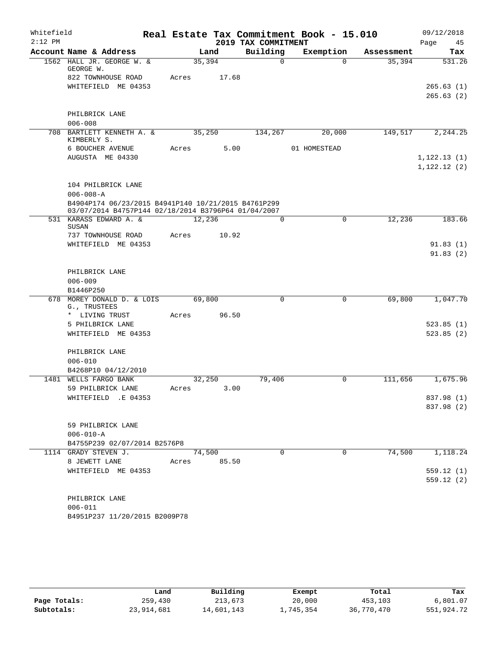| Whitefield |                                                      |        |       |                     | Real Estate Tax Commitment Book - 15.010 |            | 09/12/2018   |
|------------|------------------------------------------------------|--------|-------|---------------------|------------------------------------------|------------|--------------|
| $2:12$ PM  |                                                      |        |       | 2019 TAX COMMITMENT |                                          |            | Page<br>45   |
|            | Account Name & Address                               |        | Land  | Building            | Exemption                                | Assessment | Tax          |
|            | 1562 HALL JR. GEORGE W. &<br>GEORGE W.               | 35,394 |       | $\Omega$            | $\Omega$                                 | 35,394     | 531.26       |
|            | 822 TOWNHOUSE ROAD                                   | Acres  | 17.68 |                     |                                          |            |              |
|            | WHITEFIELD ME 04353                                  |        |       |                     |                                          |            | 265.63(1)    |
|            |                                                      |        |       |                     |                                          |            | 265.63(2)    |
|            | PHILBRICK LANE                                       |        |       |                     |                                          |            |              |
|            | $006 - 008$                                          |        |       |                     |                                          |            |              |
|            | 708 BARTLETT KENNETH A. &                            | 35,250 |       | 134,267             | 20,000                                   | 149,517    | 2,244.25     |
|            | KIMBERLY S.                                          |        |       |                     |                                          |            |              |
|            | 6 BOUCHER AVENUE                                     | Acres  | 5.00  |                     | 01 HOMESTEAD                             |            |              |
|            | AUGUSTA ME 04330                                     |        |       |                     |                                          |            | 1, 122.13(1) |
|            |                                                      |        |       |                     |                                          |            | 1, 122.12(2) |
|            | 104 PHILBRICK LANE                                   |        |       |                     |                                          |            |              |
|            | $006 - 008 - A$                                      |        |       |                     |                                          |            |              |
|            | B4904P174 06/23/2015 B4941P140 10/21/2015 B4761P299  |        |       |                     |                                          |            |              |
|            | 03/07/2014 B4757P144 02/18/2014 B3796P64 01/04/2007  |        |       |                     |                                          |            |              |
|            | 531 KARASS EDWARD A. &<br>SUSAN                      | 12,236 |       | $\mathbf{0}$        | $\mathbf 0$                              | 12,236     | 183.66       |
|            | 737 TOWNHOUSE ROAD                                   | Acres  | 10.92 |                     |                                          |            |              |
|            | WHITEFIELD ME 04353                                  |        |       |                     |                                          |            | 91.83(1)     |
|            |                                                      |        |       |                     |                                          |            | 91.83(2)     |
|            |                                                      |        |       |                     |                                          |            |              |
|            | PHILBRICK LANE                                       |        |       |                     |                                          |            |              |
|            | $006 - 009$                                          |        |       |                     |                                          |            |              |
|            | B1446P250                                            |        |       |                     |                                          |            |              |
|            | 678 MOREY DONALD D. & LOIS<br>G., TRUSTEES           | 69,800 |       | $\Omega$            | $\mathbf 0$                              | 69,800     | 1,047.70     |
|            | * LIVING TRUST                                       | Acres  | 96.50 |                     |                                          |            |              |
|            | 5 PHILBRICK LANE                                     |        |       |                     |                                          |            | 523.85(1)    |
|            | WHITEFIELD ME 04353                                  |        |       |                     |                                          |            | 523.85(2)    |
|            |                                                      |        |       |                     |                                          |            |              |
|            | PHILBRICK LANE                                       |        |       |                     |                                          |            |              |
|            | $006 - 010$<br>B4268P10 04/12/2010                   |        |       |                     |                                          |            |              |
|            | 1481 WELLS FARGO BANK                                | 32,250 |       | 79,406              | 0                                        | 111,656    | 1,675.96     |
|            | 59 PHILBRICK LANE                                    | Acres  | 3.00  |                     |                                          |            |              |
|            | WHITEFIELD .E 04353                                  |        |       |                     |                                          |            | 837.98 (1)   |
|            |                                                      |        |       |                     |                                          |            | 837.98 (2)   |
|            |                                                      |        |       |                     |                                          |            |              |
|            | 59 PHILBRICK LANE                                    |        |       |                     |                                          |            |              |
|            | $006 - 010 - A$                                      |        |       |                     |                                          |            |              |
|            | B4755P239 02/07/2014 B2576P8<br>1114 GRADY STEVEN J. | 74,500 |       | $\Omega$            | $\Omega$                                 | 74,500     | 1,118.24     |
|            | 8 JEWETT LANE                                        | Acres  | 85.50 |                     |                                          |            |              |
|            | WHITEFIELD ME 04353                                  |        |       |                     |                                          |            | 559.12(1)    |
|            |                                                      |        |       |                     |                                          |            | 559.12(2)    |
|            |                                                      |        |       |                     |                                          |            |              |
|            | PHILBRICK LANE                                       |        |       |                     |                                          |            |              |
|            | $006 - 011$                                          |        |       |                     |                                          |            |              |
|            | B4951P237 11/20/2015 B2009P78                        |        |       |                     |                                          |            |              |
|            |                                                      |        |       |                     |                                          |            |              |

|              | Land       | Building   | Exempt    | Total      | Tax        |
|--------------|------------|------------|-----------|------------|------------|
| Page Totals: | 259,430    | 213,673    | 20,000    | 453,103    | 6,801.07   |
| Subtotals:   | 23,914,681 | 14,601,143 | 1,745,354 | 36,770,470 | 551,924.72 |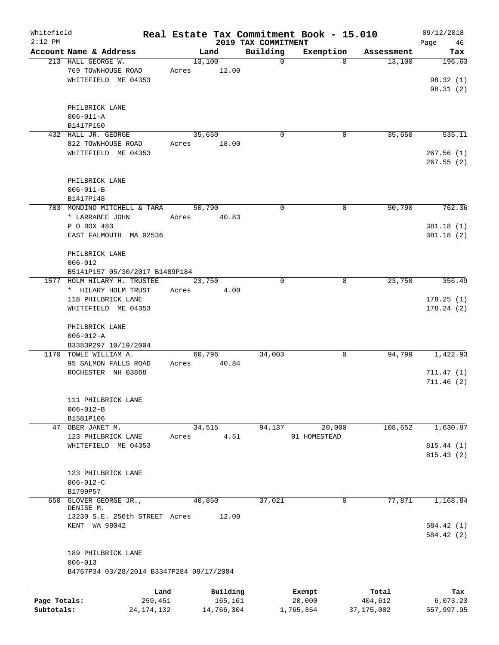| Whitefield<br>$2:12$ PM |                                          |       |            | 2019 TAX COMMITMENT | Real Estate Tax Commitment Book - 15.010 |              | 09/12/2018<br>Page<br>46 |
|-------------------------|------------------------------------------|-------|------------|---------------------|------------------------------------------|--------------|--------------------------|
|                         | Account Name & Address                   |       | Land       | Building            | Exemption                                | Assessment   | Tax                      |
|                         | 213 HALL GEORGE W.                       |       | 13,100     | 0                   | $\Omega$                                 | 13,100       | 196.63                   |
|                         | 769 TOWNHOUSE ROAD                       | Acres | 12.00      |                     |                                          |              |                          |
|                         | WHITEFIELD ME 04353                      |       |            |                     |                                          |              | 98.32(1)                 |
|                         |                                          |       |            |                     |                                          |              | 98.31(2)                 |
|                         |                                          |       |            |                     |                                          |              |                          |
|                         | PHILBRICK LANE                           |       |            |                     |                                          |              |                          |
|                         | $006 - 011 - A$                          |       |            |                     |                                          |              |                          |
|                         | B1417P150                                |       |            |                     |                                          |              |                          |
|                         | 432 HALL JR. GEORGE                      |       | 35,650     | 0                   | 0                                        | 35,650       | 535.11                   |
|                         | 822 TOWNHOUSE ROAD                       | Acres | 18.00      |                     |                                          |              |                          |
|                         | WHITEFIELD ME 04353                      |       |            |                     |                                          |              | 267.56(1)                |
|                         |                                          |       |            |                     |                                          |              | 267.55(2)                |
|                         |                                          |       |            |                     |                                          |              |                          |
|                         | PHILBRICK LANE                           |       |            |                     |                                          |              |                          |
|                         | $006 - 011 - B$                          |       |            |                     |                                          |              |                          |
|                         | B1417P148                                |       |            |                     |                                          |              |                          |
|                         | 783 MONDINO MITCHELL & TARA              |       | 50,790     | 0                   | $\mathbf 0$                              | 50,790       | 762.36                   |
|                         | * LARRABEE JOHN                          | Acres | 40.83      |                     |                                          |              |                          |
|                         | P O BOX 483                              |       |            |                     |                                          |              | 381.18(1)                |
|                         | EAST FALMOUTH MA 02536                   |       |            |                     |                                          |              | 381.18(2)                |
|                         |                                          |       |            |                     |                                          |              |                          |
|                         | PHILBRICK LANE                           |       |            |                     |                                          |              |                          |
|                         | $006 - 012$                              |       |            |                     |                                          |              |                          |
|                         | B5141P157 05/30/2017 B1489P184           |       |            |                     |                                          |              |                          |
|                         | 1577 HOLM HILARY H. TRUSTEE              |       | 23,750     | $\Omega$            | 0                                        | 23,750       | 356.49                   |
|                         | * HILARY HOLM TRUST                      | Acres | 4.00       |                     |                                          |              |                          |
|                         | 118 PHILBRICK LANE                       |       |            |                     |                                          |              | 178.25(1)                |
|                         | WHITEFIELD ME 04353                      |       |            |                     |                                          |              | 178.24(2)                |
|                         |                                          |       |            |                     |                                          |              |                          |
|                         | PHILBRICK LANE                           |       |            |                     |                                          |              |                          |
|                         | $006 - 012 - A$                          |       |            |                     |                                          |              |                          |
|                         | B3383P297 10/19/2004                     |       |            |                     |                                          |              |                          |
|                         | 1170 TOWLE WILLIAM A.                    |       | 60,796     | 34,003              | 0                                        | 94,799       | 1,422.93                 |
|                         | 95 SALMON FALLS ROAD                     | Acres | 40.84      |                     |                                          |              |                          |
|                         | ROCHESTER NH 03868                       |       |            |                     |                                          |              | 711.47(1)                |
|                         |                                          |       |            |                     |                                          |              | 711.46(2)                |
|                         |                                          |       |            |                     |                                          |              |                          |
|                         | 111 PHILBRICK LANE                       |       |            |                     |                                          |              |                          |
|                         | $006 - 012 - B$                          |       |            |                     |                                          |              |                          |
|                         | B1581P106                                |       |            |                     |                                          |              |                          |
|                         | 47 OBER JANET M.                         |       | 34,515     | 94,137              | 20,000                                   | 108,652      | 1,630.87                 |
|                         | 123 PHILBRICK LANE                       | Acres |            | 4.51                | 01 HOMESTEAD                             |              |                          |
|                         | WHITEFIELD ME 04353                      |       |            |                     |                                          |              | 815.44 (1)               |
|                         |                                          |       |            |                     |                                          |              | 815.43(2)                |
|                         |                                          |       |            |                     |                                          |              |                          |
|                         | 123 PHILBRICK LANE                       |       |            |                     |                                          |              |                          |
|                         | $006 - 012 - C$                          |       |            |                     |                                          |              |                          |
|                         | B1799P57                                 |       |            |                     |                                          |              |                          |
|                         | 650 GLOVER GEORGE JR.,                   |       | 40,850     | 37,021              | 0                                        | 77,871       | 1,168.84                 |
|                         | DENISE M.                                |       |            |                     |                                          |              |                          |
|                         | 13230 S.E. 256th STREET Acres            |       | 12.00      |                     |                                          |              |                          |
|                         | KENT WA 98042                            |       |            |                     |                                          |              | 584.42 (1)               |
|                         |                                          |       |            |                     |                                          |              | 584.42 (2)               |
|                         |                                          |       |            |                     |                                          |              |                          |
|                         | 189 PHILBRICK LANE                       |       |            |                     |                                          |              |                          |
|                         | $006 - 013$                              |       |            |                     |                                          |              |                          |
|                         | B4767P34 03/28/2014 B3347P284 08/17/2004 |       |            |                     |                                          |              |                          |
|                         |                                          | Land  | Building   |                     | Exempt                                   | Total        | Tax                      |
| Page Totals:            | 259,451                                  |       | 165,161    |                     | 20,000                                   | 404,612      | 6,073.23                 |
| Subtotals:              | 24, 174, 132                             |       | 14,766,304 |                     | 1,765,354                                | 37, 175, 082 | 557,997.95               |
|                         |                                          |       |            |                     |                                          |              |                          |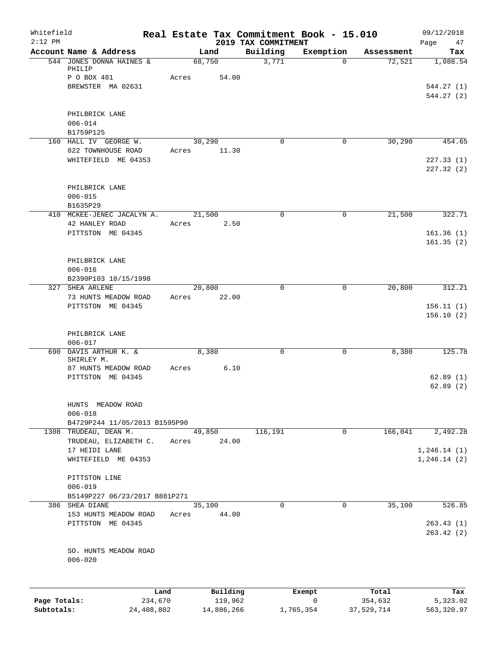| Whitefield<br>$2:12$ PM    |                                                                   |                       |        |                       | 2019 TAX COMMITMENT | Real Estate Tax Commitment Book - 15.010 |                       | 09/12/2018<br>Page<br>47     |
|----------------------------|-------------------------------------------------------------------|-----------------------|--------|-----------------------|---------------------|------------------------------------------|-----------------------|------------------------------|
|                            | Account Name & Address                                            |                       |        | Land                  | Building            | Exemption                                | Assessment            | Tax                          |
|                            | 544 JONES DONNA HAINES &<br>PHILIP                                |                       | 68,750 |                       | 3,771               | $\Omega$                                 | 72,521                | 1,088.54                     |
|                            | P O BOX 481<br>BREWSTER MA 02631                                  |                       | Acres  | 54.00                 |                     |                                          |                       | 544.27 (1)<br>544.27 (2)     |
|                            | PHILBRICK LANE<br>$006 - 014$<br>B1759P125                        |                       |        |                       |                     |                                          |                       |                              |
|                            | 160 HALL IV GEORGE W.                                             |                       | 30,290 |                       | $\Omega$            | $\mathbf 0$                              | 30,290                | 454.65                       |
|                            | 822 TOWNHOUSE ROAD<br>WHITEFIELD ME 04353                         |                       | Acres  | 11.30                 |                     |                                          |                       | 227.33(1)<br>227.32(2)       |
|                            | PHILBRICK LANE<br>$006 - 015$<br>B1635P29                         |                       |        |                       |                     |                                          |                       |                              |
|                            | 410 MCKEE-JENEC JACALYN A.                                        |                       | 21,500 |                       | $\mathbf 0$         | $\mathbf 0$                              | 21,500                | 322.71                       |
|                            | 42 HANLEY ROAD<br>PITTSTON ME 04345                               |                       | Acres  | 2.50                  |                     |                                          |                       | 161.36(1)<br>161.35(2)       |
|                            | PHILBRICK LANE<br>$006 - 016$<br>B2390P103 10/15/1998             |                       |        |                       |                     |                                          |                       |                              |
|                            | 327 SHEA ARLENE                                                   |                       | 20,800 |                       | $\Omega$            | 0                                        | 20,800                | 312.21                       |
|                            | 73 HUNTS MEADOW ROAD<br>PITTSTON ME 04345                         |                       | Acres  | 22.00                 |                     |                                          |                       | 156.11(1)<br>156.10(2)       |
|                            | PHILBRICK LANE<br>$006 - 017$                                     |                       |        |                       |                     |                                          |                       |                              |
|                            | 690 DAVIS ARTHUR K. &<br>SHIRLEY M.<br>87 HUNTS MEADOW ROAD       |                       | Acres  | 8,380<br>6.10         | $\mathbf 0$         | 0                                        | 8,380                 | 125.78                       |
|                            | PITTSTON ME 04345                                                 |                       |        |                       |                     |                                          |                       | 62.89(1)<br>62.89(2)         |
|                            | HUNTS MEADOW ROAD<br>$006 - 018$<br>B4729P244 11/05/2013 B1595P90 |                       |        |                       |                     |                                          |                       |                              |
| 1308                       | TRUDEAU, DEAN M.                                                  |                       | 49,850 |                       | 116,191             | 0                                        | 166,041               | 2,492.28                     |
|                            | TRUDEAU, ELIZABETH C.<br>17 HEIDI LANE<br>WHITEFIELD ME 04353     |                       | Acres  | 24.00                 |                     |                                          |                       | 1, 246.14(1)<br>1, 246.14(2) |
|                            | PITTSTON LINE<br>$006 - 019$<br>B5149P227 06/23/2017 B881P271     |                       |        |                       |                     |                                          |                       |                              |
|                            | 386 SHEA DIANE                                                    |                       | 35,100 |                       | $\mathbf 0$         | 0                                        | 35,100                | 526.85                       |
|                            | 153 HUNTS MEADOW ROAD<br>PITTSTON ME 04345                        |                       | Acres  | 44.00                 |                     |                                          |                       | 263.43(1)<br>263.42(2)       |
|                            | SO. HUNTS MEADOW ROAD<br>$006 - 020$                              |                       |        |                       |                     |                                          |                       |                              |
|                            |                                                                   | Land                  |        | Building              |                     | Exempt                                   | Total                 | Tax                          |
| Page Totals:<br>Subtotals: |                                                                   | 234,670<br>24,408,802 |        | 119,962<br>14,886,266 |                     | 0<br>1,765,354                           | 354,632<br>37,529,714 | 5,323.02<br>563,320.97       |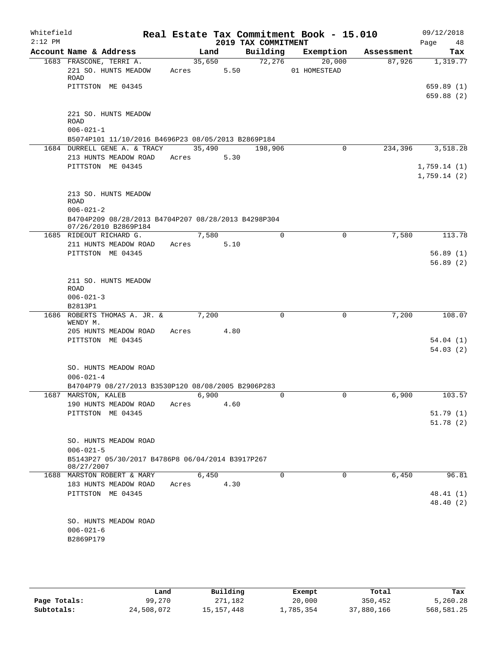| Whitefield<br>$2:12$ PM |                                                                           |       |                | 2019 TAX COMMITMENT | Real Estate Tax Commitment Book - 15.010 |            | 09/12/2018<br>Page<br>48 |  |
|-------------------------|---------------------------------------------------------------------------|-------|----------------|---------------------|------------------------------------------|------------|--------------------------|--|
|                         | Account Name & Address                                                    |       | Land           | Building            | Exemption                                | Assessment | Tax                      |  |
|                         | 1683 FRASCONE, TERRI A.<br>221 SO. HUNTS MEADOW                           | Acres | 35,650<br>5.50 | 72,276              | 20,000<br>01 HOMESTEAD                   | 87,926     | 1,319.77                 |  |
|                         | ROAD                                                                      |       |                |                     |                                          |            |                          |  |
|                         | PITTSTON ME 04345                                                         |       |                |                     |                                          |            | 659.89 (1)               |  |
|                         |                                                                           |       |                |                     |                                          |            | 659.88 (2)               |  |
|                         | 221 SO. HUNTS MEADOW                                                      |       |                |                     |                                          |            |                          |  |
|                         | <b>ROAD</b>                                                               |       |                |                     |                                          |            |                          |  |
|                         | $006 - 021 - 1$                                                           |       |                |                     |                                          |            |                          |  |
|                         | B5074P101 11/10/2016 B4696P23 08/05/2013 B2869P184                        |       |                |                     |                                          |            |                          |  |
|                         | 1684 DURRELL GENE A. & TRACY                                              |       | 35,490         | 198,906             | 0                                        | 234,396    | 3,518.28                 |  |
|                         | 213 HUNTS MEADOW ROAD<br>PITTSTON ME 04345                                | Acres | 5.30           |                     |                                          |            | 1,759.14(1)              |  |
|                         |                                                                           |       |                |                     |                                          |            | 1,759.14(2)              |  |
|                         |                                                                           |       |                |                     |                                          |            |                          |  |
|                         | 213 SO. HUNTS MEADOW                                                      |       |                |                     |                                          |            |                          |  |
|                         | ROAD<br>$006 - 021 - 2$                                                   |       |                |                     |                                          |            |                          |  |
|                         | B4704P209 08/28/2013 B4704P207 08/28/2013 B4298P304                       |       |                |                     |                                          |            |                          |  |
|                         | 07/26/2010 B2869P184                                                      |       |                |                     |                                          |            |                          |  |
|                         | 1685 RIDEOUT RICHARD G.                                                   |       | 7,580          | 0                   | $\mathbf 0$                              | 7,580      | 113.78                   |  |
|                         | 211 HUNTS MEADOW ROAD                                                     | Acres | 5.10           |                     |                                          |            |                          |  |
|                         | PITTSTON ME 04345                                                         |       |                |                     |                                          |            | 56.89(1)                 |  |
|                         |                                                                           |       |                |                     |                                          |            | 56.89(2)                 |  |
|                         | 211 SO. HUNTS MEADOW                                                      |       |                |                     |                                          |            |                          |  |
|                         | <b>ROAD</b>                                                               |       |                |                     |                                          |            |                          |  |
|                         | $006 - 021 - 3$                                                           |       |                |                     |                                          |            |                          |  |
|                         | B2813P1                                                                   |       |                |                     |                                          |            |                          |  |
| 1686                    | ROBERTS THOMAS A. JR. &<br>WENDY M.                                       |       | 7,200          | 0                   | 0                                        | 7,200      | 108.07                   |  |
|                         | 205 HUNTS MEADOW ROAD                                                     | Acres | 4.80           |                     |                                          |            |                          |  |
|                         | PITTSTON ME 04345                                                         |       |                |                     |                                          |            | 54.04(1)                 |  |
|                         |                                                                           |       |                |                     |                                          |            | 54.03(2)                 |  |
|                         |                                                                           |       |                |                     |                                          |            |                          |  |
|                         | SO. HUNTS MEADOW ROAD                                                     |       |                |                     |                                          |            |                          |  |
|                         | $006 - 021 - 4$                                                           |       |                |                     |                                          |            |                          |  |
|                         | B4704P79 08/27/2013 B3530P120 08/08/2005 B2906P283<br>1687 MARSTON, KALEB |       | 6,900          |                     |                                          | 6,900      | 103.57                   |  |
|                         | 190 HUNTS MEADOW ROAD                                                     | Acres | 4.60           |                     |                                          |            |                          |  |
|                         | PITTSTON ME 04345                                                         |       |                |                     |                                          |            | 51.79(1)                 |  |
|                         |                                                                           |       |                |                     |                                          |            | 51.78(2)                 |  |
|                         |                                                                           |       |                |                     |                                          |            |                          |  |
|                         | SO. HUNTS MEADOW ROAD                                                     |       |                |                     |                                          |            |                          |  |
|                         | $006 - 021 - 5$                                                           |       |                |                     |                                          |            |                          |  |
|                         | B5143P27 05/30/2017 B4786P8 06/04/2014 B3917P267<br>08/27/2007            |       |                |                     |                                          |            |                          |  |
|                         | 1688 MARSTON ROBERT & MARY                                                |       | 6,450          | 0                   | 0                                        | 6,450      | 96.81                    |  |
|                         | 183 HUNTS MEADOW ROAD                                                     | Acres | 4.30           |                     |                                          |            |                          |  |
|                         | PITTSTON ME 04345                                                         |       |                |                     |                                          |            | 48.41(1)                 |  |
|                         |                                                                           |       |                |                     |                                          |            | 48.40 (2)                |  |
|                         |                                                                           |       |                |                     |                                          |            |                          |  |
|                         | SO. HUNTS MEADOW ROAD<br>$006 - 021 - 6$                                  |       |                |                     |                                          |            |                          |  |
|                         | B2869P179                                                                 |       |                |                     |                                          |            |                          |  |
|                         |                                                                           |       |                |                     |                                          |            |                          |  |
|                         |                                                                           |       |                |                     |                                          |            |                          |  |

|              | Land       | Building   | Exempt    | Total      | Tax        |  |
|--------------|------------|------------|-----------|------------|------------|--|
| Page Totals: | 99,270     | 271,182    | 20,000    | 350,452    | 5,260.28   |  |
| Subtotals:   | 24,508,072 | 15,157,448 | 1,785,354 | 37,880,166 | 568,581.25 |  |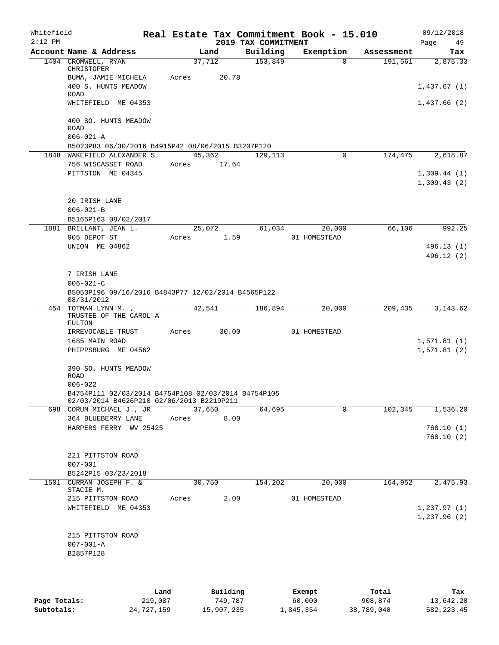| Whitefield<br>$2:12$ PM |                                                                                                  |             |        | 2019 TAX COMMITMENT | Real Estate Tax Commitment Book - 15.010 |            | 09/12/2018<br>Page<br>49    |
|-------------------------|--------------------------------------------------------------------------------------------------|-------------|--------|---------------------|------------------------------------------|------------|-----------------------------|
|                         | Account Name & Address                                                                           |             | Land   | Building            | Exemption                                | Assessment | Tax                         |
|                         | 1404 CROMWELL, RYAN<br>CHRISTOPER                                                                | 37,712      |        | 153,849             | $\Omega$                                 | 191,561    | 2,875.33                    |
|                         | BUMA, JAMIE MICHELA<br>400 S. HUNTS MEADOW<br>ROAD                                               | Acres       | 20.78  |                     |                                          |            | 1,437.67(1)                 |
|                         | WHITEFIELD ME 04353                                                                              |             |        |                     |                                          |            | 1,437.66(2)                 |
|                         | 400 SO. HUNTS MEADOW<br><b>ROAD</b>                                                              |             |        |                     |                                          |            |                             |
|                         | $006 - 021 - A$                                                                                  |             |        |                     |                                          |            |                             |
|                         | B5023P83 06/30/2016 B4915P42 08/06/2015 B3207P120<br>1848 WAKEFIELD ALEXANDER S.                 | 45,362      |        | 129,113             | 0                                        | 174,475    | 2,618.87                    |
|                         | 756 WISCASSET ROAD                                                                               | Acres 17.64 |        |                     |                                          |            |                             |
|                         | PITTSTON ME 04345                                                                                |             |        |                     |                                          |            | 1,309.44(1)<br>1,309.43(2)  |
|                         | 20 IRISH LANE                                                                                    |             |        |                     |                                          |            |                             |
|                         | $006 - 021 - B$<br>B5165P163 08/02/2017                                                          |             |        |                     |                                          |            |                             |
|                         | 1881 BRILLANT, JEAN L.                                                                           | 25,072      |        | 61,034              | 20,000                                   | 66,106     | 992.25                      |
|                         | 905 DEPOT ST                                                                                     | Acres       | 1.59   |                     | 01 HOMESTEAD                             |            |                             |
|                         | UNION ME 04862                                                                                   |             |        |                     |                                          |            | 496.13(1)                   |
|                         |                                                                                                  |             |        |                     |                                          |            | 496.12 (2)                  |
|                         | 7 IRISH LANE                                                                                     |             |        |                     |                                          |            |                             |
|                         | $006 - 021 - C$                                                                                  |             |        |                     |                                          |            |                             |
|                         | B5053P196 09/16/2016 B4843P77 12/02/2014 B4565P122<br>08/31/2012                                 |             |        |                     |                                          |            |                             |
|                         | 454 TOTMAN LYNN M.,<br>TRUSTEE OF THE CAROL A<br>FULTON                                          | 42,541      |        | 186,894             | 20,000                                   | 209,435    | 3, 143.62                   |
|                         | IRREVOCABLE TRUST                                                                                | Acres       | 30.00  |                     | 01 HOMESTEAD                             |            |                             |
|                         | 1685 MAIN ROAD                                                                                   |             |        |                     |                                          |            | 1,571.81(1)                 |
|                         | PHIPPSBURG ME 04562                                                                              |             |        |                     |                                          |            | 1,571.81(2)                 |
|                         | 390 SO. HUNTS MEADOW<br>ROAD                                                                     |             |        |                     |                                          |            |                             |
|                         | $006 - 022$                                                                                      |             |        |                     |                                          |            |                             |
|                         | B4754P111 02/03/2014 B4754P108 02/03/2014 B4754P105<br>02/03/2014 B4626P210 02/06/2013 B2219P211 |             |        |                     |                                          |            |                             |
|                         | 698 CORUM MICHAEL J., JR 37,650<br>364 BLUEBERRY LANE                                            | Acres       | 8.00   | 64,695              | $\Omega$                                 | 102,345    | 1,536.20                    |
|                         | HARPERS FERRY WV 25425                                                                           |             |        |                     |                                          |            | 768.10(1)                   |
|                         |                                                                                                  |             |        |                     |                                          |            | 768.10(2)                   |
|                         | 221 PITTSTON ROAD                                                                                |             |        |                     |                                          |            |                             |
|                         | $007 - 001$                                                                                      |             |        |                     |                                          |            |                             |
|                         | B5242P15 03/23/2018                                                                              |             |        |                     |                                          |            |                             |
|                         | 1501 CURRAN JOSEPH F. &<br>STACIE M.                                                             |             | 30,750 | 154,202             | 20,000                                   | 164,952    | 2,475.93                    |
|                         | 215 PITTSTON ROAD                                                                                | Acres 2.00  |        |                     | 01 HOMESTEAD                             |            |                             |
|                         | WHITEFIELD ME 04353                                                                              |             |        |                     |                                          |            | 1, 237.97(1)<br>1,237.96(2) |
|                         |                                                                                                  |             |        |                     |                                          |            |                             |
|                         | 215 PITTSTON ROAD<br>$007 - 001 - A$                                                             |             |        |                     |                                          |            |                             |
|                         | B2857P128                                                                                        |             |        |                     |                                          |            |                             |
|                         |                                                                                                  |             |        |                     |                                          |            |                             |
|                         |                                                                                                  |             |        |                     |                                          |            |                             |

|              | Land       | Building   | Exempt    | Total      | Tax          |
|--------------|------------|------------|-----------|------------|--------------|
| Page Totals: | 219,087    | 749.787    | 60,000    | 908,874    | 13,642.20    |
| Subtotals:   | 24,727,159 | 15,907,235 | 1,845,354 | 38,789,040 | 582, 223, 45 |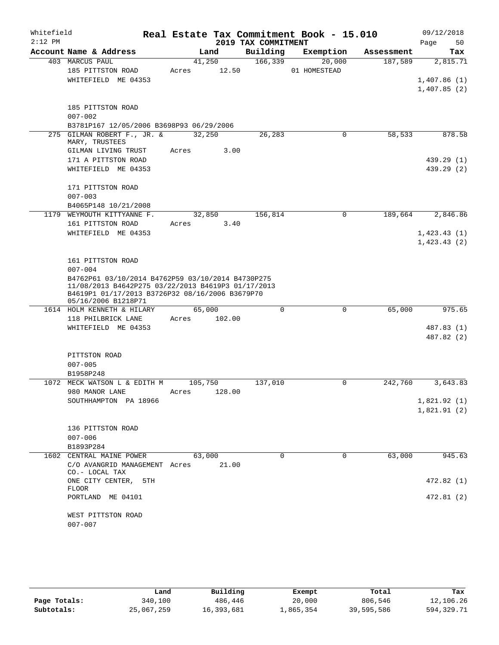| Whitefield<br>$2:12$ PM |                                                                                                                                                                                   | Real Estate Tax Commitment Book - 15.010 |                                 |              |            | 09/12/2018        |
|-------------------------|-----------------------------------------------------------------------------------------------------------------------------------------------------------------------------------|------------------------------------------|---------------------------------|--------------|------------|-------------------|
|                         | Account Name & Address                                                                                                                                                            | Land                                     | 2019 TAX COMMITMENT<br>Building | Exemption    | Assessment | Page<br>50<br>Tax |
|                         | 403 MARCUS PAUL                                                                                                                                                                   | 41,250                                   | 166,339                         | 20,000       | 187,589    | 2,815.71          |
|                         | 185 PITTSTON ROAD                                                                                                                                                                 | 12.50<br>Acres                           |                                 | 01 HOMESTEAD |            |                   |
|                         | WHITEFIELD ME 04353                                                                                                                                                               |                                          |                                 |              |            | 1,407.86(1)       |
|                         |                                                                                                                                                                                   |                                          |                                 |              |            | 1,407.85(2)       |
|                         | 185 PITTSTON ROAD                                                                                                                                                                 |                                          |                                 |              |            |                   |
|                         | $007 - 002$                                                                                                                                                                       |                                          |                                 |              |            |                   |
|                         | B3781P167 12/05/2006 B3698P93 06/29/2006                                                                                                                                          |                                          |                                 |              |            |                   |
|                         | 275 GILMAN ROBERT F., JR. &<br>MARY, TRUSTEES                                                                                                                                     | 32,250                                   | 26,283                          | 0            | 58,533     | 878.58            |
|                         | GILMAN LIVING TRUST                                                                                                                                                               | 3.00<br>Acres                            |                                 |              |            |                   |
|                         | 171 A PITTSTON ROAD                                                                                                                                                               |                                          |                                 |              |            | 439.29 (1)        |
|                         | WHITEFIELD ME 04353                                                                                                                                                               |                                          |                                 |              |            | 439.29 (2)        |
|                         | 171 PITTSTON ROAD                                                                                                                                                                 |                                          |                                 |              |            |                   |
|                         | $007 - 003$                                                                                                                                                                       |                                          |                                 |              |            |                   |
|                         | B4065P148 10/21/2008                                                                                                                                                              |                                          |                                 |              |            |                   |
|                         | 1179 WEYMOUTH KITTYANNE F.                                                                                                                                                        | 32,850                                   | 156,814                         | 0            | 189,664    | 2,846.86          |
|                         | 161 PITTSTON ROAD                                                                                                                                                                 | 3.40<br>Acres                            |                                 |              |            |                   |
|                         | WHITEFIELD ME 04353                                                                                                                                                               |                                          |                                 |              |            | 1,423.43(1)       |
|                         |                                                                                                                                                                                   |                                          |                                 |              |            | 1,423.43(2)       |
|                         | 161 PITTSTON ROAD                                                                                                                                                                 |                                          |                                 |              |            |                   |
|                         | $007 - 004$                                                                                                                                                                       |                                          |                                 |              |            |                   |
|                         | B4762P61 03/10/2014 B4762P59 03/10/2014 B4730P275<br>11/08/2013 B4642P275 03/22/2013 B4619P3 01/17/2013<br>B4619P1 01/17/2013 B3726P32 08/16/2006 B3679P70<br>05/16/2006 B1218P71 |                                          |                                 |              |            |                   |
|                         | 1614 HOLM KENNETH & HILARY                                                                                                                                                        | 65,000                                   | $\Omega$                        | 0            | 65,000     | 975.65            |
|                         | 118 PHILBRICK LANE                                                                                                                                                                | Acres<br>102.00                          |                                 |              |            |                   |
|                         | WHITEFIELD ME 04353                                                                                                                                                               |                                          |                                 |              |            | 487.83 (1)        |
|                         |                                                                                                                                                                                   |                                          |                                 |              |            | 487.82 (2)        |
|                         | PITTSTON ROAD                                                                                                                                                                     |                                          |                                 |              |            |                   |
|                         | $007 - 005$                                                                                                                                                                       |                                          |                                 |              |            |                   |
|                         | B1958P248                                                                                                                                                                         |                                          |                                 |              |            |                   |
| 1072                    | MECK WATSON L & EDITH M                                                                                                                                                           | 105,750                                  | 137,010                         | 0            | 242,760    | 3,643.83          |
|                         | 980 MANOR LANE                                                                                                                                                                    | 128.00<br>Acres                          |                                 |              |            |                   |
|                         | SOUTHHAMPTON PA 18966                                                                                                                                                             |                                          |                                 |              |            | 1,821.92(1)       |
|                         |                                                                                                                                                                                   |                                          |                                 |              |            | 1,821.91(2)       |
|                         | 136 PITTSTON ROAD                                                                                                                                                                 |                                          |                                 |              |            |                   |
|                         | $007 - 006$                                                                                                                                                                       |                                          |                                 |              |            |                   |
|                         | B1893P284                                                                                                                                                                         |                                          |                                 |              |            |                   |
|                         | 1602 CENTRAL MAINE POWER                                                                                                                                                          | 63,000                                   | 0                               | 0            | 63,000     | 945.63            |
|                         | C/O AVANGRID MANAGEMENT Acres<br>CO.- LOCAL TAX                                                                                                                                   | 21.00                                    |                                 |              |            |                   |
|                         | ONE CITY CENTER,<br>5TH<br><b>FLOOR</b>                                                                                                                                           |                                          |                                 |              |            | 472.82 (1)        |
|                         | PORTLAND ME 04101                                                                                                                                                                 |                                          |                                 |              |            | 472.81 (2)        |
|                         | WEST PITTSTON ROAD                                                                                                                                                                |                                          |                                 |              |            |                   |
|                         | $007 - 007$                                                                                                                                                                       |                                          |                                 |              |            |                   |

|              | Land       | Building   | Exempt    | Total      | Tax          |
|--------------|------------|------------|-----------|------------|--------------|
| Page Totals: | 340,100    | 486,446    | 20,000    | 806,546    | 12,106.26    |
| Subtotals:   | 25,067,259 | 16,393,681 | 1,865,354 | 39,595,586 | 594, 329. 71 |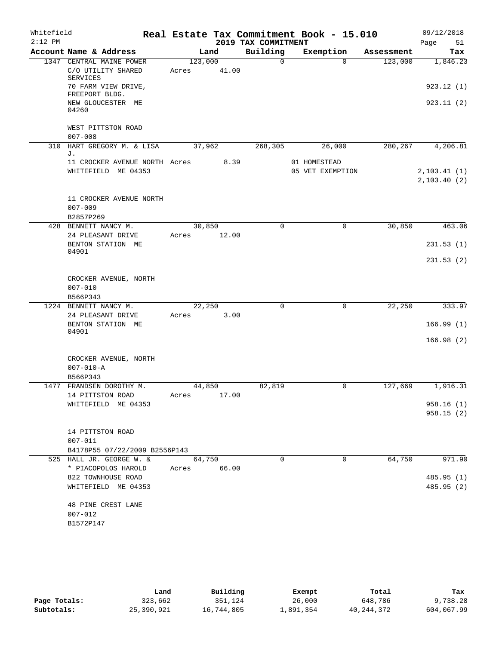| Whitefield |                                                                   |                  |       |                     | Real Estate Tax Commitment Book - 15.010 |            | 09/12/2018                    |
|------------|-------------------------------------------------------------------|------------------|-------|---------------------|------------------------------------------|------------|-------------------------------|
| $2:12$ PM  |                                                                   |                  |       | 2019 TAX COMMITMENT |                                          |            | Page<br>51                    |
|            | Account Name & Address                                            | Land             |       | Building            | Exemption                                | Assessment | Tax                           |
|            | 1347 CENTRAL MAINE POWER<br>C/O UTILITY SHARED<br><b>SERVICES</b> | 123,000<br>Acres | 41.00 | $\Omega$            | $\Omega$                                 | 123,000    | 1,846.23                      |
|            | 70 FARM VIEW DRIVE,<br>FREEPORT BLDG.                             |                  |       |                     |                                          |            | 923.12(1)                     |
|            | NEW GLOUCESTER ME<br>04260                                        |                  |       |                     |                                          |            | 923.11(2)                     |
|            | WEST PITTSTON ROAD<br>$007 - 008$                                 |                  |       |                     |                                          |            |                               |
| 310        | HART GREGORY M. & LISA<br>J.                                      | 37,962           |       | 268,305             | 26,000                                   | 280, 267   | 4,206.81                      |
|            | 11 CROCKER AVENUE NORTH Acres<br>WHITEFIELD ME 04353              |                  | 8.39  |                     | 01 HOMESTEAD<br>05 VET EXEMPTION         |            | 2, 103.41(1)<br>2, 103.40 (2) |
|            | 11 CROCKER AVENUE NORTH<br>$007 - 009$<br>B2857P269               |                  |       |                     |                                          |            |                               |
|            | 428 BENNETT NANCY M.                                              | 30,850           |       | $\mathbf 0$         | $\mathbf 0$                              | 30,850     | 463.06                        |
|            | 24 PLEASANT DRIVE<br>BENTON STATION ME<br>04901                   | Acres            | 12.00 |                     |                                          |            | 231.53(1)                     |
|            |                                                                   |                  |       |                     |                                          |            | 231.53(2)                     |
|            | CROCKER AVENUE, NORTH<br>$007 - 010$<br>B566P343                  |                  |       |                     |                                          |            |                               |
|            | 1224 BENNETT NANCY M.                                             | 22, 250          |       | $\Omega$            | $\mathbf 0$                              | 22,250     | 333.97                        |
|            | 24 PLEASANT DRIVE<br>BENTON STATION ME<br>04901                   | Acres            | 3.00  |                     |                                          |            | 166.99(1)                     |
|            |                                                                   |                  |       |                     |                                          |            | 166.98(2)                     |
|            | CROCKER AVENUE, NORTH<br>$007 - 010 - A$<br>B566P343              |                  |       |                     |                                          |            |                               |
|            | 1477 FRANDSEN DOROTHY M.                                          | 44,850           |       | 82,819              | 0                                        | 127,669    | 1,916.31                      |
|            | 14 PITTSTON ROAD                                                  | Acres            | 17.00 |                     |                                          |            |                               |
|            | WHITEFIELD ME 04353                                               |                  |       |                     |                                          |            | 958.16(1)<br>958.15(2)        |
|            | 14 PITTSTON ROAD<br>$007 - 011$                                   |                  |       |                     |                                          |            |                               |
|            | B4178P55 07/22/2009 B2556P143                                     |                  |       |                     |                                          |            |                               |
|            | 525 HALL JR. GEORGE W. &<br>* PIACOPOLOS HAROLD Acres             | 64,750           | 66.00 | $\Omega$            | $\Omega$                                 | 64,750     | 971.90                        |
|            | 822 TOWNHOUSE ROAD                                                |                  |       |                     |                                          |            | 485.95(1)                     |
|            | WHITEFIELD ME 04353                                               |                  |       |                     |                                          |            | 485.95 (2)                    |
|            | 48 PINE CREST LANE<br>$007 - 012$                                 |                  |       |                     |                                          |            |                               |
|            | B1572P147                                                         |                  |       |                     |                                          |            |                               |

|              | Land       | Building   | Exempt    | Total        | Tax        |
|--------------|------------|------------|-----------|--------------|------------|
| Page Totals: | 323,662    | 351,124    | 26,000    | 648,786      | 9,738.28   |
| Subtotals:   | 25,390,921 | 16,744,805 | ⊥,891,354 | 40, 244, 372 | 604,067.99 |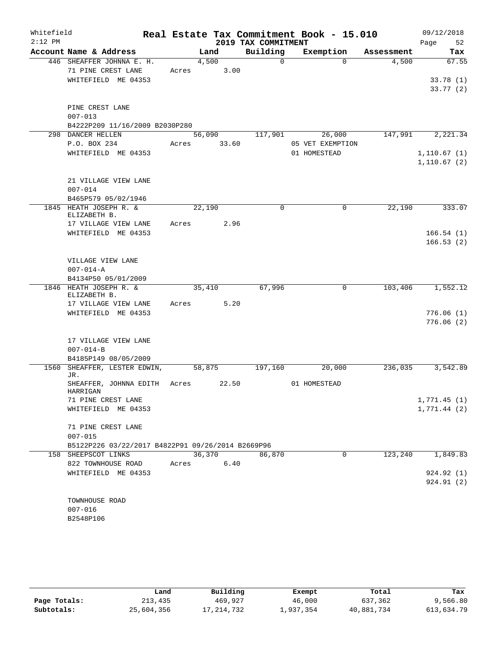| Whitefield |                                                   |       |        |       |                     | Real Estate Tax Commitment Book - 15.010 |            | 09/12/2018   |
|------------|---------------------------------------------------|-------|--------|-------|---------------------|------------------------------------------|------------|--------------|
| $2:12$ PM  |                                                   |       |        |       | 2019 TAX COMMITMENT |                                          |            | Page<br>52   |
|            | Account Name & Address                            |       | Land   |       | Building            | Exemption                                | Assessment | Tax          |
|            | 446 SHEAFFER JOHNNA E. H.                         |       | 4,500  |       | $\Omega$            | $\Omega$                                 | 4,500      | 67.55        |
|            | 71 PINE CREST LANE                                | Acres |        | 3.00  |                     |                                          |            |              |
|            | WHITEFIELD ME 04353                               |       |        |       |                     |                                          |            | 33.78(1)     |
|            |                                                   |       |        |       |                     |                                          |            | 33.77(2)     |
|            | PINE CREST LANE                                   |       |        |       |                     |                                          |            |              |
|            | $007 - 013$                                       |       |        |       |                     |                                          |            |              |
|            | B4222P209 11/16/2009 B2030P280                    |       |        |       |                     |                                          |            |              |
|            | 298 DANCER HELLEN                                 |       | 56,090 |       | 117,901             | 26,000                                   | 147,991    | 2,221.34     |
|            | P.O. BOX 234                                      | Acres |        | 33.60 |                     | 05 VET EXEMPTION                         |            |              |
|            | WHITEFIELD ME 04353                               |       |        |       |                     | 01 HOMESTEAD                             |            | 1,110.67(1)  |
|            |                                                   |       |        |       |                     |                                          |            | 1, 110.67(2) |
|            |                                                   |       |        |       |                     |                                          |            |              |
|            | 21 VILLAGE VIEW LANE                              |       |        |       |                     |                                          |            |              |
|            | $007 - 014$                                       |       |        |       |                     |                                          |            |              |
| 1845       | B465P579 05/02/1946<br>HEATH JOSEPH R. &          |       | 22,190 |       | 0                   | 0                                        | 22,190     | 333.07       |
|            | ELIZABETH B.                                      |       |        |       |                     |                                          |            |              |
|            | 17 VILLAGE VIEW LANE                              | Acres |        | 2.96  |                     |                                          |            |              |
|            | WHITEFIELD ME 04353                               |       |        |       |                     |                                          |            | 166.54(1)    |
|            |                                                   |       |        |       |                     |                                          |            | 166.53(2)    |
|            |                                                   |       |        |       |                     |                                          |            |              |
|            | VILLAGE VIEW LANE                                 |       |        |       |                     |                                          |            |              |
|            | $007 - 014 - A$                                   |       |        |       |                     |                                          |            |              |
|            | B4134P50 05/01/2009<br>1846 HEATH JOSEPH R. &     |       |        |       | 67,996              | 0                                        | 103,406    | 1,552.12     |
|            | ELIZABETH B.                                      |       | 35,410 |       |                     |                                          |            |              |
|            | 17 VILLAGE VIEW LANE                              | Acres |        | 5.20  |                     |                                          |            |              |
|            | WHITEFIELD ME 04353                               |       |        |       |                     |                                          |            | 776.06(1)    |
|            |                                                   |       |        |       |                     |                                          |            | 776.06(2)    |
|            |                                                   |       |        |       |                     |                                          |            |              |
|            | 17 VILLAGE VIEW LANE                              |       |        |       |                     |                                          |            |              |
|            | $007 - 014 - B$                                   |       |        |       |                     |                                          |            |              |
| 1560       | B4185P149 08/05/2009<br>SHEAFFER, LESTER EDWIN,   |       | 58,875 |       | 197,160             | 20,000                                   | 236,035    | 3,542.89     |
|            | JR.                                               |       |        |       |                     |                                          |            |              |
|            | SHEAFFER, JOHNNA EDITH                            | Acres |        | 22.50 |                     | 01 HOMESTEAD                             |            |              |
|            | HARRIGAN                                          |       |        |       |                     |                                          |            |              |
|            | 71 PINE CREST LANE                                |       |        |       |                     |                                          |            | 1,771.45(1)  |
|            | WHITEFIELD ME 04353                               |       |        |       |                     |                                          |            | 1,771.44(2)  |
|            | 71 PINE CREST LANE                                |       |        |       |                     |                                          |            |              |
|            | $007 - 015$                                       |       |        |       |                     |                                          |            |              |
|            | B5122P226 03/22/2017 B4822P91 09/26/2014 B2669P96 |       |        |       |                     |                                          |            |              |
|            | 158 SHEEPSCOT LINKS                               |       | 36,370 |       | 86,870              | $\mathbf 0$                              | 123,240    | 1,849.83     |
|            | 822 TOWNHOUSE ROAD                                | Acres |        | 6.40  |                     |                                          |            |              |
|            | WHITEFIELD ME 04353                               |       |        |       |                     |                                          |            | 924.92 (1)   |
|            |                                                   |       |        |       |                     |                                          |            | 924.91 (2)   |
|            |                                                   |       |        |       |                     |                                          |            |              |
|            | TOWNHOUSE ROAD                                    |       |        |       |                     |                                          |            |              |
|            | $007 - 016$                                       |       |        |       |                     |                                          |            |              |
|            | B2548P106                                         |       |        |       |                     |                                          |            |              |

|              | Land       | Building   | Exempt    | Total      | Tax        |
|--------------|------------|------------|-----------|------------|------------|
| Page Totals: | 213,435    | 469,927    | 46,000    | 637,362    | 9,566.80   |
| Subtotals:   | 25,604,356 | 17,214,732 | 1,937,354 | 40,881,734 | 613,634.79 |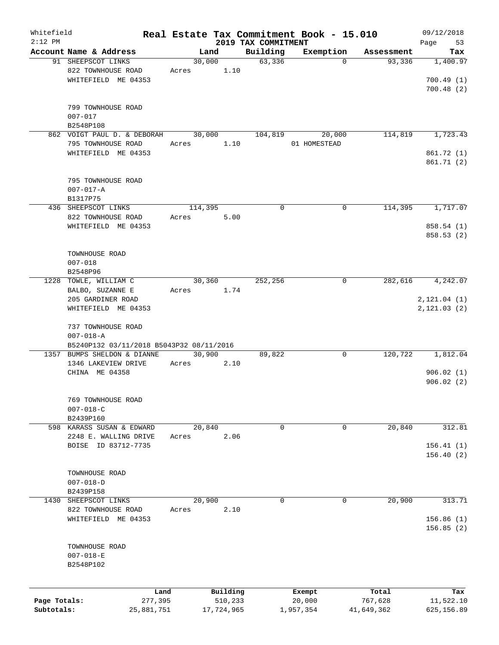| Whitefield<br>$2:12$ PM |                                          |            |         |            |                                 | Real Estate Tax Commitment Book - 15.010 |            | 09/12/2018        |
|-------------------------|------------------------------------------|------------|---------|------------|---------------------------------|------------------------------------------|------------|-------------------|
|                         | Account Name & Address                   |            | Land    |            | 2019 TAX COMMITMENT<br>Building | Exemption                                | Assessment | 53<br>Page<br>Tax |
|                         | 91 SHEEPSCOT LINKS                       |            | 30,000  |            | 63,336                          | $\mathbf 0$                              | 93,336     | 1,400.97          |
|                         | 822 TOWNHOUSE ROAD                       |            | Acres   | 1.10       |                                 |                                          |            |                   |
|                         |                                          |            |         |            |                                 |                                          |            |                   |
|                         | WHITEFIELD ME 04353                      |            |         |            |                                 |                                          |            | 700.49(1)         |
|                         |                                          |            |         |            |                                 |                                          |            | 700.48(2)         |
|                         |                                          |            |         |            |                                 |                                          |            |                   |
|                         | 799 TOWNHOUSE ROAD                       |            |         |            |                                 |                                          |            |                   |
|                         | $007 - 017$                              |            |         |            |                                 |                                          |            |                   |
|                         | B2548P108                                |            |         |            |                                 |                                          |            | 1,723.43          |
|                         | 862 VOIGT PAUL D. & DEBORAH              |            | 30,000  |            | 104,819                         | 20,000                                   | 114,819    |                   |
|                         | 795 TOWNHOUSE ROAD                       |            | Acres   | 1.10       |                                 | 01 HOMESTEAD                             |            |                   |
|                         | WHITEFIELD ME 04353                      |            |         |            |                                 |                                          |            | 861.72 (1)        |
|                         |                                          |            |         |            |                                 |                                          |            | 861.71 (2)        |
|                         |                                          |            |         |            |                                 |                                          |            |                   |
|                         | 795 TOWNHOUSE ROAD                       |            |         |            |                                 |                                          |            |                   |
|                         | $007 - 017 - A$                          |            |         |            |                                 |                                          |            |                   |
|                         | B1317P75                                 |            |         |            |                                 |                                          |            |                   |
|                         | 436 SHEEPSCOT LINKS                      |            | 114,395 |            | $\mathbf 0$                     | 0                                        | 114,395    | 1,717.07          |
|                         | 822 TOWNHOUSE ROAD                       |            | Acres   | 5.00       |                                 |                                          |            |                   |
|                         | WHITEFIELD ME 04353                      |            |         |            |                                 |                                          |            | 858.54 (1)        |
|                         |                                          |            |         |            |                                 |                                          |            | 858.53(2)         |
|                         |                                          |            |         |            |                                 |                                          |            |                   |
|                         | TOWNHOUSE ROAD                           |            |         |            |                                 |                                          |            |                   |
|                         | $007 - 018$                              |            |         |            |                                 |                                          |            |                   |
|                         | B2548P96                                 |            |         |            |                                 |                                          |            |                   |
| 1228                    | TOWLE, WILLIAM C                         |            | 30,360  |            | 252,256                         | 0                                        | 282,616    | 4,242.07          |
|                         | BALBO, SUZANNE E                         |            | Acres   | 1.74       |                                 |                                          |            |                   |
|                         | 205 GARDINER ROAD                        |            |         |            |                                 |                                          |            | 2, 121.04 (1)     |
|                         | WHITEFIELD ME 04353                      |            |         |            |                                 |                                          |            | 2, 121.03(2)      |
|                         |                                          |            |         |            |                                 |                                          |            |                   |
|                         | 737 TOWNHOUSE ROAD                       |            |         |            |                                 |                                          |            |                   |
|                         | $007 - 018 - A$                          |            |         |            |                                 |                                          |            |                   |
|                         | B5240P132 03/11/2018 B5043P32 08/11/2016 |            |         |            |                                 |                                          |            |                   |
|                         | 1357 BUMPS SHELDON & DIANNE              |            | 30,900  |            | 89,822                          | 0                                        | 120,722    | 1,812.04          |
|                         | 1346 LAKEVIEW DRIVE                      | Acres      |         | 2.10       |                                 |                                          |            |                   |
|                         | CHINA ME 04358                           |            |         |            |                                 |                                          |            | 906.02(1)         |
|                         |                                          |            |         |            |                                 |                                          |            | 906.02(2)         |
|                         |                                          |            |         |            |                                 |                                          |            |                   |
|                         | 769 TOWNHOUSE ROAD                       |            |         |            |                                 |                                          |            |                   |
|                         | $007 - 018 - C$                          |            |         |            |                                 |                                          |            |                   |
|                         | B2439P160                                |            |         |            |                                 |                                          |            |                   |
|                         | 598 KARASS SUSAN & EDWARD                |            | 20,840  |            | 0                               | 0                                        | 20,840     | 312.81            |
|                         | 2248 E. WALLING DRIVE                    |            | Acres   | 2.06       |                                 |                                          |            |                   |
|                         | BOISE ID 83712-7735                      |            |         |            |                                 |                                          |            | 156.41(1)         |
|                         |                                          |            |         |            |                                 |                                          |            | 156.40(2)         |
|                         |                                          |            |         |            |                                 |                                          |            |                   |
|                         | TOWNHOUSE ROAD                           |            |         |            |                                 |                                          |            |                   |
|                         | $007 - 018 - D$                          |            |         |            |                                 |                                          |            |                   |
|                         | B2439P158                                |            |         |            |                                 |                                          |            |                   |
| 1430                    | SHEEPSCOT LINKS                          |            | 20,900  |            | 0                               | 0                                        | 20,900     | 313.71            |
|                         | 822 TOWNHOUSE ROAD                       |            | Acres   | 2.10       |                                 |                                          |            |                   |
|                         | WHITEFIELD ME 04353                      |            |         |            |                                 |                                          |            | 156.86(1)         |
|                         |                                          |            |         |            |                                 |                                          |            |                   |
|                         |                                          |            |         |            |                                 |                                          |            | 156.85(2)         |
|                         |                                          |            |         |            |                                 |                                          |            |                   |
|                         | TOWNHOUSE ROAD                           |            |         |            |                                 |                                          |            |                   |
|                         | $007 - 018 - E$                          |            |         |            |                                 |                                          |            |                   |
|                         | B2548P102                                |            |         |            |                                 |                                          |            |                   |
|                         |                                          |            |         |            |                                 |                                          |            |                   |
|                         |                                          | Land       |         | Building   |                                 | Exempt                                   | Total      | Tax               |
| Page Totals:            |                                          | 277,395    |         | 510,233    |                                 | 20,000                                   | 767,628    | 11,522.10         |
| Subtotals:              |                                          | 25,881,751 |         | 17,724,965 |                                 | 1,957,354                                | 41,649,362 | 625,156.89        |
|                         |                                          |            |         |            |                                 |                                          |            |                   |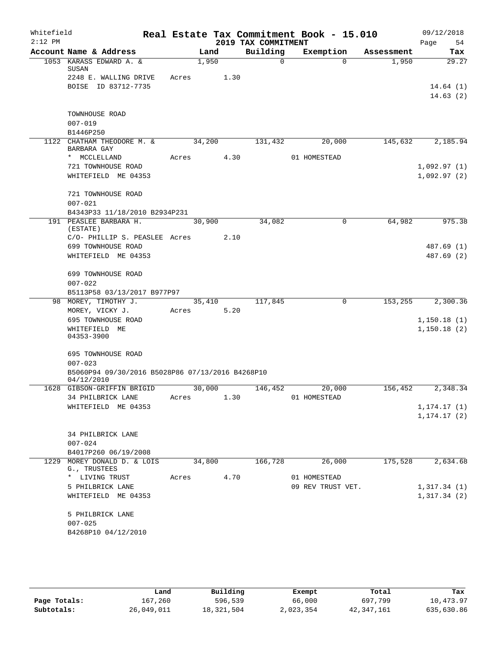| Whitefield<br>$2:12$ PM |                                                                |       |        | 2019 TAX COMMITMENT | Real Estate Tax Commitment Book - 15.010 |            | 09/12/2018<br>Page<br>54 |
|-------------------------|----------------------------------------------------------------|-------|--------|---------------------|------------------------------------------|------------|--------------------------|
|                         | Account Name & Address                                         |       | Land   | Building            | Exemption                                | Assessment | Tax                      |
|                         | 1053 KARASS EDWARD A. &                                        |       | 1,950  | $\Omega$            | $\Omega$                                 | 1,950      | 29.27                    |
|                         | SUSAN<br>2248 E. WALLING DRIVE                                 | Acres | 1.30   |                     |                                          |            |                          |
|                         | BOISE ID 83712-7735                                            |       |        |                     |                                          |            | 14.64(1)                 |
|                         |                                                                |       |        |                     |                                          |            | 14.63(2)                 |
|                         |                                                                |       |        |                     |                                          |            |                          |
|                         | TOWNHOUSE ROAD                                                 |       |        |                     |                                          |            |                          |
|                         | $007 - 019$                                                    |       |        |                     |                                          |            |                          |
|                         | B1446P250                                                      |       |        |                     |                                          |            |                          |
|                         | 1122 CHATHAM THEODORE M. &<br>BARBARA GAY                      |       | 34,200 | 131,432             | 20,000                                   | 145,632    | 2,185.94                 |
|                         | * MCCLELLAND                                                   | Acres | 4.30   |                     | 01 HOMESTEAD                             |            |                          |
|                         | 721 TOWNHOUSE ROAD                                             |       |        |                     |                                          |            | 1,092.97(1)              |
|                         | WHITEFIELD ME 04353                                            |       |        |                     |                                          |            | 1,092.97(2)              |
|                         | 721 TOWNHOUSE ROAD                                             |       |        |                     |                                          |            |                          |
|                         | $007 - 021$                                                    |       |        |                     |                                          |            |                          |
|                         | B4343P33 11/18/2010 B2934P231                                  |       |        |                     |                                          |            |                          |
|                         | 191 PEASLEE BARBARA H.                                         |       | 30,900 | 34,082              | 0                                        | 64,982     | 975.38                   |
|                         | (ESTATE)                                                       |       |        |                     |                                          |            |                          |
|                         | C/O- PHILLIP S. PEASLEE Acres                                  |       | 2.10   |                     |                                          |            |                          |
|                         | 699 TOWNHOUSE ROAD<br>WHITEFIELD ME 04353                      |       |        |                     |                                          |            | 487.69 (1)<br>487.69 (2) |
|                         |                                                                |       |        |                     |                                          |            |                          |
|                         | 699 TOWNHOUSE ROAD                                             |       |        |                     |                                          |            |                          |
|                         | $007 - 022$                                                    |       |        |                     |                                          |            |                          |
|                         | B5113P58 03/13/2017 B977P97                                    |       |        |                     |                                          |            |                          |
|                         | 98 MOREY, TIMOTHY J.                                           |       | 35,410 | 117,845             | $\mathbf 0$                              | 153,255    | 2,300.36                 |
|                         | MOREY, VICKY J.                                                | Acres | 5.20   |                     |                                          |            |                          |
|                         | 695 TOWNHOUSE ROAD<br>WHITEFIELD ME                            |       |        |                     |                                          |            | 1,150.18(1)              |
|                         | 04353-3900                                                     |       |        |                     |                                          |            | 1,150.18(2)              |
|                         |                                                                |       |        |                     |                                          |            |                          |
|                         | 695 TOWNHOUSE ROAD                                             |       |        |                     |                                          |            |                          |
|                         | $007 - 023$                                                    |       |        |                     |                                          |            |                          |
|                         | B5060P94 09/30/2016 B5028P86 07/13/2016 B4268P10<br>04/12/2010 |       |        |                     |                                          |            |                          |
|                         | 1628 GIBSON-GRIFFIN BRIGID                                     |       | 30,000 | 146,452             | 20,000                                   | 156,452    | 2,348.34                 |
|                         | 34 PHILBRICK LANE                                              | Acres | 1.30   |                     | 01 HOMESTEAD                             |            |                          |
|                         | WHITEFIELD ME 04353                                            |       |        |                     |                                          |            | 1, 174.17(1)             |
|                         |                                                                |       |        |                     |                                          |            | 1, 174.17(2)             |
|                         | 34 PHILBRICK LANE                                              |       |        |                     |                                          |            |                          |
|                         | $007 - 024$                                                    |       |        |                     |                                          |            |                          |
|                         | B4017P260 06/19/2008                                           |       |        |                     |                                          |            |                          |
|                         | 1229 MOREY DONALD D. & LOIS                                    |       | 34,800 | 166,728             | 26,000                                   | 175,528    | 2,634.68                 |
|                         | G., TRUSTEES                                                   |       |        |                     |                                          |            |                          |
|                         | * LIVING TRUST<br>5 PHILBRICK LANE                             | Acres | 4.70   |                     | 01 HOMESTEAD<br>09 REV TRUST VET.        |            | 1,317.34(1)              |
|                         | WHITEFIELD ME 04353                                            |       |        |                     |                                          |            | 1,317.34(2)              |
|                         |                                                                |       |        |                     |                                          |            |                          |
|                         | 5 PHILBRICK LANE                                               |       |        |                     |                                          |            |                          |
|                         | $007 - 025$                                                    |       |        |                     |                                          |            |                          |
|                         | B4268P10 04/12/2010                                            |       |        |                     |                                          |            |                          |
|                         |                                                                |       |        |                     |                                          |            |                          |

|              | Land       | Building   | Exempt    | Total      | Tax        |
|--------------|------------|------------|-----------|------------|------------|
| Page Totals: | 167,260    | 596,539    | 66,000    | 697,799    | 10,473.97  |
| Subtotals:   | 26,049,011 | 18,321,504 | 2,023,354 | 42,347,161 | 635,630.86 |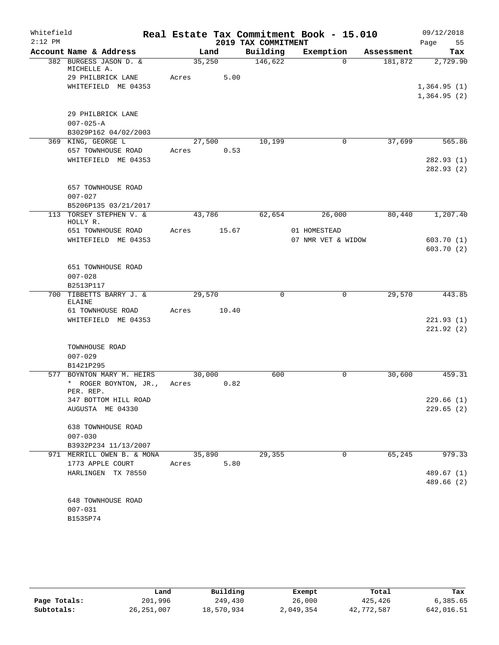| Whitefield |                                                              |       |        |                     | Real Estate Tax Commitment Book - 15.010 |            | 09/12/2018                 |
|------------|--------------------------------------------------------------|-------|--------|---------------------|------------------------------------------|------------|----------------------------|
| $2:12$ PM  |                                                              |       |        | 2019 TAX COMMITMENT |                                          |            | Page<br>55                 |
|            | Account Name & Address                                       |       | Land   | Building            | Exemption                                | Assessment | Tax                        |
|            | 382 BURGESS JASON D. &<br>MICHELLE A.                        |       | 35,250 | 146,622             | $\Omega$                                 | 181,872    | 2,729.90                   |
|            | 29 PHILBRICK LANE<br>WHITEFIELD ME 04353                     | Acres | 5.00   |                     |                                          |            | 1,364.95(1)<br>1,364.95(2) |
|            | 29 PHILBRICK LANE<br>$007 - 025 - A$<br>B3029P162 04/02/2003 |       |        |                     |                                          |            |                            |
|            | 369 KING, GEORGE L                                           |       | 27,500 | 10,199              | $\mathbf{0}$                             | 37,699     | 565.86                     |
|            | 657 TOWNHOUSE ROAD                                           | Acres | 0.53   |                     |                                          |            |                            |
|            | WHITEFIELD ME 04353                                          |       |        |                     |                                          |            | 282.93(1)<br>282.93(2)     |
|            | 657 TOWNHOUSE ROAD<br>$007 - 027$                            |       |        |                     |                                          |            |                            |
|            | B5206P135 03/21/2017<br>113 TORSEY STEPHEN V. &              |       | 43,786 | 62,654              | 26,000                                   | 80,440     | 1,207.40                   |
|            | HOLLY R.<br>651 TOWNHOUSE ROAD                               | Acres | 15.67  |                     | 01 HOMESTEAD                             |            |                            |
|            | WHITEFIELD ME 04353                                          |       |        |                     | 07 NMR VET & WIDOW                       |            | 603.70(1)                  |
|            |                                                              |       |        |                     |                                          |            | 603.70(2)                  |
|            | 651 TOWNHOUSE ROAD<br>$007 - 028$                            |       |        |                     |                                          |            |                            |
| 700        | B2513P117<br>TIBBETTS BARRY J. &                             |       | 29,570 | 0                   | 0                                        | 29,570     | 443.85                     |
|            | ELAINE                                                       |       |        |                     |                                          |            |                            |
|            | 61 TOWNHOUSE ROAD                                            | Acres | 10.40  |                     |                                          |            |                            |
|            | WHITEFIELD ME 04353                                          |       |        |                     |                                          |            | 221.93(1)                  |
|            |                                                              |       |        |                     |                                          |            | 221.92(2)                  |
|            | TOWNHOUSE ROAD                                               |       |        |                     |                                          |            |                            |
|            | $007 - 029$                                                  |       |        |                     |                                          |            |                            |
|            | B1421P295                                                    |       |        |                     |                                          |            |                            |
|            | 577 BOYNTON MARY M. HEIRS                                    |       | 30,000 | 600                 | 0                                        | 30,600     | 459.31                     |
|            | * ROGER BOYNTON, JR.,<br>PER. REP.                           | Acres | 0.82   |                     |                                          |            |                            |
|            | 347 BOTTOM HILL ROAD                                         |       |        |                     |                                          |            | 229.66(1)                  |
|            | AUGUSTA ME 04330                                             |       |        |                     |                                          |            | 229.65(2)                  |
|            | 638 TOWNHOUSE ROAD                                           |       |        |                     |                                          |            |                            |
|            | $007 - 030$                                                  |       |        |                     |                                          |            |                            |
|            | B3932P234 11/13/2007<br>971 MERRILL OWEN B. & MONA           |       | 35,890 | 29,355              | $\mathbf{0}$                             | 65,245     | 979.33                     |
|            | 1773 APPLE COURT                                             | Acres | 5.80   |                     |                                          |            |                            |
|            | HARLINGEN TX 78550                                           |       |        |                     |                                          |            | 489.67 (1)                 |
|            |                                                              |       |        |                     |                                          |            | 489.66 (2)                 |
|            | 648 TOWNHOUSE ROAD                                           |       |        |                     |                                          |            |                            |
|            | $007 - 031$                                                  |       |        |                     |                                          |            |                            |
|            | B1535P74                                                     |       |        |                     |                                          |            |                            |

|              | Land         | Building   | Exempt    | Total      | Tax        |
|--------------|--------------|------------|-----------|------------|------------|
| Page Totals: | 201,996      | 249,430    | 26,000    | 425,426    | 6,385.65   |
| Subtotals:   | 26, 251, 007 | 18,570,934 | 2,049,354 | 42,772,587 | 642,016.51 |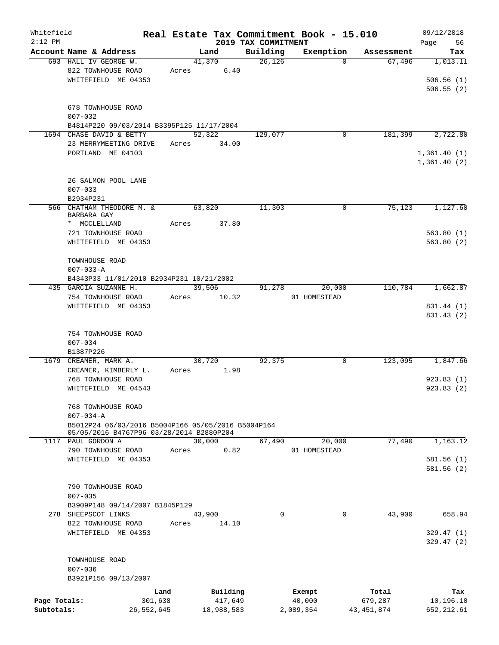| Whitefield<br>$2:12$ PM |                                                                   |            |            | 2019 TAX COMMITMENT | Real Estate Tax Commitment Book - 15.010 |              | 09/12/2018<br>56      |
|-------------------------|-------------------------------------------------------------------|------------|------------|---------------------|------------------------------------------|--------------|-----------------------|
|                         | Account Name & Address                                            |            | Land       | Building            | Exemption                                | Assessment   | Page<br>Tax           |
|                         | 693 HALL IV GEORGE W.                                             |            | 41,370     | 26,126              | $\Omega$                                 | 67,496       | 1,013.11              |
|                         | 822 TOWNHOUSE ROAD                                                | Acres      | 6.40       |                     |                                          |              |                       |
|                         | WHITEFIELD ME 04353                                               |            |            |                     |                                          |              | 506.56(1)             |
|                         |                                                                   |            |            |                     |                                          |              | 506.55(2)             |
|                         |                                                                   |            |            |                     |                                          |              |                       |
|                         | 678 TOWNHOUSE ROAD                                                |            |            |                     |                                          |              |                       |
|                         | $007 - 032$                                                       |            |            |                     |                                          |              |                       |
|                         | B4814P220 09/03/2014 B3395P125 11/17/2004                         |            |            |                     |                                          |              |                       |
|                         | 1694 CHASE DAVID & BETTY                                          |            | 52,322     | 129,077             | 0                                        | 181,399      | 2,722.80              |
|                         | 23 MERRYMEETING DRIVE                                             | Acres      | 34.00      |                     |                                          |              |                       |
|                         | PORTLAND ME 04103                                                 |            |            |                     |                                          |              | 1,361.40(1)           |
|                         |                                                                   |            |            |                     |                                          |              | 1,361.40(2)           |
|                         | 26 SALMON POOL LANE                                               |            |            |                     |                                          |              |                       |
|                         | $007 - 033$                                                       |            |            |                     |                                          |              |                       |
|                         | B2934P231                                                         |            |            |                     |                                          |              |                       |
|                         | 566 CHATHAM THEODORE M. &                                         |            | 63,820     | 11,303              | 0                                        | 75,123       | 1,127.60              |
|                         | BARBARA GAY                                                       |            |            |                     |                                          |              |                       |
|                         | * MCCLELLAND                                                      | Acres      | 37.80      |                     |                                          |              |                       |
|                         | 721 TOWNHOUSE ROAD                                                |            |            |                     |                                          |              | 563.80(1)             |
|                         | WHITEFIELD ME 04353                                               |            |            |                     |                                          |              | 563.80(2)             |
|                         |                                                                   |            |            |                     |                                          |              |                       |
|                         | TOWNHOUSE ROAD                                                    |            |            |                     |                                          |              |                       |
|                         | $007 - 033 - A$                                                   |            |            |                     |                                          |              |                       |
|                         | B4343P33 11/01/2010 B2934P231 10/21/2002<br>435 GARCIA SUZANNE H. |            | 39,506     | 91,278              | 20,000                                   | 110,784      | $1,662.\overline{87}$ |
|                         | 754 TOWNHOUSE ROAD                                                | Acres      | 10.32      |                     | 01 HOMESTEAD                             |              |                       |
|                         | WHITEFIELD ME 04353                                               |            |            |                     |                                          |              | 831.44 (1)            |
|                         |                                                                   |            |            |                     |                                          |              | 831.43 (2)            |
|                         |                                                                   |            |            |                     |                                          |              |                       |
|                         | 754 TOWNHOUSE ROAD                                                |            |            |                     |                                          |              |                       |
|                         | $007 - 034$                                                       |            |            |                     |                                          |              |                       |
|                         | B1387P226                                                         |            |            |                     |                                          |              |                       |
|                         | 1679 CREAMER, MARK A.                                             |            | 30,720     | 92,375              | 0                                        | 123,095      | 1,847.66              |
|                         | CREAMER, KIMBERLY L.                                              | Acres      | 1.98       |                     |                                          |              |                       |
|                         | 768 TOWNHOUSE ROAD                                                |            |            |                     |                                          |              | 923.83(1)             |
|                         | WHITEFIELD ME 04543                                               |            |            |                     |                                          |              | 923.83(2)             |
|                         |                                                                   |            |            |                     |                                          |              |                       |
|                         | 768 TOWNHOUSE ROAD<br>$007 - 034 - A$                             |            |            |                     |                                          |              |                       |
|                         | B5012P24 06/03/2016 B5004P166 05/05/2016 B5004P164                |            |            |                     |                                          |              |                       |
|                         | 05/05/2016 B4767P96 03/28/2014 B2880P204                          |            |            |                     |                                          |              |                       |
| 1117                    | PAUL GORDON A                                                     |            | 30,000     | 67,490              | 20,000                                   | 77,490       | 1,163.12              |
|                         | 790 TOWNHOUSE ROAD                                                | Acres      | 0.82       |                     | 01 HOMESTEAD                             |              |                       |
|                         | WHITEFIELD ME 04353                                               |            |            |                     |                                          |              | 581.56(1)             |
|                         |                                                                   |            |            |                     |                                          |              | 581.56(2)             |
|                         |                                                                   |            |            |                     |                                          |              |                       |
|                         | 790 TOWNHOUSE ROAD                                                |            |            |                     |                                          |              |                       |
|                         | $007 - 035$<br>B3909P148 09/14/2007 B1845P129                     |            |            |                     |                                          |              |                       |
|                         | 278 SHEEPSCOT LINKS                                               |            | 43,900     | 0                   | 0                                        | 43,900       | 658.94                |
|                         | 822 TOWNHOUSE ROAD                                                | Acres      | 14.10      |                     |                                          |              |                       |
|                         | WHITEFIELD ME 04353                                               |            |            |                     |                                          |              | 329.47(1)             |
|                         |                                                                   |            |            |                     |                                          |              | 329.47(2)             |
|                         |                                                                   |            |            |                     |                                          |              |                       |
|                         | TOWNHOUSE ROAD                                                    |            |            |                     |                                          |              |                       |
|                         | $007 - 036$                                                       |            |            |                     |                                          |              |                       |
|                         | B3921P156 09/13/2007                                              |            |            |                     |                                          |              |                       |
|                         |                                                                   | Land       | Building   |                     | Exempt                                   | Total        | Tax                   |
| Page Totals:            |                                                                   | 301,638    | 417,649    |                     | 40,000                                   | 679,287      | 10,196.10             |
| Subtotals:              |                                                                   | 26,552,645 | 18,988,583 |                     | 2,089,354                                | 43, 451, 874 | 652, 212.61           |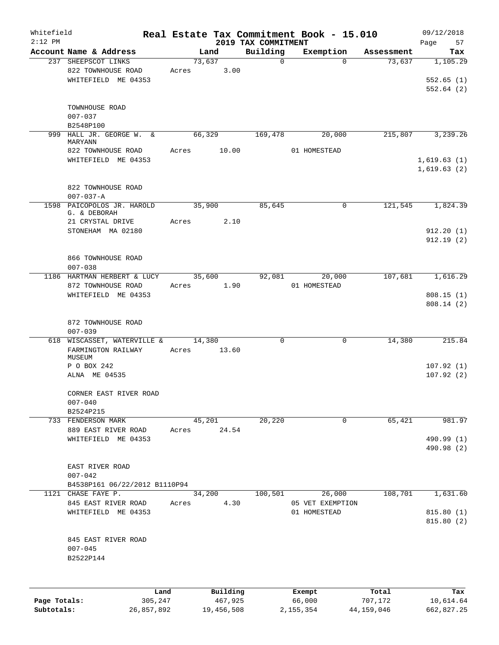| Whitefield<br>$2:12$ PM |                               |            |       |        |            | Real Estate Tax Commitment Book - 15.010 |                  |              |            | 09/12/2018                 |
|-------------------------|-------------------------------|------------|-------|--------|------------|------------------------------------------|------------------|--------------|------------|----------------------------|
|                         | Account Name & Address        |            |       | Land   |            | 2019 TAX COMMITMENT<br>Building          | Exemption        |              | Assessment | Page<br>57<br>Tax          |
|                         | 237 SHEEPSCOT LINKS           |            |       | 73,637 |            | 0                                        |                  | $\Omega$     | 73,637     | 1,105.29                   |
|                         | 822 TOWNHOUSE ROAD            |            | Acres |        | 3.00       |                                          |                  |              |            |                            |
|                         | WHITEFIELD ME 04353           |            |       |        |            |                                          |                  |              |            | 552.65(1)                  |
|                         |                               |            |       |        |            |                                          |                  |              |            | 552.64(2)                  |
|                         |                               |            |       |        |            |                                          |                  |              |            |                            |
|                         | TOWNHOUSE ROAD                |            |       |        |            |                                          |                  |              |            |                            |
|                         | $007 - 037$                   |            |       |        |            |                                          |                  |              |            |                            |
|                         | B2548P100                     |            |       |        |            |                                          |                  |              |            |                            |
|                         | 999 HALL JR. GEORGE W.        | &          |       | 66,329 |            | 169,478                                  |                  | 20,000       | 215,807    | 3,239.26                   |
|                         | MARYANN                       |            |       |        |            |                                          |                  |              |            |                            |
|                         | 822 TOWNHOUSE ROAD            |            | Acres |        | 10.00      |                                          | 01 HOMESTEAD     |              |            |                            |
|                         | WHITEFIELD ME 04353           |            |       |        |            |                                          |                  |              |            | 1,619.63(1)<br>1,619.63(2) |
|                         |                               |            |       |        |            |                                          |                  |              |            |                            |
|                         | 822 TOWNHOUSE ROAD            |            |       |        |            |                                          |                  |              |            |                            |
|                         | $007 - 037 - A$               |            |       |        |            |                                          |                  |              |            |                            |
|                         | 1598 PAICOPOLOS JR. HAROLD    |            |       | 35,900 |            | 85,645                                   |                  | 0            | 121,545    | 1,824.39                   |
|                         | G. & DEBORAH                  |            |       |        |            |                                          |                  |              |            |                            |
|                         | 21 CRYSTAL DRIVE              |            | Acres |        | 2.10       |                                          |                  |              |            |                            |
|                         | STONEHAM MA 02180             |            |       |        |            |                                          |                  |              |            | 912.20(1)                  |
|                         |                               |            |       |        |            |                                          |                  |              |            | 912.19(2)                  |
|                         |                               |            |       |        |            |                                          |                  |              |            |                            |
|                         | 866 TOWNHOUSE ROAD            |            |       |        |            |                                          |                  |              |            |                            |
|                         | $007 - 038$                   |            |       |        |            |                                          |                  |              |            |                            |
|                         | 1186 HARTMAN HERBERT & LUCY   |            |       | 35,600 |            | 92,081                                   |                  | 20,000       | 107,681    | 1,616.29                   |
|                         | 872 TOWNHOUSE ROAD            |            | Acres |        | 1.90       |                                          | 01 HOMESTEAD     |              |            |                            |
|                         | WHITEFIELD ME 04353           |            |       |        |            |                                          |                  |              |            | 808.15(1)                  |
|                         |                               |            |       |        |            |                                          |                  |              |            | 808.14(2)                  |
|                         |                               |            |       |        |            |                                          |                  |              |            |                            |
|                         | 872 TOWNHOUSE ROAD            |            |       |        |            |                                          |                  |              |            |                            |
|                         | $007 - 039$                   |            |       |        |            |                                          |                  |              |            |                            |
| 618                     | WISCASSET, WATERVILLE &       |            | Acres | 14,380 |            | 0                                        |                  | $\mathsf{O}$ | 14,380     | 215.84                     |
|                         | FARMINGTON RAILWAY<br>MUSEUM  |            |       |        | 13.60      |                                          |                  |              |            |                            |
|                         | P O BOX 242                   |            |       |        |            |                                          |                  |              |            | 107.92(1)                  |
|                         | ALNA ME 04535                 |            |       |        |            |                                          |                  |              |            | 107.92(2)                  |
|                         |                               |            |       |        |            |                                          |                  |              |            |                            |
|                         | CORNER EAST RIVER ROAD        |            |       |        |            |                                          |                  |              |            |                            |
|                         | $007 - 040$                   |            |       |        |            |                                          |                  |              |            |                            |
|                         | B2524P215                     |            |       |        |            |                                          |                  |              |            |                            |
|                         | 733 FENDERSON MARK            |            |       | 45,201 |            | 20,220                                   |                  | $\mathbf 0$  | 65,421     | 981.97                     |
|                         | 889 EAST RIVER ROAD           |            | Acres |        | 24.54      |                                          |                  |              |            |                            |
|                         | WHITEFIELD ME 04353           |            |       |        |            |                                          |                  |              |            | 490.99 (1)                 |
|                         |                               |            |       |        |            |                                          |                  |              |            | 490.98 (2)                 |
|                         |                               |            |       |        |            |                                          |                  |              |            |                            |
|                         | EAST RIVER ROAD               |            |       |        |            |                                          |                  |              |            |                            |
|                         | $007 - 042$                   |            |       |        |            |                                          |                  |              |            |                            |
|                         | B4538P161 06/22/2012 B1110P94 |            |       |        |            |                                          |                  |              |            |                            |
|                         | 1121 CHASE FAYE P.            |            |       | 34,200 |            | 100,501                                  |                  | 26,000       | 108,701    | 1,631.60                   |
|                         | 845 EAST RIVER ROAD           |            | Acres |        | 4.30       |                                          | 05 VET EXEMPTION |              |            |                            |
|                         | WHITEFIELD ME 04353           |            |       |        |            |                                          | 01 HOMESTEAD     |              |            | 815.80(1)<br>815.80 (2)    |
|                         |                               |            |       |        |            |                                          |                  |              |            |                            |
|                         | 845 EAST RIVER ROAD           |            |       |        |            |                                          |                  |              |            |                            |
|                         | $007 - 045$                   |            |       |        |            |                                          |                  |              |            |                            |
|                         | B2522P144                     |            |       |        |            |                                          |                  |              |            |                            |
|                         |                               |            |       |        |            |                                          |                  |              |            |                            |
|                         |                               |            |       |        |            |                                          |                  |              |            |                            |
|                         |                               | Land       |       |        | Building   |                                          | Exempt           |              | Total      | Tax                        |
| Page Totals:            |                               | 305,247    |       |        | 467,925    |                                          | 66,000           |              | 707,172    | 10,614.64                  |
| Subtotals:              |                               | 26,857,892 |       |        | 19,456,508 |                                          | 2,155,354        |              | 44,159,046 | 662,827.25                 |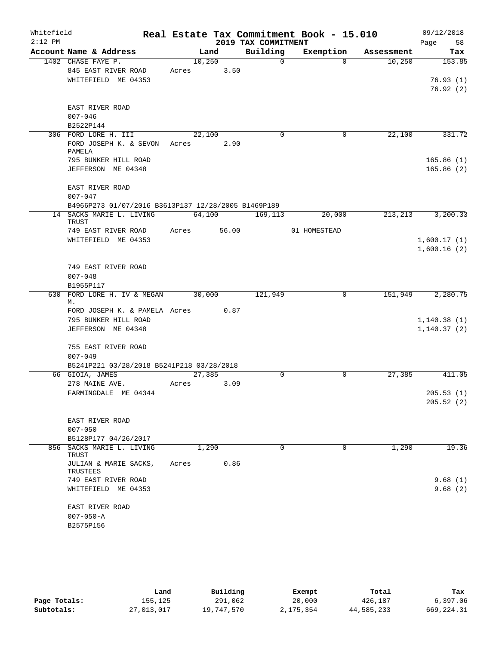| Whitefield |                                                     |       |        |                     | Real Estate Tax Commitment Book - 15.010 |            | 09/12/2018             |
|------------|-----------------------------------------------------|-------|--------|---------------------|------------------------------------------|------------|------------------------|
| $2:12$ PM  |                                                     |       |        | 2019 TAX COMMITMENT |                                          |            | 58<br>Page             |
|            | Account Name & Address                              |       | Land   | Building            | Exemption                                | Assessment | Tax                    |
|            | 1402 CHASE FAYE P.                                  |       | 10,250 | $\Omega$            | $\Omega$                                 | 10,250     | 153.85                 |
|            | 845 EAST RIVER ROAD                                 | Acres | 3.50   |                     |                                          |            |                        |
|            | WHITEFIELD ME 04353                                 |       |        |                     |                                          |            | 76.93(1)<br>76.92(2)   |
|            |                                                     |       |        |                     |                                          |            |                        |
|            | EAST RIVER ROAD                                     |       |        |                     |                                          |            |                        |
|            | $007 - 046$                                         |       |        |                     |                                          |            |                        |
|            | B2522P144                                           |       |        |                     |                                          |            |                        |
|            | 306 FORD LORE H. III                                |       | 22,100 | $\mathbf 0$         | 0                                        | 22,100     | 331.72                 |
|            | FORD JOSEPH K. & SEVON                              | Acres | 2.90   |                     |                                          |            |                        |
|            | PAMELA                                              |       |        |                     |                                          |            |                        |
|            | 795 BUNKER HILL ROAD<br>JEFFERSON ME 04348          |       |        |                     |                                          |            | 165.86(1)<br>165.86(2) |
|            |                                                     |       |        |                     |                                          |            |                        |
|            | EAST RIVER ROAD                                     |       |        |                     |                                          |            |                        |
|            | $007 - 047$                                         |       |        |                     |                                          |            |                        |
|            | B4966P273 01/07/2016 B3613P137 12/28/2005 B1469P189 |       |        |                     |                                          |            |                        |
|            | 14 SACKS MARIE L. LIVING                            |       | 64,100 | 169,113             | 20,000                                   | 213, 213   | 3,200.33               |
|            | <b>TRUST</b>                                        |       |        |                     |                                          |            |                        |
|            | 749 EAST RIVER ROAD<br>WHITEFIELD ME 04353          | Acres | 56.00  |                     | 01 HOMESTEAD                             |            | 1,600.17(1)            |
|            |                                                     |       |        |                     |                                          |            | 1,600.16(2)            |
|            |                                                     |       |        |                     |                                          |            |                        |
|            | 749 EAST RIVER ROAD                                 |       |        |                     |                                          |            |                        |
|            | $007 - 048$                                         |       |        |                     |                                          |            |                        |
|            | B1955P117                                           |       |        |                     |                                          |            |                        |
| 630        | FORD LORE H. IV & MEGAN                             |       | 30,000 | 121,949             | 0                                        | 151,949    | 2,280.75               |
|            | М.<br>FORD JOSEPH K. & PAMELA Acres                 |       | 0.87   |                     |                                          |            |                        |
|            | 795 BUNKER HILL ROAD                                |       |        |                     |                                          |            | 1, 140.38(1)           |
|            | JEFFERSON ME 04348                                  |       |        |                     |                                          |            | 1, 140.37(2)           |
|            |                                                     |       |        |                     |                                          |            |                        |
|            | 755 EAST RIVER ROAD                                 |       |        |                     |                                          |            |                        |
|            | $007 - 049$                                         |       |        |                     |                                          |            |                        |
|            | B5241P221 03/28/2018 B5241P218 03/28/2018           |       |        |                     |                                          |            |                        |
|            | 66 GIOIA, JAMES                                     |       | 27,385 | $\Omega$            | $\Omega$                                 | 27,385     | 411.05                 |
|            | 278 MAINE AVE.                                      | Acres | 3.09   |                     |                                          |            |                        |
|            | FARMINGDALE ME 04344                                |       |        |                     |                                          |            | 205.53(1)<br>205.52(2) |
|            |                                                     |       |        |                     |                                          |            |                        |
|            | EAST RIVER ROAD                                     |       |        |                     |                                          |            |                        |
|            | $007 - 050$                                         |       |        |                     |                                          |            |                        |
|            | B5128P177 04/26/2017                                |       |        |                     |                                          |            |                        |
|            | 856 SACKS MARIE L. LIVING<br>TRUST                  |       | 1,290  | $\Omega$            | $\Omega$                                 | 1,290      | 19.36                  |
|            | JULIAN & MARIE SACKS,<br>TRUSTEES                   | Acres | 0.86   |                     |                                          |            |                        |
|            | 749 EAST RIVER ROAD                                 |       |        |                     |                                          |            | 9.68(1)                |
|            | WHITEFIELD ME 04353                                 |       |        |                     |                                          |            | 9.68(2)                |
|            |                                                     |       |        |                     |                                          |            |                        |
|            | EAST RIVER ROAD                                     |       |        |                     |                                          |            |                        |
|            | $007 - 050 - A$<br>B2575P156                        |       |        |                     |                                          |            |                        |
|            |                                                     |       |        |                     |                                          |            |                        |

|              | Land       | Building   | Exempt    | Total      | Tax         |
|--------------|------------|------------|-----------|------------|-------------|
| Page Totals: | 155,125    | 291,062    | 20,000    | 426,187    | 6,397.06    |
| Subtotals:   | 27,013,017 | 19,747,570 | 2,175,354 | 44,585,233 | 669, 224.31 |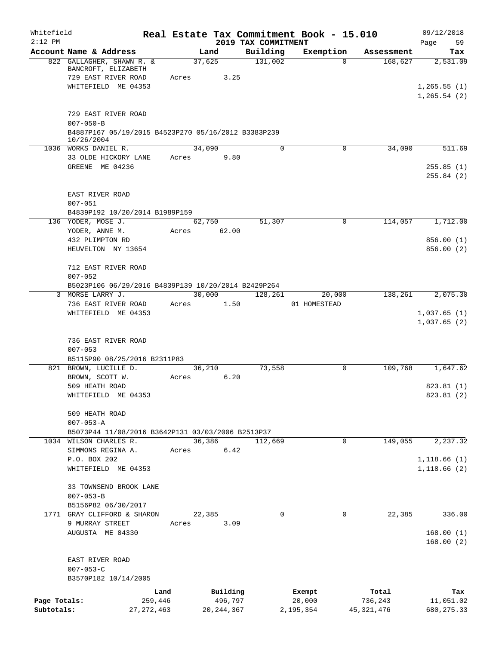| Whitefield<br>$2:12$ PM |                                                                                                             |       |                         | 2019 TAX COMMITMENT | Real Estate Tax Commitment Book - 15.010 |              | 09/12/2018<br>59<br>Page   |
|-------------------------|-------------------------------------------------------------------------------------------------------------|-------|-------------------------|---------------------|------------------------------------------|--------------|----------------------------|
|                         | Account Name & Address                                                                                      |       | Land                    | Building            | Exemption                                | Assessment   | Tax                        |
|                         | 822 GALLAGHER, SHAWN R. &<br>BANCROFT, ELIZABETH<br>729 EAST RIVER ROAD<br>WHITEFIELD ME 04353              |       | 37,625<br>3.25<br>Acres | 131,002             | $\Omega$                                 | 168,627      | 2,531.09<br>1, 265.55(1)   |
|                         | 729 EAST RIVER ROAD<br>$007 - 050 - B$<br>B4887P167 05/19/2015 B4523P270 05/16/2012 B3383P239<br>10/26/2004 |       |                         |                     |                                          |              | 1, 265.54(2)               |
|                         | 1036 WORKS DANIEL R.                                                                                        |       | 34,090                  | 0                   | 0                                        | 34,090       | 511.69                     |
|                         | 33 OLDE HICKORY LANE<br>GREENE ME 04236                                                                     |       | 9.80<br>Acres           |                     |                                          |              | 255.85(1)<br>255.84(2)     |
|                         | EAST RIVER ROAD<br>$007 - 051$<br>B4839P192 10/20/2014 B1989P159                                            |       |                         |                     |                                          |              |                            |
|                         | 136 YODER, MOSE J.                                                                                          |       | 62,750                  | 51,307              | 0                                        | 114,057      | 1,712.00                   |
|                         | YODER, ANNE M.                                                                                              |       | Acres 62.00             |                     |                                          |              |                            |
|                         | 432 PLIMPTON RD<br>HEUVELTON NY 13654                                                                       |       |                         |                     |                                          |              | 856.00(1)<br>856.00 (2)    |
|                         | 712 EAST RIVER ROAD<br>$007 - 052$                                                                          |       |                         |                     |                                          |              |                            |
| 3                       | B5023P106 06/29/2016 B4839P139 10/20/2014 B2429P264<br>MORSE LARRY J.                                       |       | 30,000                  | 128,261             | 20,000                                   | 138,261      | 2,075.30                   |
|                         | 736 EAST RIVER ROAD                                                                                         |       | Acres 1.50              |                     | 01 HOMESTEAD                             |              |                            |
|                         | WHITEFIELD ME 04353                                                                                         |       |                         |                     |                                          |              | 1,037.65(1)<br>1,037.65(2) |
|                         | 736 EAST RIVER ROAD<br>$007 - 053$                                                                          |       |                         |                     |                                          |              |                            |
|                         | B5115P90 08/25/2016 B2311P83<br>821 BROWN, LUCILLE D.                                                       |       | 36,210                  | 73,558              | 0                                        | 109,768      | 1,647.62                   |
|                         | BROWN, SCOTT W.                                                                                             | Acres | 6.20                    |                     |                                          |              |                            |
|                         | 509 HEATH ROAD                                                                                              |       |                         |                     |                                          |              | 823.81 (1)                 |
|                         | WHITEFIELD ME 04353                                                                                         |       |                         |                     |                                          |              | 823.81 (2)                 |
|                         | 509 HEATH ROAD<br>$007 - 053 - A$                                                                           |       |                         |                     |                                          |              |                            |
|                         | B5073P44 11/08/2016 B3642P131 03/03/2006 B2513P37<br>1034 WILSON CHARLES R.                                 |       | 36,386                  | 112,669             | 0                                        | 149,055      | 2,237.32                   |
|                         | SIMMONS REGINA A.                                                                                           | Acres | 6.42                    |                     |                                          |              |                            |
|                         | P.O. BOX 202                                                                                                |       |                         |                     |                                          |              | 1,118.66(1)                |
|                         | WHITEFIELD ME 04353                                                                                         |       |                         |                     |                                          |              | 1,118.66(2)                |
|                         | 33 TOWNSEND BROOK LANE<br>$007 - 053 - B$                                                                   |       |                         |                     |                                          |              |                            |
|                         | B5156P82 06/30/2017<br>1771 GRAY CLIFFORD & SHARON                                                          |       | 22,385                  | 0                   | 0                                        | 22,385       | 336.00                     |
|                         | 9 MURRAY STREET                                                                                             | Acres | 3.09                    |                     |                                          |              |                            |
|                         | AUGUSTA ME 04330                                                                                            |       |                         |                     |                                          |              | 168.00(1)<br>168.00(2)     |
|                         | EAST RIVER ROAD<br>$007 - 053 - C$<br>B3570P182 10/14/2005                                                  |       |                         |                     |                                          |              |                            |
|                         |                                                                                                             | Land  | Building                |                     | Exempt                                   | Total        | Tax                        |
| Page Totals:            | 259,446                                                                                                     |       | 496,797                 |                     | 20,000                                   | 736,243      | 11,051.02                  |
| Subtotals:              | 27, 272, 463                                                                                                |       | 20, 244, 367            |                     | 2,195,354                                | 45, 321, 476 | 680, 275.33                |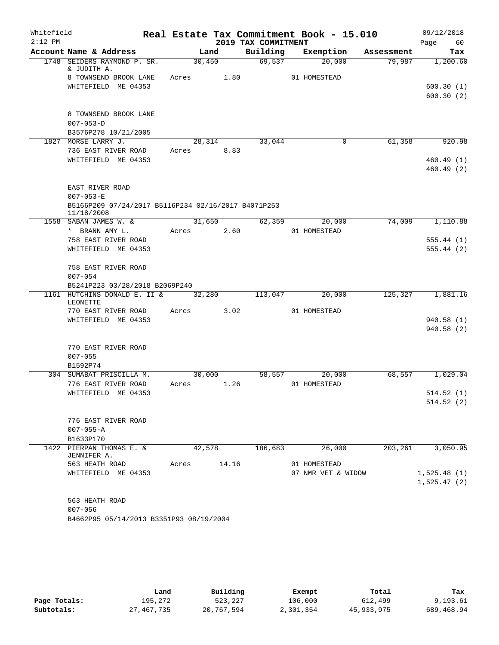| Whitefield |                                                                   |       |                |                     | Real Estate Tax Commitment Book - 15.010 |            | 09/12/2018  |
|------------|-------------------------------------------------------------------|-------|----------------|---------------------|------------------------------------------|------------|-------------|
| $2:12$ PM  |                                                                   |       |                | 2019 TAX COMMITMENT |                                          |            | Page<br>60  |
|            | Account Name & Address                                            |       | Land           | Building            | Exemption                                | Assessment | Tax         |
|            | 1748 SEIDERS RAYMOND P. SR.<br>& JUDITH A.                        |       | 30,450         | 69,537              | 20,000                                   | 79,987     | 1,200.60    |
|            | 8 TOWNSEND BROOK LANE                                             | Acres | 1.80           |                     | 01 HOMESTEAD                             |            |             |
|            | WHITEFIELD ME 04353                                               |       |                |                     |                                          |            | 600.30(1)   |
|            |                                                                   |       |                |                     |                                          |            | 600.30(2)   |
|            |                                                                   |       |                |                     |                                          |            |             |
|            | 8 TOWNSEND BROOK LANE                                             |       |                |                     |                                          |            |             |
|            | $007 - 053 - D$                                                   |       |                |                     |                                          |            |             |
|            | B3576P278 10/21/2005<br>1827 MORSE LARRY J.                       |       | 28,314         | 33,044              | $\overline{0}$                           | 61,358     | 920.98      |
|            | 736 EAST RIVER ROAD                                               | Acres | 8.83           |                     |                                          |            |             |
|            | WHITEFIELD ME 04353                                               |       |                |                     |                                          |            | 460.49(1)   |
|            |                                                                   |       |                |                     |                                          |            | 460.49(2)   |
|            |                                                                   |       |                |                     |                                          |            |             |
|            | EAST RIVER ROAD                                                   |       |                |                     |                                          |            |             |
|            | $007 - 053 - E$                                                   |       |                |                     |                                          |            |             |
|            | B5166P209 07/24/2017 B5116P234 02/16/2017 B4071P253<br>11/18/2008 |       |                |                     |                                          |            |             |
|            | 1558 SABAN JAMES W. &                                             |       | 31,650         | 62,359              | 20,000                                   | 74,009     | 1,110.88    |
|            | * BRANN AMY L.                                                    | Acres | 2.60           |                     | 01 HOMESTEAD                             |            |             |
|            | 758 EAST RIVER ROAD                                               |       |                |                     |                                          |            | 555.44(1)   |
|            | WHITEFIELD ME 04353                                               |       |                |                     |                                          |            | 555.44(2)   |
|            | 758 EAST RIVER ROAD                                               |       |                |                     |                                          |            |             |
|            | $007 - 054$                                                       |       |                |                     |                                          |            |             |
|            | B5241P223 03/28/2018 B2069P240                                    |       |                |                     |                                          |            |             |
| 1161       | HUTCHINS DONALD E. II &                                           |       | 32,280         | 113,047             | 20,000                                   | 125,327    | 1,881.16    |
|            | LEONETTE<br>770 EAST RIVER ROAD                                   | Acres | 3.02           |                     | 01 HOMESTEAD                             |            |             |
|            | WHITEFIELD ME 04353                                               |       |                |                     |                                          |            | 940.58(1)   |
|            |                                                                   |       |                |                     |                                          |            | 940.58 (2)  |
|            |                                                                   |       |                |                     |                                          |            |             |
|            | 770 EAST RIVER ROAD                                               |       |                |                     |                                          |            |             |
|            | $007 - 055$                                                       |       |                |                     |                                          |            |             |
|            | B1592P74                                                          |       |                |                     |                                          |            |             |
|            | 304 SUMABAT PRISCILLA M.<br>776 EAST RIVER ROAD                   | Acres | 30,000<br>1.26 | 58,557              | 20,000<br>01 HOMESTEAD                   | 68,557     | 1,029.04    |
|            | WHITEFIELD ME 04353                                               |       |                |                     |                                          |            | 514.52(1)   |
|            |                                                                   |       |                |                     |                                          |            | 514.52(2)   |
|            |                                                                   |       |                |                     |                                          |            |             |
|            | 776 EAST RIVER ROAD                                               |       |                |                     |                                          |            |             |
|            | $007 - 055 - A$                                                   |       |                |                     |                                          |            |             |
|            | B1633P170                                                         |       |                |                     |                                          |            |             |
|            | 1422 PIERPAN THOMAS E. &<br>JENNIFER A.                           |       | 42,578         | 186,683             | 26,000                                   | 203,261    | 3,050.95    |
|            | 563 HEATH ROAD                                                    | Acres | 14.16          |                     | 01 HOMESTEAD                             |            |             |
|            | WHITEFIELD ME 04353                                               |       |                |                     | 07 NMR VET & WIDOW                       |            | 1,525.48(1) |
|            |                                                                   |       |                |                     |                                          |            | 1,525.47(2) |
|            | 563 HEATH ROAD                                                    |       |                |                     |                                          |            |             |
|            | $007 - 056$                                                       |       |                |                     |                                          |            |             |
|            | B4662P95 05/14/2013 B3351P93 08/19/2004                           |       |                |                     |                                          |            |             |
|            |                                                                   |       |                |                     |                                          |            |             |

|              | Land         | Building   | Exempt    | Total      | Tax        |
|--------------|--------------|------------|-----------|------------|------------|
| Page Totals: | 195,272      | 523,227    | 106,000   | 612,499    | 9,193.61   |
| Subtotals:   | 27, 467, 735 | 20,767,594 | 2,301,354 | 45,933,975 | 689,468.94 |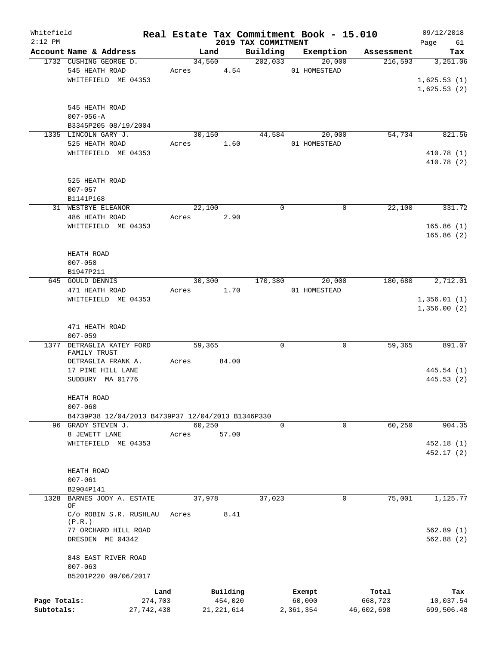| Whitefield   |                                                   |              |         |              |                                 | Real Estate Tax Commitment Book - 15.010 |                       | 09/12/2018        |
|--------------|---------------------------------------------------|--------------|---------|--------------|---------------------------------|------------------------------------------|-----------------------|-------------------|
| $2:12$ PM    | Account Name & Address                            |              | Land    |              | 2019 TAX COMMITMENT<br>Building | Exemption                                | Assessment            | Page<br>61<br>Tax |
|              | 1732 CUSHING GEORGE D.                            |              | 34,560  |              | 202,033                         | 20,000                                   | 216,593               | 3,251.06          |
|              | 545 HEATH ROAD                                    |              |         |              |                                 | 01 HOMESTEAD                             |                       |                   |
|              |                                                   |              |         | Acres 4.54   |                                 |                                          |                       |                   |
|              | WHITEFIELD ME 04353                               |              |         |              |                                 |                                          |                       | 1,625.53(1)       |
|              |                                                   |              |         |              |                                 |                                          |                       | 1,625.53(2)       |
|              |                                                   |              |         |              |                                 |                                          |                       |                   |
|              | 545 HEATH ROAD                                    |              |         |              |                                 |                                          |                       |                   |
|              | $007 - 056 - A$                                   |              |         |              |                                 |                                          |                       |                   |
|              | B3345P205 08/19/2004                              |              |         |              |                                 |                                          |                       |                   |
|              | 1335 LINCOLN GARY J.                              |              | 30,150  |              | 44,584                          | 20,000                                   | 54,734                | 821.56            |
|              | 525 HEATH ROAD                                    | Acres        |         | 1.60         |                                 | 01 HOMESTEAD                             |                       |                   |
|              | WHITEFIELD ME 04353                               |              |         |              |                                 |                                          |                       | 410.78 (1)        |
|              |                                                   |              |         |              |                                 |                                          |                       | 410.78 (2)        |
|              |                                                   |              |         |              |                                 |                                          |                       |                   |
|              | 525 HEATH ROAD                                    |              |         |              |                                 |                                          |                       |                   |
|              | $007 - 057$                                       |              |         |              |                                 |                                          |                       |                   |
|              | B1141P168                                         |              |         |              |                                 |                                          |                       |                   |
|              | 31 WESTBYE ELEANOR                                |              | 22,100  |              | $\mathbf 0$                     |                                          | $\mathbf 0$<br>22,100 | 331.72            |
|              | 486 HEATH ROAD                                    | Acres        |         | 2.90         |                                 |                                          |                       |                   |
|              | WHITEFIELD ME 04353                               |              |         |              |                                 |                                          |                       | 165.86(1)         |
|              |                                                   |              |         |              |                                 |                                          |                       | 165.86(2)         |
|              |                                                   |              |         |              |                                 |                                          |                       |                   |
|              | HEATH ROAD                                        |              |         |              |                                 |                                          |                       |                   |
|              | $007 - 058$                                       |              |         |              |                                 |                                          |                       |                   |
|              | B1947P211                                         |              |         |              |                                 |                                          |                       |                   |
|              | 645 GOULD DENNIS                                  |              | 30,300  |              | 170,380                         | 20,000                                   | 180,680               | 2,712.01          |
|              | 471 HEATH ROAD                                    |              | Acres   | 1.70         |                                 | 01 HOMESTEAD                             |                       |                   |
|              | WHITEFIELD ME 04353                               |              |         |              |                                 |                                          |                       | 1,356.01(1)       |
|              |                                                   |              |         |              |                                 |                                          |                       | 1,356.00(2)       |
|              |                                                   |              |         |              |                                 |                                          |                       |                   |
|              | 471 HEATH ROAD                                    |              |         |              |                                 |                                          |                       |                   |
|              | $007 - 059$                                       |              |         |              |                                 |                                          |                       |                   |
| 1377         | DETRAGLIA KATEY FORD                              |              | 59,365  |              | 0                               |                                          | 59,365<br>0           | 891.07            |
|              | FAMILY TRUST                                      |              |         |              |                                 |                                          |                       |                   |
|              | DETRAGLIA FRANK A.                                | Acres        |         | 84.00        |                                 |                                          |                       |                   |
|              | 17 PINE HILL LANE                                 |              |         |              |                                 |                                          |                       | 445.54 (1)        |
|              | SUDBURY MA 01776                                  |              |         |              |                                 |                                          |                       | 445.53 (2)        |
|              |                                                   |              |         |              |                                 |                                          |                       |                   |
|              | HEATH ROAD                                        |              |         |              |                                 |                                          |                       |                   |
|              | $007 - 060$                                       |              |         |              |                                 |                                          |                       |                   |
|              | B4739P38 12/04/2013 B4739P37 12/04/2013 B1346P330 |              |         |              |                                 |                                          |                       |                   |
|              | 96 GRADY STEVEN J.                                |              | 60, 250 |              | $\mathbf 0$                     |                                          | 60,250<br>0           | 904.35            |
|              | 8 JEWETT LANE                                     | Acres        |         | 57.00        |                                 |                                          |                       |                   |
|              | WHITEFIELD ME 04353                               |              |         |              |                                 |                                          |                       | 452.18 (1)        |
|              |                                                   |              |         |              |                                 |                                          |                       | 452.17 (2)        |
|              |                                                   |              |         |              |                                 |                                          |                       |                   |
|              |                                                   |              |         |              |                                 |                                          |                       |                   |
|              | HEATH ROAD                                        |              |         |              |                                 |                                          |                       |                   |
|              | $007 - 061$                                       |              |         |              |                                 |                                          |                       |                   |
|              | B2904P141                                         |              |         |              |                                 |                                          |                       |                   |
| 1328         | BARNES JODY A. ESTATE<br>ΟF                       |              | 37,978  |              | 37,023                          |                                          | 0<br>75,001           | 1,125.77          |
|              | C/o ROBIN S.R. RUSHLAU                            | Acres        |         | 8.41         |                                 |                                          |                       |                   |
|              | (P.R.)                                            |              |         |              |                                 |                                          |                       |                   |
|              | 77 ORCHARD HILL ROAD                              |              |         |              |                                 |                                          |                       | 562.89(1)         |
|              | DRESDEN ME 04342                                  |              |         |              |                                 |                                          |                       | 562.88(2)         |
|              |                                                   |              |         |              |                                 |                                          |                       |                   |
|              | 848 EAST RIVER ROAD                               |              |         |              |                                 |                                          |                       |                   |
|              | $007 - 063$                                       |              |         |              |                                 |                                          |                       |                   |
|              | B5201P220 09/06/2017                              |              |         |              |                                 |                                          |                       |                   |
|              |                                                   |              |         |              |                                 |                                          |                       |                   |
|              |                                                   | Land         |         | Building     |                                 | Exempt                                   | Total                 | Tax               |
| Page Totals: |                                                   | 274,703      |         | 454,020      |                                 | 60,000                                   | 668,723               | 10,037.54         |
| Subtotals:   |                                                   | 27, 742, 438 |         | 21, 221, 614 |                                 | 2,361,354                                | 46,602,698            | 699,506.48        |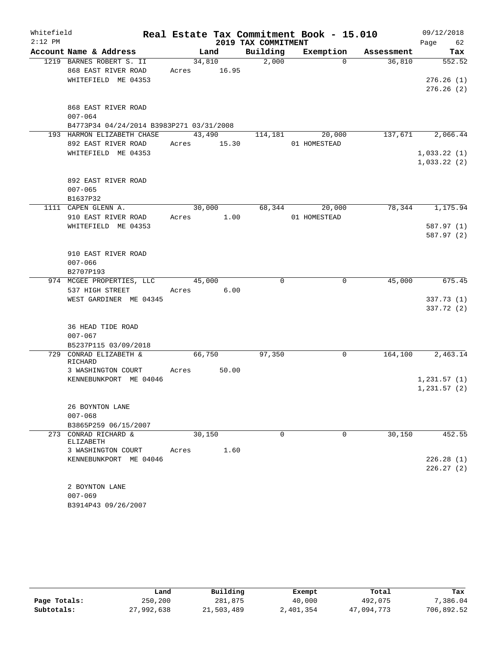| Whitefield |                                              |        |       |                     | Real Estate Tax Commitment Book - 15.010 |            | 09/12/2018   |
|------------|----------------------------------------------|--------|-------|---------------------|------------------------------------------|------------|--------------|
| $2:12$ PM  |                                              |        |       | 2019 TAX COMMITMENT |                                          |            | Page<br>62   |
|            | Account Name & Address                       |        | Land  | Building            | Exemption                                | Assessment | Tax          |
|            | 1219 BARNES ROBERT S. II                     | 34,810 |       | 2,000               | $\Omega$                                 | 36,810     | 552.52       |
|            | 868 EAST RIVER ROAD                          | Acres  | 16.95 |                     |                                          |            |              |
|            | WHITEFIELD ME 04353                          |        |       |                     |                                          |            | 276.26(1)    |
|            |                                              |        |       |                     |                                          |            | 276.26(2)    |
|            | 868 EAST RIVER ROAD                          |        |       |                     |                                          |            |              |
|            | $007 - 064$                                  |        |       |                     |                                          |            |              |
|            | B4773P34 04/24/2014 B3983P271 03/31/2008     |        |       |                     |                                          |            |              |
|            | 193 HARMON ELIZABETH CHASE                   | 43,490 |       | 114,181             | 20,000                                   | 137,671    | 2,066.44     |
|            | 892 EAST RIVER ROAD                          | Acres  | 15.30 |                     | 01 HOMESTEAD                             |            |              |
|            | WHITEFIELD ME 04353                          |        |       |                     |                                          |            | 1,033.22(1)  |
|            |                                              |        |       |                     |                                          |            | 1,033.22(2)  |
|            |                                              |        |       |                     |                                          |            |              |
|            | 892 EAST RIVER ROAD                          |        |       |                     |                                          |            |              |
|            | $007 - 065$<br>B1637P32                      |        |       |                     |                                          |            |              |
|            | 1111 CAPEN GLENN A.                          | 30,000 |       | 68,344              | 20,000                                   | 78,344     | 1,175.94     |
|            | 910 EAST RIVER ROAD                          | Acres  | 1.00  |                     | 01 HOMESTEAD                             |            |              |
|            | WHITEFIELD ME 04353                          |        |       |                     |                                          |            | 587.97(1)    |
|            |                                              |        |       |                     |                                          |            | 587.97 (2)   |
|            |                                              |        |       |                     |                                          |            |              |
|            | 910 EAST RIVER ROAD                          |        |       |                     |                                          |            |              |
|            | $007 - 066$                                  |        |       |                     |                                          |            |              |
|            | B2707P193                                    |        |       |                     |                                          |            |              |
|            | 974 MCGEE PROPERTIES, LLC<br>537 HIGH STREET | 45,000 |       | $\mathbf 0$         | $\mathsf{O}$                             | 45,000     | 675.45       |
|            | WEST GARDINER ME 04345                       | Acres  | 6.00  |                     |                                          |            | 337.73(1)    |
|            |                                              |        |       |                     |                                          |            | 337.72 (2)   |
|            |                                              |        |       |                     |                                          |            |              |
|            | 36 HEAD TIDE ROAD                            |        |       |                     |                                          |            |              |
|            | $007 - 067$                                  |        |       |                     |                                          |            |              |
|            | B5237P115 03/09/2018                         |        |       |                     |                                          |            |              |
| 729        | CONRAD ELIZABETH &                           | 66,750 |       | 97,350              | 0                                        | 164,100    | 2,463.14     |
|            | RICHARD<br>3 WASHINGTON COURT                | Acres  | 50.00 |                     |                                          |            |              |
|            | KENNEBUNKPORT ME 04046                       |        |       |                     |                                          |            | 1,231.57(1)  |
|            |                                              |        |       |                     |                                          |            | 1, 231.57(2) |
|            |                                              |        |       |                     |                                          |            |              |
|            | 26 BOYNTON LANE                              |        |       |                     |                                          |            |              |
|            | $007 - 068$                                  |        |       |                     |                                          |            |              |
|            | B3865P259 06/15/2007                         |        |       |                     |                                          |            |              |
|            | 273 CONRAD RICHARD &<br><b>ELIZABETH</b>     | 30,150 |       | $\Omega$            | $\Omega$                                 | 30,150     | 452.55       |
|            | 3 WASHINGTON COURT                           | Acres  | 1.60  |                     |                                          |            |              |
|            | KENNEBUNKPORT ME 04046                       |        |       |                     |                                          |            | 226.28(1)    |
|            |                                              |        |       |                     |                                          |            | 226.27(2)    |
|            |                                              |        |       |                     |                                          |            |              |
|            | 2 BOYNTON LANE                               |        |       |                     |                                          |            |              |
|            | $007 - 069$                                  |        |       |                     |                                          |            |              |
|            | B3914P43 09/26/2007                          |        |       |                     |                                          |            |              |

|              | Land       | Building   | Exempt    | Total      | Tax        |
|--------------|------------|------------|-----------|------------|------------|
| Page Totals: | 250,200    | 281,875    | 40,000    | 492,075    | 7,386.04   |
| Subtotals:   | 27,992,638 | 21,503,489 | 2,401,354 | 47,094,773 | 706,892.52 |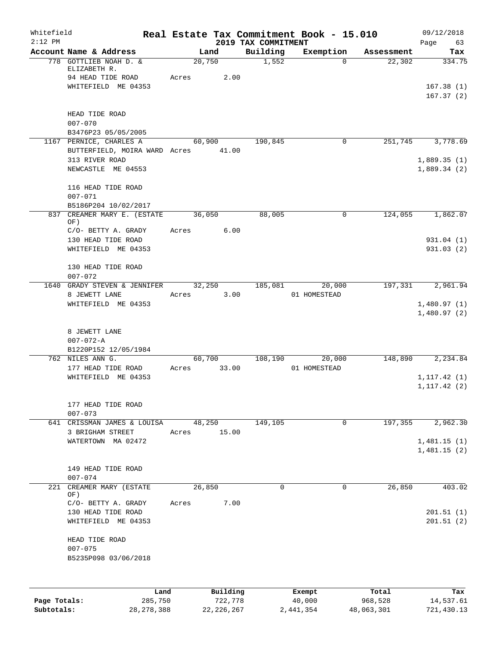| Whitefield<br>$2:12$ PM    |                                                                                    |                 |                         |                                 | Real Estate Tax Commitment Book - 15.010 |                       | 09/12/2018                   |
|----------------------------|------------------------------------------------------------------------------------|-----------------|-------------------------|---------------------------------|------------------------------------------|-----------------------|------------------------------|
|                            | Account Name & Address                                                             |                 | Land                    | 2019 TAX COMMITMENT<br>Building | Exemption                                | Assessment            | Page<br>63<br>Tax            |
|                            | 778 GOTTLIEB NOAH D. &<br>ELIZABETH R.<br>94 HEAD TIDE ROAD<br>WHITEFIELD ME 04353 | 20,750<br>Acres | 2.00                    | 1,552                           | $\Omega$                                 | 22,302                | 334.75<br>167.38(1)          |
|                            | HEAD TIDE ROAD                                                                     |                 |                         |                                 |                                          |                       | 167.37(2)                    |
|                            | $007 - 070$<br>B3476P23 05/05/2005                                                 |                 |                         |                                 |                                          |                       |                              |
|                            | 1167 PERNICE, CHARLES A<br>BUTTERFIELD, MOIRA WARD Acres 41.00                     |                 | 60,900                  | 190,845                         | 0                                        | 251,745               | 3,778.69                     |
|                            | 313 RIVER ROAD<br>NEWCASTLE ME 04553                                               |                 |                         |                                 |                                          |                       | 1,889.35(1)<br>1,889.34(2)   |
|                            | 116 HEAD TIDE ROAD<br>$007 - 071$<br>B5186P204 10/02/2017                          |                 |                         |                                 |                                          |                       |                              |
|                            | 837 CREAMER MARY E. (ESTATE<br>OF)                                                 |                 | 36,050                  | 88,005                          | 0                                        | 124,055               | 1,862.07                     |
|                            | C/O- BETTY A. GRADY<br>130 HEAD TIDE ROAD<br>WHITEFIELD ME 04353                   | Acres           | 6.00                    |                                 |                                          |                       | 931.04 (1)<br>931.03(2)      |
|                            | 130 HEAD TIDE ROAD<br>$007 - 072$                                                  |                 |                         |                                 |                                          |                       |                              |
|                            | 1640 GRADY STEVEN & JENNIFER<br>8 JEWETT LANE                                      | Acres           | 32,250<br>3.00          | 185,081                         | 20,000<br>01 HOMESTEAD                   | 197,331               | 2,961.94                     |
|                            | WHITEFIELD ME 04353                                                                |                 |                         |                                 |                                          |                       | 1,480.97(1)<br>1,480.97(2)   |
|                            | 8 JEWETT LANE<br>$007 - 072 - A$<br>B1220P152 12/05/1984                           |                 |                         |                                 |                                          |                       |                              |
|                            | 762 NILES ANN G.<br>177 HEAD TIDE ROAD                                             | Acres           | 60,700<br>33.00         | 108,190                         | 20,000<br>01 HOMESTEAD                   | 148,890               | 2,234.84                     |
|                            | WHITEFIELD ME 04353                                                                |                 |                         |                                 |                                          |                       | 1, 117.42(1)<br>1, 117.42(2) |
|                            | 177 HEAD TIDE ROAD<br>$007 - 073$                                                  |                 |                         |                                 |                                          | 197,355               |                              |
|                            | 641 CRISSMAN JAMES & LOUISA<br>3 BRIGHAM STREET<br>WATERTOWN MA 02472              | Acres           | 48,250<br>15.00         | 149,105                         | 0                                        |                       | 2,962.30<br>1,481.15(1)      |
|                            |                                                                                    |                 |                         |                                 |                                          |                       | 1,481.15(2)                  |
|                            | 149 HEAD TIDE ROAD<br>$007 - 074$                                                  |                 |                         |                                 |                                          |                       |                              |
| 221                        | CREAMER MARY (ESTATE<br>OF)<br>C/O- BETTY A. GRADY                                 | 26,850<br>Acres | 7.00                    | 0                               | $\mathbf 0$                              | 26,850                | 403.02                       |
|                            | 130 HEAD TIDE ROAD<br>WHITEFIELD ME 04353                                          |                 |                         |                                 |                                          |                       | 201.51(1)<br>201.51(2)       |
|                            | HEAD TIDE ROAD<br>$007 - 075$<br>B5235P098 03/06/2018                              |                 |                         |                                 |                                          |                       |                              |
|                            |                                                                                    | Land            | Building                |                                 | Exempt                                   | Total                 | Tax                          |
| Page Totals:<br>Subtotals: | 285,750<br>28, 278, 388                                                            |                 | 722,778<br>22, 226, 267 |                                 | 40,000<br>2,441,354                      | 968,528<br>48,063,301 | 14,537.61<br>721,430.13      |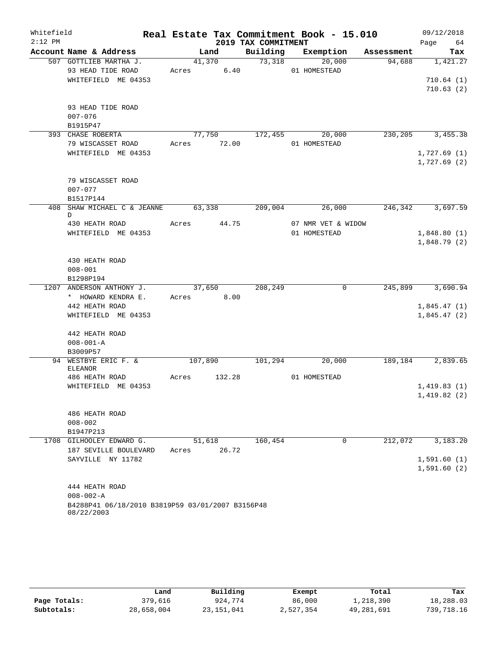| Whitefield |                                                  |       |             |                     | Real Estate Tax Commitment Book - 15.010 |         | 09/12/2018          |     |
|------------|--------------------------------------------------|-------|-------------|---------------------|------------------------------------------|---------|---------------------|-----|
| $2:12$ PM  |                                                  |       |             | 2019 TAX COMMITMENT |                                          |         | Page 64             |     |
|            | Account Name & Address                           |       | Land        |                     | Building Exemption Assessment            |         |                     | Tax |
|            | 507 GOTTLIEB MARTHA J.                           |       | 41,370      | 73,318              | 20,000                                   | 94,688  | 1,421.27            |     |
|            | 93 HEAD TIDE ROAD                                |       | Acres 6.40  |                     | 01 HOMESTEAD                             |         |                     |     |
|            | WHITEFIELD ME 04353                              |       |             |                     |                                          |         | 710.64(1)           |     |
|            |                                                  |       |             |                     |                                          |         | 710.63(2)           |     |
|            | 93 HEAD TIDE ROAD                                |       |             |                     |                                          |         |                     |     |
|            | $007 - 076$                                      |       |             |                     |                                          |         |                     |     |
|            | B1915P47                                         |       |             |                     |                                          |         |                     |     |
|            | 393 CHASE ROBERTA                                |       |             |                     | 77,750 172,455 20,000                    | 230,205 | 3,455.38            |     |
|            | 79 WISCASSET ROAD                                |       | Acres 72.00 |                     | 01 HOMESTEAD                             |         |                     |     |
|            | WHITEFIELD ME 04353                              |       |             |                     |                                          |         | 1,727.69(1)         |     |
|            |                                                  |       |             |                     |                                          |         | 1,727.69(2)         |     |
|            |                                                  |       |             |                     |                                          |         |                     |     |
|            | 79 WISCASSET ROAD                                |       |             |                     |                                          |         |                     |     |
|            | $007 - 077$                                      |       |             |                     |                                          |         |                     |     |
|            | B1517P144                                        |       |             |                     |                                          |         |                     |     |
| 408        | SHAW MICHAEL C & JEANNE 63,338                   |       |             | 209,004             | 26,000                                   | 246,342 | 3,697.59            |     |
|            | D<br>430 HEATH ROAD                              |       | Acres 44.75 |                     | 07 NMR VET & WIDOW                       |         |                     |     |
|            | WHITEFIELD ME 04353                              |       |             |                     | 01 HOMESTEAD                             |         | 1,848.80(1)         |     |
|            |                                                  |       |             |                     |                                          |         | 1,848.79(2)         |     |
|            |                                                  |       |             |                     |                                          |         |                     |     |
|            | 430 HEATH ROAD                                   |       |             |                     |                                          |         |                     |     |
|            | $008 - 001$                                      |       |             |                     |                                          |         |                     |     |
|            | B1298P194                                        |       |             |                     |                                          |         |                     |     |
|            | 1207 ANDERSON ANTHONY J.                         |       |             | 37,650 208,249      | $\overline{0}$                           |         | 245,899 3,690.94    |     |
|            | * HOWARD KENDRA E.                               |       | Acres 8.00  |                     |                                          |         |                     |     |
|            | 442 HEATH ROAD                                   |       |             |                     |                                          |         | 1,845.47(1)         |     |
|            | WHITEFIELD ME 04353                              |       |             |                     |                                          |         | 1,845.47(2)         |     |
|            |                                                  |       |             |                     |                                          |         |                     |     |
|            | 442 HEATH ROAD<br>$008 - 001 - A$                |       |             |                     |                                          |         |                     |     |
|            | B3009P57                                         |       |             |                     |                                          |         |                     |     |
|            | 94 WESTBYE ERIC F. &                             |       | 107,890     | 101,294             | 20,000                                   |         | 189, 184 2, 839. 65 |     |
|            | ELEANOR                                          |       |             |                     |                                          |         |                     |     |
|            | 486 HEATH ROAD                                   | Acres | 132.28      |                     | 01 HOMESTEAD                             |         |                     |     |
|            | WHITEFIELD ME 04353                              |       |             |                     |                                          |         | 1,419.83(1)         |     |
|            |                                                  |       |             |                     |                                          |         | 1,419.82(2)         |     |
|            |                                                  |       |             |                     |                                          |         |                     |     |
|            | 486 HEATH ROAD                                   |       |             |                     |                                          |         |                     |     |
|            | $008 - 002$<br>B1947P213                         |       |             |                     |                                          |         |                     |     |
|            | 1708 GILHOOLEY EDWARD G.                         |       | 51,618      | 160,454             | $\Omega$                                 | 212,072 | 3,183.20            |     |
|            | 187 SEVILLE BOULEVARD                            | Acres | 26.72       |                     |                                          |         |                     |     |
|            | SAYVILLE NY 11782                                |       |             |                     |                                          |         | 1,591.60(1)         |     |
|            |                                                  |       |             |                     |                                          |         | 1,591.60(2)         |     |
|            |                                                  |       |             |                     |                                          |         |                     |     |
|            | 444 HEATH ROAD                                   |       |             |                     |                                          |         |                     |     |
|            | $008 - 002 - A$                                  |       |             |                     |                                          |         |                     |     |
|            | B4288P41 06/18/2010 B3819P59 03/01/2007 B3156P48 |       |             |                     |                                          |         |                     |     |
|            | 08/22/2003                                       |       |             |                     |                                          |         |                     |     |

|              | Land       | Building     | Exempt    | Total      | Tax        |
|--------------|------------|--------------|-----------|------------|------------|
| Page Totals: | 379,616    | 924,774      | 86,000    | 1,218,390  | 18,288.03  |
| Subtotals:   | 28,658,004 | 23, 151, 041 | 2,527,354 | 49,281,691 | 739,718.16 |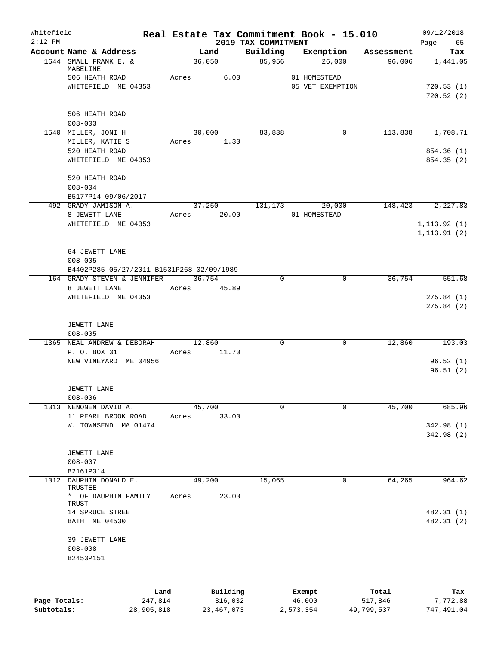| $2:12$ PM    |                                           |       |             |          | 2019 TAX COMMITMENT | Real Estate Tax Commitment Book - 15.010 |            | Page<br>65       |
|--------------|-------------------------------------------|-------|-------------|----------|---------------------|------------------------------------------|------------|------------------|
|              | Account Name & Address                    |       | Land        |          | Building            | Exemption                                | Assessment | Tax              |
|              | 1644 SMALL FRANK E. &                     |       | 36,050      |          | 85,956              | 26,000                                   | 96,006     | 1,441.05         |
|              | MABELINE                                  |       | Acres 6.00  |          |                     |                                          |            |                  |
|              | 506 HEATH ROAD<br>WHITEFIELD ME 04353     |       |             |          |                     | 01 HOMESTEAD<br>05 VET EXEMPTION         |            | 720.53(1)        |
|              |                                           |       |             |          |                     |                                          |            | 720.52(2)        |
|              |                                           |       |             |          |                     |                                          |            |                  |
|              | 506 HEATH ROAD                            |       |             |          |                     |                                          |            |                  |
|              | $008 - 003$                               |       |             |          |                     |                                          |            |                  |
|              | 1540 MILLER, JONI H                       |       | 30,000      |          | 83,838              | $\mathbf 0$                              | 113,838    | 1,708.71         |
|              | MILLER, KATIE S                           |       | Acres       | 1.30     |                     |                                          |            |                  |
|              | 520 HEATH ROAD                            |       |             |          |                     |                                          |            | 854.36 (1)       |
|              | WHITEFIELD ME 04353                       |       |             |          |                     |                                          |            | 854.35 (2)       |
|              |                                           |       |             |          |                     |                                          |            |                  |
|              | 520 HEATH ROAD                            |       |             |          |                     |                                          |            |                  |
|              | $008 - 004$                               |       |             |          |                     |                                          |            |                  |
|              | B5177P14 09/06/2017                       |       |             |          |                     |                                          |            |                  |
|              | 492 GRADY JAMISON A.                      |       |             |          | 37,250 131,173      | 20,000                                   |            | 148,423 2,227.83 |
|              | 8 JEWETT LANE                             |       | Acres 20.00 |          |                     | 01 HOMESTEAD                             |            |                  |
|              | WHITEFIELD ME 04353                       |       |             |          |                     |                                          |            | 1, 113.92(1)     |
|              |                                           |       |             |          |                     |                                          |            | 1, 113.91(2)     |
|              | 64 JEWETT LANE                            |       |             |          |                     |                                          |            |                  |
|              | $008 - 005$                               |       |             |          |                     |                                          |            |                  |
|              | B4402P285 05/27/2011 B1531P268 02/09/1989 |       |             |          |                     |                                          |            |                  |
|              | 164 GRADY STEVEN & JENNIFER               |       | 36,754      |          | 0                   | $\mathbf 0$                              | 36,754     | 551.68           |
|              | 8 JEWETT LANE                             |       | Acres       | 45.89    |                     |                                          |            |                  |
|              | WHITEFIELD ME 04353                       |       |             |          |                     |                                          |            | 275.84(1)        |
|              |                                           |       |             |          |                     |                                          |            | 275.84(2)        |
|              |                                           |       |             |          |                     |                                          |            |                  |
|              | JEWETT LANE                               |       |             |          |                     |                                          |            |                  |
|              | $008 - 005$                               |       |             |          |                     |                                          |            |                  |
|              | 1365 NEAL ANDREW & DEBORAH                |       | 12,860      |          | $\mathbf 0$         | $\mathbf 0$                              | 12,860     | 193.03           |
|              | P. O. BOX 31                              | Acres |             | 11.70    |                     |                                          |            |                  |
|              | NEW VINEYARD ME 04956                     |       |             |          |                     |                                          |            | 96.52(1)         |
|              |                                           |       |             |          |                     |                                          |            | 96.51(2)         |
|              |                                           |       |             |          |                     |                                          |            |                  |
|              | JEWETT LANE<br>$008 - 006$                |       |             |          |                     |                                          |            |                  |
| 1313         | NENONEN DAVID A.                          |       | 45,700      |          | 0                   | 0                                        | 45,700     | 685.96           |
|              | 11 PEARL BROOK ROAD                       | Acres |             | 33.00    |                     |                                          |            |                  |
|              | W. TOWNSEND MA 01474                      |       |             |          |                     |                                          |            | 342.98 (1)       |
|              |                                           |       |             |          |                     |                                          |            | 342.98 (2)       |
|              |                                           |       |             |          |                     |                                          |            |                  |
|              | JEWETT LANE                               |       |             |          |                     |                                          |            |                  |
|              | $008 - 007$                               |       |             |          |                     |                                          |            |                  |
|              | B2161P314                                 |       |             |          |                     |                                          |            |                  |
|              | 1012 DAUPHIN DONALD E.                    |       | 49,200      |          | 15,065              | 0                                        | 64,265     | 964.62           |
|              | TRUSTEE                                   |       |             |          |                     |                                          |            |                  |
|              | * OF DAUPHIN FAMILY                       | Acres |             | 23.00    |                     |                                          |            |                  |
|              | TRUST<br>14 SPRUCE STREET                 |       |             |          |                     |                                          |            | 482.31 (1)       |
|              | BATH ME 04530                             |       |             |          |                     |                                          |            | 482.31 (2)       |
|              |                                           |       |             |          |                     |                                          |            |                  |
|              | 39 JEWETT LANE                            |       |             |          |                     |                                          |            |                  |
|              | $008 - 008$                               |       |             |          |                     |                                          |            |                  |
|              | B2453P151                                 |       |             |          |                     |                                          |            |                  |
|              |                                           |       |             |          |                     |                                          |            |                  |
|              |                                           |       |             |          |                     |                                          |            |                  |
|              | Land                                      |       |             | Building |                     |                                          | Total      | Tax              |
| Page Totals: | 247,814                                   |       |             | 316,032  |                     | Exempt<br>46,000                         | 517,846    | 7,772.88         |
|              |                                           |       |             |          |                     |                                          |            |                  |

**Subtotals:** 28,905,818 23,467,073 2,573,354 49,799,537 747,491.04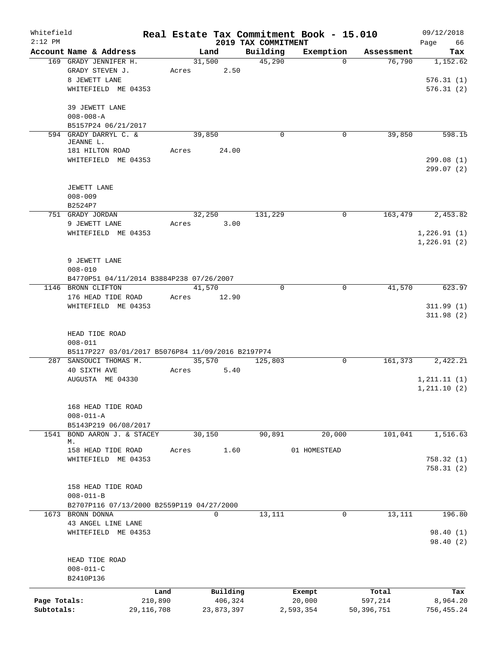| Whitefield   |                                                   |              |       |        |            |                                 | Real Estate Tax Commitment Book - 15.010 |            | 09/12/2018        |
|--------------|---------------------------------------------------|--------------|-------|--------|------------|---------------------------------|------------------------------------------|------------|-------------------|
| $2:12$ PM    | Account Name & Address                            |              |       | Land   |            | 2019 TAX COMMITMENT<br>Building | Exemption                                | Assessment | 66<br>Page<br>Tax |
|              | 169 GRADY JENNIFER H.                             |              |       | 31,500 |            | 45,290                          | $\Omega$                                 | 76,790     | 1,152.62          |
|              | GRADY STEVEN J.                                   |              | Acres |        | 2.50       |                                 |                                          |            |                   |
|              | 8 JEWETT LANE                                     |              |       |        |            |                                 |                                          |            | 576.31(1)         |
|              | WHITEFIELD ME 04353                               |              |       |        |            |                                 |                                          |            | 576.31(2)         |
|              | 39 JEWETT LANE                                    |              |       |        |            |                                 |                                          |            |                   |
|              | $008 - 008 - A$                                   |              |       |        |            |                                 |                                          |            |                   |
|              | B5157P24 06/21/2017                               |              |       |        |            |                                 |                                          |            |                   |
|              | 594 GRADY DARRYL C. &                             |              |       | 39,850 |            | $\mathbf 0$                     | 0                                        | 39,850     | 598.15            |
|              | JEANNE L.                                         |              |       |        |            |                                 |                                          |            |                   |
|              | 181 HILTON ROAD<br>WHITEFIELD ME 04353            |              | Acres |        | 24.00      |                                 |                                          |            | 299.08(1)         |
|              |                                                   |              |       |        |            |                                 |                                          |            | 299.07(2)         |
|              | JEWETT LANE                                       |              |       |        |            |                                 |                                          |            |                   |
|              | $008 - 009$                                       |              |       |        |            |                                 |                                          |            |                   |
|              | B2524P7                                           |              |       |        |            |                                 |                                          |            |                   |
|              | 751 GRADY JORDAN                                  |              |       | 32,250 |            | 131,229                         | 0                                        | 163,479    | 2,453.82          |
|              | 9 JEWETT LANE                                     |              | Acres |        | 3.00       |                                 |                                          |            |                   |
|              | WHITEFIELD ME 04353                               |              |       |        |            |                                 |                                          |            | 1,226.91(1)       |
|              |                                                   |              |       |        |            |                                 |                                          |            | 1,226.91(2)       |
|              |                                                   |              |       |        |            |                                 |                                          |            |                   |
|              | 9 JEWETT LANE                                     |              |       |        |            |                                 |                                          |            |                   |
|              | $008 - 010$                                       |              |       |        |            |                                 |                                          |            |                   |
|              | B4770P51 04/11/2014 B3884P238 07/26/2007          |              |       |        |            | $\Omega$                        | 0                                        |            |                   |
|              | 1146 BRONN CLIFTON<br>176 HEAD TIDE ROAD          |              | Acres | 41,570 | 12.90      |                                 |                                          | 41,570     | 623.97            |
|              | WHITEFIELD ME 04353                               |              |       |        |            |                                 |                                          |            | 311.99(1)         |
|              |                                                   |              |       |        |            |                                 |                                          |            | 311.98(2)         |
|              | HEAD TIDE ROAD                                    |              |       |        |            |                                 |                                          |            |                   |
|              | $008 - 011$                                       |              |       |        |            |                                 |                                          |            |                   |
|              | B5117P227 03/01/2017 B5076P84 11/09/2016 B2197P74 |              |       |        |            |                                 |                                          |            |                   |
|              | 287 SANSOUCI THOMAS M.                            |              |       | 35,570 |            | 125,803                         | $\mathbf 0$                              | 161, 373   | 2,422.21          |
|              | 40 SIXTH AVE                                      |              | Acres |        | 5.40       |                                 |                                          |            |                   |
|              | AUGUSTA ME 04330                                  |              |       |        |            |                                 |                                          |            | 1, 211.11(1)      |
|              |                                                   |              |       |        |            |                                 |                                          |            | 1, 211.10(2)      |
|              | 168 HEAD TIDE ROAD                                |              |       |        |            |                                 |                                          |            |                   |
|              | $008 - 011 - A$                                   |              |       |        |            |                                 |                                          |            |                   |
|              | B5143P219 06/08/2017                              |              |       |        |            |                                 |                                          |            |                   |
|              | 1541 BOND AARON J. & STACEY                       |              |       | 30,150 |            | 90,891                          | 20,000                                   | 101,041    | 1,516.63          |
|              | М.                                                |              |       |        |            |                                 |                                          |            |                   |
|              | 158 HEAD TIDE ROAD                                |              | Acres |        | 1.60       |                                 | 01 HOMESTEAD                             |            |                   |
|              | WHITEFIELD ME 04353                               |              |       |        |            |                                 |                                          |            | 758.32(1)         |
|              |                                                   |              |       |        |            |                                 |                                          |            | 758.31(2)         |
|              | 158 HEAD TIDE ROAD                                |              |       |        |            |                                 |                                          |            |                   |
|              | $008 - 011 - B$                                   |              |       |        |            |                                 |                                          |            |                   |
|              | B2707P116 07/13/2000 B2559P119 04/27/2000         |              |       |        |            |                                 |                                          |            |                   |
|              | 1673 BRONN DONNA                                  |              |       | 0      |            | 13,111                          | 0                                        | 13,111     | 196.80            |
|              | 43 ANGEL LINE LANE                                |              |       |        |            |                                 |                                          |            |                   |
|              | WHITEFIELD ME 04353                               |              |       |        |            |                                 |                                          |            | 98.40 (1)         |
|              |                                                   |              |       |        |            |                                 |                                          |            | 98.40(2)          |
|              | HEAD TIDE ROAD                                    |              |       |        |            |                                 |                                          |            |                   |
|              | $008 - 011 - C$                                   |              |       |        |            |                                 |                                          |            |                   |
|              | B2410P136                                         |              |       |        |            |                                 |                                          |            |                   |
|              |                                                   | Land         |       |        | Building   |                                 | Exempt                                   | Total      | Tax               |
| Page Totals: |                                                   | 210,890      |       |        | 406,324    |                                 | 20,000                                   | 597,214    | 8,964.20          |
| Subtotals:   |                                                   | 29, 116, 708 |       |        | 23,873,397 |                                 | 2,593,354                                | 50,396,751 | 756,455.24        |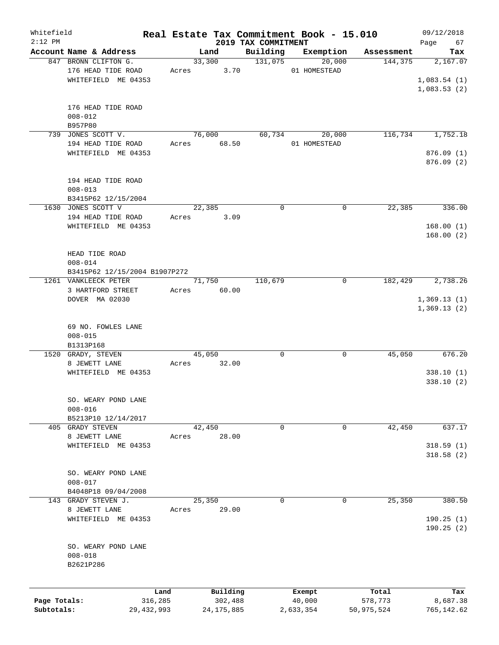| Whitefield<br>$2:12$ PM |                                    |            |        |            |                                 | Real Estate Tax Commitment Book - 15.010 |              | 09/12/2018        |
|-------------------------|------------------------------------|------------|--------|------------|---------------------------------|------------------------------------------|--------------|-------------------|
|                         | Account Name & Address             |            | Land   |            | 2019 TAX COMMITMENT<br>Building | Exemption                                | Assessment   | 67<br>Page<br>Tax |
|                         | 847 BRONN CLIFTON G.               |            | 33,300 |            | 131,075                         | 20,000                                   | 144,375      | 2,167.07          |
|                         | 176 HEAD TIDE ROAD                 | Acres      |        | 3.70       |                                 | 01 HOMESTEAD                             |              |                   |
|                         | WHITEFIELD ME 04353                |            |        |            |                                 |                                          |              | 1,083.54(1)       |
|                         |                                    |            |        |            |                                 |                                          |              | 1,083.53(2)       |
|                         |                                    |            |        |            |                                 |                                          |              |                   |
|                         | 176 HEAD TIDE ROAD                 |            |        |            |                                 |                                          |              |                   |
|                         | $008 - 012$                        |            |        |            |                                 |                                          |              |                   |
|                         | B957P80                            |            |        |            |                                 |                                          |              |                   |
|                         | 739 JONES SCOTT V.                 |            | 76,000 |            | 60,734                          | 20,000                                   | 116,734      | 1,752.18          |
|                         | 194 HEAD TIDE ROAD                 |            | Acres  | 68.50      |                                 | 01 HOMESTEAD                             |              |                   |
|                         | WHITEFIELD ME 04353                |            |        |            |                                 |                                          |              | 876.09(1)         |
|                         |                                    |            |        |            |                                 |                                          |              | 876.09 (2)        |
|                         |                                    |            |        |            |                                 |                                          |              |                   |
|                         | 194 HEAD TIDE ROAD                 |            |        |            |                                 |                                          |              |                   |
|                         | $008 - 013$                        |            |        |            |                                 |                                          |              |                   |
|                         | B3415P62 12/15/2004                |            |        |            |                                 |                                          |              |                   |
|                         | 1630 JONES SCOTT V                 |            | 22,385 |            | $\Omega$                        |                                          | 22,385<br>0  | 336.00            |
|                         | 194 HEAD TIDE ROAD                 | Acres      |        | 3.09       |                                 |                                          |              |                   |
|                         | WHITEFIELD ME 04353                |            |        |            |                                 |                                          |              | 168.00(1)         |
|                         |                                    |            |        |            |                                 |                                          |              | 168.00(2)         |
|                         | HEAD TIDE ROAD                     |            |        |            |                                 |                                          |              |                   |
|                         | $008 - 014$                        |            |        |            |                                 |                                          |              |                   |
|                         | B3415P62 12/15/2004 B1907P272      |            |        |            |                                 |                                          |              |                   |
|                         | 1261 VANKLEECK PETER               |            | 71,750 |            | 110,679                         |                                          | 182,429<br>0 | 2,738.26          |
|                         | 3 HARTFORD STREET                  | Acres      |        | 60.00      |                                 |                                          |              |                   |
|                         | DOVER MA 02030                     |            |        |            |                                 |                                          |              | 1,369.13(1)       |
|                         |                                    |            |        |            |                                 |                                          |              | 1,369.13(2)       |
|                         |                                    |            |        |            |                                 |                                          |              |                   |
|                         | 69 NO. FOWLES LANE                 |            |        |            |                                 |                                          |              |                   |
|                         | $008 - 015$                        |            |        |            |                                 |                                          |              |                   |
|                         | B1313P168                          |            |        |            |                                 |                                          |              |                   |
|                         | 1520 GRADY, STEVEN                 |            | 45,050 |            | 0                               |                                          | 45,050<br>0  | 676.20            |
|                         | 8 JEWETT LANE                      | Acres      |        | 32.00      |                                 |                                          |              |                   |
|                         | WHITEFIELD ME 04353                |            |        |            |                                 |                                          |              | 338.10(1)         |
|                         |                                    |            |        |            |                                 |                                          |              | 338.10(2)         |
|                         |                                    |            |        |            |                                 |                                          |              |                   |
|                         | SO. WEARY POND LANE                |            |        |            |                                 |                                          |              |                   |
|                         | $008 - 016$                        |            |        |            |                                 |                                          |              |                   |
|                         | B5213P10 12/14/2017                |            |        |            |                                 |                                          |              |                   |
|                         | 405 GRADY STEVEN                   |            | 42,450 |            | 0                               |                                          | 42,450<br>0  | 637.17            |
|                         | 8 JEWETT LANE                      | Acres      |        | 28.00      |                                 |                                          |              |                   |
|                         | WHITEFIELD ME 04353                |            |        |            |                                 |                                          |              | 318.59(1)         |
|                         |                                    |            |        |            |                                 |                                          |              | 318.58(2)         |
|                         |                                    |            |        |            |                                 |                                          |              |                   |
|                         | SO. WEARY POND LANE<br>$008 - 017$ |            |        |            |                                 |                                          |              |                   |
|                         | B4048P18 09/04/2008                |            |        |            |                                 |                                          |              |                   |
| 143                     | GRADY STEVEN J.                    |            | 25,350 |            | 0                               |                                          | 25,350<br>0  | 380.50            |
|                         | 8 JEWETT LANE                      | Acres      |        | 29.00      |                                 |                                          |              |                   |
|                         | WHITEFIELD ME 04353                |            |        |            |                                 |                                          |              | 190.25(1)         |
|                         |                                    |            |        |            |                                 |                                          |              | 190.25(2)         |
|                         |                                    |            |        |            |                                 |                                          |              |                   |
|                         | SO. WEARY POND LANE                |            |        |            |                                 |                                          |              |                   |
|                         | $008 - 018$                        |            |        |            |                                 |                                          |              |                   |
|                         | B2621P286                          |            |        |            |                                 |                                          |              |                   |
|                         |                                    |            |        |            |                                 |                                          |              |                   |
|                         |                                    |            |        |            |                                 |                                          |              |                   |
|                         |                                    | Land       |        | Building   |                                 | Exempt                                   | Total        | Tax               |
| Page Totals:            |                                    | 316,285    |        | 302,488    |                                 | 40,000                                   | 578,773      | 8,687.38          |
| Subtotals:              |                                    | 29,432,993 |        | 24,175,885 |                                 | 2,633,354                                | 50,975,524   | 765, 142.62       |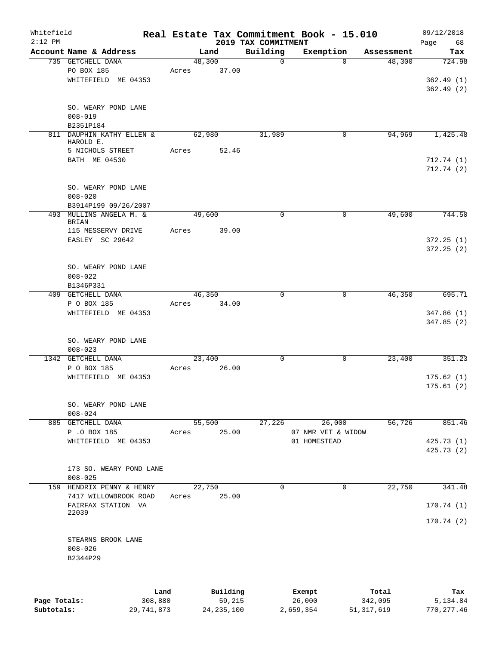| Whitefield<br>$2:12$ PM |                           |       |          | 2019 TAX COMMITMENT | Real Estate Tax Commitment Book - 15.010 |            | 09/12/2018<br>Page<br>68 |
|-------------------------|---------------------------|-------|----------|---------------------|------------------------------------------|------------|--------------------------|
|                         | Account Name & Address    |       | Land     | Building            | Exemption                                | Assessment | Tax                      |
|                         | 735 GETCHELL DANA         |       | 48,300   | $\mathbf 0$         | $\Omega$                                 | 48,300     | 724.98                   |
|                         | PO BOX 185                | Acres | 37.00    |                     |                                          |            |                          |
|                         | WHITEFIELD ME 04353       |       |          |                     |                                          |            | 362.49(1)                |
|                         |                           |       |          |                     |                                          |            | 362.49(2)                |
|                         |                           |       |          |                     |                                          |            |                          |
|                         | SO. WEARY POND LANE       |       |          |                     |                                          |            |                          |
|                         | $008 - 019$               |       |          |                     |                                          |            |                          |
|                         | B2351P184                 |       |          |                     |                                          |            |                          |
|                         | 811 DAUPHIN KATHY ELLEN & |       | 62,980   | 31,989              | 0                                        | 94,969     | 1,425.48                 |
|                         | HAROLD E.                 |       |          |                     |                                          |            |                          |
|                         | 5 NICHOLS STREET          | Acres | 52.46    |                     |                                          |            |                          |
|                         | BATH ME 04530             |       |          |                     |                                          |            | 712.74(1)                |
|                         |                           |       |          |                     |                                          |            | 712.74(2)                |
|                         |                           |       |          |                     |                                          |            |                          |
|                         | SO. WEARY POND LANE       |       |          |                     |                                          |            |                          |
|                         | $008 - 020$               |       |          |                     |                                          |            |                          |
|                         | B3914P199 09/26/2007      |       |          |                     |                                          |            |                          |
|                         | 493 MULLINS ANGELA M. &   |       | 49,600   | $\mathbf 0$         | 0                                        | 49,600     | 744.50                   |
|                         | <b>BRIAN</b>              |       |          |                     |                                          |            |                          |
|                         | 115 MESSERVY DRIVE        | Acres | 39.00    |                     |                                          |            |                          |
|                         | EASLEY SC 29642           |       |          |                     |                                          |            | 372.25(1)                |
|                         |                           |       |          |                     |                                          |            | 372.25(2)                |
|                         |                           |       |          |                     |                                          |            |                          |
|                         | SO. WEARY POND LANE       |       |          |                     |                                          |            |                          |
|                         | $008 - 022$               |       |          |                     |                                          |            |                          |
|                         | B1346P331                 |       |          |                     |                                          |            |                          |
|                         | 409 GETCHELL DANA         |       | 46,350   | $\mathbf 0$         | $\mathbf 0$                              | 46,350     | 695.71                   |
|                         | P O BOX 185               | Acres | 34.00    |                     |                                          |            |                          |
|                         | WHITEFIELD ME 04353       |       |          |                     |                                          |            | 347.86(1)                |
|                         |                           |       |          |                     |                                          |            | 347.85(2)                |
|                         |                           |       |          |                     |                                          |            |                          |
|                         | SO. WEARY POND LANE       |       |          |                     |                                          |            |                          |
|                         | $008 - 023$               |       |          |                     |                                          |            |                          |
|                         | 1342 GETCHELL DANA        |       | 23,400   | 0                   | 0                                        | 23,400     | 351.23                   |
|                         | P O BOX 185               | Acres | 26.00    |                     |                                          |            |                          |
|                         | WHITEFIELD ME 04353       |       |          |                     |                                          |            | 175.62(1)                |
|                         |                           |       |          |                     |                                          |            | 175.61(2)                |
|                         |                           |       |          |                     |                                          |            |                          |
|                         |                           |       |          |                     |                                          |            |                          |
|                         | SO. WEARY POND LANE       |       |          |                     |                                          |            |                          |
|                         | $008 - 024$               |       |          |                     |                                          |            |                          |
|                         | 885 GETCHELL DANA         |       | 55,500   | 27,226              | 26,000                                   | 56,726     | 851.46                   |
|                         | P .O BOX 185              | Acres | 25.00    |                     | 07 NMR VET & WIDOW                       |            |                          |
|                         | WHITEFIELD ME 04353       |       |          |                     | 01 HOMESTEAD                             |            | 425.73 (1)               |
|                         |                           |       |          |                     |                                          |            | 425.73 (2)               |
|                         |                           |       |          |                     |                                          |            |                          |
|                         | 173 SO. WEARY POND LANE   |       |          |                     |                                          |            |                          |
|                         | $008 - 025$               |       |          |                     |                                          |            |                          |
|                         | 159 HENDRIX PENNY & HENRY |       | 22,750   | $\mathbf 0$         | 0                                        | 22,750     | 341.48                   |
|                         | 7417 WILLOWBROOK ROAD     | Acres | 25.00    |                     |                                          |            |                          |
|                         | FAIRFAX STATION VA        |       |          |                     |                                          |            | 170.74(1)                |
|                         | 22039                     |       |          |                     |                                          |            |                          |
|                         |                           |       |          |                     |                                          |            | 170.74(2)                |
|                         |                           |       |          |                     |                                          |            |                          |
|                         | STEARNS BROOK LANE        |       |          |                     |                                          |            |                          |
|                         | $008 - 026$               |       |          |                     |                                          |            |                          |
|                         | B2344P29                  |       |          |                     |                                          |            |                          |
|                         |                           |       |          |                     |                                          |            |                          |
|                         |                           |       |          |                     |                                          |            |                          |
|                         | Land                      |       | Building |                     | Exempt                                   | Total      | Tax                      |
|                         |                           |       |          |                     |                                          |            |                          |

|              | Land       | Building     | Exempt    | Total        | Tax        |
|--------------|------------|--------------|-----------|--------------|------------|
| Page Totals: | 308,880    | 59,215       | 26,000    | 342,095      | 5,134.84   |
| Subtotals:   | 29,741,873 | 24, 235, 100 | 2,659,354 | 51, 317, 619 | 770,277.46 |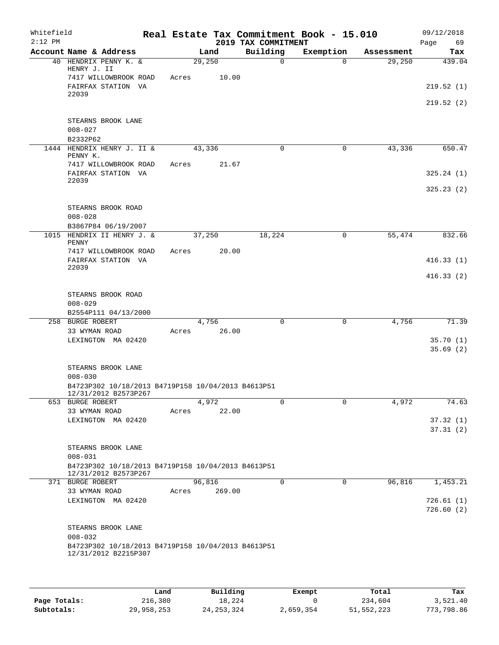| Whitefield<br>$2:12$ PM |                                                                            |       |        |        | 2019 TAX COMMITMENT |             | Real Estate Tax Commitment Book - 15.010 |            | 09/12/2018<br>Page<br>69 |
|-------------------------|----------------------------------------------------------------------------|-------|--------|--------|---------------------|-------------|------------------------------------------|------------|--------------------------|
|                         | Account Name & Address                                                     |       | Land   |        | Building            |             | Exemption                                | Assessment | Tax                      |
|                         | 40 HENDRIX PENNY K. &<br>HENRY J. II                                       |       | 29,250 |        |                     | $\mathbf 0$ | $\Omega$                                 | 29,250     | 439.04                   |
|                         | 7417 WILLOWBROOK ROAD                                                      | Acres |        | 10.00  |                     |             |                                          |            |                          |
|                         | FAIRFAX STATION VA<br>22039                                                |       |        |        |                     |             |                                          |            | 219.52(1)                |
|                         |                                                                            |       |        |        |                     |             |                                          |            | 219.52(2)                |
|                         | STEARNS BROOK LANE<br>$008 - 027$                                          |       |        |        |                     |             |                                          |            |                          |
|                         | B2332P62                                                                   |       |        |        |                     |             |                                          |            |                          |
| 1444                    | HENDRIX HENRY J. II &<br>PENNY K.                                          |       | 43,336 |        |                     | 0           | $\mathbf 0$                              | 43,336     | 650.47                   |
|                         | 7417 WILLOWBROOK ROAD<br>FAIRFAX STATION VA                                | Acres |        | 21.67  |                     |             |                                          |            | 325.24(1)                |
|                         | 22039                                                                      |       |        |        |                     |             |                                          |            | 325.23(2)                |
|                         | STEARNS BROOK ROAD<br>$008 - 028$                                          |       |        |        |                     |             |                                          |            |                          |
|                         | B3867P84 06/19/2007                                                        |       |        |        |                     |             |                                          |            |                          |
|                         | 1015 HENDRIX II HENRY J. &<br>PENNY                                        |       | 37,250 |        | 18,224              |             | 0                                        | 55,474     | 832.66                   |
|                         | 7417 WILLOWBROOK ROAD                                                      | Acres |        | 20.00  |                     |             |                                          |            |                          |
|                         | FAIRFAX STATION VA<br>22039                                                |       |        |        |                     |             |                                          |            | 416.33(1)                |
|                         |                                                                            |       |        |        |                     |             |                                          |            | 416.33(2)                |
|                         | STEARNS BROOK ROAD                                                         |       |        |        |                     |             |                                          |            |                          |
|                         | $008 - 029$                                                                |       |        |        |                     |             |                                          |            |                          |
|                         | B2554P111 04/13/2000                                                       |       |        |        |                     |             |                                          |            |                          |
|                         | 258 BURGE ROBERT                                                           |       | 4,756  |        |                     | $\mathbf 0$ | 0                                        | 4,756      | 71.39                    |
|                         | 33 WYMAN ROAD                                                              | Acres |        | 26.00  |                     |             |                                          |            |                          |
|                         | LEXINGTON MA 02420                                                         |       |        |        |                     |             |                                          |            | 35.70(1)                 |
|                         |                                                                            |       |        |        |                     |             |                                          |            | 35.69(2)                 |
|                         | STEARNS BROOK LANE                                                         |       |        |        |                     |             |                                          |            |                          |
|                         | $008 - 030$                                                                |       |        |        |                     |             |                                          |            |                          |
|                         | B4723P302 10/18/2013 B4719P158 10/04/2013 B4613P51<br>12/31/2012 B2573P267 |       |        |        |                     |             |                                          |            |                          |
|                         | 653 BURGE ROBERT                                                           |       | 4,972  |        |                     | 0           | 0                                        | 4,972      | 74.63                    |
|                         | 33 WYMAN ROAD                                                              | Acres |        | 22.00  |                     |             |                                          |            |                          |
|                         | LEXINGTON MA 02420                                                         |       |        |        |                     |             |                                          |            | 37.32(1)                 |
|                         |                                                                            |       |        |        |                     |             |                                          |            | 37.31(2)                 |
|                         | STEARNS BROOK LANE                                                         |       |        |        |                     |             |                                          |            |                          |
|                         | $008 - 031$                                                                |       |        |        |                     |             |                                          |            |                          |
|                         | B4723P302 10/18/2013 B4719P158 10/04/2013 B4613P51<br>12/31/2012 B2573P267 |       |        |        |                     |             |                                          |            |                          |
|                         | 371 BURGE ROBERT                                                           |       | 96,816 |        |                     | $\Omega$    | 0                                        | 96,816     | 1,453.21                 |
|                         | 33 WYMAN ROAD                                                              | Acres |        | 269.00 |                     |             |                                          |            |                          |
|                         | LEXINGTON MA 02420                                                         |       |        |        |                     |             |                                          |            | 726.61(1)<br>726.60(2)   |
|                         | STEARNS BROOK LANE                                                         |       |        |        |                     |             |                                          |            |                          |
|                         | $008 - 032$                                                                |       |        |        |                     |             |                                          |            |                          |
|                         | B4723P302 10/18/2013 B4719P158 10/04/2013 B4613P51<br>12/31/2012 B2215P307 |       |        |        |                     |             |                                          |            |                          |
|                         |                                                                            |       |        |        |                     |             |                                          |            |                          |

|              | Land       | Building     | Exempt    | Total      | Tax        |
|--------------|------------|--------------|-----------|------------|------------|
| Page Totals: | 216,380    | 18,224       |           | 234,604    | 3,521.40   |
| Subtotals:   | 29,958,253 | 24, 253, 324 | 2,659,354 | 51,552,223 | 773,798.86 |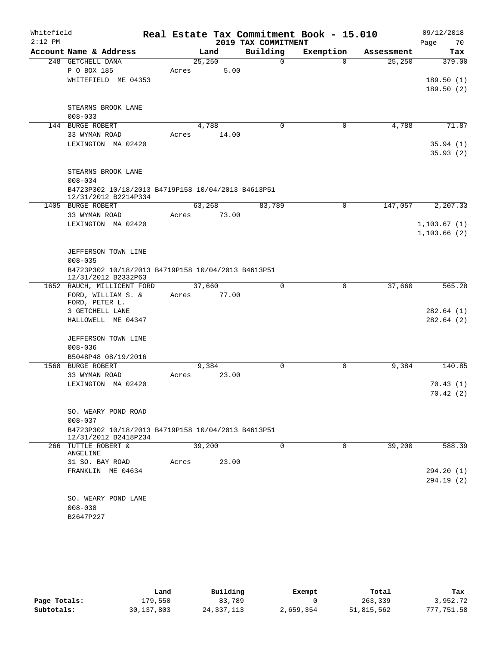| Whitefield |                                                                           |       |        |                     | Real Estate Tax Commitment Book - 15.010 |            | 09/12/2018   |  |  |
|------------|---------------------------------------------------------------------------|-------|--------|---------------------|------------------------------------------|------------|--------------|--|--|
| $2:12$ PM  |                                                                           |       |        | 2019 TAX COMMITMENT |                                          |            | 70<br>Page   |  |  |
|            | Account Name & Address                                                    |       | Land   | Building            | Exemption                                | Assessment | Tax          |  |  |
|            | 248 GETCHELL DANA                                                         |       | 25,250 | $\mathbf 0$         | $\Omega$                                 | 25,250     | 379.00       |  |  |
|            | P O BOX 185                                                               | Acres | 5.00   |                     |                                          |            |              |  |  |
|            | WHITEFIELD ME 04353                                                       |       |        |                     |                                          |            | 189.50(1)    |  |  |
|            |                                                                           |       |        |                     |                                          |            | 189.50(2)    |  |  |
|            | STEARNS BROOK LANE                                                        |       |        |                     |                                          |            |              |  |  |
|            | $008 - 033$                                                               |       |        |                     |                                          |            |              |  |  |
|            | 144 BURGE ROBERT                                                          |       | 4,788  | 0                   | 0                                        | 4,788      | 71.87        |  |  |
|            | 33 WYMAN ROAD                                                             | Acres | 14.00  |                     |                                          |            |              |  |  |
|            | LEXINGTON MA 02420                                                        |       |        |                     |                                          |            | 35.94(1)     |  |  |
|            |                                                                           |       |        |                     |                                          |            | 35.93(2)     |  |  |
|            |                                                                           |       |        |                     |                                          |            |              |  |  |
|            | STEARNS BROOK LANE                                                        |       |        |                     |                                          |            |              |  |  |
|            | $008 - 034$                                                               |       |        |                     |                                          |            |              |  |  |
|            | B4723P302 10/18/2013 B4719P158 10/04/2013 B4613P51                        |       |        |                     |                                          |            |              |  |  |
|            | 12/31/2012 B2214P334                                                      |       |        |                     |                                          |            |              |  |  |
|            | 1405 BURGE ROBERT                                                         |       | 63,268 | 83,789              | 0                                        | 147,057    | 2,207.33     |  |  |
|            | 33 WYMAN ROAD                                                             | Acres | 73.00  |                     |                                          |            |              |  |  |
|            | LEXINGTON MA 02420                                                        |       |        |                     |                                          |            | 1, 103.67(1) |  |  |
|            |                                                                           |       |        |                     |                                          |            | 1,103.66(2)  |  |  |
|            |                                                                           |       |        |                     |                                          |            |              |  |  |
|            | JEFFERSON TOWN LINE                                                       |       |        |                     |                                          |            |              |  |  |
|            | $008 - 035$                                                               |       |        |                     |                                          |            |              |  |  |
|            | B4723P302 10/18/2013 B4719P158 10/04/2013 B4613P51<br>12/31/2012 B2332P63 |       |        |                     |                                          |            |              |  |  |
|            | 1652 RAUCH, MILLICENT FORD                                                |       | 37,660 | $\mathbf 0$         | $\mathbf 0$                              | 37,660     | 565.28       |  |  |
|            | FORD, WILLIAM S. &                                                        | Acres | 77.00  |                     |                                          |            |              |  |  |
|            | FORD, PETER L.                                                            |       |        |                     |                                          |            |              |  |  |
|            | 3 GETCHELL LANE                                                           |       |        |                     |                                          |            | 282.64(1)    |  |  |
|            | HALLOWELL ME 04347                                                        |       |        |                     |                                          |            | 282.64(2)    |  |  |
|            |                                                                           |       |        |                     |                                          |            |              |  |  |
|            | JEFFERSON TOWN LINE                                                       |       |        |                     |                                          |            |              |  |  |
|            | $008 - 036$                                                               |       |        |                     |                                          |            |              |  |  |
|            | B5048P48 08/19/2016                                                       |       |        |                     |                                          |            |              |  |  |
|            | 1568 BURGE ROBERT                                                         | Acres | 9,384  | $\Omega$            | $\mathbf 0$                              | 9,384      | 140.85       |  |  |
|            | 33 WYMAN ROAD<br>LEXINGTON MA 02420                                       |       | 23.00  |                     |                                          |            | 70.43(1)     |  |  |
|            |                                                                           |       |        |                     |                                          |            | 70.42(2)     |  |  |
|            |                                                                           |       |        |                     |                                          |            |              |  |  |
|            | SO. WEARY POND ROAD                                                       |       |        |                     |                                          |            |              |  |  |
|            | $008 - 037$                                                               |       |        |                     |                                          |            |              |  |  |
|            | B4723P302 10/18/2013 B4719P158 10/04/2013 B4613P51                        |       |        |                     |                                          |            |              |  |  |
|            | 12/31/2012 B2418P234                                                      |       |        |                     |                                          |            |              |  |  |
|            | 266 TUTTLE ROBERT &<br>ANGELINE                                           |       | 39,200 | 0                   | 0                                        | 39,200     | 588.39       |  |  |
|            | 31 SO. BAY ROAD                                                           | Acres | 23.00  |                     |                                          |            |              |  |  |
|            | FRANKLIN ME 04634                                                         |       |        |                     |                                          |            | 294.20(1)    |  |  |
|            |                                                                           |       |        |                     |                                          |            | 294.19(2)    |  |  |
|            |                                                                           |       |        |                     |                                          |            |              |  |  |
|            | SO. WEARY POND LANE                                                       |       |        |                     |                                          |            |              |  |  |
|            | $008 - 038$                                                               |       |        |                     |                                          |            |              |  |  |
|            | B2647P227                                                                 |       |        |                     |                                          |            |              |  |  |
|            |                                                                           |       |        |                     |                                          |            |              |  |  |

|              | Land         | Building     | Exempt    | Total      | Tax        |
|--------------|--------------|--------------|-----------|------------|------------|
| Page Totals: | L79,550      | 83,789       |           | 263,339    | 3,952.72   |
| Subtotals:   | 30, 137, 803 | 24, 337, 113 | 2,659,354 | 51,815,562 | 777,751.58 |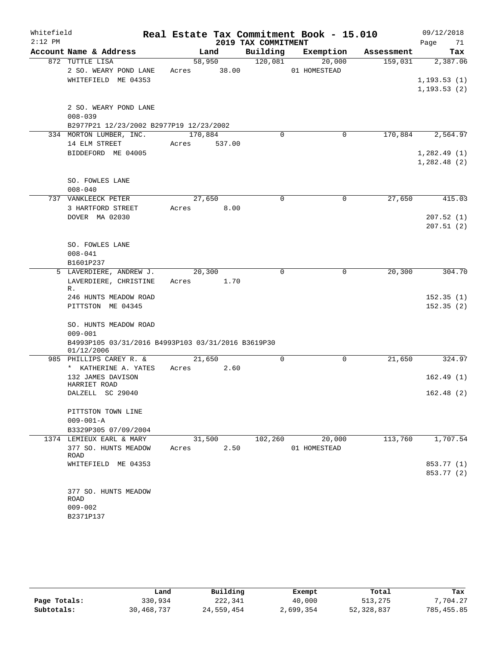| Whitefield<br>$2:12$ PM |                                                                                 |                 |        | 2019 TAX COMMITMENT | Real Estate Tax Commitment Book - 15.010 |            | 09/12/2018<br>Page<br>71     |
|-------------------------|---------------------------------------------------------------------------------|-----------------|--------|---------------------|------------------------------------------|------------|------------------------------|
|                         | Account Name & Address                                                          |                 | Land   | Building            | Exemption                                | Assessment | Tax                          |
|                         | 872 TUTTLE LISA                                                                 | 58,950          |        | 120,081             | 20,000                                   | 159,031    | 2,387.06                     |
|                         | 2 SO. WEARY POND LANE<br>WHITEFIELD ME 04353                                    | Acres           | 38.00  |                     | 01 HOMESTEAD                             |            | 1, 193.53(1)<br>1, 193.53(2) |
|                         | 2 SO. WEARY POND LANE<br>$008 - 039$<br>B2977P21 12/23/2002 B2977P19 12/23/2002 |                 |        |                     |                                          |            |                              |
|                         | 334 MORTON LUMBER, INC.                                                         | 170,884         |        | 0                   | 0                                        | 170,884    | 2,564.97                     |
|                         | 14 ELM STREET<br>BIDDEFORD ME 04005                                             | Acres           | 537.00 |                     |                                          |            | 1,282.49(1)<br>1,282.48(2)   |
|                         | SO. FOWLES LANE<br>$008 - 040$                                                  |                 |        |                     |                                          |            |                              |
|                         | 737 VANKLEECK PETER                                                             | 27,650          |        | $\Omega$            | $\mathbf 0$                              | 27,650     | 415.03                       |
|                         | 3 HARTFORD STREET                                                               | Acres           | 8.00   |                     |                                          |            |                              |
|                         | DOVER MA 02030                                                                  |                 |        |                     |                                          |            | 207.52(1)                    |
|                         |                                                                                 |                 |        |                     |                                          |            | 207.51(2)                    |
|                         | SO. FOWLES LANE                                                                 |                 |        |                     |                                          |            |                              |
|                         | $008 - 041$                                                                     |                 |        |                     |                                          |            |                              |
|                         | B1601P237                                                                       |                 |        |                     |                                          |            |                              |
|                         | 5 LAVERDIERE, ANDREW J.                                                         | 20,300          |        | 0                   | 0                                        | 20,300     | 304.70                       |
|                         | LAVERDIERE, CHRISTINE<br>R.                                                     | Acres           | 1.70   |                     |                                          |            |                              |
|                         | 246 HUNTS MEADOW ROAD                                                           |                 |        |                     |                                          |            | 152.35(1)                    |
|                         | PITTSTON ME 04345                                                               |                 |        |                     |                                          |            | 152.35(2)                    |
|                         | SO. HUNTS MEADOW ROAD<br>$009 - 001$                                            |                 |        |                     |                                          |            |                              |
|                         | B4993P105 03/31/2016 B4993P103 03/31/2016 B3619P30<br>01/12/2006                |                 |        |                     |                                          |            |                              |
|                         | 985 PHILLIPS CAREY R. &                                                         | 21,650          |        | 0                   | $\mathbf 0$                              | 21,650     | 324.97                       |
|                         | * KATHERINE A. YATES                                                            | Acres           | 2.60   |                     |                                          |            |                              |
|                         | 132 JAMES DAVISON<br>HARRIET ROAD                                               |                 |        |                     |                                          |            | 162.49(1)                    |
|                         | DALZELL SC 29040                                                                |                 |        |                     |                                          |            | 162.48(2)                    |
|                         | PITTSTON TOWN LINE<br>$009 - 001 - A$                                           |                 |        |                     |                                          |            |                              |
|                         | B3329P305 07/09/2004                                                            |                 |        |                     |                                          |            |                              |
|                         | 1374 LEMIEUX EARL & MARY<br>377 SO. HUNTS MEADOW                                | 31,500<br>Acres | 2.50   | 102,260             | 20,000<br>01 HOMESTEAD                   | 113,760    | 1,707.54                     |
|                         | ROAD                                                                            |                 |        |                     |                                          |            |                              |
|                         | WHITEFIELD ME 04353                                                             |                 |        |                     |                                          |            | 853.77 (1)<br>853.77 (2)     |
|                         | 377 SO. HUNTS MEADOW<br>ROAD<br>$009 - 002$<br>B2371P137                        |                 |        |                     |                                          |            |                              |

|              | Land       | Building   | Exempt    | Total      | Tax        |
|--------------|------------|------------|-----------|------------|------------|
| Page Totals: | 330,934    | 222,341    | 40,000    | 513,275    | 7.704.27   |
| Subtotals:   | 30,468,737 | 24,559,454 | 2,699,354 | 52,328,837 | 785,455.85 |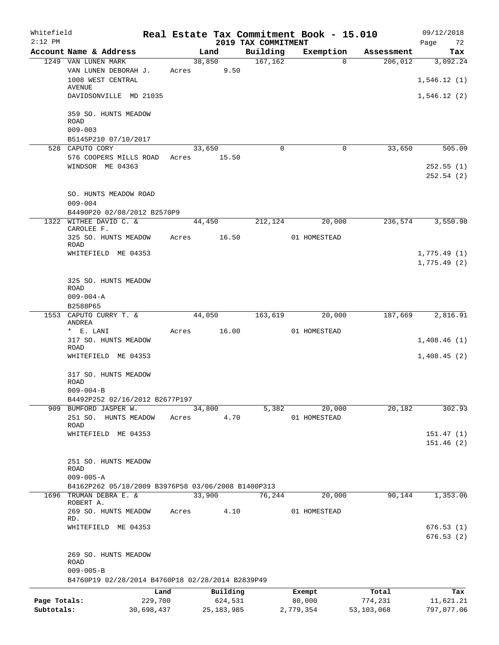| Whitefield<br>$2:12$ PM |                                                                       |         |              | 2019 TAX COMMITMENT | Real Estate Tax Commitment Book - 15.010 |            | 09/12/2018<br>72<br>Page |
|-------------------------|-----------------------------------------------------------------------|---------|--------------|---------------------|------------------------------------------|------------|--------------------------|
|                         | Account Name & Address                                                |         | Land         | Building            | Exemption                                | Assessment | Tax                      |
|                         | 1249 VAN LUNEN MARK                                                   |         | 38,850       | 167, 162            | $\Omega$                                 | 206,012    | 3,092.24                 |
|                         | VAN LUNEN DEBORAH J.                                                  | Acres   | 9.50         |                     |                                          |            |                          |
|                         | 1008 WEST CENTRAL                                                     |         |              |                     |                                          |            | 1,546.12(1)              |
|                         | AVENUE                                                                |         |              |                     |                                          |            |                          |
|                         | DAVIDSONVILLE MD 21035                                                |         |              |                     |                                          |            | 1,546.12(2)              |
|                         | 359 SO. HUNTS MEADOW<br><b>ROAD</b>                                   |         |              |                     |                                          |            |                          |
|                         | $009 - 003$                                                           |         |              |                     |                                          |            |                          |
|                         | B5145P210 07/10/2017                                                  |         |              |                     |                                          |            |                          |
|                         | 528 CAPUTO CORY                                                       |         | 33,650       | $\Omega$            | 0                                        | 33,650     | 505.09                   |
|                         | 576 COOPERS MILLS ROAD                                                | Acres   | 15.50        |                     |                                          |            |                          |
|                         | WINDSOR ME 04363                                                      |         |              |                     |                                          |            | 252.55(1)                |
|                         |                                                                       |         |              |                     |                                          |            | 252.54(2)                |
|                         |                                                                       |         |              |                     |                                          |            |                          |
|                         | SO. HUNTS MEADOW ROAD                                                 |         |              |                     |                                          |            |                          |
|                         | $009 - 004$                                                           |         |              |                     |                                          |            |                          |
|                         | B4490P20 02/08/2012 B2570P9                                           |         |              |                     |                                          |            |                          |
|                         | 1322 WITHEE DAVID C. &<br>CAROLEE F.                                  |         | 44,450       | 212,124             | 20,000                                   | 236,574    | 3,550.98                 |
|                         | 325 SO. HUNTS MEADOW                                                  | Acres   | 16.50        |                     | 01 HOMESTEAD                             |            |                          |
|                         | ROAD                                                                  |         |              |                     |                                          |            |                          |
|                         | WHITEFIELD ME 04353                                                   |         |              |                     |                                          |            | 1,775.49(1)              |
|                         |                                                                       |         |              |                     |                                          |            | 1,775.49(2)              |
|                         | 325 SO. HUNTS MEADOW                                                  |         |              |                     |                                          |            |                          |
|                         | ROAD                                                                  |         |              |                     |                                          |            |                          |
|                         | $009 - 004 - A$                                                       |         |              |                     |                                          |            |                          |
|                         | B2588P65                                                              |         |              |                     |                                          |            |                          |
| 1553                    | CAPUTO CURRY T. &                                                     |         | 44,050       | 163,619             | 20,000                                   | 187,669    | 2,816.91                 |
|                         | ANDREA                                                                |         |              |                     |                                          |            |                          |
|                         | * E. LANI                                                             | Acres   | 16.00        |                     | 01 HOMESTEAD                             |            |                          |
|                         | 317 SO. HUNTS MEADOW<br><b>ROAD</b>                                   |         |              |                     |                                          |            | 1,408.46(1)              |
|                         | WHITEFIELD ME 04353                                                   |         |              |                     |                                          |            | 1,408.45(2)              |
|                         |                                                                       |         |              |                     |                                          |            |                          |
|                         | 317 SO. HUNTS MEADOW                                                  |         |              |                     |                                          |            |                          |
|                         | ROAD                                                                  |         |              |                     |                                          |            |                          |
|                         | $009 - 004 - B$                                                       |         |              |                     |                                          |            |                          |
|                         | B4492P252 02/16/2012 B2677P197                                        |         |              |                     |                                          |            |                          |
|                         | 909 BUMFORD JASPER W.                                                 |         | 34,800       | 5,382               | 20,000                                   | 20,182     | 302.93                   |
|                         | 251 SO.<br>HUNTS MEADOW<br>ROAD                                       | Acres   | 4.70         |                     | 01 HOMESTEAD                             |            |                          |
|                         | WHITEFIELD ME 04353                                                   |         |              |                     |                                          |            | 151.47(1)                |
|                         |                                                                       |         |              |                     |                                          |            | 151.46(2)                |
|                         |                                                                       |         |              |                     |                                          |            |                          |
|                         | 251 SO. HUNTS MEADOW                                                  |         |              |                     |                                          |            |                          |
|                         | <b>ROAD</b>                                                           |         |              |                     |                                          |            |                          |
|                         | $009 - 005 - A$<br>B4162P262 05/18/2009 B3976P58 03/06/2008 B1400P313 |         |              |                     |                                          |            |                          |
| 1696                    | TRUMAN DEBRA E. &                                                     |         | 33,900       | 76,244              | 20,000                                   | 90,144     | 1,353.06                 |
|                         | ROBERT A.                                                             |         |              |                     |                                          |            |                          |
|                         | 269 SO. HUNTS MEADOW                                                  | Acres   | 4.10         |                     | 01 HOMESTEAD                             |            |                          |
|                         | RD.<br>WHITEFIELD ME 04353                                            |         |              |                     |                                          |            | 676.53(1)                |
|                         |                                                                       |         |              |                     |                                          |            | 676.53(2)                |
|                         | 269 SO. HUNTS MEADOW                                                  |         |              |                     |                                          |            |                          |
|                         | ROAD                                                                  |         |              |                     |                                          |            |                          |
|                         | $009 - 005 - B$                                                       |         |              |                     |                                          |            |                          |
|                         | B4760P19 02/28/2014 B4760P18 02/28/2014 B2839P49                      |         |              |                     |                                          |            |                          |
|                         |                                                                       | Land    | Building     |                     | Exempt                                   | Total      | Tax                      |
| Page Totals:            |                                                                       | 229,700 | 624,531      |                     | 80,000                                   | 774,231    | 11,621.21                |
| Subtotals:              | 30,698,437                                                            |         | 25, 183, 985 |                     | 2,779,354                                | 53,103,068 | 797,077.06               |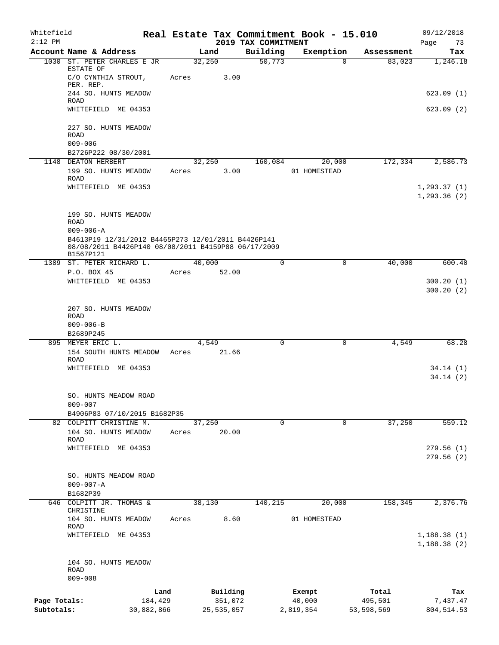| Whitefield<br>$2:12$ PM    |                                                                                                                                           |                 |                       | 2019 TAX COMMITMENT | Real Estate Tax Commitment Book - 15.010 |                       | 09/12/2018<br>73<br>Page     |
|----------------------------|-------------------------------------------------------------------------------------------------------------------------------------------|-----------------|-----------------------|---------------------|------------------------------------------|-----------------------|------------------------------|
|                            | Account Name & Address                                                                                                                    |                 | Land                  | Building            | Exemption                                | Assessment            | Tax                          |
|                            | 1030 ST. PETER CHARLES E JR<br>ESTATE OF<br>C/O CYNTHIA STROUT,                                                                           | 32,250<br>Acres | 3.00                  | 50,773              | $\Omega$                                 | 83,023                | 1,246.18                     |
|                            | PER. REP.<br>244 SO. HUNTS MEADOW<br><b>ROAD</b>                                                                                          |                 |                       |                     |                                          |                       | 623.09(1)                    |
|                            | WHITEFIELD ME 04353                                                                                                                       |                 |                       |                     |                                          |                       | 623.09(2)                    |
|                            | 227 SO. HUNTS MEADOW<br>ROAD<br>$009 - 006$                                                                                               |                 |                       |                     |                                          |                       |                              |
|                            | B2726P222 08/30/2001                                                                                                                      |                 |                       |                     |                                          |                       |                              |
|                            | 1148 DEATON HERBERT<br>199 SO. HUNTS MEADOW<br><b>ROAD</b>                                                                                | Acres           | 32,250<br>3.00        | 160,084             | 20,000<br>01 HOMESTEAD                   | 172,334               | 2,586.73                     |
|                            | WHITEFIELD ME 04353                                                                                                                       |                 |                       |                     |                                          |                       | 1, 293.37(1)<br>1, 293.36(2) |
|                            | 199 SO. HUNTS MEADOW<br><b>ROAD</b>                                                                                                       |                 |                       |                     |                                          |                       |                              |
|                            | $009 - 006 - A$<br>B4613P19 12/31/2012 B4465P273 12/01/2011 B4426P141<br>08/08/2011 B4426P140 08/08/2011 B4159P88 06/17/2009<br>B1567P121 |                 |                       |                     |                                          |                       |                              |
|                            | 1389 ST. PETER RICHARD L.                                                                                                                 | 40,000          |                       | 0                   | 0                                        | 40,000                | 600.40                       |
|                            | P.O. BOX 45<br>WHITEFIELD ME 04353                                                                                                        | Acres 52.00     |                       |                     |                                          |                       | 300.20(1)<br>300.20(2)       |
|                            | 207 SO. HUNTS MEADOW<br><b>ROAD</b><br>$009 - 006 - B$                                                                                    |                 |                       |                     |                                          |                       |                              |
|                            | B2689P245                                                                                                                                 |                 |                       |                     |                                          |                       |                              |
|                            | 895 MEYER ERIC L.<br>154 SOUTH HUNTS MEADOW<br>ROAD                                                                                       | Acres           | 4,549<br>21.66        | 0                   | 0                                        | 4,549                 | 68.28                        |
|                            | WHITEFIELD ME 04353                                                                                                                       |                 |                       |                     |                                          |                       | 34.14(1)<br>34.14(2)         |
|                            | SO. HUNTS MEADOW ROAD<br>$009 - 007$                                                                                                      |                 |                       |                     |                                          |                       |                              |
|                            | B4906P83 07/10/2015 B1682P35                                                                                                              |                 |                       |                     |                                          |                       |                              |
| 82                         | COLPITT CHRISTINE M.<br>104 SO. HUNTS MEADOW<br><b>ROAD</b>                                                                               | 37,250<br>Acres | 20.00                 | 0                   | 0                                        | 37,250                | 559.12                       |
|                            | WHITEFIELD ME 04353                                                                                                                       |                 |                       |                     |                                          |                       | 279.56(1)<br>279.56(2)       |
|                            | SO. HUNTS MEADOW ROAD<br>$009 - 007 - A$<br>B1682P39                                                                                      |                 |                       |                     |                                          |                       |                              |
| 646                        | COLPITT JR. THOMAS &<br>CHRISTINE                                                                                                         | 38,130          |                       | 140,215             | 20,000                                   | 158,345               | 2,376.76                     |
|                            | 104 SO. HUNTS MEADOW<br><b>ROAD</b>                                                                                                       | Acres           | 8.60                  |                     | 01 HOMESTEAD                             |                       |                              |
|                            | WHITEFIELD ME 04353                                                                                                                       |                 |                       |                     |                                          |                       | 1,188.38(1)<br>1,188.38(2)   |
|                            | 104 SO. HUNTS MEADOW<br>ROAD<br>$009 - 008$                                                                                               |                 |                       |                     |                                          |                       |                              |
|                            | Land                                                                                                                                      |                 | Building              |                     | Exempt                                   | Total                 | Tax                          |
| Page Totals:<br>Subtotals: | 184,429<br>30,882,866                                                                                                                     |                 | 351,072<br>25,535,057 |                     | 40,000<br>2,819,354                      | 495,501<br>53,598,569 | 7,437.47<br>804,514.53       |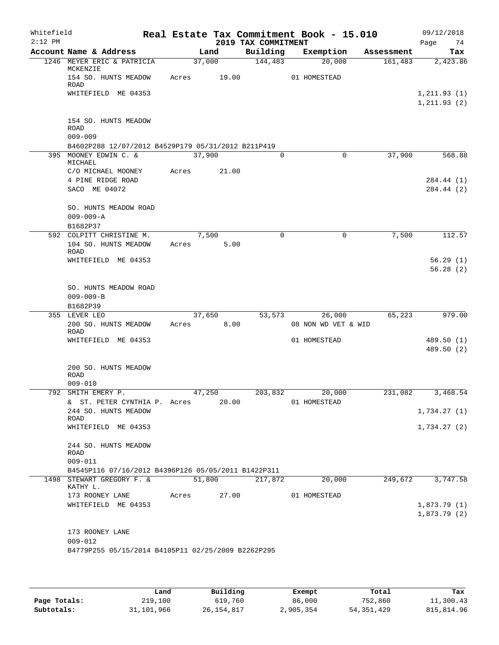| Whitefield<br>$2:12$ PM |                                                                                              |       |               | 2019 TAX COMMITMENT | Real Estate Tax Commitment Book - 15.010 |            | 09/12/2018<br>74<br>Page     |
|-------------------------|----------------------------------------------------------------------------------------------|-------|---------------|---------------------|------------------------------------------|------------|------------------------------|
|                         | Account Name & Address                                                                       |       | Land          | Building            | Exemption                                | Assessment | Tax                          |
|                         | 1246 MEYER ERIC & PATRICIA                                                                   |       | 37,000        | 144,483             | 20,000                                   | 161,483    | 2,423.86                     |
|                         | MCKENZIE<br>154 SO. HUNTS MEADOW<br>ROAD                                                     | Acres | 19.00         |                     | 01 HOMESTEAD                             |            |                              |
|                         | WHITEFIELD ME 04353                                                                          |       |               |                     |                                          |            | 1, 211.93(1)<br>1, 211.93(2) |
|                         | 154 SO. HUNTS MEADOW<br><b>ROAD</b>                                                          |       |               |                     |                                          |            |                              |
|                         | $009 - 009$                                                                                  |       |               |                     |                                          |            |                              |
|                         | B4602P288 12/07/2012 B4529P179 05/31/2012 B211P419<br>395 MOONEY EDWIN C. &                  |       | 37,900        | $\Omega$            | $\Omega$                                 | 37,900     | 568.88                       |
|                         | MICHAEL                                                                                      |       |               |                     |                                          |            |                              |
|                         | C/O MICHAEL MOONEY                                                                           | Acres | 21.00         |                     |                                          |            |                              |
|                         | 4 PINE RIDGE ROAD<br>SACO ME 04072                                                           |       |               |                     |                                          |            | 284.44 (1)<br>284.44 (2)     |
|                         | SO. HUNTS MEADOW ROAD<br>$009 - 009 - A$                                                     |       |               |                     |                                          |            |                              |
|                         | B1682P37                                                                                     |       |               |                     |                                          |            |                              |
|                         | 592 COLPITT CHRISTINE M.<br>104 SO. HUNTS MEADOW                                             | Acres | 7,500<br>5.00 | 0                   | 0                                        | 7,500      | 112.57                       |
|                         | <b>ROAD</b><br>WHITEFIELD ME 04353                                                           |       |               |                     |                                          |            | 56.29(1)                     |
|                         |                                                                                              |       |               |                     |                                          |            | 56.28(2)                     |
|                         | SO. HUNTS MEADOW ROAD<br>$009 - 009 - B$                                                     |       |               |                     |                                          |            |                              |
|                         | B1682P39                                                                                     |       |               |                     |                                          |            |                              |
|                         | 355 LEVER LEO                                                                                |       | 37,650        | 53,573              | 26,000                                   | 65,223     | 979.00                       |
|                         | 200 SO. HUNTS MEADOW<br>ROAD                                                                 | Acres | 8.00          |                     | 08 NON WD VET & WID                      |            |                              |
|                         | WHITEFIELD ME 04353                                                                          |       |               |                     | 01 HOMESTEAD                             |            | 489.50 (1)<br>489.50 (2)     |
|                         | 200 SO. HUNTS MEADOW<br><b>ROAD</b><br>$009 - 010$                                           |       |               |                     |                                          |            |                              |
| 792                     | SMITH EMERY P.                                                                               |       | 47,250        | 203,832             | 20,000                                   | 231,082    | 3,468.54                     |
|                         | & ST. PETER CYNTHIA P. Acres 20.00                                                           |       |               |                     | 01 HOMESTEAD                             |            |                              |
|                         | 244 SO. HUNTS MEADOW<br>ROAD                                                                 |       |               |                     |                                          |            | 1,734.27(1)                  |
|                         | WHITEFIELD ME 04353                                                                          |       |               |                     |                                          |            | 1,734.27(2)                  |
|                         | 244 SO. HUNTS MEADOW<br>ROAD                                                                 |       |               |                     |                                          |            |                              |
|                         | $009 - 011$                                                                                  |       |               |                     |                                          |            |                              |
|                         | B4545P116 07/16/2012 B4396P126 05/05/2011 B1422P311<br>1498 STEWART GREGORY F. &<br>KATHY L. |       |               | 51,800 217,872      | 20,000                                   |            | 249,672 3,747.58             |
|                         | 173 ROONEY LANE Acres 27.00                                                                  |       |               |                     | 01 HOMESTEAD                             |            |                              |
|                         | WHITEFIELD ME 04353                                                                          |       |               |                     |                                          |            | 1,873.79(1)                  |
|                         |                                                                                              |       |               |                     |                                          |            | 1,873.79(2)                  |
|                         | 173 ROONEY LANE<br>$009 - 012$                                                               |       |               |                     |                                          |            |                              |
|                         | B4779P255 05/15/2014 B4105P11 02/25/2009 B2262P295                                           |       |               |                     |                                          |            |                              |
|                         |                                                                                              |       |               |                     |                                          |            |                              |

|              | Land       | Building     | Exempt    | Total        | Tax        |
|--------------|------------|--------------|-----------|--------------|------------|
| Page Totals: | 219,100    | 619,760      | 86,000    | 752,860      | 11,300.43  |
| Subtotals:   | 31,101,966 | 26, 154, 817 | 2,905,354 | 54, 351, 429 | 815,814.96 |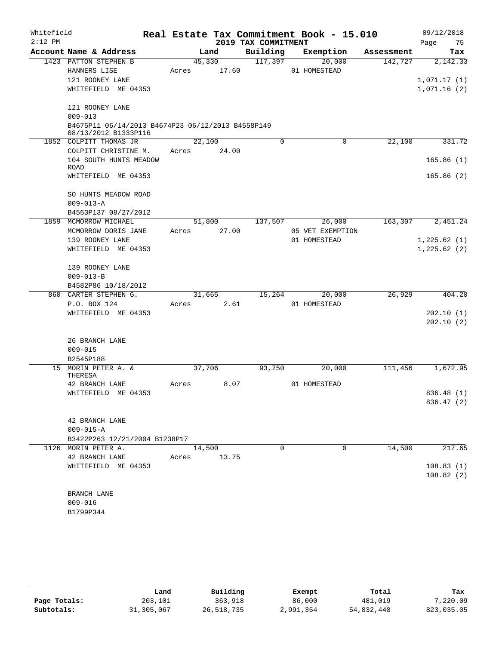| Whitefield |                                                                           |             |       |                     | Real Estate Tax Commitment Book - 15.010 |            | 09/12/2018  |            |
|------------|---------------------------------------------------------------------------|-------------|-------|---------------------|------------------------------------------|------------|-------------|------------|
| $2:12$ PM  |                                                                           |             |       | 2019 TAX COMMITMENT |                                          |            | Page        | 75         |
|            | Account Name & Address                                                    |             | Land  | Building            | Exemption                                | Assessment |             | Tax        |
|            | 1423 PATTON STEPHEN B                                                     | 45,330      |       | 117,397             | 20,000                                   | 142,727    |             | 2,142.33   |
|            | HANNERS LISE                                                              | Acres       | 17.60 |                     | 01 HOMESTEAD                             |            |             |            |
|            | 121 ROONEY LANE                                                           |             |       |                     |                                          |            | 1,071.17(1) |            |
|            | WHITEFIELD ME 04353                                                       |             |       |                     |                                          |            | 1,071.16(2) |            |
|            | 121 ROONEY LANE                                                           |             |       |                     |                                          |            |             |            |
|            | $009 - 013$                                                               |             |       |                     |                                          |            |             |            |
|            | B4675P11 06/14/2013 B4674P23 06/12/2013 B4558P149<br>08/13/2012 B1333P116 |             |       |                     |                                          |            |             |            |
|            | 1852 COLPITT THOMAS JR                                                    | 22,100      |       | $\Omega$            | 0                                        | 22,100     |             | 331.72     |
|            | COLPITT CHRISTINE M.                                                      | Acres       | 24.00 |                     |                                          |            |             |            |
|            | 104 SOUTH HUNTS MEADOW<br>ROAD                                            |             |       |                     |                                          |            |             | 165.86(1)  |
|            | WHITEFIELD ME 04353                                                       |             |       |                     |                                          |            |             | 165.86(2)  |
|            | SO HUNTS MEADOW ROAD                                                      |             |       |                     |                                          |            |             |            |
|            | $009 - 013 - A$                                                           |             |       |                     |                                          |            |             |            |
|            | B4563P137 08/27/2012                                                      |             |       |                     |                                          |            |             |            |
| 1859       | MCMORROW MICHAEL                                                          | 51,800      |       | 137,507             | 26,000                                   | 163,307    |             | 2,451.24   |
|            | MCMORROW DORIS JANE                                                       | Acres       | 27.00 |                     | 05 VET EXEMPTION                         |            |             |            |
|            | 139 ROONEY LANE                                                           |             |       |                     | 01 HOMESTEAD                             |            | 1,225.62(1) |            |
|            | WHITEFIELD ME 04353                                                       |             |       |                     |                                          |            | 1,225.62(2) |            |
|            | 139 ROONEY LANE                                                           |             |       |                     |                                          |            |             |            |
|            | $009 - 013 - B$                                                           |             |       |                     |                                          |            |             |            |
|            | B4582P86 10/18/2012                                                       |             |       |                     |                                          |            |             |            |
|            | 860 CARTER STEPHEN G.                                                     | 31,665      |       | 15,264              | 20,000                                   | 26,929     |             | 404.20     |
|            | P.O. BOX 124                                                              | Acres       | 2.61  |                     | 01 HOMESTEAD                             |            |             |            |
|            | WHITEFIELD ME 04353                                                       |             |       |                     |                                          |            |             | 202.10(1)  |
|            |                                                                           |             |       |                     |                                          |            |             | 202.10(2)  |
|            | 26 BRANCH LANE                                                            |             |       |                     |                                          |            |             |            |
|            | $009 - 015$                                                               |             |       |                     |                                          |            |             |            |
|            | B2545P188                                                                 |             |       |                     |                                          |            |             |            |
|            | 15 MORIN PETER A. &<br>THERESA                                            | 37,706      |       | 93,750              | 20,000                                   | 111,456    |             | 1,672.95   |
|            | 42 BRANCH LANE                                                            | Acres       | 8.07  |                     | 01 HOMESTEAD                             |            |             |            |
|            | WHITEFIELD ME 04353                                                       |             |       |                     |                                          |            |             | 836.48 (1) |
|            |                                                                           |             |       |                     |                                          |            |             | 836.47 (2) |
|            | 42 BRANCH LANE                                                            |             |       |                     |                                          |            |             |            |
|            | $009 - 015 - A$                                                           |             |       |                     |                                          |            |             |            |
|            | B3422P263 12/21/2004 B1238P17                                             |             |       |                     |                                          |            |             |            |
|            | 1126 MORIN PETER A.                                                       | 14,500      |       | $\Omega$            | $\Omega$                                 | 14,500     |             | 217.65     |
|            | 42 BRANCH LANE                                                            | Acres 13.75 |       |                     |                                          |            |             |            |
|            | WHITEFIELD ME 04353                                                       |             |       |                     |                                          |            |             | 108.83(1)  |
|            |                                                                           |             |       |                     |                                          |            |             | 108.82(2)  |
|            | BRANCH LANE                                                               |             |       |                     |                                          |            |             |            |
|            | $009 - 016$                                                               |             |       |                     |                                          |            |             |            |
|            | B1799P344                                                                 |             |       |                     |                                          |            |             |            |

|              | Land       | Building   | Exempt    | Total      | Tax        |
|--------------|------------|------------|-----------|------------|------------|
| Page Totals: | 203,101    | 363,918    | 86,000    | 481,019    | 7,220.09   |
| Subtotals:   | 31,305,067 | 26,518,735 | 2,991,354 | 54,832,448 | 823,035.05 |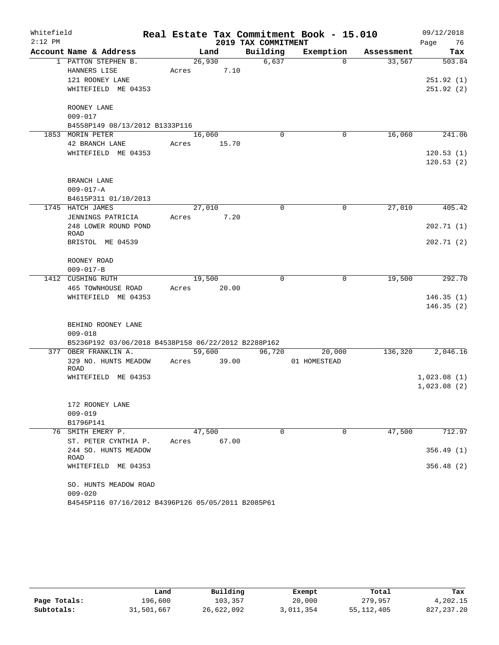| Whitefield |                                                     |        |       |                     | Real Estate Tax Commitment Book - 15.010 |            | 09/12/2018  |
|------------|-----------------------------------------------------|--------|-------|---------------------|------------------------------------------|------------|-------------|
| $2:12$ PM  |                                                     |        |       | 2019 TAX COMMITMENT |                                          |            | 76<br>Page  |
|            | Account Name & Address                              |        | Land  | Building            | Exemption                                | Assessment | Tax         |
|            | 1 PATTON STEPHEN B.                                 | 26,930 |       | 6,637               | $\Omega$                                 | 33,567     | 503.84      |
|            | HANNERS LISE                                        | Acres  | 7.10  |                     |                                          |            |             |
|            | 121 ROONEY LANE                                     |        |       |                     |                                          |            | 251.92(1)   |
|            | WHITEFIELD ME 04353                                 |        |       |                     |                                          |            | 251.92(2)   |
|            | ROONEY LANE                                         |        |       |                     |                                          |            |             |
|            | $009 - 017$                                         |        |       |                     |                                          |            |             |
|            | B4558P149 08/13/2012 B1333P116                      |        |       |                     |                                          |            |             |
|            | 1853 MORIN PETER                                    | 16,060 |       | $\Omega$            | 0                                        | 16,060     | 241.06      |
|            | 42 BRANCH LANE                                      | Acres  | 15.70 |                     |                                          |            |             |
|            | WHITEFIELD ME 04353                                 |        |       |                     |                                          |            | 120.53(1)   |
|            |                                                     |        |       |                     |                                          |            | 120.53(2)   |
|            | BRANCH LANE                                         |        |       |                     |                                          |            |             |
|            | $009 - 017 - A$                                     |        |       |                     |                                          |            |             |
|            | B4615P311 01/10/2013                                |        |       |                     |                                          |            |             |
|            | 1745 HATCH JAMES                                    | 27,010 |       | $\Omega$            | $\mathbf 0$                              | 27,010     | 405.42      |
|            | JENNINGS PATRICIA                                   | Acres  | 7.20  |                     |                                          |            |             |
|            | 248 LOWER ROUND POND                                |        |       |                     |                                          |            | 202.71(1)   |
|            | ROAD                                                |        |       |                     |                                          |            |             |
|            | BRISTOL ME 04539                                    |        |       |                     |                                          |            | 202.71(2)   |
|            | ROONEY ROAD                                         |        |       |                     |                                          |            |             |
|            | $009 - 017 - B$                                     |        |       |                     |                                          |            |             |
|            | 1412 CUSHING RUTH                                   | 19,500 |       | $\Omega$            | 0                                        | 19,500     | 292.70      |
|            | 465 TOWNHOUSE ROAD                                  | Acres  | 20.00 |                     |                                          |            |             |
|            | WHITEFIELD ME 04353                                 |        |       |                     |                                          |            | 146.35(1)   |
|            |                                                     |        |       |                     |                                          |            | 146.35(2)   |
|            | BEHIND ROONEY LANE                                  |        |       |                     |                                          |            |             |
|            | $009 - 018$                                         |        |       |                     |                                          |            |             |
|            | B5236P192 03/06/2018 B4538P158 06/22/2012 B2288P162 |        |       |                     |                                          |            |             |
|            | 377 OBER FRANKLIN A.                                | 59,600 |       | 96,720              | 20,000                                   | 136,320    | 2,046.16    |
|            | 329 NO. HUNTS MEADOW                                | Acres  | 39.00 |                     | 01 HOMESTEAD                             |            |             |
|            | <b>ROAD</b>                                         |        |       |                     |                                          |            |             |
|            | WHITEFIELD ME 04353                                 |        |       |                     |                                          |            | 1,023.08(1) |
|            |                                                     |        |       |                     |                                          |            | 1,023.08(2) |
|            | 172 ROONEY LANE                                     |        |       |                     |                                          |            |             |
|            | $009 - 019$                                         |        |       |                     |                                          |            |             |
|            | B1796P141                                           |        |       |                     |                                          |            |             |
|            | 76 SMITH EMERY P.                                   | 47,500 |       | 0                   | 0                                        | 47,500     | 712.97      |
|            | ST. PETER CYNTHIA P.                                | Acres  | 67.00 |                     |                                          |            |             |
|            | 244 SO. HUNTS MEADOW<br>ROAD                        |        |       |                     |                                          |            | 356.49(1)   |
|            | WHITEFIELD ME 04353                                 |        |       |                     |                                          |            | 356.48 (2)  |
|            |                                                     |        |       |                     |                                          |            |             |
|            | SO. HUNTS MEADOW ROAD<br>$009 - 020$                |        |       |                     |                                          |            |             |
|            | B4545P116 07/16/2012 B4396P126 05/05/2011 B2085P61  |        |       |                     |                                          |            |             |
|            |                                                     |        |       |                     |                                          |            |             |

|              | Land       | Building   | Exempt    | Total        | Tax          |
|--------------|------------|------------|-----------|--------------|--------------|
| Page Totals: | 196,600    | 103,357    | 20,000    | 279,957      | 4,202.15     |
| Subtotals:   | 31,501,667 | 26,622,092 | 3,011,354 | 55, 112, 405 | 827, 237. 20 |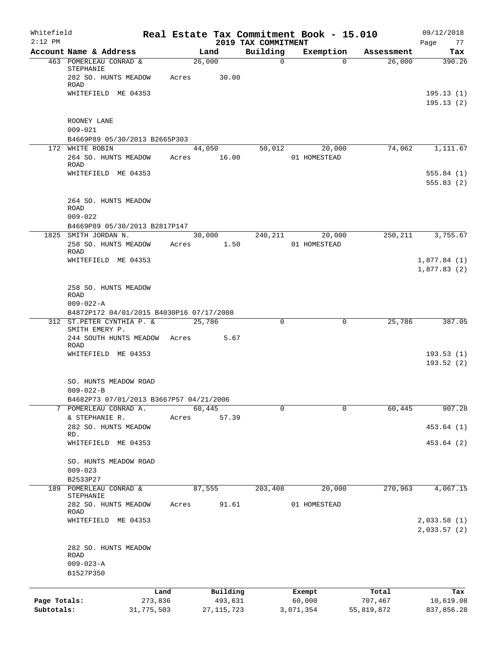| Whitefield<br>$2:12$ PM |                                                                       |            |       |              |                                 | Real Estate Tax Commitment Book - 15.010 |              |            | 09/12/2018        |
|-------------------------|-----------------------------------------------------------------------|------------|-------|--------------|---------------------------------|------------------------------------------|--------------|------------|-------------------|
|                         | Account Name & Address                                                |            |       | Land         | 2019 TAX COMMITMENT<br>Building | Exemption                                |              | Assessment | Page<br>77<br>Tax |
|                         | 463 POMERLEAU CONRAD &                                                |            |       | 26,000       | $\mathbf 0$                     |                                          | $\Omega$     | 26,000     | 390.26            |
|                         | STEPHANIE<br>282 SO. HUNTS MEADOW                                     |            | Acres | 30.00        |                                 |                                          |              |            |                   |
|                         | ROAD<br>WHITEFIELD ME 04353                                           |            |       |              |                                 |                                          |              |            | 195.13(1)         |
|                         |                                                                       |            |       |              |                                 |                                          |              |            | 195.13(2)         |
|                         | ROONEY LANE                                                           |            |       |              |                                 |                                          |              |            |                   |
|                         | $009 - 021$                                                           |            |       |              |                                 |                                          |              |            |                   |
|                         | B4669P89 05/30/2013 B2665P303<br>172 WHITE ROBIN                      |            |       | 44,050       | 50,012                          | 20,000                                   |              | 74,062     | 1,111.67          |
|                         | 264 SO. HUNTS MEADOW                                                  |            | Acres | 16.00        |                                 | 01 HOMESTEAD                             |              |            |                   |
|                         | <b>ROAD</b>                                                           |            |       |              |                                 |                                          |              |            |                   |
|                         | WHITEFIELD ME 04353                                                   |            |       |              |                                 |                                          |              |            | 555.84(1)         |
|                         |                                                                       |            |       |              |                                 |                                          |              |            | 555.83(2)         |
|                         | 264 SO. HUNTS MEADOW<br><b>ROAD</b>                                   |            |       |              |                                 |                                          |              |            |                   |
|                         | $009 - 022$                                                           |            |       |              |                                 |                                          |              |            |                   |
|                         | B4669P89 05/30/2013 B2817P147                                         |            |       |              |                                 |                                          |              |            |                   |
|                         | 1825 SMITH JORDAN N.                                                  |            |       | 30,000       | 240,211                         | 20,000                                   |              | 250,211    | 3,755.67          |
|                         | 258 SO. HUNTS MEADOW<br>ROAD                                          |            | Acres | 1.50         |                                 | 01 HOMESTEAD                             |              |            |                   |
|                         | WHITEFIELD ME 04353                                                   |            |       |              |                                 |                                          |              |            | 1,877.84(1)       |
|                         |                                                                       |            |       |              |                                 |                                          |              |            | 1,877.83(2)       |
|                         | 258 SO. HUNTS MEADOW                                                  |            |       |              |                                 |                                          |              |            |                   |
|                         | ROAD                                                                  |            |       |              |                                 |                                          |              |            |                   |
|                         | $009 - 022 - A$                                                       |            |       |              |                                 |                                          |              |            |                   |
|                         | B4872P172 04/01/2015 B4030P16 07/17/2008<br>312 ST.PETER CYNTHIA P. & |            |       | 25,786       | $\mathbf 0$                     |                                          | $\mathbf 0$  | 25,786     | 387.05            |
|                         | SMITH EMERY P.<br>244 SOUTH HUNTS MEADOW                              |            | Acres | 5.67         |                                 |                                          |              |            |                   |
|                         | <b>ROAD</b>                                                           |            |       |              |                                 |                                          |              |            |                   |
|                         | WHITEFIELD ME 04353                                                   |            |       |              |                                 |                                          |              |            | 193.53(1)         |
|                         |                                                                       |            |       |              |                                 |                                          |              |            | 193.52(2)         |
|                         | SO. HUNTS MEADOW ROAD                                                 |            |       |              |                                 |                                          |              |            |                   |
|                         | $009 - 022 - B$                                                       |            |       |              |                                 |                                          |              |            |                   |
|                         | B4682P73 07/01/2013 B3667P57 04/21/2006                               |            |       |              |                                 |                                          |              |            |                   |
|                         | 7 POMERLEAU CONRAD A.                                                 |            |       | 60,445       | $\mathbf 0$                     |                                          | $\mathbf 0$  | 60,445     | 907.28            |
|                         | & STEPHANIE R.<br>282 SO. HUNTS MEADOW                                |            | Acres | 57.39        |                                 |                                          |              |            | 453.64 (1)        |
|                         | RD.                                                                   |            |       |              |                                 |                                          |              |            |                   |
|                         | WHITEFIELD ME 04353                                                   |            |       |              |                                 |                                          |              |            | 453.64 (2)        |
|                         | SO. HUNTS MEADOW ROAD                                                 |            |       |              |                                 |                                          |              |            |                   |
|                         | $009 - 023$                                                           |            |       |              |                                 |                                          |              |            |                   |
|                         | B2533P27                                                              |            |       |              |                                 |                                          |              |            |                   |
| 189                     | POMERLEAU CONRAD &                                                    |            |       | 87,555       | 203,408                         | 20,000                                   |              | 270,963    | 4,067.15          |
|                         | STEPHANIE<br>282 SO. HUNTS MEADOW                                     |            | Acres | 91.61        |                                 | 01 HOMESTEAD                             |              |            |                   |
|                         | ROAD                                                                  |            |       |              |                                 |                                          |              |            |                   |
|                         | WHITEFIELD ME 04353                                                   |            |       |              |                                 |                                          |              |            | 2,033.58(1)       |
|                         |                                                                       |            |       |              |                                 |                                          |              |            | 2,033.57(2)       |
|                         | 282 SO. HUNTS MEADOW                                                  |            |       |              |                                 |                                          |              |            |                   |
|                         | ROAD                                                                  |            |       |              |                                 |                                          |              |            |                   |
|                         | $009 - 023 - A$<br>B1527P350                                          |            |       |              |                                 |                                          |              |            |                   |
|                         |                                                                       |            |       |              |                                 |                                          |              |            |                   |
|                         |                                                                       | Land       |       | Building     |                                 | Exempt                                   |              | Total      | Tax               |
| Page Totals:            |                                                                       | 273,836    |       | 493,631      |                                 | 60,000                                   |              | 707,467    | 10,619.08         |
| Subtotals:              |                                                                       | 31,775,503 |       | 27, 115, 723 |                                 | 3,071,354                                | 55, 819, 872 |            | 837,856.28        |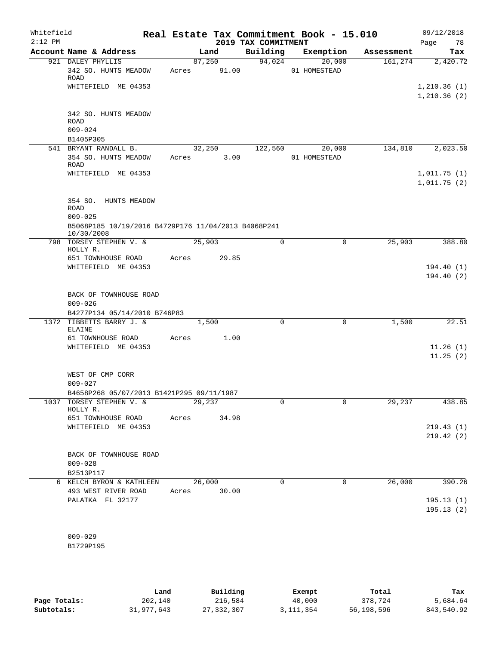| Whitefield<br>$2:12$ PM |                                                                                 |             |                 | 2019 TAX COMMITMENT | Real Estate Tax Commitment Book - 15.010 |            | 09/12/2018<br>78<br>Page                 |
|-------------------------|---------------------------------------------------------------------------------|-------------|-----------------|---------------------|------------------------------------------|------------|------------------------------------------|
|                         | Account Name & Address                                                          |             | Land            | Building            | Exemption                                | Assessment | Tax                                      |
|                         | 921 DALEY PHYLLIS<br>342 SO. HUNTS MEADOW<br><b>ROAD</b><br>WHITEFIELD ME 04353 | Acres       | 87,250<br>91.00 | 94,024              | 20,000<br>01 HOMESTEAD                   | 161, 274   | 2,420.72<br>1, 210.36(1)<br>1, 210.36(2) |
|                         | 342 SO. HUNTS MEADOW<br><b>ROAD</b><br>$009 - 024$<br>B1405P305                 |             |                 |                     |                                          |            |                                          |
|                         | 541 BRYANT RANDALL B.                                                           | 32,250      |                 | 122,560             | 20,000                                   | 134,810    | 2,023.50                                 |
|                         | 354 SO. HUNTS MEADOW<br>ROAD                                                    | Acres       | 3.00            |                     | 01 HOMESTEAD                             |            |                                          |
|                         | WHITEFIELD ME 04353                                                             |             |                 |                     |                                          |            | 1,011.75(1)<br>1,011.75(2)               |
|                         | 354 SO. HUNTS MEADOW<br><b>ROAD</b><br>$009 - 025$                              |             |                 |                     |                                          |            |                                          |
|                         | B5068P185 10/19/2016 B4729P176 11/04/2013 B4068P241<br>10/30/2008               |             |                 |                     |                                          |            |                                          |
|                         | 798 TORSEY STEPHEN V. &<br>HOLLY R.                                             | 25,903      |                 | $\mathbf 0$         | $\mathbf 0$                              | 25,903     | 388.80                                   |
|                         | 651 TOWNHOUSE ROAD                                                              | Acres       | 29.85           |                     |                                          |            |                                          |
|                         | WHITEFIELD ME 04353                                                             |             |                 |                     |                                          |            | 194.40(1)<br>194.40(2)                   |
|                         | BACK OF TOWNHOUSE ROAD<br>$009 - 026$<br>B4277P134 05/14/2010 B746P83           |             |                 |                     |                                          |            |                                          |
|                         | 1372 TIBBETTS BARRY J. &<br><b>ELAINE</b>                                       |             | 1,500           | 0                   | 0                                        | 1,500      | 22.51                                    |
|                         | 61 TOWNHOUSE ROAD                                                               | Acres       | 1.00            |                     |                                          |            |                                          |
|                         | WHITEFIELD ME 04353                                                             |             |                 |                     |                                          |            | 11.26(1)<br>11.25(2)                     |
|                         | WEST OF CMP CORR<br>$009 - 027$                                                 |             |                 |                     |                                          |            |                                          |
|                         | B4658P268 05/07/2013 B1421P295 09/11/1987                                       |             |                 |                     |                                          |            |                                          |
|                         | 1037 TORSEY STEPHEN V. &<br>HOLLY R.                                            | 29,237      |                 | 0                   | 0                                        | 29,237     | 438.85                                   |
|                         | 651 TOWNHOUSE ROAD                                                              | Acres       | 34.98           |                     |                                          |            |                                          |
|                         | WHITEFIELD ME 04353                                                             |             |                 |                     |                                          |            | 219.43(1)<br>219.42(2)                   |
|                         | BACK OF TOWNHOUSE ROAD<br>$009 - 028$                                           |             |                 |                     |                                          |            |                                          |
|                         | B2513P117                                                                       |             |                 |                     |                                          |            |                                          |
|                         | 6 KELCH BYRON & KATHLEEN                                                        |             | 26,000          | 0                   | 0                                        | 26,000     | 390.26                                   |
|                         | 493 WEST RIVER ROAD                                                             | Acres 30.00 |                 |                     |                                          |            |                                          |
|                         | PALATKA FL 32177                                                                |             |                 |                     |                                          |            | 195.13(1)<br>195.13(2)                   |
|                         |                                                                                 |             |                 |                     |                                          |            |                                          |
|                         | $009 - 029$<br>B1729P195                                                        |             |                 |                     |                                          |            |                                          |

**Page Totals:** 202,140 216,584 40,000 378,724 5,684.64<br>**202,140 27,332,307 3,111,354** 56,198,596 843,540.92 **Subtotals:** 31,977,643 27,332,307 3,111,354 56,198,596 843,540.92 **Land Building Exempt Total Tax**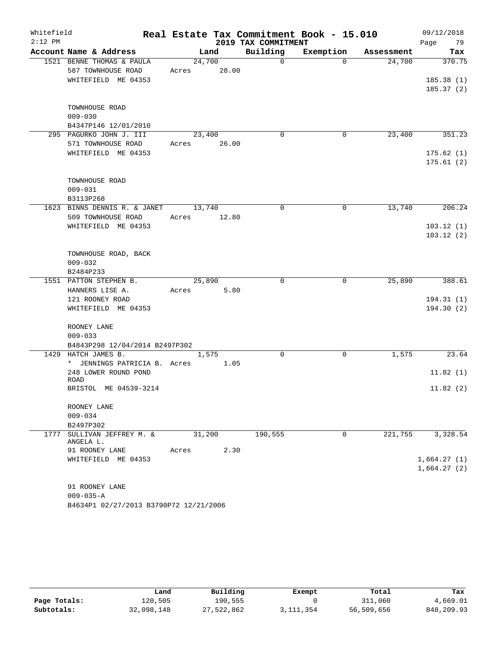| Whitefield |                                                 |                 |       |                     | Real Estate Tax Commitment Book - 15.010 |            | 09/12/2018  |
|------------|-------------------------------------------------|-----------------|-------|---------------------|------------------------------------------|------------|-------------|
| $2:12$ PM  |                                                 |                 |       | 2019 TAX COMMITMENT |                                          |            | Page<br>79  |
|            | Account Name & Address                          |                 | Land  | Building            | Exemption                                | Assessment | Tax         |
|            | 1521 BENNE THOMAS & PAULA<br>587 TOWNHOUSE ROAD | 24,700<br>Acres | 28.00 | $\mathbf 0$         | $\Omega$                                 | 24,700     | 370.75      |
|            | WHITEFIELD ME 04353                             |                 |       |                     |                                          |            | 185.38(1)   |
|            |                                                 |                 |       |                     |                                          |            | 185.37(2)   |
|            | TOWNHOUSE ROAD                                  |                 |       |                     |                                          |            |             |
|            | $009 - 030$                                     |                 |       |                     |                                          |            |             |
|            | B4347P146 12/01/2010                            |                 |       |                     |                                          |            |             |
|            | 295 PAGURKO JOHN J. III                         | 23,400          |       | $\mathbf 0$         | 0                                        | 23,400     | 351.23      |
|            | 571 TOWNHOUSE ROAD                              | Acres           | 26.00 |                     |                                          |            |             |
|            | WHITEFIELD ME 04353                             |                 |       |                     |                                          |            | 175.62(1)   |
|            |                                                 |                 |       |                     |                                          |            | 175.61(2)   |
|            |                                                 |                 |       |                     |                                          |            |             |
|            | TOWNHOUSE ROAD                                  |                 |       |                     |                                          |            |             |
|            | $009 - 031$<br>B3113P268                        |                 |       |                     |                                          |            |             |
|            | 1623 BINNS DENNIS R. & JANET                    | 13,740          |       | $\mathbf 0$         | 0                                        | 13,740     | 206.24      |
|            | 509 TOWNHOUSE ROAD                              | Acres           | 12.80 |                     |                                          |            |             |
|            | WHITEFIELD ME 04353                             |                 |       |                     |                                          |            | 103.12(1)   |
|            |                                                 |                 |       |                     |                                          |            | 103.12(2)   |
|            |                                                 |                 |       |                     |                                          |            |             |
|            | TOWNHOUSE ROAD, BACK                            |                 |       |                     |                                          |            |             |
|            | $009 - 032$                                     |                 |       |                     |                                          |            |             |
|            | B2484P233                                       |                 |       |                     |                                          |            |             |
|            | 1551 PATTON STEPHEN B.                          | 25,890          |       | $\mathbf 0$         | $\mathbf 0$                              | 25,890     | 388.61      |
|            | HANNERS LISE A.                                 | Acres           | 5.80  |                     |                                          |            |             |
|            | 121 ROONEY ROAD                                 |                 |       |                     |                                          |            | 194.31(1)   |
|            | WHITEFIELD ME 04353                             |                 |       |                     |                                          |            | 194.30(2)   |
|            |                                                 |                 |       |                     |                                          |            |             |
|            | ROONEY LANE                                     |                 |       |                     |                                          |            |             |
|            | $009 - 033$                                     |                 |       |                     |                                          |            |             |
|            | B4843P298 12/04/2014 B2497P302                  |                 |       |                     |                                          |            |             |
| 1429       | HATCH JAMES B.                                  | 1,575           |       | $\mathbf 0$         | 0                                        | 1,575      | 23.64       |
|            | * JENNINGS PATRICIA B. Acres                    |                 | 1.05  |                     |                                          |            |             |
|            | 248 LOWER ROUND POND                            |                 |       |                     |                                          |            | 11.82(1)    |
|            | ROAD<br>BRISTOL ME 04539-3214                   |                 |       |                     |                                          |            | 11.82(2)    |
|            |                                                 |                 |       |                     |                                          |            |             |
|            | ROONEY LANE                                     |                 |       |                     |                                          |            |             |
|            | $009 - 034$                                     |                 |       |                     |                                          |            |             |
|            | B2497P302                                       |                 |       |                     |                                          |            |             |
|            | 1777 SULLIVAN JEFFREY M. &                      | 31,200          |       | 190,555             | 0                                        | 221,755    | 3,328.54    |
|            | ANGELA L.                                       |                 |       |                     |                                          |            |             |
|            | 91 ROONEY LANE                                  | Acres           | 2.30  |                     |                                          |            |             |
|            | WHITEFIELD ME 04353                             |                 |       |                     |                                          |            | 1,664.27(1) |
|            |                                                 |                 |       |                     |                                          |            | 1,664.27(2) |
|            |                                                 |                 |       |                     |                                          |            |             |
|            | 91 ROONEY LANE                                  |                 |       |                     |                                          |            |             |
|            | $009 - 035 - A$                                 |                 |       |                     |                                          |            |             |
|            | B4634P1 02/27/2013 B3790P72 12/21/2006          |                 |       |                     |                                          |            |             |

|              | Land       | Building   | Exempt      | Total      | Tax        |
|--------------|------------|------------|-------------|------------|------------|
| Page Totals: | 120,505    | 190,555    |             | 311,060    | 4,669.01   |
| Subtotals:   | 32,098,148 | 27,522,862 | 3, 111, 354 | 56,509,656 | 848,209.93 |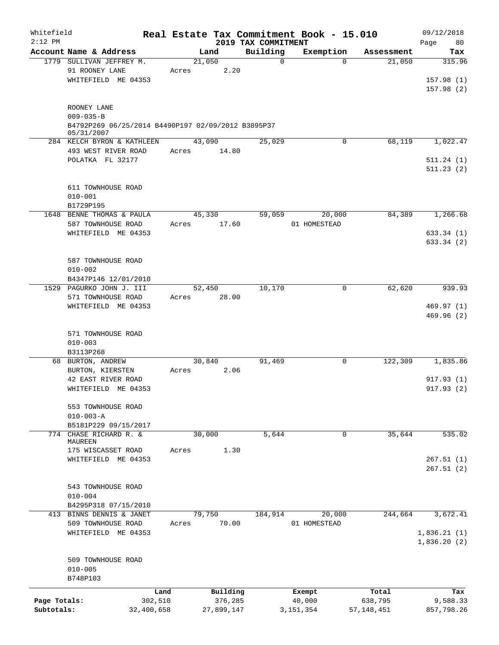| Whitefield<br>$2:12$ PM    |                                                                                      |       |                                   | 2019 TAX COMMITMENT | Real Estate Tax Commitment Book - 15.010 |                                  | 09/12/2018<br>80<br>Page      |
|----------------------------|--------------------------------------------------------------------------------------|-------|-----------------------------------|---------------------|------------------------------------------|----------------------------------|-------------------------------|
|                            | Account Name & Address                                                               |       | Land                              | Building            | Exemption                                | Assessment                       | Tax                           |
|                            | 1779 SULLIVAN JEFFREY M.<br>91 ROONEY LANE                                           |       | 21,050                            | $\mathbf 0$<br>2.20 | $\Omega$                                 | 21,050                           | 315.96                        |
|                            | WHITEFIELD ME 04353                                                                  | Acres |                                   |                     |                                          |                                  | 157.98(1)<br>157.98(2)        |
|                            | ROONEY LANE<br>$009 - 035 - B$<br>B4792P269 06/25/2014 B4490P197 02/09/2012 B3895P37 |       |                                   |                     |                                          |                                  |                               |
|                            | 05/31/2007<br>284 KELCH BYRON & KATHLEEN                                             |       | 43,090                            | 25,029              | 0                                        | 68,119                           | 1,022.47                      |
|                            | 493 WEST RIVER ROAD                                                                  | Acres | 14.80                             |                     |                                          |                                  |                               |
|                            | POLATKA FL 32177                                                                     |       |                                   |                     |                                          |                                  | 511.24(1)<br>511.23(2)        |
|                            | 611 TOWNHOUSE ROAD<br>$010 - 001$<br>B1729P195                                       |       |                                   |                     |                                          |                                  |                               |
|                            | 1648 BENNE THOMAS & PAULA<br>587 TOWNHOUSE ROAD                                      | Acres | 45,330<br>17.60                   | 59,059              | 20,000<br>01 HOMESTEAD                   | 84,389                           | 1,266.68                      |
|                            | WHITEFIELD ME 04353                                                                  |       |                                   |                     |                                          |                                  | 633.34 (1)<br>633.34 (2)      |
|                            | 587 TOWNHOUSE ROAD<br>$010 - 002$                                                    |       |                                   |                     |                                          |                                  |                               |
|                            | B4347P146 12/01/2010                                                                 |       |                                   |                     |                                          |                                  |                               |
|                            | 1529 PAGURKO JOHN J. III<br>571 TOWNHOUSE ROAD                                       | Acres | 52,450<br>28.00                   | 10,170              | 0                                        | 62,620                           | 939.93                        |
|                            | WHITEFIELD ME 04353                                                                  |       |                                   |                     |                                          |                                  | 469.97(1)<br>469.96(2)        |
|                            | 571 TOWNHOUSE ROAD<br>$010 - 003$<br>B3113P268                                       |       |                                   |                     |                                          |                                  |                               |
|                            | 68 BURTON, ANDREW                                                                    |       | 30,840                            | 91,469              | $\mathbf 0$                              | 122,309                          | 1,835.86                      |
|                            | BURTON, KIERSTEN<br>42 EAST RIVER ROAD<br>WHITEFIELD ME 04353                        | Acres |                                   | 2.06                |                                          |                                  | 917.93(1)<br>917.93(2)        |
|                            | 553 TOWNHOUSE ROAD<br>$010 - 003 - A$                                                |       |                                   |                     |                                          |                                  |                               |
|                            | B5181P229 09/15/2017<br>774 CHASE RICHARD R. &                                       |       | 30,000                            | 5,644               | 0                                        | 35,644                           | 535.02                        |
|                            | MAUREEN                                                                              |       |                                   |                     |                                          |                                  |                               |
|                            | 175 WISCASSET ROAD<br>WHITEFIELD ME 04353                                            | Acres |                                   | 1.30                |                                          |                                  | 267.51(1)<br>267.51(2)        |
|                            | 543 TOWNHOUSE ROAD<br>$010 - 004$                                                    |       |                                   |                     |                                          |                                  |                               |
|                            | B4295P318 07/15/2010                                                                 |       |                                   |                     |                                          |                                  |                               |
|                            | 413 BINNS DENNIS & JANET<br>509 TOWNHOUSE ROAD                                       | Acres | 79,750<br>70.00                   | 184,914             | 20,000<br>01 HOMESTEAD                   | 244,664                          | 3,672.41                      |
|                            | WHITEFIELD ME 04353                                                                  |       |                                   |                     |                                          |                                  | 1,836.21(1)<br>1,836.20(2)    |
|                            | 509 TOWNHOUSE ROAD<br>$010 - 005$<br>B748P103                                        |       |                                   |                     |                                          |                                  |                               |
| Page Totals:<br>Subtotals: | Land<br>302,510<br>32,400,658                                                        |       | Building<br>376,285<br>27,899,147 |                     | Exempt<br>40,000<br>3, 151, 354          | Total<br>638,795<br>57, 148, 451 | Tax<br>9,588.33<br>857,798.26 |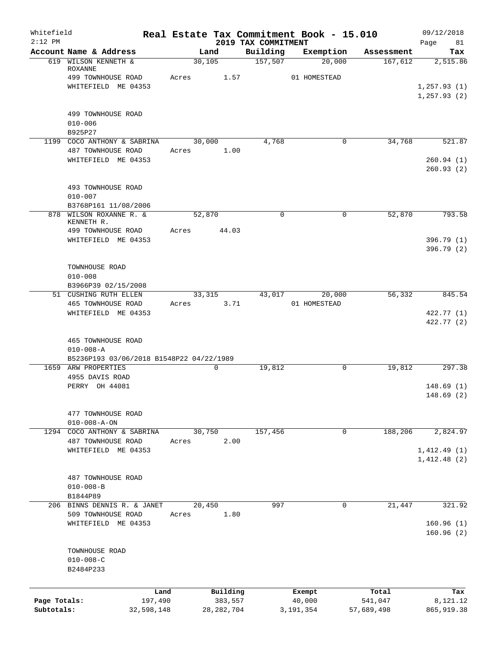| Account Name & Address<br>Building<br>Exemption<br>Land<br>Assessment<br>157,507<br>30,105<br>20,000<br>167,612<br>619 WILSON KENNETH &<br><b>ROXANNE</b><br>499 TOWNHOUSE ROAD<br>Acres<br>1.57<br>01 HOMESTEAD<br>WHITEFIELD ME 04353<br>499 TOWNHOUSE ROAD<br>$010 - 006$<br>B925P27<br>4,768<br>34,768<br>1199 COCO ANTHONY & SABRINA<br>30,000<br>0<br>1.00<br>487 TOWNHOUSE ROAD<br>Acres<br>WHITEFIELD ME 04353<br>260.94(1)<br>493 TOWNHOUSE ROAD<br>$010 - 007$<br>B3768P161 11/08/2006<br>878 WILSON ROXANNE R. &<br>52,870<br>$\mathbf 0$<br>52,870<br>0<br>KENNETH R.<br>499 TOWNHOUSE ROAD<br>44.03<br>Acres<br>WHITEFIELD ME 04353<br>TOWNHOUSE ROAD<br>$010 - 008$<br>B3966P39 02/15/2008<br>56,332<br>51 CUSHING RUTH ELLEN<br>43,017<br>20,000<br>33,315<br>465 TOWNHOUSE ROAD<br>3.71<br>01 HOMESTEAD<br>Acres<br>WHITEFIELD ME 04353<br><b>465 TOWNHOUSE ROAD</b><br>$010 - 008 - A$<br>B5236P193 03/06/2018 B1548P22 04/22/1989<br>19,812<br>$\mathbf 0$<br>1659 ARW PROPERTIES<br>19,812<br>0<br>4955 DAVIS ROAD<br>PERRY OH 44081<br>477 TOWNHOUSE ROAD<br>$010 - 008 - A - ON$<br>157,456<br>188,206<br>1294 COCO ANTHONY & SABRINA<br>30,750<br>$\mathbf 0$<br>2.00<br>487 TOWNHOUSE ROAD<br>Acres<br>WHITEFIELD ME 04353<br>1,412.48(2)<br>487 TOWNHOUSE ROAD<br>$010 - 008 - B$<br>B1844P89 | Whitefield<br>$2:12$ PM |  | 2019 TAX COMMITMENT | Real Estate Tax Commitment Book - 15.010 | 09/12/2018<br>Page<br>81 |
|-----------------------------------------------------------------------------------------------------------------------------------------------------------------------------------------------------------------------------------------------------------------------------------------------------------------------------------------------------------------------------------------------------------------------------------------------------------------------------------------------------------------------------------------------------------------------------------------------------------------------------------------------------------------------------------------------------------------------------------------------------------------------------------------------------------------------------------------------------------------------------------------------------------------------------------------------------------------------------------------------------------------------------------------------------------------------------------------------------------------------------------------------------------------------------------------------------------------------------------------------------------------------------------------------------------------------|-------------------------|--|---------------------|------------------------------------------|--------------------------|
|                                                                                                                                                                                                                                                                                                                                                                                                                                                                                                                                                                                                                                                                                                                                                                                                                                                                                                                                                                                                                                                                                                                                                                                                                                                                                                                       |                         |  |                     |                                          | Tax                      |
|                                                                                                                                                                                                                                                                                                                                                                                                                                                                                                                                                                                                                                                                                                                                                                                                                                                                                                                                                                                                                                                                                                                                                                                                                                                                                                                       |                         |  |                     |                                          | 2,515.86                 |
|                                                                                                                                                                                                                                                                                                                                                                                                                                                                                                                                                                                                                                                                                                                                                                                                                                                                                                                                                                                                                                                                                                                                                                                                                                                                                                                       |                         |  |                     |                                          |                          |
|                                                                                                                                                                                                                                                                                                                                                                                                                                                                                                                                                                                                                                                                                                                                                                                                                                                                                                                                                                                                                                                                                                                                                                                                                                                                                                                       |                         |  |                     |                                          | 1, 257.93(1)             |
|                                                                                                                                                                                                                                                                                                                                                                                                                                                                                                                                                                                                                                                                                                                                                                                                                                                                                                                                                                                                                                                                                                                                                                                                                                                                                                                       |                         |  |                     |                                          | 1, 257.93(2)             |
|                                                                                                                                                                                                                                                                                                                                                                                                                                                                                                                                                                                                                                                                                                                                                                                                                                                                                                                                                                                                                                                                                                                                                                                                                                                                                                                       |                         |  |                     |                                          |                          |
|                                                                                                                                                                                                                                                                                                                                                                                                                                                                                                                                                                                                                                                                                                                                                                                                                                                                                                                                                                                                                                                                                                                                                                                                                                                                                                                       |                         |  |                     |                                          |                          |
|                                                                                                                                                                                                                                                                                                                                                                                                                                                                                                                                                                                                                                                                                                                                                                                                                                                                                                                                                                                                                                                                                                                                                                                                                                                                                                                       |                         |  |                     |                                          |                          |
|                                                                                                                                                                                                                                                                                                                                                                                                                                                                                                                                                                                                                                                                                                                                                                                                                                                                                                                                                                                                                                                                                                                                                                                                                                                                                                                       |                         |  |                     |                                          | 521.87                   |
|                                                                                                                                                                                                                                                                                                                                                                                                                                                                                                                                                                                                                                                                                                                                                                                                                                                                                                                                                                                                                                                                                                                                                                                                                                                                                                                       |                         |  |                     |                                          |                          |
|                                                                                                                                                                                                                                                                                                                                                                                                                                                                                                                                                                                                                                                                                                                                                                                                                                                                                                                                                                                                                                                                                                                                                                                                                                                                                                                       |                         |  |                     |                                          | 260.93(2)                |
|                                                                                                                                                                                                                                                                                                                                                                                                                                                                                                                                                                                                                                                                                                                                                                                                                                                                                                                                                                                                                                                                                                                                                                                                                                                                                                                       |                         |  |                     |                                          |                          |
|                                                                                                                                                                                                                                                                                                                                                                                                                                                                                                                                                                                                                                                                                                                                                                                                                                                                                                                                                                                                                                                                                                                                                                                                                                                                                                                       |                         |  |                     |                                          |                          |
|                                                                                                                                                                                                                                                                                                                                                                                                                                                                                                                                                                                                                                                                                                                                                                                                                                                                                                                                                                                                                                                                                                                                                                                                                                                                                                                       |                         |  |                     |                                          |                          |
|                                                                                                                                                                                                                                                                                                                                                                                                                                                                                                                                                                                                                                                                                                                                                                                                                                                                                                                                                                                                                                                                                                                                                                                                                                                                                                                       |                         |  |                     |                                          | 793.58                   |
|                                                                                                                                                                                                                                                                                                                                                                                                                                                                                                                                                                                                                                                                                                                                                                                                                                                                                                                                                                                                                                                                                                                                                                                                                                                                                                                       |                         |  |                     |                                          |                          |
|                                                                                                                                                                                                                                                                                                                                                                                                                                                                                                                                                                                                                                                                                                                                                                                                                                                                                                                                                                                                                                                                                                                                                                                                                                                                                                                       |                         |  |                     |                                          | 396.79(1)<br>396.79 (2)  |
|                                                                                                                                                                                                                                                                                                                                                                                                                                                                                                                                                                                                                                                                                                                                                                                                                                                                                                                                                                                                                                                                                                                                                                                                                                                                                                                       |                         |  |                     |                                          |                          |
|                                                                                                                                                                                                                                                                                                                                                                                                                                                                                                                                                                                                                                                                                                                                                                                                                                                                                                                                                                                                                                                                                                                                                                                                                                                                                                                       |                         |  |                     |                                          |                          |
|                                                                                                                                                                                                                                                                                                                                                                                                                                                                                                                                                                                                                                                                                                                                                                                                                                                                                                                                                                                                                                                                                                                                                                                                                                                                                                                       |                         |  |                     |                                          |                          |
|                                                                                                                                                                                                                                                                                                                                                                                                                                                                                                                                                                                                                                                                                                                                                                                                                                                                                                                                                                                                                                                                                                                                                                                                                                                                                                                       |                         |  |                     |                                          | 845.54                   |
|                                                                                                                                                                                                                                                                                                                                                                                                                                                                                                                                                                                                                                                                                                                                                                                                                                                                                                                                                                                                                                                                                                                                                                                                                                                                                                                       |                         |  |                     |                                          |                          |
|                                                                                                                                                                                                                                                                                                                                                                                                                                                                                                                                                                                                                                                                                                                                                                                                                                                                                                                                                                                                                                                                                                                                                                                                                                                                                                                       |                         |  |                     |                                          | 422.77 (1)<br>422.77 (2) |
|                                                                                                                                                                                                                                                                                                                                                                                                                                                                                                                                                                                                                                                                                                                                                                                                                                                                                                                                                                                                                                                                                                                                                                                                                                                                                                                       |                         |  |                     |                                          |                          |
|                                                                                                                                                                                                                                                                                                                                                                                                                                                                                                                                                                                                                                                                                                                                                                                                                                                                                                                                                                                                                                                                                                                                                                                                                                                                                                                       |                         |  |                     |                                          |                          |
|                                                                                                                                                                                                                                                                                                                                                                                                                                                                                                                                                                                                                                                                                                                                                                                                                                                                                                                                                                                                                                                                                                                                                                                                                                                                                                                       |                         |  |                     |                                          | 297.38                   |
|                                                                                                                                                                                                                                                                                                                                                                                                                                                                                                                                                                                                                                                                                                                                                                                                                                                                                                                                                                                                                                                                                                                                                                                                                                                                                                                       |                         |  |                     |                                          |                          |
|                                                                                                                                                                                                                                                                                                                                                                                                                                                                                                                                                                                                                                                                                                                                                                                                                                                                                                                                                                                                                                                                                                                                                                                                                                                                                                                       |                         |  |                     |                                          | 148.69(1)<br>148.69 (2)  |
|                                                                                                                                                                                                                                                                                                                                                                                                                                                                                                                                                                                                                                                                                                                                                                                                                                                                                                                                                                                                                                                                                                                                                                                                                                                                                                                       |                         |  |                     |                                          |                          |
|                                                                                                                                                                                                                                                                                                                                                                                                                                                                                                                                                                                                                                                                                                                                                                                                                                                                                                                                                                                                                                                                                                                                                                                                                                                                                                                       |                         |  |                     |                                          |                          |
|                                                                                                                                                                                                                                                                                                                                                                                                                                                                                                                                                                                                                                                                                                                                                                                                                                                                                                                                                                                                                                                                                                                                                                                                                                                                                                                       |                         |  |                     |                                          | 2,824.97                 |
|                                                                                                                                                                                                                                                                                                                                                                                                                                                                                                                                                                                                                                                                                                                                                                                                                                                                                                                                                                                                                                                                                                                                                                                                                                                                                                                       |                         |  |                     |                                          |                          |
|                                                                                                                                                                                                                                                                                                                                                                                                                                                                                                                                                                                                                                                                                                                                                                                                                                                                                                                                                                                                                                                                                                                                                                                                                                                                                                                       |                         |  |                     |                                          | 1,412.49(1)              |
|                                                                                                                                                                                                                                                                                                                                                                                                                                                                                                                                                                                                                                                                                                                                                                                                                                                                                                                                                                                                                                                                                                                                                                                                                                                                                                                       |                         |  |                     |                                          |                          |
|                                                                                                                                                                                                                                                                                                                                                                                                                                                                                                                                                                                                                                                                                                                                                                                                                                                                                                                                                                                                                                                                                                                                                                                                                                                                                                                       |                         |  |                     |                                          |                          |
|                                                                                                                                                                                                                                                                                                                                                                                                                                                                                                                                                                                                                                                                                                                                                                                                                                                                                                                                                                                                                                                                                                                                                                                                                                                                                                                       |                         |  |                     |                                          |                          |
| 20,450<br>997<br>21,447<br>206 BINNS DENNIS R. & JANET<br>0                                                                                                                                                                                                                                                                                                                                                                                                                                                                                                                                                                                                                                                                                                                                                                                                                                                                                                                                                                                                                                                                                                                                                                                                                                                           |                         |  |                     |                                          | 321.92                   |
| 509 TOWNHOUSE ROAD<br>1.80<br>Acres                                                                                                                                                                                                                                                                                                                                                                                                                                                                                                                                                                                                                                                                                                                                                                                                                                                                                                                                                                                                                                                                                                                                                                                                                                                                                   |                         |  |                     |                                          |                          |
| WHITEFIELD ME 04353                                                                                                                                                                                                                                                                                                                                                                                                                                                                                                                                                                                                                                                                                                                                                                                                                                                                                                                                                                                                                                                                                                                                                                                                                                                                                                   |                         |  |                     |                                          | 160.96(1)                |
|                                                                                                                                                                                                                                                                                                                                                                                                                                                                                                                                                                                                                                                                                                                                                                                                                                                                                                                                                                                                                                                                                                                                                                                                                                                                                                                       |                         |  |                     |                                          | 160.96(2)                |
| TOWNHOUSE ROAD                                                                                                                                                                                                                                                                                                                                                                                                                                                                                                                                                                                                                                                                                                                                                                                                                                                                                                                                                                                                                                                                                                                                                                                                                                                                                                        |                         |  |                     |                                          |                          |
| $010 - 008 - C$                                                                                                                                                                                                                                                                                                                                                                                                                                                                                                                                                                                                                                                                                                                                                                                                                                                                                                                                                                                                                                                                                                                                                                                                                                                                                                       |                         |  |                     |                                          |                          |
| B2484P233                                                                                                                                                                                                                                                                                                                                                                                                                                                                                                                                                                                                                                                                                                                                                                                                                                                                                                                                                                                                                                                                                                                                                                                                                                                                                                             |                         |  |                     |                                          |                          |
|                                                                                                                                                                                                                                                                                                                                                                                                                                                                                                                                                                                                                                                                                                                                                                                                                                                                                                                                                                                                                                                                                                                                                                                                                                                                                                                       |                         |  |                     |                                          |                          |
| Building<br>Land<br>Total<br>Exempt<br>Page Totals:<br>197,490<br>383,557<br>40,000<br>541,047                                                                                                                                                                                                                                                                                                                                                                                                                                                                                                                                                                                                                                                                                                                                                                                                                                                                                                                                                                                                                                                                                                                                                                                                                        |                         |  |                     |                                          | Tax<br>8,121.12          |
| Subtotals:<br>32,598,148<br>28, 282, 704<br>3, 191, 354<br>57,689,498                                                                                                                                                                                                                                                                                                                                                                                                                                                                                                                                                                                                                                                                                                                                                                                                                                                                                                                                                                                                                                                                                                                                                                                                                                                 |                         |  |                     |                                          | 865, 919.38              |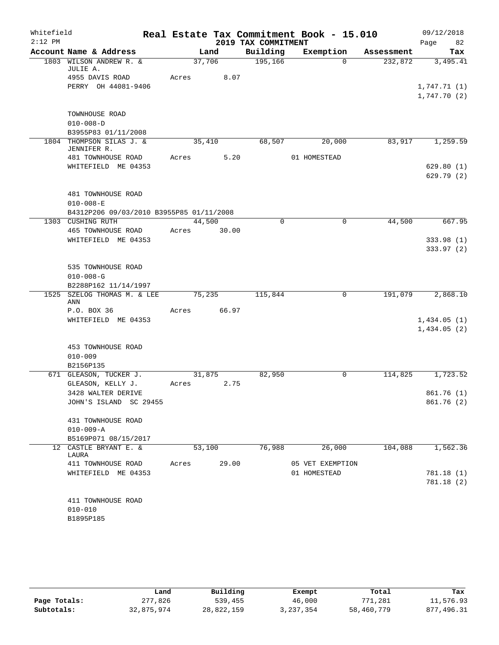| Whitefield |                                           |       |        |                     | Real Estate Tax Commitment Book - 15.010 |            | 09/12/2018               |
|------------|-------------------------------------------|-------|--------|---------------------|------------------------------------------|------------|--------------------------|
| $2:12$ PM  |                                           |       |        | 2019 TAX COMMITMENT |                                          |            | 82<br>Page               |
|            | Account Name & Address                    |       | Land   | Building            | Exemption                                | Assessment | Tax                      |
|            | 1803 WILSON ANDREW R. &<br>JULIE A.       |       | 37,706 | 195,166             | $\Omega$                                 | 232,872    | 3,495.41                 |
|            | 4955 DAVIS ROAD                           | Acres | 8.07   |                     |                                          |            |                          |
|            | PERRY OH 44081-9406                       |       |        |                     |                                          |            | 1,747.71(1)              |
|            |                                           |       |        |                     |                                          |            | 1,747.70(2)              |
|            | TOWNHOUSE ROAD                            |       |        |                     |                                          |            |                          |
|            | $010 - 008 - D$                           |       |        |                     |                                          |            |                          |
|            | B3955P83 01/11/2008                       |       |        |                     |                                          |            |                          |
|            | 1804 THOMPSON SILAS J. &<br>JENNIFER R.   |       | 35,410 | 68,507              | 20,000                                   | 83,917     | 1,259.59                 |
|            | 481 TOWNHOUSE ROAD                        | Acres | 5.20   |                     | 01 HOMESTEAD                             |            |                          |
|            | WHITEFIELD ME 04353                       |       |        |                     |                                          |            | 629.80(1)                |
|            |                                           |       |        |                     |                                          |            | 629.79(2)                |
|            |                                           |       |        |                     |                                          |            |                          |
|            | 481 TOWNHOUSE ROAD                        |       |        |                     |                                          |            |                          |
|            | $010 - 008 - E$                           |       |        |                     |                                          |            |                          |
|            | B4312P206 09/03/2010 B3955P85 01/11/2008  |       |        |                     |                                          |            |                          |
|            | 1303 CUSHING RUTH                         |       | 44,500 | $\Omega$            | 0                                        | 44,500     | 667.95                   |
|            | 465 TOWNHOUSE ROAD<br>WHITEFIELD ME 04353 | Acres | 30.00  |                     |                                          |            |                          |
|            |                                           |       |        |                     |                                          |            | 333.98 (1)<br>333.97 (2) |
|            |                                           |       |        |                     |                                          |            |                          |
|            | 535 TOWNHOUSE ROAD                        |       |        |                     |                                          |            |                          |
|            | $010 - 008 - G$                           |       |        |                     |                                          |            |                          |
|            | B2288P162 11/14/1997                      |       |        |                     |                                          |            |                          |
| 1525       | SZELOG THOMAS M. & LEE<br>ANN             |       | 75,235 | 115,844             | 0                                        | 191,079    | 2,868.10                 |
|            | P.O. BOX 36                               | Acres | 66.97  |                     |                                          |            |                          |
|            | WHITEFIELD ME 04353                       |       |        |                     |                                          |            | 1,434.05(1)              |
|            |                                           |       |        |                     |                                          |            | 1,434.05(2)              |
|            | 453 TOWNHOUSE ROAD                        |       |        |                     |                                          |            |                          |
|            | $010 - 009$                               |       |        |                     |                                          |            |                          |
|            | B2156P135                                 |       |        |                     |                                          |            |                          |
|            | 671 GLEASON, TUCKER J.                    |       | 31,875 | 82,950              | 0                                        | 114,825    | 1,723.52                 |
|            | GLEASON, KELLY J.                         | Acres | 2.75   |                     |                                          |            |                          |
|            | 3428 WALTER DERIVE                        |       |        |                     |                                          |            | 861.76(1)                |
|            | JOHN'S ISLAND SC 29455                    |       |        |                     |                                          |            | 861.76 (2)               |
|            | 431 TOWNHOUSE ROAD                        |       |        |                     |                                          |            |                          |
|            | $010 - 009 - A$                           |       |        |                     |                                          |            |                          |
|            | B5169P071 08/15/2017                      |       |        |                     |                                          |            |                          |
| 12         | CASTLE BRYANT E. &                        |       | 53,100 | 76,988              | 26,000                                   | 104,088    | 1,562.36                 |
|            | LAURA                                     |       |        |                     |                                          |            |                          |
|            | 411 TOWNHOUSE ROAD                        | Acres | 29.00  |                     | 05 VET EXEMPTION                         |            |                          |
|            | WHITEFIELD ME 04353                       |       |        |                     | 01 HOMESTEAD                             |            | 781.18 (1)               |
|            |                                           |       |        |                     |                                          |            | 781.18 (2)               |
|            | 411 TOWNHOUSE ROAD                        |       |        |                     |                                          |            |                          |
|            | $010 - 010$                               |       |        |                     |                                          |            |                          |
|            | B1895P185                                 |       |        |                     |                                          |            |                          |
|            |                                           |       |        |                     |                                          |            |                          |

|              | Land       | Building   | Exempt    | Total      | Tax        |
|--------------|------------|------------|-----------|------------|------------|
| Page Totals: | 277,826    | 539,455    | 46,000    | 771,281    | 11,576.93  |
| Subtotals:   | 32,875,974 | 28,822,159 | 3,237,354 | 58,460,779 | 877,496.31 |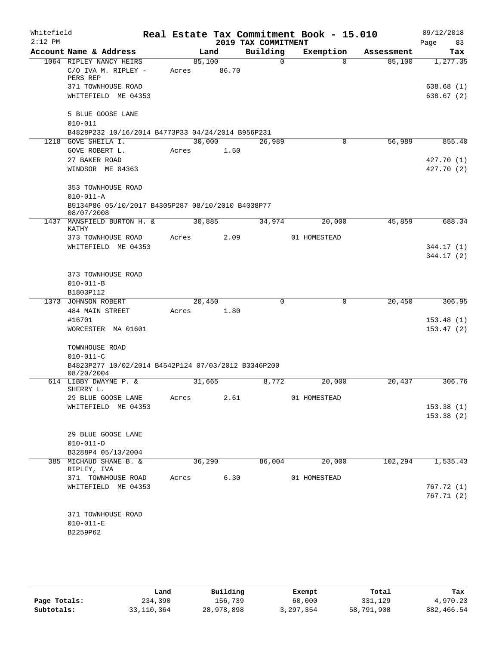| Whitefield |                                                                   |       |        |       |                     | Real Estate Tax Commitment Book - 15.010 |            | 09/12/2018 |  |  |
|------------|-------------------------------------------------------------------|-------|--------|-------|---------------------|------------------------------------------|------------|------------|--|--|
| $2:12$ PM  |                                                                   |       |        |       | 2019 TAX COMMITMENT |                                          |            | Page<br>83 |  |  |
|            | Account Name & Address                                            |       | Land   |       | Building            | Exemption                                | Assessment | Tax        |  |  |
|            | 1064 RIPLEY NANCY HEIRS                                           |       | 85,100 |       | $\Omega$            | $\Omega$                                 | 85,100     | 1,277.35   |  |  |
|            | C/O IVA M. RIPLEY -<br>PERS REP                                   | Acres |        | 86.70 |                     |                                          |            |            |  |  |
|            | 371 TOWNHOUSE ROAD                                                |       |        |       |                     |                                          |            | 638.68(1)  |  |  |
|            | WHITEFIELD ME 04353                                               |       |        |       |                     |                                          |            | 638.67(2)  |  |  |
|            |                                                                   |       |        |       |                     |                                          |            |            |  |  |
|            | 5 BLUE GOOSE LANE                                                 |       |        |       |                     |                                          |            |            |  |  |
|            | $010 - 011$                                                       |       |        |       |                     |                                          |            |            |  |  |
|            | B4828P232 10/16/2014 B4773P33 04/24/2014 B956P231                 |       |        |       |                     |                                          |            |            |  |  |
|            | 1218 GOVE SHEILA I.                                               |       | 30,000 |       | 26,989              | 0                                        | 56,989     | 855.40     |  |  |
|            | GOVE ROBERT L.                                                    | Acres |        | 1.50  |                     |                                          |            |            |  |  |
|            | 27 BAKER ROAD                                                     |       |        |       |                     |                                          |            | 427.70 (1) |  |  |
|            | WINDSOR ME 04363                                                  |       |        |       |                     |                                          |            | 427.70 (2) |  |  |
|            | 353 TOWNHOUSE ROAD                                                |       |        |       |                     |                                          |            |            |  |  |
|            | $010 - 011 - A$                                                   |       |        |       |                     |                                          |            |            |  |  |
|            | B5134P86 05/10/2017 B4305P287 08/10/2010 B4038P77                 |       |        |       |                     |                                          |            |            |  |  |
|            | 08/07/2008                                                        |       |        |       |                     |                                          |            |            |  |  |
| 1437       | MANSFIELD BURTON H. &<br>KATHY                                    |       | 30,885 |       | 34,974              | 20,000                                   | 45,859     | 688.34     |  |  |
|            | 373 TOWNHOUSE ROAD                                                | Acres |        | 2.09  |                     | 01 HOMESTEAD                             |            |            |  |  |
|            | WHITEFIELD ME 04353                                               |       |        |       |                     |                                          |            | 344.17 (1) |  |  |
|            |                                                                   |       |        |       |                     |                                          |            | 344.17 (2) |  |  |
|            |                                                                   |       |        |       |                     |                                          |            |            |  |  |
|            | 373 TOWNHOUSE ROAD                                                |       |        |       |                     |                                          |            |            |  |  |
|            | $010 - 011 - B$                                                   |       |        |       |                     |                                          |            |            |  |  |
|            | B1803P112                                                         |       |        |       |                     |                                          |            |            |  |  |
|            | 1373 JOHNSON ROBERT                                               |       | 20,450 |       | $\Omega$            | $\mathbf 0$                              | 20,450     | 306.95     |  |  |
|            | 484 MAIN STREET                                                   | Acres |        | 1.80  |                     |                                          |            |            |  |  |
|            | #16701                                                            |       |        |       |                     |                                          |            | 153.48(1)  |  |  |
|            | WORCESTER MA 01601                                                |       |        |       |                     |                                          |            | 153.47(2)  |  |  |
|            | TOWNHOUSE ROAD                                                    |       |        |       |                     |                                          |            |            |  |  |
|            | $010 - 011 - C$                                                   |       |        |       |                     |                                          |            |            |  |  |
|            | B4823P277 10/02/2014 B4542P124 07/03/2012 B3346P200<br>08/20/2004 |       |        |       |                     |                                          |            |            |  |  |
|            | 614 LIBBY DWAYNE P. &                                             |       | 31,665 |       | 8,772               | 20,000                                   | 20,437     | 306.76     |  |  |
|            | SHERRY L.                                                         |       |        | 2.61  |                     | 01 HOMESTEAD                             |            |            |  |  |
|            | 29 BLUE GOOSE LANE<br>WHITEFIELD ME 04353                         | Acres |        |       |                     |                                          |            | 153.38(1)  |  |  |
|            |                                                                   |       |        |       |                     |                                          |            | 153.38(2)  |  |  |
|            |                                                                   |       |        |       |                     |                                          |            |            |  |  |
|            | 29 BLUE GOOSE LANE                                                |       |        |       |                     |                                          |            |            |  |  |
|            | $010 - 011 - D$                                                   |       |        |       |                     |                                          |            |            |  |  |
|            | B3288P4 05/13/2004                                                |       |        |       |                     |                                          |            |            |  |  |
|            | 385 MICHAUD SHANE B. &                                            |       | 36,290 |       | 86,004              | 20,000                                   | 102, 294   | 1,535.43   |  |  |
|            | RIPLEY, IVA                                                       |       |        |       |                     |                                          |            |            |  |  |
|            | 371 TOWNHOUSE ROAD                                                | Acres |        | 6.30  |                     | 01 HOMESTEAD                             |            |            |  |  |
|            | WHITEFIELD ME 04353                                               |       |        |       |                     |                                          |            | 767.72(1)  |  |  |
|            |                                                                   |       |        |       |                     |                                          |            | 767.71(2)  |  |  |
|            |                                                                   |       |        |       |                     |                                          |            |            |  |  |
|            | 371 TOWNHOUSE ROAD<br>$010 - 011 - E$                             |       |        |       |                     |                                          |            |            |  |  |
|            | B2259P62                                                          |       |        |       |                     |                                          |            |            |  |  |
|            |                                                                   |       |        |       |                     |                                          |            |            |  |  |
|            |                                                                   |       |        |       |                     |                                          |            |            |  |  |

|              | Land         | Building   | Exempt    | Total      | Tax        |
|--------------|--------------|------------|-----------|------------|------------|
| Page Totals: | 234,390      | 156,739    | 60,000    | 331,129    | 4,970.23   |
| Subtotals:   | 33, 110, 364 | 28,978,898 | 3,297,354 | 58,791,908 | 882,466.54 |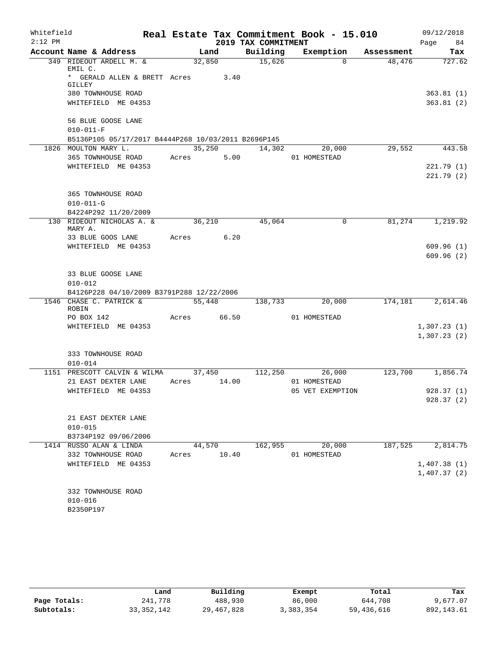| Whitefield |                                                                                |                 |        |                     | Real Estate Tax Commitment Book - 15.010 |            | 09/12/2018                 |
|------------|--------------------------------------------------------------------------------|-----------------|--------|---------------------|------------------------------------------|------------|----------------------------|
| $2:12$ PM  |                                                                                |                 |        | 2019 TAX COMMITMENT |                                          |            | Page<br>84                 |
|            | Account Name & Address                                                         | Land            |        | Building            | Exemption                                | Assessment | Tax                        |
|            | 349 RIDEOUT ARDELL M. &<br>EMIL C.<br>* GERALD ALLEN & BRETT Acres<br>GILLEY   | 32,850          | 3.40   | 15,626              | $\Omega$                                 | 48,476     | 727.62                     |
|            | 380 TOWNHOUSE ROAD<br>WHITEFIELD ME 04353                                      |                 |        |                     |                                          |            | 363.81(1)<br>363.81(2)     |
|            | 56 BLUE GOOSE LANE<br>$010 - 011 - F$                                          |                 |        |                     |                                          |            |                            |
|            | B5136P105 05/17/2017 B4444P268 10/03/2011 B2696P145                            |                 |        |                     |                                          |            |                            |
|            | 1826 MOULTON MARY L.                                                           |                 | 35,250 | 14,302              | 20,000                                   | 29,552     | 443.58                     |
|            | 365 TOWNHOUSE ROAD<br>WHITEFIELD ME 04353                                      | Acres           | 5.00   |                     | 01 HOMESTEAD                             |            | 221.79(1)<br>221.79 (2)    |
|            | 365 TOWNHOUSE ROAD<br>$010 - 011 - G$<br>B4224P292 11/20/2009                  |                 |        |                     |                                          |            |                            |
|            | 130 RIDEOUT NICHOLAS A. &<br>MARY A.                                           | 36,210          |        | 45,064              | 0                                        | 81,274     | 1,219.92                   |
|            | 33 BLUE GOOS LANE                                                              | Acres           | 6.20   |                     |                                          |            |                            |
|            | WHITEFIELD ME 04353                                                            |                 |        |                     |                                          |            | 609.96(1)<br>609.96(2)     |
|            | 33 BLUE GOOSE LANE<br>$010 - 012$<br>B4126P228 04/10/2009 B3791P288 12/22/2006 |                 |        |                     |                                          |            |                            |
|            | 1546 CHASE C. PATRICK &<br>ROBIN                                               |                 | 55,448 | 138,733             | 20,000                                   | 174,181    | 2,614.46                   |
|            | PO BOX 142                                                                     | Acres 66.50     |        |                     | 01 HOMESTEAD                             |            |                            |
|            | WHITEFIELD ME 04353                                                            |                 |        |                     |                                          |            | 1,307.23(1)<br>1,307.23(2) |
|            | 333 TOWNHOUSE ROAD<br>$010 - 014$                                              |                 |        |                     |                                          |            |                            |
|            | 1151 PRESCOTT CALVIN & WILMA<br>21 EAST DEXTER LANE                            | 37,450<br>Acres | 14.00  | 112,250             | 26,000<br>01 HOMESTEAD                   | 123,700    | 1,856.74                   |
|            | WHITEFIELD ME 04353                                                            |                 |        |                     | 05 VET EXEMPTION                         |            | 928.37(1)                  |
|            |                                                                                |                 |        |                     |                                          |            | 928.37(2)                  |
|            | 21 EAST DEXTER LANE<br>$010 - 015$<br>B3734P192 09/06/2006                     |                 |        |                     |                                          |            |                            |
|            | 1414 RUSSO ALAN & LINDA                                                        | 44,570          |        | 162,955             | 20,000                                   | 187,525    | 2,814.75                   |
|            | 332 TOWNHOUSE ROAD                                                             | Acres           | 10.40  |                     | 01 HOMESTEAD                             |            |                            |
|            | WHITEFIELD ME 04353                                                            |                 |        |                     |                                          |            | 1,407.38(1)<br>1,407.37(2) |
|            | 332 TOWNHOUSE ROAD<br>$010 - 016$<br>B2350P197                                 |                 |        |                     |                                          |            |                            |

|              | Land       | Building     | Exempt    | Total      | Tax        |
|--------------|------------|--------------|-----------|------------|------------|
| Page Totals: | 241,778    | 488,930      | 86,000    | 644,708    | 9,677.07   |
| Subtotals:   | 33,352,142 | 29, 467, 828 | 3,383,354 | 59,436,616 | 892,143.61 |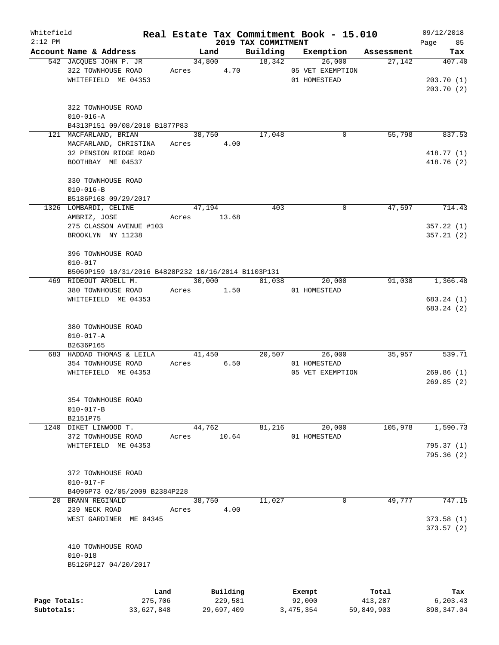| Whitefield<br>$2:12$ PM |                                                     |       |             |      |                                 | Real Estate Tax Commitment Book - 15.010 |            | 09/12/2018        |
|-------------------------|-----------------------------------------------------|-------|-------------|------|---------------------------------|------------------------------------------|------------|-------------------|
|                         | Account Name & Address                              |       | Land        |      | 2019 TAX COMMITMENT<br>Building | Exemption                                | Assessment | 85<br>Page<br>Tax |
|                         | 542 JACQUES JOHN P. JR                              |       | 34,800      |      | 18,342                          | 26,000                                   | 27,142     | 407.40            |
|                         | 322 TOWNHOUSE ROAD                                  | Acres |             | 4.70 |                                 | 05 VET EXEMPTION                         |            |                   |
|                         | WHITEFIELD ME 04353                                 |       |             |      |                                 | 01 HOMESTEAD                             |            | 203.70(1)         |
|                         |                                                     |       |             |      |                                 |                                          |            | 203.70(2)         |
|                         | 322 TOWNHOUSE ROAD<br>$010 - 016 - A$               |       |             |      |                                 |                                          |            |                   |
|                         | B4313P151 09/08/2010 B1877P83                       |       |             |      |                                 |                                          |            |                   |
|                         | 121 MACFARLAND, BRIAN                               |       | 38,750      |      | 17,048                          | 0                                        | 55,798     | 837.53            |
|                         | MACFARLAND, CHRISTINA                               | Acres |             | 4.00 |                                 |                                          |            |                   |
|                         | 32 PENSION RIDGE ROAD                               |       |             |      |                                 |                                          |            | 418.77 (1)        |
|                         | BOOTHBAY ME 04537                                   |       |             |      |                                 |                                          |            | 418.76(2)         |
|                         | 330 TOWNHOUSE ROAD                                  |       |             |      |                                 |                                          |            |                   |
|                         | $010 - 016 - B$                                     |       |             |      |                                 |                                          |            |                   |
|                         | B5186P168 09/29/2017                                |       |             |      |                                 |                                          |            |                   |
|                         | 1326 LOMBARDI, CELINE                               |       | 47,194      |      | 403                             | 0                                        | 47,597     | 714.43            |
|                         | AMBRIZ, JOSE                                        |       | Acres 13.68 |      |                                 |                                          |            |                   |
|                         | 275 CLASSON AVENUE #103                             |       |             |      |                                 |                                          |            | 357.22 (1)        |
|                         | BROOKLYN NY 11238                                   |       |             |      |                                 |                                          |            | 357.21(2)         |
|                         |                                                     |       |             |      |                                 |                                          |            |                   |
|                         | 396 TOWNHOUSE ROAD<br>$010 - 017$                   |       |             |      |                                 |                                          |            |                   |
|                         | B5069P159 10/31/2016 B4828P232 10/16/2014 B1103P131 |       |             |      |                                 |                                          |            |                   |
|                         | 469 RIDEOUT ARDELL M.                               |       | 30,000      |      | 81,038                          | 20,000                                   | 91,038     | 1,366.48          |
|                         | 380 TOWNHOUSE ROAD                                  | Acres |             | 1.50 |                                 | 01 HOMESTEAD                             |            |                   |
|                         | WHITEFIELD ME 04353                                 |       |             |      |                                 |                                          |            | 683.24 (1)        |
|                         |                                                     |       |             |      |                                 |                                          |            | 683.24 (2)        |
|                         |                                                     |       |             |      |                                 |                                          |            |                   |
|                         | 380 TOWNHOUSE ROAD                                  |       |             |      |                                 |                                          |            |                   |
|                         | $010 - 017 - A$                                     |       |             |      |                                 |                                          |            |                   |
|                         | B2636P165<br>683 HADDAD THOMAS & LEILA              |       | 41,450      |      | 20,507                          | 26,000                                   | 35,957     | 539.71            |
|                         | 354 TOWNHOUSE ROAD                                  | Acres |             | 6.50 |                                 | 01 HOMESTEAD                             |            |                   |
|                         | WHITEFIELD ME 04353                                 |       |             |      |                                 | 05 VET EXEMPTION                         |            | 269.86(1)         |
|                         |                                                     |       |             |      |                                 |                                          |            | 269.85(2)         |
|                         |                                                     |       |             |      |                                 |                                          |            |                   |
|                         | 354 TOWNHOUSE ROAD                                  |       |             |      |                                 |                                          |            |                   |
|                         | $010 - 017 - B$<br>B2151P75                         |       |             |      |                                 |                                          |            |                   |
|                         | 1240 DIKET LINWOOD T.                               |       | 44,762      |      | 81,216                          | 20,000                                   | 105,978    | 1,590.73          |
|                         | 372 TOWNHOUSE ROAD                                  | Acres | 10.64       |      |                                 | 01 HOMESTEAD                             |            |                   |
|                         | WHITEFIELD ME 04353                                 |       |             |      |                                 |                                          |            | 795.37(1)         |
|                         |                                                     |       |             |      |                                 |                                          |            | 795.36(2)         |
|                         |                                                     |       |             |      |                                 |                                          |            |                   |
|                         | 372 TOWNHOUSE ROAD<br>$010 - 017 - F$               |       |             |      |                                 |                                          |            |                   |
|                         | B4096P73 02/05/2009 B2384P228                       |       |             |      |                                 |                                          |            |                   |
|                         | 20 BRANN REGINALD                                   |       | 38,750      |      | 11,027                          | 0                                        | 49,777     | 747.15            |
|                         | 239 NECK ROAD                                       | Acres |             | 4.00 |                                 |                                          |            |                   |
|                         | WEST GARDINER ME 04345                              |       |             |      |                                 |                                          |            | 373.58(1)         |
|                         |                                                     |       |             |      |                                 |                                          |            | 373.57(2)         |
|                         | 410 TOWNHOUSE ROAD                                  |       |             |      |                                 |                                          |            |                   |
|                         | $010 - 018$                                         |       |             |      |                                 |                                          |            |                   |
|                         | B5126P127 04/20/2017                                |       |             |      |                                 |                                          |            |                   |
|                         |                                                     |       |             |      |                                 |                                          |            |                   |
|                         | Land                                                |       | Building    |      |                                 | Exempt                                   | Total      | Tax               |
| Page Totals:            | 275,706                                             |       | 229,581     |      |                                 | 92,000                                   | 413,287    | 6,203.43          |
|                         |                                                     |       |             |      |                                 |                                          |            |                   |

**Subtotals:** 33,627,848 29,697,409 3,475,354 59,849,903 898,347.04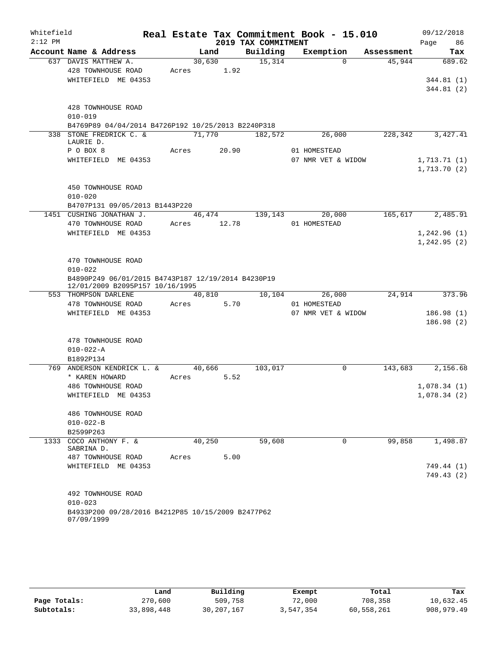| Whitefield |                                                                                       |             |        |                     | Real Estate Tax Commitment Book - 15.010 |            | 09/12/2018              |
|------------|---------------------------------------------------------------------------------------|-------------|--------|---------------------|------------------------------------------|------------|-------------------------|
| $2:12$ PM  |                                                                                       |             |        | 2019 TAX COMMITMENT |                                          |            | Page<br>86              |
|            | Account Name & Address                                                                |             | Land   | Building            | Exemption                                | Assessment | Tax                     |
|            | 637 DAVIS MATTHEW A.                                                                  |             | 30,630 | 15,314              | $\Omega$                                 | 45,944     | 689.62                  |
|            | 428 TOWNHOUSE ROAD                                                                    | Acres       | 1.92   |                     |                                          |            |                         |
|            | WHITEFIELD ME 04353                                                                   |             |        |                     |                                          |            | 344.81(1)<br>344.81 (2) |
|            | 428 TOWNHOUSE ROAD                                                                    |             |        |                     |                                          |            |                         |
|            | $010 - 019$                                                                           |             |        |                     |                                          |            |                         |
|            | B4769P89 04/04/2014 B4726P192 10/25/2013 B2240P318                                    |             |        |                     |                                          |            |                         |
|            | 338 STONE FREDRICK C. &                                                               | 71,770      |        | 182,572             | 26,000                                   | 228, 342   | 3,427.41                |
|            | LAURIE D.<br>P O BOX 8                                                                | Acres       | 20.90  |                     | 01 HOMESTEAD                             |            |                         |
|            | WHITEFIELD ME 04353                                                                   |             |        |                     | 07 NMR VET & WIDOW                       |            | 1,713.71(1)             |
|            |                                                                                       |             |        |                     |                                          |            | 1,713.70(2)             |
|            | 450 TOWNHOUSE ROAD                                                                    |             |        |                     |                                          |            |                         |
|            | $010 - 020$                                                                           |             |        |                     |                                          |            |                         |
|            | B4707P131 09/05/2013 B1443P220                                                        |             |        |                     |                                          |            |                         |
|            | 1451 CUSHING JONATHAN J.                                                              |             |        | 46,474 139,143      | 20,000                                   | 165,617    | 2,485.91                |
|            | 470 TOWNHOUSE ROAD                                                                    | Acres 12.78 |        |                     | 01 HOMESTEAD                             |            |                         |
|            | WHITEFIELD ME 04353                                                                   |             |        |                     |                                          |            | 1,242.96(1)             |
|            |                                                                                       |             |        |                     |                                          |            | 1, 242.95(2)            |
|            | 470 TOWNHOUSE ROAD                                                                    |             |        |                     |                                          |            |                         |
|            | $010 - 022$                                                                           |             |        |                     |                                          |            |                         |
|            | B4890P249 06/01/2015 B4743P187 12/19/2014 B4230P19<br>12/01/2009 B2095P157 10/16/1995 |             |        |                     |                                          |            |                         |
|            | 553 THOMPSON DARLENE                                                                  |             | 40,810 | 10,104              | 26,000                                   | 24,914     | 373.96                  |
|            | 478 TOWNHOUSE ROAD                                                                    | Acres       | 5.70   |                     | 01 HOMESTEAD                             |            |                         |
|            | WHITEFIELD ME 04353                                                                   |             |        |                     | 07 NMR VET & WIDOW                       |            | 186.98(1)               |
|            |                                                                                       |             |        |                     |                                          |            | 186.98(2)               |
|            | 478 TOWNHOUSE ROAD                                                                    |             |        |                     |                                          |            |                         |
|            | $010 - 022 - A$                                                                       |             |        |                     |                                          |            |                         |
|            | B1892P134                                                                             |             |        |                     |                                          |            |                         |
|            | 769 ANDERSON KENDRICK L. &                                                            |             | 40,666 | 103,017             | 0                                        |            | 143,683 2,156.68        |
|            | * KAREN HOWARD                                                                        | Acres       | 5.52   |                     |                                          |            |                         |
|            | 486 TOWNHOUSE ROAD                                                                    |             |        |                     |                                          |            | 1,078.34(1)             |
|            | WHITEFIELD ME 04353                                                                   |             |        |                     |                                          |            | 1,078.34(2)             |
|            | 486 TOWNHOUSE ROAD                                                                    |             |        |                     |                                          |            |                         |
|            | $010 - 022 - B$                                                                       |             |        |                     |                                          |            |                         |
|            | B2599P263                                                                             |             |        |                     |                                          |            |                         |
| 1333       | COCO ANTHONY F. &<br>SABRINA D.                                                       | 40,250      |        | 59,608              | $\Omega$                                 | 99,858     | 1,498.87                |
|            | 487 TOWNHOUSE ROAD                                                                    | Acres       | 5.00   |                     |                                          |            |                         |
|            | WHITEFIELD ME 04353                                                                   |             |        |                     |                                          |            | 749.44 (1)              |
|            |                                                                                       |             |        |                     |                                          |            | 749.43 (2)              |
|            | 492 TOWNHOUSE ROAD                                                                    |             |        |                     |                                          |            |                         |
|            | $010 - 023$                                                                           |             |        |                     |                                          |            |                         |
|            | B4933P200 09/28/2016 B4212P85 10/15/2009 B2477P62<br>07/09/1999                       |             |        |                     |                                          |            |                         |

|              | Land       | Building     | Exempt    | Total      | Tax          |
|--------------|------------|--------------|-----------|------------|--------------|
| Page Totals: | 270,600    | 509,758      | 72,000    | 708,358    | 10,632.45    |
| Subtotals:   | 33,898,448 | 30, 207, 167 | 3,547,354 | 60,558,261 | 908, 979, 49 |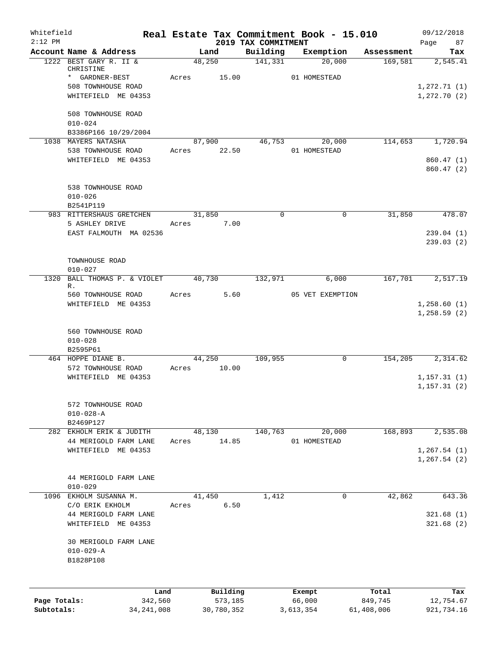| Whitefield<br>$2:12$ PM    |                                                             |                      |                       | 2019 TAX COMMITMENT | Real Estate Tax Commitment Book - 15.010 |       |                       | 09/12/2018                   |
|----------------------------|-------------------------------------------------------------|----------------------|-----------------------|---------------------|------------------------------------------|-------|-----------------------|------------------------------|
|                            | Account Name & Address                                      | Land                 |                       | Building            | Exemption                                |       | Assessment            | Page<br>87<br>Tax            |
|                            | 1222 BEST GARY R. II &<br>CHRISTINE                         | 48,250               |                       | 141,331             | 20,000                                   |       | 169,581               | 2,545.41                     |
|                            | * GARDNER-BEST<br>508 TOWNHOUSE ROAD<br>WHITEFIELD ME 04353 | Acres                | 15.00                 |                     | 01 HOMESTEAD                             |       |                       | 1, 272.71(1)<br>1,272.70(2)  |
|                            | 508 TOWNHOUSE ROAD<br>$010 - 024$                           |                      |                       |                     |                                          |       |                       |                              |
|                            | B3386P166 10/29/2004                                        |                      |                       |                     |                                          |       |                       |                              |
|                            | 1038 MAYERS NATASHA                                         |                      | 87,900                | 46,753              | 20,000                                   |       | 114,653               | 1,720.94                     |
|                            | 538 TOWNHOUSE ROAD<br>WHITEFIELD ME 04353                   | Acres 22.50          |                       |                     | 01 HOMESTEAD                             |       |                       | 860.47 (1)                   |
|                            |                                                             |                      |                       |                     |                                          |       |                       | 860.47(2)                    |
|                            | 538 TOWNHOUSE ROAD<br>$010 - 026$                           |                      |                       |                     |                                          |       |                       |                              |
|                            | B2541P119                                                   |                      |                       | $\Omega$            |                                          | 0     |                       |                              |
|                            | 983 RITTERSHAUS GRETCHEN<br>5 ASHLEY DRIVE                  | 31,850<br>Acres 7.00 |                       |                     |                                          |       | 31,850                | 478.07                       |
|                            | EAST FALMOUTH MA 02536                                      |                      |                       |                     |                                          |       |                       | 239.04(1)<br>239.03(2)       |
|                            | TOWNHOUSE ROAD<br>$010 - 027$                               |                      |                       |                     |                                          |       |                       |                              |
|                            | 1320 BALL THOMAS P. & VIOLET<br>R.                          | 40,730               |                       | 132,971             |                                          | 6,000 | 167,701               | 2,517.19                     |
|                            | 560 TOWNHOUSE ROAD                                          | Acres                | 5.60                  |                     | 05 VET EXEMPTION                         |       |                       |                              |
|                            | WHITEFIELD ME 04353                                         |                      |                       |                     |                                          |       |                       | 1,258.60(1)<br>1,258.59(2)   |
|                            | 560 TOWNHOUSE ROAD<br>$010 - 028$<br>B2595P61               |                      |                       |                     |                                          |       |                       |                              |
|                            | 464 HOPPE DIANE B.                                          | 44,250               |                       | 109,955             |                                          | 0     | 154,205               | 2,314.62                     |
|                            | 572 TOWNHOUSE ROAD<br>WHITEFIELD ME 04353                   | Acres                | 10.00                 |                     |                                          |       |                       | 1, 157.31(1)                 |
|                            |                                                             |                      |                       |                     |                                          |       |                       | 1, 157.31(2)                 |
|                            | 572 TOWNHOUSE ROAD<br>$010 - 028 - A$<br>B2469P127          |                      |                       |                     |                                          |       |                       |                              |
|                            | 282 EKHOLM ERIK & JUDITH                                    | 48,130               |                       | 140,763             | 20,000                                   |       | 168,893               | 2,535.08                     |
|                            | 44 MERIGOLD FARM LANE                                       | Acres                | 14.85                 |                     | 01 HOMESTEAD                             |       |                       |                              |
|                            | WHITEFIELD ME 04353                                         |                      |                       |                     |                                          |       |                       | 1, 267.54(1)<br>1, 267.54(2) |
|                            | 44 MERIGOLD FARM LANE                                       |                      |                       |                     |                                          |       |                       |                              |
| 1096                       | $010 - 029$<br>EKHOLM SUSANNA M.                            | 41,450               |                       | 1,412               |                                          | 0     | 42,862                | 643.36                       |
|                            | C/O ERIK EKHOLM                                             | Acres                | 6.50                  |                     |                                          |       |                       |                              |
|                            | 44 MERIGOLD FARM LANE                                       |                      |                       |                     |                                          |       |                       | 321.68(1)                    |
|                            | WHITEFIELD ME 04353                                         |                      |                       |                     |                                          |       |                       | 321.68(2)                    |
|                            | 30 MERIGOLD FARM LANE<br>$010 - 029 - A$<br>B1828P108       |                      |                       |                     |                                          |       |                       |                              |
|                            |                                                             |                      |                       |                     |                                          |       |                       |                              |
|                            | Land                                                        |                      | Building              |                     | Exempt                                   |       | Total                 | Tax                          |
| Page Totals:<br>Subtotals: | 342,560<br>34, 241, 008                                     |                      | 573,185<br>30,780,352 |                     | 66,000<br>3,613,354                      |       | 849,745<br>61,408,006 | 12,754.67<br>921,734.16      |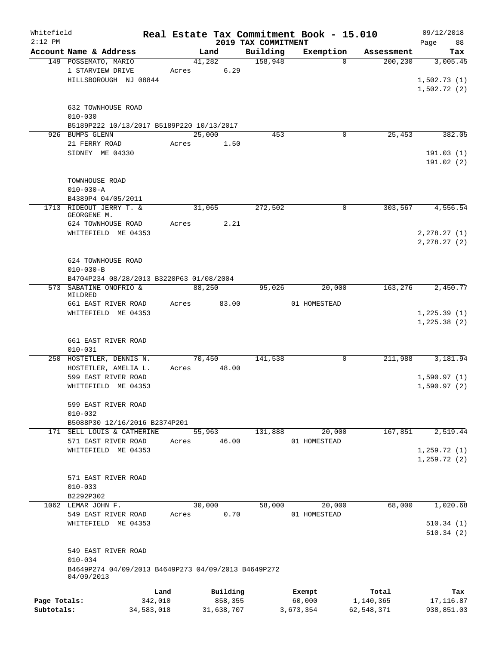| Whitefield<br>$2:12$ PM |                                                                   |            |       |            |                                 | Real Estate Tax Commitment Book - 15.010 |            | 09/12/2018        |
|-------------------------|-------------------------------------------------------------------|------------|-------|------------|---------------------------------|------------------------------------------|------------|-------------------|
|                         | Account Name & Address                                            |            |       | Land       | 2019 TAX COMMITMENT<br>Building | Exemption                                | Assessment | Page<br>88<br>Tax |
|                         | 149 POSSEMATO, MARIO                                              |            |       | 41,282     | 158,948                         | $\Omega$                                 | 200, 230   | 3,005.45          |
|                         | 1 STARVIEW DRIVE                                                  |            | Acres | 6.29       |                                 |                                          |            |                   |
|                         | HILLSBOROUGH NJ 08844                                             |            |       |            |                                 |                                          |            | 1,502.73(1)       |
|                         |                                                                   |            |       |            |                                 |                                          |            | 1,502.72(2)       |
|                         |                                                                   |            |       |            |                                 |                                          |            |                   |
|                         | 632 TOWNHOUSE ROAD                                                |            |       |            |                                 |                                          |            |                   |
|                         | $010 - 030$                                                       |            |       |            |                                 |                                          |            |                   |
|                         | B5189P222 10/13/2017 B5189P220 10/13/2017                         |            |       |            |                                 |                                          |            |                   |
|                         | 926 BUMPS GLENN                                                   |            |       | 25,000     | 453                             | 0                                        | 25,453     | 382.05            |
|                         | 21 FERRY ROAD                                                     |            | Acres | 1.50       |                                 |                                          |            |                   |
|                         | SIDNEY ME 04330                                                   |            |       |            |                                 |                                          |            | 191.03(1)         |
|                         |                                                                   |            |       |            |                                 |                                          |            | 191.02(2)         |
|                         |                                                                   |            |       |            |                                 |                                          |            |                   |
|                         | TOWNHOUSE ROAD                                                    |            |       |            |                                 |                                          |            |                   |
|                         | $010 - 030 - A$                                                   |            |       |            |                                 |                                          |            |                   |
|                         | B4389P4 04/05/2011                                                |            |       |            |                                 |                                          |            |                   |
| 1713                    | RIDEOUT JERRY T. &                                                |            |       | 31,065     | 272,502                         | 0                                        | 303,567    | 4,556.54          |
|                         | GEORGENE M.                                                       |            |       | 2.21       |                                 |                                          |            |                   |
|                         | 624 TOWNHOUSE ROAD<br>WHITEFIELD ME 04353                         |            | Acres |            |                                 |                                          |            | 2, 278.27(1)      |
|                         |                                                                   |            |       |            |                                 |                                          |            | 2, 278.27(2)      |
|                         |                                                                   |            |       |            |                                 |                                          |            |                   |
|                         | 624 TOWNHOUSE ROAD                                                |            |       |            |                                 |                                          |            |                   |
|                         | $010 - 030 - B$                                                   |            |       |            |                                 |                                          |            |                   |
|                         | B4704P234 08/28/2013 B3220P63 01/08/2004                          |            |       |            |                                 |                                          |            |                   |
|                         | 573 SABATINE ONOFRIO &                                            |            |       | 88,250     | 95,026                          | 20,000                                   | 163,276    | 2,450.77          |
|                         | MILDRED                                                           |            |       |            |                                 |                                          |            |                   |
|                         | 661 EAST RIVER ROAD                                               |            | Acres | 83.00      |                                 | 01 HOMESTEAD                             |            |                   |
|                         | WHITEFIELD ME 04353                                               |            |       |            |                                 |                                          |            | 1,225.39(1)       |
|                         |                                                                   |            |       |            |                                 |                                          |            | 1, 225.38(2)      |
|                         |                                                                   |            |       |            |                                 |                                          |            |                   |
|                         | 661 EAST RIVER ROAD                                               |            |       |            |                                 |                                          |            |                   |
|                         | $010 - 031$                                                       |            |       |            |                                 |                                          |            |                   |
|                         | 250 HOSTETLER, DENNIS N.                                          |            |       | 70,450     | 141,538                         | 0                                        | 211,988    | 3,181.94          |
|                         | HOSTETLER, AMELIA L.                                              |            | Acres | 48.00      |                                 |                                          |            |                   |
|                         | 599 EAST RIVER ROAD                                               |            |       |            |                                 |                                          |            | 1,590.97(1)       |
|                         | WHITEFIELD ME 04353                                               |            |       |            |                                 |                                          |            | 1,590.97(2)       |
|                         | 599 EAST RIVER ROAD                                               |            |       |            |                                 |                                          |            |                   |
|                         | $010 - 032$                                                       |            |       |            |                                 |                                          |            |                   |
|                         | B5088P30 12/16/2016 B2374P201                                     |            |       |            |                                 |                                          |            |                   |
|                         | 171 SELL LOUIS & CATHERINE                                        |            |       | 55,963     | 131,888                         | 20,000                                   | 167,851    | 2,519.44          |
|                         | 571 EAST RIVER ROAD                                               |            | Acres | 46.00      |                                 | 01 HOMESTEAD                             |            |                   |
|                         | WHITEFIELD ME 04353                                               |            |       |            |                                 |                                          |            | 1, 259.72(1)      |
|                         |                                                                   |            |       |            |                                 |                                          |            | 1, 259.72(2)      |
|                         |                                                                   |            |       |            |                                 |                                          |            |                   |
|                         | 571 EAST RIVER ROAD                                               |            |       |            |                                 |                                          |            |                   |
|                         | $010 - 033$                                                       |            |       |            |                                 |                                          |            |                   |
|                         | B2292P302                                                         |            |       |            |                                 |                                          |            |                   |
|                         | 1062 LEMAR JOHN F.                                                |            |       | 30,000     | 58,000                          | 20,000                                   | 68,000     | 1,020.68          |
|                         | 549 EAST RIVER ROAD                                               |            | Acres | 0.70       |                                 | 01 HOMESTEAD                             |            |                   |
|                         | WHITEFIELD ME 04353                                               |            |       |            |                                 |                                          |            | 510.34(1)         |
|                         |                                                                   |            |       |            |                                 |                                          |            | 510.34(2)         |
|                         |                                                                   |            |       |            |                                 |                                          |            |                   |
|                         | 549 EAST RIVER ROAD                                               |            |       |            |                                 |                                          |            |                   |
|                         | $010 - 034$                                                       |            |       |            |                                 |                                          |            |                   |
|                         | B4649P274 04/09/2013 B4649P273 04/09/2013 B4649P272<br>04/09/2013 |            |       |            |                                 |                                          |            |                   |
|                         |                                                                   |            |       |            |                                 |                                          |            |                   |
|                         |                                                                   | Land       |       | Building   |                                 | Exempt                                   | Total      | Tax               |
| Page Totals:            |                                                                   | 342,010    |       | 858,355    |                                 | 60,000                                   | 1,140,365  | 17, 116.87        |
| Subtotals:              |                                                                   | 34,583,018 |       | 31,638,707 |                                 | 3,673,354                                | 62,548,371 | 938,851.03        |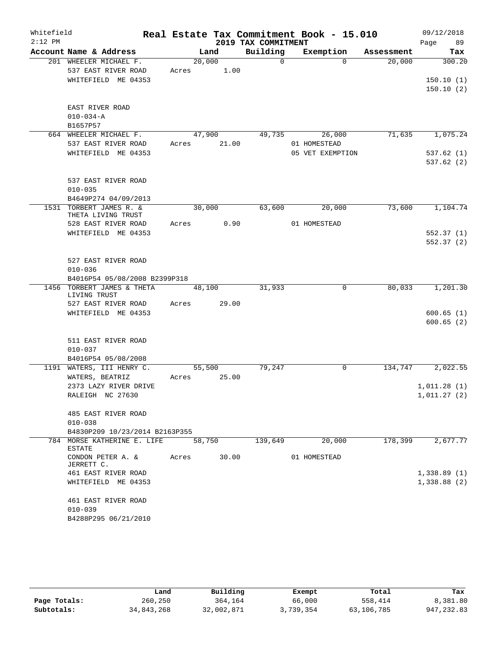| Whitefield |                                            |       |             | Real Estate Tax Commitment Book - 15.010 |                  |            | 09/12/2018     |
|------------|--------------------------------------------|-------|-------------|------------------------------------------|------------------|------------|----------------|
| $2:12$ PM  |                                            |       |             | 2019 TAX COMMITMENT                      |                  |            | Page<br>89     |
|            | Account Name & Address                     |       | Land        | Building                                 | Exemption        | Assessment | Tax            |
|            | 201 WHEELER MICHAEL F.                     |       | 20,000      | $\Omega$                                 | $\Omega$         | 20,000     | 300.20         |
|            | 537 EAST RIVER ROAD                        | Acres | 1.00        |                                          |                  |            |                |
|            | WHITEFIELD ME 04353                        |       |             |                                          |                  |            | 150.10(1)      |
|            |                                            |       |             |                                          |                  |            | 150.10(2)      |
|            | EAST RIVER ROAD                            |       |             |                                          |                  |            |                |
|            | $010 - 034 - A$                            |       |             |                                          |                  |            |                |
|            | B1657P57                                   |       |             |                                          |                  |            |                |
|            | 664 WHEELER MICHAEL F.                     |       | 47,900      | 49,735                                   | 26,000           | 71,635     | 1,075.24       |
|            | 537 EAST RIVER ROAD                        |       | Acres 21.00 |                                          | 01 HOMESTEAD     |            |                |
|            | WHITEFIELD ME 04353                        |       |             |                                          | 05 VET EXEMPTION |            | 537.62(1)      |
|            |                                            |       |             |                                          |                  |            | 537.62(2)      |
|            | 537 EAST RIVER ROAD                        |       |             |                                          |                  |            |                |
|            | $010 - 035$                                |       |             |                                          |                  |            |                |
|            | B4649P274 04/09/2013                       |       |             |                                          |                  |            |                |
|            | 1531 TORBERT JAMES R. &                    |       | 30,000      | 63,600                                   | 20,000           | 73,600     | 1,104.74       |
|            | THETA LIVING TRUST                         |       |             |                                          |                  |            |                |
|            | 528 EAST RIVER ROAD                        | Acres | 0.90        |                                          | 01 HOMESTEAD     |            |                |
|            | WHITEFIELD ME 04353                        |       |             |                                          |                  |            | 552.37(1)      |
|            |                                            |       |             |                                          |                  |            | 552.37(2)      |
|            | 527 EAST RIVER ROAD                        |       |             |                                          |                  |            |                |
|            | $010 - 036$                                |       |             |                                          |                  |            |                |
|            | B4016P54 05/08/2008 B2399P318              |       |             |                                          |                  |            |                |
|            | 1456 TORBERT JAMES & THETA<br>LIVING TRUST |       | 48,100      | 31,933                                   | $\mathbf 0$      | 80,033     | 1,201.30       |
|            | 527 EAST RIVER ROAD                        | Acres | 29.00       |                                          |                  |            |                |
|            | WHITEFIELD ME 04353                        |       |             |                                          |                  |            | 600.65(1)      |
|            |                                            |       |             |                                          |                  |            | 600.65(2)      |
|            | 511 EAST RIVER ROAD                        |       |             |                                          |                  |            |                |
|            | $010 - 037$                                |       |             |                                          |                  |            |                |
|            | B4016P54 05/08/2008                        |       |             |                                          |                  |            |                |
|            | 1191 WATERS, III HENRY C.                  |       | 55,500      | 79,247                                   | $\mathbf 0$      | 134,747    | 2,022.55       |
|            | WATERS, BEATRIZ                            |       | Acres 25.00 |                                          |                  |            |                |
|            | 2373 LAZY RIVER DRIVE                      |       |             |                                          |                  |            | 1,011.28(1)    |
|            | RALEIGH NC 27630                           |       |             |                                          |                  |            | 1,011.27(2)    |
|            | 485 EAST RIVER ROAD                        |       |             |                                          |                  |            |                |
|            | $010 - 038$                                |       |             |                                          |                  |            |                |
|            | B4830P209 10/23/2014 B2163P355             |       |             |                                          |                  |            |                |
|            | 784 MORSE KATHERINE E. LIFE<br>ESTATE      |       | 58,750      | 139,649                                  | 20,000           | 178,399    | 2,677.77       |
|            | CONDON PETER A. &<br>JERRETT C.            | Acres | 30.00       |                                          | 01 HOMESTEAD     |            |                |
|            | 461 EAST RIVER ROAD                        |       |             |                                          |                  |            | 1,338.89(1)    |
|            | WHITEFIELD ME 04353                        |       |             |                                          |                  |            | $1,338.88$ (2) |
|            | 461 EAST RIVER ROAD                        |       |             |                                          |                  |            |                |
|            | $010 - 039$                                |       |             |                                          |                  |            |                |
|            | B4288P295 06/21/2010                       |       |             |                                          |                  |            |                |

|              | Land       | Building   | Exempt    | Total      | Tax         |
|--------------|------------|------------|-----------|------------|-------------|
| Page Totals: | 260,250    | 364,164    | 66,000    | 558,414    | 8,381.80    |
| Subtotals:   | 34,843,268 | 32,002,871 | 3,739,354 | 63,106,785 | 947, 232.83 |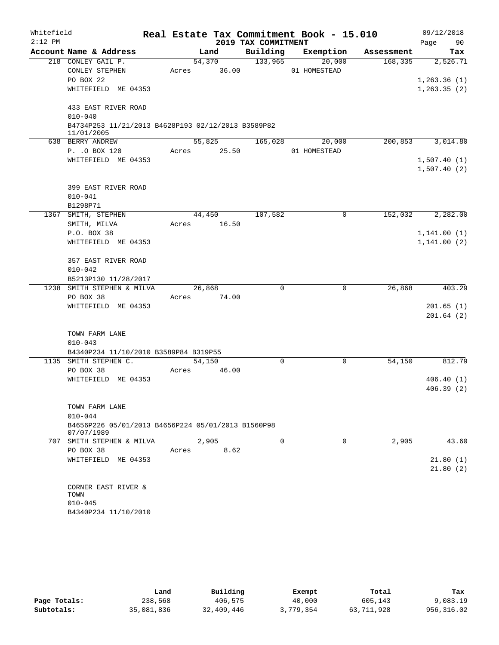| Whitefield |                                                                  |       |        |                     | Real Estate Tax Commitment Book - 15.010 |            |      | 09/12/2018             |
|------------|------------------------------------------------------------------|-------|--------|---------------------|------------------------------------------|------------|------|------------------------|
| $2:12$ PM  |                                                                  |       |        | 2019 TAX COMMITMENT |                                          |            | Page | 90                     |
|            | Account Name & Address                                           |       | Land   | Building            | Exemption                                | Assessment |      | Tax                    |
|            | 218 CONLEY GAIL P.                                               |       | 54,370 | 133,965             | 20,000                                   | 168, 335   |      | 2,526.71               |
|            | CONLEY STEPHEN                                                   | Acres | 36.00  |                     | 01 HOMESTEAD                             |            |      |                        |
|            | PO BOX 22                                                        |       |        |                     |                                          |            |      | 1, 263.36(1)           |
|            | WHITEFIELD ME 04353                                              |       |        |                     |                                          |            |      | 1, 263.35(2)           |
|            | 433 EAST RIVER ROAD                                              |       |        |                     |                                          |            |      |                        |
|            | $010 - 040$                                                      |       |        |                     |                                          |            |      |                        |
|            | B4734P253 11/21/2013 B4628P193 02/12/2013 B3589P82<br>11/01/2005 |       |        |                     |                                          |            |      |                        |
|            | 638 BERRY ANDREW                                                 |       | 55,825 | 165,028             | 20,000                                   | 200,853    |      | 3,014.80               |
|            | P. . O BOX 120                                                   | Acres | 25.50  |                     | 01 HOMESTEAD                             |            |      |                        |
|            | WHITEFIELD ME 04353                                              |       |        |                     |                                          |            |      | 1,507.40(1)            |
|            |                                                                  |       |        |                     |                                          |            |      | 1,507.40(2)            |
|            | 399 EAST RIVER ROAD                                              |       |        |                     |                                          |            |      |                        |
|            | $010 - 041$                                                      |       |        |                     |                                          |            |      |                        |
|            | B1298P71                                                         |       |        |                     |                                          |            |      |                        |
|            | 1367 SMITH, STEPHEN                                              |       | 44,450 | 107,582             | 0                                        | 152,032    |      | 2,282.00               |
|            | SMITH, MILVA                                                     | Acres | 16.50  |                     |                                          |            |      |                        |
|            | P.O. BOX 38                                                      |       |        |                     |                                          |            |      | 1, 141.00(1)           |
|            | WHITEFIELD ME 04353                                              |       |        |                     |                                          |            |      | 1,141.00(2)            |
|            |                                                                  |       |        |                     |                                          |            |      |                        |
|            | 357 EAST RIVER ROAD                                              |       |        |                     |                                          |            |      |                        |
|            | $010 - 042$                                                      |       |        |                     |                                          |            |      |                        |
|            | B5213P130 11/28/2017                                             |       |        |                     |                                          |            |      |                        |
|            | 1238 SMITH STEPHEN & MILVA                                       |       | 26,868 | $\Omega$            | 0                                        | 26,868     |      | 403.29                 |
|            | PO BOX 38                                                        | Acres | 74.00  |                     |                                          |            |      |                        |
|            | WHITEFIELD ME 04353                                              |       |        |                     |                                          |            |      | 201.65(1)<br>201.64(2) |
|            |                                                                  |       |        |                     |                                          |            |      |                        |
|            | TOWN FARM LANE                                                   |       |        |                     |                                          |            |      |                        |
|            | $010 - 043$                                                      |       |        |                     |                                          |            |      |                        |
|            | B4340P234 11/10/2010 B3589P84 B319P55                            |       |        |                     |                                          |            |      |                        |
|            | 1135 SMITH STEPHEN C.                                            |       | 54,150 | 0                   | 0                                        | 54,150     |      | 812.79                 |
|            | PO BOX 38                                                        | Acres | 46.00  |                     |                                          |            |      |                        |
|            | WHITEFIELD ME 04353                                              |       |        |                     |                                          |            |      | 406.40(1)              |
|            |                                                                  |       |        |                     |                                          |            |      | 406.39(2)              |
|            | TOWN FARM LANE                                                   |       |        |                     |                                          |            |      |                        |
|            | $010 - 044$                                                      |       |        |                     |                                          |            |      |                        |
|            | B4656P226 05/01/2013 B4656P224 05/01/2013 B1560P98               |       |        |                     |                                          |            |      |                        |
|            | 07/07/1989                                                       |       |        |                     |                                          |            |      |                        |
|            | 707 SMITH STEPHEN & MILVA                                        |       | 2,905  | $\Omega$            | $\Omega$                                 | 2,905      |      | 43.60                  |
|            | PO BOX 38                                                        | Acres | 8.62   |                     |                                          |            |      |                        |
|            | WHITEFIELD ME 04353                                              |       |        |                     |                                          |            |      | 21.80(1)               |
|            |                                                                  |       |        |                     |                                          |            |      | 21.80(2)               |
|            | CORNER EAST RIVER &                                              |       |        |                     |                                          |            |      |                        |
|            | TOWN                                                             |       |        |                     |                                          |            |      |                        |
|            | $010 - 045$                                                      |       |        |                     |                                          |            |      |                        |
|            | B4340P234 11/10/2010                                             |       |        |                     |                                          |            |      |                        |
|            |                                                                  |       |        |                     |                                          |            |      |                        |

|              | Land       | Building   | Exempt    | Total      | Tax        |
|--------------|------------|------------|-----------|------------|------------|
| Page Totals: | 238,568    | 406,575    | 40,000    | 605,143    | 9,083.19   |
| Subtotals:   | 35,081,836 | 32,409,446 | 3,779,354 | 63,711,928 | 956,316.02 |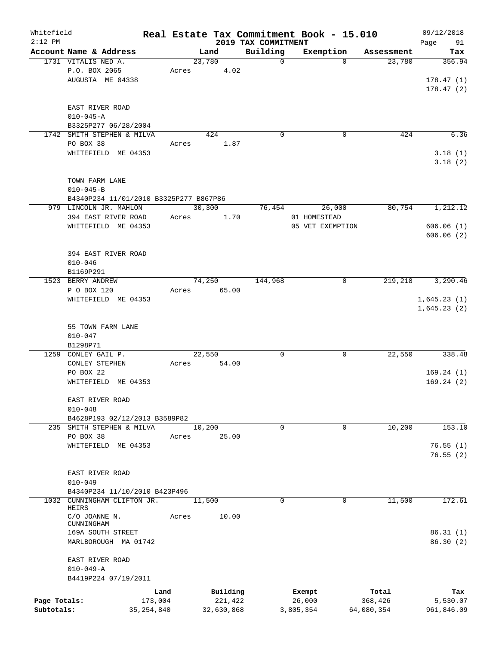| Whitefield   |                                        |              |       |            |                                 | Real Estate Tax Commitment Book - 15.010 |            | 09/12/2018        |
|--------------|----------------------------------------|--------------|-------|------------|---------------------------------|------------------------------------------|------------|-------------------|
| $2:12$ PM    | Account Name & Address                 |              |       | Land       | 2019 TAX COMMITMENT<br>Building | Exemption                                | Assessment | 91<br>Page<br>Tax |
|              | 1731 VITALIS NED A.                    |              |       | 23,780     | $\mathbf 0$                     | $\Omega$                                 | 23,780     | 356.94            |
|              | P.O. BOX 2065                          |              | Acres | 4.02       |                                 |                                          |            |                   |
|              | AUGUSTA ME 04338                       |              |       |            |                                 |                                          |            | 178.47(1)         |
|              |                                        |              |       |            |                                 |                                          |            | 178.47(2)         |
|              |                                        |              |       |            |                                 |                                          |            |                   |
|              | EAST RIVER ROAD                        |              |       |            |                                 |                                          |            |                   |
|              | $010 - 045 - A$                        |              |       |            |                                 |                                          |            |                   |
|              | B3325P277 06/28/2004                   |              |       |            |                                 |                                          |            |                   |
|              | 1742 SMITH STEPHEN & MILVA             |              |       | 424        | $\mathbf 0$                     | $\mathbf 0$                              | 424        | 6.36              |
|              | PO BOX 38                              |              | Acres | 1.87       |                                 |                                          |            |                   |
|              | WHITEFIELD ME 04353                    |              |       |            |                                 |                                          |            | 3.18(1)           |
|              |                                        |              |       |            |                                 |                                          |            | 3.18(2)           |
|              |                                        |              |       |            |                                 |                                          |            |                   |
|              | TOWN FARM LANE                         |              |       |            |                                 |                                          |            |                   |
|              | $010 - 045 - B$                        |              |       |            |                                 |                                          |            |                   |
|              | B4340P234 11/01/2010 B3325P277 B867P86 |              |       |            |                                 |                                          |            |                   |
|              | 979 LINCOLN JR. MAHLON                 |              |       | 30,300     | 76,454                          | 26,000                                   | 80,754     | 1,212.12          |
|              | 394 EAST RIVER ROAD                    |              | Acres | 1.70       |                                 | 01 HOMESTEAD                             |            |                   |
|              | WHITEFIELD ME 04353                    |              |       |            |                                 | 05 VET EXEMPTION                         |            | 606.06(1)         |
|              |                                        |              |       |            |                                 |                                          |            | 606.06(2)         |
|              |                                        |              |       |            |                                 |                                          |            |                   |
|              |                                        |              |       |            |                                 |                                          |            |                   |
|              | 394 EAST RIVER ROAD                    |              |       |            |                                 |                                          |            |                   |
|              | $010 - 046$                            |              |       |            |                                 |                                          |            |                   |
|              | B1169P291                              |              |       |            |                                 |                                          |            |                   |
|              | 1523 BERRY ANDREW                      |              |       | 74,250     | 144,968                         | 0                                        | 219,218    | 3,290.46          |
|              | P O BOX 120                            |              | Acres | 65.00      |                                 |                                          |            |                   |
|              | WHITEFIELD ME 04353                    |              |       |            |                                 |                                          |            | 1,645.23(1)       |
|              |                                        |              |       |            |                                 |                                          |            | 1,645.23(2)       |
|              |                                        |              |       |            |                                 |                                          |            |                   |
|              | 55 TOWN FARM LANE                      |              |       |            |                                 |                                          |            |                   |
|              | $010 - 047$                            |              |       |            |                                 |                                          |            |                   |
|              | B1298P71                               |              |       |            |                                 |                                          |            |                   |
| 1259         | CONLEY GAIL P.                         |              |       | 22,550     | $\mathbf 0$                     | 0                                        | 22,550     | 338.48            |
|              | <b>CONLEY STEPHEN</b>                  |              | Acres | 54.00      |                                 |                                          |            |                   |
|              | PO BOX 22                              |              |       |            |                                 |                                          |            | 169.24(1)         |
|              | WHITEFIELD                             | ME 04353     |       |            |                                 |                                          |            | 169.24(2)         |
|              |                                        |              |       |            |                                 |                                          |            |                   |
|              | EAST RIVER ROAD                        |              |       |            |                                 |                                          |            |                   |
|              | $010 - 048$                            |              |       |            |                                 |                                          |            |                   |
|              | B4628P193 02/12/2013 B3589P82          |              |       |            |                                 |                                          |            |                   |
|              | 235 SMITH STEPHEN & MILVA              |              |       | 10,200     | $\mathbf 0$                     | 0                                        | 10,200     | 153.10            |
|              | PO BOX 38                              |              | Acres | 25.00      |                                 |                                          |            |                   |
|              | WHITEFIELD ME 04353                    |              |       |            |                                 |                                          |            | 76.55(1)          |
|              |                                        |              |       |            |                                 |                                          |            | 76.55(2)          |
|              |                                        |              |       |            |                                 |                                          |            |                   |
|              | EAST RIVER ROAD                        |              |       |            |                                 |                                          |            |                   |
|              | $010 - 049$                            |              |       |            |                                 |                                          |            |                   |
|              | B4340P234 11/10/2010 B423P496          |              |       |            |                                 |                                          |            |                   |
| 1032         | CUNNINGHAM CLIFTON JR.                 |              |       | 11,500     | $\mathbf 0$                     | 0                                        | 11,500     | 172.61            |
|              | HEIRS<br>C/O JOANNE N.                 |              |       | 10.00      |                                 |                                          |            |                   |
|              | CUNNINGHAM                             |              | Acres |            |                                 |                                          |            |                   |
|              | 169A SOUTH STREET                      |              |       |            |                                 |                                          |            | 86.31(1)          |
|              | MARLBOROUGH MA 01742                   |              |       |            |                                 |                                          |            | 86.30(2)          |
|              |                                        |              |       |            |                                 |                                          |            |                   |
|              | EAST RIVER ROAD                        |              |       |            |                                 |                                          |            |                   |
|              | $010 - 049 - A$                        |              |       |            |                                 |                                          |            |                   |
|              | B4419P224 07/19/2011                   |              |       |            |                                 |                                          |            |                   |
|              |                                        |              |       |            |                                 |                                          |            |                   |
|              |                                        | Land         |       | Building   |                                 | Exempt                                   | Total      | Tax               |
| Page Totals: |                                        | 173,004      |       | 221,422    |                                 | 26,000                                   | 368,426    | 5,530.07          |
| Subtotals:   |                                        | 35, 254, 840 |       | 32,630,868 |                                 | 3,805,354                                | 64,080,354 | 961,846.09        |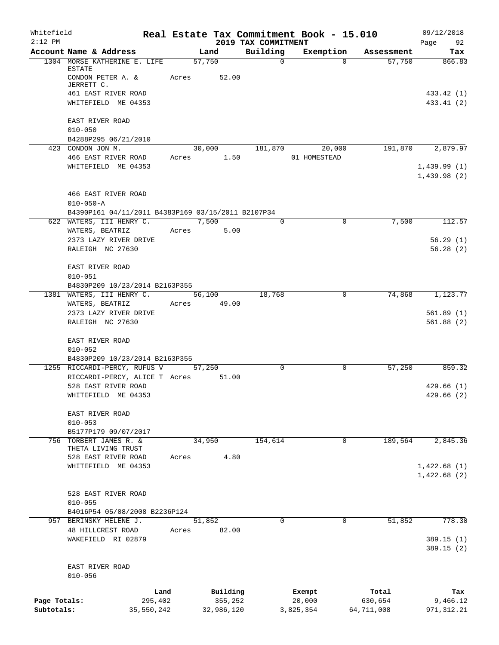| Whitefield<br>$2:12$ PM |                                                    |            |                        | 2019 TAX COMMITMENT | Real Estate Tax Commitment Book - 15.010 |            | 09/12/2018<br>Page 92    |
|-------------------------|----------------------------------------------------|------------|------------------------|---------------------|------------------------------------------|------------|--------------------------|
|                         | Account Name & Address                             |            | Land                   | Building            | Exemption                                | Assessment | Tax                      |
|                         | 1304 MORSE KATHERINE E. LIFE                       |            | 57,750                 | $\Omega$            | $\Omega$                                 | 57,750     | 866.83                   |
|                         | ESTATE<br>CONDON PETER A. &<br>JERRETT C.          | Acres      | 52.00                  |                     |                                          |            |                          |
|                         | 461 EAST RIVER ROAD<br>WHITEFIELD ME 04353         |            |                        |                     |                                          |            | 433.42 (1)<br>433.41 (2) |
|                         | EAST RIVER ROAD<br>$010 - 050$                     |            |                        |                     |                                          |            |                          |
|                         | B4288P295 06/21/2010                               |            |                        |                     |                                          |            |                          |
|                         | 423 CONDON JON M.<br>466 EAST RIVER ROAD           |            | 30,000<br>Acres 1.50   | 181,870             | 20,000<br>01 HOMESTEAD                   | 191,870    | 2,879.97                 |
|                         | WHITEFIELD ME 04353                                |            |                        |                     |                                          |            | 1,439.99(1)              |
|                         |                                                    |            |                        |                     |                                          |            | 1,439.98(2)              |
|                         | 466 EAST RIVER ROAD<br>$010 - 050 - A$             |            |                        |                     |                                          |            |                          |
|                         | B4390P161 04/11/2011 B4383P169 03/15/2011 B2107P34 |            |                        |                     |                                          |            |                          |
|                         | 622 WATERS, III HENRY C.<br>WATERS, BEATRIZ        |            | 7,500<br>5.00<br>Acres | $\Omega$            | 0                                        | 7,500      | 112.57                   |
|                         | 2373 LAZY RIVER DRIVE                              |            |                        |                     |                                          |            | 56.29(1)                 |
|                         | RALEIGH NC 27630                                   |            |                        |                     |                                          |            | 56.28(2)                 |
|                         | EAST RIVER ROAD<br>$010 - 051$                     |            |                        |                     |                                          |            |                          |
|                         | B4830P209 10/23/2014 B2163P355                     |            |                        |                     |                                          |            |                          |
|                         | 1381 WATERS, III HENRY C.                          |            | 56,100                 | 18,768              | $\mathbf 0$                              | 74,868     | 1,123.77                 |
|                         | WATERS, BEATRIZ                                    |            | Acres 49.00            |                     |                                          |            |                          |
|                         | 2373 LAZY RIVER DRIVE<br>RALEIGH NC 27630          |            |                        |                     |                                          |            | 561.89(1)<br>561.88(2)   |
|                         | EAST RIVER ROAD<br>$010 - 052$                     |            |                        |                     |                                          |            |                          |
|                         | B4830P209 10/23/2014 B2163P355                     |            |                        |                     |                                          |            |                          |
|                         | 1255 RICCARDI-PERCY, RUFUS V                       |            | 57,250                 | $\Omega$            | $\mathbf 0$                              | 57,250     | 859.32                   |
|                         | RICCARDI-PERCY, ALICE T Acres 51.00                |            |                        |                     |                                          |            |                          |
|                         | 528 EAST RIVER ROAD                                |            |                        |                     |                                          |            | 429.66(1)                |
|                         | WHITEFIELD ME 04353                                |            |                        |                     |                                          |            | 429.66 (2)               |
|                         | EAST RIVER ROAD<br>$010 - 053$                     |            |                        |                     |                                          |            |                          |
|                         | B5177P179 09/07/2017                               |            |                        |                     |                                          |            |                          |
| 756                     | TORBERT JAMES R. &                                 |            | 34,950                 | 154,614             | 0                                        | 189,564    | 2,845.36                 |
|                         | THETA LIVING TRUST                                 |            |                        |                     |                                          |            |                          |
|                         | 528 EAST RIVER ROAD<br>WHITEFIELD ME 04353         | Acres      | 4.80                   |                     |                                          |            | 1,422.68(1)              |
|                         |                                                    |            |                        |                     |                                          |            | 1,422.68(2)              |
|                         | 528 EAST RIVER ROAD<br>$010 - 055$                 |            |                        |                     |                                          |            |                          |
|                         | B4016P54 05/08/2008 B2236P124                      |            |                        |                     |                                          |            |                          |
|                         | 957 BERINSKY HELENE J.                             |            | 51,852                 | $\mathbf 0$         | $\mathbf 0$                              | 51,852     | 778.30                   |
|                         | 48 HILLCREST ROAD<br>WAKEFIELD RI 02879            | Acres      | 82.00                  |                     |                                          |            | 389.15(1)<br>389.15(2)   |
|                         | EAST RIVER ROAD<br>$010 - 056$                     |            |                        |                     |                                          |            |                          |
|                         |                                                    | Land       | Building               |                     | Exempt                                   | Total      | Tax                      |
| Page Totals:            |                                                    | 295,402    | 355,252                |                     | 20,000                                   | 630,654    | 9,466.12                 |
| Subtotals:              |                                                    | 35,550,242 | 32,986,120             |                     | 3,825,354                                | 64,711,008 | 971, 312.21              |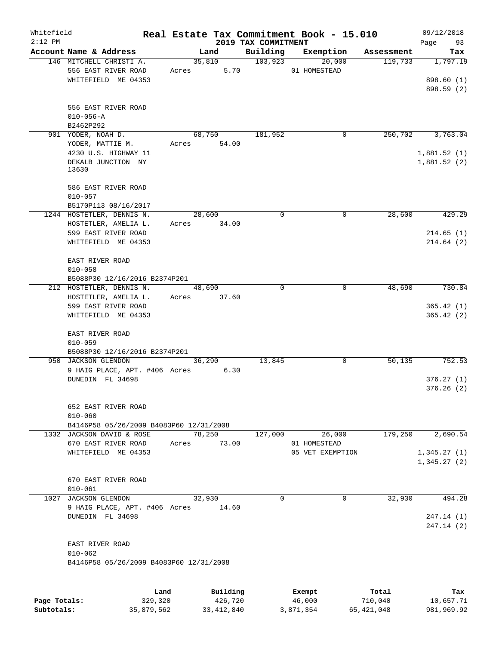| Whitefield |                                                   |       |                       |                                 | Real Estate Tax Commitment Book - 15.010 |            | 09/12/2018        |
|------------|---------------------------------------------------|-------|-----------------------|---------------------------------|------------------------------------------|------------|-------------------|
| $2:12$ PM  | Account Name & Address                            |       | Land                  | 2019 TAX COMMITMENT<br>Building | Exemption                                | Assessment | 93<br>Page<br>Tax |
|            | 146 MITCHELL CHRISTI A.                           |       | 35,810                | 103,923                         | 20,000                                   | 119,733    | 1,797.19          |
|            | 556 EAST RIVER ROAD                               | Acres | 5.70                  |                                 | 01 HOMESTEAD                             |            |                   |
|            | WHITEFIELD ME 04353                               |       |                       |                                 |                                          |            | 898.60 (1)        |
|            |                                                   |       |                       |                                 |                                          |            | 898.59 (2)        |
|            |                                                   |       |                       |                                 |                                          |            |                   |
|            | 556 EAST RIVER ROAD                               |       |                       |                                 |                                          |            |                   |
|            | $010 - 056 - A$                                   |       |                       |                                 |                                          |            |                   |
|            | B2462P292<br>901 YODER, NOAH D.                   |       | 68,750                | 181,952                         | 0                                        | 250,702    | 3,763.04          |
|            | YODER, MATTIE M.                                  | Acres | 54.00                 |                                 |                                          |            |                   |
|            | 4230 U.S. HIGHWAY 11                              |       |                       |                                 |                                          |            | 1,881.52(1)       |
|            | DEKALB JUNCTION NY                                |       |                       |                                 |                                          |            | 1,881.52(2)       |
|            | 13630                                             |       |                       |                                 |                                          |            |                   |
|            |                                                   |       |                       |                                 |                                          |            |                   |
|            | 586 EAST RIVER ROAD                               |       |                       |                                 |                                          |            |                   |
|            | $010 - 057$                                       |       |                       |                                 |                                          |            |                   |
|            | B5170P113 08/16/2017<br>1244 HOSTETLER, DENNIS N. |       |                       | $\mathbf 0$                     | 0                                        |            |                   |
|            | HOSTETLER, AMELIA L.                              |       | 28,600<br>Acres 34.00 |                                 |                                          | 28,600     | 429.29            |
|            | 599 EAST RIVER ROAD                               |       |                       |                                 |                                          |            | 214.65(1)         |
|            | WHITEFIELD ME 04353                               |       |                       |                                 |                                          |            | 214.64(2)         |
|            |                                                   |       |                       |                                 |                                          |            |                   |
|            | EAST RIVER ROAD                                   |       |                       |                                 |                                          |            |                   |
|            | $010 - 058$                                       |       |                       |                                 |                                          |            |                   |
|            | B5088P30 12/16/2016 B2374P201                     |       |                       |                                 |                                          |            |                   |
|            | 212 HOSTETLER, DENNIS N.                          |       | 48,690                | $\Omega$                        | $\Omega$                                 | 48,690     | 730.84            |
|            | HOSTETLER, AMELIA L.                              |       | Acres 37.60           |                                 |                                          |            |                   |
|            | 599 EAST RIVER ROAD                               |       |                       |                                 |                                          |            | 365.42(1)         |
|            | WHITEFIELD ME 04353                               |       |                       |                                 |                                          |            | 365.42(2)         |
|            |                                                   |       |                       |                                 |                                          |            |                   |
|            | EAST RIVER ROAD                                   |       |                       |                                 |                                          |            |                   |
|            | $010 - 059$<br>B5088P30 12/16/2016 B2374P201      |       |                       |                                 |                                          |            |                   |
|            | 950 JACKSON GLENDON                               |       | 36,290                | 13,845                          | $\mathbf 0$                              | 50,135     | 752.53            |
|            | 9 HAIG PLACE, APT. #406 Acres 6.30                |       |                       |                                 |                                          |            |                   |
|            | DUNEDIN FL 34698                                  |       |                       |                                 |                                          |            | 376.27(1)         |
|            |                                                   |       |                       |                                 |                                          |            | 376.26(2)         |
|            |                                                   |       |                       |                                 |                                          |            |                   |
|            | 652 EAST RIVER ROAD                               |       |                       |                                 |                                          |            |                   |
|            | $010 - 060$                                       |       |                       |                                 |                                          |            |                   |
|            | B4146P58 05/26/2009 B4083P60 12/31/2008           |       |                       |                                 |                                          |            |                   |
|            | 1332 JACKSON DAVID & ROSE                         |       | 78,250                | 127,000                         | 26,000                                   | 179,250    | 2,690.54          |
|            | 670 EAST RIVER ROAD                               | Acres | 73.00                 |                                 | 01 HOMESTEAD                             |            |                   |
|            | WHITEFIELD ME 04353                               |       |                       |                                 | 05 VET EXEMPTION                         |            | 1,345.27(1)       |
|            |                                                   |       |                       |                                 |                                          |            | 1,345.27(2)       |
|            | 670 EAST RIVER ROAD                               |       |                       |                                 |                                          |            |                   |
|            | $010 - 061$                                       |       |                       |                                 |                                          |            |                   |
|            | 1027 JACKSON GLENDON                              |       | 32,930                | $\Omega$                        | $\Omega$                                 | 32,930     | 494.28            |
|            | 9 HAIG PLACE, APT. #406 Acres                     |       | 14.60                 |                                 |                                          |            |                   |
|            | DUNEDIN FL 34698                                  |       |                       |                                 |                                          |            | 247.14 (1)        |
|            |                                                   |       |                       |                                 |                                          |            | 247.14 (2)        |
|            |                                                   |       |                       |                                 |                                          |            |                   |
|            | EAST RIVER ROAD                                   |       |                       |                                 |                                          |            |                   |
|            | $010 - 062$                                       |       |                       |                                 |                                          |            |                   |
|            | B4146P58 05/26/2009 B4083P60 12/31/2008           |       |                       |                                 |                                          |            |                   |
|            |                                                   |       |                       |                                 |                                          |            |                   |
|            | Land                                              |       | Building              |                                 | Exempt                                   | Total      | Tax               |
|            |                                                   |       |                       |                                 |                                          |            |                   |

|              | Land.      | Building     | Exempt    | тосат      | rax.       |
|--------------|------------|--------------|-----------|------------|------------|
| Page Totals: | 329,320    | 426,720      | 46,000    | 710,040    | 10,657.71  |
| Subtotals:   | 35,879,562 | 33, 412, 840 | 3,871,354 | 65,421,048 | 981,969.92 |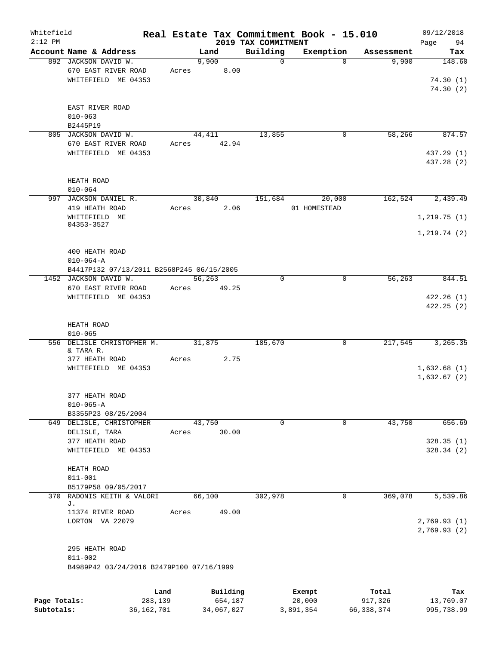| Whitefield<br>$2:12$ PM |                                                                    |                |          | 2019 TAX COMMITMENT | Real Estate Tax Commitment Book - 15.010 |            | 09/12/2018<br>Page<br>94   |
|-------------------------|--------------------------------------------------------------------|----------------|----------|---------------------|------------------------------------------|------------|----------------------------|
|                         | Account Name & Address                                             |                | Land     | Building            | Exemption                                | Assessment | Tax                        |
|                         | 892 JACKSON DAVID W.<br>670 EAST RIVER ROAD<br>WHITEFIELD ME 04353 | 9,900<br>Acres | 8.00     | $\mathbf 0$         | $\Omega$                                 | 9,900      | 148.60<br>74.30(1)         |
|                         | EAST RIVER ROAD<br>$010 - 063$<br>B2445P19                         |                |          |                     |                                          |            | 74.30(2)                   |
|                         | 805 JACKSON DAVID W.                                               | 44,411         |          | 13,855              | 0                                        | 58,266     | 874.57                     |
|                         | 670 EAST RIVER ROAD                                                | Acres 42.94    |          |                     |                                          |            |                            |
|                         | WHITEFIELD ME 04353                                                |                |          |                     |                                          |            | 437.29 (1)<br>437.28 (2)   |
|                         | HEATH ROAD<br>$010 - 064$                                          |                |          |                     |                                          |            |                            |
|                         | 997 JACKSON DANIEL R.                                              |                | 30,840   | 151,684             | 20,000                                   | 162,524    | 2,439.49                   |
|                         | 419 HEATH ROAD                                                     | Acres          | 2.06     |                     | 01 HOMESTEAD                             |            |                            |
|                         | WHITEFIELD ME<br>04353-3527                                        |                |          |                     |                                          |            | 1, 219.75(1)               |
|                         |                                                                    |                |          |                     |                                          |            | 1, 219.74(2)               |
|                         |                                                                    |                |          |                     |                                          |            |                            |
|                         | 400 HEATH ROAD<br>$010 - 064 - A$                                  |                |          |                     |                                          |            |                            |
|                         | B4417P132 07/13/2011 B2568P245 06/15/2005                          |                |          |                     |                                          |            |                            |
|                         | 1452 JACKSON DAVID W.                                              | 56,263         |          | $\Omega$            | $\Omega$                                 | 56,263     | 844.51                     |
|                         | 670 EAST RIVER ROAD                                                | Acres          | 49.25    |                     |                                          |            |                            |
|                         | WHITEFIELD ME 04353                                                |                |          |                     |                                          |            | 422.26(1)                  |
|                         |                                                                    |                |          |                     |                                          |            | 422.25(2)                  |
|                         | HEATH ROAD<br>$010 - 065$                                          |                |          |                     |                                          |            |                            |
|                         | 556 DELISLE CHRISTOPHER M.                                         | 31,875         |          | 185,670             | 0                                        | 217,545    | 3,265.35                   |
|                         | & TARA R.<br>377 HEATH ROAD                                        | Acres          | 2.75     |                     |                                          |            |                            |
|                         | WHITEFIELD ME 04353                                                |                |          |                     |                                          |            | 1,632.68(1)                |
|                         |                                                                    |                |          |                     |                                          |            | 1,632.67(2)                |
|                         | 377 HEATH ROAD                                                     |                |          |                     |                                          |            |                            |
|                         | $010 - 065 - A$                                                    |                |          |                     |                                          |            |                            |
|                         | B3355P23 08/25/2004                                                |                |          |                     |                                          |            |                            |
|                         | 649 DELISLE, CHRISTOPHER                                           | 43,750         |          | $\mathbf 0$         | 0                                        | 43,750     | 656.69                     |
|                         | DELISLE, TARA<br>377 HEATH ROAD                                    | Acres          | 30.00    |                     |                                          |            | 328.35(1)                  |
|                         | WHITEFIELD ME 04353                                                |                |          |                     |                                          |            | 328.34(2)                  |
|                         |                                                                    |                |          |                     |                                          |            |                            |
|                         | HEATH ROAD                                                         |                |          |                     |                                          |            |                            |
|                         | $011 - 001$                                                        |                |          |                     |                                          |            |                            |
| 370                     | B5179P58 09/05/2017<br>RADONIS KEITH & VALORI                      | 66,100         |          | 302,978             | 0                                        | 369,078    | 5,539.86                   |
|                         | J.                                                                 |                |          |                     |                                          |            |                            |
|                         | 11374 RIVER ROAD                                                   | Acres          | 49.00    |                     |                                          |            |                            |
|                         | LORTON VA 22079                                                    |                |          |                     |                                          |            | 2,769.93(1)<br>2,769.93(2) |
|                         | 295 HEATH ROAD<br>$011 - 002$                                      |                |          |                     |                                          |            |                            |
|                         | B4989P42 03/24/2016 B2479P100 07/16/1999                           |                |          |                     |                                          |            |                            |
|                         |                                                                    |                |          |                     |                                          |            |                            |
|                         | Land                                                               |                | Building |                     | Exempt                                   | Total      | Tax                        |
| Page Totals:            | 283,139                                                            |                | 654,187  |                     | 20,000                                   | 917,326    | 13,769.07                  |

**Subtotals:** 36,162,701 34,067,027 3,891,354 66,338,374 995,738.99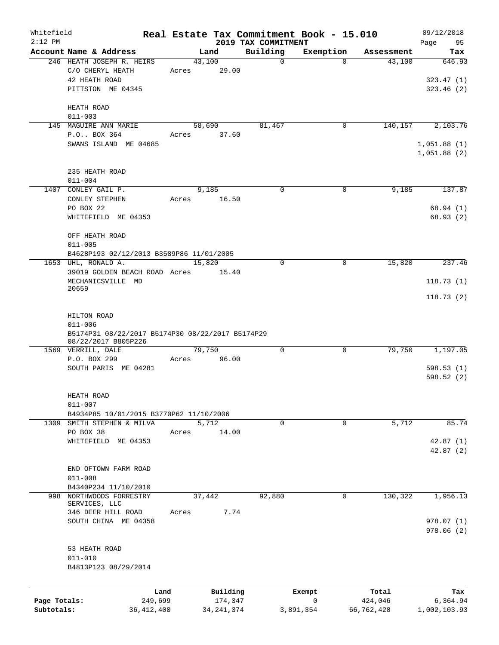| Whitefield   |                                                                  |         |                |                                 | Real Estate Tax Commitment Book - 15.010 |            | 09/12/2018        |
|--------------|------------------------------------------------------------------|---------|----------------|---------------------------------|------------------------------------------|------------|-------------------|
| $2:12$ PM    | Account Name & Address                                           |         | Land           | 2019 TAX COMMITMENT<br>Building | Exemption                                | Assessment | Page<br>95<br>Tax |
|              | 246 HEATH JOSEPH R. HEIRS                                        |         | 43,100         | $\mathbf 0$                     | $\Omega$                                 | 43,100     | 646.93            |
|              | C/O CHERYL HEATH                                                 | Acres   | 29.00          |                                 |                                          |            |                   |
|              | 42 HEATH ROAD                                                    |         |                |                                 |                                          |            | 323.47(1)         |
|              | PITTSTON ME 04345                                                |         |                |                                 |                                          |            | 323.46(2)         |
|              |                                                                  |         |                |                                 |                                          |            |                   |
|              | HEATH ROAD<br>$011 - 003$                                        |         |                |                                 |                                          |            |                   |
|              | 145 MAGUIRE ANN MARIE                                            |         | 58,690         | 81,467                          | 0                                        | 140,157    | 2,103.76          |
|              | P.O BOX 364                                                      | Acres   | 37.60          |                                 |                                          |            |                   |
|              | SWANS ISLAND ME 04685                                            |         |                |                                 |                                          |            | 1,051.88(1)       |
|              |                                                                  |         |                |                                 |                                          |            | 1,051.88(2)       |
|              |                                                                  |         |                |                                 |                                          |            |                   |
|              | 235 HEATH ROAD<br>$011 - 004$                                    |         |                |                                 |                                          |            |                   |
|              | 1407 CONLEY GAIL P.                                              |         | 9,185          | $\Omega$                        | 0                                        | 9,185      | 137.87            |
|              | CONLEY STEPHEN                                                   |         | 16.50<br>Acres |                                 |                                          |            |                   |
|              | PO BOX 22                                                        |         |                |                                 |                                          |            | 68.94 (1)         |
|              | WHITEFIELD ME 04353                                              |         |                |                                 |                                          |            | 68.93(2)          |
|              |                                                                  |         |                |                                 |                                          |            |                   |
|              | OFF HEATH ROAD                                                   |         |                |                                 |                                          |            |                   |
|              | $011 - 005$<br>B4628P193 02/12/2013 B3589P86 11/01/2005          |         |                |                                 |                                          |            |                   |
|              | 1653 UHL, RONALD A.                                              |         | 15,820         | $\Omega$                        | 0                                        | 15,820     | 237.46            |
|              | 39019 GOLDEN BEACH ROAD Acres 15.40                              |         |                |                                 |                                          |            |                   |
|              | MECHANICSVILLE MD                                                |         |                |                                 |                                          |            | 118.73(1)         |
|              | 20659                                                            |         |                |                                 |                                          |            |                   |
|              |                                                                  |         |                |                                 |                                          |            | 118.73(2)         |
|              | HILTON ROAD                                                      |         |                |                                 |                                          |            |                   |
|              | $011 - 006$                                                      |         |                |                                 |                                          |            |                   |
|              | B5174P31 08/22/2017 B5174P30 08/22/2017 B5174P29                 |         |                |                                 |                                          |            |                   |
|              | 08/22/2017 B805P226                                              |         | 79,750         | $\mathbf 0$                     | $\mathbf 0$                              | 79,750     | 1,197.05          |
|              | 1569 VERRILL, DALE<br>P.O. BOX 299                               |         | Acres 96.00    |                                 |                                          |            |                   |
|              | SOUTH PARIS ME 04281                                             |         |                |                                 |                                          |            | 598.53(1)         |
|              |                                                                  |         |                |                                 |                                          |            | 598.52(2)         |
|              |                                                                  |         |                |                                 |                                          |            |                   |
|              | HEATH ROAD                                                       |         |                |                                 |                                          |            |                   |
|              | $011 - 007$                                                      |         |                |                                 |                                          |            |                   |
| 1309         | B4934P85 10/01/2015 B3770P62 11/10/2006<br>SMITH STEPHEN & MILVA |         | 5,712          | $\mathbf 0$                     | 0                                        | 5,712      | 85.74             |
|              | PO BOX 38                                                        | Acres   | 14.00          |                                 |                                          |            |                   |
|              | WHITEFIELD ME 04353                                              |         |                |                                 |                                          |            | 42.87(1)          |
|              |                                                                  |         |                |                                 |                                          |            | 42.87(2)          |
|              |                                                                  |         |                |                                 |                                          |            |                   |
|              | END OFTOWN FARM ROAD                                             |         |                |                                 |                                          |            |                   |
|              | $011 - 008$<br>B4340P234 11/10/2010                              |         |                |                                 |                                          |            |                   |
| 998          | NORTHWOODS FORRESTRY                                             |         | 37,442         | 92,880                          | 0                                        | 130,322    | 1,956.13          |
|              | SERVICES, LLC                                                    |         |                |                                 |                                          |            |                   |
|              | 346 DEER HILL ROAD                                               | Acres   | 7.74           |                                 |                                          |            |                   |
|              | SOUTH CHINA ME 04358                                             |         |                |                                 |                                          |            | 978.07(1)         |
|              |                                                                  |         |                |                                 |                                          |            | 978.06 (2)        |
|              | 53 HEATH ROAD                                                    |         |                |                                 |                                          |            |                   |
|              | $011 - 010$                                                      |         |                |                                 |                                          |            |                   |
|              | B4813P123 08/29/2014                                             |         |                |                                 |                                          |            |                   |
|              |                                                                  |         |                |                                 |                                          |            |                   |
|              |                                                                  | Land    | Building       |                                 | Exempt                                   | Total      | Tax               |
| Page Totals: |                                                                  | 249,699 | 174,347        |                                 | 0                                        | 424,046    | 6,364.94          |
| Subtotals:   | 36, 412, 400                                                     |         | 34, 241, 374   |                                 | 3,891,354                                | 66,762,420 | 1,002,103.93      |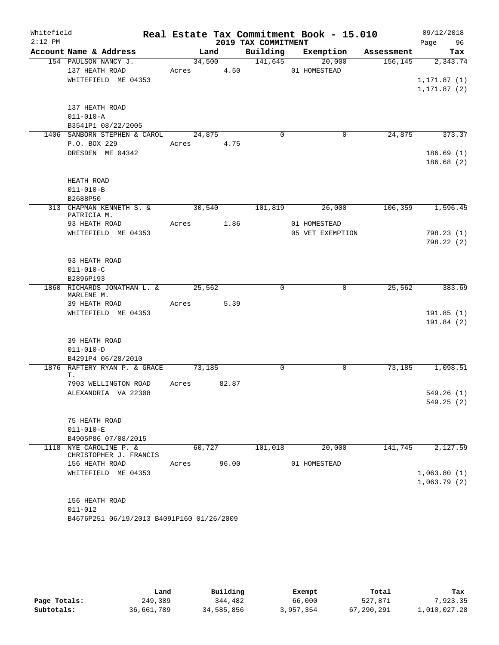| Whitefield |                                           |        |        |             |                         | Real Estate Tax Commitment Book - 15.010 |         | 09/12/2018   |            |
|------------|-------------------------------------------|--------|--------|-------------|-------------------------|------------------------------------------|---------|--------------|------------|
| $2:12$ PM  |                                           |        |        |             | 2019 TAX COMMITMENT     |                                          |         | Page 96      |            |
|            | Account Name & Address                    |        |        |             |                         | Land Building Exemption Assessment       |         |              | Tax        |
|            | 154 PAULSON NANCY J.                      |        |        |             | 34,500 141,645          | 20,000                                   | 156,145 |              | 2,343.74   |
|            | 137 HEATH ROAD                            |        |        |             | Acres 4.50 01 HOMESTEAD |                                          |         |              |            |
|            | WHITEFIELD ME 04353                       |        |        |             |                         |                                          |         | 1, 171.87(1) |            |
|            |                                           |        |        |             |                         |                                          |         | 1, 171.87(2) |            |
|            | 137 HEATH ROAD                            |        |        |             |                         |                                          |         |              |            |
|            | $011 - 010 - A$                           |        |        |             |                         |                                          |         |              |            |
|            | B3541P1 08/22/2005                        |        |        |             |                         |                                          |         |              |            |
|            | 1406 SANBORN STEPHEN & CAROL              |        | 24,875 |             | $\Omega$                | 0                                        | 24,875  |              | 373.37     |
|            | P.O. BOX 229                              |        |        | Acres 4.75  |                         |                                          |         |              |            |
|            | DRESDEN ME 04342                          |        |        |             |                         |                                          |         |              | 186.69(1)  |
|            |                                           |        |        |             |                         |                                          |         |              | 186.68(2)  |
|            |                                           |        |        |             |                         |                                          |         |              |            |
|            | HEATH ROAD                                |        |        |             |                         |                                          |         |              |            |
|            | $011 - 010 - B$                           |        |        |             |                         |                                          |         |              |            |
|            | B2688P50<br>313 CHAPMAN KENNETH S. &      | 30,540 |        |             | 101,819                 | 26,000                                   | 106,359 |              | 1,596.45   |
|            | PATRICIA M.                               |        |        |             |                         |                                          |         |              |            |
|            | 93 HEATH ROAD                             |        |        | Acres 1.86  |                         | 01 HOMESTEAD                             |         |              |            |
|            | WHITEFIELD ME 04353                       |        |        |             |                         | 05 VET EXEMPTION                         |         |              | 798.23(1)  |
|            |                                           |        |        |             |                         |                                          |         |              | 798.22(2)  |
|            |                                           |        |        |             |                         |                                          |         |              |            |
|            | 93 HEATH ROAD                             |        |        |             |                         |                                          |         |              |            |
|            | $011 - 010 - C$<br>B2896P193              |        |        |             |                         |                                          |         |              |            |
|            | 1860 RICHARDS JONATHAN L. & 25,562        |        |        |             | $\Omega$                | $\mathbf 0$                              | 25,562  |              | 383.69     |
|            | MARLENE M.                                |        |        |             |                         |                                          |         |              |            |
|            | 39 HEATH ROAD                             | Acres  |        | 5.39        |                         |                                          |         |              |            |
|            | WHITEFIELD ME 04353                       |        |        |             |                         |                                          |         |              | 191.85(1)  |
|            |                                           |        |        |             |                         |                                          |         |              | 191.84(2)  |
|            | 39 HEATH ROAD                             |        |        |             |                         |                                          |         |              |            |
|            | $011 - 010 - D$                           |        |        |             |                         |                                          |         |              |            |
|            | B4291P4 06/28/2010                        |        |        |             |                         |                                          |         |              |            |
|            | 1876 RAFTERY RYAN P. & GRACE 73,185       |        |        |             | $\mathbf 0$             | 0                                        | 73,185  |              | 1,098.51   |
|            | Т.                                        |        |        |             |                         |                                          |         |              |            |
|            | 7903 WELLINGTON ROAD                      |        |        | Acres 82.87 |                         |                                          |         |              |            |
|            | ALEXANDRIA VA 22308                       |        |        |             |                         |                                          |         |              | 549.26 (1) |
|            |                                           |        |        |             |                         |                                          |         |              | 549.25(2)  |
|            | 75 HEATH ROAD                             |        |        |             |                         |                                          |         |              |            |
|            | $011 - 010 - E$                           |        |        |             |                         |                                          |         |              |            |
|            | B4905P86 07/08/2015                       |        |        |             |                         |                                          |         |              |            |
|            | 1118 NYE CAROLINE P. &                    |        | 60,727 |             | 101,018                 | 20,000                                   | 141,745 |              | 2,127.59   |
|            | CHRISTOPHER J. FRANCIS                    |        |        |             |                         |                                          |         |              |            |
|            | 156 HEATH ROAD                            | Acres  |        | 96.00       |                         | 01 HOMESTEAD                             |         |              |            |
|            | WHITEFIELD ME 04353                       |        |        |             |                         |                                          |         | 1,063.80(1)  |            |
|            |                                           |        |        |             |                         |                                          |         | 1,063.79(2)  |            |
|            | 156 HEATH ROAD                            |        |        |             |                         |                                          |         |              |            |
|            | $011 - 012$                               |        |        |             |                         |                                          |         |              |            |
|            | B4676P251 06/19/2013 B4091P160 01/26/2009 |        |        |             |                         |                                          |         |              |            |
|            |                                           |        |        |             |                         |                                          |         |              |            |

|              | Land       | Building   | Exempt    | Total      | Tax          |
|--------------|------------|------------|-----------|------------|--------------|
| Page Totals: | 249,389    | 344,482    | 66,000    | 527,871    | 7.923.35     |
| Subtotals:   | 36,661,789 | 34,585,856 | 3,957,354 | 67,290,291 | 1,010,027.28 |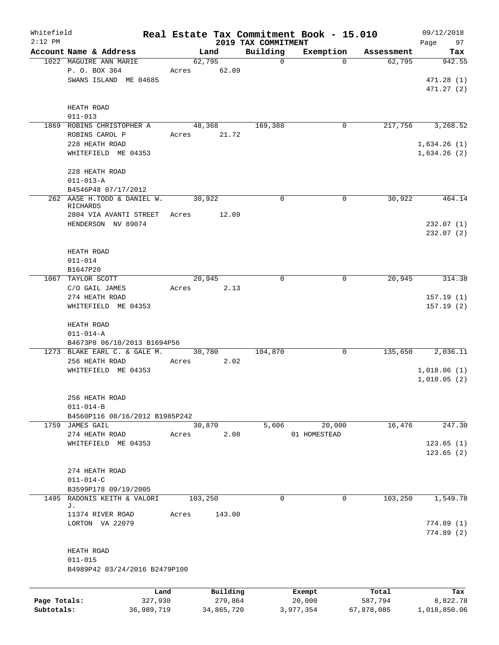| Whitefield<br>$2:12$ PM |                                |       |            |                                 | Real Estate Tax Commitment Book - 15.010 |            | 09/12/2018        |
|-------------------------|--------------------------------|-------|------------|---------------------------------|------------------------------------------|------------|-------------------|
|                         | Account Name & Address         |       | Land       | 2019 TAX COMMITMENT<br>Building | Exemption                                | Assessment | Page<br>97<br>Tax |
|                         | 1022 MAGUIRE ANN MARIE         |       | 62,795     | $\mathbf 0$                     | $\Omega$                                 | 62,795     | 942.55            |
|                         | P. O. BOX 364                  | Acres | 62.09      |                                 |                                          |            |                   |
|                         | SWANS ISLAND ME 04685          |       |            |                                 |                                          |            | 471.28(1)         |
|                         |                                |       |            |                                 |                                          |            | 471.27(2)         |
|                         |                                |       |            |                                 |                                          |            |                   |
|                         | HEATH ROAD                     |       |            |                                 |                                          |            |                   |
|                         | $011 - 013$                    |       |            |                                 |                                          |            |                   |
|                         | 1869 ROBINS CHRISTOPHER A      |       | 48,368     | 169,388                         | $\mathbf 0$                              | 217,756    | 3,268.52          |
|                         | ROBINS CAROL P                 | Acres | 21.72      |                                 |                                          |            |                   |
|                         | 228 HEATH ROAD                 |       |            |                                 |                                          |            | 1,634.26(1)       |
|                         | WHITEFIELD ME 04353            |       |            |                                 |                                          |            | 1,634.26(2)       |
|                         |                                |       |            |                                 |                                          |            |                   |
|                         | 228 HEATH ROAD                 |       |            |                                 |                                          |            |                   |
|                         | $011 - 013 - A$                |       |            |                                 |                                          |            |                   |
|                         | B4546P48 07/17/2012            |       |            |                                 |                                          |            |                   |
|                         | 262 AASE H.TODD & DANIEL W.    |       | 30,922     | 0                               | $\mathbf 0$                              | 30,922     | 464.14            |
|                         | RICHARDS                       |       |            |                                 |                                          |            |                   |
|                         | 2804 VIA AVANTI STREET         | Acres | 12.09      |                                 |                                          |            |                   |
|                         | HENDERSON NV 89074             |       |            |                                 |                                          |            | 232.07(1)         |
|                         |                                |       |            |                                 |                                          |            | 232.07(2)         |
|                         |                                |       |            |                                 |                                          |            |                   |
|                         | HEATH ROAD                     |       |            |                                 |                                          |            |                   |
|                         | $011 - 014$                    |       |            |                                 |                                          |            |                   |
|                         | B1647P20                       |       |            |                                 |                                          |            |                   |
|                         | 1067 TAYLOR SCOTT              |       | 20,945     | $\Omega$                        | $\mathbf 0$                              | 20,945     | 314.38            |
|                         | C/O GAIL JAMES                 | Acres | 2.13       |                                 |                                          |            |                   |
|                         | 274 HEATH ROAD                 |       |            |                                 |                                          |            | 157.19(1)         |
|                         | WHITEFIELD ME 04353            |       |            |                                 |                                          |            | 157.19(2)         |
|                         |                                |       |            |                                 |                                          |            |                   |
|                         | HEATH ROAD                     |       |            |                                 |                                          |            |                   |
|                         | $011 - 014 - A$                |       |            |                                 |                                          |            |                   |
|                         | B4673P8 06/10/2013 B1694P56    |       |            |                                 |                                          |            |                   |
|                         | 1273 BLAKE EARL C. & GALE M.   |       | 30,780     | 104,870                         | 0                                        | 135,650    | 2,036.11          |
|                         | 256 HEATH ROAD                 | Acres | 2.02       |                                 |                                          |            |                   |
|                         | WHITEFIELD ME 04353            |       |            |                                 |                                          |            | 1,018.06(1)       |
|                         |                                |       |            |                                 |                                          |            | 1,018.05(2)       |
|                         |                                |       |            |                                 |                                          |            |                   |
|                         | 256 HEATH ROAD                 |       |            |                                 |                                          |            |                   |
|                         | $011 - 014 - B$                |       |            |                                 |                                          |            |                   |
|                         | B4560P116 08/16/2012 B1985P242 |       |            |                                 |                                          |            |                   |
|                         | 1759 JAMES GAIL                |       | 30,870     | 5,606                           | 20,000                                   | 16,476     | 247.30            |
|                         | 274 HEATH ROAD                 | Acres | 2.08       |                                 | 01 HOMESTEAD                             |            |                   |
|                         | WHITEFIELD ME 04353            |       |            |                                 |                                          |            | 123.65(1)         |
|                         |                                |       |            |                                 |                                          |            | 123.65(2)         |
|                         |                                |       |            |                                 |                                          |            |                   |
|                         | 274 HEATH ROAD                 |       |            |                                 |                                          |            |                   |
|                         | $011 - 014 - C$                |       |            |                                 |                                          |            |                   |
|                         | B3599P178 09/19/2005           |       |            |                                 |                                          |            |                   |
|                         | 1495 RADONIS KEITH & VALORI    |       | 103,250    | 0                               | $\overline{0}$                           | 103,250    | 1,549.78          |
|                         | J.                             |       |            |                                 |                                          |            |                   |
|                         | 11374 RIVER ROAD               | Acres | 143.00     |                                 |                                          |            |                   |
|                         | LORTON VA 22079                |       |            |                                 |                                          |            | 774.89(1)         |
|                         |                                |       |            |                                 |                                          |            | 774.89(2)         |
|                         |                                |       |            |                                 |                                          |            |                   |
|                         | HEATH ROAD                     |       |            |                                 |                                          |            |                   |
|                         | $011 - 015$                    |       |            |                                 |                                          |            |                   |
|                         | B4989P42 03/24/2016 B2479P100  |       |            |                                 |                                          |            |                   |
|                         |                                |       |            |                                 |                                          |            |                   |
|                         |                                | Land  | Building   |                                 | Exempt                                   | Total      | Tax               |
| Page Totals:            | 327,930                        |       | 279,864    |                                 | 20,000                                   | 587,794    | 8,822.78          |
| Subtotals:              | 36,989,719                     |       | 34,865,720 |                                 | 3,977,354                                | 67,878,085 | 1,018,850.06      |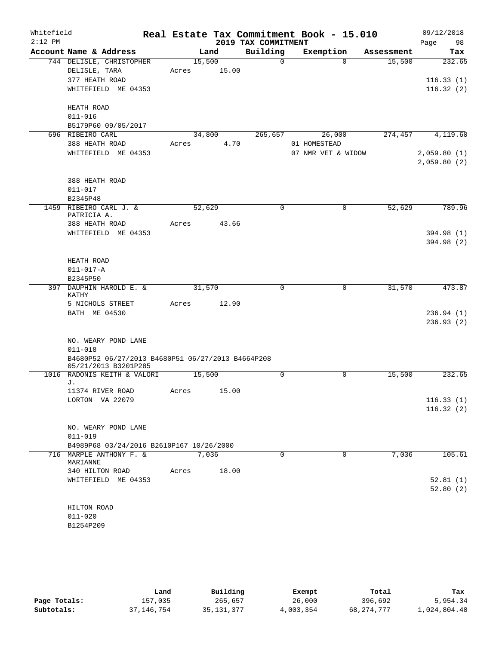| Whitefield |                                                                           |        |             | Real Estate Tax Commitment Book - 15.010 |                    |          |            |      | 09/12/2018  |
|------------|---------------------------------------------------------------------------|--------|-------------|------------------------------------------|--------------------|----------|------------|------|-------------|
| $2:12$ PM  |                                                                           |        |             | 2019 TAX COMMITMENT                      |                    |          |            | Page | 98          |
|            | Account Name & Address                                                    |        | Land        | Building                                 | Exemption          |          | Assessment |      | Tax         |
|            | 744 DELISLE, CHRISTOPHER                                                  | 15,500 |             | $\Omega$                                 |                    | $\Omega$ | 15,500     |      | 232.65      |
|            | DELISLE, TARA                                                             |        | Acres 15.00 |                                          |                    |          |            |      |             |
|            | 377 HEATH ROAD                                                            |        |             |                                          |                    |          |            |      | 116.33(1)   |
|            | WHITEFIELD ME 04353                                                       |        |             |                                          |                    |          |            |      | 116.32(2)   |
|            | HEATH ROAD                                                                |        |             |                                          |                    |          |            |      |             |
|            | $011 - 016$                                                               |        |             |                                          |                    |          |            |      |             |
|            | B5179P60 09/05/2017                                                       |        |             |                                          |                    |          |            |      |             |
|            | 696 RIBEIRO CARL                                                          |        | 34,800      | 265,657                                  | 26,000             |          | 274,457    |      | 4,119.60    |
|            | 388 HEATH ROAD                                                            | Acres  | 4.70        |                                          | 01 HOMESTEAD       |          |            |      |             |
|            | WHITEFIELD ME 04353                                                       |        |             |                                          | 07 NMR VET & WIDOW |          |            |      | 2,059.80(1) |
|            |                                                                           |        |             |                                          |                    |          |            |      | 2,059.80(2) |
|            | 388 HEATH ROAD                                                            |        |             |                                          |                    |          |            |      |             |
|            | $011 - 017$                                                               |        |             |                                          |                    |          |            |      |             |
|            | B2345P48                                                                  |        |             |                                          |                    |          |            |      |             |
|            | 1459 RIBEIRO CARL J. &                                                    | 52,629 |             | $\Omega$                                 |                    | $\Omega$ | 52,629     |      | 789.96      |
|            | PATRICIA A.                                                               |        |             |                                          |                    |          |            |      |             |
|            | 388 HEATH ROAD                                                            | Acres  | 43.66       |                                          |                    |          |            |      |             |
|            | WHITEFIELD ME 04353                                                       |        |             |                                          |                    |          |            |      | 394.98 (1)  |
|            |                                                                           |        |             |                                          |                    |          |            |      | 394.98 (2)  |
|            |                                                                           |        |             |                                          |                    |          |            |      |             |
|            | HEATH ROAD                                                                |        |             |                                          |                    |          |            |      |             |
|            | $011 - 017 - A$                                                           |        |             |                                          |                    |          |            |      |             |
|            | B2345P50<br>397 DAUPHIN HAROLD E. &                                       | 31,570 |             | 0                                        |                    | 0        | 31,570     |      | 473.87      |
|            | KATHY                                                                     |        |             |                                          |                    |          |            |      |             |
|            | 5 NICHOLS STREET                                                          | Acres  | 12.90       |                                          |                    |          |            |      |             |
|            | BATH ME 04530                                                             |        |             |                                          |                    |          |            |      | 236.94(1)   |
|            |                                                                           |        |             |                                          |                    |          |            |      | 236.93(2)   |
|            |                                                                           |        |             |                                          |                    |          |            |      |             |
|            | NO. WEARY POND LANE                                                       |        |             |                                          |                    |          |            |      |             |
|            | $011 - 018$                                                               |        |             |                                          |                    |          |            |      |             |
|            | B4680P52 06/27/2013 B4680P51 06/27/2013 B4664P208<br>05/21/2013 B3201P285 |        |             |                                          |                    |          |            |      |             |
|            | 1016 RADONIS KEITH & VALORI                                               | 15,500 |             | $\Omega$                                 |                    | $\Omega$ | 15,500     |      | 232.65      |
|            | J.                                                                        |        |             |                                          |                    |          |            |      |             |
|            | 11374 RIVER ROAD<br>LORTON VA 22079                                       | Acres  | 15.00       |                                          |                    |          |            |      | 116.33(1)   |
|            |                                                                           |        |             |                                          |                    |          |            |      | 116.32(2)   |
|            |                                                                           |        |             |                                          |                    |          |            |      |             |
|            | NO. WEARY POND LANE                                                       |        |             |                                          |                    |          |            |      |             |
|            | $011 - 019$                                                               |        |             |                                          |                    |          |            |      |             |
|            | B4989P68 03/24/2016 B2610P167 10/26/2000                                  |        |             |                                          |                    |          |            |      |             |
|            | 716 MARPLE ANTHONY F. &                                                   |        | 7,036       | $\mathbf 0$                              |                    | 0        | 7,036      |      | 105.61      |
|            | MARIANNE                                                                  |        |             |                                          |                    |          |            |      |             |
|            | 340 HILTON ROAD                                                           | Acres  | 18.00       |                                          |                    |          |            |      |             |
|            | WHITEFIELD ME 04353                                                       |        |             |                                          |                    |          |            |      | 52.81(1)    |
|            |                                                                           |        |             |                                          |                    |          |            |      | 52.80(2)    |
|            | HILTON ROAD                                                               |        |             |                                          |                    |          |            |      |             |
|            | $011 - 020$                                                               |        |             |                                          |                    |          |            |      |             |
|            | B1254P209                                                                 |        |             |                                          |                    |          |            |      |             |

|              | Land       | Building     | Exempt    | Total        | Tax          |
|--------------|------------|--------------|-----------|--------------|--------------|
| Page Totals: | 157,035    | 265,657      | 26,000    | 396,692      | 5,954.34     |
| Subtotals:   | 37,146,754 | 35, 131, 377 | 4,003,354 | 68, 274, 777 | 1,024,804.40 |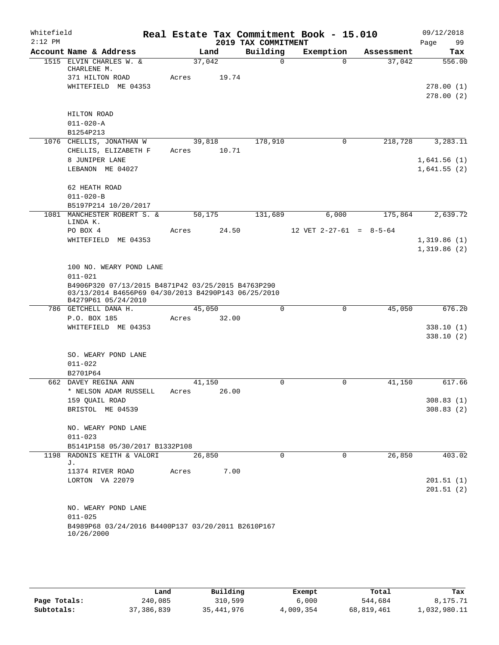| Whitefield |                                                                            |       |        |                     | Real Estate Tax Commitment Book - 15.010 |            | 09/12/2018              |
|------------|----------------------------------------------------------------------------|-------|--------|---------------------|------------------------------------------|------------|-------------------------|
| $2:12$ PM  |                                                                            |       |        | 2019 TAX COMMITMENT |                                          |            | 99<br>Page              |
|            | Account Name & Address                                                     |       | Land   | Building            | Exemption                                | Assessment | Tax                     |
|            | 1515 ELVIN CHARLES W. &<br>CHARLENE M.                                     |       | 37,042 | $\Omega$            | $\Omega$                                 | 37,042     | 556.00                  |
|            | 371 HILTON ROAD                                                            | Acres | 19.74  |                     |                                          |            |                         |
|            | WHITEFIELD ME 04353                                                        |       |        |                     |                                          |            | 278.00(1)               |
|            |                                                                            |       |        |                     |                                          |            | 278.00(2)               |
|            |                                                                            |       |        |                     |                                          |            |                         |
|            | HILTON ROAD                                                                |       |        |                     |                                          |            |                         |
|            | $011 - 020 - A$<br>B1254P213                                               |       |        |                     |                                          |            |                         |
|            | 1076 CHELLIS, JONATHAN W                                                   |       | 39,818 | 178,910             | 0                                        | 218,728    | 3,283.11                |
|            | CHELLIS, ELIZABETH F                                                       | Acres | 10.71  |                     |                                          |            |                         |
|            | 8 JUNIPER LANE                                                             |       |        |                     |                                          |            | 1,641.56(1)             |
|            | LEBANON ME 04027                                                           |       |        |                     |                                          |            | 1,641.55(2)             |
|            |                                                                            |       |        |                     |                                          |            |                         |
|            | 62 HEATH ROAD                                                              |       |        |                     |                                          |            |                         |
|            | $011 - 020 - B$                                                            |       |        |                     |                                          |            |                         |
|            | B5197P214 10/20/2017                                                       |       |        |                     |                                          |            |                         |
|            | 1081 MANCHESTER ROBERT S. &                                                |       | 50,175 | 131,689             | 6,000                                    | 175,864    | 2,639.72                |
|            | LINDA K.<br>PO BOX 4                                                       | Acres | 24.50  |                     | 12 VET $2-27-61 = 8-5-64$                |            |                         |
|            | WHITEFIELD ME 04353                                                        |       |        |                     |                                          |            | 1,319.86(1)             |
|            |                                                                            |       |        |                     |                                          |            | 1,319.86(2)             |
|            |                                                                            |       |        |                     |                                          |            |                         |
|            | 100 NO. WEARY POND LANE                                                    |       |        |                     |                                          |            |                         |
|            | $011 - 021$                                                                |       |        |                     |                                          |            |                         |
|            | B4906P320 07/13/2015 B4871P42 03/25/2015 B4763P290                         |       |        |                     |                                          |            |                         |
|            | 03/13/2014 B4656P69 04/30/2013 B4290P143 06/25/2010<br>B4279P61 05/24/2010 |       |        |                     |                                          |            |                         |
|            | 786 GETCHELL DANA H.                                                       |       | 45,050 | $\Omega$            | 0                                        | 45,050     | 676.20                  |
|            | P.O. BOX 185                                                               | Acres | 32.00  |                     |                                          |            |                         |
|            | WHITEFIELD ME 04353                                                        |       |        |                     |                                          |            | 338.10(1)               |
|            |                                                                            |       |        |                     |                                          |            | 338.10(2)               |
|            |                                                                            |       |        |                     |                                          |            |                         |
|            | SO. WEARY POND LANE                                                        |       |        |                     |                                          |            |                         |
|            | $011 - 022$                                                                |       |        |                     |                                          |            |                         |
|            | B2701P64                                                                   |       |        |                     |                                          |            |                         |
|            | 662 DAVEY REGINA ANN                                                       |       | 41,150 | 0                   | 0                                        | 41,150     | 617.66                  |
|            | * NELSON ADAM RUSSELL                                                      | Acres | 26.00  |                     |                                          |            |                         |
|            | 159 QUAIL ROAD<br>BRISTOL ME 04539                                         |       |        |                     |                                          |            | 308.83 (1)<br>308.83(2) |
|            |                                                                            |       |        |                     |                                          |            |                         |
|            | NO. WEARY POND LANE                                                        |       |        |                     |                                          |            |                         |
|            | $011 - 023$                                                                |       |        |                     |                                          |            |                         |
|            | B5141P158 05/30/2017 B1332P108                                             |       |        |                     |                                          |            |                         |
| 1198       | RADONIS KEITH & VALORI                                                     |       | 26,850 | 0                   | 0                                        | 26,850     | 403.02                  |
|            | J.                                                                         |       |        |                     |                                          |            |                         |
|            | 11374 RIVER ROAD                                                           | Acres | 7.00   |                     |                                          |            |                         |
|            | LORTON VA 22079                                                            |       |        |                     |                                          |            | 201.51(1)               |
|            |                                                                            |       |        |                     |                                          |            | 201.51(2)               |
|            | NO. WEARY POND LANE                                                        |       |        |                     |                                          |            |                         |
|            | $011 - 025$                                                                |       |        |                     |                                          |            |                         |
|            | B4989P68 03/24/2016 B4400P137 03/20/2011 B2610P167                         |       |        |                     |                                          |            |                         |
|            | 10/26/2000                                                                 |       |        |                     |                                          |            |                         |
|            |                                                                            |       |        |                     |                                          |            |                         |

|              | Land       | Building   | Exempt    | Total      | Tax          |
|--------------|------------|------------|-----------|------------|--------------|
| Page Totals: | 240,085    | 310,599    | 6.000     | 544,684    | 8,175.71     |
| Subtotals:   | 37,386,839 | 35,441,976 | 4,009,354 | 68,819,461 | 1,032,980.11 |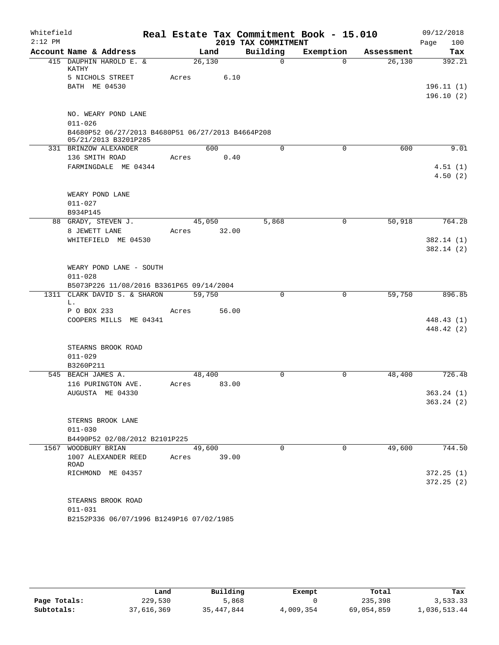| Whitefield<br>$2:12$ PM |                                                                           |       |             | 2019 TAX COMMITMENT | Real Estate Tax Commitment Book - 15.010 |            | 09/12/2018<br>100<br>Page |
|-------------------------|---------------------------------------------------------------------------|-------|-------------|---------------------|------------------------------------------|------------|---------------------------|
|                         | Account Name & Address                                                    |       | Land        | Building            | Exemption                                | Assessment | Tax                       |
|                         | 415 DAUPHIN HAROLD E. &<br>KATHY                                          |       | 26,130      | $\mathbf 0$         | $\Omega$                                 | 26,130     | 392.21                    |
|                         | 5 NICHOLS STREET                                                          | Acres | 6.10        |                     |                                          |            |                           |
|                         | BATH ME 04530                                                             |       |             |                     |                                          |            | 196.11(1)                 |
|                         |                                                                           |       |             |                     |                                          |            | 196.10(2)                 |
|                         | NO. WEARY POND LANE<br>$011 - 026$                                        |       |             |                     |                                          |            |                           |
|                         | B4680P52 06/27/2013 B4680P51 06/27/2013 B4664P208<br>05/21/2013 B3201P285 |       |             |                     |                                          |            |                           |
|                         | 331 BRINZOW ALEXANDER                                                     |       | 600         | $\mathbf 0$         | $\mathbf 0$                              | 600        | 9.01                      |
|                         | 136 SMITH ROAD                                                            | Acres | 0.40        |                     |                                          |            |                           |
|                         | FARMINGDALE ME 04344                                                      |       |             |                     |                                          |            | 4.51(1)                   |
|                         |                                                                           |       |             |                     |                                          |            | 4.50(2)                   |
|                         | WEARY POND LANE                                                           |       |             |                     |                                          |            |                           |
|                         | $011 - 027$                                                               |       |             |                     |                                          |            |                           |
|                         | B934P145                                                                  |       |             |                     |                                          |            |                           |
|                         | 88 GRADY, STEVEN J.                                                       |       | 45,050      | 5,868               | 0                                        | 50,918     | 764.28                    |
|                         | 8 JEWETT LANE                                                             | Acres | 32.00       |                     |                                          |            |                           |
|                         | WHITEFIELD ME 04530                                                       |       |             |                     |                                          |            | 382.14(1)                 |
|                         |                                                                           |       |             |                     |                                          |            | 382.14(2)                 |
|                         | WEARY POND LANE - SOUTH                                                   |       |             |                     |                                          |            |                           |
|                         | $011 - 028$                                                               |       |             |                     |                                          |            |                           |
|                         | B5073P226 11/08/2016 B3361P65 09/14/2004                                  |       |             |                     |                                          |            |                           |
| 1311                    | CLARK DAVID S. & SHARON                                                   |       | 59,750      | 0                   | 0                                        | 59,750     | 896.85                    |
|                         | L.                                                                        |       |             |                     |                                          |            |                           |
|                         | P O BOX 233                                                               | Acres | 56.00       |                     |                                          |            |                           |
|                         | COOPERS MILLS ME 04341                                                    |       |             |                     |                                          |            | 448.43 (1)                |
|                         |                                                                           |       |             |                     |                                          |            | 448.42 (2)                |
|                         | STEARNS BROOK ROAD                                                        |       |             |                     |                                          |            |                           |
|                         | $011 - 029$                                                               |       |             |                     |                                          |            |                           |
|                         | B3260P211                                                                 |       |             |                     |                                          |            |                           |
|                         | 545 BEACH JAMES A.                                                        |       | 48,400      | $\Omega$            | 0                                        | 48,400     | 726.48                    |
|                         | 116 PURINGTON AVE.                                                        | Acres | 83.00       |                     |                                          |            |                           |
|                         | AUGUSTA ME 04330                                                          |       |             |                     |                                          |            | 363.24 (1)                |
|                         |                                                                           |       |             |                     |                                          |            | 363.24(2)                 |
|                         |                                                                           |       |             |                     |                                          |            |                           |
|                         | STERNS BROOK LANE<br>$011 - 030$                                          |       |             |                     |                                          |            |                           |
|                         | B4490P52 02/08/2012 B2101P225                                             |       |             |                     |                                          |            |                           |
|                         | 1567 WOODBURY BRIAN                                                       |       | 49,600      | $\Omega$            | $\Omega$                                 | 49,600     | 744.50                    |
|                         | 1007 ALEXANDER REED<br>ROAD                                               |       | Acres 39.00 |                     |                                          |            |                           |
|                         | RICHMOND ME 04357                                                         |       |             |                     |                                          |            | 372.25(1)                 |
|                         |                                                                           |       |             |                     |                                          |            | 372.25(2)                 |
|                         |                                                                           |       |             |                     |                                          |            |                           |
|                         | STEARNS BROOK ROAD                                                        |       |             |                     |                                          |            |                           |
|                         | $011 - 031$                                                               |       |             |                     |                                          |            |                           |
|                         | B2152P336 06/07/1996 B1249P16 07/02/1985                                  |       |             |                     |                                          |            |                           |

|              | Land       | Building   | Exempt    | Total      | Tax          |
|--------------|------------|------------|-----------|------------|--------------|
| Page Totals: | 229,530    | 5,868      |           | 235,398    | 3,533.33     |
| Subtotals:   | 37,616,369 | 35,447,844 | 4,009,354 | 69,054,859 | 1,036,513.44 |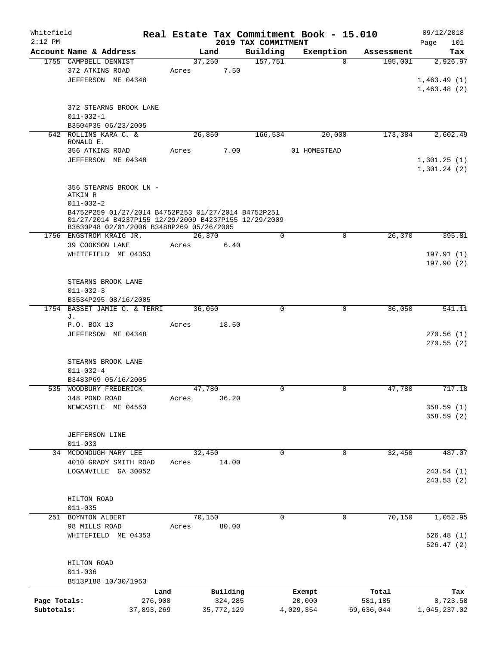| Whitefield   |                                                      |                 |        |                     |                                 | Real Estate Tax Commitment Book - 15.010 |                     | 09/12/2018         |
|--------------|------------------------------------------------------|-----------------|--------|---------------------|---------------------------------|------------------------------------------|---------------------|--------------------|
| $2:12$ PM    | Account Name & Address                               |                 | Land   |                     | 2019 TAX COMMITMENT<br>Building | Exemption                                | Assessment          | 101<br>Page<br>Tax |
|              | 1755 CAMPBELL DENNIST                                |                 | 37,250 |                     | 157,751                         |                                          | 195,001<br>$\Omega$ | 2,926.97           |
|              | 372 ATKINS ROAD                                      |                 | Acres  | 7.50                |                                 |                                          |                     |                    |
|              | JEFFERSON ME 04348                                   |                 |        |                     |                                 |                                          |                     | 1,463.49(1)        |
|              |                                                      |                 |        |                     |                                 |                                          |                     | 1,463.48(2)        |
|              |                                                      |                 |        |                     |                                 |                                          |                     |                    |
|              | 372 STEARNS BROOK LANE                               |                 |        |                     |                                 |                                          |                     |                    |
|              | $011 - 032 - 1$                                      |                 |        |                     |                                 |                                          |                     |                    |
|              | B3504P35 06/23/2005                                  |                 |        |                     |                                 |                                          |                     |                    |
|              | 642 ROLLINS KARA C. &                                |                 | 26,850 |                     | 166,534                         | 20,000                                   | 173,384             | 2,602.49           |
|              | RONALD E.                                            |                 |        |                     |                                 |                                          |                     |                    |
|              | 356 ATKINS ROAD                                      |                 | Acres  | 7.00                |                                 | 01 HOMESTEAD                             |                     |                    |
|              | JEFFERSON ME 04348                                   |                 |        |                     |                                 |                                          |                     | 1,301.25(1)        |
|              |                                                      |                 |        |                     |                                 |                                          |                     | 1,301.24(2)        |
|              |                                                      |                 |        |                     |                                 |                                          |                     |                    |
|              | 356 STEARNS BROOK LN -<br>ATKIN R                    |                 |        |                     |                                 |                                          |                     |                    |
|              | $011 - 032 - 2$                                      |                 |        |                     |                                 |                                          |                     |                    |
|              | B4752P259 01/27/2014 B4752P253 01/27/2014 B4752P251  |                 |        |                     |                                 |                                          |                     |                    |
|              | 01/27/2014 B4237P155 12/29/2009 B4237P155 12/29/2009 |                 |        |                     |                                 |                                          |                     |                    |
|              | B3630P48 02/01/2006 B3488P269 05/26/2005             |                 |        |                     |                                 |                                          |                     |                    |
|              | 1756 ENGSTROM KRAIG JR.                              |                 | 26,370 |                     | $\mathbf 0$                     |                                          | 26,370<br>0         | 395.81             |
|              | 39 COOKSON LANE                                      |                 | Acres  | 6.40                |                                 |                                          |                     |                    |
|              | WHITEFIELD ME 04353                                  |                 |        |                     |                                 |                                          |                     | 197.91(1)          |
|              |                                                      |                 |        |                     |                                 |                                          |                     | 197.90(2)          |
|              | STEARNS BROOK LANE                                   |                 |        |                     |                                 |                                          |                     |                    |
|              | $011 - 032 - 3$                                      |                 |        |                     |                                 |                                          |                     |                    |
|              | B3534P295 08/16/2005                                 |                 |        |                     |                                 |                                          |                     |                    |
|              | 1754 BASSET JAMIE C. & TERRI                         |                 | 36,050 |                     | 0                               |                                          | 36,050<br>0         | 541.11             |
|              | J.                                                   |                 |        |                     |                                 |                                          |                     |                    |
|              | P.O. BOX 13                                          |                 | Acres  | 18.50               |                                 |                                          |                     |                    |
|              | JEFFERSON ME 04348                                   |                 |        |                     |                                 |                                          |                     | 270.56(1)          |
|              |                                                      |                 |        |                     |                                 |                                          |                     | 270.55(2)          |
|              |                                                      |                 |        |                     |                                 |                                          |                     |                    |
|              | STEARNS BROOK LANE                                   |                 |        |                     |                                 |                                          |                     |                    |
|              | $011 - 032 - 4$                                      |                 |        |                     |                                 |                                          |                     |                    |
|              | B3483P69 05/16/2005                                  |                 |        |                     |                                 |                                          |                     |                    |
|              | 535 WOODBURY FREDERICK                               |                 | 47,780 |                     | $\mathbf 0$                     |                                          | 0<br>47,780         | 717.18             |
|              | 348 POND ROAD<br>NEWCASTLE<br>ME 04553               |                 | Acres  | 36.20               |                                 |                                          |                     | 358.59(1)          |
|              |                                                      |                 |        |                     |                                 |                                          |                     | 358.59(2)          |
|              |                                                      |                 |        |                     |                                 |                                          |                     |                    |
|              | JEFFERSON LINE                                       |                 |        |                     |                                 |                                          |                     |                    |
|              | $011 - 033$                                          |                 |        |                     |                                 |                                          |                     |                    |
|              | 34 MCDONOUGH MARY LEE                                |                 | 32,450 |                     | $\mathbf 0$                     |                                          | 32,450<br>0         | 487.07             |
|              | 4010 GRADY SMITH ROAD                                |                 | Acres  | 14.00               |                                 |                                          |                     |                    |
|              | LOGANVILLE GA 30052                                  |                 |        |                     |                                 |                                          |                     | 243.54 (1)         |
|              |                                                      |                 |        |                     |                                 |                                          |                     | 243.53(2)          |
|              |                                                      |                 |        |                     |                                 |                                          |                     |                    |
|              | HILTON ROAD                                          |                 |        |                     |                                 |                                          |                     |                    |
|              | $011 - 035$                                          |                 |        |                     |                                 |                                          |                     |                    |
|              | 251 BOYNTON ALBERT                                   |                 | 70,150 |                     | $\mathbf 0$                     |                                          | 0<br>70,150         | 1,052.95           |
|              | 98 MILLS ROAD                                        |                 | Acres  | 80.00               |                                 |                                          |                     |                    |
|              | WHITEFIELD ME 04353                                  |                 |        |                     |                                 |                                          |                     | 526.48(1)          |
|              |                                                      |                 |        |                     |                                 |                                          |                     | 526.47(2)          |
|              |                                                      |                 |        |                     |                                 |                                          |                     |                    |
|              | HILTON ROAD                                          |                 |        |                     |                                 |                                          |                     |                    |
|              | $011 - 036$<br>B513P188 10/30/1953                   |                 |        |                     |                                 |                                          |                     |                    |
|              |                                                      |                 |        |                     |                                 |                                          |                     |                    |
| Page Totals: |                                                      | Land<br>276,900 |        | Building<br>324,285 |                                 | Exempt<br>20,000                         | Total<br>581,185    | Tax<br>8,723.58    |
| Subtotals:   |                                                      | 37,893,269      |        | 35, 772, 129        |                                 | 4,029,354                                | 69,636,044          | 1,045,237.02       |
|              |                                                      |                 |        |                     |                                 |                                          |                     |                    |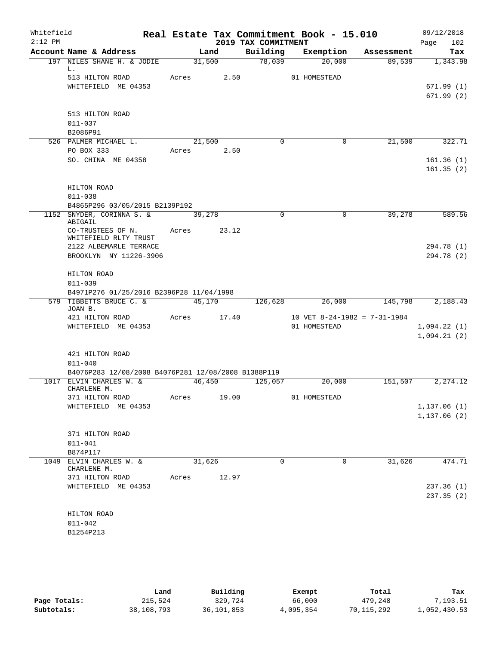| Whitefield<br>$2:12$ PM |                                                                                                           |       |            | 2019 TAX COMMITMENT | Real Estate Tax Commitment Book - 15.010     |            | 09/12/2018<br>102<br>Page  |
|-------------------------|-----------------------------------------------------------------------------------------------------------|-------|------------|---------------------|----------------------------------------------|------------|----------------------------|
|                         | Account Name & Address                                                                                    |       | Land       | Building            | Exemption                                    | Assessment | Tax                        |
|                         | 197 NILES SHANE H. & JODIE                                                                                |       | 31,500     | 78,039              | 20,000                                       | 89,539     | 1,343.98                   |
|                         | L.<br>513 HILTON ROAD<br>WHITEFIELD ME 04353                                                              |       | Acres 2.50 |                     | 01 HOMESTEAD                                 |            | 671.99(1)                  |
|                         | 513 HILTON ROAD<br>$011 - 037$<br>B2086P91                                                                |       |            |                     |                                              |            | 671.99(2)                  |
|                         | 526 PALMER MICHAEL L.                                                                                     |       | 21,500     | $\Omega$            | 0                                            | 21,500     | 322.71                     |
|                         | PO BOX 333<br>SO. CHINA ME 04358                                                                          | Acres | 2.50       |                     |                                              |            | 161.36(1)<br>161.35(2)     |
|                         | HILTON ROAD<br>$011 - 038$<br>B4865P296 03/05/2015 B2139P192                                              |       |            |                     |                                              |            |                            |
|                         | 1152 SNYDER, CORINNA S. &                                                                                 |       | 39,278     | $\mathbf 0$         | $\mathbf 0$                                  | 39,278     | 589.56                     |
|                         | ABIGAIL<br>CO-TRUSTEES OF N.<br>WHITEFIELD RLTY TRUST<br>2122 ALBEMARLE TERRACE<br>BROOKLYN NY 11226-3906 | Acres | 23.12      |                     |                                              |            | 294.78 (1)<br>294.78 (2)   |
|                         | HILTON ROAD<br>$011 - 039$<br>B4971P276 01/25/2016 B2396P28 11/04/1998                                    |       |            |                     |                                              |            |                            |
|                         | 579 TIBBETTS BRUCE C. &                                                                                   |       | 45,170     | 126,628             | 26,000                                       | 145,798    | 2,188.43                   |
|                         | JOAN B.<br>421 HILTON ROAD<br>WHITEFIELD ME 04353                                                         | Acres | 17.40      |                     | 10 VET 8-24-1982 = 7-31-1984<br>01 HOMESTEAD |            | 1,094.22(1)<br>1,094.21(2) |
|                         | 421 HILTON ROAD<br>$011 - 040$<br>B4076P283 12/08/2008 B4076P281 12/08/2008 B1388P119                     |       |            |                     |                                              |            |                            |
|                         | 1017 ELVIN CHARLES W. &                                                                                   |       | 46,450     | 125,057             | 20,000                                       | 151,507    | 2,274.12                   |
|                         | CHARLENE M.<br>371 HILTON ROAD<br>WHITEFIELD ME 04353                                                     | Acres | 19.00      |                     | 01 HOMESTEAD                                 |            | 1,137.06(1)                |
|                         |                                                                                                           |       |            |                     |                                              |            | 1, 137.06(2)               |
|                         | 371 HILTON ROAD<br>$011 - 041$<br>B874P117                                                                |       |            |                     |                                              |            |                            |
|                         | 1049 ELVIN CHARLES W. &<br>CHARLENE M.                                                                    |       | 31,626     | $\mathbf 0$         | 0                                            | 31,626     | 474.71                     |
|                         | 371 HILTON ROAD<br>WHITEFIELD ME 04353                                                                    | Acres | 12.97      |                     |                                              |            | 237.36(1)<br>237.35(2)     |
|                         | HILTON ROAD<br>$011 - 042$<br>B1254P213                                                                   |       |            |                     |                                              |            |                            |

|              | Land       | Building   | Exempt    | Total      | Tax          |
|--------------|------------|------------|-----------|------------|--------------|
| Page Totals: | 215,524    | 329,724    | 66,000    | 479,248    | 7,193.51     |
| Subtotals:   | 38,108,793 | 36,101,853 | 4,095,354 | 70,115,292 | 1,052,430.53 |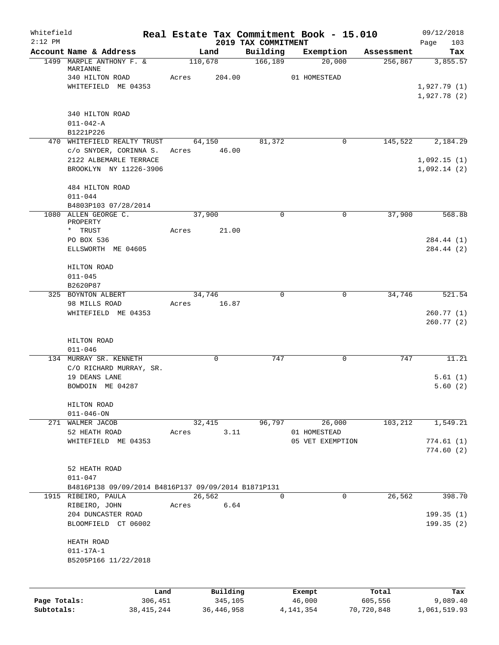| Whitefield<br>$2:12$ PM    |                                                                            |         |                         | 2019 TAX COMMITMENT | Real Estate Tax Commitment Book - 15.010 |                       | 09/12/2018               |
|----------------------------|----------------------------------------------------------------------------|---------|-------------------------|---------------------|------------------------------------------|-----------------------|--------------------------|
|                            | Account Name & Address                                                     |         | Land                    | Building            | Exemption                                | Assessment            | 103<br>Page<br>Tax       |
|                            | 1499 MARPLE ANTHONY F. &                                                   | 110,678 |                         | 166,189             | 20,000                                   | 256,867               | 3,855.57                 |
|                            | MARIANNE<br>340 HILTON ROAD                                                | Acres   | 204.00                  |                     | 01 HOMESTEAD                             |                       |                          |
|                            | WHITEFIELD ME 04353                                                        |         |                         |                     |                                          |                       | 1,927.79(1)              |
|                            |                                                                            |         |                         |                     |                                          |                       | 1,927.78(2)              |
|                            | 340 HILTON ROAD                                                            |         |                         |                     |                                          |                       |                          |
|                            | $011 - 042 - A$                                                            |         |                         |                     |                                          |                       |                          |
|                            | B1221P226                                                                  |         |                         |                     |                                          |                       |                          |
|                            | 470 WHITEFIELD REALTY TRUST                                                |         | 64,150                  | 81,372              | 0                                        | 145,522               | 2,184.29                 |
|                            | c/o SNYDER, CORINNA S.<br>2122 ALBEMARLE TERRACE                           | Acres   | 46.00                   |                     |                                          |                       | 1,092.15(1)              |
|                            | BROOKLYN NY 11226-3906                                                     |         |                         |                     |                                          |                       | 1,092.14(2)              |
|                            | 484 HILTON ROAD                                                            |         |                         |                     |                                          |                       |                          |
|                            | $011 - 044$                                                                |         |                         |                     |                                          |                       |                          |
|                            | B4803P103 07/28/2014                                                       |         |                         | 0                   |                                          |                       |                          |
|                            | 1080 ALLEN GEORGE C.<br>PROPERTY                                           |         | 37,900                  |                     | 0                                        | 37,900                | 568.88                   |
|                            | * TRUST                                                                    | Acres   | 21.00                   |                     |                                          |                       |                          |
|                            | PO BOX 536                                                                 |         |                         |                     |                                          |                       | 284.44 (1)               |
|                            | ELLSWORTH ME 04605                                                         |         |                         |                     |                                          |                       | 284.44 (2)               |
|                            | HILTON ROAD                                                                |         |                         |                     |                                          |                       |                          |
|                            | $011 - 045$                                                                |         |                         |                     |                                          |                       |                          |
|                            | B2620P87                                                                   |         |                         |                     |                                          |                       |                          |
|                            | 325 BOYNTON ALBERT<br>98 MILLS ROAD                                        | Acres   | 34,746<br>16.87         | 0                   | 0                                        | 34,746                | 521.54                   |
|                            | WHITEFIELD ME 04353                                                        |         |                         |                     |                                          |                       | 260.77(1)                |
|                            |                                                                            |         |                         |                     |                                          |                       | 260.77(2)                |
|                            |                                                                            |         |                         |                     |                                          |                       |                          |
|                            | HILTON ROAD<br>$011 - 046$                                                 |         |                         |                     |                                          |                       |                          |
|                            | 134 MURRAY SR. KENNETH                                                     |         | $\Omega$                | 747                 | 0                                        | 747                   | 11.21                    |
|                            | C/O RICHARD MURRAY, SR.                                                    |         |                         |                     |                                          |                       |                          |
|                            | 19 DEANS LANE                                                              |         |                         |                     |                                          |                       | 5.61(1)                  |
|                            | BOWDOIN ME 04287                                                           |         |                         |                     |                                          |                       | 5.60(2)                  |
|                            | HILTON ROAD                                                                |         |                         |                     |                                          |                       |                          |
|                            | $011 - 046 - ON$                                                           |         |                         |                     |                                          |                       |                          |
|                            | 271 WALMER JACOB                                                           |         | 32,415                  | 96,797              | 26,000                                   | 103,212               | 1,549.21                 |
|                            | 52 HEATH ROAD<br>WHITEFIELD ME 04353                                       | Acres   | 3.11                    |                     | 01 HOMESTEAD<br>05 VET EXEMPTION         |                       | 774.61(1)                |
|                            |                                                                            |         |                         |                     |                                          |                       | 774.60(2)                |
|                            |                                                                            |         |                         |                     |                                          |                       |                          |
|                            | 52 HEATH ROAD                                                              |         |                         |                     |                                          |                       |                          |
|                            | $011 - 047$                                                                |         |                         |                     |                                          |                       |                          |
|                            | B4816P138 09/09/2014 B4816P137 09/09/2014 B1871P131<br>1915 RIBEIRO, PAULA |         | 26,562                  | 0                   | 0                                        | 26,562                | 398.70                   |
|                            | RIBEIRO, JOHN                                                              | Acres   | 6.64                    |                     |                                          |                       |                          |
|                            | 204 DUNCASTER ROAD                                                         |         |                         |                     |                                          |                       | 199.35(1)                |
|                            | BLOOMFIELD CT 06002                                                        |         |                         |                     |                                          |                       | 199.35(2)                |
|                            | HEATH ROAD                                                                 |         |                         |                     |                                          |                       |                          |
|                            | $011 - 17A - 1$                                                            |         |                         |                     |                                          |                       |                          |
|                            | B5205P166 11/22/2018                                                       |         |                         |                     |                                          |                       |                          |
|                            |                                                                            |         |                         |                     |                                          |                       |                          |
|                            |                                                                            | Land    | Building                |                     | Exempt                                   | Total                 | Tax                      |
| Page Totals:<br>Subtotals: | 306,451<br>38, 415, 244                                                    |         | 345,105<br>36, 446, 958 |                     | 46,000<br>4, 141, 354                    | 605,556<br>70,720,848 | 9,089.40<br>1,061,519.93 |
|                            |                                                                            |         |                         |                     |                                          |                       |                          |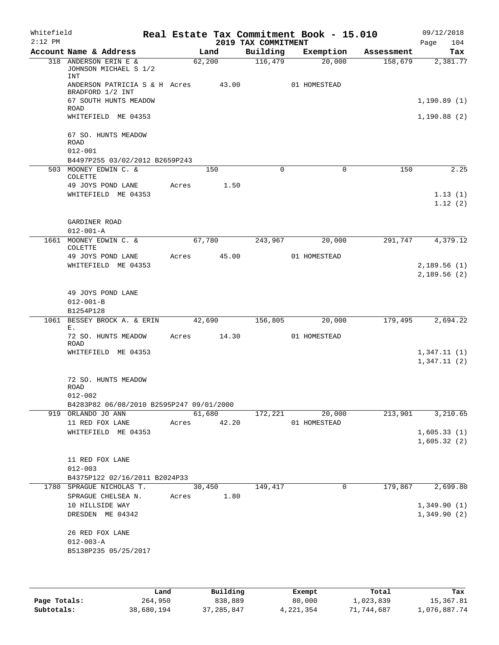| Whitefield<br>$2:12$ PM |                                                         |       |             | 2019 TAX COMMITMENT | Real Estate Tax Commitment Book - 15.010 |            | 09/12/2018<br>104<br>Page  |
|-------------------------|---------------------------------------------------------|-------|-------------|---------------------|------------------------------------------|------------|----------------------------|
|                         | Account Name & Address                                  |       | Land        | Building            | Exemption                                | Assessment | Tax                        |
|                         | 318 ANDERSON ERIN E &<br>JOHNSON MICHAEL S 1/2<br>INT   |       | 62,200      | 116,479             | 20,000                                   | 158,679    | 2,381.77                   |
|                         | ANDERSON PATRICIA S & H Acres<br>BRADFORD 1/2 INT       |       | 43.00       |                     | 01 HOMESTEAD                             |            |                            |
|                         | 67 SOUTH HUNTS MEADOW<br>ROAD                           |       |             |                     |                                          |            | 1, 190.89(1)               |
|                         | WHITEFIELD ME 04353                                     |       |             |                     |                                          |            | 1, 190.88(2)               |
|                         | 67 SO. HUNTS MEADOW<br><b>ROAD</b>                      |       |             |                     |                                          |            |                            |
|                         | $012 - 001$<br>B4497P255 03/02/2012 B2659P243           |       |             |                     |                                          |            |                            |
|                         | 503 MOONEY EDWIN C. &                                   |       | 150         | $\Omega$            | 0                                        | 150        | 2.25                       |
|                         | COLETTE<br>49 JOYS POND LANE                            | Acres | 1.50        |                     |                                          |            |                            |
|                         | WHITEFIELD ME 04353                                     |       |             |                     |                                          |            | 1.13(1)<br>1.12(2)         |
|                         | GARDINER ROAD<br>$012 - 001 - A$                        |       |             |                     |                                          |            |                            |
|                         | 1661 MOONEY EDWIN C. &<br>COLETTE                       |       | 67,780      | 243,967             | 20,000                                   | 291,747    | 4,379.12                   |
|                         | 49 JOYS POND LANE                                       | Acres | 45.00       |                     | 01 HOMESTEAD                             |            |                            |
|                         | WHITEFIELD ME 04353                                     |       |             |                     |                                          |            | 2,189.56(1)<br>2,189.56(2) |
|                         | 49 JOYS POND LANE<br>$012 - 001 - B$<br>B1254P128       |       |             |                     |                                          |            |                            |
| 1061                    | BESSEY BROCK A. & ERIN                                  |       | 42,690      | 156,805             | 20,000                                   | 179,495    | 2,694.22                   |
|                         | Е.<br>72 SO. HUNTS MEADOW<br><b>ROAD</b>                | Acres | 14.30       |                     | 01 HOMESTEAD                             |            |                            |
|                         | WHITEFIELD ME 04353                                     |       |             |                     |                                          |            | 1,347.11(1)<br>1,347.11(2) |
|                         | 72 SO. HUNTS MEADOW<br>ROAD                             |       |             |                     |                                          |            |                            |
|                         | $012 - 002$<br>B4283P82 06/08/2010 B2595P247 09/01/2000 |       |             |                     |                                          |            |                            |
|                         | 919 ORLANDO JO ANN                                      |       | 61,680      | 172,221             | 20,000                                   | 213,901    | 3,210.65                   |
|                         | 11 RED FOX LANE                                         |       | Acres 42.20 |                     | 01 HOMESTEAD                             |            |                            |
|                         | WHITEFIELD ME 04353                                     |       |             |                     |                                          |            | 1,605.33(1)<br>1,605.32(2) |
|                         | 11 RED FOX LANE<br>$012 - 003$                          |       |             |                     |                                          |            |                            |
|                         | B4375P122 02/16/2011 B2024P33                           |       |             |                     |                                          |            |                            |
|                         | 1780 SPRAGUE NICHOLAS T.                                |       | 30,450      | 149,417             | 0                                        | 179,867    | 2,699.80                   |
|                         | SPRAGUE CHELSEA N.<br>10 HILLSIDE WAY                   |       | Acres 1.80  |                     |                                          |            | 1,349.90(1)                |
|                         | DRESDEN ME 04342                                        |       |             |                     |                                          |            | 1,349.90(2)                |
|                         | 26 RED FOX LANE                                         |       |             |                     |                                          |            |                            |
|                         | $012 - 003 - A$                                         |       |             |                     |                                          |            |                            |
|                         | B5138P235 05/25/2017                                    |       |             |                     |                                          |            |                            |
|                         |                                                         |       |             |                     |                                          |            |                            |
|                         |                                                         |       |             |                     |                                          |            |                            |

|              | Land       | Building   | Exempt    | Total      | Tax          |
|--------------|------------|------------|-----------|------------|--------------|
| Page Totals: | 264,950    | 838,889    | 80,000    | 1,023,839  | 15,367.81    |
| Subtotals:   | 38,680,194 | 37,285,847 | 4,221,354 | 71,744,687 | l,076,887.74 |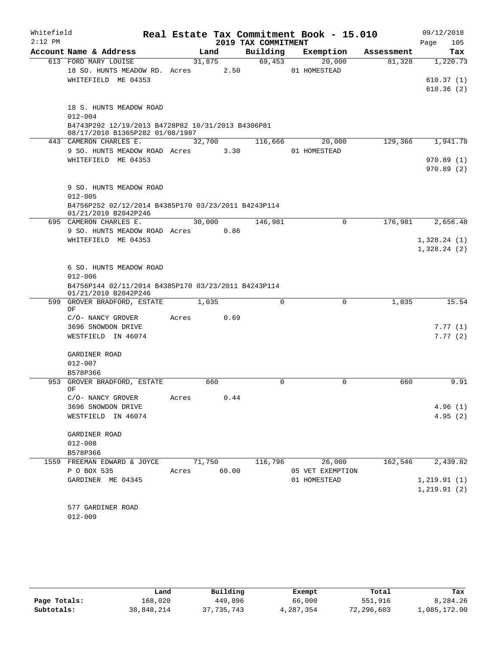| Whitefield<br>$2:12$ PM |                                                                                                                       |       |                 | 2019 TAX COMMITMENT | Real Estate Tax Commitment Book - 15.010 |            | 09/12/2018<br>105<br>Page  |
|-------------------------|-----------------------------------------------------------------------------------------------------------------------|-------|-----------------|---------------------|------------------------------------------|------------|----------------------------|
|                         | Account Name & Address                                                                                                |       | Land            | Building            | Exemption                                | Assessment | Tax                        |
|                         | 613 FORD MARY LOUISE<br>18 SO. HUNTS MEADOW RD. Acres<br>WHITEFIELD ME 04353                                          |       | 31,875<br>2.50  | 69,453              | 20,000<br>01 HOMESTEAD                   | 81,328     | 1,220.73<br>610.37(1)      |
|                         |                                                                                                                       |       |                 |                     |                                          |            | 610.36(2)                  |
|                         | 18 S. HUNTS MEADOW ROAD<br>$012 - 004$                                                                                |       |                 |                     |                                          |            |                            |
|                         | B4743P292 12/19/2013 B4728P82 10/31/2013 B4306P81<br>08/17/2010 B1365P282 01/08/1987                                  |       |                 |                     |                                          |            |                            |
|                         | 443 CAMERON CHARLES E.                                                                                                |       | 32,700          | 116,666             | 20,000                                   | 129,366    | 1,941.78                   |
|                         | 9 SO. HUNTS MEADOW ROAD Acres                                                                                         |       | 3.30            |                     | 01 HOMESTEAD                             |            |                            |
|                         | WHITEFIELD ME 04353                                                                                                   |       |                 |                     |                                          |            | 970.89(1)<br>970.89(2)     |
|                         | 9 SO. HUNTS MEADOW ROAD<br>$012 - 005$                                                                                |       |                 |                     |                                          |            |                            |
|                         | B4756P252 02/12/2014 B4385P170 03/23/2011 B4243P114<br>01/21/2010 B2042P246                                           |       |                 |                     |                                          |            |                            |
|                         | 695 CAMERON CHARLES E.                                                                                                |       | 30,000          | 146,981             | 0                                        | 176,981    | 2,656.48                   |
|                         | 9 SO. HUNTS MEADOW ROAD Acres                                                                                         |       | 0.86            |                     |                                          |            |                            |
|                         | WHITEFIELD ME 04353                                                                                                   |       |                 |                     |                                          |            | 1,328.24(1)<br>1,328.24(2) |
|                         | 6 SO. HUNTS MEADOW ROAD<br>$012 - 006$<br>B4756P144 02/11/2014 B4385P170 03/23/2011 B4243P114<br>01/21/2010 B2042P246 |       |                 |                     |                                          |            |                            |
| 599                     | GROVER BRADFORD, ESTATE                                                                                               |       | 1,035           | $\mathbf 0$         | $\mathbf 0$                              | 1,035      | 15.54                      |
|                         | ΟF                                                                                                                    |       |                 |                     |                                          |            |                            |
|                         | C/O- NANCY GROVER                                                                                                     | Acres | 0.69            |                     |                                          |            |                            |
|                         | 3696 SNOWDON DRIVE<br>WESTFIELD IN 46074                                                                              |       |                 |                     |                                          |            | 7.77(1)<br>7.77(2)         |
|                         | GARDINER ROAD                                                                                                         |       |                 |                     |                                          |            |                            |
|                         | $012 - 007$                                                                                                           |       |                 |                     |                                          |            |                            |
| 953                     | B578P366<br>GROVER BRADFORD, ESTATE<br>ОF                                                                             |       | 660             | 0                   | 0                                        | 660        | 9.91                       |
|                         | C/O- NANCY GROVER                                                                                                     | Acres | 0.44            |                     |                                          |            |                            |
|                         | 3696 SNOWDON DRIVE                                                                                                    |       |                 |                     |                                          |            | 4.96(1)                    |
|                         | WESTFIELD IN 46074                                                                                                    |       |                 |                     |                                          |            | 4.95(2)                    |
|                         | GARDINER ROAD                                                                                                         |       |                 |                     |                                          |            |                            |
|                         | $012 - 008$                                                                                                           |       |                 |                     |                                          |            |                            |
|                         | B578P366                                                                                                              |       |                 |                     |                                          |            |                            |
|                         | 1559 FREEMAN EDWARD & JOYCE<br>P O BOX 535                                                                            | Acres | 71,750<br>60.00 | 116,796             | 26,000<br>05 VET EXEMPTION               | 162,546    | 2,439.82                   |
|                         | GARDINER ME 04345                                                                                                     |       |                 |                     | 01 HOMESTEAD                             |            | 1, 219.91(1)               |
|                         |                                                                                                                       |       |                 |                     |                                          |            | 1, 219.91(2)               |
|                         | 577 GARDINER ROAD<br>$012 - 009$                                                                                      |       |                 |                     |                                          |            |                            |
|                         |                                                                                                                       |       |                 |                     |                                          |            |                            |

|              | Land       | Building     | Exempt    | Total      | Tax          |
|--------------|------------|--------------|-----------|------------|--------------|
| Page Totals: | 168,020    | 449,896      | 66,000    | 551,916    | 8,284.26     |
| Subtotals:   | 38,848,214 | 37, 735, 743 | 4,287,354 | 72,296,603 | .,085,172.00 |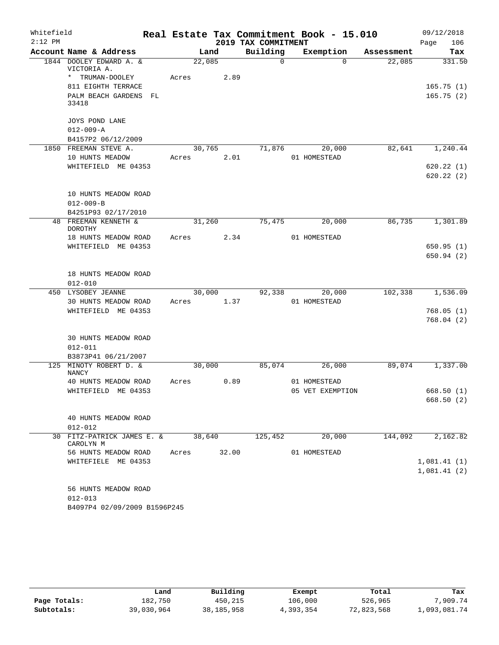| Whitefield |                                             |       |        |       |                     | Real Estate Tax Commitment Book - 15.010 |            | 09/12/2018             |
|------------|---------------------------------------------|-------|--------|-------|---------------------|------------------------------------------|------------|------------------------|
| $2:12$ PM  |                                             |       |        |       | 2019 TAX COMMITMENT |                                          |            | 106<br>Page            |
|            | Account Name & Address                      |       | Land   |       | Building            | Exemption                                | Assessment | Tax                    |
|            | 1844 DOOLEY EDWARD A. &<br>VICTORIA A.      |       | 22,085 |       | 0                   | $\Omega$                                 | 22,085     | 331.50                 |
|            | * TRUMAN-DOOLEY                             | Acres |        | 2.89  |                     |                                          |            |                        |
|            | 811 EIGHTH TERRACE                          |       |        |       |                     |                                          |            | 165.75(1)              |
|            | PALM BEACH GARDENS<br>FL<br>33418           |       |        |       |                     |                                          |            | 165.75(2)              |
|            | JOYS POND LANE                              |       |        |       |                     |                                          |            |                        |
|            | $012 - 009 - A$                             |       |        |       |                     |                                          |            |                        |
|            | B4157P2 06/12/2009                          |       |        |       |                     |                                          |            |                        |
|            | 1850 FREEMAN STEVE A.                       |       | 30,765 |       | 71,876              | 20,000                                   | 82,641     | 1,240.44               |
|            | 10 HUNTS MEADOW                             | Acres |        | 2.01  |                     | 01 HOMESTEAD                             |            |                        |
|            | WHITEFIELD ME 04353                         |       |        |       |                     |                                          |            | 620.22(1)<br>620.22(2) |
|            | 10 HUNTS MEADOW ROAD                        |       |        |       |                     |                                          |            |                        |
|            | $012 - 009 - B$                             |       |        |       |                     |                                          |            |                        |
|            | B4251P93 02/17/2010<br>48 FREEMAN KENNETH & |       |        |       |                     | 20,000                                   | 86,735     |                        |
|            | <b>DOROTHY</b>                              |       | 31,260 |       | 75,475              |                                          |            | 1,301.89               |
|            | 18 HUNTS MEADOW ROAD                        | Acres |        | 2.34  |                     | 01 HOMESTEAD                             |            |                        |
|            | WHITEFIELD ME 04353                         |       |        |       |                     |                                          |            | 650.95(1)              |
|            |                                             |       |        |       |                     |                                          |            | 650.94(2)              |
|            | 18 HUNTS MEADOW ROAD<br>$012 - 010$         |       |        |       |                     |                                          |            |                        |
|            | 450 LYSOBEY JEANNE                          |       | 30,000 |       | 92,338              | 20,000                                   | 102,338    | 1,536.09               |
|            | 30 HUNTS MEADOW ROAD                        | Acres |        | 1.37  |                     | 01 HOMESTEAD                             |            |                        |
|            | WHITEFIELD ME 04353                         |       |        |       |                     |                                          |            | 768.05(1)              |
|            |                                             |       |        |       |                     |                                          |            | 768.04(2)              |
|            | <b>30 HUNTS MEADOW ROAD</b>                 |       |        |       |                     |                                          |            |                        |
|            | $012 - 011$                                 |       |        |       |                     |                                          |            |                        |
|            | B3873P41 06/21/2007                         |       |        |       |                     |                                          |            |                        |
|            | 125 MINOTY ROBERT D. &<br><b>NANCY</b>      |       | 30,000 |       | 85,074              | 26,000                                   | 89,074     | 1,337.00               |
|            | 40 HUNTS MEADOW ROAD                        | Acres |        | 0.89  |                     | 01 HOMESTEAD                             |            |                        |
|            | WHITEFIELD ME 04353                         |       |        |       |                     | 05 VET EXEMPTION                         |            | 668.50(1)              |
|            |                                             |       |        |       |                     |                                          |            | 668.50 (2)             |
|            | 40 HUNTS MEADOW ROAD                        |       |        |       |                     |                                          |            |                        |
|            | $012 - 012$                                 |       |        |       |                     |                                          |            |                        |
|            | 30 FITZ-PATRICK JAMES E. &                  |       | 38,640 |       | 125,452             | 20,000                                   | 144,092    | 2,162.82               |
|            | CAROLYN M<br>56 HUNTS MEADOW ROAD           | Acres |        | 32.00 |                     | 01 HOMESTEAD                             |            |                        |
|            | WHITEFIELE ME 04353                         |       |        |       |                     |                                          |            | 1,081.41(1)            |
|            |                                             |       |        |       |                     |                                          |            | 1,081.41(2)            |
|            |                                             |       |        |       |                     |                                          |            |                        |
|            | 56 HUNTS MEADOW ROAD                        |       |        |       |                     |                                          |            |                        |
|            | $012 - 013$                                 |       |        |       |                     |                                          |            |                        |
|            | B4097P4 02/09/2009 B1596P245                |       |        |       |                     |                                          |            |                        |

|              | Land       | Building     | Exempt    | Total      | Tax          |
|--------------|------------|--------------|-----------|------------|--------------|
| Page Totals: | 182,750    | 450,215      | 106,000   | 526,965    | 7,909.74     |
| Subtotals:   | 39,030,964 | 38, 185, 958 | 4,393,354 | 72,823,568 | 1,093,081.74 |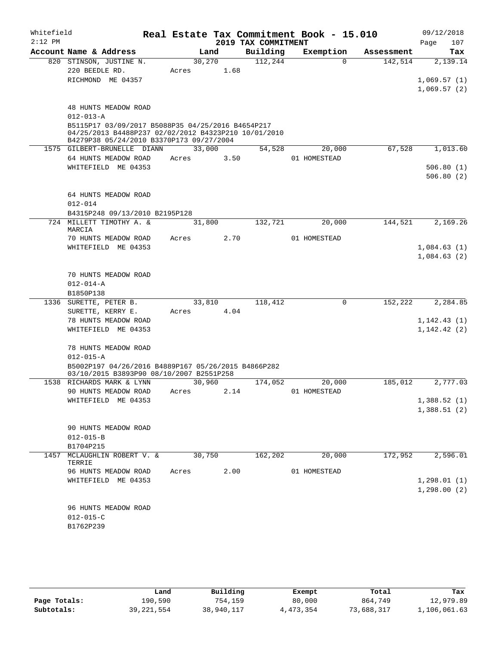| Whitefield<br>$2:12$ PM |                                                                                                                                                       |                 |      | 2019 TAX COMMITMENT | Real Estate Tax Commitment Book - 15.010 |            | 09/12/2018<br>107<br>Page  |
|-------------------------|-------------------------------------------------------------------------------------------------------------------------------------------------------|-----------------|------|---------------------|------------------------------------------|------------|----------------------------|
|                         | Account Name & Address                                                                                                                                |                 | Land | Building            | Exemption                                | Assessment | Tax                        |
|                         | 820 STINSON, JUSTINE N.<br>220 BEEDLE RD.<br>RICHMOND ME 04357                                                                                        | 30,270<br>Acres | 1.68 | 112,244             | $\Omega$                                 | 142,514    | 2,139.14<br>1,069.57(1)    |
|                         |                                                                                                                                                       |                 |      |                     |                                          |            | 1,069.57(2)                |
|                         | 48 HUNTS MEADOW ROAD<br>$012 - 013 - A$                                                                                                               |                 |      |                     |                                          |            |                            |
|                         | B5115P17 03/09/2017 B5088P35 04/25/2016 B4654P217<br>04/25/2013 B4488P237 02/02/2012 B4323P210 10/01/2010<br>B4279P38 05/24/2010 B3370P173 09/27/2004 |                 |      |                     |                                          |            |                            |
|                         | 1575 GILBERT-BRUNELLE DIANN                                                                                                                           | 33,000          |      | 54,528              | 20,000                                   | 67,528     | 1,013.60                   |
|                         | 64 HUNTS MEADOW ROAD                                                                                                                                  | Acres           | 3.50 |                     | 01 HOMESTEAD                             |            |                            |
|                         | WHITEFIELD ME 04353                                                                                                                                   |                 |      |                     |                                          |            | 506.80(1)<br>506.80(2)     |
|                         | 64 HUNTS MEADOW ROAD<br>$012 - 014$                                                                                                                   |                 |      |                     |                                          |            |                            |
|                         | B4315P248 09/13/2010 B2195P128                                                                                                                        |                 |      |                     |                                          |            |                            |
|                         | 724 MILLETT TIMOTHY A. &<br>MARCIA                                                                                                                    | 31,800          |      | 132,721             | 20,000                                   | 144,521    | 2,169.26                   |
|                         | 70 HUNTS MEADOW ROAD                                                                                                                                  | Acres           | 2.70 |                     | 01 HOMESTEAD                             |            |                            |
|                         | WHITEFIELD ME 04353                                                                                                                                   |                 |      |                     |                                          |            | 1,084.63(1)<br>1,084.63(2) |
|                         | 70 HUNTS MEADOW ROAD                                                                                                                                  |                 |      |                     |                                          |            |                            |
|                         | $012 - 014 - A$                                                                                                                                       |                 |      |                     |                                          |            |                            |
|                         | B1850P138                                                                                                                                             |                 |      |                     |                                          |            |                            |
|                         | 1336 SURETTE, PETER B.                                                                                                                                | 33,810          |      | 118,412             | 0                                        | 152,222    | 2,284.85                   |
|                         | SURETTE, KERRY E.                                                                                                                                     | Acres           | 4.04 |                     |                                          |            |                            |
|                         | 78 HUNTS MEADOW ROAD                                                                                                                                  |                 |      |                     |                                          |            | 1, 142.43(1)               |
|                         | WHITEFIELD ME 04353                                                                                                                                   |                 |      |                     |                                          |            | 1, 142.42(2)               |
|                         | 78 HUNTS MEADOW ROAD<br>$012 - 015 - A$                                                                                                               |                 |      |                     |                                          |            |                            |
|                         | B5002P197 04/26/2016 B4889P167 05/26/2015 B4866P282<br>03/10/2015 B3893P90 08/10/2007 B2551P258                                                       |                 |      |                     |                                          |            |                            |
|                         | 1538 RICHARDS MARK & LYNN<br>90 HUNTS MEADOW ROAD                                                                                                     | 30,960          |      | 174,052             | 20,000                                   | 185,012    | 2,777.03                   |
|                         | WHITEFIELD ME 04353                                                                                                                                   | Acres           | 2.14 |                     | 01 HOMESTEAD                             |            | 1,388.52(1)                |
|                         |                                                                                                                                                       |                 |      |                     |                                          |            | 1,388.51(2)                |
|                         | 90 HUNTS MEADOW ROAD                                                                                                                                  |                 |      |                     |                                          |            |                            |
|                         | $012 - 015 - B$                                                                                                                                       |                 |      |                     |                                          |            |                            |
| 1457                    | B1704P215<br>MCLAUGHLIN ROBERT V. &<br>TERRIE                                                                                                         | 30,750          |      | 162,202             | 20,000                                   | 172,952    | 2,596.01                   |
|                         | 96 HUNTS MEADOW ROAD                                                                                                                                  | Acres           | 2.00 |                     | 01 HOMESTEAD                             |            |                            |
|                         | WHITEFIELD ME 04353                                                                                                                                   |                 |      |                     |                                          |            | 1, 298.01(1)               |
|                         |                                                                                                                                                       |                 |      |                     |                                          |            | 1, 298.00(2)               |
|                         | 96 HUNTS MEADOW ROAD<br>$012 - 015 - C$                                                                                                               |                 |      |                     |                                          |            |                            |
|                         | B1762P239                                                                                                                                             |                 |      |                     |                                          |            |                            |

|              | Land         | Building   | Exempt    | Total      | Tax          |
|--------------|--------------|------------|-----------|------------|--------------|
| Page Totals: | 190,590      | 754,159    | 80,000    | 864,749    | 12,979.89    |
| Subtotals:   | 39, 221, 554 | 38,940,117 | 4,473,354 | 73,688,317 | 1,106,061.63 |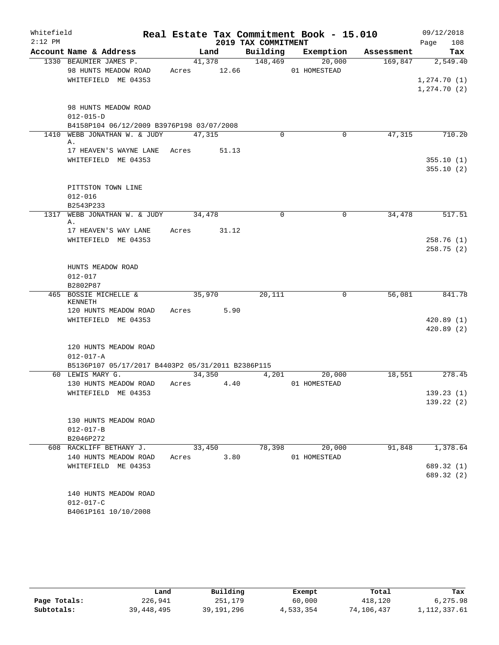| Whitefield |                                                   |        |             |                     | Real Estate Tax Commitment Book - 15.010 |            | 09/12/2018                 |
|------------|---------------------------------------------------|--------|-------------|---------------------|------------------------------------------|------------|----------------------------|
| $2:12$ PM  |                                                   |        |             | 2019 TAX COMMITMENT |                                          |            | 108<br>Page                |
|            | Account Name & Address                            |        | Land        |                     | Building Exemption                       | Assessment | Tax                        |
|            | 1330 BEAUMIER JAMES P.                            |        | 41,378      | 148,469             | 20,000                                   | 169,847    | 2,549.40                   |
|            | 98 HUNTS MEADOW ROAD                              |        | Acres 12.66 |                     | 01 HOMESTEAD                             |            |                            |
|            | WHITEFIELD ME 04353                               |        |             |                     |                                          |            | 1,274.70(1)<br>1,274.70(2) |
|            |                                                   |        |             |                     |                                          |            |                            |
|            | 98 HUNTS MEADOW ROAD                              |        |             |                     |                                          |            |                            |
|            | $012 - 015 - D$                                   |        |             |                     |                                          |            |                            |
|            | B4158P104 06/12/2009 B3976P198 03/07/2008         |        |             |                     |                                          |            |                            |
|            | 1410 WEBB JONATHAN W. & JUDY                      | 47,315 |             | $\Omega$            | 0                                        | 47,315     | 710.20                     |
|            | Α.                                                |        |             |                     |                                          |            |                            |
|            | 17 HEAVEN'S WAYNE LANE Acres 51.13                |        |             |                     |                                          |            |                            |
|            | WHITEFIELD ME 04353                               |        |             |                     |                                          |            | 355.10(1)<br>355.10(2)     |
|            |                                                   |        |             |                     |                                          |            |                            |
|            | PITTSTON TOWN LINE                                |        |             |                     |                                          |            |                            |
|            | $012 - 016$                                       |        |             |                     |                                          |            |                            |
|            | B2543P233                                         |        |             |                     |                                          |            |                            |
|            | 1317 WEBB JONATHAN W. & JUDY 34,478               |        |             | $\mathbf 0$         | $\mathbf 0$                              | 34,478     | 517.51                     |
|            | Α.                                                |        |             |                     |                                          |            |                            |
|            | 17 HEAVEN'S WAY LANE                              | Acres  | 31.12       |                     |                                          |            |                            |
|            | WHITEFIELD ME 04353                               |        |             |                     |                                          |            | 258.76(1)<br>258.75(2)     |
|            |                                                   |        |             |                     |                                          |            |                            |
|            | HUNTS MEADOW ROAD                                 |        |             |                     |                                          |            |                            |
|            | $012 - 017$                                       |        |             |                     |                                          |            |                            |
|            | B2802P87                                          |        |             |                     |                                          |            |                            |
|            | 465 BOSSIE MICHELLE &                             |        | 35,970      | 20,111              | 0                                        | 56,081     | 841.78                     |
|            | KENNETH                                           |        |             |                     |                                          |            |                            |
|            | 120 HUNTS MEADOW ROAD<br>WHITEFIELD ME 04353      |        | Acres 5.90  |                     |                                          |            |                            |
|            |                                                   |        |             |                     |                                          |            | 420.89(1)<br>420.89(2)     |
|            |                                                   |        |             |                     |                                          |            |                            |
|            | 120 HUNTS MEADOW ROAD                             |        |             |                     |                                          |            |                            |
|            | $012 - 017 - A$                                   |        |             |                     |                                          |            |                            |
|            | B5136P107 05/17/2017 B4403P2 05/31/2011 B2386P115 |        |             |                     |                                          |            |                            |
|            | 60 LEWIS MARY G.                                  |        | 34,350      | 4,201               | 20,000                                   | 18,551     | 278.45                     |
|            | 130 HUNTS MEADOW ROAD                             | Acres  | 4.40        |                     | 01 HOMESTEAD                             |            |                            |
|            | WHITEFIELD ME 04353                               |        |             |                     |                                          |            | 139.23(1)                  |
|            |                                                   |        |             |                     |                                          |            | 139.22(2)                  |
|            | 130 HUNTS MEADOW ROAD                             |        |             |                     |                                          |            |                            |
|            | $012 - 017 - B$                                   |        |             |                     |                                          |            |                            |
|            | B2046P272                                         |        |             |                     |                                          |            |                            |
|            | 608 RACKLIFF BETHANY J.                           |        | 33,450      |                     | 78,398 20,000                            | 91,848     | 1,378.64                   |
|            | 140 HUNTS MEADOW ROAD                             |        | Acres 3.80  |                     | 01 HOMESTEAD                             |            |                            |
|            | WHITEFIELD ME 04353                               |        |             |                     |                                          |            | 689.32 (1)                 |
|            |                                                   |        |             |                     |                                          |            | 689.32 (2)                 |
|            |                                                   |        |             |                     |                                          |            |                            |
|            | 140 HUNTS MEADOW ROAD                             |        |             |                     |                                          |            |                            |
|            | $012 - 017 - C$                                   |        |             |                     |                                          |            |                            |
|            | B4061P161 10/10/2008                              |        |             |                     |                                          |            |                            |

|              | Land       | Building     | Exempt    | Total      | Tax            |
|--------------|------------|--------------|-----------|------------|----------------|
| Page Totals: | 226,941    | 251,179      | 60,000    | 418,120    | 6,275.98       |
| Subtotals:   | 39,448,495 | 39, 191, 296 | 4,533,354 | 74,106,437 | 1, 112, 337.61 |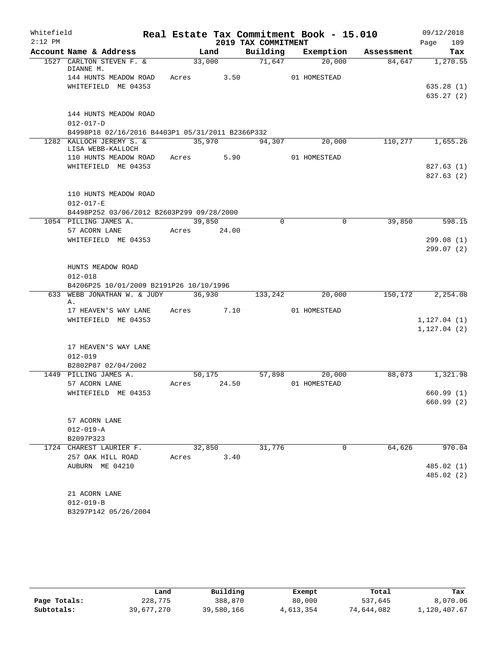| Whitefield |                                                                    |             |        |                     | Real Estate Tax Commitment Book - 15.010 |                       | 09/12/2018   |
|------------|--------------------------------------------------------------------|-------------|--------|---------------------|------------------------------------------|-----------------------|--------------|
| $2:12$ PM  |                                                                    |             |        | 2019 TAX COMMITMENT |                                          |                       | 109<br>Page  |
|            | Account Name & Address                                             |             | Land   | Building            | Exemption                                | Assessment            | Tax          |
|            | 1527 CARLTON STEVEN F. &<br>DIANNE M.                              | 33,000      |        | 71,647              | 20,000                                   | 84,647                | 1,270.55     |
|            | 144 HUNTS MEADOW ROAD                                              | Acres 3.50  |        |                     | 01 HOMESTEAD                             |                       |              |
|            | WHITEFIELD ME 04353                                                |             |        |                     |                                          |                       | 635.28(1)    |
|            |                                                                    |             |        |                     |                                          |                       | 635.27(2)    |
|            |                                                                    |             |        |                     |                                          |                       |              |
|            | 144 HUNTS MEADOW ROAD                                              |             |        |                     |                                          |                       |              |
|            | $012 - 017 - D$                                                    |             |        |                     |                                          |                       |              |
|            | B4998P18 02/16/2016 B4403P1 05/31/2011 B2366P332                   |             |        |                     |                                          |                       |              |
|            | 1282 KALLOCH JEREMY S. &<br>LISA WEBB-KALLOCH                      | 35,970      |        | 94,307              | 20,000                                   | 110, 277              | 1,655.26     |
|            | 110 HUNTS MEADOW ROAD                                              | Acres       | 5.90   |                     | 01 HOMESTEAD                             |                       |              |
|            | WHITEFIELD ME 04353                                                |             |        |                     |                                          |                       | 827.63(1)    |
|            |                                                                    |             |        |                     |                                          |                       | 827.63(2)    |
|            |                                                                    |             |        |                     |                                          |                       |              |
|            | 110 HUNTS MEADOW ROAD                                              |             |        |                     |                                          |                       |              |
|            | $012 - 017 - E$                                                    |             |        |                     |                                          |                       |              |
|            | B4498P252 03/06/2012 B2603P299 09/28/2000<br>1054 PILLING JAMES A. | 39,850      |        | $\mathbf 0$         |                                          | $\mathbf 0$<br>39,850 | 598.15       |
|            | 57 ACORN LANE                                                      | Acres 24.00 |        |                     |                                          |                       |              |
|            | WHITEFIELD ME 04353                                                |             |        |                     |                                          |                       | 299.08(1)    |
|            |                                                                    |             |        |                     |                                          |                       | 299.07(2)    |
|            |                                                                    |             |        |                     |                                          |                       |              |
|            | HUNTS MEADOW ROAD                                                  |             |        |                     |                                          |                       |              |
|            | $012 - 018$                                                        |             |        |                     |                                          |                       |              |
|            | B4206P25 10/01/2009 B2191P26 10/10/1996                            |             |        |                     |                                          |                       |              |
| 633        | WEBB JONATHAN W. & JUDY<br>Α.                                      |             | 36,930 | 133,242             | 20,000                                   | 150,172               | 2,254.08     |
|            | 17 HEAVEN'S WAY LANE Acres 7.10                                    |             |        |                     | 01 HOMESTEAD                             |                       |              |
|            | WHITEFIELD ME 04353                                                |             |        |                     |                                          |                       | 1, 127.04(1) |
|            |                                                                    |             |        |                     |                                          |                       | 1, 127.04(2) |
|            |                                                                    |             |        |                     |                                          |                       |              |
|            | 17 HEAVEN'S WAY LANE                                               |             |        |                     |                                          |                       |              |
|            | $012 - 019$                                                        |             |        |                     |                                          |                       |              |
|            | B2802P87 02/04/2002<br>1449 PILLING JAMES A.                       |             | 50,175 | 57,898              | 20,000                                   | 88,073                | 1,321.98     |
|            | 57 ACORN LANE                                                      | Acres       | 24.50  |                     | 01 HOMESTEAD                             |                       |              |
|            | WHITEFIELD ME 04353                                                |             |        |                     |                                          |                       | 660.99 (1)   |
|            |                                                                    |             |        |                     |                                          |                       | 660.99(2)    |
|            |                                                                    |             |        |                     |                                          |                       |              |
|            | 57 ACORN LANE                                                      |             |        |                     |                                          |                       |              |
|            | $012 - 019 - A$                                                    |             |        |                     |                                          |                       |              |
|            | B2097P323                                                          |             |        |                     |                                          |                       |              |
|            | 1724 CHAREST LAURIER F.<br>257 OAK HILL ROAD                       | 32,850      | 3.40   | 31,776              |                                          | 64,626<br>0           | 970.04       |
|            | AUBURN ME 04210                                                    | Acres       |        |                     |                                          |                       | 485.02(1)    |
|            |                                                                    |             |        |                     |                                          |                       | 485.02 (2)   |
|            |                                                                    |             |        |                     |                                          |                       |              |
|            | 21 ACORN LANE                                                      |             |        |                     |                                          |                       |              |
|            | $012 - 019 - B$                                                    |             |        |                     |                                          |                       |              |
|            | B3297P142 05/26/2004                                               |             |        |                     |                                          |                       |              |

|              | Land       | Building   | Exempt    | Total      | Tax          |
|--------------|------------|------------|-----------|------------|--------------|
| Page Totals: | 228,775    | 388,870    | 80,000    | 537,645    | 8,070.06     |
| Subtotals:   | 39,677,270 | 39,580,166 | 4,613,354 | 74,644,082 | 1,120,407.67 |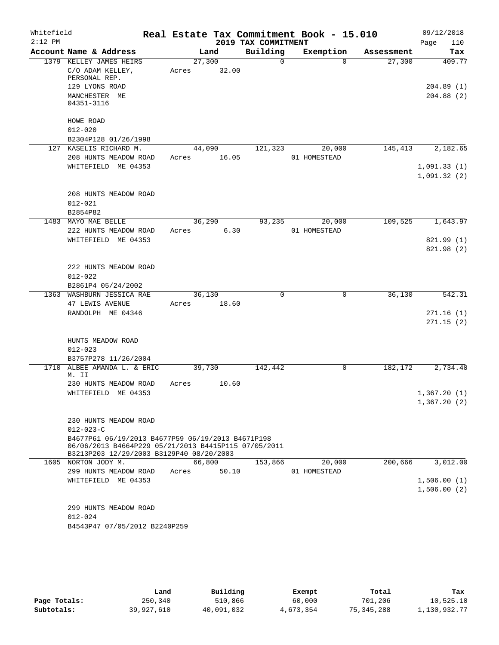| Whitefield<br>$2:12$ PM |                                                                                                                                                       |        |       | 2019 TAX COMMITMENT | Real Estate Tax Commitment Book - 15.010 |            | 09/12/2018<br>Page<br>110 |
|-------------------------|-------------------------------------------------------------------------------------------------------------------------------------------------------|--------|-------|---------------------|------------------------------------------|------------|---------------------------|
|                         | Account Name & Address                                                                                                                                |        | Land  | Building            | Exemption                                | Assessment | Tax                       |
|                         | 1379 KELLEY JAMES HEIRS                                                                                                                               | 27,300 |       | $\Omega$            | $\Omega$                                 | 27,300     | 409.77                    |
|                         | C/O ADAM KELLEY,<br>PERSONAL REP.                                                                                                                     | Acres  | 32.00 |                     |                                          |            |                           |
|                         | 129 LYONS ROAD<br>MANCHESTER ME<br>04351-3116                                                                                                         |        |       |                     |                                          |            | 204.89(1)<br>204.88(2)    |
|                         | HOWE ROAD                                                                                                                                             |        |       |                     |                                          |            |                           |
|                         | $012 - 020$                                                                                                                                           |        |       |                     |                                          |            |                           |
|                         | B2304P128 01/26/1998                                                                                                                                  |        |       |                     |                                          |            |                           |
|                         | 127 KASELIS RICHARD M.                                                                                                                                | 44,090 |       | 121,323             | 20,000                                   | 145,413    | 2,182.65                  |
|                         | 208 HUNTS MEADOW ROAD                                                                                                                                 | Acres  | 16.05 |                     | 01 HOMESTEAD                             |            |                           |
|                         | WHITEFIELD ME 04353                                                                                                                                   |        |       |                     |                                          |            | 1,091.33(1)               |
|                         |                                                                                                                                                       |        |       |                     |                                          |            | 1,091.32(2)               |
|                         | 208 HUNTS MEADOW ROAD                                                                                                                                 |        |       |                     |                                          |            |                           |
|                         | $012 - 021$                                                                                                                                           |        |       |                     |                                          |            |                           |
|                         | B2854P82                                                                                                                                              |        |       |                     |                                          |            |                           |
|                         | 1483 MAYO MAE BELLE                                                                                                                                   | 36,290 |       | 93,235              | 20,000                                   | 109,525    | 1,643.97                  |
|                         | 222 HUNTS MEADOW ROAD                                                                                                                                 | Acres  | 6.30  |                     | 01 HOMESTEAD                             |            |                           |
|                         | WHITEFIELD ME 04353                                                                                                                                   |        |       |                     |                                          |            | 821.99 (1)                |
|                         |                                                                                                                                                       |        |       |                     |                                          |            | 821.98 (2)                |
|                         | 222 HUNTS MEADOW ROAD                                                                                                                                 |        |       |                     |                                          |            |                           |
|                         | $012 - 022$                                                                                                                                           |        |       |                     |                                          |            |                           |
|                         | B2861P4 05/24/2002                                                                                                                                    |        |       |                     |                                          |            |                           |
|                         | 1363 WASHBURN JESSICA RAE                                                                                                                             | 36,130 |       | 0                   | $\mathbf 0$                              | 36,130     | 542.31                    |
|                         | 47 LEWIS AVENUE                                                                                                                                       | Acres  | 18.60 |                     |                                          |            |                           |
|                         | RANDOLPH ME 04346                                                                                                                                     |        |       |                     |                                          |            | 271.16(1)                 |
|                         |                                                                                                                                                       |        |       |                     |                                          |            | 271.15(2)                 |
|                         | HUNTS MEADOW ROAD                                                                                                                                     |        |       |                     |                                          |            |                           |
|                         | $012 - 023$                                                                                                                                           |        |       |                     |                                          |            |                           |
|                         | B3757P278 11/26/2004                                                                                                                                  |        |       |                     |                                          |            |                           |
| 1710                    | ALBEE AMANDA L. & ERIC<br>M. II                                                                                                                       | 39,730 |       | 142,442             | 0                                        | 182,172    | 2,734.40                  |
|                         | 230 HUNTS MEADOW ROAD                                                                                                                                 | Acres  | 10.60 |                     |                                          |            |                           |
|                         | WHITEFIELD ME 04353                                                                                                                                   |        |       |                     |                                          |            | 1,367.20(1)               |
|                         |                                                                                                                                                       |        |       |                     |                                          |            | 1,367.20(2)               |
|                         | 230 HUNTS MEADOW ROAD                                                                                                                                 |        |       |                     |                                          |            |                           |
|                         | $012 - 023 - C$                                                                                                                                       |        |       |                     |                                          |            |                           |
|                         | B4677P61 06/19/2013 B4677P59 06/19/2013 B4671P198<br>06/06/2013 B4664P229 05/21/2013 B4415P115 07/05/2011<br>B3213P203 12/29/2003 B3129P40 08/20/2003 |        |       |                     |                                          |            |                           |
|                         | 1605 NORTON JODY M.                                                                                                                                   | 66,800 |       | 153,866             | 20,000                                   | 200,666    | 3,012.00                  |
|                         | 299 HUNTS MEADOW ROAD                                                                                                                                 | Acres  | 50.10 |                     | 01 HOMESTEAD                             |            |                           |
|                         | WHITEFIELD ME 04353                                                                                                                                   |        |       |                     |                                          |            | 1,506.00(1)               |
|                         |                                                                                                                                                       |        |       |                     |                                          |            | 1,506.00(2)               |
|                         | 299 HUNTS MEADOW ROAD                                                                                                                                 |        |       |                     |                                          |            |                           |
|                         | $012 - 024$                                                                                                                                           |        |       |                     |                                          |            |                           |
|                         | B4543P47 07/05/2012 B2240P259                                                                                                                         |        |       |                     |                                          |            |                           |

|              | Land       | Building   | Exempt    | Total      | Tax          |
|--------------|------------|------------|-----------|------------|--------------|
| Page Totals: | 250,340    | 510,866    | 60,000    | 701,206    | 10,525.10    |
| Subtotals:   | 39,927,610 | 40,091,032 | 4,673,354 | 75,345,288 | 1,130,932.77 |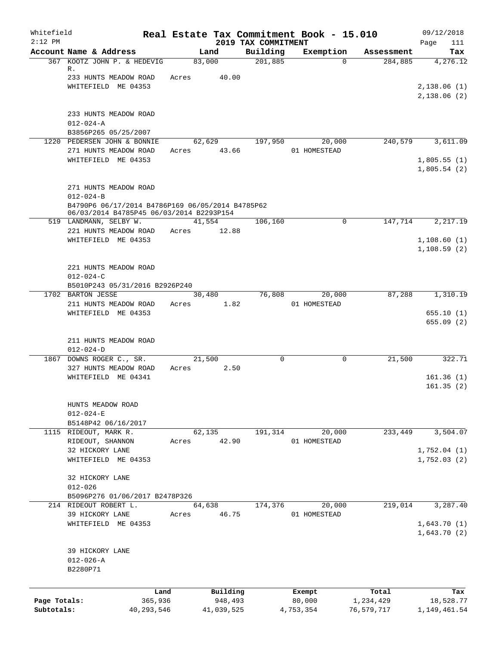| Whitefield<br>$2:12$ PM |                                                                                              |       |                 |                                 | Real Estate Tax Commitment Book - 15.010 |            | 09/12/2018                  |
|-------------------------|----------------------------------------------------------------------------------------------|-------|-----------------|---------------------------------|------------------------------------------|------------|-----------------------------|
|                         | Account Name & Address                                                                       |       | Land            | 2019 TAX COMMITMENT<br>Building | Exemption                                | Assessment | Page<br>111<br>Tax          |
|                         | 367 KOOTZ JOHN P. & HEDEVIG<br>R.                                                            |       | 83,000          | 201,885                         | $\Omega$                                 | 284,885    | 4,276.12                    |
|                         | 233 HUNTS MEADOW ROAD                                                                        | Acres | 40.00           |                                 |                                          |            |                             |
|                         | WHITEFIELD ME 04353                                                                          |       |                 |                                 |                                          |            | 2,138.06(1)<br>2,138.06(2)  |
|                         | 233 HUNTS MEADOW ROAD                                                                        |       |                 |                                 |                                          |            |                             |
|                         | $012 - 024 - A$                                                                              |       |                 |                                 |                                          |            |                             |
|                         | B3856P265 05/25/2007                                                                         |       |                 |                                 |                                          |            |                             |
|                         | 1220 PEDERSEN JOHN & BONNIE                                                                  |       | 62,629          | 197,950                         | 20,000                                   | 240,579    | 3,611.09                    |
|                         | 271 HUNTS MEADOW ROAD                                                                        | Acres | 43.66           |                                 | 01 HOMESTEAD                             |            |                             |
|                         | WHITEFIELD ME 04353                                                                          |       |                 |                                 |                                          |            | 1,805.55(1)<br>1,805.54(2)  |
|                         | 271 HUNTS MEADOW ROAD                                                                        |       |                 |                                 |                                          |            |                             |
|                         | $012 - 024 - B$                                                                              |       |                 |                                 |                                          |            |                             |
|                         | B4790P6 06/17/2014 B4786P169 06/05/2014 B4785P62<br>06/03/2014 B4785P45 06/03/2014 B2293P154 |       |                 |                                 |                                          |            |                             |
|                         | 519 LANDMANN, SELBY W.                                                                       |       | 41,554          | 106,160                         | $\Omega$                                 | 147,714    | 2,217.19                    |
|                         | 221 HUNTS MEADOW ROAD                                                                        | Acres | 12.88           |                                 |                                          |            |                             |
|                         | WHITEFIELD ME 04353                                                                          |       |                 |                                 |                                          |            | 1,108.60(1)<br>1, 108.59(2) |
|                         | 221 HUNTS MEADOW ROAD                                                                        |       |                 |                                 |                                          |            |                             |
|                         | $012 - 024 - C$                                                                              |       |                 |                                 |                                          |            |                             |
|                         | B5010P243 05/31/2016 B2926P240                                                               |       |                 |                                 |                                          |            |                             |
|                         | 1702 BARTON JESSE                                                                            |       | 30,480          | 76,808                          | 20,000                                   | 87,288     | 1,310.19                    |
|                         | 211 HUNTS MEADOW ROAD                                                                        | Acres | 1.82            |                                 | 01 HOMESTEAD                             |            |                             |
|                         | WHITEFIELD ME 04353                                                                          |       |                 |                                 |                                          |            | 655.10(1)<br>655.09(2)      |
|                         | 211 HUNTS MEADOW ROAD                                                                        |       |                 |                                 |                                          |            |                             |
|                         | $012 - 024 - D$                                                                              |       |                 |                                 |                                          |            |                             |
|                         | 1867 DOWNS ROGER C., SR.                                                                     |       | 21,500          | $\Omega$                        | 0                                        | 21,500     | 322.71                      |
|                         | 327 HUNTS MEADOW ROAD                                                                        | Acres | 2.50            |                                 |                                          |            |                             |
|                         | WHITEFIELD ME 04341                                                                          |       |                 |                                 |                                          |            | 161.36(1)<br>161.35(2)      |
|                         | HUNTS MEADOW ROAD                                                                            |       |                 |                                 |                                          |            |                             |
|                         | $012 - 024 - E$                                                                              |       |                 |                                 |                                          |            |                             |
|                         | B5148P42 06/16/2017                                                                          |       |                 |                                 |                                          |            |                             |
|                         | 1115 RIDEOUT, MARK R.<br>RIDEOUT, SHANNON                                                    | Acres | 62,135<br>42.90 | 191,314                         | 20,000<br>01 HOMESTEAD                   | 233,449    | 3,504.07                    |
|                         | 32 HICKORY LANE                                                                              |       |                 |                                 |                                          |            | 1,752.04(1)                 |
|                         | WHITEFIELD ME 04353                                                                          |       |                 |                                 |                                          |            | 1,752.03(2)                 |
|                         | 32 HICKORY LANE                                                                              |       |                 |                                 |                                          |            |                             |
|                         | $012 - 026$                                                                                  |       |                 |                                 |                                          |            |                             |
|                         | B5096P276 01/06/2017 B2478P326<br>214 RIDEOUT ROBERT L.                                      |       | 64,638          | 174,376                         | 20,000                                   | 219,014    | 3,287.40                    |
|                         | 39 HICKORY LANE                                                                              | Acres | 46.75           |                                 | 01 HOMESTEAD                             |            |                             |
|                         | WHITEFIELD ME 04353                                                                          |       |                 |                                 |                                          |            | 1,643.70(1)                 |
|                         |                                                                                              |       |                 |                                 |                                          |            | 1,643.70(2)                 |
|                         | 39 HICKORY LANE                                                                              |       |                 |                                 |                                          |            |                             |
|                         | $012 - 026 - A$                                                                              |       |                 |                                 |                                          |            |                             |
|                         | B2280P71                                                                                     |       |                 |                                 |                                          |            |                             |
|                         |                                                                                              |       |                 |                                 |                                          |            |                             |
|                         |                                                                                              | Land  | Building        |                                 | Exempt                                   | Total      | Tax                         |
| Page Totals:            | 365,936                                                                                      |       | 948,493         |                                 | 80,000                                   | 1,234,429  | 18,528.77                   |
| Subtotals:              | 40, 293, 546                                                                                 |       | 41,039,525      |                                 | 4,753,354                                | 76,579,717 | 1,149,461.54                |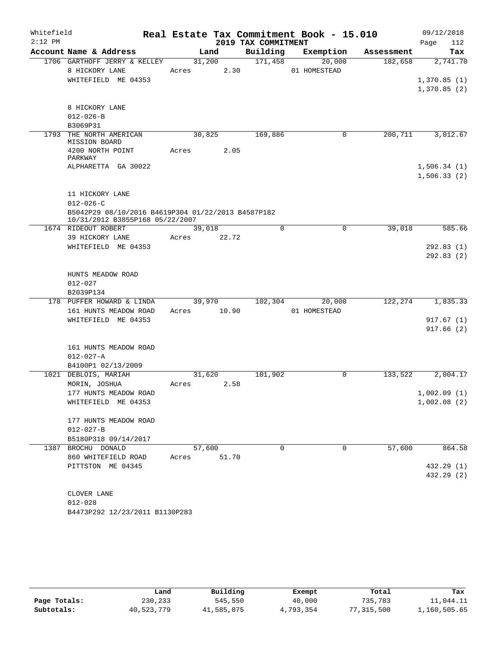| Whitefield<br>$2:12$ PM |                                                                                       |             |        |                     | Real Estate Tax Commitment Book - 15.010 |            | 09/12/2018      |
|-------------------------|---------------------------------------------------------------------------------------|-------------|--------|---------------------|------------------------------------------|------------|-----------------|
|                         | Account Name & Address                                                                |             | Land   | 2019 TAX COMMITMENT |                                          |            | 112<br>Page     |
|                         | 1706 GARTHOFF JERRY & KELLEY                                                          |             | 31,200 | Building<br>171,458 | Exemption                                | Assessment | Tax<br>2,741.70 |
|                         | 8 HICKORY LANE                                                                        | Acres       | 2.30   |                     | 20,000<br>01 HOMESTEAD                   | 182,658    |                 |
|                         | WHITEFIELD ME 04353                                                                   |             |        |                     |                                          |            | 1,370.85(1)     |
|                         |                                                                                       |             |        |                     |                                          |            | 1,370.85(2)     |
|                         |                                                                                       |             |        |                     |                                          |            |                 |
|                         | 8 HICKORY LANE                                                                        |             |        |                     |                                          |            |                 |
|                         | $012 - 026 - B$                                                                       |             |        |                     |                                          |            |                 |
|                         | B3069P31                                                                              |             |        |                     |                                          |            |                 |
|                         | 1793 THE NORTH AMERICAN                                                               | 30,825      |        | 169,886             | $\mathbf 0$                              | 200, 711   | 3,012.67        |
|                         | MISSION BOARD                                                                         |             |        |                     |                                          |            |                 |
|                         | 4200 NORTH POINT                                                                      | Acres       | 2.05   |                     |                                          |            |                 |
|                         | PARKWAY                                                                               |             |        |                     |                                          |            |                 |
|                         | ALPHARETTA GA 30022                                                                   |             |        |                     |                                          |            | 1,506.34(1)     |
|                         |                                                                                       |             |        |                     |                                          |            | 1,506.33(2)     |
|                         |                                                                                       |             |        |                     |                                          |            |                 |
|                         | 11 HICKORY LANE                                                                       |             |        |                     |                                          |            |                 |
|                         | $012 - 026 - C$                                                                       |             |        |                     |                                          |            |                 |
|                         | B5042P29 08/10/2016 B4619P304 01/22/2013 B4587P182<br>10/31/2012 B3855P168 05/22/2007 |             |        |                     |                                          |            |                 |
|                         | 1674 RIDEOUT ROBERT                                                                   | 39,018      |        | $\Omega$            | $\Omega$                                 | 39,018     | 585.66          |
|                         | 39 HICKORY LANE                                                                       | Acres       | 22.72  |                     |                                          |            |                 |
|                         | WHITEFIELD ME 04353                                                                   |             |        |                     |                                          |            | 292.83 (1)      |
|                         |                                                                                       |             |        |                     |                                          |            | 292.83(2)       |
|                         |                                                                                       |             |        |                     |                                          |            |                 |
|                         | HUNTS MEADOW ROAD                                                                     |             |        |                     |                                          |            |                 |
|                         | $012 - 027$                                                                           |             |        |                     |                                          |            |                 |
|                         | B2039P134                                                                             |             |        |                     |                                          |            |                 |
|                         | 178 PUFFER HOWARD & LINDA                                                             |             | 39,970 | 102,304             | 20,000                                   | 122,274    | 1,835.33        |
|                         | 161 HUNTS MEADOW ROAD                                                                 | Acres 10.90 |        |                     | 01 HOMESTEAD                             |            |                 |
|                         | WHITEFIELD ME 04353                                                                   |             |        |                     |                                          |            | 917.67(1)       |
|                         |                                                                                       |             |        |                     |                                          |            | 917.66(2)       |
|                         |                                                                                       |             |        |                     |                                          |            |                 |
|                         | 161 HUNTS MEADOW ROAD                                                                 |             |        |                     |                                          |            |                 |
|                         | $012 - 027 - A$                                                                       |             |        |                     |                                          |            |                 |
|                         | B4100P1 02/13/2009                                                                    |             |        |                     |                                          |            |                 |
|                         | 1021 DEBLOIS, MARIAH                                                                  |             | 31,620 | 101,902             | 0                                        | 133,522    | 2,004.17        |
|                         | MORIN, JOSHUA                                                                         | Acres       | 2.58   |                     |                                          |            |                 |
|                         | 177 HUNTS MEADOW ROAD                                                                 |             |        |                     |                                          |            | 1,002.09(1)     |
|                         | WHITEFIELD ME 04353                                                                   |             |        |                     |                                          |            | 1,002.08(2)     |
|                         |                                                                                       |             |        |                     |                                          |            |                 |
|                         | 177 HUNTS MEADOW ROAD                                                                 |             |        |                     |                                          |            |                 |
|                         | $012 - 027 - B$                                                                       |             |        |                     |                                          |            |                 |
|                         | B5180P318 09/14/2017                                                                  |             |        |                     |                                          |            |                 |
|                         | 1387 BROCHU DONALD                                                                    | 57,600      |        | $\Omega$            | $\mathbf 0$                              | 57,600     | 864.58          |
|                         | 860 WHITEFIELD ROAD                                                                   | Acres       | 51.70  |                     |                                          |            |                 |
|                         | PITTSTON ME 04345                                                                     |             |        |                     |                                          |            | 432.29 (1)      |
|                         |                                                                                       |             |        |                     |                                          |            | 432.29 (2)      |
|                         |                                                                                       |             |        |                     |                                          |            |                 |
|                         | CLOVER LANE<br>$012 - 028$                                                            |             |        |                     |                                          |            |                 |
|                         |                                                                                       |             |        |                     |                                          |            |                 |

B4473P292 12/23/2011 B1130P283

|              | Land       | Building   | Exempt    | Total      | Tax          |
|--------------|------------|------------|-----------|------------|--------------|
| Page Totals: | 230,233    | 545,550    | 40,000    | 735,783    | 11,044.11    |
| Subtotals:   | 40,523,779 | 41,585,075 | 4,793,354 | 77,315,500 | 1,160,505.65 |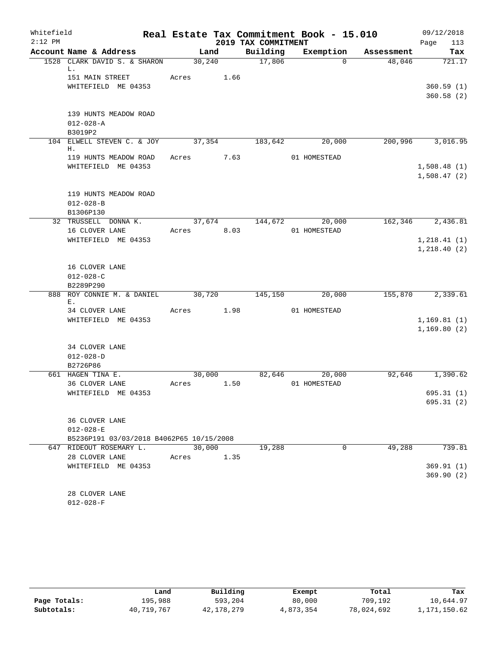| Whitefield<br>$2:12$ PM |                                          |       |         | 2019 TAX COMMITMENT | Real Estate Tax Commitment Book - 15.010 |            | 09/12/2018<br>Page<br>113 |
|-------------------------|------------------------------------------|-------|---------|---------------------|------------------------------------------|------------|---------------------------|
|                         | Account Name & Address                   |       | Land    | Building            | Exemption                                | Assessment | Tax                       |
|                         | 1528 CLARK DAVID S. & SHARON             |       | 30, 240 | 17,806              | $\Omega$                                 | 48,046     | 721.17                    |
|                         | L.<br>151 MAIN STREET                    | Acres | 1.66    |                     |                                          |            |                           |
|                         | WHITEFIELD ME 04353                      |       |         |                     |                                          |            | 360.59(1)                 |
|                         |                                          |       |         |                     |                                          |            | 360.58(2)                 |
|                         |                                          |       |         |                     |                                          |            |                           |
|                         | 139 HUNTS MEADOW ROAD                    |       |         |                     |                                          |            |                           |
|                         | $012 - 028 - A$                          |       |         |                     |                                          |            |                           |
|                         | B3019P2                                  |       |         |                     |                                          |            |                           |
|                         | 104 ELWELL STEVEN C. & JOY               |       | 37,354  | 183,642             | 20,000                                   | 200,996    | 3,016.95                  |
|                         | Η.                                       |       |         |                     |                                          |            |                           |
|                         | 119 HUNTS MEADOW ROAD                    | Acres | 7.63    |                     | 01 HOMESTEAD                             |            |                           |
|                         | WHITEFIELD ME 04353                      |       |         |                     |                                          |            | 1,508.48(1)               |
|                         |                                          |       |         |                     |                                          |            | 1,508.47(2)               |
|                         |                                          |       |         |                     |                                          |            |                           |
|                         | 119 HUNTS MEADOW ROAD                    |       |         |                     |                                          |            |                           |
|                         | $012 - 028 - B$                          |       |         |                     |                                          |            |                           |
|                         | B1306P130<br>32 TRUSSELL DONNA K.        |       | 37,674  | 144,672             | 20,000                                   | 162,346    | 2,436.81                  |
|                         | 16 CLOVER LANE                           | Acres | 8.03    |                     | 01 HOMESTEAD                             |            |                           |
|                         | WHITEFIELD ME 04353                      |       |         |                     |                                          |            | 1, 218.41(1)              |
|                         |                                          |       |         |                     |                                          |            | 1,218.40(2)               |
|                         |                                          |       |         |                     |                                          |            |                           |
|                         | 16 CLOVER LANE                           |       |         |                     |                                          |            |                           |
|                         | $012 - 028 - C$                          |       |         |                     |                                          |            |                           |
|                         | B2289P290                                |       |         |                     |                                          |            |                           |
| 888                     | ROY CONNIE M. & DANIEL                   |       | 30,720  | 145,150             | 20,000                                   | 155,870    | 2,339.61                  |
|                         | Ε.                                       |       |         |                     |                                          |            |                           |
|                         | 34 CLOVER LANE                           | Acres | 1.98    |                     | 01 HOMESTEAD                             |            |                           |
|                         | WHITEFIELD ME 04353                      |       |         |                     |                                          |            | 1,169.81(1)               |
|                         |                                          |       |         |                     |                                          |            | 1,169.80(2)               |
|                         | 34 CLOVER LANE                           |       |         |                     |                                          |            |                           |
|                         | $012 - 028 - D$                          |       |         |                     |                                          |            |                           |
|                         | B2726P86                                 |       |         |                     |                                          |            |                           |
|                         | 661 HAGEN TINA E.                        |       | 30,000  | 82,646              | 20,000                                   | 92,646     | 1,390.62                  |
|                         | 36 CLOVER LANE                           | Acres | 1.50    |                     | 01 HOMESTEAD                             |            |                           |
|                         | WHITEFIELD ME 04353                      |       |         |                     |                                          |            | 695.31(1)                 |
|                         |                                          |       |         |                     |                                          |            | 695.31(2)                 |
|                         |                                          |       |         |                     |                                          |            |                           |
|                         | 36 CLOVER LANE                           |       |         |                     |                                          |            |                           |
|                         | $012 - 028 - E$                          |       |         |                     |                                          |            |                           |
|                         | B5236P191 03/03/2018 B4062P65 10/15/2008 |       |         |                     |                                          |            |                           |
|                         | 647 RIDEOUT ROSEMARY L.                  |       | 30,000  | 19,288              | 0                                        | 49,288     | 739.81                    |
|                         | 28 CLOVER LANE                           | Acres | 1.35    |                     |                                          |            |                           |
|                         | WHITEFIELD ME 04353                      |       |         |                     |                                          |            | 369.91(1)                 |
|                         |                                          |       |         |                     |                                          |            | 369.90(2)                 |
|                         |                                          |       |         |                     |                                          |            |                           |
|                         | 28 CLOVER LANE                           |       |         |                     |                                          |            |                           |
|                         | $012 - 028 - F$                          |       |         |                     |                                          |            |                           |

|              | Land       | Building     | Exempt    | Total      | Tax          |
|--------------|------------|--------------|-----------|------------|--------------|
| Page Totals: | 195,988    | 593,204      | 80,000    | 709,192    | 10,644.97    |
| Subtotals:   | 40,719,767 | 42, 178, 279 | 4,873,354 | 78,024,692 | 1,171,150.62 |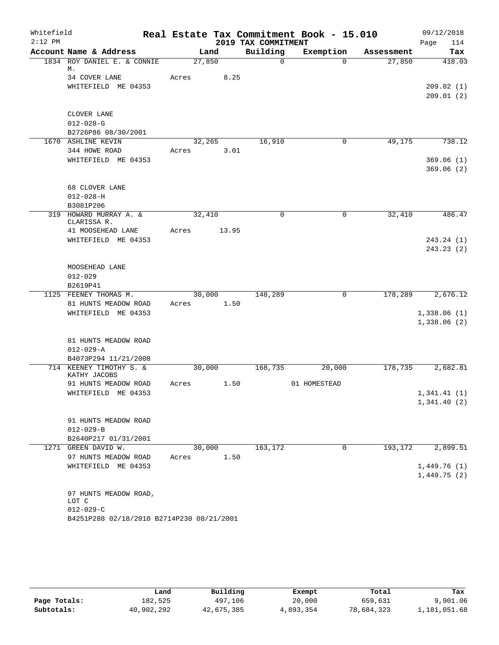| Whitefield<br>$2:12$ PM |                                           |       |        |       | 2019 TAX COMMITMENT | Real Estate Tax Commitment Book - 15.010 |            | 09/12/2018<br>114<br>Page   |
|-------------------------|-------------------------------------------|-------|--------|-------|---------------------|------------------------------------------|------------|-----------------------------|
|                         | Account Name & Address                    |       | Land   |       | Building            | Exemption                                | Assessment | Tax                         |
|                         | 1834 ROY DANIEL E. & CONNIE               |       | 27,850 |       | $\mathbf 0$         | $\Omega$                                 | 27,850     | 418.03                      |
|                         | М.                                        |       |        |       |                     |                                          |            |                             |
|                         | 34 COVER LANE                             | Acres |        | 8.25  |                     |                                          |            |                             |
|                         | WHITEFIELD ME 04353                       |       |        |       |                     |                                          |            | 209.02(1)<br>209.01(2)      |
|                         |                                           |       |        |       |                     |                                          |            |                             |
|                         | CLOVER LANE                               |       |        |       |                     |                                          |            |                             |
|                         | $012 - 028 - G$                           |       |        |       |                     |                                          |            |                             |
|                         | B2726P86 08/30/2001                       |       |        |       |                     |                                          |            |                             |
|                         | 1670 ASHLINE KEVIN                        |       | 32,265 |       | 16,910              | 0                                        | 49,175     | 738.12                      |
|                         | 344 HOWE ROAD                             | Acres |        | 3.01  |                     |                                          |            |                             |
|                         | WHITEFIELD ME 04353                       |       |        |       |                     |                                          |            | 369.06(1)                   |
|                         |                                           |       |        |       |                     |                                          |            | 369.06(2)                   |
|                         |                                           |       |        |       |                     |                                          |            |                             |
|                         | 68 CLOVER LANE<br>$012 - 028 - H$         |       |        |       |                     |                                          |            |                             |
|                         | B3081P206                                 |       |        |       |                     |                                          |            |                             |
|                         | 319 HOWARD MURRAY A. &                    |       | 32,410 |       | $\mathbf 0$         | $\mathbf 0$                              | 32,410     | 486.47                      |
|                         | CLARISSA R.                               |       |        |       |                     |                                          |            |                             |
|                         | 41 MOOSEHEAD LANE                         | Acres |        | 13.95 |                     |                                          |            |                             |
|                         | WHITEFIELD ME 04353                       |       |        |       |                     |                                          |            | 243.24 (1)                  |
|                         |                                           |       |        |       |                     |                                          |            | 243.23(2)                   |
|                         | MOOSEHEAD LANE                            |       |        |       |                     |                                          |            |                             |
|                         | $012 - 029$                               |       |        |       |                     |                                          |            |                             |
|                         | B2619P41                                  |       |        |       |                     |                                          |            |                             |
|                         | 1125 FEENEY THOMAS M.                     |       | 30,000 |       | 148,289             | $\mathbf 0$                              | 178,289    | 2,676.12                    |
|                         | 81 HUNTS MEADOW ROAD                      | Acres |        | 1.50  |                     |                                          |            |                             |
|                         | WHITEFIELD ME 04353                       |       |        |       |                     |                                          |            | 1,338.06(1)                 |
|                         |                                           |       |        |       |                     |                                          |            | 1,338.06(2)                 |
|                         | 81 HUNTS MEADOW ROAD                      |       |        |       |                     |                                          |            |                             |
|                         | $012 - 029 - A$                           |       |        |       |                     |                                          |            |                             |
|                         | B4073P294 11/21/2008                      |       |        |       |                     |                                          |            |                             |
|                         | 714 KEENEY TIMOTHY S. &                   |       | 30,000 |       | 168,735             | 20,000                                   | 178,735    | 2,682.81                    |
|                         | KATHY JACOBS                              |       |        |       |                     |                                          |            |                             |
|                         | 91 HUNTS MEADOW ROAD                      | Acres |        | 1.50  |                     | 01 HOMESTEAD                             |            |                             |
|                         | WHITEFIELD ME 04353                       |       |        |       |                     |                                          |            | 1,341.41 (1)<br>1,341.40(2) |
|                         |                                           |       |        |       |                     |                                          |            |                             |
|                         | 91 HUNTS MEADOW ROAD                      |       |        |       |                     |                                          |            |                             |
|                         | $012 - 029 - B$                           |       |        |       |                     |                                          |            |                             |
|                         | B2640P217 01/31/2001                      |       |        |       |                     |                                          |            |                             |
|                         | 1271 GREEN DAVID W.                       |       | 30,000 |       | 163,172             | 0                                        | 193,172    | 2,899.51                    |
|                         | 97 HUNTS MEADOW ROAD                      | Acres |        | 1.50  |                     |                                          |            |                             |
|                         | WHITEFIELD ME 04353                       |       |        |       |                     |                                          |            | 1,449.76(1)                 |
|                         |                                           |       |        |       |                     |                                          |            | 1,449.75(2)                 |
|                         | 97 HUNTS MEADOW ROAD,                     |       |        |       |                     |                                          |            |                             |
|                         | LOT C                                     |       |        |       |                     |                                          |            |                             |
|                         | $012 - 029 - C$                           |       |        |       |                     |                                          |            |                             |
|                         | B4251P288 02/18/2010 B2714P230 08/21/2001 |       |        |       |                     |                                          |            |                             |

|              | Land       | Building   | Exempt    | Total      | Tax          |
|--------------|------------|------------|-----------|------------|--------------|
| Page Totals: | 182,525    | 497,106    | 20,000    | 659,631    | 9,901.06     |
| Subtotals:   | 40,902,292 | 42,675,385 | 4,893,354 | 78,684,323 | 1,181,051.68 |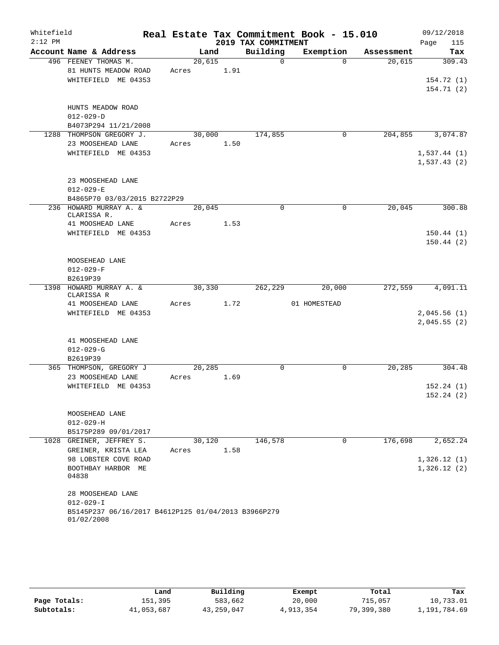| Whitefield |                                                     |       |            |                      | Real Estate Tax Commitment Book - 15.010 |            | 09/12/2018             |
|------------|-----------------------------------------------------|-------|------------|----------------------|------------------------------------------|------------|------------------------|
| $2:12$ PM  |                                                     |       |            | 2019 TAX COMMITMENT  |                                          |            | Page<br>115            |
|            | Account Name & Address<br>496 FEENEY THOMAS M.      |       | Land       | Building<br>$\Omega$ | Exemption<br>$\Omega$                    | Assessment | Tax<br>309.43          |
|            |                                                     |       | 20,615     |                      |                                          | 20,615     |                        |
|            | 81 HUNTS MEADOW ROAD<br>WHITEFIELD ME 04353         | Acres | 1.91       |                      |                                          |            | 154.72(1)              |
|            |                                                     |       |            |                      |                                          |            | 154.71(2)              |
|            |                                                     |       |            |                      |                                          |            |                        |
|            | HUNTS MEADOW ROAD                                   |       |            |                      |                                          |            |                        |
|            | $012 - 029 - D$                                     |       |            |                      |                                          |            |                        |
|            | B4073P294 11/21/2008                                |       |            |                      |                                          |            |                        |
|            | 1288 THOMPSON GREGORY J.                            |       | 30,000     | 174,855              | $\mathbf 0$                              | 204,855    | 3,074.87               |
|            | 23 MOOSEHEAD LANE                                   | Acres | 1.50       |                      |                                          |            |                        |
|            | WHITEFIELD ME 04353                                 |       |            |                      |                                          |            | 1,537.44(1)            |
|            |                                                     |       |            |                      |                                          |            | 1,537.43(2)            |
|            |                                                     |       |            |                      |                                          |            |                        |
|            | 23 MOOSEHEAD LANE                                   |       |            |                      |                                          |            |                        |
|            | $012 - 029 - E$                                     |       |            |                      |                                          |            |                        |
|            | B4865P70 03/03/2015 B2722P29                        |       |            |                      |                                          |            |                        |
|            | 236 HOWARD MURRAY A. &                              |       | 20,045     | $\Omega$             | $\mathbf 0$                              | 20,045     | 300.88                 |
|            | CLARISSA R.                                         |       |            |                      |                                          |            |                        |
|            | 41 MOOSHEAD LANE                                    | Acres | 1.53       |                      |                                          |            |                        |
|            | WHITEFIELD ME 04353                                 |       |            |                      |                                          |            | 150.44(1)<br>150.44(2) |
|            |                                                     |       |            |                      |                                          |            |                        |
|            | MOOSEHEAD LANE                                      |       |            |                      |                                          |            |                        |
|            | $012 - 029 - F$                                     |       |            |                      |                                          |            |                        |
|            | B2619P39                                            |       |            |                      |                                          |            |                        |
|            | 1398 HOWARD MURRAY A. &<br>CLARISSA R               |       | 30,330     | 262,229              | 20,000                                   | 272,559    | 4,091.11               |
|            | 41 MOOSEHEAD LANE                                   |       | Acres 1.72 |                      | 01 HOMESTEAD                             |            |                        |
|            | WHITEFIELD ME 04353                                 |       |            |                      |                                          |            | 2,045.56(1)            |
|            |                                                     |       |            |                      |                                          |            | 2,045.55(2)            |
|            |                                                     |       |            |                      |                                          |            |                        |
|            | 41 MOOSEHEAD LANE                                   |       |            |                      |                                          |            |                        |
|            | $012 - 029 - G$                                     |       |            |                      |                                          |            |                        |
|            | B2619P39                                            |       |            |                      |                                          |            |                        |
|            | 365 THOMPSON, GREGORY J                             |       | 20,285     | $\mathbf 0$          | $\mathbf 0$                              | 20, 285    | 304.48                 |
|            | 23 MOOSEHEAD LANE                                   | Acres | 1.69       |                      |                                          |            |                        |
|            | WHITEFIELD ME 04353                                 |       |            |                      |                                          |            | 152.24(1)              |
|            |                                                     |       |            |                      |                                          |            | 152.24(2)              |
|            |                                                     |       |            |                      |                                          |            |                        |
|            | MOOSEHEAD LANE<br>$012 - 029 - H$                   |       |            |                      |                                          |            |                        |
|            | B5175P289 09/01/2017                                |       |            |                      |                                          |            |                        |
| 1028       | GREINER, JEFFREY S.                                 |       | 30,120     | 146,578              | 0                                        | 176,698    | 2,652.24               |
|            | GREINER, KRISTA LEA                                 | Acres | 1.58       |                      |                                          |            |                        |
|            | 98 LOBSTER COVE ROAD                                |       |            |                      |                                          |            | 1,326.12(1)            |
|            | BOOTHBAY HARBOR ME                                  |       |            |                      |                                          |            | 1,326.12(2)            |
|            | 04838                                               |       |            |                      |                                          |            |                        |
|            |                                                     |       |            |                      |                                          |            |                        |
|            | 28 MOOSEHEAD LANE                                   |       |            |                      |                                          |            |                        |
|            | $012 - 029 - I$                                     |       |            |                      |                                          |            |                        |
|            | B5145P237 06/16/2017 B4612P125 01/04/2013 B3966P279 |       |            |                      |                                          |            |                        |
|            | 01/02/2008                                          |       |            |                      |                                          |            |                        |

|              | Land       | Building   | Exempt    | Total      | Tax          |
|--------------|------------|------------|-----------|------------|--------------|
| Page Totals: | 151,395    | 583,662    | 20,000    | 715,057    | 10,733.01    |
| Subtotals:   | 41,053,687 | 43,259,047 | 4,913,354 | 79,399,380 | 1,191,784.69 |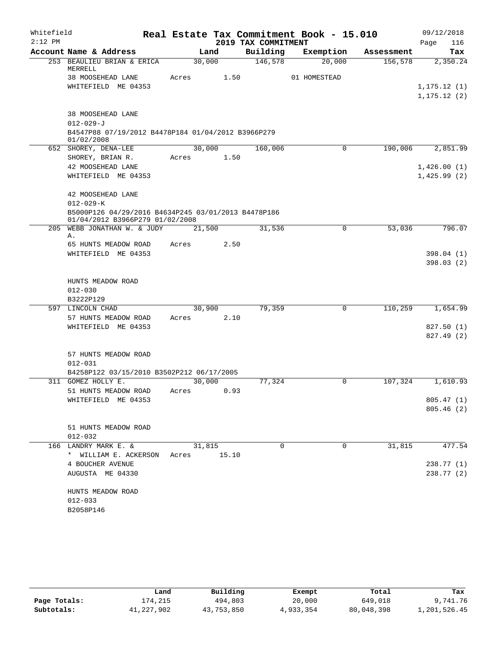| Whitefield |                                                                                        |       |        |                     | Real Estate Tax Commitment Book - 15.010 |            | 09/12/2018                   |
|------------|----------------------------------------------------------------------------------------|-------|--------|---------------------|------------------------------------------|------------|------------------------------|
| $2:12$ PM  |                                                                                        |       |        | 2019 TAX COMMITMENT |                                          |            | 116<br>Page                  |
|            | Account Name & Address                                                                 |       | Land   | Building            | Exemption                                | Assessment | Tax                          |
|            | 253 BEAULIEU BRIAN & ERICA<br>MERRELL                                                  |       | 30,000 | 146,578             | 20,000                                   | 156,578    | 2,350.24                     |
|            | 38 MOOSEHEAD LANE                                                                      | Acres | 1.50   |                     | 01 HOMESTEAD                             |            |                              |
|            | WHITEFIELD ME 04353                                                                    |       |        |                     |                                          |            | 1, 175.12(1)<br>1, 175.12(2) |
|            | 38 MOOSEHEAD LANE                                                                      |       |        |                     |                                          |            |                              |
|            | $012 - 029 - J$                                                                        |       |        |                     |                                          |            |                              |
|            | B4547P88 07/19/2012 B4478P184 01/04/2012 B3966P279<br>01/02/2008                       |       |        |                     |                                          |            |                              |
|            | 652 SHOREY, DENA-LEE                                                                   |       | 30,000 | 160,006             | 0                                        | 190,006    | 2,851.99                     |
|            | SHOREY, BRIAN R.                                                                       | Acres | 1.50   |                     |                                          |            |                              |
|            | 42 MOOSEHEAD LANE                                                                      |       |        |                     |                                          |            | 1,426.00(1)                  |
|            | WHITEFIELD ME 04353                                                                    |       |        |                     |                                          |            | 1,425.99(2)                  |
|            | 42 MOOSEHEAD LANE                                                                      |       |        |                     |                                          |            |                              |
|            | $012 - 029 - K$                                                                        |       |        |                     |                                          |            |                              |
|            | B5000P126 04/29/2016 B4634P245 03/01/2013 B4478P186<br>01/04/2012 B3966P279 01/02/2008 |       |        |                     |                                          |            |                              |
|            | 205 WEBB JONATHAN W. & JUDY                                                            |       | 21,500 | 31,536              | 0                                        | 53,036     | 796.07                       |
|            | Α.                                                                                     | Acres | 2.50   |                     |                                          |            |                              |
|            | 65 HUNTS MEADOW ROAD<br>WHITEFIELD ME 04353                                            |       |        |                     |                                          |            | 398.04 (1)                   |
|            |                                                                                        |       |        |                     |                                          |            | 398.03(2)                    |
|            |                                                                                        |       |        |                     |                                          |            |                              |
|            | HUNTS MEADOW ROAD                                                                      |       |        |                     |                                          |            |                              |
|            | $012 - 030$                                                                            |       |        |                     |                                          |            |                              |
|            | B3222P129                                                                              |       |        |                     |                                          |            |                              |
|            | 597 LINCOLN CHAD                                                                       |       | 30,900 | 79,359              | $\mathbf 0$                              | 110,259    | 1,654.99                     |
|            | 57 HUNTS MEADOW ROAD                                                                   | Acres | 2.10   |                     |                                          |            |                              |
|            | WHITEFIELD ME 04353                                                                    |       |        |                     |                                          |            | 827.50(1)                    |
|            |                                                                                        |       |        |                     |                                          |            | 827.49 (2)                   |
|            |                                                                                        |       |        |                     |                                          |            |                              |
|            | 57 HUNTS MEADOW ROAD                                                                   |       |        |                     |                                          |            |                              |
|            | $012 - 031$                                                                            |       |        |                     |                                          |            |                              |
|            | B4258P122 03/15/2010 B3502P212 06/17/2005                                              |       |        |                     |                                          |            |                              |
|            | 311 GOMEZ HOLLY E.                                                                     |       | 30,000 | 77,324              | 0                                        | 107,324    | 1,610.93                     |
|            | 51 HUNTS MEADOW ROAD                                                                   | Acres | 0.93   |                     |                                          |            |                              |
|            | WHITEFIELD ME 04353                                                                    |       |        |                     |                                          |            | 805.47(1)                    |
|            |                                                                                        |       |        |                     |                                          |            | 805.46(2)                    |
|            |                                                                                        |       |        |                     |                                          |            |                              |
|            | 51 HUNTS MEADOW ROAD                                                                   |       |        |                     |                                          |            |                              |
|            | $012 - 032$<br>166 LANDRY MARK E. &                                                    |       | 31,815 | 0                   | 0                                        | 31,815     | 477.54                       |
|            | * WILLIAM E. ACKERSON                                                                  | Acres | 15.10  |                     |                                          |            |                              |
|            | 4 BOUCHER AVENUE                                                                       |       |        |                     |                                          |            | 238.77 (1)                   |
|            | AUGUSTA ME 04330                                                                       |       |        |                     |                                          |            | 238.77(2)                    |
|            |                                                                                        |       |        |                     |                                          |            |                              |
|            | HUNTS MEADOW ROAD                                                                      |       |        |                     |                                          |            |                              |
|            | $012 - 033$                                                                            |       |        |                     |                                          |            |                              |
|            | B2058P146                                                                              |       |        |                     |                                          |            |                              |
|            |                                                                                        |       |        |                     |                                          |            |                              |

|              | Land       | Building   | Exempt    | Total      | Tax          |
|--------------|------------|------------|-----------|------------|--------------|
| Page Totals: | 174,215    | 494,803    | 20,000    | 649,018    | 9,741.76     |
| Subtotals:   | 41,227,902 | 43,753,850 | 4,933,354 | 80,048,398 | 1,201,526.45 |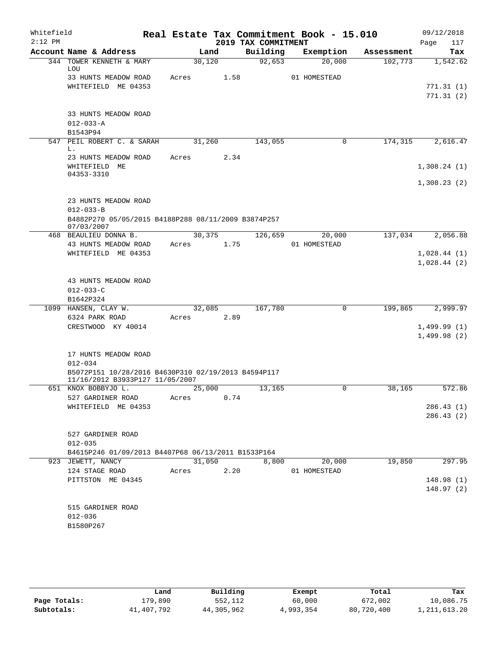| Whitefield<br>$2:12$ PM |                              |                                                                                        |       |        |      | 2019 TAX COMMITMENT | Real Estate Tax Commitment Book - 15.010 |                        | 09/12/2018<br>Page<br>117 |
|-------------------------|------------------------------|----------------------------------------------------------------------------------------|-------|--------|------|---------------------|------------------------------------------|------------------------|---------------------------|
|                         |                              | Account Name & Address                                                                 |       | Land   |      | Building            | Exemption                                | Assessment             | Tax                       |
|                         |                              | 344 TOWER KENNETH & MARY                                                               |       | 30,120 |      | 92,653              | 20,000                                   | 102, 773               | 1,542.62                  |
|                         | LOU                          | 33 HUNTS MEADOW ROAD                                                                   | Acres |        | 1.58 |                     | 01 HOMESTEAD                             |                        |                           |
|                         |                              | WHITEFIELD ME 04353                                                                    |       |        |      |                     |                                          |                        | 771.31(1)                 |
|                         |                              |                                                                                        |       |        |      |                     |                                          |                        | 771.31(2)                 |
|                         |                              |                                                                                        |       |        |      |                     |                                          |                        |                           |
|                         |                              | 33 HUNTS MEADOW ROAD                                                                   |       |        |      |                     |                                          |                        |                           |
|                         | $012 - 033 - A$              |                                                                                        |       |        |      |                     |                                          |                        |                           |
|                         | B1543P94                     |                                                                                        |       |        |      |                     |                                          |                        |                           |
|                         | L.                           | 547 PEIL ROBERT C. & SARAH                                                             |       | 31,260 |      | 143,055             |                                          | 174,315<br>0           | 2,616.47                  |
|                         |                              | 23 HUNTS MEADOW ROAD                                                                   | Acres |        | 2.34 |                     |                                          |                        |                           |
|                         |                              | WHITEFIELD ME                                                                          |       |        |      |                     |                                          |                        | 1,308.24(1)               |
|                         | 04353-3310                   |                                                                                        |       |        |      |                     |                                          |                        |                           |
|                         |                              |                                                                                        |       |        |      |                     |                                          |                        | 1,308.23(2)               |
|                         |                              |                                                                                        |       |        |      |                     |                                          |                        |                           |
|                         | $012 - 033 - B$              | 23 HUNTS MEADOW ROAD                                                                   |       |        |      |                     |                                          |                        |                           |
|                         |                              | B4882P270 05/05/2015 B4188P288 08/11/2009 B3874P257                                    |       |        |      |                     |                                          |                        |                           |
|                         | 07/03/2007                   |                                                                                        |       |        |      |                     |                                          |                        |                           |
|                         |                              | 468 BEAULIEU DONNA B.                                                                  |       | 30,375 |      | 126,659             | 20,000                                   | 137,034                | 2,056.88                  |
|                         |                              | 43 HUNTS MEADOW ROAD                                                                   | Acres |        | 1.75 |                     | 01 HOMESTEAD                             |                        |                           |
|                         |                              | WHITEFIELD ME 04353                                                                    |       |        |      |                     |                                          |                        | 1,028.44(1)               |
|                         |                              |                                                                                        |       |        |      |                     |                                          |                        | 1,028.44(2)               |
|                         |                              |                                                                                        |       |        |      |                     |                                          |                        |                           |
|                         |                              | 43 HUNTS MEADOW ROAD                                                                   |       |        |      |                     |                                          |                        |                           |
|                         | $012 - 033 - C$<br>B1642P324 |                                                                                        |       |        |      |                     |                                          |                        |                           |
|                         |                              | 1099 HANSEN, CLAY W.                                                                   |       | 32,085 |      | 167,780             |                                          | $\mathbf 0$<br>199,865 | 2,999.97                  |
|                         |                              | 6324 PARK ROAD                                                                         | Acres |        | 2.89 |                     |                                          |                        |                           |
|                         |                              | CRESTWOOD KY 40014                                                                     |       |        |      |                     |                                          |                        | $1,499.99$ (1)            |
|                         |                              |                                                                                        |       |        |      |                     |                                          |                        | 1,499.98(2)               |
|                         |                              |                                                                                        |       |        |      |                     |                                          |                        |                           |
|                         |                              | 17 HUNTS MEADOW ROAD                                                                   |       |        |      |                     |                                          |                        |                           |
|                         | $012 - 034$                  |                                                                                        |       |        |      |                     |                                          |                        |                           |
|                         |                              | B5072P151 10/28/2016 B4630P310 02/19/2013 B4594P117<br>11/16/2012 B3933P127 11/05/2007 |       |        |      |                     |                                          |                        |                           |
|                         |                              | 651 KNOX BOBBYJO L.                                                                    |       | 25,000 |      | 13,165              |                                          | $\mathbf 0$<br>38,165  | 572.86                    |
|                         |                              | 527 GARDINER ROAD                                                                      | Acres |        | 0.74 |                     |                                          |                        |                           |
|                         |                              | WHITEFIELD ME 04353                                                                    |       |        |      |                     |                                          |                        | 286.43(1)                 |
|                         |                              |                                                                                        |       |        |      |                     |                                          |                        | 286.43(2)                 |
|                         |                              |                                                                                        |       |        |      |                     |                                          |                        |                           |
|                         |                              | 527 GARDINER ROAD                                                                      |       |        |      |                     |                                          |                        |                           |
|                         | $012 - 035$                  |                                                                                        |       |        |      |                     |                                          |                        |                           |
|                         |                              | B4615P246 01/09/2013 B4407P68 06/13/2011 B1533P164<br>923 JEWETT, NANCY                |       | 31,050 |      | 8,800               | 20,000                                   | 19,850                 | 297.95                    |
|                         |                              | 124 STAGE ROAD                                                                         | Acres |        | 2.20 |                     | 01 HOMESTEAD                             |                        |                           |
|                         |                              | PITTSTON ME 04345                                                                      |       |        |      |                     |                                          |                        | 148.98(1)                 |
|                         |                              |                                                                                        |       |        |      |                     |                                          |                        | 148.97(2)                 |
|                         |                              |                                                                                        |       |        |      |                     |                                          |                        |                           |
|                         |                              | 515 GARDINER ROAD                                                                      |       |        |      |                     |                                          |                        |                           |
|                         | $012 - 036$                  |                                                                                        |       |        |      |                     |                                          |                        |                           |
|                         | B1580P267                    |                                                                                        |       |        |      |                     |                                          |                        |                           |
|                         |                              |                                                                                        |       |        |      |                     |                                          |                        |                           |

|              | Land       | Building   | Exempt    | Total      | Tax          |
|--------------|------------|------------|-----------|------------|--------------|
| Page Totals: | .79,890    | 552,112    | 60,000    | 672,002    | 10,086.75    |
| Subtotals:   | 41,407,792 | 44,305,962 | 4,993,354 | 80,720,400 | l.211.613.20 |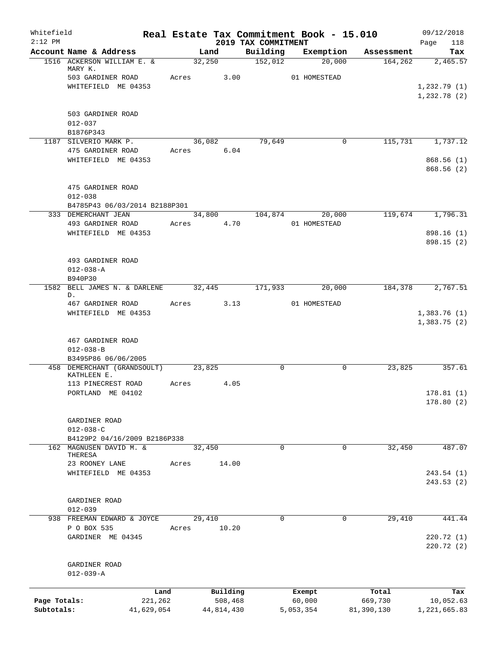| Whitefield<br>$2:12$ PM    |                                           |                       |            |                       | 2019 TAX COMMITMENT | Real Estate Tax Commitment Book - 15.010 |                       | 09/12/2018<br>Page<br>118  |
|----------------------------|-------------------------------------------|-----------------------|------------|-----------------------|---------------------|------------------------------------------|-----------------------|----------------------------|
|                            | Account Name & Address                    |                       | Land       |                       | Building            | Exemption                                | Assessment            | Tax                        |
|                            | 1516 ACKERSON WILLIAM E. &                |                       | 32,250     |                       | 152,012             | 20,000                                   | 164, 262              | 2,465.57                   |
|                            | MARY K.<br>503 GARDINER ROAD              |                       | Acres 3.00 |                       |                     | 01 HOMESTEAD                             |                       |                            |
|                            | WHITEFIELD ME 04353                       |                       |            |                       |                     |                                          |                       | 1,232.79(1)                |
|                            |                                           |                       |            |                       |                     |                                          |                       | 1,232.78 (2)               |
|                            | 503 GARDINER ROAD                         |                       |            |                       |                     |                                          |                       |                            |
|                            | $012 - 037$                               |                       |            |                       |                     |                                          |                       |                            |
|                            | B1876P343                                 |                       |            |                       |                     |                                          |                       |                            |
|                            | 1187 SILVERIO MARK P.                     |                       | 36,082     |                       | 79,649              | $\mathbf 0$                              | 115,731               | 1,737.12                   |
|                            | 475 GARDINER ROAD<br>WHITEFIELD ME 04353  |                       | Acres 6.04 |                       |                     |                                          |                       | 868.56(1)                  |
|                            |                                           |                       |            |                       |                     |                                          |                       | 868.56(2)                  |
|                            | 475 GARDINER ROAD                         |                       |            |                       |                     |                                          |                       |                            |
|                            | $012 - 038$                               |                       |            |                       |                     |                                          |                       |                            |
|                            | B4785P43 06/03/2014 B2188P301             |                       |            |                       |                     |                                          |                       |                            |
|                            | 333 DEMERCHANT JEAN<br>493 GARDINER ROAD  |                       |            |                       | 34,800 104,874      | 20,000                                   | 119,674               | 1,796.31                   |
|                            | WHITEFIELD ME 04353                       |                       | Acres 4.70 |                       |                     | 01 HOMESTEAD                             |                       | 898.16 (1)                 |
|                            |                                           |                       |            |                       |                     |                                          |                       | 898.15 (2)                 |
|                            | 493 GARDINER ROAD                         |                       |            |                       |                     |                                          |                       |                            |
|                            | $012 - 038 - A$                           |                       |            |                       |                     |                                          |                       |                            |
|                            | B940P30                                   |                       |            |                       |                     |                                          |                       |                            |
|                            | 1582 BELL JAMES N. & DARLENE 32,445<br>D. |                       |            |                       | 171,933             | 20,000                                   | 184,378               | 2,767.51                   |
|                            | 467 GARDINER ROAD                         |                       | Acres 3.13 |                       |                     | 01 HOMESTEAD                             |                       |                            |
|                            | WHITEFIELD ME 04353                       |                       |            |                       |                     |                                          |                       | 1,383.76(1)<br>1,383.75(2) |
|                            |                                           |                       |            |                       |                     |                                          |                       |                            |
|                            | 467 GARDINER ROAD                         |                       |            |                       |                     |                                          |                       |                            |
|                            | $012 - 038 - B$<br>B3495P86 06/06/2005    |                       |            |                       |                     |                                          |                       |                            |
|                            | 458 DEMERCHANT (GRANDSOULT)               |                       | 23,825     |                       | 0                   | 0                                        | 23,825                | 357.61                     |
|                            | KATHLEEN E.                               |                       |            |                       |                     |                                          |                       |                            |
|                            | 113 PINECREST ROAD                        | Acres                 |            | 4.05                  |                     |                                          |                       |                            |
|                            | PORTLAND ME 04102                         |                       |            |                       |                     |                                          |                       | 178.81(1)                  |
|                            |                                           |                       |            |                       |                     |                                          |                       | 178.80(2)                  |
|                            | GARDINER ROAD                             |                       |            |                       |                     |                                          |                       |                            |
|                            | $012 - 038 - C$                           |                       |            |                       |                     |                                          |                       |                            |
|                            | B4129P2 04/16/2009 B2186P338              |                       |            |                       |                     |                                          |                       |                            |
| 162                        | MAGNUSEN DAVID M. &<br>THERESA            |                       | 32,450     |                       | $\mathbf 0$         | $\Omega$                                 | 32,450                | 487.07                     |
|                            | 23 ROONEY LANE                            | Acres                 |            | 14.00                 |                     |                                          |                       |                            |
|                            | WHITEFIELD ME 04353                       |                       |            |                       |                     |                                          |                       | 243.54 (1)                 |
|                            |                                           |                       |            |                       |                     |                                          |                       | 243.53 (2)                 |
|                            | GARDINER ROAD                             |                       |            |                       |                     |                                          |                       |                            |
|                            | $012 - 039$                               |                       |            |                       |                     |                                          |                       |                            |
|                            | 938 FREEMAN EDWARD & JOYCE                |                       | 29,410     |                       | $\Omega$            | 0                                        | 29,410                | 441.44                     |
|                            | P O BOX 535<br>GARDINER ME 04345          | Acres                 |            | 10.20                 |                     |                                          |                       | 220.72 (1)                 |
|                            |                                           |                       |            |                       |                     |                                          |                       | 220.72 (2)                 |
|                            | GARDINER ROAD                             |                       |            |                       |                     |                                          |                       |                            |
|                            | $012 - 039 - A$                           |                       |            |                       |                     |                                          |                       |                            |
|                            |                                           |                       |            |                       |                     |                                          |                       |                            |
|                            |                                           | Land                  |            | Building              |                     | Exempt                                   | Total                 | Tax                        |
| Page Totals:<br>Subtotals: |                                           | 221,262<br>41,629,054 |            | 508,468<br>44,814,430 |                     | 60,000<br>5,053,354                      | 669,730<br>81,390,130 | 10,052.63<br>1,221,665.83  |
|                            |                                           |                       |            |                       |                     |                                          |                       |                            |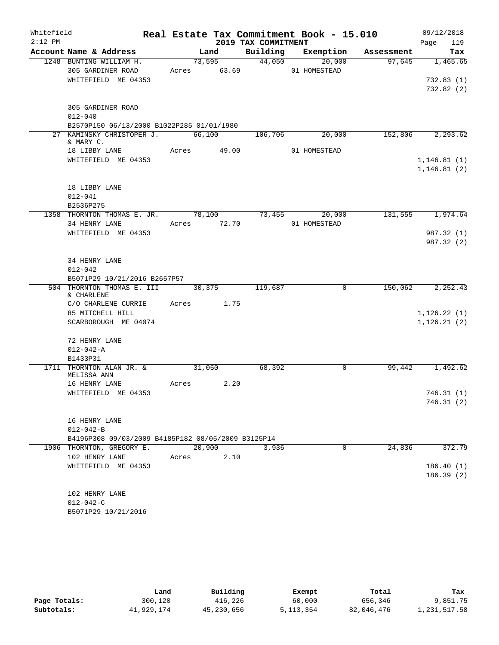| Whitefield |                                                    |                    |      |                     | Real Estate Tax Commitment Book - 15.010 |                                    | 09/12/2018                   |
|------------|----------------------------------------------------|--------------------|------|---------------------|------------------------------------------|------------------------------------|------------------------------|
| $2:12$ PM  |                                                    |                    |      | 2019 TAX COMMITMENT |                                          |                                    | 119<br>Page                  |
|            | Account Name & Address                             |                    |      |                     |                                          | Land Building Exemption Assessment | Tax                          |
|            | 1248 BUNTING WILLIAM H.                            |                    |      | 73,595 44,050       | 20,000                                   |                                    | 97,645 1,465.65              |
|            | 305 GARDINER ROAD Acres 63.69                      |                    |      |                     | 01 HOMESTEAD                             |                                    |                              |
|            | WHITEFIELD ME 04353                                |                    |      |                     |                                          |                                    | 732.83(1)                    |
|            |                                                    |                    |      |                     |                                          |                                    | 732.82 (2)                   |
|            | 305 GARDINER ROAD                                  |                    |      |                     |                                          |                                    |                              |
|            | $012 - 040$                                        |                    |      |                     |                                          |                                    |                              |
|            | B2570P150 06/13/2000 B1022P285 01/01/1980          |                    |      |                     |                                          |                                    |                              |
|            | 27 KAMINSKY CHRISTOPER J. 66,100 106,706 20,000    |                    |      |                     |                                          |                                    | 152,806 2,293.62             |
|            | & MARY C.                                          |                    |      |                     |                                          |                                    |                              |
|            | 18 LIBBY LANE Acres 49.00<br>WHITEFIELD ME 04353   |                    |      |                     | 01 HOMESTEAD                             |                                    |                              |
|            |                                                    |                    |      |                     |                                          |                                    | 1, 146.81(1)<br>1, 146.81(2) |
|            |                                                    |                    |      |                     |                                          |                                    |                              |
|            | 18 LIBBY LANE                                      |                    |      |                     |                                          |                                    |                              |
|            | $012 - 041$                                        |                    |      |                     |                                          |                                    |                              |
|            | B2536P275                                          |                    |      |                     |                                          |                                    |                              |
|            | 1358 THORNTON THOMAS E. JR. 78,100 73,455 20,000   |                    |      |                     |                                          |                                    | 131,555 1,974.64             |
|            | 34 HENRY LANE                                      | Acres 72.70        |      |                     | 01 HOMESTEAD                             |                                    |                              |
|            | WHITEFIELD ME 04353                                |                    |      |                     |                                          |                                    | 987.32 (1)                   |
|            |                                                    |                    |      |                     |                                          |                                    | 987.32 (2)                   |
|            | 34 HENRY LANE                                      |                    |      |                     |                                          |                                    |                              |
|            | $012 - 042$                                        |                    |      |                     |                                          |                                    |                              |
|            | B5071P29 10/21/2016 B2657P57                       |                    |      |                     |                                          |                                    |                              |
|            | 504 THORNTON THOMAS E. III                         |                    |      | 30,375 119,687      | $\overline{0}$                           |                                    | 150,062 2,252.43             |
|            | & CHARLENE                                         |                    |      |                     |                                          |                                    |                              |
|            | C/O CHARLENE CURRIE Acres 1.75                     |                    |      |                     |                                          |                                    |                              |
|            | 85 MITCHELL HILL                                   |                    |      |                     |                                          |                                    | 1, 126.22(1)                 |
|            | SCARBOROUGH ME 04074                               |                    |      |                     |                                          |                                    | 1, 126.21(2)                 |
|            | 72 HENRY LANE                                      |                    |      |                     |                                          |                                    |                              |
|            | $012 - 042 - A$                                    |                    |      |                     |                                          |                                    |                              |
|            | B1433P31                                           |                    |      |                     |                                          |                                    |                              |
|            | 1711 THORNTON ALAN JR. &                           | $\frac{31,050}{ }$ |      | 68,392              | $\mathbf 0$                              | 99,442                             | 1,492.62                     |
|            | MELISSA ANN                                        |                    |      |                     |                                          |                                    |                              |
|            | 16 HENRY LANE                                      | Acres              | 2.20 |                     |                                          |                                    |                              |
|            | WHITEFIELD ME 04353                                |                    |      |                     |                                          |                                    | 746.31 (1)<br>746.31(2)      |
|            |                                                    |                    |      |                     |                                          |                                    |                              |
|            | 16 HENRY LANE                                      |                    |      |                     |                                          |                                    |                              |
|            | $012 - 042 - B$                                    |                    |      |                     |                                          |                                    |                              |
|            | B4196P308 09/03/2009 B4185P182 08/05/2009 B3125P14 |                    |      |                     |                                          |                                    |                              |
|            | 1906 THORNTON, GREGORY E.                          | 20,900             |      | 3,936               | $\Omega$                                 | 24,836                             | 372.79                       |
|            | 102 HENRY LANE                                     | Acres 2.10         |      |                     |                                          |                                    |                              |
|            | WHITEFIELD ME 04353                                |                    |      |                     |                                          |                                    | 186.40(1)                    |
|            |                                                    |                    |      |                     |                                          |                                    | 186.39(2)                    |
|            |                                                    |                    |      |                     |                                          |                                    |                              |
|            | 102 HENRY LANE                                     |                    |      |                     |                                          |                                    |                              |
|            | $012 - 042 - C$<br>B5071P29 10/21/2016             |                    |      |                     |                                          |                                    |                              |
|            |                                                    |                    |      |                     |                                          |                                    |                              |

|              | Land       | Building   | Exempt      | Total      | Tax          |
|--------------|------------|------------|-------------|------------|--------------|
| Page Totals: | 300,120    | 416,226    | 60,000      | 656,346    | 9,851.75     |
| Subtotals:   | 41,929,174 | 45,230,656 | 5, 113, 354 | 82,046,476 | 1,231,517.58 |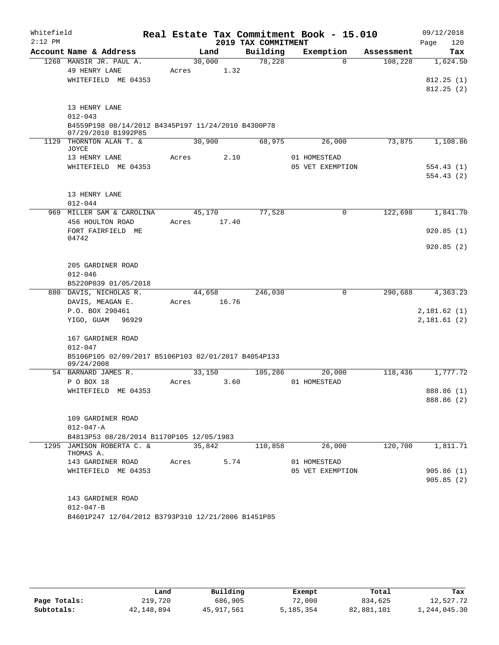| Whitefield |                                                                   |       |        |                     | Real Estate Tax Commitment Book - 15.010 |            | 09/12/2018  |
|------------|-------------------------------------------------------------------|-------|--------|---------------------|------------------------------------------|------------|-------------|
| $2:12$ PM  |                                                                   |       |        | 2019 TAX COMMITMENT |                                          |            | 120<br>Page |
|            | Account Name & Address                                            |       | Land   | Building            | Exemption                                | Assessment | Tax         |
|            | 1268 MANSIR JR. PAUL A.                                           |       | 30,000 | 78,228              | $\Omega$                                 | 108,228    | 1,624.50    |
|            | 49 HENRY LANE<br>WHITEFIELD ME 04353                              | Acres | 1.32   |                     |                                          |            | 812.25(1)   |
|            |                                                                   |       |        |                     |                                          |            | 812.25(2)   |
|            |                                                                   |       |        |                     |                                          |            |             |
|            | 13 HENRY LANE                                                     |       |        |                     |                                          |            |             |
|            | $012 - 043$<br>B4559P198 08/14/2012 B4345P197 11/24/2010 B4300P78 |       |        |                     |                                          |            |             |
|            | 07/29/2010 B1992P85                                               |       |        |                     |                                          |            |             |
|            | 1129 THORNTON ALAN T. &<br>JOYCE                                  |       | 30,900 | 68,975              | 26,000                                   | 73,875     | 1,108.86    |
|            | 13 HENRY LANE                                                     | Acres | 2.10   |                     | 01 HOMESTEAD                             |            |             |
|            | WHITEFIELD ME 04353                                               |       |        |                     | 05 VET EXEMPTION                         |            | 554.43(1)   |
|            |                                                                   |       |        |                     |                                          |            | 554.43(2)   |
|            | 13 HENRY LANE                                                     |       |        |                     |                                          |            |             |
|            | $012 - 044$                                                       |       |        |                     |                                          |            |             |
|            | 969 MILLER SAM & CAROLINA                                         |       | 45,170 | 77,528              | $\mathbf 0$                              | 122,698    | 1,841.70    |
|            | 456 HOULTON ROAD                                                  | Acres | 17.40  |                     |                                          |            |             |
|            | FORT FAIRFIELD ME                                                 |       |        |                     |                                          |            | 920.85(1)   |
|            | 04742                                                             |       |        |                     |                                          |            |             |
|            |                                                                   |       |        |                     |                                          |            | 920.85(2)   |
|            | 205 GARDINER ROAD                                                 |       |        |                     |                                          |            |             |
|            | $012 - 046$                                                       |       |        |                     |                                          |            |             |
|            | B5220P039 01/05/2018                                              |       |        |                     |                                          |            |             |
|            | 880 DAVIS, NICHOLAS R.                                            |       | 44,658 | 246,030             | 0                                        | 290,688    | 4,363.23    |
|            | DAVIS, MEAGAN E.                                                  | Acres | 16.76  |                     |                                          |            |             |
|            | P.O. BOX 290461                                                   |       |        |                     |                                          |            | 2,181.62(1) |
|            | YIGO, GUAM<br>96929                                               |       |        |                     |                                          |            | 2,181.61(2) |
|            | 167 GARDINER ROAD                                                 |       |        |                     |                                          |            |             |
|            | $012 - 047$                                                       |       |        |                     |                                          |            |             |
|            | B5106P105 02/09/2017 B5106P103 02/01/2017 B4054P133               |       |        |                     |                                          |            |             |
|            | 09/24/2008                                                        |       |        |                     |                                          |            |             |
|            | 54 BARNARD JAMES R.                                               |       | 33,150 | 105,286             | 20,000                                   | 118,436    | 1,777.72    |
|            | P O BOX 18<br>WHITEFIELD ME 04353                                 | Acres | 3.60   |                     | 01 HOMESTEAD                             |            | 888.86 (1)  |
|            |                                                                   |       |        |                     |                                          |            | 888.86 (2)  |
|            |                                                                   |       |        |                     |                                          |            |             |
|            | 109 GARDINER ROAD                                                 |       |        |                     |                                          |            |             |
|            | $012 - 047 - A$                                                   |       |        |                     |                                          |            |             |
|            | B4813P53 08/28/2014 B1170P105 12/05/1983                          |       |        |                     |                                          |            |             |
|            | 1295 JAMISON ROBERTA C. &<br>THOMAS A.                            |       | 35,842 | 110,858             | 26,000                                   | 120,700    | 1,811.71    |
|            | 143 GARDINER ROAD                                                 | Acres | 5.74   |                     | 01 HOMESTEAD                             |            |             |
|            | WHITEFIELD ME 04353                                               |       |        |                     | 05 VET EXEMPTION                         |            | 905.86(1)   |
|            |                                                                   |       |        |                     |                                          |            | 905.85(2)   |
|            | 143 GARDINER ROAD                                                 |       |        |                     |                                          |            |             |
|            | $012 - 047 - B$                                                   |       |        |                     |                                          |            |             |
|            | B4601P247 12/04/2012 B3793P310 12/21/2006 B1451P85                |       |        |                     |                                          |            |             |
|            |                                                                   |       |        |                     |                                          |            |             |

|              | Land       | Building   | Exempt    | Total      | Tax          |
|--------------|------------|------------|-----------|------------|--------------|
| Page Totals: | 219,720    | 686,905    | 72,000    | 834,625    | 12,527.72    |
| Subtotals:   | 42,148,894 | 45,917,561 | 5,185,354 | 82,881,101 | 1,244,045.30 |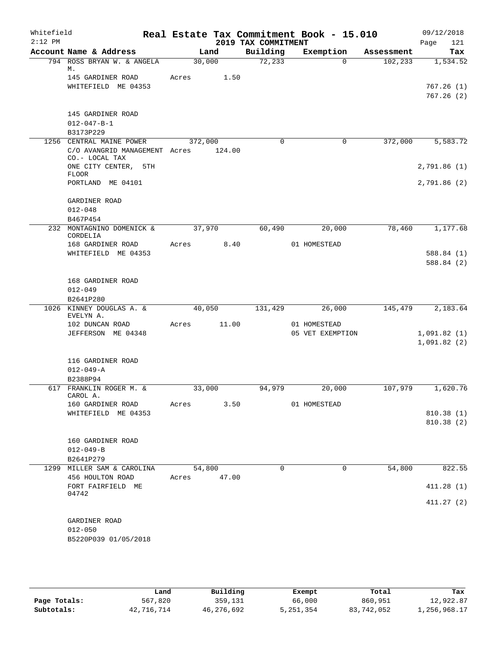| Whitefield<br>$2:12$ PM |                                                 |                       |        | 2019 TAX COMMITMENT | Real Estate Tax Commitment Book - 15.010 |            | 09/12/2018<br>121<br>Page |
|-------------------------|-------------------------------------------------|-----------------------|--------|---------------------|------------------------------------------|------------|---------------------------|
|                         | Account Name & Address                          | Land                  |        | Building            | Exemption                                | Assessment | Tax                       |
|                         | 794 ROSS BRYAN W. & ANGELA                      | 30,000                |        | 72,233              | $\Omega$                                 | 102, 233   | 1,534.52                  |
|                         | М.<br>145 GARDINER ROAD<br>WHITEFIELD ME 04353  | Acres                 | 1.50   |                     |                                          |            | 767.26(1)                 |
|                         |                                                 |                       |        |                     |                                          |            | 767.26(2)                 |
|                         | 145 GARDINER ROAD<br>$012 - 047 - B - 1$        |                       |        |                     |                                          |            |                           |
|                         | B3173P229                                       |                       |        |                     |                                          |            |                           |
|                         | 1256 CENTRAL MAINE POWER                        | 372,000               |        | $\Omega$            | 0                                        | 372,000    | 5,583.72                  |
|                         | C/O AVANGRID MANAGEMENT Acres<br>CO.- LOCAL TAX |                       | 124.00 |                     |                                          |            |                           |
|                         | ONE CITY CENTER, 5TH<br><b>FLOOR</b>            |                       |        |                     |                                          |            | 2,791.86(1)               |
|                         | PORTLAND ME 04101                               |                       |        |                     |                                          |            | 2,791.86(2)               |
|                         | GARDINER ROAD<br>$012 - 048$                    |                       |        |                     |                                          |            |                           |
|                         | B467P454                                        |                       |        |                     |                                          |            |                           |
|                         | 232 MONTAGNINO DOMENICK &<br>CORDELIA           | 37,970                |        | 60,490              | 20,000                                   | 78,460     | 1,177.68                  |
|                         | 168 GARDINER ROAD                               | Acres                 | 8.40   |                     | 01 HOMESTEAD                             |            |                           |
|                         | WHITEFIELD ME 04353                             |                       |        |                     |                                          |            | 588.84(1)                 |
|                         |                                                 |                       |        |                     |                                          |            | 588.84 (2)                |
|                         | 168 GARDINER ROAD                               |                       |        |                     |                                          |            |                           |
|                         | $012 - 049$                                     |                       |        |                     |                                          |            |                           |
|                         | B2641P280                                       |                       |        |                     |                                          |            |                           |
|                         | 1026 KINNEY DOUGLAS A. &                        | 40,050                |        | 131,429             | 26,000                                   | 145,479    | 2,183.64                  |
|                         | EVELYN A.<br>102 DUNCAN ROAD                    | Acres                 | 11.00  |                     | 01 HOMESTEAD                             |            |                           |
|                         | JEFFERSON ME 04348                              |                       |        |                     | 05 VET EXEMPTION                         |            | 1,091.82(1)               |
|                         |                                                 |                       |        |                     |                                          |            | 1,091.82(2)               |
|                         | 116 GARDINER ROAD                               |                       |        |                     |                                          |            |                           |
|                         | $012 - 049 - A$                                 |                       |        |                     |                                          |            |                           |
|                         | B2388P94                                        |                       |        |                     |                                          |            |                           |
|                         | 617 FRANKLIN ROGER M. &<br>CAROL A.             | 33,000                |        | 94,979              | 20,000                                   | 107,979    | 1,620.76                  |
|                         | 160 GARDINER ROAD                               | Acres                 | 3.50   |                     | 01 HOMESTEAD                             |            |                           |
|                         | WHITEFIELD ME 04353                             |                       |        |                     |                                          |            | 810.38 (1)                |
|                         |                                                 |                       |        |                     |                                          |            | 810.38 (2)                |
|                         | 160 GARDINER ROAD                               |                       |        |                     |                                          |            |                           |
|                         | $012 - 049 - B$                                 |                       |        |                     |                                          |            |                           |
|                         | B2641P279                                       |                       |        |                     |                                          |            |                           |
|                         | 1299 MILLER SAM & CAROLINA<br>456 HOULTON ROAD  | 54,800<br>Acres 47.00 |        | $\Omega$            | $\Omega$                                 | 54,800     | 822.55                    |
|                         | FORT FAIRFIELD ME<br>04742                      |                       |        |                     |                                          |            | 411.28(1)                 |
|                         |                                                 |                       |        |                     |                                          |            | 411.27(2)                 |
|                         | GARDINER ROAD                                   |                       |        |                     |                                          |            |                           |
|                         | $012 - 050$                                     |                       |        |                     |                                          |            |                           |
|                         | B5220P039 01/05/2018                            |                       |        |                     |                                          |            |                           |

|              | Land       | Building   | Exempt    | Total      | Tax          |
|--------------|------------|------------|-----------|------------|--------------|
| Page Totals: | 567,820    | 359,131    | 66,000    | 860,951    | 12,922.87    |
| Subtotals:   | 42,716,714 | 46,276,692 | 5,251,354 | 83,742,052 | 1,256,968.17 |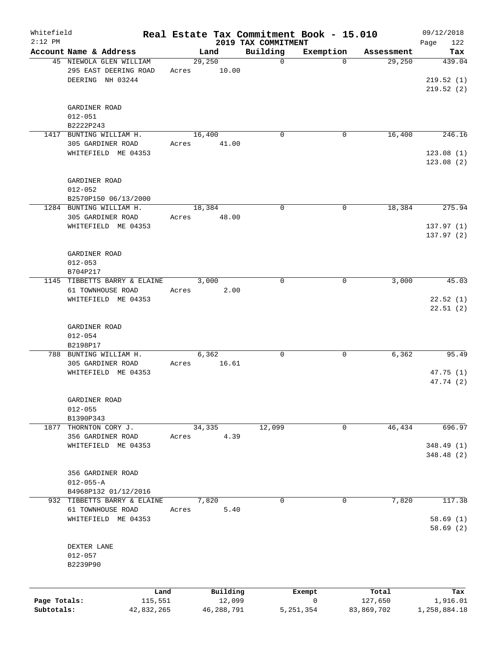| Whitefield<br>$2:12$ PM    |                                                              |       |                      | Real Estate Tax Commitment Book - 15.010<br>2019 TAX COMMITMENT |                |                       | 09/12/2018               |
|----------------------------|--------------------------------------------------------------|-------|----------------------|-----------------------------------------------------------------|----------------|-----------------------|--------------------------|
|                            | Account Name & Address                                       |       | Land                 | Building                                                        | Exemption      | Assessment            | 122<br>Page<br>Tax       |
|                            | 45 NIEWOLA GLEN WILLIAM                                      |       | 29,250               | $\mathbf 0$                                                     | $\Omega$       | 29,250                | 439.04                   |
|                            | 295 EAST DEERING ROAD<br>DEERING NH 03244                    | Acres | 10.00                |                                                                 |                |                       | 219.52(1)<br>219.52(2)   |
|                            | GARDINER ROAD<br>$012 - 051$                                 |       |                      |                                                                 |                |                       |                          |
|                            | B2222P243                                                    |       |                      |                                                                 |                |                       |                          |
|                            | 1417 BUNTING WILLIAM H.                                      |       | 16,400               | $\mathbf 0$                                                     | 0              | 16,400                | 246.16                   |
|                            | 305 GARDINER ROAD<br>WHITEFIELD ME 04353                     | Acres | 41.00                |                                                                 |                |                       | 123.08(1)<br>123.08(2)   |
|                            | GARDINER ROAD<br>$012 - 052$<br>B2570P150 06/13/2000         |       |                      |                                                                 |                |                       |                          |
|                            | 1284 BUNTING WILLIAM H.                                      |       | 18,384               | $\mathbf 0$                                                     | 0              | 18,384                | 275.94                   |
|                            | 305 GARDINER ROAD<br>WHITEFIELD ME 04353                     | Acres | 48.00                |                                                                 |                |                       | 137.97(1)<br>137.97(2)   |
|                            | GARDINER ROAD<br>$012 - 053$                                 |       |                      |                                                                 |                |                       |                          |
|                            | B704P217<br>1145 TIBBETTS BARRY & ELAINE                     |       | 3,000                | $\mathbf 0$                                                     | 0              | 3,000                 | 45.03                    |
|                            | 61 TOWNHOUSE ROAD<br>WHITEFIELD ME 04353                     | Acres | 2.00                 |                                                                 |                |                       | 22.52(1)<br>22.51(2)     |
|                            | GARDINER ROAD<br>$012 - 054$<br>B2198P17                     |       |                      |                                                                 |                |                       |                          |
|                            | 788 BUNTING WILLIAM H.                                       |       | 6,362                | 0                                                               | 0              | 6,362                 | 95.49                    |
|                            | 305 GARDINER ROAD<br>WHITEFIELD ME 04353                     | Acres | 16.61                |                                                                 |                |                       | 47.75(1)<br>47.74 (2)    |
|                            | GARDINER ROAD<br>$012 - 055$<br>B1390P343                    |       |                      |                                                                 |                |                       |                          |
| 1877                       | THORNTON CORY J.                                             |       | 34,335               | 12,099                                                          | 0              | 46,434                | 696.97                   |
|                            | 356 GARDINER ROAD<br>WHITEFIELD ME 04353                     | Acres | 4.39                 |                                                                 |                |                       | 348.49 (1)<br>348.48 (2) |
|                            | 356 GARDINER ROAD<br>$012 - 055 - A$<br>B4968P132 01/12/2016 |       |                      |                                                                 |                |                       |                          |
|                            | 932 TIBBETTS BARRY & ELAINE                                  |       | 7,820                | 0                                                               | $\mathbf 0$    | 7,820                 | 117.38                   |
|                            | 61 TOWNHOUSE ROAD<br>WHITEFIELD ME 04353                     | Acres | 5.40                 |                                                                 |                |                       | 58.69(1)<br>58.69(2)     |
|                            | DEXTER LANE<br>$012 - 057$<br>B2239P90                       |       |                      |                                                                 |                |                       |                          |
|                            | Land                                                         |       | Building             |                                                                 | Exempt         | Total                 | Tax                      |
| Page Totals:<br>Subtotals: | 115,551<br>42,832,265                                        |       | 12,099<br>46,288,791 |                                                                 | 0<br>5,251,354 | 127,650<br>83,869,702 | 1,916.01<br>1,258,884.18 |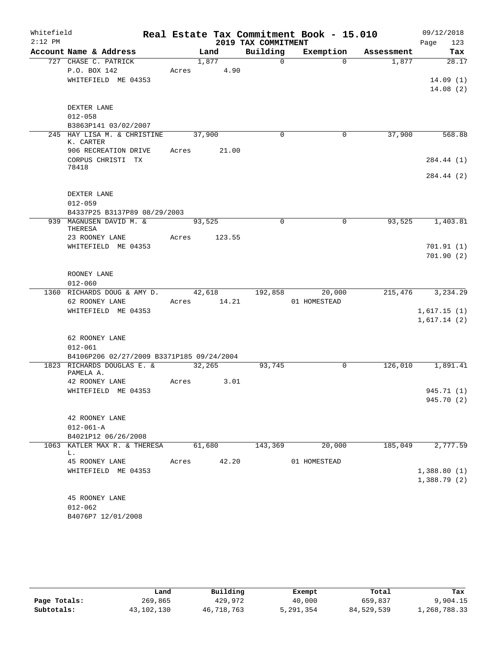| Whitefield |                                            |       |        |             |                     | Real Estate Tax Commitment Book - 15.010 |            | 09/12/2018  |
|------------|--------------------------------------------|-------|--------|-------------|---------------------|------------------------------------------|------------|-------------|
| $2:12$ PM  |                                            |       |        |             | 2019 TAX COMMITMENT |                                          |            | Page<br>123 |
|            | Account Name & Address                     |       | Land   |             | Building            | Exemption                                | Assessment | Tax         |
|            | 727 CHASE C. PATRICK                       |       | 1,877  |             | $\mathbf 0$         | $\Omega$                                 | 1,877      | 28.17       |
|            | P.O. BOX 142                               |       |        | Acres 4.90  |                     |                                          |            |             |
|            | WHITEFIELD ME 04353                        |       |        |             |                     |                                          |            | 14.09(1)    |
|            |                                            |       |        |             |                     |                                          |            | 14.08(2)    |
|            | DEXTER LANE                                |       |        |             |                     |                                          |            |             |
|            | $012 - 058$                                |       |        |             |                     |                                          |            |             |
|            | B3863P141 03/02/2007                       |       |        |             |                     |                                          |            |             |
|            | 245 HAY LISA M. & CHRISTINE                |       | 37,900 |             | $\mathbf 0$         | 0                                        | 37,900     | 568.88      |
|            | K. CARTER                                  |       |        |             |                     |                                          |            |             |
|            | 906 RECREATION DRIVE                       |       |        | Acres 21.00 |                     |                                          |            |             |
|            | CORPUS CHRISTI TX<br>78418                 |       |        |             |                     |                                          |            | 284.44 (1)  |
|            |                                            |       |        |             |                     |                                          |            | 284.44 (2)  |
|            |                                            |       |        |             |                     |                                          |            |             |
|            | DEXTER LANE                                |       |        |             |                     |                                          |            |             |
|            | $012 - 059$                                |       |        |             |                     |                                          |            |             |
|            | B4337P25 B3137P89 08/29/2003               |       |        |             |                     |                                          |            |             |
|            | 939 MAGNUSEN DAVID M. &                    |       | 93,525 |             | $\Omega$            | $\mathbf 0$                              | 93,525     | 1,403.81    |
|            | THERESA<br>23 ROONEY LANE                  | Acres |        | 123.55      |                     |                                          |            |             |
|            | WHITEFIELD ME 04353                        |       |        |             |                     |                                          |            | 701.91(1)   |
|            |                                            |       |        |             |                     |                                          |            | 701.90(2)   |
|            |                                            |       |        |             |                     |                                          |            |             |
|            | ROONEY LANE                                |       |        |             |                     |                                          |            |             |
|            | $012 - 060$                                |       |        |             |                     |                                          |            |             |
|            | 1360 RICHARDS DOUG & AMY D. 42,618 192,858 |       |        |             |                     | 20,000                                   | 215,476    | 3,234.29    |
|            | 62 ROONEY LANE                             |       |        | Acres 14.21 |                     | 01 HOMESTEAD                             |            |             |
|            | WHITEFIELD ME 04353                        |       |        |             |                     |                                          |            | 1,617.15(1) |
|            |                                            |       |        |             |                     |                                          |            | 1,617.14(2) |
|            |                                            |       |        |             |                     |                                          |            |             |
|            | 62 ROONEY LANE<br>$012 - 061$              |       |        |             |                     |                                          |            |             |
|            | B4106P206 02/27/2009 B3371P185 09/24/2004  |       |        |             |                     |                                          |            |             |
|            | 1823 RICHARDS DOUGLAS E. &                 |       | 32,265 |             | 93,745              | $\Omega$                                 | 126,010    | 1,891.41    |
|            | PAMELA A.                                  |       |        |             |                     |                                          |            |             |
|            | 42 ROONEY LANE                             | Acres |        | 3.01        |                     |                                          |            |             |
|            | WHITEFIELD ME 04353                        |       |        |             |                     |                                          |            | 945.71 (1)  |
|            |                                            |       |        |             |                     |                                          |            | 945.70 (2)  |
|            | 42 ROONEY LANE                             |       |        |             |                     |                                          |            |             |
|            | $012 - 061 - A$                            |       |        |             |                     |                                          |            |             |
|            | B4021P12 06/26/2008                        |       |        |             |                     |                                          |            |             |
|            | 1063 KATLER MAX R. & THERESA               |       | 61,680 |             | 143,369             | 20,000                                   | 185,049    | 2,777.59    |
|            | L.                                         |       |        |             |                     |                                          |            |             |
|            | 45 ROONEY LANE                             | Acres |        | 42.20       |                     | 01 HOMESTEAD                             |            |             |
|            | WHITEFIELD ME 04353                        |       |        |             |                     |                                          |            | 1,388.80(1) |
|            |                                            |       |        |             |                     |                                          |            | 1,388.79(2) |
|            |                                            |       |        |             |                     |                                          |            |             |
|            | 45 ROONEY LANE<br>$012 - 062$              |       |        |             |                     |                                          |            |             |
|            | B4076P7 12/01/2008                         |       |        |             |                     |                                          |            |             |
|            |                                            |       |        |             |                     |                                          |            |             |

|              | Land         | Building   | Exempt    | Total      | Tax          |
|--------------|--------------|------------|-----------|------------|--------------|
| Page Totals: | 269,865      | 429,972    | 40,000    | 659,837    | 9,904.15     |
| Subtotals:   | 43, 102, 130 | 46,718,763 | 5,291,354 | 84,529,539 | 1,268,788.33 |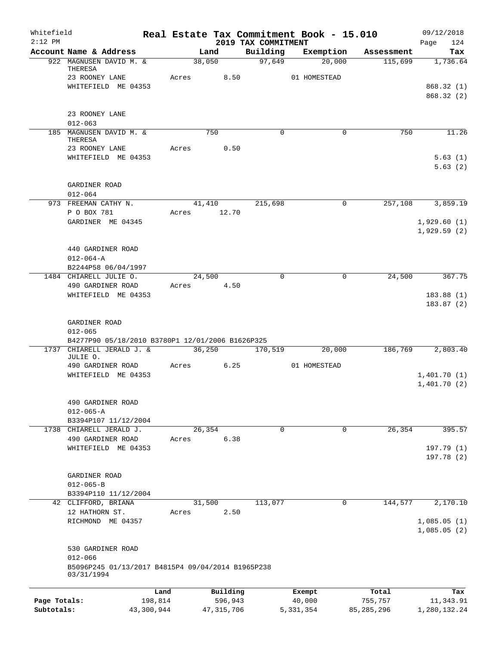| Whitefield   |                                                                 |            |                 |                                 | Real Estate Tax Commitment Book - 15.010 |              | 09/12/2018         |
|--------------|-----------------------------------------------------------------|------------|-----------------|---------------------------------|------------------------------------------|--------------|--------------------|
| $2:12$ PM    | Account Name & Address                                          |            | Land            | 2019 TAX COMMITMENT<br>Building | Exemption                                | Assessment   | 124<br>Page<br>Tax |
|              | 922 MAGNUSEN DAVID M. &                                         |            | 38,050          | 97,649                          | 20,000                                   | 115,699      | 1,736.64           |
|              | THERESA<br>23 ROONEY LANE                                       | Acres      | 8.50            |                                 | 01 HOMESTEAD                             |              |                    |
|              | WHITEFIELD ME 04353                                             |            |                 |                                 |                                          |              | 868.32(1)          |
|              |                                                                 |            |                 |                                 |                                          |              | 868.32 (2)         |
|              | 23 ROONEY LANE                                                  |            |                 |                                 |                                          |              |                    |
|              | $012 - 063$                                                     |            |                 |                                 |                                          |              |                    |
|              | 185 MAGNUSEN DAVID M. &<br>THERESA                              |            | 750             | $\Omega$                        | $\Omega$                                 | 750          | 11.26              |
|              | 23 ROONEY LANE                                                  | Acres      | 0.50            |                                 |                                          |              |                    |
|              | WHITEFIELD ME 04353                                             |            |                 |                                 |                                          |              | 5.63(1)            |
|              |                                                                 |            |                 |                                 |                                          |              | 5.63(2)            |
|              | GARDINER ROAD                                                   |            |                 |                                 |                                          |              |                    |
|              | $012 - 064$                                                     |            |                 |                                 |                                          |              |                    |
|              | 973 FREEMAN CATHY N.<br>P O BOX 781                             | Acres      | 41,410<br>12.70 | 215,698                         | $\mathbf 0$                              | 257,108      | 3,859.19           |
|              | GARDINER ME 04345                                               |            |                 |                                 |                                          |              | 1,929.60(1)        |
|              |                                                                 |            |                 |                                 |                                          |              | 1,929.59(2)        |
|              | 440 GARDINER ROAD                                               |            |                 |                                 |                                          |              |                    |
|              | $012 - 064 - A$                                                 |            |                 |                                 |                                          |              |                    |
|              | B2244P58 06/04/1997                                             |            |                 |                                 |                                          |              |                    |
|              | 1484 CHIARELL JULIE O.                                          |            | 24,500          | $\Omega$                        | $\mathbf 0$                              | 24,500       | 367.75             |
|              | 490 GARDINER ROAD<br>WHITEFIELD ME 04353                        | Acres      | 4.50            |                                 |                                          |              | 183.88(1)          |
|              |                                                                 |            |                 |                                 |                                          |              | 183.87(2)          |
|              | GARDINER ROAD                                                   |            |                 |                                 |                                          |              |                    |
|              | $012 - 065$                                                     |            |                 |                                 |                                          |              |                    |
|              | B4277P90 05/18/2010 B3780P1 12/01/2006 B1626P325                |            |                 |                                 |                                          |              |                    |
|              | 1737 CHIARELL JERALD J. &                                       |            | 36,250          | 170,519                         | 20,000                                   | 186,769      | 2,803.40           |
|              | JULIE O.<br>490 GARDINER ROAD                                   | Acres      | 6.25            |                                 | 01 HOMESTEAD                             |              |                    |
|              | WHITEFIELD ME 04353                                             |            |                 |                                 |                                          |              | 1,401.70(1)        |
|              |                                                                 |            |                 |                                 |                                          |              | 1,401.70(2)        |
|              | 490 GARDINER ROAD                                               |            |                 |                                 |                                          |              |                    |
|              | $012 - 065 - A$                                                 |            |                 |                                 |                                          |              |                    |
|              | B3394P107 11/12/2004                                            |            |                 |                                 |                                          |              |                    |
|              | 1738 CHIARELL JERALD J.                                         |            | 26, 354         | $\mathsf{O}$                    | $\mathbf 0$                              | 26, 354      | 395.57             |
|              | 490 GARDINER ROAD                                               | Acres      | 6.38            |                                 |                                          |              | 197.79(1)          |
|              | WHITEFIELD ME 04353                                             |            |                 |                                 |                                          |              | 197.78 (2)         |
|              |                                                                 |            |                 |                                 |                                          |              |                    |
|              | GARDINER ROAD                                                   |            |                 |                                 |                                          |              |                    |
|              | $012 - 065 - B$                                                 |            |                 |                                 |                                          |              |                    |
|              | B3394P110 11/12/2004<br>42 CLIFFORD, BRIANA                     |            | 31,500          | 113,077                         | $\mathbf 0$                              | 144,577      | 2,170.10           |
|              | 12 HATHORN ST.                                                  | Acres      | 2.50            |                                 |                                          |              |                    |
|              | RICHMOND ME 04357                                               |            |                 |                                 |                                          |              | 1,085.05(1)        |
|              |                                                                 |            |                 |                                 |                                          |              | 1,085.05(2)        |
|              | 530 GARDINER ROAD                                               |            |                 |                                 |                                          |              |                    |
|              | $012 - 066$                                                     |            |                 |                                 |                                          |              |                    |
|              | B5096P245 01/13/2017 B4815P4 09/04/2014 B1965P238<br>03/31/1994 |            |                 |                                 |                                          |              |                    |
|              |                                                                 | Land       | Building        |                                 | Exempt                                   | Total        | Tax                |
| Page Totals: |                                                                 | 198,814    | 596,943         |                                 | 40,000                                   | 755,757      | 11,343.91          |
| Subtotals:   |                                                                 | 43,300,944 | 47, 315, 706    |                                 | 5, 331, 354                              | 85, 285, 296 | 1,280,132.24       |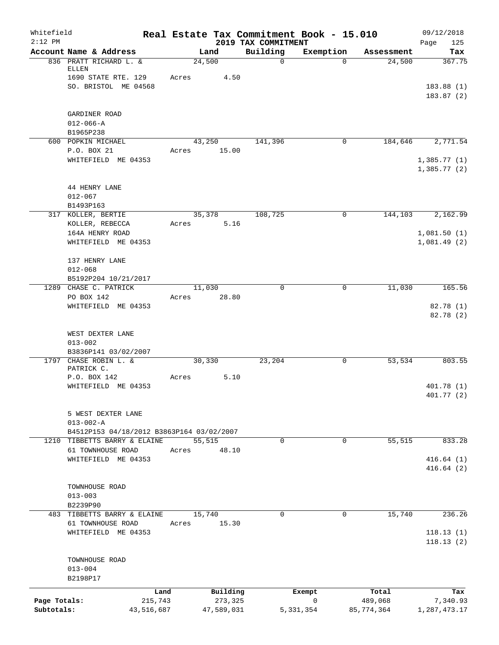| Whitefield<br>$2:12$ PM |                                                         |                 |                     | 2019 TAX COMMITMENT | Real Estate Tax Commitment Book - 15.010 |                  | 09/12/2018<br>Page<br>125  |
|-------------------------|---------------------------------------------------------|-----------------|---------------------|---------------------|------------------------------------------|------------------|----------------------------|
|                         | Account Name & Address                                  |                 | Land                | Building            | Exemption                                | Assessment       | Tax                        |
|                         | 836 PRATT RICHARD L. &<br>ELLEN<br>1690 STATE RTE. 129  | Acres           | 24,500<br>4.50      | $\mathbf 0$         | $\Omega$                                 | 24,500           | 367.75                     |
|                         | SO. BRISTOL ME 04568                                    |                 |                     |                     |                                          |                  | 183.88(1)<br>183.87(2)     |
|                         | GARDINER ROAD                                           |                 |                     |                     |                                          |                  |                            |
|                         | $012 - 066 - A$                                         |                 |                     |                     |                                          |                  |                            |
|                         | B1965P238<br>600 POPKIN MICHAEL                         |                 | 43,250              | 141,396             | 0                                        | 184,646          | 2,771.54                   |
|                         | P.O. BOX 21                                             | Acres           | 15.00               |                     |                                          |                  |                            |
|                         | WHITEFIELD ME 04353                                     |                 |                     |                     |                                          |                  | 1,385.77(1)<br>1,385.77(2) |
|                         | 44 HENRY LANE<br>$012 - 067$<br>B1493P163               |                 |                     |                     |                                          |                  |                            |
|                         | 317 KOLLER, BERTIE                                      |                 | 35,378              | 108,725             | 0                                        | 144,103          | 2,162.99                   |
|                         | KOLLER, REBECCA                                         | Acres           | 5.16                |                     |                                          |                  |                            |
|                         | 164A HENRY ROAD<br>WHITEFIELD ME 04353                  |                 |                     |                     |                                          |                  | 1,081.50(1)<br>1,081.49(2) |
|                         | 137 HENRY LANE                                          |                 |                     |                     |                                          |                  |                            |
|                         | $012 - 068$                                             |                 |                     |                     |                                          |                  |                            |
|                         | B5192P204 10/21/2017<br>1289 CHASE C. PATRICK           |                 | 11,030              | $\Omega$            | $\mathbf 0$                              | 11,030           | 165.56                     |
|                         | PO BOX 142                                              | Acres           | 28.80               |                     |                                          |                  |                            |
|                         | WHITEFIELD ME 04353                                     |                 |                     |                     |                                          |                  | 82.78 (1)<br>82.78 (2)     |
|                         | WEST DEXTER LANE<br>$013 - 002$<br>B3836P141 03/02/2007 |                 |                     |                     |                                          |                  |                            |
|                         | 1797 CHASE ROBIN L. &<br>PATRICK C.                     |                 | 30, 330             | 23,204              | 0                                        | 53,534           | 803.55                     |
|                         | P.O. BOX 142<br>WHITEFIELD ME 04353                     | Acres           | 5.10                |                     |                                          |                  | 401.78 (1)<br>401.77(2)    |
|                         | 5 WEST DEXTER LANE<br>$013 - 002 - A$                   |                 |                     |                     |                                          |                  |                            |
|                         | B4512P153 04/18/2012 B3863P164 03/02/2007               |                 |                     |                     |                                          |                  |                            |
| 1210                    | TIBBETTS BARRY & ELAINE<br>61 TOWNHOUSE ROAD            | Acres           | 55,515<br>48.10     | 0                   | 0                                        | 55, 515          | 833.28                     |
|                         | WHITEFIELD ME 04353                                     |                 |                     |                     |                                          |                  | 416.64(1)                  |
|                         |                                                         |                 |                     |                     |                                          |                  | 416.64(2)                  |
|                         | TOWNHOUSE ROAD<br>$013 - 003$                           |                 |                     |                     |                                          |                  |                            |
|                         | B2239P90                                                |                 | 15,740              | 0                   |                                          |                  | 236.26                     |
|                         | 483 TIBBETTS BARRY & ELAINE<br>61 TOWNHOUSE ROAD        | Acres           | 15.30               |                     | 0                                        | 15,740           |                            |
|                         | WHITEFIELD ME 04353                                     |                 |                     |                     |                                          |                  | 118.13(1)<br>118.13(2)     |
|                         | TOWNHOUSE ROAD<br>$013 - 004$                           |                 |                     |                     |                                          |                  |                            |
|                         | B2198P17                                                |                 |                     |                     |                                          |                  |                            |
| Page Totals:            |                                                         | Land<br>215,743 | Building<br>273,325 |                     | Exempt<br>0                              | Total<br>489,068 | Tax<br>7,340.93            |
| Subtotals:              |                                                         | 43,516,687      | 47,589,031          |                     | 5, 331, 354                              | 85,774,364       | 1,287,473.17               |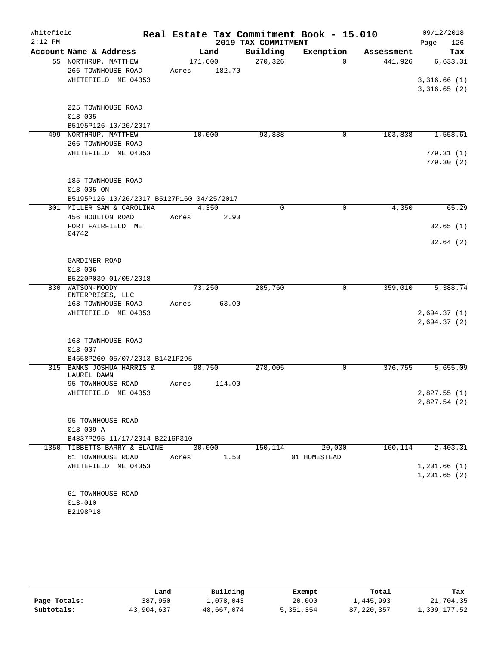| Whitefield |                                           |       |            |                     | Real Estate Tax Commitment Book - 15.010 |            | 09/12/2018    |
|------------|-------------------------------------------|-------|------------|---------------------|------------------------------------------|------------|---------------|
| $2:12$ PM  |                                           |       |            | 2019 TAX COMMITMENT |                                          |            | 126<br>Page   |
|            | Account Name & Address                    |       | Land       | Building            | Exemption                                | Assessment | Tax           |
|            | 55 NORTHRUP, MATTHEW                      |       | 171,600    | 270,326             | $\Omega$                                 | 441,926    | 6,633.31      |
|            | 266 TOWNHOUSE ROAD                        | Acres | 182.70     |                     |                                          |            |               |
|            | WHITEFIELD ME 04353                       |       |            |                     |                                          |            | 3,316.66(1)   |
|            |                                           |       |            |                     |                                          |            | 3,316.65(2)   |
|            |                                           |       |            |                     |                                          |            |               |
|            | 225 TOWNHOUSE ROAD<br>$013 - 005$         |       |            |                     |                                          |            |               |
|            | B5195P126 10/26/2017                      |       |            |                     |                                          |            |               |
|            | 499 NORTHRUP, MATTHEW                     |       | 10,000     | 93,838              | 0                                        | 103,838    | 1,558.61      |
|            | 266 TOWNHOUSE ROAD                        |       |            |                     |                                          |            |               |
|            | WHITEFIELD ME 04353                       |       |            |                     |                                          |            | 779.31(1)     |
|            |                                           |       |            |                     |                                          |            | 779.30(2)     |
|            |                                           |       |            |                     |                                          |            |               |
|            | 185 TOWNHOUSE ROAD                        |       |            |                     |                                          |            |               |
|            | $013 - 005 - ON$                          |       |            |                     |                                          |            |               |
|            | B5195P126 10/26/2017 B5127P160 04/25/2017 |       |            |                     |                                          |            |               |
|            | 301 MILLER SAM & CAROLINA                 |       | 4,350      | $\Omega$            | $\Omega$                                 | 4,350      | 65.29         |
|            | 456 HOULTON ROAD                          | Acres | 2.90       |                     |                                          |            |               |
|            | FORT FAIRFIELD ME                         |       |            |                     |                                          |            | 32.65(1)      |
|            | 04742                                     |       |            |                     |                                          |            |               |
|            |                                           |       |            |                     |                                          |            | 32.64(2)      |
|            |                                           |       |            |                     |                                          |            |               |
|            | GARDINER ROAD                             |       |            |                     |                                          |            |               |
|            | $013 - 006$                               |       |            |                     |                                          |            |               |
|            | B5220P039 01/05/2018                      |       |            |                     |                                          |            |               |
|            | 830 WATSON-MOODY<br>ENTERPRISES, LLC      |       | 73,250     | 285,760             | 0                                        | 359,010    | 5,388.74      |
|            | 163 TOWNHOUSE ROAD                        | Acres | 63.00      |                     |                                          |            |               |
|            | WHITEFIELD ME 04353                       |       |            |                     |                                          |            | 2,694.37(1)   |
|            |                                           |       |            |                     |                                          |            | 2,694.37(2)   |
|            |                                           |       |            |                     |                                          |            |               |
|            | 163 TOWNHOUSE ROAD                        |       |            |                     |                                          |            |               |
|            | $013 - 007$                               |       |            |                     |                                          |            |               |
|            | B4658P260 05/07/2013 B1421P295            |       |            |                     |                                          |            |               |
|            | 315 BANKS JOSHUA HARRIS &                 |       | 98,750     | 278,005             | $\mathbf 0$                              | 376,755    | 5,655.09      |
|            | LAUREL DAWN                               |       |            |                     |                                          |            |               |
|            | 95 TOWNHOUSE ROAD                         | Acres | 114.00     |                     |                                          |            |               |
|            | WHITEFIELD ME 04353                       |       |            |                     |                                          |            | 2,827.55 (1)  |
|            |                                           |       |            |                     |                                          |            | 2,827.54(2)   |
|            |                                           |       |            |                     |                                          |            |               |
|            | 95 TOWNHOUSE ROAD<br>$013 - 009 - A$      |       |            |                     |                                          |            |               |
|            | B4837P295 11/17/2014 B2216P310            |       |            |                     |                                          |            |               |
|            | 1350 TIBBETTS BARRY & ELAINE              |       | 30,000     |                     | 150, 114 20, 000                         | 160,114    | 2,403.31      |
|            | 61 TOWNHOUSE ROAD                         |       | Acres 1.50 |                     | 01 HOMESTEAD                             |            |               |
|            | WHITEFIELD ME 04353                       |       |            |                     |                                          |            | 1,201.66(1)   |
|            |                                           |       |            |                     |                                          |            | 1, 201.65 (2) |
|            |                                           |       |            |                     |                                          |            |               |
|            | 61 TOWNHOUSE ROAD                         |       |            |                     |                                          |            |               |
|            | $013 - 010$                               |       |            |                     |                                          |            |               |
|            | B2198P18                                  |       |            |                     |                                          |            |               |
|            |                                           |       |            |                     |                                          |            |               |

|              | Land       | Building   | Exempt    | Total        | Tax          |
|--------------|------------|------------|-----------|--------------|--------------|
| Page Totals: | 387,950    | ⊥,078,043  | 20,000    | 1,445,993    | 21,704.35    |
| Subtotals:   | 43,904,637 | 48,667,074 | 5,351,354 | 87, 220, 357 | 1,309,177.52 |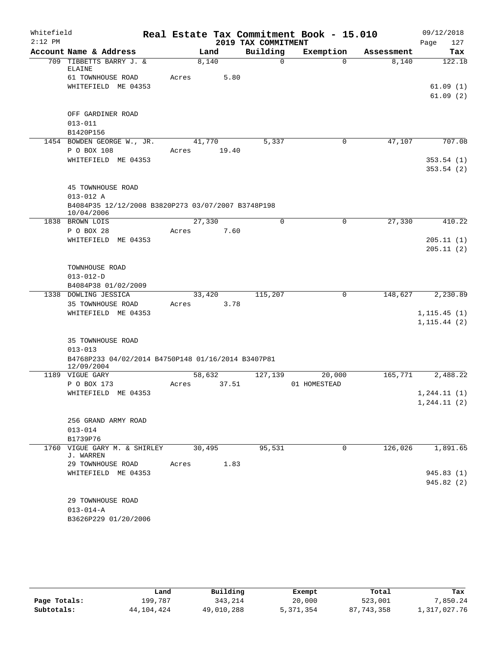| Whitefield<br>$2:12$ PM |                                                    |       |        |                      | Real Estate Tax Commitment Book - 15.010 |            | 09/12/2018   |
|-------------------------|----------------------------------------------------|-------|--------|----------------------|------------------------------------------|------------|--------------|
|                         |                                                    |       |        | 2019 TAX COMMITMENT  |                                          |            | Page<br>127  |
|                         | Account Name & Address                             |       | Land   | Building<br>$\Omega$ | Exemption                                | Assessment | Tax          |
|                         | 709 TIBBETTS BARRY J. &<br>ELAINE                  |       | 8,140  |                      | $\Omega$                                 | 8,140      | 122.18       |
|                         | 61 TOWNHOUSE ROAD                                  | Acres | 5.80   |                      |                                          |            |              |
|                         | WHITEFIELD ME 04353                                |       |        |                      |                                          |            | 61.09(1)     |
|                         |                                                    |       |        |                      |                                          |            | 61.09(2)     |
|                         |                                                    |       |        |                      |                                          |            |              |
|                         | OFF GARDINER ROAD                                  |       |        |                      |                                          |            |              |
|                         | $013 - 011$                                        |       |        |                      |                                          |            |              |
|                         | B1420P156                                          |       |        |                      |                                          |            |              |
|                         | 1454 BOWDEN GEORGE W., JR.                         |       | 41,770 | 5,337                | 0                                        | 47,107     | 707.08       |
|                         | P O BOX 108                                        | Acres | 19.40  |                      |                                          |            |              |
|                         | WHITEFIELD ME 04353                                |       |        |                      |                                          |            | 353.54(1)    |
|                         |                                                    |       |        |                      |                                          |            | 353.54(2)    |
|                         |                                                    |       |        |                      |                                          |            |              |
|                         | <b>45 TOWNHOUSE ROAD</b>                           |       |        |                      |                                          |            |              |
|                         | $013 - 012$ A                                      |       |        |                      |                                          |            |              |
|                         | B4084P35 12/12/2008 B3820P273 03/07/2007 B3748P198 |       |        |                      |                                          |            |              |
|                         | 10/04/2006                                         |       |        |                      |                                          |            |              |
| 1838                    | BROWN LOIS                                         |       | 27,330 | $\mathbf 0$          | $\mathbf 0$                              | 27,330     | 410.22       |
|                         | P O BOX 28                                         | Acres | 7.60   |                      |                                          |            |              |
|                         | WHITEFIELD ME 04353                                |       |        |                      |                                          |            | 205.11(1)    |
|                         |                                                    |       |        |                      |                                          |            | 205.11(2)    |
|                         |                                                    |       |        |                      |                                          |            |              |
|                         | TOWNHOUSE ROAD                                     |       |        |                      |                                          |            |              |
|                         | $013 - 012 - D$                                    |       |        |                      |                                          |            |              |
|                         | B4084P38 01/02/2009                                |       |        |                      |                                          |            |              |
|                         | 1338 DOWLING JESSICA                               |       | 33,420 | 115,207              | 0                                        | 148,627    | 2,230.89     |
|                         | 35 TOWNHOUSE ROAD                                  | Acres | 3.78   |                      |                                          |            |              |
|                         | WHITEFIELD ME 04353                                |       |        |                      |                                          |            | 1, 115.45(1) |
|                         |                                                    |       |        |                      |                                          |            | 1, 115.44(2) |
|                         |                                                    |       |        |                      |                                          |            |              |
|                         | 35 TOWNHOUSE ROAD<br>$013 - 013$                   |       |        |                      |                                          |            |              |
|                         | B4768P233 04/02/2014 B4750P148 01/16/2014 B3407P81 |       |        |                      |                                          |            |              |
|                         | 12/09/2004                                         |       |        |                      |                                          |            |              |
|                         | 1189 VIGUE GARY                                    |       | 58,632 | 127,139              | 20,000                                   | 165,771    | 2,488.22     |
|                         | P O BOX 173                                        | Acres | 37.51  |                      | 01 HOMESTEAD                             |            |              |
|                         | WHITEFIELD ME 04353                                |       |        |                      |                                          |            | 1, 244.11(1) |
|                         |                                                    |       |        |                      |                                          |            | 1, 244.11(2) |
|                         |                                                    |       |        |                      |                                          |            |              |
|                         | 256 GRAND ARMY ROAD                                |       |        |                      |                                          |            |              |
|                         | $013 - 014$                                        |       |        |                      |                                          |            |              |
|                         | B1739P76                                           |       |        |                      |                                          |            |              |
|                         | 1760 VIGUE GARY M. & SHIRLEY<br>J. WARREN          |       | 30,495 | 95,531               | $\mathbf 0$                              | 126,026    | 1,891.65     |
|                         | 29 TOWNHOUSE ROAD                                  | Acres | 1.83   |                      |                                          |            |              |
|                         | WHITEFIELD ME 04353                                |       |        |                      |                                          |            | 945.83 (1)   |
|                         |                                                    |       |        |                      |                                          |            | 945.82 (2)   |
|                         |                                                    |       |        |                      |                                          |            |              |
|                         | 29 TOWNHOUSE ROAD                                  |       |        |                      |                                          |            |              |
|                         | $013 - 014 - A$                                    |       |        |                      |                                          |            |              |
|                         | B3626P229 01/20/2006                               |       |        |                      |                                          |            |              |
|                         |                                                    |       |        |                      |                                          |            |              |

|              | Land         | Building   | Exempt    | Total        | Tax          |
|--------------|--------------|------------|-----------|--------------|--------------|
| Page Totals: | 199,787      | 343,214    | 20,000    | 523,001      | 7,850.24     |
| Subtotals:   | 44, 104, 424 | 49,010,288 | 5,371,354 | 87, 743, 358 | 1,317,027.76 |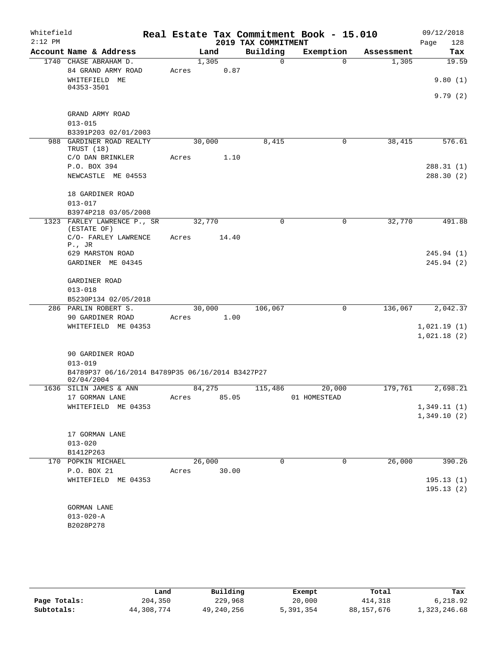| Whitefield |                                                                |        |        |                     | Real Estate Tax Commitment Book - 15.010 |            | 09/12/2018  |
|------------|----------------------------------------------------------------|--------|--------|---------------------|------------------------------------------|------------|-------------|
| $2:12$ PM  |                                                                |        |        | 2019 TAX COMMITMENT |                                          |            | 128<br>Page |
|            | Account Name & Address                                         |        | Land   | Building            | Exemption                                | Assessment | Tax         |
|            | 1740 CHASE ABRAHAM D.                                          |        | 1,305  | 0                   | $\Omega$                                 | 1,305      | 19.59       |
|            | 84 GRAND ARMY ROAD<br>WHITEFIELD ME                            | Acres  | 0.87   |                     |                                          |            | 9.80(1)     |
|            | 04353-3501                                                     |        |        |                     |                                          |            | 9.79(2)     |
|            | GRAND ARMY ROAD                                                |        |        |                     |                                          |            |             |
|            | $013 - 015$                                                    |        |        |                     |                                          |            |             |
| 988        | B3391P203 02/01/2003<br>GARDINER ROAD REALTY                   | 30,000 |        | 8,415               | 0                                        | 38,415     | 576.61      |
|            | TRUST (18)<br>C/O DAN BRINKLER                                 | Acres  | 1.10   |                     |                                          |            |             |
|            | P.O. BOX 394                                                   |        |        |                     |                                          |            | 288.31(1)   |
|            | NEWCASTLE ME 04553                                             |        |        |                     |                                          |            | 288.30(2)   |
|            | 18 GARDINER ROAD                                               |        |        |                     |                                          |            |             |
|            | $013 - 017$                                                    |        |        |                     |                                          |            |             |
|            | B3974P218 03/05/2008<br>1323 FARLEY LAWRENCE P., SR            | 32,770 |        | $\mathbf 0$         | 0                                        | 32,770     | 491.88      |
|            | (ESTATE OF)<br>C/O- FARLEY LAWRENCE                            | Acres  | 14.40  |                     |                                          |            |             |
|            | $P.$ , JR                                                      |        |        |                     |                                          |            |             |
|            | 629 MARSTON ROAD                                               |        |        |                     |                                          |            | 245.94 (1)  |
|            | GARDINER ME 04345                                              |        |        |                     |                                          |            | 245.94(2)   |
|            | GARDINER ROAD                                                  |        |        |                     |                                          |            |             |
|            | $013 - 018$                                                    |        |        |                     |                                          |            |             |
|            | B5230P134 02/05/2018                                           |        |        |                     |                                          |            |             |
|            | 286 PARLIN ROBERT S.                                           |        | 30,000 | 106,067             | 0                                        | 136,067    | 2,042.37    |
|            | 90 GARDINER ROAD<br>WHITEFIELD ME 04353                        | Acres  | 1.00   |                     |                                          |            | 1,021.19(1) |
|            |                                                                |        |        |                     |                                          |            | 1,021.18(2) |
|            | 90 GARDINER ROAD                                               |        |        |                     |                                          |            |             |
|            | $013 - 019$                                                    |        |        |                     |                                          |            |             |
|            | B4789P37 06/16/2014 B4789P35 06/16/2014 B3427P27<br>02/04/2004 |        |        |                     |                                          |            |             |
|            | 1636 SILIN JAMES & ANN                                         | 84,275 |        | 115,486             | 20,000                                   | 179,761    | 2,698.21    |
|            | 17 GORMAN LANE                                                 | Acres  | 85.05  |                     | 01 HOMESTEAD                             |            |             |
|            | WHITEFIELD ME 04353                                            |        |        |                     |                                          |            | 1,349.11(1) |
|            |                                                                |        |        |                     |                                          |            | 1,349.10(2) |
|            | 17 GORMAN LANE<br>$013 - 020$                                  |        |        |                     |                                          |            |             |
|            | B1412P263                                                      |        |        |                     |                                          |            |             |
|            | 170 POPKIN MICHAEL                                             | 26,000 |        | 0                   | 0                                        | 26,000     | 390.26      |
|            | P.O. BOX 21                                                    | Acres  | 30.00  |                     |                                          |            |             |
|            | WHITEFIELD ME 04353                                            |        |        |                     |                                          |            | 195.13(1)   |
|            |                                                                |        |        |                     |                                          |            | 195.13(2)   |
|            | <b>GORMAN LANE</b>                                             |        |        |                     |                                          |            |             |
|            | $013 - 020 - A$                                                |        |        |                     |                                          |            |             |
|            | B2028P278                                                      |        |        |                     |                                          |            |             |
|            |                                                                |        |        |                     |                                          |            |             |

|              | Land       | Building   | Exempt    | Total        | Tax          |
|--------------|------------|------------|-----------|--------------|--------------|
| Page Totals: | 204,350    | 229,968    | 20,000    | 414,318      | 6,218.92     |
| Subtotals:   | 44,308,774 | 49,240,256 | 5,391,354 | 88, 157, 676 | 1,323,246.68 |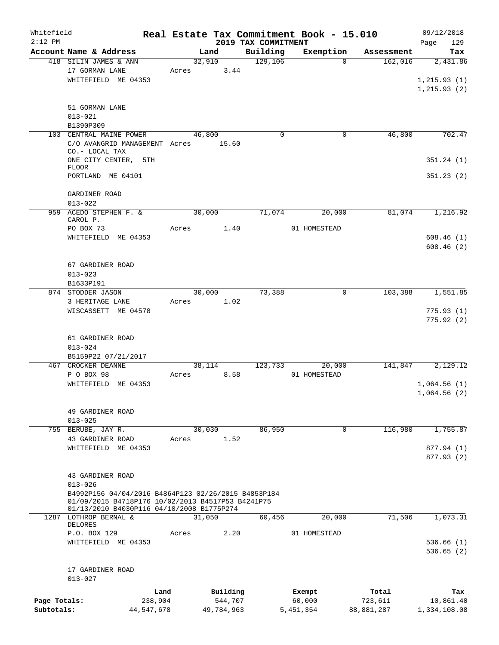| Whitefield   |                                                                    |            |       |                |          |                     | Real Estate Tax Commitment Book - 15.010 |                       | 09/12/2018      |
|--------------|--------------------------------------------------------------------|------------|-------|----------------|----------|---------------------|------------------------------------------|-----------------------|-----------------|
| $2:12$ PM    |                                                                    |            |       |                |          | 2019 TAX COMMITMENT |                                          |                       | 129<br>Page     |
|              | Account Name & Address<br>418 SILIN JAMES & ANN                    |            |       | Land<br>32,910 |          | Building<br>129,106 | Exemption<br>$\Omega$                    | Assessment<br>162,016 | Tax<br>2,431.86 |
|              | 17 GORMAN LANE                                                     |            | Acres |                | 3.44     |                     |                                          |                       |                 |
|              | WHITEFIELD ME 04353                                                |            |       |                |          |                     |                                          |                       | 1, 215.93(1)    |
|              |                                                                    |            |       |                |          |                     |                                          |                       |                 |
|              |                                                                    |            |       |                |          |                     |                                          |                       | 1, 215.93(2)    |
|              |                                                                    |            |       |                |          |                     |                                          |                       |                 |
|              | 51 GORMAN LANE                                                     |            |       |                |          |                     |                                          |                       |                 |
|              | $013 - 021$                                                        |            |       |                |          |                     |                                          |                       |                 |
|              | B1390P309                                                          |            |       |                |          |                     |                                          |                       |                 |
|              | 103 CENTRAL MAINE POWER                                            |            |       | 46,800         |          | $\mathbf 0$         | 0                                        | 46,800                | 702.47          |
|              | C/O AVANGRID MANAGEMENT Acres                                      |            |       | 15.60          |          |                     |                                          |                       |                 |
|              | CO.- LOCAL TAX                                                     |            |       |                |          |                     |                                          |                       |                 |
|              | ONE CITY CENTER, 5TH<br>FLOOR                                      |            |       |                |          |                     |                                          |                       | 351.24(1)       |
|              | PORTLAND ME 04101                                                  |            |       |                |          |                     |                                          |                       | 351.23(2)       |
|              |                                                                    |            |       |                |          |                     |                                          |                       |                 |
|              | GARDINER ROAD                                                      |            |       |                |          |                     |                                          |                       |                 |
|              | $013 - 022$                                                        |            |       |                |          |                     |                                          |                       |                 |
|              | 959 ACEDO STEPHEN F. &                                             |            |       | 30,000         |          | 71,074              | 20,000                                   | 81,074                | 1,216.92        |
|              | CAROL P.                                                           |            |       |                |          |                     |                                          |                       |                 |
|              | PO BOX 73                                                          |            | Acres |                | 1.40     |                     | 01 HOMESTEAD                             |                       |                 |
|              | WHITEFIELD ME 04353                                                |            |       |                |          |                     |                                          |                       | 608.46(1)       |
|              |                                                                    |            |       |                |          |                     |                                          |                       | 608.46(2)       |
|              |                                                                    |            |       |                |          |                     |                                          |                       |                 |
|              | 67 GARDINER ROAD                                                   |            |       |                |          |                     |                                          |                       |                 |
|              | $013 - 023$                                                        |            |       |                |          |                     |                                          |                       |                 |
|              | B1633P191                                                          |            |       |                |          |                     |                                          |                       |                 |
|              | 874 STODDER JASON                                                  |            |       | 30,000         |          | 73,388              | 0                                        | 103,388               | 1,551.85        |
|              |                                                                    |            |       |                |          |                     |                                          |                       |                 |
|              | 3 HERITAGE LANE                                                    |            | Acres |                | 1.02     |                     |                                          |                       |                 |
|              | WISCASSETT ME 04578                                                |            |       |                |          |                     |                                          |                       | 775.93(1)       |
|              |                                                                    |            |       |                |          |                     |                                          |                       | 775.92(2)       |
|              |                                                                    |            |       |                |          |                     |                                          |                       |                 |
|              | 61 GARDINER ROAD                                                   |            |       |                |          |                     |                                          |                       |                 |
|              | $013 - 024$                                                        |            |       |                |          |                     |                                          |                       |                 |
|              | B5159P22 07/21/2017                                                |            |       |                |          |                     |                                          |                       |                 |
|              | 467 CROCKER DEANNE                                                 |            |       | 38,114         |          | 123,733             | 20,000                                   | 141,847               | 2,129.12        |
|              | P O BOX 98                                                         |            | Acres |                | 8.58     |                     | 01 HOMESTEAD                             |                       |                 |
|              | WHITEFIELD ME 04353                                                |            |       |                |          |                     |                                          |                       | 1,064.56(1)     |
|              |                                                                    |            |       |                |          |                     |                                          |                       | 1,064.56(2)     |
|              |                                                                    |            |       |                |          |                     |                                          |                       |                 |
|              | 49 GARDINER ROAD                                                   |            |       |                |          |                     |                                          |                       |                 |
|              | $013 - 025$                                                        |            |       |                |          |                     |                                          |                       |                 |
|              | 755 BERUBE, JAY R.                                                 |            |       | 30,030         |          | 86,950              | $\mathbf 0$                              | 116,980               | 1,755.87        |
|              | 43 GARDINER ROAD                                                   |            | Acres |                | 1.52     |                     |                                          |                       |                 |
|              | WHITEFIELD ME 04353                                                |            |       |                |          |                     |                                          |                       | 877.94 (1)      |
|              |                                                                    |            |       |                |          |                     |                                          |                       | 877.93 (2)      |
|              |                                                                    |            |       |                |          |                     |                                          |                       |                 |
|              | 43 GARDINER ROAD                                                   |            |       |                |          |                     |                                          |                       |                 |
|              | $013 - 026$                                                        |            |       |                |          |                     |                                          |                       |                 |
|              | B4992P156 04/04/2016 B4864P123 02/26/2015 B4853P184                |            |       |                |          |                     |                                          |                       |                 |
|              | 01/09/2015 B4718P176 10/02/2013 B4517P53 B4241P75                  |            |       |                |          |                     |                                          |                       |                 |
|              | 01/13/2010 B4030P116 04/10/2008 B1775P274<br>1287 LOTHROP BERNAL & |            |       | 31,050         |          | 60,456              | 20,000                                   | 71,506                | 1,073.31        |
|              | DELORES                                                            |            |       |                |          |                     |                                          |                       |                 |
|              | P.O. BOX 129                                                       |            | Acres |                | 2.20     |                     | 01 HOMESTEAD                             |                       |                 |
|              | WHITEFIELD ME 04353                                                |            |       |                |          |                     |                                          |                       | 536.66(1)       |
|              |                                                                    |            |       |                |          |                     |                                          |                       | 536.65(2)       |
|              |                                                                    |            |       |                |          |                     |                                          |                       |                 |
|              | 17 GARDINER ROAD                                                   |            |       |                |          |                     |                                          |                       |                 |
|              | $013 - 027$                                                        |            |       |                |          |                     |                                          |                       |                 |
|              |                                                                    |            |       |                |          |                     |                                          |                       |                 |
|              |                                                                    | Land       |       |                | Building |                     | Exempt                                   | Total                 | Tax             |
| Page Totals: |                                                                    | 238,904    |       |                | 544,707  |                     | 60,000                                   | 723,611               | 10,861.40       |
| Subtotals:   |                                                                    | 44,547,678 |       | 49,784,963     |          |                     | 5,451,354                                | 88,881,287            | 1,334,108.08    |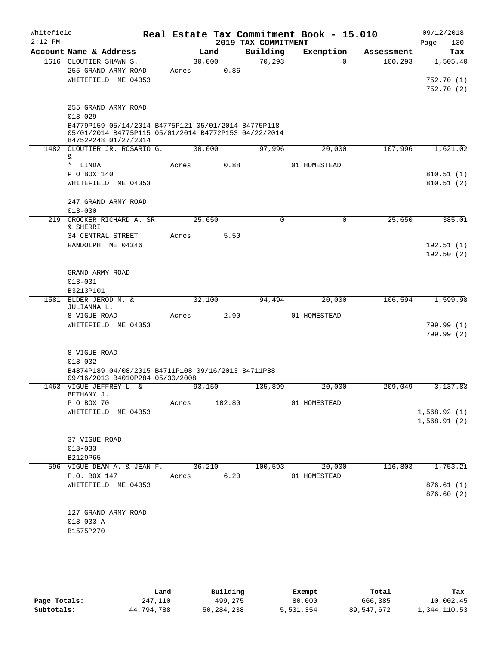| Whitefield<br>$2:12$ PM |                                                                                       |        |        | 2019 TAX COMMITMENT | Real Estate Tax Commitment Book - 15.010 |            | 09/12/2018<br>130<br>Page |
|-------------------------|---------------------------------------------------------------------------------------|--------|--------|---------------------|------------------------------------------|------------|---------------------------|
|                         | Account Name & Address                                                                | Land   |        | Building            | Exemption                                | Assessment | Tax                       |
|                         | 1616 CLOUTIER SHAWN S.                                                                | 30,000 |        | 70, 293             | $\Omega$                                 | 100, 293   | 1,505.40                  |
|                         | 255 GRAND ARMY ROAD                                                                   | Acres  | 0.86   |                     |                                          |            |                           |
|                         | WHITEFIELD ME 04353                                                                   |        |        |                     |                                          |            | 752.70(1)                 |
|                         |                                                                                       |        |        |                     |                                          |            | 752.70 (2)                |
|                         | 255 GRAND ARMY ROAD                                                                   |        |        |                     |                                          |            |                           |
|                         | $013 - 029$                                                                           |        |        |                     |                                          |            |                           |
|                         | B4779P159 05/14/2014 B4775P121 05/01/2014 B4775P118                                   |        |        |                     |                                          |            |                           |
|                         | 05/01/2014 B4775P115 05/01/2014 B4772P153 04/22/2014<br>B4752P248 01/27/2014          |        |        |                     |                                          |            |                           |
|                         | 1482 CLOUTIER JR. ROSARIO G.                                                          | 30,000 |        | 97,996              | 20,000                                   | 107,996    | 1,621.02                  |
|                         | &                                                                                     |        |        |                     |                                          |            |                           |
|                         | * LINDA                                                                               | Acres  | 0.88   |                     | 01 HOMESTEAD                             |            |                           |
|                         | P O BOX 140<br>WHITEFIELD ME 04353                                                    |        |        |                     |                                          |            | 810.51(1)                 |
|                         |                                                                                       |        |        |                     |                                          |            | 810.51(2)                 |
|                         | 247 GRAND ARMY ROAD                                                                   |        |        |                     |                                          |            |                           |
|                         | $013 - 030$                                                                           |        |        |                     |                                          |            |                           |
|                         | 219 CROCKER RICHARD A. SR.                                                            | 25,650 |        | 0                   | $\mathbf 0$                              | 25,650     | 385.01                    |
|                         | & SHERRI<br>34 CENTRAL STREET                                                         | Acres  | 5.50   |                     |                                          |            |                           |
|                         | RANDOLPH ME 04346                                                                     |        |        |                     |                                          |            | 192.51(1)                 |
|                         |                                                                                       |        |        |                     |                                          |            | 192.50(2)                 |
|                         |                                                                                       |        |        |                     |                                          |            |                           |
|                         | GRAND ARMY ROAD                                                                       |        |        |                     |                                          |            |                           |
|                         | $013 - 031$                                                                           |        |        |                     |                                          |            |                           |
|                         | B3213P101                                                                             |        |        |                     |                                          |            |                           |
|                         | 1581 ELDER JEROD M. &<br>JULIANNA L.                                                  | 32,100 |        | 94,494              | 20,000                                   | 106,594    | 1,599.98                  |
|                         | 8 VIGUE ROAD                                                                          | Acres  | 2.90   |                     | 01 HOMESTEAD                             |            |                           |
|                         | WHITEFIELD ME 04353                                                                   |        |        |                     |                                          |            | 799.99 (1)                |
|                         |                                                                                       |        |        |                     |                                          |            | 799.99 (2)                |
|                         |                                                                                       |        |        |                     |                                          |            |                           |
|                         | 8 VIGUE ROAD                                                                          |        |        |                     |                                          |            |                           |
|                         | $013 - 032$                                                                           |        |        |                     |                                          |            |                           |
|                         | B4874P189 04/08/2015 B4711P108 09/16/2013 B4711P88<br>09/16/2013 B4010P284 05/30/2008 |        |        |                     |                                          |            |                           |
|                         | 1463 VIGUE JEFFREY L. &                                                               | 93,150 |        | 135,899             | 20,000                                   | 209,049    | 3,137.83                  |
|                         | BETHANY J.                                                                            |        |        |                     |                                          |            |                           |
|                         | P O BOX 70                                                                            | Acres  | 102.80 |                     | 01 HOMESTEAD                             |            |                           |
|                         | WHITEFIELD ME 04353                                                                   |        |        |                     |                                          |            | 1,568.92(1)               |
|                         |                                                                                       |        |        |                     |                                          |            | 1,568.91(2)               |
|                         | 37 VIGUE ROAD                                                                         |        |        |                     |                                          |            |                           |
|                         | $013 - 033$                                                                           |        |        |                     |                                          |            |                           |
|                         | B2129P65                                                                              |        |        |                     |                                          |            |                           |
|                         | 596 VIGUE DEAN A. & JEAN F.                                                           | 36,210 |        | 100,593             | 20,000                                   | 116,803    | 1,753.21                  |
|                         | P.O. BOX 147                                                                          | Acres  | 6.20   |                     | 01 HOMESTEAD                             |            |                           |
|                         | WHITEFIELD ME 04353                                                                   |        |        |                     |                                          |            | 876.61(1)                 |
|                         |                                                                                       |        |        |                     |                                          |            | 876.60 (2)                |
|                         |                                                                                       |        |        |                     |                                          |            |                           |
|                         | 127 GRAND ARMY ROAD                                                                   |        |        |                     |                                          |            |                           |
|                         | $013 - 033 - A$                                                                       |        |        |                     |                                          |            |                           |
|                         | B1575P270                                                                             |        |        |                     |                                          |            |                           |
|                         |                                                                                       |        |        |                     |                                          |            |                           |
|                         |                                                                                       |        |        |                     |                                          |            |                           |

|              | Land       | Building     | Exempt    | Total      | Tax          |
|--------------|------------|--------------|-----------|------------|--------------|
| Page Totals: | 247,110    | 499,275      | 80,000    | 666,385    | 10,002.45    |
| Subtotals:   | 44,794,788 | 50, 284, 238 | 5,531,354 | 89,547,672 | 1,344,110.53 |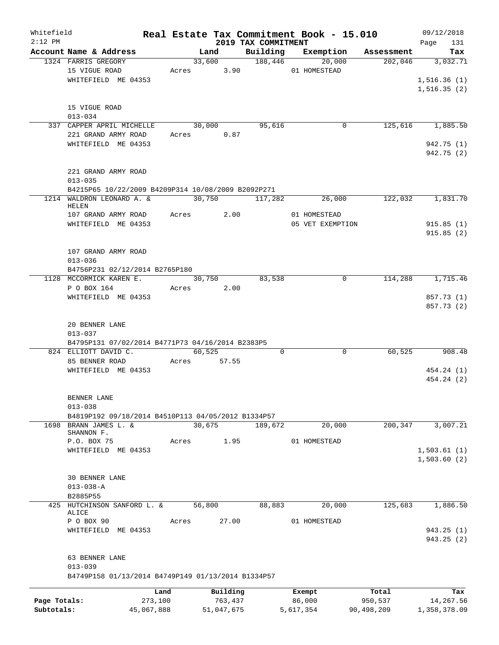| Whitefield   |                                                                   |                 |       |             |                     | Real Estate Tax Commitment Book - 15.010 |                  |                  |                  | 09/12/2018   |            |
|--------------|-------------------------------------------------------------------|-----------------|-------|-------------|---------------------|------------------------------------------|------------------|------------------|------------------|--------------|------------|
| $2:12$ PM    | Account Name & Address                                            |                 |       | Land        |                     | 2019 TAX COMMITMENT<br>Building          |                  | Exemption        | Assessment       | Page         | 131<br>Tax |
|              | 1324 FARRIS GREGORY                                               |                 |       | 33,600      |                     | 188,446                                  |                  | 20,000           | 202,046          | 3,032.71     |            |
|              | 15 VIGUE ROAD                                                     |                 |       | Acres 3.90  |                     |                                          | 01 HOMESTEAD     |                  |                  |              |            |
|              | WHITEFIELD ME 04353                                               |                 |       |             |                     |                                          |                  |                  |                  | 1,516.36(1)  |            |
|              |                                                                   |                 |       |             |                     |                                          |                  |                  |                  | 1,516.35(2)  |            |
|              |                                                                   |                 |       |             |                     |                                          |                  |                  |                  |              |            |
|              | 15 VIGUE ROAD<br>$013 - 034$                                      |                 |       |             |                     |                                          |                  |                  |                  |              |            |
|              | 337 CAPPER APRIL MICHELLE                                         |                 |       | 30,000      |                     | 95,616                                   |                  | 0                | 125,616          | 1,885.50     |            |
|              | 221 GRAND ARMY ROAD                                               |                 |       | Acres 0.87  |                     |                                          |                  |                  |                  |              |            |
|              | WHITEFIELD ME 04353                                               |                 |       |             |                     |                                          |                  |                  |                  | 942.75 (1)   |            |
|              |                                                                   |                 |       |             |                     |                                          |                  |                  |                  | 942.75 (2)   |            |
|              | 221 GRAND ARMY ROAD                                               |                 |       |             |                     |                                          |                  |                  |                  |              |            |
|              | $013 - 035$                                                       |                 |       |             |                     |                                          |                  |                  |                  |              |            |
|              | B4215P65 10/22/2009 B4209P314 10/08/2009 B2092P271                |                 |       |             |                     |                                          |                  |                  |                  |              |            |
|              | 1214 WALDRON LEONARD A. &<br>HELEN                                |                 |       | 30,750      |                     | 117,282                                  |                  | 26,000           | 122,032          | 1,831.70     |            |
|              | 107 GRAND ARMY ROAD                                               |                 |       | Acres       | 2.00                |                                          | 01 HOMESTEAD     |                  |                  |              |            |
|              | WHITEFIELD ME 04353                                               |                 |       |             |                     |                                          |                  | 05 VET EXEMPTION |                  | 915.85(1)    |            |
|              |                                                                   |                 |       |             |                     |                                          |                  |                  |                  | 915.85(2)    |            |
|              |                                                                   |                 |       |             |                     |                                          |                  |                  |                  |              |            |
|              | 107 GRAND ARMY ROAD<br>$013 - 036$                                |                 |       |             |                     |                                          |                  |                  |                  |              |            |
|              | B4756P231 02/12/2014 B2765P180                                    |                 |       |             |                     |                                          |                  |                  |                  |              |            |
|              | 1128 MCCORMICK KAREN E.                                           |                 |       | 30,750      |                     | 83,538                                   |                  | 0                | 114,288          | 1,715.46     |            |
|              | P O BOX 164                                                       |                 | Acres |             | 2.00                |                                          |                  |                  |                  |              |            |
|              | WHITEFIELD ME 04353                                               |                 |       |             |                     |                                          |                  |                  |                  | 857.73 (1)   |            |
|              |                                                                   |                 |       |             |                     |                                          |                  |                  |                  | 857.73 (2)   |            |
|              | 20 BENNER LANE                                                    |                 |       |             |                     |                                          |                  |                  |                  |              |            |
|              | $013 - 037$                                                       |                 |       |             |                     |                                          |                  |                  |                  |              |            |
|              | B4795P131 07/02/2014 B4771P73 04/16/2014 B2383P5                  |                 |       |             |                     |                                          |                  |                  |                  |              |            |
|              | 824 ELLIOTT DAVID C.                                              |                 |       | 60,525      |                     | 0                                        |                  | 0                | 60,525           |              | 908.48     |
|              | 85 BENNER ROAD                                                    |                 |       | Acres 57.55 |                     |                                          |                  |                  |                  |              |            |
|              | WHITEFIELD ME 04353                                               |                 |       |             |                     |                                          |                  |                  |                  | 454.24 (1)   |            |
|              |                                                                   |                 |       |             |                     |                                          |                  |                  |                  | 454.24 (2)   |            |
|              | BENNER LANE                                                       |                 |       |             |                     |                                          |                  |                  |                  |              |            |
|              | $013 - 038$                                                       |                 |       |             |                     |                                          |                  |                  |                  |              |            |
|              | B4819P192 09/18/2014 B4510P113 04/05/2012 B1334P57                |                 |       |             |                     |                                          |                  |                  |                  |              |            |
|              | 1698 BRANN JAMES L. &<br>SHANNON F.                               |                 |       | 30,675      |                     | 189,672                                  |                  | 20,000           | 200, 347         | 3,007.21     |            |
|              | P.O. BOX 75                                                       |                 | Acres |             | 1.95                |                                          | 01 HOMESTEAD     |                  |                  |              |            |
|              | WHITEFIELD ME 04353                                               |                 |       |             |                     |                                          |                  |                  |                  | 1,503.61(1)  |            |
|              |                                                                   |                 |       |             |                     |                                          |                  |                  |                  | 1,503.60(2)  |            |
|              | 30 BENNER LANE                                                    |                 |       |             |                     |                                          |                  |                  |                  |              |            |
|              | $013 - 038 - A$                                                   |                 |       |             |                     |                                          |                  |                  |                  |              |            |
|              | B2885P55                                                          |                 |       |             |                     |                                          |                  |                  |                  |              |            |
|              | 425 HUTCHINSON SANFORD L. &                                       |                 |       | 56,800      |                     | 88,883                                   |                  | 20,000           | 125,683          | 1,886.50     |            |
|              | ALICE                                                             |                 |       |             |                     |                                          |                  |                  |                  |              |            |
|              | P O BOX 90<br>WHITEFIELD ME 04353                                 |                 | Acres |             | 27.00               |                                          | 01 HOMESTEAD     |                  |                  | 943.25(1)    |            |
|              |                                                                   |                 |       |             |                     |                                          |                  |                  |                  | 943.25(2)    |            |
|              |                                                                   |                 |       |             |                     |                                          |                  |                  |                  |              |            |
|              | 63 BENNER LANE                                                    |                 |       |             |                     |                                          |                  |                  |                  |              |            |
|              | $013 - 039$<br>B4749P158 01/13/2014 B4749P149 01/13/2014 B1334P57 |                 |       |             |                     |                                          |                  |                  |                  |              |            |
|              |                                                                   |                 |       |             |                     |                                          |                  |                  |                  |              |            |
| Page Totals: |                                                                   | Land<br>273,100 |       |             | Building<br>763,437 |                                          | Exempt<br>86,000 |                  | Total<br>950,537 | 14,267.56    | Tax        |
| Subtotals:   |                                                                   | 45,067,888      |       |             | 51,047,675          |                                          | 5,617,354        |                  | 90,498,209       | 1,358,378.09 |            |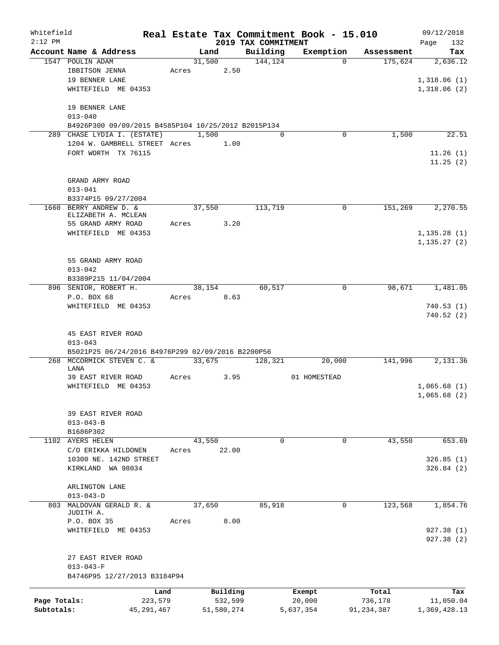| Whitefield                 |                                                     |              |       |            |                       |                     | Real Estate Tax Commitment Book - 15.010 |              | 09/12/2018   |
|----------------------------|-----------------------------------------------------|--------------|-------|------------|-----------------------|---------------------|------------------------------------------|--------------|--------------|
| $2:12$ PM                  |                                                     |              |       |            |                       | 2019 TAX COMMITMENT |                                          |              | 132<br>Page  |
|                            | Account Name & Address                              |              |       | Land       |                       | Building            | Exemption                                | Assessment   | Tax          |
|                            | 1547 POULIN ADAM                                    |              | Acres | 31,500     |                       | 144, 124            | $\Omega$                                 | 175,624      | 2,636.12     |
|                            | IBBITSON JENNA<br>19 BENNER LANE                    |              |       |            | 2.50                  |                     |                                          |              |              |
|                            | WHITEFIELD ME 04353                                 |              |       |            |                       |                     |                                          |              | 1,318.06(1)  |
|                            |                                                     |              |       |            |                       |                     |                                          |              | 1,318.06(2)  |
|                            | 19 BENNER LANE                                      |              |       |            |                       |                     |                                          |              |              |
|                            | $013 - 040$                                         |              |       |            |                       |                     |                                          |              |              |
|                            | B4926P300 09/09/2015 B4585P104 10/25/2012 B2015P134 |              |       |            |                       |                     |                                          |              |              |
|                            | 289 CHASE LYDIA I. (ESTATE)                         |              |       | 1,500      |                       | $\Omega$            | 0                                        | 1,500        | 22.51        |
|                            | 1204 W. GAMBRELL STREET Acres 1.00                  |              |       |            |                       |                     |                                          |              |              |
|                            | FORT WORTH TX 76115                                 |              |       |            |                       |                     |                                          |              | 11.26(1)     |
|                            |                                                     |              |       |            |                       |                     |                                          |              | 11.25(2)     |
|                            |                                                     |              |       |            |                       |                     |                                          |              |              |
|                            | GRAND ARMY ROAD                                     |              |       |            |                       |                     |                                          |              |              |
|                            | $013 - 041$                                         |              |       |            |                       |                     |                                          |              |              |
|                            | B3374P15 09/27/2004                                 |              |       |            |                       |                     |                                          |              |              |
|                            | 1660 BERRY ANDREW D. &<br>ELIZABETH A. MCLEAN       |              |       | 37,550     |                       | 113,719             | 0                                        | 151,269      | 2,270.55     |
|                            | 55 GRAND ARMY ROAD                                  |              |       | Acres      | 3.20                  |                     |                                          |              |              |
|                            | WHITEFIELD ME 04353                                 |              |       |            |                       |                     |                                          |              | 1,135.28(1)  |
|                            |                                                     |              |       |            |                       |                     |                                          |              | 1, 135.27(2) |
|                            |                                                     |              |       |            |                       |                     |                                          |              |              |
|                            | 55 GRAND ARMY ROAD                                  |              |       |            |                       |                     |                                          |              |              |
|                            | $013 - 042$                                         |              |       |            |                       |                     |                                          |              |              |
|                            | B3389P215 11/04/2004                                |              |       |            |                       |                     |                                          |              |              |
|                            | 896 SENIOR, ROBERT H.                               |              |       | 38,154     |                       | 60,517              | 0                                        | 98,671       | 1,481.05     |
|                            | P.O. BOX 68                                         |              |       | Acres 8.63 |                       |                     |                                          |              |              |
|                            | WHITEFIELD ME 04353                                 |              |       |            |                       |                     |                                          |              | 740.53(1)    |
|                            |                                                     |              |       |            |                       |                     |                                          |              | 740.52(2)    |
|                            |                                                     |              |       |            |                       |                     |                                          |              |              |
|                            | 45 EAST RIVER ROAD<br>$013 - 043$                   |              |       |            |                       |                     |                                          |              |              |
|                            | B5021P25 06/24/2016 B4976P299 02/09/2016 B2200P56   |              |       |            |                       |                     |                                          |              |              |
|                            | 268 MCCORMICK STEVEN C. &                           |              |       | 33,675     |                       | 128,321             | 20,000                                   | 141,996      | 2,131.36     |
|                            | LANA                                                |              |       |            |                       |                     |                                          |              |              |
|                            | 39 EAST RIVER ROAD                                  |              | Acres |            | 3.95                  |                     | 01 HOMESTEAD                             |              |              |
|                            | WHITEFIELD ME 04353                                 |              |       |            |                       |                     |                                          |              | 1,065.68(1)  |
|                            |                                                     |              |       |            |                       |                     |                                          |              | 1,065.68(2)  |
|                            |                                                     |              |       |            |                       |                     |                                          |              |              |
|                            | 39 EAST RIVER ROAD                                  |              |       |            |                       |                     |                                          |              |              |
|                            | $013 - 043 - B$                                     |              |       |            |                       |                     |                                          |              |              |
|                            | B1686P302<br>1102 AYERS HELEN                       |              |       | 43,550     |                       | 0                   | 0                                        | 43,550       | 653.69       |
|                            | C/O ERIKKA HILDONEN                                 |              | Acres |            | 22.00                 |                     |                                          |              |              |
|                            | 10300 NE. 142ND STREET                              |              |       |            |                       |                     |                                          |              | 326.85(1)    |
|                            | KIRKLAND WA 98034                                   |              |       |            |                       |                     |                                          |              | 326.84(2)    |
|                            |                                                     |              |       |            |                       |                     |                                          |              |              |
|                            | ARLINGTON LANE                                      |              |       |            |                       |                     |                                          |              |              |
|                            | $013 - 043 - D$                                     |              |       |            |                       |                     |                                          |              |              |
| 803                        | MALDOVAN GERALD R. &                                |              |       | 37,650     |                       | 85,918              | 0                                        | 123,568      | 1,854.76     |
|                            | JUDITH A.                                           |              |       |            |                       |                     |                                          |              |              |
|                            | P.O. BOX 35                                         |              | Acres |            | 8.00                  |                     |                                          |              |              |
|                            | WHITEFIELD ME 04353                                 |              |       |            |                       |                     |                                          |              | 927.38 (1)   |
|                            |                                                     |              |       |            |                       |                     |                                          |              | 927.38 (2)   |
|                            |                                                     |              |       |            |                       |                     |                                          |              |              |
|                            | 27 EAST RIVER ROAD<br>$013 - 043 - F$               |              |       |            |                       |                     |                                          |              |              |
|                            | B4746P95 12/27/2013 B3184P94                        |              |       |            |                       |                     |                                          |              |              |
|                            |                                                     |              |       |            |                       |                     |                                          |              |              |
|                            |                                                     | Land         |       |            | Building              |                     | Exempt                                   | Total        | Tax          |
| Page Totals:<br>Subtotals: |                                                     | 223,579      |       |            | 532,599<br>51,580,274 |                     | 20,000                                   | 736,178      | 11,050.04    |
|                            |                                                     | 45, 291, 467 |       |            |                       |                     | 5,637,354                                | 91, 234, 387 | 1,369,428.13 |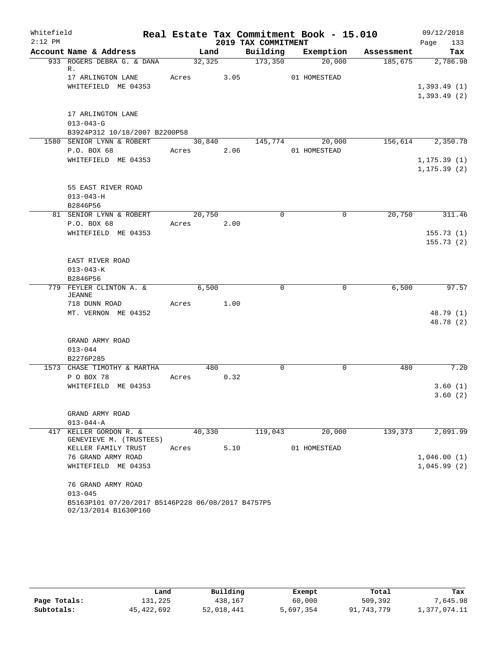| Whitefield |                                                                           |            |      |                     | Real Estate Tax Commitment Book - 15.010 |            | 09/12/2018         |
|------------|---------------------------------------------------------------------------|------------|------|---------------------|------------------------------------------|------------|--------------------|
| $2:12$ PM  |                                                                           |            |      | 2019 TAX COMMITMENT |                                          |            | 133<br>Page        |
|            | Account Name & Address                                                    | Land       |      |                     | Building Exemption                       | Assessment | Tax                |
|            | 933 ROGERS DEBRA G. & DANA<br>R.                                          | 32, 325    |      | 173,350             | 20,000                                   | 185,675    | 2,786.98           |
|            | 17 ARLINGTON LANE                                                         | Acres 3.05 |      |                     | 01 HOMESTEAD                             |            |                    |
|            | WHITEFIELD ME 04353                                                       |            |      |                     |                                          |            | 1,393.49(1)        |
|            |                                                                           |            |      |                     |                                          |            | 1,393.49(2)        |
|            | 17 ARLINGTON LANE                                                         |            |      |                     |                                          |            |                    |
|            | $013 - 043 - G$                                                           |            |      |                     |                                          |            |                    |
|            | B3924P312 10/18/2007 B2200P58                                             |            |      |                     |                                          |            |                    |
|            | 1580 SENIOR LYNN & ROBERT                                                 |            |      | 30,840 145,774      | 20,000                                   |            | 156,614 2,350.78   |
|            | P.O. BOX 68                                                               | Acres 2.06 |      |                     | 01 HOMESTEAD                             |            |                    |
|            | WHITEFIELD ME 04353                                                       |            |      |                     |                                          |            | 1, 175.39(1)       |
|            |                                                                           |            |      |                     |                                          |            | 1, 175.39(2)       |
|            | 55 EAST RIVER ROAD                                                        |            |      |                     |                                          |            |                    |
|            | $013 - 043 - H$                                                           |            |      |                     |                                          |            |                    |
|            | B2846P56                                                                  |            |      |                     |                                          |            |                    |
|            | 81 SENIOR LYNN & ROBERT                                                   | 20,750     |      | $\mathbf 0$         | $\mathbf 0$                              | 20,750     | 311.46             |
|            | P.O. BOX 68                                                               | Acres 2.00 |      |                     |                                          |            |                    |
|            | WHITEFIELD ME 04353                                                       |            |      |                     |                                          |            | 155.73(1)          |
|            |                                                                           |            |      |                     |                                          |            | 155.73(2)          |
|            | EAST RIVER ROAD                                                           |            |      |                     |                                          |            |                    |
|            | $013 - 043 - K$                                                           |            |      |                     |                                          |            |                    |
|            | B2846P56                                                                  |            |      |                     |                                          |            |                    |
|            | 779 FEYLER CLINTON A. &                                                   | 6,500      |      | $\Omega$            | $\overline{0}$                           | 6,500      | 97.57              |
|            | <b>JEANNE</b><br>718 DUNN ROAD                                            | Acres 1.00 |      |                     |                                          |            |                    |
|            | MT. VERNON ME 04352                                                       |            |      |                     |                                          |            | 48.79 (1)          |
|            |                                                                           |            |      |                     |                                          |            | 48.78 (2)          |
|            |                                                                           |            |      |                     |                                          |            |                    |
|            | GRAND ARMY ROAD                                                           |            |      |                     |                                          |            |                    |
|            | $013 - 044$                                                               |            |      |                     |                                          |            |                    |
|            | B2276P285                                                                 |            |      |                     |                                          |            |                    |
|            | 1573 CHASE TIMOTHY & MARTHA                                               |            | 480  | $\mathbf 0$         | $\mathbf 0$                              | 480        | 7.20               |
|            | P O BOX 78                                                                | Acres      | 0.32 |                     |                                          |            |                    |
|            | WHITEFIELD ME 04353                                                       |            |      |                     |                                          |            | 3.60(1)<br>3.60(2) |
|            |                                                                           |            |      |                     |                                          |            |                    |
|            | GRAND ARMY ROAD                                                           |            |      |                     |                                          |            |                    |
|            | $013 - 044 - A$                                                           |            |      |                     |                                          |            |                    |
| 417        | KELLER GORDON R. &                                                        | 40,330     |      | 119,043             | 20,000                                   | 139,373    | 2,091.99           |
|            | GENEVIEVE M. (TRUSTEES)                                                   |            |      |                     |                                          |            |                    |
|            | KELLER FAMILY TRUST                                                       | Acres      | 5.10 |                     | 01 HOMESTEAD                             |            |                    |
|            | 76 GRAND ARMY ROAD                                                        |            |      |                     |                                          |            | 1,046.00(1)        |
|            | WHITEFIELD ME 04353                                                       |            |      |                     |                                          |            | 1,045.99(2)        |
|            | 76 GRAND ARMY ROAD                                                        |            |      |                     |                                          |            |                    |
|            | $013 - 045$                                                               |            |      |                     |                                          |            |                    |
|            | B5163P101 07/20/2017 B5146P228 06/08/2017 B4757P5<br>02/13/2014 B1630P160 |            |      |                     |                                          |            |                    |

|              | Land       | Building   | Exempt    | Total      | Tax          |
|--------------|------------|------------|-----------|------------|--------------|
| Page Totals: | 131,225    | 438,167    | 60,000    | 509,392    | 7,645.98     |
| Subtotals:   | 45,422,692 | 52,018,441 | 5,697,354 | 91,743,779 | 1,377,074.11 |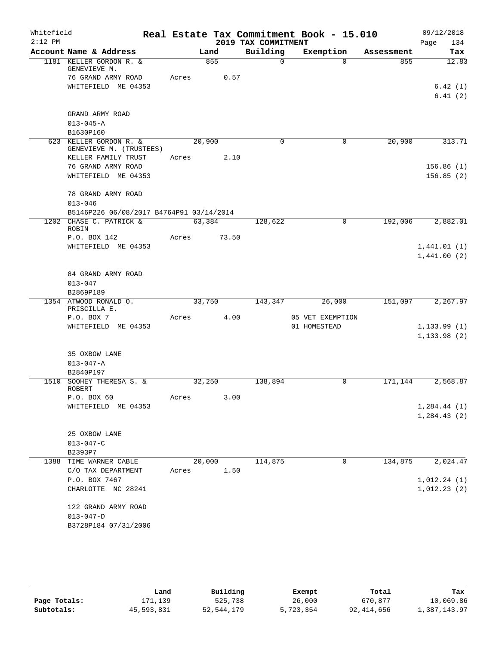| Whitefield<br>$2:12$ PM |                                                   |       |               | 2019 TAX COMMITMENT | Real Estate Tax Commitment Book - 15.010 |            | 09/12/2018<br>134<br>Page |
|-------------------------|---------------------------------------------------|-------|---------------|---------------------|------------------------------------------|------------|---------------------------|
|                         | Account Name & Address                            |       | Land          | Building            | Exemption                                | Assessment | Tax                       |
|                         | 1181 KELLER GORDON R. &<br>GENEVIEVE M.           |       | 855           | $\Omega$            | $\Omega$                                 | 855        | 12.83                     |
|                         | 76 GRAND ARMY ROAD                                |       | Acres<br>0.57 |                     |                                          |            |                           |
|                         | WHITEFIELD ME 04353                               |       |               |                     |                                          |            | 6.42(1)                   |
|                         |                                                   |       |               |                     |                                          |            | 6.41(2)                   |
|                         | GRAND ARMY ROAD                                   |       |               |                     |                                          |            |                           |
|                         | $013 - 045 - A$                                   |       |               |                     |                                          |            |                           |
|                         | B1630P160                                         |       |               |                     |                                          |            |                           |
|                         | 623 KELLER GORDON R. &<br>GENEVIEVE M. (TRUSTEES) |       | 20,900        | $\Omega$            | 0                                        | 20,900     | 313.71                    |
|                         | KELLER FAMILY TRUST                               |       | 2.10<br>Acres |                     |                                          |            |                           |
|                         | 76 GRAND ARMY ROAD                                |       |               |                     |                                          |            | 156.86(1)                 |
|                         | WHITEFIELD ME 04353                               |       |               |                     |                                          |            | 156.85(2)                 |
|                         | 78 GRAND ARMY ROAD                                |       |               |                     |                                          |            |                           |
|                         | $013 - 046$                                       |       |               |                     |                                          |            |                           |
|                         | B5146P226 06/08/2017 B4764P91 03/14/2014          |       |               |                     |                                          |            |                           |
|                         | 1202 CHASE C. PATRICK &<br>ROBIN                  |       | 63,384        | 128,622             | 0                                        | 192,006    | 2,882.01                  |
|                         | P.O. BOX 142                                      |       | Acres 73.50   |                     |                                          |            |                           |
|                         | WHITEFIELD ME 04353                               |       |               |                     |                                          |            | 1,441.01(1)               |
|                         |                                                   |       |               |                     |                                          |            | 1,441.00(2)               |
|                         | 84 GRAND ARMY ROAD                                |       |               |                     |                                          |            |                           |
|                         | $013 - 047$                                       |       |               |                     |                                          |            |                           |
|                         | B2869P189                                         |       |               |                     |                                          |            |                           |
|                         | 1354 ATWOOD RONALD O.<br>PRISCILLA E.             |       | 33,750        | 143,347             | 26,000                                   | 151,097    | 2,267.97                  |
|                         | P.O. BOX 7                                        | Acres | 4.00          |                     | 05 VET EXEMPTION                         |            |                           |
|                         | WHITEFIELD ME 04353                               |       |               |                     | 01 HOMESTEAD                             |            | 1, 133.99(1)              |
|                         |                                                   |       |               |                     |                                          |            | 1, 133.98(2)              |
|                         | 35 OXBOW LANE                                     |       |               |                     |                                          |            |                           |
|                         | $013 - 047 - A$                                   |       |               |                     |                                          |            |                           |
|                         | B2840P197                                         |       |               |                     |                                          |            |                           |
|                         | 1510 SOOHEY THERESA S. &<br><b>ROBERT</b>         |       | 32,250        | 138,894             | 0                                        | 171,144    | 2,568.87                  |
|                         | P.O. BOX 60                                       | Acres | 3.00          |                     |                                          |            |                           |
|                         | WHITEFIELD ME 04353                               |       |               |                     |                                          |            | 1, 284.44(1)              |
|                         |                                                   |       |               |                     |                                          |            | 1,284.43(2)               |
|                         | 25 OXBOW LANE                                     |       |               |                     |                                          |            |                           |
|                         | $013 - 047 - C$                                   |       |               |                     |                                          |            |                           |
|                         | B2393P7                                           |       |               |                     |                                          |            |                           |
| 1388                    | TIME WARNER CABLE                                 |       | 20,000        | 114,875             | 0                                        | 134,875    | 2,024.47                  |
|                         | C/O TAX DEPARTMENT                                | Acres | 1.50          |                     |                                          |            |                           |
|                         | P.O. BOX 7467                                     |       |               |                     |                                          |            | 1,012.24(1)               |
|                         | CHARLOTTE NC 28241                                |       |               |                     |                                          |            | 1,012.23(2)               |
|                         | 122 GRAND ARMY ROAD                               |       |               |                     |                                          |            |                           |
|                         | $013 - 047 - D$                                   |       |               |                     |                                          |            |                           |
|                         | B3728P184 07/31/2006                              |       |               |                     |                                          |            |                           |
|                         |                                                   |       |               |                     |                                          |            |                           |

|              | Land       | Building   | Exempt    | Total      | Tax          |
|--------------|------------|------------|-----------|------------|--------------|
| Page Totals: | 171,139    | 525,738    | 26,000    | 670,877    | 10,069.86    |
| Subtotals:   | 45,593,831 | 52,544,179 | 5,723,354 | 92,414,656 | 1,387,143.97 |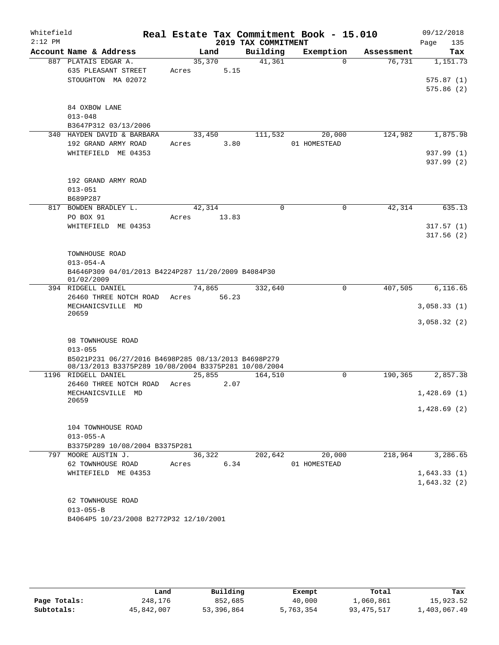| Whitefield<br>$2:12$ PM |                                                                       | Real Estate Tax Commitment Book - 15.010 | 2019 TAX COMMITMENT |              |            | 09/12/2018<br>135<br>Page |
|-------------------------|-----------------------------------------------------------------------|------------------------------------------|---------------------|--------------|------------|---------------------------|
|                         | Account Name & Address                                                | Land                                     | Building            | Exemption    | Assessment | Tax                       |
|                         | 887 PLATAIS EDGAR A.                                                  | 35,370                                   | 41,361              | $\Omega$     | 76,731     | 1,151.73                  |
|                         | 635 PLEASANT STREET                                                   | 5.15<br>Acres                            |                     |              |            |                           |
|                         | STOUGHTON MA 02072                                                    |                                          |                     |              |            | 575.87(1)                 |
|                         |                                                                       |                                          |                     |              |            | 575.86(2)                 |
|                         |                                                                       |                                          |                     |              |            |                           |
|                         | 84 OXBOW LANE                                                         |                                          |                     |              |            |                           |
|                         | $013 - 048$                                                           |                                          |                     |              |            |                           |
|                         | B3647P312 03/13/2006                                                  |                                          |                     |              |            |                           |
|                         | 340 HAYDEN DAVID & BARBARA                                            | 33,450                                   | 111,532             | 20,000       | 124,982    | 1,875.98                  |
|                         | 192 GRAND ARMY ROAD                                                   | 3.80<br>Acres                            |                     | 01 HOMESTEAD |            |                           |
|                         | WHITEFIELD ME 04353                                                   |                                          |                     |              |            | 937.99 (1)                |
|                         |                                                                       |                                          |                     |              |            | 937.99 (2)                |
|                         |                                                                       |                                          |                     |              |            |                           |
|                         | 192 GRAND ARMY ROAD                                                   |                                          |                     |              |            |                           |
|                         | $013 - 051$                                                           |                                          |                     |              |            |                           |
|                         | B689P287                                                              |                                          |                     |              |            |                           |
|                         | 817 BOWDEN BRADLEY L.                                                 | 42,314                                   | $\Omega$            | $\Omega$     | 42,314     | 635.13                    |
|                         | PO BOX 91                                                             | 13.83<br>Acres                           |                     |              |            |                           |
|                         | WHITEFIELD ME 04353                                                   |                                          |                     |              |            | 317.57(1)                 |
|                         |                                                                       |                                          |                     |              |            | 317.56(2)                 |
|                         |                                                                       |                                          |                     |              |            |                           |
|                         | TOWNHOUSE ROAD                                                        |                                          |                     |              |            |                           |
|                         | $013 - 054 - A$<br>B4646P309 04/01/2013 B4224P287 11/20/2009 B4084P30 |                                          |                     |              |            |                           |
|                         | 01/02/2009                                                            |                                          |                     |              |            |                           |
|                         | 394 RIDGELL DANIEL                                                    | 74,865                                   | 332,640             | 0            | 407,505    | 6, 116.65                 |
|                         | 26460 THREE NOTCH ROAD                                                | 56.23<br>Acres                           |                     |              |            |                           |
|                         | MECHANICSVILLE MD                                                     |                                          |                     |              |            | 3,058.33(1)               |
|                         | 20659                                                                 |                                          |                     |              |            |                           |
|                         |                                                                       |                                          |                     |              |            | 3,058.32(2)               |
|                         | 98 TOWNHOUSE ROAD                                                     |                                          |                     |              |            |                           |
|                         | $013 - 055$                                                           |                                          |                     |              |            |                           |
|                         | B5021P231 06/27/2016 B4698P285 08/13/2013 B4698P279                   |                                          |                     |              |            |                           |
|                         | 08/13/2013 B3375P289 10/08/2004 B3375P281 10/08/2004                  |                                          |                     |              |            |                           |
|                         | 1196 RIDGELL DANIEL                                                   | 25,855                                   | 164,510             | $\mathbf 0$  | 190,365    | 2,857.38                  |
|                         | 26460 THREE NOTCH ROAD                                                | 2.07<br>Acres                            |                     |              |            |                           |
|                         | MECHANICSVILLE MD                                                     |                                          |                     |              |            | 1,428.69(1)               |
|                         | 20659                                                                 |                                          |                     |              |            |                           |
|                         |                                                                       |                                          |                     |              |            | 1,428.69(2)               |
|                         |                                                                       |                                          |                     |              |            |                           |
|                         | 104 TOWNHOUSE ROAD                                                    |                                          |                     |              |            |                           |
|                         | $013 - 055 - A$                                                       |                                          |                     |              |            |                           |
|                         | B3375P289 10/08/2004 B3375P281                                        |                                          |                     |              |            |                           |
|                         | 797 MOORE AUSTIN J.                                                   | 36,322                                   | 202,642             | 20,000       | 218,964    | 3,286.65                  |
|                         | 62 TOWNHOUSE ROAD                                                     | Acres                                    | 6.34                | 01 HOMESTEAD |            |                           |
|                         | WHITEFIELD ME 04353                                                   |                                          |                     |              |            | 1,643.33(1)               |
|                         |                                                                       |                                          |                     |              |            | 1,643.32(2)               |
|                         |                                                                       |                                          |                     |              |            |                           |
|                         | 62 TOWNHOUSE ROAD                                                     |                                          |                     |              |            |                           |
|                         | $013 - 055 - B$                                                       |                                          |                     |              |            |                           |
|                         | B4064P5 10/23/2008 B2772P32 12/10/2001                                |                                          |                     |              |            |                           |

|              | Land       | Building   | Exempt    | Total      | Tax          |
|--------------|------------|------------|-----------|------------|--------------|
| Page Totals: | 248,176    | 852,685    | 40,000    | 1,060,861  | 15,923.52    |
| Subtotals:   | 45,842,007 | 53,396,864 | 5,763,354 | 93,475,517 | 1,403,067.49 |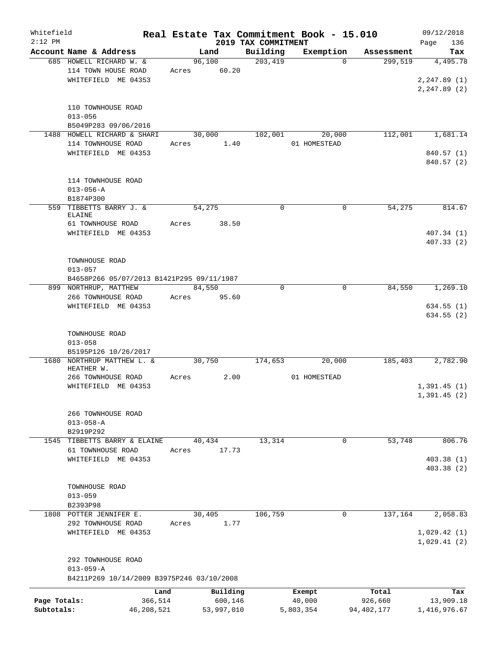| Whitefield   |                                           |       |            |                                 | Real Estate Tax Commitment Book - 15.010 |              | 09/12/2018         |
|--------------|-------------------------------------------|-------|------------|---------------------------------|------------------------------------------|--------------|--------------------|
| $2:12$ PM    | Account Name & Address                    |       | Land       | 2019 TAX COMMITMENT<br>Building | Exemption                                | Assessment   | 136<br>Page<br>Tax |
|              | 685 HOWELL RICHARD W. &                   |       | 96,100     | 203,419                         | $\Omega$                                 | 299,519      | 4,495.78           |
|              | 114 TOWN HOUSE ROAD                       | Acres | 60.20      |                                 |                                          |              |                    |
|              | WHITEFIELD ME 04353                       |       |            |                                 |                                          |              | 2, 247.89(1)       |
|              |                                           |       |            |                                 |                                          |              | 2, 247.89(2)       |
|              |                                           |       |            |                                 |                                          |              |                    |
|              | 110 TOWNHOUSE ROAD                        |       |            |                                 |                                          |              |                    |
|              | $013 - 056$                               |       |            |                                 |                                          |              |                    |
|              | B5049P283 09/06/2016                      |       |            |                                 |                                          |              |                    |
|              | 1488 HOWELL RICHARD & SHARI               |       | 30,000     | 102,001                         | 20,000                                   | 112,001      | 1,681.14           |
|              | 114 TOWNHOUSE ROAD                        | Acres | 1.40       |                                 | 01 HOMESTEAD                             |              |                    |
|              | WHITEFIELD ME 04353                       |       |            |                                 |                                          |              | 840.57 (1)         |
|              |                                           |       |            |                                 |                                          |              | 840.57(2)          |
|              |                                           |       |            |                                 |                                          |              |                    |
|              | 114 TOWNHOUSE ROAD                        |       |            |                                 |                                          |              |                    |
|              | $013 - 056 - A$                           |       |            |                                 |                                          |              |                    |
|              | B1874P300                                 |       |            |                                 |                                          |              |                    |
| 559          | TIBBETTS BARRY J. &                       |       | 54,275     | $\mathbf 0$                     | 0                                        | 54,275       | 814.67             |
|              | ELAINE                                    |       |            |                                 |                                          |              |                    |
|              | 61 TOWNHOUSE ROAD                         | Acres | 38.50      |                                 |                                          |              |                    |
|              | WHITEFIELD ME 04353                       |       |            |                                 |                                          |              | 407.34(1)          |
|              |                                           |       |            |                                 |                                          |              | 407.33(2)          |
|              |                                           |       |            |                                 |                                          |              |                    |
|              | TOWNHOUSE ROAD                            |       |            |                                 |                                          |              |                    |
|              | $013 - 057$                               |       |            |                                 |                                          |              |                    |
|              | B4658P266 05/07/2013 B1421P295 09/11/1987 |       |            |                                 |                                          |              |                    |
|              | 899 NORTHRUP, MATTHEW                     |       | 84,550     | $\Omega$                        | $\Omega$                                 | 84,550       | 1,269.10           |
|              | 266 TOWNHOUSE ROAD                        | Acres | 95.60      |                                 |                                          |              |                    |
|              | WHITEFIELD ME 04353                       |       |            |                                 |                                          |              | 634.55(1)          |
|              |                                           |       |            |                                 |                                          |              | 634.55(2)          |
|              |                                           |       |            |                                 |                                          |              |                    |
|              | TOWNHOUSE ROAD                            |       |            |                                 |                                          |              |                    |
|              | $013 - 058$                               |       |            |                                 |                                          |              |                    |
|              | B5195P126 10/26/2017                      |       |            |                                 |                                          |              |                    |
| 1680         | NORTHRUP MATTHEW L. &                     |       | 30,750     | 174,653                         | 20,000                                   | 185,403      | 2,782.90           |
|              | HEATHER W.                                |       |            |                                 |                                          |              |                    |
|              | 266 TOWNHOUSE ROAD                        | Acres | 2.00       |                                 | 01 HOMESTEAD                             |              |                    |
|              | WHITEFIELD ME 04353                       |       |            |                                 |                                          |              | 1,391.45(1)        |
|              |                                           |       |            |                                 |                                          |              | 1,391.45(2)        |
|              | 266 TOWNHOUSE ROAD                        |       |            |                                 |                                          |              |                    |
|              | $013 - 058 - A$                           |       |            |                                 |                                          |              |                    |
|              | B2919P292                                 |       |            |                                 |                                          |              |                    |
| 1545         | TIBBETTS BARRY & ELAINE                   |       | 40,434     | 13,314                          | 0                                        | 53,748       | 806.76             |
|              | 61 TOWNHOUSE ROAD                         | Acres | 17.73      |                                 |                                          |              |                    |
|              | WHITEFIELD ME 04353                       |       |            |                                 |                                          |              | 403.38(1)          |
|              |                                           |       |            |                                 |                                          |              | 403.38 (2)         |
|              |                                           |       |            |                                 |                                          |              |                    |
|              | TOWNHOUSE ROAD                            |       |            |                                 |                                          |              |                    |
|              | $013 - 059$                               |       |            |                                 |                                          |              |                    |
|              | B2393P98                                  |       |            |                                 |                                          |              |                    |
|              | 1808 POTTER JENNIFER E.                   |       | 30,405     | 106,759                         | 0                                        | 137,164      | 2,058.83           |
|              | 292 TOWNHOUSE ROAD                        | Acres | 1.77       |                                 |                                          |              |                    |
|              | WHITEFIELD ME 04353                       |       |            |                                 |                                          |              | 1,029.42(1)        |
|              |                                           |       |            |                                 |                                          |              | 1,029.41(2)        |
|              |                                           |       |            |                                 |                                          |              |                    |
|              | 292 TOWNHOUSE ROAD                        |       |            |                                 |                                          |              |                    |
|              | $013 - 059 - A$                           |       |            |                                 |                                          |              |                    |
|              | B4211P269 10/14/2009 B3975P246 03/10/2008 |       |            |                                 |                                          |              |                    |
|              |                                           |       |            |                                 |                                          |              |                    |
|              | Land                                      |       | Building   |                                 | Exempt                                   | Total        | Tax                |
| Page Totals: | 366,514                                   |       | 600,146    |                                 | 40,000                                   | 926,660      | 13,909.18          |
| Subtotals:   | 46,208,521                                |       | 53,997,010 |                                 | 5,803,354                                | 94, 402, 177 | 1,416,976.67       |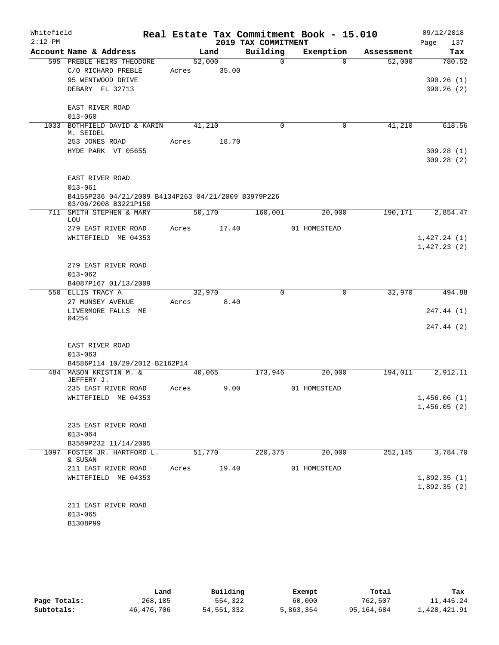| Whitefield |                                                                             |       |        |       |                     | Real Estate Tax Commitment Book - 15.010 |            | 09/12/2018  |
|------------|-----------------------------------------------------------------------------|-------|--------|-------|---------------------|------------------------------------------|------------|-------------|
| $2:12$ PM  |                                                                             |       |        |       | 2019 TAX COMMITMENT |                                          |            | Page<br>137 |
|            | Account Name & Address                                                      |       | Land   |       | Building            | Exemption                                | Assessment | Tax         |
|            | 595 PREBLE HEIRS THEODORE                                                   |       | 52,000 |       | $\Omega$            | $\Omega$                                 | 52,000     | 780.52      |
|            | C/O RICHARD PREBLE                                                          | Acres |        | 35.00 |                     |                                          |            |             |
|            | 95 WENTWOOD DRIVE                                                           |       |        |       |                     |                                          |            | 390.26(1)   |
|            | DEBARY FL 32713                                                             |       |        |       |                     |                                          |            | 390.26(2)   |
|            | EAST RIVER ROAD                                                             |       |        |       |                     |                                          |            |             |
|            | $013 - 060$                                                                 |       |        |       |                     |                                          |            |             |
|            | 1033 BOTHFIELD DAVID & KARIN<br>M. SEIDEL                                   |       | 41,210 |       | 0                   | 0                                        | 41,210     | 618.56      |
|            | 253 JONES ROAD                                                              | Acres |        | 18.70 |                     |                                          |            |             |
|            | HYDE PARK VT 05655                                                          |       |        |       |                     |                                          |            | 309.28(1)   |
|            |                                                                             |       |        |       |                     |                                          |            | 309.28(2)   |
|            |                                                                             |       |        |       |                     |                                          |            |             |
|            | EAST RIVER ROAD                                                             |       |        |       |                     |                                          |            |             |
|            | $013 - 061$                                                                 |       |        |       |                     |                                          |            |             |
|            | B4155P236 04/21/2009 B4134P263 04/21/2009 B3979P226<br>03/06/2008 B3221P150 |       |        |       |                     |                                          |            |             |
| 711        | SMITH STEPHEN & MARY                                                        |       | 50,170 |       | 160,001             | 20,000                                   | 190,171    | 2,854.47    |
|            | LOU<br>279 EAST RIVER ROAD                                                  | Acres |        | 17.40 |                     | 01 HOMESTEAD                             |            |             |
|            | WHITEFIELD ME 04353                                                         |       |        |       |                     |                                          |            | 1,427.24(1) |
|            |                                                                             |       |        |       |                     |                                          |            | 1,427.23(2) |
|            |                                                                             |       |        |       |                     |                                          |            |             |
|            | 279 EAST RIVER ROAD                                                         |       |        |       |                     |                                          |            |             |
|            | $013 - 062$                                                                 |       |        |       |                     |                                          |            |             |
|            | B4087P167 01/13/2009                                                        |       |        |       |                     |                                          |            |             |
|            | 550 ELLIS TRACY A                                                           |       | 32,970 |       | 0                   | $\mathbf 0$                              | 32,970     | 494.88      |
|            | 27 MUNSEY AVENUE                                                            | Acres |        | 8.40  |                     |                                          |            |             |
|            | LIVERMORE FALLS ME                                                          |       |        |       |                     |                                          |            | 247.44 (1)  |
|            | 04254                                                                       |       |        |       |                     |                                          |            |             |
|            |                                                                             |       |        |       |                     |                                          |            | 247.44 (2)  |
|            |                                                                             |       |        |       |                     |                                          |            |             |
|            | EAST RIVER ROAD                                                             |       |        |       |                     |                                          |            |             |
|            | $013 - 063$                                                                 |       |        |       |                     |                                          |            |             |
|            | B4586P114 10/29/2012 B2162P14                                               |       |        |       |                     |                                          |            |             |
|            | 484 MASON KRISTIN M. &                                                      |       | 40,065 |       | 173,946             | 20,000                                   | 194,011    | 2,912.11    |
|            | JEFFERY J.                                                                  |       |        |       |                     |                                          |            |             |
|            | 235 EAST RIVER ROAD                                                         | Acres |        | 9.00  |                     | 01 HOMESTEAD                             |            |             |
|            | WHITEFIELD ME 04353                                                         |       |        |       |                     |                                          |            | 1,456.06(1) |
|            |                                                                             |       |        |       |                     |                                          |            | 1,456.05(2) |
|            | 235 EAST RIVER ROAD                                                         |       |        |       |                     |                                          |            |             |
|            | $013 - 064$                                                                 |       |        |       |                     |                                          |            |             |
|            | B3589P232 11/14/2005                                                        |       |        |       |                     |                                          |            |             |
|            | 1097 FOSTER JR. HARTFORD L.                                                 |       | 51,770 |       | 220,375             | 20,000                                   | 252, 145   | 3,784.70    |
|            | & SUSAN                                                                     |       |        |       |                     |                                          |            |             |
|            | 211 EAST RIVER ROAD                                                         | Acres |        | 19.40 |                     | 01 HOMESTEAD                             |            |             |
|            | WHITEFIELD ME 04353                                                         |       |        |       |                     |                                          |            | 1,892.35(1) |
|            |                                                                             |       |        |       |                     |                                          |            | 1,892.35(2) |
|            |                                                                             |       |        |       |                     |                                          |            |             |
|            | 211 EAST RIVER ROAD                                                         |       |        |       |                     |                                          |            |             |
|            | $013 - 065$                                                                 |       |        |       |                     |                                          |            |             |
|            | B1308P99                                                                    |       |        |       |                     |                                          |            |             |
|            |                                                                             |       |        |       |                     |                                          |            |             |

|              | Land       | Building   | Exempt    | Total      | Tax          |
|--------------|------------|------------|-----------|------------|--------------|
| Page Totals: | 268,185    | 554,322    | 60,000    | 762,507    | 11,445.24    |
| Subtotals:   | 46,476,706 | 54,551,332 | 5,863,354 | 95,164,684 | 1,428,421.91 |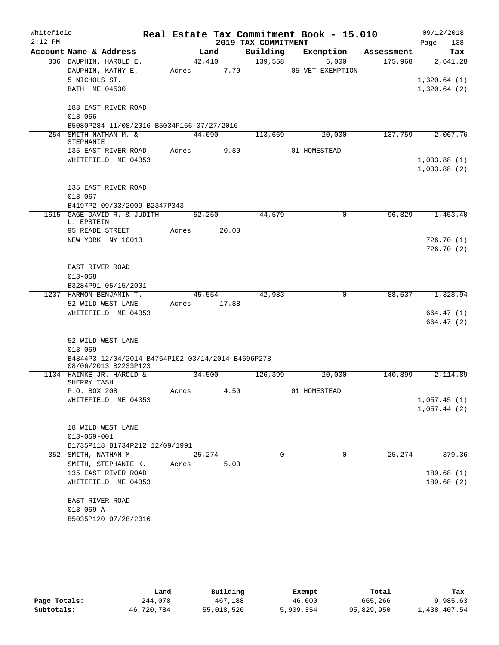| Whitefield<br>$2:12$ PM |                                                                           |       |             | 2019 TAX COMMITMENT | Real Estate Tax Commitment Book - 15.010 |            | 09/12/2018<br>138<br>Page  |
|-------------------------|---------------------------------------------------------------------------|-------|-------------|---------------------|------------------------------------------|------------|----------------------------|
|                         | Account Name & Address                                                    |       | Land        | Building            | Exemption                                | Assessment | Tax                        |
|                         | 336 DAUPHIN, HAROLD E.                                                    |       | 42,410      | 139,558             | 6,000                                    | 175,968    | 2,641.28                   |
|                         | DAUPHIN, KATHY E.                                                         | Acres | 7.70        |                     | 05 VET EXEMPTION                         |            |                            |
|                         | 5 NICHOLS ST.                                                             |       |             |                     |                                          |            | 1,320.64(1)                |
|                         | BATH ME 04530                                                             |       |             |                     |                                          |            | 1,320.64(2)                |
|                         | 183 EAST RIVER ROAD                                                       |       |             |                     |                                          |            |                            |
|                         | $013 - 066$                                                               |       |             |                     |                                          |            |                            |
|                         | B5080P284 11/08/2016 B5034P166 07/27/2016                                 |       |             |                     |                                          |            |                            |
|                         | 254 SMITH NATHAN M. &<br>STEPHANIE                                        |       | 44,090      | 113,669             | 20,000                                   | 137,759    | 2,067.76                   |
|                         | 135 EAST RIVER ROAD                                                       |       | Acres 9.80  |                     | 01 HOMESTEAD                             |            |                            |
|                         | WHITEFIELD ME 04353                                                       |       |             |                     |                                          |            | 1,033.88(1)<br>1,033.88(2) |
|                         | 135 EAST RIVER ROAD<br>$013 - 067$                                        |       |             |                     |                                          |            |                            |
|                         | B4197P2 09/03/2009 B2347P343                                              |       |             |                     |                                          |            |                            |
|                         | 1615 GAGE DAVID R. & JUDITH<br>L. EPSTEIN                                 |       | 52,250      | 44,579              | $\mathbf 0$                              | 96,829     | 1,453.40                   |
|                         | 95 READE STREET                                                           | Acres | 20.00       |                     |                                          |            |                            |
|                         | NEW YORK NY 10013                                                         |       |             |                     |                                          |            | 726.70 (1)                 |
|                         |                                                                           |       |             |                     |                                          |            | 726.70(2)                  |
|                         | EAST RIVER ROAD                                                           |       |             |                     |                                          |            |                            |
|                         | $013 - 068$                                                               |       |             |                     |                                          |            |                            |
|                         | B3284P91 05/15/2001                                                       |       |             |                     |                                          |            |                            |
|                         | 1237 HARMON BENJAMIN T.                                                   |       | 45,554      | 42,983              | $\mathbf 0$                              | 88,537     | 1,328.94                   |
|                         | 52 WILD WEST LANE                                                         |       | Acres 17.88 |                     |                                          |            |                            |
|                         | WHITEFIELD ME 04353                                                       |       |             |                     |                                          |            | 664.47(1)                  |
|                         |                                                                           |       |             |                     |                                          |            | 664.47 (2)                 |
|                         | 52 WILD WEST LANE                                                         |       |             |                     |                                          |            |                            |
|                         | $013 - 069$                                                               |       |             |                     |                                          |            |                            |
|                         | B4844P3 12/04/2014 B4764P102 03/14/2014 B4696P278<br>08/06/2013 B2233P123 |       |             |                     |                                          |            |                            |
|                         | 1134 HAINKE JR. HAROLD &                                                  |       | 34,500      | 126,399             | 20,000                                   | 140,899    | 2,114.89                   |
|                         | SHERRY TASH                                                               |       |             |                     |                                          |            |                            |
|                         | P.O. BOX 208                                                              | Acres | 4.50        |                     | 01 HOMESTEAD                             |            |                            |
|                         | WHITEFIELD ME 04353                                                       |       |             |                     |                                          |            | 1,057.45(1)                |
|                         |                                                                           |       |             |                     |                                          |            | 1,057.44(2)                |
|                         | 18 WILD WEST LANE                                                         |       |             |                     |                                          |            |                            |
|                         | $013 - 069 - 001$                                                         |       |             |                     |                                          |            |                            |
|                         | B1735P118 B1734P212 12/09/1991                                            |       |             |                     |                                          |            |                            |
|                         | 352 SMITH, NATHAN M.                                                      |       | 25,274      | 0                   | 0                                        | 25,274     | 379.36                     |
|                         | SMITH, STEPHANIE K.                                                       | Acres | 5.03        |                     |                                          |            |                            |
|                         | 135 EAST RIVER ROAD                                                       |       |             |                     |                                          |            | 189.68(1)                  |
|                         | WHITEFIELD ME 04353                                                       |       |             |                     |                                          |            | 189.68(2)                  |
|                         | EAST RIVER ROAD                                                           |       |             |                     |                                          |            |                            |
|                         | $013 - 069 - A$                                                           |       |             |                     |                                          |            |                            |
|                         | B5035P120 07/28/2016                                                      |       |             |                     |                                          |            |                            |

|              | Land       | Building   | Exempt    | Total      | Tax          |
|--------------|------------|------------|-----------|------------|--------------|
| Page Totals: | 244,078    | 467,188    | 46,000    | 665,266    | 9,985.63     |
| Subtotals:   | 46,720,784 | 55,018,520 | 5,909,354 | 95,829,950 | 1,438,407.54 |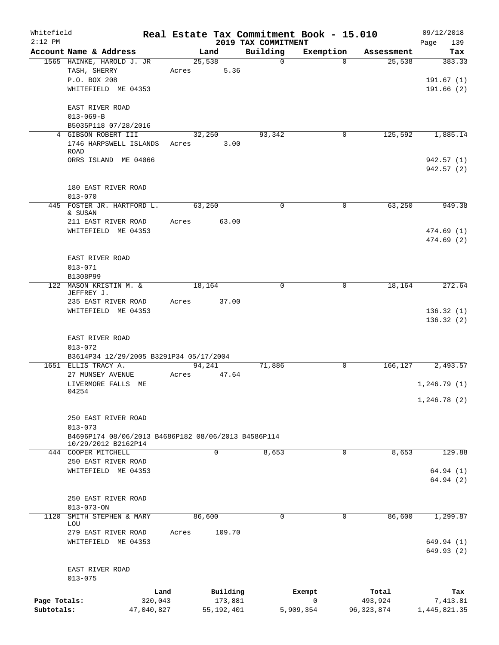| Whitefield<br>$2:12$ PM    |                                                                                  |                       |            |                         | 2019 TAX COMMITMENT | Real Estate Tax Commitment Book - 15.010 |                         | 09/12/2018<br>139<br>Page        |
|----------------------------|----------------------------------------------------------------------------------|-----------------------|------------|-------------------------|---------------------|------------------------------------------|-------------------------|----------------------------------|
|                            | Account Name & Address                                                           |                       |            | Land                    | Building            | Exemption                                | Assessment              | Tax                              |
|                            | 1565 HAINKE, HAROLD J. JR<br>TASH, SHERRY<br>P.O. BOX 208<br>WHITEFIELD ME 04353 |                       | Acres      | 25,538<br>5.36          | $\Omega$            | $\Omega$                                 | 25,538                  | 383.33<br>191.67(1)<br>191.66(2) |
|                            | EAST RIVER ROAD<br>$013 - 069 - B$<br>B5035P118 07/28/2016                       |                       |            |                         |                     |                                          |                         |                                  |
|                            | 4 GIBSON ROBERT III                                                              |                       |            | 32,250                  | 93,342              | 0                                        | 125,592                 | 1,885.14                         |
|                            | 1746 HARPSWELL ISLANDS<br><b>ROAD</b>                                            |                       | Acres 3.00 |                         |                     |                                          |                         |                                  |
|                            | ORRS ISLAND ME 04066                                                             |                       |            |                         |                     |                                          |                         | 942.57(1)<br>942.57(2)           |
|                            | 180 EAST RIVER ROAD<br>$013 - 070$                                               |                       |            |                         |                     |                                          |                         |                                  |
|                            | 445 FOSTER JR. HARTFORD L.<br>& SUSAN<br>211 EAST RIVER ROAD                     |                       | Acres      | 63,250<br>63.00         | 0                   | 0                                        | 63,250                  | 949.38                           |
|                            | WHITEFIELD ME 04353                                                              |                       |            |                         |                     |                                          |                         | 474.69 (1)<br>474.69 (2)         |
|                            | EAST RIVER ROAD<br>$013 - 071$<br>B1308P99                                       |                       |            |                         |                     |                                          |                         |                                  |
|                            | 122 MASON KRISTIN M. &<br>JEFFREY J.<br>235 EAST RIVER ROAD                      |                       | Acres      | 18,164<br>37.00         | 0                   | $\mathbf 0$                              | 18,164                  | 272.64                           |
|                            | WHITEFIELD ME 04353                                                              |                       |            |                         |                     |                                          |                         | 136.32(1)<br>136.32(2)           |
|                            | EAST RIVER ROAD<br>$013 - 072$                                                   |                       |            |                         |                     |                                          |                         |                                  |
|                            | B3614P34 12/29/2005 B3291P34 05/17/2004<br>1651 ELLIS TRACY A.                   |                       |            | 94,241                  | 71,886              | $\overline{0}$                           |                         | 166, 127 2, 493.57               |
|                            | 27 MUNSEY AVENUE<br>LIVERMORE FALLS ME                                           |                       | Acres      | 47.64                   |                     |                                          |                         | 1,246.79(1)                      |
|                            | 04254                                                                            |                       |            |                         |                     |                                          |                         | 1, 246.78(2)                     |
|                            | 250 EAST RIVER ROAD<br>$013 - 073$                                               |                       |            |                         |                     |                                          |                         |                                  |
|                            | B4696P174 08/06/2013 B4686P182 08/06/2013 B4586P114<br>10/29/2012 B2162P14       |                       |            |                         |                     |                                          |                         |                                  |
|                            | 444 COOPER MITCHELL                                                              |                       |            | 0                       | 8,653               | 0                                        | 8,653                   | 129.88                           |
|                            | 250 EAST RIVER ROAD<br>WHITEFIELD ME 04353                                       |                       |            |                         |                     |                                          |                         | 64.94(1)<br>64.94(2)             |
|                            | 250 EAST RIVER ROAD<br>$013 - 073 - ON$                                          |                       |            |                         |                     |                                          |                         |                                  |
| 1120                       | SMITH STEPHEN & MARY<br>LOU                                                      |                       |            | 86,600                  | $\mathbf 0$         | $\mathbf 0$                              | 86,600                  | 1,299.87                         |
|                            | 279 EAST RIVER ROAD<br>WHITEFIELD ME 04353                                       |                       | Acres      | 109.70                  |                     |                                          |                         | 649.94 (1)<br>649.93(2)          |
|                            | EAST RIVER ROAD<br>$013 - 075$                                                   |                       |            |                         |                     |                                          |                         |                                  |
|                            |                                                                                  | Land                  |            | Building                |                     | Exempt                                   | Total                   | Tax                              |
| Page Totals:<br>Subtotals: |                                                                                  | 320,043<br>47,040,827 |            | 173,881<br>55, 192, 401 |                     | 0<br>5,909,354                           | 493,924<br>96, 323, 874 | 7,413.81<br>1,445,821.35         |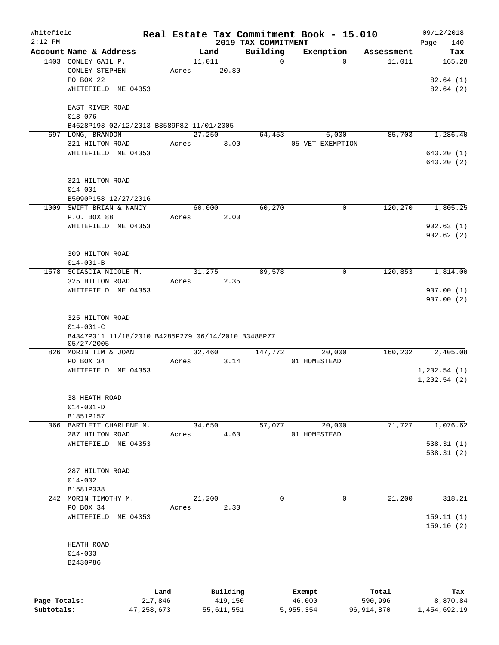| Whitefield<br>$2:12$ PM |                                                         |              |        |            | 2019 TAX COMMITMENT | Real Estate Tax Commitment Book - 15.010 |            | 09/12/2018<br>Page<br>140 |
|-------------------------|---------------------------------------------------------|--------------|--------|------------|---------------------|------------------------------------------|------------|---------------------------|
|                         | Account Name & Address                                  |              | Land   |            | Building            | Exemption                                | Assessment | Tax                       |
|                         | 1403 CONLEY GAIL P.<br>CONLEY STEPHEN<br>PO BOX 22      | Acres        | 11,011 | 20.80      | $\mathbf 0$         | $\Omega$                                 | 11,011     | 165.28<br>82.64(1)        |
|                         | WHITEFIELD ME 04353<br>EAST RIVER ROAD                  |              |        |            |                     |                                          |            | 82.64(2)                  |
|                         | $013 - 076$<br>B4628P193 02/12/2013 B3589P82 11/01/2005 |              |        |            |                     |                                          |            |                           |
|                         | 697 LONG, BRANDON                                       |              | 27,250 |            | 64,453              | 6,000                                    | 85,703     | 1,286.40                  |
|                         | 321 HILTON ROAD                                         | Acres        |        | 3.00       |                     | 05 VET EXEMPTION                         |            |                           |
|                         | WHITEFIELD ME 04353                                     |              |        |            |                     |                                          |            | 643.20(1)                 |
|                         |                                                         |              |        |            |                     |                                          |            | 643.20 (2)                |
|                         | 321 HILTON ROAD                                         |              |        |            |                     |                                          |            |                           |
|                         | $014 - 001$                                             |              |        |            |                     |                                          |            |                           |
|                         | B5090P158 12/27/2016<br>1009 SWIFT BRIAN & NANCY        |              |        |            |                     |                                          |            | 1,805.25                  |
|                         |                                                         |              | 60,000 |            | 60,270              | 0                                        | 120,270    |                           |
|                         | P.O. BOX 88                                             | Acres        |        | 2.00       |                     |                                          |            |                           |
|                         | WHITEFIELD ME 04353                                     |              |        |            |                     |                                          |            | 902.63(1)                 |
|                         |                                                         |              |        |            |                     |                                          |            | 902.62(2)                 |
|                         | 309 HILTON ROAD                                         |              |        |            |                     |                                          |            |                           |
|                         | $014 - 001 - B$                                         |              |        |            |                     |                                          |            |                           |
| 1578                    | SCIASCIA NICOLE M.                                      |              | 31,275 |            | 89,578              | 0                                        | 120,853    | 1,814.00                  |
|                         | 325 HILTON ROAD                                         | Acres        |        | 2.35       |                     |                                          |            |                           |
|                         | WHITEFIELD ME 04353                                     |              |        |            |                     |                                          |            | 907.00(1)                 |
|                         |                                                         |              |        |            |                     |                                          |            | 907.00(2)                 |
|                         |                                                         |              |        |            |                     |                                          |            |                           |
|                         | 325 HILTON ROAD                                         |              |        |            |                     |                                          |            |                           |
|                         | $014 - 001 - C$                                         |              |        |            |                     |                                          |            |                           |
|                         | B4347P311 11/18/2010 B4285P279 06/14/2010 B3488P77      |              |        |            |                     |                                          |            |                           |
|                         | 05/27/2005                                              |              |        |            |                     |                                          |            |                           |
|                         | 826 MORIN TIM & JOAN                                    |              | 32,460 |            | 147,772             | 20,000                                   | 160,232    | 2,405.08                  |
|                         | PO BOX 34                                               | Acres        |        | 3.14       |                     | 01 HOMESTEAD                             |            |                           |
|                         | WHITEFIELD ME 04353                                     |              |        |            |                     |                                          |            | 1, 202.54(1)              |
|                         |                                                         |              |        |            |                     |                                          |            | 1, 202.54 (2)             |
|                         | 38 HEATH ROAD                                           |              |        |            |                     |                                          |            |                           |
|                         | $014 - 001 - D$                                         |              |        |            |                     |                                          |            |                           |
|                         | B1851P157                                               |              |        |            |                     |                                          |            |                           |
|                         | 366 BARTLETT CHARLENE M.                                |              | 34,650 |            | 57,077              | 20,000                                   | 71,727     | 1,076.62                  |
|                         | 287 HILTON ROAD                                         | Acres        |        | 4.60       |                     | 01 HOMESTEAD                             |            |                           |
|                         | WHITEFIELD ME 04353                                     |              |        |            |                     |                                          |            | 538.31(1)                 |
|                         |                                                         |              |        |            |                     |                                          |            | 538.31(2)                 |
|                         |                                                         |              |        |            |                     |                                          |            |                           |
|                         | 287 HILTON ROAD                                         |              |        |            |                     |                                          |            |                           |
|                         | $014 - 002$                                             |              |        |            |                     |                                          |            |                           |
|                         | B1581P338                                               |              |        |            |                     |                                          |            |                           |
|                         | 242 MORIN TIMOTHY M.                                    |              | 21,200 |            | $\mathbf 0$         | $\mathbf 0$                              | 21,200     | 318.21                    |
|                         | PO BOX 34                                               | Acres        |        | 2.30       |                     |                                          |            |                           |
|                         | WHITEFIELD ME 04353                                     |              |        |            |                     |                                          |            | 159.11(1)                 |
|                         |                                                         |              |        |            |                     |                                          |            | 159.10(2)                 |
|                         |                                                         |              |        |            |                     |                                          |            |                           |
|                         | HEATH ROAD                                              |              |        |            |                     |                                          |            |                           |
|                         | $014 - 003$                                             |              |        |            |                     |                                          |            |                           |
|                         | B2430P86                                                |              |        |            |                     |                                          |            |                           |
|                         |                                                         |              |        |            |                     |                                          |            |                           |
|                         |                                                         | Land         |        | Building   |                     | Exempt                                   | Total      | Tax                       |
| Page Totals:            |                                                         | 217,846      |        | 419,150    |                     | 46,000                                   | 590,996    | 8,870.84                  |
| Subtotals:              |                                                         | 47, 258, 673 |        | 55,611,551 |                     | 5,955,354                                | 96,914,870 | 1,454,692.19              |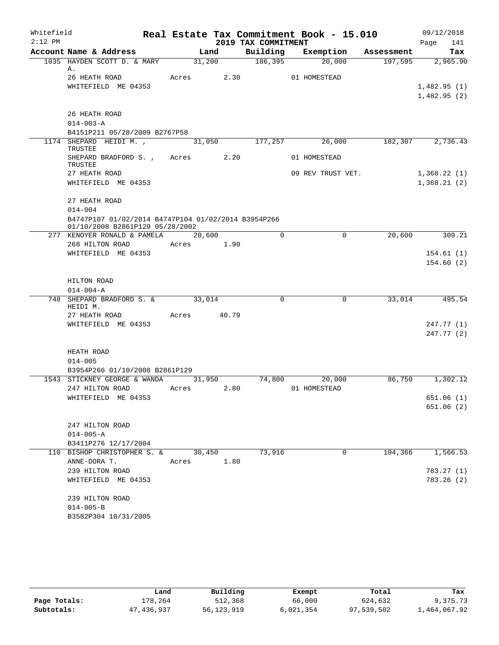| Whitefield<br>$2:12$ PM |                                                        |                    |      | 2019 TAX COMMITMENT | Real Estate Tax Commitment Book - 15.010 |         | 09/12/2018<br>Page     | 141 |
|-------------------------|--------------------------------------------------------|--------------------|------|---------------------|------------------------------------------|---------|------------------------|-----|
|                         | Account Name & Address                                 | Land               |      |                     | Building Exemption Assessment            |         | Tax                    |     |
|                         | 1035 HAYDEN SCOTT D. & MARY 31,200 186,395             |                    |      |                     | 20,000                                   |         | $197,595$ 2,965.90     |     |
|                         | Α.<br>26 HEATH ROAD                                    |                    |      |                     | Acres 2.30 01 HOMESTEAD                  |         |                        |     |
|                         | WHITEFIELD ME 04353                                    |                    |      |                     |                                          |         | 1,482.95(1)            |     |
|                         |                                                        |                    |      |                     |                                          |         | 1,482.95(2)            |     |
|                         |                                                        |                    |      |                     |                                          |         |                        |     |
|                         | 26 HEATH ROAD                                          |                    |      |                     |                                          |         |                        |     |
|                         | $014 - 003 - A$                                        |                    |      |                     |                                          |         |                        |     |
|                         | B4151P211 05/28/2009 B2767P58<br>1174 SHEPARD HEIDI M. | 31,050             |      | 177,257             | 26,000                                   |         | $182,307$ 2,736.43     |     |
|                         | TRUSTEE                                                |                    |      |                     |                                          |         |                        |     |
|                         | SHEPARD BRADFORD S., Acres 2.20<br>TRUSTEE             |                    |      |                     | 01 HOMESTEAD                             |         |                        |     |
|                         | 27 HEATH ROAD                                          |                    |      |                     | 09 REV TRUST VET.                        |         | 1,368.22(1)            |     |
|                         | WHITEFIELD ME 04353                                    |                    |      |                     |                                          |         | 1,368.21(2)            |     |
|                         | 27 HEATH ROAD                                          |                    |      |                     |                                          |         |                        |     |
|                         | $014 - 004$                                            |                    |      |                     |                                          |         |                        |     |
|                         | B4747P107 01/02/2014 B4747P104 01/02/2014 B3954P266    |                    |      |                     |                                          |         |                        |     |
|                         | 01/10/2008 B2861P129 05/28/2002                        |                    |      |                     |                                          |         |                        |     |
|                         | 277 KENOYER RONALD & PAMELA 20,600                     |                    |      | $\Omega$            | $\mathbf 0$                              | 20,600  | 309.21                 |     |
|                         | 268 HILTON ROAD Acres 1.90                             |                    |      |                     |                                          |         |                        |     |
|                         | WHITEFIELD ME 04353                                    |                    |      |                     |                                          |         | 154.61(1)<br>154.60(2) |     |
|                         |                                                        |                    |      |                     |                                          |         |                        |     |
|                         | HILTON ROAD                                            |                    |      |                     |                                          |         |                        |     |
|                         | $014 - 004 - A$                                        |                    |      |                     |                                          |         |                        |     |
|                         | 748 SHEPARD BRADFORD S. &<br>HEIDI M.                  | $\frac{33,014}{ }$ |      | $\mathbf 0$         | $\mathbf 0$                              | 33,014  | 495.54                 |     |
|                         | 27 HEATH ROAD MCTES 40.79                              |                    |      |                     |                                          |         |                        |     |
|                         | WHITEFIELD ME 04353                                    |                    |      |                     |                                          |         | 247.77(1)              |     |
|                         |                                                        |                    |      |                     |                                          |         | 247.77(2)              |     |
|                         |                                                        |                    |      |                     |                                          |         |                        |     |
|                         | HEATH ROAD                                             |                    |      |                     |                                          |         |                        |     |
|                         | $014 - 005$<br>B3954P266 01/10/2008 B2861P129          |                    |      |                     |                                          |         |                        |     |
|                         | 1543 STICKNEY GEORGE & WANDA 31,950 74,800             |                    |      |                     | 20,000                                   | 86,750  | 1,302.12               |     |
|                         | 247 HILTON ROAD Acres 2.80                             |                    |      |                     | 01 HOMESTEAD                             |         |                        |     |
|                         | WHITEFIELD ME 04353                                    |                    |      |                     |                                          |         | 651.06(1)              |     |
|                         |                                                        |                    |      |                     |                                          |         | 651.06 (2)             |     |
|                         |                                                        |                    |      |                     |                                          |         |                        |     |
|                         | 247 HILTON ROAD                                        |                    |      |                     |                                          |         |                        |     |
|                         | $014 - 005 - A$                                        |                    |      |                     |                                          |         |                        |     |
|                         | B3411P276 12/17/2004                                   |                    |      |                     |                                          |         |                        |     |
|                         | 110 BISHOP CHRISTOPHER S. &<br>ANNE-DORA T.            | 30,450<br>Acres    | 1.80 | 73,916              | $\Omega$                                 | 104,366 | 1,566.53               |     |
|                         | 239 HILTON ROAD                                        |                    |      |                     |                                          |         | 783.27 (1)             |     |
|                         | WHITEFIELD ME 04353                                    |                    |      |                     |                                          |         | 783.26(2)              |     |
|                         |                                                        |                    |      |                     |                                          |         |                        |     |
|                         | 239 HILTON ROAD                                        |                    |      |                     |                                          |         |                        |     |
|                         | $014 - 005 - B$                                        |                    |      |                     |                                          |         |                        |     |
|                         | B3582P304 10/31/2005                                   |                    |      |                     |                                          |         |                        |     |

|              | Land       | Building   | Exempt    | Total      | Tax          |
|--------------|------------|------------|-----------|------------|--------------|
| Page Totals: | 178,264    | 512,368    | 66,000    | 624,632    | 9,375.73     |
| Subtotals:   | 47,436,937 | 56,123,919 | 6,021,354 | 97,539,502 | 1,464,067.92 |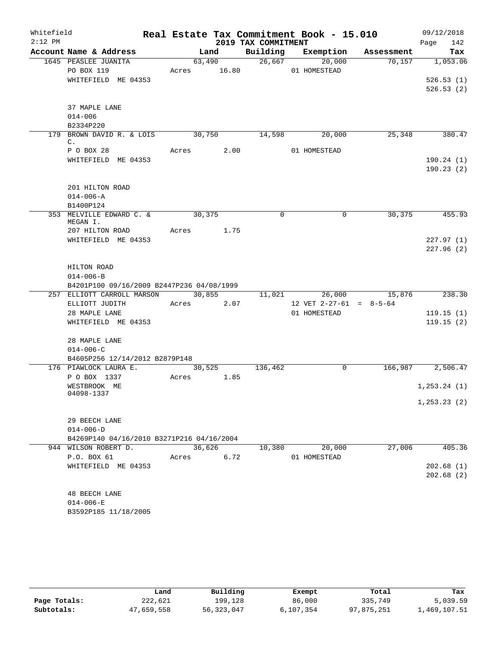| Whitefield<br>$2:12$ PM |                                           |       |        |             | 2019 TAX COMMITMENT | Real Estate Tax Commitment Book - 15.010 |            | 09/12/2018             |
|-------------------------|-------------------------------------------|-------|--------|-------------|---------------------|------------------------------------------|------------|------------------------|
|                         | Account Name & Address                    |       | Land   |             |                     | Building Exemption                       | Assessment | 142<br>Page<br>Tax     |
|                         | 1645 PEASLEE JUANITA                      |       | 63,490 |             | 26,667              | 20,000                                   | 70,157     | 1,053.06               |
|                         | PO BOX 119                                |       |        | Acres 16.80 |                     | 01 HOMESTEAD                             |            |                        |
|                         | WHITEFIELD ME 04353                       |       |        |             |                     |                                          |            | 526.53(1)              |
|                         |                                           |       |        |             |                     |                                          |            | 526.53(2)              |
|                         | 37 MAPLE LANE                             |       |        |             |                     |                                          |            |                        |
|                         | $014 - 006$                               |       |        |             |                     |                                          |            |                        |
|                         | B2334P220                                 |       |        |             |                     |                                          |            |                        |
|                         | 179 BROWN DAVID R. & LOIS                 |       | 30,750 |             | 14,598              | 20,000                                   | 25,348     | 380.47                 |
|                         | $\mathbb{C}$ .                            |       |        |             |                     |                                          |            |                        |
|                         | P O BOX 28                                | Acres |        | 2.00        |                     | 01 HOMESTEAD                             |            |                        |
|                         | WHITEFIELD ME 04353                       |       |        |             |                     |                                          |            | 190.24(1)<br>190.23(2) |
|                         | 201 HILTON ROAD                           |       |        |             |                     |                                          |            |                        |
|                         | $014 - 006 - A$                           |       |        |             |                     |                                          |            |                        |
|                         | B1400P124                                 |       |        |             |                     |                                          |            |                        |
|                         | 353 MELVILLE EDWARD C. &<br>MEGAN I.      |       | 30,375 |             | $\mathbf 0$         | 0                                        | 30,375     | 455.93                 |
|                         | 207 HILTON ROAD                           | Acres |        | 1.75        |                     |                                          |            |                        |
|                         | WHITEFIELD ME 04353                       |       |        |             |                     |                                          |            | 227.97(1)              |
|                         |                                           |       |        |             |                     |                                          |            | 227.96(2)              |
|                         |                                           |       |        |             |                     |                                          |            |                        |
|                         | HILTON ROAD                               |       |        |             |                     |                                          |            |                        |
|                         | $014 - 006 - B$                           |       |        |             |                     |                                          |            |                        |
|                         | B4201P100 09/16/2009 B2447P236 04/08/1999 |       |        |             |                     |                                          |            |                        |
|                         | 257 ELLIOTT CARROLL MARSON                |       |        | 30,855      | 11,021              | 26,000                                   | 15,876     | 238.30                 |
|                         | ELLIOTT JUDITH                            | Acres |        | 2.07        |                     | 12 VET $2-27-61 = 8-5-64$                |            |                        |
|                         | 28 MAPLE LANE                             |       |        |             |                     | 01 HOMESTEAD                             |            | 119.15(1)              |
|                         | WHITEFIELD ME 04353                       |       |        |             |                     |                                          |            | 119.15(2)              |
|                         | 28 MAPLE LANE                             |       |        |             |                     |                                          |            |                        |
|                         | $014 - 006 - C$                           |       |        |             |                     |                                          |            |                        |
|                         | B4605P256 12/14/2012 B2879P148            |       |        |             |                     |                                          |            |                        |
|                         | 176 PIAWLOCK LAURA E.                     |       | 30,525 |             | 136,462             | 0                                        | 166,987    | 2,506.47               |
|                         | P O BOX 1337                              | Acres |        | 1.85        |                     |                                          |            |                        |
|                         | WESTBROOK ME                              |       |        |             |                     |                                          |            | 1, 253.24 (1)          |
|                         | 04098-1337                                |       |        |             |                     |                                          |            | 1, 253.23(2)           |
|                         | 29 BEECH LANE                             |       |        |             |                     |                                          |            |                        |
|                         | $014 - 006 - D$                           |       |        |             |                     |                                          |            |                        |
|                         | B4269P140 04/16/2010 B3271P216 04/16/2004 |       |        |             |                     |                                          |            |                        |
|                         | 944 WILSON ROBERT D.                      |       |        | 36,626      | 10,380              | 20,000                                   | 27,006     | 405.36                 |
|                         | P.O. BOX 61                               | Acres |        | 6.72        |                     | 01 HOMESTEAD                             |            |                        |
|                         | WHITEFIELD ME 04353                       |       |        |             |                     |                                          |            | 202.68(1)              |
|                         |                                           |       |        |             |                     |                                          |            | 202.68(2)              |
|                         |                                           |       |        |             |                     |                                          |            |                        |
|                         | <b>48 BEECH LANE</b>                      |       |        |             |                     |                                          |            |                        |
|                         | $014 - 006 - E$                           |       |        |             |                     |                                          |            |                        |
|                         | B3592P185 11/18/2005                      |       |        |             |                     |                                          |            |                        |

|              | Land       | Building   | Exempt    | Total      | Tax          |
|--------------|------------|------------|-----------|------------|--------------|
| Page Totals: | 222,621    | 199.128    | 86,000    | 335,749    | 5,039.59     |
| Subtotals:   | 47,659,558 | 56,323,047 | 6,107,354 | 97,875,251 | 1,469,107.51 |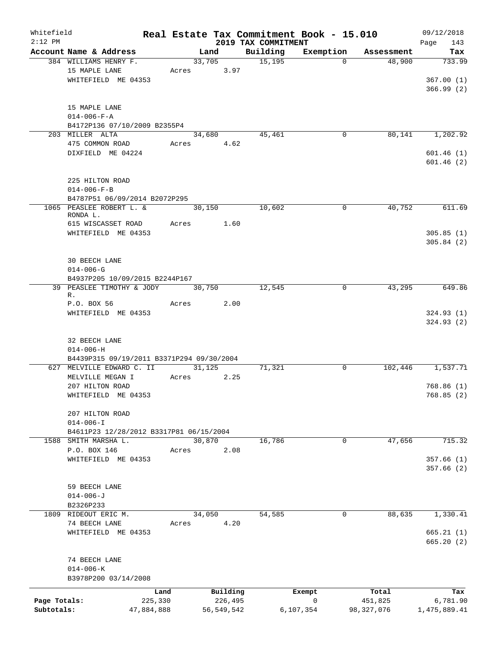| Whitefield<br>$2:12$ PM    |                                                                           |                               |                      |                                     | 2019 TAX COMMITMENT | Real Estate Tax Commitment Book - 15.010 |                                  | 09/12/2018<br>Page<br>143        |
|----------------------------|---------------------------------------------------------------------------|-------------------------------|----------------------|-------------------------------------|---------------------|------------------------------------------|----------------------------------|----------------------------------|
|                            | Account Name & Address                                                    |                               | Land                 |                                     | Building            | Exemption                                | Assessment                       | Tax                              |
|                            | 384 WILLIAMS HENRY F.<br>15 MAPLE LANE<br>WHITEFIELD ME 04353             | Acres                         | 33,705               | 3.97                                | 15,195              | $\Omega$                                 | 48,900                           | 733.99<br>367.00(1)<br>366.99(2) |
|                            | 15 MAPLE LANE<br>$014 - 006 - F - A$<br>B4172P136 07/10/2009 B2355P4      |                               |                      |                                     |                     |                                          |                                  |                                  |
|                            | 203 MILLER ALTA<br>475 COMMON ROAD<br>DIXFIELD ME 04224                   |                               | 34,680<br>Acres 4.62 |                                     | 45,461              | 0                                        | 80,141                           | 1,202.92<br>601.46(1)            |
|                            | 225 HILTON ROAD<br>$014 - 006 - F - B$                                    |                               |                      |                                     |                     |                                          |                                  | 601.46(2)                        |
|                            | B4787P51 06/09/2014 B2072P295<br>1065 PEASLEE ROBERT L. &                 |                               | 30,150               |                                     | 10,602              | 0                                        | 40,752                           | 611.69                           |
|                            | RONDA L.<br>615 WISCASSET ROAD<br>WHITEFIELD ME 04353                     |                               | Acres                | 1.60                                |                     |                                          |                                  | 305.85(1)<br>305.84(2)           |
|                            | <b>30 BEECH LANE</b><br>$014 - 006 - G$<br>B4937P205 10/09/2015 B2244P167 |                               |                      |                                     |                     |                                          |                                  |                                  |
|                            | 39 PEASLEE TIMOTHY & JODY<br>$R$ .                                        |                               | 30,750               |                                     | 12,545              | $\Omega$                                 | 43,295                           | 649.86                           |
|                            | P.O. BOX 56<br>WHITEFIELD ME 04353                                        | Acres                         |                      | 2.00                                |                     |                                          |                                  | 324.93(1)<br>324.93(2)           |
|                            | 32 BEECH LANE<br>$014 - 006 - H$                                          |                               |                      |                                     |                     |                                          |                                  |                                  |
|                            | B4439P315 09/19/2011 B3371P294 09/30/2004<br>627 MELVILLE EDWARD C. II    |                               | 31,125               |                                     | 71,321              | $\mathbf 0$                              |                                  | 102,446 1,537.71                 |
|                            | MELVILLE MEGAN I<br>207 HILTON ROAD                                       | Acres                         |                      | 2.25                                |                     |                                          |                                  | 768.86(1)                        |
|                            | WHITEFIELD ME 04353<br>207 HILTON ROAD                                    |                               |                      |                                     |                     |                                          |                                  | 768.85 (2)                       |
|                            | $014 - 006 - I$<br>B4611P23 12/28/2012 B3317P81 06/15/2004                |                               |                      |                                     |                     |                                          |                                  |                                  |
|                            | 1588 SMITH MARSHA L.                                                      |                               | 30,870               |                                     | 16,786              | $\mathbf{0}$                             | 47,656                           | 715.32                           |
|                            | P.O. BOX 146                                                              | Acres                         |                      | 2.08                                |                     |                                          |                                  |                                  |
|                            | WHITEFIELD ME 04353                                                       |                               |                      |                                     |                     |                                          |                                  | 357.66(1)<br>357.66(2)           |
|                            | 59 BEECH LANE<br>$014 - 006 - J$<br>B2326P233                             |                               |                      |                                     |                     |                                          |                                  |                                  |
|                            | 1809 RIDEOUT ERIC M.                                                      |                               | 34,050               |                                     | 54,585              | 0                                        | 88,635                           | 1,330.41                         |
|                            | 74 BEECH LANE<br>WHITEFIELD ME 04353                                      | Acres                         |                      | 4.20                                |                     |                                          |                                  | 665.21(1)<br>665.20(2)           |
|                            | 74 BEECH LANE<br>$014 - 006 - K$<br>B3978P200 03/14/2008                  |                               |                      |                                     |                     |                                          |                                  |                                  |
|                            |                                                                           |                               |                      |                                     |                     |                                          |                                  |                                  |
| Page Totals:<br>Subtotals: |                                                                           | Land<br>225,330<br>47,884,888 |                      | Building<br>226,495<br>56, 549, 542 |                     | Exempt<br>0<br>6,107,354                 | Total<br>451,825<br>98, 327, 076 | Tax<br>6,781.90<br>1,475,889.41  |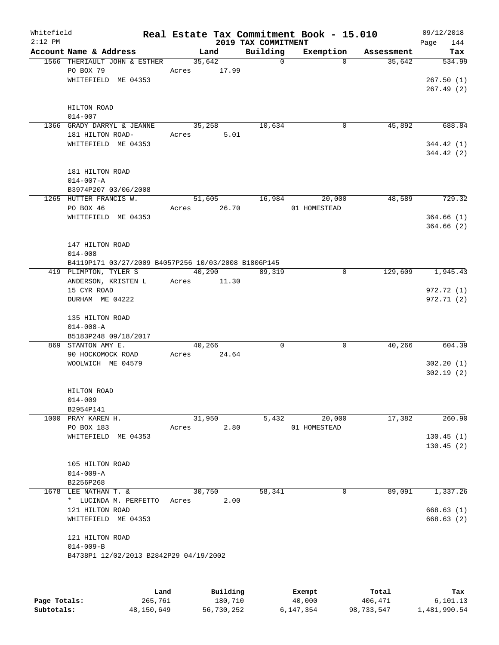| Whitefield<br>$2:12$ PM |                                                           |       |          | 2019 TAX COMMITMENT | Real Estate Tax Commitment Book - 15.010 |            | 09/12/2018<br>Page<br>144 |
|-------------------------|-----------------------------------------------------------|-------|----------|---------------------|------------------------------------------|------------|---------------------------|
|                         | Account Name & Address                                    |       | Land     | Building            | Exemption                                | Assessment | Tax                       |
|                         | 1566 THERIAULT JOHN & ESTHER                              |       | 35,642   | $\mathsf{O}$        | $\Omega$                                 | 35,642     | 534.99                    |
|                         | PO BOX 79                                                 | Acres | 17.99    |                     |                                          |            |                           |
|                         | WHITEFIELD ME 04353                                       |       |          |                     |                                          |            | 267.50(1)                 |
|                         |                                                           |       |          |                     |                                          |            | 267.49(2)                 |
|                         |                                                           |       |          |                     |                                          |            |                           |
|                         | HILTON ROAD                                               |       |          |                     |                                          |            |                           |
|                         | $014 - 007$                                               |       |          |                     |                                          |            |                           |
|                         | 1366 GRADY DARRYL & JEANNE                                |       | 35,258   | 10,634              | 0                                        | 45,892     | 688.84                    |
|                         | 181 HILTON ROAD-                                          | Acres | 5.01     |                     |                                          |            |                           |
|                         | WHITEFIELD ME 04353                                       |       |          |                     |                                          |            | 344.42(1)<br>344.42(2)    |
|                         |                                                           |       |          |                     |                                          |            |                           |
|                         | 181 HILTON ROAD                                           |       |          |                     |                                          |            |                           |
|                         | $014 - 007 - A$                                           |       |          |                     |                                          |            |                           |
|                         | B3974P207 03/06/2008                                      |       |          |                     |                                          |            |                           |
|                         | 1265 HUTTER FRANCIS W.                                    |       | 51,605   | 16,984              | 20,000                                   | 48,589     | 729.32                    |
|                         | PO BOX 46                                                 | Acres | 26.70    |                     | 01 HOMESTEAD                             |            |                           |
|                         | WHITEFIELD ME 04353                                       |       |          |                     |                                          |            | 364.66(1)                 |
|                         |                                                           |       |          |                     |                                          |            | 364.66(2)                 |
|                         |                                                           |       |          |                     |                                          |            |                           |
|                         | 147 HILTON ROAD                                           |       |          |                     |                                          |            |                           |
|                         | $014 - 008$                                               |       |          |                     |                                          |            |                           |
|                         | B4119P171 03/27/2009 B4057P256 10/03/2008 B1806P145       |       |          |                     |                                          |            |                           |
|                         | 419 PLIMPTON, TYLER S                                     |       | 40,290   | 89,319              | $\mathbf 0$                              | 129,609    | 1,945.43                  |
|                         | ANDERSON, KRISTEN L                                       | Acres | 11.30    |                     |                                          |            |                           |
|                         | 15 CYR ROAD                                               |       |          |                     |                                          |            | 972.72 (1)                |
|                         | DURHAM ME 04222                                           |       |          |                     |                                          |            | 972.71(2)                 |
|                         | 135 HILTON ROAD                                           |       |          |                     |                                          |            |                           |
|                         | $014 - 008 - A$                                           |       |          |                     |                                          |            |                           |
|                         | B5183P248 09/18/2017                                      |       |          |                     |                                          |            |                           |
|                         | 869 STANTON AMY E.                                        |       | 40,266   | $\mathbf 0$         | $\Omega$                                 | 40,266     | 604.39                    |
|                         | 90 HOCKOMOCK ROAD                                         | Acres | 24.64    |                     |                                          |            |                           |
|                         | WOOLWICH ME 04579                                         |       |          |                     |                                          |            | 302.20(1)                 |
|                         |                                                           |       |          |                     |                                          |            | 302.19(2)                 |
|                         |                                                           |       |          |                     |                                          |            |                           |
|                         | HILTON ROAD                                               |       |          |                     |                                          |            |                           |
|                         | $014 - 009$                                               |       |          |                     |                                          |            |                           |
|                         | B2954P141<br>1000 PRAY KAREN H.                           |       | 31,950   |                     | 20,000                                   | 17,382     | 260.90                    |
|                         | PO BOX 183                                                | Acres | 2.80     | 5,432               | 01 HOMESTEAD                             |            |                           |
|                         | WHITEFIELD ME 04353                                       |       |          |                     |                                          |            | 130.45(1)                 |
|                         |                                                           |       |          |                     |                                          |            | 130.45(2)                 |
|                         |                                                           |       |          |                     |                                          |            |                           |
|                         | 105 HILTON ROAD                                           |       |          |                     |                                          |            |                           |
|                         | $014 - 009 - A$                                           |       |          |                     |                                          |            |                           |
|                         | B2256P268                                                 |       |          |                     |                                          |            |                           |
|                         | 1678 LEE NATHAN T. &                                      |       | 30,750   | 58,341              | 0                                        | 89,091     | 1,337.26                  |
|                         | * LUCINDA M. PERFETTO                                     | Acres | 2.00     |                     |                                          |            |                           |
|                         | 121 HILTON ROAD                                           |       |          |                     |                                          |            | 668.63(1)                 |
|                         | WHITEFIELD ME 04353                                       |       |          |                     |                                          |            | 668.63(2)                 |
|                         |                                                           |       |          |                     |                                          |            |                           |
|                         | 121 HILTON ROAD                                           |       |          |                     |                                          |            |                           |
|                         | $014 - 009 - B$<br>B4738P1 12/02/2013 B2842P29 04/19/2002 |       |          |                     |                                          |            |                           |
|                         |                                                           |       |          |                     |                                          |            |                           |
|                         |                                                           |       |          |                     |                                          |            |                           |
|                         |                                                           |       |          |                     |                                          |            |                           |
|                         | Land.                                                     |       | Building |                     | <b>Fromnt</b>                            | $T$ ctal   | To-                       |

|              | Land       | Building   | Exempt    | Total      | Tax          |
|--------------|------------|------------|-----------|------------|--------------|
| Page Totals: | 265,761    | 180,710    | 40,000    | 406,471    | 6,101.13     |
| Subtotals:   | 48,150,649 | 56,730,252 | 6,147,354 | 98,733,547 | 1,481,990.54 |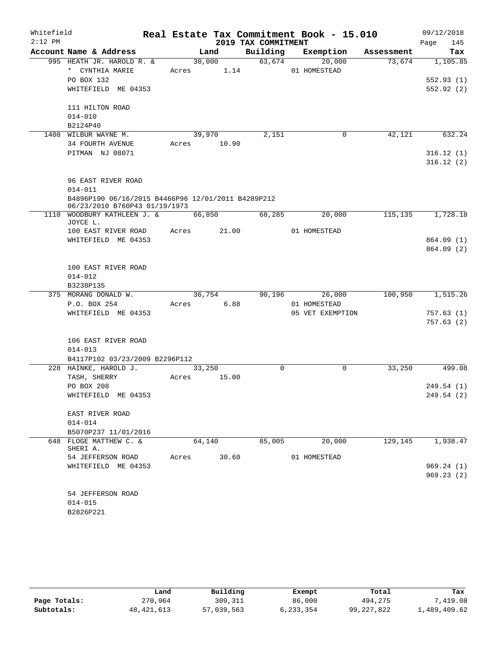| Whitefield |                                                                                     |       |             |                     | Real Estate Tax Commitment Book - 15.010 |         | 09/12/2018          |  |  |
|------------|-------------------------------------------------------------------------------------|-------|-------------|---------------------|------------------------------------------|---------|---------------------|--|--|
| $2:12$ PM  |                                                                                     |       |             | 2019 TAX COMMITMENT |                                          |         | 145<br>Page         |  |  |
|            | Account Name & Address                                                              |       | Land        |                     | Building Exemption Assessment            |         | Tax                 |  |  |
|            | 995 HEATH JR. HAROLD R. &                                                           |       | 30,000      | 63,674              | 20,000                                   | 73,674  | 1,105.85            |  |  |
|            | * CYNTHIA MARIE                                                                     |       | Acres 1.14  |                     | 01 HOMESTEAD                             |         |                     |  |  |
|            | PO BOX 132                                                                          |       |             |                     |                                          |         | 552.93(1)           |  |  |
|            | WHITEFIELD ME 04353                                                                 |       |             |                     |                                          |         | 552.92(2)           |  |  |
|            | 111 HILTON ROAD                                                                     |       |             |                     |                                          |         |                     |  |  |
|            | $014 - 010$                                                                         |       |             |                     |                                          |         |                     |  |  |
|            | B2124P40                                                                            |       |             |                     |                                          |         |                     |  |  |
|            | 1408 WILBUR WAYNE M.                                                                |       | 39,970      | 2,151               | 0                                        | 42,121  | 632.24              |  |  |
|            | 34 FOURTH AVENUE                                                                    |       | Acres 10.90 |                     |                                          |         |                     |  |  |
|            | PITMAN NJ 08071                                                                     |       |             |                     |                                          |         | 316.12(1)           |  |  |
|            |                                                                                     |       |             |                     |                                          |         | 316.12(2)           |  |  |
|            | 96 EAST RIVER ROAD                                                                  |       |             |                     |                                          |         |                     |  |  |
|            | $014 - 011$                                                                         |       |             |                     |                                          |         |                     |  |  |
|            | B4896P190 06/16/2015 B4466P96 12/01/2011 B4289P212<br>06/23/2010 B760P43 01/19/1973 |       |             |                     |                                          |         |                     |  |  |
|            | 1110 WOODBURY KATHLEEN J. & 66,850<br>JOYCE L.                                      |       |             | 68,285              | 20,000                                   |         | 115, 135 1, 728. 18 |  |  |
|            | 100 EAST RIVER ROAD                                                                 |       | Acres 21.00 |                     | 01 HOMESTEAD                             |         |                     |  |  |
|            | WHITEFIELD ME 04353                                                                 |       |             |                     |                                          |         | 864.09(1)           |  |  |
|            |                                                                                     |       |             |                     |                                          |         | 864.09(2)           |  |  |
|            | 100 EAST RIVER ROAD                                                                 |       |             |                     |                                          |         |                     |  |  |
|            | $014 - 012$                                                                         |       |             |                     |                                          |         |                     |  |  |
|            | B3238P135                                                                           |       |             |                     |                                          |         |                     |  |  |
|            | 375 MORANG DONALD W.                                                                |       | 36,754      |                     | 90,196<br>26,000                         | 100,950 | 1,515.26            |  |  |
|            | P.O. BOX 254                                                                        |       | Acres 6.88  |                     | 01 HOMESTEAD                             |         |                     |  |  |
|            | WHITEFIELD ME 04353                                                                 |       |             |                     | 05 VET EXEMPTION                         |         | 757.63(1)           |  |  |
|            |                                                                                     |       |             |                     |                                          |         | 757.63(2)           |  |  |
|            | 106 EAST RIVER ROAD                                                                 |       |             |                     |                                          |         |                     |  |  |
|            | $014 - 013$                                                                         |       |             |                     |                                          |         |                     |  |  |
|            | B4117P102 03/23/2009 B2296P112                                                      |       |             |                     |                                          |         |                     |  |  |
|            | 228 HAINKE, HAROLD J.                                                               |       | 33,250      | $\Omega$            | $\mathbf 0$                              | 33,250  | 499.08              |  |  |
|            | TASH, SHERRY                                                                        |       | Acres 15.00 |                     |                                          |         |                     |  |  |
|            | PO BOX 208                                                                          |       |             |                     |                                          |         | 249.54(1)           |  |  |
|            | WHITEFIELD ME 04353                                                                 |       |             |                     |                                          |         | 249.54 (2)          |  |  |
|            | EAST RIVER ROAD                                                                     |       |             |                     |                                          |         |                     |  |  |
|            | $014 - 014$                                                                         |       |             |                     |                                          |         |                     |  |  |
|            | B5070P237 11/01/2016                                                                |       |             |                     |                                          |         |                     |  |  |
|            | 648 FLOGE MATTHEW C. &<br>SHERI A.                                                  |       | 64,140      | 85,005              | 20,000                                   | 129,145 | 1,938.47            |  |  |
|            | 54 JEFFERSON ROAD                                                                   | Acres | 30.60       |                     | 01 HOMESTEAD                             |         |                     |  |  |
|            | WHITEFIELD ME 04353                                                                 |       |             |                     |                                          |         | 969.24(1)           |  |  |
|            |                                                                                     |       |             |                     |                                          |         | 969.23(2)           |  |  |
|            | 54 JEFFERSON ROAD                                                                   |       |             |                     |                                          |         |                     |  |  |
|            | $014 - 015$                                                                         |       |             |                     |                                          |         |                     |  |  |
|            | B2826P221                                                                           |       |             |                     |                                          |         |                     |  |  |

|              | Land         | Building   | Exempt    | Total        | Tax          |
|--------------|--------------|------------|-----------|--------------|--------------|
| Page Totals: | 270,964      | 309,311    | 86,000    | 494,275      | 7,419.08     |
| Subtotals:   | 48, 421, 613 | 57,039,563 | 6,233,354 | 99, 227, 822 | 1,489,409.62 |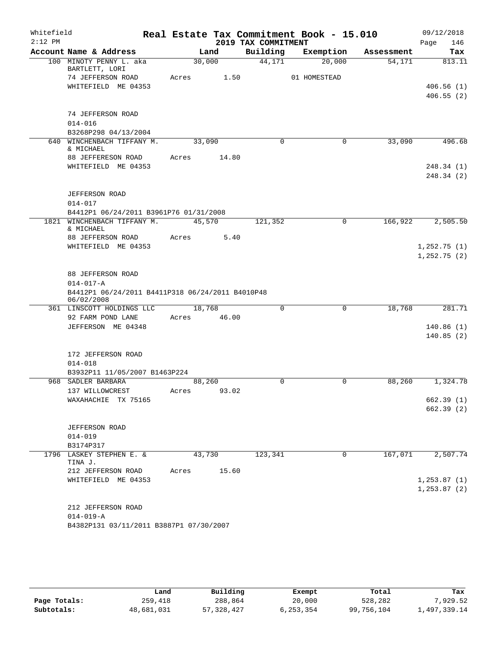| Whitefield<br>$2:12$ PM |                                                  |        |       | 2019 TAX COMMITMENT | Real Estate Tax Commitment Book - 15.010 |            | 09/12/2018<br>146<br>Page |
|-------------------------|--------------------------------------------------|--------|-------|---------------------|------------------------------------------|------------|---------------------------|
|                         | Account Name & Address                           |        | Land  | Building            | Exemption                                | Assessment | Tax                       |
|                         | 100 MINOTY PENNY L. aka<br>BARTLETT, LORI        | 30,000 |       | 44,171              | 20,000                                   | 54,171     | 813.11                    |
|                         | 74 JEFFERSON ROAD                                | Acres  | 1.50  |                     | 01 HOMESTEAD                             |            |                           |
|                         | WHITEFIELD ME 04353                              |        |       |                     |                                          |            | 406.56(1)                 |
|                         |                                                  |        |       |                     |                                          |            | 406.55(2)                 |
|                         | 74 JEFFERSON ROAD                                |        |       |                     |                                          |            |                           |
|                         | $014 - 016$                                      |        |       |                     |                                          |            |                           |
|                         | B3268P298 04/13/2004                             |        |       |                     |                                          |            |                           |
| 640                     | WINCHENBACH TIFFANY M.<br>& MICHAEL              | 33,090 |       | $\Omega$            | 0                                        | 33,090     | 496.68                    |
|                         | 88 JEFFERESON ROAD                               | Acres  | 14.80 |                     |                                          |            |                           |
|                         | WHITEFIELD ME 04353                              |        |       |                     |                                          |            | 248.34(1)                 |
|                         |                                                  |        |       |                     |                                          |            | 248.34(2)                 |
|                         | <b>JEFFERSON ROAD</b>                            |        |       |                     |                                          |            |                           |
|                         | 014-017                                          |        |       |                     |                                          |            |                           |
|                         | B4412P1 06/24/2011 B3961P76 01/31/2008           |        |       |                     |                                          |            |                           |
| 1821                    | WINCHENBACH TIFFANY M.                           | 45,570 |       | 121,352             | $\mathbf 0$                              | 166,922    | 2,505.50                  |
|                         | & MICHAEL                                        |        |       |                     |                                          |            |                           |
|                         | 88 JEFFERSON ROAD                                | Acres  | 5.40  |                     |                                          |            |                           |
|                         | WHITEFIELD ME 04353                              |        |       |                     |                                          |            | 1,252.75(1)               |
|                         |                                                  |        |       |                     |                                          |            | 1,252.75(2)               |
|                         | 88 JEFFERSON ROAD                                |        |       |                     |                                          |            |                           |
|                         | $014 - 017 - A$                                  |        |       |                     |                                          |            |                           |
|                         | B4412P1 06/24/2011 B4411P318 06/24/2011 B4010P48 |        |       |                     |                                          |            |                           |
|                         | 06/02/2008                                       |        |       |                     |                                          |            |                           |
|                         | 361 LINSCOTT HOLDINGS LLC                        | 18,768 |       | $\Omega$            | $\mathbf 0$                              | 18,768     | 281.71                    |
|                         | 92 FARM POND LANE                                | Acres  | 46.00 |                     |                                          |            |                           |
|                         | JEFFERSON ME 04348                               |        |       |                     |                                          |            | 140.86(1)                 |
|                         |                                                  |        |       |                     |                                          |            | 140.85(2)                 |
|                         | 172 JEFFERSON ROAD                               |        |       |                     |                                          |            |                           |
|                         | $014 - 018$                                      |        |       |                     |                                          |            |                           |
|                         | B3932P11 11/05/2007 B1463P224                    |        |       |                     |                                          |            |                           |
|                         | 968 SADLER BARBARA                               | 88,260 |       | 0                   | 0                                        | 88,260     | 1,324.78                  |
|                         | 137 WILLOWCREST                                  | Acres  | 93.02 |                     |                                          |            |                           |
|                         | WAXAHACHIE TX 75165                              |        |       |                     |                                          |            | 662.39 (1)                |
|                         |                                                  |        |       |                     |                                          |            | 662.39(2)                 |
|                         |                                                  |        |       |                     |                                          |            |                           |
|                         | <b>JEFFERSON ROAD</b>                            |        |       |                     |                                          |            |                           |
|                         | $014 - 019$                                      |        |       |                     |                                          |            |                           |
|                         | B3174P317<br>1796 LASKEY STEPHEN E. &            | 43,730 |       | 123,341             | 0                                        | 167,071    | 2,507.74                  |
|                         | TINA J.                                          |        |       |                     |                                          |            |                           |
|                         | 212 JEFFERSON ROAD                               | Acres  | 15.60 |                     |                                          |            |                           |
|                         | WHITEFIELD ME 04353                              |        |       |                     |                                          |            | 1, 253.87(1)              |
|                         |                                                  |        |       |                     |                                          |            | 1, 253.87(2)              |
|                         |                                                  |        |       |                     |                                          |            |                           |
|                         | 212 JEFFERSON ROAD                               |        |       |                     |                                          |            |                           |
|                         | $014 - 019 - A$                                  |        |       |                     |                                          |            |                           |
|                         | B4382P131 03/11/2011 B3887P1 07/30/2007          |        |       |                     |                                          |            |                           |

|              | Land       | Building   | Exempt    | Total      | Tax          |  |
|--------------|------------|------------|-----------|------------|--------------|--|
| Page Totals: | 259,418    | 288,864    | 20,000    | 528,282    | 7.929.52     |  |
| Subtotals:   | 48,681,031 | 57,328,427 | 6,253,354 | 99,756,104 | 1,497,339.14 |  |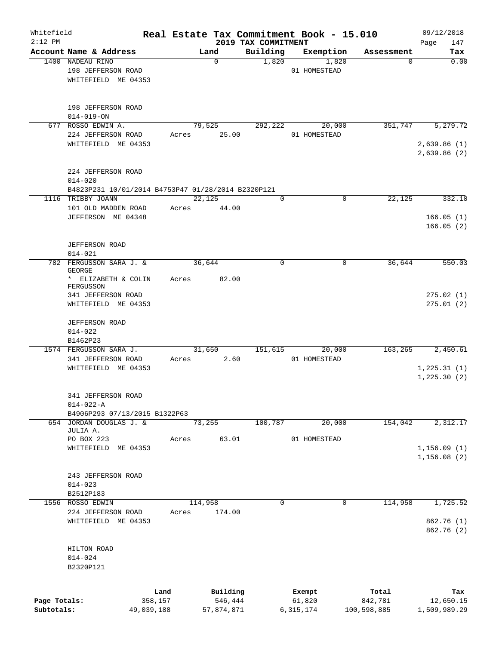| Whitefield<br>$2:12$ PM |                                                    |            |       |             |                                 | Real Estate Tax Commitment Book - 15.010 |             | 09/12/2018                  |
|-------------------------|----------------------------------------------------|------------|-------|-------------|---------------------------------|------------------------------------------|-------------|-----------------------------|
|                         | Account Name & Address                             |            |       | Land        | 2019 TAX COMMITMENT<br>Building | Exemption                                | Assessment  | 147<br>Page<br>Tax          |
|                         | 1400 NADEAU RINO                                   |            |       | $\mathbf 0$ | 1,820                           | 1,820                                    | 0           | 0.00                        |
|                         | 198 JEFFERSON ROAD                                 |            |       |             |                                 | 01 HOMESTEAD                             |             |                             |
|                         | WHITEFIELD ME 04353                                |            |       |             |                                 |                                          |             |                             |
|                         |                                                    |            |       |             |                                 |                                          |             |                             |
|                         | 198 JEFFERSON ROAD<br>$014 - 019 - ON$             |            |       |             |                                 |                                          |             |                             |
| 677                     | ROSSO EDWIN A.                                     |            |       | 79,525      | 292,222                         | 20,000                                   | 351,747     | 5, 279.72                   |
|                         | 224 JEFFERSON ROAD                                 |            | Acres | 25.00       |                                 | 01 HOMESTEAD                             |             |                             |
|                         | WHITEFIELD ME 04353                                |            |       |             |                                 |                                          |             | 2,639.86(1)<br>2,639.86 (2) |
|                         | 224 JEFFERSON ROAD                                 |            |       |             |                                 |                                          |             |                             |
|                         | $014 - 020$                                        |            |       |             |                                 |                                          |             |                             |
|                         | B4823P231 10/01/2014 B4753P47 01/28/2014 B2320P121 |            |       |             |                                 |                                          |             |                             |
|                         | 1116 TRIBBY JOANN                                  |            |       | 22,125      | 0                               | 0                                        | 22,125      | 332.10                      |
|                         | 101 OLD MADDEN ROAD                                |            | Acres | 44.00       |                                 |                                          |             |                             |
|                         | JEFFERSON ME 04348                                 |            |       |             |                                 |                                          |             | 166.05(1)                   |
|                         |                                                    |            |       |             |                                 |                                          |             | 166.05(2)                   |
|                         | JEFFERSON ROAD                                     |            |       |             |                                 |                                          |             |                             |
|                         | $014 - 021$                                        |            |       |             |                                 |                                          |             |                             |
|                         | 782 FERGUSSON SARA J. &<br><b>GEORGE</b>           |            |       | 36,644      | 0                               | $\mathbf 0$                              | 36,644      | 550.03                      |
|                         | * ELIZABETH & COLIN<br>FERGUSSON                   |            | Acres | 82.00       |                                 |                                          |             |                             |
|                         | 341 JEFFERSON ROAD<br>WHITEFIELD ME 04353          |            |       |             |                                 |                                          |             | 275.02(1)<br>275.01(2)      |
|                         | <b>JEFFERSON ROAD</b>                              |            |       |             |                                 |                                          |             |                             |
|                         | $014 - 022$                                        |            |       |             |                                 |                                          |             |                             |
|                         | B1462P23                                           |            |       |             |                                 |                                          |             |                             |
|                         | 1574 FERGUSSON SARA J.                             |            |       | 31,650      | 151,615                         | 20,000                                   | 163,265     | 2,450.61                    |
|                         | 341 JEFFERSON ROAD                                 |            | Acres | 2.60        |                                 | 01 HOMESTEAD                             |             |                             |
|                         | WHITEFIELD ME 04353                                |            |       |             |                                 |                                          |             | 1, 225.31(1)                |
|                         |                                                    |            |       |             |                                 |                                          |             | 1, 225.30(2)                |
|                         | 341 JEFFERSON ROAD                                 |            |       |             |                                 |                                          |             |                             |
|                         | $014 - 022 - A$                                    |            |       |             |                                 |                                          |             |                             |
|                         | B4906P293 07/13/2015 B1322P63                      |            |       |             |                                 |                                          |             |                             |
|                         | 654 JORDAN DOUGLAS J. &<br>JULIA A.                |            |       | 73,255      | 100,787                         | 20,000                                   | 154,042     | 2,312.17                    |
|                         | PO BOX 223                                         |            | Acres | 63.01       |                                 | 01 HOMESTEAD                             |             |                             |
|                         | WHITEFIELD ME 04353                                |            |       |             |                                 |                                          |             | 1, 156.09(1)                |
|                         |                                                    |            |       |             |                                 |                                          |             | 1,156.08(2)                 |
|                         | 243 JEFFERSON ROAD                                 |            |       |             |                                 |                                          |             |                             |
|                         | $014 - 023$                                        |            |       |             |                                 |                                          |             |                             |
|                         | B2512P183                                          |            |       |             |                                 |                                          |             |                             |
|                         | 1556 ROSSO EDWIN                                   |            |       | 114,958     | 0                               | $\mathbf 0$                              | 114,958     | 1,725.52                    |
|                         | 224 JEFFERSON ROAD                                 |            | Acres | 174.00      |                                 |                                          |             |                             |
|                         | WHITEFIELD ME 04353                                |            |       |             |                                 |                                          |             | 862.76 (1)<br>862.76 (2)    |
|                         |                                                    |            |       |             |                                 |                                          |             |                             |
|                         | HILTON ROAD                                        |            |       |             |                                 |                                          |             |                             |
|                         | $014 - 024$                                        |            |       |             |                                 |                                          |             |                             |
|                         | B2320P121                                          |            |       |             |                                 |                                          |             |                             |
|                         |                                                    |            |       |             |                                 |                                          |             |                             |
|                         |                                                    | Land       |       | Building    |                                 | Exempt                                   | Total       | Tax                         |
| Page Totals:            |                                                    | 358,157    |       | 546,444     |                                 | 61,820                                   | 842,781     | 12,650.15                   |
| Subtotals:              |                                                    | 49,039,188 |       | 57,874,871  |                                 | 6,315,174                                | 100,598,885 | 1,509,989.29                |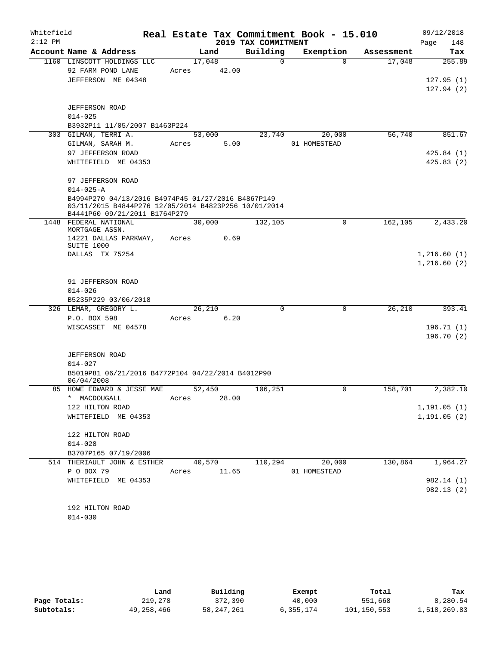| Whitefield |                                                                                       |                 |       |                      | Real Estate Tax Commitment Book - 15.010 |            | 09/12/2018   |     |
|------------|---------------------------------------------------------------------------------------|-----------------|-------|----------------------|------------------------------------------|------------|--------------|-----|
| $2:12$ PM  |                                                                                       |                 |       | 2019 TAX COMMITMENT  |                                          |            | Page         | 148 |
|            | Account Name & Address<br>1160 LINSCOTT HOLDINGS LLC                                  |                 | Land  | Building<br>$\Omega$ | Exemption<br>$\Omega$                    | Assessment | 255.89       | Tax |
|            | 92 FARM POND LANE                                                                     | 17,048<br>Acres | 42.00 |                      |                                          | 17,048     |              |     |
|            | JEFFERSON ME 04348                                                                    |                 |       |                      |                                          |            | 127.95(1)    |     |
|            |                                                                                       |                 |       |                      |                                          |            | 127.94(2)    |     |
|            |                                                                                       |                 |       |                      |                                          |            |              |     |
|            | <b>JEFFERSON ROAD</b>                                                                 |                 |       |                      |                                          |            |              |     |
|            | $014 - 025$                                                                           |                 |       |                      |                                          |            |              |     |
|            | B3932P11 11/05/2007 B1463P224<br>303 GILMAN, TERRI A.                                 |                 |       |                      |                                          | 56,740     | 851.67       |     |
|            | GILMAN, SARAH M.                                                                      | 53,000<br>Acres | 5.00  | 23,740               | 20,000<br>01 HOMESTEAD                   |            |              |     |
|            | 97 JEFFERSON ROAD                                                                     |                 |       |                      |                                          |            | 425.84(1)    |     |
|            | WHITEFIELD ME 04353                                                                   |                 |       |                      |                                          |            | 425.83(2)    |     |
|            |                                                                                       |                 |       |                      |                                          |            |              |     |
|            | 97 JEFFERSON ROAD                                                                     |                 |       |                      |                                          |            |              |     |
|            | $014 - 025 - A$                                                                       |                 |       |                      |                                          |            |              |     |
|            | B4994P270 04/13/2016 B4974P45 01/27/2016 B4867P149                                    |                 |       |                      |                                          |            |              |     |
|            | 03/11/2015 B4844P276 12/05/2014 B4823P256 10/01/2014<br>B4441P60 09/21/2011 B1764P279 |                 |       |                      |                                          |            |              |     |
|            | 1448 FEDERAL NATIONAL                                                                 | 30,000          |       | 132,105              | 0                                        | 162, 105   | 2,433.20     |     |
|            | MORTGAGE ASSN.<br>14221 DALLAS PARKWAY,                                               | Acres           | 0.69  |                      |                                          |            |              |     |
|            | SUITE 1000<br>DALLAS TX 75254                                                         |                 |       |                      |                                          |            | 1,216.60(1)  |     |
|            |                                                                                       |                 |       |                      |                                          |            | 1,216.60(2)  |     |
|            |                                                                                       |                 |       |                      |                                          |            |              |     |
|            | 91 JEFFERSON ROAD                                                                     |                 |       |                      |                                          |            |              |     |
|            | $014 - 026$                                                                           |                 |       |                      |                                          |            |              |     |
|            | B5235P229 03/06/2018                                                                  |                 |       |                      |                                          |            |              |     |
|            | 326 LEMAR, GREGORY L.                                                                 | 26,210          |       | $\mathbf 0$          | 0                                        | 26,210     | 393.41       |     |
|            | P.O. BOX 598                                                                          | Acres           | 6.20  |                      |                                          |            |              |     |
|            | WISCASSET ME 04578                                                                    |                 |       |                      |                                          |            | 196.71(1)    |     |
|            |                                                                                       |                 |       |                      |                                          |            | 196.70(2)    |     |
|            | <b>JEFFERSON ROAD</b>                                                                 |                 |       |                      |                                          |            |              |     |
|            | $014 - 027$                                                                           |                 |       |                      |                                          |            |              |     |
|            | B5019P81 06/21/2016 B4772P104 04/22/2014 B4012P90                                     |                 |       |                      |                                          |            |              |     |
|            | 06/04/2008                                                                            |                 |       |                      |                                          |            |              |     |
|            | 85 HOWE EDWARD & JESSE MAE                                                            | 52,450          |       | 106,251              | 0                                        | 158,701    | 2,382.10     |     |
|            | * MACDOUGALL                                                                          | Acres           | 28.00 |                      |                                          |            |              |     |
|            | 122 HILTON ROAD                                                                       |                 |       |                      |                                          |            | 1, 191.05(1) |     |
|            | WHITEFIELD ME 04353                                                                   |                 |       |                      |                                          |            | 1, 191.05(2) |     |
|            | 122 HILTON ROAD                                                                       |                 |       |                      |                                          |            |              |     |
|            | $014 - 028$                                                                           |                 |       |                      |                                          |            |              |     |
|            | B3707P165 07/19/2006                                                                  |                 |       |                      |                                          |            |              |     |
|            | 514 THERIAULT JOHN & ESTHER                                                           | 40,570          |       | 110,294              | 20,000                                   | 130,864    | 1,964.27     |     |
|            | P O BOX 79                                                                            | Acres           | 11.65 |                      | 01 HOMESTEAD                             |            |              |     |
|            | WHITEFIELD ME 04353                                                                   |                 |       |                      |                                          |            | 982.14 (1)   |     |
|            |                                                                                       |                 |       |                      |                                          |            | 982.13(2)    |     |
|            |                                                                                       |                 |       |                      |                                          |            |              |     |
|            | 192 HILTON ROAD<br>$014 - 030$                                                        |                 |       |                      |                                          |            |              |     |
|            |                                                                                       |                 |       |                      |                                          |            |              |     |

|              | Land       | Building   | Exempt    | Total       | Tax          |
|--------------|------------|------------|-----------|-------------|--------------|
| Page Totals: | 219,278    | 372,390    | 40,000    | 551,668     | 8,280.54     |
| Subtotals:   | 49,258,466 | 58,247,261 | 6,355,174 | 101,150,553 | 1,518,269.83 |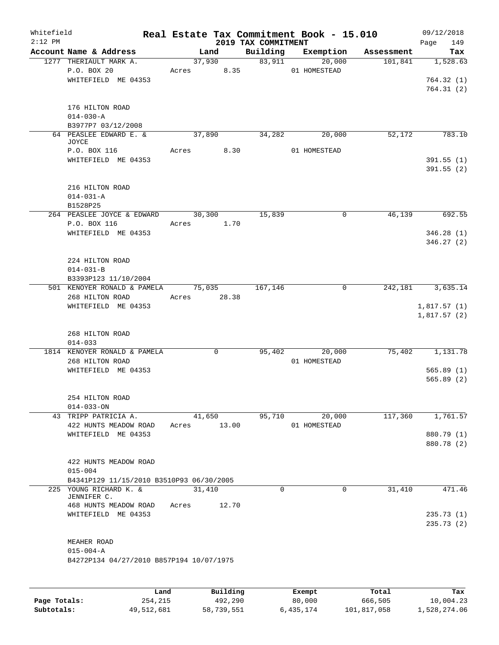| Whitefield<br>$2:12$ PM |                                               |       |                        | 2019 TAX COMMITMENT | Real Estate Tax Commitment Book - 15.010 |            | 09/12/2018<br>Page<br>149 |
|-------------------------|-----------------------------------------------|-------|------------------------|---------------------|------------------------------------------|------------|---------------------------|
|                         | Account Name & Address                        |       | Land                   |                     | Building Exemption                       | Assessment | Tax                       |
|                         | 1277 THERIAULT MARK A.<br>P.O. BOX 20         |       | 37,930<br>Acres 8.35   | 83,911              | 20,000<br>01 HOMESTEAD                   | 101,841    | 1,528.63                  |
|                         | WHITEFIELD ME 04353                           |       |                        |                     |                                          |            | 764.32(1)                 |
|                         |                                               |       |                        |                     |                                          |            | 764.31(2)                 |
|                         | 176 HILTON ROAD                               |       |                        |                     |                                          |            |                           |
|                         | $014 - 030 - A$<br>B3977P7 03/12/2008         |       |                        |                     |                                          |            |                           |
|                         | 64 PEASLEE EDWARD E. &<br>JOYCE               |       | 37,890                 | 34,282              | 20,000                                   | 52,172     | 783.10                    |
|                         | P.O. BOX 116                                  |       | Acres 8.30             |                     | 01 HOMESTEAD                             |            |                           |
|                         | WHITEFIELD ME 04353                           |       |                        |                     |                                          |            | 391.55(1)<br>391.55(2)    |
|                         | 216 HILTON ROAD                               |       |                        |                     |                                          |            |                           |
|                         | $014 - 031 - A$                               |       |                        |                     |                                          |            |                           |
|                         | B1528P25                                      |       |                        | 15,839              |                                          |            | 692.55                    |
|                         | 264 PEASLEE JOYCE & EDWARD<br>P.O. BOX 116    |       | 30,300<br>Acres 1.70   |                     | 0                                        | 46,139     |                           |
|                         | WHITEFIELD ME 04353                           |       |                        |                     |                                          |            | 346.28(1)                 |
|                         |                                               |       |                        |                     |                                          |            | 346.27(2)                 |
|                         | 224 HILTON ROAD                               |       |                        |                     |                                          |            |                           |
|                         | $014 - 031 - B$<br>B3393P123 11/10/2004       |       |                        |                     |                                          |            |                           |
|                         | 501 KENOYER RONALD & PAMELA                   |       | 75,035                 | 167,146             | $\mathbf{0}$                             |            | 242, 181 3, 635. 14       |
|                         | 268 HILTON ROAD                               |       | Acres 28.38            |                     |                                          |            |                           |
|                         | WHITEFIELD ME 04353                           |       |                        |                     |                                          |            | 1,817.57(1)               |
|                         |                                               |       |                        |                     |                                          |            | 1,817.57(2)               |
|                         |                                               |       |                        |                     |                                          |            |                           |
|                         | 268 HILTON ROAD<br>$014 - 033$                |       |                        |                     |                                          |            |                           |
|                         | 1814 KENOYER RONALD & PAMELA                  |       | $\mathbf 0$            |                     | 95,402<br>20,000                         | 75,402     | 1,131.78                  |
|                         | 268 HILTON ROAD                               |       |                        |                     | 01 HOMESTEAD                             |            |                           |
|                         | WHITEFIELD ME 04353                           |       |                        |                     |                                          |            | 565.89(1)                 |
|                         |                                               |       |                        |                     |                                          |            | 565.89(2)                 |
|                         | 254 HILTON ROAD                               |       |                        |                     |                                          |            |                           |
|                         | $014 - 033 - ON$                              |       |                        |                     |                                          |            |                           |
|                         | 43 TRIPP PATRICIA A.<br>422 HUNTS MEADOW ROAD | Acres | 41,650<br>13.00        | 95,710              | 20,000<br>01 HOMESTEAD                   | 117,360    | 1,761.57                  |
|                         | WHITEFIELD ME 04353                           |       |                        |                     |                                          |            | 880.79 (1)                |
|                         |                                               |       |                        |                     |                                          |            | 880.78 (2)                |
|                         | 422 HUNTS MEADOW ROAD                         |       |                        |                     |                                          |            |                           |
|                         | $015 - 004$                                   |       |                        |                     |                                          |            |                           |
|                         | B4341P129 11/15/2010 B3510P93 06/30/2005      |       |                        |                     |                                          |            |                           |
|                         | 225 YOUNG RICHARD K. &<br>JENNIFER C.         |       | 31,410                 | $\Omega$            | 0                                        | 31,410     | 471.46                    |
|                         | 468 HUNTS MEADOW ROAD                         | Acres | 12.70                  |                     |                                          |            |                           |
|                         | WHITEFIELD ME 04353                           |       |                        |                     |                                          |            | 235.73(1)<br>235.73(2)    |
|                         |                                               |       |                        |                     |                                          |            |                           |
|                         | MEAHER ROAD<br>$015 - 004 - A$                |       |                        |                     |                                          |            |                           |
|                         | B4272P134 04/27/2010 B857P194 10/07/1975      |       |                        |                     |                                          |            |                           |
|                         |                                               |       |                        |                     |                                          |            |                           |
|                         | <b>Tond</b>                                   |       | $D_{11}$ in $A$ in $A$ |                     | P1222                                    | $T - 1$    | m.,                       |

|              | Land       | Building   | Exempt    | Total       | Tax          |
|--------------|------------|------------|-----------|-------------|--------------|
| Page Totals: | 254,215    | 492,290    | 80,000    | 666,505     | 10,004.23    |
| Subtotals:   | 49,512,681 | 58,739,551 | 6,435,174 | 101,817,058 | 1,528,274.06 |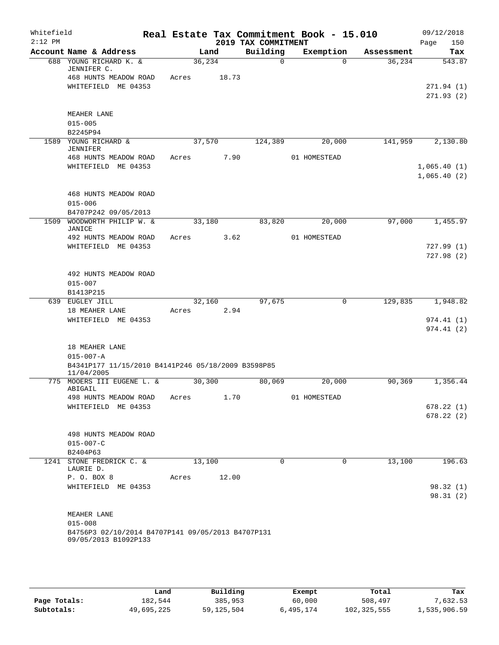| Whitefield<br>$2:12$ PM |                                                                                                       |       |         |       | 2019 TAX COMMITMENT | Real Estate Tax Commitment Book - 15.010 |            | 09/12/2018<br>150<br>Page  |
|-------------------------|-------------------------------------------------------------------------------------------------------|-------|---------|-------|---------------------|------------------------------------------|------------|----------------------------|
|                         | Account Name & Address                                                                                |       | Land    |       | Building            | Exemption                                | Assessment | Tax                        |
|                         | 688 YOUNG RICHARD K. &<br>JENNIFER C.                                                                 |       | 36, 234 |       | $\Omega$            | $\Omega$                                 | 36,234     | 543.87                     |
|                         | 468 HUNTS MEADOW ROAD<br>WHITEFIELD ME 04353                                                          | Acres |         | 18.73 |                     |                                          |            | 271.94(1)<br>271.93(2)     |
|                         | MEAHER LANE<br>$015 - 005$<br>B2245P94                                                                |       |         |       |                     |                                          |            |                            |
|                         | 1589 YOUNG RICHARD &                                                                                  |       | 37,570  |       | 124,389             | 20,000                                   | 141,959    | 2,130.80                   |
|                         | <b>JENNIFER</b>                                                                                       |       |         |       |                     |                                          |            |                            |
|                         | 468 HUNTS MEADOW ROAD<br>WHITEFIELD ME 04353                                                          | Acres |         | 7.90  |                     | 01 HOMESTEAD                             |            | 1,065.40(1)<br>1,065.40(2) |
|                         | 468 HUNTS MEADOW ROAD<br>$015 - 006$<br>B4707P242 09/05/2013                                          |       |         |       |                     |                                          |            |                            |
| 1509                    | WOODWORTH PHILIP W. &                                                                                 |       | 33,180  |       | 83,820              | 20,000                                   | 97,000     | 1,455.97                   |
|                         | JANICE<br>492 HUNTS MEADOW ROAD                                                                       | Acres |         | 3.62  |                     | 01 HOMESTEAD                             |            |                            |
|                         | WHITEFIELD ME 04353                                                                                   |       |         |       |                     |                                          |            | 727.99(1)<br>727.98(2)     |
|                         | 492 HUNTS MEADOW ROAD                                                                                 |       |         |       |                     |                                          |            |                            |
|                         | $015 - 007$<br>B1413P215                                                                              |       |         |       |                     |                                          |            |                            |
|                         | 639 EUGLEY JILL                                                                                       |       | 32,160  |       | 97,675              | $\mathbf 0$                              | 129,835    | 1,948.82                   |
|                         | 18 MEAHER LANE<br>WHITEFIELD ME 04353                                                                 | Acres |         | 2.94  |                     |                                          |            | 974.41 (1)<br>974.41(2)    |
|                         | 18 MEAHER LANE<br>$015 - 007 - A$<br>B4341P177 11/15/2010 B4141P246 05/18/2009 B3598P85<br>11/04/2005 |       |         |       |                     |                                          |            |                            |
|                         | 775 MOOERS III EUGENE L. &<br>ABIGAIL                                                                 |       | 30,300  |       | 80,069              | 20,000                                   | 90,369     | 1,356.44                   |
|                         | 498 HUNTS MEADOW ROAD                                                                                 | Acres |         | 1.70  |                     | 01 HOMESTEAD                             |            |                            |
|                         | WHITEFIELD ME 04353                                                                                   |       |         |       |                     |                                          |            | 678.22(1)<br>678.22(2)     |
|                         | 498 HUNTS MEADOW ROAD<br>$015 - 007 - C$<br>B2404P63                                                  |       |         |       |                     |                                          |            |                            |
|                         | 1241 STONE FREDRICK C. &                                                                              |       | 13,100  |       | 0                   | $\Omega$                                 | 13,100     | 196.63                     |
|                         | LAURIE D.<br>P. O. BOX 8                                                                              | Acres |         | 12.00 |                     |                                          |            |                            |
|                         | WHITEFIELD ME 04353                                                                                   |       |         |       |                     |                                          |            | 98.32 (1)<br>98.31(2)      |
|                         | MEAHER LANE<br>$015 - 008$                                                                            |       |         |       |                     |                                          |            |                            |
|                         | B4756P3 02/10/2014 B4707P141 09/05/2013 B4707P131<br>09/05/2013 B1092P133                             |       |         |       |                     |                                          |            |                            |
|                         |                                                                                                       |       |         |       |                     |                                          |            |                            |

|              | Land       | Building   | Exempt    | Total         | Tax          |
|--------------|------------|------------|-----------|---------------|--------------|
| Page Totals: | 182,544    | 385,953    | 60,000    | 508,497       | 7,632.53     |
| Subtotals:   | 49,695,225 | 59,125,504 | 6,495,174 | 102, 325, 555 | 1,535,906.59 |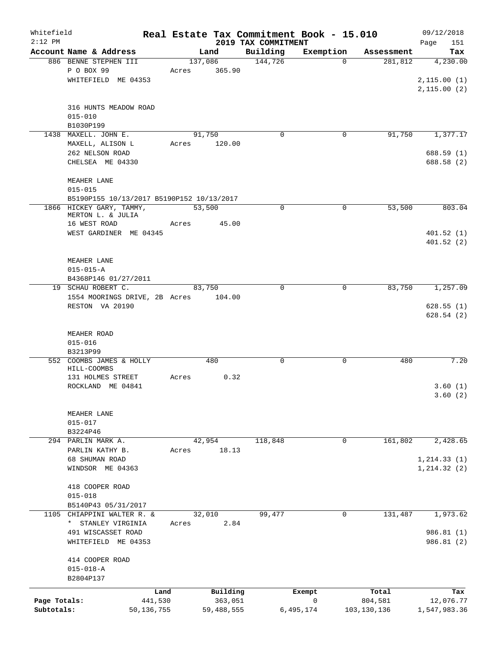| Whitefield<br>$2:12$ PM |                                              |       |              | 2019 TAX COMMITMENT | Real Estate Tax Commitment Book - 15.010 |               | 09/12/2018<br>Page<br>151 |
|-------------------------|----------------------------------------------|-------|--------------|---------------------|------------------------------------------|---------------|---------------------------|
|                         | Account Name & Address                       |       | Land         | Building            | Exemption                                | Assessment    | Tax                       |
|                         | 886 BENNE STEPHEN III                        |       | 137,086      | 144,726             | $\Omega$                                 | 281,812       | 4,230.00                  |
|                         | P O BOX 99                                   | Acres | 365.90       |                     |                                          |               |                           |
|                         | WHITEFIELD ME 04353                          |       |              |                     |                                          |               | 2,115.00(1)               |
|                         |                                              |       |              |                     |                                          |               | 2,115.00(2)               |
|                         |                                              |       |              |                     |                                          |               |                           |
|                         | 316 HUNTS MEADOW ROAD                        |       |              |                     |                                          |               |                           |
|                         | $015 - 010$                                  |       |              |                     |                                          |               |                           |
|                         | B1030P199                                    |       |              |                     |                                          |               |                           |
|                         | 1438 MAXELL. JOHN E.                         |       | 91,750       | $\mathbf 0$         | $\mathbf 0$                              | 91,750        | 1,377.17                  |
|                         | MAXELL, ALISON L                             | Acres | 120.00       |                     |                                          |               |                           |
|                         | 262 NELSON ROAD                              |       |              |                     |                                          |               | 688.59 (1)                |
|                         | CHELSEA ME 04330                             |       |              |                     |                                          |               | 688.58 (2)                |
|                         |                                              |       |              |                     |                                          |               |                           |
|                         | MEAHER LANE                                  |       |              |                     |                                          |               |                           |
|                         | $015 - 015$                                  |       |              |                     |                                          |               |                           |
|                         | B5190P155 10/13/2017 B5190P152 10/13/2017    |       |              |                     |                                          |               |                           |
|                         | 1866 HICKEY GARY, TAMMY,                     |       | 53,500       | $\mathbf 0$         | $\mathbf 0$                              | 53,500        | 803.04                    |
|                         | MERTON L. & JULIA                            |       |              |                     |                                          |               |                           |
|                         | 16 WEST ROAD                                 | Acres | 45.00        |                     |                                          |               |                           |
|                         | WEST GARDINER ME 04345                       |       |              |                     |                                          |               | 401.52(1)                 |
|                         |                                              |       |              |                     |                                          |               | 401.52(2)                 |
|                         |                                              |       |              |                     |                                          |               |                           |
|                         | MEAHER LANE                                  |       |              |                     |                                          |               |                           |
|                         | $015 - 015 - A$                              |       |              |                     |                                          |               |                           |
|                         | B4368P146 01/27/2011                         |       |              |                     |                                          |               |                           |
|                         | 19 SCHAU ROBERT C.                           |       | 83,750       | $\Omega$            | $\mathbf 0$                              | 83,750        | 1,257.09                  |
|                         | 1554 MOORINGS DRIVE, 2B Acres                |       | 104.00       |                     |                                          |               |                           |
|                         | RESTON VA 20190                              |       |              |                     |                                          |               | 628.55(1)                 |
|                         |                                              |       |              |                     |                                          |               | 628.54(2)                 |
|                         |                                              |       |              |                     |                                          |               |                           |
|                         | MEAHER ROAD                                  |       |              |                     |                                          |               |                           |
|                         | $015 - 016$                                  |       |              |                     |                                          |               |                           |
|                         | B3213P99                                     |       |              |                     |                                          |               |                           |
|                         | 552 COOMBS JAMES & HOLLY                     |       | 480          | $\mathbf 0$         | 0                                        | 480           | 7.20                      |
|                         | HILL-COOMBS                                  |       |              |                     |                                          |               |                           |
|                         | 131 HOLMES STREET                            | Acres | 0.32         |                     |                                          |               |                           |
|                         | ROCKLAND ME 04841                            |       |              |                     |                                          |               | 3.60(1)                   |
|                         |                                              |       |              |                     |                                          |               | 3.60(2)                   |
|                         |                                              |       |              |                     |                                          |               |                           |
|                         | MEAHER LANE                                  |       |              |                     |                                          |               |                           |
|                         | $015 - 017$                                  |       |              |                     |                                          |               |                           |
|                         | B3224P46                                     |       |              |                     |                                          |               |                           |
|                         | 294 PARLIN MARK A.                           |       | 42,954       | 118,848             | 0                                        | 161,802       | 2,428.65                  |
|                         | PARLIN KATHY B.                              | Acres | 18.13        |                     |                                          |               |                           |
|                         | 68 SHUMAN ROAD                               |       |              |                     |                                          |               | 1, 214.33(1)              |
|                         | WINDSOR ME 04363                             |       |              |                     |                                          |               | 1, 214.32(2)              |
|                         |                                              |       |              |                     |                                          |               |                           |
|                         | 418 COOPER ROAD                              |       |              |                     |                                          |               |                           |
|                         | $015 - 018$                                  |       |              |                     |                                          |               |                           |
| 1105                    | B5140P43 05/31/2017<br>CHIAPPINI WALTER R. & |       | 32,010       | 99,477              | 0                                        | 131,487       | 1,973.62                  |
|                         | * STANLEY VIRGINIA                           | Acres | 2.84         |                     |                                          |               |                           |
|                         |                                              |       |              |                     |                                          |               |                           |
|                         | 491 WISCASSET ROAD<br>WHITEFIELD ME 04353    |       |              |                     |                                          |               | 986.81 (1)<br>986.81 (2)  |
|                         |                                              |       |              |                     |                                          |               |                           |
|                         | 414 COOPER ROAD                              |       |              |                     |                                          |               |                           |
|                         | $015 - 018 - A$                              |       |              |                     |                                          |               |                           |
|                         | B2804P137                                    |       |              |                     |                                          |               |                           |
|                         |                                              |       |              |                     |                                          |               |                           |
|                         | Land                                         |       | Building     |                     | Exempt                                   | Total         | Tax                       |
| Page Totals:            | 441,530                                      |       | 363,051      |                     | $\mathsf{O}$                             | 804,581       | 12,076.77                 |
| Subtotals:              | 50, 136, 755                                 |       | 59, 488, 555 |                     | 6,495,174                                | 103, 130, 136 | 1,547,983.36              |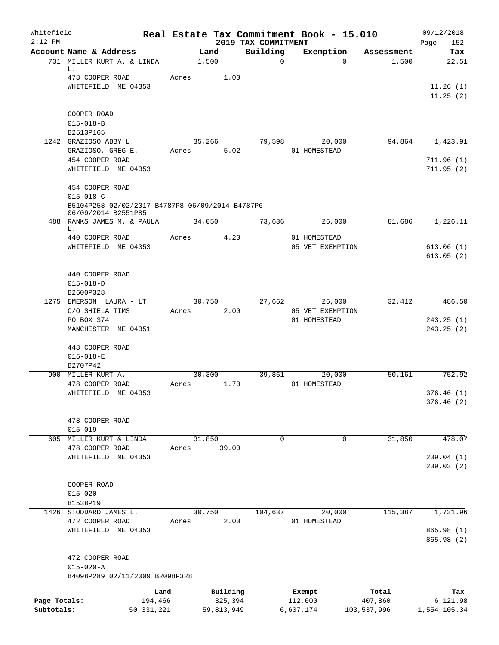| Whitefield<br>$2:12$ PM |                                                                                           | Real Estate Tax Commitment Book - 15.010 |                     | 2019 TAX COMMITMENT |                            |                  | 09/12/2018               |
|-------------------------|-------------------------------------------------------------------------------------------|------------------------------------------|---------------------|---------------------|----------------------------|------------------|--------------------------|
|                         | Account Name & Address                                                                    | Land                                     |                     | Building            | Exemption                  | Assessment       | 152<br>Page<br>Tax       |
|                         | 731 MILLER KURT A. & LINDA<br>L.                                                          | 1,500                                    |                     | $\mathbf 0$         | $\Omega$                   | 1,500            | 22.51                    |
|                         | 478 COOPER ROAD                                                                           | Acres                                    | 1.00                |                     |                            |                  |                          |
|                         | WHITEFIELD ME 04353                                                                       |                                          |                     |                     |                            |                  | 11.26(1)<br>11.25(2)     |
|                         | COOPER ROAD                                                                               |                                          |                     |                     |                            |                  |                          |
|                         | $015 - 018 - B$                                                                           |                                          |                     |                     |                            |                  |                          |
|                         | B2513P165                                                                                 |                                          |                     |                     |                            |                  |                          |
|                         | 1242 GRAZIOSO ABBY L.                                                                     | 35,266                                   |                     | 79,598              | 20,000                     | 94,864           | 1,423.91                 |
|                         | GRAZIOSO, GREG E.<br>454 COOPER ROAD                                                      | Acres                                    | 5.02                |                     | 01 HOMESTEAD               |                  | 711.96(1)                |
|                         | WHITEFIELD ME 04353                                                                       |                                          |                     |                     |                            |                  | 711.95(2)                |
|                         | 454 COOPER ROAD                                                                           |                                          |                     |                     |                            |                  |                          |
|                         | $015 - 018 - C$<br>B5104P258 02/02/2017 B4787P8 06/09/2014 B4787P6<br>06/09/2014 B2551P85 |                                          |                     |                     |                            |                  |                          |
| 488                     | RANKS JAMES M. & PAULA<br>L.                                                              | 34,050                                   |                     | 73,636              | 26,000                     | 81,686           | 1,226.11                 |
|                         | 440 COOPER ROAD                                                                           | Acres                                    | 4.20                |                     | 01 HOMESTEAD               |                  |                          |
|                         | WHITEFIELD ME 04353                                                                       |                                          |                     |                     | 05 VET EXEMPTION           |                  | 613.06(1)<br>613.05(2)   |
|                         | 440 COOPER ROAD                                                                           |                                          |                     |                     |                            |                  |                          |
|                         | $015 - 018 - D$<br>B2600P328                                                              |                                          |                     |                     |                            |                  |                          |
|                         | 1275 EMERSON LAURA - LT<br>C/O SHIELA TIMS                                                | 30,750<br>Acres                          | 2.00                | 27,662              | 26,000<br>05 VET EXEMPTION | 32,412           | 486.50                   |
|                         | PO BOX 374<br>MANCHESTER ME 04351                                                         |                                          |                     |                     | 01 HOMESTEAD               |                  | 243.25(1)<br>243.25(2)   |
|                         | 448 COOPER ROAD                                                                           |                                          |                     |                     |                            |                  |                          |
|                         | $015 - 018 - E$<br>B2707P42                                                               |                                          |                     |                     |                            |                  |                          |
|                         | 900 MILLER KURT A.                                                                        | 30,300                                   |                     | 39,861              | 20,000                     | 50,161           | 752.92                   |
|                         | 478 COOPER ROAD<br>WHITEFIELD ME 04353                                                    | Acres                                    | 1.70                |                     | 01 HOMESTEAD               |                  | 376.46(1)                |
|                         |                                                                                           |                                          |                     |                     |                            |                  | 376.46(2)                |
|                         | 478 COOPER ROAD<br>$015 - 019$                                                            |                                          |                     |                     |                            |                  |                          |
|                         | 605 MILLER KURT & LINDA                                                                   | 31,850                                   |                     | $\mathbf 0$         | 0                          | 31,850           | 478.07                   |
|                         | 478 COOPER ROAD                                                                           | Acres                                    | 39.00               |                     |                            |                  |                          |
|                         | WHITEFIELD ME 04353                                                                       |                                          |                     |                     |                            |                  | 239.04(1)                |
|                         |                                                                                           |                                          |                     |                     |                            |                  | 239.03(2)                |
|                         | COOPER ROAD                                                                               |                                          |                     |                     |                            |                  |                          |
|                         | $015 - 020$<br>B1538P19                                                                   |                                          |                     |                     |                            |                  |                          |
|                         | 1426 STODDARD JAMES L.                                                                    | 30,750                                   |                     | 104,637             | 20,000                     | 115,387          | 1,731.96                 |
|                         | 472 COOPER ROAD                                                                           | Acres                                    | 2.00                |                     | 01 HOMESTEAD               |                  |                          |
|                         | WHITEFIELD ME 04353                                                                       |                                          |                     |                     |                            |                  | 865.98 (1)<br>865.98 (2) |
|                         | 472 COOPER ROAD                                                                           |                                          |                     |                     |                            |                  |                          |
|                         | $015 - 020 - A$<br>B4098P289 02/11/2009 B2098P328                                         |                                          |                     |                     |                            |                  |                          |
|                         |                                                                                           |                                          |                     |                     |                            |                  |                          |
| Page Totals:            | 194,466                                                                                   | Land                                     | Building<br>325,394 |                     | Exempt<br>112,000          | Total<br>407,860 | Tax<br>6,121.98          |
| Subtotals:              | 50, 331, 221                                                                              | 59,813,949                               |                     |                     | 6,607,174                  | 103,537,996      | 1,554,105.34             |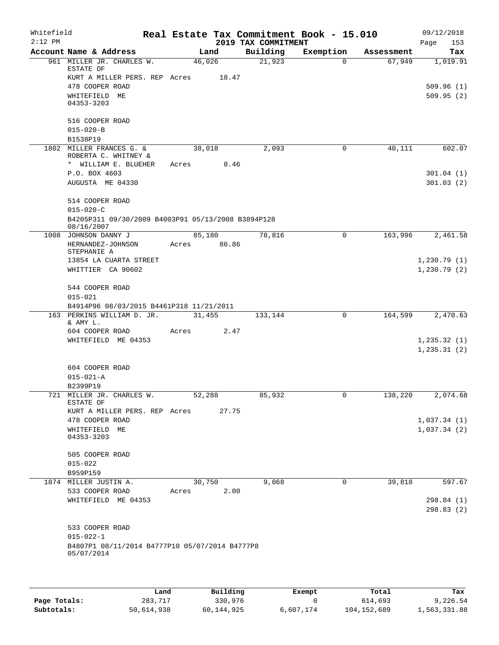| Whitefield |                                                                  |        |       |                     | Real Estate Tax Commitment Book - 15.010 |                      | 09/12/2018             |
|------------|------------------------------------------------------------------|--------|-------|---------------------|------------------------------------------|----------------------|------------------------|
| $2:12$ PM  |                                                                  |        |       | 2019 TAX COMMITMENT |                                          |                      | 153<br>Page            |
|            | Account Name & Address<br>961 MILLER JR. CHARLES W.              | 46,026 | Land  | Building<br>21,923  | Exemption<br>$\Omega$                    | Assessment<br>67,949 | Tax<br>1,019.91        |
|            | ESTATE OF                                                        |        |       |                     |                                          |                      |                        |
|            | KURT A MILLER PERS. REP Acres                                    |        | 18.47 |                     |                                          |                      |                        |
|            | 478 COOPER ROAD<br>WHITEFIELD ME                                 |        |       |                     |                                          |                      | 509.96(1)<br>509.95(2) |
|            | 04353-3203                                                       |        |       |                     |                                          |                      |                        |
|            | 516 COOPER ROAD                                                  |        |       |                     |                                          |                      |                        |
|            | $015 - 020 - B$                                                  |        |       |                     |                                          |                      |                        |
|            | B1538P19                                                         |        |       |                     |                                          |                      |                        |
| 1802       | MILLER FRANCES G. &                                              | 38,018 |       | 2,093               | $\mathbf 0$                              | 40,111               | 602.07                 |
|            | ROBERTA C. WHITNEY &                                             |        |       |                     |                                          |                      |                        |
|            | * WILLIAM E. BLUEHER                                             | Acres  | 8.46  |                     |                                          |                      |                        |
|            | P.O. BOX 4603                                                    |        |       |                     |                                          |                      | 301.04(1)              |
|            | AUGUSTA ME 04330                                                 |        |       |                     |                                          |                      | 301.03(2)              |
|            | 514 COOPER ROAD                                                  |        |       |                     |                                          |                      |                        |
|            | $015 - 020 - C$                                                  |        |       |                     |                                          |                      |                        |
|            | B4205P311 09/30/2009 B4003P91 05/13/2008 B3894P128<br>08/16/2007 |        |       |                     |                                          |                      |                        |
|            | 1008 JOHNSON DANNY J                                             | 85,180 |       | 78,816              | 0                                        | 163,996              | 2,461.58               |
|            | HERNANDEZ-JOHNSON                                                | Acres  | 86.86 |                     |                                          |                      |                        |
|            | STEPHANIE A                                                      |        |       |                     |                                          |                      |                        |
|            | 13854 LA CUARTA STREET                                           |        |       |                     |                                          |                      | 1,230.79(1)            |
|            | WHITTIER CA 90602                                                |        |       |                     |                                          |                      | 1,230.79(2)            |
|            | 544 COOPER ROAD                                                  |        |       |                     |                                          |                      |                        |
|            | $015 - 021$                                                      |        |       |                     |                                          |                      |                        |
|            | B4914P96 08/03/2015 B4461P318 11/21/2011                         |        |       |                     |                                          |                      |                        |
|            | 163 PERKINS WILLIAM D. JR.<br>& AMY L.                           | 31,455 |       | 133,144             | $\mathbf 0$                              | 164,599              | 2,470.63               |
|            | 604 COOPER ROAD                                                  | Acres  | 2.47  |                     |                                          |                      |                        |
|            | WHITEFIELD ME 04353                                              |        |       |                     |                                          |                      | 1, 235.32(1)           |
|            |                                                                  |        |       |                     |                                          |                      | 1, 235.31(2)           |
|            | 604 COOPER ROAD                                                  |        |       |                     |                                          |                      |                        |
|            | $015 - 021 - A$                                                  |        |       |                     |                                          |                      |                        |
|            | B2399P19                                                         |        |       |                     |                                          |                      |                        |
|            | 721 MILLER JR. CHARLES W.                                        | 52,288 |       | 85,932              | $\overline{0}$                           | 138,220              | 2,074.68               |
|            | ESTATE OF                                                        |        |       |                     |                                          |                      |                        |
|            | KURT A MILLER PERS. REP Acres                                    |        | 27.75 |                     |                                          |                      |                        |
|            | 478 COOPER ROAD                                                  |        |       |                     |                                          |                      | 1,037.34(1)            |
|            | WHITEFIELD ME<br>04353-3203                                      |        |       |                     |                                          |                      | 1,037.34(2)            |
|            | 505 COOPER ROAD                                                  |        |       |                     |                                          |                      |                        |
|            | $015 - 022$                                                      |        |       |                     |                                          |                      |                        |
|            | B959P159                                                         |        |       |                     |                                          |                      |                        |
|            | 1874 MILLER JUSTIN A.                                            | 30,750 |       | 9,068               | 0                                        | 39,818               | 597.67                 |
|            | 533 COOPER ROAD                                                  | Acres  | 2.00  |                     |                                          |                      |                        |
|            | WHITEFIELD ME 04353                                              |        |       |                     |                                          |                      | 298.84(1)              |
|            |                                                                  |        |       |                     |                                          |                      | 298.83(2)              |
|            | 533 COOPER ROAD                                                  |        |       |                     |                                          |                      |                        |
|            | $015 - 022 - 1$                                                  |        |       |                     |                                          |                      |                        |
|            | B4807P1 08/11/2014 B4777P10 05/07/2014 B4777P8                   |        |       |                     |                                          |                      |                        |
|            | 05/07/2014                                                       |        |       |                     |                                          |                      |                        |
|            |                                                                  |        |       |                     |                                          |                      |                        |
|            |                                                                  |        |       |                     |                                          |                      |                        |

|              | Land       | Building   | Exempt    | Total       | Tax          |
|--------------|------------|------------|-----------|-------------|--------------|
| Page Totals: | 283,717    | 330,976    |           | 614,693     | 9,226.54     |
| Subtotals:   | 50,614,938 | 60,144,925 | 6,607,174 | 104,152,689 | 1,563,331.88 |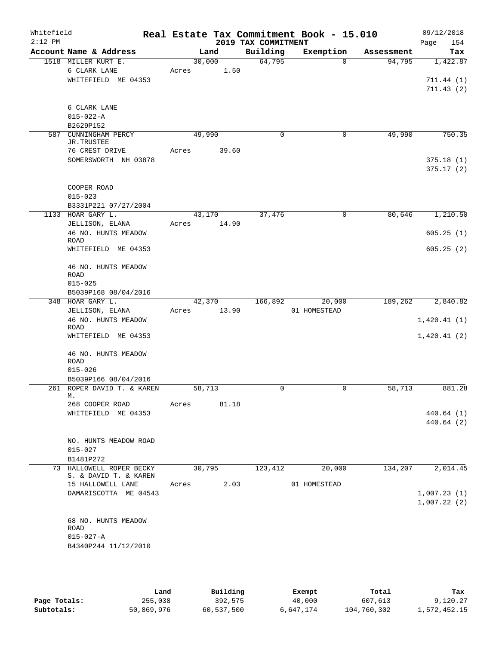| Whitefield<br>$2:12$ PM |                                 |       |        | 2019 TAX COMMITMENT | Real Estate Tax Commitment Book - 15.010 |            | 09/12/2018<br>154<br>Page |
|-------------------------|---------------------------------|-------|--------|---------------------|------------------------------------------|------------|---------------------------|
|                         | Account Name & Address          |       | Land   | Building            | Exemption                                | Assessment | Tax                       |
|                         | 1518 MILLER KURT E.             |       | 30,000 | 64,795              | $\Omega$                                 | 94,795     | 1,422.87                  |
|                         | 6 CLARK LANE                    | Acres | 1.50   |                     |                                          |            |                           |
|                         | WHITEFIELD ME 04353             |       |        |                     |                                          |            | 711.44(1)                 |
|                         |                                 |       |        |                     |                                          |            | 711.43(2)                 |
|                         |                                 |       |        |                     |                                          |            |                           |
|                         | 6 CLARK LANE<br>$015 - 022 - A$ |       |        |                     |                                          |            |                           |
|                         | B2629P152                       |       |        |                     |                                          |            |                           |
| 587                     | CUNNINGHAM PERCY                |       | 49,990 | 0                   | 0                                        | 49,990     | 750.35                    |
|                         | JR.TRUSTEE                      |       |        |                     |                                          |            |                           |
|                         | 76 CREST DRIVE                  | Acres | 39.60  |                     |                                          |            |                           |
|                         | SOMERSWORTH NH 03878            |       |        |                     |                                          |            | 375.18(1)                 |
|                         |                                 |       |        |                     |                                          |            | 375.17(2)                 |
|                         |                                 |       |        |                     |                                          |            |                           |
|                         | COOPER ROAD                     |       |        |                     |                                          |            |                           |
|                         | $015 - 023$                     |       |        |                     |                                          |            |                           |
|                         | B3331P221 07/27/2004            |       |        |                     |                                          |            |                           |
|                         | 1133 HOAR GARY L.               |       | 43,170 | 37,476              | 0                                        | 80,646     | 1,210.50                  |
|                         | JELLISON, ELANA                 | Acres | 14.90  |                     |                                          |            |                           |
|                         | 46 NO. HUNTS MEADOW             |       |        |                     |                                          |            | 605.25(1)                 |
|                         | ROAD<br>WHITEFIELD ME 04353     |       |        |                     |                                          |            | 605.25(2)                 |
|                         |                                 |       |        |                     |                                          |            |                           |
|                         | 46 NO. HUNTS MEADOW             |       |        |                     |                                          |            |                           |
|                         | <b>ROAD</b>                     |       |        |                     |                                          |            |                           |
|                         | $015 - 025$                     |       |        |                     |                                          |            |                           |
|                         | B5039P168 08/04/2016            |       |        |                     |                                          |            |                           |
|                         | 348 HOAR GARY L.                |       | 42,370 | 166,892             | 20,000                                   | 189,262    | 2,840.82                  |
|                         | JELLISON, ELANA                 | Acres | 13.90  |                     | 01 HOMESTEAD                             |            |                           |
|                         | 46 NO. HUNTS MEADOW             |       |        |                     |                                          |            | 1,420.41(1)               |
|                         | ROAD<br>WHITEFIELD ME 04353     |       |        |                     |                                          |            | 1,420.41(2)               |
|                         |                                 |       |        |                     |                                          |            |                           |
|                         | 46 NO. HUNTS MEADOW             |       |        |                     |                                          |            |                           |
|                         | ROAD                            |       |        |                     |                                          |            |                           |
|                         | $015 - 026$                     |       |        |                     |                                          |            |                           |
|                         | B5039P166 08/04/2016            |       |        |                     |                                          |            |                           |
|                         | 261 ROPER DAVID T. & KAREN      |       | 58,713 | 0                   | 0                                        | 58,713     | 881.28                    |
|                         | м.                              |       |        |                     |                                          |            |                           |
|                         | 268 COOPER ROAD                 | Acres | 81.18  |                     |                                          |            |                           |
|                         | WHITEFIELD ME 04353             |       |        |                     |                                          |            | 440.64 (1)<br>440.64(2)   |
|                         |                                 |       |        |                     |                                          |            |                           |
|                         | NO. HUNTS MEADOW ROAD           |       |        |                     |                                          |            |                           |
|                         | $015 - 027$                     |       |        |                     |                                          |            |                           |
|                         | B1481P272                       |       |        |                     |                                          |            |                           |
|                         | 73 HALLOWELL ROPER BECKY        |       | 30,795 | 123,412             | 20,000                                   | 134,207    | 2,014.45                  |
|                         | S. & DAVID T. & KAREN           |       |        |                     |                                          |            |                           |
|                         | 15 HALLOWELL LANE               | Acres | 2.03   |                     | 01 HOMESTEAD                             |            |                           |
|                         | DAMARISCOTTA ME 04543           |       |        |                     |                                          |            | 1,007.23(1)               |
|                         |                                 |       |        |                     |                                          |            | 1,007.22(2)               |
|                         |                                 |       |        |                     |                                          |            |                           |
|                         | 68 NO. HUNTS MEADOW<br>ROAD     |       |        |                     |                                          |            |                           |
|                         | $015 - 027 - A$                 |       |        |                     |                                          |            |                           |
|                         | B4340P244 11/12/2010            |       |        |                     |                                          |            |                           |
|                         |                                 |       |        |                     |                                          |            |                           |
|                         |                                 |       |        |                     |                                          |            |                           |
|                         |                                 |       |        |                     |                                          |            |                           |

|              | Land       | Building   | Exempt    | Total       | Tax          |
|--------------|------------|------------|-----------|-------------|--------------|
| Page Totals: | 255,038    | 392,575    | 40,000    | 607,613     | 9,120.27     |
| Subtotals:   | 50,869,976 | 60,537,500 | 6,647,174 | 104,760,302 | 1,572,452.15 |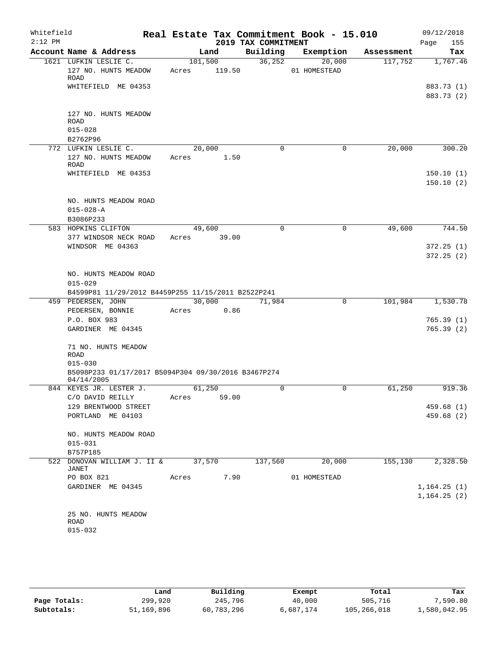| Whitefield<br>$2:12$ PM |                                                                                              |                  |        | 2019 TAX COMMITMENT | Real Estate Tax Commitment Book - 15.010 |            | 09/12/2018<br>155<br>Page   |
|-------------------------|----------------------------------------------------------------------------------------------|------------------|--------|---------------------|------------------------------------------|------------|-----------------------------|
|                         | Account Name & Address                                                                       |                  | Land   | Building            | Exemption                                | Assessment | Tax                         |
|                         | 1621 LUFKIN LESLIE C.<br>127 NO. HUNTS MEADOW<br><b>ROAD</b>                                 | 101,500<br>Acres | 119.50 | 36, 252             | 20,000<br>01 HOMESTEAD                   | 117,752    | 1,767.46                    |
|                         | WHITEFIELD ME 04353                                                                          |                  |        |                     |                                          |            | 883.73 (1)<br>883.73 (2)    |
|                         | 127 NO. HUNTS MEADOW<br><b>ROAD</b><br>$015 - 028$                                           |                  |        |                     |                                          |            |                             |
|                         | B2762P96                                                                                     |                  |        |                     |                                          |            |                             |
|                         | 772 LUFKIN LESLIE C.<br>127 NO. HUNTS MEADOW<br>ROAD                                         | 20,000<br>Acres  | 1.50   | 0                   | $\mathbf 0$                              | 20,000     | 300.20                      |
|                         | WHITEFIELD ME 04353                                                                          |                  |        |                     |                                          |            | 150.10(1)<br>150.10(2)      |
|                         | NO. HUNTS MEADOW ROAD<br>$015 - 028 - A$<br>B3086P233                                        |                  |        |                     |                                          |            |                             |
|                         | 583 HOPKINS CLIFTON                                                                          | 49,600           |        | $\Omega$            | 0                                        | 49,600     | 744.50                      |
|                         | 377 WINDSOR NECK ROAD<br>WINDSOR ME 04363                                                    | Acres            | 39.00  |                     |                                          |            | 372.25(1)<br>372.25(2)      |
|                         | NO. HUNTS MEADOW ROAD<br>$015 - 029$<br>B4599P81 11/29/2012 B4459P255 11/15/2011 B2522P241   |                  |        |                     |                                          |            |                             |
|                         | 459 PEDERSEN, JOHN                                                                           | 30,000           |        | 71,984              | $\mathbf 0$                              | 101,984    | 1,530.78                    |
|                         | PEDERSEN, BONNIE                                                                             | Acres            | 0.86   |                     |                                          |            |                             |
|                         | P.O. BOX 983<br>GARDINER ME 04345                                                            |                  |        |                     |                                          |            | 765.39(1)<br>765.39(2)      |
|                         | 71 NO. HUNTS MEADOW<br><b>ROAD</b>                                                           |                  |        |                     |                                          |            |                             |
|                         | $015 - 030$                                                                                  |                  |        |                     |                                          |            |                             |
|                         | B5098P233 01/17/2017 B5094P304 09/30/2016 B3467P274<br>04/14/2005<br>844 KEYES JR. LESTER J. | 61,250           |        | 0                   | 0                                        | 61,250     | 919.36                      |
|                         | C/O DAVID REILLY                                                                             | Acres            | 59.00  |                     |                                          |            |                             |
|                         | 129 BRENTWOOD STREET                                                                         |                  |        |                     |                                          |            | 459.68 (1)                  |
|                         | PORTLAND ME 04103                                                                            |                  |        |                     |                                          |            | 459.68(2)                   |
|                         | NO. HUNTS MEADOW ROAD<br>$015 - 031$                                                         |                  |        |                     |                                          |            |                             |
|                         | B757P185                                                                                     |                  |        |                     |                                          |            |                             |
|                         | 522 DONOVAN WILLIAM J. II &<br><b>JANET</b>                                                  | 37,570           |        | 137,560             | 20,000                                   | 155, 130   | 2,328.50                    |
|                         | PO BOX 821                                                                                   | Acres            | 7.90   |                     | 01 HOMESTEAD                             |            |                             |
|                         | GARDINER ME 04345                                                                            |                  |        |                     |                                          |            | 1,164.25(1)<br>1, 164.25(2) |
|                         | 25 NO. HUNTS MEADOW<br>ROAD<br>$015 - 032$                                                   |                  |        |                     |                                          |            |                             |
|                         |                                                                                              |                  |        |                     |                                          |            |                             |

|              | Land       | Building   | Exempt    | Total       | Tax          |
|--------------|------------|------------|-----------|-------------|--------------|
| Page Totals: | 299,920    | 245,796    | 40,000    | 505,716     | 7,590.80     |
| Subtotals:   | 51,169,896 | 60,783,296 | 6,687,174 | 105,266,018 | 1,580,042.95 |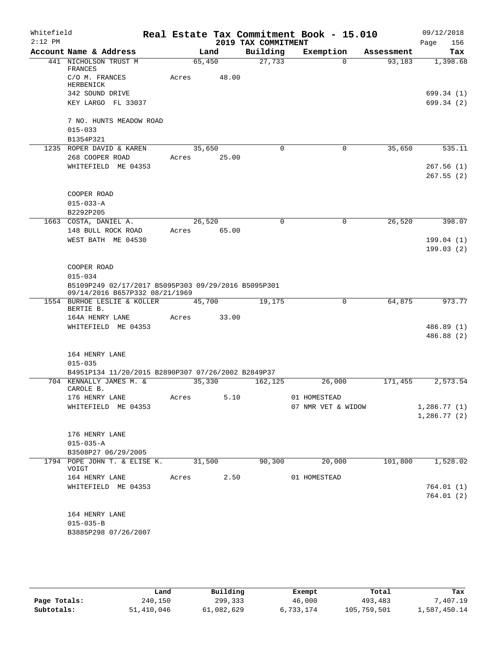| Whitefield<br>$2:12$ PM |                                                                                   |        |        | 2019 TAX COMMITMENT | Real Estate Tax Commitment Book - 15.010 |            | 09/12/2018<br>Page<br>156 |
|-------------------------|-----------------------------------------------------------------------------------|--------|--------|---------------------|------------------------------------------|------------|---------------------------|
|                         | Account Name & Address                                                            |        | Land   | Building            | Exemption                                | Assessment | Tax                       |
|                         | 441 NICHOLSON TRUST M<br>FRANCES                                                  |        | 65,450 | 27,733              | $\Omega$                                 | 93,183     | 1,398.68                  |
|                         | C/O M. FRANCES<br>HERBENICK                                                       | Acres  | 48.00  |                     |                                          |            |                           |
|                         | 342 SOUND DRIVE                                                                   |        |        |                     |                                          |            | 699.34 (1)                |
|                         | KEY LARGO FL 33037                                                                |        |        |                     |                                          |            | 699.34(2)                 |
|                         | 7 NO. HUNTS MEADOW ROAD<br>$015 - 033$                                            |        |        |                     |                                          |            |                           |
|                         | B1354P321                                                                         |        |        |                     |                                          |            |                           |
|                         | 1235 ROPER DAVID & KAREN                                                          |        | 35,650 | $\mathbf 0$         | $\mathbf 0$                              | 35,650     | 535.11                    |
|                         | 268 COOPER ROAD                                                                   | Acres  | 25.00  |                     |                                          |            |                           |
|                         | WHITEFIELD ME 04353                                                               |        |        |                     |                                          |            | 267.56(1)<br>267.55(2)    |
|                         | COOPER ROAD                                                                       |        |        |                     |                                          |            |                           |
|                         | $015 - 033 - A$                                                                   |        |        |                     |                                          |            |                           |
|                         | B2292P205<br>1663 COSTA, DANIEL A.                                                |        | 26,520 | $\mathbf 0$         | $\mathbf 0$                              | 26,520     | 398.07                    |
|                         | 148 BULL ROCK ROAD                                                                | Acres  | 65.00  |                     |                                          |            |                           |
|                         | WEST BATH ME 04530                                                                |        |        |                     |                                          |            | 199.04(1)<br>199.03(2)    |
|                         | COOPER ROAD<br>$015 - 034$<br>B5109P249 02/17/2017 B5095P303 09/29/2016 B5095P301 |        |        |                     |                                          |            |                           |
|                         | 09/14/2016 B657P332 08/21/1969<br>1554 BURHOE LESLIE & KOLLER                     |        | 45,700 | 19,175              | 0                                        | 64,875     | 973.77                    |
|                         | BERTIE B.                                                                         |        |        |                     |                                          |            |                           |
|                         | 164A HENRY LANE                                                                   | Acres  | 33.00  |                     |                                          |            |                           |
|                         | WHITEFIELD ME 04353                                                               |        |        |                     |                                          |            | 486.89(1)                 |
|                         |                                                                                   |        |        |                     |                                          |            | 486.88 (2)                |
|                         | 164 HENRY LANE                                                                    |        |        |                     |                                          |            |                           |
|                         | $015 - 035$<br>B4951P134 11/20/2015 B2890P307 07/26/2002 B2849P37                 |        |        |                     |                                          |            |                           |
|                         | 704 KENNALLY JAMES M. &                                                           |        | 35,330 | 162,125             | 26,000                                   | 171,455    | 2,573.54                  |
|                         | CAROLE B.                                                                         |        |        |                     |                                          |            |                           |
|                         | 176 HENRY LANE                                                                    | Acres  | 5.10   |                     | 01 HOMESTEAD                             |            |                           |
|                         | WHITEFIELD ME 04353                                                               |        |        |                     | 07 NMR VET & WIDOW                       |            | 1,286.77(1)               |
|                         |                                                                                   |        |        |                     |                                          |            | 1,286.77(2)               |
|                         | 176 HENRY LANE                                                                    |        |        |                     |                                          |            |                           |
|                         | $015 - 035 - A$                                                                   |        |        |                     |                                          |            |                           |
|                         | B3508P27 06/29/2005                                                               |        |        |                     |                                          |            |                           |
|                         | 1794 POPE JOHN T. & ELISE K.<br>VOIGT                                             | 31,500 |        | 90,300              | 20,000                                   | 101,800    | 1,528.02                  |
|                         | 164 HENRY LANE                                                                    | Acres  | 2.50   |                     | 01 HOMESTEAD                             |            |                           |
|                         | WHITEFIELD ME 04353                                                               |        |        |                     |                                          |            | 764.01(1)                 |
|                         |                                                                                   |        |        |                     |                                          |            | 764.01(2)                 |
|                         | 164 HENRY LANE                                                                    |        |        |                     |                                          |            |                           |
|                         | $015 - 035 - B$                                                                   |        |        |                     |                                          |            |                           |
|                         | B3885P298 07/26/2007                                                              |        |        |                     |                                          |            |                           |
|                         |                                                                                   |        |        |                     |                                          |            |                           |

|              | Land       | Building   | Exempt    | Total       | Tax          |
|--------------|------------|------------|-----------|-------------|--------------|
| Page Totals: | 240,150    | 299,333    | 46,000    | 493,483     | .407.19      |
| Subtotals:   | 51,410,046 | 61,082,629 | 6,733,174 | 105,759,501 | l,587,450.14 |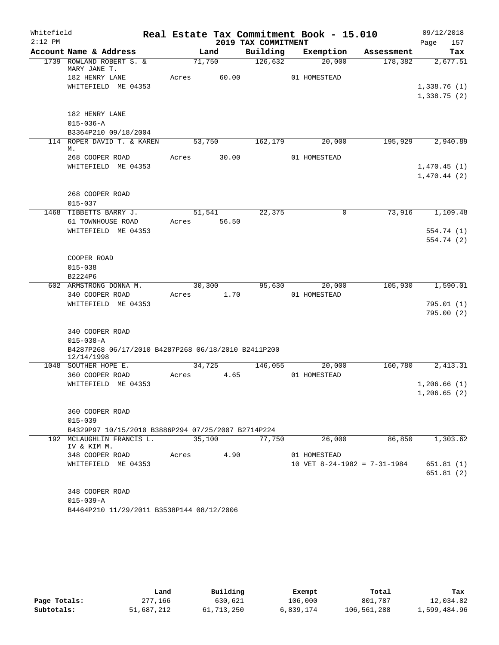| Whitefield |                                                                   |       |                |                     | Real Estate Tax Commitment Book - 15.010 |            | 09/12/2018  |
|------------|-------------------------------------------------------------------|-------|----------------|---------------------|------------------------------------------|------------|-------------|
| $2:12$ PM  |                                                                   |       |                | 2019 TAX COMMITMENT |                                          |            | 157<br>Page |
|            | Account Name & Address                                            |       | Land           | Building            | Exemption                                | Assessment | Tax         |
|            | 1739 ROWLAND ROBERT S. &<br>MARY JANE T.                          |       | 71,750         | 126,632             | 20,000                                   | 178,382    | 2,677.51    |
|            | 182 HENRY LANE                                                    | Acres | 60.00          |                     | 01 HOMESTEAD                             |            |             |
|            | WHITEFIELD ME 04353                                               |       |                |                     |                                          |            | 1,338.76(1) |
|            |                                                                   |       |                |                     |                                          |            | 1,338.75(2) |
|            | 182 HENRY LANE                                                    |       |                |                     |                                          |            |             |
|            | $015 - 036 - A$                                                   |       |                |                     |                                          |            |             |
|            | B3364P210 09/18/2004                                              |       |                |                     |                                          |            |             |
|            | 114 ROPER DAVID T. & KAREN<br>М.                                  |       | 53,750         | 162,179             | 20,000                                   | 195,929    | 2,940.89    |
|            | 268 COOPER ROAD                                                   | Acres | 30.00          |                     | 01 HOMESTEAD                             |            |             |
|            | WHITEFIELD ME 04353                                               |       |                |                     |                                          |            | 1,470.45(1) |
|            |                                                                   |       |                |                     |                                          |            | 1,470.44(2) |
|            |                                                                   |       |                |                     |                                          |            |             |
|            | 268 COOPER ROAD<br>$015 - 037$                                    |       |                |                     |                                          |            |             |
| 1468       | TIBBETTS BARRY J.                                                 |       | 51,541         | 22,375              | $\mathbf 0$                              | 73,916     | 1,109.48    |
|            | 61 TOWNHOUSE ROAD                                                 | Acres | 56.50          |                     |                                          |            |             |
|            | WHITEFIELD ME 04353                                               |       |                |                     |                                          |            | 554.74 (1)  |
|            |                                                                   |       |                |                     |                                          |            | 554.74 (2)  |
|            |                                                                   |       |                |                     |                                          |            |             |
|            | COOPER ROAD                                                       |       |                |                     |                                          |            |             |
|            | $015 - 038$                                                       |       |                |                     |                                          |            |             |
|            | B2224P6                                                           |       |                |                     |                                          |            |             |
|            | 602 ARMSTRONG DONNA M.<br>340 COOPER ROAD                         | Acres | 30,300<br>1.70 | 95,630              | 20,000<br>01 HOMESTEAD                   | 105,930    | 1,590.01    |
|            | WHITEFIELD ME 04353                                               |       |                |                     |                                          |            | 795.01(1)   |
|            |                                                                   |       |                |                     |                                          |            | 795.00(2)   |
|            |                                                                   |       |                |                     |                                          |            |             |
|            | 340 COOPER ROAD                                                   |       |                |                     |                                          |            |             |
|            | $015 - 038 - A$                                                   |       |                |                     |                                          |            |             |
|            | B4287P268 06/17/2010 B4287P268 06/18/2010 B2411P200<br>12/14/1998 |       |                |                     |                                          |            |             |
|            | 1048 SOUTHER HOPE E.                                              |       | 34,725         | 146,055             | 20,000                                   | 160,780    | 2,413.31    |
|            | 360 COOPER ROAD                                                   | Acres | 4.65           |                     | 01 HOMESTEAD                             |            |             |
|            | WHITEFIELD ME 04353                                               |       |                |                     |                                          |            | 1,206.66(1) |
|            |                                                                   |       |                |                     |                                          |            | 1,206.65(2) |
|            | 360 COOPER ROAD                                                   |       |                |                     |                                          |            |             |
|            | $015 - 039$                                                       |       |                |                     |                                          |            |             |
|            | B4329P97 10/15/2010 B3886P294 07/25/2007 B2714P224                |       |                |                     |                                          |            |             |
|            | 192 MCLAUGHLIN FRANCIS L.<br>IV & KIM M.                          |       | 35,100         | 77,750              | 26,000                                   | 86,850     | 1,303.62    |
|            | 348 COOPER ROAD                                                   | Acres | 4.90           |                     | 01 HOMESTEAD                             |            |             |
|            | WHITEFIELD ME 04353                                               |       |                |                     | 10 VET $8-24-1982 = 7-31-1984$           |            | 651.81 (1)  |
|            |                                                                   |       |                |                     |                                          |            | 651.81(2)   |
|            |                                                                   |       |                |                     |                                          |            |             |
|            | 348 COOPER ROAD<br>$015 - 039 - A$                                |       |                |                     |                                          |            |             |
|            | B4464P210 11/29/2011 B3538P144 08/12/2006                         |       |                |                     |                                          |            |             |
|            |                                                                   |       |                |                     |                                          |            |             |

|              | Land       | Building   | Exempt    | Total       | Tax          |
|--------------|------------|------------|-----------|-------------|--------------|
| Page Totals: | 277,166    | 630,621    | 106,000   | 801,787     | 12,034.82    |
| Subtotals:   | 51,687,212 | 61,713,250 | 6,839,174 | 106,561,288 | 1,599,484.96 |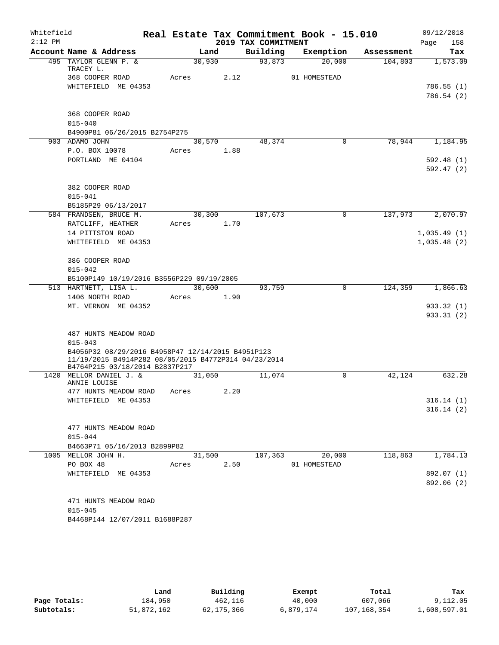| Whitefield<br>$2:12$ PM |                                                                                                           |            |      | 2019 TAX COMMITMENT | Real Estate Tax Commitment Book - 15.010 |            | 09/12/2018<br>Page<br>158 |
|-------------------------|-----------------------------------------------------------------------------------------------------------|------------|------|---------------------|------------------------------------------|------------|---------------------------|
|                         | Account Name & Address                                                                                    | Land       |      | Building            | Exemption                                | Assessment | Tax                       |
|                         | 495 TAYLOR GLENN P. &<br>TRACEY L.                                                                        | 30,930     |      | 93,873              | 20,000                                   | 104,803    | 1,573.09                  |
|                         | 368 COOPER ROAD                                                                                           | Acres      | 2.12 |                     | 01 HOMESTEAD                             |            |                           |
|                         | WHITEFIELD ME 04353                                                                                       |            |      |                     |                                          |            | 786.55(1)                 |
|                         |                                                                                                           |            |      |                     |                                          |            | 786.54 (2)                |
|                         | 368 COOPER ROAD                                                                                           |            |      |                     |                                          |            |                           |
|                         | $015 - 040$                                                                                               |            |      |                     |                                          |            |                           |
|                         | B4900P81 06/26/2015 B2754P275                                                                             |            |      |                     |                                          |            |                           |
|                         | 903 ADAMO JOHN                                                                                            | 30,570     |      | 48,374              | $\mathbf 0$                              | 78,944     | 1,184.95                  |
|                         | P.O. BOX 10078                                                                                            | Acres      | 1.88 |                     |                                          |            |                           |
|                         | PORTLAND ME 04104                                                                                         |            |      |                     |                                          |            | 592.48 (1)                |
|                         |                                                                                                           |            |      |                     |                                          |            | 592.47(2)                 |
|                         | 382 COOPER ROAD                                                                                           |            |      |                     |                                          |            |                           |
|                         | $015 - 041$                                                                                               |            |      |                     |                                          |            |                           |
|                         | B5185P29 06/13/2017                                                                                       |            |      |                     |                                          |            |                           |
|                         | 584 FRANDSEN, BRUCE M.                                                                                    | 30,300     |      | 107,673             | $\mathbf 0$                              | 137,973    | 2,070.97                  |
|                         | RATCLIFF, HEATHER                                                                                         | Acres      | 1.70 |                     |                                          |            |                           |
|                         | 14 PITTSTON ROAD                                                                                          |            |      |                     |                                          |            | 1,035.49(1)               |
|                         | WHITEFIELD ME 04353                                                                                       |            |      |                     |                                          |            | 1,035.48(2)               |
|                         |                                                                                                           |            |      |                     |                                          |            |                           |
|                         | 386 COOPER ROAD                                                                                           |            |      |                     |                                          |            |                           |
|                         | $015 - 042$                                                                                               |            |      |                     |                                          |            |                           |
|                         | B5100P149 10/19/2016 B3556P229 09/19/2005                                                                 |            |      |                     |                                          |            |                           |
|                         | 513 HARTNETT, LISA L.                                                                                     | 30,600     |      | 93,759              | $\mathbf 0$                              | 124,359    | 1,866.63                  |
|                         | 1406 NORTH ROAD                                                                                           | Acres      | 1.90 |                     |                                          |            |                           |
|                         | MT. VERNON ME 04352                                                                                       |            |      |                     |                                          |            | 933.32 (1)                |
|                         |                                                                                                           |            |      |                     |                                          |            | 933.31(2)                 |
|                         |                                                                                                           |            |      |                     |                                          |            |                           |
|                         | 487 HUNTS MEADOW ROAD                                                                                     |            |      |                     |                                          |            |                           |
|                         | $015 - 043$                                                                                               |            |      |                     |                                          |            |                           |
|                         | B4056P32 08/29/2016 B4958P47 12/14/2015 B4951P123<br>11/19/2015 B4914P282 08/05/2015 B4772P314 04/23/2014 |            |      |                     |                                          |            |                           |
|                         | B4764P215 03/18/2014 B2837P217<br>1420 MELLOR DANIEL J. &                                                 | 31,050     |      | 11,074              | $\mathbf 0$                              | 42,124     | 632.28                    |
|                         | ANNIE LOUISE                                                                                              |            |      |                     |                                          |            |                           |
|                         | 477 HUNTS MEADOW ROAD                                                                                     | Acres 2.20 |      |                     |                                          |            |                           |
|                         | WHITEFIELD ME 04353                                                                                       |            |      |                     |                                          |            | 316.14(1)                 |
|                         |                                                                                                           |            |      |                     |                                          |            | 316.14(2)                 |
|                         |                                                                                                           |            |      |                     |                                          |            |                           |
|                         | 477 HUNTS MEADOW ROAD                                                                                     |            |      |                     |                                          |            |                           |
|                         | $015 - 044$                                                                                               |            |      |                     |                                          |            |                           |
|                         | B4663P71 05/16/2013 B2899P82                                                                              |            |      |                     |                                          |            |                           |
|                         | 1005 MELLOR JOHN H.                                                                                       | 31,500     |      | 107,363             | 20,000                                   | 118,863    | 1,784.13                  |
|                         | PO BOX 48                                                                                                 | Acres      | 2.50 |                     | 01 HOMESTEAD                             |            |                           |
|                         | WHITEFIELD ME 04353                                                                                       |            |      |                     |                                          |            | 892.07 (1)                |
|                         |                                                                                                           |            |      |                     |                                          |            | 892.06 (2)                |
|                         | 471 HUNTS MEADOW ROAD                                                                                     |            |      |                     |                                          |            |                           |
|                         | $015 - 045$                                                                                               |            |      |                     |                                          |            |                           |
|                         | B4468P144 12/07/2011 B1688P287                                                                            |            |      |                     |                                          |            |                           |
|                         |                                                                                                           |            |      |                     |                                          |            |                           |

|              | Land       | Building     | Exempt    | Total       | Tax          |
|--------------|------------|--------------|-----------|-------------|--------------|
| Page Totals: | 184,950    | 462,116      | 40,000    | 607,066     | 9,112.05     |
| Subtotals:   | 51,872,162 | 62, 175, 366 | 6,879,174 | 107,168,354 | 1,608,597.01 |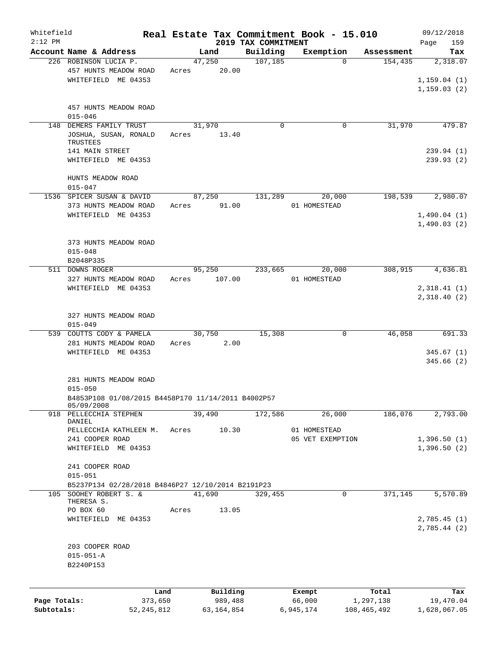| Whitefield<br>$2:12$ PM |                                                                                            |              |       |                 |                                 | Real Estate Tax Commitment Book - 15.010 |             | 09/12/2018                  |
|-------------------------|--------------------------------------------------------------------------------------------|--------------|-------|-----------------|---------------------------------|------------------------------------------|-------------|-----------------------------|
|                         | Account Name & Address                                                                     |              |       | Land            | 2019 TAX COMMITMENT<br>Building | Exemption                                | Assessment  | Page<br>159<br>Tax          |
|                         | 226 ROBINSON LUCIA P.                                                                      |              |       | 47,250          | 107, 185                        | $\Omega$                                 | 154,435     | 2,318.07                    |
|                         | 457 HUNTS MEADOW ROAD<br>WHITEFIELD ME 04353                                               |              | Acres | 20.00           |                                 |                                          |             | 1,159.04(1)<br>1, 159.03(2) |
|                         | 457 HUNTS MEADOW ROAD<br>$015 - 046$                                                       |              |       |                 |                                 |                                          |             |                             |
| 148                     | DEMERS FAMILY TRUST<br>JOSHUA, SUSAN, RONALD<br>TRUSTEES                                   |              | Acres | 31,970<br>13.40 | $\mathbf 0$                     | 0                                        | 31,970      | 479.87                      |
|                         | 141 MAIN STREET<br>WHITEFIELD ME 04353                                                     |              |       |                 |                                 |                                          |             | 239.94(1)<br>239.93(2)      |
|                         | HUNTS MEADOW ROAD<br>$015 - 047$                                                           |              |       |                 |                                 |                                          |             |                             |
|                         | 1536 SPICER SUSAN & DAVID<br>373 HUNTS MEADOW ROAD                                         |              | Acres | 87,250<br>91.00 | 131,289                         | 20,000<br>01 HOMESTEAD                   | 198,539     | 2,980.07                    |
|                         | WHITEFIELD ME 04353                                                                        |              |       |                 |                                 |                                          |             | 1,490.04(1)<br>1,490.03(2)  |
|                         | 373 HUNTS MEADOW ROAD<br>$015 - 048$<br>B2048P335                                          |              |       |                 |                                 |                                          |             |                             |
|                         | 511 DOWNS ROGER                                                                            |              |       | 95,250          | 233,665                         | 20,000                                   | 308,915     | 4,636.81                    |
|                         | 327 HUNTS MEADOW ROAD<br>WHITEFIELD ME 04353                                               |              | Acres | 107.00          |                                 | 01 HOMESTEAD                             |             | 2,318.41(1)<br>2,318.40 (2) |
|                         | 327 HUNTS MEADOW ROAD<br>$015 - 049$                                                       |              |       |                 |                                 |                                          |             |                             |
|                         | 539 COUTTS CODY & PAMELA<br>281 HUNTS MEADOW ROAD                                          |              | Acres | 30,750<br>2.00  | 15,308                          | 0                                        | 46,058      | 691.33                      |
|                         | WHITEFIELD ME 04353                                                                        |              |       |                 |                                 |                                          |             | 345.67(1)                   |
|                         |                                                                                            |              |       |                 |                                 |                                          |             | 345.66(2)                   |
|                         | 281 HUNTS MEADOW ROAD<br>$015 - 050$<br>B4853P108 01/08/2015 B4458P170 11/14/2011 B4002P57 |              |       |                 |                                 |                                          |             |                             |
| 918                     | 05/09/2008<br>PELLECCHIA STEPHEN                                                           |              |       | 39,490          | 172,586                         | 26,000                                   | 186,076     | 2,793.00                    |
|                         | DANIEL<br>PELLECCHIA KATHLEEN M.                                                           |              | Acres | 10.30           |                                 | 01 HOMESTEAD                             |             |                             |
|                         | 241 COOPER ROAD                                                                            |              |       |                 |                                 | 05 VET EXEMPTION                         |             | 1,396.50(1)                 |
|                         | WHITEFIELD ME 04353                                                                        |              |       |                 |                                 |                                          |             | 1,396.50(2)                 |
|                         | 241 COOPER ROAD<br>$015 - 051$                                                             |              |       |                 |                                 |                                          |             |                             |
| 105                     | B5237P134 02/28/2018 B4846P27 12/10/2014 B2191P23<br>SOOHEY ROBERT S. &                    |              |       | 41,690          | 329,455                         | 0                                        | 371,145     | 5,570.89                    |
|                         | THERESA S.<br>PO BOX 60                                                                    |              | Acres | 13.05           |                                 |                                          |             |                             |
|                         | WHITEFIELD ME 04353                                                                        |              |       |                 |                                 |                                          |             | 2,785.45(1)<br>2,785.44 (2) |
|                         | 203 COOPER ROAD<br>$015 - 051 - A$<br>B2240P153                                            |              |       |                 |                                 |                                          |             |                             |
|                         |                                                                                            | Land         |       | Building        |                                 | Exempt                                   | Total       | Tax                         |
| Page Totals:            |                                                                                            | 373,650      |       | 989,488         |                                 | 66,000                                   | 1,297,138   | 19,470.04                   |
| Subtotals:              |                                                                                            | 52, 245, 812 |       | 63, 164, 854    |                                 | 6,945,174                                | 108,465,492 | 1,628,067.05                |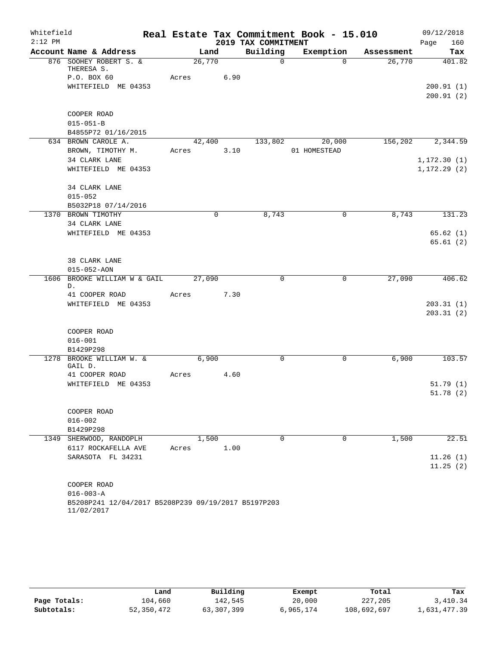| Whitefield |                                                                   |        |             |                     | Real Estate Tax Commitment Book - 15.010 |            | 09/12/2018   |
|------------|-------------------------------------------------------------------|--------|-------------|---------------------|------------------------------------------|------------|--------------|
| $2:12$ PM  |                                                                   |        |             | 2019 TAX COMMITMENT |                                          |            | Page<br>160  |
|            | Account Name & Address                                            |        | Land        | Building            | Exemption                                | Assessment | Tax          |
|            | 876 SOOHEY ROBERT S. &<br>THERESA S.                              |        | 26,770      | $\mathbf 0$         | $\Omega$                                 | 26,770     | 401.82       |
|            | P.O. BOX 60                                                       | Acres  | 6.90        |                     |                                          |            |              |
|            | WHITEFIELD ME 04353                                               |        |             |                     |                                          |            | 200.91(1)    |
|            |                                                                   |        |             |                     |                                          |            | 200.91(2)    |
|            |                                                                   |        |             |                     |                                          |            |              |
|            | COOPER ROAD                                                       |        |             |                     |                                          |            |              |
|            | $015 - 051 - B$                                                   |        |             |                     |                                          |            |              |
|            | B4855P72 01/16/2015                                               |        |             |                     |                                          |            |              |
|            | 634 BROWN CAROLE A.                                               |        | 42,400      | 133,802             | 20,000                                   | 156,202    | 2,344.59     |
|            | BROWN, TIMOTHY M.                                                 | Acres  | 3.10        |                     | 01 HOMESTEAD                             |            |              |
|            | 34 CLARK LANE                                                     |        |             |                     |                                          |            | 1, 172.30(1) |
|            | WHITEFIELD ME 04353                                               |        |             |                     |                                          |            | 1, 172.29(2) |
|            |                                                                   |        |             |                     |                                          |            |              |
|            | 34 CLARK LANE                                                     |        |             |                     |                                          |            |              |
|            | $015 - 052$                                                       |        |             |                     |                                          |            |              |
|            | B5032P18 07/14/2016                                               |        |             |                     |                                          |            |              |
|            | 1370 BROWN TIMOTHY                                                |        | $\mathbf 0$ | 8,743               | 0                                        | 8,743      | 131.23       |
|            | 34 CLARK LANE                                                     |        |             |                     |                                          |            |              |
|            | WHITEFIELD ME 04353                                               |        |             |                     |                                          |            | 65.62(1)     |
|            |                                                                   |        |             |                     |                                          |            | 65.61(2)     |
|            |                                                                   |        |             |                     |                                          |            |              |
|            | 38 CLARK LANE                                                     |        |             |                     |                                          |            |              |
|            | $015 - 052 - AON$                                                 |        |             | $\mathbf 0$         | $\mathbf 0$                              |            |              |
|            | 1606 BROOKE WILLIAM W & GAIL<br>$D$ .                             | 27,090 |             |                     |                                          | 27,090     | 406.62       |
|            | 41 COOPER ROAD                                                    | Acres  | 7.30        |                     |                                          |            |              |
|            | WHITEFIELD ME 04353                                               |        |             |                     |                                          |            | 203.31(1)    |
|            |                                                                   |        |             |                     |                                          |            | 203.31(2)    |
|            |                                                                   |        |             |                     |                                          |            |              |
|            | COOPER ROAD                                                       |        |             |                     |                                          |            |              |
|            | $016 - 001$                                                       |        |             |                     |                                          |            |              |
|            | B1429P298                                                         |        |             |                     |                                          |            |              |
|            | 1278 BROOKE WILLIAM W. &                                          |        | 6,900       | $\mathbf 0$         | $\mathbf 0$                              | 6,900      | 103.57       |
|            | GAIL D.                                                           |        |             |                     |                                          |            |              |
|            | 41 COOPER ROAD                                                    | Acres  | 4.60        |                     |                                          |            |              |
|            | WHITEFIELD ME 04353                                               |        |             |                     |                                          |            | 51.79(1)     |
|            |                                                                   |        |             |                     |                                          |            | 51.78(2)     |
|            | COOPER ROAD                                                       |        |             |                     |                                          |            |              |
|            | $016 - 002$                                                       |        |             |                     |                                          |            |              |
|            | B1429P298                                                         |        |             |                     |                                          |            |              |
|            | 1349 SHERWOOD, RANDOPLH                                           |        | 1,500       | $\Omega$            | $\Omega$                                 | 1,500      | 22.51        |
|            | 6117 ROCKAFELLA AVE                                               | Acres  | 1.00        |                     |                                          |            |              |
|            | SARASOTA FL 34231                                                 |        |             |                     |                                          |            | 11.26(1)     |
|            |                                                                   |        |             |                     |                                          |            | 11.25(2)     |
|            |                                                                   |        |             |                     |                                          |            |              |
|            | COOPER ROAD                                                       |        |             |                     |                                          |            |              |
|            | $016 - 003 - A$                                                   |        |             |                     |                                          |            |              |
|            | B5208P241 12/04/2017 B5208P239 09/19/2017 B5197P203<br>11/02/2017 |        |             |                     |                                          |            |              |

|              | Land       | Building     | Exempt    | Total       | Tax          |
|--------------|------------|--------------|-----------|-------------|--------------|
| Page Totals: | 104,660    | 142.545      | 20,000    | 227,205     | 3,410.34     |
| Subtotals:   | 52,350,472 | 63, 307, 399 | 6,965,174 | 108,692,697 | 1,631,477.39 |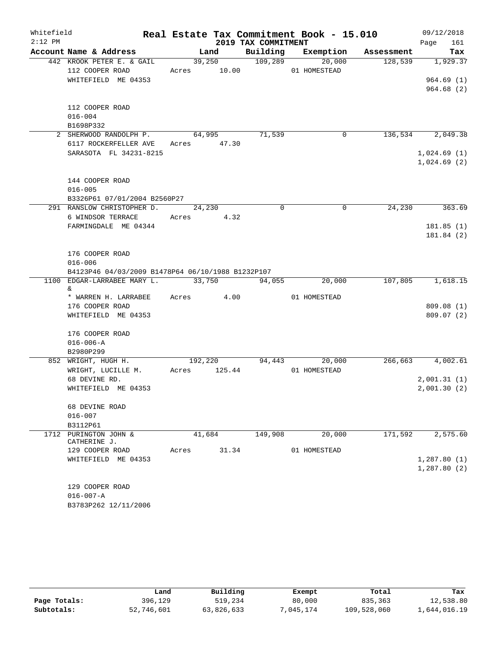| Whitefield |                              |                                                   |              |         |                     | Real Estate Tax Commitment Book - 15.010 |         | 09/12/2018       |  |
|------------|------------------------------|---------------------------------------------------|--------------|---------|---------------------|------------------------------------------|---------|------------------|--|
| $2:12$ PM  |                              |                                                   |              |         | 2019 TAX COMMITMENT |                                          |         | 161<br>Page      |  |
|            |                              | Account Name & Address                            |              | Land    |                     | Building Exemption Assessment            |         | Tax              |  |
|            |                              | 442 KROOK PETER E. & GAIL                         |              | 39,250  | $\frac{109,289}{ }$ | 20,000                                   | 128,539 | 1,929.37         |  |
|            |                              | 112 COOPER ROAD                                   | Acres 10.00  |         |                     | 01 HOMESTEAD                             |         |                  |  |
|            |                              | WHITEFIELD ME 04353                               |              |         |                     |                                          |         | 964.69(1)        |  |
|            |                              |                                                   |              |         |                     |                                          |         | 964.68(2)        |  |
|            |                              | 112 COOPER ROAD                                   |              |         |                     |                                          |         |                  |  |
|            | $016 - 004$                  |                                                   |              |         |                     |                                          |         |                  |  |
|            | B1698P332                    |                                                   |              |         |                     |                                          |         |                  |  |
|            |                              | 2 SHERWOOD RANDOLPH P.                            |              | 64,995  | 71,539              | 0                                        | 136,534 | 2,049.38         |  |
|            |                              | 6117 ROCKERFELLER AVE                             | Acres 47.30  |         |                     |                                          |         |                  |  |
|            |                              | SARASOTA FL 34231-8215                            |              |         |                     |                                          |         | 1,024.69(1)      |  |
|            |                              |                                                   |              |         |                     |                                          |         | 1,024.69(2)      |  |
|            |                              |                                                   |              |         |                     |                                          |         |                  |  |
|            |                              | 144 COOPER ROAD                                   |              |         |                     |                                          |         |                  |  |
|            | $016 - 005$                  |                                                   |              |         |                     |                                          |         |                  |  |
|            |                              | B3326P61 07/01/2004 B2560P27                      |              |         |                     |                                          |         |                  |  |
|            |                              | 291 RANSLOW CHRISTOPHER D.                        |              | 24,230  | $\Omega$            | $\mathbf 0$                              | 24,230  | 363.69           |  |
|            |                              | 6 WINDSOR TERRACE                                 | Acres 4.32   |         |                     |                                          |         |                  |  |
|            |                              | FARMINGDALE ME 04344                              |              |         |                     |                                          |         | 181.85(1)        |  |
|            |                              |                                                   |              |         |                     |                                          |         | 181.84 (2)       |  |
|            |                              | 176 COOPER ROAD                                   |              |         |                     |                                          |         |                  |  |
|            | $016 - 006$                  |                                                   |              |         |                     |                                          |         |                  |  |
|            |                              | B4123P46 04/03/2009 B1478P64 06/10/1988 B1232P107 |              |         |                     |                                          |         |                  |  |
|            |                              | 1100 EDGAR-LARRABEE MARY L.                       | 33,750       |         | 94,055              | 20,000                                   | 107,805 | 1,618.15         |  |
|            | &                            |                                                   |              |         |                     |                                          |         |                  |  |
|            |                              | * WARREN H. LARRABEE Acres 4.00                   |              |         |                     | 01 HOMESTEAD                             |         |                  |  |
|            |                              | 176 COOPER ROAD                                   |              |         |                     |                                          |         | 809.08(1)        |  |
|            |                              | WHITEFIELD ME 04353                               |              |         |                     |                                          |         | 809.07(2)        |  |
|            |                              |                                                   |              |         |                     |                                          |         |                  |  |
|            |                              | 176 COOPER ROAD                                   |              |         |                     |                                          |         |                  |  |
|            | $016 - 006 - A$<br>B2980P299 |                                                   |              |         |                     |                                          |         |                  |  |
|            |                              | 852 WRIGHT, HUGH H.                               |              | 192,220 |                     | 94,443 20,000                            |         | 266,663 4,002.61 |  |
|            |                              | WRIGHT, LUCILLE M.                                | Acres 125.44 |         |                     | 01 HOMESTEAD                             |         |                  |  |
|            |                              | 68 DEVINE RD.                                     |              |         |                     |                                          |         | 2,001.31(1)      |  |
|            |                              | WHITEFIELD ME 04353                               |              |         |                     |                                          |         | 2,001.30(2)      |  |
|            |                              |                                                   |              |         |                     |                                          |         |                  |  |
|            |                              | 68 DEVINE ROAD                                    |              |         |                     |                                          |         |                  |  |
|            | $016 - 007$                  |                                                   |              |         |                     |                                          |         |                  |  |
|            | B3112P61                     |                                                   |              |         |                     |                                          |         |                  |  |
|            |                              | 1712 PURINGTON JOHN &                             |              | 41,684  | 149,908             | 20,000                                   | 171,592 | 2,575.60         |  |
|            |                              | CATHERINE J.<br>129 COOPER ROAD                   | Acres        | 31.34   |                     | 01 HOMESTEAD                             |         |                  |  |
|            |                              | WHITEFIELD ME 04353                               |              |         |                     |                                          |         | 1,287.80(1)      |  |
|            |                              |                                                   |              |         |                     |                                          |         | 1,287.80(2)      |  |
|            |                              |                                                   |              |         |                     |                                          |         |                  |  |
|            |                              | 129 COOPER ROAD                                   |              |         |                     |                                          |         |                  |  |
|            | $016 - 007 - A$              |                                                   |              |         |                     |                                          |         |                  |  |
|            |                              | B3783P262 12/11/2006                              |              |         |                     |                                          |         |                  |  |

|              | Land       | Building   | Exempt    | Total       | Tax          |
|--------------|------------|------------|-----------|-------------|--------------|
| Page Totals: | 396,129    | 519,234    | 80,000    | 835,363     | 12,538.80    |
| Subtotals:   | 52,746,601 | 63,826,633 | 7,045,174 | 109,528,060 | 1,644,016.19 |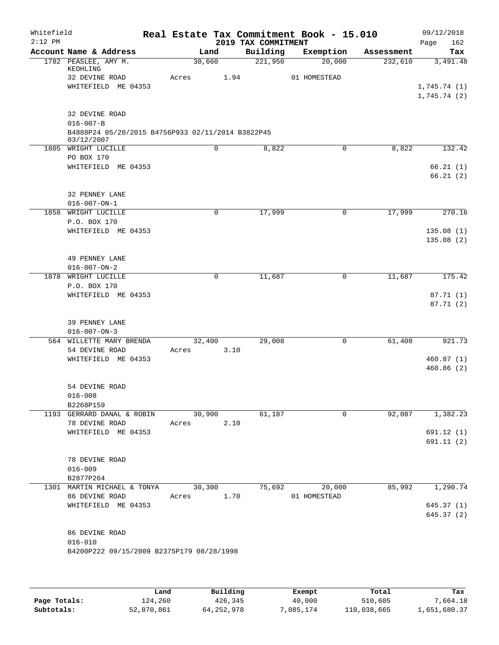| Whitefield<br>$2:12$ PM |                                                                                                      |                 |      | 2019 TAX COMMITMENT | Real Estate Tax Commitment Book - 15.010 |            | 09/12/2018<br>162<br>Page              |
|-------------------------|------------------------------------------------------------------------------------------------------|-----------------|------|---------------------|------------------------------------------|------------|----------------------------------------|
|                         | Account Name & Address                                                                               | Land            |      | Building            | Exemption                                | Assessment | Tax                                    |
|                         | 1782 PEASLEE, AMY M.<br>KEOHLING<br>32 DEVINE ROAD<br>WHITEFIELD ME 04353                            | 30,660<br>Acres | 1.94 | 221,950             | 20,000<br>01 HOMESTEAD                   | 232,610    | 3,491.48<br>1,745.74(1)<br>1,745.74(2) |
|                         | 32 DEVINE ROAD<br>$016 - 007 - B$<br>B4888P24 05/20/2015 B4756P933 02/11/2014 B3822P45<br>03/12/2007 |                 |      |                     |                                          |            |                                        |
|                         | 1805 WRIGHT LUCILLE                                                                                  |                 | 0    | 8,822               | $\mathbf 0$                              | 8,822      | 132.42                                 |
|                         | PO BOX 170<br>WHITEFIELD ME 04353                                                                    |                 |      |                     |                                          |            | 66.21(1)<br>66.21(2)                   |
|                         | 32 PENNEY LANE<br>$016 - 007 - ON - 1$                                                               |                 |      |                     |                                          |            |                                        |
| 1858                    | WRIGHT LUCILLE                                                                                       |                 | 0    | 17,999              | 0                                        | 17,999     | 270.16                                 |
|                         | P.O. BOX 170<br>WHITEFIELD ME 04353                                                                  |                 |      |                     |                                          |            | 135.08(1)<br>135.08(2)                 |
|                         | 49 PENNEY LANE<br>$016 - 007 - ON - 2$                                                               |                 |      |                     |                                          |            |                                        |
| 1878                    | WRIGHT LUCILLE                                                                                       |                 | 0    | 11,687              | 0                                        | 11,687     | 175.42                                 |
|                         | P.O. BOX 170<br>WHITEFIELD ME 04353                                                                  |                 |      |                     |                                          |            | 87.71 (1)<br>87.71 (2)                 |
|                         | 39 PENNEY LANE<br>$016 - 007 - ON - 3$                                                               |                 |      |                     |                                          |            |                                        |
|                         | 564 WILLETTE MARY BRENDA<br>54 DEVINE ROAD<br>WHITEFIELD ME 04353                                    | 32,400<br>Acres | 3.10 | 29,008              | 0                                        | 61,408     | 921.73<br>460.87(1)<br>460.86 (2)      |
|                         | 54 DEVINE ROAD<br>$016 - 008$<br>B2268P159                                                           |                 |      |                     |                                          |            |                                        |
|                         | 1193 GERRARD DANAL & ROBIN                                                                           | 30,900          |      | 61,187              | 0                                        | 92,087     | 1,382.23                               |
|                         | 78 DEVINE ROAD<br>WHITEFIELD ME 04353                                                                | Acres           | 2.10 |                     |                                          |            | 691.12 (1)<br>691.11 (2)               |
|                         | 78 DEVINE ROAD<br>$016 - 009$<br>B2877P264                                                           |                 |      |                     |                                          |            |                                        |
|                         | 1301 MARTIN MICHAEL & TONYA                                                                          | 30,300          |      | 75,692              | 20,000                                   | 85,992     | 1,290.74                               |
|                         | 86 DEVINE ROAD<br>WHITEFIELD ME 04353                                                                | Acres 1.70      |      |                     | 01 HOMESTEAD                             |            | 645.37(1)<br>645.37 (2)                |
|                         | 86 DEVINE ROAD<br>$016 - 010$<br>B4200P222 09/15/2009 B2375P179 08/28/1998                           |                 |      |                     |                                          |            |                                        |

|              | Land       | Building   | Exempt    | Total       | Tax          |
|--------------|------------|------------|-----------|-------------|--------------|
| Page Totals: | 124,260    | 426,345    | 40,000    | 510,605     | 7.664.18     |
| Subtotals:   | 52,870,861 | 64,252,978 | 7,085,174 | 110,038,665 | 1,651,680.37 |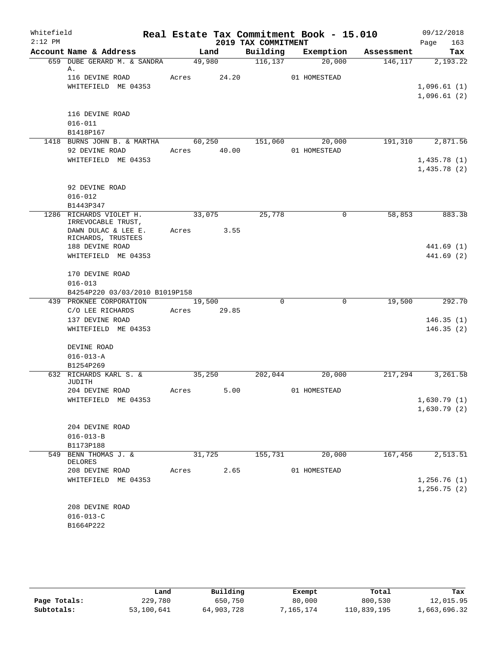| Whitefield |                                               |             |        |                     | Real Estate Tax Commitment Book - 15.010 |            | 09/12/2018                 |  |
|------------|-----------------------------------------------|-------------|--------|---------------------|------------------------------------------|------------|----------------------------|--|
| $2:12$ PM  |                                               |             |        | 2019 TAX COMMITMENT |                                          |            | Page<br>163                |  |
|            | Account Name & Address                        |             | Land   | Building            | Exemption                                | Assessment | Tax                        |  |
|            | 659 DUBE GERARD M. & SANDRA<br>Α.             |             | 49,980 | 116, 137            | 20,000                                   | 146,117    | 2,193.22                   |  |
|            | 116 DEVINE ROAD                               | Acres 24.20 |        |                     | 01 HOMESTEAD                             |            |                            |  |
|            | WHITEFIELD ME 04353                           |             |        |                     |                                          |            | 1,096.61(1)                |  |
|            |                                               |             |        |                     |                                          |            | 1,096.61(2)                |  |
|            | 116 DEVINE ROAD                               |             |        |                     |                                          |            |                            |  |
|            | $016 - 011$                                   |             |        |                     |                                          |            |                            |  |
|            | B1418P167                                     |             |        |                     |                                          |            |                            |  |
|            | 1418 BURNS JOHN B. & MARTHA                   |             |        | 60,250 151,060      | 20,000                                   |            | 191,310 2,871.56           |  |
|            | 92 DEVINE ROAD                                | Acres       | 40.00  |                     | 01 HOMESTEAD                             |            |                            |  |
|            | WHITEFIELD ME 04353                           |             |        |                     |                                          |            | 1,435.78(1)                |  |
|            |                                               |             |        |                     |                                          |            | 1,435.78(2)                |  |
|            |                                               |             |        |                     |                                          |            |                            |  |
|            | 92 DEVINE ROAD                                |             |        |                     |                                          |            |                            |  |
|            | $016 - 012$                                   |             |        |                     |                                          |            |                            |  |
|            | B1443P347                                     |             |        |                     |                                          |            |                            |  |
|            | 1286 RICHARDS VIOLET H.<br>IRREVOCABLE TRUST, | 33,075      |        | 25,778              | $\mathbf 0$                              | 58,853     | 883.38                     |  |
|            | DAWN DULAC & LEE E.                           | Acres 3.55  |        |                     |                                          |            |                            |  |
|            | RICHARDS, TRUSTEES                            |             |        |                     |                                          |            |                            |  |
|            | 188 DEVINE ROAD                               |             |        |                     |                                          |            | 441.69 (1)                 |  |
|            | WHITEFIELD ME 04353                           |             |        |                     |                                          |            | 441.69 (2)                 |  |
|            | 170 DEVINE ROAD                               |             |        |                     |                                          |            |                            |  |
|            | $016 - 013$                                   |             |        |                     |                                          |            |                            |  |
|            | B4254P220 03/03/2010 B1019P158                |             |        |                     |                                          |            |                            |  |
|            | 439 PROKNEE CORPORATION                       |             | 19,500 | $\Omega$            | $\mathbf 0$                              | 19,500     | 292.70                     |  |
|            | C/O LEE RICHARDS                              | Acres 29.85 |        |                     |                                          |            |                            |  |
|            | 137 DEVINE ROAD                               |             |        |                     |                                          |            | 146.35(1)                  |  |
|            | WHITEFIELD ME 04353                           |             |        |                     |                                          |            | 146.35(2)                  |  |
|            | DEVINE ROAD                                   |             |        |                     |                                          |            |                            |  |
|            | $016 - 013 - A$                               |             |        |                     |                                          |            |                            |  |
|            | B1254P269                                     |             |        |                     |                                          |            |                            |  |
|            | 632 RICHARDS KARL S. &                        | 35,250      |        | 202,044             | 20,000                                   | 217,294    | 3,261.58                   |  |
|            | JUDITH                                        |             |        |                     |                                          |            |                            |  |
|            | 204 DEVINE ROAD                               | Acres       | 5.00   |                     | 01 HOMESTEAD                             |            |                            |  |
|            | WHITEFIELD ME 04353                           |             |        |                     |                                          |            | 1,630.79(1)<br>1,630.79(2) |  |
|            |                                               |             |        |                     |                                          |            |                            |  |
|            | 204 DEVINE ROAD                               |             |        |                     |                                          |            |                            |  |
|            | $016 - 013 - B$                               |             |        |                     |                                          |            |                            |  |
|            | B1173P188                                     |             |        |                     |                                          |            |                            |  |
|            | 549 BENN THOMAS J. &                          | 31,725      |        | 155,731             | 20,000                                   | 167,456    | 2,513.51                   |  |
|            | DELORES                                       |             |        |                     |                                          |            |                            |  |
|            | 208 DEVINE ROAD                               | Acres       | 2.65   |                     | 01 HOMESTEAD                             |            |                            |  |
|            | WHITEFIELD ME 04353                           |             |        |                     |                                          |            | 1,256.76(1)                |  |
|            |                                               |             |        |                     |                                          |            | 1,256.75(2)                |  |
|            | 208 DEVINE ROAD                               |             |        |                     |                                          |            |                            |  |
|            | $016 - 013 - C$                               |             |        |                     |                                          |            |                            |  |
|            | B1664P222                                     |             |        |                     |                                          |            |                            |  |
|            |                                               |             |        |                     |                                          |            |                            |  |

|              | Land       | Building   | Exempt    | Total       | Tax          |
|--------------|------------|------------|-----------|-------------|--------------|
| Page Totals: | 229,780    | 650,750    | 80,000    | 800,530     | 12,015.95    |
| Subtotals:   | 53,100,641 | 64,903,728 | 7,165,174 | 110,839,195 | 1,663,696.32 |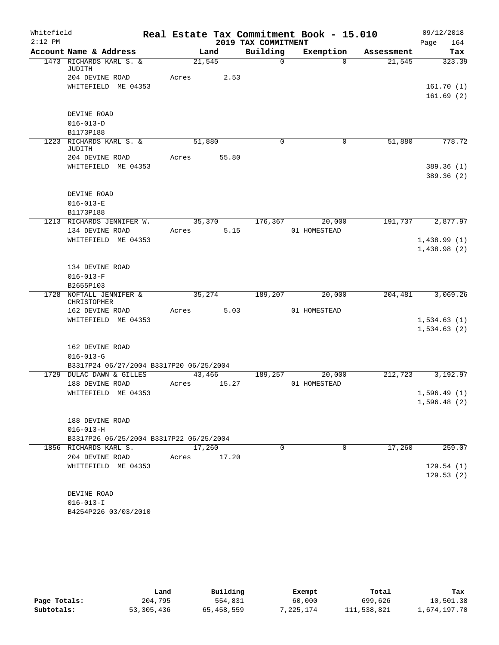| Whitefield<br>$2:12$ PM |                                                            |        |       | 2019 TAX COMMITMENT | Real Estate Tax Commitment Book - 15.010 |            | 09/12/2018<br>164<br>Page |
|-------------------------|------------------------------------------------------------|--------|-------|---------------------|------------------------------------------|------------|---------------------------|
|                         | Account Name & Address                                     | Land   |       | Building            | Exemption                                | Assessment | Tax                       |
|                         | 1473 RICHARDS KARL S. &<br>JUDITH                          | 21,545 |       | $\mathsf{O}$        | $\Omega$                                 | 21,545     | 323.39                    |
|                         | 204 DEVINE ROAD                                            | Acres  | 2.53  |                     |                                          |            |                           |
|                         | WHITEFIELD ME 04353                                        |        |       |                     |                                          |            | 161.70(1)                 |
|                         |                                                            |        |       |                     |                                          |            | 161.69(2)                 |
|                         | DEVINE ROAD                                                |        |       |                     |                                          |            |                           |
|                         | $016 - 013 - D$<br>B1173P188                               |        |       |                     |                                          |            |                           |
|                         | 1223 RICHARDS KARL S. &                                    | 51,880 |       | 0                   | 0                                        | 51,880     | 778.72                    |
|                         | JUDITH                                                     |        |       |                     |                                          |            |                           |
|                         | 204 DEVINE ROAD                                            | Acres  | 55.80 |                     |                                          |            |                           |
|                         | WHITEFIELD ME 04353                                        |        |       |                     |                                          |            | 389.36 (1)                |
|                         |                                                            |        |       |                     |                                          |            | 389.36 (2)                |
|                         |                                                            |        |       |                     |                                          |            |                           |
|                         | DEVINE ROAD                                                |        |       |                     |                                          |            |                           |
|                         | $016 - 013 - E$                                            |        |       |                     |                                          |            |                           |
|                         | B1173P188<br>1213 RICHARDS JENNIFER W.                     | 35,370 |       | 176,367             | 20,000                                   | 191,737    | 2,877.97                  |
|                         | 134 DEVINE ROAD                                            | Acres  | 5.15  |                     | 01 HOMESTEAD                             |            |                           |
|                         | WHITEFIELD ME 04353                                        |        |       |                     |                                          |            | 1,438.99(1)               |
|                         |                                                            |        |       |                     |                                          |            | 1,438.98(2)               |
|                         |                                                            |        |       |                     |                                          |            |                           |
|                         | 134 DEVINE ROAD                                            |        |       |                     |                                          |            |                           |
|                         | $016 - 013 - F$                                            |        |       |                     |                                          |            |                           |
|                         | B2655P103                                                  |        |       |                     |                                          |            |                           |
| 1728                    | NOFTALL JENNIFER &                                         | 35,274 |       | 189,207             | 20,000                                   | 204,481    | 3,069.26                  |
|                         | CHRISTOPHER                                                |        |       |                     |                                          |            |                           |
|                         | 162 DEVINE ROAD                                            | Acres  | 5.03  |                     | 01 HOMESTEAD                             |            |                           |
|                         | WHITEFIELD ME 04353                                        |        |       |                     |                                          |            | 1,534.63(1)               |
|                         |                                                            |        |       |                     |                                          |            | 1,534.63(2)               |
|                         |                                                            |        |       |                     |                                          |            |                           |
|                         | 162 DEVINE ROAD                                            |        |       |                     |                                          |            |                           |
|                         | $016 - 013 - G$<br>B3317P24 06/27/2004 B3317P20 06/25/2004 |        |       |                     |                                          |            |                           |
| 1729                    | <b>DULAC DAWN &amp; GILLES</b>                             | 43,466 |       | 189,257             | 20,000                                   | 212,723    | 3,192.97                  |
|                         | 188 DEVINE ROAD                                            | Acres  | 15.27 |                     | 01 HOMESTEAD                             |            |                           |
|                         | WHITEFIELD ME 04353                                        |        |       |                     |                                          |            | 1,596.49(1)               |
|                         |                                                            |        |       |                     |                                          |            | 1,596.48(2)               |
|                         |                                                            |        |       |                     |                                          |            |                           |
|                         | 188 DEVINE ROAD                                            |        |       |                     |                                          |            |                           |
|                         | $016 - 013 - H$                                            |        |       |                     |                                          |            |                           |
|                         | B3317P26 06/25/2004 B3317P22 06/25/2004                    |        |       |                     |                                          |            |                           |
|                         | 1856 RICHARDS KARL S.                                      | 17,260 |       | 0                   | $\mathbf 0$                              | 17,260     | 259.07                    |
|                         | 204 DEVINE ROAD                                            | Acres  | 17.20 |                     |                                          |            |                           |
|                         | WHITEFIELD ME 04353                                        |        |       |                     |                                          |            | 129.54(1)                 |
|                         |                                                            |        |       |                     |                                          |            | 129.53(2)                 |
|                         |                                                            |        |       |                     |                                          |            |                           |
|                         | DEVINE ROAD                                                |        |       |                     |                                          |            |                           |
|                         | $016 - 013 - I$                                            |        |       |                     |                                          |            |                           |
|                         | B4254P226 03/03/2010                                       |        |       |                     |                                          |            |                           |

|              | Land       | Building   | Exempt    | Total       | Tax          |
|--------------|------------|------------|-----------|-------------|--------------|
| Page Totals: | 204,795    | 554,831    | 60,000    | 699,626     | 10,501.38    |
| Subtotals:   | 53,305,436 | 65,458,559 | 7,225,174 | 111,538,821 | 1,674,197.70 |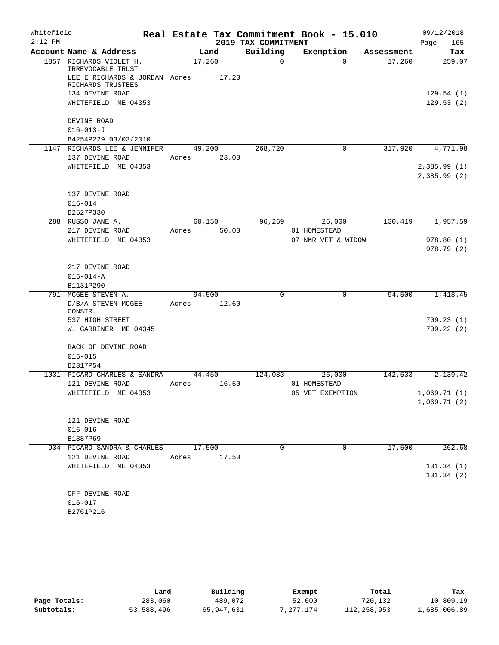| Whitefield |                                                                                                    |                 |        |                     | Real Estate Tax Commitment Book - 15.010 |            | 09/12/2018                  |
|------------|----------------------------------------------------------------------------------------------------|-----------------|--------|---------------------|------------------------------------------|------------|-----------------------------|
| $2:12$ PM  |                                                                                                    |                 |        | 2019 TAX COMMITMENT |                                          |            | 165<br>Page                 |
|            | Account Name & Address                                                                             |                 | Land   | Building            | Exemption                                | Assessment | Tax                         |
|            | 1857 RICHARDS VIOLET H.<br>IRREVOCABLE TRUST<br>LEE E RICHARDS & JORDAN Acres<br>RICHARDS TRUSTEES | 17,260          | 17.20  | 0                   | $\Omega$                                 | 17,260     | 259.07                      |
|            | 134 DEVINE ROAD<br>WHITEFIELD ME 04353                                                             |                 |        |                     |                                          |            | 129.54(1)<br>129.53(2)      |
|            | DEVINE ROAD<br>$016 - 013 - J$<br>B4254P229 03/03/2010                                             |                 |        |                     |                                          |            |                             |
|            | 1147 RICHARDS LEE & JENNIFER                                                                       |                 | 49,200 | 268,720             | $\mathbf 0$                              | 317,920    | 4,771.98                    |
|            | 137 DEVINE ROAD<br>WHITEFIELD ME 04353                                                             | Acres           | 23.00  |                     |                                          |            | 2,385.99(1)<br>2,385.99(2)  |
|            | 137 DEVINE ROAD<br>$016 - 014$<br>B2527P330                                                        |                 |        |                     |                                          |            |                             |
|            | 288 RUSSO JANE A.                                                                                  | 60,150          |        | 96,269              | 26,000                                   | 130,419    | 1,957.59                    |
|            | 217 DEVINE ROAD                                                                                    | Acres           | 50.00  |                     | 01 HOMESTEAD                             |            |                             |
|            | WHITEFIELD ME 04353                                                                                |                 |        |                     | 07 NMR VET & WIDOW                       |            | 978.80(1)<br>978.79 (2)     |
|            | 217 DEVINE ROAD<br>$016 - 014 - A$<br>B1131P290                                                    |                 |        |                     |                                          |            |                             |
| 791        | MCGEE STEVEN A.                                                                                    | 94,500          |        | $\Omega$            | 0                                        | 94,500     | 1,418.45                    |
|            | D/B/A STEVEN MCGEE<br>CONSTR.                                                                      | Acres           | 12.60  |                     |                                          |            |                             |
|            | 537 HIGH STREET<br>W. GARDINER ME 04345                                                            |                 |        |                     |                                          |            | 709.23(1)<br>709.22(2)      |
|            | BACK OF DEVINE ROAD<br>$016 - 015$                                                                 |                 |        |                     |                                          |            |                             |
|            | B2317P54                                                                                           |                 |        |                     |                                          |            |                             |
|            | 1031 PICARD CHARLES & SANDRA<br>121 DEVINE ROAD                                                    | 44,450<br>Acres | 16.50  | 124,083             | 26,000<br>01 HOMESTEAD                   | 142,533    | 2,139.42                    |
|            | WHITEFIELD ME 04353                                                                                |                 |        |                     | 05 VET EXEMPTION                         |            | 1,069.71 (1)<br>1,069.71(2) |
|            | 121 DEVINE ROAD<br>$016 - 016$                                                                     |                 |        |                     |                                          |            |                             |
|            | B1387P69<br>934 PICARD SANDRA & CHARLES                                                            | 17,500          |        | 0                   | 0                                        | 17,500     | 262.68                      |
|            | 121 DEVINE ROAD                                                                                    | Acres           | 17.50  |                     |                                          |            |                             |
|            | WHITEFIELD ME 04353                                                                                |                 |        |                     |                                          |            | 131.34(1)<br>131.34(2)      |
|            | OFF DEVINE ROAD<br>$016 - 017$<br>B2761P216                                                        |                 |        |                     |                                          |            |                             |

|              | Land       | Building   | Exempt    | Total       | Tax          |
|--------------|------------|------------|-----------|-------------|--------------|
| Page Totals: | 283,060    | 489,072    | 52,000    | 720,132     | 10,809.19    |
| Subtotals:   | 53,588,496 | 65,947,631 | 7,277,174 | 112,258,953 | 1,685,006.89 |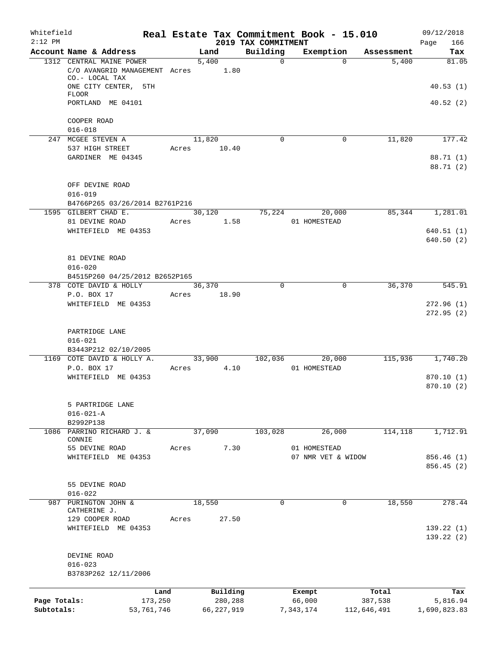| Whitefield<br>$2:12$ PM    |                                      |                       |       |                         | 2019 TAX COMMITMENT | Real Estate Tax Commitment Book - 15.010 |                        | 09/12/2018<br>166<br>Page |
|----------------------------|--------------------------------------|-----------------------|-------|-------------------------|---------------------|------------------------------------------|------------------------|---------------------------|
|                            | Account Name & Address               |                       |       | Land                    | Building            | Exemption                                | Assessment             | Tax                       |
|                            | 1312 CENTRAL MAINE POWER             |                       |       | 5,400                   | $\mathbf 0$         |                                          | 5,400<br>$\Omega$      | 81.05                     |
|                            | C/O AVANGRID MANAGEMENT Acres        |                       |       | 1.80                    |                     |                                          |                        |                           |
|                            | CO.- LOCAL TAX                       |                       |       |                         |                     |                                          |                        |                           |
|                            | ONE CITY CENTER, 5TH<br><b>FLOOR</b> |                       |       |                         |                     |                                          |                        | 40.53(1)                  |
|                            | PORTLAND ME 04101                    |                       |       |                         |                     |                                          |                        | 40.52(2)                  |
|                            |                                      |                       |       |                         |                     |                                          |                        |                           |
|                            | COOPER ROAD                          |                       |       |                         |                     |                                          |                        |                           |
|                            | $016 - 018$                          |                       |       |                         |                     |                                          |                        |                           |
|                            | 247 MCGEE STEVEN A                   |                       |       | 11,820                  | $\mathbf 0$         |                                          | 11,820<br>0            | 177.42                    |
|                            | 537 HIGH STREET                      |                       | Acres | 10.40                   |                     |                                          |                        |                           |
|                            | GARDINER ME 04345                    |                       |       |                         |                     |                                          |                        | 88.71 (1)                 |
|                            |                                      |                       |       |                         |                     |                                          |                        | 88.71 (2)                 |
|                            |                                      |                       |       |                         |                     |                                          |                        |                           |
|                            | OFF DEVINE ROAD<br>$016 - 019$       |                       |       |                         |                     |                                          |                        |                           |
|                            | B4766P265 03/26/2014 B2761P216       |                       |       |                         |                     |                                          |                        |                           |
|                            | 1595 GILBERT CHAD E.                 |                       |       | 30,120                  | 75,224              | 20,000                                   | 85,344                 | 1,281.01                  |
|                            | 81 DEVINE ROAD                       |                       | Acres | 1.58                    |                     | 01 HOMESTEAD                             |                        |                           |
|                            | WHITEFIELD ME 04353                  |                       |       |                         |                     |                                          |                        | 640.51(1)                 |
|                            |                                      |                       |       |                         |                     |                                          |                        | 640.50(2)                 |
|                            |                                      |                       |       |                         |                     |                                          |                        |                           |
|                            | 81 DEVINE ROAD                       |                       |       |                         |                     |                                          |                        |                           |
|                            | $016 - 020$                          |                       |       |                         |                     |                                          |                        |                           |
|                            | B4515P260 04/25/2012 B2652P165       |                       |       |                         |                     |                                          |                        |                           |
|                            | 378 COTE DAVID & HOLLY               |                       |       | 36,370                  | 0                   |                                          | 36,370<br>0            | 545.91                    |
|                            | P.O. BOX 17                          |                       | Acres | 18.90                   |                     |                                          |                        |                           |
|                            | WHITEFIELD ME 04353                  |                       |       |                         |                     |                                          |                        | 272.96(1)                 |
|                            |                                      |                       |       |                         |                     |                                          |                        | 272.95(2)                 |
|                            |                                      |                       |       |                         |                     |                                          |                        |                           |
|                            | PARTRIDGE LANE                       |                       |       |                         |                     |                                          |                        |                           |
|                            | $016 - 021$<br>B3443P212 02/10/2005  |                       |       |                         |                     |                                          |                        |                           |
|                            | 1169 COTE DAVID & HOLLY A.           |                       |       | 33,900                  | 102,036             | 20,000                                   | 115,936                | 1,740.20                  |
|                            | P.O. BOX 17                          |                       | Acres | 4.10                    |                     | 01 HOMESTEAD                             |                        |                           |
|                            | WHITEFIELD ME 04353                  |                       |       |                         |                     |                                          |                        | 870.10(1)                 |
|                            |                                      |                       |       |                         |                     |                                          |                        | 870.10(2)                 |
|                            |                                      |                       |       |                         |                     |                                          |                        |                           |
|                            | 5 PARTRIDGE LANE                     |                       |       |                         |                     |                                          |                        |                           |
|                            | $016 - 021 - A$                      |                       |       |                         |                     |                                          |                        |                           |
|                            | B2992P138                            |                       |       |                         |                     |                                          |                        |                           |
| 1086                       | PARRINO RICHARD J. &                 |                       |       | 37,090                  | 103,028             | 26,000                                   | 114,118                | 1,712.91                  |
|                            | CONNIE                               |                       |       |                         |                     |                                          |                        |                           |
|                            | 55 DEVINE ROAD                       |                       | Acres | 7.30                    |                     | 01 HOMESTEAD                             |                        |                           |
|                            | WHITEFIELD ME 04353                  |                       |       |                         |                     | 07 NMR VET & WIDOW                       |                        | 856.46 (1)                |
|                            |                                      |                       |       |                         |                     |                                          |                        | 856.45 (2)                |
|                            | 55 DEVINE ROAD                       |                       |       |                         |                     |                                          |                        |                           |
|                            | $016 - 022$                          |                       |       |                         |                     |                                          |                        |                           |
| 987                        | PURINGTON JOHN &                     |                       |       | 18,550                  | 0                   |                                          | 0<br>18,550            | 278.44                    |
|                            | CATHERINE J.                         |                       |       |                         |                     |                                          |                        |                           |
|                            | 129 COOPER ROAD                      |                       | Acres | 27.50                   |                     |                                          |                        |                           |
|                            | WHITEFIELD ME 04353                  |                       |       |                         |                     |                                          |                        | 139.22(1)                 |
|                            |                                      |                       |       |                         |                     |                                          |                        | 139.22(2)                 |
|                            |                                      |                       |       |                         |                     |                                          |                        |                           |
|                            | DEVINE ROAD                          |                       |       |                         |                     |                                          |                        |                           |
|                            | $016 - 023$                          |                       |       |                         |                     |                                          |                        |                           |
|                            | B3783P262 12/11/2006                 |                       |       |                         |                     |                                          |                        |                           |
|                            |                                      |                       |       |                         |                     |                                          |                        |                           |
|                            |                                      | Land                  |       | Building                |                     | Exempt                                   | Total                  | Tax                       |
| Page Totals:<br>Subtotals: |                                      | 173,250<br>53,761,746 |       | 280,288<br>66, 227, 919 |                     | 66,000<br>7,343,174                      | 387,538<br>112,646,491 | 5,816.94<br>1,690,823.83  |
|                            |                                      |                       |       |                         |                     |                                          |                        |                           |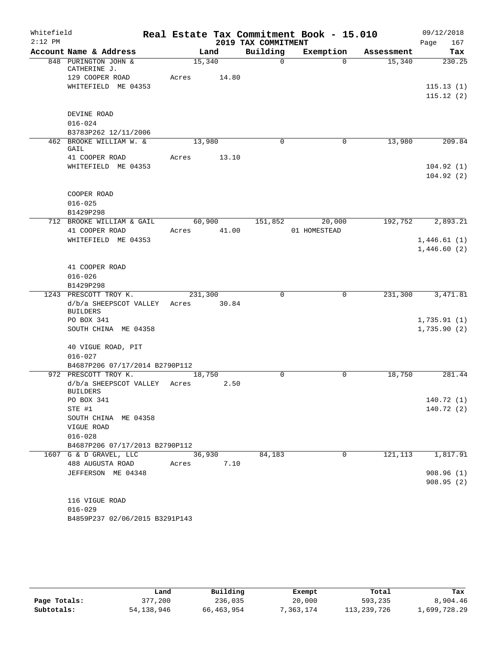| Whitefield<br>$2:12$ PM |                                      |         |       | 2019 TAX COMMITMENT | Real Estate Tax Commitment Book - 15.010 |            | 09/12/2018<br>Page<br>167  |
|-------------------------|--------------------------------------|---------|-------|---------------------|------------------------------------------|------------|----------------------------|
|                         | Account Name & Address               |         | Land  | Building            | Exemption                                | Assessment | Tax                        |
|                         | 848 PURINGTON JOHN &<br>CATHERINE J. | 15,340  |       | $\Omega$            | $\Omega$                                 | 15,340     | 230.25                     |
|                         | 129 COOPER ROAD                      | Acres   | 14.80 |                     |                                          |            |                            |
|                         | WHITEFIELD ME 04353                  |         |       |                     |                                          |            | 115.13(1)                  |
|                         |                                      |         |       |                     |                                          |            | 115.12(2)                  |
|                         | DEVINE ROAD                          |         |       |                     |                                          |            |                            |
|                         | $016 - 024$                          |         |       |                     |                                          |            |                            |
|                         | B3783P262 12/11/2006                 |         |       |                     |                                          |            |                            |
|                         | 462 BROOKE WILLIAM W. &<br>GAIL      | 13,980  |       | 0                   | 0                                        | 13,980     | 209.84                     |
|                         | 41 COOPER ROAD                       | Acres   | 13.10 |                     |                                          |            |                            |
|                         | WHITEFIELD ME 04353                  |         |       |                     |                                          |            | 104.92(1)                  |
|                         |                                      |         |       |                     |                                          |            | 104.92(2)                  |
|                         |                                      |         |       |                     |                                          |            |                            |
|                         | COOPER ROAD                          |         |       |                     |                                          |            |                            |
|                         | $016 - 025$<br>B1429P298             |         |       |                     |                                          |            |                            |
|                         | 712 BROOKE WILLIAM & GAIL            | 60,900  |       | 151,852             | 20,000                                   | 192,752    | 2,893.21                   |
|                         | 41 COOPER ROAD                       | Acres   | 41.00 |                     | 01 HOMESTEAD                             |            |                            |
|                         | WHITEFIELD ME 04353                  |         |       |                     |                                          |            | 1,446.61(1)                |
|                         |                                      |         |       |                     |                                          |            | 1,446.60(2)                |
|                         |                                      |         |       |                     |                                          |            |                            |
|                         | 41 COOPER ROAD                       |         |       |                     |                                          |            |                            |
|                         | $016 - 026$                          |         |       |                     |                                          |            |                            |
|                         | B1429P298                            |         |       |                     |                                          |            |                            |
|                         | 1243 PRESCOTT TROY K.                | 231,300 |       | $\mathbf 0$         | $\mathbf 0$                              | 231,300    | 3,471.81                   |
|                         | d/b/a SHEEPSCOT VALLEY               | Acres   | 30.84 |                     |                                          |            |                            |
|                         | <b>BUILDERS</b>                      |         |       |                     |                                          |            |                            |
|                         | PO BOX 341<br>SOUTH CHINA ME 04358   |         |       |                     |                                          |            | 1,735.91(1)<br>1,735.90(2) |
|                         |                                      |         |       |                     |                                          |            |                            |
|                         | 40 VIGUE ROAD, PIT                   |         |       |                     |                                          |            |                            |
|                         | $016 - 027$                          |         |       |                     |                                          |            |                            |
|                         | B4687P206 07/17/2014 B2790P112       |         |       |                     |                                          |            |                            |
|                         | 972 PRESCOTT TROY K.                 | 18,750  |       | $\Omega$            | $\Omega$                                 | 18,750     | 281.44                     |
|                         | d/b/a SHEEPSCOT VALLEY               | Acres   | 2.50  |                     |                                          |            |                            |
|                         | <b>BUILDERS</b>                      |         |       |                     |                                          |            |                            |
|                         | PO BOX 341                           |         |       |                     |                                          |            | 140.72 (1)                 |
|                         | STE #1                               |         |       |                     |                                          |            | 140.72 (2)                 |
|                         | SOUTH CHINA ME 04358                 |         |       |                     |                                          |            |                            |
|                         | VIGUE ROAD<br>$016 - 028$            |         |       |                     |                                          |            |                            |
|                         | B4687P206 07/17/2013 B2790P112       |         |       |                     |                                          |            |                            |
|                         | 1607 G & D GRAVEL, LLC               | 36,930  |       | 84,183              | 0                                        | 121,113    | 1,817.91                   |
|                         | 488 AUGUSTA ROAD                     | Acres   | 7.10  |                     |                                          |            |                            |
|                         | JEFFERSON ME 04348                   |         |       |                     |                                          |            | 908.96(1)                  |
|                         |                                      |         |       |                     |                                          |            | 908.95(2)                  |
|                         |                                      |         |       |                     |                                          |            |                            |
|                         | 116 VIGUE ROAD                       |         |       |                     |                                          |            |                            |
|                         | $016 - 029$                          |         |       |                     |                                          |            |                            |
|                         | B4859P237 02/06/2015 B3291P143       |         |       |                     |                                          |            |                            |
|                         |                                      |         |       |                     |                                          |            |                            |

|              | Land       | Building     | Exempt    | Total       | Tax          |
|--------------|------------|--------------|-----------|-------------|--------------|
| Page Totals: | 377,200    | 236,035      | 20,000    | 593,235     | 8,904.46     |
| Subtotals:   | 54,138,946 | 66, 463, 954 | 7,363,174 | 113,239,726 | 1,699,728.29 |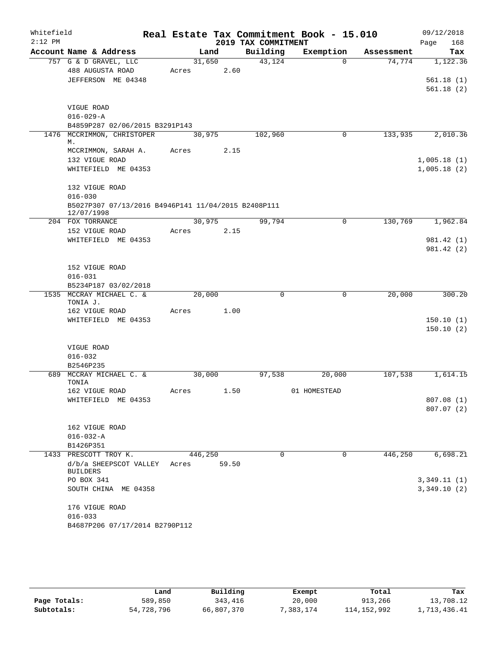| Whitefield |                                                                    |       |         |       |                     | Real Estate Tax Commitment Book - 15.010 |            | 09/12/2018  |
|------------|--------------------------------------------------------------------|-------|---------|-------|---------------------|------------------------------------------|------------|-------------|
| $2:12$ PM  |                                                                    |       |         |       | 2019 TAX COMMITMENT |                                          |            | 168<br>Page |
|            | Account Name & Address                                             |       | Land    |       | Building            | Exemption                                | Assessment | Tax         |
|            | 757 G & D GRAVEL, LLC<br>488 AUGUSTA ROAD                          | Acres | 31,650  | 2.60  | 43,124              | $\Omega$                                 | 74,774     | 1,122.36    |
|            | JEFFERSON ME 04348                                                 |       |         |       |                     |                                          |            | 561.18(1)   |
|            |                                                                    |       |         |       |                     |                                          |            | 561.18(2)   |
|            | VIGUE ROAD                                                         |       |         |       |                     |                                          |            |             |
|            | $016 - 029 - A$                                                    |       |         |       |                     |                                          |            |             |
|            | B4859P287 02/06/2015 B3291P143                                     |       |         |       |                     |                                          |            |             |
|            | 1476 MCCRIMMON, CHRISTOPER<br>М.                                   |       | 30,975  |       | 102,960             | 0                                        | 133,935    | 2,010.36    |
|            | MCCRIMMON, SARAH A.                                                | Acres |         | 2.15  |                     |                                          |            |             |
|            | 132 VIGUE ROAD                                                     |       |         |       |                     |                                          |            | 1,005.18(1) |
|            | WHITEFIELD ME 04353                                                |       |         |       |                     |                                          |            | 1,005.18(2) |
|            | 132 VIGUE ROAD                                                     |       |         |       |                     |                                          |            |             |
|            | $016 - 030$<br>B5027P307 07/13/2016 B4946P141 11/04/2015 B2408P111 |       |         |       |                     |                                          |            |             |
|            | 12/07/1998<br>204 FOX TORRANCE                                     |       | 30,975  |       | 99,794              |                                          | 130,769    | 1,962.84    |
|            | 152 VIGUE ROAD                                                     | Acres |         | 2.15  |                     | 0                                        |            |             |
|            | WHITEFIELD ME 04353                                                |       |         |       |                     |                                          |            | 981.42 (1)  |
|            |                                                                    |       |         |       |                     |                                          |            | 981.42 (2)  |
|            |                                                                    |       |         |       |                     |                                          |            |             |
|            | 152 VIGUE ROAD                                                     |       |         |       |                     |                                          |            |             |
|            | $016 - 031$                                                        |       |         |       |                     |                                          |            |             |
|            | B5234P187 03/02/2018                                               |       |         |       |                     |                                          |            |             |
|            | 1535 MCCRAY MICHAEL C. &                                           |       | 20,000  |       | 0                   | $\mathbf 0$                              | 20,000     | 300.20      |
|            | TONIA J.                                                           |       |         |       |                     |                                          |            |             |
|            | 162 VIGUE ROAD                                                     | Acres |         | 1.00  |                     |                                          |            |             |
|            | WHITEFIELD ME 04353                                                |       |         |       |                     |                                          |            | 150.10(1)   |
|            |                                                                    |       |         |       |                     |                                          |            | 150.10(2)   |
|            | VIGUE ROAD                                                         |       |         |       |                     |                                          |            |             |
|            | $016 - 032$                                                        |       |         |       |                     |                                          |            |             |
|            | B2546P235                                                          |       |         |       |                     |                                          |            |             |
|            | 689 MCCRAY MICHAEL C. &                                            |       | 30,000  |       | 97,538              | 20,000                                   | 107,538    | 1,614.15    |
|            | TONIA                                                              |       |         |       |                     |                                          |            |             |
|            | 162 VIGUE ROAD                                                     | Acres |         | 1.50  |                     | 01 HOMESTEAD                             |            |             |
|            | WHITEFIELD ME 04353                                                |       |         |       |                     |                                          |            | 807.08 (1)  |
|            |                                                                    |       |         |       |                     |                                          |            | 807.07(2)   |
|            | 162 VIGUE ROAD                                                     |       |         |       |                     |                                          |            |             |
|            | $016 - 032 - A$                                                    |       |         |       |                     |                                          |            |             |
|            | B1426P351                                                          |       |         |       |                     |                                          |            |             |
|            | 1433 PRESCOTT TROY K.                                              |       | 446,250 |       | 0                   | 0                                        | 446,250    | 6,698.21    |
|            | d/b/a SHEEPSCOT VALLEY                                             | Acres |         | 59.50 |                     |                                          |            |             |
|            | <b>BUILDERS</b>                                                    |       |         |       |                     |                                          |            |             |
|            | PO BOX 341                                                         |       |         |       |                     |                                          |            | 3,349.11(1) |
|            | SOUTH CHINA ME 04358                                               |       |         |       |                     |                                          |            | 3,349.10(2) |
|            | 176 VIGUE ROAD                                                     |       |         |       |                     |                                          |            |             |
|            | $016 - 033$                                                        |       |         |       |                     |                                          |            |             |
|            | B4687P206 07/17/2014 B2790P112                                     |       |         |       |                     |                                          |            |             |

|              | Land       | Building   | Exempt    | Total         | Tax          |
|--------------|------------|------------|-----------|---------------|--------------|
| Page Totals: | 589,850    | 343,416    | 20,000    | 913,266       | 13,708.12    |
| Subtotals:   | 54,728,796 | 66,807,370 | 7.383.174 | 114, 152, 992 | 1,713,436.41 |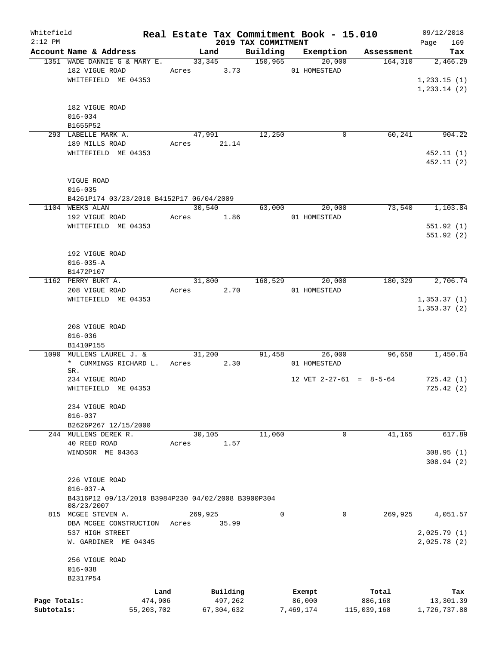| Whitefield<br>$2:12$ PM |                                                    |       |               | 2019 TAX COMMITMENT | Real Estate Tax Commitment Book - 15.010 |             | 09/12/2018<br>Page<br>169 |
|-------------------------|----------------------------------------------------|-------|---------------|---------------------|------------------------------------------|-------------|---------------------------|
|                         | Account Name & Address                             |       | Land          | Building            | Exemption                                | Assessment  | Tax                       |
|                         | 1351 WADE DANNIE G & MARY E.                       |       | 33,345        | 150,965             | 20,000                                   | 164, 310    | 2,466.29                  |
|                         | 182 VIGUE ROAD                                     |       | 3.73<br>Acres |                     | 01 HOMESTEAD                             |             |                           |
|                         | WHITEFIELD ME 04353                                |       |               |                     |                                          |             | 1,233.15(1)               |
|                         |                                                    |       |               |                     |                                          |             | 1, 233.14 (2)             |
|                         |                                                    |       |               |                     |                                          |             |                           |
|                         | 182 VIGUE ROAD                                     |       |               |                     |                                          |             |                           |
|                         | $016 - 034$                                        |       |               |                     |                                          |             |                           |
|                         | B1655P52                                           |       |               |                     |                                          |             |                           |
|                         | 293 LABELLE MARK A.                                |       | 47,991        | 12,250              | 0                                        | 60, 241     | 904.22                    |
|                         | 189 MILLS ROAD                                     |       | Acres 21.14   |                     |                                          |             |                           |
|                         | WHITEFIELD ME 04353                                |       |               |                     |                                          |             | 452.11(1)                 |
|                         |                                                    |       |               |                     |                                          |             | 452.11(2)                 |
|                         |                                                    |       |               |                     |                                          |             |                           |
|                         | VIGUE ROAD                                         |       |               |                     |                                          |             |                           |
|                         | $016 - 035$                                        |       |               |                     |                                          |             |                           |
|                         | B4261P174 03/23/2010 B4152P17 06/04/2009           |       |               |                     |                                          |             |                           |
|                         | 1104 WEEKS ALAN                                    |       | 30,540        | 63,000              | 20,000                                   | 73,540      | 1,103.84                  |
|                         | 192 VIGUE ROAD                                     | Acres | 1.86          |                     | 01 HOMESTEAD                             |             |                           |
|                         | WHITEFIELD ME 04353                                |       |               |                     |                                          |             | 551.92(1)                 |
|                         |                                                    |       |               |                     |                                          |             | 551.92(2)                 |
|                         |                                                    |       |               |                     |                                          |             |                           |
|                         | 192 VIGUE ROAD                                     |       |               |                     |                                          |             |                           |
|                         | $016 - 035 - A$                                    |       |               |                     |                                          |             |                           |
|                         | B1472P107                                          |       |               |                     |                                          |             |                           |
|                         | 1162 PERRY BURT A.                                 |       | 31,800        | 168,529             | 20,000                                   | 180,329     | 2,706.74                  |
|                         | 208 VIGUE ROAD                                     |       | 2.70<br>Acres |                     | 01 HOMESTEAD                             |             |                           |
|                         | WHITEFIELD ME 04353                                |       |               |                     |                                          |             | 1, 353.37(1)              |
|                         |                                                    |       |               |                     |                                          |             | 1,353.37(2)               |
|                         |                                                    |       |               |                     |                                          |             |                           |
|                         | 208 VIGUE ROAD                                     |       |               |                     |                                          |             |                           |
|                         | $016 - 036$                                        |       |               |                     |                                          |             |                           |
|                         | B1410P155                                          |       |               |                     |                                          |             |                           |
| 1090                    | MULLENS LAUREL J. &                                |       | 31,200        | 91,458              | 26,000                                   | 96,658      | 1,450.84                  |
|                         | * CUMMINGS RICHARD L.                              |       | 2.30<br>Acres |                     | 01 HOMESTEAD                             |             |                           |
|                         | SR.                                                |       |               |                     |                                          |             |                           |
|                         | 234 VIGUE ROAD                                     |       |               |                     | 12 VET $2-27-61 = 8-5-64$                |             | 725.42(1)                 |
|                         | WHITEFIELD ME 04353                                |       |               |                     |                                          |             | 725.42(2)                 |
|                         |                                                    |       |               |                     |                                          |             |                           |
|                         | 234 VIGUE ROAD                                     |       |               |                     |                                          |             |                           |
|                         | $016 - 037$                                        |       |               |                     |                                          |             |                           |
|                         | B2626P267 12/15/2000                               |       |               |                     |                                          |             |                           |
|                         | 244 MULLENS DEREK R.                               |       | 30,105        | 11,060              | 0                                        | 41,165      | 617.89                    |
|                         | 40 REED ROAD                                       | Acres | 1.57          |                     |                                          |             |                           |
|                         | WINDSOR ME 04363                                   |       |               |                     |                                          |             | 308.95(1)                 |
|                         |                                                    |       |               |                     |                                          |             | 308.94(2)                 |
|                         |                                                    |       |               |                     |                                          |             |                           |
|                         |                                                    |       |               |                     |                                          |             |                           |
|                         | 226 VIGUE ROAD<br>$016 - 037 - A$                  |       |               |                     |                                          |             |                           |
|                         | B4316P12 09/13/2010 B3984P230 04/02/2008 B3900P304 |       |               |                     |                                          |             |                           |
|                         | 08/23/2007                                         |       |               |                     |                                          |             |                           |
|                         | 815 MCGEE STEVEN A.                                |       | 269,925       | 0                   | 0                                        | 269,925     | 4,051.57                  |
|                         | DBA MCGEE CONSTRUCTION                             | Acres | 35.99         |                     |                                          |             |                           |
|                         | 537 HIGH STREET                                    |       |               |                     |                                          |             | 2,025.79(1)               |
|                         | W. GARDINER ME 04345                               |       |               |                     |                                          |             | 2,025.78(2)               |
|                         |                                                    |       |               |                     |                                          |             |                           |
|                         | 256 VIGUE ROAD                                     |       |               |                     |                                          |             |                           |
|                         |                                                    |       |               |                     |                                          |             |                           |
|                         | $016 - 038$                                        |       |               |                     |                                          |             |                           |
|                         | B2317P54                                           |       |               |                     |                                          |             |                           |
|                         | Land                                               |       | Building      |                     | Exempt                                   | Total       | Tax                       |
| Page Totals:            | 474,906                                            |       | 497,262       |                     | 86,000                                   | 886,168     | 13,301.39                 |
| Subtotals:              | 55, 203, 702                                       |       | 67,304,632    |                     | 7,469,174                                | 115,039,160 | 1,726,737.80              |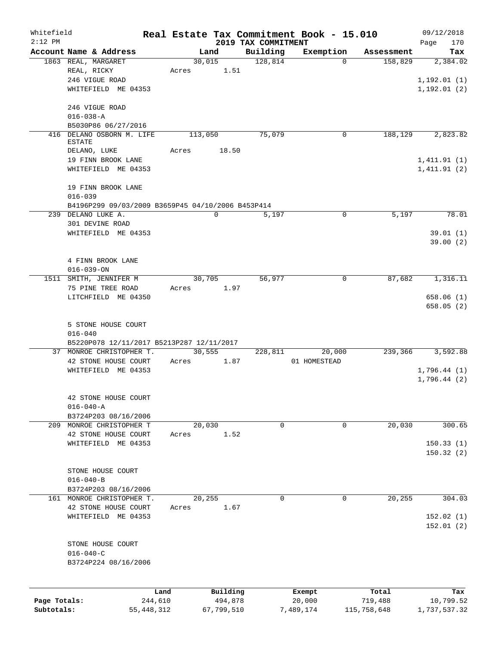| Whitefield   |                                                   |                 |         |                     |                                 | Real Estate Tax Commitment Book - 15.010 |                       | 09/12/2018                 |
|--------------|---------------------------------------------------|-----------------|---------|---------------------|---------------------------------|------------------------------------------|-----------------------|----------------------------|
| $2:12$ PM    | Account Name & Address                            |                 |         | Land                | 2019 TAX COMMITMENT<br>Building | Exemption                                |                       | 170<br>Page                |
|              | 1863 REAL, MARGARET                               |                 |         | 30,015              | 128,814                         | $\Omega$                                 | Assessment<br>158,829 | Tax<br>2,384.02            |
|              | REAL, RICKY                                       |                 | Acres   | 1.51                |                                 |                                          |                       |                            |
|              | 246 VIGUE ROAD                                    |                 |         |                     |                                 |                                          |                       | 1, 192.01(1)               |
|              | WHITEFIELD ME 04353                               |                 |         |                     |                                 |                                          |                       | 1, 192.01(2)               |
|              |                                                   |                 |         |                     |                                 |                                          |                       |                            |
|              | 246 VIGUE ROAD                                    |                 |         |                     |                                 |                                          |                       |                            |
|              | $016 - 038 - A$                                   |                 |         |                     |                                 |                                          |                       |                            |
|              | B5030P86 06/27/2016                               |                 |         |                     |                                 |                                          |                       |                            |
|              | 416 DELANO OSBORN M. LIFE                         |                 | 113,050 |                     | 75,079                          | 0                                        | 188,129               | 2,823.82                   |
|              | <b>ESTATE</b>                                     |                 |         |                     |                                 |                                          |                       |                            |
|              | DELANO, LUKE                                      |                 | Acres   | 18.50               |                                 |                                          |                       |                            |
|              | 19 FINN BROOK LANE<br>WHITEFIELD ME 04353         |                 |         |                     |                                 |                                          |                       | 1,411.91(1)<br>1,411.91(2) |
|              |                                                   |                 |         |                     |                                 |                                          |                       |                            |
|              | 19 FINN BROOK LANE                                |                 |         |                     |                                 |                                          |                       |                            |
|              | $016 - 039$                                       |                 |         |                     |                                 |                                          |                       |                            |
|              | B4196P299 09/03/2009 B3659P45 04/10/2006 B453P414 |                 |         |                     |                                 |                                          |                       |                            |
|              | 239 DELANO LUKE A.                                |                 |         | $\mathbf 0$         | 5,197                           | 0                                        | 5,197                 | 78.01                      |
|              | 301 DEVINE ROAD                                   |                 |         |                     |                                 |                                          |                       |                            |
|              | WHITEFIELD ME 04353                               |                 |         |                     |                                 |                                          |                       | 39.01(1)                   |
|              |                                                   |                 |         |                     |                                 |                                          |                       | 39.00(2)                   |
|              |                                                   |                 |         |                     |                                 |                                          |                       |                            |
|              | 4 FINN BROOK LANE                                 |                 |         |                     |                                 |                                          |                       |                            |
|              | $016 - 039 - ON$                                  |                 |         |                     |                                 |                                          |                       |                            |
|              | 1511 SMITH, JENNIFER M                            |                 |         | 30,705              | 56,977                          | 0                                        | 87,682                | 1,316.11                   |
|              | 75 PINE TREE ROAD                                 |                 | Acres   | 1.97                |                                 |                                          |                       |                            |
|              | LITCHFIELD ME 04350                               |                 |         |                     |                                 |                                          |                       | 658.06(1)                  |
|              |                                                   |                 |         |                     |                                 |                                          |                       | 658.05(2)                  |
|              | 5 STONE HOUSE COURT                               |                 |         |                     |                                 |                                          |                       |                            |
|              | $016 - 040$                                       |                 |         |                     |                                 |                                          |                       |                            |
|              | B5220P078 12/11/2017 B5213P287 12/11/2017         |                 |         |                     |                                 |                                          |                       |                            |
|              | 37 MONROE CHRISTOPHER T.                          |                 |         | 30,555              | 228,811                         | 20,000                                   | 239,366               | 3,592.88                   |
|              | 42 STONE HOUSE COURT                              |                 | Acres   | 1.87                |                                 | 01 HOMESTEAD                             |                       |                            |
|              | WHITEFIELD ME 04353                               |                 |         |                     |                                 |                                          |                       | 1,796.44(1)                |
|              |                                                   |                 |         |                     |                                 |                                          |                       | 1,796.44(2)                |
|              |                                                   |                 |         |                     |                                 |                                          |                       |                            |
|              | 42 STONE HOUSE COURT                              |                 |         |                     |                                 |                                          |                       |                            |
|              | $016 - 040 - A$                                   |                 |         |                     |                                 |                                          |                       |                            |
|              | B3724P203 08/16/2006                              |                 |         |                     |                                 |                                          |                       |                            |
|              | 209 MONROE CHRISTOPHER T                          |                 |         | 20,030              | 0                               | 0                                        | 20,030                | 300.65                     |
|              | 42 STONE HOUSE COURT                              |                 | Acres   | 1.52                |                                 |                                          |                       |                            |
|              | WHITEFIELD ME 04353                               |                 |         |                     |                                 |                                          |                       | 150.33(1)                  |
|              |                                                   |                 |         |                     |                                 |                                          |                       | 150.32(2)                  |
|              | STONE HOUSE COURT                                 |                 |         |                     |                                 |                                          |                       |                            |
|              | $016 - 040 - B$                                   |                 |         |                     |                                 |                                          |                       |                            |
|              | B3724P203 08/16/2006                              |                 |         |                     |                                 |                                          |                       |                            |
|              | 161 MONROE CHRISTOPHER T.                         |                 |         | 20,255              | 0                               | 0                                        | 20,255                | 304.03                     |
|              | 42 STONE HOUSE COURT                              |                 | Acres   | 1.67                |                                 |                                          |                       |                            |
|              | WHITEFIELD ME 04353                               |                 |         |                     |                                 |                                          |                       | 152.02(1)                  |
|              |                                                   |                 |         |                     |                                 |                                          |                       | 152.01(2)                  |
|              |                                                   |                 |         |                     |                                 |                                          |                       |                            |
|              | STONE HOUSE COURT                                 |                 |         |                     |                                 |                                          |                       |                            |
|              | $016 - 040 - C$                                   |                 |         |                     |                                 |                                          |                       |                            |
|              | B3724P224 08/16/2006                              |                 |         |                     |                                 |                                          |                       |                            |
|              |                                                   |                 |         |                     |                                 |                                          |                       |                            |
|              |                                                   |                 |         |                     |                                 |                                          |                       |                            |
| Page Totals: |                                                   | Land<br>244,610 |         | Building<br>494,878 |                                 | Exempt<br>20,000                         | Total<br>719,488      | Tax<br>10,799.52           |
| Subtotals:   |                                                   | 55, 448, 312    |         | 67,799,510          |                                 | 7,489,174                                | 115,758,648           | 1,737,537.32               |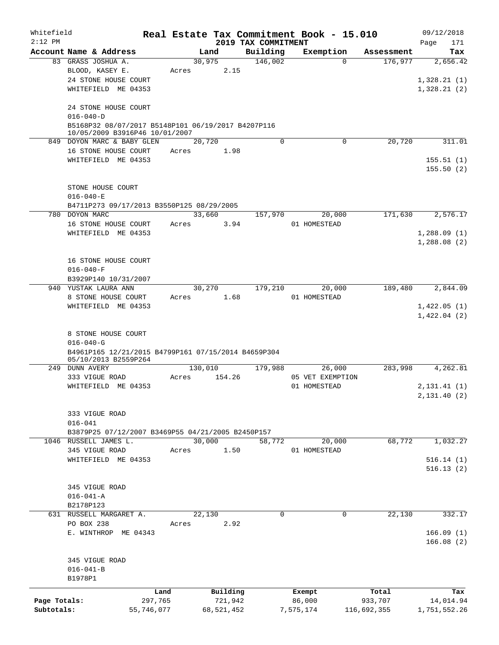| Whitefield   |                                                                                      |            |       |              |         | Real Estate Tax Commitment Book - 15.010 |                  |          |             | 09/12/2018                 |
|--------------|--------------------------------------------------------------------------------------|------------|-------|--------------|---------|------------------------------------------|------------------|----------|-------------|----------------------------|
| $2:12$ PM    | Account Name & Address                                                               |            |       | Land         |         | 2019 TAX COMMITMENT<br>Building          | Exemption        |          | Assessment  | Page<br>171<br>Tax         |
|              | 83 GRASS JOSHUA A.                                                                   |            |       | 30,975       |         | 146,002                                  |                  | $\Omega$ | 176,977     | 2,656.42                   |
|              | BLOOD, KASEY E.                                                                      |            | Acres |              | 2.15    |                                          |                  |          |             |                            |
|              | 24 STONE HOUSE COURT                                                                 |            |       |              |         |                                          |                  |          |             | 1,328.21(1)                |
|              | WHITEFIELD ME 04353                                                                  |            |       |              |         |                                          |                  |          |             | 1,328.21(2)                |
|              |                                                                                      |            |       |              |         |                                          |                  |          |             |                            |
|              | 24 STONE HOUSE COURT                                                                 |            |       |              |         |                                          |                  |          |             |                            |
|              | $016 - 040 - D$                                                                      |            |       |              |         |                                          |                  |          |             |                            |
|              | B5168P32 08/07/2017 B5148P101 06/19/2017 B4207P116<br>10/05/2009 B3916P46 10/01/2007 |            |       |              |         |                                          |                  |          |             |                            |
|              | 849 DOYON MARC & BABY GLEN                                                           |            |       | 20,720       |         | $\Omega$                                 |                  | 0        | 20,720      | 311.01                     |
|              | 16 STONE HOUSE COURT                                                                 |            | Acres |              | 1.98    |                                          |                  |          |             |                            |
|              | WHITEFIELD ME 04353                                                                  |            |       |              |         |                                          |                  |          |             | 155.51(1)                  |
|              |                                                                                      |            |       |              |         |                                          |                  |          |             | 155.50(2)                  |
|              |                                                                                      |            |       |              |         |                                          |                  |          |             |                            |
|              | STONE HOUSE COURT<br>$016 - 040 - E$                                                 |            |       |              |         |                                          |                  |          |             |                            |
|              | B4711P273 09/17/2013 B3550P125 08/29/2005                                            |            |       |              |         |                                          |                  |          |             |                            |
|              | 780 DOYON MARC                                                                       |            |       | 33,660       |         | 157,970                                  |                  | 20,000   | 171,630     | 2,576.17                   |
|              | 16 STONE HOUSE COURT                                                                 |            | Acres |              | 3.94    |                                          | 01 HOMESTEAD     |          |             |                            |
|              | WHITEFIELD ME 04353                                                                  |            |       |              |         |                                          |                  |          |             | 1,288.09(1)                |
|              |                                                                                      |            |       |              |         |                                          |                  |          |             | 1,288.08(2)                |
|              |                                                                                      |            |       |              |         |                                          |                  |          |             |                            |
|              | 16 STONE HOUSE COURT                                                                 |            |       |              |         |                                          |                  |          |             |                            |
|              | $016 - 040 - F$                                                                      |            |       |              |         |                                          |                  |          |             |                            |
|              | B3929P140 10/31/2007                                                                 |            |       |              |         |                                          |                  |          |             |                            |
|              | 940 YUSTAK LAURA ANN                                                                 |            |       | 30,270       |         | 179,210                                  |                  | 20,000   | 189,480     | 2,844.09                   |
|              | 8 STONE HOUSE COURT                                                                  |            | Acres |              | 1.68    |                                          | 01 HOMESTEAD     |          |             |                            |
|              | WHITEFIELD ME 04353                                                                  |            |       |              |         |                                          |                  |          |             | 1,422.05(1)<br>1,422.04(2) |
|              |                                                                                      |            |       |              |         |                                          |                  |          |             |                            |
|              | 8 STONE HOUSE COURT                                                                  |            |       |              |         |                                          |                  |          |             |                            |
|              | $016 - 040 - G$                                                                      |            |       |              |         |                                          |                  |          |             |                            |
|              | B4961P165 12/21/2015 B4799P161 07/15/2014 B4659P304                                  |            |       |              |         |                                          |                  |          |             |                            |
|              | 05/10/2013 B2559P264<br>249 DUNN AVERY                                               |            |       | 130,010      |         | 179,988                                  |                  | 26,000   | 283,998     | 4,262.81                   |
|              | 333 VIGUE ROAD                                                                       |            | Acres |              | 154.26  |                                          | 05 VET EXEMPTION |          |             |                            |
|              | WHITEFIELD ME 04353                                                                  |            |       |              |         |                                          | 01 HOMESTEAD     |          |             | 2,131.41(1)                |
|              |                                                                                      |            |       |              |         |                                          |                  |          |             | 2,131.40(2)                |
|              |                                                                                      |            |       |              |         |                                          |                  |          |             |                            |
|              | 333 VIGUE ROAD                                                                       |            |       |              |         |                                          |                  |          |             |                            |
|              | $016 - 041$                                                                          |            |       |              |         |                                          |                  |          |             |                            |
|              | B3879P25 07/12/2007 B3469P55 04/21/2005 B2450P157<br>1046 RUSSELL JAMES L.           |            |       | 30,000       |         | 58,772                                   |                  | 20,000   | 68,772      | 1,032.27                   |
|              | 345 VIGUE ROAD                                                                       |            | Acres |              | 1.50    |                                          | 01 HOMESTEAD     |          |             |                            |
|              | WHITEFIELD ME 04353                                                                  |            |       |              |         |                                          |                  |          |             | 516.14(1)                  |
|              |                                                                                      |            |       |              |         |                                          |                  |          |             | 516.13(2)                  |
|              |                                                                                      |            |       |              |         |                                          |                  |          |             |                            |
|              | 345 VIGUE ROAD                                                                       |            |       |              |         |                                          |                  |          |             |                            |
|              | $016 - 041 - A$                                                                      |            |       |              |         |                                          |                  |          |             |                            |
|              | B2178P123                                                                            |            |       |              |         |                                          |                  |          |             |                            |
|              | 631 RUSSELL MARGARET A.                                                              |            |       | 22,130       |         | 0                                        |                  | 0        | 22,130      | 332.17                     |
|              | PO BOX 238                                                                           |            | Acres |              | 2.92    |                                          |                  |          |             |                            |
|              | E. WINTHROP ME 04343                                                                 |            |       |              |         |                                          |                  |          |             | 166.09(1)                  |
|              |                                                                                      |            |       |              |         |                                          |                  |          |             | 166.08(2)                  |
|              | 345 VIGUE ROAD                                                                       |            |       |              |         |                                          |                  |          |             |                            |
|              | $016 - 041 - B$                                                                      |            |       |              |         |                                          |                  |          |             |                            |
|              | B1978P1                                                                              |            |       |              |         |                                          |                  |          |             |                            |
|              |                                                                                      | Land       |       | Building     |         |                                          | Exempt           |          | Total       | Tax                        |
| Page Totals: |                                                                                      | 297,765    |       |              | 721,942 |                                          | 86,000           |          | 933,707     | 14,014.94                  |
| Subtotals:   |                                                                                      | 55,746,077 |       | 68, 521, 452 |         |                                          | 7,575,174        |          | 116,692,355 | 1,751,552.26               |
|              |                                                                                      |            |       |              |         |                                          |                  |          |             |                            |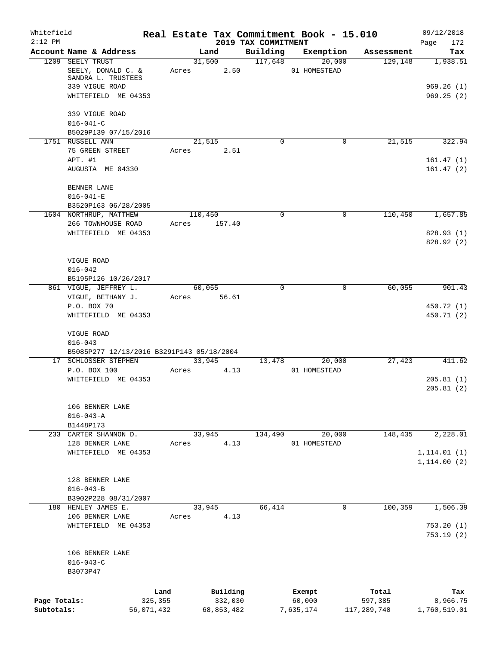| Whitefield<br>$2:12$ PM |                                                                   |         |                | 2019 TAX COMMITMENT | Real Estate Tax Commitment Book - 15.010 |             | 09/12/2018<br>Page<br>172    |
|-------------------------|-------------------------------------------------------------------|---------|----------------|---------------------|------------------------------------------|-------------|------------------------------|
|                         | Account Name & Address                                            |         | Land           | Building            | Exemption                                | Assessment  | Tax                          |
|                         | 1209 SEELY TRUST<br>SEELY, DONALD C. &<br>SANDRA L. TRUSTEES      | Acres   | 31,500<br>2.50 | 117,648             | 20,000<br>01 HOMESTEAD                   | 129,148     | 1,938.51                     |
|                         | 339 VIGUE ROAD<br>WHITEFIELD ME 04353                             |         |                |                     |                                          |             | 969.26(1)<br>969.25(2)       |
|                         | 339 VIGUE ROAD<br>$016 - 041 - C$                                 |         |                |                     |                                          |             |                              |
|                         | B5029P139 07/15/2016                                              |         |                |                     |                                          |             |                              |
|                         | 1751 RUSSELL ANN                                                  |         | 21,515         | $\Omega$            | $\mathbf 0$                              | 21,515      | 322.94                       |
|                         | 75 GREEN STREET                                                   | Acres   | 2.51           |                     |                                          |             |                              |
|                         | APT. #1<br>AUGUSTA ME 04330                                       |         |                |                     |                                          |             | 161.47(1)<br>161.47(2)       |
|                         | BENNER LANE                                                       |         |                |                     |                                          |             |                              |
|                         | $016 - 041 - E$                                                   |         |                |                     |                                          |             |                              |
|                         | B3520P163 06/28/2005<br>1604 NORTHRUP, MATTHEW                    |         | 110,450        | 0                   | $\mathbf 0$                              | 110,450     | 1,657.85                     |
|                         | 266 TOWNHOUSE ROAD                                                | Acres   | 157.40         |                     |                                          |             |                              |
|                         | WHITEFIELD ME 04353                                               |         |                |                     |                                          |             | 828.93(1)<br>828.92(2)       |
|                         | VIGUE ROAD                                                        |         |                |                     |                                          |             |                              |
|                         | $016 - 042$                                                       |         |                |                     |                                          |             |                              |
|                         | B5195P126 10/26/2017                                              |         |                |                     |                                          |             |                              |
|                         | 861 VIGUE, JEFFREY L.                                             |         | 60,055         | $\Omega$            | 0                                        | 60,055      | 901.43                       |
|                         | VIGUE, BETHANY J.<br>P.O. BOX 70                                  | Acres   | 56.61          |                     |                                          |             |                              |
|                         | WHITEFIELD ME 04353                                               |         |                |                     |                                          |             | 450.72 (1)<br>450.71 (2)     |
|                         | VIGUE ROAD                                                        |         |                |                     |                                          |             |                              |
|                         | $016 - 043$                                                       |         |                |                     |                                          |             |                              |
|                         | B5085P277 12/13/2016 B3291P143 05/18/2004<br>17 SCHLOSSER STEPHEN |         | 33,945         | 13,478              | 20,000                                   | 27,423      | 411.62                       |
|                         | P.O. BOX 100                                                      | Acres   | 4.13           |                     | 01 HOMESTEAD                             |             |                              |
|                         | WHITEFIELD ME 04353                                               |         |                |                     |                                          |             | 205.81(1)<br>205.81(2)       |
|                         | 106 BENNER LANE<br>$016 - 043 - A$                                |         |                |                     |                                          |             |                              |
|                         | B1448P173                                                         |         |                |                     |                                          |             |                              |
|                         | 233 CARTER SHANNON D.                                             |         | 33,945         | 134,490             | 20,000                                   | 148,435     | 2,228.01                     |
|                         | 128 BENNER LANE                                                   | Acres   | 4.13           |                     | 01 HOMESTEAD                             |             |                              |
|                         | WHITEFIELD<br>ME 04353                                            |         |                |                     |                                          |             | 1, 114.01(1)<br>1, 114.00(2) |
|                         | 128 BENNER LANE                                                   |         |                |                     |                                          |             |                              |
|                         | $016 - 043 - B$                                                   |         |                |                     |                                          |             |                              |
|                         | B3902P228 08/31/2007                                              |         |                |                     |                                          |             |                              |
|                         | 180 HENLEY JAMES E.                                               |         | 33,945         | 66,414              | 0                                        | 100,359     | 1,506.39                     |
|                         | 106 BENNER LANE                                                   | Acres   | 4.13           |                     |                                          |             |                              |
|                         | ME 04353<br>WHITEFIELD                                            |         |                |                     |                                          |             | 753.20(1)<br>753.19(2)       |
|                         | 106 BENNER LANE<br>$016 - 043 - C$                                |         |                |                     |                                          |             |                              |
|                         | B3073P47                                                          |         |                |                     |                                          |             |                              |
|                         |                                                                   |         |                |                     |                                          |             |                              |
|                         |                                                                   | Land    | Building       |                     | Exempt                                   | Total       | Tax                          |
| Page Totals:            |                                                                   | 325,355 | 332,030        |                     | 60,000                                   | 597,385     | 8,966.75                     |
| Subtotals:              | 56,071,432                                                        |         | 68,853,482     |                     | 7,635,174                                | 117,289,740 | 1,760,519.01                 |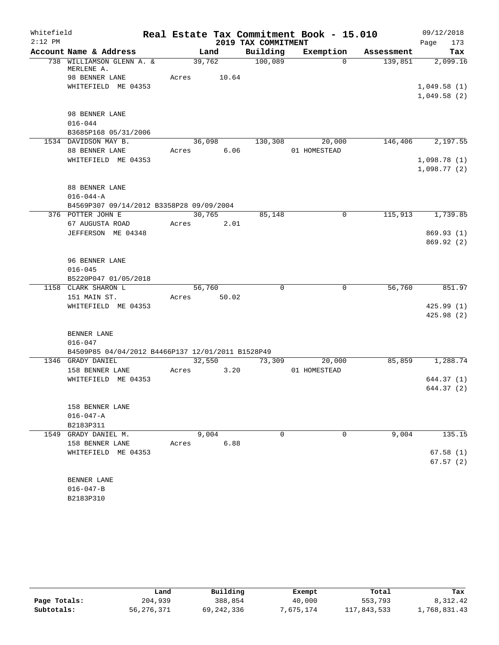| Whitefield |                                                   |       |             |                     | Real Estate Tax Commitment Book - 15.010 |            | 09/12/2018                 |
|------------|---------------------------------------------------|-------|-------------|---------------------|------------------------------------------|------------|----------------------------|
| $2:12$ PM  |                                                   |       |             | 2019 TAX COMMITMENT |                                          |            | 173<br>Page                |
|            | Account Name & Address                            |       | Land        | Building            | Exemption                                | Assessment | Tax                        |
|            | 738 WILLIAMSON GLENN A. &<br>MERLENE A.           |       | 39,762      | 100,089             | $\Omega$                                 | 139,851    | 2,099.16                   |
|            | 98 BENNER LANE                                    | Acres | 10.64       |                     |                                          |            |                            |
|            | WHITEFIELD ME 04353                               |       |             |                     |                                          |            | 1,049.58(1)                |
|            |                                                   |       |             |                     |                                          |            | 1,049.58(2)                |
|            | 98 BENNER LANE                                    |       |             |                     |                                          |            |                            |
|            | $016 - 044$                                       |       |             |                     |                                          |            |                            |
|            | B3685P168 05/31/2006                              |       |             |                     |                                          |            |                            |
|            | 1534 DAVIDSON MAY B.                              |       |             |                     | 36,098 130,308 20,000                    |            | 146,406 2,197.55           |
|            | 88 BENNER LANE                                    | Acres | 6.06        |                     | 01 HOMESTEAD                             |            |                            |
|            | WHITEFIELD ME 04353                               |       |             |                     |                                          |            | 1,098.78(1)<br>1,098.77(2) |
|            | 88 BENNER LANE                                    |       |             |                     |                                          |            |                            |
|            | $016 - 044 - A$                                   |       |             |                     |                                          |            |                            |
|            | B4569P307 09/14/2012 B3358P28 09/09/2004          |       |             |                     |                                          |            |                            |
|            | 376 POTTER JOHN E                                 |       | 30,765      | 85,148              | 0                                        | 115,913    | 1,739.85                   |
|            | 67 AUGUSTA ROAD                                   | Acres | 2.01        |                     |                                          |            |                            |
|            | JEFFERSON ME 04348                                |       |             |                     |                                          |            | 869.93(1)                  |
|            |                                                   |       |             |                     |                                          |            | 869.92 (2)                 |
|            | 96 BENNER LANE                                    |       |             |                     |                                          |            |                            |
|            | $016 - 045$                                       |       |             |                     |                                          |            |                            |
|            | B5220P047 01/05/2018                              |       |             |                     |                                          |            |                            |
|            | 1158 CLARK SHARON L                               |       | 56,760      | $\Omega$            | $\Omega$                                 | 56,760     | 851.97                     |
|            | 151 MAIN ST.                                      |       | Acres 50.02 |                     |                                          |            |                            |
|            | WHITEFIELD ME 04353                               |       |             |                     |                                          |            | 425.99(1)                  |
|            |                                                   |       |             |                     |                                          |            | 425.98(2)                  |
|            | BENNER LANE                                       |       |             |                     |                                          |            |                            |
|            | $016 - 047$                                       |       |             |                     |                                          |            |                            |
|            | B4509P85 04/04/2012 B4466P137 12/01/2011 B1528P49 |       |             |                     |                                          |            |                            |
|            | 1346 GRADY DANIEL                                 |       | 32,550      | 73,309              | 20,000                                   | 85,859     | 1,288.74                   |
|            | 158 BENNER LANE                                   | Acres | 3.20        |                     | 01 HOMESTEAD                             |            |                            |
|            | WHITEFIELD ME 04353                               |       |             |                     |                                          |            | 644.37 (1)                 |
|            |                                                   |       |             |                     |                                          |            | 644.37(2)                  |
|            | 158 BENNER LANE                                   |       |             |                     |                                          |            |                            |
|            | $016 - 047 - A$                                   |       |             |                     |                                          |            |                            |
|            | B2183P311                                         |       |             |                     |                                          |            |                            |
|            | 1549 GRADY DANIEL M.                              |       | 9,004       | $\Omega$            | 0                                        | 9,004      | 135.15                     |
|            | 158 BENNER LANE                                   | Acres | 6.88        |                     |                                          |            |                            |
|            | WHITEFIELD ME 04353                               |       |             |                     |                                          |            | 67.58(1)                   |
|            |                                                   |       |             |                     |                                          |            | 67.57(2)                   |
|            | BENNER LANE                                       |       |             |                     |                                          |            |                            |
|            | $016 - 047 - B$                                   |       |             |                     |                                          |            |                            |
|            | B2183P310                                         |       |             |                     |                                          |            |                            |

|              | Land       | Building   | Exempt   | Total       | Tax          |
|--------------|------------|------------|----------|-------------|--------------|
| Page Totals: | 204,939    | 388,854    | 40,000   | 553,793     | 8,312.42     |
| Subtotals:   | 56,276,371 | 69,242,336 | ,675,174 | 117,843,533 | .,768,831.43 |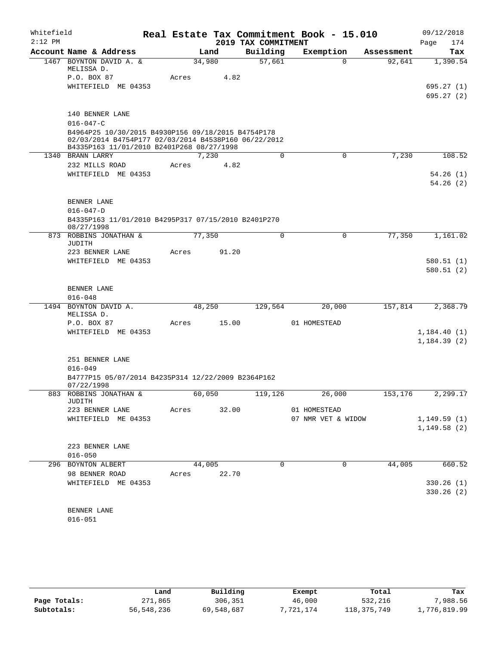| Whitefield<br>$2:12$ PM |                                                                                                                                                         |             |        |       | Real Estate Tax Commitment Book - 15.010<br>2019 TAX COMMITMENT |              |                    |            | 09/12/2018<br>174<br>Page |
|-------------------------|---------------------------------------------------------------------------------------------------------------------------------------------------------|-------------|--------|-------|-----------------------------------------------------------------|--------------|--------------------|------------|---------------------------|
|                         | Account Name & Address                                                                                                                                  |             | Land   |       | Building                                                        |              | Exemption          | Assessment | Tax                       |
|                         | 1467 BOYNTON DAVID A. &<br>MELISSA D.                                                                                                                   |             | 34,980 |       | 57,661                                                          |              | $\Omega$           | 92,641     | 1,390.54                  |
|                         | P.O. BOX 87                                                                                                                                             | Acres       |        | 4.82  |                                                                 |              |                    |            |                           |
|                         | WHITEFIELD ME 04353                                                                                                                                     |             |        |       |                                                                 |              |                    |            | 695.27(1)<br>695.27(2)    |
|                         | 140 BENNER LANE                                                                                                                                         |             |        |       |                                                                 |              |                    |            |                           |
|                         | $016 - 047 - C$                                                                                                                                         |             |        |       |                                                                 |              |                    |            |                           |
|                         | B4964P25 10/30/2015 B4930P156 09/18/2015 B4754P178<br>02/03/2014 B4754P177 02/03/2014 B4538P160 06/22/2012<br>B4335P163 11/01/2010 B2401P268 08/27/1998 |             |        |       |                                                                 |              |                    |            |                           |
|                         | 1340 BRANN LARRY                                                                                                                                        |             | 7,230  |       | 0                                                               |              | $\mathbf 0$        | 7,230      | 108.52                    |
|                         | 232 MILLS ROAD                                                                                                                                          | Acres       |        | 4.82  |                                                                 |              |                    |            |                           |
|                         | WHITEFIELD ME 04353                                                                                                                                     |             |        |       |                                                                 |              |                    |            | 54.26(1)<br>54.26(2)      |
|                         | BENNER LANE                                                                                                                                             |             |        |       |                                                                 |              |                    |            |                           |
|                         | $016 - 047 - D$                                                                                                                                         |             |        |       |                                                                 |              |                    |            |                           |
|                         | B4335P163 11/01/2010 B4295P317 07/15/2010 B2401P270<br>08/27/1998                                                                                       |             |        |       |                                                                 |              |                    |            |                           |
|                         | 873 ROBBINS JONATHAN &<br>JUDITH                                                                                                                        |             | 77,350 |       | 0                                                               |              | 0                  | 77,350     | 1,161.02                  |
|                         | 223 BENNER LANE                                                                                                                                         | Acres       |        | 91.20 |                                                                 |              |                    |            |                           |
|                         | WHITEFIELD ME 04353                                                                                                                                     |             |        |       |                                                                 |              |                    |            | 580.51(1)                 |
|                         |                                                                                                                                                         |             |        |       |                                                                 |              |                    |            | 580.51(2)                 |
|                         | BENNER LANE                                                                                                                                             |             |        |       |                                                                 |              |                    |            |                           |
|                         | $016 - 048$                                                                                                                                             |             |        |       |                                                                 |              |                    |            |                           |
|                         | 1494 BOYNTON DAVID A.<br>MELISSA D.                                                                                                                     |             | 48,250 |       | 129,564                                                         |              | 20,000             | 157,814    | 2,368.79                  |
|                         | P.O. BOX 87                                                                                                                                             | Acres       |        | 15.00 |                                                                 | 01 HOMESTEAD |                    |            |                           |
|                         | WHITEFIELD ME 04353                                                                                                                                     |             |        |       |                                                                 |              |                    |            | 1,184.40(1)               |
|                         |                                                                                                                                                         |             |        |       |                                                                 |              |                    |            | 1,184.39(2)               |
|                         | 251 BENNER LANE                                                                                                                                         |             |        |       |                                                                 |              |                    |            |                           |
|                         | $016 - 049$                                                                                                                                             |             |        |       |                                                                 |              |                    |            |                           |
|                         | B4777P15 05/07/2014 B4235P314 12/22/2009 B2364P162<br>07/22/1998                                                                                        |             |        |       |                                                                 |              |                    |            |                           |
|                         | 883 ROBBINS JONATHAN &                                                                                                                                  |             | 60,050 |       | 119,126                                                         |              | 26,000             | 153,176    | 2,299.17                  |
|                         | JUDITH<br>223 BENNER LANE Acres 32.00                                                                                                                   |             |        |       |                                                                 | 01 HOMESTEAD |                    |            |                           |
|                         | WHITEFIELD ME 04353                                                                                                                                     |             |        |       |                                                                 |              | 07 NMR VET & WIDOW |            | 1, 149.59(1)              |
|                         |                                                                                                                                                         |             |        |       |                                                                 |              |                    |            | 1,149.58(2)               |
|                         | 223 BENNER LANE                                                                                                                                         |             |        |       |                                                                 |              |                    |            |                           |
|                         | $016 - 050$                                                                                                                                             |             |        |       |                                                                 |              |                    |            |                           |
|                         | 296 BOYNTON ALBERT                                                                                                                                      |             | 44,005 |       | 0                                                               |              | $\mathbf 0$        |            | 44,005 660.52             |
|                         | 98 BENNER ROAD                                                                                                                                          | Acres 22.70 |        |       |                                                                 |              |                    |            |                           |
|                         | WHITEFIELD ME 04353                                                                                                                                     |             |        |       |                                                                 |              |                    |            | 330.26 (1)                |
|                         |                                                                                                                                                         |             |        |       |                                                                 |              |                    |            | 330.26(2)                 |
|                         | BENNER LANE                                                                                                                                             |             |        |       |                                                                 |              |                    |            |                           |
|                         | $016 - 051$                                                                                                                                             |             |        |       |                                                                 |              |                    |            |                           |

|              | Land       | Building   | Exempt   | Total         | Tax          |
|--------------|------------|------------|----------|---------------|--------------|
| Page Totals: | 271,865    | 306,351    | 46,000   | 532,216       | .988.56      |
| Subtotals:   | 56,548,236 | 69,548,687 | .721.174 | 118, 375, 749 | 1,776,819.99 |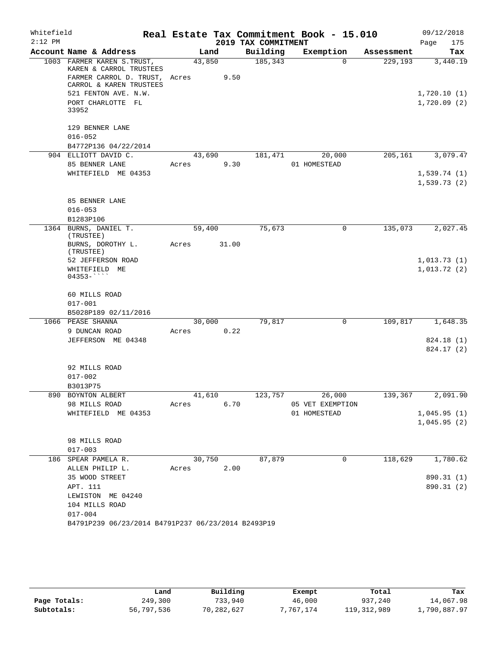| Whitefield |                                                                                                                                                                          |        |        | Real Estate Tax Commitment Book - 15.010 |                  |            | 09/12/2018                             |
|------------|--------------------------------------------------------------------------------------------------------------------------------------------------------------------------|--------|--------|------------------------------------------|------------------|------------|----------------------------------------|
| $2:12$ PM  |                                                                                                                                                                          |        |        | 2019 TAX COMMITMENT                      |                  |            | Page<br>175                            |
|            | Account Name & Address                                                                                                                                                   |        | Land   | Building                                 | Exemption        | Assessment | Tax                                    |
|            | 1003 FARMER KAREN S. TRUST,<br>KAREN & CARROL TRUSTEES<br>FARMER CARROL D. TRUST, Acres<br>CARROL & KAREN TRUSTEES<br>521 FENTON AVE. N.W.<br>PORT CHARLOTTE FL<br>33952 | 43,850 | 9.50   | 185,343                                  | $\Omega$         | 229,193    | 3,440.19<br>1,720.10(1)<br>1,720.09(2) |
|            | 129 BENNER LANE<br>$016 - 052$<br>B4772P136 04/22/2014                                                                                                                   |        |        |                                          |                  |            |                                        |
|            | 904 ELLIOTT DAVID C.                                                                                                                                                     | 43,690 |        | 181,471                                  | 20,000           | 205,161    | 3,079.47                               |
|            | 85 BENNER LANE<br>WHITEFIELD ME 04353                                                                                                                                    | Acres  | 9.30   |                                          | 01 HOMESTEAD     |            | 1,539.74(1)<br>1,539.73(2)             |
|            | 85 BENNER LANE<br>$016 - 053$<br>B1283P106                                                                                                                               |        |        |                                          |                  |            |                                        |
|            | 1364 BURNS, DANIEL T.<br>(TRUSTEE)                                                                                                                                       | 59,400 |        | 75,673                                   | 0                | 135,073    | 2,027.45                               |
|            | BURNS, DOROTHY L.<br>(TRUSTEE)                                                                                                                                           | Acres  | 31.00  |                                          |                  |            |                                        |
|            | 52 JEFFERSON ROAD                                                                                                                                                        |        |        |                                          |                  |            | 1,013.73(1)                            |
|            | WHITEFIELD ME<br>$04353 -$                                                                                                                                               |        |        |                                          |                  |            | 1,013.72(2)                            |
|            | 60 MILLS ROAD<br>$017 - 001$                                                                                                                                             |        |        |                                          |                  |            |                                        |
|            | B5028P189 02/11/2016                                                                                                                                                     |        |        |                                          |                  |            |                                        |
|            | 1066 PEASE SHANNA                                                                                                                                                        | 30,000 |        | 79,817                                   | $\mathbf 0$      | 109,817    | 1,648.35                               |
|            | 9 DUNCAN ROAD                                                                                                                                                            | Acres  | 0.22   |                                          |                  |            |                                        |
|            | JEFFERSON ME 04348                                                                                                                                                       |        |        |                                          |                  |            | 824.18 (1)<br>824.17 (2)               |
|            | 92 MILLS ROAD<br>$017 - 002$<br>B3013P75                                                                                                                                 |        |        |                                          |                  |            |                                        |
|            | 890 BOYNTON ALBERT                                                                                                                                                       |        | 41,610 | 123,757                                  | 26,000           |            | 139,367 2,091.90                       |
|            | 98 MILLS ROAD                                                                                                                                                            | Acres  | 6.70   |                                          | 05 VET EXEMPTION |            |                                        |
|            | WHITEFIELD ME 04353                                                                                                                                                      |        |        |                                          | 01 HOMESTEAD     |            | 1,045.95(1)<br>1,045.95(2)             |
|            | 98 MILLS ROAD<br>$017 - 003$                                                                                                                                             |        |        |                                          |                  |            |                                        |
|            | 186 SPEAR PAMELA R.                                                                                                                                                      |        | 30,750 | 87,879                                   | $\overline{0}$   | 118,629    | 1,780.62                               |
|            | ALLEN PHILIP L.<br>35 WOOD STREET                                                                                                                                        | Acres  | 2.00   |                                          |                  |            | 890.31 (1)                             |
|            | APT. 111                                                                                                                                                                 |        |        |                                          |                  |            | 890.31 (2)                             |
|            | LEWISTON ME 04240                                                                                                                                                        |        |        |                                          |                  |            |                                        |
|            | 104 MILLS ROAD                                                                                                                                                           |        |        |                                          |                  |            |                                        |
|            | $017 - 004$                                                                                                                                                              |        |        |                                          |                  |            |                                        |
|            | B4791P239 06/23/2014 B4791P237 06/23/2014 B2493P19                                                                                                                       |        |        |                                          |                  |            |                                        |

|              | Land       | Building   | Exempt    | Total         | Tax          |
|--------------|------------|------------|-----------|---------------|--------------|
| Page Totals: | 249,300    | 733,940    | 46,000    | 937,240       | 14,067.98    |
| Subtotals:   | 56,797,536 | 70,282,627 | 7,767,174 | 119, 312, 989 | 1,790,887.97 |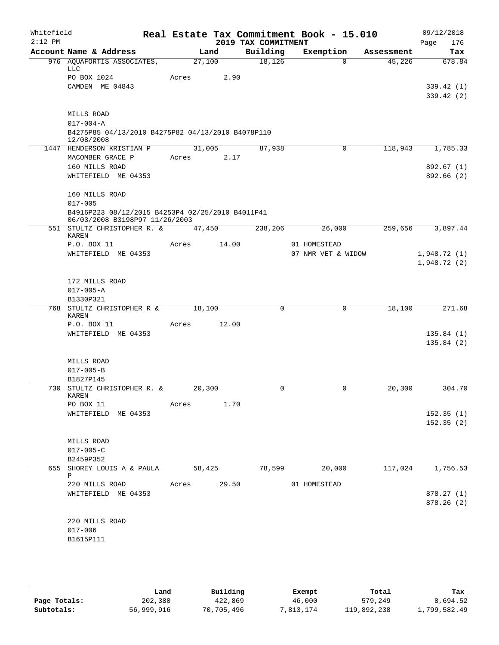| Whitefield<br>$2:12$ PM |                                                                                                   |        |        | 2019 TAX COMMITMENT | Real Estate Tax Commitment Book - 15.010 |            | 09/12/2018<br>Page<br>176 |
|-------------------------|---------------------------------------------------------------------------------------------------|--------|--------|---------------------|------------------------------------------|------------|---------------------------|
|                         | Account Name & Address                                                                            |        | Land   | Building            | Exemption                                | Assessment | Tax                       |
|                         | 976 AQUAFORTIS ASSOCIATES,<br><b>LLC</b>                                                          | 27,100 |        | 18,126              | 0                                        | 45,226     | 678.84                    |
|                         | PO BOX 1024<br>CAMDEN ME 04843                                                                    | Acres  | 2.90   |                     |                                          |            | 339.42 (1)                |
|                         |                                                                                                   |        |        |                     |                                          |            | 339.42(2)                 |
|                         | MILLS ROAD                                                                                        |        |        |                     |                                          |            |                           |
|                         | $017 - 004 - A$                                                                                   |        |        |                     |                                          |            |                           |
|                         | B4275P85 04/13/2010 B4275P82 04/13/2010 B4078P110<br>12/08/2008                                   |        |        |                     |                                          |            |                           |
|                         | 1447 HENDERSON KRISTIAN P                                                                         |        | 31,005 | 87,938              | $\mathbf 0$                              | 118,943    | 1,785.33                  |
|                         | MACOMBER GRACE P                                                                                  | Acres  | 2.17   |                     |                                          |            |                           |
|                         | 160 MILLS ROAD<br>WHITEFIELD ME 04353                                                             |        |        |                     |                                          |            | 892.67 (1)<br>892.66 (2)  |
|                         | 160 MILLS ROAD                                                                                    |        |        |                     |                                          |            |                           |
|                         | $017 - 005$<br>B4916P223 08/12/2015 B4253P4 02/25/2010 B4011P41<br>06/03/2008 B3198P97 11/26/2003 |        |        |                     |                                          |            |                           |
|                         | 551 STULTZ CHRISTOPHER R. &<br>KAREN                                                              | 47,450 |        | 238,206             | 26,000                                   | 259,656    | 3,897.44                  |
|                         | P.O. BOX 11                                                                                       | Acres  | 14.00  |                     | 01 HOMESTEAD                             |            |                           |
|                         | WHITEFIELD ME 04353                                                                               |        |        |                     | 07 NMR VET & WIDOW                       |            | 1,948.72(1)               |
|                         |                                                                                                   |        |        |                     |                                          |            | 1,948.72(2)               |
|                         | 172 MILLS ROAD                                                                                    |        |        |                     |                                          |            |                           |
|                         | $017 - 005 - A$                                                                                   |        |        |                     |                                          |            |                           |
|                         | B1330P321                                                                                         |        |        |                     |                                          |            |                           |
|                         | 768 STULTZ CHRISTOPHER R &<br><b>KAREN</b>                                                        | 18,100 |        | $\mathbf 0$         | $\mathbf 0$                              | 18,100     | 271.68                    |
|                         | P.O. BOX 11                                                                                       | Acres  | 12.00  |                     |                                          |            |                           |
|                         | WHITEFIELD ME 04353                                                                               |        |        |                     |                                          |            | 135.84(1)                 |
|                         |                                                                                                   |        |        |                     |                                          |            | 135.84(2)                 |
|                         | MILLS ROAD                                                                                        |        |        |                     |                                          |            |                           |
|                         | $017 - 005 - B$                                                                                   |        |        |                     |                                          |            |                           |
|                         | B1827P145                                                                                         |        |        |                     |                                          |            |                           |
|                         | 730 STULTZ CHRISTOPHER R. &<br>KAREN                                                              | 20,300 |        | 0                   | 0                                        | 20,300     | 304.70                    |
|                         | PO BOX 11                                                                                         | Acres  | 1.70   |                     |                                          |            |                           |
|                         | WHITEFIELD ME 04353                                                                               |        |        |                     |                                          |            | 152.35(1)<br>152.35(2)    |
|                         | MILLS ROAD                                                                                        |        |        |                     |                                          |            |                           |
|                         | $017 - 005 - C$                                                                                   |        |        |                     |                                          |            |                           |
|                         | B2459P352                                                                                         | 58,425 |        |                     |                                          | 117,024    | 1,756.53                  |
|                         | 655 SHOREY LOUIS A & PAULA<br>Ρ                                                                   |        |        | 78,599              | 20,000                                   |            |                           |
|                         | 220 MILLS ROAD                                                                                    | Acres  | 29.50  |                     | 01 HOMESTEAD                             |            |                           |
|                         | WHITEFIELD ME 04353                                                                               |        |        |                     |                                          |            | 878.27(1)<br>878.26 (2)   |
|                         |                                                                                                   |        |        |                     |                                          |            |                           |
|                         | 220 MILLS ROAD                                                                                    |        |        |                     |                                          |            |                           |
|                         | $017 - 006$                                                                                       |        |        |                     |                                          |            |                           |
|                         | B1615P111                                                                                         |        |        |                     |                                          |            |                           |
|                         |                                                                                                   |        |        |                     |                                          |            |                           |

|              | Land       | Building   | Exempt    | Total       | Tax          |
|--------------|------------|------------|-----------|-------------|--------------|
| Page Totals: | 202,380    | 422,869    | 46,000    | 579,249     | 8,694.52     |
| Subtotals:   | 56,999,916 | 70,705,496 | 7,813,174 | 119,892,238 | 1,799,582.49 |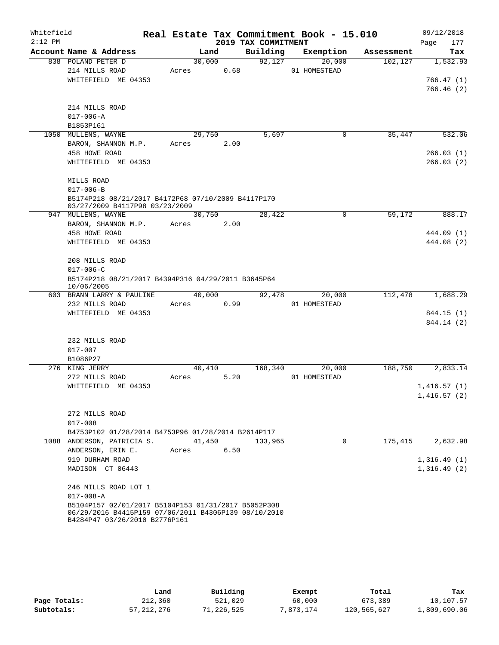| Whitefield<br>$2:12$ PM |                                                                  |        |      | 2019 TAX COMMITMENT | Real Estate Tax Commitment Book - 15.010 |            | 09/12/2018<br>Page<br>177 |
|-------------------------|------------------------------------------------------------------|--------|------|---------------------|------------------------------------------|------------|---------------------------|
|                         | Account Name & Address                                           | Land   |      | Building            | Exemption                                | Assessment | Tax                       |
|                         | 838 POLAND PETER D                                               | 30,000 |      | 92,127              | 20,000                                   | 102,127    | 1,532.93                  |
|                         | 214 MILLS ROAD                                                   | Acres  | 0.68 |                     | 01 HOMESTEAD                             |            |                           |
|                         | WHITEFIELD ME 04353                                              |        |      |                     |                                          |            | 766.47(1)                 |
|                         |                                                                  |        |      |                     |                                          |            | 766.46(2)                 |
|                         |                                                                  |        |      |                     |                                          |            |                           |
|                         | 214 MILLS ROAD                                                   |        |      |                     |                                          |            |                           |
|                         | $017 - 006 - A$                                                  |        |      |                     |                                          |            |                           |
|                         | B1853P161                                                        |        |      |                     |                                          |            |                           |
|                         | 1050 MULLENS, WAYNE                                              | 29,750 |      | 5,697               | 0                                        | 35,447     | 532.06                    |
|                         | BARON, SHANNON M.P.                                              | Acres  | 2.00 |                     |                                          |            |                           |
|                         | 458 HOWE ROAD                                                    |        |      |                     |                                          |            | 266.03(1)                 |
|                         | WHITEFIELD ME 04353                                              |        |      |                     |                                          |            | 266.03(2)                 |
|                         | MILLS ROAD                                                       |        |      |                     |                                          |            |                           |
|                         | $017 - 006 - B$                                                  |        |      |                     |                                          |            |                           |
|                         | B5174P218 08/21/2017 B4172P68 07/10/2009 B4117P170               |        |      |                     |                                          |            |                           |
|                         | 03/27/2009 B4117P98 03/23/2009                                   |        |      |                     |                                          |            |                           |
|                         | 947 MULLENS, WAYNE                                               | 30,750 |      | 28,422              | $\mathbf 0$                              | 59,172     | 888.17                    |
|                         | BARON, SHANNON M.P.                                              | Acres  | 2.00 |                     |                                          |            |                           |
|                         | 458 HOWE ROAD                                                    |        |      |                     |                                          |            | 444.09 (1)                |
|                         | WHITEFIELD ME 04353                                              |        |      |                     |                                          |            | 444.08 (2)                |
|                         | 208 MILLS ROAD                                                   |        |      |                     |                                          |            |                           |
|                         | $017 - 006 - C$                                                  |        |      |                     |                                          |            |                           |
|                         | B5174P218 08/21/2017 B4394P316 04/29/2011 B3645P64<br>10/06/2005 |        |      |                     |                                          |            |                           |
|                         | 603 BRANN LARRY & PAULINE                                        | 40,000 |      | 92,478              | 20,000                                   | 112,478    | 1,688.29                  |
|                         | 232 MILLS ROAD                                                   | Acres  | 0.99 |                     | 01 HOMESTEAD                             |            |                           |
|                         | WHITEFIELD ME 04353                                              |        |      |                     |                                          |            | 844.15 (1)                |
|                         |                                                                  |        |      |                     |                                          |            | 844.14 (2)                |
|                         | 232 MILLS ROAD                                                   |        |      |                     |                                          |            |                           |
|                         | $017 - 007$                                                      |        |      |                     |                                          |            |                           |
|                         | B1086P27                                                         |        |      |                     |                                          |            |                           |
|                         | 276 KING JERRY                                                   | 40,410 |      | 168,340             | 20,000                                   | 188,750    | 2,833.14                  |
|                         | 272 MILLS ROAD                                                   | Acres  | 5.20 |                     | 01 HOMESTEAD                             |            |                           |
|                         | WHITEFIELD ME 04353                                              |        |      |                     |                                          |            | 1,416.57(1)               |
|                         |                                                                  |        |      |                     |                                          |            | 1,416.57(2)               |
|                         |                                                                  |        |      |                     |                                          |            |                           |
|                         | 272 MILLS ROAD                                                   |        |      |                     |                                          |            |                           |
|                         | $017 - 008$                                                      |        |      |                     |                                          |            |                           |
|                         | B4753P102 01/28/2014 B4753P96 01/28/2014 B2614P117               |        |      |                     |                                          |            |                           |
| 1088                    | ANDERSON, PATRICIA S.                                            | 41,450 |      | 133,965             | $\mathbf{0}$                             | 175,415    | 2,632.98                  |
|                         | ANDERSON, ERIN E.                                                | Acres  | 6.50 |                     |                                          |            |                           |
|                         | 919 DURHAM ROAD                                                  |        |      |                     |                                          |            | 1,316.49(1)               |
|                         | MADISON CT 06443                                                 |        |      |                     |                                          |            | 1,316.49(2)               |
|                         | 246 MILLS ROAD LOT 1                                             |        |      |                     |                                          |            |                           |
|                         | $017 - 008 - A$                                                  |        |      |                     |                                          |            |                           |
|                         | B5104P157 02/01/2017 B5104P153 01/31/2017 B5052P308              |        |      |                     |                                          |            |                           |
|                         | 06/29/2016 B4415P159 07/06/2011 B4306P139 08/10/2010             |        |      |                     |                                          |            |                           |
|                         | B4284P47 03/26/2010 B2776P161                                    |        |      |                     |                                          |            |                           |

|              | Land       | Building   | Exempt    | Total       | Tax          |
|--------------|------------|------------|-----------|-------------|--------------|
| Page Totals: | 212,360    | 521,029    | 60,000    | 673,389     | 10,107.57    |
| Subtotals:   | 57,212,276 | 71,226,525 | 7,873,174 | 120,565,627 | 1,809,690.06 |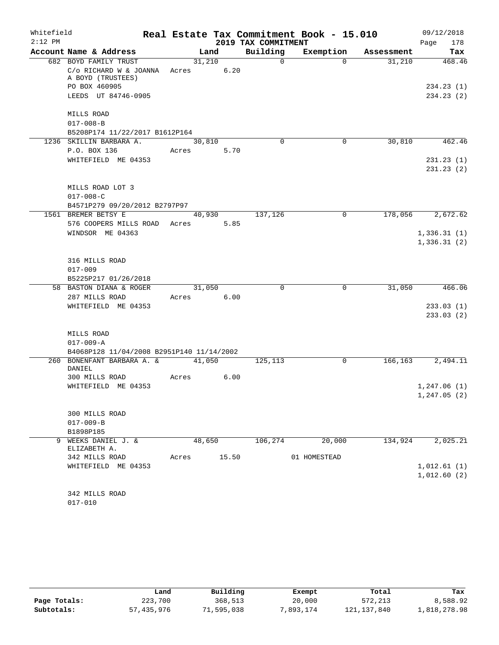| Whitefield |                                                 |            |                |                     | Real Estate Tax Commitment Book - 15.010 |            | 09/12/2018   |
|------------|-------------------------------------------------|------------|----------------|---------------------|------------------------------------------|------------|--------------|
| $2:12$ PM  |                                                 |            |                | 2019 TAX COMMITMENT |                                          |            | 178<br>Page  |
|            | Account Name & Address                          |            | Land           | Building            | Exemption                                | Assessment | Tax          |
|            | 682 BOYD FAMILY TRUST<br>C/o RICHARD W & JOANNA | Acres      | 31,210<br>6.20 | $\Omega$            | $\Omega$                                 | 31,210     | 468.46       |
|            | A BOYD (TRUSTEES)<br>PO BOX 460905              |            |                |                     |                                          |            | 234.23(1)    |
|            | LEEDS UT 84746-0905                             |            |                |                     |                                          |            | 234.23 (2)   |
|            |                                                 |            |                |                     |                                          |            |              |
|            | MILLS ROAD                                      |            |                |                     |                                          |            |              |
|            | $017 - 008 - B$                                 |            |                |                     |                                          |            |              |
|            | B5208P174 11/22/2017 B1612P164                  |            |                |                     |                                          |            |              |
|            | 1236 SKILLIN BARBARA A.                         | 30,810     |                | $\Omega$            | 0                                        | 30,810     | 462.46       |
|            | P.O. BOX 136                                    | Acres      | 5.70           |                     |                                          |            |              |
|            | WHITEFIELD ME 04353                             |            |                |                     |                                          |            | 231.23(1)    |
|            |                                                 |            |                |                     |                                          |            | 231.23 (2)   |
|            | MILLS ROAD LOT 3                                |            |                |                     |                                          |            |              |
|            | $017 - 008 - C$                                 |            |                |                     |                                          |            |              |
|            | B4571P279 09/20/2012 B2797P97                   |            |                |                     |                                          |            |              |
|            | 1561 BREMER BETSY E                             |            | 40,930         | 137,126             | $\mathbf 0$                              | 178,056    | 2,672.62     |
|            | 576 COOPERS MILLS ROAD                          | Acres 5.85 |                |                     |                                          |            |              |
|            | WINDSOR ME 04363                                |            |                |                     |                                          |            | 1,336.31(1)  |
|            |                                                 |            |                |                     |                                          |            | 1,336.31(2)  |
|            |                                                 |            |                |                     |                                          |            |              |
|            | 316 MILLS ROAD                                  |            |                |                     |                                          |            |              |
|            | $017 - 009$                                     |            |                |                     |                                          |            |              |
|            | B5225P217 01/26/2018                            |            |                |                     |                                          |            |              |
|            | 58 BASTON DIANA & ROGER                         |            | 31,050         | $\Omega$            | $\mathbf 0$                              | 31,050     | 466.06       |
|            | 287 MILLS ROAD                                  | Acres 6.00 |                |                     |                                          |            |              |
|            | WHITEFIELD ME 04353                             |            |                |                     |                                          |            | 233.03(1)    |
|            |                                                 |            |                |                     |                                          |            | 233.03(2)    |
|            | MILLS ROAD                                      |            |                |                     |                                          |            |              |
|            | $017 - 009 - A$                                 |            |                |                     |                                          |            |              |
|            | B4068P128 11/04/2008 B2951P140 11/14/2002       |            |                |                     |                                          |            |              |
| 260        | BONENFANT BARBARA A. & 41,050<br>DANIEL         |            |                | 125,113             | 0                                        | 166,163    | 2,494.11     |
|            | 300 MILLS ROAD                                  | Acres      | 6.00           |                     |                                          |            |              |
|            | WHITEFIELD ME 04353                             |            |                |                     |                                          |            | 1,247.06(1)  |
|            |                                                 |            |                |                     |                                          |            | 1, 247.05(2) |
|            | 300 MILLS ROAD                                  |            |                |                     |                                          |            |              |
|            | $017 - 009 - B$                                 |            |                |                     |                                          |            |              |
|            | B1898P185                                       |            |                |                     |                                          |            |              |
| 9          | WEEKS DANIEL J. &<br>ELIZABETH A.               | 48,650     |                | 106,274             | 20,000                                   | 134,924    | 2,025.21     |
|            | 342 MILLS ROAD                                  | Acres      | 15.50          |                     | 01 HOMESTEAD                             |            |              |
|            | WHITEFIELD ME 04353                             |            |                |                     |                                          |            | 1,012.61(1)  |
|            |                                                 |            |                |                     |                                          |            | 1,012.60(2)  |
|            |                                                 |            |                |                     |                                          |            |              |
|            | 342 MILLS ROAD                                  |            |                |                     |                                          |            |              |

017-010

|              | Land       | Building   | Exempt   | Total       | Tax          |
|--------------|------------|------------|----------|-------------|--------------|
| Page Totals: | 223,700    | 368,513    | 20,000   | 572,213     | 8,588.92     |
| Subtotals:   | 57,435,976 | 71,595,038 | ,893,174 | 121,137,840 | .,818,278.98 |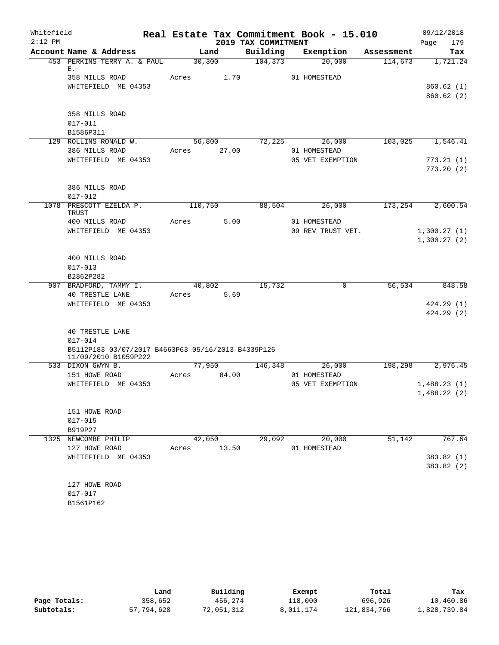| Whitefield |                                                    |             |        |                     | Real Estate Tax Commitment Book - 15.010 |         | 09/12/2018       |
|------------|----------------------------------------------------|-------------|--------|---------------------|------------------------------------------|---------|------------------|
| $2:12$ PM  |                                                    |             |        | 2019 TAX COMMITMENT |                                          |         | Page<br>179      |
|            | Account Name & Address                             |             | Land   | Building            | Exemption Assessment                     |         | Tax              |
|            | 453 PERKINS TERRY A. & PAUL                        |             | 30,300 | $\frac{104,373}{ }$ | 20,000                                   | 114,673 | 1,721.24         |
|            | Ε.<br>358 MILLS ROAD                               | Acres 1.70  |        |                     | 01 HOMESTEAD                             |         |                  |
|            | WHITEFIELD ME 04353                                |             |        |                     |                                          |         | 860.62(1)        |
|            |                                                    |             |        |                     |                                          |         | 860.62(2)        |
|            |                                                    |             |        |                     |                                          |         |                  |
|            | 358 MILLS ROAD                                     |             |        |                     |                                          |         |                  |
|            | $017 - 011$                                        |             |        |                     |                                          |         |                  |
|            | B1586P311                                          |             |        |                     |                                          |         |                  |
|            | 129 ROLLINS RONALD W.                              |             |        |                     | 56,800 72,225 26,000                     |         | 103,025 1,546.41 |
|            | 386 MILLS ROAD                                     | Acres 27.00 |        |                     | 01 HOMESTEAD                             |         |                  |
|            | WHITEFIELD ME 04353                                |             |        |                     | 05 VET EXEMPTION                         |         | 773.21(1)        |
|            |                                                    |             |        |                     |                                          |         | 773.20(2)        |
|            |                                                    |             |        |                     |                                          |         |                  |
|            | 386 MILLS ROAD                                     |             |        |                     |                                          |         |                  |
|            | $017 - 012$                                        |             |        |                     |                                          |         |                  |
|            | 1078 PRESCOTT EZELDA P.<br>TRUST                   | 110,750     |        | 88,504              | 26,000                                   | 173,254 | 2,600.54         |
|            | 400 MILLS ROAD                                     | Acres       | 5.00   |                     | 01 HOMESTEAD                             |         |                  |
|            | WHITEFIELD ME 04353                                |             |        |                     | 09 REV TRUST VET.                        |         | 1,300.27(1)      |
|            |                                                    |             |        |                     |                                          |         | 1,300.27(2)      |
|            |                                                    |             |        |                     |                                          |         |                  |
|            | 400 MILLS ROAD                                     |             |        |                     |                                          |         |                  |
|            | $017 - 013$                                        |             |        |                     |                                          |         |                  |
|            | B2862P282                                          |             |        |                     |                                          |         |                  |
|            | 907 BRADFORD, TAMMY I.                             |             | 40,802 | 15,732              | 0                                        | 56,534  | 848.58           |
|            | 40 TRESTLE LANE                                    | Acres 5.69  |        |                     |                                          |         |                  |
|            | WHITEFIELD ME 04353                                |             |        |                     |                                          |         | 424.29(1)        |
|            |                                                    |             |        |                     |                                          |         | 424.29(2)        |
|            | <b>40 TRESTLE LANE</b>                             |             |        |                     |                                          |         |                  |
|            | $017 - 014$                                        |             |        |                     |                                          |         |                  |
|            | B5112P183 03/07/2017 B4663P63 05/16/2013 B4339P126 |             |        |                     |                                          |         |                  |
|            | 11/09/2010 B1059P222                               |             |        |                     |                                          |         |                  |
|            | 533 DIXON GWYN B.                                  |             | 77,950 | 146,348             | 26,000                                   | 198,298 | 2,976.45         |
|            | 151 HOWE ROAD                                      | Acres 84.00 |        |                     | 01 HOMESTEAD                             |         |                  |
|            | WHITEFIELD ME 04353                                |             |        |                     | 05 VET EXEMPTION                         |         | 1,488.23(1)      |
|            |                                                    |             |        |                     |                                          |         | 1,488.22 (2)     |
|            |                                                    |             |        |                     |                                          |         |                  |
|            | 151 HOWE ROAD                                      |             |        |                     |                                          |         |                  |
|            | $017 - 015$<br>B919P27                             |             |        |                     |                                          |         |                  |
|            | 1325 NEWCOMBE PHILIP                               |             | 42,050 | 29,092              | 20,000                                   | 51,142  | 767.64           |
|            | 127 HOWE ROAD                                      | Acres 13.50 |        |                     | 01 HOMESTEAD                             |         |                  |
|            | WHITEFIELD ME 04353                                |             |        |                     |                                          |         | 383.82 (1)       |
|            |                                                    |             |        |                     |                                          |         | 383.82(2)        |
|            |                                                    |             |        |                     |                                          |         |                  |
|            | 127 HOWE ROAD                                      |             |        |                     |                                          |         |                  |
|            | $017 - 017$                                        |             |        |                     |                                          |         |                  |
|            | B1561P162                                          |             |        |                     |                                          |         |                  |

|              | Land       | Building   | Exempt    | Total       | Tax          |
|--------------|------------|------------|-----------|-------------|--------------|
| Page Totals: | 358,652    | 456,274    | 118,000   | 696,926     | 10,460.86    |
| Subtotals:   | 57,794,628 | 72,051,312 | 8,011,174 | 121,834,766 | 1,828,739.84 |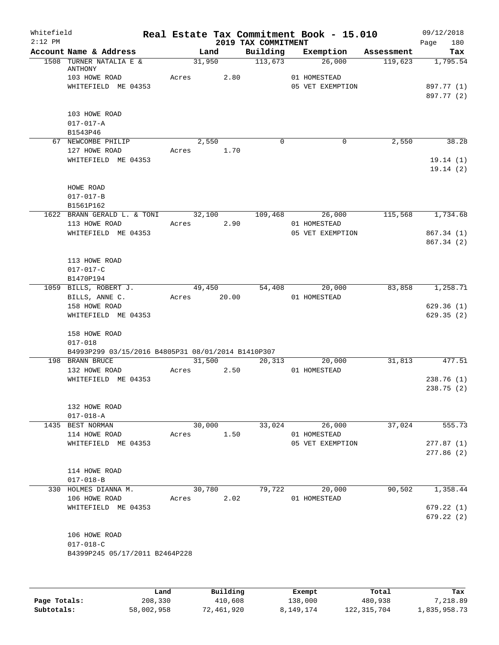| Whitefield<br>$2:12$ PM |                                                                                                                        |       |                       | 2019 TAX COMMITMENT | Real Estate Tax Commitment Book - 15.010   |            | 09/12/2018<br>180<br>Page            |
|-------------------------|------------------------------------------------------------------------------------------------------------------------|-------|-----------------------|---------------------|--------------------------------------------|------------|--------------------------------------|
|                         | Account Name & Address                                                                                                 |       | Land                  | Building            | Exemption                                  | Assessment | Tax                                  |
|                         | 1508 TURNER NATALIA E &<br>ANTHONY<br>103 HOWE ROAD<br>WHITEFIELD ME 04353                                             | Acres | 31,950<br>2.80        | 113,673             | 26,000<br>01 HOMESTEAD<br>05 VET EXEMPTION | 119,623    | 1,795.54<br>897.77 (1)<br>897.77 (2) |
|                         | 103 HOWE ROAD<br>$017 - 017 - A$<br>B1543P46                                                                           |       |                       |                     |                                            |            |                                      |
|                         | 67 NEWCOMBE PHILIP<br>127 HOWE ROAD<br>WHITEFIELD ME 04353                                                             | Acres | 2,550<br>1.70         | $\Omega$            | 0                                          | 2,550      | 38.28<br>19.14(1)<br>19.14(2)        |
|                         | HOWE ROAD<br>$017 - 017 - B$<br>B1561P162                                                                              |       |                       |                     |                                            |            |                                      |
|                         | 1622 BRANN GERALD L. & TONI<br>113 HOWE ROAD<br>WHITEFIELD ME 04353                                                    | Acres | 32,100<br>2.90        | 109,468             | 26,000<br>01 HOMESTEAD<br>05 VET EXEMPTION | 115,568    | 1,734.68<br>867.34 (1)<br>867.34 (2) |
|                         | 113 HOWE ROAD<br>$017 - 017 - C$<br>B1470P194                                                                          |       |                       |                     |                                            |            |                                      |
|                         | 1059 BILLS, ROBERT J.<br>BILLS, ANNE C.<br>158 HOWE ROAD<br>WHITEFIELD ME 04353                                        |       | 49,450<br>Acres 20.00 | 54,408              | 20,000<br>01 HOMESTEAD                     | 83,858     | 1,258.71<br>629.36(1)<br>629.35(2)   |
|                         | 158 HOWE ROAD<br>$017 - 018$<br>B4993P299 03/15/2016 B4805P31 08/01/2014 B1410P307<br>198 BRANN BRUCE<br>132 HOWE ROAD | Acres | 31,500<br>2.50        | 20,313              | 20,000<br>01 HOMESTEAD                     | 31,813     | 477.51                               |
|                         | WHITEFIELD ME 04353<br>132 HOWE ROAD                                                                                   |       |                       |                     |                                            |            | 238.76(1)<br>238.75(2)               |
|                         | $017 - 018 - A$<br>1435 BEST NORMAN<br>114 HOWE ROAD<br>WHITEFIELD ME 04353                                            | Acres | 30,000<br>1.50        | 33,024              | 26,000<br>01 HOMESTEAD<br>05 VET EXEMPTION | 37,024     | 555.73<br>277.87(1)<br>277.86 (2)    |
|                         | 114 HOWE ROAD<br>$017 - 018 - B$                                                                                       |       |                       |                     |                                            |            |                                      |
|                         | 330 HOLMES DIANNA M.<br>106 HOWE ROAD<br>WHITEFIELD ME 04353                                                           | Acres | 30,780<br>2.02        | 79,722              | 20,000<br>01 HOMESTEAD                     | 90,502     | 1,358.44<br>679.22(1)<br>679.22(2)   |
|                         | 106 HOWE ROAD<br>$017 - 018 - C$<br>B4399P245 05/17/2011 B2464P228                                                     |       |                       |                     |                                            |            |                                      |
|                         |                                                                                                                        | Land  | Building              |                     | Exempt                                     | Total      | Tax                                  |

|              | Land       | Building   | Exempt    | Total         | Tax          |
|--------------|------------|------------|-----------|---------------|--------------|
| Page Totals: | 208,330    | 410,608    | 138,000   | 480,938       | 7,218.89     |
| Subtotals:   | 58,002,958 | 72,461,920 | 8,149,174 | 122, 315, 704 | 1,835,958.73 |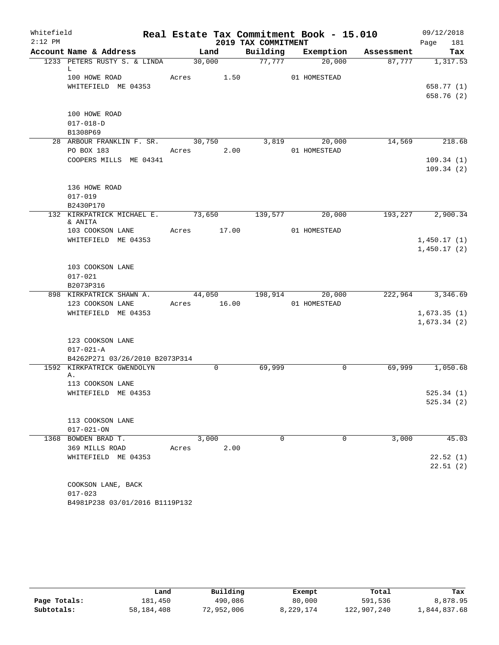| Whitefield |                                              |             |             |                     | Real Estate Tax Commitment Book - 15.010 |            | 09/12/2018  |
|------------|----------------------------------------------|-------------|-------------|---------------------|------------------------------------------|------------|-------------|
| $2:12$ PM  |                                              |             |             | 2019 TAX COMMITMENT |                                          |            | 181<br>Page |
|            | Account Name & Address                       |             | Land        | Building            | Exemption                                | Assessment | Tax         |
|            | 1233 PETERS RUSTY S. & LINDA                 |             | 30,000      | 77,777              | 20,000                                   | 87,777     | 1,317.53    |
|            | L<br>100 HOWE ROAD                           | Acres       | 1.50        |                     | 01 HOMESTEAD                             |            |             |
|            | WHITEFIELD ME 04353                          |             |             |                     |                                          |            | 658.77 (1)  |
|            |                                              |             |             |                     |                                          |            | 658.76 (2)  |
|            |                                              |             |             |                     |                                          |            |             |
|            | 100 HOWE ROAD                                |             |             |                     |                                          |            |             |
|            | $017 - 018 - D$                              |             |             |                     |                                          |            |             |
|            | B1308P69                                     |             |             |                     |                                          |            |             |
|            | 28 ARBOUR FRANKLIN F. SR.                    | 30,750      |             | 3,819               | 20,000                                   | 14,569     | 218.68      |
|            | PO BOX 183                                   | Acres       | 2.00        |                     | 01 HOMESTEAD                             |            |             |
|            | COOPERS MILLS ME 04341                       |             |             |                     |                                          |            | 109.34(1)   |
|            |                                              |             |             |                     |                                          |            | 109.34(2)   |
|            |                                              |             |             |                     |                                          |            |             |
|            | 136 HOWE ROAD                                |             |             |                     |                                          |            |             |
|            | $017 - 019$                                  |             |             |                     |                                          |            |             |
|            | B2430P170                                    |             |             |                     |                                          |            |             |
|            | 132 KIRKPATRICK MICHAEL E. 73,650<br>& ANITA |             |             | 139,577             | 20,000                                   | 193,227    | 2,900.34    |
|            | 103 COOKSON LANE                             | Acres 17.00 |             |                     | 01 HOMESTEAD                             |            |             |
|            | WHITEFIELD ME 04353                          |             |             |                     |                                          |            | 1,450.17(1) |
|            |                                              |             |             |                     |                                          |            | 1,450.17(2) |
|            |                                              |             |             |                     |                                          |            |             |
|            | 103 COOKSON LANE                             |             |             |                     |                                          |            |             |
|            | $017 - 021$                                  |             |             |                     |                                          |            |             |
|            | B2073P316                                    |             |             |                     |                                          |            |             |
|            | 898 KIRKPATRICK SHAWN A.                     |             | 44,050      | 198,914             | 20,000                                   | 222,964    | 3,346.69    |
|            | 123 COOKSON LANE                             | Acres 16.00 |             |                     | 01 HOMESTEAD                             |            |             |
|            | WHITEFIELD ME 04353                          |             |             |                     |                                          |            | 1,673.35(1) |
|            |                                              |             |             |                     |                                          |            | 1,673.34(2) |
|            |                                              |             |             |                     |                                          |            |             |
|            | 123 COOKSON LANE                             |             |             |                     |                                          |            |             |
|            | $017 - 021 - A$                              |             |             |                     |                                          |            |             |
|            | B4262P271 03/26/2010 B2073P314               |             |             |                     |                                          |            |             |
|            | 1592 KIRKPATRICK GWENDOLYN<br>Α.             |             | $\mathbf 0$ | 69,999              | $\mathbf 0$                              | 69,999     | 1,050.68    |
|            | 113 COOKSON LANE                             |             |             |                     |                                          |            |             |
|            | WHITEFIELD ME 04353                          |             |             |                     |                                          |            | 525.34(1)   |
|            |                                              |             |             |                     |                                          |            | 525.34(2)   |
|            |                                              |             |             |                     |                                          |            |             |
|            | 113 COOKSON LANE                             |             |             |                     |                                          |            |             |
|            | $017 - 021 - ON$                             |             |             |                     |                                          |            |             |
|            | 1368 BOWDEN BRAD T.                          |             | 3,000       | $\Omega$            | $\mathbf 0$                              | 3,000      | 45.03       |
|            | 369 MILLS ROAD                               | Acres       | 2.00        |                     |                                          |            |             |
|            | WHITEFIELD ME 04353                          |             |             |                     |                                          |            | 22.52(1)    |
|            |                                              |             |             |                     |                                          |            | 22.51(2)    |
|            |                                              |             |             |                     |                                          |            |             |
|            | COOKSON LANE, BACK                           |             |             |                     |                                          |            |             |
|            | $017 - 023$                                  |             |             |                     |                                          |            |             |
|            | B4981P238 03/01/2016 B1119P132               |             |             |                     |                                          |            |             |

|              | Land       | Building   | Exempt    | Total       | Tax          |
|--------------|------------|------------|-----------|-------------|--------------|
| Page Totals: | 181,450    | 490,086    | 80,000    | 591,536     | 8,878.95     |
| Subtotals:   | 58,184,408 | 72,952,006 | 8,229,174 | 122,907,240 | 1,844,837.68 |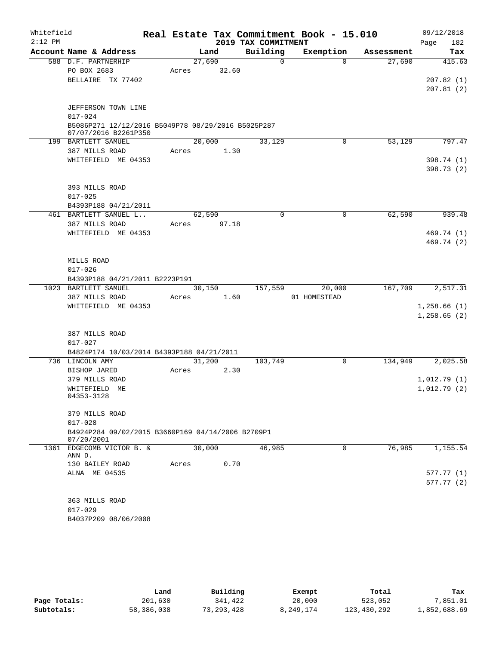| Whitefield<br>$2:12$ PM |                                                                            |       |        |       | 2019 TAX COMMITMENT | Real Estate Tax Commitment Book - 15.010 |            | 09/12/2018<br>182<br>Page |
|-------------------------|----------------------------------------------------------------------------|-------|--------|-------|---------------------|------------------------------------------|------------|---------------------------|
|                         | Account Name & Address                                                     |       | Land   |       | Building            | Exemption                                | Assessment | Tax                       |
|                         | 588 D.F. PARTNERHIP                                                        |       | 27,690 |       | $\Omega$            | $\Omega$                                 | 27,690     | 415.63                    |
|                         | PO BOX 2683                                                                | Acres |        | 32.60 |                     |                                          |            |                           |
|                         | BELLAIRE TX 77402                                                          |       |        |       |                     |                                          |            | 207.82(1)                 |
|                         |                                                                            |       |        |       |                     |                                          |            | 207.81(2)                 |
|                         | JEFFERSON TOWN LINE                                                        |       |        |       |                     |                                          |            |                           |
|                         | $017 - 024$                                                                |       |        |       |                     |                                          |            |                           |
|                         | B5086P271 12/12/2016 B5049P78 08/29/2016 B5025P287<br>07/07/2016 B2261P350 |       |        |       |                     |                                          |            |                           |
|                         | 199 BARTLETT SAMUEL                                                        |       | 20,000 |       | 33,129              | 0                                        | 53,129     | 797.47                    |
|                         | 387 MILLS ROAD                                                             | Acres |        | 1.30  |                     |                                          |            |                           |
|                         | WHITEFIELD ME 04353                                                        |       |        |       |                     |                                          |            | 398.74 (1)                |
|                         |                                                                            |       |        |       |                     |                                          |            | 398.73 (2)                |
|                         | 393 MILLS ROAD                                                             |       |        |       |                     |                                          |            |                           |
|                         | $017 - 025$                                                                |       |        |       |                     |                                          |            |                           |
|                         | B4393P188 04/21/2011                                                       |       |        |       |                     |                                          |            |                           |
|                         | 461 BARTLETT SAMUEL L                                                      |       | 62,590 |       | $\mathbf 0$         | $\mathbf 0$                              | 62,590     | 939.48                    |
|                         | 387 MILLS ROAD                                                             | Acres |        | 97.18 |                     |                                          |            |                           |
|                         | WHITEFIELD ME 04353                                                        |       |        |       |                     |                                          |            | 469.74 (1)                |
|                         |                                                                            |       |        |       |                     |                                          |            | 469.74 (2)                |
|                         | MILLS ROAD                                                                 |       |        |       |                     |                                          |            |                           |
|                         | $017 - 026$                                                                |       |        |       |                     |                                          |            |                           |
|                         | B4393P188 04/21/2011 B2223P191                                             |       |        |       |                     |                                          |            |                           |
|                         | 1023 BARTLETT SAMUEL                                                       |       | 30,150 |       | 157,559             | 20,000                                   | 167,709    | 2,517.31                  |
|                         | 387 MILLS ROAD                                                             | Acres |        | 1.60  |                     | 01 HOMESTEAD                             |            |                           |
|                         | WHITEFIELD ME 04353                                                        |       |        |       |                     |                                          |            | 1,258.66(1)               |
|                         |                                                                            |       |        |       |                     |                                          |            | 1,258.65(2)               |
|                         | 387 MILLS ROAD                                                             |       |        |       |                     |                                          |            |                           |
|                         | $017 - 027$                                                                |       |        |       |                     |                                          |            |                           |
|                         | B4824P174 10/03/2014 B4393P188 04/21/2011                                  |       |        |       |                     |                                          |            |                           |
|                         | 736 LINCOLN AMY                                                            |       | 31,200 |       | 103,749             | 0                                        | 134,949    | 2,025.58                  |
|                         | BISHOP JARED                                                               | Acres |        | 2.30  |                     |                                          |            |                           |
|                         | 379 MILLS ROAD                                                             |       |        |       |                     |                                          |            | 1,012.79(1)               |
|                         | WHITEFIELD ME                                                              |       |        |       |                     |                                          |            | 1,012.79(2)               |
|                         | 04353-3128                                                                 |       |        |       |                     |                                          |            |                           |
|                         | 379 MILLS ROAD                                                             |       |        |       |                     |                                          |            |                           |
|                         | $017 - 028$                                                                |       |        |       |                     |                                          |            |                           |
|                         | B4924P284 09/02/2015 B3660P169 04/14/2006 B2709P1<br>07/20/2001            |       |        |       |                     |                                          |            |                           |
|                         | 1361 EDGECOMB VICTOR B. &                                                  |       | 30,000 |       | 46,985              | 0                                        | 76,985     | 1,155.54                  |
|                         | ANN D.                                                                     |       |        |       |                     |                                          |            |                           |
|                         | 130 BAILEY ROAD                                                            | Acres |        | 0.70  |                     |                                          |            |                           |
|                         | ALNA ME 04535                                                              |       |        |       |                     |                                          |            | 577.77(1)                 |
|                         |                                                                            |       |        |       |                     |                                          |            | 577.77(2)                 |
|                         | 363 MILLS ROAD                                                             |       |        |       |                     |                                          |            |                           |
|                         | $017 - 029$                                                                |       |        |       |                     |                                          |            |                           |
|                         | B4037P209 08/06/2008                                                       |       |        |       |                     |                                          |            |                           |
|                         |                                                                            |       |        |       |                     |                                          |            |                           |

|              | Land       | Building     | Exempt    | Total       | Tax          |
|--------------|------------|--------------|-----------|-------------|--------------|
| Page Totals: | 201,630    | 341,422      | 20,000    | 523,052     | 7,851.01     |
| Subtotals:   | 58,386,038 | 73, 293, 428 | 8,249,174 | 123,430,292 | 1,852,688.69 |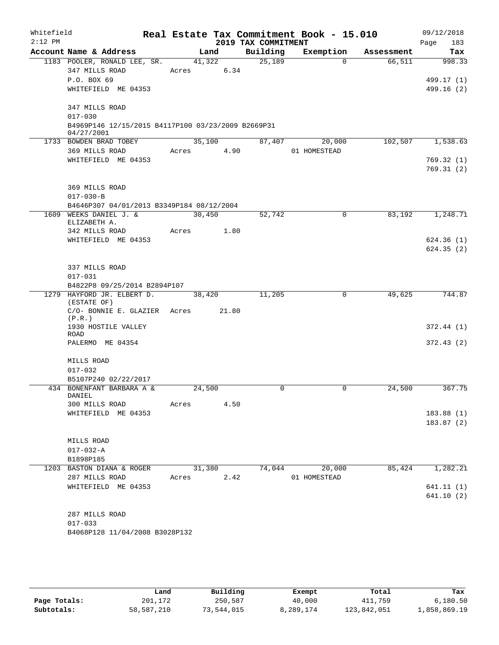| Whitefield<br>$2:12$ PM |                                                                  |        |        | 2019 TAX COMMITMENT | Real Estate Tax Commitment Book - 15.010 |            | 09/12/2018<br>183<br>Page |
|-------------------------|------------------------------------------------------------------|--------|--------|---------------------|------------------------------------------|------------|---------------------------|
|                         | Account Name & Address                                           |        | Land   | Building            | Exemption                                | Assessment | Tax                       |
|                         | 1183 POOLER, RONALD LEE, SR.                                     | 41,322 |        | 25,189              | $\Omega$                                 | 66,511     | 998.33                    |
|                         | 347 MILLS ROAD                                                   | Acres  | 6.34   |                     |                                          |            |                           |
|                         | P.O. BOX 69                                                      |        |        |                     |                                          |            | 499.17 (1)                |
|                         | WHITEFIELD ME 04353                                              |        |        |                     |                                          |            | 499.16 (2)                |
|                         | 347 MILLS ROAD                                                   |        |        |                     |                                          |            |                           |
|                         | $017 - 030$                                                      |        |        |                     |                                          |            |                           |
|                         | B4969P146 12/15/2015 B4117P100 03/23/2009 B2669P31<br>04/27/2001 |        |        |                     |                                          |            |                           |
|                         | 1733 BOWDEN BRAD TOBEY                                           |        | 35,100 | 87,407              | 20,000                                   |            | 102,507 1,538.63          |
|                         | 369 MILLS ROAD                                                   | Acres  | 4.90   |                     | 01 HOMESTEAD                             |            |                           |
|                         | WHITEFIELD ME 04353                                              |        |        |                     |                                          |            | 769.32(1)                 |
|                         |                                                                  |        |        |                     |                                          |            | 769.31 (2)                |
|                         | 369 MILLS ROAD                                                   |        |        |                     |                                          |            |                           |
|                         | $017 - 030 - B$                                                  |        |        |                     |                                          |            |                           |
|                         | B4646P307 04/01/2013 B3349P184 08/12/2004                        |        |        |                     |                                          |            |                           |
|                         | 1609 WEEKS DANIEL J. &                                           | 30,450 |        | 52,742              | 0                                        | 83,192     | 1,248.71                  |
|                         | ELIZABETH A.                                                     |        |        |                     |                                          |            |                           |
|                         | 342 MILLS ROAD                                                   | Acres  | 1.80   |                     |                                          |            |                           |
|                         | WHITEFIELD ME 04353                                              |        |        |                     |                                          |            | 624.36(1)<br>624.35(2)    |
|                         |                                                                  |        |        |                     |                                          |            |                           |
|                         | 337 MILLS ROAD                                                   |        |        |                     |                                          |            |                           |
|                         | $017 - 031$                                                      |        |        |                     |                                          |            |                           |
|                         | B4822P8 09/25/2014 B2894P107                                     |        |        |                     |                                          |            |                           |
|                         | 1279 HAYFORD JR. ELBERT D.<br>(ESTATE OF)                        | 38,420 |        | 11,205              | 0                                        | 49,625     | 744.87                    |
|                         | C/O- BONNIE E. GLAZIER Acres                                     |        | 21.80  |                     |                                          |            |                           |
|                         | (P.R.)<br>1930 HOSTILE VALLEY                                    |        |        |                     |                                          |            | 372.44(1)                 |
|                         | <b>ROAD</b>                                                      |        |        |                     |                                          |            |                           |
|                         | PALERMO ME 04354                                                 |        |        |                     |                                          |            | 372.43(2)                 |
|                         | MILLS ROAD                                                       |        |        |                     |                                          |            |                           |
|                         | $017 - 032$                                                      |        |        |                     |                                          |            |                           |
|                         | B5107P240 02/22/2017                                             |        |        |                     |                                          |            |                           |
|                         | 434 BONENFANT BARBARA A &<br>DANIEL                              | 24,500 |        | $\mathbf 0$         | 0                                        | 24,500     | 367.75                    |
|                         | 300 MILLS ROAD                                                   | Acres  | 4.50   |                     |                                          |            |                           |
|                         | WHITEFIELD ME 04353                                              |        |        |                     |                                          |            | 183.88(1)                 |
|                         |                                                                  |        |        |                     |                                          |            | 183.87(2)                 |
|                         |                                                                  |        |        |                     |                                          |            |                           |
|                         | MILLS ROAD<br>$017 - 032 - A$                                    |        |        |                     |                                          |            |                           |
|                         | B1898P185                                                        |        |        |                     |                                          |            |                           |
|                         | 1203 BASTON DIANA & ROGER                                        | 31,380 |        | 74,044              | 20,000                                   | 85,424     | 1,282.21                  |
|                         | 287 MILLS ROAD                                                   | Acres  | 2.42   |                     | 01 HOMESTEAD                             |            |                           |
|                         | WHITEFIELD ME 04353                                              |        |        |                     |                                          |            | 641.11(1)                 |
|                         |                                                                  |        |        |                     |                                          |            | 641.10(2)                 |
|                         |                                                                  |        |        |                     |                                          |            |                           |
|                         | 287 MILLS ROAD                                                   |        |        |                     |                                          |            |                           |
|                         | $017 - 033$                                                      |        |        |                     |                                          |            |                           |
|                         | B4068P128 11/04/2008 B3028P132                                   |        |        |                     |                                          |            |                           |
|                         |                                                                  |        |        |                     |                                          |            |                           |
|                         |                                                                  |        |        |                     |                                          |            |                           |

|              | Land       | Building   | Exempt    | Total       | Tax          |
|--------------|------------|------------|-----------|-------------|--------------|
| Page Totals: | 201,172    | 250,587    | 40,000    | 411,759     | 6,180.50     |
| Subtotals:   | 58,587,210 | 73,544,015 | 8,289,174 | 123,842,051 | 1,858,869.19 |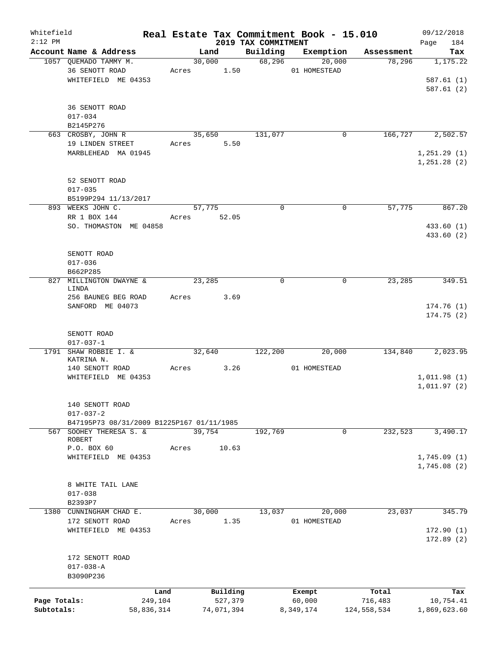| Whitefield<br>$2:12$ PM |                                           |       |            | 2019 TAX COMMITMENT | Real Estate Tax Commitment Book - 15.010 |             | 09/12/2018<br>Page<br>184 |
|-------------------------|-------------------------------------------|-------|------------|---------------------|------------------------------------------|-------------|---------------------------|
|                         | Account Name & Address                    |       | Land       | Building            | Exemption                                | Assessment  | Tax                       |
|                         | 1057 QUEMADO TAMMY M.                     |       | 30,000     | 68,296              | 20,000                                   | 78,296      | 1,175.22                  |
|                         | 36 SENOTT ROAD                            | Acres | 1.50       |                     | 01 HOMESTEAD                             |             |                           |
|                         | WHITEFIELD ME 04353                       |       |            |                     |                                          |             | 587.61(1)                 |
|                         |                                           |       |            |                     |                                          |             | 587.61(2)                 |
|                         |                                           |       |            |                     |                                          |             |                           |
|                         | 36 SENOTT ROAD                            |       |            |                     |                                          |             |                           |
|                         | $017 - 034$                               |       |            |                     |                                          |             |                           |
|                         | B2145P276                                 |       |            |                     |                                          |             |                           |
|                         | 663 CROSBY, JOHN R                        |       | 35,650     | 131,077             | 0                                        | 166, 727    | 2,502.57                  |
|                         | 19 LINDEN STREET                          | Acres | 5.50       |                     |                                          |             |                           |
|                         | MARBLEHEAD MA 01945                       |       |            |                     |                                          |             | 1, 251.29(1)              |
|                         |                                           |       |            |                     |                                          |             | 1, 251.28(2)              |
|                         |                                           |       |            |                     |                                          |             |                           |
|                         | 52 SENOTT ROAD                            |       |            |                     |                                          |             |                           |
|                         | $017 - 035$                               |       |            |                     |                                          |             |                           |
|                         | B5199P294 11/13/2017                      |       |            |                     |                                          |             |                           |
|                         | 893 WEEKS JOHN C.                         |       | 57,775     | $\mathbf 0$         | $\mathbf 0$                              | 57,775      | 867.20                    |
|                         | RR 1 BOX 144                              | Acres | 52.05      |                     |                                          |             |                           |
|                         | SO. THOMASTON ME 04858                    |       |            |                     |                                          |             | 433.60 (1)                |
|                         |                                           |       |            |                     |                                          |             | 433.60 (2)                |
|                         |                                           |       |            |                     |                                          |             |                           |
|                         | SENOTT ROAD                               |       |            |                     |                                          |             |                           |
|                         | $017 - 036$                               |       |            |                     |                                          |             |                           |
|                         | B662P285                                  |       |            |                     |                                          |             |                           |
| 827                     | MILLINGTON DWAYNE &                       |       | 23,285     | $\mathbf 0$         | 0                                        | 23,285      | 349.51                    |
|                         | LINDA                                     |       |            |                     |                                          |             |                           |
|                         | 256 BAUNEG BEG ROAD                       | Acres | 3.69       |                     |                                          |             |                           |
|                         | SANFORD ME 04073                          |       |            |                     |                                          |             | 174.76(1)                 |
|                         |                                           |       |            |                     |                                          |             | 174.75(2)                 |
|                         |                                           |       |            |                     |                                          |             |                           |
|                         | SENOTT ROAD                               |       |            |                     |                                          |             |                           |
|                         | $017 - 037 - 1$                           |       |            |                     |                                          |             |                           |
| 1791                    | SHAW ROBBIE I. &                          |       | 32,640     | 122,200             | 20,000                                   | 134,840     | 2,023.95                  |
|                         | KATRINA N.<br>140 SENOTT ROAD             | Acres | 3.26       |                     | 01 HOMESTEAD                             |             |                           |
|                         | WHITEFIELD ME 04353                       |       |            |                     |                                          |             | 1,011.98(1)               |
|                         |                                           |       |            |                     |                                          |             | 1,011.97(2)               |
|                         |                                           |       |            |                     |                                          |             |                           |
|                         | 140 SENOTT ROAD                           |       |            |                     |                                          |             |                           |
|                         | $017 - 037 - 2$                           |       |            |                     |                                          |             |                           |
|                         | B47195P73 08/31/2009 B1225P167 01/11/1985 |       |            |                     |                                          |             |                           |
| 567                     | SOOHEY THERESA S. &                       |       | 39,754     | 192,769             | 0                                        | 232,523     | 3,490.17                  |
|                         | ROBERT                                    |       |            |                     |                                          |             |                           |
|                         | P.O. BOX 60                               | Acres | 10.63      |                     |                                          |             |                           |
|                         | WHITEFIELD ME 04353                       |       |            |                     |                                          |             | 1,745.09(1)               |
|                         |                                           |       |            |                     |                                          |             | 1,745.08(2)               |
|                         |                                           |       |            |                     |                                          |             |                           |
|                         | 8 WHITE TAIL LANE                         |       |            |                     |                                          |             |                           |
|                         | $017 - 038$                               |       |            |                     |                                          |             |                           |
|                         | B2393P7                                   |       |            |                     |                                          |             |                           |
|                         | 1380 CUNNINGHAM CHAD E.                   |       | 30,000     | 13,037              | 20,000                                   | 23,037      | 345.79                    |
|                         | 172 SENOTT ROAD                           | Acres | 1.35       |                     | 01 HOMESTEAD                             |             |                           |
|                         | WHITEFIELD ME 04353                       |       |            |                     |                                          |             | 172.90(1)                 |
|                         |                                           |       |            |                     |                                          |             | 172.89 (2)                |
|                         |                                           |       |            |                     |                                          |             |                           |
|                         | 172 SENOTT ROAD                           |       |            |                     |                                          |             |                           |
|                         | $017 - 038 - A$                           |       |            |                     |                                          |             |                           |
|                         | B3090P236                                 |       |            |                     |                                          |             |                           |
|                         |                                           |       |            |                     |                                          |             |                           |
|                         | Land                                      |       | Building   |                     | Exempt                                   | Total       | Tax                       |
| Page Totals:            | 249,104                                   |       | 527,379    |                     | 60,000                                   | 716,483     | 10,754.41                 |
| Subtotals:              | 58,836,314                                |       | 74,071,394 |                     | 8,349,174                                | 124,558,534 | 1,869,623.60              |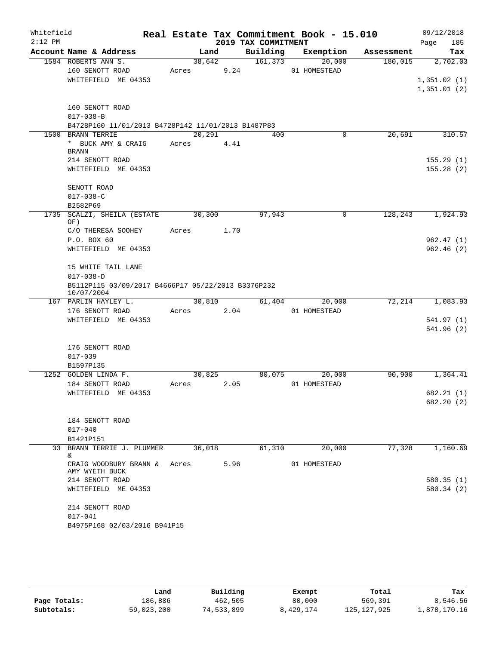| Whitefield<br>$2:12$ PM |                                                                  |        |        | 2019 TAX COMMITMENT | Real Estate Tax Commitment Book - 15.010 |            | 09/12/2018         |
|-------------------------|------------------------------------------------------------------|--------|--------|---------------------|------------------------------------------|------------|--------------------|
|                         | Account Name & Address                                           | Land   |        | Building            | Exemption                                | Assessment | Page<br>185<br>Tax |
|                         | 1584 ROBERTS ANN S.                                              | 38,642 |        | 161, 373            | 20,000                                   | 180,015    | 2,702.03           |
|                         | 160 SENOTT ROAD                                                  | Acres  | 9.24   |                     | 01 HOMESTEAD                             |            |                    |
|                         | WHITEFIELD ME 04353                                              |        |        |                     |                                          |            | 1,351.02(1)        |
|                         |                                                                  |        |        |                     |                                          |            | 1,351.01(2)        |
|                         | 160 SENOTT ROAD                                                  |        |        |                     |                                          |            |                    |
|                         | $017 - 038 - B$                                                  |        |        |                     |                                          |            |                    |
|                         | B4728P160 11/01/2013 B4728P142 11/01/2013 B1487P83               |        |        |                     |                                          |            |                    |
|                         | 1500 BRANN TERRIE                                                | 20,291 |        | 400                 | 0                                        | 20,691     | 310.57             |
|                         | * BUCK AMY & CRAIG<br><b>BRANN</b>                               | Acres  | 4.41   |                     |                                          |            |                    |
|                         | 214 SENOTT ROAD                                                  |        |        |                     |                                          |            | 155.29(1)          |
|                         | WHITEFIELD ME 04353                                              |        |        |                     |                                          |            | 155.28(2)          |
|                         | SENOTT ROAD                                                      |        |        |                     |                                          |            |                    |
|                         | $017 - 038 - C$                                                  |        |        |                     |                                          |            |                    |
|                         | B2582P69                                                         |        |        |                     |                                          |            |                    |
| 1735                    | SCALZI, SHEILA (ESTATE<br>OF)                                    | 30,300 |        | 97,943              | 0                                        | 128,243    | 1,924.93           |
|                         | C/O THERESA SOOHEY                                               | Acres  | 1.70   |                     |                                          |            |                    |
|                         | P.O. BOX 60                                                      |        |        |                     |                                          |            | 962.47(1)          |
|                         | WHITEFIELD ME 04353                                              |        |        |                     |                                          |            | 962.46(2)          |
|                         | 15 WHITE TAIL LANE                                               |        |        |                     |                                          |            |                    |
|                         | $017 - 038 - D$                                                  |        |        |                     |                                          |            |                    |
|                         | B5112P115 03/09/2017 B4666P17 05/22/2013 B3376P232<br>10/07/2004 |        |        |                     |                                          |            |                    |
|                         | 167 PARLIN HAYLEY L.                                             |        | 30,810 | 61,404              | 20,000                                   | 72,214     | 1,083.93           |
|                         | 176 SENOTT ROAD                                                  | Acres  | 2.04   |                     | 01 HOMESTEAD                             |            |                    |
|                         | WHITEFIELD ME 04353                                              |        |        |                     |                                          |            | 541.97(1)          |
|                         |                                                                  |        |        |                     |                                          |            | 541.96(2)          |
|                         | 176 SENOTT ROAD                                                  |        |        |                     |                                          |            |                    |
|                         | $017 - 039$                                                      |        |        |                     |                                          |            |                    |
|                         | B1597P135                                                        |        |        |                     |                                          |            |                    |
|                         | 1252 GOLDEN LINDA F.                                             | 30,825 |        | 80,075              | 20,000                                   | 90,900     | 1,364.41           |
|                         | 184 SENOTT ROAD                                                  | Acres  | 2.05   |                     | 01 HOMESTEAD                             |            |                    |
|                         | WHITEFIELD ME 04353                                              |        |        |                     |                                          |            | 682.21(1)          |
|                         |                                                                  |        |        |                     |                                          |            | 682.20 (2)         |
|                         | 184 SENOTT ROAD                                                  |        |        |                     |                                          |            |                    |
|                         | $017 - 040$                                                      |        |        |                     |                                          |            |                    |
|                         | B1421P151                                                        |        |        |                     |                                          |            |                    |
|                         | 33 BRANN TERRIE J. PLUMMER<br>&                                  | 36,018 |        | 61,310              | 20,000                                   | 77,328     | 1,160.69           |
|                         | CRAIG WOODBURY BRANN & Acres<br>AMY WYETH BUCK                   |        | 5.96   |                     | 01 HOMESTEAD                             |            |                    |
|                         | 214 SENOTT ROAD                                                  |        |        |                     |                                          |            | 580.35(1)          |
|                         | WHITEFIELD ME 04353                                              |        |        |                     |                                          |            | 580.34(2)          |
|                         | 214 SENOTT ROAD                                                  |        |        |                     |                                          |            |                    |
|                         | $017 - 041$                                                      |        |        |                     |                                          |            |                    |
|                         | B4975P168 02/03/2016 B941P15                                     |        |        |                     |                                          |            |                    |

|              | Land       | Building   | Exempt    | Total         | Tax          |
|--------------|------------|------------|-----------|---------------|--------------|
| Page Totals: | 186,886    | 462,505    | 80,000    | 569,391       | 8,546.56     |
| Subtotals:   | 59,023,200 | 74,533,899 | 8,429,174 | 125, 127, 925 | 1,878,170.16 |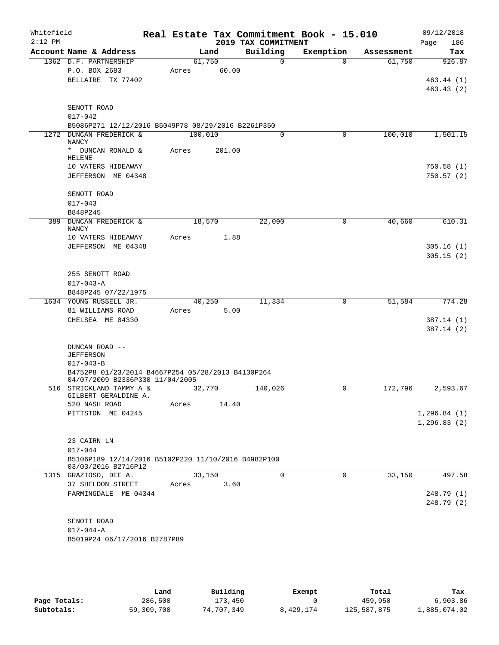| Whitefield<br>$2:12$ PM |                                                                                  |                 |        | 2019 TAX COMMITMENT | Real Estate Tax Commitment Book - 15.010 |            | 09/12/2018<br>186<br>Page    |
|-------------------------|----------------------------------------------------------------------------------|-----------------|--------|---------------------|------------------------------------------|------------|------------------------------|
|                         | Account Name & Address                                                           |                 | Land   | Building            | Exemption                                | Assessment | Tax                          |
|                         | 1362 D.F. PARTNERSHIP<br>P.O. BOX 2683<br>BELLAIRE TX 77402                      | 61,750<br>Acres | 60.00  | $\Omega$            | $\Omega$                                 | 61,750     | 926.87<br>463.44(1)          |
|                         | SENOTT ROAD<br>$017 - 042$<br>B5086P271 12/12/2016 B5049P78 08/29/2016 B2261P350 |                 |        |                     |                                          |            | 463.43(2)                    |
|                         | 1272 DUNCAN FREDERICK &                                                          | 100,010         |        | 0                   | 0                                        | 100,010    | 1,501.15                     |
|                         | <b>NANCY</b><br>* DUNCAN RONALD &                                                | Acres           | 201.00 |                     |                                          |            |                              |
|                         | <b>HELENE</b>                                                                    |                 |        |                     |                                          |            |                              |
|                         | 10 VATERS HIDEAWAY<br>JEFFERSON ME 04348                                         |                 |        |                     |                                          |            | 750.58(1)<br>750.57(2)       |
|                         | SENOTT ROAD                                                                      |                 |        |                     |                                          |            |                              |
|                         | $017 - 043$                                                                      |                 |        |                     |                                          |            |                              |
|                         | B848P245<br>389 DUNCAN FREDERICK &                                               | 18,570          |        | 22,090              | $\mathbf 0$                              | 40,660     | 610.31                       |
|                         | <b>NANCY</b><br>10 VATERS HIDEAWAY                                               | Acres           | 1.88   |                     |                                          |            |                              |
|                         | JEFFERSON ME 04348                                                               |                 |        |                     |                                          |            | 305.16(1)                    |
|                         |                                                                                  |                 |        |                     |                                          |            | 305.15(2)                    |
|                         | 255 SENOTT ROAD                                                                  |                 |        |                     |                                          |            |                              |
|                         | $017 - 043 - A$<br>B848P245 07/22/1975                                           |                 |        |                     |                                          |            |                              |
|                         | 1634 YOUNG RUSSELL JR.                                                           | 40,250          |        | 11,334              | $\mathbf 0$                              | 51,584     | 774.28                       |
|                         | 81 WILLIAMS ROAD                                                                 | Acres           | 5.00   |                     |                                          |            |                              |
|                         | CHELSEA ME 04330                                                                 |                 |        |                     |                                          |            | 387.14 (1)                   |
|                         |                                                                                  |                 |        |                     |                                          |            | 387.14(2)                    |
|                         | DUNCAN ROAD --<br><b>JEFFERSON</b>                                               |                 |        |                     |                                          |            |                              |
|                         | $017 - 043 - B$<br>B4752P8 01/23/2014 B4667P254 05/28/2013 B4130P264             |                 |        |                     |                                          |            |                              |
|                         | 04/07/2009 B2336P330 11/04/2005                                                  |                 |        |                     |                                          |            |                              |
|                         | 516 STRICKLAND TAMMY A &<br>GILBERT GERALDINE A.                                 | 32,770          |        | 140,026             | 0                                        | 172,796    | 2,593.67                     |
|                         | 520 NASH ROAD                                                                    | Acres           | 14.40  |                     |                                          |            |                              |
|                         | PITTSTON ME 04245                                                                |                 |        |                     |                                          |            | 1, 296.84(1)<br>1, 296.83(2) |
|                         | 23 CAIRN LN                                                                      |                 |        |                     |                                          |            |                              |
|                         | $017 - 044$                                                                      |                 |        |                     |                                          |            |                              |
|                         | B5106P189 12/14/2016 B5102P220 11/10/2016 B4982P100<br>03/03/2016 B2716P12       |                 |        |                     |                                          |            |                              |
|                         | 1315 GRAZIOSO, DEE A.                                                            | 33,150          |        | 0                   | $\mathbf 0$                              | 33,150     | 497.58                       |
|                         | 37 SHELDON STREET<br>FARMINGDALE ME 04344                                        | Acres           | 3.60   |                     |                                          |            | 248.79 (1)                   |
|                         |                                                                                  |                 |        |                     |                                          |            | 248.79(2)                    |
|                         |                                                                                  |                 |        |                     |                                          |            |                              |
|                         | SENOTT ROAD                                                                      |                 |        |                     |                                          |            |                              |
|                         | $017 - 044 - A$                                                                  |                 |        |                     |                                          |            |                              |
|                         | B5019P24 06/17/2016 B2787P89                                                     |                 |        |                     |                                          |            |                              |
|                         |                                                                                  |                 |        |                     |                                          |            |                              |

|              | Land       | Building   | Exempt    | Total       | Tax          |
|--------------|------------|------------|-----------|-------------|--------------|
| Page Totals: | 286,500    | 173,450    |           | 459,950     | 6,903.86     |
| Subtotals:   | 59,309,700 | 74,707,349 | 8,429,174 | 125,587,875 | 1,885,074.02 |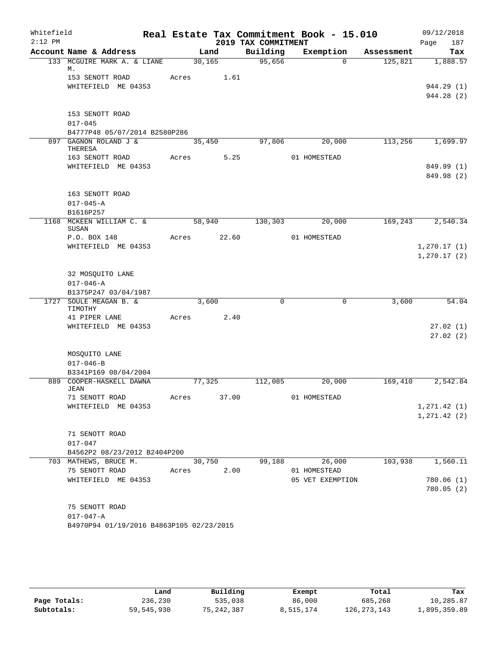| Whitefield<br>$2:12$ PM |                                                  |       |                | 2019 TAX COMMITMENT | Real Estate Tax Commitment Book - 15.010 |            | 09/12/2018<br>187<br>Page    |
|-------------------------|--------------------------------------------------|-------|----------------|---------------------|------------------------------------------|------------|------------------------------|
|                         | Account Name & Address                           |       | Land           | Building            | Exemption                                | Assessment | Tax                          |
|                         | 133 MCGUIRE MARK A. & LIANE                      |       | 30, 165        | 95,656              | $\Omega$                                 | 125,821    | 1,888.57                     |
|                         | М.<br>153 SENOTT ROAD<br>WHITEFIELD ME 04353     | Acres | 1.61           |                     |                                          |            | 944.29 (1)                   |
|                         |                                                  |       |                |                     |                                          |            | 944.28 (2)                   |
|                         | 153 SENOTT ROAD<br>$017 - 045$                   |       |                |                     |                                          |            |                              |
|                         | B4777P48 05/07/2014 B2580P286                    |       |                |                     |                                          |            |                              |
|                         | 897 GAGNON ROLAND J &<br>THERESA                 |       | 35,450         | 97,806              | 20,000                                   | 113,256    | 1,699.97                     |
|                         | 163 SENOTT ROAD<br>WHITEFIELD ME 04353           | Acres | 5.25           |                     | 01 HOMESTEAD                             |            | 849.99 (1)<br>849.98 (2)     |
|                         | 163 SENOTT ROAD<br>$017 - 045 - A$<br>B1616P257  |       |                |                     |                                          |            |                              |
|                         | 1168 MCKEEN WILLIAM C. &                         |       | 58,940         | 130,303             | 20,000                                   | 169,243    | 2,540.34                     |
|                         | SUSAN<br>P.O. BOX 148                            | Acres | 22.60          |                     | 01 HOMESTEAD                             |            |                              |
|                         | WHITEFIELD ME 04353                              |       |                |                     |                                          |            | 1, 270.17(1)<br>1, 270.17(2) |
|                         | 32 MOSQUITO LANE<br>$017 - 046 - A$              |       |                |                     |                                          |            |                              |
|                         | B1375P247 03/04/1987<br>1727 SOULE MEAGAN B. &   |       | 3,600          | $\mathbf 0$         | 0                                        | 3,600      | 54.04                        |
|                         | TIMOTHY                                          |       |                |                     |                                          |            |                              |
|                         | 41 PIPER LANE<br>WHITEFIELD ME 04353             | Acres | 2.40           |                     |                                          |            | 27.02(1)<br>27.02(2)         |
|                         | MOSQUITO LANE<br>$017 - 046 - B$                 |       |                |                     |                                          |            |                              |
|                         | B3341P169 08/04/2004<br>889 COOPER-HASKELL DAWNA |       | 77,325         | 112,085             | 20,000                                   | 169,410    | 2,542.84                     |
|                         | JEAN<br>71 SENOTT ROAD                           | Acres | 37.00          |                     | 01 HOMESTEAD                             |            |                              |
|                         | WHITEFIELD ME 04353                              |       |                |                     |                                          |            | 1, 271.42(1)                 |
|                         |                                                  |       |                |                     |                                          |            | 1, 271.42 (2)                |
|                         | 71 SENOTT ROAD<br>$017 - 047$                    |       |                |                     |                                          |            |                              |
|                         | B4562P2 08/23/2012 B2404P200                     |       |                |                     |                                          |            |                              |
|                         | 703 MATHEWS, BRUCE M.<br>75 SENOTT ROAD          | Acres | 30,750<br>2.00 | 99,188              | 26,000<br>01 HOMESTEAD                   | 103,938    | 1,560.11                     |
|                         | WHITEFIELD ME 04353                              |       |                |                     | 05 VET EXEMPTION                         |            | 780.06(1)                    |
|                         |                                                  |       |                |                     |                                          |            | 780.05(2)                    |
|                         | 75 SENOTT ROAD<br>$017 - 047 - A$                |       |                |                     |                                          |            |                              |
|                         | B4970P94 01/19/2016 B4863P105 02/23/2015         |       |                |                     |                                          |            |                              |
|                         |                                                  |       |                |                     |                                          |            |                              |

|              | Land       | Building     | Exempt    | Total         | Tax          |
|--------------|------------|--------------|-----------|---------------|--------------|
| Page Totals: | 236,230    | 535,038      | 86,000    | 685,268       | 10,285.87    |
| Subtotals:   | 59,545,930 | 75, 242, 387 | 8,515,174 | 126, 273, 143 | 1,895,359.89 |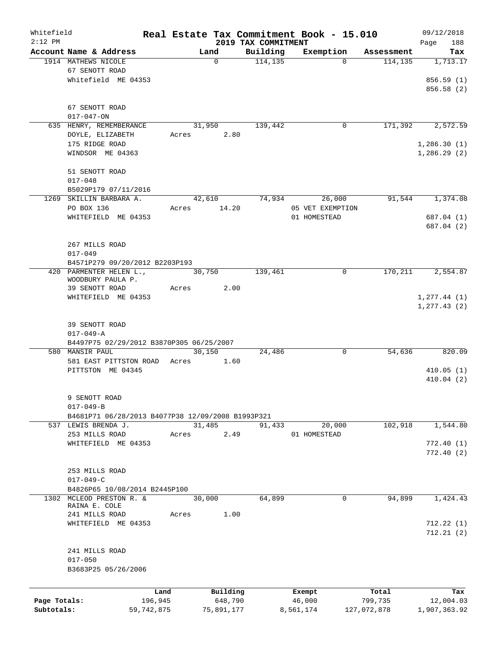| Whitefield   |                                                   |              |        |            |                                 | Real Estate Tax Commitment Book - 15.010 |                       | 09/12/2018         |
|--------------|---------------------------------------------------|--------------|--------|------------|---------------------------------|------------------------------------------|-----------------------|--------------------|
| $2:12$ PM    | Account Name & Address                            |              |        | Land       | 2019 TAX COMMITMENT<br>Building | Exemption                                |                       | 188<br>Page<br>Tax |
|              | 1914 MATHEWS NICOLE                               |              |        | 0          | 114, 135                        | $\Omega$                                 | Assessment<br>114,135 | 1,713.17           |
|              | 67 SENOTT ROAD                                    |              |        |            |                                 |                                          |                       |                    |
|              | Whitefield ME 04353                               |              |        |            |                                 |                                          |                       | 856.59 (1)         |
|              |                                                   |              |        |            |                                 |                                          |                       | 856.58 (2)         |
|              |                                                   |              |        |            |                                 |                                          |                       |                    |
|              | 67 SENOTT ROAD                                    |              |        |            |                                 |                                          |                       |                    |
|              | $017 - 047 - ON$                                  |              |        |            |                                 |                                          |                       |                    |
|              | 635 HENRY, REMEMBERANCE                           |              | 31,950 |            | 139,442                         | 0                                        | 171,392               | 2,572.59           |
|              | DOYLE, ELIZABETH                                  |              | Acres  | 2.80       |                                 |                                          |                       |                    |
|              | 175 RIDGE ROAD                                    |              |        |            |                                 |                                          |                       | 1,286.30(1)        |
|              | WINDSOR ME 04363                                  |              |        |            |                                 |                                          |                       | 1,286.29(2)        |
|              |                                                   |              |        |            |                                 |                                          |                       |                    |
|              | 51 SENOTT ROAD                                    |              |        |            |                                 |                                          |                       |                    |
|              | $017 - 048$                                       |              |        |            |                                 |                                          |                       |                    |
|              | B5029P179 07/11/2016                              |              |        |            |                                 |                                          |                       |                    |
|              | 1269 SKILLIN BARBARA A.                           |              | 42,610 |            | 74,934                          | 26,000                                   | 91,544                | 1,374.08           |
|              | PO BOX 136                                        |              | Acres  | 14.20      |                                 | 05 VET EXEMPTION                         |                       |                    |
|              | WHITEFIELD ME 04353                               |              |        |            |                                 | 01 HOMESTEAD                             |                       | 687.04 (1)         |
|              |                                                   |              |        |            |                                 |                                          |                       | 687.04 (2)         |
|              |                                                   |              |        |            |                                 |                                          |                       |                    |
|              | 267 MILLS ROAD                                    |              |        |            |                                 |                                          |                       |                    |
|              | $017 - 049$                                       |              |        |            |                                 |                                          |                       |                    |
|              | B4571P279 09/20/2012 B2203P193                    |              |        |            |                                 |                                          |                       |                    |
|              | 420 PARMENTER HELEN L.,                           |              | 30,750 |            | 139,461                         | 0                                        | 170, 211              | 2,554.87           |
|              | WOODBURY PAULA P.<br>39 SENOTT ROAD               |              |        | 2.00       |                                 |                                          |                       |                    |
|              | WHITEFIELD ME 04353                               |              | Acres  |            |                                 |                                          |                       | 1, 277.44(1)       |
|              |                                                   |              |        |            |                                 |                                          |                       | 1, 277.43(2)       |
|              |                                                   |              |        |            |                                 |                                          |                       |                    |
|              | 39 SENOTT ROAD                                    |              |        |            |                                 |                                          |                       |                    |
|              | $017 - 049 - A$                                   |              |        |            |                                 |                                          |                       |                    |
|              | B4497P75 02/29/2012 B3870P305 06/25/2007          |              |        |            |                                 |                                          |                       |                    |
|              | 580 MANSIR PAUL                                   |              | 30,150 |            | 24,486                          | 0                                        | 54,636                | 820.09             |
|              | 581 EAST PITTSTON ROAD                            |              | Acres  | 1.60       |                                 |                                          |                       |                    |
|              | PITTSTON ME 04345                                 |              |        |            |                                 |                                          |                       | 410.05(1)          |
|              |                                                   |              |        |            |                                 |                                          |                       | 410.04(2)          |
|              |                                                   |              |        |            |                                 |                                          |                       |                    |
|              | 9 SENOTT ROAD                                     |              |        |            |                                 |                                          |                       |                    |
|              | $017 - 049 - B$                                   |              |        |            |                                 |                                          |                       |                    |
|              | B4681P71 06/28/2013 B4077P38 12/09/2008 B1993P321 |              |        |            |                                 |                                          |                       |                    |
|              | 537 LEWIS BRENDA J.                               |              | 31,485 |            | 91,433                          | 20,000                                   | 102,918               | 1,544.80           |
|              | 253 MILLS ROAD                                    |              | Acres  | 2.49       |                                 | 01 HOMESTEAD                             |                       |                    |
|              | WHITEFIELD ME 04353                               |              |        |            |                                 |                                          |                       | 772.40(1)          |
|              |                                                   |              |        |            |                                 |                                          |                       | 772.40(2)          |
|              |                                                   |              |        |            |                                 |                                          |                       |                    |
|              | 253 MILLS ROAD                                    |              |        |            |                                 |                                          |                       |                    |
|              | $017 - 049 - C$                                   |              |        |            |                                 |                                          |                       |                    |
|              | B4826P65 10/08/2014 B2445P100                     |              |        |            |                                 |                                          |                       |                    |
|              | 1302 MCLEOD PRESTON R. &                          |              | 30,000 |            | 64,899                          | $\mathbf 0$                              | 94,899                | 1,424.43           |
|              | RAINA E. COLE<br>241 MILLS ROAD                   |              | Acres  | 1.00       |                                 |                                          |                       |                    |
|              | WHITEFIELD ME 04353                               |              |        |            |                                 |                                          |                       | 712.22(1)          |
|              |                                                   |              |        |            |                                 |                                          |                       | 712.21(2)          |
|              |                                                   |              |        |            |                                 |                                          |                       |                    |
|              | 241 MILLS ROAD                                    |              |        |            |                                 |                                          |                       |                    |
|              | $017 - 050$                                       |              |        |            |                                 |                                          |                       |                    |
|              | B3683P25 05/26/2006                               |              |        |            |                                 |                                          |                       |                    |
|              |                                                   |              |        |            |                                 |                                          |                       |                    |
|              |                                                   |              |        |            |                                 |                                          |                       |                    |
|              |                                                   | Land         |        | Building   |                                 | Exempt                                   | Total                 | Tax                |
| Page Totals: |                                                   | 196,945      |        | 648,790    |                                 | 46,000                                   | 799,735               | 12,004.03          |
| Subtotals:   |                                                   | 59, 742, 875 |        | 75,891,177 |                                 | 8,561,174                                | 127,072,878           | 1,907,363.92       |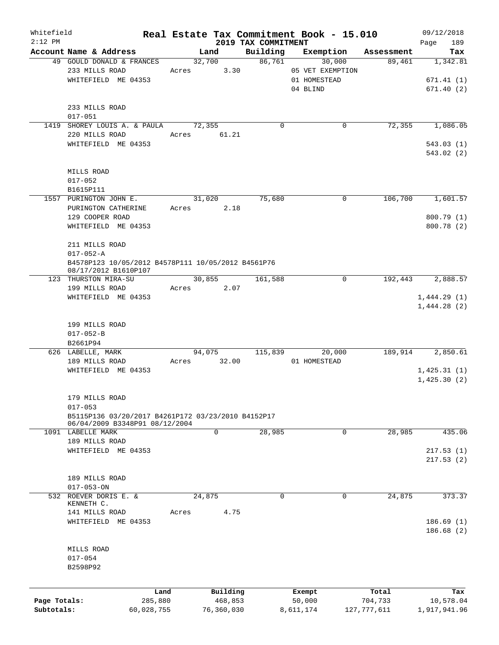| Whitefield   |                                                    |            |               |                                 | Real Estate Tax Commitment Book - 15.010 |               | 09/12/2018         |
|--------------|----------------------------------------------------|------------|---------------|---------------------------------|------------------------------------------|---------------|--------------------|
| $2:12$ PM    | Account Name & Address                             |            | Land          | 2019 TAX COMMITMENT<br>Building | Exemption                                | Assessment    | 189<br>Page<br>Tax |
|              | 49 GOULD DONALD & FRANCES                          |            | 32,700        | 86,761                          | 30,000                                   | 89,461        | 1,342.81           |
|              | 233 MILLS ROAD                                     |            | 3.30<br>Acres |                                 | 05 VET EXEMPTION                         |               |                    |
|              | WHITEFIELD ME 04353                                |            |               |                                 | 01 HOMESTEAD                             |               | 671.41(1)          |
|              |                                                    |            |               |                                 | 04 BLIND                                 |               | 671.40(2)          |
|              |                                                    |            |               |                                 |                                          |               |                    |
|              | 233 MILLS ROAD                                     |            |               |                                 |                                          |               |                    |
|              | $017 - 051$                                        |            |               |                                 |                                          |               |                    |
|              |                                                    |            | 72,355        | $\Omega$                        | 0                                        | 72,355        | 1,086.05           |
|              | 1419 SHOREY LOUIS A. & PAULA                       |            |               |                                 |                                          |               |                    |
|              | 220 MILLS ROAD                                     |            | Acres 61.21   |                                 |                                          |               |                    |
|              | WHITEFIELD ME 04353                                |            |               |                                 |                                          |               | 543.03(1)          |
|              |                                                    |            |               |                                 |                                          |               | 543.02(2)          |
|              |                                                    |            |               |                                 |                                          |               |                    |
|              | MILLS ROAD                                         |            |               |                                 |                                          |               |                    |
|              | $017 - 052$                                        |            |               |                                 |                                          |               |                    |
|              | B1615P111                                          |            |               |                                 |                                          |               |                    |
|              | 1557 PURINGTON JOHN E.                             |            | 31,020        | 75,680                          | 0                                        | 106,700       | 1,601.57           |
|              | PURINGTON CATHERINE                                |            | 2.18<br>Acres |                                 |                                          |               |                    |
|              | 129 COOPER ROAD                                    |            |               |                                 |                                          |               | 800.79 (1)         |
|              | WHITEFIELD ME 04353                                |            |               |                                 |                                          |               | 800.78 (2)         |
|              |                                                    |            |               |                                 |                                          |               |                    |
|              | 211 MILLS ROAD                                     |            |               |                                 |                                          |               |                    |
|              | $017 - 052 - A$                                    |            |               |                                 |                                          |               |                    |
|              | B4578P123 10/05/2012 B4578P111 10/05/2012 B4561P76 |            |               |                                 |                                          |               |                    |
|              | 08/17/2012 B1610P107<br>123 THURSTON MIRA-SU       |            | 30,855        | 161,588                         | $\mathbf 0$                              | 192,443       | 2,888.57           |
|              | 199 MILLS ROAD                                     |            | Acres<br>2.07 |                                 |                                          |               |                    |
|              | WHITEFIELD ME 04353                                |            |               |                                 |                                          |               | 1,444.29(1)        |
|              |                                                    |            |               |                                 |                                          |               | 1,444.28(2)        |
|              |                                                    |            |               |                                 |                                          |               |                    |
|              | 199 MILLS ROAD                                     |            |               |                                 |                                          |               |                    |
|              | $017 - 052 - B$                                    |            |               |                                 |                                          |               |                    |
|              | B2661P94                                           |            |               |                                 |                                          |               |                    |
|              | 626 LABELLE, MARK                                  |            | 94,075        | 115,839                         | 20,000                                   | 189,914       | 2,850.61           |
|              | 189 MILLS ROAD                                     | Acres      | 32.00         |                                 | 01 HOMESTEAD                             |               |                    |
|              | WHITEFIELD ME 04353                                |            |               |                                 |                                          |               | 1,425.31(1)        |
|              |                                                    |            |               |                                 |                                          |               | 1,425.30(2)        |
|              |                                                    |            |               |                                 |                                          |               |                    |
|              | 179 MILLS ROAD                                     |            |               |                                 |                                          |               |                    |
|              | $017 - 053$                                        |            |               |                                 |                                          |               |                    |
|              | B5115P136 03/20/2017 B4261P172 03/23/2010 B4152P17 |            |               |                                 |                                          |               |                    |
|              | 06/04/2009 B3348P91 08/12/2004                     |            |               |                                 |                                          |               |                    |
|              | 1091 LABELLE MARK                                  |            | 0             | 28,985                          | 0                                        | 28,985        | 435.06             |
|              | 189 MILLS ROAD                                     |            |               |                                 |                                          |               |                    |
|              | WHITEFIELD ME 04353                                |            |               |                                 |                                          |               | 217.53(1)          |
|              |                                                    |            |               |                                 |                                          |               | 217.53(2)          |
|              |                                                    |            |               |                                 |                                          |               |                    |
|              | 189 MILLS ROAD                                     |            |               |                                 |                                          |               |                    |
|              | $017 - 053 - ON$                                   |            |               |                                 |                                          |               |                    |
| 532          | ROEVER DORIS E. &                                  |            | 24,875        | 0                               | $\mathbf 0$                              | 24,875        | 373.37             |
|              | KENNETH C.                                         |            |               |                                 |                                          |               |                    |
|              | 141 MILLS ROAD                                     | Acres      | 4.75          |                                 |                                          |               |                    |
|              | WHITEFIELD ME 04353                                |            |               |                                 |                                          |               | 186.69(1)          |
|              |                                                    |            |               |                                 |                                          |               | 186.68(2)          |
|              |                                                    |            |               |                                 |                                          |               |                    |
|              | MILLS ROAD                                         |            |               |                                 |                                          |               |                    |
|              | $017 - 054$                                        |            |               |                                 |                                          |               |                    |
|              | B2598P92                                           |            |               |                                 |                                          |               |                    |
|              |                                                    |            |               |                                 |                                          |               |                    |
|              |                                                    |            |               |                                 |                                          |               |                    |
|              |                                                    | Land       | Building      |                                 | Exempt                                   | Total         | Tax                |
| Page Totals: |                                                    | 285,880    | 468,853       |                                 | 50,000                                   | 704,733       | 10,578.04          |
| Subtotals:   |                                                    | 60,028,755 | 76,360,030    |                                 | 8,611,174                                | 127, 777, 611 | 1,917,941.96       |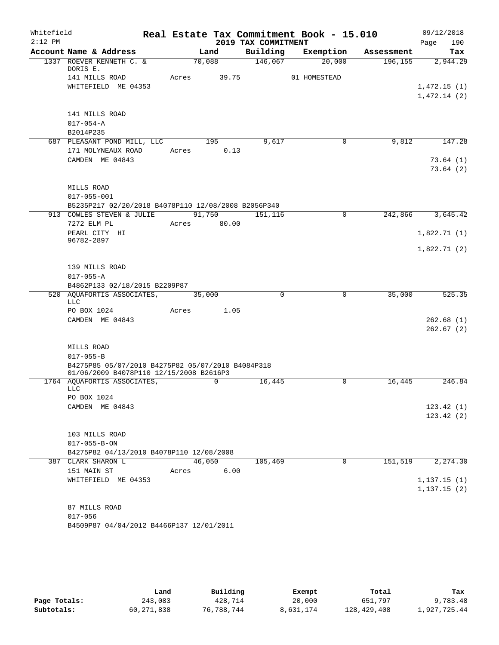| Whitefield |                                                                        |       |             |                     | Real Estate Tax Commitment Book - 15.010 |            | 09/12/2018   |
|------------|------------------------------------------------------------------------|-------|-------------|---------------------|------------------------------------------|------------|--------------|
| $2:12$ PM  |                                                                        |       |             | 2019 TAX COMMITMENT |                                          |            | 190<br>Page  |
|            | Account Name & Address                                                 |       | Land        | Building            | Exemption                                | Assessment | Tax          |
|            | 1337 ROEVER KENNETH C. &<br>DORIS E.                                   |       | 70,088      | 146,067             | 20,000                                   | 196, 155   | 2,944.29     |
|            | 141 MILLS ROAD                                                         | Acres | 39.75       |                     | 01 HOMESTEAD                             |            |              |
|            | WHITEFIELD ME 04353                                                    |       |             |                     |                                          |            | 1,472.15(1)  |
|            |                                                                        |       |             |                     |                                          |            | 1,472.14(2)  |
|            | 141 MILLS ROAD                                                         |       |             |                     |                                          |            |              |
|            | $017 - 054 - A$                                                        |       |             |                     |                                          |            |              |
|            | B2014P235                                                              |       |             |                     |                                          |            |              |
|            | 687 PLEASANT POND MILL, LLC                                            |       | 195         | 9,617               | 0                                        | 9,812      | 147.28       |
|            | 171 MOLYNEAUX ROAD                                                     | Acres | 0.13        |                     |                                          |            |              |
|            | CAMDEN ME 04843                                                        |       |             |                     |                                          |            | 73.64(1)     |
|            |                                                                        |       |             |                     |                                          |            | 73.64(2)     |
|            | MILLS ROAD                                                             |       |             |                     |                                          |            |              |
|            | $017 - 055 - 001$                                                      |       |             |                     |                                          |            |              |
|            | B5235P217 02/20/2018 B4078P110 12/08/2008 B2056P340                    |       |             |                     |                                          |            |              |
|            | 913 COWLES STEVEN & JULIE                                              |       | 91,750      | 151,116             | $\mathbf 0$                              | 242,866    | 3,645.42     |
|            | 7272 ELM PL                                                            |       | Acres 80.00 |                     |                                          |            |              |
|            | PEARL CITY HI                                                          |       |             |                     |                                          |            | 1,822.71(1)  |
|            | 96782-2897                                                             |       |             |                     |                                          |            | 1,822.71(2)  |
|            |                                                                        |       |             |                     |                                          |            |              |
|            | 139 MILLS ROAD                                                         |       |             |                     |                                          |            |              |
|            | $017 - 055 - A$                                                        |       |             |                     |                                          |            |              |
|            | B4862P133 02/18/2015 B2209P87                                          |       |             |                     |                                          |            |              |
|            | 520 AQUAFORTIS ASSOCIATES,                                             |       | 35,000      | $\Omega$            | $\mathbf 0$                              | 35,000     | 525.35       |
|            | LLC<br>PO BOX 1024                                                     | Acres | 1.05        |                     |                                          |            |              |
|            | CAMDEN ME 04843                                                        |       |             |                     |                                          |            | 262.68(1)    |
|            |                                                                        |       |             |                     |                                          |            | 262.67(2)    |
|            |                                                                        |       |             |                     |                                          |            |              |
|            | MILLS ROAD                                                             |       |             |                     |                                          |            |              |
|            | $017 - 055 - B$                                                        |       |             |                     |                                          |            |              |
|            | B4275P85 05/07/2010 B4275P82 05/07/2010 B4084P318                      |       |             |                     |                                          |            |              |
|            | 01/06/2009 B4078P110 12/15/2008 B2616P3<br>1764 AQUAFORTIS ASSOCIATES, |       | 0           | 16,445              | 0                                        | 16,445     | 246.84       |
|            | LLC                                                                    |       |             |                     |                                          |            |              |
|            | PO BOX 1024                                                            |       |             |                     |                                          |            |              |
|            | CAMDEN ME 04843                                                        |       |             |                     |                                          |            | 123.42(1)    |
|            |                                                                        |       |             |                     |                                          |            | 123.42(2)    |
|            | 103 MILLS ROAD                                                         |       |             |                     |                                          |            |              |
|            | $017 - 055 - B - ON$                                                   |       |             |                     |                                          |            |              |
|            | B4275P82 04/13/2010 B4078P110 12/08/2008                               |       |             |                     |                                          |            |              |
|            | 387 CLARK SHARON L                                                     |       | 46,050      | 105,469             | 0                                        | 151,519    | 2,274.30     |
|            | 151 MAIN ST                                                            | Acres | 6.00        |                     |                                          |            |              |
|            | WHITEFIELD ME 04353                                                    |       |             |                     |                                          |            | 1, 137.15(1) |
|            |                                                                        |       |             |                     |                                          |            | 1, 137.15(2) |
|            |                                                                        |       |             |                     |                                          |            |              |
|            | 87 MILLS ROAD<br>$017 - 056$                                           |       |             |                     |                                          |            |              |
|            | B4509P87 04/04/2012 B4466P137 12/01/2011                               |       |             |                     |                                          |            |              |
|            |                                                                        |       |             |                     |                                          |            |              |

|              | Land       | Building   | Exempt    | Total       | Tax          |
|--------------|------------|------------|-----------|-------------|--------------|
| Page Totals: | 243,083    | 428,714    | 20,000    | 651,797     | 9,783.48     |
| Subtotals:   | 60,271,838 | 76,788,744 | 8,631,174 | 128,429,408 | 1,927,725.44 |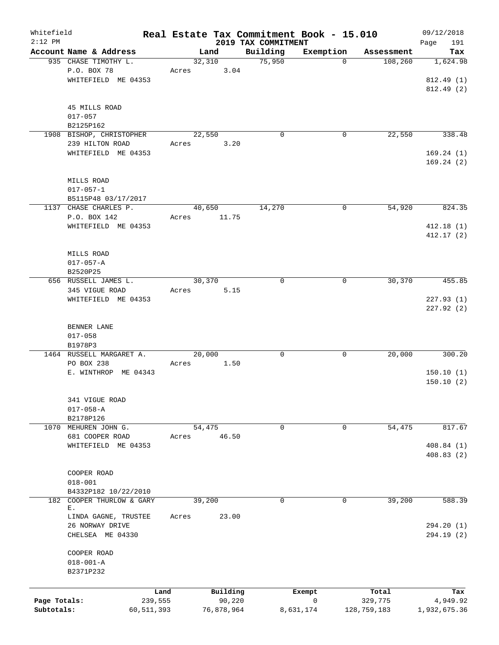| Whitefield   |                              |            |       |            |                                 | Real Estate Tax Commitment Book - 15.010 |             | 09/12/2018         |
|--------------|------------------------------|------------|-------|------------|---------------------------------|------------------------------------------|-------------|--------------------|
| $2:12$ PM    | Account Name & Address       |            |       | Land       | 2019 TAX COMMITMENT<br>Building | Exemption                                | Assessment  | 191<br>Page<br>Tax |
|              | 935 CHASE TIMOTHY L.         |            |       | 32,310     | 75,950                          | $\Omega$                                 | 108,260     | 1,624.98           |
|              | P.O. BOX 78                  |            | Acres | 3.04       |                                 |                                          |             |                    |
|              | WHITEFIELD ME 04353          |            |       |            |                                 |                                          |             | 812.49 (1)         |
|              |                              |            |       |            |                                 |                                          |             | 812.49(2)          |
|              |                              |            |       |            |                                 |                                          |             |                    |
|              | 45 MILLS ROAD                |            |       |            |                                 |                                          |             |                    |
|              | $017 - 057$                  |            |       |            |                                 |                                          |             |                    |
|              | B2125P162                    |            |       |            |                                 |                                          |             |                    |
|              | 1908 BISHOP, CHRISTOPHER     |            |       | 22,550     | $\mathbf 0$                     | $\mathbf 0$                              | 22,550      | 338.48             |
|              | 239 HILTON ROAD              |            | Acres | 3.20       |                                 |                                          |             |                    |
|              | WHITEFIELD ME 04353          |            |       |            |                                 |                                          |             | 169.24(1)          |
|              |                              |            |       |            |                                 |                                          |             | 169.24(2)          |
|              | MILLS ROAD                   |            |       |            |                                 |                                          |             |                    |
|              | $017 - 057 - 1$              |            |       |            |                                 |                                          |             |                    |
|              | B5115P48 03/17/2017          |            |       |            |                                 |                                          |             |                    |
|              | 1137 CHASE CHARLES P.        |            |       | 40,650     | 14,270                          | 0                                        | 54,920      | 824.35             |
|              | P.O. BOX 142                 |            | Acres | 11.75      |                                 |                                          |             |                    |
|              | WHITEFIELD ME 04353          |            |       |            |                                 |                                          |             | 412.18 (1)         |
|              |                              |            |       |            |                                 |                                          |             | 412.17(2)          |
|              |                              |            |       |            |                                 |                                          |             |                    |
|              | MILLS ROAD                   |            |       |            |                                 |                                          |             |                    |
|              | $017 - 057 - A$              |            |       |            |                                 |                                          |             |                    |
|              | B2520P25                     |            |       |            |                                 |                                          |             |                    |
|              | 656 RUSSELL JAMES L.         |            |       | 30,370     | $\mathbf 0$                     | 0                                        | 30,370      | 455.85             |
|              | 345 VIGUE ROAD               |            | Acres | 5.15       |                                 |                                          |             |                    |
|              | WHITEFIELD ME 04353          |            |       |            |                                 |                                          |             | 227.93(1)          |
|              |                              |            |       |            |                                 |                                          |             | 227.92 (2)         |
|              |                              |            |       |            |                                 |                                          |             |                    |
|              | BENNER LANE<br>$017 - 058$   |            |       |            |                                 |                                          |             |                    |
|              | B1978P3                      |            |       |            |                                 |                                          |             |                    |
|              | 1464 RUSSELL MARGARET A.     |            |       | 20,000     | 0                               | 0                                        | 20,000      | 300.20             |
|              | PO BOX 238                   |            | Acres | 1.50       |                                 |                                          |             |                    |
|              | E. WINTHROP ME 04343         |            |       |            |                                 |                                          |             | 150.10(1)          |
|              |                              |            |       |            |                                 |                                          |             | 150.10(2)          |
|              |                              |            |       |            |                                 |                                          |             |                    |
|              | 341 VIGUE ROAD               |            |       |            |                                 |                                          |             |                    |
|              | $017 - 058 - A$              |            |       |            |                                 |                                          |             |                    |
|              | B2178P126                    |            |       |            |                                 |                                          |             |                    |
| 1070         | MEHUREN JOHN G.              |            |       | 54,475     | 0                               | 0                                        | 54,475      | 817.67             |
|              | 681 COOPER ROAD              |            | Acres | 46.50      |                                 |                                          |             |                    |
|              | WHITEFIELD ME 04353          |            |       |            |                                 |                                          |             | 408.84 (1)         |
|              |                              |            |       |            |                                 |                                          |             | 408.83(2)          |
|              | COOPER ROAD                  |            |       |            |                                 |                                          |             |                    |
|              | $018 - 001$                  |            |       |            |                                 |                                          |             |                    |
|              | B4332P182 10/22/2010         |            |       |            |                                 |                                          |             |                    |
| 182          | COOPER THURLOW & GARY        |            |       | 39,200     | 0                               | 0                                        | 39,200      | 588.39             |
|              | Е.                           |            |       |            |                                 |                                          |             |                    |
|              | LINDA GAGNE, TRUSTEE         |            | Acres | 23.00      |                                 |                                          |             |                    |
|              | 26 NORWAY DRIVE              |            |       |            |                                 |                                          |             | 294.20 (1)         |
|              | CHELSEA ME 04330             |            |       |            |                                 |                                          |             | 294.19 (2)         |
|              |                              |            |       |            |                                 |                                          |             |                    |
|              | COOPER ROAD                  |            |       |            |                                 |                                          |             |                    |
|              | $018 - 001 - A$<br>B2371P232 |            |       |            |                                 |                                          |             |                    |
|              |                              |            |       |            |                                 |                                          |             |                    |
|              |                              | Land       |       | Building   |                                 | Exempt                                   | Total       | Tax                |
| Page Totals: |                              | 239,555    |       | 90,220     |                                 | 0                                        | 329,775     | 4,949.92           |
| Subtotals:   |                              | 60,511,393 |       | 76,878,964 |                                 | 8,631,174                                | 128,759,183 | 1,932,675.36       |
|              |                              |            |       |            |                                 |                                          |             |                    |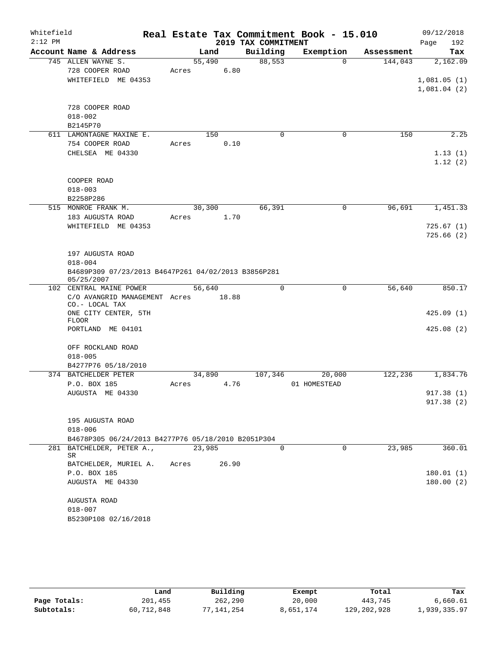| Whitefield<br>$2:12$ PM |                                                                                                      |                 |       | 2019 TAX COMMITMENT | Real Estate Tax Commitment Book - 15.010 |            | 09/12/2018<br>Page<br>192              |
|-------------------------|------------------------------------------------------------------------------------------------------|-----------------|-------|---------------------|------------------------------------------|------------|----------------------------------------|
|                         | Account Name & Address                                                                               |                 | Land  | Building            | Exemption                                | Assessment | Tax                                    |
|                         | 745 ALLEN WAYNE S.<br>728 COOPER ROAD<br>WHITEFIELD ME 04353                                         | 55,490<br>Acres | 6.80  | 88,553              | $\Omega$                                 | 144,043    | 2,162.09<br>1,081.05(1)<br>1,081.04(2) |
|                         | 728 COOPER ROAD<br>$018 - 002$<br>B2145P70                                                           |                 |       |                     |                                          |            |                                        |
|                         | 611 LAMONTAGNE MAXINE E.                                                                             |                 | 150   | $\Omega$            | 0                                        | 150        | 2.25                                   |
|                         | 754 COOPER ROAD<br>CHELSEA ME 04330                                                                  | Acres           | 0.10  |                     |                                          |            | 1.13(1)<br>1.12(2)                     |
|                         | COOPER ROAD<br>$018 - 003$<br>B2258P286                                                              |                 |       |                     |                                          |            |                                        |
|                         | 515 MONROE FRANK M.                                                                                  | 30,300          |       | 66,391              | 0                                        | 96,691     | 1,451.33                               |
|                         | 183 AUGUSTA ROAD<br>WHITEFIELD ME 04353                                                              | Acres           | 1.70  |                     |                                          |            | 725.67(1)<br>725.66(2)                 |
|                         | 197 AUGUSTA ROAD<br>$018 - 004$<br>B4689P309 07/23/2013 B4647P261 04/02/2013 B3856P281<br>05/25/2007 |                 |       |                     |                                          |            |                                        |
|                         | 102 CENTRAL MAINE POWER                                                                              | 56,640          |       | $\Omega$            | 0                                        | 56,640     | 850.17                                 |
|                         | C/O AVANGRID MANAGEMENT Acres<br>CO.- LOCAL TAX                                                      |                 | 18.88 |                     |                                          |            |                                        |
|                         | ONE CITY CENTER, 5TH<br><b>FLOOR</b>                                                                 |                 |       |                     |                                          |            | 425.09(1)                              |
|                         | PORTLAND ME 04101                                                                                    |                 |       |                     |                                          |            | 425.08(2)                              |
|                         | OFF ROCKLAND ROAD<br>$018 - 005$                                                                     |                 |       |                     |                                          |            |                                        |
|                         | B4277P76 05/18/2010<br>374 BATCHELDER PETER                                                          | 34,890          |       | 107,346             | 20,000                                   | 122,236    | 1,834.76                               |
|                         | P.O. BOX 185                                                                                         | Acres           | 4.76  |                     | 01 HOMESTEAD                             |            |                                        |
|                         | AUGUSTA ME 04330                                                                                     |                 |       |                     |                                          |            | 917.38 (1)<br>917.38(2)                |
|                         | 195 AUGUSTA ROAD<br>$018 - 006$                                                                      |                 |       |                     |                                          |            |                                        |
|                         | B4678P305 06/24/2013 B4277P76 05/18/2010 B2051P304                                                   |                 |       |                     |                                          |            |                                        |
|                         | 281 BATCHELDER, PETER A.,<br>SR                                                                      | 23,985          |       | $\Omega$            | $\Omega$                                 | 23,985     | 360.01                                 |
|                         | BATCHELDER, MURIEL A.<br>P.O. BOX 185<br>AUGUSTA ME 04330                                            | Acres           | 26.90 |                     |                                          |            | 180.01(1)<br>180.00(2)                 |
|                         | AUGUSTA ROAD                                                                                         |                 |       |                     |                                          |            |                                        |
|                         | $018 - 007$                                                                                          |                 |       |                     |                                          |            |                                        |
|                         | B5230P108 02/16/2018                                                                                 |                 |       |                     |                                          |            |                                        |

|              | Land       | Building   | Exempt    | Total         | Tax          |
|--------------|------------|------------|-----------|---------------|--------------|
| Page Totals: | 201,455    | 262,290    | 20,000    | 443,745       | 6,660.61     |
| Subtotals:   | 60,712,848 | 77,141,254 | 8,651,174 | 129, 202, 928 | 1,939,335.97 |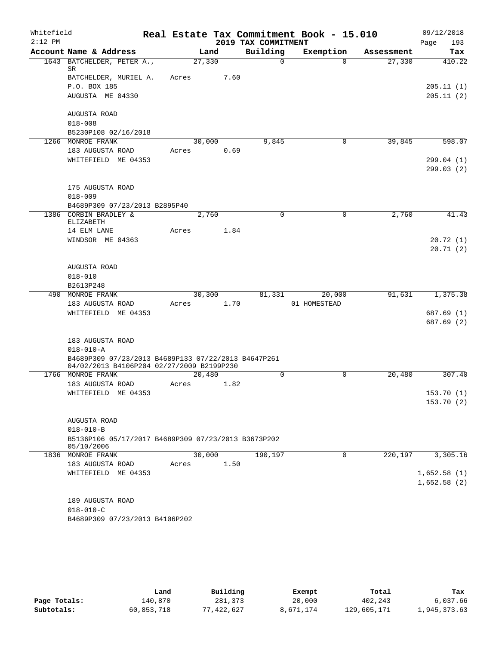| Whitefield |                                                                |        |      |                     | Real Estate Tax Commitment Book - 15.010 |            | 09/12/2018  |
|------------|----------------------------------------------------------------|--------|------|---------------------|------------------------------------------|------------|-------------|
| $2:12$ PM  |                                                                |        |      | 2019 TAX COMMITMENT |                                          |            | 193<br>Page |
|            | Account Name & Address                                         | Land   |      | Building            | Exemption                                | Assessment | Tax         |
|            | 1643 BATCHELDER, PETER A.,<br>SR                               | 27,330 |      | $\Omega$            | $\Omega$                                 | 27,330     | 410.22      |
|            | BATCHELDER, MURIEL A.                                          | Acres  | 7.60 |                     |                                          |            |             |
|            | P.O. BOX 185                                                   |        |      |                     |                                          |            | 205.11(1)   |
|            | AUGUSTA ME 04330                                               |        |      |                     |                                          |            | 205.11(2)   |
|            | AUGUSTA ROAD                                                   |        |      |                     |                                          |            |             |
|            | $018 - 008$                                                    |        |      |                     |                                          |            |             |
|            | B5230P108 02/16/2018                                           |        |      |                     |                                          |            |             |
|            | 1266 MONROE FRANK                                              | 30,000 |      | 9,845               | 0                                        | 39,845     | 598.07      |
|            | 183 AUGUSTA ROAD                                               | Acres  | 0.69 |                     |                                          |            |             |
|            | WHITEFIELD ME 04353                                            |        |      |                     |                                          |            | 299.04 (1)  |
|            |                                                                |        |      |                     |                                          |            | 299.03(2)   |
|            | 175 AUGUSTA ROAD                                               |        |      |                     |                                          |            |             |
|            | $018 - 009$                                                    |        |      |                     |                                          |            |             |
|            | B4689P309 07/23/2013 B2895P40                                  |        |      |                     |                                          |            |             |
|            | 1386 CORBIN BRADLEY &                                          | 2,760  |      | $\mathbf 0$         | 0                                        | 2,760      | 41.43       |
|            | ELIZABETH                                                      |        |      |                     |                                          |            |             |
|            | 14 ELM LANE                                                    | Acres  | 1.84 |                     |                                          |            |             |
|            | WINDSOR ME 04363                                               |        |      |                     |                                          |            | 20.72(1)    |
|            |                                                                |        |      |                     |                                          |            | 20.71(2)    |
|            |                                                                |        |      |                     |                                          |            |             |
|            | AUGUSTA ROAD                                                   |        |      |                     |                                          |            |             |
|            | $018 - 010$                                                    |        |      |                     |                                          |            |             |
|            | B2613P248                                                      |        |      |                     |                                          |            |             |
|            | 490 MONROE FRANK                                               | 30,300 |      | 81,331              | 20,000                                   | 91,631     | 1,375.38    |
|            | 183 AUGUSTA ROAD                                               | Acres  | 1.70 |                     | 01 HOMESTEAD                             |            |             |
|            | WHITEFIELD ME 04353                                            |        |      |                     |                                          |            | 687.69 (1)  |
|            |                                                                |        |      |                     |                                          |            | 687.69 (2)  |
|            |                                                                |        |      |                     |                                          |            |             |
|            | 183 AUGUSTA ROAD                                               |        |      |                     |                                          |            |             |
|            | $018 - 010 - A$                                                |        |      |                     |                                          |            |             |
|            | B4689P309 07/23/2013 B4689P133 07/22/2013 B4647P261            |        |      |                     |                                          |            |             |
|            | 04/02/2013 B4106P204 02/27/2009 B2199P230<br>1766 MONROE FRANK | 20,480 |      | $\mathbf 0$         | $\mathbf 0$                              | 20,480     | 307.40      |
|            | 183 AUGUSTA ROAD                                               | Acres  | 1.82 |                     |                                          |            |             |
|            | WHITEFIELD ME 04353                                            |        |      |                     |                                          |            | 153.70 (1)  |
|            |                                                                |        |      |                     |                                          |            | 153.70(2)   |
|            |                                                                |        |      |                     |                                          |            |             |
|            | AUGUSTA ROAD                                                   |        |      |                     |                                          |            |             |
|            | $018 - 010 - B$                                                |        |      |                     |                                          |            |             |
|            | B5136P106 05/17/2017 B4689P309 07/23/2013 B3673P202            |        |      |                     |                                          |            |             |
|            | 05/10/2006                                                     |        |      |                     |                                          |            |             |
|            | 1836 MONROE FRANK                                              | 30,000 |      | 190,197             | 0                                        | 220,197    | 3,305.16    |
|            | 183 AUGUSTA ROAD                                               | Acres  | 1.50 |                     |                                          |            |             |
|            | WHITEFIELD ME 04353                                            |        |      |                     |                                          |            | 1,652.58(1) |
|            |                                                                |        |      |                     |                                          |            | 1,652.58(2) |
|            |                                                                |        |      |                     |                                          |            |             |
|            | 189 AUGUSTA ROAD                                               |        |      |                     |                                          |            |             |
|            | $018 - 010 - C$                                                |        |      |                     |                                          |            |             |
|            | B4689P309 07/23/2013 B4106P202                                 |        |      |                     |                                          |            |             |
|            |                                                                |        |      |                     |                                          |            |             |

|              | Land       | Building  | Exempt    | Total       | Tax          |
|--------------|------------|-----------|-----------|-------------|--------------|
| Page Totals: | 140,870    | 281,373   | 20,000    | 402,243     | 6,037.66     |
| Subtotals:   | 60,853,718 | 7.422.627 | 8,671,174 | 129,605,171 | 1,945,373.63 |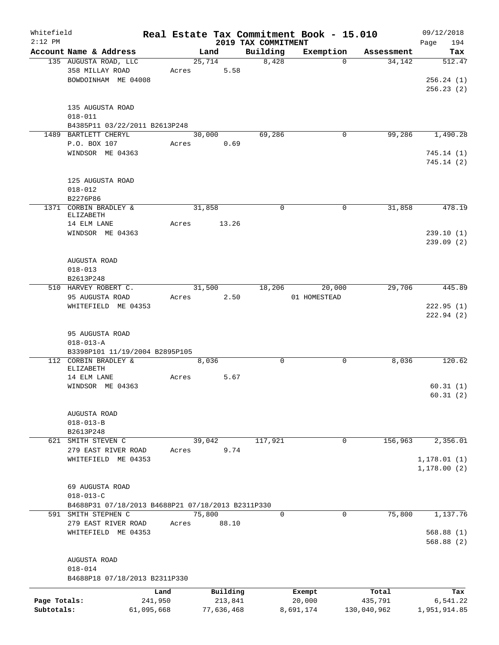| Whitefield<br>$2:12$ PM |                                                   |            |       |        |            | 2019 TAX COMMITMENT | Real Estate Tax Commitment Book - 15.010 |             | 09/12/2018<br>194<br>Page |
|-------------------------|---------------------------------------------------|------------|-------|--------|------------|---------------------|------------------------------------------|-------------|---------------------------|
|                         | Account Name & Address                            |            |       | Land   |            | Building            | Exemption                                | Assessment  | Tax                       |
|                         | 135 AUGUSTA ROAD, LLC                             |            |       | 25,714 |            | 8,428               | $\Omega$                                 | 34,142      | 512.47                    |
|                         | 358 MILLAY ROAD                                   |            |       |        | 5.58       |                     |                                          |             |                           |
|                         |                                                   |            | Acres |        |            |                     |                                          |             |                           |
|                         | BOWDOINHAM ME 04008                               |            |       |        |            |                     |                                          |             | 256.24(1)                 |
|                         |                                                   |            |       |        |            |                     |                                          |             | 256.23(2)                 |
|                         | 135 AUGUSTA ROAD                                  |            |       |        |            |                     |                                          |             |                           |
|                         |                                                   |            |       |        |            |                     |                                          |             |                           |
|                         | $018 - 011$                                       |            |       |        |            |                     |                                          |             |                           |
|                         | B4385P11 03/22/2011 B2613P248                     |            |       |        |            |                     |                                          |             |                           |
|                         | 1489 BARTLETT CHERYL                              |            |       | 30,000 |            | 69,286              | 0                                        | 99,286      | 1,490.28                  |
|                         | P.O. BOX 107                                      |            | Acres |        | 0.69       |                     |                                          |             |                           |
|                         | WINDSOR ME 04363                                  |            |       |        |            |                     |                                          |             | 745.14(1)                 |
|                         |                                                   |            |       |        |            |                     |                                          |             | 745.14(2)                 |
|                         |                                                   |            |       |        |            |                     |                                          |             |                           |
|                         | 125 AUGUSTA ROAD                                  |            |       |        |            |                     |                                          |             |                           |
|                         | $018 - 012$                                       |            |       |        |            |                     |                                          |             |                           |
|                         | B2276P86                                          |            |       |        |            |                     |                                          |             |                           |
|                         | 1371 CORBIN BRADLEY &                             |            |       | 31,858 |            | $\Omega$            | 0                                        | 31,858      | 478.19                    |
|                         | ELIZABETH                                         |            |       |        |            |                     |                                          |             |                           |
|                         | 14 ELM LANE                                       |            | Acres |        | 13.26      |                     |                                          |             |                           |
|                         | WINDSOR ME 04363                                  |            |       |        |            |                     |                                          |             | 239.10(1)                 |
|                         |                                                   |            |       |        |            |                     |                                          |             | 239.09(2)                 |
|                         |                                                   |            |       |        |            |                     |                                          |             |                           |
|                         | AUGUSTA ROAD                                      |            |       |        |            |                     |                                          |             |                           |
|                         | $018 - 013$                                       |            |       |        |            |                     |                                          |             |                           |
|                         | B2613P248                                         |            |       |        |            |                     |                                          |             |                           |
|                         | 510 HARVEY ROBERT C.                              |            |       |        | 31,500     |                     | 18,206<br>20,000                         | 29,706      | 445.89                    |
|                         | 95 AUGUSTA ROAD                                   |            | Acres |        | 2.50       |                     | 01 HOMESTEAD                             |             |                           |
|                         | WHITEFIELD ME 04353                               |            |       |        |            |                     |                                          |             | 222.95(1)                 |
|                         |                                                   |            |       |        |            |                     |                                          |             | 222.94(2)                 |
|                         |                                                   |            |       |        |            |                     |                                          |             |                           |
|                         | 95 AUGUSTA ROAD                                   |            |       |        |            |                     |                                          |             |                           |
|                         | $018 - 013 - A$                                   |            |       |        |            |                     |                                          |             |                           |
|                         | B3398P101 11/19/2004 B2895P105                    |            |       |        |            |                     |                                          |             |                           |
|                         | 112 CORBIN BRADLEY &                              |            |       | 8,036  |            | $\mathbf 0$         | 0                                        | 8,036       | 120.62                    |
|                         | ELIZABETH                                         |            |       |        |            |                     |                                          |             |                           |
|                         | 14 ELM LANE                                       |            | Acres |        | 5.67       |                     |                                          |             |                           |
|                         | WINDSOR ME 04363                                  |            |       |        |            |                     |                                          |             | 60.31(1)                  |
|                         |                                                   |            |       |        |            |                     |                                          |             | 60.31(2)                  |
|                         |                                                   |            |       |        |            |                     |                                          |             |                           |
|                         | AUGUSTA ROAD                                      |            |       |        |            |                     |                                          |             |                           |
|                         | $018 - 013 - B$                                   |            |       |        |            |                     |                                          |             |                           |
|                         | B2613P248                                         |            |       |        |            |                     |                                          |             |                           |
|                         | 621 SMITH STEVEN C                                |            |       | 39,042 |            | 117,921             | $\mathbf 0$                              | 156,963     | 2,356.01                  |
|                         | 279 EAST RIVER ROAD                               |            | Acres |        | 9.74       |                     |                                          |             |                           |
|                         | WHITEFIELD ME 04353                               |            |       |        |            |                     |                                          |             | 1, 178.01(1)              |
|                         |                                                   |            |       |        |            |                     |                                          |             | 1, 178.00(2)              |
|                         |                                                   |            |       |        |            |                     |                                          |             |                           |
|                         | 69 AUGUSTA ROAD                                   |            |       |        |            |                     |                                          |             |                           |
|                         | $018 - 013 - C$                                   |            |       |        |            |                     |                                          |             |                           |
|                         | B4688P31 07/18/2013 B4688P21 07/18/2013 B2311P330 |            |       |        |            |                     |                                          |             |                           |
|                         | 591 SMITH STEPHEN C                               |            |       | 75,800 |            | 0                   | 0                                        | 75,800      | 1,137.76                  |
|                         | 279 EAST RIVER ROAD                               |            | Acres |        | 88.10      |                     |                                          |             |                           |
|                         | WHITEFIELD ME 04353                               |            |       |        |            |                     |                                          |             | 568.88(1)                 |
|                         |                                                   |            |       |        |            |                     |                                          |             | 568.88(2)                 |
|                         |                                                   |            |       |        |            |                     |                                          |             |                           |
|                         | AUGUSTA ROAD                                      |            |       |        |            |                     |                                          |             |                           |
|                         | $018 - 014$                                       |            |       |        |            |                     |                                          |             |                           |
|                         | B4688P18 07/18/2013 B2311P330                     |            |       |        |            |                     |                                          |             |                           |
|                         |                                                   | Land       |       |        | Building   |                     | Exempt                                   | Total       | Tax                       |
| Page Totals:            |                                                   | 241,950    |       |        | 213,841    |                     | 20,000                                   | 435,791     | 6,541.22                  |
| Subtotals:              |                                                   | 61,095,668 |       |        | 77,636,468 |                     | 8,691,174                                | 130,040,962 | 1,951,914.85              |
|                         |                                                   |            |       |        |            |                     |                                          |             |                           |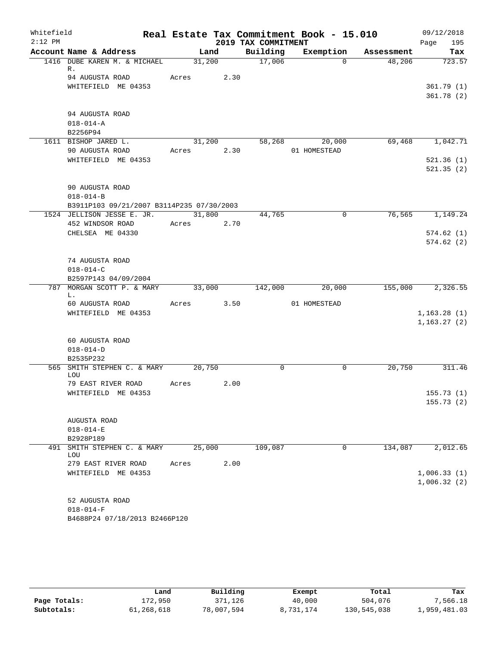| Whitefield |                                                 |            |        |                     | Real Estate Tax Commitment Book - 15.010 |            | 09/12/2018       |
|------------|-------------------------------------------------|------------|--------|---------------------|------------------------------------------|------------|------------------|
| $2:12$ PM  |                                                 |            |        | 2019 TAX COMMITMENT |                                          |            | Page<br>195      |
|            | Account Name & Address                          | Land       |        | Building            | Exemption                                | Assessment | Tax              |
|            | 1416 DUBE KAREN M. & MICHAEL<br>R.              |            | 31,200 | 17,006              | $\Omega$                                 | 48,206     | 723.57           |
|            | 94 AUGUSTA ROAD                                 | Acres 2.30 |        |                     |                                          |            |                  |
|            | WHITEFIELD ME 04353                             |            |        |                     |                                          |            | 361.79(1)        |
|            |                                                 |            |        |                     |                                          |            | 361.78(2)        |
|            |                                                 |            |        |                     |                                          |            |                  |
|            | 94 AUGUSTA ROAD                                 |            |        |                     |                                          |            |                  |
|            | $018 - 014 - A$                                 |            |        |                     |                                          |            |                  |
|            | B2256P94<br>1611 BISHOP JARED L.                |            | 31,200 |                     | 58,268<br>20,000                         | 69,468     | 1,042.71         |
|            | 90 AUGUSTA ROAD                                 | Acres 2.30 |        |                     | 01 HOMESTEAD                             |            |                  |
|            | WHITEFIELD ME 04353                             |            |        |                     |                                          |            | 521.36(1)        |
|            |                                                 |            |        |                     |                                          |            | 521.35(2)        |
|            |                                                 |            |        |                     |                                          |            |                  |
|            | 90 AUGUSTA ROAD                                 |            |        |                     |                                          |            |                  |
|            | $018 - 014 - B$                                 |            |        |                     |                                          |            |                  |
|            | B3911P103 09/21/2007 B3114P235 07/30/2003       |            |        |                     |                                          |            |                  |
|            | 1524 JELLISON JESSE E. JR.<br>452 WINDSOR ROAD  | Acres 2.70 | 31,800 | 44,765              | $\mathbf 0$                              | 76,565     | 1,149.24         |
|            | CHELSEA ME 04330                                |            |        |                     |                                          |            | 574.62(1)        |
|            |                                                 |            |        |                     |                                          |            | 574.62(2)        |
|            |                                                 |            |        |                     |                                          |            |                  |
|            | 74 AUGUSTA ROAD                                 |            |        |                     |                                          |            |                  |
|            | $018 - 014 - C$                                 |            |        |                     |                                          |            |                  |
|            | B2597P143 04/09/2004                            |            |        |                     |                                          |            |                  |
|            | 787 MORGAN SCOTT P. & MARY 33,000 142,000<br>L. |            |        |                     | 20,000                                   |            | 155,000 2,326.55 |
|            | 60 AUGUSTA ROAD                                 | Acres 3.50 |        |                     | 01 HOMESTEAD                             |            |                  |
|            | WHITEFIELD ME 04353                             |            |        |                     |                                          |            | 1, 163.28(1)     |
|            |                                                 |            |        |                     |                                          |            | 1, 163.27(2)     |
|            |                                                 |            |        |                     |                                          |            |                  |
|            | 60 AUGUSTA ROAD                                 |            |        |                     |                                          |            |                  |
|            | $018 - 014 - D$<br>B2535P232                    |            |        |                     |                                          |            |                  |
|            | 565 SMITH STEPHEN C. & MARY                     | 20,750     |        | $\mathbf 0$         | $\mathbf 0$                              | 20,750     | 311.46           |
|            | LOU                                             |            |        |                     |                                          |            |                  |
|            | 79 EAST RIVER ROAD                              | Acres      | 2.00   |                     |                                          |            |                  |
|            | WHITEFIELD ME 04353                             |            |        |                     |                                          |            | 155.73(1)        |
|            |                                                 |            |        |                     |                                          |            | 155.73(2)        |
|            | AUGUSTA ROAD                                    |            |        |                     |                                          |            |                  |
|            | $018 - 014 - E$                                 |            |        |                     |                                          |            |                  |
|            | B2928P189                                       |            |        |                     |                                          |            |                  |
| 491        | SMITH STEPHEN C. & MARY                         | 25,000     |        | 109,087             | 0                                        | 134,087    | 2,012.65         |
|            | LOU                                             |            |        |                     |                                          |            |                  |
|            | 279 EAST RIVER ROAD                             | Acres      | 2.00   |                     |                                          |            |                  |
|            | WHITEFIELD ME 04353                             |            |        |                     |                                          |            | 1,006.33(1)      |
|            |                                                 |            |        |                     |                                          |            | 1,006.32(2)      |
|            | 52 AUGUSTA ROAD                                 |            |        |                     |                                          |            |                  |
|            | $018 - 014 - F$                                 |            |        |                     |                                          |            |                  |
|            | B4688P24 07/18/2013 B2466P120                   |            |        |                     |                                          |            |                  |

|              | Land       | Building   | Exempt    | Total       | Tax          |
|--------------|------------|------------|-----------|-------------|--------------|
| Page Totals: | 172,950    | 371,126    | 40,000    | 504,076     | 7,566.18     |
| Subtotals:   | 61,268,618 | 78,007,594 | 8,731,174 | 130,545,038 | 1,959,481.03 |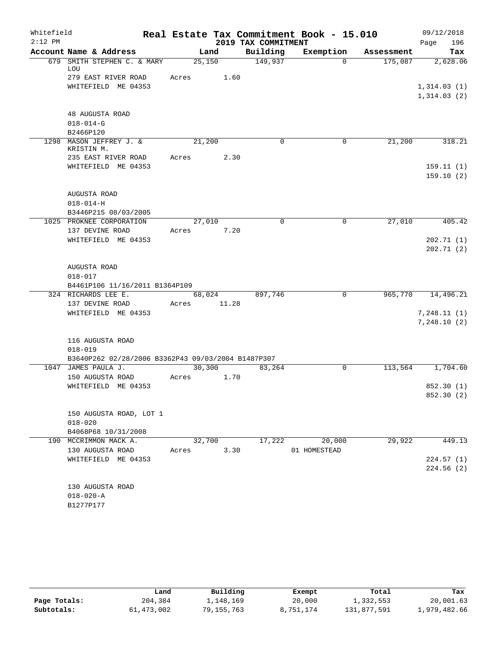| Whitefield |                                                    |         |       |                     | Real Estate Tax Commitment Book - 15.010 |            | 09/12/2018  |
|------------|----------------------------------------------------|---------|-------|---------------------|------------------------------------------|------------|-------------|
| $2:12$ PM  |                                                    |         |       | 2019 TAX COMMITMENT |                                          |            | 196<br>Page |
|            | Account Name & Address                             |         | Land  | Building            | Exemption                                | Assessment | Tax         |
|            | 679 SMITH STEPHEN C. & MARY<br>LOU                 | 25,150  |       | 149,937             | $\Omega$                                 | 175,087    | 2,628.06    |
|            | 279 EAST RIVER ROAD                                | Acres   | 1.60  |                     |                                          |            |             |
|            | WHITEFIELD ME 04353                                |         |       |                     |                                          |            | 1,314.03(1) |
|            |                                                    |         |       |                     |                                          |            | 1,314.03(2) |
|            |                                                    |         |       |                     |                                          |            |             |
|            | 48 AUGUSTA ROAD                                    |         |       |                     |                                          |            |             |
|            | $018 - 014 - G$                                    |         |       |                     |                                          |            |             |
|            | B2466P120                                          |         |       |                     |                                          |            |             |
|            | 1298 MASON JEFFREY J. &<br>KRISTIN M.              | 21,200  |       | 0                   | 0                                        | 21,200     | 318.21      |
|            | 235 EAST RIVER ROAD                                | Acres   | 2.30  |                     |                                          |            |             |
|            | WHITEFIELD ME 04353                                |         |       |                     |                                          |            | 159.11(1)   |
|            |                                                    |         |       |                     |                                          |            | 159.10(2)   |
|            |                                                    |         |       |                     |                                          |            |             |
|            | AUGUSTA ROAD                                       |         |       |                     |                                          |            |             |
|            | $018 - 014 - H$                                    |         |       |                     |                                          |            |             |
|            | B3446P215 08/03/2005                               |         |       |                     |                                          |            |             |
|            | 1025 PROKNEE CORPORATION                           | 27,010  |       | $\Omega$            | $\mathbf 0$                              | 27,010     | 405.42      |
|            | 137 DEVINE ROAD                                    | Acres   | 7.20  |                     |                                          |            |             |
|            | WHITEFIELD ME 04353                                |         |       |                     |                                          |            | 202.71(1)   |
|            |                                                    |         |       |                     |                                          |            | 202.71(2)   |
|            |                                                    |         |       |                     |                                          |            |             |
|            | AUGUSTA ROAD                                       |         |       |                     |                                          |            |             |
|            | $018 - 017$                                        |         |       |                     |                                          |            |             |
|            | B4461P106 11/16/2011 B1364P109                     |         |       |                     |                                          |            |             |
|            | 324 RICHARDS LEE E.                                | 68,024  |       | 897,746             | 0                                        | 965,770    | 14,496.21   |
|            | 137 DEVINE ROAD                                    | Acres   | 11.28 |                     |                                          |            |             |
|            | WHITEFIELD ME 04353                                |         |       |                     |                                          |            | 7,248.11(1) |
|            |                                                    |         |       |                     |                                          |            | 7,248.10(2) |
|            | 116 AUGUSTA ROAD                                   |         |       |                     |                                          |            |             |
|            | $018 - 019$                                        |         |       |                     |                                          |            |             |
|            | B3640P262 02/28/2006 B3362P43 09/03/2004 B1487P307 |         |       |                     |                                          |            |             |
| 1047       | JAMES PAULA J.                                     | 30, 300 |       | 83,264              | 0                                        | 113,564    | 1,704.60    |
|            | 150 AUGUSTA ROAD                                   | Acres   | 1.70  |                     |                                          |            |             |
|            | WHITEFIELD ME 04353                                |         |       |                     |                                          |            | 852.30 (1)  |
|            |                                                    |         |       |                     |                                          |            | 852.30 (2)  |
|            |                                                    |         |       |                     |                                          |            |             |
|            | 150 AUGUSTA ROAD, LOT 1                            |         |       |                     |                                          |            |             |
|            | $018 - 020$                                        |         |       |                     |                                          |            |             |
|            | B4068P68 10/31/2008                                |         |       |                     |                                          |            |             |
|            | 190 MCCRIMMON MACK A.                              | 32,700  |       | 17,222              | 20,000                                   | 29,922     | 449.13      |
|            | 130 AUGUSTA ROAD                                   | Acres   | 3.30  |                     | 01 HOMESTEAD                             |            |             |
|            | WHITEFIELD ME 04353                                |         |       |                     |                                          |            | 224.57(1)   |
|            |                                                    |         |       |                     |                                          |            | 224.56(2)   |
|            |                                                    |         |       |                     |                                          |            |             |
|            | 130 AUGUSTA ROAD                                   |         |       |                     |                                          |            |             |
|            | $018 - 020 - A$                                    |         |       |                     |                                          |            |             |
|            | B1277P177                                          |         |       |                     |                                          |            |             |

|              | Land       | Building   | Exempt    | Total       | Tax          |
|--------------|------------|------------|-----------|-------------|--------------|
| Page Totals: | 204,384    | 1,148,169  | 20,000    | 1,332,553   | 20,001.63    |
| Subtotals:   | 61,473,002 | 79,155,763 | 8,751,174 | 131,877,591 | 1,979,482.66 |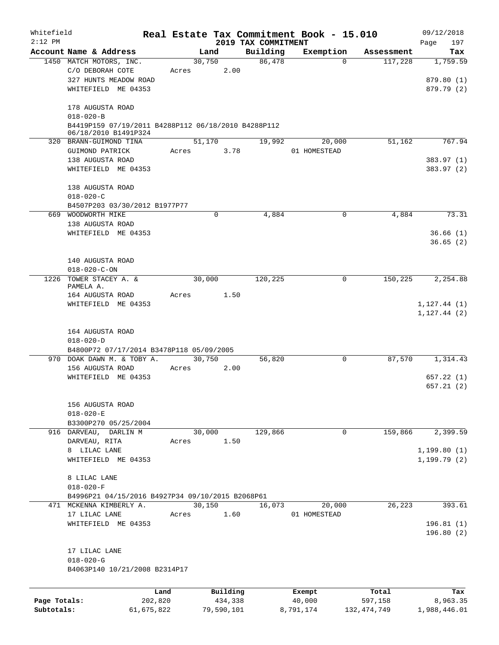| Whitefield<br>$2:12$ PM |                                                                             |            |       |            |                                 | Real Estate Tax Commitment Book - 15.010 |                        | 09/12/2018                   |
|-------------------------|-----------------------------------------------------------------------------|------------|-------|------------|---------------------------------|------------------------------------------|------------------------|------------------------------|
|                         | Account Name & Address                                                      |            |       | Land       | 2019 TAX COMMITMENT<br>Building | Exemption                                | Assessment             | 197<br>Page<br>Tax           |
|                         | 1450 MATCH MOTORS, INC.                                                     |            |       | 30,750     | 86,478                          |                                          | $\Omega$<br>117,228    | 1,759.59                     |
|                         | C/O DEBORAH COTE                                                            |            | Acres | 2.00       |                                 |                                          |                        |                              |
|                         | 327 HUNTS MEADOW ROAD                                                       |            |       |            |                                 |                                          |                        | 879.80 (1)                   |
|                         | WHITEFIELD ME 04353                                                         |            |       |            |                                 |                                          |                        | 879.79 (2)                   |
|                         | 178 AUGUSTA ROAD                                                            |            |       |            |                                 |                                          |                        |                              |
|                         | $018 - 020 - B$                                                             |            |       |            |                                 |                                          |                        |                              |
|                         | B4419P159 07/19/2011 B4288P112 06/18/2010 B4288P112<br>06/18/2010 B1491P324 |            |       |            |                                 |                                          |                        |                              |
|                         | 320 BRANN-GUIMOND TINA                                                      |            |       | 51,170     | 19,992                          | 20,000                                   | 51,162                 | 767.94                       |
|                         | GUIMOND PATRICK                                                             |            | Acres | 3.78       |                                 | 01 HOMESTEAD                             |                        |                              |
|                         | 138 AUGUSTA ROAD                                                            |            |       |            |                                 |                                          |                        | 383.97 (1)                   |
|                         | WHITEFIELD ME 04353                                                         |            |       |            |                                 |                                          |                        | 383.97 (2)                   |
|                         | 138 AUGUSTA ROAD                                                            |            |       |            |                                 |                                          |                        |                              |
|                         | $018 - 020 - C$                                                             |            |       |            |                                 |                                          |                        |                              |
|                         | B4507P203 03/30/2012 B1977P77                                               |            |       |            |                                 |                                          |                        |                              |
|                         | 669 WOODWORTH MIKE                                                          |            |       | 0          | 4,884                           |                                          | 4,884<br>$\mathbf 0$   | 73.31                        |
|                         | 138 AUGUSTA ROAD                                                            |            |       |            |                                 |                                          |                        |                              |
|                         | WHITEFIELD ME 04353                                                         |            |       |            |                                 |                                          |                        | 36.66(1)<br>36.65(2)         |
|                         | 140 AUGUSTA ROAD                                                            |            |       |            |                                 |                                          |                        |                              |
|                         | $018 - 020 - C - ON$                                                        |            |       |            |                                 |                                          |                        |                              |
|                         | 1226 TOWER STACEY A. &                                                      |            |       | 30,000     | 120,225                         |                                          | 150,225<br>0           | 2,254.88                     |
|                         | PAMELA A.                                                                   |            |       |            |                                 |                                          |                        |                              |
|                         | 164 AUGUSTA ROAD                                                            |            | Acres | 1.50       |                                 |                                          |                        |                              |
|                         | WHITEFIELD ME 04353                                                         |            |       |            |                                 |                                          |                        | 1, 127.44(1)<br>1, 127.44(2) |
|                         | 164 AUGUSTA ROAD                                                            |            |       |            |                                 |                                          |                        |                              |
|                         | $018 - 020 - D$                                                             |            |       |            |                                 |                                          |                        |                              |
|                         | B4800P72 07/17/2014 B3478P118 05/09/2005                                    |            |       |            |                                 |                                          |                        |                              |
|                         | 970 DOAK DAWN M. & TOBY A.                                                  |            |       | 30,750     | 56,820                          |                                          | 87,570<br>0            | 1,314.43                     |
|                         | 156 AUGUSTA ROAD                                                            |            | Acres | 2.00       |                                 |                                          |                        |                              |
|                         | WHITEFIELD ME 04353                                                         |            |       |            |                                 |                                          |                        | 657.22(1)                    |
|                         |                                                                             |            |       |            |                                 |                                          |                        | 657.21(2)                    |
|                         | 156 AUGUSTA ROAD                                                            |            |       |            |                                 |                                          |                        |                              |
|                         | $018 - 020 - E$                                                             |            |       |            |                                 |                                          |                        |                              |
|                         | B3300P270 05/25/2004                                                        |            |       |            |                                 |                                          |                        |                              |
|                         | 916 DARVEAU, DARLIN M                                                       |            |       | 30,000     | 129,866                         |                                          | 159,866<br>$\mathbf 0$ | 2,399.59                     |
|                         | DARVEAU, RITA                                                               |            | Acres | 1.50       |                                 |                                          |                        |                              |
|                         | 8 LILAC LANE                                                                |            |       |            |                                 |                                          |                        | 1, 199.80(1)                 |
|                         | WHITEFIELD ME 04353                                                         |            |       |            |                                 |                                          |                        | 1, 199.79(2)                 |
|                         | 8 LILAC LANE                                                                |            |       |            |                                 |                                          |                        |                              |
|                         | $018 - 020 - F$                                                             |            |       |            |                                 |                                          |                        |                              |
|                         | B4996P21 04/15/2016 B4927P34 09/10/2015 B2068P61                            |            |       |            |                                 |                                          |                        |                              |
|                         | 471 MCKENNA KIMBERLY A.                                                     |            |       | 30,150     | 16,073                          | 20,000                                   | 26,223                 | 393.61                       |
|                         | 17 LILAC LANE                                                               |            | Acres | 1.60       |                                 | 01 HOMESTEAD                             |                        |                              |
|                         | WHITEFIELD ME 04353                                                         |            |       |            |                                 |                                          |                        | 196.81(1)<br>196.80(2)       |
|                         |                                                                             |            |       |            |                                 |                                          |                        |                              |
|                         | 17 LILAC LANE                                                               |            |       |            |                                 |                                          |                        |                              |
|                         | $018 - 020 - G$<br>B4063P140 10/21/2008 B2314P17                            |            |       |            |                                 |                                          |                        |                              |
|                         |                                                                             |            |       |            |                                 |                                          |                        |                              |
|                         |                                                                             | Land       |       | Building   |                                 | Exempt                                   | Total                  | Tax                          |
| Page Totals:            |                                                                             | 202,820    |       | 434,338    |                                 | 40,000                                   | 597,158                | 8,963.35                     |
| Subtotals:              |                                                                             | 61,675,822 |       | 79,590,101 |                                 | 8,791,174                                | 132, 474, 749          | 1,988,446.01                 |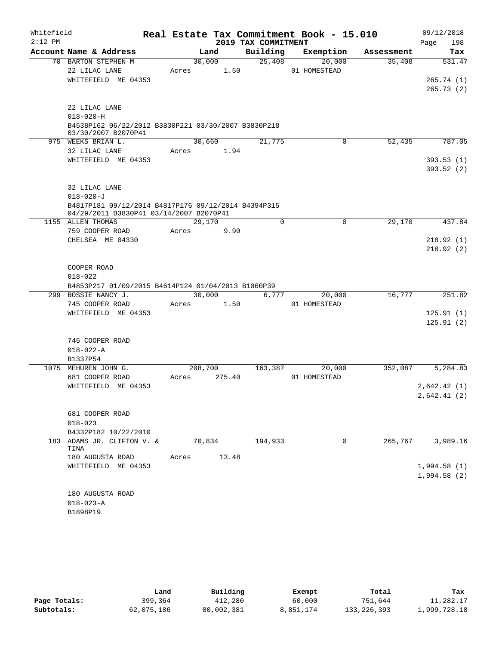| Whitefield |                                                                            |         |        |                     | Real Estate Tax Commitment Book - 15.010 |            | 09/12/2018             |
|------------|----------------------------------------------------------------------------|---------|--------|---------------------|------------------------------------------|------------|------------------------|
| $2:12$ PM  |                                                                            |         |        | 2019 TAX COMMITMENT |                                          |            | 198<br>Page            |
|            | Account Name & Address                                                     | Land    |        | Building            | Exemption                                | Assessment | Tax                    |
|            | 70 BARTON STEPHEN M                                                        | 30,000  |        | 25,408              | 20,000                                   | 35,408     | 531.47                 |
|            | 22 LILAC LANE<br>WHITEFIELD ME 04353                                       | Acres   | 1.50   |                     | 01 HOMESTEAD                             |            |                        |
|            |                                                                            |         |        |                     |                                          |            | 265.74(1)<br>265.73(2) |
|            |                                                                            |         |        |                     |                                          |            |                        |
|            | 22 LILAC LANE                                                              |         |        |                     |                                          |            |                        |
|            | $018 - 020 - H$                                                            |         |        |                     |                                          |            |                        |
|            | B4538P162 06/22/2012 B3830P221 03/30/2007 B3830P218<br>03/30/2007 B2070P41 |         |        |                     |                                          |            |                        |
|            | 975 WEEKS BRIAN L.                                                         | 30,660  |        | 21,775              | 0                                        | 52,435     | 787.05                 |
|            | 32 LILAC LANE                                                              | Acres   | 1.94   |                     |                                          |            |                        |
|            | WHITEFIELD ME 04353                                                        |         |        |                     |                                          |            | 393.53(1)              |
|            |                                                                            |         |        |                     |                                          |            | 393.52(2)              |
|            | 32 LILAC LANE                                                              |         |        |                     |                                          |            |                        |
|            | $018 - 020 - J$                                                            |         |        |                     |                                          |            |                        |
|            | B4817P181 09/12/2014 B4817P176 09/12/2014 B4394P315                        |         |        |                     |                                          |            |                        |
|            | 04/29/2011 B3830P41 03/14/2007 B2070P41                                    |         |        |                     |                                          |            |                        |
|            | 1155 ALLEN THOMAS                                                          | 29,170  |        | $\mathbf 0$         | $\mathbf 0$                              | 29,170     | 437.84                 |
|            | 759 COOPER ROAD<br>CHELSEA ME 04330                                        | Acres   | 9.90   |                     |                                          |            | 218.92(1)              |
|            |                                                                            |         |        |                     |                                          |            | 218.92(2)              |
|            |                                                                            |         |        |                     |                                          |            |                        |
|            | COOPER ROAD                                                                |         |        |                     |                                          |            |                        |
|            | $018 - 022$                                                                |         |        |                     |                                          |            |                        |
|            | B4853P217 01/09/2015 B4614P124 01/04/2013 B1060P39                         |         |        |                     |                                          |            |                        |
|            | 299 BOSSIE NANCY J.                                                        | 30,000  |        | 6,777               | 20,000                                   | 16,777     | 251.82                 |
|            | 745 COOPER ROAD                                                            | Acres   | 1.50   |                     | 01 HOMESTEAD                             |            |                        |
|            | WHITEFIELD ME 04353                                                        |         |        |                     |                                          |            | 125.91(1)<br>125.91(2) |
|            |                                                                            |         |        |                     |                                          |            |                        |
|            | 745 COOPER ROAD                                                            |         |        |                     |                                          |            |                        |
|            | $018 - 022 - A$                                                            |         |        |                     |                                          |            |                        |
|            | B1337P54                                                                   |         |        |                     |                                          |            |                        |
|            | 1075 MEHUREN JOHN G.                                                       | 208,700 |        | 163,387             | 20,000                                   | 352,087    | 5,284.83               |
|            | 681 COOPER ROAD                                                            | Acres   | 275.40 |                     | 01 HOMESTEAD                             |            |                        |
|            | WHITEFIELD ME 04353                                                        |         |        |                     |                                          |            | 2,642.42(1)            |
|            |                                                                            |         |        |                     |                                          |            | 2,642.41(2)            |
|            | 681 COOPER ROAD                                                            |         |        |                     |                                          |            |                        |
|            | $018 - 023$                                                                |         |        |                     |                                          |            |                        |
|            | B4332P182 10/22/2010                                                       |         |        |                     |                                          |            |                        |
|            | 183 ADAMS JR. CLIFTON V. &<br>TINA                                         | 70,834  |        | 194,933             | 0                                        | 265,767    | 3,989.16               |
|            | 180 AUGUSTA ROAD                                                           | Acres   | 13.48  |                     |                                          |            |                        |
|            | WHITEFIELD ME 04353                                                        |         |        |                     |                                          |            | 1,994.58(1)            |
|            |                                                                            |         |        |                     |                                          |            | 1,994.58(2)            |
|            |                                                                            |         |        |                     |                                          |            |                        |
|            | 180 AUGUSTA ROAD<br>$018 - 023 - A$                                        |         |        |                     |                                          |            |                        |
|            | B1898P19                                                                   |         |        |                     |                                          |            |                        |
|            |                                                                            |         |        |                     |                                          |            |                        |

|              | Land       | Building   | Exempt    | Total         | Tax          |
|--------------|------------|------------|-----------|---------------|--------------|
| Page Totals: | 399,364    | 412,280    | 60,000    | 751,644       | 11,282.17    |
| Subtotals:   | 62,075,186 | 80,002,381 | 8,851,174 | 133, 226, 393 | 1,999,728.18 |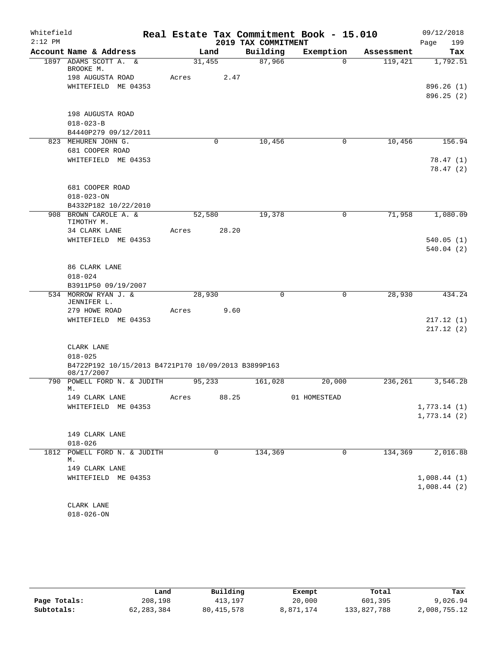| Whitefield |                                                     |       |             |                     | Real Estate Tax Commitment Book - 15.010 |            | 09/12/2018  |
|------------|-----------------------------------------------------|-------|-------------|---------------------|------------------------------------------|------------|-------------|
| $2:12$ PM  |                                                     |       |             | 2019 TAX COMMITMENT |                                          |            | 199<br>Page |
|            | Account Name & Address                              |       | Land        | Building            | Exemption                                | Assessment | Tax         |
|            | 1897 ADAMS SCOTT A. &<br>BROOKE M.                  |       | 31,455      | 87,966              | $\Omega$                                 | 119,421    | 1,792.51    |
|            | 198 AUGUSTA ROAD                                    | Acres | 2.47        |                     |                                          |            |             |
|            | WHITEFIELD ME 04353                                 |       |             |                     |                                          |            | 896.26(1)   |
|            |                                                     |       |             |                     |                                          |            | 896.25 (2)  |
|            |                                                     |       |             |                     |                                          |            |             |
|            | 198 AUGUSTA ROAD                                    |       |             |                     |                                          |            |             |
|            | $018 - 023 - B$                                     |       |             |                     |                                          |            |             |
|            | B4440P279 09/12/2011                                |       |             |                     |                                          |            |             |
|            | 823 MEHUREN JOHN G.                                 |       | $\mathbf 0$ | 10,456              | 0                                        | 10,456     | 156.94      |
|            | 681 COOPER ROAD                                     |       |             |                     |                                          |            |             |
|            | WHITEFIELD ME 04353                                 |       |             |                     |                                          |            | 78.47(1)    |
|            |                                                     |       |             |                     |                                          |            | 78.47(2)    |
|            |                                                     |       |             |                     |                                          |            |             |
|            | 681 COOPER ROAD                                     |       |             |                     |                                          |            |             |
|            | $018 - 023 - ON$                                    |       |             |                     |                                          |            |             |
|            | B4332P182 10/22/2010                                |       |             |                     |                                          |            |             |
|            | 908 BROWN CAROLE A. &                               |       | 52,580      | 19,378              | $\mathbf 0$                              | 71,958     | 1,080.09    |
|            | TIMOTHY M.                                          |       |             |                     |                                          |            |             |
|            | 34 CLARK LANE                                       | Acres | 28.20       |                     |                                          |            |             |
|            | WHITEFIELD ME 04353                                 |       |             |                     |                                          |            | 540.05(1)   |
|            |                                                     |       |             |                     |                                          |            | 540.04(2)   |
|            |                                                     |       |             |                     |                                          |            |             |
|            | 86 CLARK LANE<br>$018 - 024$                        |       |             |                     |                                          |            |             |
|            | B3911P50 09/19/2007                                 |       |             |                     |                                          |            |             |
|            | 534 MORROW RYAN J. &                                |       | 28,930      | $\mathbf 0$         | $\mathbf 0$                              | 28,930     | 434.24      |
|            | JENNIFER L.                                         |       |             |                     |                                          |            |             |
|            | 279 HOWE ROAD                                       | Acres | 9.60        |                     |                                          |            |             |
|            | WHITEFIELD ME 04353                                 |       |             |                     |                                          |            | 217.12(1)   |
|            |                                                     |       |             |                     |                                          |            | 217.12(2)   |
|            |                                                     |       |             |                     |                                          |            |             |
|            | CLARK LANE                                          |       |             |                     |                                          |            |             |
|            | $018 - 025$                                         |       |             |                     |                                          |            |             |
|            | B4722P192 10/15/2013 B4721P170 10/09/2013 B3899P163 |       |             |                     |                                          |            |             |
|            | 08/17/2007                                          |       |             |                     |                                          |            |             |
|            | 790 POWELL FORD N. & JUDITH<br>М.                   |       | 95,233      | 161,028             | 20,000                                   | 236,261    | 3,546.28    |
|            | 149 CLARK LANE                                      | Acres | 88.25       |                     | 01 HOMESTEAD                             |            |             |
|            | WHITEFIELD ME 04353                                 |       |             |                     |                                          |            | 1,773.14(1) |
|            |                                                     |       |             |                     |                                          |            | 1,773.14(2) |
|            |                                                     |       |             |                     |                                          |            |             |
|            | 149 CLARK LANE                                      |       |             |                     |                                          |            |             |
|            | $018 - 026$                                         |       |             |                     |                                          |            |             |
|            | 1812 POWELL FORD N. & JUDITH                        |       | 0           | 134,369             | 0                                        | 134,369    | 2,016.88    |
|            | М.                                                  |       |             |                     |                                          |            |             |
|            | 149 CLARK LANE                                      |       |             |                     |                                          |            |             |
|            | WHITEFIELD ME 04353                                 |       |             |                     |                                          |            | 1,008.44(1) |
|            |                                                     |       |             |                     |                                          |            | 1,008.44(2) |
|            |                                                     |       |             |                     |                                          |            |             |
|            | CLARK LANE                                          |       |             |                     |                                          |            |             |

018-026-ON

|              | Land         | Building   | Exempt    | Total       | Tax          |
|--------------|--------------|------------|-----------|-------------|--------------|
| Page Totals: | 208,198      | 413,197    | 20,000    | 601,395     | 9,026.94     |
| Subtotals:   | 62, 283, 384 | 80,415,578 | 8,871,174 | 133,827,788 | 2,008,755.12 |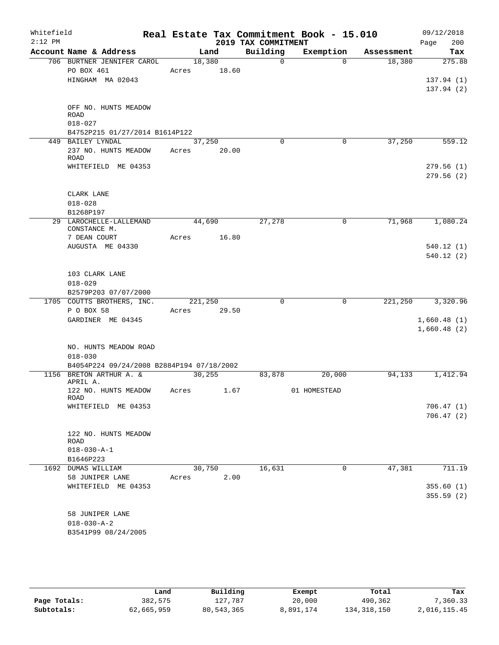| Whitefield<br>$2:12$ PM |                                               |         |        |                                 | Real Estate Tax Commitment Book - 15.010 |            | 09/12/2018             |
|-------------------------|-----------------------------------------------|---------|--------|---------------------------------|------------------------------------------|------------|------------------------|
|                         | Account Name & Address                        |         | Land   | 2019 TAX COMMITMENT<br>Building | Exemption                                | Assessment | 200<br>Page<br>Tax     |
|                         | 706 BURTNER JENNIFER CAROL                    |         | 18,380 | $\Omega$                        | $\Omega$                                 | 18,380     | 275.88                 |
|                         | PO BOX 461                                    | Acres   | 18.60  |                                 |                                          |            |                        |
|                         | HINGHAM MA 02043                              |         |        |                                 |                                          |            | 137.94(1)              |
|                         |                                               |         |        |                                 |                                          |            | 137.94(2)              |
|                         |                                               |         |        |                                 |                                          |            |                        |
|                         | OFF NO. HUNTS MEADOW                          |         |        |                                 |                                          |            |                        |
|                         | ROAD                                          |         |        |                                 |                                          |            |                        |
|                         | $018 - 027$<br>B4752P215 01/27/2014 B1614P122 |         |        |                                 |                                          |            |                        |
|                         | 449 BAILEY LYNDAL                             |         | 37,250 | $\Omega$                        | 0                                        | 37,250     | 559.12                 |
|                         | 237 NO. HUNTS MEADOW Acres                    |         | 20.00  |                                 |                                          |            |                        |
|                         | ROAD                                          |         |        |                                 |                                          |            |                        |
|                         | WHITEFIELD ME 04353                           |         |        |                                 |                                          |            | 279.56(1)              |
|                         |                                               |         |        |                                 |                                          |            | 279.56(2)              |
|                         |                                               |         |        |                                 |                                          |            |                        |
|                         | CLARK LANE                                    |         |        |                                 |                                          |            |                        |
|                         | $018 - 028$                                   |         |        |                                 |                                          |            |                        |
|                         | B1268P197                                     |         |        |                                 |                                          |            |                        |
|                         | 29 LAROCHELLE-LALLEMAND<br>CONSTANCE M.       |         | 44,690 | 27,278                          | 0                                        | 71,968     | 1,080.24               |
|                         | 7 DEAN COURT                                  | Acres   | 16.80  |                                 |                                          |            |                        |
|                         | AUGUSTA ME 04330                              |         |        |                                 |                                          |            | 540.12(1)              |
|                         |                                               |         |        |                                 |                                          |            | 540.12(2)              |
|                         |                                               |         |        |                                 |                                          |            |                        |
|                         | 103 CLARK LANE                                |         |        |                                 |                                          |            |                        |
|                         | $018 - 029$                                   |         |        |                                 |                                          |            |                        |
|                         | B2579P203 07/07/2000                          |         |        |                                 |                                          |            |                        |
|                         | 1705 COUTTS BROTHERS, INC.                    | 221,250 |        | $\mathbf 0$                     | $\mathbf 0$                              | 221,250    | 3,320.96               |
|                         | P O BOX 58                                    | Acres   | 29.50  |                                 |                                          |            |                        |
|                         | GARDINER ME 04345                             |         |        |                                 |                                          |            | 1,660.48(1)            |
|                         |                                               |         |        |                                 |                                          |            | 1,660.48(2)            |
|                         | NO. HUNTS MEADOW ROAD                         |         |        |                                 |                                          |            |                        |
|                         | $018 - 030$                                   |         |        |                                 |                                          |            |                        |
|                         | B4054P224 09/24/2008 B2884P194 07/18/2002     |         |        |                                 |                                          |            |                        |
|                         | 1156 BRETON ARTHUR A. &                       | 30, 255 |        | 83,878                          | 20,000                                   | 94,133     | 1,412.94               |
|                         | APRIL A.                                      |         |        |                                 |                                          |            |                        |
|                         | 122 NO. HUNTS MEADOW                          | Acres   | 1.67   |                                 | 01 HOMESTEAD                             |            |                        |
|                         | ROAD<br>WHITEFIELD ME 04353                   |         |        |                                 |                                          |            | 706.47(1)              |
|                         |                                               |         |        |                                 |                                          |            | 706.47(2)              |
|                         |                                               |         |        |                                 |                                          |            |                        |
|                         | 122 NO. HUNTS MEADOW                          |         |        |                                 |                                          |            |                        |
|                         | ROAD                                          |         |        |                                 |                                          |            |                        |
|                         | $018 - 030 - A - 1$                           |         |        |                                 |                                          |            |                        |
|                         | B1646P223                                     |         |        |                                 |                                          |            |                        |
|                         | 1692 DUMAS WILLIAM                            |         | 30,750 | 16,631                          | $\mathbf 0$                              | 47,381     | 711.19                 |
|                         | 58 JUNIPER LANE                               | Acres   | 2.00   |                                 |                                          |            |                        |
|                         | WHITEFIELD ME 04353                           |         |        |                                 |                                          |            | 355.60(1)<br>355.59(2) |
|                         |                                               |         |        |                                 |                                          |            |                        |
|                         | 58 JUNIPER LANE                               |         |        |                                 |                                          |            |                        |
|                         | $018 - 030 - A - 2$                           |         |        |                                 |                                          |            |                        |
|                         | B3541P99 08/24/2005                           |         |        |                                 |                                          |            |                        |
|                         |                                               |         |        |                                 |                                          |            |                        |

|              | Land       | Building   | Exempt    | Total       | Tax          |
|--------------|------------|------------|-----------|-------------|--------------|
| Page Totals: | 382,575    | 127.787    | 20,000    | 490,362     | 7,360.33     |
| Subtotals:   | 62,665,959 | 80,543,365 | 8,891,174 | 134,318,150 | 2,016,115.45 |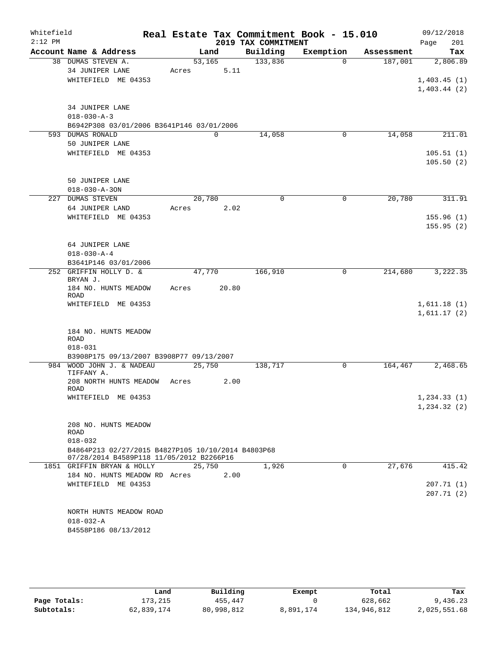| Whitefield<br>$2:12$ PM |                                                                                                               | Real Estate Tax Commitment Book - 15.010 | 2019 TAX COMMITMENT |           |            | 09/12/2018<br>201<br>Page  |
|-------------------------|---------------------------------------------------------------------------------------------------------------|------------------------------------------|---------------------|-----------|------------|----------------------------|
|                         | Account Name & Address                                                                                        | Land                                     | Building            | Exemption | Assessment | Tax                        |
|                         | 38 DUMAS STEVEN A.<br>34 JUNIPER LANE                                                                         | 53,165<br>5.11<br>Acres                  | 133,836             | $\Omega$  | 187,001    | 2,806.89                   |
|                         | WHITEFIELD ME 04353                                                                                           |                                          |                     |           |            | 1,403.45(1)<br>1,403.44(2) |
|                         | 34 JUNIPER LANE<br>$018 - 030 - A - 3$<br>B6942P308 03/01/2006 B3641P146 03/01/2006                           |                                          |                     |           |            |                            |
| 593                     | <b>DUMAS RONALD</b>                                                                                           | $\mathbf 0$                              | 14,058              | 0         | 14,058     | 211.01                     |
|                         | 50 JUNIPER LANE                                                                                               |                                          |                     |           |            |                            |
|                         | WHITEFIELD ME 04353                                                                                           |                                          |                     |           |            | 105.51(1)<br>105.50(2)     |
|                         | 50 JUNIPER LANE<br>$018 - 030 - A - 30N$                                                                      |                                          |                     |           |            |                            |
|                         | 227 DUMAS STEVEN                                                                                              | 20,780                                   | $\Omega$            | 0         | 20,780     | 311.91                     |
|                         | 64 JUNIPER LAND                                                                                               | 2.02<br>Acres                            |                     |           |            |                            |
|                         | WHITEFIELD ME 04353                                                                                           |                                          |                     |           |            | 155.96(1)<br>155.95(2)     |
|                         | 64 JUNIPER LANE                                                                                               |                                          |                     |           |            |                            |
|                         | $018 - 030 - A - 4$                                                                                           |                                          |                     |           |            |                            |
|                         | B3641P146 03/01/2006<br>252 GRIFFIN HOLLY D. &                                                                | 47,770                                   | 166,910             | 0         | 214,680    | 3,222.35                   |
|                         | BRYAN J.<br>184 NO. HUNTS MEADOW                                                                              | 20.80<br>Acres                           |                     |           |            |                            |
|                         | <b>ROAD</b><br>WHITEFIELD ME 04353                                                                            |                                          |                     |           |            | 1,611.18(1)<br>1,611.17(2) |
|                         | 184 NO. HUNTS MEADOW<br>ROAD<br>$018 - 031$                                                                   |                                          |                     |           |            |                            |
|                         | B3908P175 09/13/2007 B3908P77 09/13/2007                                                                      |                                          |                     |           |            |                            |
|                         | 984 WOOD JOHN J. & NADEAU<br>TIFFANY A.                                                                       | 25,750                                   | 138,717             | 0         | 164,467    | 2,468.65                   |
|                         | 208 NORTH HUNTS MEADOW<br><b>ROAD</b>                                                                         | 2.00<br>Acres                            |                     |           |            |                            |
|                         | WHITEFIELD ME 04353                                                                                           |                                          |                     |           |            | 1, 234.33(1)               |
|                         |                                                                                                               |                                          |                     |           |            | 1,234.32(2)                |
|                         | 208 NO. HUNTS MEADOW<br>ROAD                                                                                  |                                          |                     |           |            |                            |
|                         | $018 - 032$<br>B4864P213 02/27/2015 B4827P105 10/10/2014 B4803P68<br>07/28/2014 B4589P118 11/05/2012 B2266P16 |                                          |                     |           |            |                            |
|                         | 1851 GRIFFIN BRYAN & HOLLY                                                                                    | 25,750                                   | 1,926               | 0         | 27,676     | 415.42                     |
|                         | 184 NO. HUNTS MEADOW RD Acres                                                                                 | 2.00                                     |                     |           |            |                            |
|                         | WHITEFIELD ME 04353                                                                                           |                                          |                     |           |            | 207.71 (1)<br>207.71(2)    |
|                         | NORTH HUNTS MEADOW ROAD<br>$018 - 032 - A$                                                                    |                                          |                     |           |            |                            |
|                         | B4558P186 08/13/2012                                                                                          |                                          |                     |           |            |                            |

|              | Land       | Building   | Exempt    | Total       | Tax          |
|--------------|------------|------------|-----------|-------------|--------------|
| Page Totals: | 173.215    | 455,447    |           | 628,662     | 9,436.23     |
| Subtotals:   | 62,839,174 | 80,998,812 | 8,891,174 | 134,946,812 | 2,025,551.68 |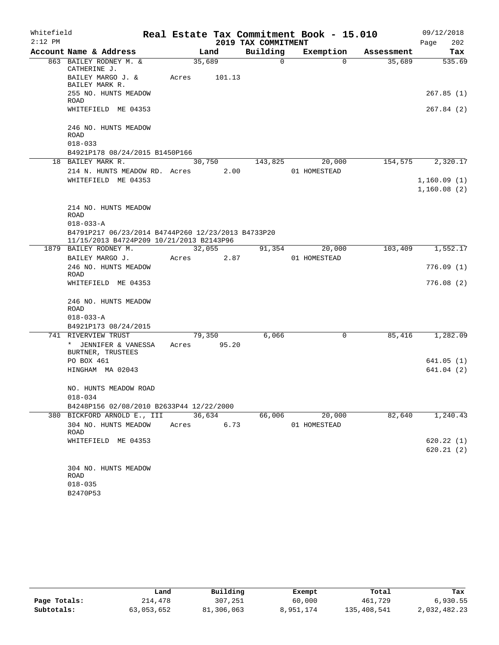| Whitefield |                                                                       |                       |        |                     | Real Estate Tax Commitment Book - 15.010 |            | 09/12/2018  |
|------------|-----------------------------------------------------------------------|-----------------------|--------|---------------------|------------------------------------------|------------|-------------|
| $2:12$ PM  |                                                                       |                       |        | 2019 TAX COMMITMENT |                                          |            | Page<br>202 |
|            | Account Name & Address                                                |                       | Land   | Building            | Exemption                                | Assessment | Tax         |
|            | 863 BAILEY RODNEY M. &<br>CATHERINE J.                                | 35,689                |        | $\Omega$            | $\Omega$                                 | 35,689     | 535.69      |
|            | BAILEY MARGO J. &<br>BAILEY MARK R.                                   | Acres                 | 101.13 |                     |                                          |            |             |
|            | 255 NO. HUNTS MEADOW<br><b>ROAD</b>                                   |                       |        |                     |                                          |            | 267.85(1)   |
|            | WHITEFIELD ME 04353                                                   |                       |        |                     |                                          |            | 267.84 (2)  |
|            | 246 NO. HUNTS MEADOW<br>ROAD                                          |                       |        |                     |                                          |            |             |
|            | $018 - 033$                                                           |                       |        |                     |                                          |            |             |
|            | B4921P178 08/24/2015 B1450P166                                        |                       |        |                     |                                          |            |             |
|            | 18 BAILEY MARK R.                                                     | 30,750                |        | 143,825             | 20,000                                   | 154,575    | 2,320.17    |
|            | 214 N. HUNTS MEADOW RD. Acres                                         |                       | 2.00   |                     | 01 HOMESTEAD                             |            |             |
|            | WHITEFIELD ME 04353                                                   |                       |        |                     |                                          |            | 1,160.09(1) |
|            |                                                                       |                       |        |                     |                                          |            | 1,160.08(2) |
|            | 214 NO. HUNTS MEADOW                                                  |                       |        |                     |                                          |            |             |
|            | ROAD                                                                  |                       |        |                     |                                          |            |             |
|            | $018 - 033 - A$<br>B4791P217 06/23/2014 B4744P260 12/23/2013 B4733P20 |                       |        |                     |                                          |            |             |
|            | 11/15/2013 B4724P209 10/21/2013 B2143P96                              |                       |        |                     |                                          |            |             |
|            | 1879 BAILEY RODNEY M.                                                 | 32,055                |        | 91,354              | 20,000                                   | 103,409    | 1,552.17    |
|            | BAILEY MARGO J.                                                       | Acres                 | 2.87   |                     | 01 HOMESTEAD                             |            |             |
|            | 246 NO. HUNTS MEADOW<br>ROAD                                          |                       |        |                     |                                          |            | 776.09(1)   |
|            | WHITEFIELD ME 04353                                                   |                       |        |                     |                                          |            | 776.08(2)   |
|            | 246 NO. HUNTS MEADOW<br>ROAD                                          |                       |        |                     |                                          |            |             |
|            | $018 - 033 - A$                                                       |                       |        |                     |                                          |            |             |
|            | B4921P173 08/24/2015                                                  |                       |        |                     |                                          |            |             |
|            | 741 RIVERVIEW TRUST<br>* JENNIFER & VANESSA<br>BURTNER, TRUSTEES      | 79,350<br>Acres 95.20 |        | 6,066               | 0                                        | 85,416     | 1,282.09    |
|            | PO BOX 461                                                            |                       |        |                     |                                          |            | 641.05(1)   |
|            | HINGHAM MA 02043                                                      |                       |        |                     |                                          |            | 641.04 (2)  |
|            | NO. HUNTS MEADOW ROAD                                                 |                       |        |                     |                                          |            |             |
|            | $018 - 034$                                                           |                       |        |                     |                                          |            |             |
|            | B4248P156 02/08/2010 B2633P44 12/22/2000                              |                       |        |                     |                                          |            |             |
|            | 380 BICKFORD ARNOLD E., III                                           | 36,634                |        | 66,006              | 20,000                                   | 82,640     | 1,240.43    |
|            | 304 NO. HUNTS MEADOW<br>ROAD                                          | Acres                 | 6.73   |                     | 01 HOMESTEAD                             |            |             |
|            | WHITEFIELD ME 04353                                                   |                       |        |                     |                                          |            | 620.22(1)   |
|            |                                                                       |                       |        |                     |                                          |            | 620.21(2)   |
|            | 304 NO. HUNTS MEADOW<br>ROAD                                          |                       |        |                     |                                          |            |             |
|            | $018 - 035$                                                           |                       |        |                     |                                          |            |             |
|            | B2470P53                                                              |                       |        |                     |                                          |            |             |

|              | Land       | Building   | Exempt    | Total       | Tax          |
|--------------|------------|------------|-----------|-------------|--------------|
| Page Totals: | 214,478    | 307,251    | 60,000    | 461,729     | 6,930.55     |
| Subtotals:   | 63,053,652 | 81,306,063 | 8,951,174 | 135,408,541 | 2,032,482.23 |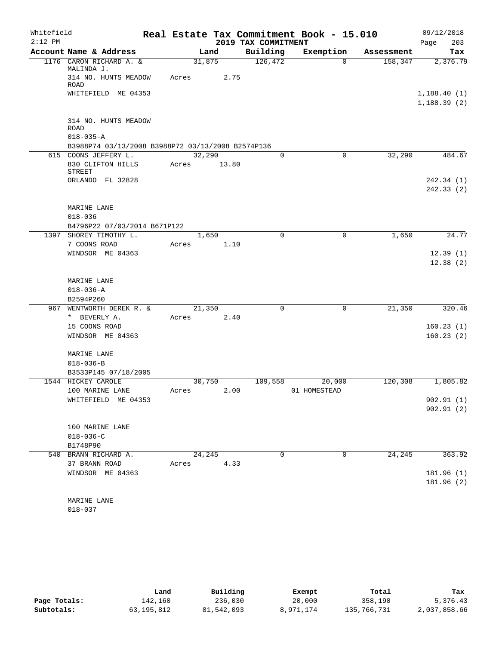| Whitefield<br>$2:12$ PM |                                                                      |        |       | 2019 TAX COMMITMENT | Real Estate Tax Commitment Book - 15.010 |            | 09/12/2018         |
|-------------------------|----------------------------------------------------------------------|--------|-------|---------------------|------------------------------------------|------------|--------------------|
|                         | Account Name & Address                                               | Land   |       | Building            | Exemption                                | Assessment | 203<br>Page<br>Tax |
|                         | 1176 CARON RICHARD A. &                                              | 31,875 |       | 126,472             | $\Omega$                                 | 158,347    | 2,376.79           |
|                         | MALINDA J.                                                           |        |       |                     |                                          |            |                    |
|                         | 314 NO. HUNTS MEADOW<br><b>ROAD</b>                                  | Acres  | 2.75  |                     |                                          |            |                    |
|                         | WHITEFIELD ME 04353                                                  |        |       |                     |                                          |            | 1,188.40(1)        |
|                         |                                                                      |        |       |                     |                                          |            | 1,188.39(2)        |
|                         | 314 NO. HUNTS MEADOW                                                 |        |       |                     |                                          |            |                    |
|                         | <b>ROAD</b>                                                          |        |       |                     |                                          |            |                    |
|                         | $018 - 035 - A$<br>B3988P74 03/13/2008 B3988P72 03/13/2008 B2574P136 |        |       |                     |                                          |            |                    |
|                         | 615 COONS JEFFERY L.                                                 | 32,290 |       | $\Omega$            | 0                                        | 32,290     | 484.67             |
|                         | 830 CLIFTON HILLS                                                    | Acres  | 13.80 |                     |                                          |            |                    |
|                         | <b>STREET</b>                                                        |        |       |                     |                                          |            |                    |
|                         | ORLANDO FL 32828                                                     |        |       |                     |                                          |            | 242.34 (1)         |
|                         |                                                                      |        |       |                     |                                          |            | 242.33 (2)         |
|                         |                                                                      |        |       |                     |                                          |            |                    |
|                         | MARINE LANE                                                          |        |       |                     |                                          |            |                    |
|                         | $018 - 036$                                                          |        |       |                     |                                          |            |                    |
|                         | B4796P22 07/03/2014 B671P122                                         |        |       |                     |                                          |            |                    |
|                         | 1397 SHOREY TIMOTHY L.                                               | 1,650  |       | $\mathbf 0$         | 0                                        | 1,650      | 24.77              |
|                         | 7 COONS ROAD                                                         | Acres  | 1.10  |                     |                                          |            |                    |
|                         | WINDSOR ME 04363                                                     |        |       |                     |                                          |            | 12.39(1)           |
|                         |                                                                      |        |       |                     |                                          |            | 12.38(2)           |
|                         | MARINE LANE                                                          |        |       |                     |                                          |            |                    |
|                         | $018 - 036 - A$                                                      |        |       |                     |                                          |            |                    |
|                         | B2594P260                                                            |        |       |                     |                                          |            |                    |
|                         | 967 WENTWORTH DEREK R. &                                             | 21,350 |       | $\mathbf 0$         | $\mathbf 0$                              | 21,350     | 320.46             |
|                         | * BEVERLY A.                                                         | Acres  | 2.40  |                     |                                          |            |                    |
|                         | 15 COONS ROAD                                                        |        |       |                     |                                          |            | 160.23(1)          |
|                         | WINDSOR ME 04363                                                     |        |       |                     |                                          |            | 160.23(2)          |
|                         |                                                                      |        |       |                     |                                          |            |                    |
|                         | MARINE LANE                                                          |        |       |                     |                                          |            |                    |
|                         | $018 - 036 - B$                                                      |        |       |                     |                                          |            |                    |
|                         | B3533P145 07/18/2005                                                 |        |       |                     |                                          |            |                    |
|                         | 1544 HICKEY CAROLE                                                   | 30,750 |       | 109,558             | 20,000                                   | 120,308    | 1,805.82           |
|                         | 100 MARINE LANE                                                      | Acres  | 2.00  |                     | 01 HOMESTEAD                             |            |                    |
|                         | WHITEFIELD ME 04353                                                  |        |       |                     |                                          |            | 902.91(1)          |
|                         |                                                                      |        |       |                     |                                          |            | 902.91(2)          |
|                         |                                                                      |        |       |                     |                                          |            |                    |
|                         | 100 MARINE LANE                                                      |        |       |                     |                                          |            |                    |
|                         | $018 - 036 - C$<br>B1748P90                                          |        |       |                     |                                          |            |                    |
|                         | 540 BRANN RICHARD A.                                                 | 24,245 |       | 0                   | 0                                        | 24,245     | 363.92             |
|                         | 37 BRANN ROAD                                                        | Acres  | 4.33  |                     |                                          |            |                    |
|                         | WINDSOR ME 04363                                                     |        |       |                     |                                          |            | 181.96 (1)         |
|                         |                                                                      |        |       |                     |                                          |            | 181.96 (2)         |
|                         |                                                                      |        |       |                     |                                          |            |                    |
|                         | MARINE LANE                                                          |        |       |                     |                                          |            |                    |
|                         | $018 - 037$                                                          |        |       |                     |                                          |            |                    |

|              | Land       | Building   | Exempt    | Total       | Tax          |
|--------------|------------|------------|-----------|-------------|--------------|
| Page Totals: | 142,160    | 236,030    | 20,000    | 358,190     | 5,376.43     |
| Subtotals:   | 63,195,812 | 81,542,093 | 8,971,174 | 135,766,731 | 2,037,858.66 |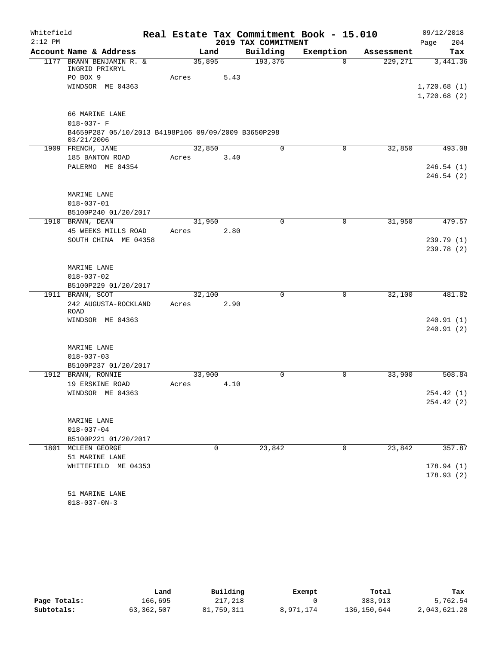| Real Estate Tax Commitment Book - 15.010<br>$2:12$ PM<br>2019 TAX COMMITMENT<br>204<br>Page<br>Account Name & Address<br>Building<br>Exemption<br>Land<br>Tax<br>Assessment<br>193,376<br>1177 BRANN BENJAMIN R. &<br>35,895<br>229,271<br>$\Omega$<br>3,441.36<br>INGRID PRIKRYL<br>PO BOX 9<br>5.43<br>Acres<br>WINDSOR ME 04363<br>1,720.68(1)<br>1,720.68(2)<br>66 MARINE LANE<br>$018 - 037 - F$<br>B4659P287 05/10/2013 B4198P106 09/09/2009 B3650P298<br>03/21/2006<br>32,850<br>0<br>32,850<br>493.08<br>1909 FRENCH, JANE<br>0<br>185 BANTON ROAD<br>3.40<br>Acres<br>PALERMO ME 04354<br>246.54(1)<br>246.54(2)<br>MARINE LANE<br>$018 - 037 - 01$<br>B5100P240 01/20/2017<br>1910 BRANN, DEAN<br>31,950<br>$\mathbf 0$<br>31,950<br>479.57<br>0<br>45 WEEKS MILLS ROAD<br>2.80<br>Acres<br>SOUTH CHINA ME 04358<br>239.79(1)<br>239.78(2) |
|------------------------------------------------------------------------------------------------------------------------------------------------------------------------------------------------------------------------------------------------------------------------------------------------------------------------------------------------------------------------------------------------------------------------------------------------------------------------------------------------------------------------------------------------------------------------------------------------------------------------------------------------------------------------------------------------------------------------------------------------------------------------------------------------------------------------------------------------------|
|                                                                                                                                                                                                                                                                                                                                                                                                                                                                                                                                                                                                                                                                                                                                                                                                                                                      |
|                                                                                                                                                                                                                                                                                                                                                                                                                                                                                                                                                                                                                                                                                                                                                                                                                                                      |
|                                                                                                                                                                                                                                                                                                                                                                                                                                                                                                                                                                                                                                                                                                                                                                                                                                                      |
|                                                                                                                                                                                                                                                                                                                                                                                                                                                                                                                                                                                                                                                                                                                                                                                                                                                      |
|                                                                                                                                                                                                                                                                                                                                                                                                                                                                                                                                                                                                                                                                                                                                                                                                                                                      |
|                                                                                                                                                                                                                                                                                                                                                                                                                                                                                                                                                                                                                                                                                                                                                                                                                                                      |
|                                                                                                                                                                                                                                                                                                                                                                                                                                                                                                                                                                                                                                                                                                                                                                                                                                                      |
|                                                                                                                                                                                                                                                                                                                                                                                                                                                                                                                                                                                                                                                                                                                                                                                                                                                      |
|                                                                                                                                                                                                                                                                                                                                                                                                                                                                                                                                                                                                                                                                                                                                                                                                                                                      |
|                                                                                                                                                                                                                                                                                                                                                                                                                                                                                                                                                                                                                                                                                                                                                                                                                                                      |
|                                                                                                                                                                                                                                                                                                                                                                                                                                                                                                                                                                                                                                                                                                                                                                                                                                                      |
|                                                                                                                                                                                                                                                                                                                                                                                                                                                                                                                                                                                                                                                                                                                                                                                                                                                      |
|                                                                                                                                                                                                                                                                                                                                                                                                                                                                                                                                                                                                                                                                                                                                                                                                                                                      |
|                                                                                                                                                                                                                                                                                                                                                                                                                                                                                                                                                                                                                                                                                                                                                                                                                                                      |
|                                                                                                                                                                                                                                                                                                                                                                                                                                                                                                                                                                                                                                                                                                                                                                                                                                                      |
|                                                                                                                                                                                                                                                                                                                                                                                                                                                                                                                                                                                                                                                                                                                                                                                                                                                      |
|                                                                                                                                                                                                                                                                                                                                                                                                                                                                                                                                                                                                                                                                                                                                                                                                                                                      |
|                                                                                                                                                                                                                                                                                                                                                                                                                                                                                                                                                                                                                                                                                                                                                                                                                                                      |
|                                                                                                                                                                                                                                                                                                                                                                                                                                                                                                                                                                                                                                                                                                                                                                                                                                                      |
|                                                                                                                                                                                                                                                                                                                                                                                                                                                                                                                                                                                                                                                                                                                                                                                                                                                      |
|                                                                                                                                                                                                                                                                                                                                                                                                                                                                                                                                                                                                                                                                                                                                                                                                                                                      |
|                                                                                                                                                                                                                                                                                                                                                                                                                                                                                                                                                                                                                                                                                                                                                                                                                                                      |
| MARINE LANE                                                                                                                                                                                                                                                                                                                                                                                                                                                                                                                                                                                                                                                                                                                                                                                                                                          |
| $018 - 037 - 02$                                                                                                                                                                                                                                                                                                                                                                                                                                                                                                                                                                                                                                                                                                                                                                                                                                     |
| B5100P229 01/20/2017                                                                                                                                                                                                                                                                                                                                                                                                                                                                                                                                                                                                                                                                                                                                                                                                                                 |
| 1911 BRANN, SCOT<br>$\mathbf 0$<br>32,100<br>481.82<br>32,100<br>0                                                                                                                                                                                                                                                                                                                                                                                                                                                                                                                                                                                                                                                                                                                                                                                   |
| 242 AUGUSTA-ROCKLAND<br>2.90<br>Acres<br>ROAD                                                                                                                                                                                                                                                                                                                                                                                                                                                                                                                                                                                                                                                                                                                                                                                                        |
| WINDSOR ME 04363<br>240.91(1)                                                                                                                                                                                                                                                                                                                                                                                                                                                                                                                                                                                                                                                                                                                                                                                                                        |
| 240.91(2)                                                                                                                                                                                                                                                                                                                                                                                                                                                                                                                                                                                                                                                                                                                                                                                                                                            |
|                                                                                                                                                                                                                                                                                                                                                                                                                                                                                                                                                                                                                                                                                                                                                                                                                                                      |
| MARINE LANE                                                                                                                                                                                                                                                                                                                                                                                                                                                                                                                                                                                                                                                                                                                                                                                                                                          |
| $018 - 037 - 03$                                                                                                                                                                                                                                                                                                                                                                                                                                                                                                                                                                                                                                                                                                                                                                                                                                     |
| B5100P237 01/20/2017<br>1912 BRANN, RONNIE<br>33,900<br>508.84<br>33,900<br>0<br>0                                                                                                                                                                                                                                                                                                                                                                                                                                                                                                                                                                                                                                                                                                                                                                   |
| 19 ERSKINE ROAD<br>4.10<br>Acres                                                                                                                                                                                                                                                                                                                                                                                                                                                                                                                                                                                                                                                                                                                                                                                                                     |
| WINDSOR ME 04363<br>254.42 (1)                                                                                                                                                                                                                                                                                                                                                                                                                                                                                                                                                                                                                                                                                                                                                                                                                       |
| 254.42(2)                                                                                                                                                                                                                                                                                                                                                                                                                                                                                                                                                                                                                                                                                                                                                                                                                                            |
|                                                                                                                                                                                                                                                                                                                                                                                                                                                                                                                                                                                                                                                                                                                                                                                                                                                      |
| MARINE LANE                                                                                                                                                                                                                                                                                                                                                                                                                                                                                                                                                                                                                                                                                                                                                                                                                                          |
| $018 - 037 - 04$                                                                                                                                                                                                                                                                                                                                                                                                                                                                                                                                                                                                                                                                                                                                                                                                                                     |
| B5100P221 01/20/2017                                                                                                                                                                                                                                                                                                                                                                                                                                                                                                                                                                                                                                                                                                                                                                                                                                 |
| 0<br>23,842<br>357.87<br>1801 MCLEEN GEORGE<br>23,842<br>0                                                                                                                                                                                                                                                                                                                                                                                                                                                                                                                                                                                                                                                                                                                                                                                           |
| 51 MARINE LANE                                                                                                                                                                                                                                                                                                                                                                                                                                                                                                                                                                                                                                                                                                                                                                                                                                       |
| 178.94(1)<br>WHITEFIELD ME 04353<br>178.93(2)                                                                                                                                                                                                                                                                                                                                                                                                                                                                                                                                                                                                                                                                                                                                                                                                        |
|                                                                                                                                                                                                                                                                                                                                                                                                                                                                                                                                                                                                                                                                                                                                                                                                                                                      |
| 51 MARINE LANE                                                                                                                                                                                                                                                                                                                                                                                                                                                                                                                                                                                                                                                                                                                                                                                                                                       |

018-037-0N-3

|              | Land       | Building   | Exempt    | Total       | Tax          |
|--------------|------------|------------|-----------|-------------|--------------|
| Page Totals: | 166,695    | 217,218    |           | 383,913     | 5,762.54     |
| Subtotals:   | 63,362,507 | 81,759,311 | 8,971,174 | 136,150,644 | 2,043,621.20 |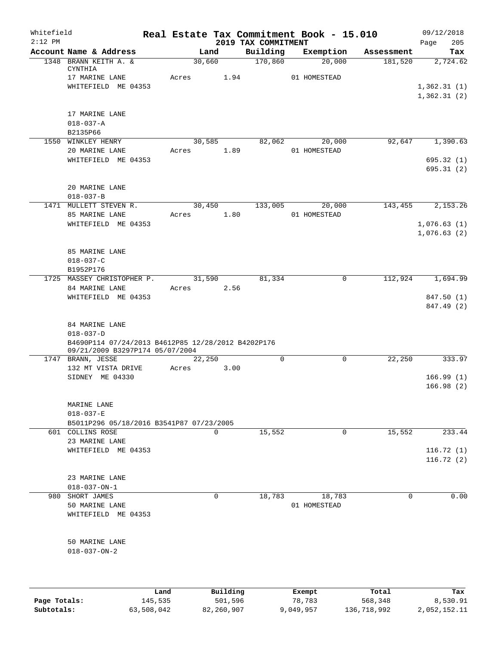| Whitefield<br>$2:12$ PM |                                                                                       |         |        |          | Real Estate Tax Commitment Book - 15.010 |              |             |             | 09/12/2018         |
|-------------------------|---------------------------------------------------------------------------------------|---------|--------|----------|------------------------------------------|--------------|-------------|-------------|--------------------|
|                         | Account Name & Address                                                                |         | Land   |          | 2019 TAX COMMITMENT<br>Building          |              | Exemption   | Assessment  | Page<br>205<br>Tax |
|                         | 1348 BRANN KEITH A. &                                                                 |         | 30,660 |          | 170,860                                  |              | 20,000      | 181,520     | 2,724.62           |
|                         | CYNTHIA<br>17 MARINE LANE                                                             | Acres   |        | 1.94     |                                          | 01 HOMESTEAD |             |             |                    |
|                         | WHITEFIELD ME 04353                                                                   |         |        |          |                                          |              |             |             | 1,362.31(1)        |
|                         |                                                                                       |         |        |          |                                          |              |             |             | 1,362.31(2)        |
|                         | 17 MARINE LANE                                                                        |         |        |          |                                          |              |             |             |                    |
|                         | $018 - 037 - A$                                                                       |         |        |          |                                          |              |             |             |                    |
|                         | B2135P66                                                                              |         |        |          |                                          |              |             |             |                    |
|                         | 1550 WINKLEY HENRY                                                                    |         | 30,585 |          | 82,062                                   |              | 20,000      | 92,647      | 1,390.63           |
|                         | 20 MARINE LANE                                                                        | Acres   |        | 1.89     |                                          | 01 HOMESTEAD |             |             |                    |
|                         | WHITEFIELD ME 04353                                                                   |         |        |          |                                          |              |             |             | 695.32(1)          |
|                         |                                                                                       |         |        |          |                                          |              |             |             | 695.31(2)          |
|                         | 20 MARINE LANE                                                                        |         |        |          |                                          |              |             |             |                    |
|                         | $018 - 037 - B$                                                                       |         |        |          |                                          |              |             |             |                    |
|                         | 1471 MULLETT STEVEN R.                                                                |         | 30,450 |          | 133,005                                  |              | 20,000      | 143,455     | 2,153.26           |
|                         | 85 MARINE LANE                                                                        | Acres   |        | 1.80     |                                          | 01 HOMESTEAD |             |             |                    |
|                         | WHITEFIELD ME 04353                                                                   |         |        |          |                                          |              |             |             | 1,076.63(1)        |
|                         |                                                                                       |         |        |          |                                          |              |             |             | 1,076.63(2)        |
|                         |                                                                                       |         |        |          |                                          |              |             |             |                    |
|                         | 85 MARINE LANE                                                                        |         |        |          |                                          |              |             |             |                    |
|                         | $018 - 037 - C$                                                                       |         |        |          |                                          |              |             |             |                    |
|                         | B1952P176<br>1725 MASSEY CHRISTOPHER P.                                               |         | 31,590 |          | 81,334                                   |              | 0           | 112,924     | 1,694.99           |
|                         | 84 MARINE LANE                                                                        | Acres   |        | 2.56     |                                          |              |             |             |                    |
|                         | WHITEFIELD ME 04353                                                                   |         |        |          |                                          |              |             |             | 847.50 (1)         |
|                         |                                                                                       |         |        |          |                                          |              |             |             | 847.49 (2)         |
|                         |                                                                                       |         |        |          |                                          |              |             |             |                    |
|                         | 84 MARINE LANE                                                                        |         |        |          |                                          |              |             |             |                    |
|                         | $018 - 037 - D$                                                                       |         |        |          |                                          |              |             |             |                    |
|                         | B4690P114 07/24/2013 B4612P85 12/28/2012 B4202P176<br>09/21/2009 B3297P174 05/07/2004 |         |        |          |                                          |              |             |             |                    |
|                         | 1747 BRANN, JESSE                                                                     |         | 22,250 |          | $\mathbf 0$                              |              | $\mathbf 0$ | 22,250      | 333.97             |
|                         | 132 MT VISTA DRIVE                                                                    | Acres   |        | 3.00     |                                          |              |             |             |                    |
|                         | SIDNEY ME 04330                                                                       |         |        |          |                                          |              |             |             | 166.99(1)          |
|                         |                                                                                       |         |        |          |                                          |              |             |             | 166.98(2)          |
|                         | MARINE LANE                                                                           |         |        |          |                                          |              |             |             |                    |
|                         | $018 - 037 - E$                                                                       |         |        |          |                                          |              |             |             |                    |
|                         | B5011P296 05/18/2016 B3541P87 07/23/2005                                              |         |        |          |                                          |              |             |             |                    |
|                         | 601 COLLINS ROSE                                                                      |         | 0      |          | 15,552                                   |              | 0           | 15,552      | 233.44             |
|                         | 23 MARINE LANE                                                                        |         |        |          |                                          |              |             |             |                    |
|                         | WHITEFIELD ME 04353                                                                   |         |        |          |                                          |              |             |             | 116.72(1)          |
|                         |                                                                                       |         |        |          |                                          |              |             |             | 116.72(2)          |
|                         |                                                                                       |         |        |          |                                          |              |             |             |                    |
|                         | 23 MARINE LANE                                                                        |         |        |          |                                          |              |             |             |                    |
|                         | $018 - 037 - ON - 1$                                                                  |         |        |          |                                          |              |             |             |                    |
| 980                     | SHORT JAMES                                                                           |         | 0      |          | 18,783                                   | 01 HOMESTEAD | 18,783      | $\mathbf 0$ | 0.00               |
|                         | 50 MARINE LANE<br>WHITEFIELD ME 04353                                                 |         |        |          |                                          |              |             |             |                    |
|                         |                                                                                       |         |        |          |                                          |              |             |             |                    |
|                         | 50 MARINE LANE                                                                        |         |        |          |                                          |              |             |             |                    |
|                         | $018 - 037 - ON - 2$                                                                  |         |        |          |                                          |              |             |             |                    |
|                         |                                                                                       |         |        |          |                                          |              |             |             |                    |
|                         |                                                                                       |         |        |          |                                          |              |             |             |                    |
|                         |                                                                                       | Land    |        | Building |                                          | Exempt       |             | Total       | Tax                |
| Page Totals:            |                                                                                       | 145,535 |        | 501,596  |                                          | 78,783       |             | 568,348     | 8,530.91           |

**Subtotals:** 63,508,042 82,260,907 9,049,957 136,718,992 2,052,152.11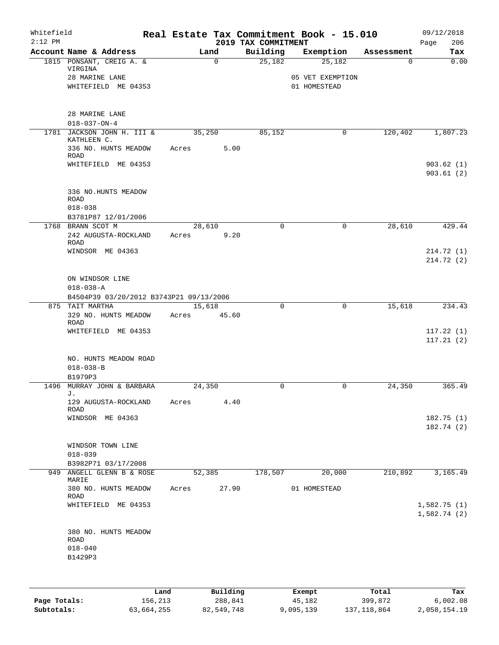| Exemption<br>25,182 | Building    | Land                     | Account Name & Address                                            |                                                       |
|---------------------|-------------|--------------------------|-------------------------------------------------------------------|-------------------------------------------------------|
|                     |             |                          |                                                                   |                                                       |
| 05 VET EXEMPTION    | 25,182      | $\mathsf{O}$             | 1815 PONSANT, CREIG A. &<br>VIRGINA<br>28 MARINE LANE             |                                                       |
| 01 HOMESTEAD        |             |                          | WHITEFIELD ME 04353                                               |                                                       |
|                     |             |                          | 28 MARINE LANE<br>$018 - 037 - ON - 4$                            |                                                       |
| 0                   | 85,152      | 35,250<br>5.00<br>Acres  | 1781 JACKSON JOHN H. III &<br>KATHLEEN C.<br>336 NO. HUNTS MEADOW |                                                       |
|                     |             |                          | ROAD<br>WHITEFIELD ME 04353                                       |                                                       |
|                     |             |                          | 336 NO.HUNTS MEADOW                                               |                                                       |
|                     |             |                          | <b>ROAD</b><br>$018 - 038$                                        |                                                       |
|                     |             |                          | B3781P87 12/01/2006                                               |                                                       |
| $\mathbf 0$         | $\mathbf 0$ | 28,610<br>9.20<br>Acres  | 1768 BRANN SCOT M<br>242 AUGUSTA-ROCKLAND<br><b>ROAD</b>          |                                                       |
|                     |             |                          | WINDSOR ME 04363                                                  |                                                       |
|                     |             |                          | ON WINDSOR LINE<br>$018 - 038 - A$                                |                                                       |
|                     |             |                          | B4504P39 03/20/2012 B3743P21 09/13/2006                           |                                                       |
| $\mathbf 0$         | $\mathbf 0$ | 15,618<br>45.60<br>Acres | 875 TAIT MARTHA<br>329 NO. HUNTS MEADOW<br>ROAD                   |                                                       |
|                     |             |                          | WHITEFIELD ME 04353                                               |                                                       |
|                     |             |                          | NO. HUNTS MEADOW ROAD<br>$018 - 038 - B$                          |                                                       |
|                     |             |                          | B1979P3                                                           |                                                       |
| 0                   | $\mathbf 0$ | 24,350<br>4.40<br>Acres  | 1496 MURRAY JOHN & BARBARA<br>J.<br>129 AUGUSTA-ROCKLAND          |                                                       |
|                     |             |                          | <b>ROAD</b><br>WINDSOR ME 04363                                   |                                                       |
|                     |             |                          |                                                                   |                                                       |
|                     |             |                          | WINDSOR TOWN LINE<br>$018 - 039$                                  |                                                       |
| 20,000              | 178,507     |                          | B3982P71 03/17/2008                                               |                                                       |
| 01 HOMESTEAD        |             | 27.90<br>Acres           | 380 NO. HUNTS MEADOW                                              |                                                       |
|                     |             |                          | WHITEFIELD ME 04353                                               |                                                       |
|                     |             |                          | 380 NO. HUNTS MEADOW<br><b>ROAD</b><br>$018 - 040$                |                                                       |
|                     |             |                          | 52,385                                                            | 949 ANGELL GLENN B & ROSE<br>MARIE<br>ROAD<br>B1429P3 |

|              | Land       | Building   | Exempt    | Total       | Tax          |
|--------------|------------|------------|-----------|-------------|--------------|
| Page Totals: | 156,213    | 288,841    | 45,182    | 399,872     | 6.002.08     |
| Subtotals:   | 63,664,255 | 82,549,748 | 9,095,139 | 137,118,864 | 2,058,154.19 |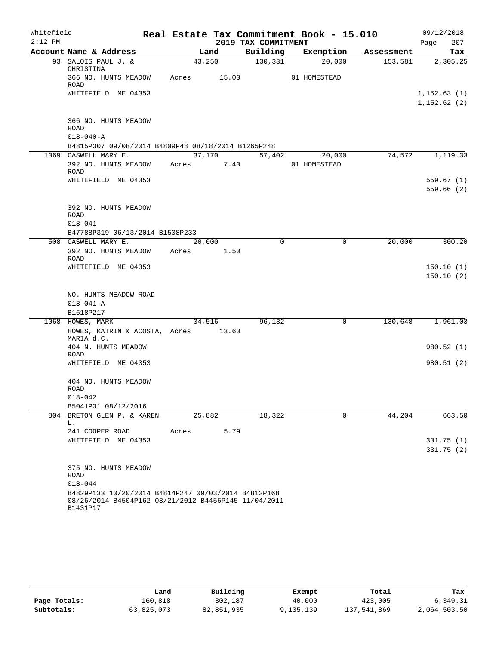| Whitefield |                                                                                                                         |        |        |                     | Real Estate Tax Commitment Book - 15.010 |            | 09/12/2018                  |
|------------|-------------------------------------------------------------------------------------------------------------------------|--------|--------|---------------------|------------------------------------------|------------|-----------------------------|
| $2:12$ PM  |                                                                                                                         |        |        | 2019 TAX COMMITMENT |                                          |            | 207<br>Page                 |
|            | Account Name & Address                                                                                                  |        | Land   | Building            | Exemption                                | Assessment | Tax                         |
|            | 93 SALOIS PAUL J. &<br>CHRISTINA                                                                                        | 43,250 |        | 130, 331            | 20,000                                   | 153,581    | 2,305.25                    |
|            | 366 NO. HUNTS MEADOW<br>ROAD                                                                                            | Acres  | 15.00  |                     | 01 HOMESTEAD                             |            |                             |
|            | WHITEFIELD ME 04353                                                                                                     |        |        |                     |                                          |            | 1,152.63(1)<br>1, 152.62(2) |
|            | 366 NO. HUNTS MEADOW<br>ROAD                                                                                            |        |        |                     |                                          |            |                             |
|            | $018 - 040 - A$                                                                                                         |        |        |                     |                                          |            |                             |
|            | B4815P307 09/08/2014 B4809P48 08/18/2014 B1265P248                                                                      |        |        |                     |                                          |            |                             |
|            | 1369 CASWELL MARY E.                                                                                                    |        | 37,170 | 57,402              | 20,000                                   | 74,572     | 1,119.33                    |
|            | 392 NO. HUNTS MEADOW<br>ROAD                                                                                            | Acres  | 7.40   |                     | 01 HOMESTEAD                             |            |                             |
|            | WHITEFIELD ME 04353                                                                                                     |        |        |                     |                                          |            | 559.67(1)                   |
|            |                                                                                                                         |        |        |                     |                                          |            | 559.66(2)                   |
|            | 392 NO. HUNTS MEADOW<br>ROAD                                                                                            |        |        |                     |                                          |            |                             |
|            | $018 - 041$                                                                                                             |        |        |                     |                                          |            |                             |
|            | B47788P319 06/13/2014 B1508P233<br>508 CASWELL MARY E.                                                                  | 20,000 |        | $\mathbf 0$         | 0                                        | 20,000     | 300.20                      |
|            | 392 NO. HUNTS MEADOW<br>ROAD                                                                                            | Acres  | 1.50   |                     |                                          |            |                             |
|            | WHITEFIELD ME 04353                                                                                                     |        |        |                     |                                          |            | 150.10(1)                   |
|            |                                                                                                                         |        |        |                     |                                          |            | 150.10(2)                   |
|            | NO. HUNTS MEADOW ROAD<br>$018 - 041 - A$                                                                                |        |        |                     |                                          |            |                             |
|            | B1618P217                                                                                                               |        |        |                     |                                          |            |                             |
|            | 1068 HOWES, MARK                                                                                                        | 34,516 |        | 96,132              | 0                                        | 130,648    | 1,961.03                    |
|            | HOWES, KATRIN & ACOSTA, Acres 13.60<br>MARIA d.C.                                                                       |        |        |                     |                                          |            |                             |
|            | 404 N. HUNTS MEADOW<br><b>ROAD</b>                                                                                      |        |        |                     |                                          |            | 980.52(1)                   |
|            | WHITEFIELD ME 04353                                                                                                     |        |        |                     |                                          |            | 980.51(2)                   |
|            | 404 NO. HUNTS MEADOW<br>ROAD                                                                                            |        |        |                     |                                          |            |                             |
|            | $018 - 042$                                                                                                             |        |        |                     |                                          |            |                             |
|            | B5041P31 08/12/2016                                                                                                     |        |        |                     |                                          |            |                             |
|            | 804 BRETON GLEN P. & KAREN<br>L.                                                                                        | 25,882 |        | 18,322              | 0                                        | 44,204     | 663.50                      |
|            | 241 COOPER ROAD                                                                                                         | Acres  | 5.79   |                     |                                          |            |                             |
|            | WHITEFIELD ME 04353                                                                                                     |        |        |                     |                                          |            | 331.75(1)<br>331.75(2)      |
|            | 375 NO. HUNTS MEADOW<br>ROAD<br>$018 - 044$                                                                             |        |        |                     |                                          |            |                             |
|            | B4829P133 10/20/2014 B4814P247 09/03/2014 B4812P168<br>08/26/2014 B4504P162 03/21/2012 B4456P145 11/04/2011<br>B1431P17 |        |        |                     |                                          |            |                             |

|              | Land       | Building   | Exempt   | Total       | Tax          |
|--------------|------------|------------|----------|-------------|--------------|
| Page Totals: | 160,818    | 302,187    | 40,000   | 423,005     | 6,349.31     |
| Subtotals:   | 63,825,073 | 82,851,935 | ,135,139 | 137,541,869 | 2,064,503.50 |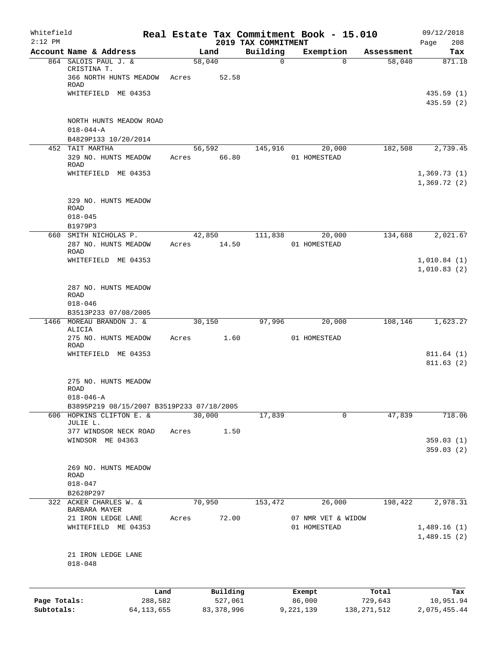| Whitefield<br>$2:12$ PM    |                                                           |       |                         |                                 | Real Estate Tax Commitment Book - 15.010 |                          | 09/12/2018                 |
|----------------------------|-----------------------------------------------------------|-------|-------------------------|---------------------------------|------------------------------------------|--------------------------|----------------------------|
|                            | Account Name & Address                                    |       | Land                    | 2019 TAX COMMITMENT<br>Building | Exemption                                | Assessment               | 208<br>Page<br>Tax         |
|                            | 864 SALOIS PAUL J. &                                      |       | 58,040                  | 0                               | $\Omega$                                 | 58,040                   | 871.18                     |
|                            | CRISTINA T.<br>366 NORTH HUNTS MEADOW<br>ROAD             | Acres | 52.58                   |                                 |                                          |                          |                            |
|                            | WHITEFIELD ME 04353                                       |       |                         |                                 |                                          |                          | 435.59(1)<br>435.59 (2)    |
|                            | NORTH HUNTS MEADOW ROAD<br>$018 - 044 - A$                |       |                         |                                 |                                          |                          |                            |
|                            | B4829P133 10/20/2014                                      |       |                         |                                 |                                          |                          |                            |
|                            | 452 TAIT MARTHA<br>329 NO. HUNTS MEADOW<br><b>ROAD</b>    | Acres | 56,592<br>66.80         | 145,916                         | 20,000<br>01 HOMESTEAD                   | 182,508                  | 2,739.45                   |
|                            | WHITEFIELD ME 04353                                       |       |                         |                                 |                                          |                          | 1,369.73(1)<br>1,369.72(2) |
|                            | 329 NO. HUNTS MEADOW<br><b>ROAD</b><br>$018 - 045$        |       |                         |                                 |                                          |                          |                            |
|                            | B1979P3<br>660 SMITH NICHOLAS P.                          |       | 42,850                  | 111,838                         | 20,000                                   | 134,688                  | 2,021.67                   |
|                            | 287 NO. HUNTS MEADOW<br>ROAD                              | Acres | 14.50                   |                                 | 01 HOMESTEAD                             |                          |                            |
|                            | WHITEFIELD ME 04353                                       |       |                         |                                 |                                          |                          | 1,010.84(1)<br>1,010.83(2) |
|                            | 287 NO. HUNTS MEADOW<br>ROAD                              |       |                         |                                 |                                          |                          |                            |
|                            | $018 - 046$<br>B3513P233 07/08/2005                       |       |                         |                                 |                                          |                          |                            |
|                            | 1466 MOREAU BRANDON J. &                                  |       | 30,150                  | 97,996                          | 20,000                                   | 108, 146                 | 1,623.27                   |
|                            | ALICIA<br>275 NO. HUNTS MEADOW<br><b>ROAD</b>             | Acres | 1.60                    |                                 | 01 HOMESTEAD                             |                          |                            |
|                            | WHITEFIELD ME 04353                                       |       |                         |                                 |                                          |                          | 811.64(1)<br>811.63(2)     |
|                            | 275 NO. HUNTS MEADOW<br>ROAD<br>$018 - 046 - A$           |       |                         |                                 |                                          |                          |                            |
|                            | B3895P219 08/15/2007 B3519P233 07/18/2005                 |       |                         |                                 |                                          |                          |                            |
| 606                        | HOPKINS CLIFTON E. &<br>JULIE L.<br>377 WINDSOR NECK ROAD | Acres | 30,000<br>1.50          | 17,839                          | 0                                        | 47,839                   | 718.06                     |
|                            | WINDSOR ME 04363                                          |       |                         |                                 |                                          |                          | 359.03(1)<br>359.03(2)     |
|                            | 269 NO. HUNTS MEADOW<br>ROAD<br>$018 - 047$               |       |                         |                                 |                                          |                          |                            |
| 322                        | B2628P297<br>ACKER CHARLES W. &                           |       | 70,950                  | 153,472                         | 26,000                                   | 198,422                  | 2,978.31                   |
|                            | BARBARA MAYER<br>21 IRON LEDGE LANE                       | Acres | 72.00                   |                                 | 07 NMR VET & WIDOW                       |                          |                            |
|                            | WHITEFIELD ME 04353                                       |       |                         |                                 | 01 HOMESTEAD                             |                          | 1,489.16(1)<br>1,489.15(2) |
|                            | 21 IRON LEDGE LANE<br>$018 - 048$                         |       |                         |                                 |                                          |                          |                            |
|                            | Land                                                      |       | Building                |                                 | Exempt                                   | Total                    | Tax                        |
| Page Totals:<br>Subtotals: | 288,582<br>64, 113, 655                                   |       | 527,061<br>83, 378, 996 |                                 | 86,000<br>9,221,139                      | 729,643<br>138, 271, 512 | 10,951.94<br>2,075,455.44  |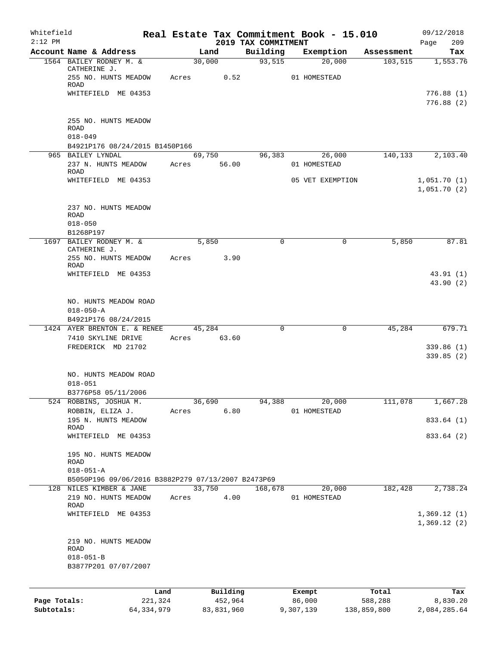| Whitefield   |                                                                 |                 |                     |                                 | Real Estate Tax Commitment Book - 15.010 |                  | 09/12/2018                 |
|--------------|-----------------------------------------------------------------|-----------------|---------------------|---------------------------------|------------------------------------------|------------------|----------------------------|
| $2:12$ PM    | Account Name & Address                                          |                 | Land                | 2019 TAX COMMITMENT<br>Building | Exemption                                | Assessment       | 209<br>Page<br>Tax         |
|              | 1564 BAILEY RODNEY M. &                                         |                 | 30,000              | 93,515                          | 20,000                                   | 103,515          | 1,553.76                   |
|              | CATHERINE J.<br>255 NO. HUNTS MEADOW                            | Acres           | 0.52                |                                 | 01 HOMESTEAD                             |                  |                            |
|              | <b>ROAD</b><br>WHITEFIELD ME 04353                              |                 |                     |                                 |                                          |                  | 776.88(1)                  |
|              |                                                                 |                 |                     |                                 |                                          |                  | 776.88(2)                  |
|              | 255 NO. HUNTS MEADOW<br><b>ROAD</b><br>$018 - 049$              |                 |                     |                                 |                                          |                  |                            |
|              | B4921P176 08/24/2015 B1450P166                                  |                 |                     |                                 |                                          |                  |                            |
|              | 965 BAILEY LYNDAL                                               |                 | 69,750              | 96,383                          | 26,000                                   | 140,133          | 2,103.40                   |
|              | 237 N. HUNTS MEADOW<br><b>ROAD</b>                              | Acres           | 56.00               |                                 | 01 HOMESTEAD                             |                  |                            |
|              | WHITEFIELD ME 04353                                             |                 |                     |                                 | 05 VET EXEMPTION                         |                  | 1,051.70(1)<br>1,051.70(2) |
|              | 237 NO. HUNTS MEADOW<br>ROAD<br>$018 - 050$                     |                 |                     |                                 |                                          |                  |                            |
|              | B1268P197                                                       |                 |                     |                                 |                                          |                  |                            |
|              | 1697 BAILEY RODNEY M. &<br>CATHERINE J.<br>255 NO. HUNTS MEADOW | Acres           | 5,850<br>3.90       | $\Omega$                        | 0                                        | 5,850            | 87.81                      |
|              | ROAD                                                            |                 |                     |                                 |                                          |                  |                            |
|              | WHITEFIELD ME 04353                                             |                 |                     |                                 |                                          |                  | 43.91(1)                   |
|              |                                                                 |                 |                     |                                 |                                          |                  | 43.90(2)                   |
|              | NO. HUNTS MEADOW ROAD                                           |                 |                     |                                 |                                          |                  |                            |
|              | $018 - 050 - A$<br>B4921P176 08/24/2015                         |                 |                     |                                 |                                          |                  |                            |
|              | 1424 AYER BRENTON E. & RENEE                                    |                 | 45,284              | $\Omega$                        | $\mathbf 0$                              | 45,284           | 679.71                     |
|              | 7410 SKYLINE DRIVE                                              | Acres           | 63.60               |                                 |                                          |                  |                            |
|              | FREDERICK MD 21702                                              |                 |                     |                                 |                                          |                  | 339.86(1)                  |
|              |                                                                 |                 |                     |                                 |                                          |                  | 339.85(2)                  |
|              | NO. HUNTS MEADOW ROAD<br>$018 - 051$                            |                 |                     |                                 |                                          |                  |                            |
|              | B3776P58 05/11/2006                                             |                 |                     |                                 |                                          |                  |                            |
|              | 524 ROBBINS, JOSHUA M.                                          |                 | 36,690              | 94,388                          | 20,000                                   | 111,078          | 1,667.28                   |
|              | ROBBIN, ELIZA J.<br>195 N. HUNTS MEADOW                         | Acres           | 6.80                |                                 | 01 HOMESTEAD                             |                  | 833.64 (1)                 |
|              | ROAD<br>WHITEFIELD ME 04353                                     |                 |                     |                                 |                                          |                  | 833.64 (2)                 |
|              |                                                                 |                 |                     |                                 |                                          |                  |                            |
|              | 195 NO. HUNTS MEADOW<br>ROAD<br>$018 - 051 - A$                 |                 |                     |                                 |                                          |                  |                            |
|              | B5050P196 09/06/2016 B3882P279 07/13/2007 B2473P69              |                 |                     |                                 |                                          |                  |                            |
|              | 128 NILES KIMBER & JANE                                         |                 | 33,750              | 168,678                         | 20,000                                   | 182,428          | 2,738.24                   |
|              | 219 NO. HUNTS MEADOW<br>ROAD                                    | Acres           | 4.00                |                                 | 01 HOMESTEAD                             |                  |                            |
|              | WHITEFIELD ME 04353                                             |                 |                     |                                 |                                          |                  | 1,369.12(1)<br>1,369.12(2) |
|              | 219 NO. HUNTS MEADOW<br>ROAD                                    |                 |                     |                                 |                                          |                  |                            |
|              | $018 - 051 - B$<br>B3877P201 07/07/2007                         |                 |                     |                                 |                                          |                  |                            |
|              |                                                                 |                 |                     |                                 |                                          |                  |                            |
| Page Totals: |                                                                 | Land<br>221,324 | Building<br>452,964 |                                 | Exempt<br>86,000                         | Total<br>588,288 | Tax<br>8,830.20            |
| Subtotals:   |                                                                 | 64, 334, 979    | 83,831,960          |                                 | 9,307,139                                | 138,859,800      | 2,084,285.64               |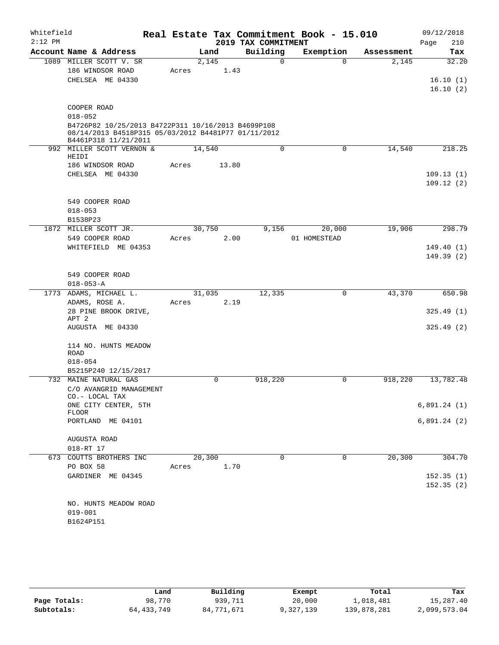| Whitefield<br>$2:12$ PM |                                                                                                                                   |        |        | 2019 TAX COMMITMENT | Real Estate Tax Commitment Book - 15.010 |            | 09/12/2018<br>210      |
|-------------------------|-----------------------------------------------------------------------------------------------------------------------------------|--------|--------|---------------------|------------------------------------------|------------|------------------------|
|                         | Account Name & Address                                                                                                            |        | Land   | Building            | Exemption                                | Assessment | Page<br>Tax            |
|                         | 1089 MILLER SCOTT V. SR                                                                                                           |        | 2,145  | $\Omega$            | $\Omega$                                 | 2,145      | 32.20                  |
|                         | 186 WINDSOR ROAD                                                                                                                  | Acres  | 1.43   |                     |                                          |            |                        |
|                         | CHELSEA ME 04330                                                                                                                  |        |        |                     |                                          |            | 16.10(1)               |
|                         |                                                                                                                                   |        |        |                     |                                          |            | 16.10(2)               |
|                         | COOPER ROAD                                                                                                                       |        |        |                     |                                          |            |                        |
|                         | $018 - 052$                                                                                                                       |        |        |                     |                                          |            |                        |
|                         | B4726P82 10/25/2013 B4722P311 10/16/2013 B4699P108<br>08/14/2013 B4518P315 05/03/2012 B4481P77 01/11/2012<br>B4461P318 11/21/2011 |        |        |                     |                                          |            |                        |
|                         | 992 MILLER SCOTT VERNON &<br>HEIDI                                                                                                | 14,540 |        | $\mathbf 0$         | $\mathbf 0$                              | 14,540     | 218.25                 |
|                         | 186 WINDSOR ROAD                                                                                                                  | Acres  | 13.80  |                     |                                          |            |                        |
|                         | CHELSEA ME 04330                                                                                                                  |        |        |                     |                                          |            | 109.13(1)              |
|                         |                                                                                                                                   |        |        |                     |                                          |            | 109.12(2)              |
|                         | 549 COOPER ROAD                                                                                                                   |        |        |                     |                                          |            |                        |
|                         | $018 - 053$                                                                                                                       |        |        |                     |                                          |            |                        |
|                         | B1538P23                                                                                                                          |        |        |                     |                                          |            |                        |
|                         | 1872 MILLER SCOTT JR.                                                                                                             |        | 30,750 | 9,156               | 20,000                                   | 19,906     | 298.79                 |
|                         | 549 COOPER ROAD                                                                                                                   | Acres  | 2.00   |                     | 01 HOMESTEAD                             |            |                        |
|                         | WHITEFIELD ME 04353                                                                                                               |        |        |                     |                                          |            | 149.40(1)<br>149.39(2) |
|                         |                                                                                                                                   |        |        |                     |                                          |            |                        |
|                         | 549 COOPER ROAD                                                                                                                   |        |        |                     |                                          |            |                        |
|                         | $018 - 053 - A$                                                                                                                   |        |        |                     |                                          |            |                        |
|                         | 1773 ADAMS, MICHAEL L.                                                                                                            |        | 31,035 | 12,335              | $\mathbf 0$                              | 43,370     | 650.98                 |
|                         | ADAMS, ROSE A.                                                                                                                    | Acres  | 2.19   |                     |                                          |            |                        |
|                         | 28 PINE BROOK DRIVE,                                                                                                              |        |        |                     |                                          |            | 325.49(1)              |
|                         | APT <sub>2</sub><br>AUGUSTA ME 04330                                                                                              |        |        |                     |                                          |            | 325.49(2)              |
|                         |                                                                                                                                   |        |        |                     |                                          |            |                        |
|                         | 114 NO. HUNTS MEADOW<br><b>ROAD</b>                                                                                               |        |        |                     |                                          |            |                        |
|                         | $018 - 054$                                                                                                                       |        |        |                     |                                          |            |                        |
|                         | B5215P240 12/15/2017                                                                                                              |        |        |                     |                                          |            |                        |
|                         | 732 MAINE NATURAL GAS                                                                                                             |        | 0      | 918,220             | 0                                        | 918,220    | 13,782.48              |
|                         | C/O AVANGRID MANAGEMENT<br>CO.- LOCAL TAX                                                                                         |        |        |                     |                                          |            |                        |
|                         | ONE CITY CENTER, 5TH                                                                                                              |        |        |                     |                                          |            | 6,891.24(1)            |
|                         | <b>FLOOR</b>                                                                                                                      |        |        |                     |                                          |            |                        |
|                         | PORTLAND ME 04101                                                                                                                 |        |        |                     |                                          |            | 6,891.24(2)            |
|                         | AUGUSTA ROAD                                                                                                                      |        |        |                     |                                          |            |                        |
|                         | 018-RT 17                                                                                                                         |        |        |                     |                                          |            |                        |
|                         | 673 COUTTS BROTHERS INC                                                                                                           | 20,300 |        | $\Omega$            | $\Omega$                                 | 20,300     | 304.70                 |
|                         | PO BOX 58                                                                                                                         | Acres  | 1.70   |                     |                                          |            |                        |
|                         | GARDINER ME 04345                                                                                                                 |        |        |                     |                                          |            | 152.35(1)              |
|                         |                                                                                                                                   |        |        |                     |                                          |            | 152.35(2)              |
|                         | NO. HUNTS MEADOW ROAD                                                                                                             |        |        |                     |                                          |            |                        |
|                         | $019 - 001$                                                                                                                       |        |        |                     |                                          |            |                        |
|                         | B1624P151                                                                                                                         |        |        |                     |                                          |            |                        |
|                         |                                                                                                                                   |        |        |                     |                                          |            |                        |

|              | Land         | Building   | Exempt    | Total       | Tax          |
|--------------|--------------|------------|-----------|-------------|--------------|
| Page Totals: | 98,770       | 939,711    | 20,000    | 1,018,481   | 15,287.40    |
| Subtotals:   | 64, 433, 749 | 84,771,671 | 9,327,139 | 139,878,281 | 2,099,573.04 |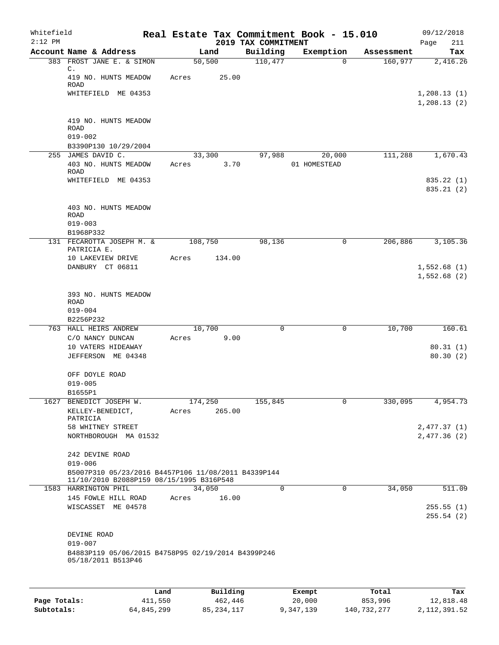| Whitefield<br>$2:12$ PM |                                                                                                 |       |                   | 2019 TAX COMMITMENT | Real Estate Tax Commitment Book - 15.010 |            | 09/12/2018<br>211<br>Page    |
|-------------------------|-------------------------------------------------------------------------------------------------|-------|-------------------|---------------------|------------------------------------------|------------|------------------------------|
|                         | Account Name & Address                                                                          |       | Land              | Building            | Exemption                                | Assessment | Tax                          |
|                         | 383 FROST JANE E. & SIMON<br>$\mathbb{C}$ .                                                     |       | 50, 500           | 110,477             | $\mathbf 0$                              | 160,977    | 2,416.26                     |
|                         | 419 NO. HUNTS MEADOW<br><b>ROAD</b>                                                             | Acres | 25.00             |                     |                                          |            |                              |
|                         | WHITEFIELD ME 04353                                                                             |       |                   |                     |                                          |            | 1, 208.13(1)<br>1, 208.13(2) |
|                         | 419 NO. HUNTS MEADOW<br>ROAD<br>$019 - 002$                                                     |       |                   |                     |                                          |            |                              |
|                         | B3390P130 10/29/2004                                                                            |       |                   |                     |                                          |            |                              |
|                         | 255 JAMES DAVID C.                                                                              |       | 33,300            | 97,988              | 20,000                                   | 111,288    | 1,670.43                     |
|                         | 403 NO. HUNTS MEADOW<br><b>ROAD</b>                                                             | Acres | 3.70              |                     | 01 HOMESTEAD                             |            |                              |
|                         | WHITEFIELD ME 04353                                                                             |       |                   |                     |                                          |            | 835.22 (1)<br>835.21(2)      |
|                         | 403 NO. HUNTS MEADOW<br>ROAD                                                                    |       |                   |                     |                                          |            |                              |
|                         | $019 - 003$                                                                                     |       |                   |                     |                                          |            |                              |
|                         | B1968P332                                                                                       |       |                   |                     |                                          |            |                              |
|                         | 131 FECAROTTA JOSEPH M. &<br>PATRICIA E.                                                        |       | 108,750           | 98,136              | 0                                        | 206,886    | 3,105.36                     |
|                         | 10 LAKEVIEW DRIVE<br>DANBURY CT 06811                                                           | Acres | 134.00            |                     |                                          |            | 1,552.68(1)                  |
|                         |                                                                                                 |       |                   |                     |                                          |            | 1,552.68(2)                  |
|                         | 393 NO. HUNTS MEADOW<br>ROAD<br>$019 - 004$                                                     |       |                   |                     |                                          |            |                              |
|                         | B2256P232                                                                                       |       |                   |                     |                                          |            |                              |
|                         | 763 HALL HEIRS ANDREW                                                                           |       | 10,700            | 0                   | $\mathbf 0$                              | 10,700     | 160.61                       |
|                         | C/O NANCY DUNCAN                                                                                | Acres | 9.00              |                     |                                          |            |                              |
|                         | 10 VATERS HIDEAWAY<br>JEFFERSON ME 04348                                                        |       |                   |                     |                                          |            | 80.31(1)<br>80.30(2)         |
|                         |                                                                                                 |       |                   |                     |                                          |            |                              |
|                         | OFF DOYLE ROAD                                                                                  |       |                   |                     |                                          |            |                              |
|                         | $019 - 005$                                                                                     |       |                   |                     |                                          |            |                              |
|                         | B1655P1                                                                                         |       |                   |                     |                                          |            |                              |
|                         | 1627 BENEDICT JOSEPH W.<br>KELLEY-BENEDICT,                                                     | Acres | 174,250<br>265.00 | 155,845             | 0                                        | 330,095    | 4,954.73                     |
|                         | PATRICIA<br>58 WHITNEY STREET                                                                   |       |                   |                     |                                          |            | 2,477.37(1)                  |
|                         | NORTHBOROUGH MA 01532                                                                           |       |                   |                     |                                          |            | 2,477.36(2)                  |
|                         | 242 DEVINE ROAD<br>$019 - 006$                                                                  |       |                   |                     |                                          |            |                              |
|                         | B5007P310 05/23/2016 B4457P106 11/08/2011 B4339P144<br>11/10/2010 B2088P159 08/15/1995 B316P548 |       |                   |                     |                                          |            |                              |
|                         | 1583 HARRINGTON PHIL                                                                            |       | 34,050            | $\Omega$            | $\Omega$                                 | 34,050     | 511.09                       |
|                         | 145 FOWLE HILL ROAD                                                                             | Acres | 16.00             |                     |                                          |            |                              |
|                         | WISCASSET ME 04578                                                                              |       |                   |                     |                                          |            | 255.55(1)<br>255.54(2)       |
|                         | DEVINE ROAD                                                                                     |       |                   |                     |                                          |            |                              |
|                         | $019 - 007$<br>B4883P119 05/06/2015 B4758P95 02/19/2014 B4399P246                               |       |                   |                     |                                          |            |                              |
|                         | 05/18/2011 B513P46                                                                              |       |                   |                     |                                          |            |                              |
|                         |                                                                                                 |       |                   |                     |                                          |            |                              |
|                         |                                                                                                 | Land, | Building          |                     | <b>Ryomnt</b>                            | $T0+21$    | Tay                          |

|              | Land       | Building   | Exempt    | Total       | Tax          |
|--------------|------------|------------|-----------|-------------|--------------|
| Page Totals: | 411,550    | 462,446    | 20,000    | 853,996     | 12,818.48    |
| Subtotals:   | 64,845,299 | 85,234,117 | 9,347,139 | 140,732,277 | 2,112,391.52 |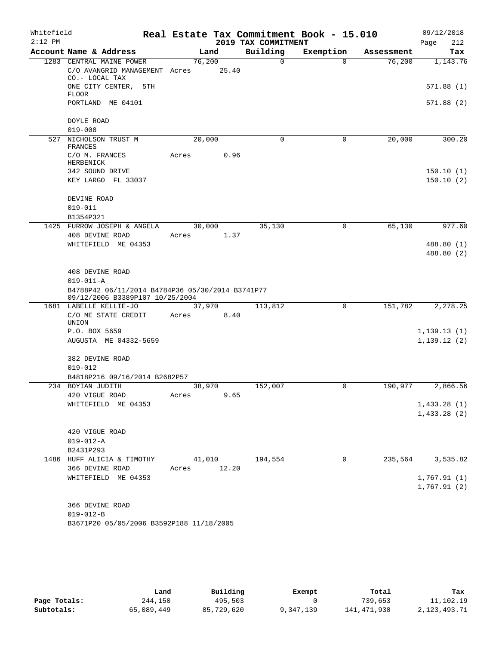| Whitefield<br>$2:12$ PM |                                                                                     |        |       | 2019 TAX COMMITMENT | Real Estate Tax Commitment Book - 15.010 |            | 09/12/2018<br>212<br>Page |
|-------------------------|-------------------------------------------------------------------------------------|--------|-------|---------------------|------------------------------------------|------------|---------------------------|
|                         | Account Name & Address                                                              | Land   |       | Building            | Exemption                                | Assessment | Tax                       |
|                         | 1283 CENTRAL MAINE POWER                                                            | 76,200 |       | $\Omega$            | $\Omega$                                 | 76,200     | 1,143.76                  |
|                         | C/O AVANGRID MANAGEMENT Acres<br>CO.- LOCAL TAX                                     |        | 25.40 |                     |                                          |            |                           |
|                         | ONE CITY CENTER, 5TH<br><b>FLOOR</b>                                                |        |       |                     |                                          |            | 571.88(1)                 |
|                         | PORTLAND ME 04101                                                                   |        |       |                     |                                          |            | 571.88 (2)                |
|                         | DOYLE ROAD                                                                          |        |       |                     |                                          |            |                           |
|                         | $019 - 008$                                                                         |        |       |                     |                                          |            |                           |
|                         | 527 NICHOLSON TRUST M<br>FRANCES                                                    | 20,000 |       | 0                   | 0                                        | 20,000     | 300.20                    |
|                         | C/O M. FRANCES<br>HERBENICK                                                         | Acres  | 0.96  |                     |                                          |            |                           |
|                         | 342 SOUND DRIVE                                                                     |        |       |                     |                                          |            | 150.10(1)                 |
|                         | KEY LARGO FL 33037                                                                  |        |       |                     |                                          |            | 150.10(2)                 |
|                         | DEVINE ROAD                                                                         |        |       |                     |                                          |            |                           |
|                         | $019 - 011$<br>B1354P321                                                            |        |       |                     |                                          |            |                           |
|                         | 1425 FURROW JOSEPH & ANGELA                                                         | 30,000 |       | 35,130              | 0                                        | 65,130     | 977.60                    |
|                         | 408 DEVINE ROAD                                                                     | Acres  | 1.37  |                     |                                          |            |                           |
|                         | WHITEFIELD ME 04353                                                                 |        |       |                     |                                          |            | 488.80 (1)                |
|                         |                                                                                     |        |       |                     |                                          |            | 488.80 (2)                |
|                         | 408 DEVINE ROAD                                                                     |        |       |                     |                                          |            |                           |
|                         | $019 - 011 - A$                                                                     |        |       |                     |                                          |            |                           |
|                         | B4788P42 06/11/2014 B4784P36 05/30/2014 B3741P77<br>09/12/2006 B3389P107 10/25/2004 |        |       |                     |                                          |            |                           |
|                         | 1681 LABELLE KELLIE-JO                                                              | 37,970 |       | 113,812             | 0                                        | 151,782    | 2,278.25                  |
|                         | C/O ME STATE CREDIT<br>UNION                                                        | Acres  | 8.40  |                     |                                          |            |                           |
|                         | P.O. BOX 5659                                                                       |        |       |                     |                                          |            | 1,139.13(1)               |
|                         | AUGUSTA ME 04332-5659                                                               |        |       |                     |                                          |            | 1, 139.12(2)              |
|                         | 382 DEVINE ROAD                                                                     |        |       |                     |                                          |            |                           |
|                         | $019 - 012$<br>B4818P216 09/16/2014 B2682P57                                        |        |       |                     |                                          |            |                           |
|                         | 234 BOYIAN JUDITH                                                                   | 38,970 |       | 152,007             | 0                                        | 190,977    | 2,866.56                  |
|                         | 420 VIGUE ROAD                                                                      | Acres  | 9.65  |                     |                                          |            |                           |
|                         | WHITEFIELD ME 04353                                                                 |        |       |                     |                                          |            | 1,433.28(1)               |
|                         |                                                                                     |        |       |                     |                                          |            | 1,433.28(2)               |
|                         | 420 VIGUE ROAD                                                                      |        |       |                     |                                          |            |                           |
|                         | $019 - 012 - A$                                                                     |        |       |                     |                                          |            |                           |
|                         | B2431P293                                                                           |        |       |                     |                                          |            |                           |
|                         | 1486 HUFF ALICIA & TIMOTHY                                                          | 41,010 |       | 194,554             | $\mathbf 0$                              | 235,564    | 3,535.82                  |
|                         | 366 DEVINE ROAD                                                                     | Acres  | 12.20 |                     |                                          |            |                           |
|                         | WHITEFIELD ME 04353                                                                 |        |       |                     |                                          |            | 1,767.91(1)               |
|                         |                                                                                     |        |       |                     |                                          |            | 1,767.91(2)               |
|                         | 366 DEVINE ROAD                                                                     |        |       |                     |                                          |            |                           |
|                         | $019 - 012 - B$                                                                     |        |       |                     |                                          |            |                           |
|                         | B3671P20 05/05/2006 B3592P188 11/18/2005                                            |        |       |                     |                                          |            |                           |

|              | Land       | Building   | Exempt    | Total       | Tax          |
|--------------|------------|------------|-----------|-------------|--------------|
| Page Totals: | 244,150    | 495,503    |           | 739,653     | 11,102.19    |
| Subtotals:   | 65,089,449 | 85,729,620 | 9,347,139 | 141,471,930 | 2,123,493.71 |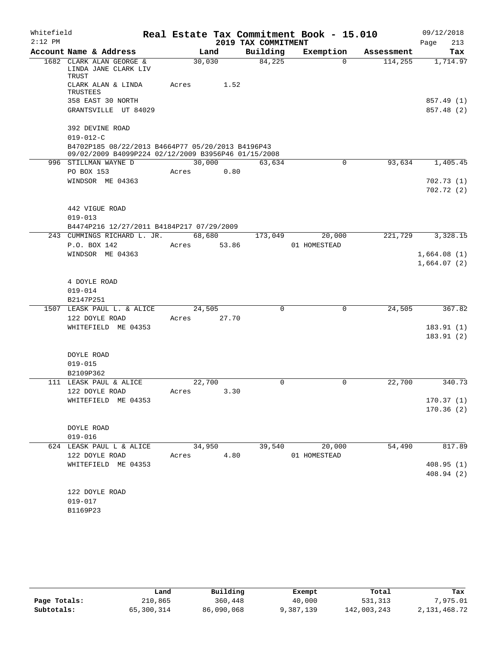| Whitefield |                                                                      |        |       |                     | Real Estate Tax Commitment Book - 15.010 |            | 09/12/2018             |
|------------|----------------------------------------------------------------------|--------|-------|---------------------|------------------------------------------|------------|------------------------|
| $2:12$ PM  |                                                                      |        |       | 2019 TAX COMMITMENT |                                          |            | Page<br>213            |
|            | Account Name & Address                                               | Land   |       | Building            | Exemption                                | Assessment | Tax                    |
|            | 1682 CLARK ALAN GEORGE &<br>LINDA JANE CLARK LIV<br>TRUST            | 30,030 |       | 84,225              | $\Omega$                                 | 114,255    | 1,714.97               |
|            | CLARK ALAN & LINDA<br>TRUSTEES                                       | Acres  | 1.52  |                     |                                          |            |                        |
|            | 358 EAST 30 NORTH                                                    |        |       |                     |                                          |            | 857.49 (1)             |
|            | GRANTSVILLE UT 84029                                                 |        |       |                     |                                          |            | 857.48 (2)             |
|            | 392 DEVINE ROAD                                                      |        |       |                     |                                          |            |                        |
|            | $019 - 012 - C$<br>B4702P185 08/22/2013 B4664P77 05/20/2013 B4196P43 |        |       |                     |                                          |            |                        |
|            | 09/02/2009 B4099P224 02/12/2009 B3956P46 01/15/2008                  |        |       |                     |                                          |            |                        |
|            | 996 STILLMAN WAYNE D                                                 | 30,000 |       | 63,634              | $\mathbf 0$                              | 93,634     | 1,405.45               |
|            | PO BOX 153                                                           | Acres  | 0.80  |                     |                                          |            |                        |
|            | WINDSOR ME 04363                                                     |        |       |                     |                                          |            | 702.73(1)              |
|            |                                                                      |        |       |                     |                                          |            | 702.72(2)              |
|            | 442 VIGUE ROAD                                                       |        |       |                     |                                          |            |                        |
|            | $019 - 013$                                                          |        |       |                     |                                          |            |                        |
|            | B4474P216 12/27/2011 B4184P217 07/29/2009                            |        |       |                     |                                          |            |                        |
|            | 243 CUMMINGS RICHARD L. JR.                                          | 68,680 |       | 173,049             | 20,000                                   | 221,729    | 3,328.15               |
|            | P.O. BOX 142                                                         | Acres  | 53.86 |                     | 01 HOMESTEAD                             |            |                        |
|            | WINDSOR ME 04363                                                     |        |       |                     |                                          |            | 1,664.08(1)            |
|            |                                                                      |        |       |                     |                                          |            | 1,664.07(2)            |
|            |                                                                      |        |       |                     |                                          |            |                        |
|            | 4 DOYLE ROAD                                                         |        |       |                     |                                          |            |                        |
|            | $019 - 014$                                                          |        |       |                     |                                          |            |                        |
|            | B2147P251                                                            |        |       |                     |                                          |            |                        |
|            | 1507 LEASK PAUL L. & ALICE                                           | 24,505 |       | $\mathbf 0$         | $\mathbf 0$                              | 24,505     | 367.82                 |
|            | 122 DOYLE ROAD                                                       | Acres  | 27.70 |                     |                                          |            |                        |
|            | WHITEFIELD ME 04353                                                  |        |       |                     |                                          |            | 183.91(1)<br>183.91(2) |
|            |                                                                      |        |       |                     |                                          |            |                        |
|            | DOYLE ROAD                                                           |        |       |                     |                                          |            |                        |
|            | $019 - 015$                                                          |        |       |                     |                                          |            |                        |
|            | B2109P362                                                            |        |       |                     |                                          |            |                        |
|            | 111 LEASK PAUL & ALICE                                               | 22,700 |       | 0                   | 0                                        | 22,700     | 340.73                 |
|            | 122 DOYLE ROAD                                                       | Acres  | 3.30  |                     |                                          |            |                        |
|            | WHITEFIELD ME 04353                                                  |        |       |                     |                                          |            | 170.37(1)              |
|            |                                                                      |        |       |                     |                                          |            | 170.36(2)              |
|            |                                                                      |        |       |                     |                                          |            |                        |
|            | DOYLE ROAD                                                           |        |       |                     |                                          |            |                        |
|            | $019 - 016$                                                          |        |       |                     |                                          |            |                        |
|            | 624 LEASK PAUL L & ALICE                                             | 34,950 |       | 39,540              | 20,000<br>01 HOMESTEAD                   | 54,490     | 817.89                 |
|            | 122 DOYLE ROAD<br>WHITEFIELD ME 04353                                | Acres  | 4.80  |                     |                                          |            | 408.95(1)              |
|            |                                                                      |        |       |                     |                                          |            | 408.94 (2)             |
|            |                                                                      |        |       |                     |                                          |            |                        |
|            | 122 DOYLE ROAD                                                       |        |       |                     |                                          |            |                        |
|            | $019 - 017$                                                          |        |       |                     |                                          |            |                        |
|            | B1169P23                                                             |        |       |                     |                                          |            |                        |
|            |                                                                      |        |       |                     |                                          |            |                        |

|              | Land       | Building   | Exempt    | Total       | Tax          |
|--------------|------------|------------|-----------|-------------|--------------|
| Page Totals: | 210,865    | 360,448    | 40,000    | 531,313     | 7,975.01     |
| Subtotals:   | 65,300,314 | 86,090,068 | 9,387,139 | 142,003,243 | 2,131,468.72 |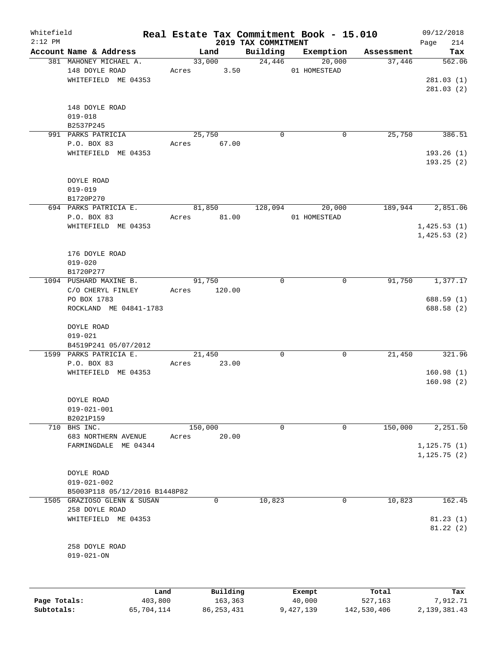| Whitefield<br>$2:12$ PM |                                                                 |       |                 | 2019 TAX COMMITMENT | Real Estate Tax Commitment Book - 15.010 |            | 09/12/2018<br>Page<br>214    |
|-------------------------|-----------------------------------------------------------------|-------|-----------------|---------------------|------------------------------------------|------------|------------------------------|
|                         | Account Name & Address                                          |       | Land            | Building            | Exemption                                | Assessment | Tax                          |
|                         | 381 MAHONEY MICHAEL A.<br>148 DOYLE ROAD<br>WHITEFIELD ME 04353 | Acres | 33,000<br>3.50  | 24,446              | 20,000<br>01 HOMESTEAD                   | 37,446     | 562.06<br>281.03(1)          |
|                         | 148 DOYLE ROAD<br>$019 - 018$<br>B2537P245                      |       |                 |                     |                                          |            | 281.03(2)                    |
|                         | 991 PARKS PATRICIA                                              |       | 25,750          | $\mathbf 0$         | 0                                        | 25,750     | 386.51                       |
|                         | P.O. BOX 83                                                     |       | Acres 67.00     |                     |                                          |            |                              |
|                         | WHITEFIELD ME 04353                                             |       |                 |                     |                                          |            | 193.26(1)<br>193.25 (2)      |
|                         | DOYLE ROAD                                                      |       |                 |                     |                                          |            |                              |
|                         | $019 - 019$                                                     |       |                 |                     |                                          |            |                              |
|                         | B1720P270                                                       |       |                 |                     |                                          |            |                              |
|                         | 694 PARKS PATRICIA E.                                           |       | 81,850          | 128,094             | 20,000                                   | 189,944    | 2,851.06                     |
|                         | P.O. BOX 83<br>WHITEFIELD ME 04353                              | Acres | 81.00           |                     | 01 HOMESTEAD                             |            | 1,425.53(1)                  |
|                         |                                                                 |       |                 |                     |                                          |            | 1,425.53(2)                  |
|                         | 176 DOYLE ROAD                                                  |       |                 |                     |                                          |            |                              |
|                         | $019 - 020$                                                     |       |                 |                     |                                          |            |                              |
|                         | B1720P277                                                       |       |                 |                     |                                          |            |                              |
|                         | 1094 PUSHARD MAXINE B.                                          |       | 91,750          | $\mathbf 0$         | 0                                        | 91,750     | 1,377.17                     |
|                         | C/O CHERYL FINLEY                                               | Acres | 120.00          |                     |                                          |            |                              |
|                         | PO BOX 1783<br>ROCKLAND ME 04841-1783                           |       |                 |                     |                                          |            | 688.59(1)<br>688.58 (2)      |
|                         | DOYLE ROAD<br>$019 - 021$                                       |       |                 |                     |                                          |            |                              |
|                         | B4519P241 05/07/2012                                            |       |                 |                     |                                          |            |                              |
|                         | 1599 PARKS PATRICIA E.<br>P.O. BOX 83                           | Acres | 21,450<br>23.00 | $\mathbf 0$         | 0                                        | 21,450     | 321.96                       |
|                         | WHITEFIELD ME 04353                                             |       |                 |                     |                                          |            | 160.98(1)                    |
|                         |                                                                 |       |                 |                     |                                          |            | 160.98(2)                    |
|                         | DOYLE ROAD                                                      |       |                 |                     |                                          |            |                              |
|                         | $019 - 021 - 001$                                               |       |                 |                     |                                          |            |                              |
|                         | B2021P159                                                       |       |                 |                     |                                          |            |                              |
|                         | 710 BHS INC.                                                    |       | 150,000         | $\mathbf 0$         | $\mathbf 0$                              | 150,000    | 2,251.50                     |
|                         | 683 NORTHERN AVENUE                                             | Acres | 20.00           |                     |                                          |            |                              |
|                         | FARMINGDALE ME 04344                                            |       |                 |                     |                                          |            | 1, 125.75(1)<br>1, 125.75(2) |
|                         | DOYLE ROAD                                                      |       |                 |                     |                                          |            |                              |
|                         | $019 - 021 - 002$                                               |       |                 |                     |                                          |            |                              |
|                         | B5003P118 05/12/2016 B1448P82                                   |       |                 |                     |                                          |            |                              |
| 1505                    | GRAZIOSO GLENN & SUSAN                                          |       | 0               | 10,823              | 0                                        | 10,823     | 162.45                       |
|                         | 258 DOYLE ROAD                                                  |       |                 |                     |                                          |            |                              |
|                         | WHITEFIELD ME 04353                                             |       |                 |                     |                                          |            | 81.23(1)<br>81.22(2)         |
|                         | 258 DOYLE ROAD                                                  |       |                 |                     |                                          |            |                              |
|                         | $019 - 021 - ON$                                                |       |                 |                     |                                          |            |                              |
|                         |                                                                 |       |                 |                     |                                          |            |                              |
|                         | Land                                                            |       | Building        |                     | Exempt                                   | Total      | Tax                          |

**Page Totals:** 403,800 163,363 40,000 527,163 7,912.71 **Subtotals:** 65,704,114 86,253,431 9,427,139 142,530,406 2,139,381.43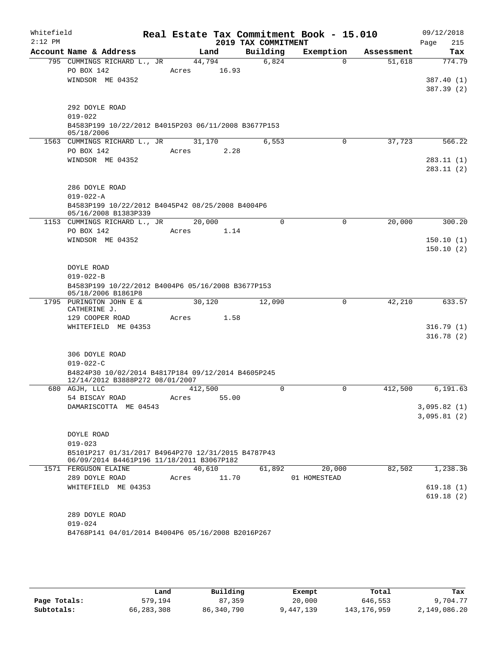| Whitefield<br>$2:12$ PM |                                                                                                 |         |       | 2019 TAX COMMITMENT | Real Estate Tax Commitment Book - 15.010 |            | 09/12/2018<br>Page<br>215 |
|-------------------------|-------------------------------------------------------------------------------------------------|---------|-------|---------------------|------------------------------------------|------------|---------------------------|
|                         | Account Name & Address                                                                          |         | Land  | Building            | Exemption                                | Assessment | Tax                       |
|                         | 795 CUMMINGS RICHARD L., JR                                                                     | 44,794  |       | 6,824               | $\Omega$                                 | 51,618     | 774.79                    |
|                         | PO BOX 142                                                                                      | Acres   | 16.93 |                     |                                          |            |                           |
|                         | WINDSOR ME 04352                                                                                |         |       |                     |                                          |            | 387.40(1)                 |
|                         |                                                                                                 |         |       |                     |                                          |            | 387.39 (2)                |
|                         |                                                                                                 |         |       |                     |                                          |            |                           |
|                         | 292 DOYLE ROAD                                                                                  |         |       |                     |                                          |            |                           |
|                         | $019 - 022$                                                                                     |         |       |                     |                                          |            |                           |
|                         | B4583P199 10/22/2012 B4015P203 06/11/2008 B3677P153<br>05/18/2006                               |         |       |                     |                                          |            |                           |
|                         | 1563 CUMMINGS RICHARD L., JR                                                                    | 31,170  |       | 6,553               | 0                                        | 37,723     | 566.22                    |
|                         | PO BOX 142                                                                                      | Acres   | 2.28  |                     |                                          |            |                           |
|                         | WINDSOR ME 04352                                                                                |         |       |                     |                                          |            | 283.11 (1)                |
|                         |                                                                                                 |         |       |                     |                                          |            | 283.11 (2)                |
|                         |                                                                                                 |         |       |                     |                                          |            |                           |
|                         | 286 DOYLE ROAD                                                                                  |         |       |                     |                                          |            |                           |
|                         | $019 - 022 - A$                                                                                 |         |       |                     |                                          |            |                           |
|                         | B4583P199 10/22/2012 B4045P42 08/25/2008 B4004P6                                                |         |       |                     |                                          |            |                           |
|                         | 05/16/2008 B1383P339                                                                            |         |       |                     |                                          |            |                           |
|                         | 1153 CUMMINGS RICHARD L., JR<br>PO BOX 142                                                      | 20,000  |       | $\mathbf 0$         | $\mathbf 0$                              | 20,000     | 300.20                    |
|                         | WINDSOR ME 04352                                                                                | Acres   | 1.14  |                     |                                          |            | 150.10(1)                 |
|                         |                                                                                                 |         |       |                     |                                          |            | 150.10(2)                 |
|                         |                                                                                                 |         |       |                     |                                          |            |                           |
|                         | DOYLE ROAD                                                                                      |         |       |                     |                                          |            |                           |
|                         | $019 - 022 - B$                                                                                 |         |       |                     |                                          |            |                           |
|                         | B4583P199 10/22/2012 B4004P6 05/16/2008 B3677P153<br>05/18/2006 B1861P8                         |         |       |                     |                                          |            |                           |
|                         | 1795 PURINGTON JOHN E &                                                                         | 30,120  |       | 12,090              | 0                                        | 42,210     | 633.57                    |
|                         | CATHERINE J.                                                                                    |         |       |                     |                                          |            |                           |
|                         | 129 COOPER ROAD                                                                                 | Acres   | 1.58  |                     |                                          |            |                           |
|                         | WHITEFIELD ME 04353                                                                             |         |       |                     |                                          |            | 316.79(1)                 |
|                         |                                                                                                 |         |       |                     |                                          |            | 316.78(2)                 |
|                         | 306 DOYLE ROAD                                                                                  |         |       |                     |                                          |            |                           |
|                         | $019 - 022 - C$                                                                                 |         |       |                     |                                          |            |                           |
|                         | B4824P30 10/02/2014 B4817P184 09/12/2014 B4605P245                                              |         |       |                     |                                          |            |                           |
|                         | 12/14/2012 B3888P272 08/01/2007                                                                 |         |       |                     |                                          |            |                           |
|                         | 680 AGJH, LLC                                                                                   | 412,500 |       | 0                   | 0                                        | 412,500    | 6,191.63                  |
|                         | 54 BISCAY ROAD                                                                                  | Acres   | 55.00 |                     |                                          |            |                           |
|                         | DAMARISCOTTA ME 04543                                                                           |         |       |                     |                                          |            | 3,095.82(1)               |
|                         |                                                                                                 |         |       |                     |                                          |            | 3,095.81(2)               |
|                         |                                                                                                 |         |       |                     |                                          |            |                           |
|                         | DOYLE ROAD                                                                                      |         |       |                     |                                          |            |                           |
|                         | $019 - 023$                                                                                     |         |       |                     |                                          |            |                           |
|                         | B5101P217 01/31/2017 B4964P270 12/31/2015 B4787P43<br>06/09/2014 B4461P196 11/18/2011 B3067P182 |         |       |                     |                                          |            |                           |
|                         | 1571 FERGUSON ELAINE                                                                            | 40,610  |       | 61,892              | 20,000                                   | 82,502     | 1,238.36                  |
|                         | 289 DOYLE ROAD                                                                                  | Acres   | 11.70 |                     | 01 HOMESTEAD                             |            |                           |
|                         | WHITEFIELD ME 04353                                                                             |         |       |                     |                                          |            | 619.18(1)                 |
|                         |                                                                                                 |         |       |                     |                                          |            | 619.18(2)                 |
|                         |                                                                                                 |         |       |                     |                                          |            |                           |
|                         | 289 DOYLE ROAD                                                                                  |         |       |                     |                                          |            |                           |
|                         | $019 - 024$                                                                                     |         |       |                     |                                          |            |                           |
|                         | B4768P141 04/01/2014 B4004P6 05/16/2008 B2016P267                                               |         |       |                     |                                          |            |                           |
|                         |                                                                                                 |         |       |                     |                                          |            |                           |

|              | Land       | Building   | Exempt    | Total         | Tax          |
|--------------|------------|------------|-----------|---------------|--------------|
| Page Totals: | 579,194    | 87,359     | 20,000    | 646,553       | 9,704.77     |
| Subtotals:   | 66,283,308 | 86,340,790 | 9,447,139 | 143, 176, 959 | 2,149,086.20 |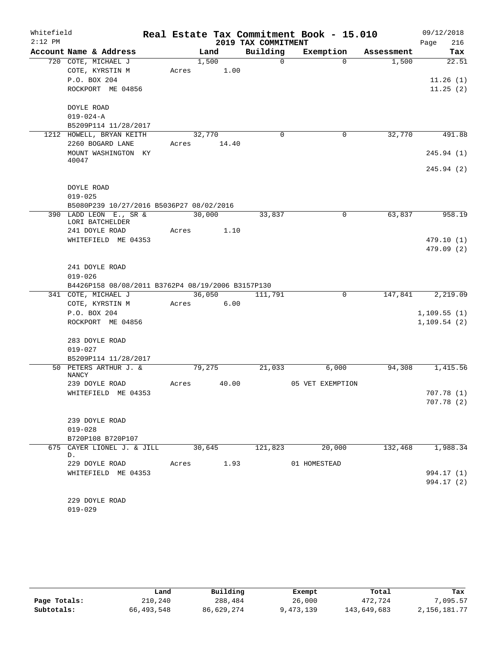| Whitefield |                   |                                                   |       |        |            |                     | Real Estate Tax Commitment Book - 15.010         |              |         | 09/12/2018       |
|------------|-------------------|---------------------------------------------------|-------|--------|------------|---------------------|--------------------------------------------------|--------------|---------|------------------|
| $2:12$ PM  |                   |                                                   |       |        |            | 2019 TAX COMMITMENT |                                                  |              |         | 216<br>Page      |
|            |                   | Account Name & Address                            |       | Land   |            | Building            | Exemption                                        | Assessment   |         | Tax              |
|            |                   | 720 COTE, MICHAEL J                               |       | 1,500  |            | $\Omega$            |                                                  | $\Omega$     | 1,500   | 22.51            |
|            |                   | COTE, KYRSTIN M                                   | Acres |        | 1.00       |                     |                                                  |              |         |                  |
|            |                   | P.O. BOX 204<br>ROCKPORT ME 04856                 |       |        |            |                     |                                                  |              |         | 11.26(1)         |
|            |                   |                                                   |       |        |            |                     |                                                  |              |         | 11.25(2)         |
|            | DOYLE ROAD        |                                                   |       |        |            |                     |                                                  |              |         |                  |
|            | $019 - 024 - A$   |                                                   |       |        |            |                     |                                                  |              |         |                  |
|            |                   | B5209P114 11/28/2017                              |       |        |            |                     |                                                  |              |         |                  |
|            |                   | 1212 HOWELL, BRYAN KEITH                          |       | 32,770 |            | $\mathbf 0$         |                                                  | 0            | 32,770  | 491.88           |
|            |                   | 2260 BOGARD LANE                                  | Acres |        | 14.40      |                     |                                                  |              |         |                  |
|            |                   | MOUNT WASHINGTON KY                               |       |        |            |                     |                                                  |              |         | 245.94 (1)       |
|            | 40047             |                                                   |       |        |            |                     |                                                  |              |         |                  |
|            |                   |                                                   |       |        |            |                     |                                                  |              |         | 245.94 (2)       |
|            |                   |                                                   |       |        |            |                     |                                                  |              |         |                  |
|            | <b>DOYLE ROAD</b> |                                                   |       |        |            |                     |                                                  |              |         |                  |
|            | $019 - 025$       |                                                   |       |        |            |                     |                                                  |              |         |                  |
|            |                   | B5080P239 10/27/2016 B5036P27 08/02/2016          |       |        |            |                     |                                                  |              |         |                  |
|            |                   | 390 LADD LEON E., SR &<br>LORI BATCHELDER         |       | 30,000 |            | 33,837              |                                                  | $\mathsf{O}$ | 63,837  | 958.19           |
|            |                   | 241 DOYLE ROAD                                    | Acres |        | 1.10       |                     |                                                  |              |         |                  |
|            |                   | WHITEFIELD ME 04353                               |       |        |            |                     |                                                  |              |         | 479.10 (1)       |
|            |                   |                                                   |       |        |            |                     |                                                  |              |         | 479.09 (2)       |
|            |                   |                                                   |       |        |            |                     |                                                  |              |         |                  |
|            |                   | 241 DOYLE ROAD                                    |       |        |            |                     |                                                  |              |         |                  |
|            | $019 - 026$       |                                                   |       |        |            |                     |                                                  |              |         |                  |
|            |                   | B4426P158 08/08/2011 B3762P4 08/19/2006 B3157P130 |       |        |            |                     |                                                  |              |         |                  |
|            |                   | 341 COTE, MICHAEL J                               |       | 36,050 |            | 111,791             |                                                  | $\mathbf 0$  | 147,841 | 2,219.09         |
|            |                   | COTE, KYRSTIN M                                   | Acres |        | 6.00       |                     |                                                  |              |         |                  |
|            |                   | P.O. BOX 204                                      |       |        |            |                     |                                                  |              |         | 1,109.55(1)      |
|            |                   | ROCKPORT ME 04856                                 |       |        |            |                     |                                                  |              |         | 1, 109.54(2)     |
|            |                   | 283 DOYLE ROAD                                    |       |        |            |                     |                                                  |              |         |                  |
|            | $019 - 027$       |                                                   |       |        |            |                     |                                                  |              |         |                  |
|            |                   | B5209P114 11/28/2017                              |       |        |            |                     |                                                  |              |         |                  |
|            |                   | 50 PETERS ARTHUR J. &                             |       | 79,275 |            | 21,033              | 6,000                                            |              | 94,308  | 1,415.56         |
|            | <b>NANCY</b>      |                                                   |       |        |            |                     |                                                  |              |         |                  |
|            |                   | 239 DOYLE ROAD                                    | Acres |        | 40.00      |                     | 05 VET EXEMPTION                                 |              |         |                  |
|            |                   | WHITEFIELD ME 04353                               |       |        |            |                     |                                                  |              |         | 707.78 (1)       |
|            |                   |                                                   |       |        |            |                     |                                                  |              |         | 707.78(2)        |
|            |                   |                                                   |       |        |            |                     |                                                  |              |         |                  |
|            |                   | 239 DOYLE ROAD                                    |       |        |            |                     |                                                  |              |         |                  |
|            | $019 - 028$       |                                                   |       |        |            |                     |                                                  |              |         |                  |
|            |                   | B720P108 B720P107                                 |       |        |            |                     | 675 CAYER LIONEL J. & JILL 30,645 121,823 20,000 |              |         | 132,468 1,988.34 |
|            | D.                |                                                   |       |        |            |                     |                                                  |              |         |                  |
|            |                   | 229 DOYLE ROAD                                    |       |        | Acres 1.93 |                     | 01 HOMESTEAD                                     |              |         |                  |
|            |                   | WHITEFIELD ME 04353                               |       |        |            |                     |                                                  |              |         | 994.17 (1)       |
|            |                   |                                                   |       |        |            |                     |                                                  |              |         | 994.17 (2)       |
|            |                   |                                                   |       |        |            |                     |                                                  |              |         |                  |
|            |                   | 229 DOYLE ROAD                                    |       |        |            |                     |                                                  |              |         |                  |
|            | $019 - 029$       |                                                   |       |        |            |                     |                                                  |              |         |                  |

|              | Land         | Building   | Exempt    | Total       | Tax          |
|--------------|--------------|------------|-----------|-------------|--------------|
| Page Totals: | 210,240      | 288,484    | 26,000    | 472.724     | 7,095.57     |
| Subtotals:   | 66, 493, 548 | 86,629,274 | 9,473,139 | 143,649,683 | 2,156,181.77 |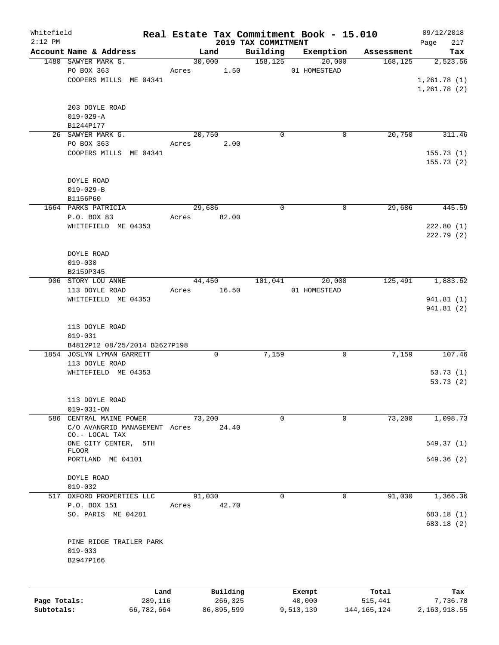| Whitefield<br>$2:12$ PM |                                      |        |          | 2019 TAX COMMITMENT | Real Estate Tax Commitment Book - 15.010 |            | 09/12/2018<br>217<br>Page |
|-------------------------|--------------------------------------|--------|----------|---------------------|------------------------------------------|------------|---------------------------|
|                         | Account Name & Address               |        | Land     | Building            | Exemption                                | Assessment | Tax                       |
|                         | 1480 SAWYER MARK G.                  |        | 30,000   | 158, 125            | 20,000                                   | 168, 125   | 2,523.56                  |
|                         | PO BOX 363                           | Acres  | 1.50     |                     | 01 HOMESTEAD                             |            |                           |
|                         | COOPERS MILLS ME 04341               |        |          |                     |                                          |            | 1,261.78(1)               |
|                         |                                      |        |          |                     |                                          |            | 1,261.78(2)               |
|                         |                                      |        |          |                     |                                          |            |                           |
|                         | 203 DOYLE ROAD                       |        |          |                     |                                          |            |                           |
|                         | $019 - 029 - A$                      |        |          |                     |                                          |            |                           |
|                         | B1244P177                            |        |          |                     |                                          |            |                           |
|                         | 26 SAWYER MARK G.                    |        | 20,750   | $\mathbf 0$         | 0                                        | 20,750     | 311.46                    |
|                         | PO BOX 363                           | Acres  | 2.00     |                     |                                          |            |                           |
|                         | COOPERS MILLS ME 04341               |        |          |                     |                                          |            | 155.73(1)                 |
|                         |                                      |        |          |                     |                                          |            | 155.73(2)                 |
|                         |                                      |        |          |                     |                                          |            |                           |
|                         | DOYLE ROAD                           |        |          |                     |                                          |            |                           |
|                         | $019 - 029 - B$<br>B1156P60          |        |          |                     |                                          |            |                           |
|                         | 1664 PARKS PATRICIA                  |        | 29,686   | $\mathbf 0$         | 0                                        | 29,686     | 445.59                    |
|                         | P.O. BOX 83                          | Acres  | 82.00    |                     |                                          |            |                           |
|                         | WHITEFIELD ME 04353                  |        |          |                     |                                          |            | 222.80(1)                 |
|                         |                                      |        |          |                     |                                          |            | 222.79(2)                 |
|                         |                                      |        |          |                     |                                          |            |                           |
|                         | DOYLE ROAD                           |        |          |                     |                                          |            |                           |
|                         | $019 - 030$                          |        |          |                     |                                          |            |                           |
|                         | B2159P345                            |        |          |                     |                                          |            |                           |
|                         | 906 STORY LOU ANNE                   |        | 44,450   | 101,041             | 20,000                                   | 125,491    | 1,883.62                  |
|                         | 113 DOYLE ROAD                       | Acres  | 16.50    |                     | 01 HOMESTEAD                             |            |                           |
|                         | WHITEFIELD ME 04353                  |        |          |                     |                                          |            | 941.81 (1)                |
|                         |                                      |        |          |                     |                                          |            | 941.81 (2)                |
|                         |                                      |        |          |                     |                                          |            |                           |
|                         | 113 DOYLE ROAD                       |        |          |                     |                                          |            |                           |
|                         | $019 - 031$                          |        |          |                     |                                          |            |                           |
|                         | B4812P12 08/25/2014 B2627P198        |        |          |                     |                                          |            |                           |
|                         | 1854 JOSLYN LYMAN GARRETT            |        | 0        | 7,159               | 0                                        | 7,159      | 107.46                    |
|                         | 113 DOYLE ROAD                       |        |          |                     |                                          |            |                           |
|                         | WHITEFIELD ME 04353                  |        |          |                     |                                          |            | 53.73(1)                  |
|                         |                                      |        |          |                     |                                          |            | 53.73(2)                  |
|                         | 113 DOYLE ROAD                       |        |          |                     |                                          |            |                           |
|                         | $019 - 031 - ON$                     |        |          |                     |                                          |            |                           |
|                         | 586 CENTRAL MAINE POWER              | 73,200 |          | $\mathbf 0$         | 0                                        | 73,200     | 1,098.73                  |
|                         | C/O AVANGRID MANAGEMENT Acres        |        | 24.40    |                     |                                          |            |                           |
|                         | CO.- LOCAL TAX                       |        |          |                     |                                          |            |                           |
|                         | ONE CITY CENTER,<br>5TH              |        |          |                     |                                          |            | 549.37 (1)                |
|                         | <b>FLOOR</b>                         |        |          |                     |                                          |            |                           |
|                         | PORTLAND ME 04101                    |        |          |                     |                                          |            | 549.36(2)                 |
|                         |                                      |        |          |                     |                                          |            |                           |
|                         | DOYLE ROAD                           |        |          |                     |                                          |            |                           |
| 517                     | $019 - 032$<br>OXFORD PROPERTIES LLC | 91,030 |          | $\mathbf 0$         | 0                                        | 91,030     | 1,366.36                  |
|                         | P.O. BOX 151                         | Acres  | 42.70    |                     |                                          |            |                           |
|                         | SO. PARIS ME 04281                   |        |          |                     |                                          |            | 683.18 (1)                |
|                         |                                      |        |          |                     |                                          |            | 683.18 (2)                |
|                         |                                      |        |          |                     |                                          |            |                           |
|                         | PINE RIDGE TRAILER PARK              |        |          |                     |                                          |            |                           |
|                         | $019 - 033$                          |        |          |                     |                                          |            |                           |
|                         | B2947P166                            |        |          |                     |                                          |            |                           |
|                         |                                      |        |          |                     |                                          |            |                           |
|                         |                                      |        |          |                     |                                          |            |                           |
|                         | Land                                 |        | Building |                     | Exempt                                   | Total      | Tax                       |
| Page Totals:            | 289,116                              |        | 266,325  |                     | 40,000                                   | 515,441    | 7,736.78                  |

**Subtotals:** 66,782,664 86,895,599 9,513,139 144,165,124 2,163,918.55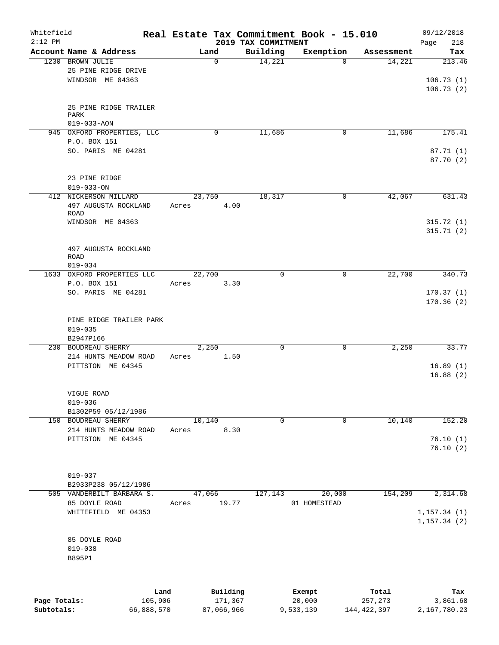| Whitefield<br>$2:12$ PM |                                     |         |             |         |                                 | Real Estate Tax Commitment Book - 15.010 |             | 09/12/2018         |
|-------------------------|-------------------------------------|---------|-------------|---------|---------------------------------|------------------------------------------|-------------|--------------------|
|                         | Account Name & Address              |         | Land        |         | 2019 TAX COMMITMENT<br>Building | Exemption                                | Assessment  | Page<br>218<br>Tax |
|                         | 1230 BROWN JULIE                    |         | $\mathbf 0$ |         | 14,221                          | $\Omega$                                 | 14,221      | 213.46             |
|                         | 25 PINE RIDGE DRIVE                 |         |             |         |                                 |                                          |             |                    |
|                         | WINDSOR ME 04363                    |         |             |         |                                 |                                          |             | 106.73(1)          |
|                         |                                     |         |             |         |                                 |                                          |             | 106.73(2)          |
|                         |                                     |         |             |         |                                 |                                          |             |                    |
|                         | 25 PINE RIDGE TRAILER               |         |             |         |                                 |                                          |             |                    |
|                         | PARK                                |         |             |         |                                 |                                          |             |                    |
|                         | $019 - 033 - AON$                   |         |             |         |                                 |                                          |             |                    |
|                         | 945 OXFORD PROPERTIES, LLC          |         | 0           |         | 11,686                          | $\mathbf 0$                              | 11,686      | 175.41             |
|                         | P.O. BOX 151<br>SO. PARIS ME 04281  |         |             |         |                                 |                                          |             | 87.71 (1)          |
|                         |                                     |         |             |         |                                 |                                          |             | 87.70 (2)          |
|                         |                                     |         |             |         |                                 |                                          |             |                    |
|                         | 23 PINE RIDGE                       |         |             |         |                                 |                                          |             |                    |
|                         | $019 - 033 - ON$                    |         |             |         |                                 |                                          |             |                    |
|                         | 412 NICKERSON MILLARD               |         | 23,750      |         | 18,317                          | 0                                        | 42,067      | 631.43             |
|                         | 497 AUGUSTA ROCKLAND                | Acres   |             | 4.00    |                                 |                                          |             |                    |
|                         | <b>ROAD</b>                         |         |             |         |                                 |                                          |             |                    |
|                         | WINDSOR ME 04363                    |         |             |         |                                 |                                          |             | 315.72(1)          |
|                         |                                     |         |             |         |                                 |                                          |             | 315.71(2)          |
|                         |                                     |         |             |         |                                 |                                          |             |                    |
|                         | 497 AUGUSTA ROCKLAND<br><b>ROAD</b> |         |             |         |                                 |                                          |             |                    |
|                         | $019 - 034$                         |         |             |         |                                 |                                          |             |                    |
|                         | 1633 OXFORD PROPERTIES LLC          |         | 22,700      |         | 0                               | 0                                        | 22,700      | 340.73             |
|                         | P.O. BOX 151                        | Acres   |             | 3.30    |                                 |                                          |             |                    |
|                         | SO. PARIS ME 04281                  |         |             |         |                                 |                                          |             | 170.37(1)          |
|                         |                                     |         |             |         |                                 |                                          |             | 170.36(2)          |
|                         |                                     |         |             |         |                                 |                                          |             |                    |
|                         | PINE RIDGE TRAILER PARK             |         |             |         |                                 |                                          |             |                    |
|                         | $019 - 035$                         |         |             |         |                                 |                                          |             |                    |
|                         | B2947P166                           |         |             |         |                                 |                                          |             |                    |
|                         | 230 BOUDREAU SHERRY                 |         | 2,250       |         | $\mathbf 0$                     | $\mathbf 0$                              | 2,250       | 33.77              |
|                         | 214 HUNTS MEADOW ROAD               | Acres   |             | 1.50    |                                 |                                          |             |                    |
|                         | PITTSTON ME 04345                   |         |             |         |                                 |                                          |             | 16.89(1)           |
|                         |                                     |         |             |         |                                 |                                          |             | 16.88(2)           |
|                         |                                     |         |             |         |                                 |                                          |             |                    |
|                         | VIGUE ROAD<br>$019 - 036$           |         |             |         |                                 |                                          |             |                    |
|                         | B1302P59 05/12/1986                 |         |             |         |                                 |                                          |             |                    |
|                         | 150 BOUDREAU SHERRY                 |         | 10,140      |         | $\Omega$                        | 0                                        | 10,140      | 152.20             |
|                         | 214 HUNTS MEADOW ROAD               | Acres   |             | 8.30    |                                 |                                          |             |                    |
|                         | PITTSTON ME 04345                   |         |             |         |                                 |                                          |             | 76.10(1)           |
|                         |                                     |         |             |         |                                 |                                          |             | 76.10(2)           |
|                         |                                     |         |             |         |                                 |                                          |             |                    |
|                         |                                     |         |             |         |                                 |                                          |             |                    |
|                         | $019 - 037$                         |         |             |         |                                 |                                          |             |                    |
|                         | B2933P238 05/12/1986                |         |             |         |                                 |                                          |             |                    |
|                         | 505 VANDERBILT BARBARA S.           |         | 47,066      |         | 127,143                         | 20,000                                   | 154,209     | 2,314.68           |
|                         | 85 DOYLE ROAD                       | Acres   |             | 19.77   |                                 | 01 HOMESTEAD                             |             |                    |
|                         | WHITEFIELD ME 04353                 |         |             |         |                                 |                                          |             | 1, 157.34(1)       |
|                         |                                     |         |             |         |                                 |                                          |             | 1, 157.34(2)       |
|                         | 85 DOYLE ROAD                       |         |             |         |                                 |                                          |             |                    |
|                         | $019 - 038$                         |         |             |         |                                 |                                          |             |                    |
|                         | B895P1                              |         |             |         |                                 |                                          |             |                    |
|                         |                                     |         |             |         |                                 |                                          |             |                    |
|                         |                                     |         |             |         |                                 |                                          |             |                    |
|                         |                                     | Land    | Building    |         |                                 | Exempt                                   | Total       | Tax                |
| Page Totals:            |                                     | 105,906 |             | 171,367 |                                 | 20,000                                   | 257,273     | 3,861.68           |
| Subtotals:              | 66,888,570                          |         | 87,066,966  |         |                                 | 9,533,139                                | 144,422,397 | 2,167,780.23       |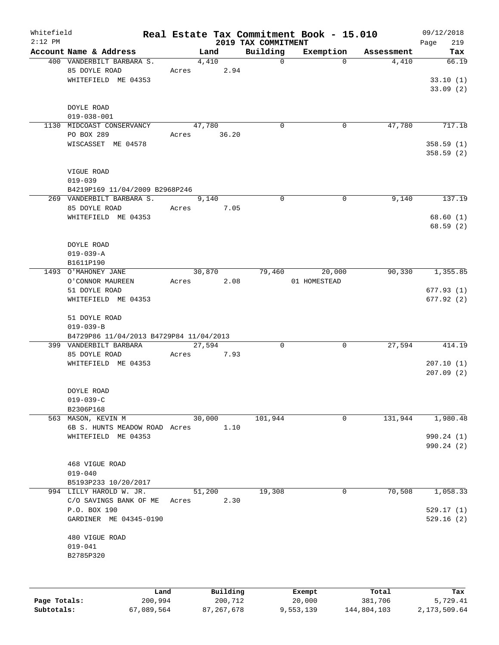| Whitefield |                                                                   |             |        |      |                     | Real Estate Tax Commitment Book - 15.010 |            | 09/12/2018             |
|------------|-------------------------------------------------------------------|-------------|--------|------|---------------------|------------------------------------------|------------|------------------------|
| $2:12$ PM  |                                                                   |             |        |      | 2019 TAX COMMITMENT |                                          |            | 219<br>Page            |
|            | Account Name & Address                                            |             | Land   |      | Building            | Exemption                                | Assessment | Tax                    |
|            | 400 VANDERBILT BARBARA S.<br>85 DOYLE ROAD<br>WHITEFIELD ME 04353 | Acres 2.94  | 4,410  |      | $\Omega$            | $\Omega$                                 | 4,410      | 66.19<br>33.10(1)      |
|            | DOYLE ROAD                                                        |             |        |      |                     |                                          |            | 33.09(2)               |
|            | $019 - 038 - 001$                                                 |             |        |      |                     |                                          |            |                        |
|            | 1130 MIDCOAST CONSERVANCY                                         |             | 47,780 |      | $\Omega$            | 0                                        | 47,780     | 717.18                 |
|            | PO BOX 289                                                        | Acres 36.20 |        |      |                     |                                          |            |                        |
|            | WISCASSET ME 04578                                                |             |        |      |                     |                                          |            | 358.59(1)<br>358.59(2) |
|            |                                                                   |             |        |      |                     |                                          |            |                        |
|            | VIGUE ROAD<br>$019 - 039$                                         |             |        |      |                     |                                          |            |                        |
|            | B4219P169 11/04/2009 B2968P246                                    |             |        |      |                     |                                          |            |                        |
|            | 269 VANDERBILT BARBARA S.                                         |             | 9,140  |      | $\Omega$            | $\Omega$                                 | 9,140      | 137.19                 |
|            | 85 DOYLE ROAD                                                     | Acres 7.05  |        |      |                     |                                          |            |                        |
|            | WHITEFIELD ME 04353                                               |             |        |      |                     |                                          |            | 68.60(1)               |
|            |                                                                   |             |        |      |                     |                                          |            | 68.59(2)               |
|            | DOYLE ROAD                                                        |             |        |      |                     |                                          |            |                        |
|            | $019 - 039 - A$                                                   |             |        |      |                     |                                          |            |                        |
|            | B1611P190                                                         |             |        |      |                     |                                          |            |                        |
|            | 1493 O'MAHONEY JANE                                               |             | 30,870 |      |                     | 79,460<br>20,000                         | 90,330     | 1,355.85               |
|            | O'CONNOR MAUREEN                                                  | Acres 2.08  |        |      |                     | 01 HOMESTEAD                             |            |                        |
|            | 51 DOYLE ROAD                                                     |             |        |      |                     |                                          |            | 677.93(1)              |
|            | WHITEFIELD ME 04353                                               |             |        |      |                     |                                          |            | 677.92(2)              |
|            | 51 DOYLE ROAD                                                     |             |        |      |                     |                                          |            |                        |
|            | $019 - 039 - B$                                                   |             |        |      |                     |                                          |            |                        |
|            | B4729P86 11/04/2013 B4729P84 11/04/2013                           |             |        |      |                     |                                          |            |                        |
|            | 399 VANDERBILT BARBARA                                            |             | 27,594 |      | $\Omega$            | 0                                        | 27,594     | 414.19                 |
|            | 85 DOYLE ROAD                                                     | Acres       |        | 7.93 |                     |                                          |            |                        |
|            | WHITEFIELD ME 04353                                               |             |        |      |                     |                                          |            | 207.10(1)              |
|            |                                                                   |             |        |      |                     |                                          |            | 207.09(2)              |
|            | DOYLE ROAD                                                        |             |        |      |                     |                                          |            |                        |
|            | $019 - 039 - C$                                                   |             |        |      |                     |                                          |            |                        |
|            | B2306P168                                                         |             |        |      |                     |                                          |            |                        |
|            | 563 MASON, KEVIN M                                                |             | 30,000 |      | 101,944             | 0                                        | 131,944    | 1,980.48               |
|            | 6B S. HUNTS MEADOW ROAD Acres                                     |             |        | 1.10 |                     |                                          |            |                        |
|            | WHITEFIELD ME 04353                                               |             |        |      |                     |                                          |            | 990.24 (1)             |
|            |                                                                   |             |        |      |                     |                                          |            | 990.24(2)              |
|            | 468 VIGUE ROAD                                                    |             |        |      |                     |                                          |            |                        |
|            | $019 - 040$                                                       |             |        |      |                     |                                          |            |                        |
|            | B5193P233 10/20/2017                                              |             |        |      |                     |                                          |            |                        |
|            | 994 LILLY HAROLD W. JR.                                           |             | 51,200 |      | 19,308              | $\mathbf{0}$                             | 70,508     | 1,058.33               |
|            | C/O SAVINGS BANK OF ME Acres                                      |             |        | 2.30 |                     |                                          |            |                        |
|            | P.O. BOX 190                                                      |             |        |      |                     |                                          |            | 529.17(1)              |
|            | GARDINER ME 04345-0190                                            |             |        |      |                     |                                          |            | 529.16(2)              |
|            | 480 VIGUE ROAD                                                    |             |        |      |                     |                                          |            |                        |
|            | $019 - 041$                                                       |             |        |      |                     |                                          |            |                        |
|            | B2785P320                                                         |             |        |      |                     |                                          |            |                        |
|            |                                                                   |             |        |      |                     |                                          |            |                        |
|            |                                                                   |             |        |      |                     |                                          |            |                        |
|            |                                                                   |             |        |      |                     |                                          |            |                        |

|              | Land       | Building   | Exempt    | Total       | Tax          |
|--------------|------------|------------|-----------|-------------|--------------|
| Page Totals: | 200,994    | 200,712    | 20,000    | 381,706     | 5,729.41     |
| Subtotals:   | 67,089,564 | 87,267,678 | 9,553,139 | 144,804,103 | 2,173,509.64 |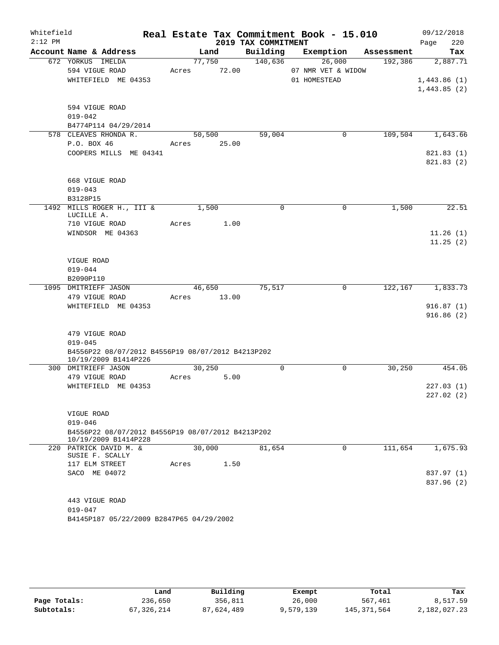| Whitefield<br>$2:12$ PM |                                                                           |             |       | 2019 TAX COMMITMENT | Real Estate Tax Commitment Book - 15.010 |                               | 09/12/2018<br>220<br>Page |
|-------------------------|---------------------------------------------------------------------------|-------------|-------|---------------------|------------------------------------------|-------------------------------|---------------------------|
|                         | Account Name & Address                                                    |             | Land  |                     |                                          | Building Exemption Assessment | Tax                       |
|                         | 672 YORKUS IMELDA                                                         | 77,750      |       | 140,636             | 26,000                                   | 192,386                       | 2,887.71                  |
|                         | 594 VIGUE ROAD                                                            | Acres 72.00 |       |                     | 07 NMR VET & WIDOW                       |                               |                           |
|                         | WHITEFIELD ME 04353                                                       |             |       |                     | 01 HOMESTEAD                             |                               | 1,443.86(1)               |
|                         |                                                                           |             |       |                     |                                          |                               | 1,443.85(2)               |
|                         |                                                                           |             |       |                     |                                          |                               |                           |
|                         | 594 VIGUE ROAD                                                            |             |       |                     |                                          |                               |                           |
|                         | $019 - 042$                                                               |             |       |                     |                                          |                               |                           |
|                         | B4774P114 04/29/2014                                                      |             |       |                     |                                          |                               |                           |
|                         | 578 CLEAVES RHONDA R.                                                     | 50,500      |       | 59,004              | $\mathbf 0$                              | 109,504                       | 1,643.66                  |
|                         | P.O. BOX 46                                                               | Acres 25.00 |       |                     |                                          |                               |                           |
|                         | COOPERS MILLS ME 04341                                                    |             |       |                     |                                          |                               | 821.83(1)                 |
|                         |                                                                           |             |       |                     |                                          |                               | 821.83(2)                 |
|                         |                                                                           |             |       |                     |                                          |                               |                           |
|                         | 668 VIGUE ROAD                                                            |             |       |                     |                                          |                               |                           |
|                         | $019 - 043$                                                               |             |       |                     |                                          |                               |                           |
|                         | B3128P15                                                                  |             |       |                     |                                          |                               |                           |
|                         | 1492 MILLS ROGER H., III &<br>LUCILLE A.                                  | 1,500       |       | $\Omega$            | $\Omega$                                 | 1,500                         | 22.51                     |
|                         | 710 VIGUE ROAD                                                            | Acres       | 1.00  |                     |                                          |                               |                           |
|                         | WINDSOR ME 04363                                                          |             |       |                     |                                          |                               | 11.26(1)                  |
|                         |                                                                           |             |       |                     |                                          |                               | 11.25(2)                  |
|                         |                                                                           |             |       |                     |                                          |                               |                           |
|                         | <b>VIGUE ROAD</b>                                                         |             |       |                     |                                          |                               |                           |
|                         | $019 - 044$                                                               |             |       |                     |                                          |                               |                           |
|                         | B2090P110                                                                 |             |       |                     |                                          |                               |                           |
|                         | 1095 DMITRIEFF JASON                                                      | 46,650      |       | 75,517              | 0                                        | 122,167                       | 1,833.73                  |
|                         | 479 VIGUE ROAD                                                            | Acres       | 13.00 |                     |                                          |                               |                           |
|                         | WHITEFIELD ME 04353                                                       |             |       |                     |                                          |                               | 916.87(1)                 |
|                         |                                                                           |             |       |                     |                                          |                               | 916.86(2)                 |
|                         |                                                                           |             |       |                     |                                          |                               |                           |
|                         | 479 VIGUE ROAD                                                            |             |       |                     |                                          |                               |                           |
|                         | $019 - 045$                                                               |             |       |                     |                                          |                               |                           |
|                         | B4556P22 08/07/2012 B4556P19 08/07/2012 B4213P202<br>10/19/2009 B1414P226 |             |       |                     |                                          |                               |                           |
|                         | 300 DMITRIEFF JASON                                                       | 30,250      |       | $\mathbf 0$         | $\mathbf 0$                              | 30, 250                       | 454.05                    |
|                         | 479 VIGUE ROAD                                                            | Acres       | 5.00  |                     |                                          |                               |                           |
|                         | WHITEFIELD ME 04353                                                       |             |       |                     |                                          |                               | 227.03(1)                 |
|                         |                                                                           |             |       |                     |                                          |                               | 227.02 (2)                |
|                         |                                                                           |             |       |                     |                                          |                               |                           |
|                         | VIGUE ROAD                                                                |             |       |                     |                                          |                               |                           |
|                         | $019 - 046$                                                               |             |       |                     |                                          |                               |                           |
|                         | B4556P22 08/07/2012 B4556P19 08/07/2012 B4213P202<br>10/19/2009 B1414P228 |             |       |                     |                                          |                               |                           |
|                         | 220 PATRICK DAVID M. &                                                    | 30,000      |       | 81,654              | 0                                        | 111,654                       | 1,675.93                  |
|                         | SUSIE F. SCALLY                                                           |             |       |                     |                                          |                               |                           |
|                         | 117 ELM STREET                                                            | Acres       | 1.50  |                     |                                          |                               |                           |
|                         | SACO ME 04072                                                             |             |       |                     |                                          |                               | 837.97 (1)                |
|                         |                                                                           |             |       |                     |                                          |                               | 837.96 (2)                |
|                         |                                                                           |             |       |                     |                                          |                               |                           |
|                         | 443 VIGUE ROAD                                                            |             |       |                     |                                          |                               |                           |
|                         | $019 - 047$                                                               |             |       |                     |                                          |                               |                           |
|                         | B4145P187 05/22/2009 B2847P65 04/29/2002                                  |             |       |                     |                                          |                               |                           |
|                         |                                                                           |             |       |                     |                                          |                               |                           |

|              | Land       | Building   | Exempt    | Total         | Tax          |
|--------------|------------|------------|-----------|---------------|--------------|
| Page Totals: | 236,650    | 356,811    | 26,000    | 567,461       | 8,517.59     |
| Subtotals:   | 67,326,214 | 87,624,489 | 9,579,139 | 145, 371, 564 | 2,182,027.23 |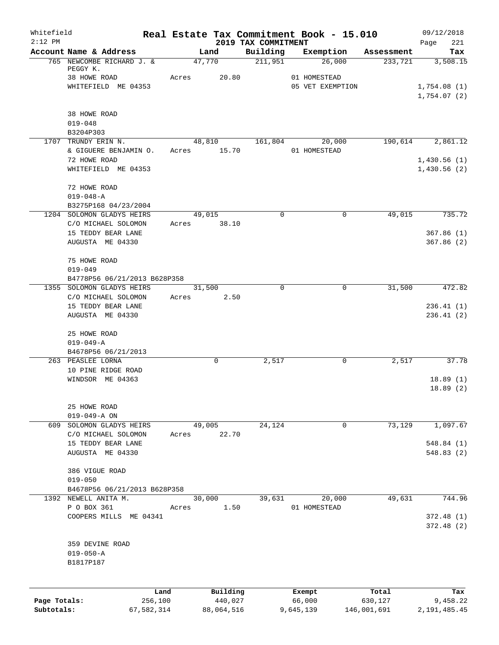| Whitefield<br>$2:12$ PM |                                                   |                 |       |                     |                                 | Real Estate Tax Commitment Book - 15.010 |                  | 09/12/2018             |
|-------------------------|---------------------------------------------------|-----------------|-------|---------------------|---------------------------------|------------------------------------------|------------------|------------------------|
|                         | Account Name & Address                            |                 |       | Land                | 2019 TAX COMMITMENT<br>Building | Exemption                                | Assessment       | 221<br>Page<br>Tax     |
|                         | 765 NEWCOMBE RICHARD J. &                         |                 |       | 47,770              | 211,951                         | 26,000                                   | 233,721          | 3,508.15               |
|                         | PEGGY K.<br>38 HOWE ROAD                          |                 | Acres | 20.80               |                                 | 01 HOMESTEAD                             |                  |                        |
|                         | WHITEFIELD ME 04353                               |                 |       |                     |                                 | 05 VET EXEMPTION                         |                  | 1,754.08(1)            |
|                         |                                                   |                 |       |                     |                                 |                                          |                  | 1,754.07(2)            |
|                         | 38 HOWE ROAD                                      |                 |       |                     |                                 |                                          |                  |                        |
|                         | $019 - 048$                                       |                 |       |                     |                                 |                                          |                  |                        |
|                         | B3204P303<br>1707 TRUNDY ERIN N.                  |                 |       | 48,810              | 161,804                         | 20,000                                   | 190,614          | 2,861.12               |
|                         | & GIGUERE BENJAMIN O.                             |                 |       | Acres 15.70         |                                 | 01 HOMESTEAD                             |                  |                        |
|                         | 72 HOWE ROAD                                      |                 |       |                     |                                 |                                          |                  | 1,430.56(1)            |
|                         | WHITEFIELD ME 04353                               |                 |       |                     |                                 |                                          |                  | 1,430.56(2)            |
|                         | 72 HOWE ROAD                                      |                 |       |                     |                                 |                                          |                  |                        |
|                         | $019 - 048 - A$                                   |                 |       |                     |                                 |                                          |                  |                        |
|                         | B3275P168 04/23/2004<br>1204 SOLOMON GLADYS HEIRS |                 |       | 49,015              | $\mathbf 0$                     | 0                                        | 49,015           | 735.72                 |
|                         | C/O MICHAEL SOLOMON                               |                 | Acres | 38.10               |                                 |                                          |                  |                        |
|                         | 15 TEDDY BEAR LANE                                |                 |       |                     |                                 |                                          |                  | 367.86(1)              |
|                         | AUGUSTA ME 04330                                  |                 |       |                     |                                 |                                          |                  | 367.86(2)              |
|                         | 75 HOWE ROAD                                      |                 |       |                     |                                 |                                          |                  |                        |
|                         | $019 - 049$                                       |                 |       |                     |                                 |                                          |                  |                        |
|                         | B4778P56 06/21/2013 B628P358                      |                 |       |                     | $\Omega$                        | $\mathbf 0$                              |                  | 472.82                 |
|                         | 1355 SOLOMON GLADYS HEIRS<br>C/O MICHAEL SOLOMON  |                 | Acres | 31,500<br>2.50      |                                 |                                          | 31,500           |                        |
|                         | 15 TEDDY BEAR LANE                                |                 |       |                     |                                 |                                          |                  | 236.41(1)              |
|                         | AUGUSTA ME 04330                                  |                 |       |                     |                                 |                                          |                  | 236.41(2)              |
|                         | 25 HOWE ROAD                                      |                 |       |                     |                                 |                                          |                  |                        |
|                         | $019 - 049 - A$                                   |                 |       |                     |                                 |                                          |                  |                        |
|                         | B4678P56 06/21/2013                               |                 |       |                     |                                 |                                          |                  |                        |
|                         | 263 PEASLEE LORNA<br>10 PINE RIDGE ROAD           |                 |       | 0                   | 2,517                           | 0                                        | 2,517            | 37.78                  |
|                         | WINDSOR ME 04363                                  |                 |       |                     |                                 |                                          |                  | 18.89(1)               |
|                         |                                                   |                 |       |                     |                                 |                                          |                  | 18.89(2)               |
|                         | 25 HOWE ROAD                                      |                 |       |                     |                                 |                                          |                  |                        |
|                         | $019 - 049 - A ON$                                |                 |       |                     |                                 |                                          |                  |                        |
|                         | 609 SOLOMON GLADYS HEIRS                          |                 |       | 49,005              | 24,124                          | 0                                        | 73,129           | 1,097.67               |
|                         | C/O MICHAEL SOLOMON<br>15 TEDDY BEAR LANE         |                 | Acres | 22.70               |                                 |                                          |                  | 548.84 (1)             |
|                         | AUGUSTA ME 04330                                  |                 |       |                     |                                 |                                          |                  | 548.83(2)              |
|                         | 386 VIGUE ROAD                                    |                 |       |                     |                                 |                                          |                  |                        |
|                         | $019 - 050$                                       |                 |       |                     |                                 |                                          |                  |                        |
|                         | B4678P56 06/21/2013 B628P358                      |                 |       |                     |                                 |                                          |                  |                        |
|                         | 1392 NEWELL ANITA M.                              |                 |       | 30,000              | 39,631                          | 20,000                                   | 49,631           | 744.96                 |
|                         | P O BOX 361                                       |                 | Acres | 1.50                |                                 | 01 HOMESTEAD                             |                  |                        |
|                         | COOPERS MILLS ME 04341                            |                 |       |                     |                                 |                                          |                  | 372.48(1)<br>372.48(2) |
|                         | 359 DEVINE ROAD                                   |                 |       |                     |                                 |                                          |                  |                        |
|                         | $019 - 050 - A$                                   |                 |       |                     |                                 |                                          |                  |                        |
|                         | B1817P187                                         |                 |       |                     |                                 |                                          |                  |                        |
|                         |                                                   |                 |       |                     |                                 |                                          |                  |                        |
| Page Totals:            |                                                   | Land<br>256,100 |       | Building<br>440,027 |                                 | Exempt<br>66,000                         | Total<br>630,127 | Tax<br>9,458.22        |
| Subtotals:              |                                                   | 67,582,314      |       | 88,064,516          |                                 | 9,645,139                                | 146,001,691      | 2, 191, 485.45         |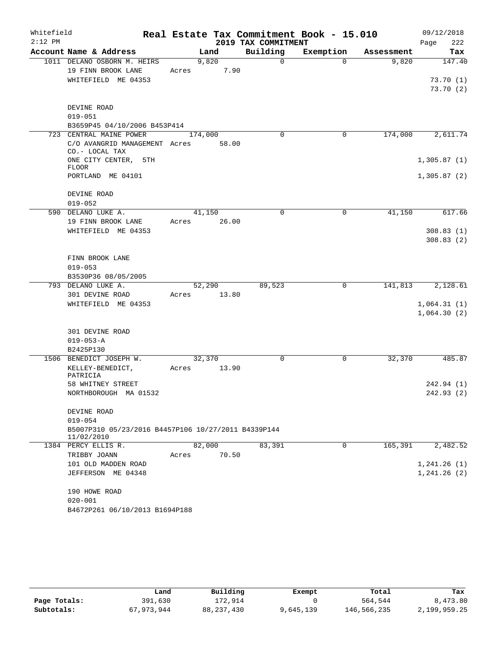| Whitefield |                                                     |       |         |       |                     | Real Estate Tax Commitment Book - 15.010 |            | 09/12/2018             |
|------------|-----------------------------------------------------|-------|---------|-------|---------------------|------------------------------------------|------------|------------------------|
| $2:12$ PM  |                                                     |       |         |       | 2019 TAX COMMITMENT |                                          |            | 222<br>Page            |
|            | Account Name & Address                              |       | Land    |       | Building            | Exemption                                | Assessment | Tax                    |
|            | 1011 DELANO OSBORN M. HEIRS                         |       | 9,820   |       | $\mathbf 0$         | $\Omega$                                 | 9,820      | 147.40                 |
|            | 19 FINN BROOK LANE                                  | Acres |         | 7.90  |                     |                                          |            |                        |
|            | WHITEFIELD ME 04353                                 |       |         |       |                     |                                          |            | 73.70(1)               |
|            |                                                     |       |         |       |                     |                                          |            | 73.70(2)               |
|            |                                                     |       |         |       |                     |                                          |            |                        |
|            | DEVINE ROAD                                         |       |         |       |                     |                                          |            |                        |
|            | $019 - 051$<br>B3659P45 04/10/2006 B453P414         |       |         |       |                     |                                          |            |                        |
|            | 723 CENTRAL MAINE POWER                             |       | 174,000 |       | 0                   | 0                                        | 174,000    | 2,611.74               |
|            | C/O AVANGRID MANAGEMENT Acres                       |       |         | 58.00 |                     |                                          |            |                        |
|            | CO.- LOCAL TAX                                      |       |         |       |                     |                                          |            |                        |
|            | ONE CITY CENTER, 5TH                                |       |         |       |                     |                                          |            | 1,305.87(1)            |
|            | <b>FLOOR</b>                                        |       |         |       |                     |                                          |            |                        |
|            | PORTLAND ME 04101                                   |       |         |       |                     |                                          |            | 1,305.87(2)            |
|            |                                                     |       |         |       |                     |                                          |            |                        |
|            | DEVINE ROAD                                         |       |         |       |                     |                                          |            |                        |
|            | $019 - 052$                                         |       |         |       |                     |                                          |            |                        |
|            | 590 DELANO LUKE A.                                  |       | 41,150  |       | $\mathbf 0$         | 0                                        | 41,150     | 617.66                 |
|            | 19 FINN BROOK LANE                                  | Acres |         | 26.00 |                     |                                          |            |                        |
|            | WHITEFIELD ME 04353                                 |       |         |       |                     |                                          |            | 308.83(1)<br>308.83(2) |
|            |                                                     |       |         |       |                     |                                          |            |                        |
|            | FINN BROOK LANE                                     |       |         |       |                     |                                          |            |                        |
|            | $019 - 053$                                         |       |         |       |                     |                                          |            |                        |
|            | B3530P36 08/05/2005                                 |       |         |       |                     |                                          |            |                        |
|            | 793 DELANO LUKE A.                                  |       | 52,290  |       | 89,523              | 0                                        | 141,813    | 2,128.61               |
|            | 301 DEVINE ROAD                                     | Acres | 13.80   |       |                     |                                          |            |                        |
|            | WHITEFIELD ME 04353                                 |       |         |       |                     |                                          |            | 1,064.31(1)            |
|            |                                                     |       |         |       |                     |                                          |            | 1,064.30(2)            |
|            |                                                     |       |         |       |                     |                                          |            |                        |
|            | 301 DEVINE ROAD                                     |       |         |       |                     |                                          |            |                        |
|            | $019 - 053 - A$                                     |       |         |       |                     |                                          |            |                        |
|            | B2425P130                                           |       |         |       |                     |                                          |            |                        |
|            | 1506 BENEDICT JOSEPH W.                             |       | 32,370  |       | $\mathbf 0$         | 0                                        | 32,370     | 485.87                 |
|            | KELLEY-BENEDICT,                                    | Acres |         | 13.90 |                     |                                          |            |                        |
|            | PATRICIA                                            |       |         |       |                     |                                          |            |                        |
|            | 58 WHITNEY STREET                                   |       |         |       |                     |                                          |            | 242.94(1)              |
|            | NORTHBOROUGH MA 01532                               |       |         |       |                     |                                          |            | 242.93 (2)             |
|            | DEVINE ROAD                                         |       |         |       |                     |                                          |            |                        |
|            | $019 - 054$                                         |       |         |       |                     |                                          |            |                        |
|            | B5007P310 05/23/2016 B4457P106 10/27/2011 B4339P144 |       |         |       |                     |                                          |            |                        |
|            | 11/02/2010                                          |       |         |       |                     |                                          |            |                        |
|            | 1384 PERCY ELLIS R.                                 |       | 82,000  |       | 83,391              | 0                                        | 165,391    | 2,482.52               |
|            | TRIBBY JOANN                                        | Acres |         | 70.50 |                     |                                          |            |                        |
|            | 101 OLD MADDEN ROAD                                 |       |         |       |                     |                                          |            | 1, 241.26(1)           |
|            | JEFFERSON ME 04348                                  |       |         |       |                     |                                          |            | 1, 241.26(2)           |
|            |                                                     |       |         |       |                     |                                          |            |                        |
|            | 190 HOWE ROAD                                       |       |         |       |                     |                                          |            |                        |
|            | $020 - 001$                                         |       |         |       |                     |                                          |            |                        |
|            | B4672P261 06/10/2013 B1694P188                      |       |         |       |                     |                                          |            |                        |

|              | Land       | Building     | Exempt    | Total       | Tax          |
|--------------|------------|--------------|-----------|-------------|--------------|
| Page Totals: | 391,630    | 172,914      |           | 564,544     | 8,473.80     |
| Subtotals:   | 67,973,944 | 88, 237, 430 | 9,645,139 | 146,566,235 | 2,199,959.25 |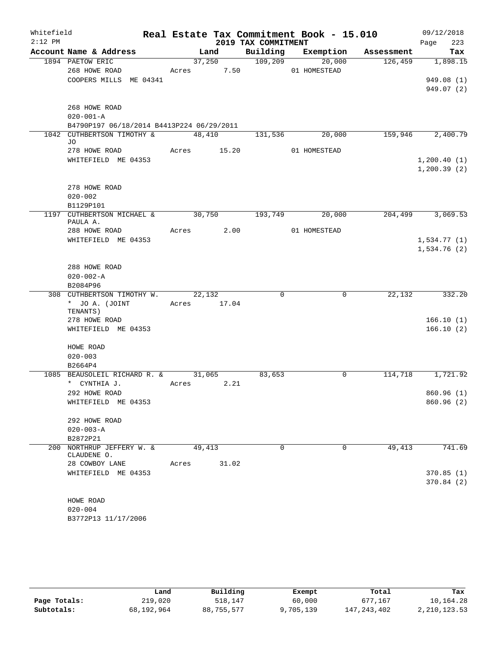| Whitefield |                                           |             |       |                     | Real Estate Tax Commitment Book - 15.010 |                               | 09/12/2018             |
|------------|-------------------------------------------|-------------|-------|---------------------|------------------------------------------|-------------------------------|------------------------|
| $2:12$ PM  |                                           |             |       | 2019 TAX COMMITMENT |                                          |                               | 223<br>Page            |
|            | Account Name & Address                    |             | Land  |                     |                                          | Building Exemption Assessment | Tax                    |
|            | 1894 PAETOW ERIC                          |             |       | 37,250 109,209      | 20,000                                   | 126,459                       | 1,898.15               |
|            | 268 HOWE ROAD                             | Acres 7.50  |       | 01 HOMESTEAD        |                                          |                               |                        |
|            | COOPERS MILLS ME 04341                    |             |       |                     |                                          |                               | 949.08(1)              |
|            |                                           |             |       |                     |                                          |                               | 949.07(2)              |
|            | 268 HOWE ROAD                             |             |       |                     |                                          |                               |                        |
|            | $020 - 001 - A$                           |             |       |                     |                                          |                               |                        |
|            | B4790P197 06/18/2014 B4413P224 06/29/2011 |             |       |                     |                                          |                               |                        |
|            | 1042 CUTHBERTSON TIMOTHY &                | 48,410      |       | 131,536             | 20,000                                   |                               | 159,946 2,400.79       |
|            | JO                                        |             |       |                     |                                          |                               |                        |
|            | 278 HOWE ROAD                             | Acres 15.20 |       |                     | 01 HOMESTEAD                             |                               |                        |
|            | WHITEFIELD ME 04353                       |             |       |                     |                                          |                               | 1,200.40(1)            |
|            |                                           |             |       |                     |                                          |                               | 1, 200.39(2)           |
|            | 278 HOWE ROAD                             |             |       |                     |                                          |                               |                        |
|            | $020 - 002$                               |             |       |                     |                                          |                               |                        |
|            | B1129P101                                 |             |       |                     |                                          |                               |                        |
|            | 1197 CUTHBERTSON MICHAEL & 30,750         |             |       | 193,749             | 20,000                                   |                               | 204,499 3,069.53       |
|            | PAULA A.                                  |             |       |                     |                                          |                               |                        |
|            | 288 HOWE ROAD                             | Acres 2.00  |       |                     | 01 HOMESTEAD                             |                               |                        |
|            | WHITEFIELD ME 04353                       |             |       |                     |                                          |                               | 1,534.77(1)            |
|            |                                           |             |       |                     |                                          |                               | 1,534.76(2)            |
|            | 288 HOWE ROAD                             |             |       |                     |                                          |                               |                        |
|            | $020 - 002 - A$                           |             |       |                     |                                          |                               |                        |
|            | B2084P96                                  |             |       |                     |                                          |                               |                        |
|            | 308 CUTHBERTSON TIMOTHY W.                | 22,132      |       | $\Omega$            | 0                                        | 22,132                        | 332.20                 |
|            | * JO A. (JOINT                            | Acres 17.04 |       |                     |                                          |                               |                        |
|            | TENANTS)                                  |             |       |                     |                                          |                               |                        |
|            | 278 HOWE ROAD<br>WHITEFIELD ME 04353      |             |       |                     |                                          |                               | 166.10(1)<br>166.10(2) |
|            |                                           |             |       |                     |                                          |                               |                        |
|            | HOWE ROAD                                 |             |       |                     |                                          |                               |                        |
|            | $020 - 003$                               |             |       |                     |                                          |                               |                        |
|            | B2664P4                                   |             |       |                     |                                          |                               |                        |
|            | 1085 BEAUSOLEIL RICHARD R. & 31,065       |             |       | 83,653              | $\Omega$                                 | 114,718                       | 1,721.92               |
|            | * CYNTHIA J.                              | Acres       | 2.21  |                     |                                          |                               |                        |
|            | 292 HOWE ROAD                             |             |       |                     |                                          |                               | 860.96(1)              |
|            | WHITEFIELD ME 04353                       |             |       |                     |                                          |                               | 860.96(2)              |
|            | 292 HOWE ROAD                             |             |       |                     |                                          |                               |                        |
|            | $020 - 003 - A$                           |             |       |                     |                                          |                               |                        |
|            | B2872P21                                  |             |       |                     |                                          |                               |                        |
|            | 200 NORTHRUP JEFFERY W. &                 | 49,413      |       | 0                   | $\Omega$                                 | 49,413                        | 741.69                 |
|            | CLAUDENE O.                               |             |       |                     |                                          |                               |                        |
|            | 28 COWBOY LANE                            | Acres       | 31.02 |                     |                                          |                               |                        |
|            | WHITEFIELD ME 04353                       |             |       |                     |                                          |                               | 370.85(1)              |
|            |                                           |             |       |                     |                                          |                               | 370.84(2)              |
|            | HOWE ROAD                                 |             |       |                     |                                          |                               |                        |
|            | $020 - 004$                               |             |       |                     |                                          |                               |                        |
|            | B3772P13 11/17/2006                       |             |       |                     |                                          |                               |                        |
|            |                                           |             |       |                     |                                          |                               |                        |

|              | Land       | Building   | Exempt    | Total       | Tax          |
|--------------|------------|------------|-----------|-------------|--------------|
| Page Totals: | 219,020    | 518,147    | 60,000    | 677,167     | 10,164.28    |
| Subtotals:   | 68,192,964 | 88,755,577 | 9,705,139 | 147,243,402 | 2,210,123.53 |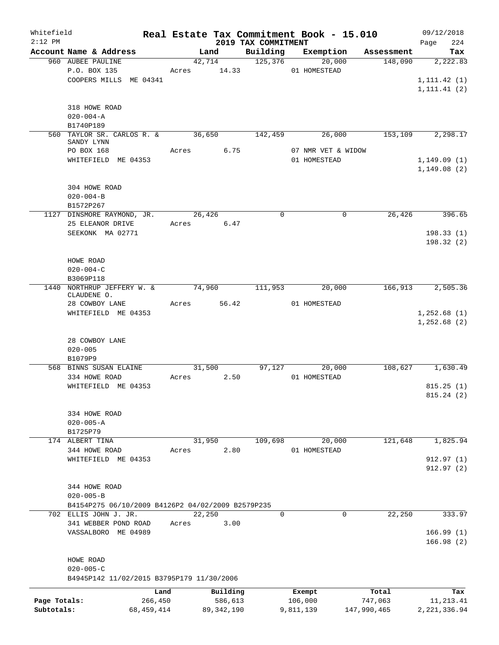| Whitefield<br>$2:12$ PM |                                                   |              |                     | 2019 TAX COMMITMENT | Real Estate Tax Commitment Book - 15.010 |             | 09/12/2018<br>224<br>Page |
|-------------------------|---------------------------------------------------|--------------|---------------------|---------------------|------------------------------------------|-------------|---------------------------|
|                         | Account Name & Address                            |              | Land                | Building            | Exemption                                | Assessment  | Tax                       |
|                         | 960 AUBEE PAULINE                                 |              | 42,714              | 125,376             | 20,000                                   | 148,090     | 2,222.83                  |
|                         | P.O. BOX 135                                      |              | Acres 14.33         |                     | 01 HOMESTEAD                             |             |                           |
|                         | COOPERS MILLS ME 04341                            |              |                     |                     |                                          |             | 1, 111.42(1)              |
|                         |                                                   |              |                     |                     |                                          |             | 1, 111.41(2)              |
|                         |                                                   |              |                     |                     |                                          |             |                           |
|                         | 318 HOWE ROAD                                     |              |                     |                     |                                          |             |                           |
|                         | $020 - 004 - A$                                   |              |                     |                     |                                          |             |                           |
|                         | B1740P189                                         |              |                     |                     |                                          |             |                           |
|                         | 560 TAYLOR SR. CARLOS R. &                        |              | $\overline{36,650}$ | 142,459             | 26,000                                   | 153, 109    | 2,298.17                  |
|                         | SANDY LYNN                                        |              |                     |                     |                                          |             |                           |
|                         | PO BOX 168                                        |              | 6.75<br>Acres       |                     | 07 NMR VET & WIDOW                       |             |                           |
|                         | WHITEFIELD ME 04353                               |              |                     |                     | 01 HOMESTEAD                             |             | 1,149.09(1)               |
|                         |                                                   |              |                     |                     |                                          |             | 1, 149.08(2)              |
|                         |                                                   |              |                     |                     |                                          |             |                           |
|                         | 304 HOWE ROAD                                     |              |                     |                     |                                          |             |                           |
|                         | $020 - 004 - B$                                   |              |                     |                     |                                          |             |                           |
|                         | B1572P267                                         |              |                     |                     |                                          |             |                           |
|                         | 1127 DINSMORE RAYMOND, JR.                        |              | 26,426              | $\mathbf 0$         | 0                                        | 26,426      | 396.65                    |
|                         | 25 ELEANOR DRIVE                                  |              | Acres 6.47          |                     |                                          |             |                           |
|                         | SEEKONK MA 02771                                  |              |                     |                     |                                          |             | 198.33(1)                 |
|                         |                                                   |              |                     |                     |                                          |             | 198.32(2)                 |
|                         |                                                   |              |                     |                     |                                          |             |                           |
|                         | HOWE ROAD                                         |              |                     |                     |                                          |             |                           |
|                         | $020 - 004 - C$                                   |              |                     |                     |                                          |             |                           |
|                         | B3069P118                                         |              |                     |                     |                                          |             |                           |
|                         | 1440 NORTHRUP JEFFERY W. &<br>CLAUDENE O.         |              | 74,960              | 111,953             | 20,000                                   | 166,913     | 2,505.36                  |
|                         | 28 COWBOY LANE                                    |              | Acres 56.42         |                     | 01 HOMESTEAD                             |             |                           |
|                         | WHITEFIELD ME 04353                               |              |                     |                     |                                          |             | 1,252.68(1)               |
|                         |                                                   |              |                     |                     |                                          |             | 1,252.68(2)               |
|                         |                                                   |              |                     |                     |                                          |             |                           |
|                         | 28 COWBOY LANE                                    |              |                     |                     |                                          |             |                           |
|                         | $020 - 005$                                       |              |                     |                     |                                          |             |                           |
|                         | B1079P9                                           |              |                     |                     |                                          |             |                           |
|                         | 568 BINNS SUSAN ELAINE                            |              | 31,500              |                     | 97,127<br>20,000                         |             | 108,627 1,630.49          |
|                         | 334 HOWE ROAD                                     | Acres        | 2.50                |                     | 01 HOMESTEAD                             |             |                           |
|                         | WHITEFIELD ME 04353                               |              |                     |                     |                                          |             | 815.25(1)                 |
|                         |                                                   |              |                     |                     |                                          |             | 815.24 (2)                |
|                         |                                                   |              |                     |                     |                                          |             |                           |
|                         | 334 HOWE ROAD                                     |              |                     |                     |                                          |             |                           |
|                         | $020 - 005 - A$                                   |              |                     |                     |                                          |             |                           |
|                         | B1725P79                                          |              |                     |                     |                                          |             |                           |
|                         | 174 ALBERT TINA                                   |              | 31,950              | 109,698             | 20,000                                   | 121,648     | 1,825.94                  |
|                         | 344 HOWE ROAD                                     | Acres        | 2.80                |                     | 01 HOMESTEAD                             |             |                           |
|                         | WHITEFIELD ME 04353                               |              |                     |                     |                                          |             | 912.97(1)                 |
|                         |                                                   |              |                     |                     |                                          |             | 912.97 (2)                |
|                         |                                                   |              |                     |                     |                                          |             |                           |
|                         | 344 HOWE ROAD                                     |              |                     |                     |                                          |             |                           |
|                         | $020 - 005 - B$                                   |              |                     |                     |                                          |             |                           |
|                         | B4154P275 06/10/2009 B4126P2 04/02/2009 B2579P235 |              |                     |                     |                                          |             |                           |
|                         | 702 ELLIS JOHN J. JR.                             |              | 22,250              | 0                   | 0                                        | 22,250      | 333.97                    |
|                         | 341 WEBBER POND ROAD                              | Acres        | 3.00                |                     |                                          |             |                           |
|                         | VASSALBORO ME 04989                               |              |                     |                     |                                          |             | 166.99(1)                 |
|                         |                                                   |              |                     |                     |                                          |             | 166.98(2)                 |
|                         |                                                   |              |                     |                     |                                          |             |                           |
|                         | HOWE ROAD                                         |              |                     |                     |                                          |             |                           |
|                         | $020 - 005 - C$                                   |              |                     |                     |                                          |             |                           |
|                         | B4945P142 11/02/2015 B3795P179 11/30/2006         |              |                     |                     |                                          |             |                           |
|                         |                                                   | Land         | Building            |                     | Exempt                                   | Total       | Tax                       |
| Page Totals:            |                                                   | 266,450      | 586,613             |                     | 106,000                                  | 747,063     | 11, 213.41                |
| Subtotals:              |                                                   | 68, 459, 414 | 89, 342, 190        |                     | 9,811,139                                | 147,990,465 | 2, 221, 336.94            |
|                         |                                                   |              |                     |                     |                                          |             |                           |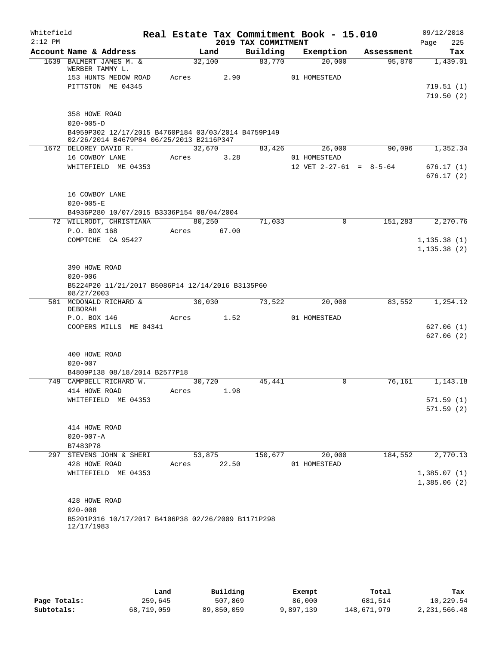| Building<br>Account Name & Address<br>Exemption<br>Land<br>Assessment<br>83,770<br>1639 BALMERT JAMES M. &<br>32,100<br>20,000<br>95,870<br>WERBER TAMMY L.<br>153 HUNTS MEDOW ROAD<br>2.90<br>01 HOMESTEAD<br>Acres<br>PITTSTON ME 04345<br>358 HOWE ROAD<br>$020 - 005 - D$<br>B4959P302 12/17/2015 B4760P184 03/03/2014 B4759P149<br>02/26/2014 B4679P84 06/25/2013 B2116P347<br>32,670<br>26,000<br>90,096<br>1,352.34<br>1672 DELOREY DAVID R.<br>83,426<br>16 COWBOY LANE<br>3.28<br>01 HOMESTEAD<br>Acres<br>12 VET $2-27-61 = 8-5-64$<br>WHITEFIELD ME 04353<br>16 COWBOY LANE<br>$020 - 005 - E$<br>B4936P280 10/07/2015 B3336P154 08/04/2004<br>72 WILLRODT, CHRISTIANA<br>80, 250<br>71,033<br>$\mathbf 0$<br>151,283<br>2,270.76<br>P.O. BOX 168<br>67.00<br>Acres<br>COMPTCHE CA 95427<br>1, 135.38(1)<br>1, 135.38(2)<br>390 HOWE ROAD<br>$020 - 006$<br>B5224P20 11/21/2017 B5086P14 12/14/2016 B3135P60<br>08/27/2003<br>30,030<br>581 MCDONALD RICHARD &<br>20,000<br>83,552<br>1,254.12<br>73,522<br><b>DEBORAH</b><br>P.O. BOX 146<br>1.52<br>01 HOMESTEAD<br>Acres<br>COOPERS MILLS ME 04341<br>627.06(1)<br>627.06(2)<br>400 HOWE ROAD<br>$020 - 007$<br>B4809P138 08/18/2014 B2577P18<br>749 CAMPBELL RICHARD W.<br>45,441<br>76,161<br>30,720<br>0<br>1,143.18<br>414 HOWE ROAD<br>1.98<br>Acres<br>571.59(1)<br>WHITEFIELD ME 04353<br>571.59(2)<br>414 HOWE ROAD<br>$020 - 007 - A$<br>B7483P78<br>184,552<br>53,875<br>150,677<br>20,000<br>297 STEVENS JOHN & SHERI<br>428 HOWE ROAD<br>22.50<br>01 HOMESTEAD<br>Acres<br>1,385.07(1)<br>WHITEFIELD ME 04353<br>1,385.06(2)<br>428 HOWE ROAD<br>$020 - 008$<br>B5201P316 10/17/2017 B4106P38 02/26/2009 B1171P298<br>12/17/1983 | Whitefield<br>$2:12$ PM |  | 2019 TAX COMMITMENT | Real Estate Tax Commitment Book - 15.010 | 09/12/2018<br>225<br>Page |
|------------------------------------------------------------------------------------------------------------------------------------------------------------------------------------------------------------------------------------------------------------------------------------------------------------------------------------------------------------------------------------------------------------------------------------------------------------------------------------------------------------------------------------------------------------------------------------------------------------------------------------------------------------------------------------------------------------------------------------------------------------------------------------------------------------------------------------------------------------------------------------------------------------------------------------------------------------------------------------------------------------------------------------------------------------------------------------------------------------------------------------------------------------------------------------------------------------------------------------------------------------------------------------------------------------------------------------------------------------------------------------------------------------------------------------------------------------------------------------------------------------------------------------------------------------------------------------------------------------------------------------------------------------------------------------------------------------|-------------------------|--|---------------------|------------------------------------------|---------------------------|
|                                                                                                                                                                                                                                                                                                                                                                                                                                                                                                                                                                                                                                                                                                                                                                                                                                                                                                                                                                                                                                                                                                                                                                                                                                                                                                                                                                                                                                                                                                                                                                                                                                                                                                            |                         |  |                     |                                          | Tax                       |
|                                                                                                                                                                                                                                                                                                                                                                                                                                                                                                                                                                                                                                                                                                                                                                                                                                                                                                                                                                                                                                                                                                                                                                                                                                                                                                                                                                                                                                                                                                                                                                                                                                                                                                            |                         |  |                     |                                          | 1,439.01                  |
|                                                                                                                                                                                                                                                                                                                                                                                                                                                                                                                                                                                                                                                                                                                                                                                                                                                                                                                                                                                                                                                                                                                                                                                                                                                                                                                                                                                                                                                                                                                                                                                                                                                                                                            |                         |  |                     |                                          |                           |
|                                                                                                                                                                                                                                                                                                                                                                                                                                                                                                                                                                                                                                                                                                                                                                                                                                                                                                                                                                                                                                                                                                                                                                                                                                                                                                                                                                                                                                                                                                                                                                                                                                                                                                            |                         |  |                     |                                          | 719.51(1)                 |
|                                                                                                                                                                                                                                                                                                                                                                                                                                                                                                                                                                                                                                                                                                                                                                                                                                                                                                                                                                                                                                                                                                                                                                                                                                                                                                                                                                                                                                                                                                                                                                                                                                                                                                            |                         |  |                     |                                          | 719.50(2)                 |
|                                                                                                                                                                                                                                                                                                                                                                                                                                                                                                                                                                                                                                                                                                                                                                                                                                                                                                                                                                                                                                                                                                                                                                                                                                                                                                                                                                                                                                                                                                                                                                                                                                                                                                            |                         |  |                     |                                          |                           |
|                                                                                                                                                                                                                                                                                                                                                                                                                                                                                                                                                                                                                                                                                                                                                                                                                                                                                                                                                                                                                                                                                                                                                                                                                                                                                                                                                                                                                                                                                                                                                                                                                                                                                                            |                         |  |                     |                                          |                           |
|                                                                                                                                                                                                                                                                                                                                                                                                                                                                                                                                                                                                                                                                                                                                                                                                                                                                                                                                                                                                                                                                                                                                                                                                                                                                                                                                                                                                                                                                                                                                                                                                                                                                                                            |                         |  |                     |                                          |                           |
|                                                                                                                                                                                                                                                                                                                                                                                                                                                                                                                                                                                                                                                                                                                                                                                                                                                                                                                                                                                                                                                                                                                                                                                                                                                                                                                                                                                                                                                                                                                                                                                                                                                                                                            |                         |  |                     |                                          |                           |
|                                                                                                                                                                                                                                                                                                                                                                                                                                                                                                                                                                                                                                                                                                                                                                                                                                                                                                                                                                                                                                                                                                                                                                                                                                                                                                                                                                                                                                                                                                                                                                                                                                                                                                            |                         |  |                     |                                          |                           |
|                                                                                                                                                                                                                                                                                                                                                                                                                                                                                                                                                                                                                                                                                                                                                                                                                                                                                                                                                                                                                                                                                                                                                                                                                                                                                                                                                                                                                                                                                                                                                                                                                                                                                                            |                         |  |                     |                                          | 676.17(1)<br>676.17(2)    |
|                                                                                                                                                                                                                                                                                                                                                                                                                                                                                                                                                                                                                                                                                                                                                                                                                                                                                                                                                                                                                                                                                                                                                                                                                                                                                                                                                                                                                                                                                                                                                                                                                                                                                                            |                         |  |                     |                                          |                           |
|                                                                                                                                                                                                                                                                                                                                                                                                                                                                                                                                                                                                                                                                                                                                                                                                                                                                                                                                                                                                                                                                                                                                                                                                                                                                                                                                                                                                                                                                                                                                                                                                                                                                                                            |                         |  |                     |                                          |                           |
|                                                                                                                                                                                                                                                                                                                                                                                                                                                                                                                                                                                                                                                                                                                                                                                                                                                                                                                                                                                                                                                                                                                                                                                                                                                                                                                                                                                                                                                                                                                                                                                                                                                                                                            |                         |  |                     |                                          |                           |
|                                                                                                                                                                                                                                                                                                                                                                                                                                                                                                                                                                                                                                                                                                                                                                                                                                                                                                                                                                                                                                                                                                                                                                                                                                                                                                                                                                                                                                                                                                                                                                                                                                                                                                            |                         |  |                     |                                          |                           |
|                                                                                                                                                                                                                                                                                                                                                                                                                                                                                                                                                                                                                                                                                                                                                                                                                                                                                                                                                                                                                                                                                                                                                                                                                                                                                                                                                                                                                                                                                                                                                                                                                                                                                                            |                         |  |                     |                                          |                           |
|                                                                                                                                                                                                                                                                                                                                                                                                                                                                                                                                                                                                                                                                                                                                                                                                                                                                                                                                                                                                                                                                                                                                                                                                                                                                                                                                                                                                                                                                                                                                                                                                                                                                                                            |                         |  |                     |                                          |                           |
|                                                                                                                                                                                                                                                                                                                                                                                                                                                                                                                                                                                                                                                                                                                                                                                                                                                                                                                                                                                                                                                                                                                                                                                                                                                                                                                                                                                                                                                                                                                                                                                                                                                                                                            |                         |  |                     |                                          |                           |
|                                                                                                                                                                                                                                                                                                                                                                                                                                                                                                                                                                                                                                                                                                                                                                                                                                                                                                                                                                                                                                                                                                                                                                                                                                                                                                                                                                                                                                                                                                                                                                                                                                                                                                            |                         |  |                     |                                          |                           |
|                                                                                                                                                                                                                                                                                                                                                                                                                                                                                                                                                                                                                                                                                                                                                                                                                                                                                                                                                                                                                                                                                                                                                                                                                                                                                                                                                                                                                                                                                                                                                                                                                                                                                                            |                         |  |                     |                                          |                           |
|                                                                                                                                                                                                                                                                                                                                                                                                                                                                                                                                                                                                                                                                                                                                                                                                                                                                                                                                                                                                                                                                                                                                                                                                                                                                                                                                                                                                                                                                                                                                                                                                                                                                                                            |                         |  |                     |                                          |                           |
|                                                                                                                                                                                                                                                                                                                                                                                                                                                                                                                                                                                                                                                                                                                                                                                                                                                                                                                                                                                                                                                                                                                                                                                                                                                                                                                                                                                                                                                                                                                                                                                                                                                                                                            |                         |  |                     |                                          |                           |
|                                                                                                                                                                                                                                                                                                                                                                                                                                                                                                                                                                                                                                                                                                                                                                                                                                                                                                                                                                                                                                                                                                                                                                                                                                                                                                                                                                                                                                                                                                                                                                                                                                                                                                            |                         |  |                     |                                          |                           |
|                                                                                                                                                                                                                                                                                                                                                                                                                                                                                                                                                                                                                                                                                                                                                                                                                                                                                                                                                                                                                                                                                                                                                                                                                                                                                                                                                                                                                                                                                                                                                                                                                                                                                                            |                         |  |                     |                                          |                           |
|                                                                                                                                                                                                                                                                                                                                                                                                                                                                                                                                                                                                                                                                                                                                                                                                                                                                                                                                                                                                                                                                                                                                                                                                                                                                                                                                                                                                                                                                                                                                                                                                                                                                                                            |                         |  |                     |                                          |                           |
|                                                                                                                                                                                                                                                                                                                                                                                                                                                                                                                                                                                                                                                                                                                                                                                                                                                                                                                                                                                                                                                                                                                                                                                                                                                                                                                                                                                                                                                                                                                                                                                                                                                                                                            |                         |  |                     |                                          |                           |
|                                                                                                                                                                                                                                                                                                                                                                                                                                                                                                                                                                                                                                                                                                                                                                                                                                                                                                                                                                                                                                                                                                                                                                                                                                                                                                                                                                                                                                                                                                                                                                                                                                                                                                            |                         |  |                     |                                          |                           |
|                                                                                                                                                                                                                                                                                                                                                                                                                                                                                                                                                                                                                                                                                                                                                                                                                                                                                                                                                                                                                                                                                                                                                                                                                                                                                                                                                                                                                                                                                                                                                                                                                                                                                                            |                         |  |                     |                                          |                           |
|                                                                                                                                                                                                                                                                                                                                                                                                                                                                                                                                                                                                                                                                                                                                                                                                                                                                                                                                                                                                                                                                                                                                                                                                                                                                                                                                                                                                                                                                                                                                                                                                                                                                                                            |                         |  |                     |                                          |                           |
|                                                                                                                                                                                                                                                                                                                                                                                                                                                                                                                                                                                                                                                                                                                                                                                                                                                                                                                                                                                                                                                                                                                                                                                                                                                                                                                                                                                                                                                                                                                                                                                                                                                                                                            |                         |  |                     |                                          |                           |
|                                                                                                                                                                                                                                                                                                                                                                                                                                                                                                                                                                                                                                                                                                                                                                                                                                                                                                                                                                                                                                                                                                                                                                                                                                                                                                                                                                                                                                                                                                                                                                                                                                                                                                            |                         |  |                     |                                          |                           |
|                                                                                                                                                                                                                                                                                                                                                                                                                                                                                                                                                                                                                                                                                                                                                                                                                                                                                                                                                                                                                                                                                                                                                                                                                                                                                                                                                                                                                                                                                                                                                                                                                                                                                                            |                         |  |                     |                                          |                           |
|                                                                                                                                                                                                                                                                                                                                                                                                                                                                                                                                                                                                                                                                                                                                                                                                                                                                                                                                                                                                                                                                                                                                                                                                                                                                                                                                                                                                                                                                                                                                                                                                                                                                                                            |                         |  |                     |                                          |                           |
|                                                                                                                                                                                                                                                                                                                                                                                                                                                                                                                                                                                                                                                                                                                                                                                                                                                                                                                                                                                                                                                                                                                                                                                                                                                                                                                                                                                                                                                                                                                                                                                                                                                                                                            |                         |  |                     |                                          |                           |
|                                                                                                                                                                                                                                                                                                                                                                                                                                                                                                                                                                                                                                                                                                                                                                                                                                                                                                                                                                                                                                                                                                                                                                                                                                                                                                                                                                                                                                                                                                                                                                                                                                                                                                            |                         |  |                     |                                          |                           |
|                                                                                                                                                                                                                                                                                                                                                                                                                                                                                                                                                                                                                                                                                                                                                                                                                                                                                                                                                                                                                                                                                                                                                                                                                                                                                                                                                                                                                                                                                                                                                                                                                                                                                                            |                         |  |                     |                                          | 2,770.13                  |
|                                                                                                                                                                                                                                                                                                                                                                                                                                                                                                                                                                                                                                                                                                                                                                                                                                                                                                                                                                                                                                                                                                                                                                                                                                                                                                                                                                                                                                                                                                                                                                                                                                                                                                            |                         |  |                     |                                          |                           |
|                                                                                                                                                                                                                                                                                                                                                                                                                                                                                                                                                                                                                                                                                                                                                                                                                                                                                                                                                                                                                                                                                                                                                                                                                                                                                                                                                                                                                                                                                                                                                                                                                                                                                                            |                         |  |                     |                                          |                           |
|                                                                                                                                                                                                                                                                                                                                                                                                                                                                                                                                                                                                                                                                                                                                                                                                                                                                                                                                                                                                                                                                                                                                                                                                                                                                                                                                                                                                                                                                                                                                                                                                                                                                                                            |                         |  |                     |                                          |                           |
|                                                                                                                                                                                                                                                                                                                                                                                                                                                                                                                                                                                                                                                                                                                                                                                                                                                                                                                                                                                                                                                                                                                                                                                                                                                                                                                                                                                                                                                                                                                                                                                                                                                                                                            |                         |  |                     |                                          |                           |
|                                                                                                                                                                                                                                                                                                                                                                                                                                                                                                                                                                                                                                                                                                                                                                                                                                                                                                                                                                                                                                                                                                                                                                                                                                                                                                                                                                                                                                                                                                                                                                                                                                                                                                            |                         |  |                     |                                          |                           |
|                                                                                                                                                                                                                                                                                                                                                                                                                                                                                                                                                                                                                                                                                                                                                                                                                                                                                                                                                                                                                                                                                                                                                                                                                                                                                                                                                                                                                                                                                                                                                                                                                                                                                                            |                         |  |                     |                                          |                           |
|                                                                                                                                                                                                                                                                                                                                                                                                                                                                                                                                                                                                                                                                                                                                                                                                                                                                                                                                                                                                                                                                                                                                                                                                                                                                                                                                                                                                                                                                                                                                                                                                                                                                                                            |                         |  |                     |                                          |                           |
|                                                                                                                                                                                                                                                                                                                                                                                                                                                                                                                                                                                                                                                                                                                                                                                                                                                                                                                                                                                                                                                                                                                                                                                                                                                                                                                                                                                                                                                                                                                                                                                                                                                                                                            |                         |  |                     |                                          |                           |

|              | Land       | Building   | Exempt    | Total       | Tax          |
|--------------|------------|------------|-----------|-------------|--------------|
| Page Totals: | 259,645    | 507,869    | 86,000    | 681,514     | 10,229.54    |
| Subtotals:   | 68,719,059 | 89,850,059 | 9,897,139 | 148,671,979 | 2,231,566.48 |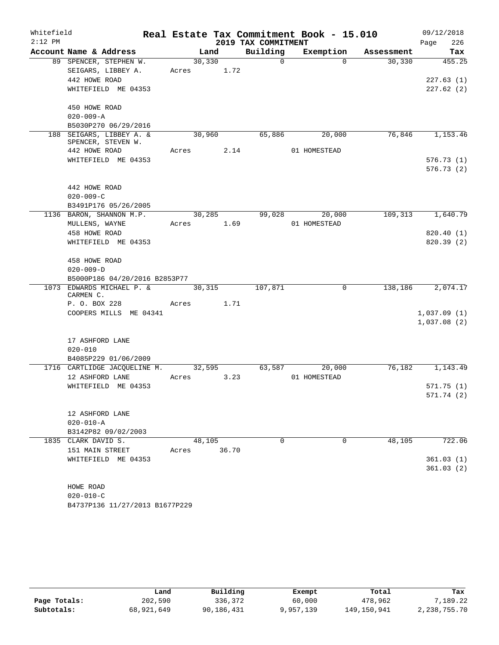| Whitefield<br>$2:12$ PM |                                |             |                                 | Real Estate Tax Commitment Book - 15.010 |            | 09/12/2018<br>226     |
|-------------------------|--------------------------------|-------------|---------------------------------|------------------------------------------|------------|-----------------------|
|                         | Account Name & Address         | Land        | 2019 TAX COMMITMENT<br>Building | Exemption                                | Assessment | Page<br>Tax           |
|                         | 89 SPENCER, STEPHEN W.         | 30, 330     | $\Omega$                        | $\Omega$                                 | 30,330     | 455.25                |
|                         | SEIGARS, LIBBEY A.             | Acres 1.72  |                                 |                                          |            |                       |
|                         | 442 HOWE ROAD                  |             |                                 |                                          |            | 227.63(1)             |
|                         | WHITEFIELD ME 04353            |             |                                 |                                          |            | 227.62(2)             |
|                         |                                |             |                                 |                                          |            |                       |
|                         | 450 HOWE ROAD                  |             |                                 |                                          |            |                       |
|                         | $020 - 009 - A$                |             |                                 |                                          |            |                       |
|                         | B5030P270 06/29/2016           |             |                                 |                                          |            |                       |
|                         | 188 SEIGARS, LIBBEY A. &       | 30,960      | 65,886                          | 20,000                                   | 76,846     | 1,153.46              |
|                         | SPENCER, STEVEN W.             |             |                                 |                                          |            |                       |
|                         | 442 HOWE ROAD                  | Acres 2.14  |                                 | 01 HOMESTEAD                             |            |                       |
|                         | WHITEFIELD ME 04353            |             |                                 |                                          |            | 576.73(1)             |
|                         |                                |             |                                 |                                          |            | 576.73(2)             |
|                         |                                |             |                                 |                                          |            |                       |
|                         | 442 HOWE ROAD                  |             |                                 |                                          |            |                       |
|                         | $020 - 009 - C$                |             |                                 |                                          |            |                       |
|                         | B3491P176 05/26/2005           |             |                                 |                                          |            |                       |
|                         | 1136 BARON, SHANNON M.P.       | 30,285      | 99,028                          | 20,000                                   | 109,313    | 1,640.79              |
|                         | MULLENS, WAYNE                 | Acres 1.69  |                                 | 01 HOMESTEAD                             |            |                       |
|                         | 458 HOWE ROAD                  |             |                                 |                                          |            | 820.40 (1)            |
|                         | WHITEFIELD ME 04353            |             |                                 |                                          |            | 820.39(2)             |
|                         | 458 HOWE ROAD                  |             |                                 |                                          |            |                       |
|                         | $020 - 009 - D$                |             |                                 |                                          |            |                       |
|                         | B5000P186 04/20/2016 B2853P77  |             |                                 |                                          |            |                       |
|                         | 1073 EDWARDS MICHAEL P. &      | 30,315      | 107,871                         | $\mathbf{0}$                             | 138,186    | $\overline{2,074.17}$ |
|                         | CARMEN C.                      |             |                                 |                                          |            |                       |
|                         | P. O. BOX 228                  | Acres 1.71  |                                 |                                          |            |                       |
|                         | COOPERS MILLS ME 04341         |             |                                 |                                          |            | 1,037.09(1)           |
|                         |                                |             |                                 |                                          |            | 1,037.08(2)           |
|                         |                                |             |                                 |                                          |            |                       |
|                         | 17 ASHFORD LANE                |             |                                 |                                          |            |                       |
|                         | $020 - 010$                    |             |                                 |                                          |            |                       |
|                         | B4085P229 01/06/2009           |             |                                 |                                          |            |                       |
|                         | 1716 CARTLIDGE JACQUELINE M.   | 32,595      |                                 | 63,587<br>20,000                         | 76,182     | 1,143.49              |
|                         | 12 ASHFORD LANE                | Acres 3.23  |                                 | 01 HOMESTEAD                             |            |                       |
|                         | WHITEFIELD ME 04353            |             |                                 |                                          |            | 571.75(1)             |
|                         |                                |             |                                 |                                          |            | 571.74(2)             |
|                         |                                |             |                                 |                                          |            |                       |
|                         | 12 ASHFORD LANE                |             |                                 |                                          |            |                       |
|                         | $020 - 010 - A$                |             |                                 |                                          |            |                       |
|                         | B3142P82 09/02/2003            |             |                                 |                                          |            |                       |
|                         | 1835 CLARK DAVID S.            | 48,105      | $\Omega$                        | $\Omega$                                 | 48,105     | 722.06                |
|                         | 151 MAIN STREET                | Acres 36.70 |                                 |                                          |            |                       |
|                         | WHITEFIELD ME 04353            |             |                                 |                                          |            | 361.03(1)             |
|                         |                                |             |                                 |                                          |            | 361.03(2)             |
|                         | HOWE ROAD                      |             |                                 |                                          |            |                       |
|                         | $020 - 010 - C$                |             |                                 |                                          |            |                       |
|                         | B4737P136 11/27/2013 B1677P229 |             |                                 |                                          |            |                       |

|              | Land       | Building   | Exempt    | Total       | Tax          |
|--------------|------------|------------|-----------|-------------|--------------|
| Page Totals: | 202,590    | 336,372    | 60,000    | 478,962     | 7,189.22     |
| Subtotals:   | 68,921,649 | 90,186,431 | 9,957,139 | 149,150,941 | 2,238,755.70 |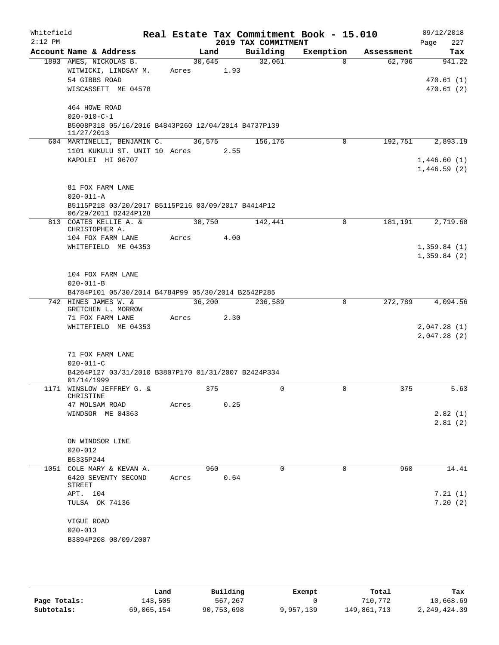| Whitefield |                                                                   |       |        |     |      | Real Estate Tax Commitment Book - 15.010 |           |             |            | 09/12/2018                 |
|------------|-------------------------------------------------------------------|-------|--------|-----|------|------------------------------------------|-----------|-------------|------------|----------------------------|
| $2:12$ PM  |                                                                   |       |        |     |      | 2019 TAX COMMITMENT                      |           |             |            | 227<br>Page                |
|            | Account Name & Address                                            |       | Land   |     |      | Building                                 | Exemption |             | Assessment | Tax                        |
|            | 1893 AMES, NICKOLAS B.                                            |       | 30,645 |     |      | 32,061                                   |           | $\Omega$    | 62,706     | 941.22                     |
|            | WITWICKI, LINDSAY M.<br>54 GIBBS ROAD                             | Acres |        |     | 1.93 |                                          |           |             |            |                            |
|            | WISCASSETT ME 04578                                               |       |        |     |      |                                          |           |             |            | 470.61(1)<br>470.61(2)     |
|            |                                                                   |       |        |     |      |                                          |           |             |            |                            |
|            | 464 HOWE ROAD                                                     |       |        |     |      |                                          |           |             |            |                            |
|            | $020 - 010 - C - 1$                                               |       |        |     |      |                                          |           |             |            |                            |
|            | B5008P318 05/16/2016 B4843P260 12/04/2014 B4737P139               |       |        |     |      |                                          |           |             |            |                            |
|            | 11/27/2013                                                        |       |        |     |      |                                          |           |             |            |                            |
|            | 604 MARTINELLI, BENJAMIN C.                                       |       | 36,575 |     |      | 156,176                                  |           | 0           | 192,751    | 2,893.19                   |
|            | 1101 KUKULU ST. UNIT 10 Acres                                     |       |        |     | 2.55 |                                          |           |             |            |                            |
|            | KAPOLEI HI 96707                                                  |       |        |     |      |                                          |           |             |            | 1,446.60(1)<br>1,446.59(2) |
|            |                                                                   |       |        |     |      |                                          |           |             |            |                            |
|            | 81 FOX FARM LANE                                                  |       |        |     |      |                                          |           |             |            |                            |
|            | $020 - 011 - A$                                                   |       |        |     |      |                                          |           |             |            |                            |
|            | B5115P218 03/20/2017 B5115P216 03/09/2017 B4414P12                |       |        |     |      |                                          |           |             |            |                            |
|            | 06/29/2011 B2424P128                                              |       |        |     |      |                                          |           |             |            |                            |
|            | 813 COATES KELLIE A. &                                            |       | 38,750 |     |      | 142,441                                  |           | 0           | 181,191    | 2,719.68                   |
|            | CHRISTOPHER A.<br>104 FOX FARM LANE                               | Acres |        |     | 4.00 |                                          |           |             |            |                            |
|            | WHITEFIELD ME 04353                                               |       |        |     |      |                                          |           |             |            | 1,359.84(1)                |
|            |                                                                   |       |        |     |      |                                          |           |             |            | 1,359.84(2)                |
|            |                                                                   |       |        |     |      |                                          |           |             |            |                            |
|            | 104 FOX FARM LANE                                                 |       |        |     |      |                                          |           |             |            |                            |
|            | $020 - 011 - B$                                                   |       |        |     |      |                                          |           |             |            |                            |
|            | B4784P101 05/30/2014 B4784P99 05/30/2014 B2542P285                |       |        |     |      |                                          |           |             |            |                            |
|            | 742 HINES JAMES W. &<br>GRETCHEN L. MORROW                        |       | 36,200 |     |      | 236,589                                  |           | 0           | 272,789    | 4,094.56                   |
|            | 71 FOX FARM LANE                                                  | Acres |        |     | 2.30 |                                          |           |             |            |                            |
|            | WHITEFIELD ME 04353                                               |       |        |     |      |                                          |           |             |            | 2,047.28(1)                |
|            |                                                                   |       |        |     |      |                                          |           |             |            | 2,047.28(2)                |
|            |                                                                   |       |        |     |      |                                          |           |             |            |                            |
|            | 71 FOX FARM LANE                                                  |       |        |     |      |                                          |           |             |            |                            |
|            | $020 - 011 - C$                                                   |       |        |     |      |                                          |           |             |            |                            |
|            | B4264P127 03/31/2010 B3807P170 01/31/2007 B2424P334<br>01/14/1999 |       |        |     |      |                                          |           |             |            |                            |
|            | 1171 WINSLOW JEFFREY G. &                                         |       |        | 375 |      | $\mathbf 0$                              |           | $\mathbf 0$ | 375        | 5.63                       |
|            | CHRISTINE                                                         |       |        |     |      |                                          |           |             |            |                            |
|            | 47 MOLSAM ROAD                                                    | Acres |        |     | 0.25 |                                          |           |             |            |                            |
|            | WINDSOR ME 04363                                                  |       |        |     |      |                                          |           |             |            | 2.82(1)                    |
|            |                                                                   |       |        |     |      |                                          |           |             |            | 2.81(2)                    |
|            |                                                                   |       |        |     |      |                                          |           |             |            |                            |
|            | ON WINDSOR LINE<br>$020 - 012$                                    |       |        |     |      |                                          |           |             |            |                            |
|            | B5335P244                                                         |       |        |     |      |                                          |           |             |            |                            |
|            | 1051 COLE MARY & KEVAN A.                                         |       |        | 960 |      | $\Omega$                                 |           | $\Omega$    | 960        | 14.41                      |
|            | 6420 SEVENTY SECOND                                               | Acres |        |     | 0.64 |                                          |           |             |            |                            |
|            | STREET                                                            |       |        |     |      |                                          |           |             |            |                            |
|            | APT. 104                                                          |       |        |     |      |                                          |           |             |            | 7.21(1)                    |
|            | TULSA OK 74136                                                    |       |        |     |      |                                          |           |             |            | 7.20(2)                    |
|            |                                                                   |       |        |     |      |                                          |           |             |            |                            |
|            | VIGUE ROAD<br>$020 - 013$                                         |       |        |     |      |                                          |           |             |            |                            |
|            | B3894P208 08/09/2007                                              |       |        |     |      |                                          |           |             |            |                            |
|            |                                                                   |       |        |     |      |                                          |           |             |            |                            |

|              | Land       | Building   | Exempt    | Total       | Tax          |
|--------------|------------|------------|-----------|-------------|--------------|
| Page Totals: | 143,505    | 567,267    |           | 710,772     | 10,668.69    |
| Subtotals:   | 69,065,154 | 90,753,698 | 9,957,139 | 149,861,713 | 2,249,424.39 |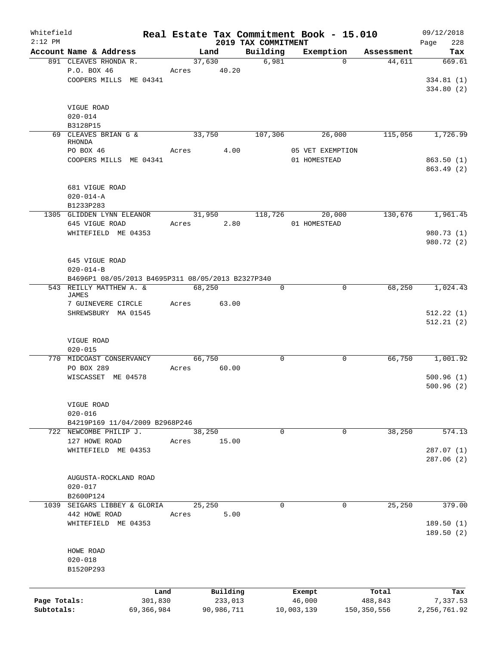| Whitefield<br>$2:12$ PM |                                                   |            |       |            | Real Estate Tax Commitment Book - 15.010 |                  |          |             | 09/12/2018         |
|-------------------------|---------------------------------------------------|------------|-------|------------|------------------------------------------|------------------|----------|-------------|--------------------|
|                         | Account Name & Address                            |            |       | Land       | 2019 TAX COMMITMENT<br>Building          | Exemption        |          | Assessment  | Page<br>228<br>Tax |
|                         | 891 CLEAVES RHONDA R.                             |            |       | 37,630     | 6,981                                    |                  | $\Omega$ | 44,611      | 669.61             |
|                         | P.O. BOX 46                                       |            | Acres | 40.20      |                                          |                  |          |             |                    |
|                         | COOPERS MILLS ME 04341                            |            |       |            |                                          |                  |          |             | 334.81(1)          |
|                         |                                                   |            |       |            |                                          |                  |          |             | 334.80 (2)         |
|                         |                                                   |            |       |            |                                          |                  |          |             |                    |
|                         | VIGUE ROAD                                        |            |       |            |                                          |                  |          |             |                    |
|                         | $020 - 014$                                       |            |       |            |                                          |                  |          |             |                    |
|                         | B3128P15                                          |            |       |            |                                          |                  |          |             |                    |
|                         | 69 CLEAVES BRIAN G &                              |            |       | 33,750     | 107,306                                  |                  | 26,000   | 115,056     | 1,726.99           |
|                         | RHONDA                                            |            |       |            |                                          |                  |          |             |                    |
|                         | PO BOX 46                                         |            | Acres | 4.00       |                                          | 05 VET EXEMPTION |          |             |                    |
|                         | COOPERS MILLS ME 04341                            |            |       |            |                                          | 01 HOMESTEAD     |          |             | 863.50(1)          |
|                         |                                                   |            |       |            |                                          |                  |          |             | 863.49(2)          |
|                         |                                                   |            |       |            |                                          |                  |          |             |                    |
|                         | 681 VIGUE ROAD                                    |            |       |            |                                          |                  |          |             |                    |
|                         | $020 - 014 - A$                                   |            |       |            |                                          |                  |          |             |                    |
|                         | B1233P283                                         |            |       |            |                                          |                  |          |             |                    |
|                         | 1305 GLIDDEN LYNN ELEANOR                         |            |       | 31,950     | 118,726                                  |                  | 20,000   | 130,676     | 1,961.45           |
|                         | 645 VIGUE ROAD                                    |            | Acres | 2.80       |                                          | 01 HOMESTEAD     |          |             |                    |
|                         | WHITEFIELD ME 04353                               |            |       |            |                                          |                  |          |             | 980.73 (1)         |
|                         |                                                   |            |       |            |                                          |                  |          |             | 980.72 (2)         |
|                         |                                                   |            |       |            |                                          |                  |          |             |                    |
|                         | 645 VIGUE ROAD                                    |            |       |            |                                          |                  |          |             |                    |
|                         | $020 - 014 - B$                                   |            |       |            |                                          |                  |          |             |                    |
|                         | B4696P1 08/05/2013 B4695P311 08/05/2013 B2327P340 |            |       |            |                                          |                  |          |             |                    |
|                         | 543 REILLY MATTHEW A. &                           |            |       | 68,250     | $\Omega$                                 |                  | $\Omega$ | 68, 250     | 1,024.43           |
|                         | <b>JAMES</b>                                      |            |       |            |                                          |                  |          |             |                    |
|                         | 7 GUINEVERE CIRCLE                                |            | Acres | 63.00      |                                          |                  |          |             |                    |
|                         | SHREWSBURY MA 01545                               |            |       |            |                                          |                  |          |             | 512.22(1)          |
|                         |                                                   |            |       |            |                                          |                  |          |             | 512.21(2)          |
|                         |                                                   |            |       |            |                                          |                  |          |             |                    |
|                         | VIGUE ROAD                                        |            |       |            |                                          |                  |          |             |                    |
|                         | $020 - 015$                                       |            |       |            |                                          |                  |          |             |                    |
|                         | 770 MIDCOAST CONSERVANCY                          |            |       | 66,750     | 0                                        |                  | 0        | 66,750      | 1,001.92           |
|                         | PO BOX 289                                        |            | Acres | 60.00      |                                          |                  |          |             |                    |
|                         | WISCASSET ME 04578                                |            |       |            |                                          |                  |          |             | 500.96(1)          |
|                         |                                                   |            |       |            |                                          |                  |          |             | 500.96(2)          |
|                         |                                                   |            |       |            |                                          |                  |          |             |                    |
|                         | VIGUE ROAD                                        |            |       |            |                                          |                  |          |             |                    |
|                         | $020 - 016$                                       |            |       |            |                                          |                  |          |             |                    |
|                         | B4219P169 11/04/2009 B2968P246                    |            |       |            |                                          |                  |          |             |                    |
|                         | 722 NEWCOMBE PHILIP J.                            |            |       | 38,250     | $\Omega$                                 |                  | 0        | 38,250      | 574.13             |
|                         | 127 HOWE ROAD                                     |            | Acres | 15.00      |                                          |                  |          |             |                    |
|                         | WHITEFIELD ME 04353                               |            |       |            |                                          |                  |          |             | 287.07(1)          |
|                         |                                                   |            |       |            |                                          |                  |          |             | 287.06 (2)         |
|                         |                                                   |            |       |            |                                          |                  |          |             |                    |
|                         |                                                   |            |       |            |                                          |                  |          |             |                    |
|                         | AUGUSTA-ROCKLAND ROAD                             |            |       |            |                                          |                  |          |             |                    |
|                         | $020 - 017$                                       |            |       |            |                                          |                  |          |             |                    |
|                         | B2600P124                                         |            |       |            |                                          |                  |          |             |                    |
| 1039                    | SEIGARS LIBBEY & GLORIA                           |            |       | 25,250     | 0                                        |                  | 0        | 25,250      | 379.00             |
|                         | 442 HOWE ROAD                                     |            | Acres | 5.00       |                                          |                  |          |             |                    |
|                         | WHITEFIELD ME 04353                               |            |       |            |                                          |                  |          |             | 189.50(1)          |
|                         |                                                   |            |       |            |                                          |                  |          |             | 189.50 (2)         |
|                         |                                                   |            |       |            |                                          |                  |          |             |                    |
|                         | HOWE ROAD                                         |            |       |            |                                          |                  |          |             |                    |
|                         | $020 - 018$                                       |            |       |            |                                          |                  |          |             |                    |
|                         | B1520P293                                         |            |       |            |                                          |                  |          |             |                    |
|                         |                                                   |            |       |            |                                          |                  |          |             |                    |
|                         |                                                   | Land       |       | Building   |                                          | Exempt           |          | Total       | Tax                |
| Page Totals:            |                                                   | 301,830    |       | 233,013    |                                          | 46,000           |          | 488,843     | 7,337.53           |
| Subtotals:              |                                                   | 69,366,984 |       | 90,986,711 |                                          | 10,003,139       |          | 150,350,556 | 2, 256, 761.92     |
|                         |                                                   |            |       |            |                                          |                  |          |             |                    |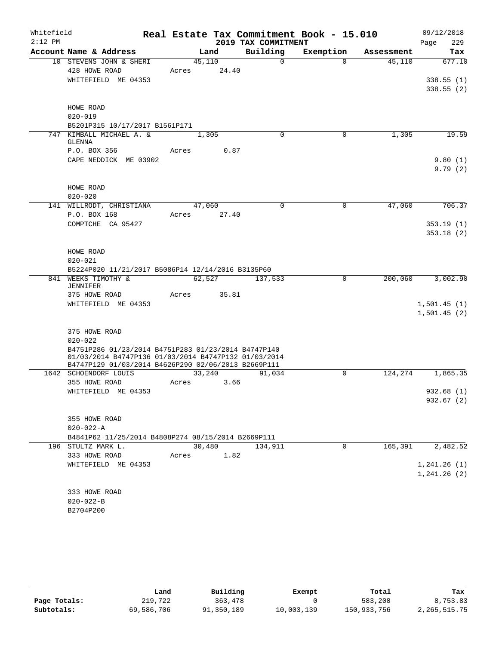| Whitefield |                                                      |        |       |                     | Real Estate Tax Commitment Book - 15.010 |            | 09/12/2018             |
|------------|------------------------------------------------------|--------|-------|---------------------|------------------------------------------|------------|------------------------|
| $2:12$ PM  |                                                      |        |       | 2019 TAX COMMITMENT |                                          |            | 229<br>Page            |
|            | Account Name & Address                               |        | Land  | Building            | Exemption                                | Assessment | Tax                    |
|            | 10 STEVENS JOHN & SHERI                              | 45,110 |       | $\mathbf 0$         | $\Omega$                                 | 45,110     | 677.10                 |
|            | 428 HOWE ROAD                                        | Acres  | 24.40 |                     |                                          |            |                        |
|            | WHITEFIELD ME 04353                                  |        |       |                     |                                          |            | 338.55(1)              |
|            |                                                      |        |       |                     |                                          |            | 338.55(2)              |
|            | HOWE ROAD                                            |        |       |                     |                                          |            |                        |
|            | $020 - 019$                                          |        |       |                     |                                          |            |                        |
|            | B5201P315 10/17/2017 B1561P171                       |        |       |                     |                                          |            |                        |
|            | 747 KIMBALL MICHAEL A. &                             | 1,305  |       | $\Omega$            | 0                                        | 1,305      | 19.59                  |
|            | GLENNA                                               |        |       |                     |                                          |            |                        |
|            | P.O. BOX 356                                         | Acres  | 0.87  |                     |                                          |            |                        |
|            | CAPE NEDDICK ME 03902                                |        |       |                     |                                          |            | 9.80(1)                |
|            |                                                      |        |       |                     |                                          |            | 9.79(2)                |
|            |                                                      |        |       |                     |                                          |            |                        |
|            | HOWE ROAD                                            |        |       |                     |                                          |            |                        |
|            | $020 - 020$                                          |        |       |                     |                                          |            |                        |
|            | 141 WILLRODT, CHRISTIANA                             | 47,060 |       | 0                   | $\mathbf 0$                              | 47,060     | 706.37                 |
|            | P.O. BOX 168<br>COMPTCHE CA 95427                    | Acres  | 27.40 |                     |                                          |            |                        |
|            |                                                      |        |       |                     |                                          |            | 353.19(1)<br>353.18(2) |
|            |                                                      |        |       |                     |                                          |            |                        |
|            | HOWE ROAD                                            |        |       |                     |                                          |            |                        |
|            | $020 - 021$                                          |        |       |                     |                                          |            |                        |
|            | B5224P020 11/21/2017 B5086P14 12/14/2016 B3135P60    |        |       |                     |                                          |            |                        |
|            | 841 WEEKS TIMOTHY &                                  | 62,527 |       | 137,533             | $\mathbf 0$                              | 200,060    | 3,002.90               |
|            | <b>JENNIFER</b>                                      |        |       |                     |                                          |            |                        |
|            | 375 HOWE ROAD                                        | Acres  | 35.81 |                     |                                          |            |                        |
|            | WHITEFIELD ME 04353                                  |        |       |                     |                                          |            | 1,501.45(1)            |
|            |                                                      |        |       |                     |                                          |            | 1,501.45(2)            |
|            |                                                      |        |       |                     |                                          |            |                        |
|            | 375 HOWE ROAD<br>$020 - 022$                         |        |       |                     |                                          |            |                        |
|            | B4751P286 01/23/2014 B4751P283 01/23/2014 B4747P140  |        |       |                     |                                          |            |                        |
|            | 01/03/2014 B4747P136 01/03/2014 B4747P132 01/03/2014 |        |       |                     |                                          |            |                        |
|            | B4747P129 01/03/2014 B4626P290 02/06/2013 B2669P111  |        |       |                     |                                          |            |                        |
|            | 1642 SCHOENDORF LOUIS                                | 33,240 |       | 91,034              | $\Omega$                                 | 124,274    | 1,865.35               |
|            | 355 HOWE ROAD                                        | Acres  | 3.66  |                     |                                          |            |                        |
|            | WHITEFIELD ME 04353                                  |        |       |                     |                                          |            | 932.68(1)              |
|            |                                                      |        |       |                     |                                          |            | 932.67(2)              |
|            | 355 HOWE ROAD                                        |        |       |                     |                                          |            |                        |
|            | $020 - 022 - A$                                      |        |       |                     |                                          |            |                        |
|            | B4841P62 11/25/2014 B4808P274 08/15/2014 B2669P111   |        |       |                     |                                          |            |                        |
|            | 196 STULTZ MARK L.                                   | 30,480 |       | 134,911             | 0                                        | 165,391    | 2,482.52               |
|            | 333 HOWE ROAD                                        | Acres  | 1.82  |                     |                                          |            |                        |
|            | WHITEFIELD ME 04353                                  |        |       |                     |                                          |            | 1, 241.26(1)           |
|            |                                                      |        |       |                     |                                          |            | 1, 241.26 (2)          |
|            |                                                      |        |       |                     |                                          |            |                        |
|            | 333 HOWE ROAD                                        |        |       |                     |                                          |            |                        |
|            | $020 - 022 - B$                                      |        |       |                     |                                          |            |                        |
|            | B2704P200                                            |        |       |                     |                                          |            |                        |

|              | Land       | Building   | Exempt     | Total       | Tax             |
|--------------|------------|------------|------------|-------------|-----------------|
| Page Totals: | 219,722    | 363,478    |            | 583,200     | 8,753.83        |
| Subtotals:   | 69,586,706 | 91,350,189 | 10,003,139 | 150,933,756 | 2, 265, 515. 75 |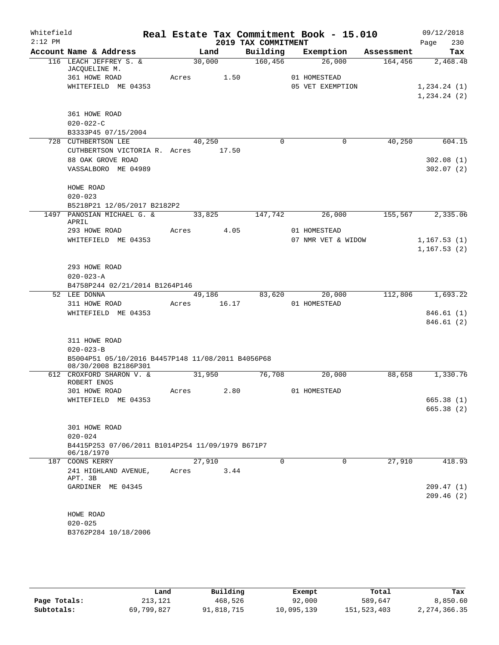| Whitefield<br>$2:12$ PM |                                                   |       |        |       | 2019 TAX COMMITMENT | Real Estate Tax Commitment Book - 15.010 |            | 09/12/2018<br>Page<br>230 |
|-------------------------|---------------------------------------------------|-------|--------|-------|---------------------|------------------------------------------|------------|---------------------------|
|                         | Account Name & Address                            |       | Land   |       | Building            | Exemption                                | Assessment | Tax                       |
|                         | 116 LEACH JEFFREY S. &                            |       | 30,000 |       | 160,456             | 26,000                                   | 164,456    | 2,468.48                  |
|                         | JACQUELINE M.                                     |       |        |       |                     |                                          |            |                           |
|                         | 361 HOWE ROAD                                     | Acres |        | 1.50  |                     | 01 HOMESTEAD                             |            |                           |
|                         | WHITEFIELD ME 04353                               |       |        |       |                     | 05 VET EXEMPTION                         |            | 1, 234.24 (1)             |
|                         |                                                   |       |        |       |                     |                                          |            | 1,234.24(2)               |
|                         |                                                   |       |        |       |                     |                                          |            |                           |
|                         | 361 HOWE ROAD                                     |       |        |       |                     |                                          |            |                           |
|                         | $020 - 022 - C$                                   |       |        |       |                     |                                          |            |                           |
|                         | B3333P45 07/15/2004                               |       |        |       |                     |                                          |            |                           |
|                         | 728 CUTHBERTSON LEE                               |       | 40,250 |       | $\Omega$            | 0                                        | 40,250     | 604.15                    |
|                         | CUTHBERTSON VICTORIA R. Acres                     |       |        | 17.50 |                     |                                          |            |                           |
|                         | 88 OAK GROVE ROAD                                 |       |        |       |                     |                                          |            | 302.08(1)                 |
|                         | VASSALBORO ME 04989                               |       |        |       |                     |                                          |            | 302.07(2)                 |
|                         |                                                   |       |        |       |                     |                                          |            |                           |
|                         | HOWE ROAD                                         |       |        |       |                     |                                          |            |                           |
|                         | $020 - 023$                                       |       |        |       |                     |                                          |            |                           |
|                         | B5218P21 12/05/2017 B2182P2                       |       |        |       |                     |                                          |            |                           |
|                         | 1497 PANOSIAN MICHAEL G. &<br>APRIL               |       | 33,825 |       | 147,742             | 26,000                                   | 155, 567   | 2,335.06                  |
|                         | 293 HOWE ROAD                                     | Acres |        | 4.05  |                     | 01 HOMESTEAD                             |            |                           |
|                         | WHITEFIELD ME 04353                               |       |        |       |                     | 07 NMR VET & WIDOW                       |            | 1, 167.53(1)              |
|                         |                                                   |       |        |       |                     |                                          |            | 1, 167.53(2)              |
|                         |                                                   |       |        |       |                     |                                          |            |                           |
|                         | 293 HOWE ROAD                                     |       |        |       |                     |                                          |            |                           |
|                         | $020 - 023 - A$                                   |       |        |       |                     |                                          |            |                           |
|                         | B4758P244 02/21/2014 B1264P146                    |       |        |       |                     |                                          |            |                           |
|                         | 52 LEE DONNA                                      |       | 49,186 |       | 83,620              | 20,000                                   | 112,806    | 1,693.22                  |
|                         | 311 HOWE ROAD                                     | Acres |        | 16.17 |                     | 01 HOMESTEAD                             |            |                           |
|                         | WHITEFIELD ME 04353                               |       |        |       |                     |                                          |            | 846.61 (1)                |
|                         |                                                   |       |        |       |                     |                                          |            | 846.61(2)                 |
|                         |                                                   |       |        |       |                     |                                          |            |                           |
|                         | 311 HOWE ROAD                                     |       |        |       |                     |                                          |            |                           |
|                         | $020 - 023 - B$                                   |       |        |       |                     |                                          |            |                           |
|                         | B5004P51 05/10/2016 B4457P148 11/08/2011 B4056P68 |       |        |       |                     |                                          |            |                           |
|                         | 08/30/2008 B2186P301                              |       |        |       |                     |                                          |            |                           |
|                         | 612 CROXFORD SHARON V. &                          |       | 31,950 |       | 76,708              | 20,000                                   | 88,658     | 1,330.76                  |
|                         | ROBERT ENOS                                       |       |        |       |                     |                                          |            |                           |
|                         | 301 HOWE ROAD                                     | Acres |        | 2.80  |                     | 01 HOMESTEAD                             |            |                           |
|                         | WHITEFIELD ME 04353                               |       |        |       |                     |                                          |            | 665.38 (1)                |
|                         |                                                   |       |        |       |                     |                                          |            | 665.38(2)                 |
|                         |                                                   |       |        |       |                     |                                          |            |                           |
|                         | 301 HOWE ROAD                                     |       |        |       |                     |                                          |            |                           |
|                         | $020 - 024$                                       |       |        |       |                     |                                          |            |                           |
|                         | B4415P253 07/06/2011 B1014P254 11/09/1979 B671P7  |       |        |       |                     |                                          |            |                           |
|                         | 06/18/1970                                        |       |        |       |                     |                                          |            |                           |
|                         | 187 COONS KERRY                                   |       | 27,910 |       | $\Omega$            | $\Omega$                                 | 27,910     | 418.93                    |
|                         | 241 HIGHLAND AVENUE,                              | Acres |        | 3.44  |                     |                                          |            |                           |
|                         | APT. 3B                                           |       |        |       |                     |                                          |            |                           |
|                         | GARDINER ME 04345                                 |       |        |       |                     |                                          |            | 209.47 (1)                |
|                         |                                                   |       |        |       |                     |                                          |            | 209.46(2)                 |
|                         |                                                   |       |        |       |                     |                                          |            |                           |
|                         | HOWE ROAD                                         |       |        |       |                     |                                          |            |                           |
|                         | $020 - 025$                                       |       |        |       |                     |                                          |            |                           |
|                         | B3762P284 10/18/2006                              |       |        |       |                     |                                          |            |                           |
|                         |                                                   |       |        |       |                     |                                          |            |                           |

|              | Land       | Building   | Exempt     | Total       | Tax             |
|--------------|------------|------------|------------|-------------|-----------------|
| Page Totals: | 213,121    | 468,526    | 92,000     | 589,647     | 8,850.60        |
| Subtotals:   | 69,799,827 | 91,818,715 | 10,095,139 | 151,523,403 | 2, 274, 366. 35 |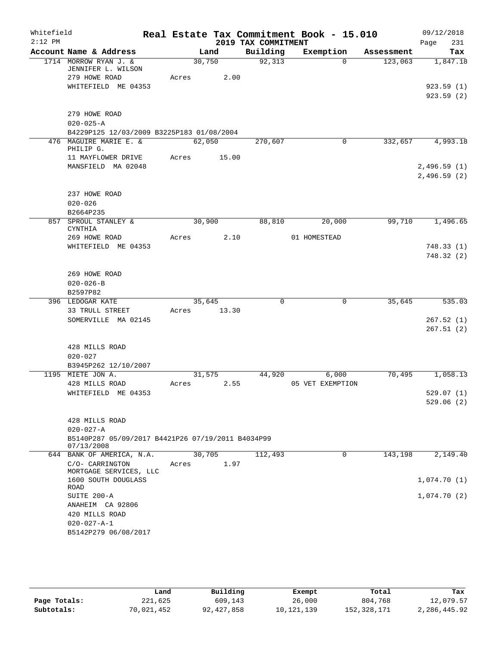| Whitefield<br>$2:12$ PM |                                                                                                  |       |                | 2019 TAX COMMITMENT | Real Estate Tax Commitment Book - 15.010 |            | 09/12/2018<br>231<br>Page          |
|-------------------------|--------------------------------------------------------------------------------------------------|-------|----------------|---------------------|------------------------------------------|------------|------------------------------------|
|                         | Account Name & Address                                                                           |       | Land           | Building            | Exemption                                | Assessment | Tax                                |
|                         | 1714 MORROW RYAN J. &<br>JENNIFER L. WILSON<br>279 HOWE ROAD<br>WHITEFIELD ME 04353              | Acres | 30,750<br>2.00 | 92, 313             | $\Omega$                                 | 123,063    | 1,847.18<br>923.59(1)<br>923.59(2) |
|                         | 279 HOWE ROAD<br>$020 - 025 - A$<br>B4229P125 12/03/2009 B3225P183 01/08/2004                    |       |                |                     |                                          |            |                                    |
|                         | 476 MAGUIRE MARIE E. &<br>PHILIP G.                                                              |       | 62,050         | 270,607             | 0                                        | 332,657    | 4,993.18                           |
|                         | 11 MAYFLOWER DRIVE<br>MANSFIELD MA 02048                                                         | Acres | 15.00          |                     |                                          |            | 2,496.59(1)<br>2,496.59(2)         |
|                         | 237 HOWE ROAD<br>$020 - 026$<br>B2664P235                                                        |       |                |                     |                                          |            |                                    |
|                         | 857 SPROUL STANLEY &<br><b>CYNTHIA</b>                                                           |       | 30,900         | 88,810              | 20,000                                   | 99,710     | 1,496.65                           |
|                         | 269 HOWE ROAD<br>WHITEFIELD ME 04353                                                             | Acres | 2.10           |                     | 01 HOMESTEAD                             |            | 748.33 (1)<br>748.32 (2)           |
|                         | 269 HOWE ROAD<br>$020 - 026 - B$<br>B2597P82                                                     |       |                |                     |                                          |            |                                    |
|                         | 396 LEDOGAR KATE                                                                                 |       | 35,645         | $\mathbf 0$         | $\mathsf{O}$                             | 35,645     | 535.03                             |
|                         | 33 TRULL STREET<br>SOMERVILLE MA 02145                                                           | Acres | 13.30          |                     |                                          |            | 267.52(1)<br>267.51(2)             |
|                         | 428 MILLS ROAD<br>$020 - 027$<br>B3945P262 12/10/2007                                            |       |                |                     |                                          |            |                                    |
|                         | 1195 MIETE JON A.                                                                                |       | 31,575         | 44,920              | 6,000                                    | 70,495     | 1,058.13                           |
|                         | 428 MILLS ROAD<br>WHITEFIELD ME 04353                                                            | Acres | 2.55           |                     | 05 VET EXEMPTION                         |            | 529.07 (1)<br>529.06(2)            |
|                         | 428 MILLS ROAD<br>$020 - 027 - A$<br>B5140P287 05/09/2017 B4421P26 07/19/2011 B4034P99           |       |                |                     |                                          |            |                                    |
|                         | 07/13/2008                                                                                       |       |                |                     |                                          |            |                                    |
|                         | 644 BANK OF AMERICA, N.A.<br>C/O- CARRINGTON<br>MORTGAGE SERVICES, LLC<br>1600 SOUTH DOUGLASS    | Acres | 30,705<br>1.97 | 112,493             | 0                                        | 143,198    | 2,149.40<br>1,074.70(1)            |
|                         | <b>ROAD</b>                                                                                      |       |                |                     |                                          |            |                                    |
|                         | SUITE 200-A<br>ANAHEIM CA 92806<br>420 MILLS ROAD<br>$020 - 027 - A - 1$<br>B5142P279 06/08/2017 |       |                |                     |                                          |            | 1,074.70(2)                        |

|              | Land       | Building   | Exempt       | Total       | Tax          |
|--------------|------------|------------|--------------|-------------|--------------|
| Page Totals: | 221,625    | 609,143    | 26,000       | 804,768     | 12,079.57    |
| Subtotals:   | 70,021,452 | 92,427,858 | 10, 121, 139 | 152,328,171 | 2,286,445.92 |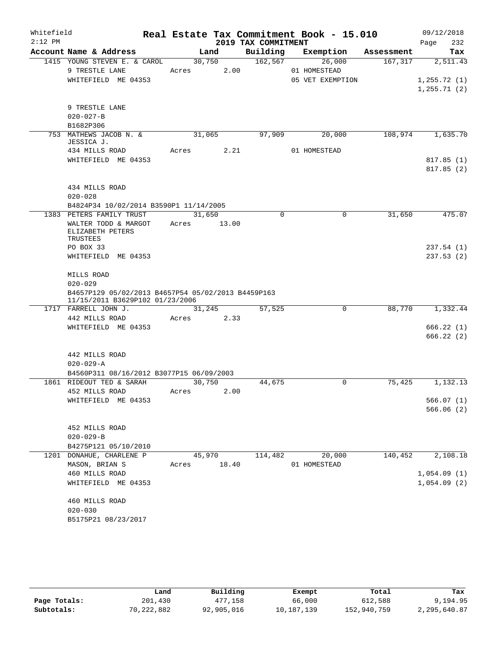| Whitefield |                                                                                       |            |        |                     | Real Estate Tax Commitment Book - 15.010 |         | 09/12/2018             |
|------------|---------------------------------------------------------------------------------------|------------|--------|---------------------|------------------------------------------|---------|------------------------|
| $2:12$ PM  | Account Name & Address                                                                | Land       |        | 2019 TAX COMMITMENT | Building Exemption Assessment            |         | 232<br>Page<br>Tax     |
|            | 1415 YOUNG STEVEN E. & CAROL                                                          |            | 30,750 | 162,567             | 26,000                                   | 167,317 | 2,511.43               |
|            | 9 TRESTLE LANE                                                                        | Acres      | 2.00   |                     | 01 HOMESTEAD                             |         |                        |
|            | WHITEFIELD ME 04353                                                                   |            |        |                     | 05 VET EXEMPTION                         |         | 1, 255.72(1)           |
|            |                                                                                       |            |        |                     |                                          |         | 1, 255.71(2)           |
|            | 9 TRESTLE LANE                                                                        |            |        |                     |                                          |         |                        |
|            | $020 - 027 - B$                                                                       |            |        |                     |                                          |         |                        |
|            | B1682P306                                                                             |            |        |                     |                                          |         |                        |
|            | 753 MATHEWS JACOB N. &<br>JESSICA J.                                                  | 31,065     |        | 97,909              | 20,000                                   | 108,974 | 1,635.70               |
|            | 434 MILLS ROAD                                                                        | Acres 2.21 |        |                     | 01 HOMESTEAD                             |         |                        |
|            | WHITEFIELD ME 04353                                                                   |            |        |                     |                                          |         | 817.85(1)<br>817.85(2) |
|            | 434 MILLS ROAD<br>$020 - 028$                                                         |            |        |                     |                                          |         |                        |
|            | B4824P34 10/02/2014 B3590P1 11/14/2005                                                |            |        |                     |                                          |         |                        |
|            | 1383 PETERS FAMILY TRUST                                                              | 31,650     |        | $\mathbf 0$         | $\mathbf 0$                              | 31,650  | 475.07                 |
|            | WALTER TODD & MARGOT<br>ELIZABETH PETERS<br>TRUSTEES                                  | Acres      | 13.00  |                     |                                          |         |                        |
|            | PO BOX 33                                                                             |            |        |                     |                                          |         | 237.54(1)              |
|            | WHITEFIELD ME 04353                                                                   |            |        |                     |                                          |         | 237.53(2)              |
|            | MILLS ROAD                                                                            |            |        |                     |                                          |         |                        |
|            | $020 - 029$                                                                           |            |        |                     |                                          |         |                        |
|            | B4657P129 05/02/2013 B4657P54 05/02/2013 B4459P163<br>11/15/2011 B3629P102 01/23/2006 |            |        |                     |                                          |         |                        |
|            | 1717 FARRELL JOHN J.                                                                  | 31,245     |        | 57,525              | $\mathbf 0$                              | 88,770  | 1,332.44               |
|            | 442 MILLS ROAD                                                                        | Acres 2.33 |        |                     |                                          |         |                        |
|            | WHITEFIELD ME 04353                                                                   |            |        |                     |                                          |         | 666.22(1)              |
|            |                                                                                       |            |        |                     |                                          |         | 666.22(2)              |
|            | 442 MILLS ROAD                                                                        |            |        |                     |                                          |         |                        |
|            | $020 - 029 - A$                                                                       |            |        |                     |                                          |         |                        |
|            | B4560P311 08/16/2012 B3077P15 06/09/2003                                              | 30,750     |        |                     | $\Omega$                                 |         |                        |
|            | 1861 RIDEOUT TED & SARAH<br>452 MILLS ROAD                                            |            |        | 44,675              |                                          | 75,425  | 1,132.13               |
|            | WHITEFIELD ME 04353                                                                   | Acres      | 2.00   |                     |                                          |         | 566.07(1)              |
|            |                                                                                       |            |        |                     |                                          |         | 566.06(2)              |
|            |                                                                                       |            |        |                     |                                          |         |                        |
|            | 452 MILLS ROAD                                                                        |            |        |                     |                                          |         |                        |
|            | $020 - 029 - B$                                                                       |            |        |                     |                                          |         |                        |
|            | B4275P121 05/10/2010                                                                  |            |        |                     |                                          |         |                        |
|            | 1201 DONAHUE, CHARLENE P                                                              | 45,970     |        | 114,482             | 20,000                                   | 140,452 | 2,108.18               |
|            | MASON, BRIAN S                                                                        | Acres      | 18.40  |                     | 01 HOMESTEAD                             |         |                        |
|            | 460 MILLS ROAD                                                                        |            |        |                     |                                          |         | 1,054.09(1)            |
|            | WHITEFIELD ME 04353                                                                   |            |        |                     |                                          |         | 1,054.09(2)            |
|            | 460 MILLS ROAD                                                                        |            |        |                     |                                          |         |                        |
|            | $020 - 030$                                                                           |            |        |                     |                                          |         |                        |
|            | B5175P21 08/23/2017                                                                   |            |        |                     |                                          |         |                        |

|              | Land       | Building   | Exempt     | Total       | Tax          |
|--------------|------------|------------|------------|-------------|--------------|
| Page Totals: | 201,430    | 477.158    | 66,000     | 612,588     | 9,194.95     |
| Subtotals:   | 70,222,882 | 92,905,016 | 10,187,139 | 152,940,759 | 2,295,640.87 |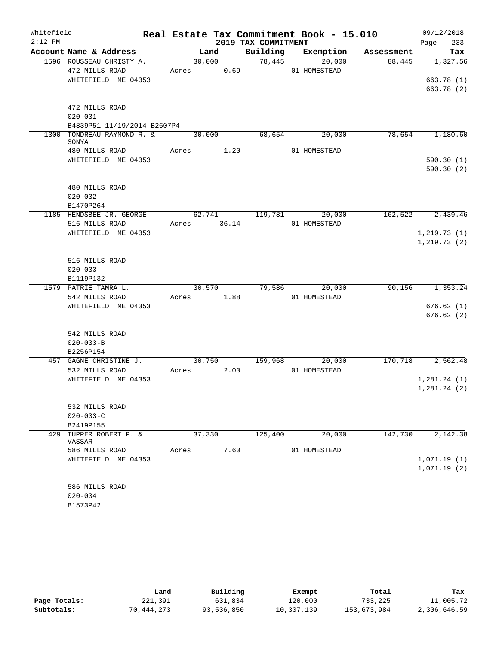| Whitefield |                                       |       |             |                     | Real Estate Tax Commitment Book - 15.010 |         | 09/12/2018       |
|------------|---------------------------------------|-------|-------------|---------------------|------------------------------------------|---------|------------------|
| $2:12$ PM  |                                       |       |             | 2019 TAX COMMITMENT |                                          |         | Page<br>233      |
|            | Account Name & Address                |       |             |                     | Land Building Exemption Assessment       |         | Tax              |
|            | 1596 ROUSSEAU CHRISTY A.              |       |             | $30,000$ $78,445$   | 20,000                                   |         | 88,445 1,327.56  |
|            | 472 MILLS ROAD                        |       | Acres 0.69  |                     | 01 HOMESTEAD                             |         |                  |
|            | WHITEFIELD ME 04353                   |       |             |                     |                                          |         | 663.78(1)        |
|            |                                       |       |             |                     |                                          |         | 663.78 (2)       |
|            |                                       |       |             |                     |                                          |         |                  |
|            | 472 MILLS ROAD<br>$020 - 031$         |       |             |                     |                                          |         |                  |
|            | B4839P51 11/19/2014 B2607P4           |       |             |                     |                                          |         |                  |
|            | 1300 TONDREAU RAYMOND R. &            |       |             | 30,000 68,654       | 20,000                                   |         | 78,654 1,180.60  |
|            | SONYA                                 |       |             |                     |                                          |         |                  |
|            | 480 MILLS ROAD Acres 1.20             |       |             |                     | 01 HOMESTEAD                             |         |                  |
|            | WHITEFIELD ME 04353                   |       |             |                     |                                          |         | 590.30(1)        |
|            |                                       |       |             |                     |                                          |         | 590.30(2)        |
|            |                                       |       |             |                     |                                          |         |                  |
|            | 480 MILLS ROAD                        |       |             |                     |                                          |         |                  |
|            | $020 - 032$                           |       |             |                     |                                          |         |                  |
|            | B1470P264<br>1185 HENDSBEE JR. GEORGE |       |             |                     | $62,741$ $119,781$ $20,000$              |         | 162,522 2,439.46 |
|            | 516 MILLS ROAD                        |       | Acres 36.14 |                     | 01 HOMESTEAD                             |         |                  |
|            | WHITEFIELD ME 04353                   |       |             |                     |                                          |         | 1, 219.73(1)     |
|            |                                       |       |             |                     |                                          |         | 1,219.73(2)      |
|            |                                       |       |             |                     |                                          |         |                  |
|            | 516 MILLS ROAD                        |       |             |                     |                                          |         |                  |
|            | $020 - 033$                           |       |             |                     |                                          |         |                  |
|            | B1119P132                             |       |             |                     |                                          |         |                  |
|            | 1579 PATRIE TAMRA L.                  |       |             |                     | 30,570 79,586 20,000                     |         | 90,156 1,353.24  |
|            | 542 MILLS ROAD                        |       | Acres 1.88  |                     | 01 HOMESTEAD                             |         |                  |
|            | WHITEFIELD ME 04353                   |       |             |                     |                                          |         | 676.62(1)        |
|            |                                       |       |             |                     |                                          |         | 676.62(2)        |
|            | 542 MILLS ROAD                        |       |             |                     |                                          |         |                  |
|            | $020 - 033 - B$                       |       |             |                     |                                          |         |                  |
|            | B2256P154                             |       |             |                     |                                          |         |                  |
|            | 457 GAGNE CHRISTINE J.                |       |             |                     | 30,750 159,968 20,000                    |         | 170,718 2,562.48 |
|            | 532 MILLS ROAD                        |       | Acres 2.00  |                     | 01 HOMESTEAD                             |         |                  |
|            | WHITEFIELD ME 04353                   |       |             |                     |                                          |         | 1,281.24(1)      |
|            |                                       |       |             |                     |                                          |         | 1,281.24(2)      |
|            |                                       |       |             |                     |                                          |         |                  |
|            | 532 MILLS ROAD                        |       |             |                     |                                          |         |                  |
|            | $020 - 033 - C$                       |       |             |                     |                                          |         |                  |
|            | B2419P155                             |       |             |                     |                                          |         |                  |
| 429        | TUPPER ROBERT P. &<br>VASSAR          |       | 37,330      | 125,400             | 20,000                                   | 142,730 | 2,142.38         |
|            | 586 MILLS ROAD                        | Acres | 7.60        |                     | 01 HOMESTEAD                             |         |                  |
|            | WHITEFIELD ME 04353                   |       |             |                     |                                          |         | 1,071.19(1)      |
|            |                                       |       |             |                     |                                          |         | 1,071.19(2)      |
|            |                                       |       |             |                     |                                          |         |                  |
|            | 586 MILLS ROAD                        |       |             |                     |                                          |         |                  |
|            | $020 - 034$                           |       |             |                     |                                          |         |                  |
|            | B1573P42                              |       |             |                     |                                          |         |                  |

|              | Land       | Building   | Exempt     | Total       | Tax          |
|--------------|------------|------------|------------|-------------|--------------|
| Page Totals: | 221,391    | 631,834    | 120,000    | 733,225     | 11,005.72    |
| Subtotals:   | 70,444,273 | 93,536,850 | 10,307,139 | 153,673,984 | 2,306,646.59 |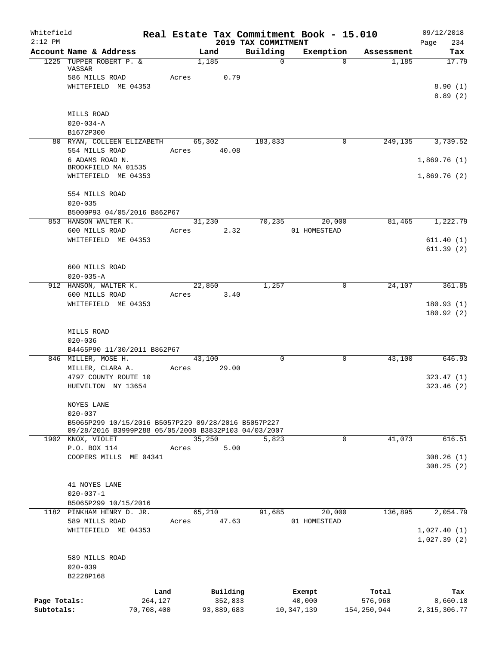| Whitefield<br>$2:12$ PM |                                                                                                             |            |             |                |                                 | Real Estate Tax Commitment Book - 15.010 |             | 09/12/2018                 |
|-------------------------|-------------------------------------------------------------------------------------------------------------|------------|-------------|----------------|---------------------------------|------------------------------------------|-------------|----------------------------|
|                         | Account Name & Address                                                                                      |            |             | Land           | 2019 TAX COMMITMENT<br>Building | Exemption                                | Assessment  | Page<br>234<br>Tax         |
|                         | 1225 TUPPER ROBERT P. &<br>VASSAR                                                                           |            |             | 1,185          | 0                               | $\Omega$                                 | 1,185       | 17.79                      |
|                         | 586 MILLS ROAD                                                                                              |            | Acres 0.79  |                |                                 |                                          |             |                            |
|                         | WHITEFIELD ME 04353                                                                                         |            |             |                |                                 |                                          |             | 8.90(1)<br>8.89(2)         |
|                         |                                                                                                             |            |             |                |                                 |                                          |             |                            |
|                         | MILLS ROAD<br>$020 - 034 - A$                                                                               |            |             |                |                                 |                                          |             |                            |
|                         | B1672P300                                                                                                   |            |             |                |                                 |                                          |             |                            |
|                         | 80 RYAN, COLLEEN ELIZABETH 65,302 183,833                                                                   |            |             |                |                                 | 0                                        | 249,135     | 3,739.52                   |
|                         | 554 MILLS ROAD                                                                                              |            | Acres 40.08 |                |                                 |                                          |             |                            |
|                         | 6 ADAMS ROAD N.<br>BROOKFIELD MA 01535                                                                      |            |             |                |                                 |                                          |             | 1,869.76(1)                |
|                         | WHITEFIELD ME 04353                                                                                         |            |             |                |                                 |                                          |             | 1,869.76(2)                |
|                         | 554 MILLS ROAD                                                                                              |            |             |                |                                 |                                          |             |                            |
|                         | $020 - 035$                                                                                                 |            |             |                |                                 |                                          |             |                            |
|                         | B5000P93 04/05/2016 B862P67                                                                                 |            |             |                |                                 |                                          |             | 81,465 1,222.79            |
|                         | 853 HANSON WALTER K.<br>600 MILLS ROAD                                                                      |            | Acres       | 31,230<br>2.32 |                                 | 70,235<br>20,000<br>01 HOMESTEAD         |             |                            |
|                         | WHITEFIELD ME 04353                                                                                         |            |             |                |                                 |                                          |             | 611.40(1)                  |
|                         |                                                                                                             |            |             |                |                                 |                                          |             | 611.39(2)                  |
|                         | 600 MILLS ROAD                                                                                              |            |             |                |                                 |                                          |             |                            |
|                         | $020 - 035 - A$                                                                                             |            |             |                |                                 |                                          |             |                            |
|                         | 912 HANSON, WALTER K.                                                                                       |            |             | 22,850         | 1,257                           | 0                                        | 24,107      | 361.85                     |
|                         | 600 MILLS ROAD                                                                                              |            | Acres       | 3.40           |                                 |                                          |             |                            |
|                         | WHITEFIELD ME 04353                                                                                         |            |             |                |                                 |                                          |             | 180.93(1)                  |
|                         |                                                                                                             |            |             |                |                                 |                                          |             | 180.92(2)                  |
|                         | MILLS ROAD                                                                                                  |            |             |                |                                 |                                          |             |                            |
|                         | $020 - 036$                                                                                                 |            |             |                |                                 |                                          |             |                            |
|                         | B4465P90 11/30/2011 B862P67                                                                                 |            |             |                |                                 |                                          |             |                            |
|                         | 846 MILLER, MOSE H.<br>MILLER, CLARA A.                                                                     |            | 43,100      |                | $\Omega$                        | 0                                        | 43,100      | 646.93                     |
|                         | 4797 COUNTY ROUTE 10                                                                                        |            | Acres       | 29.00          |                                 |                                          |             | 323.47(1)                  |
|                         | HUEVELTON NY 13654                                                                                          |            |             |                |                                 |                                          |             | 323.46(2)                  |
|                         |                                                                                                             |            |             |                |                                 |                                          |             |                            |
|                         | NOYES LANE                                                                                                  |            |             |                |                                 |                                          |             |                            |
|                         | $020 - 037$                                                                                                 |            |             |                |                                 |                                          |             |                            |
|                         | B5065P299 10/15/2016 B5057P229 09/28/2016 B5057P227<br>09/28/2016 B3999P288 05/05/2008 B3832P103 04/03/2007 |            |             |                |                                 |                                          |             |                            |
|                         | 1902 KNOX, VIOLET                                                                                           |            | 35,250      |                | 5,823                           | $\Omega$                                 | 41,073      | 616.51                     |
|                         | P.O. BOX 114                                                                                                |            | Acres       | 5.00           |                                 |                                          |             |                            |
|                         | COOPERS MILLS ME 04341                                                                                      |            |             |                |                                 |                                          |             | 308.26(1)                  |
|                         |                                                                                                             |            |             |                |                                 |                                          |             | 308.25(2)                  |
|                         | 41 NOYES LANE                                                                                               |            |             |                |                                 |                                          |             |                            |
|                         | $020 - 037 - 1$                                                                                             |            |             |                |                                 |                                          |             |                            |
|                         | B5065P299 10/15/2016                                                                                        |            |             |                |                                 |                                          |             |                            |
|                         | 1182 PINKHAM HENRY D. JR.                                                                                   |            | 65,210      |                | 91,685                          | 20,000                                   | 136,895     | 2,054.79                   |
|                         | 589 MILLS ROAD                                                                                              |            | Acres       | 47.63          |                                 | 01 HOMESTEAD                             |             |                            |
|                         | WHITEFIELD ME 04353                                                                                         |            |             |                |                                 |                                          |             | 1,027.40(1)<br>1,027.39(2) |
|                         |                                                                                                             |            |             |                |                                 |                                          |             |                            |
|                         | 589 MILLS ROAD                                                                                              |            |             |                |                                 |                                          |             |                            |
|                         | $020 - 039$                                                                                                 |            |             |                |                                 |                                          |             |                            |
|                         | B2228P168                                                                                                   |            |             |                |                                 |                                          |             |                            |
|                         |                                                                                                             | Land       |             | Building       |                                 | Exempt                                   | Total       | Tax                        |
| Page Totals:            |                                                                                                             | 264,127    |             | 352,833        |                                 | 40,000                                   | 576,960     | 8,660.18                   |
| Subtotals:              |                                                                                                             | 70,708,400 |             | 93,889,683     |                                 | 10, 347, 139                             | 154,250,944 | 2, 315, 306.77             |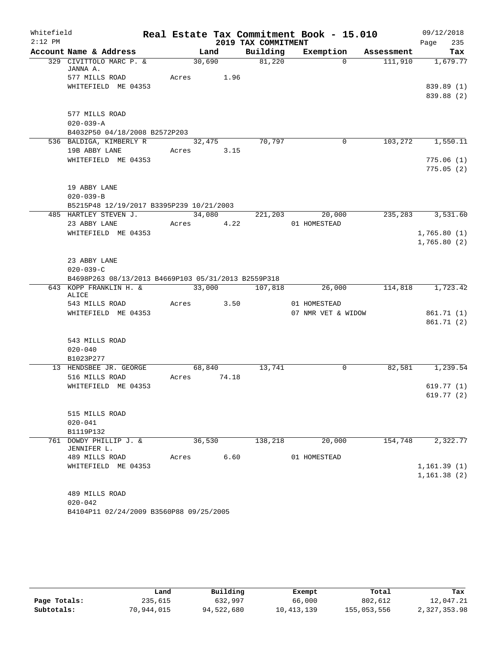| Whitefield |                                                     |       |             |                     | Real Estate Tax Commitment Book - 15.010 |            | 09/12/2018             |
|------------|-----------------------------------------------------|-------|-------------|---------------------|------------------------------------------|------------|------------------------|
| $2:12$ PM  |                                                     |       |             | 2019 TAX COMMITMENT |                                          |            | Page<br>235            |
|            | Account Name & Address                              |       | Land        | Building            | Exemption                                | Assessment | Tax                    |
|            | 329 CIVITTOLO MARC P. &<br>JANNA A.                 |       | 30,690      | 81,220              | $\Omega$                                 | 111,910    | 1,679.77               |
|            | 577 MILLS ROAD                                      |       | Acres 1.96  |                     |                                          |            |                        |
|            | WHITEFIELD ME 04353                                 |       |             |                     |                                          |            | 839.89 (1)             |
|            |                                                     |       |             |                     |                                          |            | 839.88 (2)             |
|            |                                                     |       |             |                     |                                          |            |                        |
|            | 577 MILLS ROAD                                      |       |             |                     |                                          |            |                        |
|            | $020 - 039 - A$                                     |       |             |                     |                                          |            |                        |
|            | B4032P50 04/18/2008 B2572P203                       |       |             |                     |                                          |            |                        |
|            | 536 BALDIGA, KIMBERLY R                             |       | 32,475      | 70,797              | $\mathbf 0$                              |            | 103,272 1,550.11       |
|            | 19B ABBY LANE                                       |       | Acres 3.15  |                     |                                          |            |                        |
|            | WHITEFIELD ME 04353                                 |       |             |                     |                                          |            | 775.06(1)              |
|            |                                                     |       |             |                     |                                          |            | 775.05(2)              |
|            | 19 ABBY LANE                                        |       |             |                     |                                          |            |                        |
|            | $020 - 039 - B$                                     |       |             |                     |                                          |            |                        |
|            | B5215P48 12/19/2017 B3395P239 10/21/2003            |       |             |                     |                                          |            |                        |
|            | 485 HARTLEY STEVEN J.                               |       | 34,080      |                     | 221,203 20,000                           |            | 235, 283 3, 531.60     |
|            | 23 ABBY LANE                                        |       | Acres 4.22  |                     | 01 HOMESTEAD                             |            |                        |
|            | WHITEFIELD ME 04353                                 |       |             |                     |                                          |            | 1,765.80(1)            |
|            |                                                     |       |             |                     |                                          |            | 1,765.80(2)            |
|            |                                                     |       |             |                     |                                          |            |                        |
|            | 23 ABBY LANE                                        |       |             |                     |                                          |            |                        |
|            | $020 - 039 - C$                                     |       |             |                     |                                          |            |                        |
|            | B4698P263 08/13/2013 B4669P103 05/31/2013 B2559P318 |       |             |                     |                                          |            |                        |
|            | 643 KOPP FRANKLIN H. &<br>ALICE                     |       | 33,000      | 107,818             | $\frac{26,000}{ }$                       |            | 114,818 1,723.42       |
|            | 543 MILLS ROAD                                      | Acres |             | 3.50                | 01 HOMESTEAD                             |            |                        |
|            | WHITEFIELD ME 04353                                 |       |             |                     | 07 NMR VET & WIDOW                       |            | 861.71 (1)             |
|            |                                                     |       |             |                     |                                          |            | 861.71(2)              |
|            |                                                     |       |             |                     |                                          |            |                        |
|            | 543 MILLS ROAD                                      |       |             |                     |                                          |            |                        |
|            | $020 - 040$                                         |       |             |                     |                                          |            |                        |
|            | B1023P277                                           |       |             |                     |                                          |            |                        |
|            | 13 HENDSBEE JR. GEORGE                              |       | 68,840      | 13,741              | $\mathbf 0$                              |            | 82,581 1,239.54        |
|            | 516 MILLS ROAD                                      |       | Acres 74.18 |                     |                                          |            |                        |
|            | WHITEFIELD ME 04353                                 |       |             |                     |                                          |            | 619.77(1)<br>619.77(2) |
|            |                                                     |       |             |                     |                                          |            |                        |
|            | 515 MILLS ROAD                                      |       |             |                     |                                          |            |                        |
|            | $020 - 041$                                         |       |             |                     |                                          |            |                        |
|            | B1119P132                                           |       |             |                     |                                          |            |                        |
|            | 761 DOWDY PHILLIP J. &                              |       | 36,530      | 138,218             | 20,000                                   | 154,748    | 2,322.77               |
|            | JENNIFER L.                                         |       |             |                     |                                          |            |                        |
|            | 489 MILLS ROAD                                      | Acres |             | 6.60                | 01 HOMESTEAD                             |            |                        |
|            | WHITEFIELD ME 04353                                 |       |             |                     |                                          |            | 1,161.39(1)            |
|            |                                                     |       |             |                     |                                          |            | 1,161.38(2)            |
|            |                                                     |       |             |                     |                                          |            |                        |
|            | 489 MILLS ROAD<br>$020 - 042$                       |       |             |                     |                                          |            |                        |
|            | B4104P11 02/24/2009 B3560P88 09/25/2005             |       |             |                     |                                          |            |                        |
|            |                                                     |       |             |                     |                                          |            |                        |

|              | Land       | Building   | Exempt       | Total       | Tax          |
|--------------|------------|------------|--------------|-------------|--------------|
| Page Totals: | 235,615    | 632,997    | 66,000       | 802,612     | 12,047.21    |
| Subtotals:   | 70,944,015 | 94,522,680 | 10, 413, 139 | 155,053,556 | 2,327,353.98 |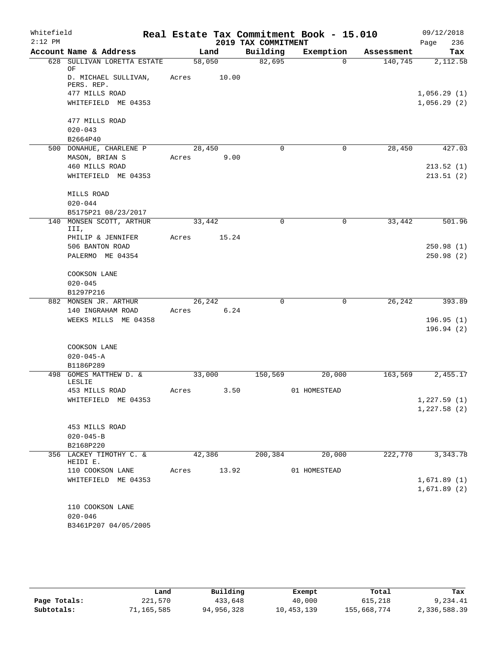| Whitefield<br>$2:12$ PM |                                                      |                      |       | 2019 TAX COMMITMENT | Real Estate Tax Commitment Book - 15.010 |            | 09/12/2018<br>236<br>Page  |
|-------------------------|------------------------------------------------------|----------------------|-------|---------------------|------------------------------------------|------------|----------------------------|
|                         | Account Name & Address                               |                      | Land  | Building            | Exemption                                | Assessment | Tax                        |
|                         | 628 SULLIVAN LORETTA ESTATE<br>OF                    | 58,050               |       | 82,695              | $\Omega$                                 | 140,745    | 2,112.58                   |
|                         | D. MICHAEL SULLIVAN,<br>PERS. REP.<br>477 MILLS ROAD | Acres                | 10.00 |                     |                                          |            | 1,056.29(1)                |
|                         | WHITEFIELD ME 04353                                  |                      |       |                     |                                          |            | 1,056.29(2)                |
|                         | 477 MILLS ROAD<br>$020 - 043$                        |                      |       |                     |                                          |            |                            |
|                         | B2664P40                                             |                      |       |                     |                                          |            |                            |
|                         | 500 DONAHUE, CHARLENE P<br>MASON, BRIAN S            | 28,450<br>Acres      | 9.00  | $\mathbf 0$         | $\mathbf 0$                              | 28,450     | 427.03                     |
|                         | 460 MILLS ROAD                                       |                      |       |                     |                                          |            | 213.52(1)                  |
|                         | WHITEFIELD ME 04353                                  |                      |       |                     |                                          |            | 213.51(2)                  |
|                         | MILLS ROAD<br>$020 - 044$                            |                      |       |                     |                                          |            |                            |
|                         | B5175P21 08/23/2017                                  |                      |       |                     |                                          |            |                            |
| 140                     | MONSEN SCOTT, ARTHUR<br>III,                         | 33,442               |       | $\mathbf 0$         | 0                                        | 33,442     | 501.96                     |
|                         | PHILIP & JENNIFER                                    | Acres                | 15.24 |                     |                                          |            |                            |
|                         | 506 BANTON ROAD                                      |                      |       |                     |                                          |            | 250.98(1)                  |
|                         | PALERMO ME 04354                                     |                      |       |                     |                                          |            | 250.98(2)                  |
|                         | COOKSON LANE                                         |                      |       |                     |                                          |            |                            |
|                         | $020 - 045$                                          |                      |       |                     |                                          |            |                            |
|                         | B1297P216                                            |                      |       |                     |                                          |            |                            |
|                         | 882 MONSEN JR. ARTHUR                                | 26,242<br>Acres 6.24 |       | $\mathbf 0$         | 0                                        | 26,242     | 393.89                     |
|                         | 140 INGRAHAM ROAD<br>WEEKS MILLS ME 04358            |                      |       |                     |                                          |            | 196.95(1)                  |
|                         |                                                      |                      |       |                     |                                          |            | 196.94(2)                  |
|                         | COOKSON LANE                                         |                      |       |                     |                                          |            |                            |
|                         | $020 - 045 - A$                                      |                      |       |                     |                                          |            |                            |
|                         | B1186P289<br>498 GOMES MATTHEW D. &                  | 33,000               |       | 150,569             | 20,000                                   | 163,569    | 2,455.17                   |
|                         | LESLIE                                               |                      |       |                     |                                          |            |                            |
|                         | 453 MILLS ROAD                                       | Acres                | 3.50  |                     | 01 HOMESTEAD                             |            |                            |
|                         | WHITEFIELD ME 04353                                  |                      |       |                     |                                          |            | 1,227.59(1)<br>1,227.58(2) |
|                         | 453 MILLS ROAD                                       |                      |       |                     |                                          |            |                            |
|                         | $020 - 045 - B$                                      |                      |       |                     |                                          |            |                            |
|                         | B2168P220                                            |                      |       |                     |                                          |            |                            |
|                         | 356 LACKEY TIMOTHY C. &<br>HEIDI E.                  | 42,386               |       | 200,384             | 20,000                                   | 222,770    | 3,343.78                   |
|                         | 110 COOKSON LANE                                     | Acres                | 13.92 |                     | 01 HOMESTEAD                             |            |                            |
|                         | WHITEFIELD ME 04353                                  |                      |       |                     |                                          |            | 1,671.89(1)<br>1,671.89(2) |
|                         | 110 COOKSON LANE                                     |                      |       |                     |                                          |            |                            |
|                         | $020 - 046$                                          |                      |       |                     |                                          |            |                            |
|                         | B3461P207 04/05/2005                                 |                      |       |                     |                                          |            |                            |

|              | Land       | Building   | Exempt     | Total       | Tax          |
|--------------|------------|------------|------------|-------------|--------------|
| Page Totals: | 221,570    | 433,648    | 40,000     | 615,218     | 9,234.41     |
| Subtotals:   | 71,165,585 | 94,956,328 | 10,453,139 | 155,668,774 | 2,336,588.39 |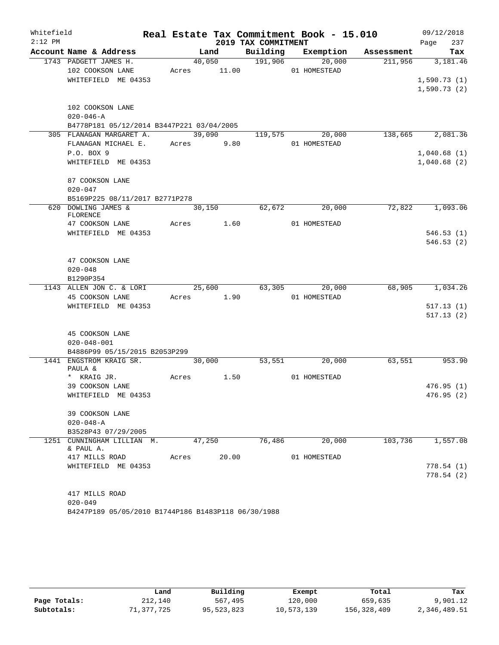| Whitefield |                                           |       |        |             |                     | Real Estate Tax Commitment Book - 15.010 |                               | 09/12/2018      |
|------------|-------------------------------------------|-------|--------|-------------|---------------------|------------------------------------------|-------------------------------|-----------------|
| $2:12$ PM  |                                           |       |        |             | 2019 TAX COMMITMENT |                                          |                               | 237<br>Page     |
|            | Account Name & Address                    |       |        | Land        |                     |                                          | Building Exemption Assessment | Tax             |
|            | 1743 PADGETT JAMES H.                     |       |        | 40,050      | 191,906             | $\overline{20,000}$                      | 211,956                       | 3,181.46        |
|            | 102 COOKSON LANE                          |       |        | Acres 11.00 |                     | 01 HOMESTEAD                             |                               |                 |
|            | WHITEFIELD ME 04353                       |       |        |             |                     |                                          |                               | 1,590.73(1)     |
|            |                                           |       |        |             |                     |                                          |                               | 1,590.73(2)     |
|            |                                           |       |        |             |                     |                                          |                               |                 |
|            | 102 COOKSON LANE<br>$020 - 046 - A$       |       |        |             |                     |                                          |                               |                 |
|            | B4778P181 05/12/2014 B3447P221 03/04/2005 |       |        |             |                     |                                          |                               |                 |
|            | 305 FLANAGAN MARGARET A.                  |       |        | 39,090      | 119,575             | 20,000                                   | 138,665                       | 2,081.36        |
|            | FLANAGAN MICHAEL E.                       |       |        | Acres 9.80  |                     | 01 HOMESTEAD                             |                               |                 |
|            | P.O. BOX 9                                |       |        |             |                     |                                          |                               | 1,040.68(1)     |
|            | WHITEFIELD ME 04353                       |       |        |             |                     |                                          |                               | 1,040.68(2)     |
|            |                                           |       |        |             |                     |                                          |                               |                 |
|            | 87 COOKSON LANE                           |       |        |             |                     |                                          |                               |                 |
|            | $020 - 047$                               |       |        |             |                     |                                          |                               |                 |
|            | B5169P225 08/11/2017 B2771P278            |       |        |             |                     |                                          |                               |                 |
| 620        | DOWLING JAMES &                           |       |        | 30,150      | 62,672              | 20,000                                   | 72,822                        | 1,093.06        |
|            | FLORENCE                                  |       |        |             |                     |                                          |                               |                 |
|            | 47 COOKSON LANE                           |       |        | Acres 1.60  |                     | 01 HOMESTEAD                             |                               |                 |
|            | WHITEFIELD ME 04353                       |       |        |             |                     |                                          |                               | 546.53(1)       |
|            |                                           |       |        |             |                     |                                          |                               | 546.53(2)       |
|            |                                           |       |        |             |                     |                                          |                               |                 |
|            | 47 COOKSON LANE                           |       |        |             |                     |                                          |                               |                 |
|            | $020 - 048$<br>B1290P354                  |       |        |             |                     |                                          |                               |                 |
|            | 1143 ALLEN JON C. & LORI                  |       |        | 25,600      |                     | 63,305 20,000                            |                               | 68,905 1,034.26 |
|            | 45 COOKSON LANE                           |       |        | Acres 1.90  |                     | 01 HOMESTEAD                             |                               |                 |
|            | WHITEFIELD ME 04353                       |       |        |             |                     |                                          |                               | 517.13(1)       |
|            |                                           |       |        |             |                     |                                          |                               | 517.13(2)       |
|            |                                           |       |        |             |                     |                                          |                               |                 |
|            | 45 COOKSON LANE                           |       |        |             |                     |                                          |                               |                 |
|            | $020 - 048 - 001$                         |       |        |             |                     |                                          |                               |                 |
|            | B4886P99 05/15/2015 B2053P299             |       |        |             |                     |                                          |                               |                 |
|            | 1441 ENGSTROM KRAIG SR.                   |       |        | 30,000      | 53,551              | 20,000                                   | 63,551                        | 953.90          |
|            | PAULA &                                   |       |        |             |                     |                                          |                               |                 |
|            | * KRAIG JR.                               |       |        | Acres 1.50  |                     | 01 HOMESTEAD                             |                               |                 |
|            | 39 COOKSON LANE                           |       |        |             |                     |                                          |                               | 476.95(1)       |
|            | WHITEFIELD ME 04353                       |       |        |             |                     |                                          |                               | 476.95 (2)      |
|            |                                           |       |        |             |                     |                                          |                               |                 |
|            | 39 COOKSON LANE                           |       |        |             |                     |                                          |                               |                 |
|            | $020 - 048 - A$<br>B3528P43 07/29/2005    |       |        |             |                     |                                          |                               |                 |
| 1251       | CUNNINGHAM LILLIAN M.                     |       | 47,250 |             | 76,486              | 20,000                                   | 103,736                       | 1,557.08        |
|            | & PAUL A.                                 |       |        |             |                     |                                          |                               |                 |
|            | 417 MILLS ROAD                            | Acres |        | 20.00       |                     | 01 HOMESTEAD                             |                               |                 |
|            | WHITEFIELD ME 04353                       |       |        |             |                     |                                          |                               | 778.54 (1)      |
|            |                                           |       |        |             |                     |                                          |                               | 778.54(2)       |
|            |                                           |       |        |             |                     |                                          |                               |                 |
|            | 417 MILLS ROAD                            |       |        |             |                     |                                          |                               |                 |
|            | $020 - 049$                               |       |        |             |                     |                                          |                               |                 |

B4247P189 05/05/2010 B1744P186 B1483P118 06/30/1988

|              | Land       | Building   | Exempt     | Total       | Tax          |
|--------------|------------|------------|------------|-------------|--------------|
| Page Totals: | 212,140    | 567,495    | 120,000    | 659,635     | 9,901.12     |
| Subtotals:   | 71,377,725 | 95,523,823 | 10,573,139 | 156,328,409 | 2,346,489.51 |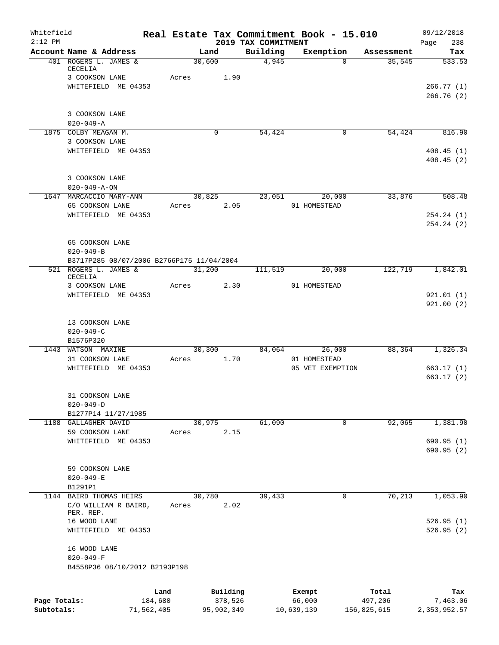| Whitefield   |                                           |                 |       |                     | Real Estate Tax Commitment Book - 15.010 |                  |                  |                  | 09/12/2018             |
|--------------|-------------------------------------------|-----------------|-------|---------------------|------------------------------------------|------------------|------------------|------------------|------------------------|
| $2:12$ PM    | Account Name & Address                    |                 |       | Land                | 2019 TAX COMMITMENT<br>Building          |                  | Exemption        | Assessment       | Page<br>238<br>Tax     |
|              | 401 ROGERS L. JAMES &<br>CECELIA          |                 |       | 30,600              | 4,945                                    |                  | $\Omega$         | 35,545           | 533.53                 |
|              | 3 COOKSON LANE                            |                 | Acres | 1.90                |                                          |                  |                  |                  |                        |
|              | WHITEFIELD ME 04353                       |                 |       |                     |                                          |                  |                  |                  | 266.77(1)<br>266.76(2) |
|              | 3 COOKSON LANE                            |                 |       |                     |                                          |                  |                  |                  |                        |
|              | $020 - 049 - A$                           |                 |       |                     |                                          |                  |                  |                  |                        |
|              | 1875 COLBY MEAGAN M.                      |                 |       | $\Omega$            | 54,424                                   |                  | $\mathbf 0$      | 54,424           | 816.90                 |
|              | 3 COOKSON LANE                            |                 |       |                     |                                          |                  |                  |                  |                        |
|              | WHITEFIELD ME 04353                       |                 |       |                     |                                          |                  |                  |                  | 408.45(1)<br>408.45(2) |
|              |                                           |                 |       |                     |                                          |                  |                  |                  |                        |
|              | 3 COOKSON LANE                            |                 |       |                     |                                          |                  |                  |                  |                        |
|              | $020 - 049 - A - ON$                      |                 |       |                     |                                          |                  |                  |                  |                        |
|              | 1647 MARCACCIO MARY-ANN                   |                 |       | 30,825              | 23,051                                   |                  | 20,000           | 33,876           | 508.48                 |
|              | 65 COOKSON LANE                           |                 | Acres | 2.05                |                                          |                  | 01 HOMESTEAD     |                  |                        |
|              | WHITEFIELD ME 04353                       |                 |       |                     |                                          |                  |                  |                  | 254.24(1)<br>254.24(2) |
|              | 65 COOKSON LANE                           |                 |       |                     |                                          |                  |                  |                  |                        |
|              | $020 - 049 - B$                           |                 |       |                     |                                          |                  |                  |                  |                        |
|              | B3717P285 08/07/2006 B2766P175 11/04/2004 |                 |       |                     |                                          |                  |                  |                  |                        |
|              | 521 ROGERS L. JAMES &                     |                 |       | 31,200              | 111,519                                  |                  | 20,000           | 122,719          | 1,842.01               |
|              | CECELIA<br>3 COOKSON LANE                 |                 | Acres |                     | 2.30                                     |                  | 01 HOMESTEAD     |                  |                        |
|              | WHITEFIELD ME 04353                       |                 |       |                     |                                          |                  |                  |                  | 921.01(1)              |
|              |                                           |                 |       |                     |                                          |                  |                  |                  | 921.00(2)              |
|              | 13 COOKSON LANE                           |                 |       |                     |                                          |                  |                  |                  |                        |
|              | $020 - 049 - C$                           |                 |       |                     |                                          |                  |                  |                  |                        |
|              | B1576P320                                 |                 |       |                     |                                          |                  |                  |                  |                        |
| 1443         | WATSON MAXINE                             |                 |       | 30,300              | 84,064                                   |                  | 26,000           | 88,364           | 1,326.34               |
|              | 31 COOKSON LANE                           |                 | Acres | 1.70                |                                          |                  | 01 HOMESTEAD     |                  |                        |
|              | WHITEFIELD ME 04353                       |                 |       |                     |                                          |                  | 05 VET EXEMPTION |                  | 663.17(1)              |
|              |                                           |                 |       |                     |                                          |                  |                  |                  | 663.17(2)              |
|              | 31 COOKSON LANE                           |                 |       |                     |                                          |                  |                  |                  |                        |
|              | $020 - 049 - D$                           |                 |       |                     |                                          |                  |                  |                  |                        |
|              | B1277P14 11/27/1985                       |                 |       |                     |                                          |                  |                  |                  |                        |
| 1188         | GALLAGHER DAVID                           |                 |       | 30,975              | 61,090                                   |                  | 0                | 92,065           | 1,381.90               |
|              | 59 COOKSON LANE                           |                 | Acres | 2.15                |                                          |                  |                  |                  |                        |
|              | WHITEFIELD ME 04353                       |                 |       |                     |                                          |                  |                  |                  | 690.95(1)<br>690.95(2) |
|              |                                           |                 |       |                     |                                          |                  |                  |                  |                        |
|              | 59 COOKSON LANE                           |                 |       |                     |                                          |                  |                  |                  |                        |
|              | $020 - 049 - E$<br>B1291P1                |                 |       |                     |                                          |                  |                  |                  |                        |
| 1144         | <b>BAIRD THOMAS HEIRS</b>                 |                 |       | 30,780              | 39,433                                   |                  | 0                | 70,213           | 1,053.90               |
|              | C/O WILLIAM R BAIRD,                      |                 | Acres | 2.02                |                                          |                  |                  |                  |                        |
|              | PER. REP.<br>16 WOOD LANE                 |                 |       |                     |                                          |                  |                  |                  | 526.95(1)              |
|              | WHITEFIELD ME 04353                       |                 |       |                     |                                          |                  |                  |                  | 526.95(2)              |
|              | 16 WOOD LANE                              |                 |       |                     |                                          |                  |                  |                  |                        |
|              | $020 - 049 - F$                           |                 |       |                     |                                          |                  |                  |                  |                        |
|              | B4558P36 08/10/2012 B2193P198             |                 |       |                     |                                          |                  |                  |                  |                        |
|              |                                           |                 |       |                     |                                          |                  |                  |                  |                        |
| Page Totals: |                                           | Land<br>184,680 |       | Building<br>378,526 |                                          | Exempt<br>66,000 |                  | Total<br>497,206 | Tax<br>7,463.06        |
| Subtotals:   |                                           | 71,562,405      |       | 95,902,349          |                                          | 10,639,139       |                  | 156,825,615      | 2,353,952.57           |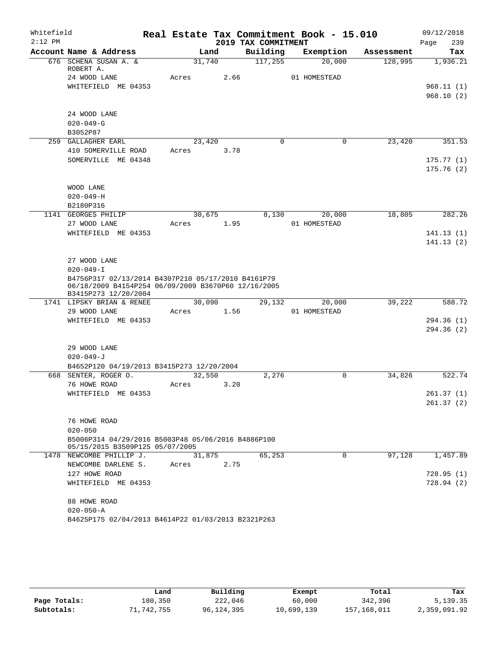| Whitefield<br>$2:12$ PM |                                                                                                                                   |       |        |      | Real Estate Tax Commitment Book - 15.010 |              |           |            | 09/12/2018  |
|-------------------------|-----------------------------------------------------------------------------------------------------------------------------------|-------|--------|------|------------------------------------------|--------------|-----------|------------|-------------|
|                         | Account Name & Address                                                                                                            |       |        |      | 2019 TAX COMMITMENT<br>Building          |              |           |            | 239<br>Page |
|                         | 676 SCHENA SUSAN A. &                                                                                                             |       | Land   |      |                                          |              | Exemption | Assessment | Tax         |
|                         | ROBERT A.                                                                                                                         |       | 31,740 |      | 117,255                                  |              | 20,000    | 128,995    | 1,936.21    |
|                         | 24 WOOD LANE                                                                                                                      | Acres |        | 2.66 |                                          | 01 HOMESTEAD |           |            |             |
|                         | WHITEFIELD ME 04353                                                                                                               |       |        |      |                                          |              |           |            | 968.11(1)   |
|                         |                                                                                                                                   |       |        |      |                                          |              |           |            | 968.10(2)   |
|                         |                                                                                                                                   |       |        |      |                                          |              |           |            |             |
|                         | 24 WOOD LANE                                                                                                                      |       |        |      |                                          |              |           |            |             |
|                         | $020 - 049 - G$                                                                                                                   |       |        |      |                                          |              |           |            |             |
|                         | B3052P87                                                                                                                          |       |        |      |                                          |              |           |            |             |
|                         | 259 GALLAGHER EARL                                                                                                                |       | 23,420 |      | $\Omega$                                 |              | 0         | 23,420     | 351.53      |
|                         | 410 SOMERVILLE ROAD                                                                                                               | Acres |        | 3.78 |                                          |              |           |            |             |
|                         | SOMERVILLE ME 04348                                                                                                               |       |        |      |                                          |              |           |            | 175.77(1)   |
|                         |                                                                                                                                   |       |        |      |                                          |              |           |            | 175.76(2)   |
|                         |                                                                                                                                   |       |        |      |                                          |              |           |            |             |
|                         | WOOD LANE                                                                                                                         |       |        |      |                                          |              |           |            |             |
|                         | $020 - 049 - H$                                                                                                                   |       |        |      |                                          |              |           |            |             |
|                         | B2180P316                                                                                                                         |       |        |      |                                          |              |           |            |             |
|                         | 1141 GEORGES PHILIP                                                                                                               |       | 30,675 |      | 8,130                                    |              | 20,000    | 18,805     | 282.26      |
|                         | 27 WOOD LANE                                                                                                                      | Acres |        | 1.95 |                                          | 01 HOMESTEAD |           |            |             |
|                         | WHITEFIELD ME 04353                                                                                                               |       |        |      |                                          |              |           |            | 141.13(1)   |
|                         |                                                                                                                                   |       |        |      |                                          |              |           |            | 141.13(2)   |
|                         |                                                                                                                                   |       |        |      |                                          |              |           |            |             |
|                         | 27 WOOD LANE                                                                                                                      |       |        |      |                                          |              |           |            |             |
|                         | $020 - 049 - I$                                                                                                                   |       |        |      |                                          |              |           |            |             |
|                         | B4756P317 02/13/2014 B4307P210 05/17/2010 B4161P79<br>06/18/2009 B4154P254 06/09/2009 B3670P60 12/16/2005<br>B3415P273 12/20/2004 |       |        |      |                                          |              |           |            |             |
|                         | 1741 LIPSKY BRIAN & RENEE                                                                                                         |       | 30,090 |      | 29,132                                   |              | 20,000    | 39,222     | 588.72      |
|                         | 29 WOOD LANE                                                                                                                      | Acres |        | 1.56 |                                          | 01 HOMESTEAD |           |            |             |
|                         | WHITEFIELD ME 04353                                                                                                               |       |        |      |                                          |              |           |            | 294.36(1)   |
|                         |                                                                                                                                   |       |        |      |                                          |              |           |            | 294.36(2)   |
|                         |                                                                                                                                   |       |        |      |                                          |              |           |            |             |
|                         | 29 WOOD LANE                                                                                                                      |       |        |      |                                          |              |           |            |             |
|                         | $020 - 049 - J$                                                                                                                   |       |        |      |                                          |              |           |            |             |
|                         | B4652P120 04/19/2013 B3415P273 12/20/2004                                                                                         |       |        |      |                                          |              |           |            |             |
|                         | 668 SENTER, ROGER O.                                                                                                              |       | 32,550 |      | 2,276                                    |              | 0         | 34,826     | 522.74      |
|                         | 76 HOWE ROAD                                                                                                                      | Acres |        | 3.20 |                                          |              |           |            |             |
|                         | WHITEFIELD ME 04353                                                                                                               |       |        |      |                                          |              |           |            | 261.37(1)   |
|                         |                                                                                                                                   |       |        |      |                                          |              |           |            | 261.37(2)   |
|                         |                                                                                                                                   |       |        |      |                                          |              |           |            |             |
|                         | 76 HOWE ROAD                                                                                                                      |       |        |      |                                          |              |           |            |             |
|                         | $020 - 050$                                                                                                                       |       |        |      |                                          |              |           |            |             |
|                         | B5006P314 04/29/2016 B5003P48 05/06/2016 B4886P100                                                                                |       |        |      |                                          |              |           |            |             |
|                         | 05/15/2015 B3509P125 05/07/2005                                                                                                   |       |        |      |                                          |              |           |            |             |
|                         | 1478 NEWCOMBE PHILLIP J.                                                                                                          |       | 31,875 |      | 65,253                                   |              | 0         | 97,128     | 1,457.89    |
|                         | NEWCOMBE DARLENE S.                                                                                                               | Acres |        | 2.75 |                                          |              |           |            |             |
|                         | 127 HOWE ROAD                                                                                                                     |       |        |      |                                          |              |           |            | 728.95(1)   |
|                         | WHITEFIELD ME 04353                                                                                                               |       |        |      |                                          |              |           |            | 728.94(2)   |
|                         |                                                                                                                                   |       |        |      |                                          |              |           |            |             |
|                         | 88 HOWE ROAD                                                                                                                      |       |        |      |                                          |              |           |            |             |
|                         | $020 - 050 - A$                                                                                                                   |       |        |      |                                          |              |           |            |             |
|                         | B4625P175 02/04/2013 B4614P22 01/03/2013 B2321P263                                                                                |       |        |      |                                          |              |           |            |             |

|              | Land       | Building   | Exempt     | Total       | Tax          |
|--------------|------------|------------|------------|-------------|--------------|
| Page Totals: | 180,350    | 222,046    | 60,000     | 342,396     | 5,139.35     |
| Subtotals:   | 71,742,755 | 96,124,395 | 10,699,139 | 157,168,011 | 2,359,091.92 |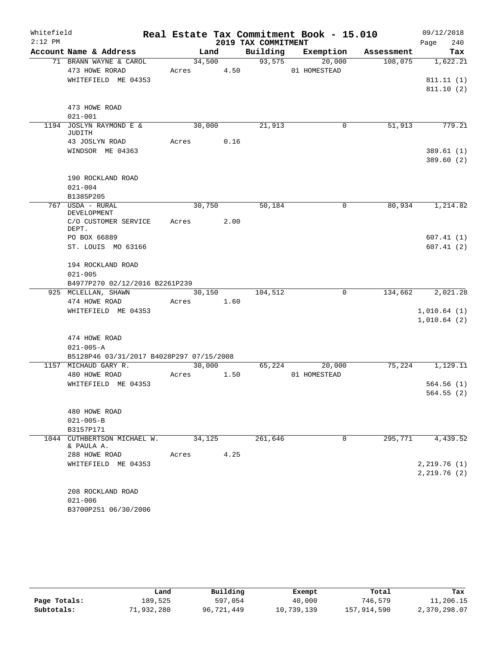| Whitefield |                               |                                                  |            |                |      |                     | Real Estate Tax Commitment Book - 15.010 |             |                       | 09/12/2018        |        |
|------------|-------------------------------|--------------------------------------------------|------------|----------------|------|---------------------|------------------------------------------|-------------|-----------------------|-------------------|--------|
| $2:12$ PM  |                               |                                                  |            |                |      | 2019 TAX COMMITMENT |                                          |             |                       | Page              | 240    |
|            |                               | Account Name & Address<br>71 BRANN WAYNE & CAROL |            | Land<br>34,500 |      | 93,575              | Building Exemption                       | 20,000      | Assessment<br>108,075 | 1,622.21          | Tax    |
|            | 473 HOWE RORAD                |                                                  | Acres 4.50 |                |      |                     | 01 HOMESTEAD                             |             |                       |                   |        |
|            |                               | WHITEFIELD ME 04353                              |            |                |      |                     |                                          |             |                       | 811.11(1)         |        |
|            |                               |                                                  |            |                |      |                     |                                          |             |                       | 811.10(2)         |        |
|            |                               |                                                  |            |                |      |                     |                                          |             |                       |                   |        |
|            | 473 HOWE ROAD                 |                                                  |            |                |      |                     |                                          |             |                       |                   |        |
|            | $021 - 001$                   |                                                  |            |                |      |                     |                                          |             |                       |                   |        |
|            | JUDITH                        | 1194 JOSLYN RAYMOND E &                          |            | 30,000         |      | 21,913              |                                          | 0           | 51,913                |                   | 779.21 |
|            |                               | 43 JOSLYN ROAD                                   | Acres 0.16 |                |      |                     |                                          |             |                       |                   |        |
|            |                               | WINDSOR ME 04363                                 |            |                |      |                     |                                          |             |                       | 389.61 (1)        |        |
|            |                               |                                                  |            |                |      |                     |                                          |             |                       | 389.60 (2)        |        |
|            |                               |                                                  |            |                |      |                     |                                          |             |                       |                   |        |
|            |                               | 190 ROCKLAND ROAD                                |            |                |      |                     |                                          |             |                       |                   |        |
|            | $021 - 004$                   |                                                  |            |                |      |                     |                                          |             |                       |                   |        |
|            | B1385P205<br>767 USDA - RURAL |                                                  |            |                |      | 50,184              |                                          | 0           | 80,934                | 1,214.82          |        |
|            | DEVELOPMENT                   |                                                  |            | 30,750         |      |                     |                                          |             |                       |                   |        |
|            |                               | C/O CUSTOMER SERVICE Acres                       |            |                | 2.00 |                     |                                          |             |                       |                   |        |
|            | DEPT.                         |                                                  |            |                |      |                     |                                          |             |                       |                   |        |
|            | PO BOX 66889                  |                                                  |            |                |      |                     |                                          |             |                       | 607.41(1)         |        |
|            |                               | ST. LOUIS MO 63166                               |            |                |      |                     |                                          |             |                       | 607.41(2)         |        |
|            |                               | 194 ROCKLAND ROAD                                |            |                |      |                     |                                          |             |                       |                   |        |
|            | $021 - 005$                   |                                                  |            |                |      |                     |                                          |             |                       |                   |        |
|            |                               | B4977P270 02/12/2016 B2261P239                   |            |                |      |                     |                                          |             |                       |                   |        |
|            |                               | 925 MCLELLAN, SHAWN                              |            | 30,150         |      | 104,512             |                                          | $\mathbf 0$ |                       | 134,662 2,021.28  |        |
|            | 474 HOWE ROAD                 |                                                  | Acres 1.60 |                |      |                     |                                          |             |                       |                   |        |
|            |                               | WHITEFIELD ME 04353                              |            |                |      |                     |                                          |             |                       | 1,010.64(1)       |        |
|            |                               |                                                  |            |                |      |                     |                                          |             |                       | 1,010.64(2)       |        |
|            | 474 HOWE ROAD                 |                                                  |            |                |      |                     |                                          |             |                       |                   |        |
|            | $021 - 005 - A$               |                                                  |            |                |      |                     |                                          |             |                       |                   |        |
|            |                               | B5128P46 03/31/2017 B4028P297 07/15/2008         |            |                |      |                     |                                          |             |                       |                   |        |
|            | 1157 MICHAUD GARY R.          |                                                  |            | 30,000         |      | 65,224              |                                          | 20,000      |                       | $75,224$ 1,129.11 |        |
|            | 480 HOWE ROAD                 |                                                  | Acres      |                | 1.50 |                     | 01 HOMESTEAD                             |             |                       |                   |        |
|            |                               | WHITEFIELD ME 04353                              |            |                |      |                     |                                          |             |                       | 564.56(1)         |        |
|            |                               |                                                  |            |                |      |                     |                                          |             |                       | 564.55 (2)        |        |
|            |                               |                                                  |            |                |      |                     |                                          |             |                       |                   |        |
|            | 480 HOWE ROAD                 |                                                  |            |                |      |                     |                                          |             |                       |                   |        |
|            | $021 - 005 - B$               |                                                  |            |                |      |                     |                                          |             |                       |                   |        |
|            | B3157P171                     |                                                  |            |                |      |                     |                                          | 0           | 295,771               |                   |        |
|            | & PAULA A.                    | 1044 CUTHBERTSON MICHAEL W.                      |            | 34,125         |      | 261,646             |                                          |             |                       | 4,439.52          |        |
|            | 288 HOWE ROAD                 |                                                  | Acres      |                | 4.25 |                     |                                          |             |                       |                   |        |
|            |                               | WHITEFIELD ME 04353                              |            |                |      |                     |                                          |             |                       | 2,219.76(1)       |        |
|            |                               |                                                  |            |                |      |                     |                                          |             |                       | 2,219.76(2)       |        |
|            |                               |                                                  |            |                |      |                     |                                          |             |                       |                   |        |
|            |                               | 208 ROCKLAND ROAD                                |            |                |      |                     |                                          |             |                       |                   |        |
|            | $021 - 006$                   |                                                  |            |                |      |                     |                                          |             |                       |                   |        |
|            |                               | B3700P251 06/30/2006                             |            |                |      |                     |                                          |             |                       |                   |        |

|              | Land       | Building   | Exempt     | Total       | Tax          |
|--------------|------------|------------|------------|-------------|--------------|
| Page Totals: | 189,525    | 597,054    | 40,000     | 746,579     | 11,206.15    |
| Subtotals:   | 71,932,280 | 96,721,449 | 10,739,139 | 157,914,590 | 2,370,298.07 |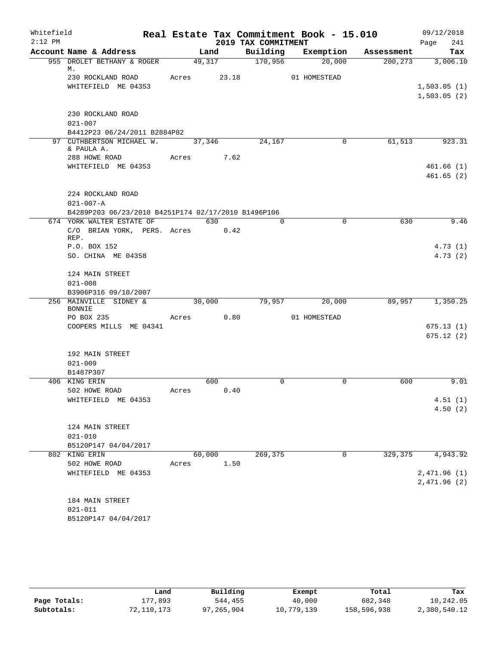| Whitefield<br>$2:12$ PM |                                                                                             |            |        | 2019 TAX COMMITMENT | Real Estate Tax Commitment Book - 15.010 |            | 09/12/2018<br>241<br>Page  |
|-------------------------|---------------------------------------------------------------------------------------------|------------|--------|---------------------|------------------------------------------|------------|----------------------------|
|                         | Account Name & Address                                                                      |            | Land   | Building            | Exemption                                | Assessment | Tax                        |
|                         | 955 DROLET BETHANY & ROGER<br>М.                                                            |            | 49,317 | 170,956             | 20,000                                   | 200, 273   | 3,006.10                   |
|                         | 230 ROCKLAND ROAD<br>WHITEFIELD ME 04353                                                    | Acres      | 23.18  |                     | 01 HOMESTEAD                             |            | 1,503.05(1)<br>1,503.05(2) |
|                         | 230 ROCKLAND ROAD<br>$021 - 007$<br>B4412P23 06/24/2011 B2884P82                            |            |        |                     |                                          |            |                            |
|                         | 97 CUTHBERTSON MICHAEL W.                                                                   |            | 37,346 | 24,167              | $\overline{0}$                           | 61,513     | 923.31                     |
|                         | & PAULA A.<br>288 HOWE ROAD<br>WHITEFIELD ME 04353                                          | Acres 7.62 |        |                     |                                          |            | 461.66(1)<br>461.65(2)     |
|                         | 224 ROCKLAND ROAD<br>$021 - 007 - A$<br>B4289P203 06/23/2010 B4251P174 02/17/2010 B1496P106 |            |        |                     |                                          |            |                            |
|                         | 674 YORK WALTER ESTATE OF                                                                   |            | 630    | $\Omega$            | $\Omega$                                 | 630        | 9.46                       |
|                         | C/O BRIAN YORK, PERS. Acres 0.42<br>REP.                                                    |            |        |                     |                                          |            |                            |
|                         | P.O. BOX 152                                                                                |            |        |                     |                                          |            | 4.73(1)                    |
|                         | SO. CHINA ME 04358                                                                          |            |        |                     |                                          |            | 4.73(2)                    |
|                         | 124 MAIN STREET                                                                             |            |        |                     |                                          |            |                            |
|                         | $021 - 008$                                                                                 |            |        |                     |                                          |            |                            |
|                         | B3906P316 09/10/2007                                                                        |            |        |                     |                                          |            |                            |
|                         | 256 MAINVILLE SIDNEY &<br><b>BONNIE</b>                                                     |            | 30,000 | 79,957              | 20,000                                   | 89,957     | 1,350.25                   |
|                         | PO BOX 235                                                                                  | Acres      | 0.80   |                     | 01 HOMESTEAD                             |            |                            |
|                         | COOPERS MILLS ME 04341                                                                      |            |        |                     |                                          |            | 675.13(1)<br>675.12(2)     |
|                         | 192 MAIN STREET                                                                             |            |        |                     |                                          |            |                            |
|                         | $021 - 009$                                                                                 |            |        |                     |                                          |            |                            |
|                         | B1487P307                                                                                   |            |        |                     |                                          |            |                            |
|                         | 406 KING ERIN                                                                               |            | 600    | $\mathbf 0$         | $\mathbf 0$                              | 600        | 9.01                       |
|                         | 502 HOWE ROAD<br>WHITEFIELD ME 04353                                                        | Acres      | 0.40   |                     |                                          |            | 4.51(1)                    |
|                         |                                                                                             |            |        |                     |                                          |            | 4.50(2)                    |
|                         | 124 MAIN STREET<br>$021 - 010$                                                              |            |        |                     |                                          |            |                            |
|                         | B5120P147 04/04/2017                                                                        |            |        |                     |                                          |            |                            |
|                         | 802 KING ERIN                                                                               | 60,000     |        | 269,375             | 0                                        | 329,375    | 4,943.92                   |
|                         | 502 HOWE ROAD<br>WHITEFIELD ME 04353                                                        | Acres      | 1.50   |                     |                                          |            |                            |
|                         |                                                                                             |            |        |                     |                                          |            | 2,471.96(1)<br>2,471.96(2) |
|                         | 184 MAIN STREET                                                                             |            |        |                     |                                          |            |                            |
|                         | $021 - 011$                                                                                 |            |        |                     |                                          |            |                            |
|                         | B5120P147 04/04/2017                                                                        |            |        |                     |                                          |            |                            |

|              | Land       | Building   | Exempt     | Total       | Tax          |
|--------------|------------|------------|------------|-------------|--------------|
| Page Totals: | .77,893    | 544,455    | 40,000     | 682,348     | 10,242.05    |
| Subtotals:   | 72,110,173 | 97,265,904 | 10,779,139 | 158,596,938 | 2,380,540.12 |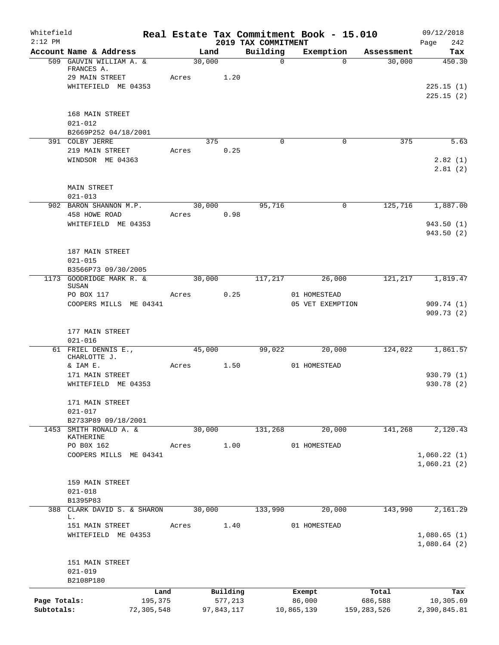| Whitefield<br>$2:12$ PM    |                                                         |       |                       |                                 | Real Estate Tax Commitment Book - 15.010 |                          | 09/12/2018                 |
|----------------------------|---------------------------------------------------------|-------|-----------------------|---------------------------------|------------------------------------------|--------------------------|----------------------------|
|                            | Account Name & Address                                  |       | Land                  | 2019 TAX COMMITMENT<br>Building | Exemption                                | Assessment               | Page<br>242<br>Tax         |
|                            | 509 GAUVIN WILLIAM A. &<br>FRANCES A.<br>29 MAIN STREET | Acres | 30,000<br>1.20        | $\mathbf 0$                     | $\Omega$                                 | 30,000                   | 450.30                     |
|                            | WHITEFIELD ME 04353                                     |       |                       |                                 |                                          |                          | 225.15(1)<br>225.15(2)     |
|                            | 168 MAIN STREET<br>$021 - 012$                          |       |                       |                                 |                                          |                          |                            |
|                            | B2669P252 04/18/2001<br>391 COLBY JERRE                 |       | 375                   | $\Omega$                        | 0                                        | 375                      | 5.63                       |
|                            | 219 MAIN STREET                                         | Acres | 0.25                  |                                 |                                          |                          |                            |
|                            | WINDSOR ME 04363                                        |       |                       |                                 |                                          |                          | 2.82(1)<br>2.81(2)         |
|                            | <b>MAIN STREET</b><br>$021 - 013$                       |       |                       |                                 |                                          |                          |                            |
|                            | 902 BARON SHANNON M.P.                                  |       | 30,000                | 95,716                          | $\mathbf 0$                              | 125,716                  | 1,887.00                   |
|                            | 458 HOWE ROAD<br>WHITEFIELD ME 04353                    | Acres | 0.98                  |                                 |                                          |                          | 943.50(1)<br>943.50(2)     |
|                            | 187 MAIN STREET<br>$021 - 015$                          |       |                       |                                 |                                          |                          |                            |
|                            | B3566P73 09/30/2005                                     |       |                       |                                 |                                          |                          |                            |
|                            | 1173 GOODRIDGE MARK R. &<br>SUSAN<br>PO BOX 117         | Acres | 30,000<br>0.25        | 117,217                         | 26,000<br>01 HOMESTEAD                   | 121,217                  | 1,819.47                   |
|                            | COOPERS MILLS ME 04341                                  |       |                       |                                 | 05 VET EXEMPTION                         |                          | 909.74(1)<br>909.73(2)     |
|                            | 177 MAIN STREET<br>$021 - 016$                          |       |                       |                                 |                                          |                          |                            |
|                            | 61 FRIEL DENNIS E.,<br>CHARLOTTE J.                     |       | 45,000                | 99,022                          | 20,000                                   | 124,022                  | 1,861.57                   |
|                            | & IAM E.                                                | Acres | 1.50                  |                                 | 01 HOMESTEAD                             |                          |                            |
|                            | 171 MAIN STREET<br>WHITEFIELD ME 04353                  |       |                       |                                 |                                          |                          | 930.79(1)<br>930.78 (2)    |
|                            | 171 MAIN STREET<br>$021 - 017$                          |       |                       |                                 |                                          |                          |                            |
|                            | B2733P89 09/18/2001<br>1453 SMITH RONALD A. &           |       | 30,000                | 131,268                         | 20,000                                   | 141,268                  | 2,120.43                   |
|                            | KATHERINE                                               |       |                       |                                 |                                          |                          |                            |
|                            | PO B0X 162                                              | Acres | 1.00                  |                                 | 01 HOMESTEAD                             |                          |                            |
|                            | COOPERS MILLS ME 04341                                  |       |                       |                                 |                                          |                          | 1,060.22(1)<br>1,060.21(2) |
|                            | 159 MAIN STREET<br>$021 - 018$                          |       |                       |                                 |                                          |                          |                            |
|                            | B1395P83                                                |       |                       |                                 |                                          |                          |                            |
|                            | 388 CLARK DAVID S. & SHARON<br>L.                       |       | 30,000                | 133,990                         | 20,000                                   | 143,990                  | 2,161.29                   |
|                            | 151 MAIN STREET<br>WHITEFIELD ME 04353                  | Acres | 1.40                  |                                 | 01 HOMESTEAD                             |                          | 1,080.65(1)<br>1,080.64(2) |
|                            | 151 MAIN STREET<br>$021 - 019$<br>B2108P180             |       |                       |                                 |                                          |                          |                            |
|                            | Land                                                    |       | Building              |                                 | Exempt                                   | Total                    | Tax                        |
| Page Totals:<br>Subtotals: | 195,375<br>72,305,548                                   |       | 577,213<br>97,843,117 |                                 | 86,000<br>10,865,139                     | 686,588<br>159, 283, 526 | 10,305.69<br>2,390,845.81  |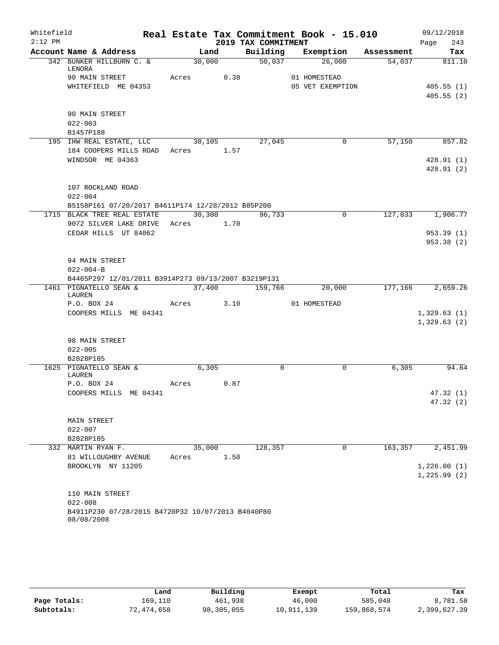| Whitefield<br>$2:12$ PM |                                                                 |            |        | 2019 TAX COMMITMENT | Real Estate Tax Commitment Book - 15.010 |         | 09/12/2018<br>243<br>Page |
|-------------------------|-----------------------------------------------------------------|------------|--------|---------------------|------------------------------------------|---------|---------------------------|
|                         | Account Name & Address                                          | Land       |        |                     | Building Exemption Assessment            |         | Tax                       |
|                         | 342 BUNKER HILLBURN C. &<br>LENORA                              | 30,000     |        | 50,037              | 26,000                                   | 54,037  | 811.10                    |
|                         | 90 MAIN STREET                                                  | Acres 0.38 |        |                     | 01 HOMESTEAD                             |         |                           |
|                         | WHITEFIELD ME 04353                                             |            |        |                     | 05 VET EXEMPTION                         |         | 405.55(1)                 |
|                         |                                                                 |            |        |                     |                                          |         | 405.55(2)                 |
|                         | 90 MAIN STREET                                                  |            |        |                     |                                          |         |                           |
|                         | $022 - 003$                                                     |            |        |                     |                                          |         |                           |
|                         | B1457P188                                                       |            |        |                     |                                          |         |                           |
|                         | 195 IHW REAL ESTATE, LLC 30,105                                 |            |        | 27,045              | $\overline{0}$                           | 57,150  | 857.82                    |
|                         | 184 COOPERS MILLS ROAD Acres 1.57                               |            |        |                     |                                          |         |                           |
|                         | WINDSOR ME 04363                                                |            |        |                     |                                          |         | 428.91(1)                 |
|                         |                                                                 |            |        |                     |                                          |         | 428.91(2)                 |
|                         | 107 ROCKLAND ROAD                                               |            |        |                     |                                          |         |                           |
|                         | $022 - 004$                                                     |            |        |                     |                                          |         |                           |
|                         | B5158P161 07/20/2017 B4611P174 12/28/2012 B85P200               |            |        |                     |                                          |         |                           |
|                         | 1715 BLACK TREE REAL ESTATE                                     |            | 30,300 | 96,733              | $\mathbf 0$                              |         | 127,033 1,906.77          |
|                         | 9072 SILVER LAKE DRIVE Acres 1.70                               |            |        |                     |                                          |         |                           |
|                         | CEDAR HILLS UT 84062                                            |            |        |                     |                                          |         | 953.39(1)                 |
|                         |                                                                 |            |        |                     |                                          |         | 953.38 (2)                |
|                         | 94 MAIN STREET                                                  |            |        |                     |                                          |         |                           |
|                         | $022 - 004 - B$                                                 |            |        |                     |                                          |         |                           |
|                         | B4465P297 12/01/2011 B3914P273 09/13/2007 B3219P131             |            |        |                     |                                          |         |                           |
|                         | 1461 PIGNATELLO SEAN &<br>LAUREN                                | 37,400     |        | $\frac{159,766}{ }$ | 20,000                                   |         | 177,166 2,659.26          |
|                         | P.O. BOX 24                                                     | Acres 3.10 |        |                     | 01 HOMESTEAD                             |         |                           |
|                         | COOPERS MILLS ME 04341                                          |            |        |                     |                                          |         | 1,329.63(1)               |
|                         |                                                                 |            |        |                     |                                          |         | 1,329.63(2)               |
|                         | 98 MAIN STREET                                                  |            |        |                     |                                          |         |                           |
|                         | $022 - 005$                                                     |            |        |                     |                                          |         |                           |
|                         | B2828P185                                                       |            |        |                     |                                          |         |                           |
|                         | 1625 PIGNATELLO SEAN &<br>LAUREN                                | 6,305      |        | $\mathbf 0$         | $\mathbf 0$                              | 6,305   | 94.64                     |
|                         | P.O. BOX 24                                                     | Acres      | 0.87   |                     |                                          |         |                           |
|                         | COOPERS MILLS ME 04341                                          |            |        |                     |                                          |         | 47.32 (1)                 |
|                         |                                                                 |            |        |                     |                                          |         | 47.32 (2)                 |
|                         | <b>MAIN STREET</b>                                              |            |        |                     |                                          |         |                           |
|                         | $022 - 007$                                                     |            |        |                     |                                          |         |                           |
|                         | B2828P185                                                       |            |        |                     |                                          |         |                           |
|                         | 332 MARTIN RYAN F.                                              | 35,000     |        | 128,357             | $\Omega$                                 | 163,357 | 2,451.99                  |
|                         | 81 WILLOUGHBY AVENUE                                            | Acres      | 1.50   |                     |                                          |         |                           |
|                         | BROOKLYN NY 11205                                               |            |        |                     |                                          |         | 1,226.00(1)               |
|                         |                                                                 |            |        |                     |                                          |         | 1,225.99(2)               |
|                         |                                                                 |            |        |                     |                                          |         |                           |
|                         | 110 MAIN STREET                                                 |            |        |                     |                                          |         |                           |
|                         | $022 - 008$                                                     |            |        |                     |                                          |         |                           |
|                         | B4911P230 07/28/2015 B4720P32 10/07/2013 B4040P80<br>08/08/2008 |            |        |                     |                                          |         |                           |

|              | Land       | Building   | Exempt     | Total       | Tax          |
|--------------|------------|------------|------------|-------------|--------------|
| Page Totals: | 169.110    | 461,938    | 46,000     | 585,048     | 8,781.58     |
| Subtotals:   | 72,474,658 | 98,305,055 | 10,911,139 | 159,868,574 | 2,399,627.39 |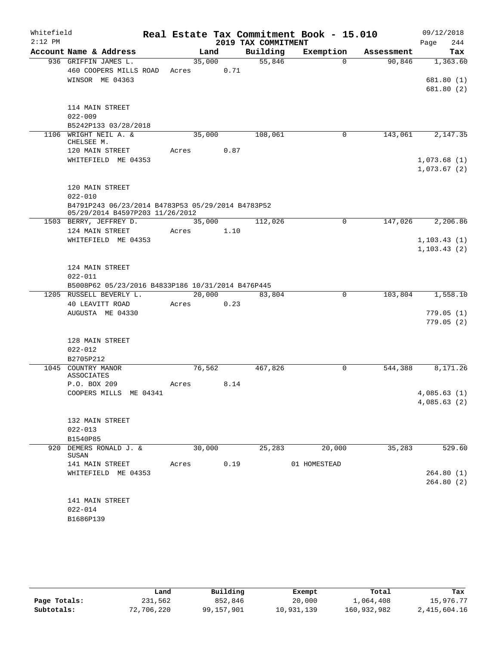| Whitefield<br>$2:12$ PM |                                                                                      |        |        | 2019 TAX COMMITMENT | Real Estate Tax Commitment Book - 15.010 |            | 09/12/2018<br>244<br>Page |
|-------------------------|--------------------------------------------------------------------------------------|--------|--------|---------------------|------------------------------------------|------------|---------------------------|
|                         | Account Name & Address                                                               |        | Land   | Building            | Exemption                                | Assessment | Tax                       |
|                         | 936 GRIFFIN JAMES L.                                                                 | 35,000 |        | 55,846              | 0                                        | 90,846     | 1,363.60                  |
|                         | 460 COOPERS MILLS ROAD                                                               | Acres  | 0.71   |                     |                                          |            |                           |
|                         | WINSOR ME 04363                                                                      |        |        |                     |                                          |            | 681.80(1)                 |
|                         |                                                                                      |        |        |                     |                                          |            | 681.80(2)                 |
|                         | 114 MAIN STREET                                                                      |        |        |                     |                                          |            |                           |
|                         | $022 - 009$                                                                          |        |        |                     |                                          |            |                           |
|                         | B5242P133 03/28/2018                                                                 |        |        |                     |                                          |            |                           |
| 1106                    | WRIGHT NEIL A. &<br>CHELSEE M.                                                       | 35,000 |        | 108,061             | 0                                        | 143,061    | 2,147.35                  |
|                         | 120 MAIN STREET                                                                      | Acres  | 0.87   |                     |                                          |            |                           |
|                         | WHITEFIELD ME 04353                                                                  |        |        |                     |                                          |            | 1,073.68(1)               |
|                         |                                                                                      |        |        |                     |                                          |            | 1,073.67(2)               |
|                         | 120 MAIN STREET                                                                      |        |        |                     |                                          |            |                           |
|                         | $022 - 010$                                                                          |        |        |                     |                                          |            |                           |
|                         | B4791P243 06/23/2014 B4783P53 05/29/2014 B4783P52<br>05/29/2014 B4597P203 11/26/2012 |        |        |                     |                                          |            |                           |
|                         | 1503 BERRY, JEFFREY D.                                                               | 35,000 |        | 112,026             | 0                                        | 147,026    | 2,206.86                  |
|                         | 124 MAIN STREET                                                                      | Acres  | 1.10   |                     |                                          |            |                           |
|                         | WHITEFIELD ME 04353                                                                  |        |        |                     |                                          |            | 1, 103.43(1)              |
|                         |                                                                                      |        |        |                     |                                          |            | 1, 103.43(2)              |
|                         | 124 MAIN STREET                                                                      |        |        |                     |                                          |            |                           |
|                         | $022 - 011$                                                                          |        |        |                     |                                          |            |                           |
|                         | B5008P62 05/23/2016 B4833P186 10/31/2014 B476P445                                    |        |        |                     |                                          |            |                           |
|                         | 1205 RUSSELL BEVERLY L.                                                              |        | 20,000 | 83,804              | 0                                        | 103,804    | 1,558.10                  |
|                         | 40 LEAVITT ROAD                                                                      | Acres  | 0.23   |                     |                                          |            |                           |
|                         | AUGUSTA ME 04330                                                                     |        |        |                     |                                          |            | 779.05(1)                 |
|                         |                                                                                      |        |        |                     |                                          |            | 779.05(2)                 |
|                         | 128 MAIN STREET                                                                      |        |        |                     |                                          |            |                           |
|                         | $022 - 012$                                                                          |        |        |                     |                                          |            |                           |
|                         | B2705P212                                                                            |        |        |                     |                                          |            |                           |
|                         | 1045 COUNTRY MANOR                                                                   | 76,562 |        | 467,826             | 0                                        | 544,388    | 8,171.26                  |
|                         | <b>ASSOCIATES</b>                                                                    |        |        |                     |                                          |            |                           |
|                         | P.O. BOX 209                                                                         | Acres  | 8.14   |                     |                                          |            |                           |
|                         | COOPERS MILLS ME 04341                                                               |        |        |                     |                                          |            | 4,085.63(1)               |
|                         |                                                                                      |        |        |                     |                                          |            | 4,085.63(2)               |
|                         | 132 MAIN STREET                                                                      |        |        |                     |                                          |            |                           |
|                         | $022 - 013$                                                                          |        |        |                     |                                          |            |                           |
|                         | B1540P85                                                                             |        |        |                     |                                          |            |                           |
| 920                     | DEMERS RONALD J. &<br>SUSAN                                                          | 30,000 |        | 25, 283             | 20,000                                   | 35,283     | 529.60                    |
|                         | 141 MAIN STREET                                                                      | Acres  | 0.19   |                     | 01 HOMESTEAD                             |            |                           |
|                         | WHITEFIELD ME 04353                                                                  |        |        |                     |                                          |            | 264.80(1)                 |
|                         |                                                                                      |        |        |                     |                                          |            | 264.80(2)                 |
|                         | 141 MAIN STREET                                                                      |        |        |                     |                                          |            |                           |
|                         | $022 - 014$                                                                          |        |        |                     |                                          |            |                           |
|                         | B1686P139                                                                            |        |        |                     |                                          |            |                           |
|                         |                                                                                      |        |        |                     |                                          |            |                           |

|              | Land       | Building   | Exempt     | Total       | Tax          |
|--------------|------------|------------|------------|-------------|--------------|
| Page Totals: | 231,562    | 852,846    | 20,000     | 1,064,408   | 15,976.77    |
| Subtotals:   | 72,706,220 | 99,157,901 | 10,931,139 | 160,932,982 | 2,415,604.16 |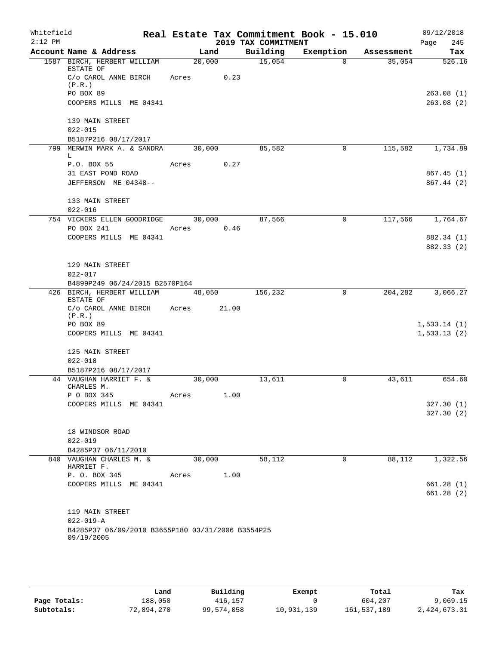| Whitefield |                                                   |            |        |                     | Real Estate Tax Commitment Book - 15.010 |                  | 09/12/2018  |            |
|------------|---------------------------------------------------|------------|--------|---------------------|------------------------------------------|------------------|-------------|------------|
| $2:12$ PM  |                                                   |            |        | 2019 TAX COMMITMENT |                                          |                  | Page        | 245        |
|            | Account Name & Address                            |            | Land   |                     | Building Exemption                       | Assessment       |             | Tax        |
|            | 1587 BIRCH, HERBERT WILLIAM<br>ESTATE OF          |            | 20,000 | 15,054              | $\Omega$                                 | 35,054           |             | 526.16     |
|            | C/o CAROL ANNE BIRCH<br>(P.R.)                    | Acres 0.23 |        |                     |                                          |                  |             |            |
|            | PO BOX 89                                         |            |        |                     |                                          |                  |             | 263.08(1)  |
|            | COOPERS MILLS ME 04341                            |            |        |                     |                                          |                  |             | 263.08(2)  |
|            | 139 MAIN STREET                                   |            |        |                     |                                          |                  |             |            |
|            | $022 - 015$                                       |            |        |                     |                                          |                  |             |            |
|            | B5187P216 08/17/2017                              |            |        |                     |                                          |                  |             |            |
|            | 799 MERWIN MARK A. & SANDRA<br>L.                 |            | 30,000 | 85,582              | $\mathbf 0$                              | 115,582          |             | 1,734.89   |
|            | P.O. BOX 55                                       | Acres 0.27 |        |                     |                                          |                  |             |            |
|            | 31 EAST POND ROAD                                 |            |        |                     |                                          |                  |             | 867.45(1)  |
|            | JEFFERSON ME 04348--                              |            |        |                     |                                          |                  |             | 867.44 (2) |
|            | 133 MAIN STREET                                   |            |        |                     |                                          |                  |             |            |
|            | $022 - 016$                                       |            |        |                     |                                          |                  |             |            |
|            | 754 VICKERS ELLEN GOODRIDGE 30,000                |            |        | 87,566              | $\overline{0}$                           | 117,566 1,764.67 |             |            |
|            | PO BOX 241                                        | Acres 0.46 |        |                     |                                          |                  |             |            |
|            | COOPERS MILLS ME 04341                            |            |        |                     |                                          |                  |             | 882.34 (1) |
|            |                                                   |            |        |                     |                                          |                  |             | 882.33 (2) |
|            | 129 MAIN STREET                                   |            |        |                     |                                          |                  |             |            |
|            | $022 - 017$                                       |            |        |                     |                                          |                  |             |            |
|            | B4899P249 06/24/2015 B2570P164                    |            |        |                     |                                          |                  |             |            |
|            | 426 BIRCH, HERBERT WILLIAM 48,050                 |            |        | 156,232             | $\mathsf{O}$                             | 204,282          |             | 3,066.27   |
|            | ESTATE OF                                         |            |        |                     |                                          |                  |             |            |
|            | C/o CAROL ANNE BIRCH Acres<br>(P.R.)              |            | 21.00  |                     |                                          |                  |             |            |
|            | PO BOX 89                                         |            |        |                     |                                          |                  | 1,533.14(1) |            |
|            | COOPERS MILLS ME 04341                            |            |        |                     |                                          |                  | 1,533.13(2) |            |
|            |                                                   |            |        |                     |                                          |                  |             |            |
|            | 125 MAIN STREET                                   |            |        |                     |                                          |                  |             |            |
|            | $022 - 018$                                       |            |        |                     |                                          |                  |             |            |
|            | B5187P216 08/17/2017<br>44 VAUGHAN HARRIET F. &   | 30,000     |        | 13,611              | 0                                        | 43,611           |             | 654.60     |
|            | CHARLES M.                                        |            |        |                     |                                          |                  |             |            |
|            | P O BOX 345                                       | Acres      | 1.00   |                     |                                          |                  |             |            |
|            | COOPERS MILLS ME 04341                            |            |        |                     |                                          |                  |             | 327.30(1)  |
|            |                                                   |            |        |                     |                                          |                  |             | 327.30(2)  |
|            | 18 WINDSOR ROAD                                   |            |        |                     |                                          |                  |             |            |
|            | $022 - 019$                                       |            |        |                     |                                          |                  |             |            |
|            | B4285P37 06/11/2010                               |            |        |                     |                                          |                  |             |            |
|            | 840 VAUGHAN CHARLES M. &                          | 30,000     |        | 58,112              | 0                                        | 88,112           |             | 1,322.56   |
|            | HARRIET F.                                        |            |        |                     |                                          |                  |             |            |
|            | P. O. BOX 345                                     | Acres      | 1.00   |                     |                                          |                  |             |            |
|            | COOPERS MILLS ME 04341                            |            |        |                     |                                          |                  |             | 661.28(1)  |
|            |                                                   |            |        |                     |                                          |                  |             | 661.28(2)  |
|            | 119 MAIN STREET                                   |            |        |                     |                                          |                  |             |            |
|            | $022 - 019 - A$                                   |            |        |                     |                                          |                  |             |            |
|            | B4285P37 06/09/2010 B3655P180 03/31/2006 B3554P25 |            |        |                     |                                          |                  |             |            |
|            | 09/19/2005                                        |            |        |                     |                                          |                  |             |            |

|              | Land       | Building   | Exempt     | Total       | Tax          |
|--------------|------------|------------|------------|-------------|--------------|
| Page Totals: | 188,050    | 416,157    |            | 604,207     | 9,069.15     |
| Subtotals:   | 72,894,270 | 99,574,058 | 10,931,139 | 161,537,189 | 2,424,673.31 |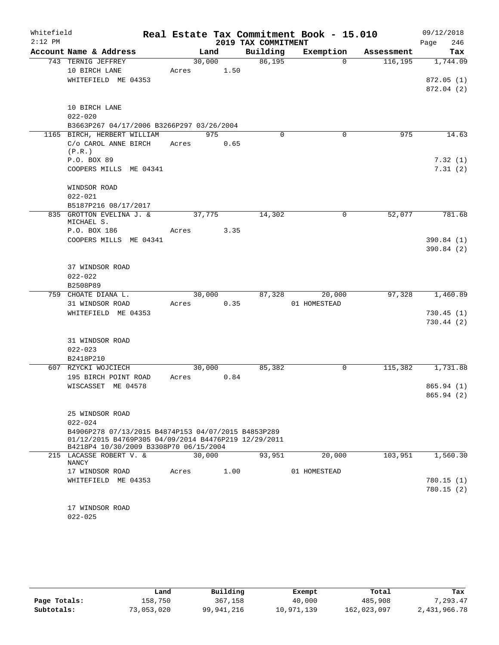| Whitefield |                                                                                                                                                       |       |        |                     | Real Estate Tax Commitment Book - 15.010 |            | 09/12/2018  |
|------------|-------------------------------------------------------------------------------------------------------------------------------------------------------|-------|--------|---------------------|------------------------------------------|------------|-------------|
| $2:12$ PM  |                                                                                                                                                       |       |        | 2019 TAX COMMITMENT |                                          |            | 246<br>Page |
|            | Account Name & Address                                                                                                                                |       | Land   | Building            | Exemption                                | Assessment | Tax         |
|            | 743 TERNIG JEFFREY                                                                                                                                    |       | 30,000 | 86,195              | $\Omega$                                 | 116, 195   | 1,744.09    |
|            | 10 BIRCH LANE<br>WHITEFIELD ME 04353                                                                                                                  | Acres | 1.50   |                     |                                          |            | 872.05(1)   |
|            |                                                                                                                                                       |       |        |                     |                                          |            | 872.04 (2)  |
|            | 10 BIRCH LANE                                                                                                                                         |       |        |                     |                                          |            |             |
|            | $022 - 020$                                                                                                                                           |       |        |                     |                                          |            |             |
|            | B3663P267 04/17/2006 B3266P297 03/26/2004                                                                                                             |       |        |                     |                                          |            |             |
|            | 1165 BIRCH, HERBERT WILLIAM                                                                                                                           |       | 975    | $\Omega$            | $\mathbf 0$                              | 975        | 14.63       |
|            | C/o CAROL ANNE BIRCH<br>(P.R.)                                                                                                                        | Acres | 0.65   |                     |                                          |            |             |
|            | P.O. BOX 89                                                                                                                                           |       |        |                     |                                          |            | 7.32(1)     |
|            | COOPERS MILLS ME 04341                                                                                                                                |       |        |                     |                                          |            | 7.31(2)     |
|            | WINDSOR ROAD                                                                                                                                          |       |        |                     |                                          |            |             |
|            | $022 - 021$                                                                                                                                           |       |        |                     |                                          |            |             |
|            | B5187P216 08/17/2017<br>835 GROTTON EVELINA J. &<br>MICHAEL S.                                                                                        |       | 37,775 | 14,302              | 0                                        | 52,077     | 781.68      |
|            | P.O. BOX 186                                                                                                                                          | Acres | 3.35   |                     |                                          |            |             |
|            | COOPERS MILLS ME 04341                                                                                                                                |       |        |                     |                                          |            | 390.84 (1)  |
|            |                                                                                                                                                       |       |        |                     |                                          |            | 390.84 (2)  |
|            | 37 WINDSOR ROAD                                                                                                                                       |       |        |                     |                                          |            |             |
|            | $022 - 022$                                                                                                                                           |       |        |                     |                                          |            |             |
|            | B2508P89                                                                                                                                              |       |        |                     |                                          |            |             |
|            | 759 CHOATE DIANA L.                                                                                                                                   |       | 30,000 | 87,328              | 20,000                                   | 97,328     | 1,460.89    |
|            | 31 WINDSOR ROAD                                                                                                                                       | Acres | 0.35   |                     | 01 HOMESTEAD                             |            |             |
|            | WHITEFIELD ME 04353                                                                                                                                   |       |        |                     |                                          |            | 730.45(1)   |
|            |                                                                                                                                                       |       |        |                     |                                          |            | 730.44(2)   |
|            | 31 WINDSOR ROAD                                                                                                                                       |       |        |                     |                                          |            |             |
|            | $022 - 023$                                                                                                                                           |       |        |                     |                                          |            |             |
|            | B2418P210                                                                                                                                             |       |        |                     |                                          |            |             |
|            | 607 RZYCKI WOJCIECH                                                                                                                                   |       | 30,000 | 85,382              | 0                                        | 115,382    | 1,731.88    |
|            | 195 BIRCH POINT ROAD                                                                                                                                  | Acres | 0.84   |                     |                                          |            |             |
|            | WISCASSET ME 04578                                                                                                                                    |       |        |                     |                                          |            | 865.94(1)   |
|            |                                                                                                                                                       |       |        |                     |                                          |            | 865.94 (2)  |
|            | 25 WINDSOR ROAD                                                                                                                                       |       |        |                     |                                          |            |             |
|            | $022 - 024$                                                                                                                                           |       |        |                     |                                          |            |             |
|            | B4906P278 07/13/2015 B4874P153 04/07/2015 B4853P289<br>01/12/2015 B4769P305 04/09/2014 B4476P219 12/29/2011<br>B4218P4 10/30/2009 B3308P70 06/15/2004 |       |        |                     |                                          |            |             |
|            | 215 LACASSE ROBERT V. &<br>NANCY                                                                                                                      |       | 30,000 | 93,951              | 20,000                                   | 103,951    | 1,560.30    |
|            | 17 WINDSOR ROAD                                                                                                                                       | Acres | 1.00   |                     | 01 HOMESTEAD                             |            |             |
|            | WHITEFIELD ME 04353                                                                                                                                   |       |        |                     |                                          |            | 780.15 (1)  |
|            |                                                                                                                                                       |       |        |                     |                                          |            | 780.15(2)   |
|            | 17 WINDSOR ROAD                                                                                                                                       |       |        |                     |                                          |            |             |
|            | $022 - 025$                                                                                                                                           |       |        |                     |                                          |            |             |
|            |                                                                                                                                                       |       |        |                     |                                          |            |             |

|              | Land       | Building   | Exempt     | Total       | Tax          |
|--------------|------------|------------|------------|-------------|--------------|
| Page Totals: | 158,750    | 367,158    | 40,000     | 485,908     | , 293.47     |
| Subtotals:   | 73,053,020 | 99,941,216 | 10,971,139 | 162,023,097 | 2,431,966.78 |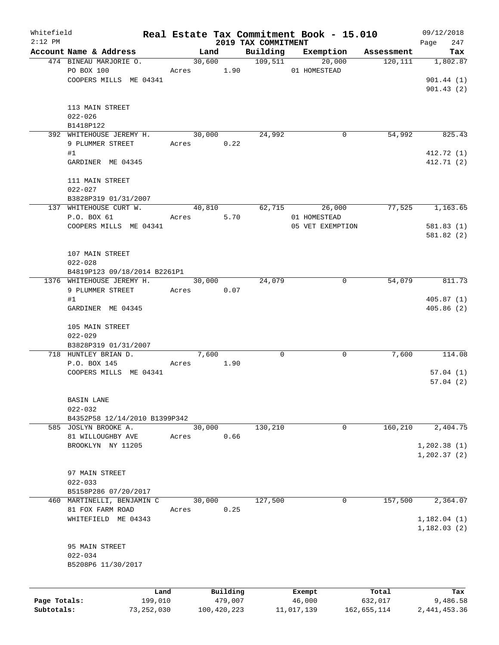| Whitefield   |                                                       |              |       |            |             |                                 | Real Estate Tax Commitment Book - 15.010 |             | 09/12/2018         |
|--------------|-------------------------------------------------------|--------------|-------|------------|-------------|---------------------------------|------------------------------------------|-------------|--------------------|
| $2:12$ PM    | Account Name & Address                                |              |       | Land       |             | 2019 TAX COMMITMENT<br>Building | Exemption                                | Assessment  | Page<br>247<br>Tax |
|              | 474 BINEAU MARJORIE O.                                |              |       |            | 30,600      | 109,511                         | 20,000                                   | 120,111     | 1,802.87           |
|              | PO BOX 100                                            |              |       | Acres 1.90 |             |                                 | 01 HOMESTEAD                             |             |                    |
|              | COOPERS MILLS ME 04341                                |              |       |            |             |                                 |                                          |             | 901.44(1)          |
|              |                                                       |              |       |            |             |                                 |                                          |             | 901.43(2)          |
|              |                                                       |              |       |            |             |                                 |                                          |             |                    |
|              | 113 MAIN STREET                                       |              |       |            |             |                                 |                                          |             |                    |
|              | $022 - 026$                                           |              |       |            |             |                                 |                                          |             |                    |
|              | B1418P122                                             |              |       |            |             |                                 |                                          |             |                    |
|              | 392 WHITEHOUSE JEREMY H.                              |              |       | 30,000     |             | 24,992                          | 0                                        | 54,992      | 825.43             |
|              | 9 PLUMMER STREET                                      |              |       | Acres      | 0.22        |                                 |                                          |             |                    |
|              | #1                                                    |              |       |            |             |                                 |                                          |             | 412.72 (1)         |
|              | GARDINER ME 04345                                     |              |       |            |             |                                 |                                          |             | 412.71 (2)         |
|              |                                                       |              |       |            |             |                                 |                                          |             |                    |
|              | 111 MAIN STREET                                       |              |       |            |             |                                 |                                          |             |                    |
|              | $022 - 027$                                           |              |       |            |             |                                 |                                          |             |                    |
|              | B3828P319 01/31/2007                                  |              |       |            |             |                                 |                                          |             |                    |
|              | 137 WHITEHOUSE CURT W.                                |              |       | 40,810     |             |                                 | 62,715<br>26,000                         | 77,525      | 1,163.65           |
|              | P.O. BOX 61                                           |              |       | Acres      | 5.70        |                                 | 01 HOMESTEAD                             |             |                    |
|              | COOPERS MILLS ME 04341                                |              |       |            |             |                                 | 05 VET EXEMPTION                         |             | 581.83(1)          |
|              |                                                       |              |       |            |             |                                 |                                          |             | 581.82(2)          |
|              | 107 MAIN STREET                                       |              |       |            |             |                                 |                                          |             |                    |
|              | $022 - 028$                                           |              |       |            |             |                                 |                                          |             |                    |
|              | B4819P123 09/18/2014 B2261P1                          |              |       |            |             |                                 |                                          |             |                    |
|              | 1376 WHITEHOUSE JEREMY H.                             |              |       | 30,000     |             | 24,079                          | 0                                        | 54,079      | 811.73             |
|              | 9 PLUMMER STREET                                      |              |       | Acres 0.07 |             |                                 |                                          |             |                    |
|              | #1                                                    |              |       |            |             |                                 |                                          |             | 405.87(1)          |
|              | GARDINER ME 04345                                     |              |       |            |             |                                 |                                          |             | 405.86(2)          |
|              |                                                       |              |       |            |             |                                 |                                          |             |                    |
|              | 105 MAIN STREET                                       |              |       |            |             |                                 |                                          |             |                    |
|              | $022 - 029$                                           |              |       |            |             |                                 |                                          |             |                    |
|              | B3828P319 01/31/2007                                  |              |       |            |             |                                 |                                          |             |                    |
|              | 718 HUNTLEY BRIAN D.                                  |              |       | 7,600      |             | 0                               | 0                                        | 7,600       | 114.08             |
|              | P.O. BOX 145                                          |              |       | Acres 1.90 |             |                                 |                                          |             |                    |
|              | COOPERS MILLS ME 04341                                |              |       |            |             |                                 |                                          |             | 57.04(1)           |
|              |                                                       |              |       |            |             |                                 |                                          |             | 57.04(2)           |
|              |                                                       |              |       |            |             |                                 |                                          |             |                    |
|              | <b>BASIN LANE</b>                                     |              |       |            |             |                                 |                                          |             |                    |
|              | $022 - 032$                                           |              |       |            |             |                                 |                                          |             |                    |
|              | B4352P58 12/14/2010 B1399P342<br>585 JOSLYN BROOKE A. |              |       | 30,000     |             |                                 |                                          |             | 2,404.75           |
|              | 81 WILLOUGHBY AVE                                     |              |       |            | 0.66        | 130,210                         | 0                                        | 160,210     |                    |
|              | BROOKLYN NY 11205                                     |              | Acres |            |             |                                 |                                          |             | 1, 202.38(1)       |
|              |                                                       |              |       |            |             |                                 |                                          |             | 1, 202.37(2)       |
|              |                                                       |              |       |            |             |                                 |                                          |             |                    |
|              | 97 MAIN STREET                                        |              |       |            |             |                                 |                                          |             |                    |
|              | $022 - 033$                                           |              |       |            |             |                                 |                                          |             |                    |
|              | B5158P286 07/20/2017                                  |              |       |            |             |                                 |                                          |             |                    |
|              | 460 MARTINELLI, BENJAMIN C                            |              |       | 30,000     |             | 127,500                         | 0                                        | 157,500     | 2,364.07           |
|              | 81 FOX FARM ROAD                                      |              | Acres |            | 0.25        |                                 |                                          |             |                    |
|              | WHITEFIELD ME 04343                                   |              |       |            |             |                                 |                                          |             | 1,182.04(1)        |
|              |                                                       |              |       |            |             |                                 |                                          |             | 1,182.03(2)        |
|              |                                                       |              |       |            |             |                                 |                                          |             |                    |
|              | 95 MAIN STREET                                        |              |       |            |             |                                 |                                          |             |                    |
|              | $022 - 034$                                           |              |       |            |             |                                 |                                          |             |                    |
|              | B5208P6 11/30/2017                                    |              |       |            |             |                                 |                                          |             |                    |
|              |                                                       |              |       |            |             |                                 |                                          |             |                    |
|              |                                                       | Land         |       |            | Building    |                                 | Exempt                                   | Total       | Tax                |
| Page Totals: |                                                       | 199,010      |       |            | 479,007     |                                 | 46,000                                   | 632,017     | 9,486.58           |
| Subtotals:   |                                                       | 73, 252, 030 |       |            | 100,420,223 |                                 | 11,017,139                               | 162,655,114 | 2,441,453.36       |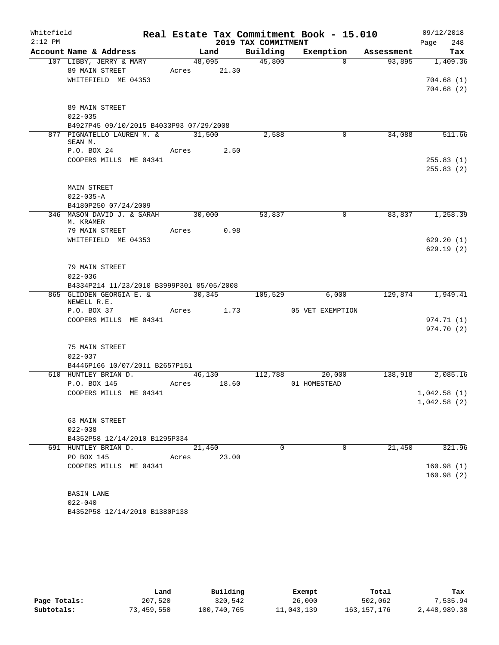| Whitefield |                                                       |             |        |                     | Real Estate Tax Commitment Book - 15.010 |            | 09/12/2018             |
|------------|-------------------------------------------------------|-------------|--------|---------------------|------------------------------------------|------------|------------------------|
| $2:12$ PM  |                                                       |             |        | 2019 TAX COMMITMENT |                                          |            | 248<br>Page            |
|            | Account Name & Address                                |             | Land   | Building            | Exemption                                | Assessment | Tax                    |
|            | 107 LIBBY, JERRY & MARY                               |             | 48,095 | 45,800              | $\Omega$                                 | 93,895     | 1,409.36               |
|            | 89 MAIN STREET                                        | Acres 21.30 |        |                     |                                          |            |                        |
|            | WHITEFIELD ME 04353                                   |             |        |                     |                                          |            | 704.68(1)<br>704.68(2) |
|            |                                                       |             |        |                     |                                          |            |                        |
|            | 89 MAIN STREET                                        |             |        |                     |                                          |            |                        |
|            | $022 - 035$                                           |             |        |                     |                                          |            |                        |
|            | B4927P45 09/10/2015 B4033P93 07/29/2008               |             |        |                     |                                          |            |                        |
|            | 877 PIGNATELLO LAUREN M. &                            | 31,500      |        | 2,588               | 0                                        | 34,088     | 511.66                 |
|            | SEAN M.                                               |             |        |                     |                                          |            |                        |
|            | P.O. BOX 24                                           | Acres 2.50  |        |                     |                                          |            |                        |
|            | COOPERS MILLS ME 04341                                |             |        |                     |                                          |            | 255.83(1)              |
|            |                                                       |             |        |                     |                                          |            | 255.83(2)              |
|            | MAIN STREET                                           |             |        |                     |                                          |            |                        |
|            | $022 - 035 - A$                                       |             |        |                     |                                          |            |                        |
|            | B4180P250 07/24/2009                                  |             |        |                     |                                          |            |                        |
|            | 346 MASON DAVID J. & SARAH                            | 30,000      |        | 53,837              | 0                                        | 83,837     | 1,258.39               |
|            | M. KRAMER                                             |             |        |                     |                                          |            |                        |
|            | 79 MAIN STREET                                        | Acres 0.98  |        |                     |                                          |            |                        |
|            | WHITEFIELD ME 04353                                   |             |        |                     |                                          |            | 629.20(1)              |
|            |                                                       |             |        |                     |                                          |            | 629.19(2)              |
|            | 79 MAIN STREET                                        |             |        |                     |                                          |            |                        |
|            | $022 - 036$                                           |             |        |                     |                                          |            |                        |
|            | B4334P214 11/23/2010 B3999P301 05/05/2008             |             |        |                     |                                          |            |                        |
|            | 865 GLIDDEN GEORGIA E. &                              | 30,345      |        | 105,529             | 6,000                                    | 129,874    | 1,949.41               |
|            | NEWELL R.E.                                           |             |        |                     |                                          |            |                        |
|            | P.O. BOX 37                                           | Acres 1.73  |        |                     | 05 VET EXEMPTION                         |            |                        |
|            | COOPERS MILLS ME 04341                                |             |        |                     |                                          |            | 974.71 (1)             |
|            |                                                       |             |        |                     |                                          |            | 974.70 (2)             |
|            | 75 MAIN STREET                                        |             |        |                     |                                          |            |                        |
|            | $022 - 037$                                           |             |        |                     |                                          |            |                        |
|            | B4446P166 10/07/2011 B2657P151                        |             |        |                     |                                          |            |                        |
|            | 610 HUNTLEY BRIAN D.                                  |             | 46,130 | 112,788             | 20,000                                   | 138,918    | 2,085.16               |
|            | P.O. BOX 145                                          | Acres       | 18.60  |                     | 01 HOMESTEAD                             |            |                        |
|            | COOPERS MILLS ME 04341                                |             |        |                     |                                          |            | 1,042.58(1)            |
|            |                                                       |             |        |                     |                                          |            | 1,042.58(2)            |
|            |                                                       |             |        |                     |                                          |            |                        |
|            | 63 MAIN STREET                                        |             |        |                     |                                          |            |                        |
|            | $022 - 038$                                           |             |        |                     |                                          |            |                        |
|            | B4352P58 12/14/2010 B1295P334<br>691 HUNTLEY BRIAN D. | 21,450      |        | $\Omega$            | $\Omega$                                 | 21,450     | 321.96                 |
|            | PO BOX 145                                            | Acres 23.00 |        |                     |                                          |            |                        |
|            | COOPERS MILLS ME 04341                                |             |        |                     |                                          |            | 160.98(1)              |
|            |                                                       |             |        |                     |                                          |            | 160.98(2)              |
|            |                                                       |             |        |                     |                                          |            |                        |
|            | <b>BASIN LANE</b>                                     |             |        |                     |                                          |            |                        |
|            | $022 - 040$                                           |             |        |                     |                                          |            |                        |
|            | B4352P58 12/14/2010 B1380P138                         |             |        |                     |                                          |            |                        |

|              | Land       | Building    | Exempt     | Total         | Tax          |
|--------------|------------|-------------|------------|---------------|--------------|
| Page Totals: | 207,520    | 320,542     | 26,000     | 502,062       | 7,535.94     |
| Subtotals:   | 73,459,550 | 100,740,765 | 11,043,139 | 163, 157, 176 | 2,448,989.30 |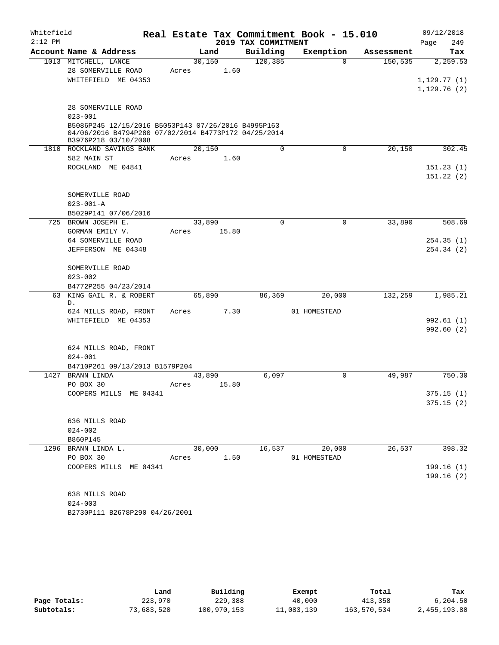| Whitefield |                                                                                                                                     |                |                      | Real Estate Tax Commitment Book - 15.010 |            | 09/12/2018       |
|------------|-------------------------------------------------------------------------------------------------------------------------------------|----------------|----------------------|------------------------------------------|------------|------------------|
| $2:12$ PM  | Account Name & Address                                                                                                              |                | 2019 TAX COMMITMENT  | Exemption                                | Assessment | 249<br>Page      |
|            | 1013 MITCHELL, LANCE                                                                                                                | Land<br>30,150 | Building<br>120, 385 | $\Omega$                                 | 150,535    | Tax<br>2, 259.53 |
|            | 28 SOMERVILLE ROAD                                                                                                                  | Acres          | 1.60                 |                                          |            |                  |
|            | WHITEFIELD ME 04353                                                                                                                 |                |                      |                                          |            | 1,129.77(1)      |
|            |                                                                                                                                     |                |                      |                                          |            | 1,129.76(2)      |
|            | 28 SOMERVILLE ROAD                                                                                                                  |                |                      |                                          |            |                  |
|            | $023 - 001$                                                                                                                         |                |                      |                                          |            |                  |
|            | B5086P245 12/15/2016 B5053P143 07/26/2016 B4995P163<br>04/06/2016 B4794P280 07/02/2014 B4773P172 04/25/2014<br>B3976P218 03/10/2008 |                |                      |                                          |            |                  |
|            | 1810 ROCKLAND SAVINGS BANK                                                                                                          | 20,150         | $\Omega$             | $\mathbf 0$                              | 20,150     | 302.45           |
|            | 582 MAIN ST                                                                                                                         | Acres          | 1.60                 |                                          |            |                  |
|            | ROCKLAND ME 04841                                                                                                                   |                |                      |                                          |            | 151.23(1)        |
|            |                                                                                                                                     |                |                      |                                          |            | 151.22(2)        |
|            | SOMERVILLE ROAD                                                                                                                     |                |                      |                                          |            |                  |
|            | $023 - 001 - A$                                                                                                                     |                |                      |                                          |            |                  |
|            | B5029P141 07/06/2016                                                                                                                |                |                      |                                          |            |                  |
| 725        | BROWN JOSEPH E.                                                                                                                     | 33,890         | 0                    | $\mathbf 0$                              | 33,890     | 508.69           |
|            | GORMAN EMILY V.                                                                                                                     | Acres<br>15.80 |                      |                                          |            |                  |
|            | 64 SOMERVILLE ROAD                                                                                                                  |                |                      |                                          |            | 254.35(1)        |
|            | JEFFERSON ME 04348                                                                                                                  |                |                      |                                          |            | 254.34 (2)       |
|            | SOMERVILLE ROAD                                                                                                                     |                |                      |                                          |            |                  |
|            | $023 - 002$                                                                                                                         |                |                      |                                          |            |                  |
|            | B4772P255 04/23/2014                                                                                                                |                |                      |                                          |            |                  |
|            | 63 KING GAIL R. & ROBERT<br>D.                                                                                                      | 65,890         | 86,369               | 20,000                                   | 132,259    | 1,985.21         |
|            | 624 MILLS ROAD, FRONT                                                                                                               | Acres          | 7.30                 | 01 HOMESTEAD                             |            |                  |
|            | WHITEFIELD ME 04353                                                                                                                 |                |                      |                                          |            | 992.61(1)        |
|            |                                                                                                                                     |                |                      |                                          |            | 992.60(2)        |
|            | 624 MILLS ROAD, FRONT                                                                                                               |                |                      |                                          |            |                  |
|            | $024 - 001$                                                                                                                         |                |                      |                                          |            |                  |
|            | B4710P261 09/13/2013 B1579P204                                                                                                      |                |                      |                                          |            |                  |
|            | 1427 BRANN LINDA                                                                                                                    | 43,890         | 6,097                | $\mathbf 0$                              | 49,987     | 750.30           |
|            | PO BOX 30                                                                                                                           | Acres          | 15.80                |                                          |            |                  |
|            | COOPERS MILLS ME 04341                                                                                                              |                |                      |                                          |            | 375.15(1)        |
|            |                                                                                                                                     |                |                      |                                          |            | 375.15(2)        |
|            | 636 MILLS ROAD                                                                                                                      |                |                      |                                          |            |                  |
|            | $024 - 002$                                                                                                                         |                |                      |                                          |            |                  |
|            | B860P145                                                                                                                            |                |                      |                                          |            |                  |
|            | 1296 BRANN LINDA L.                                                                                                                 | 30,000         |                      | 16,537 20,000                            | 26,537     | 398.32           |
|            | PO BOX 30                                                                                                                           | Acres 1.50     |                      | 01 HOMESTEAD                             |            |                  |
|            | COOPERS MILLS ME 04341                                                                                                              |                |                      |                                          |            | 199.16 (1)       |
|            |                                                                                                                                     |                |                      |                                          |            | 199.16(2)        |
|            | 638 MILLS ROAD                                                                                                                      |                |                      |                                          |            |                  |
|            | $024 - 003$                                                                                                                         |                |                      |                                          |            |                  |
|            | B2730P111 B2678P290 04/26/2001                                                                                                      |                |                      |                                          |            |                  |

|              | Land       | Building    | Exempt     | Total       | Tax          |
|--------------|------------|-------------|------------|-------------|--------------|
| Page Totals: | 223,970    | 229,388     | 40,000     | 413,358     | 6.204.50     |
| Subtotals:   | 73,683,520 | 100,970,153 | 11,083,139 | 163,570,534 | 2,455,193.80 |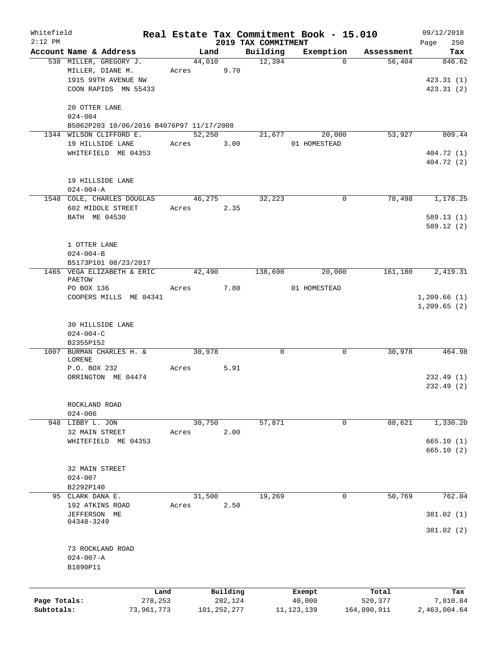| Whitefield   |                                                                     |            |            |        |               |                                 | Real Estate Tax Commitment Book - 15.010 |          |             |      | 09/12/2018   |
|--------------|---------------------------------------------------------------------|------------|------------|--------|---------------|---------------------------------|------------------------------------------|----------|-------------|------|--------------|
| $2:12$ PM    | Account Name & Address                                              |            |            | Land   |               | 2019 TAX COMMITMENT<br>Building | Exemption                                |          | Assessment  | Page | 250<br>Tax   |
|              | 538 MILLER, GREGORY J.                                              |            |            | 44,010 |               | 12,394                          |                                          | $\Omega$ | 56,404      |      | 846.62       |
|              | MILLER, DIANE M.                                                    |            | Acres 9.70 |        |               |                                 |                                          |          |             |      |              |
|              | 1915 99TH AVENUE NW                                                 |            |            |        |               |                                 |                                          |          |             |      | 423.31(1)    |
|              | COON RAPIDS MN 55433                                                |            |            |        |               |                                 |                                          |          |             |      | 423.31(2)    |
|              |                                                                     |            |            |        |               |                                 |                                          |          |             |      |              |
|              | 20 OTTER LANE                                                       |            |            |        |               |                                 |                                          |          |             |      |              |
|              | $024 - 004$                                                         |            |            |        |               |                                 |                                          |          |             |      |              |
|              | B5062P203 10/06/2016 B4076P97 11/17/2008<br>1344 WILSON CLIFFORD E. |            |            | 52,250 |               | 21,677                          | 20,000                                   |          | 53,927      |      | 809.44       |
|              | 19 HILLSIDE LANE                                                    |            | Acres      |        | 3.00          |                                 | 01 HOMESTEAD                             |          |             |      |              |
|              | WHITEFIELD ME 04353                                                 |            |            |        |               |                                 |                                          |          |             |      | 404.72 (1)   |
|              |                                                                     |            |            |        |               |                                 |                                          |          |             |      | 404.72 (2)   |
|              |                                                                     |            |            |        |               |                                 |                                          |          |             |      |              |
|              | 19 HILLSIDE LANE                                                    |            |            |        |               |                                 |                                          |          |             |      |              |
|              | $024 - 004 - A$                                                     |            |            |        |               |                                 |                                          |          |             |      |              |
|              | 1548 COLE, CHARLES DOUGLAS<br>602 MIDDLE STREET                     |            | Acres      | 46,275 | 2.35          | 32,223                          |                                          | $\Omega$ | 78,498      |      | 1,178.25     |
|              | BATH ME 04530                                                       |            |            |        |               |                                 |                                          |          |             |      | 589.13(1)    |
|              |                                                                     |            |            |        |               |                                 |                                          |          |             |      | 589.12(2)    |
|              |                                                                     |            |            |        |               |                                 |                                          |          |             |      |              |
|              | 1 OTTER LANE                                                        |            |            |        |               |                                 |                                          |          |             |      |              |
|              | $024 - 004 - B$                                                     |            |            |        |               |                                 |                                          |          |             |      |              |
|              | B5173P101 08/23/2017                                                |            |            |        |               |                                 |                                          |          |             |      |              |
|              | 1465 VEGA ELIZABETH & ERIC<br>PAETOW                                |            |            | 42,490 |               | 138,690                         | 20,000                                   |          | 161,180     |      | 2,419.31     |
|              | PO BOX 136                                                          |            | Acres      |        | 7.80          |                                 | 01 HOMESTEAD                             |          |             |      |              |
|              | COOPERS MILLS ME 04341                                              |            |            |        |               |                                 |                                          |          |             |      | 1,209.66(1)  |
|              |                                                                     |            |            |        |               |                                 |                                          |          |             |      | 1, 209.65(2) |
|              |                                                                     |            |            |        |               |                                 |                                          |          |             |      |              |
|              | <b>30 HILLSIDE LANE</b>                                             |            |            |        |               |                                 |                                          |          |             |      |              |
|              | $024 - 004 - C$<br>B2355P152                                        |            |            |        |               |                                 |                                          |          |             |      |              |
|              | 1007 BURMAN CHARLES H. &                                            |            |            | 30,978 |               | $\mathbf 0$                     |                                          | 0        | 30,978      |      | 464.98       |
|              | LORENE                                                              |            |            |        |               |                                 |                                          |          |             |      |              |
|              | P.O. BOX 232                                                        |            | Acres      |        | 5.91          |                                 |                                          |          |             |      |              |
|              | ORRINGTON ME 04474                                                  |            |            |        |               |                                 |                                          |          |             |      | 232.49(1)    |
|              |                                                                     |            |            |        |               |                                 |                                          |          |             |      | 232.49(2)    |
|              | ROCKLAND ROAD                                                       |            |            |        |               |                                 |                                          |          |             |      |              |
|              | $024 - 006$                                                         |            |            |        |               |                                 |                                          |          |             |      |              |
|              | 948 LIBBY L. JON                                                    |            |            | 30,750 |               | 57,871                          |                                          | 0        | 88,621      |      | 1,330.20     |
|              | 32 MAIN STREET                                                      |            | Acres      |        | 2.00          |                                 |                                          |          |             |      |              |
|              | WHITEFIELD ME 04353                                                 |            |            |        |               |                                 |                                          |          |             |      | 665.10(1)    |
|              |                                                                     |            |            |        |               |                                 |                                          |          |             |      | 665.10(2)    |
|              | 32 MAIN STREET                                                      |            |            |        |               |                                 |                                          |          |             |      |              |
|              | $024 - 007$                                                         |            |            |        |               |                                 |                                          |          |             |      |              |
|              | B2292P140                                                           |            |            |        |               |                                 |                                          |          |             |      |              |
| 95           | CLARK DANA E.                                                       |            |            | 31,500 |               | 19,269                          |                                          | 0        | 50,769      |      | 762.04       |
|              | 192 ATKINS ROAD                                                     |            | Acres      |        | 2.50          |                                 |                                          |          |             |      |              |
|              | JEFFERSON ME                                                        |            |            |        |               |                                 |                                          |          |             |      | 381.02 (1)   |
|              | 04348-3249                                                          |            |            |        |               |                                 |                                          |          |             |      | 381.02(2)    |
|              |                                                                     |            |            |        |               |                                 |                                          |          |             |      |              |
|              | 73 ROCKLAND ROAD                                                    |            |            |        |               |                                 |                                          |          |             |      |              |
|              | $024 - 007 - A$                                                     |            |            |        |               |                                 |                                          |          |             |      |              |
|              | B1890P11                                                            |            |            |        |               |                                 |                                          |          |             |      |              |
|              |                                                                     |            |            |        |               |                                 |                                          |          |             |      |              |
|              |                                                                     | Land       |            |        | Building      |                                 | Exempt                                   |          | Total       |      | Tax          |
| Page Totals: |                                                                     | 278,253    |            |        | 282,124       |                                 | 40,000                                   |          | 520,377     |      | 7,810.84     |
| Subtotals:   |                                                                     | 73,961,773 |            |        | 101, 252, 277 |                                 | 11, 123, 139                             |          | 164,090,911 |      | 2,463,004.64 |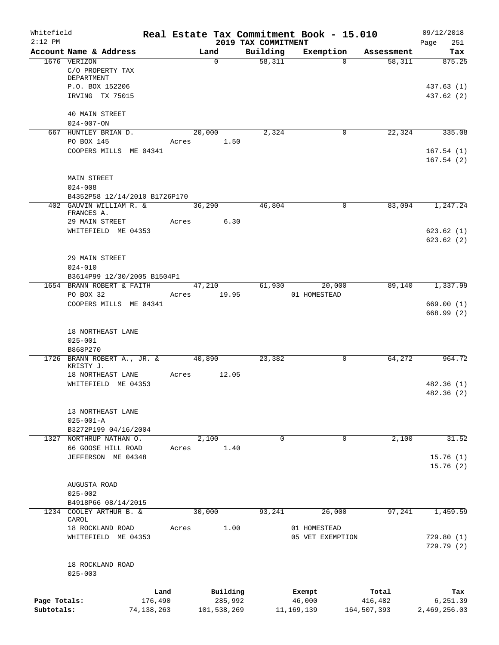| Whitefield                 |                                              |        |                        |                                 | Real Estate Tax Commitment Book - 15.010 |                        | 09/12/2018               |
|----------------------------|----------------------------------------------|--------|------------------------|---------------------------------|------------------------------------------|------------------------|--------------------------|
| $2:12$ PM                  | Account Name & Address                       |        | Land                   | 2019 TAX COMMITMENT<br>Building | Exemption                                | Assessment             | Page<br>251<br>Tax       |
|                            | 1676 VERIZON                                 |        | $\Omega$               | 58,311                          | $\Omega$                                 | 58,311                 | 875.25                   |
|                            | C/O PROPERTY TAX<br>DEPARTMENT               |        |                        |                                 |                                          |                        |                          |
|                            | P.O. BOX 152206                              |        |                        |                                 |                                          |                        | 437.63 (1)               |
|                            | IRVING TX 75015                              |        |                        |                                 |                                          |                        | 437.62 (2)               |
|                            | <b>40 MAIN STREET</b>                        |        |                        |                                 |                                          |                        |                          |
|                            | $024 - 007 - ON$                             |        |                        |                                 |                                          |                        |                          |
|                            | 667 HUNTLEY BRIAN D.<br>PO BOX 145           | Acres  | 20,000<br>1.50         | 2,324                           | 0                                        | 22,324                 | 335.08                   |
|                            | COOPERS MILLS ME 04341                       |        |                        |                                 |                                          |                        | 167.54(1)                |
|                            |                                              |        |                        |                                 |                                          |                        | 167.54(2)                |
|                            | <b>MAIN STREET</b><br>$024 - 008$            |        |                        |                                 |                                          |                        |                          |
|                            | B4352P58 12/14/2010 B1726P170                |        |                        |                                 |                                          |                        |                          |
|                            | 402 GAUVIN WILLIAM R. &<br>FRANCES A.        |        | 36,290                 | 46,804                          | $\mathbf 0$                              | 83,094                 | 1,247.24                 |
|                            | 29 MAIN STREET                               |        | 6.30<br>Acres          |                                 |                                          |                        |                          |
|                            | WHITEFIELD ME 04353                          |        |                        |                                 |                                          |                        | 623.62(1)                |
|                            |                                              |        |                        |                                 |                                          |                        | 623.62(2)                |
|                            | 29 MAIN STREET                               |        |                        |                                 |                                          |                        |                          |
|                            | $024 - 010$                                  |        |                        |                                 |                                          |                        |                          |
|                            | B3614P99 12/30/2005 B1504P1                  |        |                        |                                 |                                          |                        |                          |
|                            | 1654 BRANN ROBERT & FAITH                    |        | 47,210                 |                                 | 61,930<br>20,000                         | 89,140                 | 1,337.99                 |
|                            | PO BOX 32                                    |        | Acres 19.95            |                                 | 01 HOMESTEAD                             |                        |                          |
|                            | COOPERS MILLS ME 04341                       |        |                        |                                 |                                          |                        | 669.00(1)<br>668.99(2)   |
|                            | 18 NORTHEAST LANE<br>$025 - 001$<br>B868P270 |        |                        |                                 |                                          |                        |                          |
|                            | 1726 BRANN ROBERT A., JR. &<br>KRISTY J.     | 40,890 |                        | 23,382                          | 0                                        | 64,272                 | 964.72                   |
|                            | 18 NORTHEAST LANE                            | Acres  | 12.05                  |                                 |                                          |                        |                          |
|                            | WHITEFIELD ME 04353                          |        |                        |                                 |                                          |                        | 482.36 (1)               |
|                            |                                              |        |                        |                                 |                                          |                        | 482.36 (2)               |
|                            | 13 NORTHEAST LANE                            |        |                        |                                 |                                          |                        |                          |
|                            | $025 - 001 - A$                              |        |                        |                                 |                                          |                        |                          |
|                            | B3272P199 04/16/2004                         |        |                        |                                 |                                          |                        |                          |
|                            | 1327 NORTHRUP NATHAN O.                      |        | 2,100                  | $\Omega$                        | $\mathbf 0$                              | 2,100                  | 31.52                    |
|                            | 66 GOOSE HILL ROAD                           | Acres  | 1.40                   |                                 |                                          |                        |                          |
|                            | JEFFERSON ME 04348                           |        |                        |                                 |                                          |                        | 15.76(1)                 |
|                            |                                              |        |                        |                                 |                                          |                        | 15.76(2)                 |
|                            | AUGUSTA ROAD                                 |        |                        |                                 |                                          |                        |                          |
|                            | $025 - 002$                                  |        |                        |                                 |                                          |                        |                          |
|                            | B4918P66 08/14/2015                          |        |                        |                                 |                                          |                        |                          |
|                            | 1234 COOLEY ARTHUR B. &                      |        | 30,000                 | 93,241                          | 26,000                                   | 97,241                 | 1,459.59                 |
|                            | CAROL                                        |        |                        |                                 |                                          |                        |                          |
|                            | 18 ROCKLAND ROAD                             | Acres  | 1.00                   |                                 | 01 HOMESTEAD                             |                        |                          |
|                            | WHITEFIELD ME 04353                          |        |                        |                                 | 05 VET EXEMPTION                         |                        | 729.80(1)<br>729.79(2)   |
|                            |                                              |        |                        |                                 |                                          |                        |                          |
|                            | 18 ROCKLAND ROAD<br>$025 - 003$              |        |                        |                                 |                                          |                        |                          |
|                            |                                              |        |                        |                                 |                                          |                        |                          |
|                            |                                              | Land   | Building               |                                 | Exempt                                   | Total                  | Tax                      |
| Page Totals:<br>Subtotals: | 176,490<br>74, 138, 263                      |        | 285,992<br>101,538,269 |                                 | 46,000<br>11, 169, 139                   | 416,482<br>164,507,393 | 6,251.39<br>2,469,256.03 |
|                            |                                              |        |                        |                                 |                                          |                        |                          |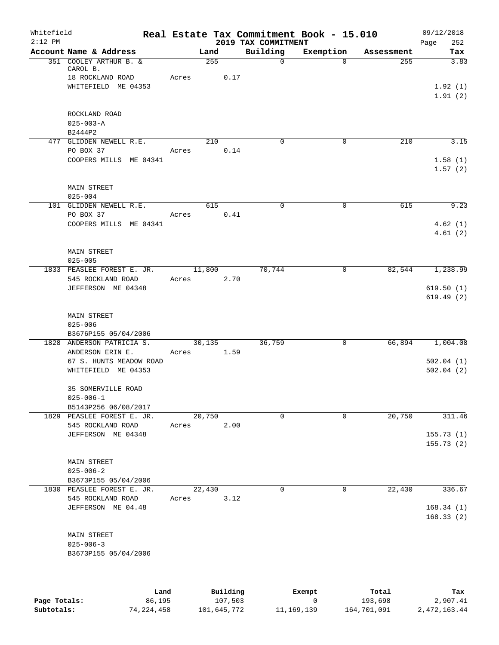| Whitefield<br>$2:12$ PM |                                                        |       |        |          | 2019 TAX COMMITMENT | Real Estate Tax Commitment Book - 15.010 |            | 09/12/2018<br>252      |
|-------------------------|--------------------------------------------------------|-------|--------|----------|---------------------|------------------------------------------|------------|------------------------|
|                         | Account Name & Address                                 |       | Land   |          | Building            | Exemption                                | Assessment | Page<br>Tax            |
|                         | 351 COOLEY ARTHUR B. &<br>CAROL B.<br>18 ROCKLAND ROAD | Acres | 255    | 0.17     | $\mathsf{O}$        | $\Omega$                                 | 255        | 3.83                   |
|                         | WHITEFIELD ME 04353                                    |       |        |          |                     |                                          |            | 1.92(1)<br>1.91(2)     |
|                         | ROCKLAND ROAD<br>$025 - 003 - A$<br>B2444P2            |       |        |          |                     |                                          |            |                        |
|                         | 477 GLIDDEN NEWELL R.E.                                |       | 210    |          | $\Omega$            | 0                                        | 210        | 3.15                   |
|                         | PO BOX 37                                              | Acres |        | 0.14     |                     |                                          |            |                        |
|                         | COOPERS MILLS ME 04341                                 |       |        |          |                     |                                          |            | 1.58(1)<br>1.57(2)     |
|                         | <b>MAIN STREET</b><br>$025 - 004$                      |       |        |          |                     |                                          |            |                        |
|                         | 101 GLIDDEN NEWELL R.E.                                |       | 615    |          | 0                   | $\mathbf 0$                              | 615        | 9.23                   |
|                         | PO BOX 37                                              | Acres |        | 0.41     |                     |                                          |            |                        |
|                         | COOPERS MILLS ME 04341                                 |       |        |          |                     |                                          |            | 4.62(1)                |
|                         |                                                        |       |        |          |                     |                                          |            | 4.61(2)                |
|                         | <b>MAIN STREET</b><br>$025 - 005$                      |       |        |          |                     |                                          |            |                        |
|                         | 1833 PEASLEE FOREST E. JR.                             |       | 11,800 |          | 70,744              | $\mathbf 0$                              | 82,544     | 1,238.99               |
|                         | 545 ROCKLAND ROAD                                      | Acres |        | 2.70     |                     |                                          |            |                        |
|                         | JEFFERSON ME 04348                                     |       |        |          |                     |                                          |            | 619.50(1)              |
|                         |                                                        |       |        |          |                     |                                          |            | 619.49(2)              |
|                         | <b>MAIN STREET</b>                                     |       |        |          |                     |                                          |            |                        |
|                         | $025 - 006$                                            |       |        |          |                     |                                          |            |                        |
|                         | B3676P155 05/04/2006<br>1828 ANDERSON PATRICIA S.      |       | 30,135 |          | 36,759              | $\mathsf{O}$                             | 66,894     | 1,004.08               |
|                         | ANDERSON ERIN E.                                       | Acres |        | 1.59     |                     |                                          |            |                        |
|                         | 67 S. HUNTS MEADOW ROAD                                |       |        |          |                     |                                          |            | 502.04(1)              |
|                         | WHITEFIELD ME 04353                                    |       |        |          |                     |                                          |            | 502.04(2)              |
|                         | 35 SOMERVILLE ROAD<br>$025 - 006 - 1$                  |       |        |          |                     |                                          |            |                        |
|                         | B5143P256 06/08/2017                                   |       |        |          |                     |                                          |            |                        |
|                         | 1829 PEASLEE FOREST E. JR.                             |       | 20,750 |          | 0                   | 0                                        | 20,750     | 311.46                 |
|                         | 545 ROCKLAND ROAD                                      | Acres |        | 2.00     |                     |                                          |            |                        |
|                         | JEFFERSON ME 04348                                     |       |        |          |                     |                                          |            | 155.73(1)<br>155.73(2) |
|                         |                                                        |       |        |          |                     |                                          |            |                        |
|                         | MAIN STREET                                            |       |        |          |                     |                                          |            |                        |
|                         | $025 - 006 - 2$                                        |       |        |          |                     |                                          |            |                        |
|                         | B3673P155 05/04/2006<br>1830 PEASLEE FOREST E. JR.     |       | 22,430 |          | $\Omega$            | $\mathbf 0$                              | 22,430     | 336.67                 |
|                         | 545 ROCKLAND ROAD                                      | Acres |        | 3.12     |                     |                                          |            |                        |
|                         | JEFFERSON ME 04.48                                     |       |        |          |                     |                                          |            | 168.34(1)              |
|                         |                                                        |       |        |          |                     |                                          |            | 168.33(2)              |
|                         | <b>MAIN STREET</b>                                     |       |        |          |                     |                                          |            |                        |
|                         | $025 - 006 - 3$                                        |       |        |          |                     |                                          |            |                        |
|                         | B3673P155 05/04/2006                                   |       |        |          |                     |                                          |            |                        |
|                         |                                                        |       |        |          |                     |                                          |            |                        |
|                         | Land                                                   |       |        | Building |                     | Exempt                                   | Total      | Tax                    |

|              | Land         | Building    | Exempt     | Total       | Tax          |
|--------------|--------------|-------------|------------|-------------|--------------|
| Page Totals: | 86,195       | 107,503     |            | 193,698     | 2,907.41     |
| Subtotals:   | 74, 224, 458 | 101,645,772 | 11,169,139 | 164,701,091 | 2,472,163.44 |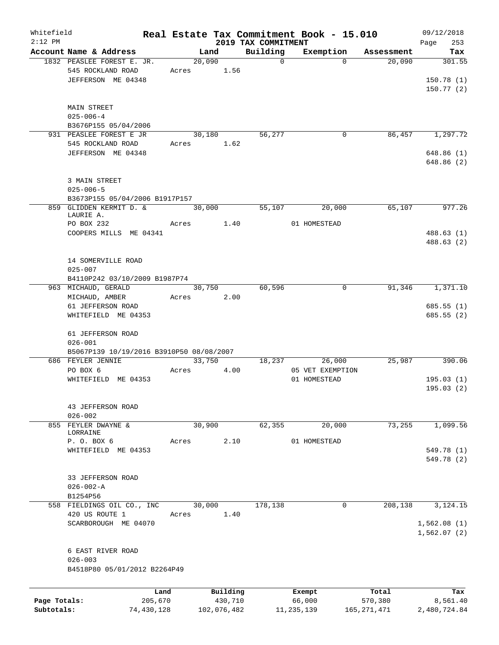| Whitefield   |                                                               |       |        |             |                     | Real Estate Tax Commitment Book - 15.010 |               | 09/12/2018   |
|--------------|---------------------------------------------------------------|-------|--------|-------------|---------------------|------------------------------------------|---------------|--------------|
| $2:12$ PM    |                                                               |       |        |             | 2019 TAX COMMITMENT |                                          |               | Page<br>253  |
|              | Account Name & Address                                        |       | Land   |             | Building            | Exemption                                | Assessment    | Tax          |
|              | 1832 PEASLEE FOREST E. JR.                                    |       | 20,090 |             | $\mathbf 0$         | $\Omega$                                 | 20,090        | 301.55       |
|              | 545 ROCKLAND ROAD                                             | Acres |        | 1.56        |                     |                                          |               |              |
|              | JEFFERSON ME 04348                                            |       |        |             |                     |                                          |               | 150.78(1)    |
|              |                                                               |       |        |             |                     |                                          |               | 150.77(2)    |
|              |                                                               |       |        |             |                     |                                          |               |              |
|              | MAIN STREET                                                   |       |        |             |                     |                                          |               |              |
|              | $025 - 006 - 4$                                               |       |        |             |                     |                                          |               |              |
|              | B3676P155 05/04/2006                                          |       |        |             |                     |                                          |               |              |
|              | 931 PEASLEE FOREST E JR                                       |       | 30,180 |             | 56,277              | 0                                        | 86,457        | 1,297.72     |
|              | 545 ROCKLAND ROAD                                             | Acres |        | 1.62        |                     |                                          |               |              |
|              | JEFFERSON ME 04348                                            |       |        |             |                     |                                          |               | 648.86(1)    |
|              |                                                               |       |        |             |                     |                                          |               | 648.86 (2)   |
|              |                                                               |       |        |             |                     |                                          |               |              |
|              | 3 MAIN STREET                                                 |       |        |             |                     |                                          |               |              |
|              | $025 - 006 - 5$                                               |       |        |             |                     |                                          |               |              |
|              | B3673P155 05/04/2006 B1917P157                                |       |        |             |                     |                                          |               |              |
|              | 859 GLIDDEN KERMIT D. &                                       |       | 30,000 |             | 55,107              | 20,000                                   | 65,107        | 977.26       |
|              | LAURIE A.                                                     |       |        |             |                     |                                          |               |              |
|              | PO BOX 232                                                    | Acres |        | 1.40        |                     | 01 HOMESTEAD                             |               |              |
|              | COOPERS MILLS ME 04341                                        |       |        |             |                     |                                          |               | 488.63(1)    |
|              |                                                               |       |        |             |                     |                                          |               | 488.63 (2)   |
|              |                                                               |       |        |             |                     |                                          |               |              |
|              | 14 SOMERVILLE ROAD                                            |       |        |             |                     |                                          |               |              |
|              | $025 - 007$                                                   |       |        |             |                     |                                          |               |              |
|              | B4110P242 03/10/2009 B1987P74                                 |       |        |             |                     |                                          |               |              |
|              | 963 MICHAUD, GERALD                                           |       | 30,750 |             | 60,596              | 0                                        | 91,346        | 1,371.10     |
|              | MICHAUD, AMBER                                                | Acres |        | 2.00        |                     |                                          |               |              |
|              | 61 JEFFERSON ROAD                                             |       |        |             |                     |                                          |               | 685.55(1)    |
|              | WHITEFIELD ME 04353                                           |       |        |             |                     |                                          |               | 685.55(2)    |
|              |                                                               |       |        |             |                     |                                          |               |              |
|              | 61 JEFFERSON ROAD                                             |       |        |             |                     |                                          |               |              |
|              | $026 - 001$                                                   |       |        |             |                     |                                          |               |              |
|              |                                                               |       |        |             |                     |                                          |               |              |
|              | B5067P139 10/19/2016 B3910P50 08/08/2007<br>686 FEYLER JENNIE |       | 33,750 |             | 18,237              | 26,000                                   | 25,987        | 390.06       |
|              |                                                               |       |        |             |                     |                                          |               |              |
|              | PO BOX 6                                                      | Acres |        | 4.00        |                     | 05 VET EXEMPTION<br>01 HOMESTEAD         |               |              |
|              | WHITEFIELD ME 04353                                           |       |        |             |                     |                                          |               | 195.03(1)    |
|              |                                                               |       |        |             |                     |                                          |               | 195.03(2)    |
|              |                                                               |       |        |             |                     |                                          |               |              |
|              | 43 JEFFERSON ROAD                                             |       |        |             |                     |                                          |               |              |
|              | $026 - 002$                                                   |       |        |             |                     |                                          |               |              |
|              | 855 FEYLER DWAYNE &                                           |       | 30,900 |             | 62,355              | 20,000                                   | 73,255        | 1,099.56     |
|              | LORRAINE                                                      |       |        |             |                     |                                          |               |              |
|              | P. O. BOX 6                                                   | Acres |        | 2.10        |                     | 01 HOMESTEAD                             |               |              |
|              | WHITEFIELD ME 04353                                           |       |        |             |                     |                                          |               | 549.78 (1)   |
|              |                                                               |       |        |             |                     |                                          |               | 549.78 (2)   |
|              |                                                               |       |        |             |                     |                                          |               |              |
|              | 33 JEFFERSON ROAD                                             |       |        |             |                     |                                          |               |              |
|              | $026 - 002 - A$                                               |       |        |             |                     |                                          |               |              |
|              | B1254P56                                                      |       |        |             |                     |                                          |               |              |
|              | 558 FIELDINGS OIL CO., INC                                    |       | 30,000 |             | 178,138             | 0                                        | 208,138       | 3,124.15     |
|              | 420 US ROUTE 1                                                | Acres |        | 1.40        |                     |                                          |               |              |
|              | SCARBOROUGH ME 04070                                          |       |        |             |                     |                                          |               | 1,562.08(1)  |
|              |                                                               |       |        |             |                     |                                          |               | 1,562.07(2)  |
|              |                                                               |       |        |             |                     |                                          |               |              |
|              | 6 EAST RIVER ROAD                                             |       |        |             |                     |                                          |               |              |
|              | $026 - 003$                                                   |       |        |             |                     |                                          |               |              |
|              | B4518P80 05/01/2012 B2264P49                                  |       |        |             |                     |                                          |               |              |
|              |                                                               |       |        |             |                     |                                          |               |              |
|              |                                                               |       |        |             |                     |                                          |               |              |
|              | Land                                                          |       |        | Building    |                     | Exempt                                   | Total         | Tax          |
| Page Totals: | 205,670                                                       |       |        | 430,710     |                     | 66,000                                   | 570,380       | 8,561.40     |
| Subtotals:   | 74,430,128                                                    |       |        | 102,076,482 |                     | 11, 235, 139                             | 165, 271, 471 | 2,480,724.84 |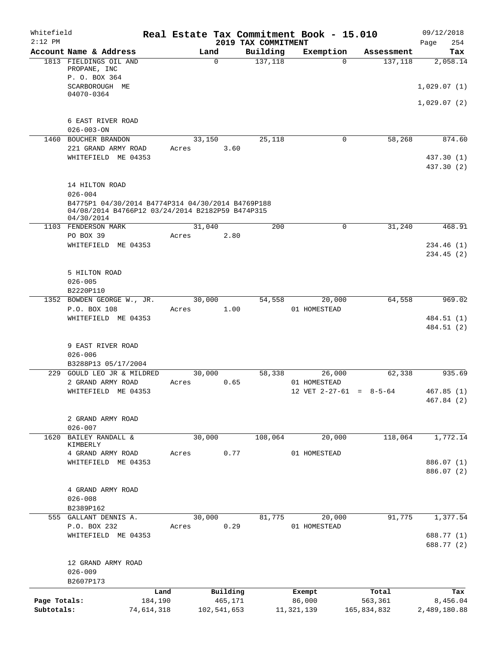| Whitefield<br>$2:12$ PM    |                                                                                                                     |                       |       |          |                        | 2019 TAX COMMITMENT | Real Estate Tax Commitment Book - 15.010 |                           | 09/12/2018<br>Page<br>254 |
|----------------------------|---------------------------------------------------------------------------------------------------------------------|-----------------------|-------|----------|------------------------|---------------------|------------------------------------------|---------------------------|---------------------------|
|                            | Account Name & Address                                                                                              |                       |       | Land     |                        | Building            | Exemption                                | Assessment                | Tax                       |
|                            | 1813 FIELDINGS OIL AND<br>PROPANE, INC<br>P. O. BOX 364                                                             |                       |       | $\Omega$ |                        | 137,118             | $\Omega$                                 | 137,118                   | 2,058.14                  |
|                            | SCARBOROUGH ME<br>04070-0364                                                                                        |                       |       |          |                        |                     |                                          |                           | 1,029.07(1)               |
|                            |                                                                                                                     |                       |       |          |                        |                     |                                          |                           | 1,029.07(2)               |
|                            | 6 EAST RIVER ROAD<br>$026 - 003 - ON$                                                                               |                       |       |          |                        |                     |                                          |                           |                           |
|                            | 1460 BOUCHER BRANDON<br>221 GRAND ARMY ROAD                                                                         |                       | Acres | 33,150   | 3.60                   | 25,118              | 0                                        | 58,268                    | 874.60                    |
|                            | WHITEFIELD ME 04353                                                                                                 |                       |       |          |                        |                     |                                          |                           | 437.30 (1)<br>437.30 (2)  |
|                            | 14 HILTON ROAD<br>$026 - 004$                                                                                       |                       |       |          |                        |                     |                                          |                           |                           |
|                            | B4775P1 04/30/2014 B4774P314 04/30/2014 B4769P188<br>04/08/2014 B4766P12 03/24/2014 B2182P59 B474P315<br>04/30/2014 |                       |       |          |                        |                     |                                          |                           |                           |
|                            | 1103 FENDERSON MARK<br>PO BOX 39                                                                                    |                       | Acres | 31,040   | 2.80                   | 200                 | 0                                        | 31,240                    | 468.91                    |
|                            | WHITEFIELD ME 04353                                                                                                 |                       |       |          |                        |                     |                                          |                           | 234.46 (1)<br>234.45 (2)  |
|                            | 5 HILTON ROAD<br>$026 - 005$                                                                                        |                       |       |          |                        |                     |                                          |                           |                           |
|                            | B2220P110                                                                                                           |                       |       |          |                        |                     |                                          |                           |                           |
|                            | 1352 BOWDEN GEORGE W., JR.<br>P.O. BOX 108                                                                          |                       | Acres | 30,000   | 1.00                   | 54,558              | 20,000<br>01 HOMESTEAD                   | 64,558                    | 969.02                    |
|                            | WHITEFIELD ME 04353                                                                                                 |                       |       |          |                        |                     |                                          |                           | 484.51 (1)<br>484.51 (2)  |
|                            | 9 EAST RIVER ROAD<br>$026 - 006$                                                                                    |                       |       |          |                        |                     |                                          |                           |                           |
| 229                        | B3288P13 05/17/2004<br>GOULD LEO JR & MILDRED                                                                       |                       |       |          |                        |                     |                                          | 62,338                    | 935.69                    |
|                            | 2 GRAND ARMY ROAD                                                                                                   |                       | Acres | 30,000   | 0.65                   | 58,338              | 26,000<br>01 HOMESTEAD                   |                           |                           |
|                            | WHITEFIELD ME 04353                                                                                                 |                       |       |          |                        |                     |                                          | 12 VET $2-27-61 = 8-5-64$ | 467.85(1)<br>467.84 (2)   |
|                            | 2 GRAND ARMY ROAD<br>$026 - 007$                                                                                    |                       |       |          |                        |                     |                                          |                           |                           |
| 1620                       | BAILEY RANDALL &<br>KIMBERLY                                                                                        |                       |       | 30,000   |                        | 108,064             | 20,000                                   | 118,064                   | 1,772.14                  |
|                            | 4 GRAND ARMY ROAD                                                                                                   |                       | Acres |          | 0.77                   |                     | 01 HOMESTEAD                             |                           |                           |
|                            | WHITEFIELD ME 04353                                                                                                 |                       |       |          |                        |                     |                                          |                           | 886.07 (1)<br>886.07 (2)  |
|                            | 4 GRAND ARMY ROAD<br>$026 - 008$                                                                                    |                       |       |          |                        |                     |                                          |                           |                           |
|                            | B2389P162                                                                                                           |                       |       |          |                        |                     |                                          |                           |                           |
|                            | 555 GALLANT DENNIS A.<br>P.O. BOX 232                                                                               |                       | Acres | 30,000   | 0.29                   | 81,775              | 20,000<br>01 HOMESTEAD                   | 91,775                    | 1,377.54                  |
|                            | WHITEFIELD ME 04353                                                                                                 |                       |       |          |                        |                     |                                          |                           | 688.77 (1)<br>688.77 (2)  |
|                            | 12 GRAND ARMY ROAD<br>$026 - 009$<br>B2607P173                                                                      |                       |       |          |                        |                     |                                          |                           |                           |
|                            |                                                                                                                     | Land                  |       |          | Building               |                     | Exempt                                   | Total                     | Tax                       |
| Page Totals:<br>Subtotals: |                                                                                                                     | 184,190<br>74,614,318 |       |          | 465,171<br>102,541,653 |                     | 86,000<br>11, 321, 139                   | 563,361<br>165,834,832    | 8,456.04<br>2,489,180.88  |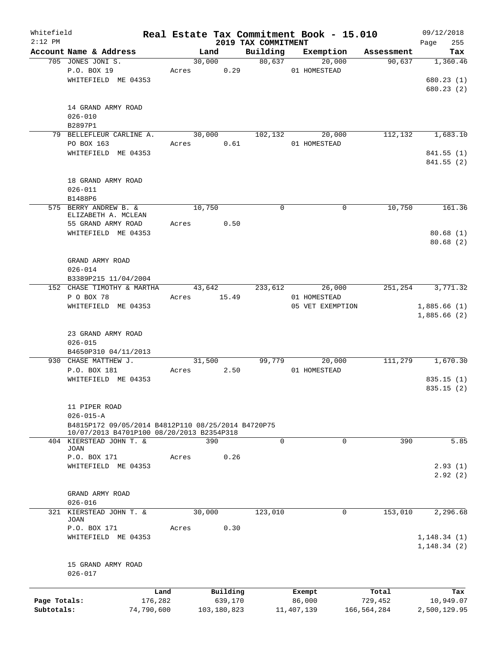| Whitefield<br>$2:12$ PM |                                                    |            |       |             | 2019 TAX COMMITMENT |                       | Real Estate Tax Commitment Book - 15.010 | 09/12/2018         |
|-------------------------|----------------------------------------------------|------------|-------|-------------|---------------------|-----------------------|------------------------------------------|--------------------|
|                         | Account Name & Address                             |            |       | Land        | Building            | Exemption             | Assessment                               | 255<br>Page<br>Tax |
|                         | 705 JONES JONI S.                                  |            |       | 30,000      | 80,637              | 20,000                | 90,637                                   | 1,360.46           |
|                         | P.O. BOX 19                                        |            |       | Acres 0.29  |                     | 01 HOMESTEAD          |                                          |                    |
|                         | WHITEFIELD ME 04353                                |            |       |             |                     |                       |                                          | 680.23(1)          |
|                         |                                                    |            |       |             |                     |                       |                                          | 680.23 (2)         |
|                         |                                                    |            |       |             |                     |                       |                                          |                    |
|                         | 14 GRAND ARMY ROAD                                 |            |       |             |                     |                       |                                          |                    |
|                         | $026 - 010$                                        |            |       |             |                     |                       |                                          |                    |
|                         | B2897P1                                            |            |       |             |                     |                       |                                          |                    |
|                         | 79 BELLEFLEUR CARLINE A.                           |            |       | 30,000      | 102, 132            | 20,000                | 112,132                                  | 1,683.10           |
|                         | PO BOX 163                                         |            | Acres | 0.61        |                     | 01 HOMESTEAD          |                                          |                    |
|                         |                                                    |            |       |             |                     |                       |                                          |                    |
|                         | WHITEFIELD ME 04353                                |            |       |             |                     |                       |                                          | 841.55(1)          |
|                         |                                                    |            |       |             |                     |                       |                                          | 841.55(2)          |
|                         |                                                    |            |       |             |                     |                       |                                          |                    |
|                         | 18 GRAND ARMY ROAD                                 |            |       |             |                     |                       |                                          |                    |
|                         | $026 - 011$                                        |            |       |             |                     |                       |                                          |                    |
|                         | B1488P6                                            |            |       |             |                     |                       |                                          |                    |
|                         | 575 BERRY ANDREW B. &<br>ELIZABETH A. MCLEAN       |            |       | 10,750      | $\mathbf 0$         |                       | 10,750<br>0                              | 161.36             |
|                         |                                                    |            |       |             |                     |                       |                                          |                    |
|                         | 55 GRAND ARMY ROAD                                 |            |       | Acres 0.50  |                     |                       |                                          |                    |
|                         | WHITEFIELD ME 04353                                |            |       |             |                     |                       |                                          | 80.68(1)           |
|                         |                                                    |            |       |             |                     |                       |                                          | 80.68(2)           |
|                         |                                                    |            |       |             |                     |                       |                                          |                    |
|                         | GRAND ARMY ROAD                                    |            |       |             |                     |                       |                                          |                    |
|                         | $026 - 014$                                        |            |       |             |                     |                       |                                          |                    |
|                         | B3389P215 11/04/2004                               |            |       |             |                     |                       |                                          |                    |
|                         | 152 CHASE TIMOTHY & MARTHA                         |            |       |             |                     | 43,642 233,612 26,000 | 251,254                                  | 3,771.32           |
|                         | P O BOX 78                                         |            |       | Acres 15.49 |                     | 01 HOMESTEAD          |                                          |                    |
|                         | WHITEFIELD ME 04353                                |            |       |             |                     | 05 VET EXEMPTION      |                                          | 1,885.66(1)        |
|                         |                                                    |            |       |             |                     |                       |                                          | 1,885.66(2)        |
|                         |                                                    |            |       |             |                     |                       |                                          |                    |
|                         | 23 GRAND ARMY ROAD                                 |            |       |             |                     |                       |                                          |                    |
|                         | $026 - 015$                                        |            |       |             |                     |                       |                                          |                    |
|                         | B4650P310 04/11/2013                               |            |       |             |                     |                       |                                          |                    |
|                         | 930 CHASE MATTHEW J.                               |            |       | 31,500      | 99,779              | 20,000                | 111,279                                  | 1,670.30           |
|                         | P.O. BOX 181                                       |            |       | Acres 2.50  |                     | 01 HOMESTEAD          |                                          |                    |
|                         | WHITEFIELD ME 04353                                |            |       |             |                     |                       |                                          | 835.15(1)          |
|                         |                                                    |            |       |             |                     |                       |                                          | 835.15(2)          |
|                         |                                                    |            |       |             |                     |                       |                                          |                    |
|                         | 11 PIPER ROAD                                      |            |       |             |                     |                       |                                          |                    |
|                         | $026 - 015 - A$                                    |            |       |             |                     |                       |                                          |                    |
|                         | B4815P172 09/05/2014 B4812P110 08/25/2014 B4720P75 |            |       |             |                     |                       |                                          |                    |
|                         | 10/07/2013 B4701P100 08/20/2013 B2354P318          |            |       |             |                     |                       |                                          |                    |
|                         | 404 KIERSTEAD JOHN T. &                            |            |       | 390         | $\Omega$            |                       | 390<br>$\Omega$                          | 5.85               |
|                         | JOAN                                               |            |       |             |                     |                       |                                          |                    |
|                         | P.O. BOX 171                                       |            | Acres | 0.26        |                     |                       |                                          |                    |
|                         | WHITEFIELD ME 04353                                |            |       |             |                     |                       |                                          | 2.93(1)            |
|                         |                                                    |            |       |             |                     |                       |                                          | 2.92(2)            |
|                         |                                                    |            |       |             |                     |                       |                                          |                    |
|                         | GRAND ARMY ROAD                                    |            |       |             |                     |                       |                                          |                    |
|                         | $026 - 016$                                        |            |       |             |                     |                       |                                          |                    |
|                         | 321 KIERSTEAD JOHN T. &                            |            |       | 30,000      | 123,010             |                       | 153,010<br>0                             | 2,296.68           |
|                         | <b>JOAN</b>                                        |            |       |             |                     |                       |                                          |                    |
|                         | P.O. BOX 171                                       |            | Acres | 0.30        |                     |                       |                                          |                    |
|                         | WHITEFIELD ME 04353                                |            |       |             |                     |                       |                                          | 1, 148.34(1)       |
|                         |                                                    |            |       |             |                     |                       |                                          | 1,148.34(2)        |
|                         |                                                    |            |       |             |                     |                       |                                          |                    |
|                         | 15 GRAND ARMY ROAD                                 |            |       |             |                     |                       |                                          |                    |
|                         | $026 - 017$                                        |            |       |             |                     |                       |                                          |                    |
|                         |                                                    |            |       |             |                     |                       |                                          |                    |
|                         |                                                    | Land       |       | Building    |                     | Exempt                | Total                                    | Tax                |
| Page Totals:            |                                                    | 176,282    |       | 639,170     |                     | 86,000                | 729,452                                  | 10,949.07          |
| Subtotals:              |                                                    | 74,790,600 |       | 103,180,823 |                     | 11,407,139            | 166,564,284                              | 2,500,129.95       |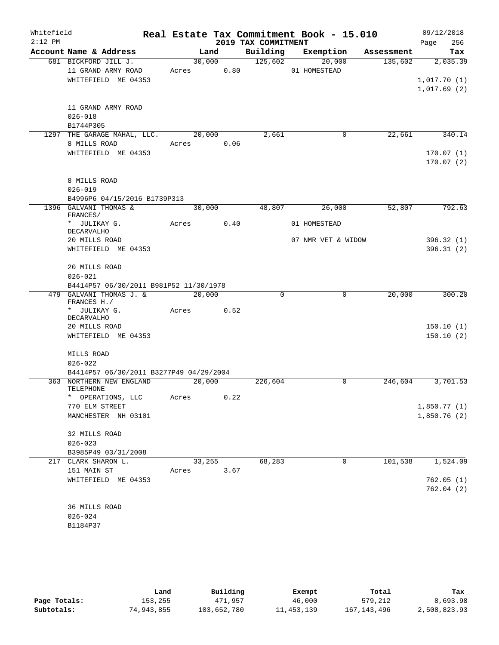| Whitefield |                                             |            |        | Real Estate Tax Commitment Book - 15.010 |              |                    |            | 09/12/2018                 |
|------------|---------------------------------------------|------------|--------|------------------------------------------|--------------|--------------------|------------|----------------------------|
| $2:12$ PM  |                                             |            |        | 2019 TAX COMMITMENT                      |              |                    |            | 256<br>Page                |
|            | Account Name & Address                      |            | Land   | Building Exemption                       |              |                    | Assessment | Tax                        |
|            | 681 BICKFORD JILL J.                        |            | 30,000 | 125,602                                  |              | 20,000             | 135,602    | 2,035.39                   |
|            | 11 GRAND ARMY ROAD                          | Acres 0.80 |        |                                          | 01 HOMESTEAD |                    |            |                            |
|            | WHITEFIELD ME 04353                         |            |        |                                          |              |                    |            | 1,017.70(1)<br>1,017.69(2) |
|            |                                             |            |        |                                          |              |                    |            |                            |
|            | 11 GRAND ARMY ROAD                          |            |        |                                          |              |                    |            |                            |
|            | $026 - 018$                                 |            |        |                                          |              |                    |            |                            |
|            | B1744P305                                   |            |        |                                          |              |                    | 22,661     |                            |
|            | 1297 THE GARAGE MAHAL, LLC.<br>8 MILLS ROAD | Acres 0.06 | 20,000 | 2,661                                    |              | 0                  |            | 340.14                     |
|            | WHITEFIELD ME 04353                         |            |        |                                          |              |                    |            | 170.07(1)                  |
|            |                                             |            |        |                                          |              |                    |            | 170.07(2)                  |
|            |                                             |            |        |                                          |              |                    |            |                            |
|            | 8 MILLS ROAD                                |            |        |                                          |              |                    |            |                            |
|            | $026 - 019$<br>B4996P6 04/15/2016 B1739P313 |            |        |                                          |              |                    |            |                            |
|            | 1396 GALVANI THOMAS &                       |            | 30,000 | 48,807                                   |              | 26,000             | 52,807     | 792.63                     |
|            | FRANCES/<br>* JULIKAY G.                    | Acres      | 0.40   |                                          | 01 HOMESTEAD |                    |            |                            |
|            | <b>DECARVALHO</b>                           |            |        |                                          |              |                    |            |                            |
|            | 20 MILLS ROAD                               |            |        |                                          |              | 07 NMR VET & WIDOW |            | 396.32(1)                  |
|            | WHITEFIELD ME 04353                         |            |        |                                          |              |                    |            | 396.31(2)                  |
|            | 20 MILLS ROAD                               |            |        |                                          |              |                    |            |                            |
|            | $026 - 021$                                 |            |        |                                          |              |                    |            |                            |
|            | B4414P57 06/30/2011 B981P52 11/30/1978      |            |        |                                          |              |                    |            |                            |
|            | 479 GALVANI THOMAS J. &<br>FRANCES H./      |            | 20,000 | $\mathbf 0$                              |              | $\mathbf 0$        | 20,000     | 300.20                     |
|            | * JULIKAY G.                                | Acres 0.52 |        |                                          |              |                    |            |                            |
|            | DECARVALHO                                  |            |        |                                          |              |                    |            |                            |
|            | 20 MILLS ROAD                               |            |        |                                          |              |                    |            | 150.10(1)                  |
|            | WHITEFIELD ME 04353                         |            |        |                                          |              |                    |            | 150.10(2)                  |
|            | MILLS ROAD                                  |            |        |                                          |              |                    |            |                            |
|            | $026 - 022$                                 |            |        |                                          |              |                    |            |                            |
|            | B4414P57 06/30/2011 B3277P49 04/29/2004     |            |        |                                          |              |                    |            |                            |
|            | 363 NORTHERN NEW ENGLAND                    | 20,000     |        | 226,604                                  |              | $\mathbf 0$        | 246,604    | 3,701.53                   |
|            | TELEPHONE<br>* OPERATIONS, LLC              | Acres      | 0.22   |                                          |              |                    |            |                            |
|            | 770 ELM STREET                              |            |        |                                          |              |                    |            | 1,850.77(1)                |
|            | MANCHESTER NH 03101                         |            |        |                                          |              |                    |            | 1,850.76(2)                |
|            | 32 MILLS ROAD                               |            |        |                                          |              |                    |            |                            |
|            | $026 - 023$                                 |            |        |                                          |              |                    |            |                            |
|            | B3985P49 03/31/2008                         |            |        |                                          |              |                    |            |                            |
| 217        | CLARK SHARON L.                             |            | 33,255 | 68,283                                   |              | 0                  | 101,538    | 1,524.09                   |
|            | 151 MAIN ST                                 | Acres      | 3.67   |                                          |              |                    |            |                            |
|            | WHITEFIELD ME 04353                         |            |        |                                          |              |                    |            | 762.05(1)                  |
|            |                                             |            |        |                                          |              |                    |            | 762.04(2)                  |
|            | 36 MILLS ROAD                               |            |        |                                          |              |                    |            |                            |
|            | $026 - 024$                                 |            |        |                                          |              |                    |            |                            |
|            | B1184P37                                    |            |        |                                          |              |                    |            |                            |
|            |                                             |            |        |                                          |              |                    |            |                            |

|              | Land       | Building    | Exempt       | Total         | Tax          |
|--------------|------------|-------------|--------------|---------------|--------------|
| Page Totals: | 153,255    | 471,957     | 46,000       | 579,212       | 8,693.98     |
| Subtotals:   | 74,943,855 | 103,652,780 | 11, 453, 139 | 167, 143, 496 | 2,508,823.93 |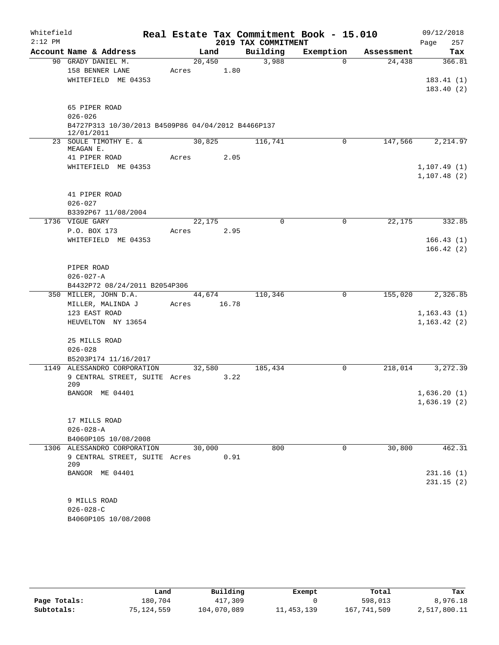| 2019 TAX COMMITMENT<br>257<br>Page<br>Account Name & Address<br>Building<br>Exemption<br>Land<br>Assessment<br>3,988<br>90 GRADY DANIEL M.<br>20,450<br>$\Omega$<br>24,438<br>158 BENNER LANE<br>1.80<br>Acres<br>WHITEFIELD ME 04353<br>65 PIPER ROAD<br>$026 - 026$<br>B4727P313 10/30/2013 B4509P86 04/04/2012 B4466P137<br>12/01/2011<br>23 SOULE TIMOTHY E. &<br>30,825<br>116,741<br>147,566<br>$\mathbf 0$<br>MEAGAN E.<br>41 PIPER ROAD<br>2.05<br>Acres<br>WHITEFIELD ME 04353<br>41 PIPER ROAD<br>$026 - 027$<br>B3392P67 11/08/2004<br>22, 175<br>1736 VIGUE GARY<br>22,175<br>$\Omega$<br>0<br>P.O. BOX 173<br>2.95<br>Acres<br>WHITEFIELD ME 04353<br>PIPER ROAD<br>$026 - 027 - A$<br>B4432P72 08/24/2011 B2054P306<br>350 MILLER, JOHN D.A.<br>110,346<br>0<br>155,020<br>44,674<br>MILLER, MALINDA J<br>16.78<br>Acres<br>123 EAST ROAD<br>HEUVELTON NY 13654<br>25 MILLS ROAD<br>$026 - 028$<br>B5203P174 11/16/2017<br>1149 ALESSANDRO CORPORATION<br>32,580<br>185,434<br>218,014<br>0<br>9 CENTRAL STREET, SUITE Acres<br>3.22<br>209<br>BANGOR ME 04401<br>17 MILLS ROAD<br>$026 - 028 - A$<br>B4060P105 10/08/2008<br>800<br>30,800<br>1306 ALESSANDRO CORPORATION<br>30,000<br>$\mathbf 0$<br>9 CENTRAL STREET, SUITE Acres<br>0.91<br>209<br>BANGOR ME 04401<br>9 MILLS ROAD<br>$026 - 028 - C$ | Whitefield |                      | Real Estate Tax Commitment Book - 15.010 |  | 09/12/2018 |
|-------------------------------------------------------------------------------------------------------------------------------------------------------------------------------------------------------------------------------------------------------------------------------------------------------------------------------------------------------------------------------------------------------------------------------------------------------------------------------------------------------------------------------------------------------------------------------------------------------------------------------------------------------------------------------------------------------------------------------------------------------------------------------------------------------------------------------------------------------------------------------------------------------------------------------------------------------------------------------------------------------------------------------------------------------------------------------------------------------------------------------------------------------------------------------------------------------------------------------------------------------------------------------------------------------------------------|------------|----------------------|------------------------------------------|--|------------|
| 366.81                                                                                                                                                                                                                                                                                                                                                                                                                                                                                                                                                                                                                                                                                                                                                                                                                                                                                                                                                                                                                                                                                                                                                                                                                                                                                                                  | $2:12$ PM  |                      |                                          |  |            |
| 183.41(1)<br>183.40(2)                                                                                                                                                                                                                                                                                                                                                                                                                                                                                                                                                                                                                                                                                                                                                                                                                                                                                                                                                                                                                                                                                                                                                                                                                                                                                                  |            |                      |                                          |  | Tax        |
|                                                                                                                                                                                                                                                                                                                                                                                                                                                                                                                                                                                                                                                                                                                                                                                                                                                                                                                                                                                                                                                                                                                                                                                                                                                                                                                         |            |                      |                                          |  |            |
|                                                                                                                                                                                                                                                                                                                                                                                                                                                                                                                                                                                                                                                                                                                                                                                                                                                                                                                                                                                                                                                                                                                                                                                                                                                                                                                         |            |                      |                                          |  |            |
|                                                                                                                                                                                                                                                                                                                                                                                                                                                                                                                                                                                                                                                                                                                                                                                                                                                                                                                                                                                                                                                                                                                                                                                                                                                                                                                         |            |                      |                                          |  |            |
|                                                                                                                                                                                                                                                                                                                                                                                                                                                                                                                                                                                                                                                                                                                                                                                                                                                                                                                                                                                                                                                                                                                                                                                                                                                                                                                         |            |                      |                                          |  |            |
|                                                                                                                                                                                                                                                                                                                                                                                                                                                                                                                                                                                                                                                                                                                                                                                                                                                                                                                                                                                                                                                                                                                                                                                                                                                                                                                         |            |                      |                                          |  |            |
| 2,214.97<br>1, 107.49(1)<br>1, 107.48(2)                                                                                                                                                                                                                                                                                                                                                                                                                                                                                                                                                                                                                                                                                                                                                                                                                                                                                                                                                                                                                                                                                                                                                                                                                                                                                |            |                      |                                          |  |            |
|                                                                                                                                                                                                                                                                                                                                                                                                                                                                                                                                                                                                                                                                                                                                                                                                                                                                                                                                                                                                                                                                                                                                                                                                                                                                                                                         |            |                      |                                          |  |            |
|                                                                                                                                                                                                                                                                                                                                                                                                                                                                                                                                                                                                                                                                                                                                                                                                                                                                                                                                                                                                                                                                                                                                                                                                                                                                                                                         |            |                      |                                          |  |            |
|                                                                                                                                                                                                                                                                                                                                                                                                                                                                                                                                                                                                                                                                                                                                                                                                                                                                                                                                                                                                                                                                                                                                                                                                                                                                                                                         |            |                      |                                          |  |            |
|                                                                                                                                                                                                                                                                                                                                                                                                                                                                                                                                                                                                                                                                                                                                                                                                                                                                                                                                                                                                                                                                                                                                                                                                                                                                                                                         |            |                      |                                          |  |            |
|                                                                                                                                                                                                                                                                                                                                                                                                                                                                                                                                                                                                                                                                                                                                                                                                                                                                                                                                                                                                                                                                                                                                                                                                                                                                                                                         |            |                      |                                          |  |            |
|                                                                                                                                                                                                                                                                                                                                                                                                                                                                                                                                                                                                                                                                                                                                                                                                                                                                                                                                                                                                                                                                                                                                                                                                                                                                                                                         |            |                      |                                          |  |            |
|                                                                                                                                                                                                                                                                                                                                                                                                                                                                                                                                                                                                                                                                                                                                                                                                                                                                                                                                                                                                                                                                                                                                                                                                                                                                                                                         |            |                      |                                          |  |            |
| 332.85<br>166.43(1)<br>166.42(2)<br>2,326.85<br>1, 163.43(1)<br>1, 163.42(2)<br>3,272.39<br>1,636.20(1)<br>1,636.19(2)<br>462.31<br>231.16(1)<br>231.15(2)                                                                                                                                                                                                                                                                                                                                                                                                                                                                                                                                                                                                                                                                                                                                                                                                                                                                                                                                                                                                                                                                                                                                                              |            |                      |                                          |  |            |
|                                                                                                                                                                                                                                                                                                                                                                                                                                                                                                                                                                                                                                                                                                                                                                                                                                                                                                                                                                                                                                                                                                                                                                                                                                                                                                                         |            |                      |                                          |  |            |
|                                                                                                                                                                                                                                                                                                                                                                                                                                                                                                                                                                                                                                                                                                                                                                                                                                                                                                                                                                                                                                                                                                                                                                                                                                                                                                                         |            |                      |                                          |  |            |
|                                                                                                                                                                                                                                                                                                                                                                                                                                                                                                                                                                                                                                                                                                                                                                                                                                                                                                                                                                                                                                                                                                                                                                                                                                                                                                                         |            |                      |                                          |  |            |
|                                                                                                                                                                                                                                                                                                                                                                                                                                                                                                                                                                                                                                                                                                                                                                                                                                                                                                                                                                                                                                                                                                                                                                                                                                                                                                                         |            |                      |                                          |  |            |
|                                                                                                                                                                                                                                                                                                                                                                                                                                                                                                                                                                                                                                                                                                                                                                                                                                                                                                                                                                                                                                                                                                                                                                                                                                                                                                                         |            |                      |                                          |  |            |
|                                                                                                                                                                                                                                                                                                                                                                                                                                                                                                                                                                                                                                                                                                                                                                                                                                                                                                                                                                                                                                                                                                                                                                                                                                                                                                                         |            |                      |                                          |  |            |
|                                                                                                                                                                                                                                                                                                                                                                                                                                                                                                                                                                                                                                                                                                                                                                                                                                                                                                                                                                                                                                                                                                                                                                                                                                                                                                                         |            |                      |                                          |  |            |
|                                                                                                                                                                                                                                                                                                                                                                                                                                                                                                                                                                                                                                                                                                                                                                                                                                                                                                                                                                                                                                                                                                                                                                                                                                                                                                                         |            |                      |                                          |  |            |
|                                                                                                                                                                                                                                                                                                                                                                                                                                                                                                                                                                                                                                                                                                                                                                                                                                                                                                                                                                                                                                                                                                                                                                                                                                                                                                                         |            |                      |                                          |  |            |
|                                                                                                                                                                                                                                                                                                                                                                                                                                                                                                                                                                                                                                                                                                                                                                                                                                                                                                                                                                                                                                                                                                                                                                                                                                                                                                                         |            |                      |                                          |  |            |
|                                                                                                                                                                                                                                                                                                                                                                                                                                                                                                                                                                                                                                                                                                                                                                                                                                                                                                                                                                                                                                                                                                                                                                                                                                                                                                                         |            |                      |                                          |  |            |
|                                                                                                                                                                                                                                                                                                                                                                                                                                                                                                                                                                                                                                                                                                                                                                                                                                                                                                                                                                                                                                                                                                                                                                                                                                                                                                                         |            |                      |                                          |  |            |
|                                                                                                                                                                                                                                                                                                                                                                                                                                                                                                                                                                                                                                                                                                                                                                                                                                                                                                                                                                                                                                                                                                                                                                                                                                                                                                                         |            |                      |                                          |  |            |
|                                                                                                                                                                                                                                                                                                                                                                                                                                                                                                                                                                                                                                                                                                                                                                                                                                                                                                                                                                                                                                                                                                                                                                                                                                                                                                                         |            |                      |                                          |  |            |
|                                                                                                                                                                                                                                                                                                                                                                                                                                                                                                                                                                                                                                                                                                                                                                                                                                                                                                                                                                                                                                                                                                                                                                                                                                                                                                                         |            |                      |                                          |  |            |
|                                                                                                                                                                                                                                                                                                                                                                                                                                                                                                                                                                                                                                                                                                                                                                                                                                                                                                                                                                                                                                                                                                                                                                                                                                                                                                                         |            |                      |                                          |  |            |
|                                                                                                                                                                                                                                                                                                                                                                                                                                                                                                                                                                                                                                                                                                                                                                                                                                                                                                                                                                                                                                                                                                                                                                                                                                                                                                                         |            |                      |                                          |  |            |
|                                                                                                                                                                                                                                                                                                                                                                                                                                                                                                                                                                                                                                                                                                                                                                                                                                                                                                                                                                                                                                                                                                                                                                                                                                                                                                                         |            |                      |                                          |  |            |
|                                                                                                                                                                                                                                                                                                                                                                                                                                                                                                                                                                                                                                                                                                                                                                                                                                                                                                                                                                                                                                                                                                                                                                                                                                                                                                                         |            |                      |                                          |  |            |
|                                                                                                                                                                                                                                                                                                                                                                                                                                                                                                                                                                                                                                                                                                                                                                                                                                                                                                                                                                                                                                                                                                                                                                                                                                                                                                                         |            |                      |                                          |  |            |
|                                                                                                                                                                                                                                                                                                                                                                                                                                                                                                                                                                                                                                                                                                                                                                                                                                                                                                                                                                                                                                                                                                                                                                                                                                                                                                                         |            |                      |                                          |  |            |
|                                                                                                                                                                                                                                                                                                                                                                                                                                                                                                                                                                                                                                                                                                                                                                                                                                                                                                                                                                                                                                                                                                                                                                                                                                                                                                                         |            |                      |                                          |  |            |
|                                                                                                                                                                                                                                                                                                                                                                                                                                                                                                                                                                                                                                                                                                                                                                                                                                                                                                                                                                                                                                                                                                                                                                                                                                                                                                                         |            |                      |                                          |  |            |
|                                                                                                                                                                                                                                                                                                                                                                                                                                                                                                                                                                                                                                                                                                                                                                                                                                                                                                                                                                                                                                                                                                                                                                                                                                                                                                                         |            |                      |                                          |  |            |
|                                                                                                                                                                                                                                                                                                                                                                                                                                                                                                                                                                                                                                                                                                                                                                                                                                                                                                                                                                                                                                                                                                                                                                                                                                                                                                                         |            |                      |                                          |  |            |
|                                                                                                                                                                                                                                                                                                                                                                                                                                                                                                                                                                                                                                                                                                                                                                                                                                                                                                                                                                                                                                                                                                                                                                                                                                                                                                                         |            |                      |                                          |  |            |
|                                                                                                                                                                                                                                                                                                                                                                                                                                                                                                                                                                                                                                                                                                                                                                                                                                                                                                                                                                                                                                                                                                                                                                                                                                                                                                                         |            |                      |                                          |  |            |
|                                                                                                                                                                                                                                                                                                                                                                                                                                                                                                                                                                                                                                                                                                                                                                                                                                                                                                                                                                                                                                                                                                                                                                                                                                                                                                                         |            |                      |                                          |  |            |
|                                                                                                                                                                                                                                                                                                                                                                                                                                                                                                                                                                                                                                                                                                                                                                                                                                                                                                                                                                                                                                                                                                                                                                                                                                                                                                                         |            | B4060P105 10/08/2008 |                                          |  |            |

|              | Land       | Building    | Exempt       | Total       | Tax          |
|--------------|------------|-------------|--------------|-------------|--------------|
| Page Totals: | 180.704    | 417,309     |              | 598,013     | 8,976.18     |
| Subtotals:   | 75,124,559 | 104,070,089 | 11, 453, 139 | 167,741,509 | 2,517,800.11 |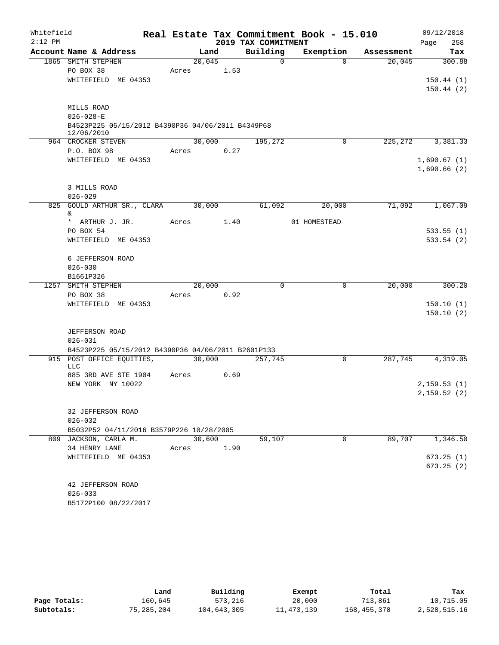| Whitefield |                                                    |        |        |                     | Real Estate Tax Commitment Book - 15.010 |            | 09/12/2018                  |
|------------|----------------------------------------------------|--------|--------|---------------------|------------------------------------------|------------|-----------------------------|
| $2:12$ PM  |                                                    |        |        | 2019 TAX COMMITMENT |                                          |            | 258<br>Page                 |
|            | Account Name & Address                             |        | Land   | Building            | Exemption                                | Assessment | Tax                         |
|            | 1865 SMITH STEPHEN                                 | 20,045 |        | $\mathbf 0$         | $\Omega$                                 | 20,045     | 300.88                      |
|            | PO BOX 38                                          | Acres  | 1.53   |                     |                                          |            |                             |
|            | WHITEFIELD ME 04353                                |        |        |                     |                                          |            | 150.44(1)                   |
|            |                                                    |        |        |                     |                                          |            | 150.44(2)                   |
|            | MILLS ROAD                                         |        |        |                     |                                          |            |                             |
|            | $026 - 028 - E$                                    |        |        |                     |                                          |            |                             |
|            | B4523P225 05/15/2012 B4390P36 04/06/2011 B4349P68  |        |        |                     |                                          |            |                             |
|            | 12/06/2010                                         |        |        |                     |                                          |            |                             |
|            | 964 CROCKER STEVEN                                 |        | 30,000 | 195,272             | 0                                        | 225,272    | 3,381.33                    |
|            | P.O. BOX 98                                        | Acres  | 0.27   |                     |                                          |            |                             |
|            | WHITEFIELD ME 04353                                |        |        |                     |                                          |            | 1,690.67(1)                 |
|            |                                                    |        |        |                     |                                          |            | 1,690.66(2)                 |
|            |                                                    |        |        |                     |                                          |            |                             |
|            | 3 MILLS ROAD                                       |        |        |                     |                                          |            |                             |
|            | $026 - 029$<br>825 GOULD ARTHUR SR., CLARA         | 30,000 |        | 61,092              | 20,000                                   | 71,092     | 1,067.09                    |
|            | &.                                                 |        |        |                     |                                          |            |                             |
|            | * ARTHUR J. JR.                                    | Acres  | 1.40   |                     | 01 HOMESTEAD                             |            |                             |
|            | PO BOX 54                                          |        |        |                     |                                          |            | 533.55(1)                   |
|            | WHITEFIELD ME 04353                                |        |        |                     |                                          |            | 533.54(2)                   |
|            |                                                    |        |        |                     |                                          |            |                             |
|            | 6 JEFFERSON ROAD                                   |        |        |                     |                                          |            |                             |
|            | $026 - 030$                                        |        |        |                     |                                          |            |                             |
|            | B1661P326                                          |        |        |                     |                                          |            |                             |
| 1257       | SMITH STEPHEN<br>PO BOX 38                         | 20,000 |        | $\mathbf 0$         | $\mathbf 0$                              | 20,000     | 300.20                      |
|            | WHITEFIELD ME 04353                                | Acres  | 0.92   |                     |                                          |            | 150.10(1)                   |
|            |                                                    |        |        |                     |                                          |            | 150.10(2)                   |
|            |                                                    |        |        |                     |                                          |            |                             |
|            | JEFFERSON ROAD                                     |        |        |                     |                                          |            |                             |
|            | $026 - 031$                                        |        |        |                     |                                          |            |                             |
|            | B4523P225 05/15/2012 B4390P36 04/06/2011 B2601P133 |        |        |                     |                                          |            |                             |
|            | 915 POST OFFICE EQUITIES,                          | 30,000 |        | 257,745             | $\mathbf 0$                              | 287,745    | 4,319.05                    |
|            | LLC                                                |        |        |                     |                                          |            |                             |
|            | 885 3RD AVE STE 1904<br>NEW YORK NY 10022          | Acres  | 0.69   |                     |                                          |            |                             |
|            |                                                    |        |        |                     |                                          |            | 2, 159.53(1)<br>2,159.52(2) |
|            |                                                    |        |        |                     |                                          |            |                             |
|            | 32 JEFFERSON ROAD                                  |        |        |                     |                                          |            |                             |
|            | $026 - 032$                                        |        |        |                     |                                          |            |                             |
|            | B5032P52 04/11/2016 B3579P226 10/28/2005           |        |        |                     |                                          |            |                             |
|            | 809 JACKSON, CARLA M.                              |        | 30,600 | 59,107              | $\mathbf 0$                              | 89,707     | 1,346.50                    |
|            | 34 HENRY LANE                                      | Acres  | 1.90   |                     |                                          |            |                             |
|            | WHITEFIELD ME 04353                                |        |        |                     |                                          |            | 673.25(1)                   |
|            |                                                    |        |        |                     |                                          |            | 673.25(2)                   |
|            |                                                    |        |        |                     |                                          |            |                             |
|            | 42 JEFFERSON ROAD                                  |        |        |                     |                                          |            |                             |
|            | $026 - 033$                                        |        |        |                     |                                          |            |                             |
|            | B5172P100 08/22/2017                               |        |        |                     |                                          |            |                             |

|              | Land       | Building    | Exempt       | Total         | Tax          |
|--------------|------------|-------------|--------------|---------------|--------------|
| Page Totals: | 160.645    | 573,216     | 20,000       | 713,861       | 10,715.05    |
| Subtotals:   | 75,285,204 | 104,643,305 | 11, 473, 139 | 168, 455, 370 | 2,528,515.16 |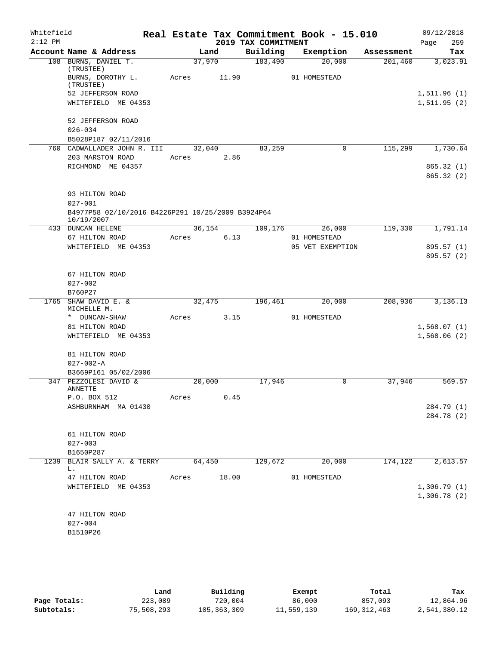| Whitefield<br>$2:12$ PM |                                                                 |       |        | 2019 TAX COMMITMENT | Real Estate Tax Commitment Book - 15.010 |            | 09/12/2018<br>259<br>Page    |
|-------------------------|-----------------------------------------------------------------|-------|--------|---------------------|------------------------------------------|------------|------------------------------|
|                         | Account Name & Address                                          |       | Land   | Building            | Exemption                                | Assessment | Tax                          |
|                         | 108 BURNS, DANIEL T.                                            |       | 37,970 | 183,490             | 20,000                                   | 201,460    | 3,023.91                     |
|                         | (TRUSTEE)<br>BURNS, DOROTHY L.                                  | Acres | 11.90  |                     | 01 HOMESTEAD                             |            |                              |
|                         | (TRUSTEE)                                                       |       |        |                     |                                          |            |                              |
|                         | 52 JEFFERSON ROAD<br>WHITEFIELD ME 04353                        |       |        |                     |                                          |            | 1, 511.96(1)<br>1, 511.95(2) |
|                         |                                                                 |       |        |                     |                                          |            |                              |
|                         | 52 JEFFERSON ROAD                                               |       |        |                     |                                          |            |                              |
|                         | $026 - 034$                                                     |       |        |                     |                                          |            |                              |
|                         | B5028P187 02/11/2016<br>760 CADWALLADER JOHN R. III             |       | 32,040 | 83,259              | $\mathbf 0$                              | 115,299    | 1,730.64                     |
|                         | 203 MARSTON ROAD                                                | Acres | 2.86   |                     |                                          |            |                              |
|                         | RICHMOND ME 04357                                               |       |        |                     |                                          |            | 865.32 (1)                   |
|                         |                                                                 |       |        |                     |                                          |            | 865.32(2)                    |
|                         | 93 HILTON ROAD                                                  |       |        |                     |                                          |            |                              |
|                         | $027 - 001$                                                     |       |        |                     |                                          |            |                              |
|                         | B4977P58 02/10/2016 B4226P291 10/25/2009 B3924P64<br>10/19/2007 |       |        |                     |                                          |            |                              |
|                         | 433 DUNCAN HELENE                                               |       | 36,154 | 109,176             | 26,000                                   | 119,330    | 1,791.14                     |
|                         | 67 HILTON ROAD                                                  | Acres | 6.13   |                     | 01 HOMESTEAD                             |            |                              |
|                         | WHITEFIELD ME 04353                                             |       |        |                     | 05 VET EXEMPTION                         |            | 895.57 (1)                   |
|                         |                                                                 |       |        |                     |                                          |            | 895.57 (2)                   |
|                         | 67 HILTON ROAD                                                  |       |        |                     |                                          |            |                              |
|                         | $027 - 002$                                                     |       |        |                     |                                          |            |                              |
|                         | B760P27                                                         |       |        |                     |                                          |            |                              |
| 1765                    | SHAW DAVID E. &<br>MICHELLE M.                                  |       | 32,475 | 196,461             | 20,000                                   | 208,936    | 3,136.13                     |
|                         | * DUNCAN-SHAW                                                   | Acres | 3.15   |                     | 01 HOMESTEAD                             |            |                              |
|                         | 81 HILTON ROAD                                                  |       |        |                     |                                          |            | 1,568.07(1)                  |
|                         | WHITEFIELD ME 04353                                             |       |        |                     |                                          |            | 1,568.06(2)                  |
|                         | 81 HILTON ROAD                                                  |       |        |                     |                                          |            |                              |
|                         | $027 - 002 - A$                                                 |       |        |                     |                                          |            |                              |
|                         | B3669P161 05/02/2006                                            |       |        |                     |                                          |            |                              |
|                         | 347 PEZZOLESI DAVID &<br><b>ANNETTE</b>                         |       | 20,000 | 17,946              | $\mathbf 0$                              | 37,946     | 569.57                       |
|                         | P.O. BOX 512                                                    | Acres | 0.45   |                     |                                          |            |                              |
|                         | ASHBURNHAM MA 01430                                             |       |        |                     |                                          |            | 284.79 (1)                   |
|                         |                                                                 |       |        |                     |                                          |            | 284.78 (2)                   |
|                         | 61 HILTON ROAD                                                  |       |        |                     |                                          |            |                              |
|                         | $027 - 003$                                                     |       |        |                     |                                          |            |                              |
|                         | B1650P287                                                       |       |        |                     |                                          |            |                              |
|                         | 1239 BLAIR SALLY A. & TERRY                                     |       | 64,450 | 129,672             | 20,000                                   | 174,122    | 2,613.57                     |
|                         | L.                                                              |       |        |                     |                                          |            |                              |
|                         | 47 HILTON ROAD                                                  | Acres | 18.00  |                     | 01 HOMESTEAD                             |            |                              |
|                         | WHITEFIELD ME 04353                                             |       |        |                     |                                          |            | 1,306.79(1)                  |
|                         |                                                                 |       |        |                     |                                          |            | 1,306.78(2)                  |
|                         | 47 HILTON ROAD                                                  |       |        |                     |                                          |            |                              |
|                         | $027 - 004$                                                     |       |        |                     |                                          |            |                              |
|                         | B1510P26                                                        |       |        |                     |                                          |            |                              |
|                         |                                                                 |       |        |                     |                                          |            |                              |
|                         |                                                                 |       |        |                     |                                          |            |                              |

|              | Land       | Building      | Exempt     | Total         | Tax          |
|--------------|------------|---------------|------------|---------------|--------------|
| Page Totals: | 223,089    | 720,004       | 86,000     | 857,093       | 12,864.96    |
| Subtotals:   | 75,508,293 | 105, 363, 309 | 11,559,139 | 169, 312, 463 | 2,541,380.12 |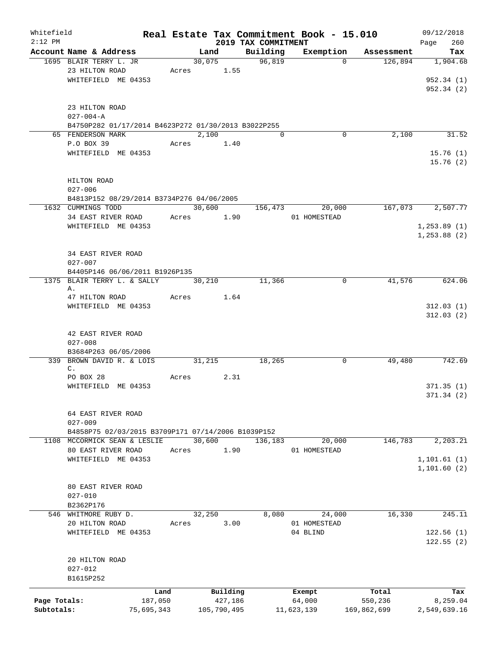| Whitefield                 |                                                                   |                       |            |                        |                                 | Real Estate Tax Commitment Book - 15.010 |                        | 09/12/2018         |
|----------------------------|-------------------------------------------------------------------|-----------------------|------------|------------------------|---------------------------------|------------------------------------------|------------------------|--------------------|
| $2:12$ PM                  | Account Name & Address                                            |                       |            | Land                   | 2019 TAX COMMITMENT<br>Building | Exemption                                | Assessment             | 260<br>Page<br>Tax |
|                            | 1695 BLAIR TERRY L. JR                                            |                       |            | 30,075                 | 96,819                          | $\Omega$                                 | 126,894                | 1,904.68           |
|                            | 23 HILTON ROAD                                                    |                       | Acres 1.55 |                        |                                 |                                          |                        |                    |
|                            | WHITEFIELD ME 04353                                               |                       |            |                        |                                 |                                          |                        | 952.34(1)          |
|                            |                                                                   |                       |            |                        |                                 |                                          |                        | 952.34(2)          |
|                            | 23 HILTON ROAD                                                    |                       |            |                        |                                 |                                          |                        |                    |
|                            | $027 - 004 - A$                                                   |                       |            |                        |                                 |                                          |                        |                    |
|                            | B4750P282 01/17/2014 B4623P272 01/30/2013 B3022P255               |                       |            |                        |                                 |                                          |                        |                    |
|                            | 65 FENDERSON MARK                                                 |                       |            | 2,100                  | $\Omega$                        | 0                                        | 2,100                  | 31.52              |
|                            | P.O BOX 39                                                        |                       |            | Acres 1.40             |                                 |                                          |                        |                    |
|                            | WHITEFIELD ME 04353                                               |                       |            |                        |                                 |                                          |                        | 15.76(1)           |
|                            |                                                                   |                       |            |                        |                                 |                                          |                        | 15.76(2)           |
|                            |                                                                   |                       |            |                        |                                 |                                          |                        |                    |
|                            | HILTON ROAD<br>$027 - 006$                                        |                       |            |                        |                                 |                                          |                        |                    |
|                            | B4813P152 08/29/2014 B3734P276 04/06/2005                         |                       |            |                        |                                 |                                          |                        |                    |
|                            | 1632 CUMMINGS TODD                                                |                       |            | 30,600                 | 156,473                         | 20,000                                   | 167,073                | 2,507.77           |
|                            | 34 EAST RIVER ROAD                                                |                       |            | Acres 1.90             |                                 | 01 HOMESTEAD                             |                        |                    |
|                            | WHITEFIELD ME 04353                                               |                       |            |                        |                                 |                                          |                        | 1, 253.89(1)       |
|                            |                                                                   |                       |            |                        |                                 |                                          |                        | 1, 253.88 (2)      |
|                            |                                                                   |                       |            |                        |                                 |                                          |                        |                    |
|                            | 34 EAST RIVER ROAD                                                |                       |            |                        |                                 |                                          |                        |                    |
|                            | $027 - 007$                                                       |                       |            |                        |                                 |                                          |                        |                    |
|                            | B4405P146 06/06/2011 B1926P135                                    |                       |            |                        |                                 |                                          |                        |                    |
|                            | 1375 BLAIR TERRY L. & SALLY                                       |                       |            | 30,210                 | 11,366                          | $\mathbf 0$                              | 41,576                 | 624.06             |
|                            | Α.                                                                |                       |            |                        |                                 |                                          |                        |                    |
|                            | 47 HILTON ROAD                                                    |                       | Acres      | 1.64                   |                                 |                                          |                        |                    |
|                            | WHITEFIELD ME 04353                                               |                       |            |                        |                                 |                                          |                        | 312.03(1)          |
|                            |                                                                   |                       |            |                        |                                 |                                          |                        | 312.03(2)          |
|                            | 42 EAST RIVER ROAD                                                |                       |            |                        |                                 |                                          |                        |                    |
|                            | $027 - 008$                                                       |                       |            |                        |                                 |                                          |                        |                    |
|                            | B3684P263 06/05/2006                                              |                       |            |                        |                                 |                                          |                        |                    |
|                            | 339 BROWN DAVID R. & LOIS                                         |                       |            | 31,215                 | 18,265                          | 0                                        | 49,480                 | 742.69             |
|                            | $\mathsf{C}$ .                                                    |                       |            |                        |                                 |                                          |                        |                    |
|                            | PO BOX 28                                                         |                       | Acres      | 2.31                   |                                 |                                          |                        |                    |
|                            | WHITEFIELD ME 04353                                               |                       |            |                        |                                 |                                          |                        | 371.35(1)          |
|                            |                                                                   |                       |            |                        |                                 |                                          |                        | 371.34 (2)         |
|                            |                                                                   |                       |            |                        |                                 |                                          |                        |                    |
|                            | 64 EAST RIVER ROAD                                                |                       |            |                        |                                 |                                          |                        |                    |
|                            | $027 - 009$<br>B4858P75 02/03/2015 B3709P171 07/14/2006 B1039P152 |                       |            |                        |                                 |                                          |                        |                    |
| 1108                       | MCCORMICK SEAN & LESLIE                                           |                       |            | 30,600                 | 136,183                         | 20,000                                   | 146,783                | 2, 203.21          |
|                            | 80 EAST RIVER ROAD                                                |                       | Acres      | 1.90                   |                                 | 01 HOMESTEAD                             |                        |                    |
|                            | WHITEFIELD ME 04353                                               |                       |            |                        |                                 |                                          |                        | 1, 101.61(1)       |
|                            |                                                                   |                       |            |                        |                                 |                                          |                        | 1,101.60(2)        |
|                            |                                                                   |                       |            |                        |                                 |                                          |                        |                    |
|                            | 80 EAST RIVER ROAD                                                |                       |            |                        |                                 |                                          |                        |                    |
|                            | $027 - 010$                                                       |                       |            |                        |                                 |                                          |                        |                    |
|                            | B2362P176                                                         |                       |            |                        |                                 |                                          |                        |                    |
| 546                        | WHITMORE RUBY D.                                                  |                       |            | 32,250                 | 8,080                           | 24,000                                   | 16,330                 | 245.11             |
|                            | 20 HILTON ROAD                                                    |                       | Acres      | 3.00                   |                                 | 01 HOMESTEAD                             |                        |                    |
|                            | WHITEFIELD ME 04353                                               |                       |            |                        |                                 | 04 BLIND                                 |                        | 122.56(1)          |
|                            |                                                                   |                       |            |                        |                                 |                                          |                        | 122.55(2)          |
|                            |                                                                   |                       |            |                        |                                 |                                          |                        |                    |
|                            | 20 HILTON ROAD<br>$027 - 012$                                     |                       |            |                        |                                 |                                          |                        |                    |
|                            | B1615P252                                                         |                       |            |                        |                                 |                                          |                        |                    |
|                            |                                                                   |                       |            |                        |                                 |                                          |                        |                    |
|                            |                                                                   | Land                  |            | Building               |                                 | Exempt                                   | Total                  | Tax                |
| Page Totals:<br>Subtotals: |                                                                   | 187,050<br>75,695,343 |            | 427,186<br>105,790,495 |                                 | 64,000<br>11,623,139                     | 550,236<br>169,862,699 | 8,259.04           |
|                            |                                                                   |                       |            |                        |                                 |                                          |                        | 2,549,639.16       |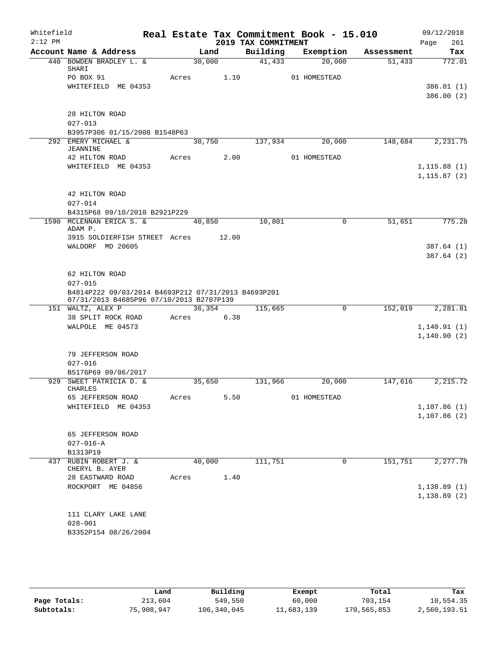| Whitefield<br>$2:12$ PM |                                                                                                 |       |        |       | 2019 TAX COMMITMENT | Real Estate Tax Commitment Book - 15.010 |            | 09/12/2018             |
|-------------------------|-------------------------------------------------------------------------------------------------|-------|--------|-------|---------------------|------------------------------------------|------------|------------------------|
|                         | Account Name & Address                                                                          |       | Land   |       | Building            | Exemption                                | Assessment | Page<br>261<br>Tax     |
|                         | 440 BOWDEN BRADLEY L. &                                                                         |       | 30,000 |       | 41,433              | 20,000                                   | 51,433     | 772.01                 |
|                         | SHARI                                                                                           |       |        |       |                     |                                          |            |                        |
|                         | PO BOX 91                                                                                       | Acres |        | 1.10  |                     | 01 HOMESTEAD                             |            |                        |
|                         | WHITEFIELD ME 04353                                                                             |       |        |       |                     |                                          |            | 386.01(1)<br>386.00(2) |
|                         |                                                                                                 |       |        |       |                     |                                          |            |                        |
|                         | 28 HILTON ROAD                                                                                  |       |        |       |                     |                                          |            |                        |
|                         | $027 - 013$                                                                                     |       |        |       |                     |                                          |            |                        |
|                         | B3957P306 01/15/2008 B1548P63                                                                   |       |        |       |                     |                                          |            |                        |
|                         | 292 EMERY MICHAEL &<br><b>JEANNINE</b>                                                          |       | 30,750 |       | 137,934             | 20,000                                   | 148,684    | 2, 231.75              |
|                         | 42 HILTON ROAD                                                                                  | Acres |        | 2.00  |                     | 01 HOMESTEAD                             |            |                        |
|                         | WHITEFIELD ME 04353                                                                             |       |        |       |                     |                                          |            | 1, 115.88(1)           |
|                         |                                                                                                 |       |        |       |                     |                                          |            | 1, 115.87(2)           |
|                         | 42 HILTON ROAD                                                                                  |       |        |       |                     |                                          |            |                        |
|                         | $027 - 014$                                                                                     |       |        |       |                     |                                          |            |                        |
|                         | B4315P68 09/10/2010 B2921P229                                                                   |       |        |       |                     |                                          |            |                        |
|                         | 1590 MCLENNAN ERICA S. &<br>ADAM P.                                                             |       | 40,850 |       | 10,801              | 0                                        | 51,651     | 775.28                 |
|                         | 3915 SOLDIERFISH STREET Acres                                                                   |       |        | 12.00 |                     |                                          |            |                        |
|                         | WALDORF MD 20605                                                                                |       |        |       |                     |                                          |            | 387.64(1)              |
|                         |                                                                                                 |       |        |       |                     |                                          |            | 387.64 (2)             |
|                         |                                                                                                 |       |        |       |                     |                                          |            |                        |
|                         | 62 HILTON ROAD<br>$027 - 015$                                                                   |       |        |       |                     |                                          |            |                        |
|                         | B4814P222 09/03/2014 B4693P212 07/31/2013 B4693P201<br>07/31/2013 B4685P96 07/10/2013 B2707P139 |       |        |       |                     |                                          |            |                        |
|                         | 151 WALTZ, ALEX P                                                                               |       | 36,354 |       | 115,665             | 0                                        | 152,019    | 2,281.81               |
|                         | 38 SPLIT ROCK ROAD                                                                              | Acres |        | 6.38  |                     |                                          |            |                        |
|                         | WALPOLE ME 04573                                                                                |       |        |       |                     |                                          |            | 1, 140.91(1)           |
|                         |                                                                                                 |       |        |       |                     |                                          |            | 1, 140.90(2)           |
|                         | 79 JEFFERSON ROAD                                                                               |       |        |       |                     |                                          |            |                        |
|                         | $027 - 016$                                                                                     |       |        |       |                     |                                          |            |                        |
|                         | B5176P69 09/06/2017                                                                             |       |        |       |                     |                                          |            |                        |
|                         | 929 SWEET PATRICIA D. &                                                                         |       | 35,650 |       | 131,966             | 20,000                                   | 147,616    | 2, 215.72              |
|                         | CHARLES                                                                                         |       |        |       |                     |                                          |            |                        |
|                         | 65 JEFFERSON ROAD                                                                               | Acres |        | 5.50  |                     | 01 HOMESTEAD                             |            |                        |
|                         | WHITEFIELD ME 04353                                                                             |       |        |       |                     |                                          |            | 1,107.86(1)            |
|                         |                                                                                                 |       |        |       |                     |                                          |            | 1,107.86(2)            |
|                         | 65 JEFFERSON ROAD                                                                               |       |        |       |                     |                                          |            |                        |
|                         | $027 - 016 - A$                                                                                 |       |        |       |                     |                                          |            |                        |
|                         | B1313P19                                                                                        |       |        |       |                     |                                          |            |                        |
| 437                     | RUBIN ROBERT J. &                                                                               |       | 40,000 |       | 111,751             | 0                                        | 151,751    | 2,277.78               |
|                         | CHERYL B. AYER                                                                                  |       |        |       |                     |                                          |            |                        |
|                         | 28 EASTWARD ROAD                                                                                | Acres |        | 1.40  |                     |                                          |            |                        |
|                         | ROCKPORT ME 04856                                                                               |       |        |       |                     |                                          |            | 1,138.89(1)            |
|                         |                                                                                                 |       |        |       |                     |                                          |            | 1,138.89(2)            |
|                         |                                                                                                 |       |        |       |                     |                                          |            |                        |
|                         | 111 CLARY LAKE LANE<br>$028 - 001$                                                              |       |        |       |                     |                                          |            |                        |
|                         | B3352P154 08/26/2004                                                                            |       |        |       |                     |                                          |            |                        |
|                         |                                                                                                 |       |        |       |                     |                                          |            |                        |
|                         |                                                                                                 |       |        |       |                     |                                          |            |                        |

|              | Land       | Building    | Exempt     | Total       | Tax          |
|--------------|------------|-------------|------------|-------------|--------------|
| Page Totals: | 213,604    | 549,550     | 60,000     | 703,154     | 10,554.35    |
| Subtotals:   | 75,908,947 | 106,340,045 | 11,683,139 | 170,565,853 | 2,560,193.51 |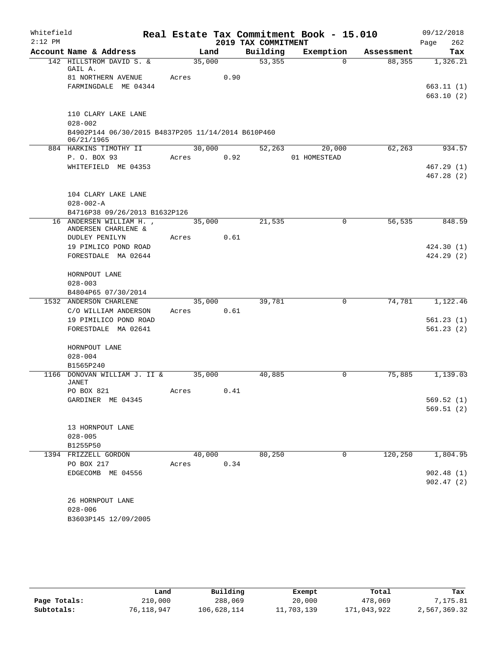| Whitefield |                                                                  |       |        |                     | Real Estate Tax Commitment Book - 15.010 |                      | 09/12/2018             |
|------------|------------------------------------------------------------------|-------|--------|---------------------|------------------------------------------|----------------------|------------------------|
| $2:12$ PM  | Account Name & Address                                           |       | Land   | 2019 TAX COMMITMENT | Exemption                                |                      | 262<br>Page            |
|            | 142 HILLSTROM DAVID S. &                                         |       | 35,000 | Building<br>53,355  | $\Omega$                                 | Assessment<br>88,355 | Tax<br>1,326.21        |
|            | GAIL A.                                                          |       |        |                     |                                          |                      |                        |
|            | 81 NORTHERN AVENUE                                               | Acres | 0.90   |                     |                                          |                      |                        |
|            | FARMINGDALE ME 04344                                             |       |        |                     |                                          |                      | 663.11(1)              |
|            |                                                                  |       |        |                     |                                          |                      | 663.10(2)              |
|            |                                                                  |       |        |                     |                                          |                      |                        |
|            | 110 CLARY LAKE LANE                                              |       |        |                     |                                          |                      |                        |
|            | $028 - 002$                                                      |       |        |                     |                                          |                      |                        |
|            | B4902P144 06/30/2015 B4837P205 11/14/2014 B610P460<br>06/21/1965 |       |        |                     |                                          |                      |                        |
|            | 884 HARKINS TIMOTHY II                                           |       | 30,000 | 52,263              | 20,000                                   | 62,263               | 934.57                 |
|            | P. O. BOX 93                                                     | Acres | 0.92   |                     | 01 HOMESTEAD                             |                      |                        |
|            | WHITEFIELD ME 04353                                              |       |        |                     |                                          |                      | 467.29(1)              |
|            |                                                                  |       |        |                     |                                          |                      | 467.28 (2)             |
|            |                                                                  |       |        |                     |                                          |                      |                        |
|            | 104 CLARY LAKE LANE                                              |       |        |                     |                                          |                      |                        |
|            | $028 - 002 - A$                                                  |       |        |                     |                                          |                      |                        |
|            | B4716P38 09/26/2013 B1632P126<br>16 ANDERSEN WILLIAM H.,         |       | 35,000 | 21,535              | $\mathbf 0$                              | 56,535               | 848.59                 |
|            | ANDERSEN CHARLENE &                                              |       |        |                     |                                          |                      |                        |
|            | DUDLEY PENILYN                                                   | Acres | 0.61   |                     |                                          |                      |                        |
|            | 19 PIMLICO POND ROAD                                             |       |        |                     |                                          |                      | 424.30(1)              |
|            | FORESTDALE MA 02644                                              |       |        |                     |                                          |                      | 424.29(2)              |
|            |                                                                  |       |        |                     |                                          |                      |                        |
|            | HORNPOUT LANE                                                    |       |        |                     |                                          |                      |                        |
|            | $028 - 003$                                                      |       |        |                     |                                          |                      |                        |
|            | B4804P65 07/30/2014<br>1532 ANDERSON CHARLENE                    |       | 35,000 | 39,781              | $\mathbf 0$                              | 74,781               | 1,122.46               |
|            | C/O WILLIAM ANDERSON                                             | Acres | 0.61   |                     |                                          |                      |                        |
|            | 19 PIMILICO POND ROAD                                            |       |        |                     |                                          |                      | 561.23(1)              |
|            | FORESTDALE MA 02641                                              |       |        |                     |                                          |                      | 561.23(2)              |
|            |                                                                  |       |        |                     |                                          |                      |                        |
|            | HORNPOUT LANE                                                    |       |        |                     |                                          |                      |                        |
|            | $028 - 004$                                                      |       |        |                     |                                          |                      |                        |
|            | B1565P240                                                        |       |        |                     |                                          |                      |                        |
|            | 1166 DONOVAN WILLIAM J. II &<br>JANET                            |       | 35,000 | 40,885              | 0                                        | 75,885               | 1,139.03               |
|            | PO BOX 821                                                       | Acres | 0.41   |                     |                                          |                      |                        |
|            | GARDINER ME 04345                                                |       |        |                     |                                          |                      | 569.52 (1)             |
|            |                                                                  |       |        |                     |                                          |                      | 569.51(2)              |
|            |                                                                  |       |        |                     |                                          |                      |                        |
|            | 13 HORNPOUT LANE                                                 |       |        |                     |                                          |                      |                        |
|            | $028 - 005$                                                      |       |        |                     |                                          |                      |                        |
|            | B1255P50                                                         |       |        |                     |                                          |                      |                        |
|            | 1394 FRIZZELL GORDON                                             |       | 40,000 | 80,250              | 0                                        | 120,250              | 1,804.95               |
|            | PO BOX 217                                                       | Acres | 0.34   |                     |                                          |                      |                        |
|            | EDGECOMB ME 04556                                                |       |        |                     |                                          |                      | 902.48(1)<br>902.47(2) |
|            |                                                                  |       |        |                     |                                          |                      |                        |
|            | 26 HORNPOUT LANE                                                 |       |        |                     |                                          |                      |                        |
|            | $028 - 006$                                                      |       |        |                     |                                          |                      |                        |
|            | B3603P145 12/09/2005                                             |       |        |                     |                                          |                      |                        |
|            |                                                                  |       |        |                     |                                          |                      |                        |

|              | Land       | Building    | Exempt     | Total       | Tax          |
|--------------|------------|-------------|------------|-------------|--------------|
| Page Totals: | 210,000    | 288,069     | 20,000     | 478,069     | 7,175.81     |
| Subtotals:   | 76,118,947 | 106,628,114 | 11,703,139 | 171,043,922 | 2,567,369.32 |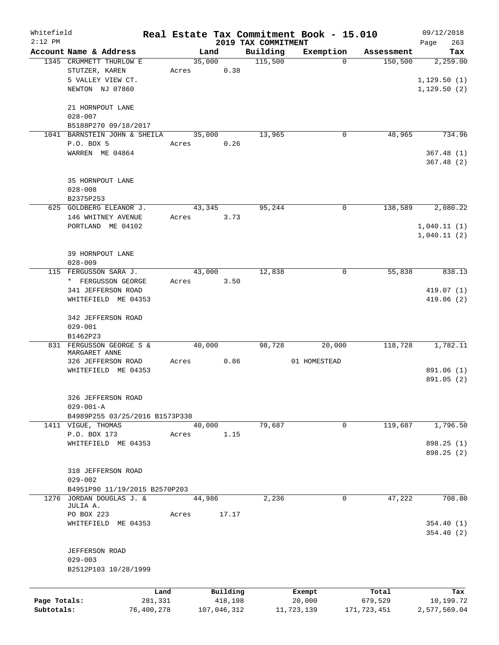| Whitefield   |                                |            |       |                |       |                     | Real Estate Tax Commitment Book - 15.010 |             | 09/12/2018      |
|--------------|--------------------------------|------------|-------|----------------|-------|---------------------|------------------------------------------|-------------|-----------------|
| $2:12$ PM    | Account Name & Address         |            |       |                |       | 2019 TAX COMMITMENT |                                          | Assessment  | 263<br>Page     |
|              | 1345 CRUMMETT THURLOW E        |            |       | Land<br>35,000 |       | Building<br>115,500 | Exemption<br>$\Omega$                    | 150, 500    | Tax<br>2,259.00 |
|              | STUTZER, KAREN                 |            | Acres |                | 0.38  |                     |                                          |             |                 |
|              | 5 VALLEY VIEW CT.              |            |       |                |       |                     |                                          |             | 1, 129.50(1)    |
|              | NEWTON NJ 07860                |            |       |                |       |                     |                                          |             | 1,129.50(2)     |
|              |                                |            |       |                |       |                     |                                          |             |                 |
|              | 21 HORNPOUT LANE               |            |       |                |       |                     |                                          |             |                 |
|              | $028 - 007$                    |            |       |                |       |                     |                                          |             |                 |
|              | B5188P270 09/18/2017           |            |       |                |       |                     |                                          |             |                 |
|              | 1041 BARNSTEIN JOHN & SHEILA   |            |       | 35,000         |       | 13,965              | 0                                        | 48,965      | 734.96          |
|              | P.O. BOX 5                     |            | Acres |                | 0.26  |                     |                                          |             |                 |
|              | WARREN ME 04864                |            |       |                |       |                     |                                          |             | 367.48(1)       |
|              |                                |            |       |                |       |                     |                                          |             | 367.48(2)       |
|              |                                |            |       |                |       |                     |                                          |             |                 |
|              | 35 HORNPOUT LANE               |            |       |                |       |                     |                                          |             |                 |
|              | $028 - 008$                    |            |       |                |       |                     |                                          |             |                 |
|              | B2375P253                      |            |       |                |       |                     |                                          |             |                 |
|              | 625 GOLDBERG ELEANOR J.        |            |       | 43,345         |       | 95,244              | 0                                        | 138,589     | 2,080.22        |
|              | 146 WHITNEY AVENUE             |            | Acres |                | 3.73  |                     |                                          |             |                 |
|              | PORTLAND ME 04102              |            |       |                |       |                     |                                          |             | 1,040.11(1)     |
|              |                                |            |       |                |       |                     |                                          |             | 1,040.11(2)     |
|              | 39 HORNPOUT LANE               |            |       |                |       |                     |                                          |             |                 |
|              | $028 - 009$                    |            |       |                |       |                     |                                          |             |                 |
|              | 115 FERGUSSON SARA J.          |            |       | 43,000         |       | 12,838              | 0                                        | 55,838      | 838.13          |
|              | * FERGUSSON GEORGE             |            | Acres |                | 3.50  |                     |                                          |             |                 |
|              | 341 JEFFERSON ROAD             |            |       |                |       |                     |                                          |             | 419.07(1)       |
|              | WHITEFIELD ME 04353            |            |       |                |       |                     |                                          |             | 419.06(2)       |
|              |                                |            |       |                |       |                     |                                          |             |                 |
|              | 342 JEFFERSON ROAD             |            |       |                |       |                     |                                          |             |                 |
|              | $029 - 001$                    |            |       |                |       |                     |                                          |             |                 |
|              | B1462P23                       |            |       |                |       |                     |                                          |             |                 |
|              | 831 FERGUSSON GEORGE S &       |            |       | 40,000         |       | 98,728              | 20,000                                   | 118,728     | 1,782.11        |
|              | MARGARET ANNE                  |            |       |                |       |                     |                                          |             |                 |
|              | 326 JEFFERSON ROAD             |            | Acres |                | 0.86  |                     | 01 HOMESTEAD                             |             |                 |
|              | WHITEFIELD ME 04353            |            |       |                |       |                     |                                          |             | 891.06 (1)      |
|              |                                |            |       |                |       |                     |                                          |             | 891.05 (2)      |
|              | 326 JEFFERSON ROAD             |            |       |                |       |                     |                                          |             |                 |
|              | $029 - 001 - A$                |            |       |                |       |                     |                                          |             |                 |
|              | B4989P255 03/25/2016 B1573P330 |            |       |                |       |                     |                                          |             |                 |
|              | 1411 VIGUE, THOMAS             |            |       | 40,000         |       | 79,687              | 0                                        | 119,687     | 1,796.50        |
|              | P.O. BOX 173                   |            | Acres |                | 1.15  |                     |                                          |             |                 |
|              | WHITEFIELD ME 04353            |            |       |                |       |                     |                                          |             | 898.25 (1)      |
|              |                                |            |       |                |       |                     |                                          |             | 898.25 (2)      |
|              |                                |            |       |                |       |                     |                                          |             |                 |
|              | 318 JEFFERSON ROAD             |            |       |                |       |                     |                                          |             |                 |
|              | $029 - 002$                    |            |       |                |       |                     |                                          |             |                 |
|              | B4951P90 11/19/2015 B2570P203  |            |       |                |       |                     |                                          |             |                 |
|              | 1276 JORDAN DOUGLAS J. &       |            |       | 44,986         |       | 2,236               | 0                                        | 47,222      | 708.80          |
|              | JULIA A.<br>PO BOX 223         |            | Acres |                | 17.17 |                     |                                          |             |                 |
|              | WHITEFIELD ME 04353            |            |       |                |       |                     |                                          |             | 354.40(1)       |
|              |                                |            |       |                |       |                     |                                          |             | 354.40(2)       |
|              |                                |            |       |                |       |                     |                                          |             |                 |
|              | <b>JEFFERSON ROAD</b>          |            |       |                |       |                     |                                          |             |                 |
|              | $029 - 003$                    |            |       |                |       |                     |                                          |             |                 |
|              | B2512P103 10/28/1999           |            |       |                |       |                     |                                          |             |                 |
|              |                                |            |       |                |       |                     |                                          |             |                 |
|              |                                | Land       |       | Building       |       |                     | Exempt                                   | Total       | Tax             |
| Page Totals: |                                | 281,331    |       | 418,198        |       |                     | 20,000                                   | 679,529     | 10,199.72       |
| Subtotals:   |                                | 76,400,278 |       | 107,046,312    |       |                     | 11,723,139                               | 171,723,451 | 2,577,569.04    |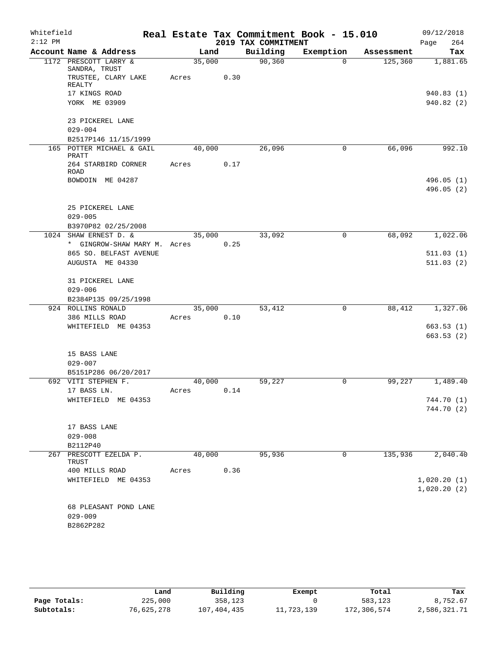| 2019 TAX COMMITMENT<br>Account Name & Address<br>Building<br>Exemption<br>Land<br>Assessment<br>Tax<br>90, 360<br>1172 PRESCOTT LARRY &<br>35,000<br>125,360<br>$\Omega$<br>SANDRA, TRUST<br>TRUSTEE, CLARY LAKE<br>0.30<br>Acres<br>REALTY<br>17 KINGS ROAD<br>YORK ME 03909<br>23 PICKEREL LANE<br>$029 - 004$<br>B2517P146 11/15/1999<br>165 POTTER MICHAEL & GAIL<br>40,000<br>26,096<br>66,096<br>0<br>PRATT<br>264 STARBIRD CORNER<br>0.17<br>Acres<br>ROAD<br>BOWDOIN ME 04287<br>25 PICKEREL LANE<br>$029 - 005$<br>B3970P82 02/25/2008<br>1024 SHAW ERNEST D. &<br>33,092<br>68,092<br>35,000<br>0<br>* GINGROW-SHAW MARY M. Acres<br>0.25<br>865 SO. BELFAST AVENUE<br>AUGUSTA ME 04330<br>31 PICKEREL LANE<br>$029 - 006$<br>B2384P135 09/25/1998<br>924 ROLLINS RONALD<br>35,000<br>53,412<br>88,412<br>$\mathbf 0$<br>386 MILLS ROAD<br>0.10<br>Acres<br>WHITEFIELD ME 04353<br>15 BASS LANE<br>$029 - 007$<br>B5151P286 06/20/2017<br>692 VITI STEPHEN F.<br>40,000<br>59,227<br>0<br>99,227<br>1,489.40<br>17 BASS LN.<br>0.14<br>Acres<br>WHITEFIELD ME 04353<br>17 BASS LANE<br>$029 - 008$<br>B2112P40<br>40,000<br>95,936<br>135,936<br>267 PRESCOTT EZELDA P.<br>0<br>TRUST<br>0.36<br>400 MILLS ROAD<br>Acres<br>WHITEFIELD ME 04353<br>68 PLEASANT POND LANE<br>$029 - 009$<br>B2862P282 | Whitefield |  |  | Real Estate Tax Commitment Book - 15.010 | 09/12/2018  |
|----------------------------------------------------------------------------------------------------------------------------------------------------------------------------------------------------------------------------------------------------------------------------------------------------------------------------------------------------------------------------------------------------------------------------------------------------------------------------------------------------------------------------------------------------------------------------------------------------------------------------------------------------------------------------------------------------------------------------------------------------------------------------------------------------------------------------------------------------------------------------------------------------------------------------------------------------------------------------------------------------------------------------------------------------------------------------------------------------------------------------------------------------------------------------------------------------------------------------------------------------------------------------------------------------------------|------------|--|--|------------------------------------------|-------------|
| 1,881.65<br>940.83(1)<br>940.82(2)<br>992.10<br>496.05(1)<br>496.05 (2)<br>1,022.06<br>511.03(1)<br>511.03(2)<br>1,327.06<br>663.53(1)<br>663.53(2)<br>744.70 (2)<br>2,040.40<br>1,020.20(1)<br>1,020.20(2)                                                                                                                                                                                                                                                                                                                                                                                                                                                                                                                                                                                                                                                                                                                                                                                                                                                                                                                                                                                                                                                                                                    | $2:12$ PM  |  |  |                                          | 264<br>Page |
|                                                                                                                                                                                                                                                                                                                                                                                                                                                                                                                                                                                                                                                                                                                                                                                                                                                                                                                                                                                                                                                                                                                                                                                                                                                                                                                |            |  |  |                                          |             |
|                                                                                                                                                                                                                                                                                                                                                                                                                                                                                                                                                                                                                                                                                                                                                                                                                                                                                                                                                                                                                                                                                                                                                                                                                                                                                                                |            |  |  |                                          |             |
|                                                                                                                                                                                                                                                                                                                                                                                                                                                                                                                                                                                                                                                                                                                                                                                                                                                                                                                                                                                                                                                                                                                                                                                                                                                                                                                |            |  |  |                                          |             |
|                                                                                                                                                                                                                                                                                                                                                                                                                                                                                                                                                                                                                                                                                                                                                                                                                                                                                                                                                                                                                                                                                                                                                                                                                                                                                                                |            |  |  |                                          |             |
|                                                                                                                                                                                                                                                                                                                                                                                                                                                                                                                                                                                                                                                                                                                                                                                                                                                                                                                                                                                                                                                                                                                                                                                                                                                                                                                |            |  |  |                                          |             |
|                                                                                                                                                                                                                                                                                                                                                                                                                                                                                                                                                                                                                                                                                                                                                                                                                                                                                                                                                                                                                                                                                                                                                                                                                                                                                                                |            |  |  |                                          |             |
|                                                                                                                                                                                                                                                                                                                                                                                                                                                                                                                                                                                                                                                                                                                                                                                                                                                                                                                                                                                                                                                                                                                                                                                                                                                                                                                |            |  |  |                                          |             |
|                                                                                                                                                                                                                                                                                                                                                                                                                                                                                                                                                                                                                                                                                                                                                                                                                                                                                                                                                                                                                                                                                                                                                                                                                                                                                                                |            |  |  |                                          |             |
| 744.70 (1)                                                                                                                                                                                                                                                                                                                                                                                                                                                                                                                                                                                                                                                                                                                                                                                                                                                                                                                                                                                                                                                                                                                                                                                                                                                                                                     |            |  |  |                                          |             |
|                                                                                                                                                                                                                                                                                                                                                                                                                                                                                                                                                                                                                                                                                                                                                                                                                                                                                                                                                                                                                                                                                                                                                                                                                                                                                                                |            |  |  |                                          |             |
|                                                                                                                                                                                                                                                                                                                                                                                                                                                                                                                                                                                                                                                                                                                                                                                                                                                                                                                                                                                                                                                                                                                                                                                                                                                                                                                |            |  |  |                                          |             |
|                                                                                                                                                                                                                                                                                                                                                                                                                                                                                                                                                                                                                                                                                                                                                                                                                                                                                                                                                                                                                                                                                                                                                                                                                                                                                                                |            |  |  |                                          |             |
|                                                                                                                                                                                                                                                                                                                                                                                                                                                                                                                                                                                                                                                                                                                                                                                                                                                                                                                                                                                                                                                                                                                                                                                                                                                                                                                |            |  |  |                                          |             |
|                                                                                                                                                                                                                                                                                                                                                                                                                                                                                                                                                                                                                                                                                                                                                                                                                                                                                                                                                                                                                                                                                                                                                                                                                                                                                                                |            |  |  |                                          |             |
|                                                                                                                                                                                                                                                                                                                                                                                                                                                                                                                                                                                                                                                                                                                                                                                                                                                                                                                                                                                                                                                                                                                                                                                                                                                                                                                |            |  |  |                                          |             |
|                                                                                                                                                                                                                                                                                                                                                                                                                                                                                                                                                                                                                                                                                                                                                                                                                                                                                                                                                                                                                                                                                                                                                                                                                                                                                                                |            |  |  |                                          |             |
|                                                                                                                                                                                                                                                                                                                                                                                                                                                                                                                                                                                                                                                                                                                                                                                                                                                                                                                                                                                                                                                                                                                                                                                                                                                                                                                |            |  |  |                                          |             |
|                                                                                                                                                                                                                                                                                                                                                                                                                                                                                                                                                                                                                                                                                                                                                                                                                                                                                                                                                                                                                                                                                                                                                                                                                                                                                                                |            |  |  |                                          |             |
|                                                                                                                                                                                                                                                                                                                                                                                                                                                                                                                                                                                                                                                                                                                                                                                                                                                                                                                                                                                                                                                                                                                                                                                                                                                                                                                |            |  |  |                                          |             |
|                                                                                                                                                                                                                                                                                                                                                                                                                                                                                                                                                                                                                                                                                                                                                                                                                                                                                                                                                                                                                                                                                                                                                                                                                                                                                                                |            |  |  |                                          |             |
|                                                                                                                                                                                                                                                                                                                                                                                                                                                                                                                                                                                                                                                                                                                                                                                                                                                                                                                                                                                                                                                                                                                                                                                                                                                                                                                |            |  |  |                                          |             |
|                                                                                                                                                                                                                                                                                                                                                                                                                                                                                                                                                                                                                                                                                                                                                                                                                                                                                                                                                                                                                                                                                                                                                                                                                                                                                                                |            |  |  |                                          |             |
|                                                                                                                                                                                                                                                                                                                                                                                                                                                                                                                                                                                                                                                                                                                                                                                                                                                                                                                                                                                                                                                                                                                                                                                                                                                                                                                |            |  |  |                                          |             |
|                                                                                                                                                                                                                                                                                                                                                                                                                                                                                                                                                                                                                                                                                                                                                                                                                                                                                                                                                                                                                                                                                                                                                                                                                                                                                                                |            |  |  |                                          |             |
|                                                                                                                                                                                                                                                                                                                                                                                                                                                                                                                                                                                                                                                                                                                                                                                                                                                                                                                                                                                                                                                                                                                                                                                                                                                                                                                |            |  |  |                                          |             |
|                                                                                                                                                                                                                                                                                                                                                                                                                                                                                                                                                                                                                                                                                                                                                                                                                                                                                                                                                                                                                                                                                                                                                                                                                                                                                                                |            |  |  |                                          |             |
|                                                                                                                                                                                                                                                                                                                                                                                                                                                                                                                                                                                                                                                                                                                                                                                                                                                                                                                                                                                                                                                                                                                                                                                                                                                                                                                |            |  |  |                                          |             |
|                                                                                                                                                                                                                                                                                                                                                                                                                                                                                                                                                                                                                                                                                                                                                                                                                                                                                                                                                                                                                                                                                                                                                                                                                                                                                                                |            |  |  |                                          |             |
|                                                                                                                                                                                                                                                                                                                                                                                                                                                                                                                                                                                                                                                                                                                                                                                                                                                                                                                                                                                                                                                                                                                                                                                                                                                                                                                |            |  |  |                                          |             |
|                                                                                                                                                                                                                                                                                                                                                                                                                                                                                                                                                                                                                                                                                                                                                                                                                                                                                                                                                                                                                                                                                                                                                                                                                                                                                                                |            |  |  |                                          |             |
|                                                                                                                                                                                                                                                                                                                                                                                                                                                                                                                                                                                                                                                                                                                                                                                                                                                                                                                                                                                                                                                                                                                                                                                                                                                                                                                |            |  |  |                                          |             |
|                                                                                                                                                                                                                                                                                                                                                                                                                                                                                                                                                                                                                                                                                                                                                                                                                                                                                                                                                                                                                                                                                                                                                                                                                                                                                                                |            |  |  |                                          |             |
|                                                                                                                                                                                                                                                                                                                                                                                                                                                                                                                                                                                                                                                                                                                                                                                                                                                                                                                                                                                                                                                                                                                                                                                                                                                                                                                |            |  |  |                                          |             |
|                                                                                                                                                                                                                                                                                                                                                                                                                                                                                                                                                                                                                                                                                                                                                                                                                                                                                                                                                                                                                                                                                                                                                                                                                                                                                                                |            |  |  |                                          |             |
|                                                                                                                                                                                                                                                                                                                                                                                                                                                                                                                                                                                                                                                                                                                                                                                                                                                                                                                                                                                                                                                                                                                                                                                                                                                                                                                |            |  |  |                                          |             |
|                                                                                                                                                                                                                                                                                                                                                                                                                                                                                                                                                                                                                                                                                                                                                                                                                                                                                                                                                                                                                                                                                                                                                                                                                                                                                                                |            |  |  |                                          |             |
|                                                                                                                                                                                                                                                                                                                                                                                                                                                                                                                                                                                                                                                                                                                                                                                                                                                                                                                                                                                                                                                                                                                                                                                                                                                                                                                |            |  |  |                                          |             |
|                                                                                                                                                                                                                                                                                                                                                                                                                                                                                                                                                                                                                                                                                                                                                                                                                                                                                                                                                                                                                                                                                                                                                                                                                                                                                                                |            |  |  |                                          |             |
|                                                                                                                                                                                                                                                                                                                                                                                                                                                                                                                                                                                                                                                                                                                                                                                                                                                                                                                                                                                                                                                                                                                                                                                                                                                                                                                |            |  |  |                                          |             |
|                                                                                                                                                                                                                                                                                                                                                                                                                                                                                                                                                                                                                                                                                                                                                                                                                                                                                                                                                                                                                                                                                                                                                                                                                                                                                                                |            |  |  |                                          |             |
|                                                                                                                                                                                                                                                                                                                                                                                                                                                                                                                                                                                                                                                                                                                                                                                                                                                                                                                                                                                                                                                                                                                                                                                                                                                                                                                |            |  |  |                                          |             |
|                                                                                                                                                                                                                                                                                                                                                                                                                                                                                                                                                                                                                                                                                                                                                                                                                                                                                                                                                                                                                                                                                                                                                                                                                                                                                                                |            |  |  |                                          |             |
|                                                                                                                                                                                                                                                                                                                                                                                                                                                                                                                                                                                                                                                                                                                                                                                                                                                                                                                                                                                                                                                                                                                                                                                                                                                                                                                |            |  |  |                                          |             |
|                                                                                                                                                                                                                                                                                                                                                                                                                                                                                                                                                                                                                                                                                                                                                                                                                                                                                                                                                                                                                                                                                                                                                                                                                                                                                                                |            |  |  |                                          |             |
|                                                                                                                                                                                                                                                                                                                                                                                                                                                                                                                                                                                                                                                                                                                                                                                                                                                                                                                                                                                                                                                                                                                                                                                                                                                                                                                |            |  |  |                                          |             |
|                                                                                                                                                                                                                                                                                                                                                                                                                                                                                                                                                                                                                                                                                                                                                                                                                                                                                                                                                                                                                                                                                                                                                                                                                                                                                                                |            |  |  |                                          |             |

|              | Land       | Building    | Exempt     | Total       | Tax          |
|--------------|------------|-------------|------------|-------------|--------------|
| Page Totals: | 225,000    | 358,123     |            | 583,123     | 8,752.67     |
| Subtotals:   | 76,625,278 | 107,404,435 | 11,723,139 | 172,306,574 | 2,586,321.71 |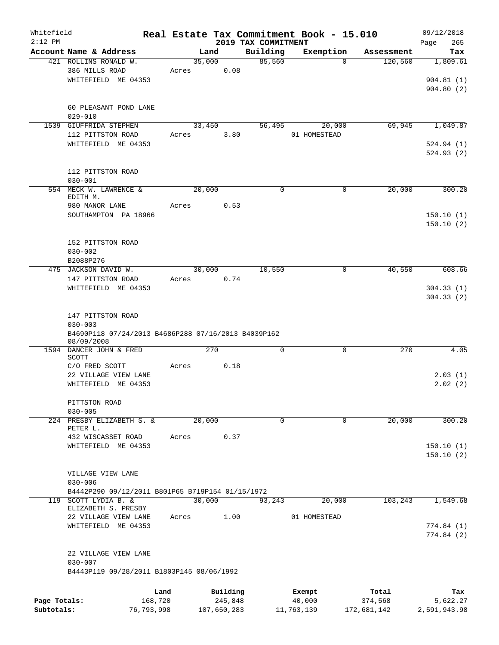| Whitefield<br>$2:12$ PM |                                                                                                       |       |             |                     | 2019 TAX COMMITMENT | Real Estate Tax Commitment Book - 15.010 |                  | 09/12/2018<br>265<br>Page |
|-------------------------|-------------------------------------------------------------------------------------------------------|-------|-------------|---------------------|---------------------|------------------------------------------|------------------|---------------------------|
|                         | Account Name & Address                                                                                |       | Land        |                     | Building            | Exemption                                | Assessment       | Tax                       |
|                         | 421 ROLLINS RONALD W.<br>386 MILLS ROAD                                                               | Acres | 35,000      | 0.08                | 85,560              | $\Omega$                                 | 120,560          | 1,809.61                  |
|                         | WHITEFIELD ME 04353                                                                                   |       |             |                     |                     |                                          |                  | 904.81(1)<br>904.80(2)    |
|                         | 60 PLEASANT POND LANE<br>$029 - 010$                                                                  |       |             |                     |                     |                                          |                  |                           |
|                         | 1539 GIUFFRIDA STEPHEN<br>112 PITTSTON ROAD                                                           | Acres | 33,450      | 3.80                | 56,495              | 20,000<br>01 HOMESTEAD                   | 69,945           | 1,049.87                  |
|                         | WHITEFIELD ME 04353                                                                                   |       |             |                     |                     |                                          |                  | 524.94(1)<br>524.93(2)    |
|                         | 112 PITTSTON ROAD<br>$030 - 001$                                                                      |       |             |                     |                     |                                          |                  |                           |
|                         | 554 MECK W. LAWRENCE &<br>EDITH M.                                                                    |       | 20,000      |                     | $\Omega$            | $\mathbf 0$                              | 20,000           | 300.20                    |
|                         | 980 MANOR LANE<br>SOUTHAMPTON PA 18966                                                                | Acres |             | 0.53                |                     |                                          |                  | 150.10(1)<br>150.10(2)    |
|                         | 152 PITTSTON ROAD<br>$030 - 002$<br>B2088P276                                                         |       |             |                     |                     |                                          |                  |                           |
|                         | 475 JACKSON DAVID W.                                                                                  |       | 30,000      |                     | 10,550              | $\mathbf 0$                              | 40,550           | 608.66                    |
|                         | 147 PITTSTON ROAD<br>WHITEFIELD ME 04353                                                              | Acres |             | 0.74                |                     |                                          |                  | 304.33(1)<br>304.33(2)    |
|                         | 147 PITTSTON ROAD<br>$030 - 003$<br>B4690P118 07/24/2013 B4686P288 07/16/2013 B4039P162<br>08/09/2008 |       |             |                     |                     |                                          |                  |                           |
|                         | 1594 DANCER JOHN & FRED<br>SCOTT                                                                      |       | 270         |                     | 0                   | $\mathsf{O}$                             | 270              | 4.05                      |
|                         | C/O FRED SCOTT                                                                                        | Acres |             | 0.18                |                     |                                          |                  |                           |
|                         | 22 VILLAGE VIEW LANE<br>WHITEFIELD ME 04353                                                           |       |             |                     |                     |                                          |                  | 2.03(1)<br>2.02(2)        |
|                         | PITTSTON ROAD<br>$030 - 005$                                                                          |       |             |                     |                     |                                          |                  |                           |
|                         | 224 PRESBY ELIZABETH S. &<br>PETER L.                                                                 |       | 20,000      |                     | $\Omega$            | 0                                        | 20,000           | 300.20                    |
|                         | 432 WISCASSET ROAD                                                                                    | Acres |             | 0.37                |                     |                                          |                  |                           |
|                         | WHITEFIELD ME 04353                                                                                   |       |             |                     |                     |                                          |                  | 150.10(1)<br>150.10(2)    |
|                         | VILLAGE VIEW LANE<br>$030 - 006$                                                                      |       |             |                     |                     |                                          |                  |                           |
|                         | B4442P290 09/12/2011 B801P65 B719P154 01/15/1972                                                      |       |             |                     |                     |                                          |                  |                           |
| 119                     | SCOTT LYDIA B. &<br>ELIZABETH S. PRESBY                                                               |       | 30,000      |                     | 93,243              | 20,000                                   | 103,243          | 1,549.68                  |
|                         | 22 VILLAGE VIEW LANE<br>WHITEFIELD ME 04353                                                           | Acres |             | 1.00                |                     | 01 HOMESTEAD                             |                  | 774.84(1)<br>774.84(2)    |
|                         | 22 VILLAGE VIEW LANE<br>$030 - 007$                                                                   |       |             |                     |                     |                                          |                  |                           |
|                         | B4443P119 09/28/2011 B1803P145 08/06/1992                                                             |       |             |                     |                     |                                          |                  |                           |
| Page Totals:            | 168,720                                                                                               | Land  |             | Building<br>245,848 |                     | Exempt<br>40,000                         | Total<br>374,568 | Tax<br>5,622.27           |
| Subtotals:              | 76,793,998                                                                                            |       | 107,650,283 |                     |                     | 11,763,139                               | 172,681,142      | 2,591,943.98              |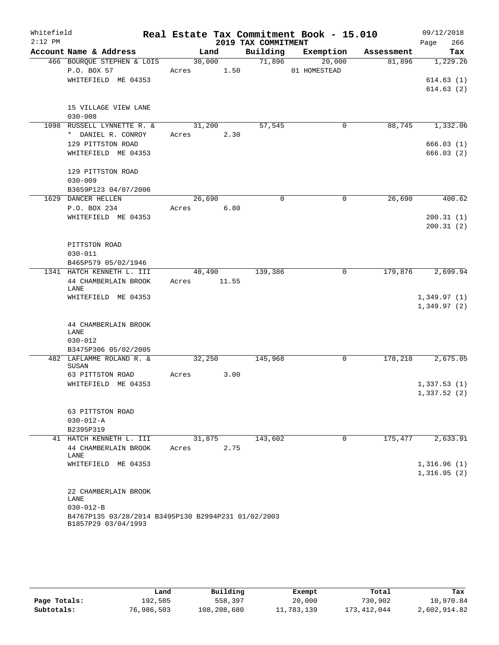| Whitefield<br>$2:12$ PM |                                                     |        |             | 2019 TAX COMMITMENT | Real Estate Tax Commitment Book - 15.010 |                               | 09/12/2018<br>266<br>Page  |
|-------------------------|-----------------------------------------------------|--------|-------------|---------------------|------------------------------------------|-------------------------------|----------------------------|
|                         | Account Name & Address                              |        | Land        |                     |                                          | Building Exemption Assessment | Tax                        |
|                         | 466 BOURQUE STEPHEN & LOIS                          | 30,000 |             | 71,896              | 20,000                                   | 81,896                        | 1,229.26                   |
|                         | P.O. BOX 57                                         |        | Acres 1.50  |                     | 01 HOMESTEAD                             |                               |                            |
|                         | WHITEFIELD ME 04353                                 |        |             |                     |                                          |                               | 614.63(1)                  |
|                         |                                                     |        |             |                     |                                          |                               | 614.63(2)                  |
|                         | 15 VILLAGE VIEW LANE                                |        |             |                     |                                          |                               |                            |
|                         | $030 - 008$                                         |        |             |                     |                                          |                               |                            |
|                         | 1098 RUSSELL LYNNETTE R. &                          |        | 31,200      | 57,545              | 0                                        | 88,745                        | 1,332.06                   |
|                         | * DANIEL R. CONROY                                  |        | Acres 2.30  |                     |                                          |                               |                            |
|                         | 129 PITTSTON ROAD                                   |        |             |                     |                                          |                               | 666.03(1)                  |
|                         | WHITEFIELD ME 04353                                 |        |             |                     |                                          |                               | 666.03(2)                  |
|                         | 129 PITTSTON ROAD                                   |        |             |                     |                                          |                               |                            |
|                         | $030 - 009$                                         |        |             |                     |                                          |                               |                            |
|                         | B3659P123 04/07/2006                                |        |             |                     |                                          |                               |                            |
|                         | 1629 DANCER HELLEN                                  |        | 26,690      | $\Omega$            | $\mathbf 0$                              | 26,690                        | 400.62                     |
|                         | P.O. BOX 234                                        |        | Acres 6.80  |                     |                                          |                               |                            |
|                         | WHITEFIELD ME 04353                                 |        |             |                     |                                          |                               | 200.31(1)                  |
|                         |                                                     |        |             |                     |                                          |                               | 200.31(2)                  |
|                         | PITTSTON ROAD                                       |        |             |                     |                                          |                               |                            |
|                         | $030 - 011$                                         |        |             |                     |                                          |                               |                            |
|                         | B465P579 05/02/1946                                 |        |             |                     |                                          |                               |                            |
|                         | 1341 HATCH KENNETH L. III                           |        | 40,490      | 139,386             | 0                                        | 179,876                       | 2,699.94                   |
|                         | 44 CHAMBERLAIN BROOK<br>LANE                        |        | Acres 11.55 |                     |                                          |                               |                            |
|                         | WHITEFIELD ME 04353                                 |        |             |                     |                                          |                               | 1,349.97(1)                |
|                         |                                                     |        |             |                     |                                          |                               | 1,349.97(2)                |
|                         |                                                     |        |             |                     |                                          |                               |                            |
|                         | 44 CHAMBERLAIN BROOK<br>LANE                        |        |             |                     |                                          |                               |                            |
|                         | $030 - 012$                                         |        |             |                     |                                          |                               |                            |
|                         | B3475P306 05/02/2005                                |        |             |                     |                                          |                               |                            |
|                         | 482 LAFLAMME ROLAND R. &                            |        | 32,250      | 145,968             | 0                                        | 178,218                       | 2,675.05                   |
|                         | SUSAN                                               |        |             |                     |                                          |                               |                            |
|                         | 63 PITTSTON ROAD<br>WHITEFIELD ME 04353             | Acres  | 3.00        |                     |                                          |                               |                            |
|                         |                                                     |        |             |                     |                                          |                               | 1,337.53(1)<br>1,337.52(2) |
|                         |                                                     |        |             |                     |                                          |                               |                            |
|                         | 63 PITTSTON ROAD                                    |        |             |                     |                                          |                               |                            |
|                         | $030 - 012 - A$                                     |        |             |                     |                                          |                               |                            |
|                         | B2395P319                                           |        |             |                     |                                          |                               |                            |
|                         | 41 HATCH KENNETH L. III                             |        | 31,875      | 143,602             | 0                                        | 175,477                       | 2,633.91                   |
|                         | 44 CHAMBERLAIN BROOK<br>LANE                        | Acres  | 2.75        |                     |                                          |                               |                            |
|                         | WHITEFIELD ME 04353                                 |        |             |                     |                                          |                               | 1,316.96(1)                |
|                         |                                                     |        |             |                     |                                          |                               | 1,316.95(2)                |
|                         |                                                     |        |             |                     |                                          |                               |                            |
|                         | 22 CHAMBERLAIN BROOK<br>LANE                        |        |             |                     |                                          |                               |                            |
|                         | $030 - 012 - B$                                     |        |             |                     |                                          |                               |                            |
|                         | B4767P135 03/28/2014 B3495P130 B2994P231 01/02/2003 |        |             |                     |                                          |                               |                            |
|                         | B1857P29 03/04/1993                                 |        |             |                     |                                          |                               |                            |

|              | Land       | Building    | Exempt     | Total       | Tax          |
|--------------|------------|-------------|------------|-------------|--------------|
| Page Totals: | 192,505    | 558,397     | 20,000     | 730,902     | 10,970.84    |
| Subtotals:   | 76,986,503 | 108,208,680 | 11,783,139 | 173,412,044 | 2,602,914.82 |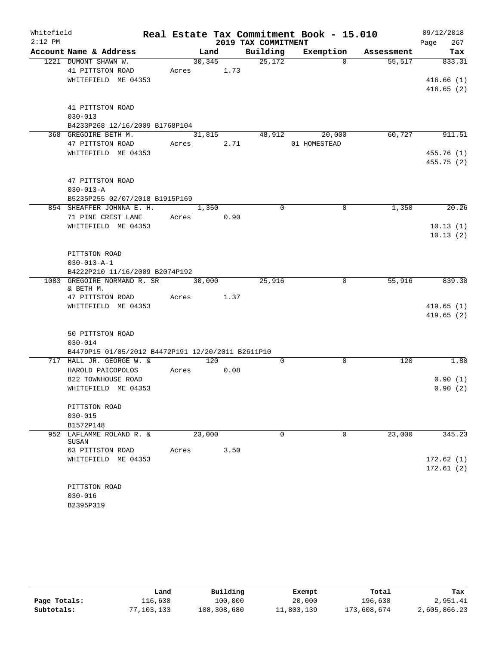| Whitefield<br>$2:12$ PM |                                                   |        |                 |                     | Real Estate Tax Commitment Book - 15.010 |            | 09/12/2018  |
|-------------------------|---------------------------------------------------|--------|-----------------|---------------------|------------------------------------------|------------|-------------|
|                         | Account Name & Address                            |        | Land            | 2019 TAX COMMITMENT |                                          |            | 267<br>Page |
|                         | 1221 DUMONT SHAWN W.                              |        |                 | Building            | Exemption<br>$\Omega$                    | Assessment | Tax         |
|                         | 41 PITTSTON ROAD                                  | Acres  | 30, 345<br>1.73 | 25,172              |                                          | 55,517     | 833.31      |
|                         | WHITEFIELD ME 04353                               |        |                 |                     |                                          |            | 416.66(1)   |
|                         |                                                   |        |                 |                     |                                          |            | 416.65(2)   |
|                         | 41 PITTSTON ROAD                                  |        |                 |                     |                                          |            |             |
|                         | $030 - 013$                                       |        |                 |                     |                                          |            |             |
|                         | B4233P268 12/16/2009 B1768P104                    |        |                 |                     |                                          |            |             |
|                         | 368 GREGOIRE BETH M.                              |        | 31,815          | 48,912              | 20,000                                   | 60,727     | 911.51      |
|                         | 47 PITTSTON ROAD                                  | Acres  | 2.71            |                     | 01 HOMESTEAD                             |            |             |
|                         | WHITEFIELD ME 04353                               |        |                 |                     |                                          |            | 455.76(1)   |
|                         |                                                   |        |                 |                     |                                          |            | 455.75(2)   |
|                         | 47 PITTSTON ROAD                                  |        |                 |                     |                                          |            |             |
|                         | $030 - 013 - A$                                   |        |                 |                     |                                          |            |             |
|                         | B5235P255 02/07/2018 B1915P169                    |        |                 |                     |                                          |            |             |
|                         | 854 SHEAFFER JOHNNA E. H.                         |        | 1,350           | $\Omega$            | $\Omega$                                 | 1,350      | 20.26       |
|                         | 71 PINE CREST LANE                                | Acres  | 0.90            |                     |                                          |            |             |
|                         | WHITEFIELD ME 04353                               |        |                 |                     |                                          |            | 10.13(1)    |
|                         |                                                   |        |                 |                     |                                          |            | 10.13(2)    |
|                         | PITTSTON ROAD                                     |        |                 |                     |                                          |            |             |
|                         | $030 - 013 - A - 1$                               |        |                 |                     |                                          |            |             |
|                         | B4222P210 11/16/2009 B2074P192                    |        |                 |                     |                                          |            |             |
|                         | 1083 GREGOIRE NORMAND R. SR<br>& BETH M.          | 30,000 |                 | 25,916              | $\mathbf 0$                              | 55,916     | 839.30      |
|                         | 47 PITTSTON ROAD                                  | Acres  | 1.37            |                     |                                          |            |             |
|                         | WHITEFIELD ME 04353                               |        |                 |                     |                                          |            | 419.65(1)   |
|                         |                                                   |        |                 |                     |                                          |            | 419.65(2)   |
|                         | 50 PITTSTON ROAD                                  |        |                 |                     |                                          |            |             |
|                         | $030 - 014$                                       |        |                 |                     |                                          |            |             |
|                         | B4479P15 01/05/2012 B4472P191 12/20/2011 B2611P10 |        |                 |                     |                                          |            |             |
|                         | 717 HALL JR. GEORGE W. &                          |        | 120             | 0                   | $\mathbf 0$                              | 120        | 1.80        |
|                         | HAROLD PAICOPOLOS                                 | Acres  | 0.08            |                     |                                          |            |             |
|                         | 822 TOWNHOUSE ROAD                                |        |                 |                     |                                          |            | 0.90(1)     |
|                         | WHITEFIELD ME 04353                               |        |                 |                     |                                          |            | 0.90(2)     |
|                         | PITTSTON ROAD                                     |        |                 |                     |                                          |            |             |
|                         | $030 - 015$                                       |        |                 |                     |                                          |            |             |
|                         | B1572P148                                         |        |                 |                     |                                          |            |             |
|                         | 952 LAFLAMME ROLAND R. &<br>SUSAN                 | 23,000 |                 | $\Omega$            | $\mathbf 0$                              | 23,000     | 345.23      |
|                         | 63 PITTSTON ROAD                                  | Acres  | 3.50            |                     |                                          |            |             |
|                         | WHITEFIELD ME 04353                               |        |                 |                     |                                          |            | 172.62(1)   |
|                         |                                                   |        |                 |                     |                                          |            | 172.61(2)   |
|                         | PITTSTON ROAD                                     |        |                 |                     |                                          |            |             |
|                         | $030 - 016$                                       |        |                 |                     |                                          |            |             |
|                         | B2395P319                                         |        |                 |                     |                                          |            |             |

|              | Land       | Building    | Exempt     | Total       | Tax          |
|--------------|------------|-------------|------------|-------------|--------------|
| Page Totals: | 116,630    | 100,000     | 20,000     | 196,630     | 2,951.41     |
| Subtotals:   | 77,103,133 | 108,308,680 | 11,803,139 | 173,608,674 | 2,605,866.23 |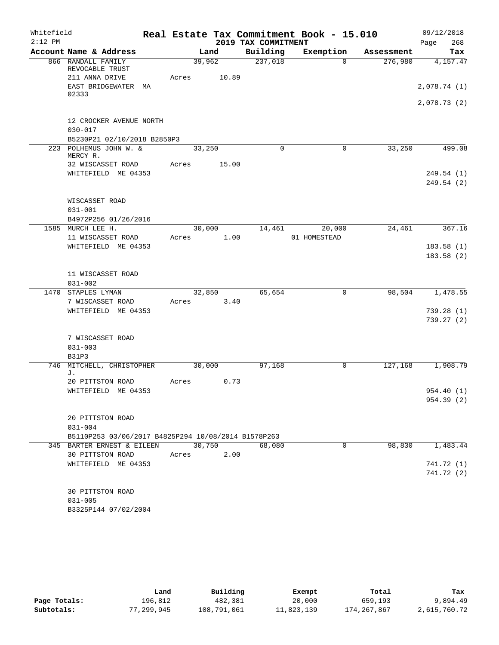| Whitefield |                                                         |       |                 |                     | Real Estate Tax Commitment Book - 15.010 |            | 09/12/2018              |
|------------|---------------------------------------------------------|-------|-----------------|---------------------|------------------------------------------|------------|-------------------------|
| $2:12$ PM  |                                                         |       |                 | 2019 TAX COMMITMENT |                                          |            | 268<br>Page             |
|            | Account Name & Address                                  |       | Land            | Building            | Exemption                                | Assessment | Tax                     |
|            | 866 RANDALL FAMILY<br>REVOCABLE TRUST<br>211 ANNA DRIVE | Acres | 39,962<br>10.89 | 237,018             | $\Omega$                                 | 276,980    | 4,157.47                |
|            | EAST BRIDGEWATER<br>МA<br>02333                         |       |                 |                     |                                          |            | 2,078.74(1)             |
|            |                                                         |       |                 |                     |                                          |            | 2,078.73(2)             |
|            | 12 CROCKER AVENUE NORTH<br>$030 - 017$                  |       |                 |                     |                                          |            |                         |
|            | B5230P21 02/10/2018 B2850P3<br>223 POLHEMUS JOHN W. &   |       | 33,250          | 0                   | $\mathbf 0$                              | 33,250     | 499.08                  |
|            | MERCY R.                                                |       |                 |                     |                                          |            |                         |
|            | 32 WISCASSET ROAD                                       | Acres | 15.00           |                     |                                          |            |                         |
|            | WHITEFIELD ME 04353                                     |       |                 |                     |                                          |            | 249.54 (1)              |
|            |                                                         |       |                 |                     |                                          |            | 249.54 (2)              |
|            | WISCASSET ROAD                                          |       |                 |                     |                                          |            |                         |
|            | $031 - 001$                                             |       |                 |                     |                                          |            |                         |
|            | B4972P256 01/26/2016<br>1585 MURCH LEE H.               |       | 30,000          | 14,461              | 20,000                                   | 24,461     | 367.16                  |
|            | 11 WISCASSET ROAD                                       | Acres | 1.00            |                     | 01 HOMESTEAD                             |            |                         |
|            | WHITEFIELD ME 04353                                     |       |                 |                     |                                          |            | 183.58(1)               |
|            |                                                         |       |                 |                     |                                          |            | 183.58(2)               |
|            |                                                         |       |                 |                     |                                          |            |                         |
|            | 11 WISCASSET ROAD                                       |       |                 |                     |                                          |            |                         |
|            | $031 - 002$                                             |       |                 |                     |                                          |            |                         |
|            | 1470 STAPLES LYMAN                                      |       | 32,850          | 65,654              | 0                                        | 98,504     | 1,478.55                |
|            | 7 WISCASSET ROAD                                        | Acres | 3.40            |                     |                                          |            |                         |
|            | WHITEFIELD ME 04353                                     |       |                 |                     |                                          |            | 739.28(1)               |
|            |                                                         |       |                 |                     |                                          |            | 739.27 (2)              |
|            | 7 WISCASSET ROAD                                        |       |                 |                     |                                          |            |                         |
|            | $031 - 003$                                             |       |                 |                     |                                          |            |                         |
|            | <b>B31P3</b>                                            |       |                 |                     |                                          |            |                         |
|            | 746 MITCHELL, CHRISTOPHER                               |       | 30,000          | 97,168              | 0                                        | 127,168    | 1,908.79                |
|            | J.                                                      |       |                 |                     |                                          |            |                         |
|            | 20 PITTSTON ROAD                                        | Acres | 0.73            |                     |                                          |            |                         |
|            | WHITEFIELD ME 04353                                     |       |                 |                     |                                          |            | 954.40(1)<br>954.39 (2) |
|            |                                                         |       |                 |                     |                                          |            |                         |
|            | 20 PITTSTON ROAD                                        |       |                 |                     |                                          |            |                         |
|            | $031 - 004$                                             |       |                 |                     |                                          |            |                         |
|            | B5110P253 03/06/2017 B4825P294 10/08/2014 B1578P263     |       |                 |                     |                                          |            |                         |
|            | 345 BARTER ERNEST & EILEEN                              |       | 30,750          | 68,080              | 0                                        | 98,830     | 1,483.44                |
|            | 30 PITTSTON ROAD                                        | Acres | 2.00            |                     |                                          |            |                         |
|            | WHITEFIELD ME 04353                                     |       |                 |                     |                                          |            | 741.72 (1)              |
|            |                                                         |       |                 |                     |                                          |            | 741.72 (2)              |
|            |                                                         |       |                 |                     |                                          |            |                         |
|            | 30 PITTSTON ROAD                                        |       |                 |                     |                                          |            |                         |
|            | $031 - 005$                                             |       |                 |                     |                                          |            |                         |
|            | B3325P144 07/02/2004                                    |       |                 |                     |                                          |            |                         |

|              | Land       | Building    | Exempt     | Total         | Tax          |
|--------------|------------|-------------|------------|---------------|--------------|
| Page Totals: | 196.812    | 482,381     | 20,000     | 659,193       | 9,894.49     |
| Subtotals:   | 77,299,945 | 108,791,061 | 11,823,139 | 174, 267, 867 | 2,615,760.72 |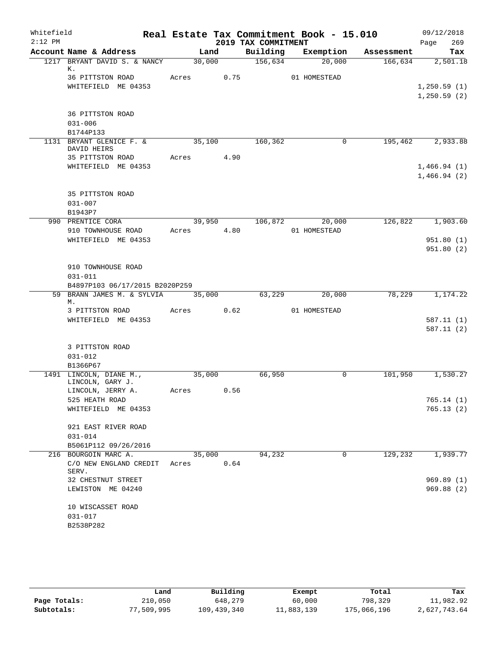| Whitefield |                                                        |       |            |                     | Real Estate Tax Commitment Book - 15.010 |                      | 09/12/2018       |
|------------|--------------------------------------------------------|-------|------------|---------------------|------------------------------------------|----------------------|------------------|
| $2:12$ PM  |                                                        |       |            | 2019 TAX COMMITMENT |                                          |                      | 269<br>Page      |
|            | Account Name & Address<br>1217 BRYANT DAVID S. & NANCY |       | Land       | Building            | 20,000                                   | Exemption Assessment | Tax              |
|            | К.                                                     |       | 30,000     | 156,634             |                                          | 166,634              | 2,501.18         |
|            | 36 PITTSTON ROAD                                       |       | Acres 0.75 |                     | 01 HOMESTEAD                             |                      |                  |
|            | WHITEFIELD ME 04353                                    |       |            |                     |                                          |                      | 1, 250.59(1)     |
|            |                                                        |       |            |                     |                                          |                      | 1, 250.59(2)     |
|            |                                                        |       |            |                     |                                          |                      |                  |
|            | 36 PITTSTON ROAD<br>$031 - 006$                        |       |            |                     |                                          |                      |                  |
|            | B1744P133                                              |       |            |                     |                                          |                      |                  |
|            | 1131 BRYANT GLENICE F. &                               |       | 35,100     | 160,362             | $\mathbf 0$                              |                      | 195,462 2,933.88 |
|            | DAVID HEIRS                                            |       |            |                     |                                          |                      |                  |
|            | 35 PITTSTON ROAD                                       |       | Acres 4.90 |                     |                                          |                      |                  |
|            | WHITEFIELD ME 04353                                    |       |            |                     |                                          |                      | 1,466.94(1)      |
|            |                                                        |       |            |                     |                                          |                      | 1,466.94(2)      |
|            | 35 PITTSTON ROAD                                       |       |            |                     |                                          |                      |                  |
|            | $031 - 007$                                            |       |            |                     |                                          |                      |                  |
|            | B1943P7                                                |       |            |                     |                                          |                      |                  |
|            | 990 PRENTICE CORA                                      |       | 39,950     | 106,872             | 20,000                                   | 126,822              | 1,903.60         |
|            | 910 TOWNHOUSE ROAD                                     |       | Acres 4.80 |                     | 01 HOMESTEAD                             |                      |                  |
|            | WHITEFIELD ME 04353                                    |       |            |                     |                                          |                      | 951.80(1)        |
|            |                                                        |       |            |                     |                                          |                      | 951.80(2)        |
|            |                                                        |       |            |                     |                                          |                      |                  |
|            | 910 TOWNHOUSE ROAD<br>$031 - 011$                      |       |            |                     |                                          |                      |                  |
|            | B4897P103 06/17/2015 B2020P259                         |       |            |                     |                                          |                      |                  |
|            | 59 BRANN JAMES M. & SYLVIA                             |       | 35,000     | 63,229              | 20,000                                   | 78,229               | 1,174.22         |
|            | М.                                                     |       |            |                     |                                          |                      |                  |
|            | 3 PITTSTON ROAD                                        |       | Acres 0.62 |                     | 01 HOMESTEAD                             |                      |                  |
|            | WHITEFIELD ME 04353                                    |       |            |                     |                                          |                      | 587.11(1)        |
|            |                                                        |       |            |                     |                                          |                      | 587.11(2)        |
|            | 3 PITTSTON ROAD                                        |       |            |                     |                                          |                      |                  |
|            | $031 - 012$                                            |       |            |                     |                                          |                      |                  |
|            | B1366P67                                               |       |            |                     |                                          |                      |                  |
|            | 1491 LINCOLN, DIANE M.,                                |       | 35,000     | 66,950              | 0                                        | 101,950              | 1,530.27         |
|            | LINCOLN, GARY J.                                       |       |            |                     |                                          |                      |                  |
|            | LINCOLN, JERRY A.<br>525 HEATH ROAD                    | Acres | 0.56       |                     |                                          |                      | 765.14(1)        |
|            | WHITEFIELD ME 04353                                    |       |            |                     |                                          |                      | 765.13(2)        |
|            |                                                        |       |            |                     |                                          |                      |                  |
|            | 921 EAST RIVER ROAD                                    |       |            |                     |                                          |                      |                  |
|            | $031 - 014$                                            |       |            |                     |                                          |                      |                  |
|            | B5061P112 09/26/2016                                   |       |            |                     |                                          |                      |                  |
|            | 216 BOURGOIN MARC A.                                   |       | 35,000     | 94,232              | 0                                        | 129,232              | 1,939.77         |
|            | C/O NEW ENGLAND CREDIT<br>SERV.                        | Acres | 0.64       |                     |                                          |                      |                  |
|            | 32 CHESTNUT STREET                                     |       |            |                     |                                          |                      | 969.89(1)        |
|            | LEWISTON ME 04240                                      |       |            |                     |                                          |                      | 969.88(2)        |
|            |                                                        |       |            |                     |                                          |                      |                  |
|            | 10 WISCASSET ROAD                                      |       |            |                     |                                          |                      |                  |
|            | $031 - 017$                                            |       |            |                     |                                          |                      |                  |
|            | B2538P282                                              |       |            |                     |                                          |                      |                  |

|              | Land       | Building    | Exempt     | Total       | Tax          |
|--------------|------------|-------------|------------|-------------|--------------|
| Page Totals: | 210,050    | 648,279     | 60,000     | 798,329     | 11,982.92    |
| Subtotals:   | 77,509,995 | 109,439,340 | 11,883,139 | 175,066,196 | 2,627,743.64 |